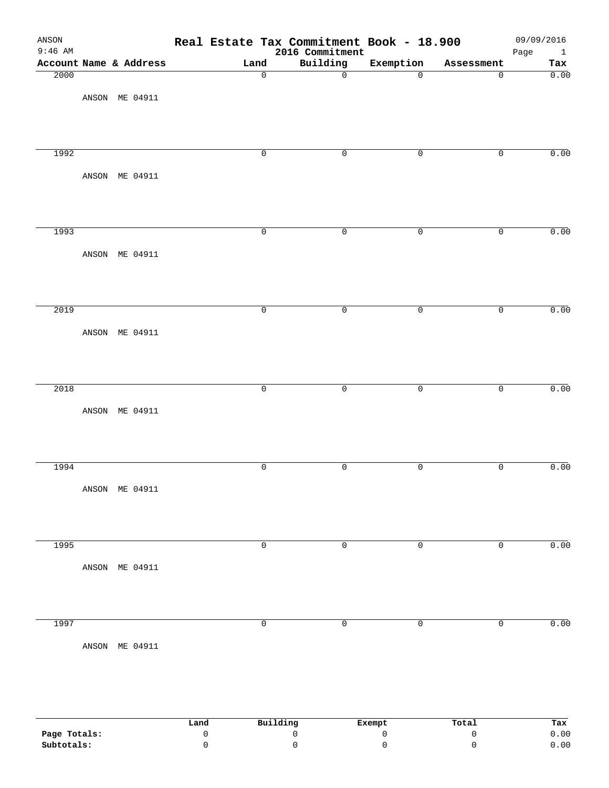| ANSON<br>$9:46$ AM |                        |      |                     | Real Estate Tax Commitment Book - 18.900<br>2016 Commitment |                               |                              | 09/09/2016<br>Page<br>$\mathbf{1}$ |
|--------------------|------------------------|------|---------------------|-------------------------------------------------------------|-------------------------------|------------------------------|------------------------------------|
|                    | Account Name & Address |      | Land                | Building                                                    | Exemption                     | Assessment                   | Tax                                |
| 2000               |                        |      | $\mathbf 0$         | $\overline{0}$                                              | $\overline{0}$                | $\overline{0}$               | 0.00                               |
|                    | ANSON ME 04911         |      |                     |                                                             |                               |                              |                                    |
|                    |                        |      |                     |                                                             |                               |                              |                                    |
|                    |                        |      |                     |                                                             |                               |                              |                                    |
|                    |                        |      |                     |                                                             |                               |                              |                                    |
| 1992               |                        |      | $\overline{0}$      | $\overline{0}$                                              | $\mathsf{O}$                  | $\overline{0}$               | 0.00                               |
|                    |                        |      |                     |                                                             |                               |                              |                                    |
|                    | ANSON ME 04911         |      |                     |                                                             |                               |                              |                                    |
|                    |                        |      |                     |                                                             |                               |                              |                                    |
|                    |                        |      |                     |                                                             |                               |                              |                                    |
|                    |                        |      |                     |                                                             |                               |                              |                                    |
| 1993               |                        |      | $\mathbf 0$         | $\overline{0}$                                              | $\mathsf{O}$                  | $\overline{0}$               | 0.00                               |
|                    |                        |      |                     |                                                             |                               |                              |                                    |
|                    | ANSON ME 04911         |      |                     |                                                             |                               |                              |                                    |
|                    |                        |      |                     |                                                             |                               |                              |                                    |
|                    |                        |      |                     |                                                             |                               |                              |                                    |
| 2019               |                        |      | $\overline{0}$      | $\overline{0}$                                              | $\mathsf{O}$                  | $\overline{0}$               | 0.00                               |
|                    |                        |      |                     |                                                             |                               |                              |                                    |
|                    | ANSON ME 04911         |      |                     |                                                             |                               |                              |                                    |
|                    |                        |      |                     |                                                             |                               |                              |                                    |
|                    |                        |      |                     |                                                             |                               |                              |                                    |
|                    |                        |      |                     |                                                             |                               |                              |                                    |
| 2018               |                        |      | $\overline{0}$      | $\overline{0}$                                              | $\overline{0}$                | $\overline{0}$               | 0.00                               |
|                    |                        |      |                     |                                                             |                               |                              |                                    |
|                    | ANSON ME 04911         |      |                     |                                                             |                               |                              |                                    |
|                    |                        |      |                     |                                                             |                               |                              |                                    |
|                    |                        |      |                     |                                                             |                               |                              |                                    |
|                    |                        |      |                     |                                                             |                               |                              |                                    |
| 1994               |                        |      | $\mathsf 0$         | $\mathsf{O}$                                                | $\mathsf{O}$                  | 0                            | 0.00                               |
|                    | ANSON ME 04911         |      |                     |                                                             |                               |                              |                                    |
|                    |                        |      |                     |                                                             |                               |                              |                                    |
|                    |                        |      |                     |                                                             |                               |                              |                                    |
|                    |                        |      |                     |                                                             |                               |                              |                                    |
| 1995               |                        |      | $\overline{0}$      | $\overline{0}$                                              | $\overline{0}$                | $\overline{0}$               | 0.00                               |
|                    |                        |      |                     |                                                             |                               |                              |                                    |
|                    | ANSON ME 04911         |      |                     |                                                             |                               |                              |                                    |
|                    |                        |      |                     |                                                             |                               |                              |                                    |
|                    |                        |      |                     |                                                             |                               |                              |                                    |
|                    |                        |      |                     |                                                             |                               |                              |                                    |
| 1997               |                        |      | $\mathsf{O}\xspace$ | $\overline{0}$                                              | 0                             | 0                            | 0.00                               |
|                    | ANSON ME 04911         |      |                     |                                                             |                               |                              |                                    |
|                    |                        |      |                     |                                                             |                               |                              |                                    |
|                    |                        |      |                     |                                                             |                               |                              |                                    |
|                    |                        |      |                     |                                                             |                               |                              |                                    |
|                    |                        |      |                     |                                                             |                               |                              |                                    |
|                    |                        |      |                     |                                                             |                               |                              |                                    |
| Page Totals:       |                        | Land | $\mathsf 0$         | Building<br>$\mathsf{O}\xspace$                             | Exempt<br>$\mathsf{O}\xspace$ | Total<br>$\mathsf{O}\xspace$ | Tax<br>0.00                        |
|                    |                        |      |                     |                                                             |                               |                              |                                    |

**Subtotals:** 0 0 0 0 0.00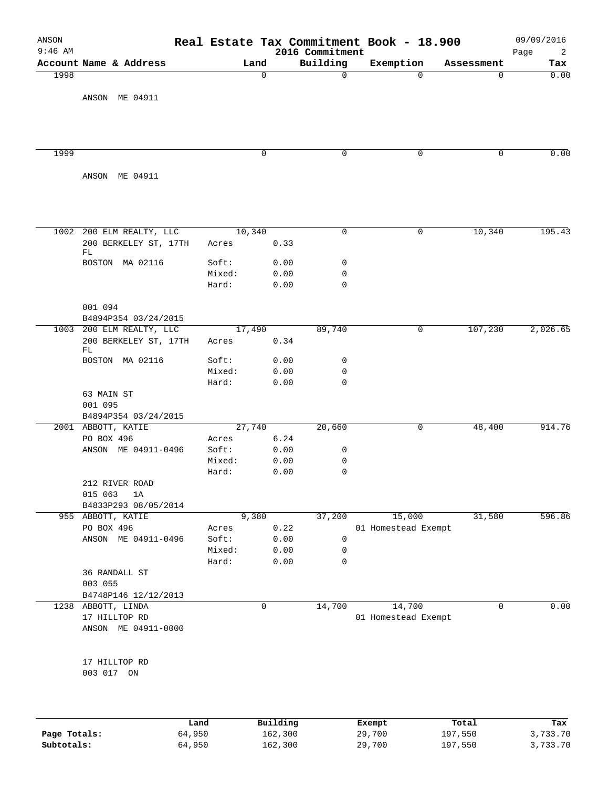| ANSON<br>$9:46$ AM |                                            |        |             |              | 2016 Commitment | Real Estate Tax Commitment Book - 18.900 |            | 09/09/2016<br>2<br>Page |
|--------------------|--------------------------------------------|--------|-------------|--------------|-----------------|------------------------------------------|------------|-------------------------|
|                    | Account Name & Address                     |        | Land        |              | Building        | Exemption                                | Assessment | Tax                     |
| 1998               |                                            |        | $\mathbf 0$ |              | 0               | $\mathbf 0$                              | 0          | 0.00                    |
|                    | ANSON ME 04911                             |        |             |              |                 |                                          |            |                         |
|                    |                                            |        |             |              |                 |                                          |            |                         |
|                    |                                            |        |             |              |                 |                                          |            |                         |
| 1999               |                                            |        | $\mathbf 0$ |              | 0               | 0                                        | 0          | 0.00                    |
|                    |                                            |        |             |              |                 |                                          |            |                         |
|                    | ANSON ME 04911                             |        |             |              |                 |                                          |            |                         |
|                    |                                            |        |             |              |                 |                                          |            |                         |
| 1002               | 200 ELM REALTY, LLC                        |        | 10,340      |              | 0               | 0                                        | 10,340     | 195.43                  |
|                    | 200 BERKELEY ST, 17TH<br>FL                | Acres  |             | 0.33         |                 |                                          |            |                         |
|                    | BOSTON MA 02116                            | Soft:  |             | 0.00         | 0               |                                          |            |                         |
|                    |                                            | Mixed: |             | 0.00         | $\mathbf 0$     |                                          |            |                         |
|                    |                                            | Hard:  |             | 0.00         | $\mathbf 0$     |                                          |            |                         |
|                    | 001 094<br>B4894P354 03/24/2015            |        |             |              |                 |                                          |            |                         |
|                    | 1003 200 ELM REALTY, LLC                   |        | 17,490      |              | 89,740          | 0                                        | 107,230    | 2,026.65                |
|                    | 200 BERKELEY ST, 17TH<br>FL                | Acres  |             | 0.34         |                 |                                          |            |                         |
|                    | BOSTON MA 02116                            | Soft:  |             | 0.00         | 0               |                                          |            |                         |
|                    |                                            | Mixed: |             | 0.00         | 0               |                                          |            |                         |
|                    |                                            | Hard:  |             | 0.00         | 0               |                                          |            |                         |
|                    | 63 MAIN ST                                 |        |             |              |                 |                                          |            |                         |
|                    | 001 095                                    |        |             |              |                 |                                          |            |                         |
|                    | B4894P354 03/24/2015<br>2001 ABBOTT, KATIE |        | 27,740      |              | 20,660          | 0                                        | 48,400     | 914.76                  |
|                    | PO BOX 496                                 | Acres  |             | 6.24         |                 |                                          |            |                         |
|                    | ANSON ME 04911-0496                        | Soft:  |             | 0.00         | 0               |                                          |            |                         |
|                    |                                            | Mixed: |             | 0.00         | 0               |                                          |            |                         |
|                    |                                            | Hard:  |             | 0.00         | 0               |                                          |            |                         |
|                    | 212 RIVER ROAD                             |        |             |              |                 |                                          |            |                         |
|                    | 015 063<br>1A                              |        |             |              |                 |                                          |            |                         |
|                    | B4833P293 08/05/2014                       |        |             |              |                 |                                          |            |                         |
|                    | 955 ABBOTT, KATIE                          | Acres  | 9,380       |              | 37,200          | 15,000                                   | 31,580     | 596.86                  |
|                    | PO BOX 496<br>ANSON ME 04911-0496          | Soft:  |             | 0.22<br>0.00 | 0               | 01 Homestead Exempt                      |            |                         |
|                    |                                            | Mixed: |             | 0.00         | 0               |                                          |            |                         |
|                    |                                            | Hard:  |             | 0.00         | 0               |                                          |            |                         |
|                    | 36 RANDALL ST                              |        |             |              |                 |                                          |            |                         |
|                    | 003 055                                    |        |             |              |                 |                                          |            |                         |
|                    | B4748P146 12/12/2013                       |        |             |              |                 |                                          |            |                         |
|                    | 1238 ABBOTT, LINDA                         |        | 0           |              | 14,700          | 14,700                                   | 0          | 0.00                    |
|                    | 17 HILLTOP RD<br>ANSON ME 04911-0000       |        |             |              |                 | 01 Homestead Exempt                      |            |                         |
|                    | 17 HILLTOP RD                              |        |             |              |                 |                                          |            |                         |
|                    | 003 017 ON                                 |        |             |              |                 |                                          |            |                         |
|                    |                                            |        |             |              |                 |                                          |            |                         |
|                    |                                            |        |             |              |                 |                                          |            |                         |
|                    |                                            |        |             |              |                 |                                          |            |                         |

|              | Land   | Building | Exempt | Total   | Tax      |
|--------------|--------|----------|--------|---------|----------|
| Page Totals: | 64,950 | 162,300  | 29,700 | 197,550 | 3,733.70 |
| Subtotals:   | 64,950 | 162,300  | 29,700 | 197,550 | 3,733.70 |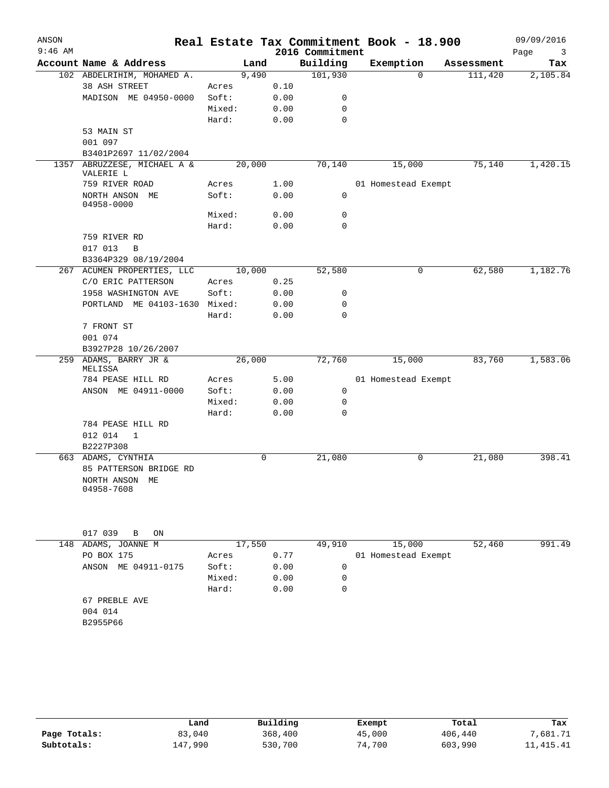| ANSON     |                                          |        |             |                 | Real Estate Tax Commitment Book - 18.900 |            | 09/09/2016 |
|-----------|------------------------------------------|--------|-------------|-----------------|------------------------------------------|------------|------------|
| $9:46$ AM |                                          |        |             | 2016 Commitment |                                          |            | Page<br>3  |
|           | Account Name & Address                   | Land   |             | Building        | Exemption                                | Assessment | Tax        |
|           | 102 ABDELRIHIM, MOHAMED A.               | 9,490  |             | 101,930         | $\mathbf 0$                              | 111,420    | 2,105.84   |
|           | 38 ASH STREET                            | Acres  | 0.10        |                 |                                          |            |            |
|           | MADISON ME 04950-0000                    | Soft:  | 0.00        | 0               |                                          |            |            |
|           |                                          | Mixed: | 0.00        | 0               |                                          |            |            |
|           |                                          | Hard:  | 0.00        | $\mathbf 0$     |                                          |            |            |
|           | 53 MAIN ST                               |        |             |                 |                                          |            |            |
|           | 001 097                                  |        |             |                 |                                          |            |            |
|           | B3401P2697 11/02/2004                    |        |             |                 |                                          |            |            |
|           | 1357 ABRUZZESE, MICHAEL A &<br>VALERIE L | 20,000 |             | 70,140          | 15,000                                   | 75,140     | 1,420.15   |
|           | 759 RIVER ROAD                           | Acres  | 1.00        |                 | 01 Homestead Exempt                      |            |            |
|           | NORTH ANSON ME<br>04958-0000             | Soft:  | 0.00        | $\mathbf 0$     |                                          |            |            |
|           |                                          | Mixed: | 0.00        | 0               |                                          |            |            |
|           |                                          | Hard:  | 0.00        | $\overline{0}$  |                                          |            |            |
|           | 759 RIVER RD                             |        |             |                 |                                          |            |            |
|           | 017 013<br>B                             |        |             |                 |                                          |            |            |
|           | B3364P329 08/19/2004                     |        |             |                 |                                          |            |            |
|           | 267 ACUMEN PROPERTIES, LLC               | 10,000 |             | 52,580          | $\mathbf 0$                              | 62,580     | 1,182.76   |
|           | C/O ERIC PATTERSON                       | Acres  | 0.25        |                 |                                          |            |            |
|           | 1958 WASHINGTON AVE                      | Soft:  | 0.00        | 0               |                                          |            |            |
|           | PORTLAND ME 04103-1630 Mixed:            |        | 0.00        | 0               |                                          |            |            |
|           |                                          | Hard:  | 0.00        | $\mathbf 0$     |                                          |            |            |
|           | 7 FRONT ST                               |        |             |                 |                                          |            |            |
|           | 001 074                                  |        |             |                 |                                          |            |            |
|           | B3927P28 10/26/2007                      |        |             |                 |                                          |            |            |
| 259       | ADAMS, BARRY JR &<br>MELISSA             | 26,000 |             | 72,760          | 15,000                                   | 83,760     | 1,583.06   |
|           | 784 PEASE HILL RD                        | Acres  | 5.00        |                 | 01 Homestead Exempt                      |            |            |
|           | ANSON ME 04911-0000                      | Soft:  | 0.00        | 0               |                                          |            |            |
|           |                                          | Mixed: | 0.00        | 0               |                                          |            |            |
|           |                                          | Hard:  | 0.00        | $\mathbf 0$     |                                          |            |            |
|           | 784 PEASE HILL RD                        |        |             |                 |                                          |            |            |
|           | 012 014<br>$\mathbf{1}$                  |        |             |                 |                                          |            |            |
|           | B2227P308                                |        |             |                 |                                          |            |            |
|           | 663 ADAMS, CYNTHIA                       |        | $\mathbf 0$ | 21,080          | $\mathbf 0$                              | 21,080     | 398.41     |
|           | 85 PATTERSON BRIDGE RD                   |        |             |                 |                                          |            |            |
|           | NORTH ANSON ME                           |        |             |                 |                                          |            |            |
|           | 04958-7608                               |        |             |                 |                                          |            |            |
|           |                                          |        |             |                 |                                          |            |            |
|           |                                          |        |             |                 |                                          |            |            |
|           |                                          |        |             |                 |                                          |            |            |
|           | 017 039<br>B<br>ON                       |        |             |                 |                                          |            |            |

|     | リエノ いっっ<br>D.<br>UN    |        |        |          |                     |        |        |
|-----|------------------------|--------|--------|----------|---------------------|--------|--------|
| 148 | ADAMS, JOANNE M        |        | 17,550 |          | 15,000              | 52,460 | 991.49 |
|     | PO BOX 175             | Acres  | 0.77   |          | 01 Homestead Exempt |        |        |
|     | ME 04911-0175<br>ANSON | Soft:  | 0.00   | 0        |                     |        |        |
|     |                        | Mixed: | 0.00   | $\Omega$ |                     |        |        |
|     |                        | Hard:  | 0.00   | 0        |                     |        |        |
|     | 67 PREBLE AVE          |        |        |          |                     |        |        |
|     | 004 014                |        |        |          |                     |        |        |
|     | B2955P66               |        |        |          |                     |        |        |

|              | Land    | Building | Exempt | Total   | Tax       |
|--------------|---------|----------|--------|---------|-----------|
| Page Totals: | 83,040  | 368,400  | 45,000 | 406,440 | .681.71   |
| Subtotals:   | 147,990 | 530,700  | 74,700 | 603,990 | 11,415.41 |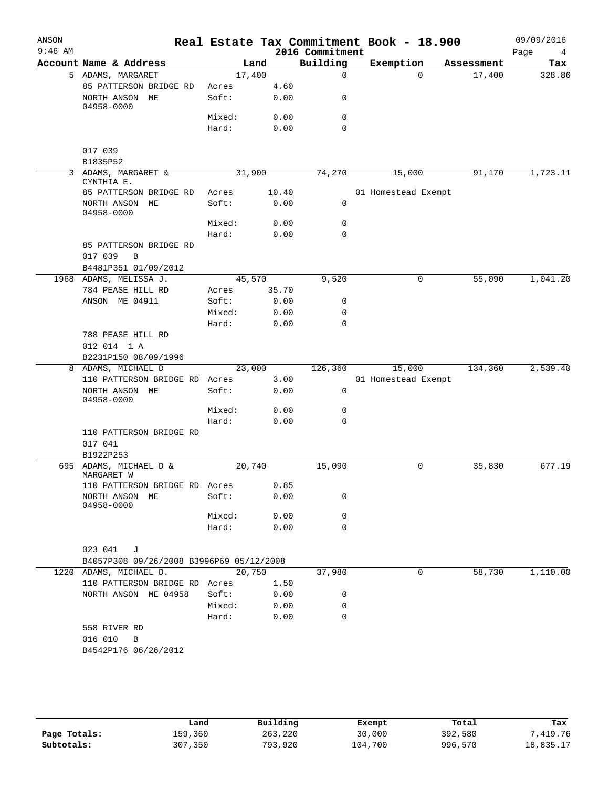| ANSON     |                                                          |        |       |                 | Real Estate Tax Commitment Book - 18.900 |            | 09/09/2016 |
|-----------|----------------------------------------------------------|--------|-------|-----------------|------------------------------------------|------------|------------|
| $9:46$ AM |                                                          |        |       | 2016 Commitment |                                          |            | Page<br>4  |
|           | Account Name & Address                                   |        | Land  | Building        | Exemption                                | Assessment | Tax        |
|           | 5 ADAMS, MARGARET                                        | 17,400 |       | $\Omega$        | $\Omega$                                 | 17,400     | 328.86     |
|           | 85 PATTERSON BRIDGE RD                                   | Acres  | 4.60  |                 |                                          |            |            |
|           | NORTH ANSON ME<br>04958-0000                             | Soft:  | 0.00  | 0               |                                          |            |            |
|           |                                                          | Mixed: | 0.00  | $\mathbf 0$     |                                          |            |            |
|           |                                                          | Hard:  | 0.00  | $\Omega$        |                                          |            |            |
|           | 017 039                                                  |        |       |                 |                                          |            |            |
|           | B1835P52<br>3 ADAMS, MARGARET &                          | 31,900 |       | 74,270          |                                          | 91,170     | 1,723.11   |
|           | CYNTHIA E.                                               |        |       |                 | 15,000                                   |            |            |
|           | 85 PATTERSON BRIDGE RD                                   | Acres  | 10.40 |                 | 01 Homestead Exempt                      |            |            |
|           | NORTH ANSON ME<br>04958-0000                             | Soft:  | 0.00  | $\mathbf 0$     |                                          |            |            |
|           |                                                          | Mixed: | 0.00  | 0               |                                          |            |            |
|           |                                                          | Hard:  | 0.00  | 0               |                                          |            |            |
|           | 85 PATTERSON BRIDGE RD                                   |        |       |                 |                                          |            |            |
|           | 017 039<br>$\, {\bf B}$                                  |        |       |                 |                                          |            |            |
|           | B4481P351 01/09/2012                                     |        |       |                 |                                          |            |            |
|           | 1968 ADAMS, MELISSA J.                                   | 45,570 |       | 9,520           | 0                                        | 55,090     | 1,041.20   |
|           | 784 PEASE HILL RD                                        | Acres  | 35.70 |                 |                                          |            |            |
|           | ANSON ME 04911                                           | Soft:  | 0.00  | 0               |                                          |            |            |
|           |                                                          | Mixed: | 0.00  | $\mathbf 0$     |                                          |            |            |
|           |                                                          | Hard:  | 0.00  | 0               |                                          |            |            |
|           | 788 PEASE HILL RD                                        |        |       |                 |                                          |            |            |
|           | 012 014 1 A                                              |        |       |                 |                                          |            |            |
|           | B2231P150 08/09/1996                                     |        |       |                 |                                          |            |            |
|           | 8 ADAMS, MICHAEL D                                       | 23,000 |       | 126,360         | 15,000                                   | 134,360    | 2,539.40   |
|           | 110 PATTERSON BRIDGE RD                                  | Acres  | 3.00  |                 | 01 Homestead Exempt                      |            |            |
|           | NORTH ANSON ME<br>04958-0000                             | Soft:  | 0.00  | 0               |                                          |            |            |
|           |                                                          | Mixed: | 0.00  | 0<br>$\Omega$   |                                          |            |            |
|           |                                                          | Hard:  | 0.00  |                 |                                          |            |            |
|           | 110 PATTERSON BRIDGE RD<br>017 041<br>B1922P253          |        |       |                 |                                          |            |            |
| 695       | ADAMS, MICHAEL D &                                       | 20,740 |       | 15,090          | 0                                        | 35,830     | 677.19     |
|           | MARGARET W                                               |        |       |                 |                                          |            |            |
|           | 110 PATTERSON BRIDGE RD Acres                            |        | 0.85  |                 |                                          |            |            |
|           | NORTH ANSON ME<br>04958-0000                             | Soft:  | 0.00  | 0               |                                          |            |            |
|           |                                                          | Mixed: | 0.00  | 0               |                                          |            |            |
|           |                                                          | Hard:  | 0.00  | $\Omega$        |                                          |            |            |
|           | 023 041<br>J<br>B4057P308 09/26/2008 B3996P69 05/12/2008 |        |       |                 |                                          |            |            |
|           | 1220 ADAMS, MICHAEL D.                                   | 20,750 |       | 37,980          | $\mathbf 0$                              | 58,730     | 1,110.00   |
|           | 110 PATTERSON BRIDGE RD Acres                            |        | 1.50  |                 |                                          |            |            |
|           | NORTH ANSON ME 04958                                     | Soft:  | 0.00  | 0               |                                          |            |            |
|           |                                                          | Mixed: | 0.00  | $\mathbf 0$     |                                          |            |            |
|           |                                                          | Hard:  | 0.00  | 0               |                                          |            |            |
|           | 558 RIVER RD                                             |        |       |                 |                                          |            |            |
|           | 016 010<br>B                                             |        |       |                 |                                          |            |            |
|           | B4542P176 06/26/2012                                     |        |       |                 |                                          |            |            |
|           |                                                          |        |       |                 |                                          |            |            |
|           |                                                          |        |       |                 |                                          |            |            |

|              | Land    | Building | Exempt  | Total   | Tax       |
|--------------|---------|----------|---------|---------|-----------|
| Page Totals: | 159,360 | 263,220  | 30,000  | 392,580 | 7,419.76  |
| Subtotals:   | 307,350 | 793,920  | 104,700 | 996,570 | 18,835.17 |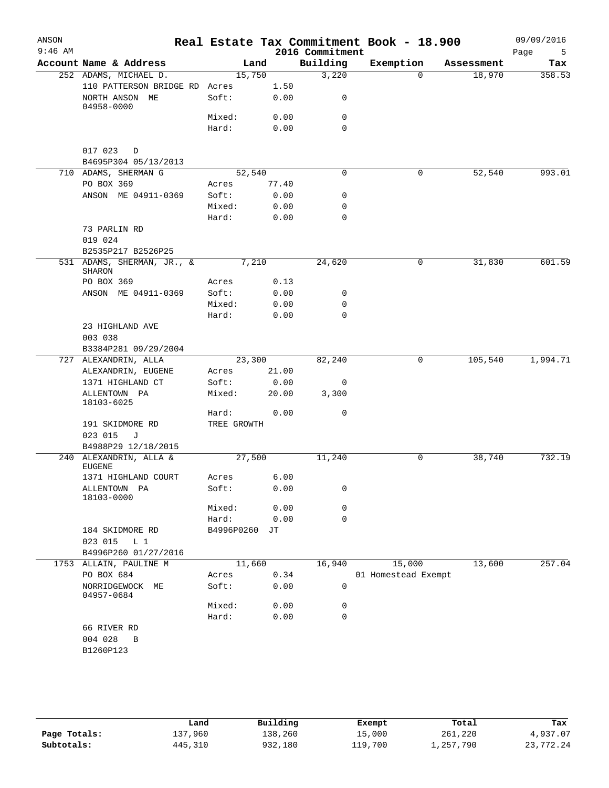| ANSON<br>$9:46$ AM |                                                 |                 |               | 2016 Commitment | Real Estate Tax Commitment Book - 18.900 |            | 09/09/2016<br>Page<br>5 |
|--------------------|-------------------------------------------------|-----------------|---------------|-----------------|------------------------------------------|------------|-------------------------|
|                    | Account Name & Address                          |                 | Land          | Building        | Exemption                                | Assessment | Tax                     |
|                    | 252 ADAMS, MICHAEL D.                           | 15,750          |               | 3,220           | $\Omega$                                 | 18,970     | 358.53                  |
|                    | 110 PATTERSON BRIDGE RD Acres<br>NORTH ANSON ME | Soft:           | 1.50<br>0.00  | 0               |                                          |            |                         |
|                    | 04958-0000                                      |                 |               |                 |                                          |            |                         |
|                    |                                                 | Mixed:          | 0.00          | 0               |                                          |            |                         |
|                    |                                                 | Hard:           | 0.00          | $\mathbf 0$     |                                          |            |                         |
|                    | 017 023<br>$\Box$<br>B4695P304 05/13/2013       |                 |               |                 |                                          |            |                         |
|                    | 710 ADAMS, SHERMAN G                            | 52,540          |               | 0               | 0                                        | 52,540     | 993.01                  |
|                    | PO BOX 369                                      | Acres           | 77.40         |                 |                                          |            |                         |
|                    | ANSON ME 04911-0369                             | Soft:           | 0.00          | 0               |                                          |            |                         |
|                    |                                                 | Mixed:          | 0.00          | 0               |                                          |            |                         |
|                    |                                                 | Hard:           | 0.00          | $\mathbf 0$     |                                          |            |                         |
|                    | 73 PARLIN RD<br>019 024                         |                 |               |                 |                                          |            |                         |
|                    | B2535P217 B2526P25                              |                 |               |                 |                                          |            |                         |
|                    | 531 ADAMS, SHERMAN, JR., &<br>SHARON            |                 | 7,210         | 24,620          | 0                                        | 31,830     | 601.59                  |
|                    | PO BOX 369                                      | Acres           | 0.13          |                 |                                          |            |                         |
|                    | ANSON ME 04911-0369                             | Soft:           | 0.00          | 0               |                                          |            |                         |
|                    |                                                 | Mixed:          | 0.00          | 0               |                                          |            |                         |
|                    |                                                 | Hard:           | 0.00          | $\Omega$        |                                          |            |                         |
|                    | 23 HIGHLAND AVE                                 |                 |               |                 |                                          |            |                         |
|                    | 003 038                                         |                 |               |                 |                                          |            |                         |
|                    | B3384P281 09/29/2004                            |                 |               |                 |                                          |            |                         |
|                    | 727 ALEXANDRIN, ALLA                            | 23,300          |               | 82,240          | 0                                        | 105,540    | 1,994.71                |
|                    | ALEXANDRIN, EUGENE                              | Acres           | 21.00         |                 |                                          |            |                         |
|                    | 1371 HIGHLAND CT<br>ALLENTOWN PA                | Soft:<br>Mixed: | 0.00<br>20.00 | 0<br>3,300      |                                          |            |                         |
|                    | 18103-6025                                      |                 |               |                 |                                          |            |                         |
|                    |                                                 | Hard:           | 0.00          | 0               |                                          |            |                         |
|                    | 191 SKIDMORE RD                                 | TREE GROWTH     |               |                 |                                          |            |                         |
|                    | 023 015<br>J<br>B4988P29 12/18/2015             |                 |               |                 |                                          |            |                         |
| 240                | ALEXANDRIN, ALLA &                              | 27,500          |               | 11,240          | 0                                        | 38,740     | 732.19                  |
|                    | <b>EUGENE</b>                                   |                 |               |                 |                                          |            |                         |
|                    | 1371 HIGHLAND COURT                             | Acres           | 6.00          | 0               |                                          |            |                         |
|                    | ALLENTOWN PA<br>18103-0000                      | Soft:<br>Mixed: | 0.00<br>0.00  | 0               |                                          |            |                         |
|                    |                                                 | Hard:           | 0.00          | 0               |                                          |            |                         |
|                    | 184 SKIDMORE RD                                 | B4996P0260      | JТ            |                 |                                          |            |                         |
|                    | $L_1$<br>023 015                                |                 |               |                 |                                          |            |                         |
|                    | B4996P260 01/27/2016                            |                 |               |                 |                                          |            | 257.04                  |
|                    | 1753 ALLAIN, PAULINE M<br>PO BOX 684            | 11,660<br>Acres | 0.34          | 16,940          | 15,000<br>01 Homestead Exempt            | 13,600     |                         |
|                    | NORRIDGEWOCK ME<br>04957-0684                   | Soft:           | 0.00          | 0               |                                          |            |                         |
|                    |                                                 | Mixed:          | 0.00          | 0               |                                          |            |                         |
|                    |                                                 | Hard:           | 0.00          | $\mathbf 0$     |                                          |            |                         |
|                    | 66 RIVER RD<br>004 028<br>B                     |                 |               |                 |                                          |            |                         |
|                    | B1260P123                                       |                 |               |                 |                                          |            |                         |

|              | Land    | Building | Exempt  | Total     | Tax       |
|--------------|---------|----------|---------|-----------|-----------|
| Page Totals: | 137,960 | 138,260  | 15,000  | 261,220   | 4,937.07  |
| Subtotals:   | 445,310 | 932,180  | 119,700 | 1,257,790 | 23,772.24 |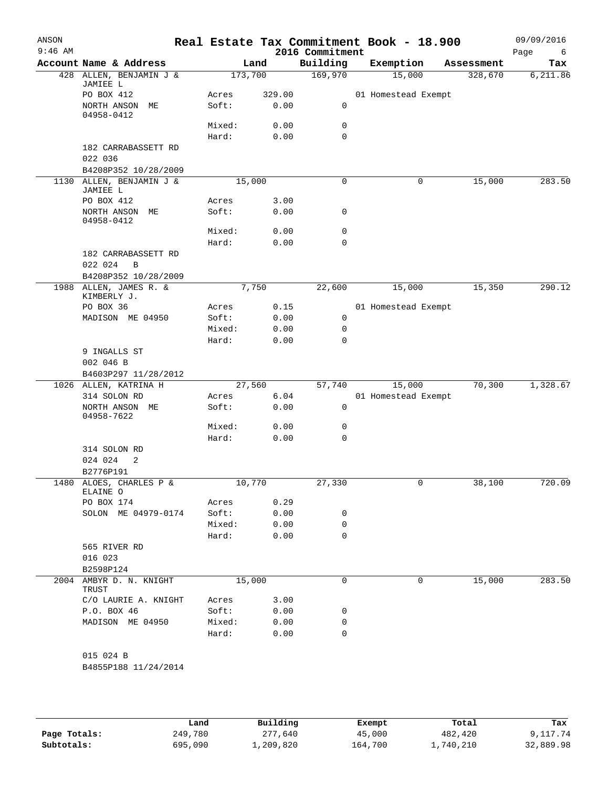| ANSON<br>$9:46$ AM |                                |                |              | Real Estate Tax Commitment Book - 18.900<br>2016 Commitment |                     |                |            | 09/09/2016<br>Page<br>6 |
|--------------------|--------------------------------|----------------|--------------|-------------------------------------------------------------|---------------------|----------------|------------|-------------------------|
|                    | Account Name & Address         |                | Land         | Building                                                    | Exemption           |                | Assessment | Tax                     |
|                    | 428 ALLEN, BENJAMIN J &        | 173,700        |              | 169,970                                                     |                     | 15,000         | 328,670    | 6,211.86                |
|                    | JAMIEE L                       |                |              |                                                             |                     |                |            |                         |
|                    | PO BOX 412                     | Acres          | 329.00       |                                                             | 01 Homestead Exempt |                |            |                         |
|                    | NORTH ANSON ME<br>04958-0412   | Soft:          | 0.00         | 0                                                           |                     |                |            |                         |
|                    |                                | Mixed:         | 0.00         | 0                                                           |                     |                |            |                         |
|                    |                                | Hard:          | 0.00         | 0                                                           |                     |                |            |                         |
|                    | 182 CARRABASSETT RD            |                |              |                                                             |                     |                |            |                         |
|                    | 022 036                        |                |              |                                                             |                     |                |            |                         |
|                    | B4208P352 10/28/2009           |                |              |                                                             |                     |                |            |                         |
| 1130               | ALLEN, BENJAMIN J &            | 15,000         |              | 0                                                           |                     | 0              | 15,000     | 283.50                  |
|                    | JAMIEE L                       |                |              |                                                             |                     |                |            |                         |
|                    | PO BOX 412                     | Acres<br>Soft: | 3.00<br>0.00 | 0                                                           |                     |                |            |                         |
|                    | NORTH ANSON ME<br>04958-0412   |                |              |                                                             |                     |                |            |                         |
|                    |                                | Mixed:         | 0.00         | 0                                                           |                     |                |            |                         |
|                    |                                | Hard:          | 0.00         | $\mathbf 0$                                                 |                     |                |            |                         |
|                    | 182 CARRABASSETT RD            |                |              |                                                             |                     |                |            |                         |
|                    | 022 024<br>B                   |                |              |                                                             |                     |                |            |                         |
|                    | B4208P352 10/28/2009           |                |              |                                                             |                     |                |            |                         |
|                    | 1988 ALLEN, JAMES R. &         |                | 7,750        | 22,600                                                      |                     | 15,000         | 15,350     | 290.12                  |
|                    | KIMBERLY J.                    |                |              |                                                             |                     |                |            |                         |
|                    | PO BOX 36                      | Acres          | 0.15         |                                                             | 01 Homestead Exempt |                |            |                         |
|                    | MADISON ME 04950               | Soft:          | 0.00         | 0                                                           |                     |                |            |                         |
|                    |                                | Mixed:         | 0.00         | 0                                                           |                     |                |            |                         |
|                    |                                | Hard:          | 0.00         | 0                                                           |                     |                |            |                         |
|                    | 9 INGALLS ST                   |                |              |                                                             |                     |                |            |                         |
|                    | 002 046 B                      |                |              |                                                             |                     |                |            |                         |
|                    | B4603P297 11/28/2012           |                |              |                                                             |                     |                |            |                         |
|                    | 1026 ALLEN, KATRINA H          | 27,560         |              | 57,740                                                      |                     | 15,000         | 70,300     | 1,328.67                |
|                    | 314 SOLON RD<br>NORTH ANSON ME | Acres<br>Soft: | 6.04<br>0.00 | 0                                                           | 01 Homestead Exempt |                |            |                         |
|                    | 04958-7622                     |                |              |                                                             |                     |                |            |                         |
|                    |                                | Mixed:         | 0.00         | 0                                                           |                     |                |            |                         |
|                    |                                | Hard:          | 0.00         | 0                                                           |                     |                |            |                         |
|                    | 314 SOLON RD                   |                |              |                                                             |                     |                |            |                         |
|                    | 024 024<br>2                   |                |              |                                                             |                     |                |            |                         |
|                    | B2776P191                      |                |              |                                                             |                     |                |            |                         |
|                    | 1480 ALOES, CHARLES P &        | 10,770         |              | 27,330                                                      |                     | $\overline{0}$ | 38,100     | 720.09                  |
|                    | ELAINE O                       |                |              |                                                             |                     |                |            |                         |
|                    | PO BOX 174                     | Acres          | 0.29         |                                                             |                     |                |            |                         |
|                    | SOLON ME 04979-0174            | Soft:          | 0.00         | 0                                                           |                     |                |            |                         |
|                    |                                | Mixed:         | 0.00         | 0                                                           |                     |                |            |                         |
|                    |                                | Hard:          | 0.00         | 0                                                           |                     |                |            |                         |
|                    | 565 RIVER RD<br>016 023        |                |              |                                                             |                     |                |            |                         |
|                    | B2598P124                      |                |              |                                                             |                     |                |            |                         |
|                    | 2004 AMBYR D. N. KNIGHT        |                | 15,000       | 0                                                           |                     | 0              | 15,000     | 283.50                  |
|                    | TRUST                          |                |              |                                                             |                     |                |            |                         |
|                    | C/O LAURIE A. KNIGHT           | Acres          | 3.00         |                                                             |                     |                |            |                         |
|                    | P.O. BOX 46                    | Soft:          | 0.00         | 0                                                           |                     |                |            |                         |
|                    | MADISON ME 04950               | Mixed:         | 0.00         | 0                                                           |                     |                |            |                         |
|                    |                                | Hard:          | 0.00         | 0                                                           |                     |                |            |                         |
|                    |                                |                |              |                                                             |                     |                |            |                         |
|                    | 015 024 B                      |                |              |                                                             |                     |                |            |                         |
|                    | B4855P188 11/24/2014           |                |              |                                                             |                     |                |            |                         |
|                    |                                |                |              |                                                             |                     |                |            |                         |

**Page Totals:** 249,780 277,640 45,000 482,420 9,117.74<br>**Subtotals:** 695,090 1,209,820 164,700 1,740,210 32,889.98 **Subtotals:** 695,090 1,209,820 164,700 1,740,210 32,889.98 **Land Building Exempt Total Tax**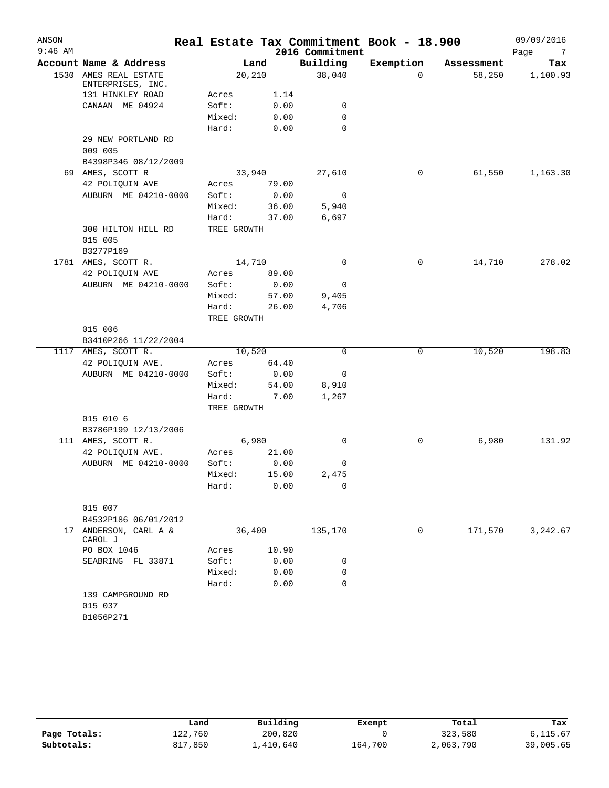| 2016 Commitment<br>Account Name & Address<br>Building<br>Exemption<br>Land<br>Tax<br>Assessment<br>38,040<br>1530 AMES REAL ESTATE<br>20,210<br>58,250<br>1,100.93<br>0<br>ENTERPRISES, INC.<br>131 HINKLEY ROAD<br>Acres<br>1.14<br>CANAAN ME 04924<br>Soft:<br>0.00<br>0<br>0<br>Mixed:<br>0.00<br>0<br>Hard:<br>0.00<br>29 NEW PORTLAND RD<br>009 005<br>B4398P346 08/12/2009<br>61,550<br>69 AMES, SCOTT R<br>33,940<br>27,610<br>0<br>42 POLIQUIN AVE<br>79.00<br>Acres<br>AUBURN ME 04210-0000<br>Soft:<br>0.00<br>$\overline{0}$<br>Mixed:<br>36.00<br>5,940<br>6,697<br>Hard:<br>37.00<br>300 HILTON HILL RD<br>TREE GROWTH<br>015 005<br>B3277P169<br>14,710<br>0<br>278.02<br>1781 AMES, SCOTT R.<br>0<br>14,710<br>89.00<br>42 POLIQUIN AVE<br>Acres<br>AUBURN ME 04210-0000<br>Soft:<br>0.00<br>0<br>Mixed:<br>57.00<br>9,405<br>Hard:<br>26.00<br>4,706<br>TREE GROWTH<br>015 006<br>B3410P266 11/22/2004<br>10,520<br>10,520<br>198.83<br>1117 AMES, SCOTT R.<br>$\Omega$<br>0<br>42 POLIQUIN AVE.<br>64.40<br>Acres<br>AUBURN ME 04210-0000<br>0.00<br>Soft:<br>0<br>Mixed:<br>54.00<br>8,910<br>Hard:<br>1,267<br>7.00<br>TREE GROWTH<br>015 010 6<br>B3786P199 12/13/2006<br>6,980<br>6,980<br>111 AMES, SCOTT R.<br>0<br>0<br>21.00<br>42 POLIQUIN AVE.<br>Acres<br>AUBURN ME 04210-0000<br>Soft:<br>0.00<br>0<br>15.00<br>Mixed:<br>2,475<br>0.00<br>0<br>Hard:<br>015 007<br>B4532P186 06/01/2012<br>36,400<br>171,570<br>17 ANDERSON, CARL A &<br>135,170<br>0<br>3,242.67<br>CAROL J<br>PO BOX 1046<br>10.90<br>Acres<br>Soft:<br>SEABRING FL 33871<br>0.00<br>0 | ANSON<br>$9:46$ AM |  |  | Real Estate Tax Commitment Book - 18.900 | 09/09/2016             |
|----------------------------------------------------------------------------------------------------------------------------------------------------------------------------------------------------------------------------------------------------------------------------------------------------------------------------------------------------------------------------------------------------------------------------------------------------------------------------------------------------------------------------------------------------------------------------------------------------------------------------------------------------------------------------------------------------------------------------------------------------------------------------------------------------------------------------------------------------------------------------------------------------------------------------------------------------------------------------------------------------------------------------------------------------------------------------------------------------------------------------------------------------------------------------------------------------------------------------------------------------------------------------------------------------------------------------------------------------------------------------------------------------------------------------------------------------------------------------------------------------------------------------------------------------------------------------------------|--------------------|--|--|------------------------------------------|------------------------|
|                                                                                                                                                                                                                                                                                                                                                                                                                                                                                                                                                                                                                                                                                                                                                                                                                                                                                                                                                                                                                                                                                                                                                                                                                                                                                                                                                                                                                                                                                                                                                                                        |                    |  |  |                                          | Page<br>$\overline{7}$ |
|                                                                                                                                                                                                                                                                                                                                                                                                                                                                                                                                                                                                                                                                                                                                                                                                                                                                                                                                                                                                                                                                                                                                                                                                                                                                                                                                                                                                                                                                                                                                                                                        |                    |  |  |                                          |                        |
|                                                                                                                                                                                                                                                                                                                                                                                                                                                                                                                                                                                                                                                                                                                                                                                                                                                                                                                                                                                                                                                                                                                                                                                                                                                                                                                                                                                                                                                                                                                                                                                        |                    |  |  |                                          |                        |
|                                                                                                                                                                                                                                                                                                                                                                                                                                                                                                                                                                                                                                                                                                                                                                                                                                                                                                                                                                                                                                                                                                                                                                                                                                                                                                                                                                                                                                                                                                                                                                                        |                    |  |  |                                          |                        |
|                                                                                                                                                                                                                                                                                                                                                                                                                                                                                                                                                                                                                                                                                                                                                                                                                                                                                                                                                                                                                                                                                                                                                                                                                                                                                                                                                                                                                                                                                                                                                                                        |                    |  |  |                                          |                        |
|                                                                                                                                                                                                                                                                                                                                                                                                                                                                                                                                                                                                                                                                                                                                                                                                                                                                                                                                                                                                                                                                                                                                                                                                                                                                                                                                                                                                                                                                                                                                                                                        |                    |  |  |                                          |                        |
|                                                                                                                                                                                                                                                                                                                                                                                                                                                                                                                                                                                                                                                                                                                                                                                                                                                                                                                                                                                                                                                                                                                                                                                                                                                                                                                                                                                                                                                                                                                                                                                        |                    |  |  |                                          |                        |
|                                                                                                                                                                                                                                                                                                                                                                                                                                                                                                                                                                                                                                                                                                                                                                                                                                                                                                                                                                                                                                                                                                                                                                                                                                                                                                                                                                                                                                                                                                                                                                                        |                    |  |  |                                          |                        |
|                                                                                                                                                                                                                                                                                                                                                                                                                                                                                                                                                                                                                                                                                                                                                                                                                                                                                                                                                                                                                                                                                                                                                                                                                                                                                                                                                                                                                                                                                                                                                                                        |                    |  |  |                                          |                        |
|                                                                                                                                                                                                                                                                                                                                                                                                                                                                                                                                                                                                                                                                                                                                                                                                                                                                                                                                                                                                                                                                                                                                                                                                                                                                                                                                                                                                                                                                                                                                                                                        |                    |  |  |                                          |                        |
|                                                                                                                                                                                                                                                                                                                                                                                                                                                                                                                                                                                                                                                                                                                                                                                                                                                                                                                                                                                                                                                                                                                                                                                                                                                                                                                                                                                                                                                                                                                                                                                        |                    |  |  |                                          | 1,163.30               |
|                                                                                                                                                                                                                                                                                                                                                                                                                                                                                                                                                                                                                                                                                                                                                                                                                                                                                                                                                                                                                                                                                                                                                                                                                                                                                                                                                                                                                                                                                                                                                                                        |                    |  |  |                                          |                        |
|                                                                                                                                                                                                                                                                                                                                                                                                                                                                                                                                                                                                                                                                                                                                                                                                                                                                                                                                                                                                                                                                                                                                                                                                                                                                                                                                                                                                                                                                                                                                                                                        |                    |  |  |                                          |                        |
|                                                                                                                                                                                                                                                                                                                                                                                                                                                                                                                                                                                                                                                                                                                                                                                                                                                                                                                                                                                                                                                                                                                                                                                                                                                                                                                                                                                                                                                                                                                                                                                        |                    |  |  |                                          |                        |
|                                                                                                                                                                                                                                                                                                                                                                                                                                                                                                                                                                                                                                                                                                                                                                                                                                                                                                                                                                                                                                                                                                                                                                                                                                                                                                                                                                                                                                                                                                                                                                                        |                    |  |  |                                          |                        |
|                                                                                                                                                                                                                                                                                                                                                                                                                                                                                                                                                                                                                                                                                                                                                                                                                                                                                                                                                                                                                                                                                                                                                                                                                                                                                                                                                                                                                                                                                                                                                                                        |                    |  |  |                                          |                        |
|                                                                                                                                                                                                                                                                                                                                                                                                                                                                                                                                                                                                                                                                                                                                                                                                                                                                                                                                                                                                                                                                                                                                                                                                                                                                                                                                                                                                                                                                                                                                                                                        |                    |  |  |                                          |                        |
|                                                                                                                                                                                                                                                                                                                                                                                                                                                                                                                                                                                                                                                                                                                                                                                                                                                                                                                                                                                                                                                                                                                                                                                                                                                                                                                                                                                                                                                                                                                                                                                        |                    |  |  |                                          |                        |
|                                                                                                                                                                                                                                                                                                                                                                                                                                                                                                                                                                                                                                                                                                                                                                                                                                                                                                                                                                                                                                                                                                                                                                                                                                                                                                                                                                                                                                                                                                                                                                                        |                    |  |  |                                          |                        |
|                                                                                                                                                                                                                                                                                                                                                                                                                                                                                                                                                                                                                                                                                                                                                                                                                                                                                                                                                                                                                                                                                                                                                                                                                                                                                                                                                                                                                                                                                                                                                                                        |                    |  |  |                                          |                        |
|                                                                                                                                                                                                                                                                                                                                                                                                                                                                                                                                                                                                                                                                                                                                                                                                                                                                                                                                                                                                                                                                                                                                                                                                                                                                                                                                                                                                                                                                                                                                                                                        |                    |  |  |                                          |                        |
|                                                                                                                                                                                                                                                                                                                                                                                                                                                                                                                                                                                                                                                                                                                                                                                                                                                                                                                                                                                                                                                                                                                                                                                                                                                                                                                                                                                                                                                                                                                                                                                        |                    |  |  |                                          |                        |
|                                                                                                                                                                                                                                                                                                                                                                                                                                                                                                                                                                                                                                                                                                                                                                                                                                                                                                                                                                                                                                                                                                                                                                                                                                                                                                                                                                                                                                                                                                                                                                                        |                    |  |  |                                          |                        |
|                                                                                                                                                                                                                                                                                                                                                                                                                                                                                                                                                                                                                                                                                                                                                                                                                                                                                                                                                                                                                                                                                                                                                                                                                                                                                                                                                                                                                                                                                                                                                                                        |                    |  |  |                                          |                        |
|                                                                                                                                                                                                                                                                                                                                                                                                                                                                                                                                                                                                                                                                                                                                                                                                                                                                                                                                                                                                                                                                                                                                                                                                                                                                                                                                                                                                                                                                                                                                                                                        |                    |  |  |                                          |                        |
|                                                                                                                                                                                                                                                                                                                                                                                                                                                                                                                                                                                                                                                                                                                                                                                                                                                                                                                                                                                                                                                                                                                                                                                                                                                                                                                                                                                                                                                                                                                                                                                        |                    |  |  |                                          |                        |
|                                                                                                                                                                                                                                                                                                                                                                                                                                                                                                                                                                                                                                                                                                                                                                                                                                                                                                                                                                                                                                                                                                                                                                                                                                                                                                                                                                                                                                                                                                                                                                                        |                    |  |  |                                          |                        |
|                                                                                                                                                                                                                                                                                                                                                                                                                                                                                                                                                                                                                                                                                                                                                                                                                                                                                                                                                                                                                                                                                                                                                                                                                                                                                                                                                                                                                                                                                                                                                                                        |                    |  |  |                                          |                        |
|                                                                                                                                                                                                                                                                                                                                                                                                                                                                                                                                                                                                                                                                                                                                                                                                                                                                                                                                                                                                                                                                                                                                                                                                                                                                                                                                                                                                                                                                                                                                                                                        |                    |  |  |                                          |                        |
|                                                                                                                                                                                                                                                                                                                                                                                                                                                                                                                                                                                                                                                                                                                                                                                                                                                                                                                                                                                                                                                                                                                                                                                                                                                                                                                                                                                                                                                                                                                                                                                        |                    |  |  |                                          |                        |
|                                                                                                                                                                                                                                                                                                                                                                                                                                                                                                                                                                                                                                                                                                                                                                                                                                                                                                                                                                                                                                                                                                                                                                                                                                                                                                                                                                                                                                                                                                                                                                                        |                    |  |  |                                          |                        |
|                                                                                                                                                                                                                                                                                                                                                                                                                                                                                                                                                                                                                                                                                                                                                                                                                                                                                                                                                                                                                                                                                                                                                                                                                                                                                                                                                                                                                                                                                                                                                                                        |                    |  |  |                                          |                        |
|                                                                                                                                                                                                                                                                                                                                                                                                                                                                                                                                                                                                                                                                                                                                                                                                                                                                                                                                                                                                                                                                                                                                                                                                                                                                                                                                                                                                                                                                                                                                                                                        |                    |  |  |                                          |                        |
|                                                                                                                                                                                                                                                                                                                                                                                                                                                                                                                                                                                                                                                                                                                                                                                                                                                                                                                                                                                                                                                                                                                                                                                                                                                                                                                                                                                                                                                                                                                                                                                        |                    |  |  |                                          | 131.92                 |
|                                                                                                                                                                                                                                                                                                                                                                                                                                                                                                                                                                                                                                                                                                                                                                                                                                                                                                                                                                                                                                                                                                                                                                                                                                                                                                                                                                                                                                                                                                                                                                                        |                    |  |  |                                          |                        |
|                                                                                                                                                                                                                                                                                                                                                                                                                                                                                                                                                                                                                                                                                                                                                                                                                                                                                                                                                                                                                                                                                                                                                                                                                                                                                                                                                                                                                                                                                                                                                                                        |                    |  |  |                                          |                        |
|                                                                                                                                                                                                                                                                                                                                                                                                                                                                                                                                                                                                                                                                                                                                                                                                                                                                                                                                                                                                                                                                                                                                                                                                                                                                                                                                                                                                                                                                                                                                                                                        |                    |  |  |                                          |                        |
|                                                                                                                                                                                                                                                                                                                                                                                                                                                                                                                                                                                                                                                                                                                                                                                                                                                                                                                                                                                                                                                                                                                                                                                                                                                                                                                                                                                                                                                                                                                                                                                        |                    |  |  |                                          |                        |
|                                                                                                                                                                                                                                                                                                                                                                                                                                                                                                                                                                                                                                                                                                                                                                                                                                                                                                                                                                                                                                                                                                                                                                                                                                                                                                                                                                                                                                                                                                                                                                                        |                    |  |  |                                          |                        |
|                                                                                                                                                                                                                                                                                                                                                                                                                                                                                                                                                                                                                                                                                                                                                                                                                                                                                                                                                                                                                                                                                                                                                                                                                                                                                                                                                                                                                                                                                                                                                                                        |                    |  |  |                                          |                        |
|                                                                                                                                                                                                                                                                                                                                                                                                                                                                                                                                                                                                                                                                                                                                                                                                                                                                                                                                                                                                                                                                                                                                                                                                                                                                                                                                                                                                                                                                                                                                                                                        |                    |  |  |                                          |                        |
|                                                                                                                                                                                                                                                                                                                                                                                                                                                                                                                                                                                                                                                                                                                                                                                                                                                                                                                                                                                                                                                                                                                                                                                                                                                                                                                                                                                                                                                                                                                                                                                        |                    |  |  |                                          |                        |
|                                                                                                                                                                                                                                                                                                                                                                                                                                                                                                                                                                                                                                                                                                                                                                                                                                                                                                                                                                                                                                                                                                                                                                                                                                                                                                                                                                                                                                                                                                                                                                                        |                    |  |  |                                          |                        |
|                                                                                                                                                                                                                                                                                                                                                                                                                                                                                                                                                                                                                                                                                                                                                                                                                                                                                                                                                                                                                                                                                                                                                                                                                                                                                                                                                                                                                                                                                                                                                                                        |                    |  |  |                                          |                        |
| Mixed:<br>0.00<br>0                                                                                                                                                                                                                                                                                                                                                                                                                                                                                                                                                                                                                                                                                                                                                                                                                                                                                                                                                                                                                                                                                                                                                                                                                                                                                                                                                                                                                                                                                                                                                                    |                    |  |  |                                          |                        |
| Hard:<br>0.00<br>0                                                                                                                                                                                                                                                                                                                                                                                                                                                                                                                                                                                                                                                                                                                                                                                                                                                                                                                                                                                                                                                                                                                                                                                                                                                                                                                                                                                                                                                                                                                                                                     |                    |  |  |                                          |                        |
| 139 CAMPGROUND RD<br>015 037                                                                                                                                                                                                                                                                                                                                                                                                                                                                                                                                                                                                                                                                                                                                                                                                                                                                                                                                                                                                                                                                                                                                                                                                                                                                                                                                                                                                                                                                                                                                                           |                    |  |  |                                          |                        |
| B1056P271                                                                                                                                                                                                                                                                                                                                                                                                                                                                                                                                                                                                                                                                                                                                                                                                                                                                                                                                                                                                                                                                                                                                                                                                                                                                                                                                                                                                                                                                                                                                                                              |                    |  |  |                                          |                        |

|              | Land    | Building  | Exempt  | Total     | Tax       |
|--------------|---------|-----------|---------|-----------|-----------|
| Page Totals: | 122,760 | 200,820   |         | 323,580   | 6,115.67  |
| Subtotals:   | 817,850 | 1,410,640 | 164,700 | 2,063,790 | 39,005.65 |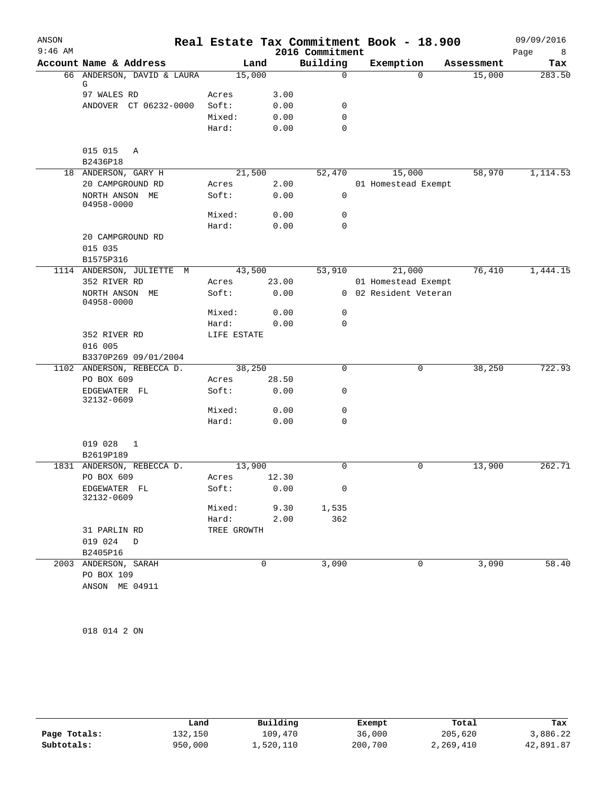| ANSON     |                                 |             |       |                 | Real Estate Tax Commitment Book - 18.900 |            | 09/09/2016 |
|-----------|---------------------------------|-------------|-------|-----------------|------------------------------------------|------------|------------|
| $9:46$ AM |                                 |             |       | 2016 Commitment |                                          |            | Page<br>8  |
|           | Account Name & Address          | Land        |       | Building        | Exemption                                | Assessment | Tax        |
|           | 66 ANDERSON, DAVID & LAURA<br>G | 15,000      |       | $\mathbf 0$     | $\Omega$                                 | 15,000     | 283.50     |
|           | 97 WALES RD                     | Acres       | 3.00  |                 |                                          |            |            |
|           | ANDOVER CT 06232-0000           | Soft:       | 0.00  | 0               |                                          |            |            |
|           |                                 | Mixed:      | 0.00  | $\mathbf 0$     |                                          |            |            |
|           |                                 | Hard:       | 0.00  | $\mathbf 0$     |                                          |            |            |
|           | 015 015<br>A                    |             |       |                 |                                          |            |            |
|           | B2436P18                        |             |       |                 |                                          |            |            |
|           | 18 ANDERSON, GARY H             | 21,500      |       | 52,470          | 15,000                                   | 58,970     | 1,114.53   |
|           | 20 CAMPGROUND RD                | Acres       | 2.00  |                 | 01 Homestead Exempt                      |            |            |
|           | NORTH ANSON ME<br>04958-0000    | Soft:       | 0.00  | $\mathbf 0$     |                                          |            |            |
|           |                                 | Mixed:      | 0.00  | 0               |                                          |            |            |
|           |                                 | Hard:       | 0.00  | 0               |                                          |            |            |
|           | 20 CAMPGROUND RD                |             |       |                 |                                          |            |            |
|           | 015 035                         |             |       |                 |                                          |            |            |
|           | B1575P316                       |             |       |                 |                                          |            |            |
|           | 1114 ANDERSON, JULIETTE M       | 43,500      |       | 53,910          | 21,000                                   | 76,410     | 1,444.15   |
|           | 352 RIVER RD                    | Acres       | 23.00 |                 | 01 Homestead Exempt                      |            |            |
|           | NORTH ANSON ME<br>04958-0000    | Soft:       | 0.00  |                 | 0 02 Resident Veteran                    |            |            |
|           |                                 | Mixed:      | 0.00  | 0               |                                          |            |            |
|           |                                 | Hard:       | 0.00  | $\mathbf 0$     |                                          |            |            |
|           | 352 RIVER RD                    | LIFE ESTATE |       |                 |                                          |            |            |
|           | 016 005                         |             |       |                 |                                          |            |            |
|           | B3370P269 09/01/2004            |             |       |                 |                                          |            |            |
|           | 1102 ANDERSON, REBECCA D.       | 38,250      |       | $\mathbf 0$     | 0                                        | 38,250     | 722.93     |
|           | PO BOX 609                      | Acres       | 28.50 |                 |                                          |            |            |
|           | EDGEWATER FL<br>32132-0609      | Soft:       | 0.00  | 0               |                                          |            |            |
|           |                                 | Mixed:      | 0.00  | 0               |                                          |            |            |
|           |                                 | Hard:       | 0.00  | $\mathbf 0$     |                                          |            |            |
|           | 019 028<br>1                    |             |       |                 |                                          |            |            |
|           | B2619P189                       |             |       |                 |                                          |            |            |
|           | 1831 ANDERSON, REBECCA D.       | 13,900      |       | 0               | 0                                        | 13,900     | 262.71     |
|           | PO BOX 609                      | Acres       | 12.30 |                 |                                          |            |            |
|           | EDGEWATER FL<br>32132-0609      | Soft:       | 0.00  | 0               |                                          |            |            |
|           |                                 | Mixed:      | 9.30  | 1,535           |                                          |            |            |
|           |                                 | Hard:       | 2.00  | 362             |                                          |            |            |
|           | 31 PARLIN RD                    | TREE GROWTH |       |                 |                                          |            |            |
|           | 019 024<br>D                    |             |       |                 |                                          |            |            |
|           | B2405P16                        |             |       |                 |                                          |            |            |
| 2003      | ANDERSON, SARAH                 | 0           |       | 3,090           | 0                                        | 3,090      | 58.40      |
|           | PO BOX 109                      |             |       |                 |                                          |            |            |
|           | ANSON ME 04911                  |             |       |                 |                                          |            |            |

018 014 2 ON

|              | Land    | Building  | Exempt  | Total     | Tax       |
|--------------|---------|-----------|---------|-----------|-----------|
| Page Totals: | 132,150 | 109,470   | 36,000  | 205,620   | 3,886.22  |
| Subtotals:   | 950,000 | 1,520,110 | 200,700 | 2,269,410 | 42,891.87 |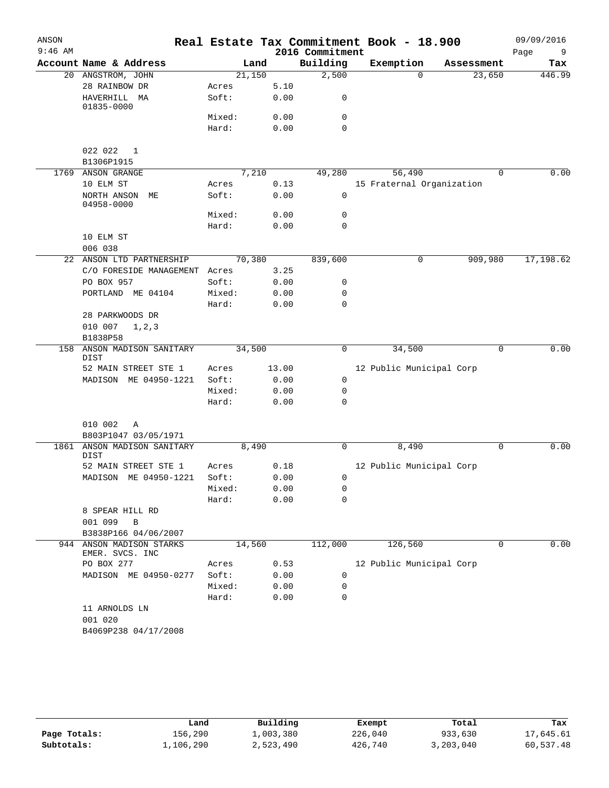| ANSON     |                                         |        |        |                 | Real Estate Tax Commitment Book - 18.900 |             | 09/09/2016  |
|-----------|-----------------------------------------|--------|--------|-----------------|------------------------------------------|-------------|-------------|
| $9:46$ AM |                                         |        |        | 2016 Commitment |                                          |             | Page<br>- 9 |
|           | Account Name & Address                  |        | Land   | Building        | Exemption                                | Assessment  | Tax         |
|           | 20 ANGSTROM, JOHN                       |        | 21,150 | 2,500           | $\Omega$                                 | 23,650      | 446.99      |
|           | 28 RAINBOW DR                           | Acres  | 5.10   |                 |                                          |             |             |
|           | HAVERHILL MA<br>01835-0000              | Soft:  | 0.00   | 0               |                                          |             |             |
|           |                                         | Mixed: | 0.00   | 0               |                                          |             |             |
|           |                                         | Hard:  | 0.00   | $\Omega$        |                                          |             |             |
|           | 022 022<br>1<br>B1306P1915              |        |        |                 |                                          |             |             |
|           | 1769 ANSON GRANGE                       |        | 7,210  | 49,280          | 56,490                                   | $\Omega$    | 0.00        |
|           | 10 ELM ST                               | Acres  | 0.13   |                 | 15 Fraternal Organization                |             |             |
|           | NORTH ANSON<br>МE<br>04958-0000         | Soft:  | 0.00   | $\mathbf 0$     |                                          |             |             |
|           |                                         | Mixed: | 0.00   | 0               |                                          |             |             |
|           |                                         | Hard:  | 0.00   | $\mathbf 0$     |                                          |             |             |
|           | 10 ELM ST                               |        |        |                 |                                          |             |             |
|           | 006 038                                 |        |        |                 |                                          |             |             |
| 22        | ANSON LTD PARTNERSHIP                   |        | 70,380 | 839,600         | 0                                        | 909,980     | 17, 198.62  |
|           | C/O FORESIDE MANAGEMENT Acres           |        | 3.25   |                 |                                          |             |             |
|           | PO BOX 957                              | Soft:  | 0.00   | 0               |                                          |             |             |
|           | PORTLAND ME 04104                       | Mixed: | 0.00   | 0               |                                          |             |             |
|           |                                         | Hard:  | 0.00   | $\Omega$        |                                          |             |             |
|           | 28 PARKWOODS DR                         |        |        |                 |                                          |             |             |
|           | 010 007<br>1, 2, 3                      |        |        |                 |                                          |             |             |
|           | B1838P58                                |        |        |                 |                                          |             |             |
| 158       | ANSON MADISON SANITARY<br>DIST          |        | 34,500 | 0               | 34,500                                   | $\mathbf 0$ | 0.00        |
|           | 52 MAIN STREET STE 1                    | Acres  | 13.00  |                 | 12 Public Municipal Corp                 |             |             |
|           | MADISON ME 04950-1221                   | Soft:  | 0.00   | $\mathbf 0$     |                                          |             |             |
|           |                                         | Mixed: | 0.00   | $\mathbf 0$     |                                          |             |             |
|           |                                         | Hard:  | 0.00   | 0               |                                          |             |             |
|           | 010 002<br>Α<br>B803P1047 03/05/1971    |        |        |                 |                                          |             |             |
|           | 1861 ANSON MADISON SANITARY             |        | 8,490  | 0               | 8,490                                    | $\mathbf 0$ | 0.00        |
|           | <b>DIST</b><br>52 MAIN STREET STE 1     | Acres  | 0.18   |                 | 12 Public Municipal Corp                 |             |             |
|           | MADISON ME 04950-1221                   | Soft:  | 0.00   | 0               |                                          |             |             |
|           |                                         | Mixed: | 0.00   | 0               |                                          |             |             |
|           |                                         | Hard:  | 0.00   | 0               |                                          |             |             |
|           | 8 SPEAR HILL RD<br>001 099<br>В         |        |        |                 |                                          |             |             |
|           | B3838P166 04/06/2007                    |        |        |                 |                                          |             |             |
| 944       | ANSON MADISON STARKS<br>EMER. SVCS. INC |        | 14,560 | 112,000         | 126,560                                  | 0           | 0.00        |
|           | PO BOX 277                              | Acres  | 0.53   |                 | 12 Public Municipal Corp                 |             |             |
|           | MADISON ME 04950-0277                   | Soft:  | 0.00   | 0               |                                          |             |             |
|           |                                         | Mixed: | 0.00   | 0               |                                          |             |             |
|           |                                         | Hard:  | 0.00   | 0               |                                          |             |             |
|           | 11 ARNOLDS LN                           |        |        |                 |                                          |             |             |
|           | 001 020                                 |        |        |                 |                                          |             |             |
|           | B4069P238 04/17/2008                    |        |        |                 |                                          |             |             |

|              | Land      | Building  | Exempt  | Total     | Tax       |
|--------------|-----------|-----------|---------|-----------|-----------|
| Page Totals: | 156,290   | ⊥,003,380 | 226,040 | 933,630   | 17,645.61 |
| Subtotals:   | 1,106,290 | 2,523,490 | 426,740 | 3,203,040 | 60,537.48 |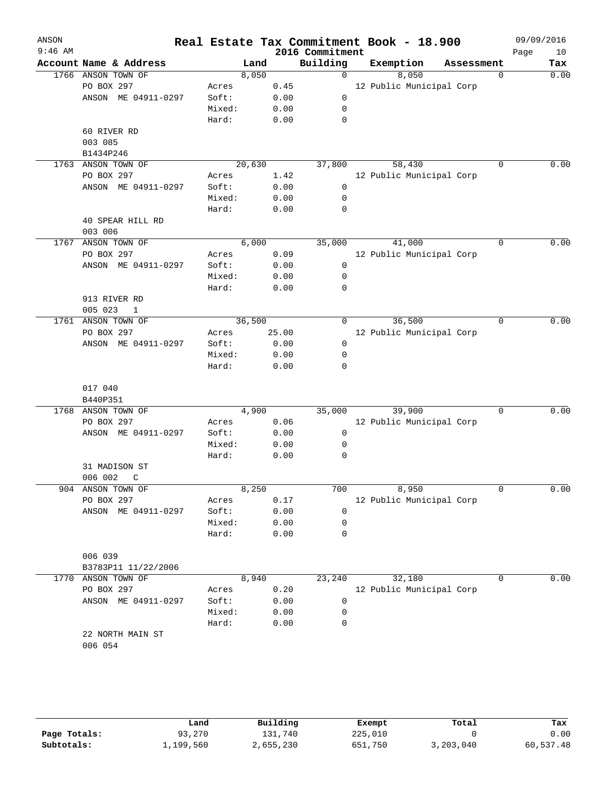| ANSON<br>$9:46$ AM |                          |        |        |       | 2016 Commitment | Real Estate Tax Commitment Book - 18.900 |            |             | 09/09/2016<br>Page | 10   |
|--------------------|--------------------------|--------|--------|-------|-----------------|------------------------------------------|------------|-------------|--------------------|------|
|                    | Account Name & Address   |        | Land   |       | Building        | Exemption                                | Assessment |             |                    | Tax  |
|                    | 1766 ANSON TOWN OF       |        | 8,050  |       | 0               | 8,050                                    |            | 0           |                    | 0.00 |
|                    | PO BOX 297               | Acres  |        | 0.45  |                 | 12 Public Municipal Corp                 |            |             |                    |      |
|                    | ANSON ME 04911-0297      | Soft:  |        | 0.00  | $\mathbf 0$     |                                          |            |             |                    |      |
|                    |                          | Mixed: |        | 0.00  | 0               |                                          |            |             |                    |      |
|                    |                          | Hard:  |        | 0.00  | 0               |                                          |            |             |                    |      |
|                    | 60 RIVER RD              |        |        |       |                 |                                          |            |             |                    |      |
|                    | 003 085                  |        |        |       |                 |                                          |            |             |                    |      |
|                    | B1434P246                |        |        |       |                 |                                          |            |             |                    |      |
|                    | 1763 ANSON TOWN OF       |        | 20,630 |       | 37,800          | 58,430                                   |            | 0           |                    | 0.00 |
|                    | PO BOX 297               | Acres  |        | 1.42  |                 | 12 Public Municipal Corp                 |            |             |                    |      |
|                    | ANSON ME 04911-0297      | Soft:  |        | 0.00  | $\mathbf 0$     |                                          |            |             |                    |      |
|                    |                          | Mixed: |        | 0.00  | $\mathbf 0$     |                                          |            |             |                    |      |
|                    |                          | Hard:  |        | 0.00  | 0               |                                          |            |             |                    |      |
|                    | 40 SPEAR HILL RD         |        |        |       |                 |                                          |            |             |                    |      |
|                    | 003 006                  |        |        |       |                 |                                          |            |             |                    |      |
|                    | 1767 ANSON TOWN OF       |        | 6,000  |       | 35,000          | 41,000                                   |            | $\Omega$    |                    | 0.00 |
|                    | PO BOX 297               | Acres  |        | 0.09  |                 | 12 Public Municipal Corp                 |            |             |                    |      |
|                    | ANSON ME 04911-0297      | Soft:  |        | 0.00  | $\mathbf 0$     |                                          |            |             |                    |      |
|                    |                          | Mixed: |        | 0.00  | 0               |                                          |            |             |                    |      |
|                    |                          | Hard:  |        | 0.00  | 0               |                                          |            |             |                    |      |
|                    | 913 RIVER RD             |        |        |       |                 |                                          |            |             |                    |      |
|                    | 005 023<br>$\mathbf 1$   |        |        |       |                 |                                          |            |             |                    |      |
|                    | 1761 ANSON TOWN OF       |        | 36,500 |       | 0               | 36,500                                   |            | $\mathbf 0$ |                    | 0.00 |
|                    | PO BOX 297               | Acres  |        | 25.00 |                 | 12 Public Municipal Corp                 |            |             |                    |      |
|                    | ANSON ME 04911-0297      | Soft:  |        | 0.00  | $\mathsf{O}$    |                                          |            |             |                    |      |
|                    |                          | Mixed: |        | 0.00  | 0               |                                          |            |             |                    |      |
|                    |                          | Hard:  |        | 0.00  | 0               |                                          |            |             |                    |      |
|                    | 017 040                  |        |        |       |                 |                                          |            |             |                    |      |
|                    | B440P351                 |        |        |       |                 |                                          |            |             |                    |      |
|                    | 1768 ANSON TOWN OF       |        | 4,900  |       | 35,000          | 39,900                                   |            | $\Omega$    |                    | 0.00 |
|                    | PO BOX 297               | Acres  |        | 0.06  |                 | 12 Public Municipal Corp                 |            |             |                    |      |
|                    | ANSON ME 04911-0297      | Soft:  |        | 0.00  | $\mathbf 0$     |                                          |            |             |                    |      |
|                    |                          | Mixed: |        | 0.00  | 0               |                                          |            |             |                    |      |
|                    |                          | Hard:  |        | 0.00  | 0               |                                          |            |             |                    |      |
|                    | 31 MADISON ST            |        |        |       |                 |                                          |            |             |                    |      |
|                    | 006 002<br>$\mathcal{C}$ |        |        |       |                 |                                          |            |             |                    |      |
|                    | 904 ANSON TOWN OF        |        | 8,250  |       | 700             | 8,950                                    |            | $\mathbf 0$ |                    | 0.00 |
|                    | PO BOX 297               | Acres  |        | 0.17  |                 | 12 Public Municipal Corp                 |            |             |                    |      |
|                    | ANSON ME 04911-0297      | Soft:  |        | 0.00  | 0               |                                          |            |             |                    |      |
|                    |                          | Mixed: |        | 0.00  | 0               |                                          |            |             |                    |      |
|                    |                          | Hard:  |        | 0.00  | 0               |                                          |            |             |                    |      |
|                    | 006 039                  |        |        |       |                 |                                          |            |             |                    |      |
|                    | B3783P11 11/22/2006      |        |        |       |                 |                                          |            |             |                    |      |
|                    | 1770 ANSON TOWN OF       |        | 8,940  |       | 23,240          | 32,180                                   |            | 0           |                    | 0.00 |
|                    | PO BOX 297               | Acres  |        | 0.20  |                 | 12 Public Municipal Corp                 |            |             |                    |      |
|                    | ANSON ME 04911-0297      | Soft:  |        | 0.00  | 0               |                                          |            |             |                    |      |
|                    |                          | Mixed: |        | 0.00  | 0               |                                          |            |             |                    |      |
|                    |                          | Hard:  |        | 0.00  | 0               |                                          |            |             |                    |      |
|                    | 22 NORTH MAIN ST         |        |        |       |                 |                                          |            |             |                    |      |
|                    | 006 054                  |        |        |       |                 |                                          |            |             |                    |      |
|                    |                          |        |        |       |                 |                                          |            |             |                    |      |

|              | Land      | Building  | Exempt  | Total     | Tax       |
|--------------|-----------|-----------|---------|-----------|-----------|
| Page Totals: | 93,270    | 131,740   | 225,010 |           | 0.00      |
| Subtotals:   | ⊥,199,560 | 2,655,230 | 651,750 | 3,203,040 | 60,537.48 |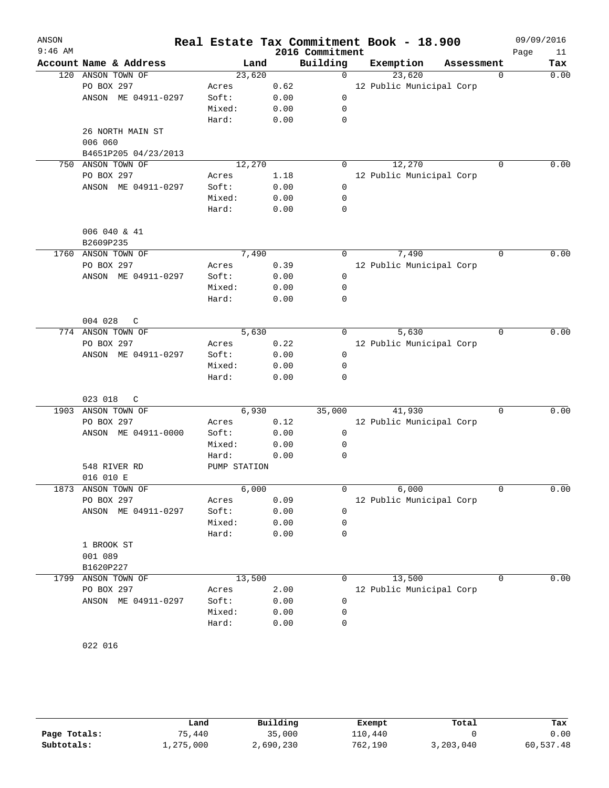| ANSON<br>$9:46$ AM |                        |                       |        | 2016 Commitment | Real Estate Tax Commitment Book - 18.900 |             | 09/09/2016<br>Page<br>11 |
|--------------------|------------------------|-----------------------|--------|-----------------|------------------------------------------|-------------|--------------------------|
|                    | Account Name & Address |                       | Land   | Building        | Exemption                                | Assessment  | Tax                      |
| 120                | ANSON TOWN OF          |                       | 23,620 | $\mathbf 0$     | 23,620                                   | 0           | 0.00                     |
|                    | PO BOX 297             | Acres                 | 0.62   |                 | 12 Public Municipal Corp                 |             |                          |
|                    | ANSON ME 04911-0297    | Soft:                 | 0.00   | 0               |                                          |             |                          |
|                    |                        | Mixed:                | 0.00   | 0               |                                          |             |                          |
|                    |                        | Hard:                 | 0.00   | $\mathbf 0$     |                                          |             |                          |
|                    | 26 NORTH MAIN ST       |                       |        |                 |                                          |             |                          |
|                    | 006 060                |                       |        |                 |                                          |             |                          |
|                    | B4651P205 04/23/2013   |                       |        |                 |                                          |             |                          |
| 750                | ANSON TOWN OF          |                       | 12,270 | 0               | 12,270                                   | $\Omega$    | 0.00                     |
|                    | PO BOX 297             | Acres                 | 1.18   |                 | 12 Public Municipal Corp                 |             |                          |
|                    | ANSON ME 04911-0297    | Soft:                 | 0.00   | 0               |                                          |             |                          |
|                    |                        | Mixed:                | 0.00   | 0               |                                          |             |                          |
|                    |                        | Hard:                 | 0.00   | 0               |                                          |             |                          |
|                    | 006 040 & 41           |                       |        |                 |                                          |             |                          |
|                    | B2609P235              |                       |        |                 |                                          |             |                          |
| 1760               | ANSON TOWN OF          |                       | 7,490  | 0               | 7,490                                    | 0           | 0.00                     |
|                    | PO BOX 297             | Acres                 | 0.39   |                 | 12 Public Municipal Corp                 |             |                          |
|                    | ANSON ME 04911-0297    | Soft:                 | 0.00   | 0               |                                          |             |                          |
|                    |                        | Mixed:                | 0.00   | 0               |                                          |             |                          |
|                    |                        | Hard:                 | 0.00   | $\mathbf 0$     |                                          |             |                          |
|                    |                        |                       |        |                 |                                          |             |                          |
|                    | 004 028<br>C           |                       |        |                 |                                          |             |                          |
| 774                | ANSON TOWN OF          |                       | 5,630  | 0               | 5,630                                    | 0           | 0.00                     |
|                    | PO BOX 297             | Acres                 | 0.22   |                 | 12 Public Municipal Corp                 |             |                          |
|                    | ANSON ME 04911-0297    | Soft:                 | 0.00   | 0               |                                          |             |                          |
|                    |                        | Mixed:                | 0.00   | 0               |                                          |             |                          |
|                    |                        | Hard:                 | 0.00   | $\mathbf 0$     |                                          |             |                          |
|                    |                        |                       |        |                 |                                          |             |                          |
|                    | 023 018<br>C           |                       |        |                 |                                          |             |                          |
| 1903               | ANSON TOWN OF          |                       | 6,930  | 35,000          | 41,930                                   | $\Omega$    | 0.00                     |
|                    | PO BOX 297             | Acres                 | 0.12   |                 | 12 Public Municipal Corp                 |             |                          |
|                    | ANSON ME 04911-0000    | Soft:                 | 0.00   | 0               |                                          |             |                          |
|                    |                        | Mixed:                | 0.00   | 0               |                                          |             |                          |
|                    | 548 RIVER RD           | Hard:<br>PUMP STATION | 0.00   | 0               |                                          |             |                          |
|                    | 016 010 E              |                       |        |                 |                                          |             |                          |
| 1873               | ANSON TOWN OF          |                       | 6,000  | 0               | 6,000                                    | $\mathbf 0$ | 0.00                     |
|                    | PO BOX 297             | Acres                 | 0.09   |                 | 12 Public Municipal Corp                 |             |                          |
|                    | ANSON ME 04911-0297    | Soft:                 | 0.00   | 0               |                                          |             |                          |
|                    |                        | Mixed:                | 0.00   | 0               |                                          |             |                          |
|                    |                        | Hard:                 | 0.00   | 0               |                                          |             |                          |
|                    | 1 BROOK ST             |                       |        |                 |                                          |             |                          |
|                    | 001 089                |                       |        |                 |                                          |             |                          |
|                    | B1620P227              |                       |        |                 |                                          |             |                          |
| 1799               | ANSON TOWN OF          |                       | 13,500 | 0               | 13,500                                   | 0           | 0.00                     |
|                    | PO BOX 297             | Acres                 | 2.00   |                 | 12 Public Municipal Corp                 |             |                          |
|                    | ANSON ME 04911-0297    | Soft:                 | 0.00   | 0               |                                          |             |                          |
|                    |                        | Mixed:                | 0.00   | 0               |                                          |             |                          |
|                    |                        | Hard:                 | 0.00   | 0               |                                          |             |                          |
|                    |                        |                       |        |                 |                                          |             |                          |

022 016

|              | Land      | Building  | Exempt  | Total     | Tax       |
|--------------|-----------|-----------|---------|-----------|-----------|
| Page Totals: | 75,440    | 35,000    | 110,440 |           | 0.00      |
| Subtotals:   | 1,275,000 | 2,690,230 | 762,190 | 3,203,040 | 60,537.48 |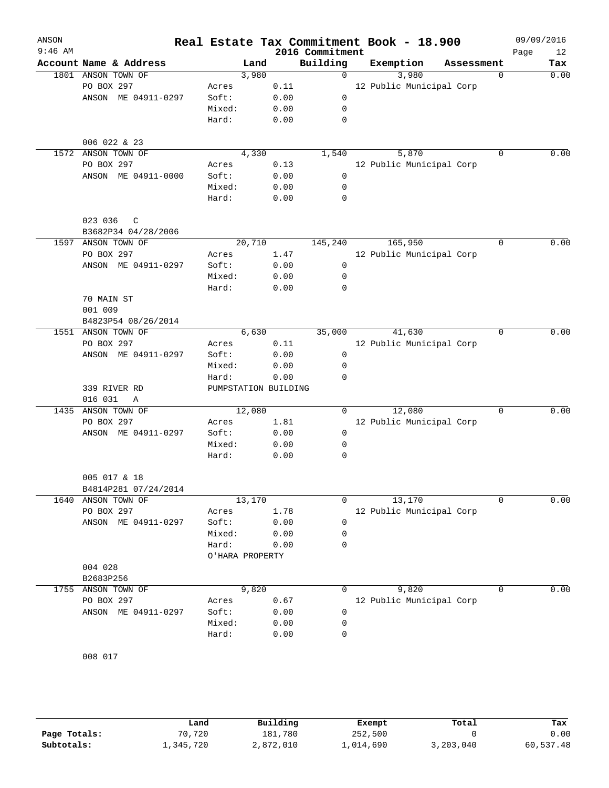| ANSON     |                        |                      |        |      |                 | Real Estate Tax Commitment Book - 18.900 |            |          | 09/09/2016 |      |
|-----------|------------------------|----------------------|--------|------|-----------------|------------------------------------------|------------|----------|------------|------|
| $9:46$ AM |                        |                      |        |      | 2016 Commitment |                                          |            |          | Page       | 12   |
|           | Account Name & Address |                      | Land   |      | Building        | Exemption                                | Assessment |          |            | Tax  |
|           | 1801 ANSON TOWN OF     |                      | 3,980  |      | $\Omega$        | 3,980                                    |            | $\Omega$ |            | 0.00 |
|           | PO BOX 297             | Acres                |        | 0.11 |                 | 12 Public Municipal Corp                 |            |          |            |      |
|           | ANSON ME 04911-0297    | Soft:                |        | 0.00 | $\mathbf 0$     |                                          |            |          |            |      |
|           |                        | Mixed:               |        | 0.00 | 0               |                                          |            |          |            |      |
|           |                        | Hard:                |        | 0.00 | 0               |                                          |            |          |            |      |
|           | 006 022 & 23           |                      |        |      |                 |                                          |            |          |            |      |
|           | 1572 ANSON TOWN OF     |                      | 4,330  |      | 1,540           | 5,870                                    |            | $\Omega$ |            | 0.00 |
|           | PO BOX 297             | Acres                |        | 0.13 |                 | 12 Public Municipal Corp                 |            |          |            |      |
|           | ANSON ME 04911-0000    | Soft:                |        | 0.00 | $\mathbf 0$     |                                          |            |          |            |      |
|           |                        | Mixed:               |        | 0.00 | 0               |                                          |            |          |            |      |
|           |                        | Hard:                |        | 0.00 | 0               |                                          |            |          |            |      |
|           | 023 036<br>C           |                      |        |      |                 |                                          |            |          |            |      |
|           | B3682P34 04/28/2006    |                      |        |      |                 |                                          |            |          |            |      |
|           | 1597 ANSON TOWN OF     |                      | 20,710 |      | 145,240         | 165,950                                  |            | $\Omega$ |            | 0.00 |
|           | PO BOX 297             | Acres                |        | 1.47 |                 | 12 Public Municipal Corp                 |            |          |            |      |
|           | ANSON ME 04911-0297    | Soft:                |        | 0.00 | $\mathbf 0$     |                                          |            |          |            |      |
|           |                        | Mixed:               |        | 0.00 | 0               |                                          |            |          |            |      |
|           |                        | Hard:                |        | 0.00 | 0               |                                          |            |          |            |      |
|           | 70 MAIN ST             |                      |        |      |                 |                                          |            |          |            |      |
|           | 001 009                |                      |        |      |                 |                                          |            |          |            |      |
|           | B4823P54 08/26/2014    |                      |        |      |                 |                                          |            |          |            |      |
|           | 1551 ANSON TOWN OF     |                      | 6,630  |      | 35,000          | 41,630                                   |            | 0        |            | 0.00 |
|           | PO BOX 297             | Acres                |        | 0.11 |                 | 12 Public Municipal Corp                 |            |          |            |      |
|           | ANSON ME 04911-0297    | Soft:                |        | 0.00 | 0               |                                          |            |          |            |      |
|           |                        | Mixed:               |        | 0.00 | 0               |                                          |            |          |            |      |
|           |                        | Hard:                |        | 0.00 | $\mathbf 0$     |                                          |            |          |            |      |
|           | 339 RIVER RD           | PUMPSTATION BUILDING |        |      |                 |                                          |            |          |            |      |
|           | 016 031<br>Α           |                      |        |      |                 |                                          |            |          |            |      |
|           | 1435 ANSON TOWN OF     |                      | 12,080 |      | $\Omega$        | 12,080                                   |            | 0        |            | 0.00 |
|           | PO BOX 297             | Acres                |        | 1.81 |                 | 12 Public Municipal Corp                 |            |          |            |      |
|           | ANSON ME 04911-0297    | Soft:                |        | 0.00 | 0               |                                          |            |          |            |      |
|           |                        | Mixed:               |        | 0.00 | 0               |                                          |            |          |            |      |
|           |                        | Hard:                |        | 0.00 | 0               |                                          |            |          |            |      |
|           | 005 017 & 18           |                      |        |      |                 |                                          |            |          |            |      |
|           | B4814P281 07/24/2014   |                      |        |      |                 |                                          |            |          |            |      |
|           | 1640 ANSON TOWN OF     |                      | 13,170 |      | $\Omega$        | 13,170                                   |            | 0        |            | 0.00 |
|           | PO BOX 297             | Acres                |        | 1.78 |                 | 12 Public Municipal Corp                 |            |          |            |      |
|           | ANSON ME 04911-0297    | Soft:                |        | 0.00 | $\mathbf 0$     |                                          |            |          |            |      |
|           |                        | Mixed:               |        | 0.00 | 0               |                                          |            |          |            |      |
|           |                        | Hard:                |        | 0.00 | 0               |                                          |            |          |            |      |
|           |                        | O'HARA PROPERTY      |        |      |                 |                                          |            |          |            |      |
|           | 004 028<br>B2683P256   |                      |        |      |                 |                                          |            |          |            |      |
|           | 1755 ANSON TOWN OF     |                      | 9,820  |      | 0               | 9,820                                    |            | 0        |            | 0.00 |
|           | PO BOX 297             | Acres                |        | 0.67 |                 | 12 Public Municipal Corp                 |            |          |            |      |
|           | ANSON ME 04911-0297    | Soft:                |        | 0.00 | 0               |                                          |            |          |            |      |
|           |                        | Mixed:               |        | 0.00 | 0               |                                          |            |          |            |      |
|           |                        | Hard:                |        | 0.00 | 0               |                                          |            |          |            |      |
|           |                        |                      |        |      |                 |                                          |            |          |            |      |
|           | 008 017                |                      |        |      |                 |                                          |            |          |            |      |

|              | Land      | Building  | Exempt    | Total     | Tax       |
|--------------|-----------|-----------|-----------|-----------|-----------|
| Page Totals: | 70,720    | 181,780   | 252,500   |           | 0.00      |
| Subtotals:   | 1,345,720 | 2,872,010 | 1,014,690 | 3,203,040 | 60,537.48 |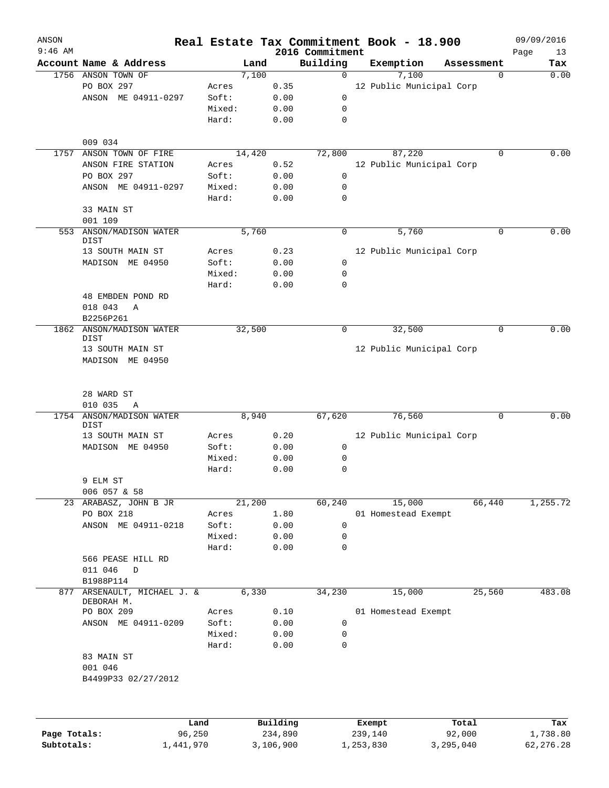| ANSON<br>$9:46$ AM |                                        |        |          | 2016 Commitment |             | Real Estate Tax Commitment Book - 18.900 |            | 09/09/2016<br>13<br>Page |
|--------------------|----------------------------------------|--------|----------|-----------------|-------------|------------------------------------------|------------|--------------------------|
|                    | Account Name & Address                 |        | Land     | Building        |             | Exemption                                | Assessment | Tax                      |
|                    | 1756 ANSON TOWN OF                     |        | 7,100    |                 | $\mathbf 0$ | 7,100                                    | 0          | 0.00                     |
|                    | PO BOX 297                             | Acres  | 0.35     |                 |             | 12 Public Municipal Corp                 |            |                          |
|                    | ANSON ME 04911-0297                    | Soft:  | 0.00     |                 | $\mathbf 0$ |                                          |            |                          |
|                    |                                        | Mixed: | 0.00     |                 | 0           |                                          |            |                          |
|                    |                                        | Hard:  | 0.00     |                 | $\mathbf 0$ |                                          |            |                          |
|                    | 009 034                                |        |          |                 |             |                                          |            |                          |
| 1757               | ANSON TOWN OF FIRE                     |        | 14,420   | 72,800          |             | 87,220                                   | 0          | 0.00                     |
|                    | ANSON FIRE STATION                     | Acres  | 0.52     |                 |             | 12 Public Municipal Corp                 |            |                          |
|                    | PO BOX 297                             | Soft:  | 0.00     |                 | $\mathbf 0$ |                                          |            |                          |
|                    | ANSON ME 04911-0297                    | Mixed: | 0.00     |                 | 0           |                                          |            |                          |
|                    |                                        | Hard:  | 0.00     |                 | $\mathbf 0$ |                                          |            |                          |
|                    | 33 MAIN ST                             |        |          |                 |             |                                          |            |                          |
|                    | 001 109                                |        |          |                 |             |                                          |            |                          |
|                    | 553 ANSON/MADISON WATER<br><b>DIST</b> |        | 5,760    |                 | $\mathbf 0$ | 5,760                                    | 0          | 0.00                     |
|                    | 13 SOUTH MAIN ST                       | Acres  | 0.23     |                 |             | 12 Public Municipal Corp                 |            |                          |
|                    | MADISON ME 04950                       | Soft:  | 0.00     |                 | 0           |                                          |            |                          |
|                    |                                        | Mixed: | 0.00     |                 | 0           |                                          |            |                          |
|                    |                                        | Hard:  | 0.00     |                 | $\mathbf 0$ |                                          |            |                          |
|                    | 48 EMBDEN POND RD                      |        |          |                 |             |                                          |            |                          |
|                    | 018 043<br>Α                           |        |          |                 |             |                                          |            |                          |
| 1862               | B2256P261<br>ANSON/MADISON WATER       |        | 32,500   |                 | 0           | 32,500                                   | 0          | 0.00                     |
|                    | <b>DIST</b>                            |        |          |                 |             |                                          |            |                          |
|                    | 13 SOUTH MAIN ST<br>MADISON ME 04950   |        |          |                 |             | 12 Public Municipal Corp                 |            |                          |
|                    |                                        |        |          |                 |             |                                          |            |                          |
|                    | 28 WARD ST<br>010 035<br>Α             |        |          |                 |             |                                          |            |                          |
| 1754               | <b>ANSON/MADISON WATER</b><br>DIST     |        | 8,940    | 67,620          |             | 76,560                                   | 0          | 0.00                     |
|                    | 13 SOUTH MAIN ST                       | Acres  | 0.20     |                 |             | 12 Public Municipal Corp                 |            |                          |
|                    | MADISON ME 04950                       | Soft:  | 0.00     |                 | $\mathbf 0$ |                                          |            |                          |
|                    |                                        | Mixed: | 0.00     |                 | 0           |                                          |            |                          |
|                    |                                        | Hard:  | 0.00     |                 | $\mathbf 0$ |                                          |            |                          |
|                    | 9 ELM ST                               |        |          |                 |             |                                          |            |                          |
|                    | 006 057 & 58                           |        |          |                 |             |                                          |            |                          |
|                    | 23 ARABASZ, JOHN B JR                  |        | 21,200   | 60,240          |             | 15,000                                   | 66,440     | 1,255.72                 |
|                    | PO BOX 218                             | Acres  | 1.80     |                 |             | 01 Homestead Exempt                      |            |                          |
|                    | ANSON ME 04911-0218                    | Soft:  | 0.00     |                 | 0           |                                          |            |                          |
|                    |                                        | Mixed: | 0.00     |                 | 0           |                                          |            |                          |
|                    |                                        | Hard:  | 0.00     |                 | $\mathbf 0$ |                                          |            |                          |
|                    | 566 PEASE HILL RD                      |        |          |                 |             |                                          |            |                          |
|                    | 011 046<br>D                           |        |          |                 |             |                                          |            |                          |
|                    | B1988P114                              |        |          |                 |             |                                          |            |                          |
| 877                | ARSENAULT, MICHAEL J. &<br>DEBORAH M.  |        | 6,330    | 34,230          |             | 15,000                                   | 25,560     | 483.08                   |
|                    | PO BOX 209                             | Acres  | 0.10     |                 |             | 01 Homestead Exempt                      |            |                          |
|                    | ANSON ME 04911-0209                    | Soft:  | 0.00     |                 | 0           |                                          |            |                          |
|                    |                                        | Mixed: | 0.00     |                 | 0           |                                          |            |                          |
|                    |                                        | Hard:  | 0.00     |                 | 0           |                                          |            |                          |
|                    | 83 MAIN ST                             |        |          |                 |             |                                          |            |                          |
|                    | 001 046                                |        |          |                 |             |                                          |            |                          |
|                    | B4499P33 02/27/2012                    |        |          |                 |             |                                          |            |                          |
|                    |                                        |        |          |                 |             |                                          |            |                          |
|                    | Land                                   |        | Building |                 |             | Exempt                                   | Total      | Tax                      |
| Page Totals:       | 96,250                                 |        | 234,890  |                 |             | 239,140                                  | 92,000     | 1,738.80                 |

**Subtotals:** 1,441,970 3,106,900 1,253,830 3,295,040 62,276.28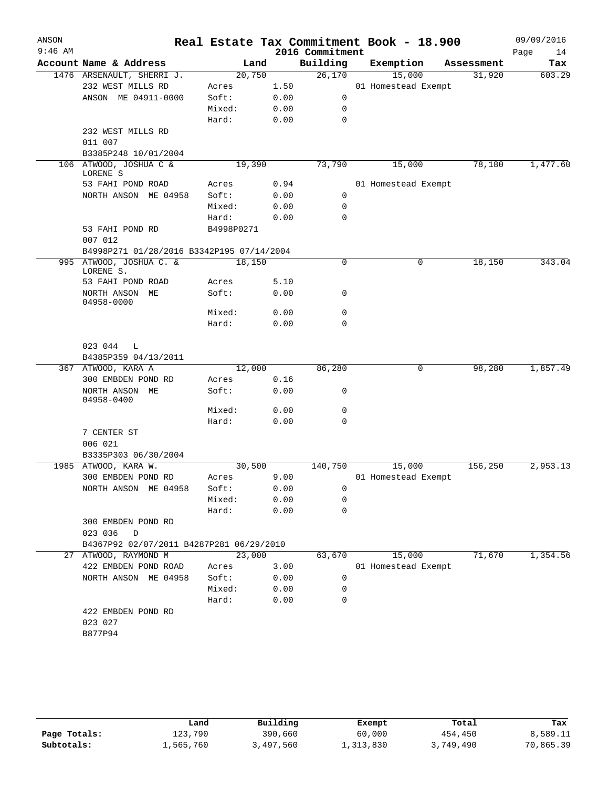| ANSON<br>$9:46$ AM |                                           |            |      | 2016 Commitment | Real Estate Tax Commitment Book - 18.900 |            | 09/09/2016<br>Page<br>14 |
|--------------------|-------------------------------------------|------------|------|-----------------|------------------------------------------|------------|--------------------------|
|                    | Account Name & Address                    | Land       |      | Building        | Exemption                                | Assessment | Tax                      |
|                    | 1476 ARSENAULT, SHERRI J.                 | 20,750     |      | 26,170          | 15,000                                   | 31,920     | 603.29                   |
|                    | 232 WEST MILLS RD                         | Acres      | 1.50 |                 | 01 Homestead Exempt                      |            |                          |
|                    | ANSON ME 04911-0000                       | Soft:      | 0.00 | 0               |                                          |            |                          |
|                    |                                           | Mixed:     | 0.00 | 0               |                                          |            |                          |
|                    |                                           | Hard:      | 0.00 | 0               |                                          |            |                          |
|                    | 232 WEST MILLS RD                         |            |      |                 |                                          |            |                          |
|                    | 011 007                                   |            |      |                 |                                          |            |                          |
|                    | B3385P248 10/01/2004                      |            |      |                 |                                          |            |                          |
|                    | 106 ATWOOD, JOSHUA C &<br>LORENE S        | 19,390     |      | 73,790          | 15,000                                   | 78,180     | 1,477.60                 |
|                    | 53 FAHI POND ROAD                         | Acres      | 0.94 |                 | 01 Homestead Exempt                      |            |                          |
|                    | NORTH ANSON ME 04958                      | Soft:      | 0.00 | 0               |                                          |            |                          |
|                    |                                           | Mixed:     | 0.00 | 0               |                                          |            |                          |
|                    |                                           | Hard:      | 0.00 | $\mathbf 0$     |                                          |            |                          |
|                    | 53 FAHI POND RD<br>007 012                | B4998P0271 |      |                 |                                          |            |                          |
|                    | B4998P271 01/28/2016 B3342P195 07/14/2004 |            |      |                 |                                          |            |                          |
|                    | 995 ATWOOD, JOSHUA C. &                   | 18,150     |      | $\mathbf 0$     | 0                                        | 18,150     | 343.04                   |
|                    | LORENE S.                                 |            |      |                 |                                          |            |                          |
|                    | 53 FAHI POND ROAD                         | Acres      | 5.10 |                 |                                          |            |                          |
|                    | NORTH ANSON ME<br>04958-0000              | Soft:      | 0.00 | 0               |                                          |            |                          |
|                    |                                           | Mixed:     | 0.00 | 0               |                                          |            |                          |
|                    |                                           | Hard:      | 0.00 | 0               |                                          |            |                          |
|                    | 023 044<br>L                              |            |      |                 |                                          |            |                          |
|                    | B4385P359 04/13/2011                      |            |      |                 |                                          |            |                          |
|                    | 367 ATWOOD, KARA A                        | 12,000     |      | 86,280          | 0                                        | 98,280     | 1,857.49                 |
|                    | 300 EMBDEN POND RD                        | Acres      | 0.16 |                 |                                          |            |                          |
|                    | NORTH ANSON ME<br>04958-0400              | Soft:      | 0.00 | 0               |                                          |            |                          |
|                    |                                           | Mixed:     | 0.00 | 0               |                                          |            |                          |
|                    |                                           | Hard:      | 0.00 | $\mathbf 0$     |                                          |            |                          |
|                    | 7 CENTER ST                               |            |      |                 |                                          |            |                          |
|                    | 006 021                                   |            |      |                 |                                          |            |                          |
|                    | B3335P303 06/30/2004                      |            |      |                 |                                          |            |                          |
|                    | 1985 ATWOOD, KARA W.                      | 30,500     |      | 140,750         | 15,000                                   | 156,250    | 2,953.13                 |
|                    | 300 EMBDEN POND RD                        | Acres      | 9.00 |                 | 01 Homestead Exempt                      |            |                          |
|                    | NORTH ANSON ME 04958                      | Soft:      | 0.00 | 0               |                                          |            |                          |
|                    |                                           | Mixed:     | 0.00 | $\mathbf 0$     |                                          |            |                          |
|                    |                                           | Hard:      | 0.00 | $\mathbf 0$     |                                          |            |                          |
|                    | 300 EMBDEN POND RD                        |            |      |                 |                                          |            |                          |
|                    | 023 036<br>D                              |            |      |                 |                                          |            |                          |
|                    | B4367P92 02/07/2011 B4287P281 06/29/2010  |            |      |                 |                                          |            |                          |
|                    | 27 ATWOOD, RAYMOND M                      | 23,000     |      | 63,670          | 15,000                                   | 71,670     | 1,354.56                 |
|                    | 422 EMBDEN POND ROAD                      | Acres      | 3.00 |                 | 01 Homestead Exempt                      |            |                          |
|                    | NORTH ANSON ME 04958                      | Soft:      | 0.00 | 0               |                                          |            |                          |
|                    |                                           | Mixed:     | 0.00 | 0               |                                          |            |                          |
|                    |                                           | Hard:      | 0.00 | 0               |                                          |            |                          |
|                    | 422 EMBDEN POND RD                        |            |      |                 |                                          |            |                          |
|                    |                                           |            |      |                 |                                          |            |                          |
|                    | 023 027<br>B877P94                        |            |      |                 |                                          |            |                          |

|              | Land      | Building  | Exempt    | Total     | Tax       |
|--------------|-----------|-----------|-----------|-----------|-----------|
| Page Totals: | 123,790   | 390,660   | 60,000    | 454,450   | 8,589.11  |
| Subtotals:   | ⊥,565,760 | 3,497,560 | 1,313,830 | 3,749,490 | 70,865.39 |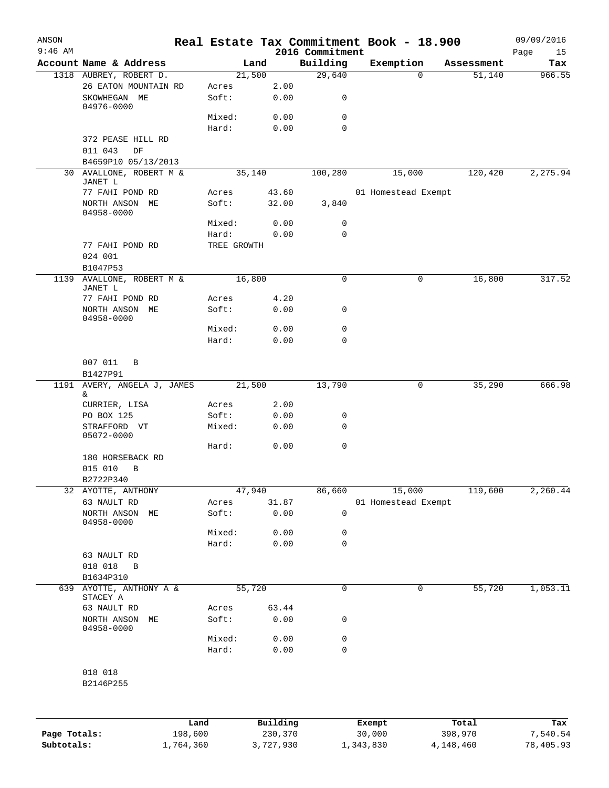| ANSON<br>$9:46$ AM |                                                 |         |                 |                | 2016 Commitment | Real Estate Tax Commitment Book - 18.900 |        |            | 09/09/2016<br>Page<br>15 |
|--------------------|-------------------------------------------------|---------|-----------------|----------------|-----------------|------------------------------------------|--------|------------|--------------------------|
|                    | Account Name & Address                          |         |                 | Land           | Building        | Exemption                                |        | Assessment | Tax                      |
|                    | 1318 AUBREY, ROBERT D.                          |         |                 | 21,500         | 29,640          |                                          | 0      | 51,140     | 966.55                   |
|                    | 26 EATON MOUNTAIN RD<br>SKOWHEGAN ME            |         | Acres<br>Soft:  | 2.00<br>0.00   | 0               |                                          |        |            |                          |
|                    | 04976-0000                                      |         | Mixed:          | 0.00           | 0               |                                          |        |            |                          |
|                    |                                                 |         | Hard:           | 0.00           | 0               |                                          |        |            |                          |
|                    | 372 PEASE HILL RD<br>011 043<br>DF              |         |                 |                |                 |                                          |        |            |                          |
|                    | B4659P10 05/13/2013                             |         |                 |                |                 |                                          |        |            |                          |
|                    | 30 AVALLONE, ROBERT M &<br>JANET L              |         |                 | 35,140         | 100,280         |                                          | 15,000 | 120,420    | 2,275.94                 |
|                    | 77 FAHI POND RD<br>NORTH ANSON ME<br>04958-0000 |         | Acres<br>Soft:  | 43.60<br>32.00 | 3,840           | 01 Homestead Exempt                      |        |            |                          |
|                    |                                                 |         | Mixed:          | 0.00           | 0               |                                          |        |            |                          |
|                    |                                                 |         | Hard:           | 0.00           | 0               |                                          |        |            |                          |
|                    | 77 FAHI POND RD                                 |         | TREE GROWTH     |                |                 |                                          |        |            |                          |
|                    | 024 001<br>B1047P53                             |         |                 |                |                 |                                          |        |            |                          |
| 1139               | AVALLONE, ROBERT M &                            |         |                 | 16,800         | $\mathbf 0$     |                                          | 0      | 16,800     | 317.52                   |
|                    | JANET L<br>77 FAHI POND RD                      |         | Acres           | 4.20           |                 |                                          |        |            |                          |
|                    | NORTH ANSON ME<br>04958-0000                    |         | Soft:           | 0.00           | 0               |                                          |        |            |                          |
|                    |                                                 |         | Mixed:          | 0.00           | 0               |                                          |        |            |                          |
|                    |                                                 |         | Hard:           | 0.00           | 0               |                                          |        |            |                          |
|                    | 007 011<br>B<br>B1427P91                        |         |                 |                |                 |                                          |        |            |                          |
| 1191               | AVERY, ANGELA J, JAMES                          |         |                 | 21,500         | 13,790          |                                          | 0      | 35,290     | 666.98                   |
|                    | &                                               |         |                 |                |                 |                                          |        |            |                          |
|                    | CURRIER, LISA                                   |         | Acres<br>Soft:  | 2.00<br>0.00   |                 |                                          |        |            |                          |
|                    | PO BOX 125<br>STRAFFORD VT                      |         | Mixed:          | 0.00           | 0<br>0          |                                          |        |            |                          |
|                    | 05072-0000                                      |         | Hard:           | 0.00           | 0               |                                          |        |            |                          |
|                    | 180 HORSEBACK RD                                |         |                 |                |                 |                                          |        |            |                          |
|                    | 015 010<br>B<br>B2722P340                       |         |                 |                |                 |                                          |        |            |                          |
|                    | 32 AYOTTE, ANTHONY                              |         |                 | 47,940         | 86,660          |                                          | 15,000 | 119,600    | 2,260.44                 |
|                    | 63 NAULT RD                                     |         | Acres           | 31.87          |                 | 01 Homestead Exempt                      |        |            |                          |
|                    | NORTH ANSON<br>МE<br>04958-0000                 |         | Soft:           | 0.00           | 0               |                                          |        |            |                          |
|                    |                                                 |         | Mixed:          | 0.00           | 0               |                                          |        |            |                          |
|                    |                                                 |         | Hard:           | 0.00           | 0               |                                          |        |            |                          |
|                    | 63 NAULT RD<br>018 018<br>В                     |         |                 |                |                 |                                          |        |            |                          |
|                    | B1634P310                                       |         |                 |                |                 |                                          |        |            |                          |
| 639                | AYOTTE, ANTHONY A &<br>STACEY A                 |         |                 | 55,720         | 0               |                                          | 0      | 55,720     | 1,053.11                 |
|                    | 63 NAULT RD                                     |         | Acres           | 63.44          |                 |                                          |        |            |                          |
|                    | NORTH ANSON<br>МE<br>04958-0000                 |         | Soft:           | 0.00           | 0               |                                          |        |            |                          |
|                    |                                                 |         | Mixed:<br>Hard: | 0.00<br>0.00   | 0<br>0          |                                          |        |            |                          |
|                    | 018 018                                         |         |                 |                |                 |                                          |        |            |                          |
|                    | B2146P255                                       |         |                 |                |                 |                                          |        |            |                          |
|                    |                                                 |         |                 |                |                 |                                          |        |            |                          |
|                    |                                                 | Land    |                 | Building       |                 | Exempt                                   |        | Total      | Tax                      |
| Page Totals:       |                                                 | 198,600 |                 | 230,370        |                 | 30,000                                   |        | 398,970    | 7,540.54                 |

**Subtotals:** 1,764,360 3,727,930 1,343,830 4,148,460 78,405.93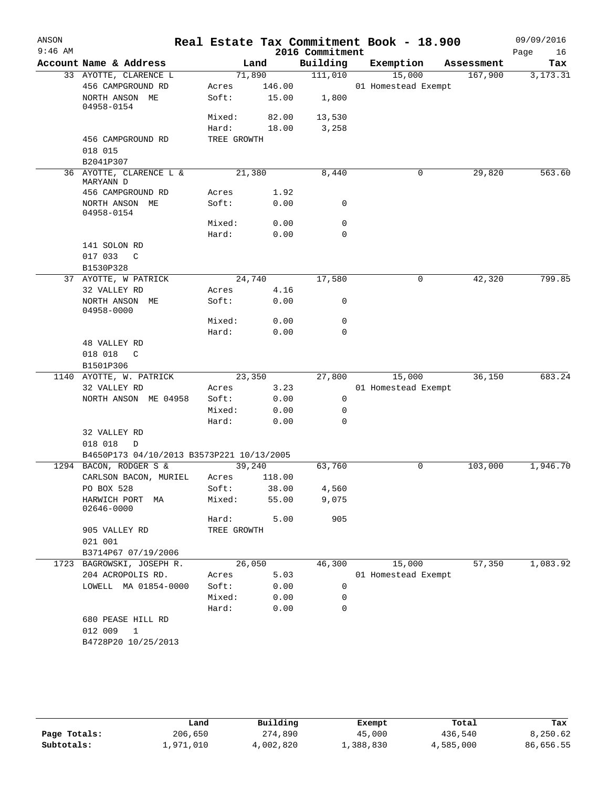| Account Name & Address<br>33 AYOTTE, CLARENCE L<br>456 CAMPGROUND RD<br>NORTH ANSON ME<br>04958-0154<br>456 CAMPGROUND RD<br>018 015<br>B2041P307<br>36 AYOTTE, CLARENCE L &<br>MARYANN D<br>456 CAMPGROUND RD<br>NORTH ANSON ME<br>04958-0154 | 71,890<br>Acres<br>Soft:<br>Mixed:<br>Hard:<br>TREE GROWTH<br>21,380<br>Acres<br>Soft:                                                                                                                            | Land<br>146.00<br>15.00<br>82.00<br>18.00                                       | Building<br>111,010<br>1,800<br>13,530<br>3,258<br>8,440                                         | Exemption<br>15,000<br>01 Homestead Exempt                                                                                                                                     | Assessment<br>167,900 | Tax<br>3, 173. 31                                                         |
|------------------------------------------------------------------------------------------------------------------------------------------------------------------------------------------------------------------------------------------------|-------------------------------------------------------------------------------------------------------------------------------------------------------------------------------------------------------------------|---------------------------------------------------------------------------------|--------------------------------------------------------------------------------------------------|--------------------------------------------------------------------------------------------------------------------------------------------------------------------------------|-----------------------|---------------------------------------------------------------------------|
|                                                                                                                                                                                                                                                |                                                                                                                                                                                                                   |                                                                                 |                                                                                                  |                                                                                                                                                                                |                       |                                                                           |
|                                                                                                                                                                                                                                                |                                                                                                                                                                                                                   |                                                                                 |                                                                                                  |                                                                                                                                                                                |                       |                                                                           |
|                                                                                                                                                                                                                                                |                                                                                                                                                                                                                   |                                                                                 |                                                                                                  |                                                                                                                                                                                |                       |                                                                           |
|                                                                                                                                                                                                                                                |                                                                                                                                                                                                                   |                                                                                 |                                                                                                  |                                                                                                                                                                                |                       |                                                                           |
|                                                                                                                                                                                                                                                |                                                                                                                                                                                                                   |                                                                                 |                                                                                                  |                                                                                                                                                                                |                       |                                                                           |
|                                                                                                                                                                                                                                                |                                                                                                                                                                                                                   |                                                                                 |                                                                                                  |                                                                                                                                                                                |                       |                                                                           |
|                                                                                                                                                                                                                                                |                                                                                                                                                                                                                   |                                                                                 |                                                                                                  |                                                                                                                                                                                |                       |                                                                           |
|                                                                                                                                                                                                                                                |                                                                                                                                                                                                                   |                                                                                 |                                                                                                  |                                                                                                                                                                                |                       |                                                                           |
|                                                                                                                                                                                                                                                |                                                                                                                                                                                                                   |                                                                                 |                                                                                                  | 0                                                                                                                                                                              | 29,820                | 563.60                                                                    |
|                                                                                                                                                                                                                                                |                                                                                                                                                                                                                   | 1.92                                                                            |                                                                                                  |                                                                                                                                                                                |                       |                                                                           |
|                                                                                                                                                                                                                                                |                                                                                                                                                                                                                   | 0.00                                                                            | 0                                                                                                |                                                                                                                                                                                |                       |                                                                           |
|                                                                                                                                                                                                                                                | Mixed:                                                                                                                                                                                                            | 0.00                                                                            | 0                                                                                                |                                                                                                                                                                                |                       |                                                                           |
|                                                                                                                                                                                                                                                | Hard:                                                                                                                                                                                                             | 0.00                                                                            | 0                                                                                                |                                                                                                                                                                                |                       |                                                                           |
| 141 SOLON RD                                                                                                                                                                                                                                   |                                                                                                                                                                                                                   |                                                                                 |                                                                                                  |                                                                                                                                                                                |                       |                                                                           |
| 017 033 C                                                                                                                                                                                                                                      |                                                                                                                                                                                                                   |                                                                                 |                                                                                                  |                                                                                                                                                                                |                       |                                                                           |
| B1530P328                                                                                                                                                                                                                                      |                                                                                                                                                                                                                   |                                                                                 |                                                                                                  |                                                                                                                                                                                |                       |                                                                           |
| 37 AYOTTE, W PATRICK                                                                                                                                                                                                                           |                                                                                                                                                                                                                   |                                                                                 | 17,580                                                                                           | 0                                                                                                                                                                              | 42,320                | 799.85                                                                    |
| 32 VALLEY RD                                                                                                                                                                                                                                   | Acres                                                                                                                                                                                                             | 4.16                                                                            |                                                                                                  |                                                                                                                                                                                |                       |                                                                           |
| NORTH ANSON ME<br>04958-0000                                                                                                                                                                                                                   | Soft:                                                                                                                                                                                                             |                                                                                 | 0                                                                                                |                                                                                                                                                                                |                       |                                                                           |
|                                                                                                                                                                                                                                                | Mixed:                                                                                                                                                                                                            |                                                                                 | 0                                                                                                |                                                                                                                                                                                |                       |                                                                           |
|                                                                                                                                                                                                                                                | Hard:                                                                                                                                                                                                             | 0.00                                                                            | 0                                                                                                |                                                                                                                                                                                |                       |                                                                           |
| 48 VALLEY RD                                                                                                                                                                                                                                   |                                                                                                                                                                                                                   |                                                                                 |                                                                                                  |                                                                                                                                                                                |                       |                                                                           |
| 018 018<br>$\mathbb{C}$                                                                                                                                                                                                                        |                                                                                                                                                                                                                   |                                                                                 |                                                                                                  |                                                                                                                                                                                |                       |                                                                           |
| B1501P306                                                                                                                                                                                                                                      |                                                                                                                                                                                                                   |                                                                                 |                                                                                                  |                                                                                                                                                                                |                       |                                                                           |
| 1140 AYOTTE, W. PATRICK                                                                                                                                                                                                                        |                                                                                                                                                                                                                   |                                                                                 | 27,800                                                                                           |                                                                                                                                                                                | 36,150                | 683.24                                                                    |
| 32 VALLEY RD                                                                                                                                                                                                                                   | Acres                                                                                                                                                                                                             |                                                                                 |                                                                                                  |                                                                                                                                                                                |                       |                                                                           |
| NORTH ANSON ME 04958                                                                                                                                                                                                                           |                                                                                                                                                                                                                   |                                                                                 |                                                                                                  |                                                                                                                                                                                |                       |                                                                           |
|                                                                                                                                                                                                                                                | Mixed:                                                                                                                                                                                                            |                                                                                 |                                                                                                  |                                                                                                                                                                                |                       |                                                                           |
|                                                                                                                                                                                                                                                |                                                                                                                                                                                                                   |                                                                                 |                                                                                                  |                                                                                                                                                                                |                       |                                                                           |
| 32 VALLEY RD<br>018 018<br>D                                                                                                                                                                                                                   |                                                                                                                                                                                                                   |                                                                                 |                                                                                                  |                                                                                                                                                                                |                       |                                                                           |
|                                                                                                                                                                                                                                                |                                                                                                                                                                                                                   |                                                                                 |                                                                                                  |                                                                                                                                                                                |                       |                                                                           |
|                                                                                                                                                                                                                                                |                                                                                                                                                                                                                   |                                                                                 |                                                                                                  |                                                                                                                                                                                |                       | 1,946.70                                                                  |
|                                                                                                                                                                                                                                                |                                                                                                                                                                                                                   |                                                                                 |                                                                                                  |                                                                                                                                                                                |                       |                                                                           |
|                                                                                                                                                                                                                                                |                                                                                                                                                                                                                   |                                                                                 |                                                                                                  |                                                                                                                                                                                |                       |                                                                           |
| HARWICH PORT<br>MA<br>02646-0000                                                                                                                                                                                                               |                                                                                                                                                                                                                   |                                                                                 |                                                                                                  |                                                                                                                                                                                |                       |                                                                           |
|                                                                                                                                                                                                                                                |                                                                                                                                                                                                                   |                                                                                 |                                                                                                  |                                                                                                                                                                                |                       |                                                                           |
|                                                                                                                                                                                                                                                |                                                                                                                                                                                                                   |                                                                                 |                                                                                                  |                                                                                                                                                                                |                       |                                                                           |
|                                                                                                                                                                                                                                                |                                                                                                                                                                                                                   |                                                                                 |                                                                                                  |                                                                                                                                                                                |                       |                                                                           |
|                                                                                                                                                                                                                                                |                                                                                                                                                                                                                   |                                                                                 |                                                                                                  |                                                                                                                                                                                |                       |                                                                           |
|                                                                                                                                                                                                                                                |                                                                                                                                                                                                                   |                                                                                 |                                                                                                  |                                                                                                                                                                                |                       | 1,083.92                                                                  |
|                                                                                                                                                                                                                                                |                                                                                                                                                                                                                   |                                                                                 |                                                                                                  |                                                                                                                                                                                |                       |                                                                           |
|                                                                                                                                                                                                                                                |                                                                                                                                                                                                                   |                                                                                 |                                                                                                  |                                                                                                                                                                                |                       |                                                                           |
|                                                                                                                                                                                                                                                | Hard:                                                                                                                                                                                                             | 0.00                                                                            | $\mathbf 0$                                                                                      |                                                                                                                                                                                |                       |                                                                           |
| 680 PEASE HILL RD                                                                                                                                                                                                                              |                                                                                                                                                                                                                   |                                                                                 |                                                                                                  |                                                                                                                                                                                |                       |                                                                           |
| 012 009<br>1                                                                                                                                                                                                                                   |                                                                                                                                                                                                                   |                                                                                 |                                                                                                  |                                                                                                                                                                                |                       |                                                                           |
|                                                                                                                                                                                                                                                |                                                                                                                                                                                                                   |                                                                                 |                                                                                                  |                                                                                                                                                                                |                       |                                                                           |
|                                                                                                                                                                                                                                                | 1294 BACON, RODGER S &<br>CARLSON BACON, MURIEL<br>PO BOX 528<br>905 VALLEY RD<br>021 001<br>B3714P67 07/19/2006<br>1723 BAGROWSKI, JOSEPH R.<br>204 ACROPOLIS RD.<br>LOWELL MA 01854-0000<br>B4728P20 10/25/2013 | Soft:<br>Hard:<br>Acres<br>Soft:<br>Mixed:<br>Hard:<br>Acres<br>Soft:<br>Mixed: | 24,740<br>23,350<br>B4650P173 04/10/2013 B3573P221 10/13/2005<br>39,240<br>TREE GROWTH<br>26,050 | 0.00<br>0.00<br>3.23<br>0.00<br>0<br>0<br>0.00<br>0.00<br>0<br>63,760<br>118.00<br>38.00<br>4,560<br>55.00<br>9,075<br>5.00<br>905<br>46,300<br>5.03<br>0.00<br>0<br>0.00<br>0 | 0<br>15,000           | 15,000<br>01 Homestead Exempt<br>103,000<br>57,350<br>01 Homestead Exempt |

|              | Land      | Building  | Exempt    | Total     | Tax       |
|--------------|-----------|-----------|-----------|-----------|-----------|
| Page Totals: | 206,650   | 274,890   | 45,000    | 436,540   | 8,250.62  |
| Subtotals:   | ⊥,971,010 | 4,002,820 | 1,388,830 | 4,585,000 | 86,656.55 |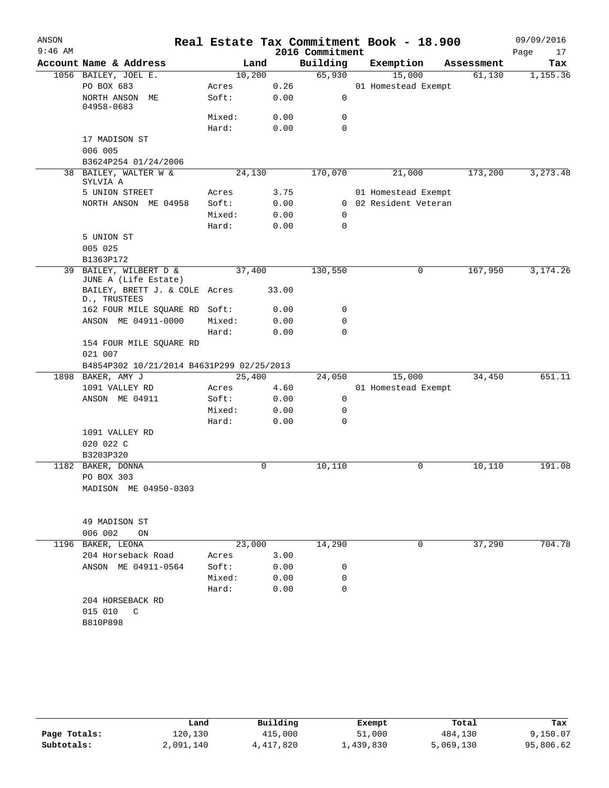| ANSON     |                                               |        |       |                 | Real Estate Tax Commitment Book - 18.900 |            | 09/09/2016 |
|-----------|-----------------------------------------------|--------|-------|-----------------|------------------------------------------|------------|------------|
| $9:46$ AM |                                               |        |       | 2016 Commitment |                                          |            | Page<br>17 |
|           | Account Name & Address                        |        | Land  | Building        | Exemption                                | Assessment | Tax        |
|           | 1056 BAILEY, JOEL E.                          | 10,200 |       | 65,930          | 15,000                                   | 61,130     | 1,155.36   |
|           | PO BOX 683                                    | Acres  | 0.26  |                 | 01 Homestead Exempt                      |            |            |
|           | NORTH ANSON ME<br>04958-0683                  | Soft:  | 0.00  | 0               |                                          |            |            |
|           |                                               | Mixed: | 0.00  | 0               |                                          |            |            |
|           |                                               | Hard:  | 0.00  | 0               |                                          |            |            |
|           | 17 MADISON ST                                 |        |       |                 |                                          |            |            |
|           | 006 005                                       |        |       |                 |                                          |            |            |
|           | B3624P254 01/24/2006                          |        |       |                 |                                          |            |            |
| 38        | BAILEY, WALTER W &<br>SYLVIA A                | 24,130 |       | 170,070         | 21,000                                   | 173,200    | 3,273.48   |
|           | 5 UNION STREET                                | Acres  | 3.75  |                 | 01 Homestead Exempt                      |            |            |
|           | NORTH ANSON ME 04958                          | Soft:  | 0.00  | 0               | 02 Resident Veteran                      |            |            |
|           |                                               | Mixed: | 0.00  | 0               |                                          |            |            |
|           |                                               | Hard:  | 0.00  | $\mathbf 0$     |                                          |            |            |
|           | 5 UNION ST                                    |        |       |                 |                                          |            |            |
|           | 005 025<br>B1363P172                          |        |       |                 |                                          |            |            |
| 39        | BAILEY, WILBERT D &                           | 37,400 |       | 130,550         | 0                                        | 167,950    | 3,174.26   |
|           | JUNE A (Life Estate)                          |        |       |                 |                                          |            |            |
|           | BAILEY, BRETT J. & COLE Acres<br>D., TRUSTEES |        | 33.00 |                 |                                          |            |            |
|           | 162 FOUR MILE SQUARE RD Soft:                 |        | 0.00  | 0               |                                          |            |            |
|           | ANSON ME 04911-0000                           | Mixed: | 0.00  | 0               |                                          |            |            |
|           |                                               | Hard:  | 0.00  | $\Omega$        |                                          |            |            |
|           | 154 FOUR MILE SQUARE RD<br>021 007            |        |       |                 |                                          |            |            |
|           | B4854P302 10/21/2014 B4631P299 02/25/2013     |        |       |                 |                                          |            |            |
|           | 1898 BAKER, AMY J                             | 25,400 |       | 24,050          | 15,000                                   | 34,450     | 651.11     |
|           | 1091 VALLEY RD                                | Acres  | 4.60  |                 | 01 Homestead Exempt                      |            |            |
|           | ANSON ME 04911                                | Soft:  | 0.00  | 0               |                                          |            |            |
|           |                                               | Mixed: | 0.00  | 0               |                                          |            |            |
|           |                                               | Hard:  | 0.00  | 0               |                                          |            |            |
|           | 1091 VALLEY RD                                |        |       |                 |                                          |            |            |
|           | 020 022 C                                     |        |       |                 |                                          |            |            |
|           | B3203P320                                     |        |       |                 |                                          |            |            |
|           | 1182 BAKER, DONNA                             |        | 0     | 10,110          | 0                                        | 10,110     | 191.08     |
|           | PO BOX 303                                    |        |       |                 |                                          |            |            |
|           | MADISON ME 04950-0303                         |        |       |                 |                                          |            |            |
|           |                                               |        |       |                 |                                          |            |            |
|           | 49 MADISON ST<br>006 002<br>ON                |        |       |                 |                                          |            |            |
|           | 1196 BAKER, LEONA                             | 23,000 |       | 14,290          | 0                                        | 37,290     | 704.78     |
|           | 204 Horseback Road                            | Acres  | 3.00  |                 |                                          |            |            |
|           | ANSON ME 04911-0564                           | Soft:  | 0.00  | 0               |                                          |            |            |
|           |                                               | Mixed: | 0.00  | 0               |                                          |            |            |
|           |                                               | Hard:  | 0.00  | 0               |                                          |            |            |
|           | 204 HORSEBACK RD                              |        |       |                 |                                          |            |            |
|           | 015 010<br>C                                  |        |       |                 |                                          |            |            |
|           | B810P898                                      |        |       |                 |                                          |            |            |
|           |                                               |        |       |                 |                                          |            |            |
|           |                                               |        |       |                 |                                          |            |            |

|              | Land      | Building  | Exempt    | Total     | Tax       |
|--------------|-----------|-----------|-----------|-----------|-----------|
| Page Totals: | 120,130   | 415,000   | 51,000    | 484,130   | 9,150.07  |
| Subtotals:   | 2,091,140 | 4,417,820 | 1,439,830 | 5,069,130 | 95,806.62 |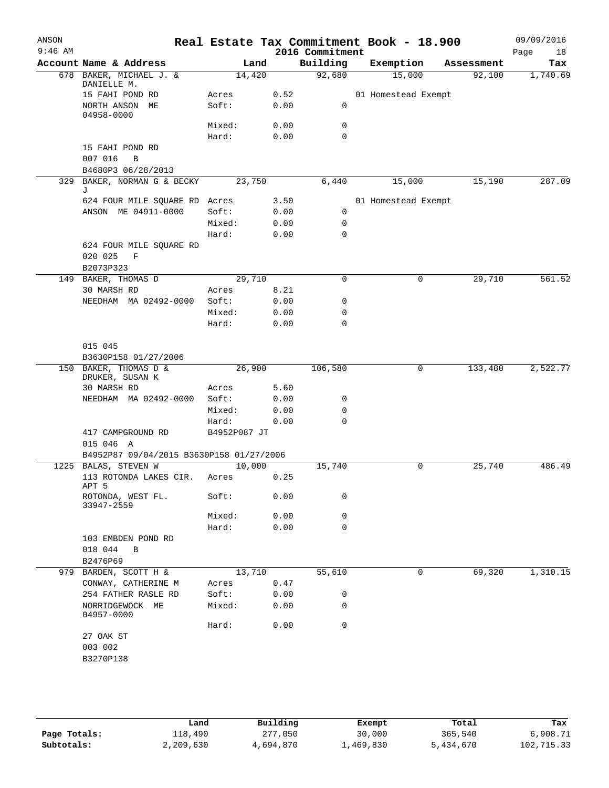| ANSON<br>$9:46$ AM |                                                       |                 |              | 2016 Commitment | Real Estate Tax Commitment Book - 18.900 |            | 09/09/2016<br>Page<br>18 |
|--------------------|-------------------------------------------------------|-----------------|--------------|-----------------|------------------------------------------|------------|--------------------------|
|                    | Account Name & Address                                | Land            |              | Building        | Exemption                                | Assessment | Tax                      |
|                    | 678 BAKER, MICHAEL J. &                               | 14,420          |              | 92,680          | 15,000                                   | 92,100     | 1,740.69                 |
|                    | DANIELLE M.<br>15 FAHI POND RD                        | Acres           | 0.52         |                 | 01 Homestead Exempt                      |            |                          |
|                    | NORTH ANSON ME<br>04958-0000                          | Soft:           | 0.00         | 0               |                                          |            |                          |
|                    |                                                       | Mixed:          | 0.00         | 0               |                                          |            |                          |
|                    |                                                       | Hard:           | 0.00         | 0               |                                          |            |                          |
|                    | 15 FAHI POND RD<br>007 016<br>B<br>B4680P3 06/28/2013 |                 |              |                 |                                          |            |                          |
|                    | 329 BAKER, NORMAN G & BECKY                           | 23,750          |              | 6,440           | 15,000                                   | 15,190     | 287.09                   |
|                    | J                                                     |                 |              |                 |                                          |            |                          |
|                    | 624 FOUR MILE SQUARE RD Acres                         |                 | 3.50         |                 | 01 Homestead Exempt                      |            |                          |
|                    | ANSON ME 04911-0000                                   | Soft:           | 0.00         | 0               |                                          |            |                          |
|                    |                                                       | Mixed:          | 0.00         | 0               |                                          |            |                          |
|                    |                                                       | Hard:           | 0.00         | 0               |                                          |            |                          |
|                    | 624 FOUR MILE SQUARE RD<br>020 025<br>$\mathbf{F}$    |                 |              |                 |                                          |            |                          |
|                    | B2073P323<br>149 BAKER, THOMAS D                      | 29,710          |              | 0               | 0                                        | 29,710     | 561.52                   |
|                    | 30 MARSH RD                                           |                 |              |                 |                                          |            |                          |
|                    | NEEDHAM MA 02492-0000                                 | Acres<br>Soft:  | 8.21<br>0.00 | 0               |                                          |            |                          |
|                    |                                                       | Mixed:          | 0.00         | 0               |                                          |            |                          |
|                    |                                                       | Hard:           | 0.00         | 0               |                                          |            |                          |
|                    |                                                       |                 |              |                 |                                          |            |                          |
|                    | 015 045                                               |                 |              |                 |                                          |            |                          |
|                    | B3630P158 01/27/2006                                  |                 |              |                 |                                          |            |                          |
|                    | 150 BAKER, THOMAS D &                                 | 26,900          |              | 106,580         | 0                                        | 133,480    | 2,522.77                 |
|                    | DRUKER, SUSAN K                                       |                 |              |                 |                                          |            |                          |
|                    | 30 MARSH RD                                           | Acres           | 5.60         |                 |                                          |            |                          |
|                    | NEEDHAM MA 02492-0000                                 | Soft:<br>Mixed: | 0.00         | 0<br>0          |                                          |            |                          |
|                    |                                                       | Hard:           | 0.00<br>0.00 | $\mathbf 0$     |                                          |            |                          |
|                    | 417 CAMPGROUND RD                                     | B4952P087 JT    |              |                 |                                          |            |                          |
|                    | 015 046 A                                             |                 |              |                 |                                          |            |                          |
|                    | B4952P87 09/04/2015 B3630P158 01/27/2006              |                 |              |                 |                                          |            |                          |
|                    | 1225 BALAS, STEVEN W                                  | 10,000          |              | 15,740          | 0                                        | 25,740     | 486.49                   |
|                    | 113 ROTONDA LAKES CIR.<br>APT 5                       | Acres           | 0.25         |                 |                                          |            |                          |
|                    | ROTONDA, WEST FL.<br>33947-2559                       | Soft:           | 0.00         | 0               |                                          |            |                          |
|                    |                                                       | Mixed:          | 0.00         | 0               |                                          |            |                          |
|                    |                                                       | Hard:           | 0.00         | $\mathbf 0$     |                                          |            |                          |
|                    | 103 EMBDEN POND RD                                    |                 |              |                 |                                          |            |                          |
|                    | 018 044<br>B                                          |                 |              |                 |                                          |            |                          |
|                    | B2476P69                                              |                 |              |                 |                                          |            |                          |
|                    | 979 BARDEN, SCOTT H &                                 | 13,710          |              | 55,610          | 0                                        | 69,320     | 1,310.15                 |
|                    | CONWAY, CATHERINE M                                   | Acres           | 0.47         |                 |                                          |            |                          |
|                    | 254 FATHER RASLE RD                                   | Soft:           | 0.00         | 0               |                                          |            |                          |
|                    | NORRIDGEWOCK ME<br>04957-0000                         | Mixed:          | 0.00         | 0               |                                          |            |                          |
|                    |                                                       | Hard:           | 0.00         | 0               |                                          |            |                          |
|                    | 27 OAK ST                                             |                 |              |                 |                                          |            |                          |
|                    | 003 002                                               |                 |              |                 |                                          |            |                          |
|                    | B3270P138                                             |                 |              |                 |                                          |            |                          |
|                    |                                                       |                 |              |                 |                                          |            |                          |
|                    |                                                       |                 |              |                 |                                          |            |                          |

|              | Land      | Building  | Exempt    | Total     | Tax        |
|--------------|-----------|-----------|-----------|-----------|------------|
| Page Totals: | 118,490   | 277,050   | 30,000    | 365,540   | 6,908.71   |
| Subtotals:   | 2,209,630 | 4,694,870 | 1,469,830 | 5,434,670 | 102,715.33 |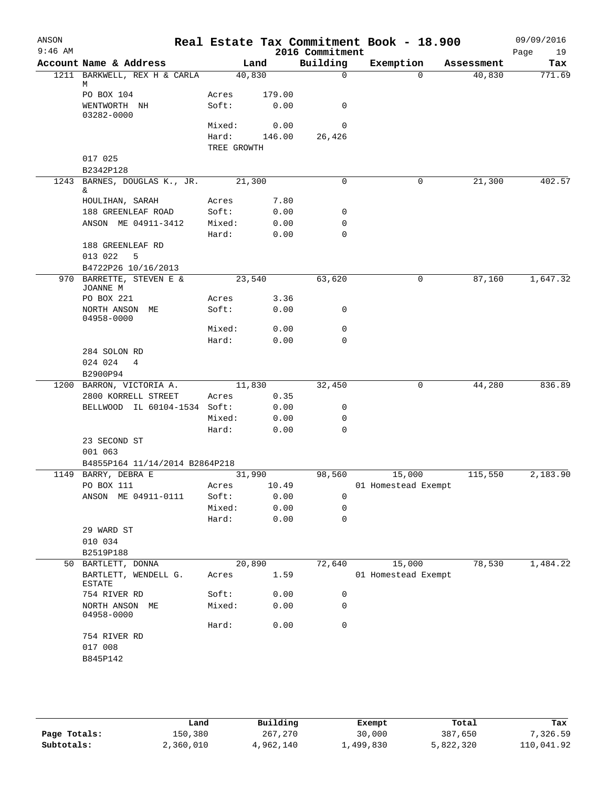| ANSON<br>$9:46$ AM |                                           |                 |               | 2016 Commitment | Real Estate Tax Commitment Book - 18.900 |            | 09/09/2016<br>19<br>Page |
|--------------------|-------------------------------------------|-----------------|---------------|-----------------|------------------------------------------|------------|--------------------------|
|                    | Account Name & Address                    |                 | Land          | Building        | Exemption                                | Assessment | Tax                      |
|                    | 1211 BARKWELL, REX H & CARLA              | 40,830          |               | $\mathbf 0$     | $\Omega$                                 | 40,830     | 771.69                   |
|                    | M<br>PO BOX 104                           | Acres           | 179.00        |                 |                                          |            |                          |
|                    | WENTWORTH NH                              | Soft:           | 0.00          | 0               |                                          |            |                          |
|                    | 03282-0000                                |                 |               |                 |                                          |            |                          |
|                    |                                           | Mixed:          | 0.00          | $\mathbf 0$     |                                          |            |                          |
|                    |                                           | Hard:           | 146.00        | 26,426          |                                          |            |                          |
|                    |                                           | TREE GROWTH     |               |                 |                                          |            |                          |
|                    | 017 025                                   |                 |               |                 |                                          |            |                          |
|                    | B2342P128                                 |                 |               |                 |                                          |            |                          |
| 1243               | BARNES, DOUGLAS K., JR.                   | 21,300          |               | $\mathbf 0$     | 0                                        | 21,300     | 402.57                   |
|                    | &.                                        |                 |               |                 |                                          |            |                          |
|                    | HOULIHAN, SARAH                           | Acres           | 7.80          |                 |                                          |            |                          |
|                    | 188 GREENLEAF ROAD<br>ANSON ME 04911-3412 | Soft:           | 0.00<br>0.00  | 0<br>0          |                                          |            |                          |
|                    |                                           | Mixed:<br>Hard: | 0.00          | $\mathbf 0$     |                                          |            |                          |
|                    | 188 GREENLEAF RD                          |                 |               |                 |                                          |            |                          |
|                    | 013 022<br>5                              |                 |               |                 |                                          |            |                          |
|                    | B4722P26 10/16/2013                       |                 |               |                 |                                          |            |                          |
|                    | 970 BARRETTE, STEVEN E &                  | 23,540          |               | 63,620          | 0                                        | 87,160     | 1,647.32                 |
|                    | JOANNE M                                  |                 |               |                 |                                          |            |                          |
|                    | PO BOX 221                                | Acres           | 3.36          |                 |                                          |            |                          |
|                    | NORTH ANSON ME<br>04958-0000              | Soft:           | 0.00          | 0               |                                          |            |                          |
|                    |                                           | Mixed:          | 0.00          | 0               |                                          |            |                          |
|                    |                                           | Hard:           | 0.00          | $\mathbf 0$     |                                          |            |                          |
|                    | 284 SOLON RD                              |                 |               |                 |                                          |            |                          |
|                    | 024 024<br>4                              |                 |               |                 |                                          |            |                          |
|                    | B2900P94                                  |                 |               |                 |                                          |            |                          |
|                    | 1200 BARRON, VICTORIA A.                  | 11,830          |               | 32,450          | 0                                        | 44,280     | 836.89                   |
|                    | 2800 KORRELL STREET                       | Acres           | 0.35          |                 |                                          |            |                          |
|                    | BELLWOOD IL 60104-1534 Soft:              |                 | 0.00          | 0               |                                          |            |                          |
|                    |                                           | Mixed:          | 0.00          | 0               |                                          |            |                          |
|                    |                                           | Hard:           | 0.00          | $\mathbf 0$     |                                          |            |                          |
|                    | 23 SECOND ST                              |                 |               |                 |                                          |            |                          |
|                    | 001 063                                   |                 |               |                 |                                          |            |                          |
|                    | B4855P164 11/14/2014 B2864P218            |                 |               |                 |                                          | 115,550    | 2,183.90                 |
|                    | 1149 BARRY, DEBRA E<br>PO BOX 111         | 31,990          |               | 98,560          | 15,000                                   |            |                          |
|                    | ANSON ME 04911-0111                       | Acres<br>Soft:  | 10.49<br>0.00 | 0               | 01 Homestead Exempt                      |            |                          |
|                    |                                           | Mixed:          | 0.00          | 0               |                                          |            |                          |
|                    |                                           | Hard:           | 0.00          | $\mathbf 0$     |                                          |            |                          |
|                    | 29 WARD ST                                |                 |               |                 |                                          |            |                          |
|                    | 010 034                                   |                 |               |                 |                                          |            |                          |
|                    | B2519P188                                 |                 |               |                 |                                          |            |                          |
|                    | 50 BARTLETT, DONNA                        | 20,890          |               | 72,640          | 15,000                                   | 78,530     | 1,484.22                 |
|                    | BARTLETT, WENDELL G.<br>ESTATE            | Acres           | 1.59          |                 | 01 Homestead Exempt                      |            |                          |
|                    | 754 RIVER RD                              | Soft:           | 0.00          | 0               |                                          |            |                          |
|                    | NORTH ANSON ME<br>04958-0000              | Mixed:          | 0.00          | 0               |                                          |            |                          |
|                    |                                           | Hard:           | 0.00          | $\mathbf 0$     |                                          |            |                          |
|                    | 754 RIVER RD                              |                 |               |                 |                                          |            |                          |
|                    | 017 008                                   |                 |               |                 |                                          |            |                          |
|                    | B845P142                                  |                 |               |                 |                                          |            |                          |
|                    |                                           |                 |               |                 |                                          |            |                          |
|                    |                                           |                 |               |                 |                                          |            |                          |

|              | Land      | Building  | Exempt    | Total     | Tax        |
|--------------|-----------|-----------|-----------|-----------|------------|
| Page Totals: | 150,380   | 267,270   | 30,000    | 387,650   | 7,326.59   |
| Subtotals:   | 2,360,010 | 4,962,140 | ⊥,499,830 | 5,822,320 | 110,041.92 |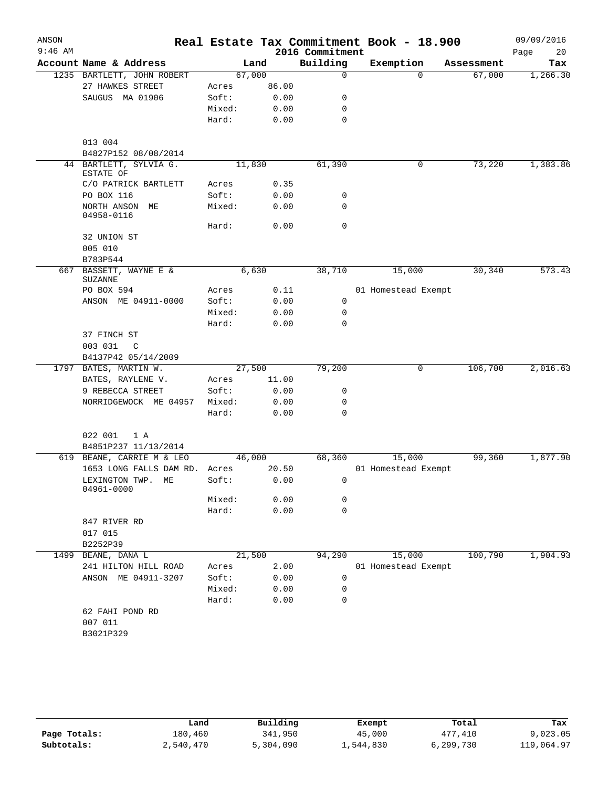| ANSON     |                                        |        |            |                             | Real Estate Tax Commitment Book - 18.900 |            | 09/09/2016        |
|-----------|----------------------------------------|--------|------------|-----------------------------|------------------------------------------|------------|-------------------|
| $9:46$ AM | Account Name & Address                 |        | Land       | 2016 Commitment<br>Building | Exemption                                | Assessment | Page<br>20<br>Tax |
|           | 1235 BARTLETT, JOHN ROBERT             |        | 67,000     | $\Omega$                    | $\Omega$                                 | 67,000     | 1,266.30          |
|           | 27 HAWKES STREET                       | Acres  | 86.00      |                             |                                          |            |                   |
|           | SAUGUS MA 01906                        | Soft:  | 0.00       | 0                           |                                          |            |                   |
|           |                                        | Mixed: | 0.00       | 0                           |                                          |            |                   |
|           |                                        | Hard:  | 0.00       | 0                           |                                          |            |                   |
|           | 013 004                                |        |            |                             |                                          |            |                   |
|           | B4827P152 08/08/2014                   |        |            |                             |                                          |            |                   |
|           | 44 BARTLETT, SYLVIA G.<br>ESTATE OF    |        | 11,830     | 61,390                      | 0                                        | 73,220     | 1,383.86          |
|           | C/O PATRICK BARTLETT                   | Acres  | 0.35       |                             |                                          |            |                   |
|           | PO BOX 116                             | Soft:  | 0.00       | 0                           |                                          |            |                   |
|           | NORTH ANSON ME<br>04958-0116           | Mixed: | 0.00       | 0                           |                                          |            |                   |
|           |                                        | Hard:  | 0.00       | 0                           |                                          |            |                   |
|           | 32 UNION ST<br>005 010                 |        |            |                             |                                          |            |                   |
|           | B783P544                               |        |            |                             |                                          |            |                   |
| 667       | BASSETT, WAYNE E &<br><b>SUZANNE</b>   |        | 6,630      | 38,710                      | 15,000                                   | 30,340     | 573.43            |
|           | PO BOX 594                             | Acres  | 0.11       |                             | 01 Homestead Exempt                      |            |                   |
|           | ANSON ME 04911-0000                    | Soft:  | 0.00       | 0                           |                                          |            |                   |
|           |                                        | Mixed: | 0.00       | 0                           |                                          |            |                   |
|           |                                        | Hard:  | 0.00       | 0                           |                                          |            |                   |
|           | 37 FINCH ST                            |        |            |                             |                                          |            |                   |
|           | 003 031<br>C                           |        |            |                             |                                          |            |                   |
|           | B4137P42 05/14/2009                    |        |            |                             |                                          |            |                   |
|           | 1797 BATES, MARTIN W.                  |        | 27,500     | 79,200                      | 0                                        | 106,700    | 2,016.63          |
|           | BATES, RAYLENE V.                      | Acres  | 11.00      |                             |                                          |            |                   |
|           | 9 REBECCA STREET                       | Soft:  | 0.00       | 0                           |                                          |            |                   |
|           | NORRIDGEWOCK ME 04957                  | Mixed: | 0.00       | 0                           |                                          |            |                   |
|           |                                        | Hard:  | 0.00       | 0                           |                                          |            |                   |
|           | 022 001<br>1 A<br>B4851P237 11/13/2014 |        |            |                             |                                          |            |                   |
|           | 619 BEANE, CARRIE M & LEO              |        | 46,000     | 68,360                      | 15,000                                   | 99,360     | 1,877.90          |
|           | 1653 LONG FALLS DAM RD. Acres          |        | 20.50      |                             | 01 Homestead Exempt                      |            |                   |
|           | LEXINGTON TWP. ME<br>04961-0000        |        | Soft: 0.00 | $\overline{0}$              |                                          |            |                   |
|           |                                        | Mixed: | 0.00       | 0                           |                                          |            |                   |
|           |                                        | Hard:  | 0.00       | 0                           |                                          |            |                   |
|           | 847 RIVER RD                           |        |            |                             |                                          |            |                   |
|           | 017 015                                |        |            |                             |                                          |            |                   |
|           | B2252P39                               |        |            |                             |                                          |            |                   |
|           | 1499 BEANE, DANA L                     |        | 21,500     | 94,290                      | 15,000                                   | 100,790    | 1,904.93          |
|           | 241 HILTON HILL ROAD                   | Acres  | 2.00       |                             | 01 Homestead Exempt                      |            |                   |
|           | ANSON ME 04911-3207                    | Soft:  | 0.00       | 0                           |                                          |            |                   |
|           |                                        | Mixed: | 0.00       | 0                           |                                          |            |                   |
|           |                                        | Hard:  | 0.00       | 0                           |                                          |            |                   |
|           | 62 FAHI POND RD<br>007 011             |        |            |                             |                                          |            |                   |
|           | B3021P329                              |        |            |                             |                                          |            |                   |
|           |                                        |        |            |                             |                                          |            |                   |

|              | Land      | Building  | Exempt    | Total     | Tax        |
|--------------|-----------|-----------|-----------|-----------|------------|
| Page Totals: | 180,460   | 341,950   | 45,000    | 477,410   | 9,023.05   |
| Subtotals:   | 2,540,470 | 5,304,090 | 1,544,830 | 6,299,730 | 119,064.97 |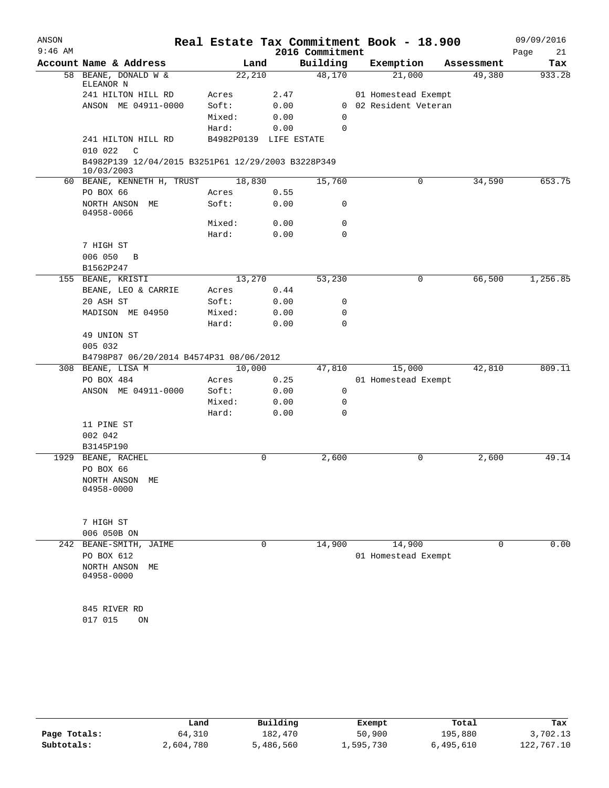| ANSON<br>$9:46$ AM |                                                                  |                        |      | 2016 Commitment | Real Estate Tax Commitment Book - 18.900 |            | 09/09/2016<br>Page<br>21 |
|--------------------|------------------------------------------------------------------|------------------------|------|-----------------|------------------------------------------|------------|--------------------------|
|                    | Account Name & Address                                           | Land                   |      | Building        | Exemption                                | Assessment | Tax                      |
|                    | 58 BEANE, DONALD W &<br>ELEANOR N                                | 22,210                 |      | 48,170          | 21,000                                   | 49,380     | 933.28                   |
|                    | 241 HILTON HILL RD                                               | Acres                  | 2.47 |                 | 01 Homestead Exempt                      |            |                          |
|                    | ANSON ME 04911-0000                                              | Soft:                  | 0.00 |                 | 0 02 Resident Veteran                    |            |                          |
|                    |                                                                  | Mixed:                 | 0.00 | $\Omega$        |                                          |            |                          |
|                    |                                                                  | Hard:                  | 0.00 | 0               |                                          |            |                          |
|                    | 241 HILTON HILL RD<br>010 022<br>$\mathbb{C}$                    | B4982P0139 LIFE ESTATE |      |                 |                                          |            |                          |
|                    | B4982P139 12/04/2015 B3251P61 12/29/2003 B3228P349<br>10/03/2003 |                        |      |                 |                                          |            |                          |
|                    | 60 BEANE, KENNETH H, TRUST                                       | 18,830                 |      | 15,760          | 0                                        | 34,590     | 653.75                   |
|                    | PO BOX 66                                                        | Acres                  | 0.55 |                 |                                          |            |                          |
|                    | NORTH ANSON ME<br>04958-0066                                     | Soft:                  | 0.00 | 0               |                                          |            |                          |
|                    |                                                                  | Mixed:                 | 0.00 | 0               |                                          |            |                          |
|                    |                                                                  | Hard:                  | 0.00 | 0               |                                          |            |                          |
|                    | 7 HIGH ST                                                        |                        |      |                 |                                          |            |                          |
|                    | 006 050 B                                                        |                        |      |                 |                                          |            |                          |
|                    | B1562P247                                                        |                        |      |                 |                                          |            |                          |
|                    | 155 BEANE, KRISTI                                                | 13,270                 |      | 53,230          | 0                                        | 66,500     | 1,256.85                 |
|                    | BEANE, LEO & CARRIE                                              | Acres                  | 0.44 |                 |                                          |            |                          |
|                    | 20 ASH ST                                                        | Soft:                  | 0.00 | 0               |                                          |            |                          |
|                    | MADISON ME 04950                                                 | Mixed:                 | 0.00 | 0               |                                          |            |                          |
|                    |                                                                  | Hard:                  | 0.00 | 0               |                                          |            |                          |
|                    | 49 UNION ST                                                      |                        |      |                 |                                          |            |                          |
|                    | 005 032                                                          |                        |      |                 |                                          |            |                          |
|                    | B4798P87 06/20/2014 B4574P31 08/06/2012                          |                        |      |                 |                                          |            |                          |
|                    | 308 BEANE, LISA M                                                | 10,000                 |      | 47,810          | 15,000                                   | 42,810     | 809.11                   |
|                    | PO BOX 484                                                       | Acres                  | 0.25 |                 | 01 Homestead Exempt                      |            |                          |
|                    | ANSON ME 04911-0000                                              | Soft:                  | 0.00 | 0               |                                          |            |                          |
|                    |                                                                  | Mixed:                 | 0.00 | 0               |                                          |            |                          |
|                    |                                                                  | Hard:                  | 0.00 | 0               |                                          |            |                          |
|                    | 11 PINE ST                                                       |                        |      |                 |                                          |            |                          |
|                    | 002 042                                                          |                        |      |                 |                                          |            |                          |
|                    | B3145P190                                                        |                        |      |                 |                                          |            |                          |
|                    | 1929 BEANE, RACHEL                                               |                        | 0    | 2,600           | 0                                        | 2,600      | 49.14                    |
|                    | PO BOX 66                                                        |                        |      |                 |                                          |            |                          |
|                    | NORTH ANSON ME                                                   |                        |      |                 |                                          |            |                          |
|                    | 04958-0000                                                       |                        |      |                 |                                          |            |                          |
|                    | 7 HIGH ST                                                        |                        |      |                 |                                          |            |                          |
|                    | 006 050B ON                                                      |                        |      |                 |                                          |            |                          |
|                    | 242 BEANE-SMITH, JAIME                                           |                        | 0    | 14,900          | 14,900                                   | 0          | 0.00                     |
|                    | PO BOX 612                                                       |                        |      |                 | 01 Homestead Exempt                      |            |                          |
|                    | NORTH ANSON<br>МE<br>04958-0000                                  |                        |      |                 |                                          |            |                          |
|                    |                                                                  |                        |      |                 |                                          |            |                          |
|                    | 845 RIVER RD                                                     |                        |      |                 |                                          |            |                          |
|                    | 017 015<br>ON                                                    |                        |      |                 |                                          |            |                          |
|                    |                                                                  |                        |      |                 |                                          |            |                          |

|              | Land      | Building  | Exempt    | Total     | Tax        |
|--------------|-----------|-----------|-----------|-----------|------------|
| Page Totals: | 64,310    | 182,470   | 50,900    | 195,880   | 3,702.13   |
| Subtotals:   | 2,604,780 | 5,486,560 | 1,595,730 | 6,495,610 | 122,767.10 |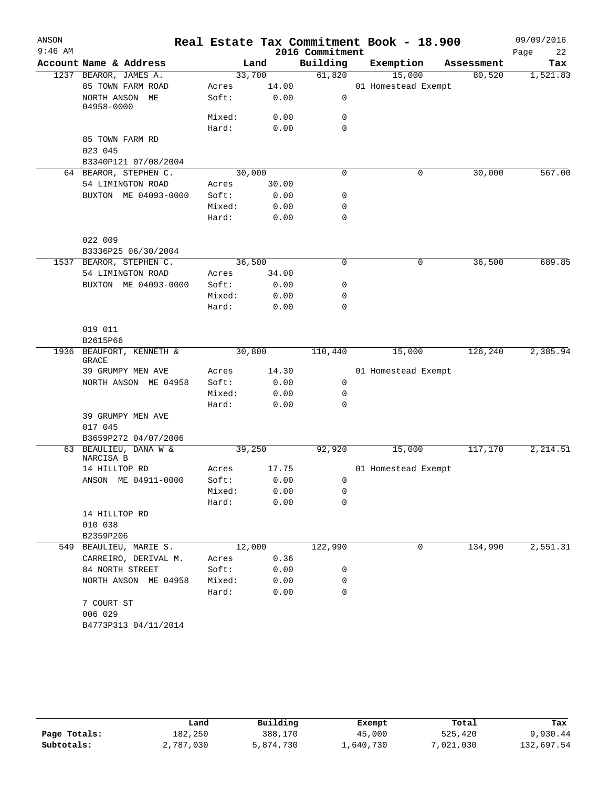| ANSON<br>$9:46$ AM |                                    |        |       | 2016 Commitment | Real Estate Tax Commitment Book - 18.900 |            | 09/09/2016<br>Page<br>22 |
|--------------------|------------------------------------|--------|-------|-----------------|------------------------------------------|------------|--------------------------|
|                    | Account Name & Address             |        | Land  | Building        | Exemption                                | Assessment | Tax                      |
|                    | 1237 BEAROR, JAMES A.              | 33,700 |       | 61,820          | 15,000                                   | 80,520     | 1,521.83                 |
|                    | 85 TOWN FARM ROAD                  | Acres  | 14.00 |                 | 01 Homestead Exempt                      |            |                          |
|                    | NORTH ANSON ME<br>04958-0000       | Soft:  | 0.00  | 0               |                                          |            |                          |
|                    |                                    | Mixed: | 0.00  | 0               |                                          |            |                          |
|                    |                                    | Hard:  | 0.00  | $\mathbf 0$     |                                          |            |                          |
|                    | 85 TOWN FARM RD                    |        |       |                 |                                          |            |                          |
|                    | 023 045                            |        |       |                 |                                          |            |                          |
|                    | B3340P121 07/08/2004               |        |       |                 |                                          |            |                          |
|                    | 64 BEAROR, STEPHEN C.              | 30,000 |       | $\mathbf 0$     | 0                                        | 30,000     | 567.00                   |
|                    | 54 LIMINGTON ROAD                  | Acres  | 30.00 |                 |                                          |            |                          |
|                    | BUXTON ME 04093-0000               | Soft:  | 0.00  | 0               |                                          |            |                          |
|                    |                                    | Mixed: | 0.00  | 0               |                                          |            |                          |
|                    |                                    | Hard:  | 0.00  | $\mathbf 0$     |                                          |            |                          |
|                    | 022 009<br>B3336P25 06/30/2004     |        |       |                 |                                          |            |                          |
|                    | 1537 BEAROR, STEPHEN C.            | 36,500 |       | $\mathbf 0$     | 0                                        | 36,500     | 689.85                   |
|                    | 54 LIMINGTON ROAD                  | Acres  | 34.00 |                 |                                          |            |                          |
|                    | BUXTON ME 04093-0000               | Soft:  | 0.00  | 0               |                                          |            |                          |
|                    |                                    | Mixed: | 0.00  | 0               |                                          |            |                          |
|                    |                                    | Hard:  | 0.00  | $\mathbf 0$     |                                          |            |                          |
|                    | 019 011                            |        |       |                 |                                          |            |                          |
|                    | B2615P66                           |        |       |                 |                                          |            |                          |
|                    | 1936 BEAUFORT, KENNETH &<br>GRACE  | 30,800 |       | 110,440         | 15,000                                   | 126,240    | 2,385.94                 |
|                    | 39 GRUMPY MEN AVE                  | Acres  | 14.30 |                 | 01 Homestead Exempt                      |            |                          |
|                    | NORTH ANSON ME 04958               | Soft:  | 0.00  | 0               |                                          |            |                          |
|                    |                                    | Mixed: | 0.00  | 0               |                                          |            |                          |
|                    |                                    | Hard:  | 0.00  | $\mathbf 0$     |                                          |            |                          |
|                    | 39 GRUMPY MEN AVE                  |        |       |                 |                                          |            |                          |
|                    | 017 045                            |        |       |                 |                                          |            |                          |
|                    | B3659P272 04/07/2006               |        |       |                 |                                          |            |                          |
|                    | 63 BEAULIEU, DANA W &<br>NARCISA B | 39,250 |       | 92,920          | 15,000                                   | 117,170    | 2,214.51                 |
|                    | 14 HILLTOP RD                      | Acres  | 17.75 |                 | 01 Homestead Exempt                      |            |                          |
|                    | ANSON ME 04911-0000                | Soft:  | 0.00  | 0               |                                          |            |                          |
|                    |                                    | Mixed: | 0.00  | 0               |                                          |            |                          |
|                    |                                    | Hard:  | 0.00  | $\mathbf 0$     |                                          |            |                          |
|                    | 14 HILLTOP RD                      |        |       |                 |                                          |            |                          |
|                    | 010 038                            |        |       |                 |                                          |            |                          |
|                    | B2359P206                          |        |       |                 |                                          |            |                          |
|                    | 549 BEAULIEU, MARIE S.             | 12,000 |       | 122,990         | 0                                        | 134,990    | 2,551.31                 |
|                    | CARREIRO, DERIVAL M.               | Acres  | 0.36  |                 |                                          |            |                          |
|                    | 84 NORTH STREET                    | Soft:  | 0.00  | 0               |                                          |            |                          |
|                    | NORTH ANSON ME 04958               | Mixed: | 0.00  | 0               |                                          |            |                          |
|                    |                                    | Hard:  | 0.00  | 0               |                                          |            |                          |
|                    | 7 COURT ST                         |        |       |                 |                                          |            |                          |
|                    | 006 029                            |        |       |                 |                                          |            |                          |
|                    | B4773P313 04/11/2014               |        |       |                 |                                          |            |                          |
|                    |                                    |        |       |                 |                                          |            |                          |

|              | Land      | Building  | Exempt    | Total    | Tax        |
|--------------|-----------|-----------|-----------|----------|------------|
| Page Totals: | 182,250   | 388,170   | 45,000    | 525,420  | 9,930.44   |
| Subtotals:   | 2,787,030 | 5,874,730 | ⊥,640,730 | ,021,030 | 132,697.54 |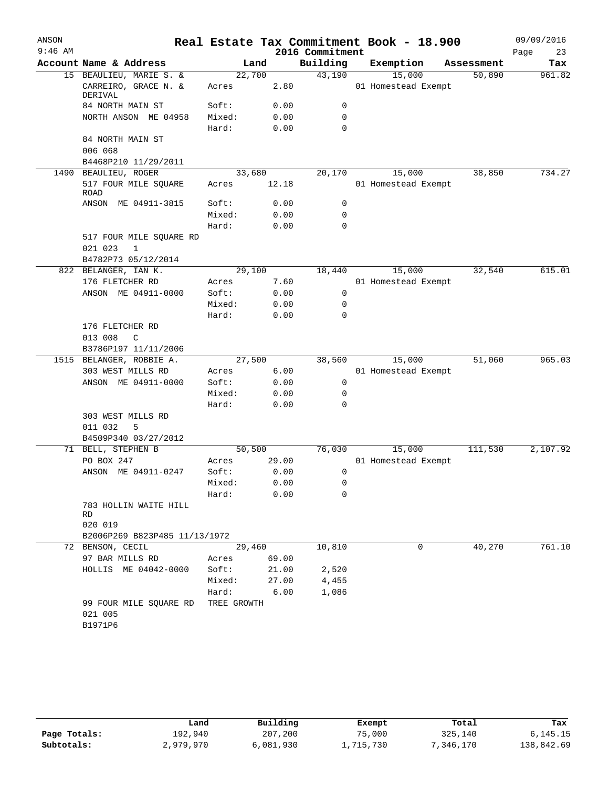| ANSON     |                                          |                |              |                 | Real Estate Tax Commitment Book - 18.900 |            | 09/09/2016 |
|-----------|------------------------------------------|----------------|--------------|-----------------|------------------------------------------|------------|------------|
| $9:46$ AM |                                          |                |              | 2016 Commitment |                                          |            | Page<br>23 |
|           | Account Name & Address                   |                | Land         | Building        | Exemption                                | Assessment | Tax        |
|           | 15 BEAULIEU, MARIE S. &                  |                | 22,700       | 43,190          | 15,000                                   | 50,890     | 961.82     |
|           | CARREIRO, GRACE N. &<br>DERIVAL          | Acres          | 2.80         |                 | 01 Homestead Exempt                      |            |            |
|           | 84 NORTH MAIN ST                         | Soft:          | 0.00         | 0               |                                          |            |            |
|           | NORTH ANSON ME 04958                     | Mixed:         | 0.00         | 0               |                                          |            |            |
|           |                                          | Hard:          | 0.00         | 0               |                                          |            |            |
|           | 84 NORTH MAIN ST                         |                |              |                 |                                          |            |            |
|           | 006 068                                  |                |              |                 |                                          |            |            |
|           | B4468P210 11/29/2011                     |                |              |                 |                                          |            |            |
|           | 1490 BEAULIEU, ROGER                     |                | 33,680       | 20,170          | 15,000                                   | 38,850     | 734.27     |
|           | 517 FOUR MILE SQUARE<br><b>ROAD</b>      | Acres          | 12.18        |                 | 01 Homestead Exempt                      |            |            |
|           | ANSON ME 04911-3815                      | Soft:          | 0.00         | 0               |                                          |            |            |
|           |                                          | Mixed:         | 0.00         | 0               |                                          |            |            |
|           |                                          | Hard:          | 0.00         | 0               |                                          |            |            |
|           | 517 FOUR MILE SQUARE RD<br>021 023<br>1  |                |              |                 |                                          |            |            |
|           | B4782P73 05/12/2014                      |                |              |                 |                                          |            |            |
|           | 822 BELANGER, IAN K.                     |                | 29,100       | 18,440          | 15,000                                   | 32,540     | 615.01     |
|           | 176 FLETCHER RD                          | Acres          | 7.60         |                 | 01 Homestead Exempt                      |            |            |
|           | ANSON ME 04911-0000                      | Soft:          | 0.00         | 0               |                                          |            |            |
|           |                                          | Mixed:         | 0.00         | 0               |                                          |            |            |
|           |                                          | Hard:          | 0.00         | $\Omega$        |                                          |            |            |
|           | 176 FLETCHER RD                          |                |              |                 |                                          |            |            |
|           | 013 008<br>$\mathcal{C}$                 |                |              |                 |                                          |            |            |
|           | B3786P197 11/11/2006                     |                |              |                 |                                          |            |            |
|           | 1515 BELANGER, ROBBIE A.                 |                | 27,500       | 38,560          | 15,000                                   | 51,060     | 965.03     |
|           | 303 WEST MILLS RD<br>ANSON ME 04911-0000 | Acres<br>Soft: | 6.00         | 0               | 01 Homestead Exempt                      |            |            |
|           |                                          | Mixed:         | 0.00<br>0.00 | 0               |                                          |            |            |
|           |                                          | Hard:          | 0.00         | 0               |                                          |            |            |
|           | 303 WEST MILLS RD                        |                |              |                 |                                          |            |            |
|           | 011 032<br>5                             |                |              |                 |                                          |            |            |
|           | B4509P340 03/27/2012                     |                |              |                 |                                          |            |            |
|           | 71 BELL, STEPHEN B                       |                | 50,500       | 76,030          | 15,000                                   | 111,530    | 2,107.92   |
|           | PO BOX 247                               | Acres          | 29.00        |                 | 01 Homestead Exempt                      |            |            |
|           | ANSON ME 04911-0247                      | Soft:          | 0.00         | 0               |                                          |            |            |
|           |                                          | Mixed:         | 0.00         | $\mathsf 0$     |                                          |            |            |
|           |                                          | Hard:          | 0.00         | 0               |                                          |            |            |
|           | 783 HOLLIN WAITE HILL<br>RD.             |                |              |                 |                                          |            |            |
|           | 020 019                                  |                |              |                 |                                          |            |            |
|           | B2006P269 B823P485 11/13/1972            |                |              |                 |                                          |            |            |
|           | 72 BENSON, CECIL                         |                | 29,460       | 10,810          | 0                                        | 40,270     | 761.10     |
|           | 97 BAR MILLS RD                          |                | Acres 69.00  |                 |                                          |            |            |
|           | HOLLIS ME 04042-0000                     | Soft:          | 21.00        | 2,520           |                                          |            |            |
|           |                                          |                | Mixed: 27.00 | 4,455           |                                          |            |            |
|           |                                          | Hard:          | 6.00         | 1,086           |                                          |            |            |
|           | 99 FOUR MILE SQUARE RD<br>021 005        | TREE GROWTH    |              |                 |                                          |            |            |
|           | B1971P6                                  |                |              |                 |                                          |            |            |
|           |                                          |                |              |                 |                                          |            |            |

|              | Land      | Building  | Exempt    | Total     | Tax        |
|--------------|-----------|-----------|-----------|-----------|------------|
| Page Totals: | 192.940   | 207,200   | 75,000    | 325,140   | 6,145.15   |
| Subtotals:   | 2,979,970 | 6,081,930 | 1,715,730 | 7,346,170 | 138,842.69 |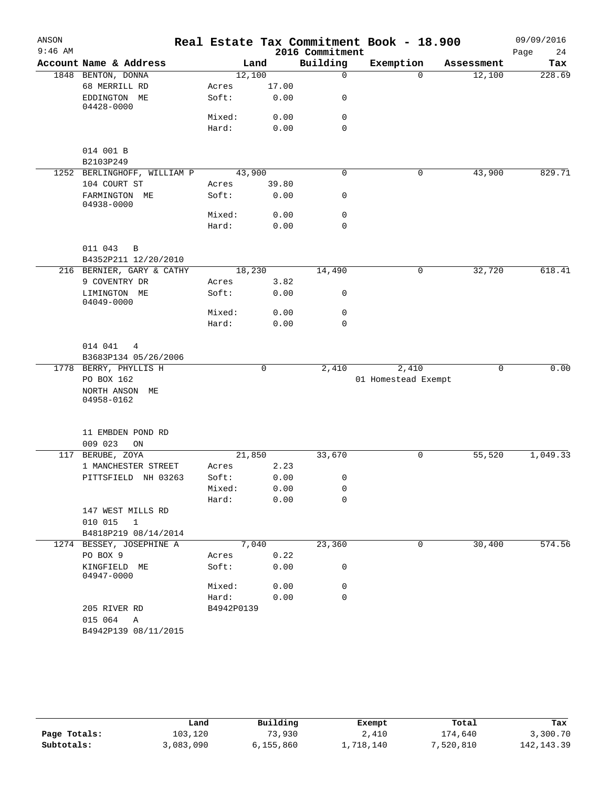| ANSON     |                                                           |                |              |                 | Real Estate Tax Commitment Book - 18.900 |             | 09/09/2016 |
|-----------|-----------------------------------------------------------|----------------|--------------|-----------------|------------------------------------------|-------------|------------|
| $9:46$ AM |                                                           |                |              | 2016 Commitment |                                          |             | Page<br>24 |
|           | Account Name & Address                                    | Land           |              | Building        | Exemption                                | Assessment  | Tax        |
|           | 1848 BENTON, DONNA                                        | 12,100         |              | $\mathbf 0$     | $\Omega$                                 | 12,100      | 228.69     |
|           | 68 MERRILL RD                                             | Acres          | 17.00        |                 |                                          |             |            |
|           | EDDINGTON ME<br>04428-0000                                | Soft:          | 0.00         | 0               |                                          |             |            |
|           |                                                           | Mixed:         | 0.00         | 0               |                                          |             |            |
|           |                                                           | Hard:          | 0.00         | $\mathbf 0$     |                                          |             |            |
|           | 014 001 B<br>B2103P249                                    |                |              |                 |                                          |             |            |
|           | 1252 BERLINGHOFF, WILLIAM P                               | 43,900         |              | $\mathbf 0$     | 0                                        | 43,900      | 829.71     |
|           | 104 COURT ST                                              | Acres          | 39.80        |                 |                                          |             |            |
|           | FARMINGTON ME<br>04938-0000                               | Soft:          | 0.00         | $\mathbf 0$     |                                          |             |            |
|           |                                                           | Mixed:         | 0.00         | $\mathbf 0$     |                                          |             |            |
|           |                                                           | Hard:          | 0.00         | $\mathbf 0$     |                                          |             |            |
|           | 011 043<br>B                                              |                |              |                 |                                          |             |            |
|           | B4352P211 12/20/2010                                      |                |              |                 |                                          |             |            |
|           | 216 BERNIER, GARY & CATHY                                 | 18,230         |              | 14,490          | 0                                        | 32,720      | 618.41     |
|           | 9 COVENTRY DR<br>LIMINGTON ME                             | Acres<br>Soft: | 3.82<br>0.00 | 0               |                                          |             |            |
|           | 04049-0000                                                | Mixed:         | 0.00         | 0               |                                          |             |            |
|           |                                                           | Hard:          | 0.00         | 0               |                                          |             |            |
|           | 014 041<br>4<br>B3683P134 05/26/2006                      |                |              |                 |                                          |             |            |
|           | 1778 BERRY, PHYLLIS H                                     |                | 0            | 2,410           | 2,410                                    | $\mathbf 0$ | 0.00       |
|           | PO BOX 162<br>NORTH ANSON ME<br>04958-0162                |                |              |                 | 01 Homestead Exempt                      |             |            |
|           | 11 EMBDEN POND RD<br>009 023<br>ON                        |                |              |                 |                                          |             |            |
| 117       | BERUBE, ZOYA                                              | 21,850         |              | 33,670          | 0                                        | 55,520      | 1,049.33   |
|           | 1 MANCHESTER STREET                                       | Acres          | 2.23         |                 |                                          |             |            |
|           | PITTSFIELD NH 03263                                       | Soft:          | 0.00         | 0               |                                          |             |            |
|           |                                                           | Mixed:         | 0.00         | 0               |                                          |             |            |
|           |                                                           | Hard:          | 0.00         | $\mathbf 0$     |                                          |             |            |
|           | 147 WEST MILLS RD<br>010 015<br>1<br>B4818P219 08/14/2014 |                |              |                 |                                          |             |            |
|           | 1274 BESSEY, JOSEPHINE A                                  | 7,040          |              | 23,360          | 0                                        | 30,400      | 574.56     |
|           | PO BOX 9                                                  | Acres          | 0.22         |                 |                                          |             |            |
|           | KINGFIELD ME<br>04947-0000                                | Soft:          | 0.00         | 0               |                                          |             |            |
|           |                                                           | Mixed:         | 0.00         | 0               |                                          |             |            |
|           |                                                           | Hard:          | 0.00         | 0               |                                          |             |            |
|           | 205 RIVER RD<br>015 064<br>A                              | B4942P0139     |              |                 |                                          |             |            |
|           | B4942P139 08/11/2015                                      |                |              |                 |                                          |             |            |

|              | Land      | Building  | Exempt    | Total     | Tax         |
|--------------|-----------|-----------|-----------|-----------|-------------|
| Page Totals: | 103,120   | 73,930    | 2,410     | 174,640   | 3,300.70    |
| Subtotals:   | 3,083,090 | 6,155,860 | 1,718,140 | 7,520,810 | 142, 143.39 |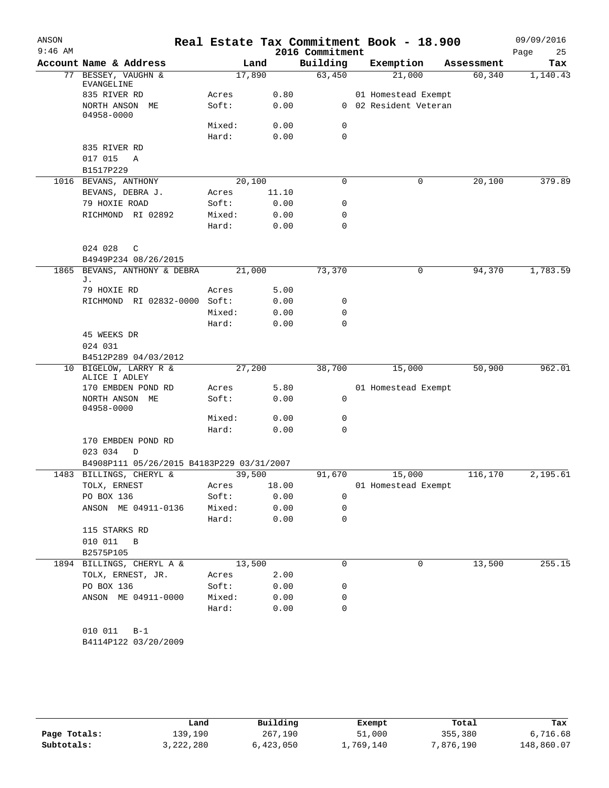| ANSON<br>$9:46$ AM |                                           |        |              | 2016 Commitment | Real Estate Tax Commitment Book - 18.900 |            | 09/09/2016<br>Page<br>25 |
|--------------------|-------------------------------------------|--------|--------------|-----------------|------------------------------------------|------------|--------------------------|
|                    | Account Name & Address                    |        | Land         | Building        | Exemption                                | Assessment | Tax                      |
| 77                 | BESSEY, VAUGHN &                          |        | 17,890       | 63,450          | 21,000                                   | 60,340     | 1,140.43                 |
|                    | EVANGELINE                                |        |              |                 |                                          |            |                          |
|                    | 835 RIVER RD                              | Acres  | 0.80         |                 | 01 Homestead Exempt                      |            |                          |
|                    | NORTH ANSON ME<br>04958-0000              | Soft:  | 0.00         |                 | 0 02 Resident Veteran                    |            |                          |
|                    |                                           | Mixed: | 0.00         | 0               |                                          |            |                          |
|                    |                                           | Hard:  | 0.00         | 0               |                                          |            |                          |
|                    | 835 RIVER RD                              |        |              |                 |                                          |            |                          |
|                    | 017 015<br>Α                              |        |              |                 |                                          |            |                          |
|                    | B1517P229                                 |        |              |                 |                                          |            |                          |
|                    | 1016 BEVANS, ANTHONY                      |        | 20,100       | 0               | 0                                        | 20,100     | 379.89                   |
|                    | BEVANS, DEBRA J.                          | Acres  | 11.10        |                 |                                          |            |                          |
|                    | 79 HOXIE ROAD                             | Soft:  | 0.00         | 0               |                                          |            |                          |
|                    | RICHMOND RI 02892                         | Mixed: | 0.00         | 0               |                                          |            |                          |
|                    |                                           | Hard:  | 0.00         | 0               |                                          |            |                          |
|                    | 024 028<br>C                              |        |              |                 |                                          |            |                          |
|                    | B4949P234 08/26/2015                      |        |              |                 |                                          |            |                          |
| 1865               | BEVANS, ANTHONY & DEBRA                   |        | 21,000       | 73,370          | 0                                        | 94,370     | 1,783.59                 |
|                    | J.                                        |        |              |                 |                                          |            |                          |
|                    | 79 HOXIE RD                               | Acres  | 5.00         |                 |                                          |            |                          |
|                    | RICHMOND RI 02832-0000 Soft:              | Mixed: | 0.00<br>0.00 | 0<br>0          |                                          |            |                          |
|                    |                                           | Hard:  | 0.00         | 0               |                                          |            |                          |
|                    | 45 WEEKS DR                               |        |              |                 |                                          |            |                          |
|                    | 024 031                                   |        |              |                 |                                          |            |                          |
|                    | B4512P289 04/03/2012                      |        |              |                 |                                          |            |                          |
|                    | 10 BIGELOW, LARRY R &                     |        | 27,200       | 38,700          | 15,000                                   | 50,900     | 962.01                   |
|                    | ALICE I ADLEY                             |        |              |                 |                                          |            |                          |
|                    | 170 EMBDEN POND RD                        | Acres  | 5.80         |                 | 01 Homestead Exempt                      |            |                          |
|                    | NORTH ANSON ME<br>04958-0000              | Soft:  | 0.00         | 0               |                                          |            |                          |
|                    |                                           | Mixed: | 0.00         | 0               |                                          |            |                          |
|                    |                                           | Hard:  | 0.00         | 0               |                                          |            |                          |
|                    | 170 EMBDEN POND RD                        |        |              |                 |                                          |            |                          |
|                    | 023 034<br>D                              |        |              |                 |                                          |            |                          |
|                    | B4908P111 05/26/2015 B4183P229 03/31/2007 |        |              |                 |                                          |            |                          |
|                    | 1483 BILLINGS, CHERYL &                   |        | 39,500       | 91,670          | 15,000                                   | 116,170    | 2,195.61                 |
|                    | TOLX, ERNEST                              | Acres  | 18.00        |                 | 01 Homestead Exempt                      |            |                          |
|                    | PO BOX 136                                | Soft:  | 0.00         | 0               |                                          |            |                          |
|                    | ANSON ME 04911-0136                       | Mixed: | 0.00         | 0<br>0          |                                          |            |                          |
|                    | 115 STARKS RD                             | Hard:  | 0.00         |                 |                                          |            |                          |
|                    | 010 011 B                                 |        |              |                 |                                          |            |                          |
|                    | B2575P105                                 |        |              |                 |                                          |            |                          |
|                    | 1894 BILLINGS, CHERYL A &                 |        | 13,500       | $\Omega$        | 0                                        | 13,500     | 255.15                   |
|                    | TOLX, ERNEST, JR.                         | Acres  | 2.00         |                 |                                          |            |                          |
|                    | PO BOX 136                                | Soft:  | 0.00         | 0               |                                          |            |                          |
|                    | ANSON ME 04911-0000                       | Mixed: | 0.00         | 0               |                                          |            |                          |
|                    |                                           | Hard:  | 0.00         | 0               |                                          |            |                          |
|                    |                                           |        |              |                 |                                          |            |                          |
|                    | 010 011<br>$B-1$                          |        |              |                 |                                          |            |                          |
|                    | B4114P122 03/20/2009                      |        |              |                 |                                          |            |                          |

|              | Land      | Building  | Exempt    | Total     | Tax        |
|--------------|-----------|-----------|-----------|-----------|------------|
| Page Totals: | 139,190   | 267,190   | 51,000    | 355,380   | 6,716.68   |
| Subtotals:   | 3,222,280 | 6,423,050 | ⊥,769,140 | 7,876,190 | 148,860.07 |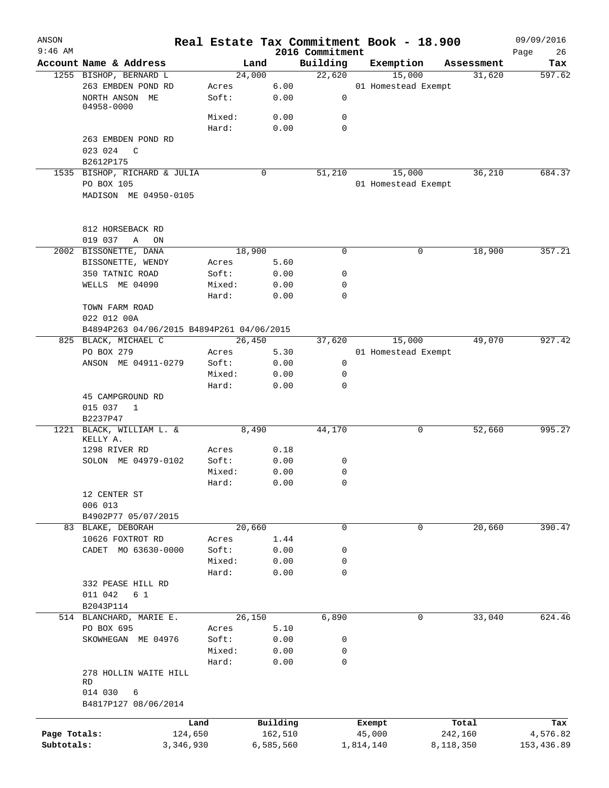| ANSON        |                                              |        |           |                             |           | Real Estate Tax Commitment Book - 18.900 |            | 09/09/2016        |
|--------------|----------------------------------------------|--------|-----------|-----------------------------|-----------|------------------------------------------|------------|-------------------|
| $9:46$ AM    | Account Name & Address                       | Land   |           | 2016 Commitment<br>Building |           | Exemption                                | Assessment | Page<br>26<br>Tax |
|              | 1255 BISHOP, BERNARD L                       | 24,000 |           | 22,620                      |           | 15,000                                   | 31,620     | 597.62            |
|              | 263 EMBDEN POND RD                           | Acres  | 6.00      |                             |           | 01 Homestead Exempt                      |            |                   |
|              | NORTH ANSON ME<br>04958-0000                 | Soft:  | 0.00      | 0                           |           |                                          |            |                   |
|              |                                              | Mixed: | 0.00      | 0                           |           |                                          |            |                   |
|              |                                              | Hard:  | 0.00      | $\Omega$                    |           |                                          |            |                   |
|              | 263 EMBDEN POND RD                           |        |           |                             |           |                                          |            |                   |
|              | 023 024<br>C<br>B2612P175                    |        |           |                             |           |                                          |            |                   |
|              | 1535 BISHOP, RICHARD & JULIA                 |        | 0         | 51,210                      |           | 15,000                                   | 36,210     | 684.37            |
|              | PO BOX 105                                   |        |           |                             |           | 01 Homestead Exempt                      |            |                   |
|              | MADISON ME 04950-0105                        |        |           |                             |           |                                          |            |                   |
|              | 812 HORSEBACK RD                             |        |           |                             |           |                                          |            |                   |
|              | 019 037<br>Α<br>ON                           |        |           |                             |           |                                          |            |                   |
|              | 2002 BISSONETTE, DANA                        | 18,900 |           | 0                           |           | 0                                        | 18,900     | 357.21            |
|              | BISSONETTE, WENDY                            | Acres  | 5.60      |                             |           |                                          |            |                   |
|              | 350 TATNIC ROAD                              | Soft:  | 0.00      | 0                           |           |                                          |            |                   |
|              | WELLS ME 04090                               | Mixed: | 0.00      | 0                           |           |                                          |            |                   |
|              |                                              | Hard:  | 0.00      | 0                           |           |                                          |            |                   |
|              | TOWN FARM ROAD                               |        |           |                             |           |                                          |            |                   |
|              | 022 012 00A                                  |        |           |                             |           |                                          |            |                   |
|              | B4894P263 04/06/2015 B4894P261 04/06/2015    |        |           |                             |           |                                          |            |                   |
|              | 825 BLACK, MICHAEL C                         | 26,450 |           | 37,620                      |           | 15,000                                   | 49,070     | 927.42            |
|              | PO BOX 279                                   | Acres  | 5.30      |                             |           | 01 Homestead Exempt                      |            |                   |
|              | ANSON ME 04911-0279                          | Soft:  | 0.00      | 0                           |           |                                          |            |                   |
|              |                                              | Mixed: | 0.00      | $\mathbf 0$                 |           |                                          |            |                   |
|              |                                              | Hard:  | 0.00      | 0                           |           |                                          |            |                   |
|              | 45 CAMPGROUND RD<br>015 037<br>1<br>B2237P47 |        |           |                             |           |                                          |            |                   |
|              | 1221 BLACK, WILLIAM L. &                     | 8,490  |           | 44,170                      |           | 0                                        | 52,660     | 995.27            |
|              | KELLY A.                                     |        |           |                             |           |                                          |            |                   |
|              | 1298 RIVER RD                                | Acres  | 0.18      |                             |           |                                          |            |                   |
|              | SOLON ME 04979-0102                          | Soft:  | 0.00      | 0                           |           |                                          |            |                   |
|              |                                              | Mixed: | 0.00      | 0                           |           |                                          |            |                   |
|              |                                              | Hard:  | 0.00      | $\mathbf 0$                 |           |                                          |            |                   |
|              | 12 CENTER ST<br>006 013                      |        |           |                             |           |                                          |            |                   |
|              | B4902P77 05/07/2015                          |        |           |                             |           |                                          |            |                   |
|              | 83 BLAKE, DEBORAH                            | 20,660 |           | $\mathbf 0$                 |           | 0                                        | 20,660     | 390.47            |
|              | 10626 FOXTROT RD                             | Acres  | 1.44      |                             |           |                                          |            |                   |
|              | CADET MO 63630-0000                          | Soft:  | 0.00      | 0                           |           |                                          |            |                   |
|              |                                              | Mixed: | 0.00      | 0                           |           |                                          |            |                   |
|              |                                              | Hard:  | 0.00      | 0                           |           |                                          |            |                   |
|              | 332 PEASE HILL RD<br>011 042<br>6 1          |        |           |                             |           |                                          |            |                   |
|              | B2043P114                                    |        |           |                             |           |                                          |            |                   |
|              | 514 BLANCHARD, MARIE E.                      | 26,150 |           | 6,890                       |           | 0                                        | 33,040     | 624.46            |
|              | PO BOX 695                                   | Acres  | 5.10      |                             |           |                                          |            |                   |
|              | SKOWHEGAN ME 04976                           | Soft:  | 0.00      | 0                           |           |                                          |            |                   |
|              |                                              | Mixed: | 0.00      | 0                           |           |                                          |            |                   |
|              |                                              | Hard:  | 0.00      | 0                           |           |                                          |            |                   |
|              | 278 HOLLIN WAITE HILL<br>RD                  |        |           |                             |           |                                          |            |                   |
|              | 014 030<br>6<br>B4817P127 08/06/2014         |        |           |                             |           |                                          |            |                   |
|              |                                              |        |           |                             |           |                                          |            |                   |
|              | Land                                         |        | Building  |                             | Exempt    |                                          | Total      | Tax               |
| Page Totals: | 124,650                                      |        | 162,510   |                             | 45,000    |                                          | 242,160    | 4,576.82          |
| Subtotals:   | 3,346,930                                    |        | 6,585,560 |                             | 1,814,140 |                                          | 8,118,350  | 153,436.89        |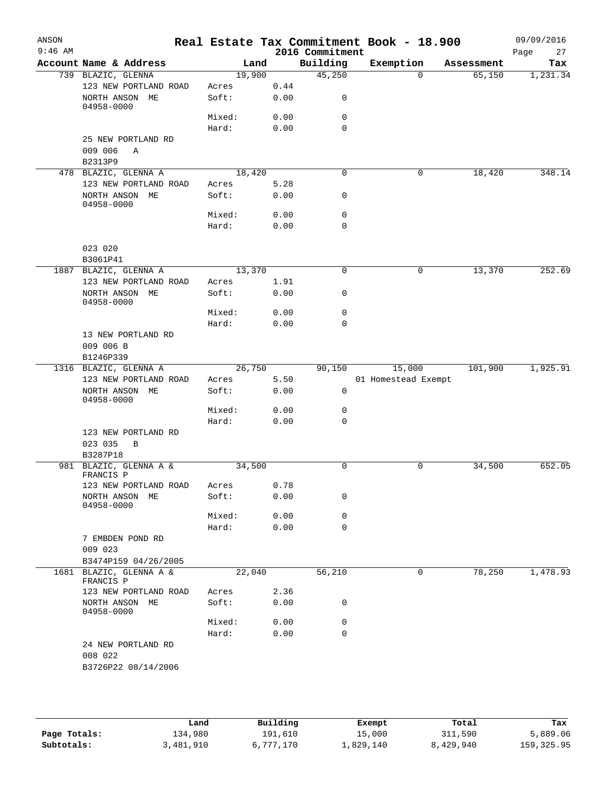| ANSON<br>$9:46$ AM |                                               |                |      | 2016 Commitment | Real Estate Tax Commitment Book - 18.900 |            | 09/09/2016<br>27<br>Page |
|--------------------|-----------------------------------------------|----------------|------|-----------------|------------------------------------------|------------|--------------------------|
|                    | Account Name & Address                        | Land           |      | Building        | Exemption                                | Assessment | Tax                      |
|                    | 739 BLAZIC, GLENNA                            | 19,900         |      | 45,250          | $\Omega$                                 | 65,150     | 1,231.34                 |
|                    | 123 NEW PORTLAND ROAD                         | Acres          | 0.44 |                 |                                          |            |                          |
|                    | NORTH ANSON ME<br>04958-0000                  | Soft:          | 0.00 | 0               |                                          |            |                          |
|                    |                                               | Mixed:         | 0.00 | 0               |                                          |            |                          |
|                    |                                               | Hard:          | 0.00 | $\mathbf 0$     |                                          |            |                          |
|                    | 25 NEW PORTLAND RD<br>009 006<br>Α<br>B2313P9 |                |      |                 |                                          |            |                          |
|                    | 478 BLAZIC, GLENNA A                          | 18,420         |      | 0               | 0                                        | 18,420     | 348.14                   |
|                    | 123 NEW PORTLAND ROAD                         | Acres          | 5.28 |                 |                                          |            |                          |
|                    | NORTH ANSON ME<br>04958-0000                  | Soft:          | 0.00 | 0               |                                          |            |                          |
|                    |                                               | Mixed:         | 0.00 | 0               |                                          |            |                          |
|                    |                                               | Hard:          | 0.00 | $\mathbf 0$     |                                          |            |                          |
|                    | 023 020<br>B3061P41                           |                |      |                 |                                          |            |                          |
|                    | 1887 BLAZIC, GLENNA A                         | 13,370         |      | $\Omega$        | $\mathbf 0$                              | 13,370     | 252.69                   |
|                    | 123 NEW PORTLAND ROAD                         | Acres          | 1.91 |                 |                                          |            |                          |
|                    | NORTH ANSON ME<br>04958-0000                  | Soft:          | 0.00 | 0               |                                          |            |                          |
|                    |                                               | Mixed:         | 0.00 | $\mathbf 0$     |                                          |            |                          |
|                    |                                               | Hard:          | 0.00 | 0               |                                          |            |                          |
|                    | 13 NEW PORTLAND RD                            |                |      |                 |                                          |            |                          |
|                    | 009 006 B                                     |                |      |                 |                                          |            |                          |
|                    | B1246P339                                     |                |      |                 |                                          |            |                          |
|                    | 1316 BLAZIC, GLENNA A                         | 26,750         |      | 90,150          | 15,000                                   | 101,900    | 1,925.91                 |
|                    | 123 NEW PORTLAND ROAD                         | Acres          | 5.50 |                 | 01 Homestead Exempt                      |            |                          |
|                    | NORTH ANSON ME<br>04958-0000                  | Soft:          | 0.00 | $\mathbf 0$     |                                          |            |                          |
|                    |                                               | Mixed:         | 0.00 | 0               |                                          |            |                          |
|                    |                                               | Hard:          | 0.00 | $\mathbf 0$     |                                          |            |                          |
|                    | 123 NEW PORTLAND RD<br>023 035<br>B           |                |      |                 |                                          |            |                          |
|                    | B3287P18                                      |                |      |                 |                                          |            |                          |
|                    | 981 BLAZIC, GLENNA A &                        | 34,500         |      | $\mathbf 0$     | $\mathbf 0$                              | 34,500     | 652.05                   |
|                    | FRANCIS P                                     |                | 0.78 |                 |                                          |            |                          |
|                    | 123 NEW PORTLAND ROAD                         | Acres<br>Soft: |      | 0               |                                          |            |                          |
|                    | NORTH ANSON ME<br>04958-0000                  |                | 0.00 |                 |                                          |            |                          |
|                    |                                               | Mixed:         | 0.00 | 0               |                                          |            |                          |
|                    |                                               | Hard:          | 0.00 | 0               |                                          |            |                          |
|                    | 7 EMBDEN POND RD<br>009 023                   |                |      |                 |                                          |            |                          |
|                    | B3474P159 04/26/2005                          |                |      |                 |                                          |            |                          |
|                    | 1681 BLAZIC, GLENNA A &<br>FRANCIS P          | 22,040         |      | 56,210          | 0                                        | 78,250     | 1,478.93                 |
|                    | 123 NEW PORTLAND ROAD                         | Acres          | 2.36 |                 |                                          |            |                          |
|                    | NORTH ANSON ME<br>04958-0000                  | Soft:          | 0.00 | 0               |                                          |            |                          |
|                    |                                               | Mixed:         | 0.00 | 0               |                                          |            |                          |
|                    |                                               | Hard:          | 0.00 | 0               |                                          |            |                          |
|                    | 24 NEW PORTLAND RD<br>008 022                 |                |      |                 |                                          |            |                          |
|                    | B3726P22 08/14/2006                           |                |      |                 |                                          |            |                          |
|                    |                                               |                |      |                 |                                          |            |                          |

|              | Land      | Building  | Exempt    | Total     | Tax        |
|--------------|-----------|-----------|-----------|-----------|------------|
| Page Totals: | 134,980   | 191,610   | 15,000    | 311,590   | 5,889.06   |
| Subtotals:   | 3,481,910 | 6,777,170 | ⊥,829,140 | 8,429,940 | 159,325.95 |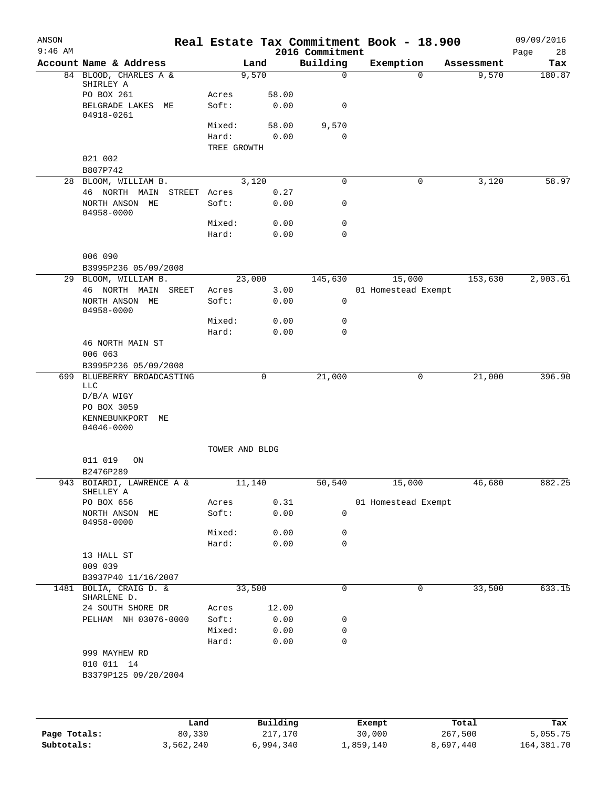| ANSON<br>$9:46$ AM |                                                    |                      |                | 2016 Commitment | Real Estate Tax Commitment Book - 18.900 |            | 09/09/2016<br>Page<br>28 |
|--------------------|----------------------------------------------------|----------------------|----------------|-----------------|------------------------------------------|------------|--------------------------|
|                    | Account Name & Address                             |                      | Land           | Building        | Exemption                                | Assessment | Tax                      |
|                    | 84 BLOOD, CHARLES A &<br>SHIRLEY A<br>PO BOX 261   | Acres                | 9,570<br>58.00 | $\mathbf 0$     | $\Omega$                                 | 9,570      | 180.87                   |
|                    | BELGRADE LAKES<br>МE<br>04918-0261                 | Soft:                | 0.00           | 0               |                                          |            |                          |
|                    |                                                    | Mixed:               | 58.00          | 9,570           |                                          |            |                          |
|                    |                                                    | Hard:<br>TREE GROWTH | 0.00           | 0               |                                          |            |                          |
|                    | 021 002<br>B807P742                                |                      |                |                 |                                          |            |                          |
|                    | 28 BLOOM, WILLIAM B.                               |                      | 3,120          | 0               | 0                                        | 3,120      | 58.97                    |
|                    | 46 NORTH MAIN<br>STREET Acres                      |                      | 0.27           |                 |                                          |            |                          |
|                    | NORTH ANSON ME<br>04958-0000                       | Soft:                | 0.00           | 0               |                                          |            |                          |
|                    |                                                    | Mixed:               | 0.00           | 0               |                                          |            |                          |
|                    |                                                    | Hard:                | 0.00           | 0               |                                          |            |                          |
|                    | 006 090<br>B3995P236 05/09/2008                    |                      |                |                 |                                          |            |                          |
|                    | 29 BLOOM, WILLIAM B.                               |                      | 23,000         | 145,630         | 15,000                                   | 153,630    | 2,903.61                 |
|                    | 46 NORTH MAIN<br>SREET                             | Acres                | 3.00           |                 | 01 Homestead Exempt                      |            |                          |
|                    | NORTH ANSON ME<br>04958-0000                       | Soft:                | 0.00           | 0               |                                          |            |                          |
|                    |                                                    | Mixed:               | 0.00           | 0               |                                          |            |                          |
|                    |                                                    | Hard:                | 0.00           | 0               |                                          |            |                          |
|                    | 46 NORTH MAIN ST                                   |                      |                |                 |                                          |            |                          |
|                    | 006 063                                            |                      |                |                 |                                          |            |                          |
|                    | B3995P236 05/09/2008<br>699 BLUEBERRY BROADCASTING |                      | 0              | 21,000          | 0                                        | 21,000     | 396.90                   |
|                    | <b>LLC</b><br>$D/B/A$ WIGY<br>PO BOX 3059          |                      |                |                 |                                          |            |                          |
|                    | KENNEBUNKPORT<br>МE<br>$04046 - 0000$              |                      |                |                 |                                          |            |                          |
|                    |                                                    | TOWER AND BLDG       |                |                 |                                          |            |                          |
|                    | 011 019<br>ON                                      |                      |                |                 |                                          |            |                          |
|                    | B2476P289                                          |                      |                |                 |                                          |            |                          |
|                    | 943 BOIARDI, LAWRENCE A &<br>SHELLEY A             |                      | 11,140         | 50,540          | 15,000                                   | 46,680     | 882.25                   |
|                    | PO BOX 656                                         | Acres                | 0.31           |                 | 01 Homestead Exempt                      |            |                          |
|                    | NORTH ANSON ME<br>04958-0000                       | Soft:                | 0.00           | 0               |                                          |            |                          |
|                    |                                                    | Mixed:               | 0.00           | 0               |                                          |            |                          |
|                    | 13 HALL ST                                         | Hard:                | 0.00           | 0               |                                          |            |                          |
|                    | 009 039                                            |                      |                |                 |                                          |            |                          |
|                    | B3937P40 11/16/2007                                |                      |                |                 |                                          |            |                          |
|                    | 1481 BOLIA, CRAIG D. &<br>SHARLENE D.              |                      | 33,500         | $\mathbf 0$     | $\mathbf 0$                              | 33,500     | 633.15                   |
|                    | 24 SOUTH SHORE DR<br>PELHAM NH 03076-0000          | Acres<br>Soft:       | 12.00<br>0.00  |                 |                                          |            |                          |
|                    |                                                    | Mixed:               | 0.00           | 0<br>0          |                                          |            |                          |
|                    |                                                    | Hard:                | 0.00           | 0               |                                          |            |                          |
|                    | 999 MAYHEW RD                                      |                      |                |                 |                                          |            |                          |
|                    | 010 011 14                                         |                      |                |                 |                                          |            |                          |
|                    | B3379P125 09/20/2004                               |                      |                |                 |                                          |            |                          |
|                    |                                                    |                      |                |                 |                                          |            |                          |
|                    |                                                    | Land                 | Building       |                 | <b>Exempt</b>                            | Total      | Tax                      |

|              | Land      | Building  | Exempt    | Total     | Tax        |
|--------------|-----------|-----------|-----------|-----------|------------|
| Page Totals: | 80,330    | 217,170   | 30,000    | 267,500   | 5,055.75   |
| Subtotals:   | 3,562,240 | 6,994,340 | ⊥,859,140 | 8,697,440 | 164,381.70 |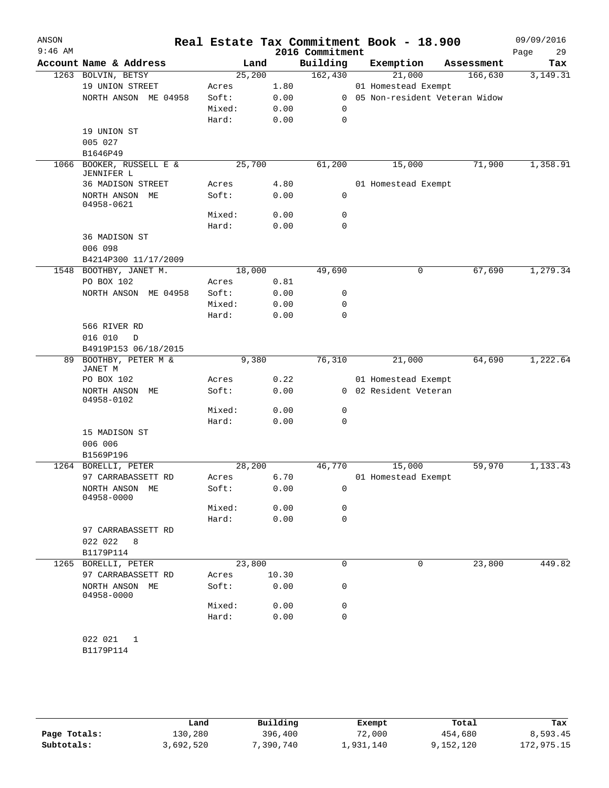| ANSON<br>$9:46$ AM |                                   |                |       | 2016 Commitment | Real Estate Tax Commitment Book - 18.900 |                               | 09/09/2016<br>29<br>Page |
|--------------------|-----------------------------------|----------------|-------|-----------------|------------------------------------------|-------------------------------|--------------------------|
|                    | Account Name & Address            | Land           |       | Building        | Exemption                                | Assessment                    | Tax                      |
|                    | 1263 BOLVIN, BETSY                | 25,200         |       | 162,430         | 21,000                                   | 166,630                       | 3,149.31                 |
|                    | 19 UNION STREET                   | Acres          | 1.80  |                 | 01 Homestead Exempt                      |                               |                          |
|                    | NORTH ANSON ME 04958              | Soft:          | 0.00  | $\mathbf{0}$    |                                          | 05 Non-resident Veteran Widow |                          |
|                    |                                   | Mixed:         | 0.00  | 0               |                                          |                               |                          |
|                    |                                   | Hard:          | 0.00  | $\mathbf 0$     |                                          |                               |                          |
|                    | 19 UNION ST                       |                |       |                 |                                          |                               |                          |
|                    | 005 027                           |                |       |                 |                                          |                               |                          |
|                    | B1646P49                          |                |       |                 |                                          |                               |                          |
| 1066               | BOOKER, RUSSELL E &<br>JENNIFER L | 25,700         |       | 61,200          | 15,000                                   | 71,900                        | 1,358.91                 |
|                    | 36 MADISON STREET                 | Acres          | 4.80  |                 | 01 Homestead Exempt                      |                               |                          |
|                    | NORTH ANSON ME<br>04958-0621      | Soft:          | 0.00  | $\mathbf 0$     |                                          |                               |                          |
|                    |                                   | Mixed:         | 0.00  | 0               |                                          |                               |                          |
|                    |                                   | Hard:          | 0.00  | 0               |                                          |                               |                          |
|                    | 36 MADISON ST                     |                |       |                 |                                          |                               |                          |
|                    | 006 098<br>B4214P300 11/17/2009   |                |       |                 |                                          |                               |                          |
| 1548               | BOOTHBY, JANET M.                 | 18,000         |       | 49,690          | 0                                        | 67,690                        | 1,279.34                 |
|                    | PO BOX 102                        | Acres          | 0.81  |                 |                                          |                               |                          |
|                    | NORTH ANSON ME 04958              | Soft:          | 0.00  | 0               |                                          |                               |                          |
|                    |                                   | Mixed:         | 0.00  | 0               |                                          |                               |                          |
|                    |                                   | Hard:          | 0.00  | 0               |                                          |                               |                          |
|                    | 566 RIVER RD                      |                |       |                 |                                          |                               |                          |
|                    | 016 010<br>D                      |                |       |                 |                                          |                               |                          |
|                    | B4919P153 06/18/2015              |                |       |                 |                                          |                               |                          |
| 89                 | BOOTHBY, PETER M &                | 9,380          |       | 76,310          | 21,000                                   | 64,690                        | 1,222.64                 |
|                    | JANET M                           |                |       |                 |                                          |                               |                          |
|                    | PO BOX 102                        | Acres          | 0.22  |                 | 01 Homestead Exempt                      |                               |                          |
|                    | NORTH ANSON ME<br>04958-0102      | Soft:          | 0.00  |                 | 0 02 Resident Veteran                    |                               |                          |
|                    |                                   | Mixed:         | 0.00  | 0               |                                          |                               |                          |
|                    |                                   | Hard:          | 0.00  | 0               |                                          |                               |                          |
|                    | 15 MADISON ST                     |                |       |                 |                                          |                               |                          |
|                    | 006 006                           |                |       |                 |                                          |                               |                          |
|                    | B1569P196                         |                |       |                 |                                          |                               |                          |
| 1264               | BORELLI, PETER                    | 28,200         |       | 46,770          | 15,000                                   | 59,970                        | 1,133.43                 |
|                    | 97 CARRABASSETT RD                | Acres          | 6.70  |                 | 01 Homestead Exempt                      |                               |                          |
|                    | NORTH ANSON ME                    | Soft:          | 0.00  | 0               |                                          |                               |                          |
|                    | 04958-0000                        |                |       |                 |                                          |                               |                          |
|                    |                                   | Mixed:         | 0.00  | 0               |                                          |                               |                          |
|                    |                                   | Hard:          | 0.00  | 0               |                                          |                               |                          |
|                    | 97 CARRABASSETT RD                |                |       |                 |                                          |                               |                          |
|                    | 022 022<br>8                      |                |       |                 |                                          |                               |                          |
|                    | B1179P114<br>1265 BORELLI, PETER  | 23,800         |       | 0               | 0                                        |                               | 449.82                   |
|                    | 97 CARRABASSETT RD                |                | 10.30 |                 |                                          | 23,800                        |                          |
|                    | NORTH ANSON ME<br>04958-0000      | Acres<br>Soft: | 0.00  | 0               |                                          |                               |                          |
|                    |                                   | Mixed:         | 0.00  | 0               |                                          |                               |                          |
|                    |                                   | Hard:          | 0.00  | 0               |                                          |                               |                          |
|                    |                                   |                |       |                 |                                          |                               |                          |
|                    | 022 021<br>1                      |                |       |                 |                                          |                               |                          |
|                    | B1179P114                         |                |       |                 |                                          |                               |                          |
|                    |                                   |                |       |                 |                                          |                               |                          |

|              | Land      | Building | Exempt    | Total     | Tax        |
|--------------|-----------|----------|-----------|-----------|------------|
| Page Totals: | 130,280   | 396,400  | 72,000    | 454,680   | 8,593.45   |
| Subtotals:   | 3,692,520 | ,390,740 | ⊥,931,140 | 9,152,120 | 172,975.15 |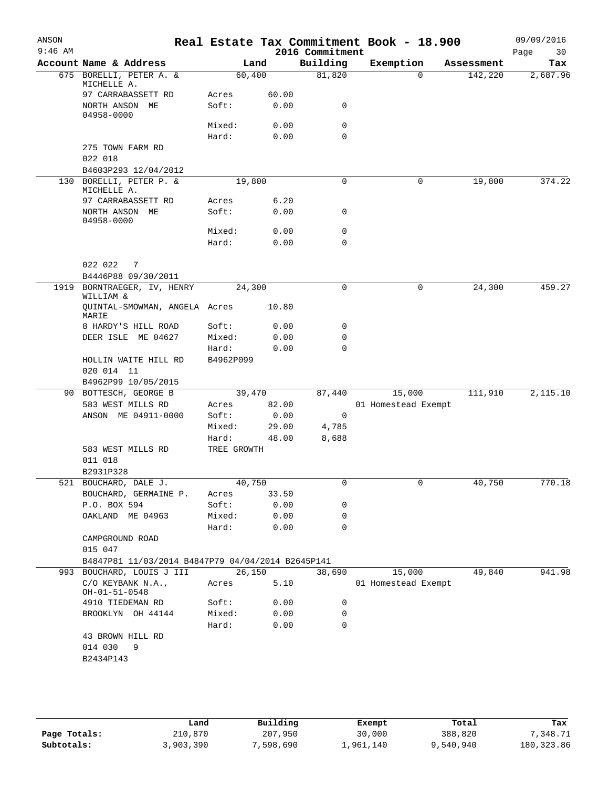|                                |                                                                                                                                                                                                                                                                                                                                                                                                                                                                                                 |                                                                                                                                                                                                      |                                                                                 | Real Estate Tax Commitment Book - 18.900                                                                                                                                                                                                                                                                                                                                     |                                          | 09/09/2016<br>Page<br>30                                                                          |
|--------------------------------|-------------------------------------------------------------------------------------------------------------------------------------------------------------------------------------------------------------------------------------------------------------------------------------------------------------------------------------------------------------------------------------------------------------------------------------------------------------------------------------------------|------------------------------------------------------------------------------------------------------------------------------------------------------------------------------------------------------|---------------------------------------------------------------------------------|------------------------------------------------------------------------------------------------------------------------------------------------------------------------------------------------------------------------------------------------------------------------------------------------------------------------------------------------------------------------------|------------------------------------------|---------------------------------------------------------------------------------------------------|
| Account Name & Address         |                                                                                                                                                                                                                                                                                                                                                                                                                                                                                                 |                                                                                                                                                                                                      | Building                                                                        | Exemption                                                                                                                                                                                                                                                                                                                                                                    |                                          | Tax                                                                                               |
| 675 BORELLI, PETER A. &        |                                                                                                                                                                                                                                                                                                                                                                                                                                                                                                 |                                                                                                                                                                                                      | 81,820                                                                          | $\Omega$                                                                                                                                                                                                                                                                                                                                                                     | 142,220                                  | 2,687.96                                                                                          |
| 97 CARRABASSETT RD             | Acres                                                                                                                                                                                                                                                                                                                                                                                                                                                                                           |                                                                                                                                                                                                      |                                                                                 |                                                                                                                                                                                                                                                                                                                                                                              |                                          |                                                                                                   |
| NORTH ANSON ME<br>04958-0000   | Soft:                                                                                                                                                                                                                                                                                                                                                                                                                                                                                           | 0.00                                                                                                                                                                                                 | 0                                                                               |                                                                                                                                                                                                                                                                                                                                                                              |                                          |                                                                                                   |
|                                | Mixed:                                                                                                                                                                                                                                                                                                                                                                                                                                                                                          | 0.00                                                                                                                                                                                                 | 0                                                                               |                                                                                                                                                                                                                                                                                                                                                                              |                                          |                                                                                                   |
|                                | Hard:                                                                                                                                                                                                                                                                                                                                                                                                                                                                                           |                                                                                                                                                                                                      | 0                                                                               |                                                                                                                                                                                                                                                                                                                                                                              |                                          |                                                                                                   |
| 275 TOWN FARM RD               |                                                                                                                                                                                                                                                                                                                                                                                                                                                                                                 |                                                                                                                                                                                                      |                                                                                 |                                                                                                                                                                                                                                                                                                                                                                              |                                          |                                                                                                   |
| 022 018                        |                                                                                                                                                                                                                                                                                                                                                                                                                                                                                                 |                                                                                                                                                                                                      |                                                                                 |                                                                                                                                                                                                                                                                                                                                                                              |                                          |                                                                                                   |
|                                |                                                                                                                                                                                                                                                                                                                                                                                                                                                                                                 |                                                                                                                                                                                                      |                                                                                 |                                                                                                                                                                                                                                                                                                                                                                              |                                          |                                                                                                   |
| MICHELLE A.                    |                                                                                                                                                                                                                                                                                                                                                                                                                                                                                                 |                                                                                                                                                                                                      |                                                                                 |                                                                                                                                                                                                                                                                                                                                                                              |                                          | 374.22                                                                                            |
|                                |                                                                                                                                                                                                                                                                                                                                                                                                                                                                                                 |                                                                                                                                                                                                      |                                                                                 |                                                                                                                                                                                                                                                                                                                                                                              |                                          |                                                                                                   |
| 04958-0000                     |                                                                                                                                                                                                                                                                                                                                                                                                                                                                                                 |                                                                                                                                                                                                      |                                                                                 |                                                                                                                                                                                                                                                                                                                                                                              |                                          |                                                                                                   |
|                                |                                                                                                                                                                                                                                                                                                                                                                                                                                                                                                 |                                                                                                                                                                                                      |                                                                                 |                                                                                                                                                                                                                                                                                                                                                                              |                                          |                                                                                                   |
|                                |                                                                                                                                                                                                                                                                                                                                                                                                                                                                                                 |                                                                                                                                                                                                      |                                                                                 |                                                                                                                                                                                                                                                                                                                                                                              |                                          |                                                                                                   |
| 022 022<br>7                   |                                                                                                                                                                                                                                                                                                                                                                                                                                                                                                 |                                                                                                                                                                                                      |                                                                                 |                                                                                                                                                                                                                                                                                                                                                                              |                                          |                                                                                                   |
| B4446P88 09/30/2011            |                                                                                                                                                                                                                                                                                                                                                                                                                                                                                                 |                                                                                                                                                                                                      |                                                                                 |                                                                                                                                                                                                                                                                                                                                                                              |                                          |                                                                                                   |
| 1919<br>BORNTRAEGER, IV, HENRY |                                                                                                                                                                                                                                                                                                                                                                                                                                                                                                 |                                                                                                                                                                                                      | 0                                                                               | 0                                                                                                                                                                                                                                                                                                                                                                            | 24,300                                   | 459.27                                                                                            |
|                                |                                                                                                                                                                                                                                                                                                                                                                                                                                                                                                 | 10.80                                                                                                                                                                                                |                                                                                 |                                                                                                                                                                                                                                                                                                                                                                              |                                          |                                                                                                   |
|                                |                                                                                                                                                                                                                                                                                                                                                                                                                                                                                                 |                                                                                                                                                                                                      |                                                                                 |                                                                                                                                                                                                                                                                                                                                                                              |                                          |                                                                                                   |
|                                |                                                                                                                                                                                                                                                                                                                                                                                                                                                                                                 |                                                                                                                                                                                                      |                                                                                 |                                                                                                                                                                                                                                                                                                                                                                              |                                          |                                                                                                   |
|                                |                                                                                                                                                                                                                                                                                                                                                                                                                                                                                                 |                                                                                                                                                                                                      | 0                                                                               |                                                                                                                                                                                                                                                                                                                                                                              |                                          |                                                                                                   |
| HOLLIN WAITE HILL RD           | B4962P099                                                                                                                                                                                                                                                                                                                                                                                                                                                                                       |                                                                                                                                                                                                      |                                                                                 |                                                                                                                                                                                                                                                                                                                                                                              |                                          |                                                                                                   |
| 020 014 11                     |                                                                                                                                                                                                                                                                                                                                                                                                                                                                                                 |                                                                                                                                                                                                      |                                                                                 |                                                                                                                                                                                                                                                                                                                                                                              |                                          |                                                                                                   |
|                                |                                                                                                                                                                                                                                                                                                                                                                                                                                                                                                 |                                                                                                                                                                                                      |                                                                                 |                                                                                                                                                                                                                                                                                                                                                                              |                                          |                                                                                                   |
|                                |                                                                                                                                                                                                                                                                                                                                                                                                                                                                                                 |                                                                                                                                                                                                      |                                                                                 |                                                                                                                                                                                                                                                                                                                                                                              |                                          | 2,115.10                                                                                          |
|                                |                                                                                                                                                                                                                                                                                                                                                                                                                                                                                                 |                                                                                                                                                                                                      |                                                                                 |                                                                                                                                                                                                                                                                                                                                                                              |                                          |                                                                                                   |
|                                |                                                                                                                                                                                                                                                                                                                                                                                                                                                                                                 |                                                                                                                                                                                                      |                                                                                 |                                                                                                                                                                                                                                                                                                                                                                              |                                          |                                                                                                   |
|                                |                                                                                                                                                                                                                                                                                                                                                                                                                                                                                                 |                                                                                                                                                                                                      |                                                                                 |                                                                                                                                                                                                                                                                                                                                                                              |                                          |                                                                                                   |
|                                |                                                                                                                                                                                                                                                                                                                                                                                                                                                                                                 |                                                                                                                                                                                                      |                                                                                 |                                                                                                                                                                                                                                                                                                                                                                              |                                          |                                                                                                   |
| 011 018                        |                                                                                                                                                                                                                                                                                                                                                                                                                                                                                                 |                                                                                                                                                                                                      |                                                                                 |                                                                                                                                                                                                                                                                                                                                                                              |                                          |                                                                                                   |
|                                |                                                                                                                                                                                                                                                                                                                                                                                                                                                                                                 |                                                                                                                                                                                                      |                                                                                 |                                                                                                                                                                                                                                                                                                                                                                              |                                          |                                                                                                   |
|                                |                                                                                                                                                                                                                                                                                                                                                                                                                                                                                                 |                                                                                                                                                                                                      |                                                                                 |                                                                                                                                                                                                                                                                                                                                                                              |                                          | 770.18                                                                                            |
|                                |                                                                                                                                                                                                                                                                                                                                                                                                                                                                                                 |                                                                                                                                                                                                      |                                                                                 |                                                                                                                                                                                                                                                                                                                                                                              |                                          |                                                                                                   |
|                                |                                                                                                                                                                                                                                                                                                                                                                                                                                                                                                 |                                                                                                                                                                                                      |                                                                                 |                                                                                                                                                                                                                                                                                                                                                                              |                                          |                                                                                                   |
|                                |                                                                                                                                                                                                                                                                                                                                                                                                                                                                                                 |                                                                                                                                                                                                      |                                                                                 |                                                                                                                                                                                                                                                                                                                                                                              |                                          |                                                                                                   |
| CAMPGROUND ROAD                |                                                                                                                                                                                                                                                                                                                                                                                                                                                                                                 |                                                                                                                                                                                                      |                                                                                 |                                                                                                                                                                                                                                                                                                                                                                              |                                          |                                                                                                   |
|                                |                                                                                                                                                                                                                                                                                                                                                                                                                                                                                                 |                                                                                                                                                                                                      |                                                                                 |                                                                                                                                                                                                                                                                                                                                                                              |                                          |                                                                                                   |
|                                |                                                                                                                                                                                                                                                                                                                                                                                                                                                                                                 |                                                                                                                                                                                                      |                                                                                 |                                                                                                                                                                                                                                                                                                                                                                              |                                          |                                                                                                   |
| C/O KEYBANK N.A.,              | Acres                                                                                                                                                                                                                                                                                                                                                                                                                                                                                           |                                                                                                                                                                                                      |                                                                                 |                                                                                                                                                                                                                                                                                                                                                                              |                                          | 941.98                                                                                            |
|                                |                                                                                                                                                                                                                                                                                                                                                                                                                                                                                                 |                                                                                                                                                                                                      |                                                                                 |                                                                                                                                                                                                                                                                                                                                                                              |                                          |                                                                                                   |
|                                |                                                                                                                                                                                                                                                                                                                                                                                                                                                                                                 |                                                                                                                                                                                                      |                                                                                 |                                                                                                                                                                                                                                                                                                                                                                              |                                          |                                                                                                   |
|                                |                                                                                                                                                                                                                                                                                                                                                                                                                                                                                                 |                                                                                                                                                                                                      |                                                                                 |                                                                                                                                                                                                                                                                                                                                                                              |                                          |                                                                                                   |
| 43 BROWN HILL RD               |                                                                                                                                                                                                                                                                                                                                                                                                                                                                                                 |                                                                                                                                                                                                      |                                                                                 |                                                                                                                                                                                                                                                                                                                                                                              |                                          |                                                                                                   |
| 014 030<br>9                   |                                                                                                                                                                                                                                                                                                                                                                                                                                                                                                 |                                                                                                                                                                                                      |                                                                                 |                                                                                                                                                                                                                                                                                                                                                                              |                                          |                                                                                                   |
| B2434P143                      |                                                                                                                                                                                                                                                                                                                                                                                                                                                                                                 |                                                                                                                                                                                                      |                                                                                 |                                                                                                                                                                                                                                                                                                                                                                              |                                          |                                                                                                   |
|                                | MICHELLE A.<br>B4603P293 12/04/2012<br>130 BORELLI, PETER P. &<br>97 CARRABASSETT RD<br>NORTH ANSON ME<br>WILLIAM &<br>MARIE<br>8 HARDY'S HILL ROAD<br>DEER ISLE ME 04627<br>B4962P99 10/05/2015<br>90 BOTTESCH, GEORGE B<br>583 WEST MILLS RD<br>ANSON ME 04911-0000<br>583 WEST MILLS RD<br>B2931P328<br>521 BOUCHARD, DALE J.<br>BOUCHARD, GERMAINE P.<br>P.O. BOX 594<br>OAKLAND ME 04963<br>015 047<br>993 BOUCHARD, LOUIS J III<br>OH-01-51-0548<br>4910 TIEDEMAN RD<br>BROOKLYN OH 44144 | Acres<br>Soft:<br>Mixed:<br>Hard:<br>QUINTAL-SMOWMAN, ANGELA Acres<br>Soft:<br>Mixed:<br>Hard:<br>Acres<br>Soft:<br>Mixed:<br>Hard:<br>Acres<br>Soft:<br>Mixed:<br>Hard:<br>Soft:<br>Mixed:<br>Hard: | Land<br>60,400<br>19,800<br>24,300<br>39,470<br>TREE GROWTH<br>40,750<br>26,150 | 60.00<br>0.00<br>0<br>6.20<br>0.00<br>0<br>$\mathbf 0$<br>0.00<br>0.00<br>$\Omega$<br>0.00<br>0<br>0.00<br>0<br>0.00<br>87,440<br>82.00<br>$\mathbf 0$<br>0.00<br>29.00<br>4,785<br>8,688<br>48.00<br>0<br>33.50<br>0.00<br>0<br>0.00<br>0<br>0.00<br>0<br>B4847P81 11/03/2014 B4847P79 04/04/2014 B2645P141<br>38,690<br>5.10<br>0.00<br>0<br>0.00<br>0<br>0.00<br>$\Omega$ | 2016 Commitment<br>0<br>15,000<br>15,000 | Assessment<br>19,800<br>111,910<br>01 Homestead Exempt<br>40,750<br>49,840<br>01 Homestead Exempt |

|              | Land      | Building | Exempt    | Total     | Tax        |
|--------------|-----------|----------|-----------|-----------|------------|
| Page Totals: | 210,870   | 207,950  | 30,000    | 388,820   | ,348.71    |
| Subtotals:   | 3,903,390 | ,598,690 | ⊥,961,140 | 9,540,940 | 180,323.86 |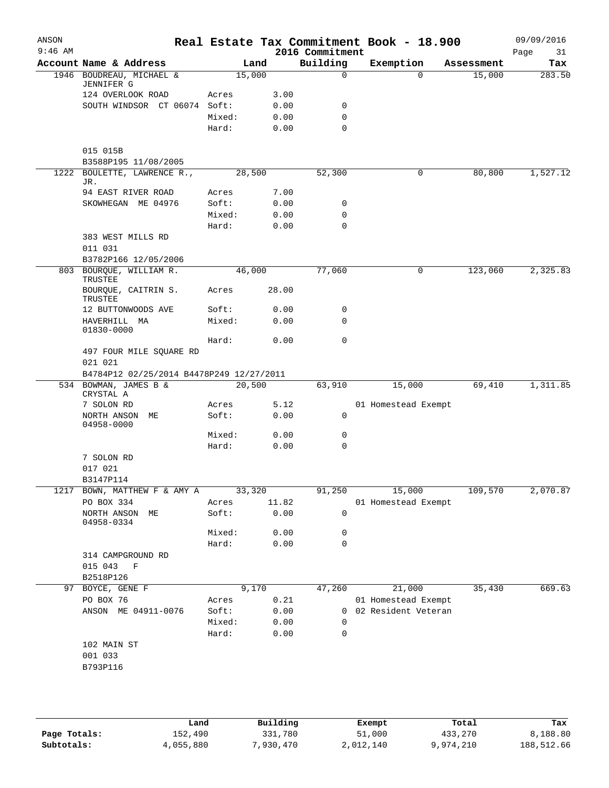| ANSON<br>$9:46$ AM |                                               |        |        | 2016 Commitment | Real Estate Tax Commitment Book - 18.900 |            | 09/09/2016<br>Page<br>31 |
|--------------------|-----------------------------------------------|--------|--------|-----------------|------------------------------------------|------------|--------------------------|
|                    | Account Name & Address                        |        | Land   | Building        | Exemption                                | Assessment | Tax                      |
|                    | 1946 BOUDREAU, MICHAEL &<br><b>JENNIFER G</b> |        | 15,000 | $\mathbf 0$     | $\Omega$                                 | 15,000     | 283.50                   |
|                    | 124 OVERLOOK ROAD                             | Acres  | 3.00   |                 |                                          |            |                          |
|                    | SOUTH WINDSOR CT 06074 Soft:                  |        | 0.00   | 0               |                                          |            |                          |
|                    |                                               | Mixed: | 0.00   | $\mathbf 0$     |                                          |            |                          |
|                    |                                               | Hard:  | 0.00   | $\Omega$        |                                          |            |                          |
|                    | 015 015B                                      |        |        |                 |                                          |            |                          |
|                    | B3588P195 11/08/2005                          |        |        |                 |                                          |            |                          |
|                    | 1222 BOULETTE, LAWRENCE R.,<br>JR.            |        | 28,500 | 52,300          | 0                                        | 80,800     | 1,527.12                 |
|                    | 94 EAST RIVER ROAD                            | Acres  | 7.00   |                 |                                          |            |                          |
|                    | SKOWHEGAN ME 04976                            | Soft:  | 0.00   | 0               |                                          |            |                          |
|                    |                                               | Mixed: | 0.00   | 0               |                                          |            |                          |
|                    |                                               | Hard:  | 0.00   | $\mathbf 0$     |                                          |            |                          |
|                    | 383 WEST MILLS RD<br>011 031                  |        |        |                 |                                          |            |                          |
|                    | B3782P166 12/05/2006                          |        |        |                 |                                          |            |                          |
|                    | 803 BOURQUE, WILLIAM R.<br>TRUSTEE            |        | 46,000 | 77,060          | 0                                        | 123,060    | 2,325.83                 |
|                    | BOURQUE, CAITRIN S.<br>TRUSTEE                | Acres  | 28.00  |                 |                                          |            |                          |
|                    | 12 BUTTONWOODS AVE                            | Soft:  | 0.00   | 0               |                                          |            |                          |
|                    | HAVERHILL MA<br>01830-0000                    | Mixed: | 0.00   | $\mathbf 0$     |                                          |            |                          |
|                    |                                               | Hard:  | 0.00   | $\mathbf 0$     |                                          |            |                          |
|                    | 497 FOUR MILE SQUARE RD<br>021 021            |        |        |                 |                                          |            |                          |
|                    | B4784P12 02/25/2014 B4478P249 12/27/2011      |        |        |                 |                                          |            |                          |
|                    | 534 BOWMAN, JAMES B &<br>CRYSTAL A            |        | 20,500 | 63,910          | 15,000                                   | 69,410     | 1,311.85                 |
|                    | 7 SOLON RD                                    | Acres  | 5.12   |                 | 01 Homestead Exempt                      |            |                          |
|                    | NORTH ANSON<br>МE<br>04958-0000               | Soft:  | 0.00   | 0               |                                          |            |                          |
|                    |                                               | Mixed: | 0.00   | 0               |                                          |            |                          |
|                    |                                               | Hard:  | 0.00   | $\mathbf 0$     |                                          |            |                          |
|                    | 7 SOLON RD                                    |        |        |                 |                                          |            |                          |
|                    | 017 021                                       |        |        |                 |                                          |            |                          |
|                    | B3147P114                                     |        |        |                 |                                          |            |                          |
| 1217               | BOWN, MATTHEW F & AMY A                       |        | 33,320 | 91,250          | 15,000                                   | 109,570    | 2,070.87                 |
|                    | PO BOX 334                                    | Acres  | 11.82  |                 | 01 Homestead Exempt                      |            |                          |
|                    | NORTH ANSON ME<br>04958-0334                  | Soft:  | 0.00   | 0               |                                          |            |                          |
|                    |                                               | Mixed: | 0.00   | 0               |                                          |            |                          |
|                    |                                               | Hard:  | 0.00   | 0               |                                          |            |                          |
|                    | 314 CAMPGROUND RD                             |        |        |                 |                                          |            |                          |
|                    | 015 043 F                                     |        |        |                 |                                          |            |                          |
|                    | B2518P126                                     |        |        |                 |                                          |            |                          |
| 97                 | BOYCE, GENE F                                 |        | 9,170  | 47,260          | 21,000                                   | 35,430     | 669.63                   |
|                    | PO BOX 76                                     | Acres  | 0.21   |                 | 01 Homestead Exempt                      |            |                          |
|                    | ANSON ME 04911-0076                           | Soft:  | 0.00   |                 | 0 02 Resident Veteran                    |            |                          |
|                    |                                               | Mixed: | 0.00   | 0               |                                          |            |                          |
|                    |                                               | Hard:  | 0.00   | 0               |                                          |            |                          |
|                    | 102 MAIN ST                                   |        |        |                 |                                          |            |                          |
|                    | 001 033                                       |        |        |                 |                                          |            |                          |
|                    | B793P116                                      |        |        |                 |                                          |            |                          |
|                    |                                               |        |        |                 |                                          |            |                          |
|                    |                                               |        |        |                 |                                          |            |                          |

|              | Land      | Building  | Exempt    | Total     | Tax        |
|--------------|-----------|-----------|-----------|-----------|------------|
| Page Totals: | 152,490   | 331,780   | 51,000    | 433,270   | 8,188.80   |
| Subtotals:   | 4,055,880 | 7,930,470 | 2,012,140 | 9,974,210 | 188,512.66 |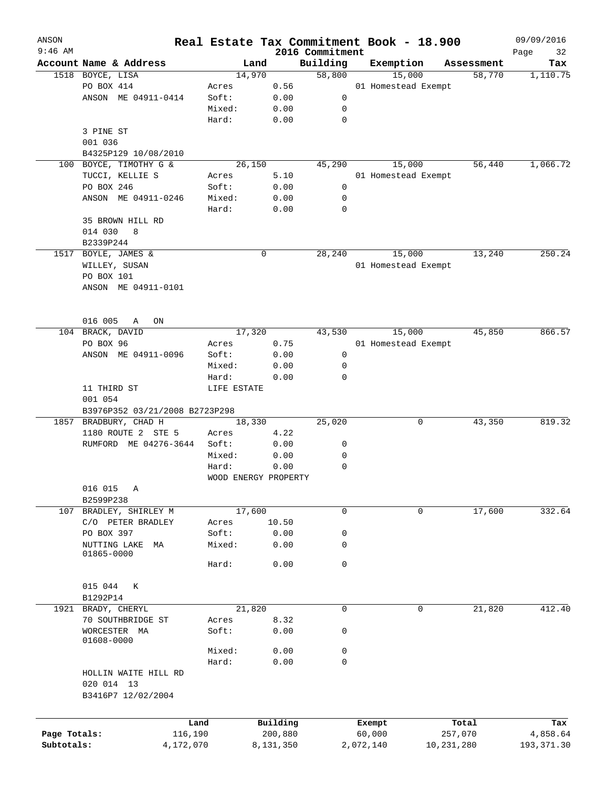| ANSON<br>$9:46$ AM |                                |             | Real Estate Tax Commitment Book - 18.900 | 2016 Commitment |           |                     |            | 09/09/2016<br>Page<br>32 |
|--------------------|--------------------------------|-------------|------------------------------------------|-----------------|-----------|---------------------|------------|--------------------------|
|                    | Account Name & Address         |             | Land                                     | Building        | Exemption |                     | Assessment | Tax                      |
|                    | 1518 BOYCE, LISA               |             | 14,970                                   | 58,800          |           | 15,000              | 58,770     | 1,110.75                 |
|                    | PO BOX 414                     | Acres       | 0.56                                     |                 |           | 01 Homestead Exempt |            |                          |
|                    | ANSON ME 04911-0414            | Soft:       | 0.00                                     | 0               |           |                     |            |                          |
|                    |                                | Mixed:      | 0.00                                     | 0               |           |                     |            |                          |
|                    |                                | Hard:       | 0.00                                     | $\mathbf 0$     |           |                     |            |                          |
|                    | 3 PINE ST                      |             |                                          |                 |           |                     |            |                          |
|                    | 001 036                        |             |                                          |                 |           |                     |            |                          |
|                    | B4325P129 10/08/2010           |             |                                          |                 |           |                     |            |                          |
| 100                | BOYCE, TIMOTHY G &             |             | 26,150                                   | 45,290          |           | 15,000              | 56,440     | 1,066.72                 |
|                    | TUCCI, KELLIE S                |             | 5.10                                     |                 |           | 01 Homestead Exempt |            |                          |
|                    | PO BOX 246                     | Acres       |                                          | 0               |           |                     |            |                          |
|                    |                                | Soft:       | 0.00                                     |                 |           |                     |            |                          |
|                    | ANSON ME 04911-0246            | Mixed:      | 0.00                                     | 0               |           |                     |            |                          |
|                    |                                | Hard:       | 0.00                                     | $\mathbf 0$     |           |                     |            |                          |
|                    | 35 BROWN HILL RD               |             |                                          |                 |           |                     |            |                          |
|                    | 014 030<br>8                   |             |                                          |                 |           |                     |            |                          |
|                    | B2339P244                      |             |                                          |                 |           |                     |            |                          |
|                    | 1517 BOYLE, JAMES &            |             | 0                                        | 28,240          |           | 15,000              | 13,240     | 250.24                   |
|                    | WILLEY, SUSAN                  |             |                                          |                 |           | 01 Homestead Exempt |            |                          |
|                    | PO BOX 101                     |             |                                          |                 |           |                     |            |                          |
|                    | ANSON ME 04911-0101            |             |                                          |                 |           |                     |            |                          |
|                    |                                |             |                                          |                 |           |                     |            |                          |
|                    | 016 005<br>Α<br>ON             |             |                                          |                 |           |                     |            |                          |
|                    | 104 BRACK, DAVID               |             | 17,320                                   | 43,530          |           | 15,000              | 45,850     | 866.57                   |
|                    | PO BOX 96                      | Acres       | 0.75                                     |                 |           | 01 Homestead Exempt |            |                          |
|                    | ANSON ME 04911-0096            | Soft:       | 0.00                                     | 0               |           |                     |            |                          |
|                    |                                | Mixed:      | 0.00                                     | 0               |           |                     |            |                          |
|                    |                                | Hard:       | 0.00                                     | 0               |           |                     |            |                          |
|                    | 11 THIRD ST                    | LIFE ESTATE |                                          |                 |           |                     |            |                          |
|                    | 001 054                        |             |                                          |                 |           |                     |            |                          |
|                    | B3976P352 03/21/2008 B2723P298 |             |                                          |                 |           |                     |            |                          |
| 1857               | BRADBURY, CHAD H               |             | 18,330                                   | 25,020          |           | 0                   | 43,350     | 819.32                   |
|                    | 1180 ROUTE 2 STE 5             | Acres       | 4.22                                     |                 |           |                     |            |                          |
|                    | RUMFORD ME 04276-3644          | Soft:       | 0.00                                     | 0               |           |                     |            |                          |
|                    |                                | Mixed:      | 0.00                                     | 0               |           |                     |            |                          |
|                    |                                | Hard:       | 0.00                                     | $\mathbf 0$     |           |                     |            |                          |
|                    |                                |             | WOOD ENERGY PROPERTY                     |                 |           |                     |            |                          |
|                    | 016 015<br>Α                   |             |                                          |                 |           |                     |            |                          |
|                    | B2599P238                      |             |                                          |                 |           |                     |            |                          |
| 107                | BRADLEY, SHIRLEY M             |             | 17,600                                   | $\mathsf{O}$    |           | $\mathbf 0$         | 17,600     | 332.64                   |
|                    | C/O PETER BRADLEY              | Acres       | 10.50                                    |                 |           |                     |            |                          |
|                    | PO BOX 397                     | Soft:       | 0.00                                     | 0               |           |                     |            |                          |
|                    | NUTTING LAKE<br>МA             | Mixed:      | 0.00                                     | 0               |           |                     |            |                          |
|                    | 01865-0000                     |             |                                          |                 |           |                     |            |                          |
|                    |                                | Hard:       | 0.00                                     | 0               |           |                     |            |                          |
|                    |                                |             |                                          |                 |           |                     |            |                          |
|                    | 015 044<br>К                   |             |                                          |                 |           |                     |            |                          |
|                    | B1292P14                       |             |                                          |                 |           |                     |            |                          |
|                    | 1921 BRADY, CHERYL             |             | 21,820                                   | 0               |           | $\mathbf 0$         | 21,820     | 412.40                   |
|                    | 70 SOUTHBRIDGE ST              | Acres       | 8.32                                     |                 |           |                     |            |                          |
|                    | WORCESTER MA                   | Soft:       | 0.00                                     | 0               |           |                     |            |                          |
|                    | 01608-0000                     |             |                                          |                 |           |                     |            |                          |
|                    |                                | Mixed:      | 0.00                                     | 0               |           |                     |            |                          |
|                    |                                | Hard:       | 0.00                                     | $\mathsf{O}$    |           |                     |            |                          |
|                    | HOLLIN WAITE HILL RD           |             |                                          |                 |           |                     |            |                          |
|                    | 020 014 13                     |             |                                          |                 |           |                     |            |                          |
|                    | B3416P7 12/02/2004             |             |                                          |                 |           |                     |            |                          |
|                    |                                |             |                                          |                 |           |                     |            |                          |
|                    |                                | Land        | Building                                 |                 | Exempt    |                     | Total      | Tax                      |
| Page Totals:       | 116,190                        |             | 200,880                                  |                 | 60,000    |                     | 257,070    | 4,858.64                 |
| Subtotals:         | 4,172,070                      |             | 8,131,350                                |                 | 2,072,140 |                     | 10,231,280 | 193, 371.30              |
|                    |                                |             |                                          |                 |           |                     |            |                          |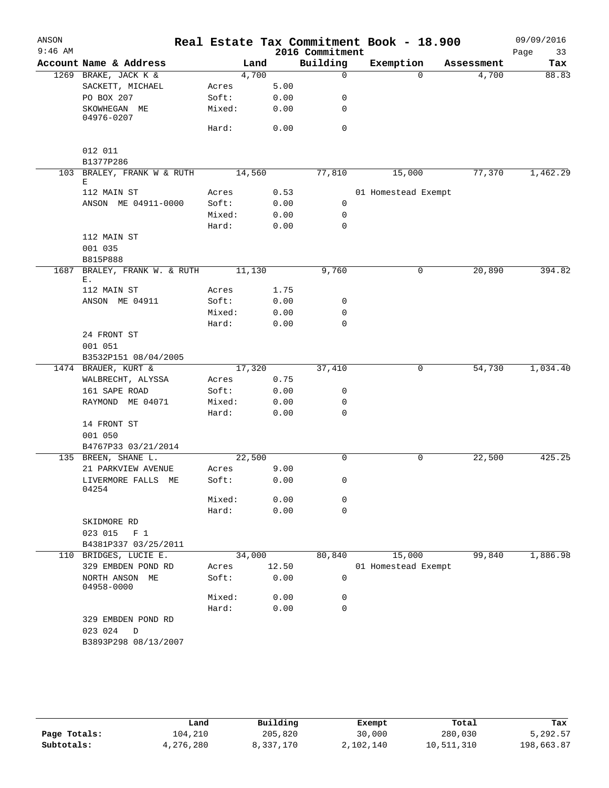| ANSON     |                                             |        |        |                 | Real Estate Tax Commitment Book - 18.900 |            | 09/09/2016 |
|-----------|---------------------------------------------|--------|--------|-----------------|------------------------------------------|------------|------------|
| $9:46$ AM |                                             |        |        | 2016 Commitment |                                          |            | Page<br>33 |
|           | Account Name & Address                      |        | Land   | Building        | Exemption                                | Assessment | Tax        |
|           | 1269 BRAKE, JACK K &                        |        | 4,700  | $\mathbf 0$     | $\Omega$                                 | 4,700      | 88.83      |
|           | SACKETT, MICHAEL                            | Acres  | 5.00   |                 |                                          |            |            |
|           | PO BOX 207                                  | Soft:  | 0.00   | 0               |                                          |            |            |
|           | SKOWHEGAN ME<br>04976-0207                  | Mixed: | 0.00   | 0               |                                          |            |            |
|           |                                             | Hard:  | 0.00   | $\mathbf 0$     |                                          |            |            |
|           | 012 011                                     |        |        |                 |                                          |            |            |
|           | B1377P286                                   |        |        |                 |                                          |            |            |
|           | 103 BRALEY, FRANK W & RUTH<br>Е             |        | 14,560 | 77,810          | 15,000                                   | 77,370     | 1,462.29   |
|           | 112 MAIN ST                                 | Acres  |        | 0.53            | 01 Homestead Exempt                      |            |            |
|           | ANSON ME 04911-0000                         | Soft:  | 0.00   | 0               |                                          |            |            |
|           |                                             | Mixed: | 0.00   | 0               |                                          |            |            |
|           |                                             | Hard:  | 0.00   | 0               |                                          |            |            |
|           | 112 MAIN ST                                 |        |        |                 |                                          |            |            |
|           | 001 035                                     |        |        |                 |                                          |            |            |
|           | B815P888                                    |        |        |                 |                                          |            |            |
| 1687      | BRALEY, FRANK W. & RUTH                     |        | 11,130 | 9,760           | 0                                        | 20,890     | 394.82     |
|           | Ε.                                          |        |        |                 |                                          |            |            |
|           | 112 MAIN ST                                 | Acres  | 1.75   |                 |                                          |            |            |
|           | ANSON ME 04911                              | Soft:  | 0.00   | 0               |                                          |            |            |
|           |                                             | Mixed: | 0.00   | 0               |                                          |            |            |
|           |                                             | Hard:  | 0.00   | $\mathbf 0$     |                                          |            |            |
|           | 24 FRONT ST                                 |        |        |                 |                                          |            |            |
|           | 001 051                                     |        |        |                 |                                          |            |            |
|           | B3532P151 08/04/2005<br>1474 BRAUER, KURT & |        | 17,320 | 37,410          | 0                                        | 54,730     | 1,034.40   |
|           | WALBRECHT, ALYSSA                           | Acres  | 0.75   |                 |                                          |            |            |
|           | 161 SAPE ROAD                               | Soft:  | 0.00   | 0               |                                          |            |            |
|           | RAYMOND ME 04071                            | Mixed: | 0.00   | 0               |                                          |            |            |
|           |                                             | Hard:  | 0.00   | 0               |                                          |            |            |
|           | 14 FRONT ST                                 |        |        |                 |                                          |            |            |
|           | 001 050                                     |        |        |                 |                                          |            |            |
|           | B4767P33 03/21/2014                         |        |        |                 |                                          |            |            |
|           | 135 BREEN, SHANE L.                         |        | 22,500 | $\Omega$        | 0                                        | 22,500     | 425.25     |
|           | 21 PARKVIEW AVENUE                          | Acres  | 9.00   |                 |                                          |            |            |
|           | LIVERMORE FALLS ME<br>04254                 | Soft:  |        | 0.00<br>0       |                                          |            |            |
|           |                                             | Mixed: | 0.00   | 0               |                                          |            |            |
|           |                                             | Hard:  | 0.00   | $\mathbf 0$     |                                          |            |            |
|           | SKIDMORE RD                                 |        |        |                 |                                          |            |            |
|           | 023 015<br>F <sub>1</sub>                   |        |        |                 |                                          |            |            |
|           | B4381P337 03/25/2011                        |        |        |                 |                                          |            |            |
|           | 110 BRIDGES, LUCIE E.                       |        | 34,000 | 80,840          | 15,000                                   | 99,840     | 1,886.98   |
|           | 329 EMBDEN POND RD                          | Acres  | 12.50  |                 | 01 Homestead Exempt                      |            |            |
|           | NORTH ANSON ME<br>04958-0000                | Soft:  | 0.00   | 0               |                                          |            |            |
|           |                                             | Mixed: | 0.00   | 0               |                                          |            |            |
|           |                                             | Hard:  | 0.00   | 0               |                                          |            |            |
|           | 329 EMBDEN POND RD<br>023 024<br>$\Box$     |        |        |                 |                                          |            |            |
|           | B3893P298 08/13/2007                        |        |        |                 |                                          |            |            |
|           |                                             |        |        |                 |                                          |            |            |

|              | Land      | Building  | Exempt    | Total      | Tax        |
|--------------|-----------|-----------|-----------|------------|------------|
| Page Totals: | 104,210   | 205,820   | 30,000    | 280,030    | 5,292.57   |
| Subtotals:   | 4,276,280 | 8,337,170 | 2,102,140 | 10,511,310 | 198,663.87 |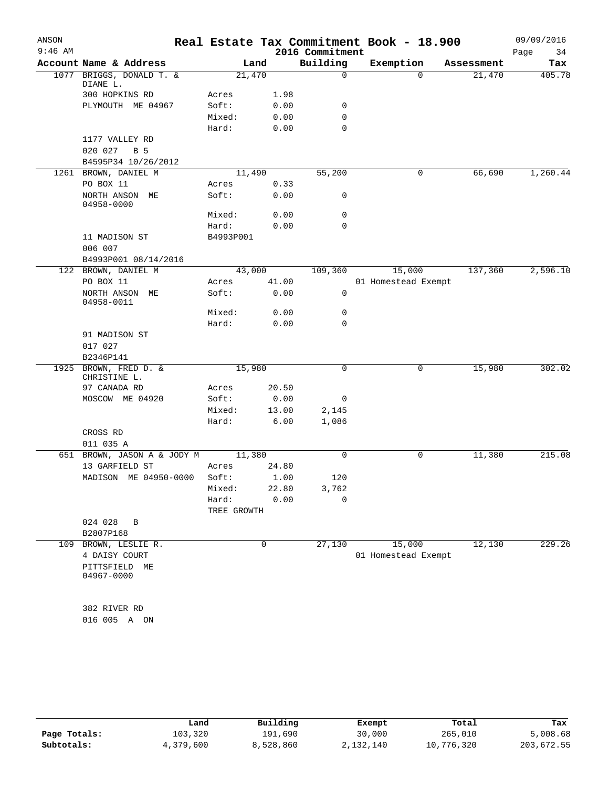| ANSON<br>$9:46$ AM |                                         |                |               |                             | Real Estate Tax Commitment Book - 18.900 |            | 09/09/2016        |
|--------------------|-----------------------------------------|----------------|---------------|-----------------------------|------------------------------------------|------------|-------------------|
|                    | Account Name & Address                  |                | Land          | 2016 Commitment<br>Building | Exemption                                | Assessment | Page<br>34<br>Tax |
| 1077               | BRIGGS, DONALD T. &                     | 21,470         |               | 0                           | $\Omega$                                 | 21,470     | 405.78            |
|                    | DIANE L.                                |                |               |                             |                                          |            |                   |
|                    | 300 HOPKINS RD                          | Acres          | 1.98          |                             |                                          |            |                   |
|                    | PLYMOUTH ME 04967                       | Soft:          | 0.00          | 0                           |                                          |            |                   |
|                    |                                         | Mixed:         | 0.00          | 0                           |                                          |            |                   |
|                    |                                         | Hard:          | 0.00          | $\Omega$                    |                                          |            |                   |
|                    | 1177 VALLEY RD                          |                |               |                             |                                          |            |                   |
|                    | 020 027<br>B 5                          |                |               |                             |                                          |            |                   |
|                    | B4595P34 10/26/2012                     |                |               |                             |                                          |            |                   |
|                    | 1261 BROWN, DANIEL M                    |                | 11,490        | 55,200                      | 0                                        | 66,690     | 1,260.44          |
|                    | PO BOX 11                               | Acres          | 0.33          |                             |                                          |            |                   |
|                    | NORTH ANSON ME<br>04958-0000            | Soft:          | 0.00          | 0                           |                                          |            |                   |
|                    |                                         | Mixed:         | 0.00          | 0                           |                                          |            |                   |
|                    |                                         | Hard:          | 0.00          | 0                           |                                          |            |                   |
|                    | 11 MADISON ST                           | B4993P001      |               |                             |                                          |            |                   |
|                    | 006 007<br>B4993P001 08/14/2016         |                |               |                             |                                          |            |                   |
|                    | 122 BROWN, DANIEL M                     |                | 43,000        | 109,360                     | 15,000                                   | 137,360    | 2,596.10          |
|                    | PO BOX 11                               | Acres          | 41.00         |                             | 01 Homestead Exempt                      |            |                   |
|                    | NORTH ANSON ME<br>04958-0011            | Soft:          | 0.00          | $\mathbf 0$                 |                                          |            |                   |
|                    |                                         | Mixed:         | 0.00          | 0                           |                                          |            |                   |
|                    |                                         | Hard:          | 0.00          | 0                           |                                          |            |                   |
|                    | 91 MADISON ST                           |                |               |                             |                                          |            |                   |
|                    | 017 027                                 |                |               |                             |                                          |            |                   |
|                    | B2346P141                               |                |               |                             |                                          |            |                   |
| 1925               | BROWN, FRED D. &<br>CHRISTINE L.        | 15,980         |               | 0                           | 0                                        | 15,980     | 302.02            |
|                    | 97 CANADA RD                            | Acres          | 20.50         |                             |                                          |            |                   |
|                    | MOSCOW ME 04920                         | Soft:          | 0.00          | 0                           |                                          |            |                   |
|                    |                                         | Mixed:         | 13.00         | 2,145                       |                                          |            |                   |
|                    |                                         | Hard:          | 6.00          | 1,086                       |                                          |            |                   |
|                    | CROSS RD                                |                |               |                             |                                          |            |                   |
|                    | 011 035 A                               |                |               |                             |                                          |            |                   |
| 651                | BROWN, JASON A & JODY M                 | 11,380         |               | 0                           | 0                                        | 11,380     | 215.08            |
|                    | 13 GARFIELD ST<br>MADISON ME 04950-0000 | Acres<br>Soft: | 24.80<br>1.00 | 120                         |                                          |            |                   |
|                    |                                         | Mixed:         | 22.80         | 3,762                       |                                          |            |                   |
|                    |                                         | Hard:          | 0.00          | 0                           |                                          |            |                   |
|                    |                                         | TREE GROWTH    |               |                             |                                          |            |                   |
|                    | 024 028<br>B                            |                |               |                             |                                          |            |                   |
|                    | B2807P168                               |                |               |                             |                                          |            |                   |
| 109                | BROWN, LESLIE R.                        |                | 0             | 27,130                      | 15,000                                   | 12,130     | 229.26            |
|                    | 4 DAISY COURT                           |                |               |                             | 01 Homestead Exempt                      |            |                   |
|                    | PITTSFIELD ME                           |                |               |                             |                                          |            |                   |
|                    | 04967-0000                              |                |               |                             |                                          |            |                   |
|                    | 382 RIVER RD                            |                |               |                             |                                          |            |                   |
|                    | 016 005 A ON                            |                |               |                             |                                          |            |                   |
|                    |                                         |                |               |                             |                                          |            |                   |

|              | Land      | Building  | Exempt    | Total      | Tax        |
|--------------|-----------|-----------|-----------|------------|------------|
| Page Totals: | 103,320   | 191,690   | 30,000    | 265,010    | 5,008.68   |
| Subtotals:   | 4,379,600 | 8,528,860 | 2,132,140 | 10,776,320 | 203,672.55 |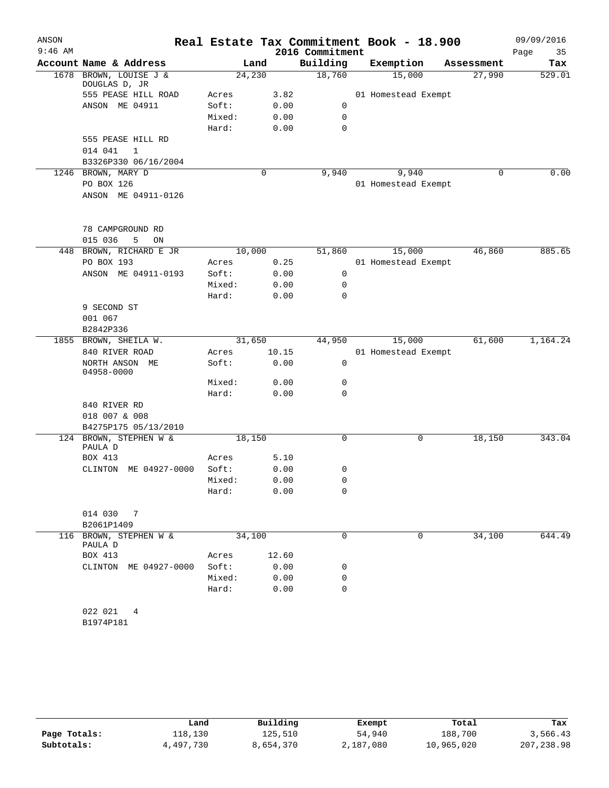| ANSON     |                                      |                |       |                 | Real Estate Tax Commitment Book - 18.900 |            | 09/09/2016 |
|-----------|--------------------------------------|----------------|-------|-----------------|------------------------------------------|------------|------------|
| $9:46$ AM |                                      |                |       | 2016 Commitment |                                          |            | Page<br>35 |
|           | Account Name & Address               |                | Land  | Building        | Exemption                                | Assessment | Tax        |
|           | 1678 BROWN, LOUISE J &               | 24,230         |       | 18,760          | 15,000                                   | 27,990     | 529.01     |
|           | DOUGLAS D, JR<br>555 PEASE HILL ROAD |                |       |                 |                                          |            |            |
|           | ANSON ME 04911                       | Acres<br>Soft: | 3.82  | 0               | 01 Homestead Exempt                      |            |            |
|           |                                      | Mixed:         | 0.00  | $\mathbf 0$     |                                          |            |            |
|           |                                      |                | 0.00  | 0               |                                          |            |            |
|           | 555 PEASE HILL RD                    | Hard:          | 0.00  |                 |                                          |            |            |
|           | 014 041<br>$\mathbf{1}$              |                |       |                 |                                          |            |            |
|           | B3326P330 06/16/2004                 |                |       |                 |                                          |            |            |
|           | 1246 BROWN, MARY D                   |                | 0     | 9,940           | 9,940                                    | $\Omega$   | 0.00       |
|           | PO BOX 126                           |                |       |                 | 01 Homestead Exempt                      |            |            |
|           | ANSON ME 04911-0126                  |                |       |                 |                                          |            |            |
|           |                                      |                |       |                 |                                          |            |            |
|           | 78 CAMPGROUND RD                     |                |       |                 |                                          |            |            |
|           | 015 036<br>5<br>ON                   |                |       |                 |                                          |            |            |
|           | 448 BROWN, RICHARD E JR              | 10,000         |       | 51,860          | 15,000                                   | 46,860     | 885.65     |
|           | PO BOX 193                           | Acres          | 0.25  |                 | 01 Homestead Exempt                      |            |            |
|           | ANSON ME 04911-0193                  | Soft:          | 0.00  | $\mathsf{O}$    |                                          |            |            |
|           |                                      | Mixed:         | 0.00  | 0               |                                          |            |            |
|           |                                      | Hard:          | 0.00  | 0               |                                          |            |            |
|           | 9 SECOND ST                          |                |       |                 |                                          |            |            |
|           | 001 067                              |                |       |                 |                                          |            |            |
|           | B2842P336                            |                |       |                 |                                          |            |            |
|           | 1855 BROWN, SHEILA W.                | 31,650         |       | 44,950          | 15,000                                   | 61,600     | 1,164.24   |
|           | 840 RIVER ROAD                       | Acres          | 10.15 |                 | 01 Homestead Exempt                      |            |            |
|           | NORTH ANSON ME<br>04958-0000         | Soft:          | 0.00  | $\mathbf 0$     |                                          |            |            |
|           |                                      | Mixed:         | 0.00  | 0               |                                          |            |            |
|           |                                      | Hard:          | 0.00  | $\mathbf 0$     |                                          |            |            |
|           | 840 RIVER RD                         |                |       |                 |                                          |            |            |
|           | 018 007 & 008                        |                |       |                 |                                          |            |            |
|           | B4275P175 05/13/2010                 |                |       |                 |                                          |            |            |
|           | 124 BROWN, STEPHEN W &               | 18,150         |       | 0               | 0                                        | 18,150     | 343.04     |
|           | PAULA D                              |                |       |                 |                                          |            |            |
|           | BOX 413                              | Acres          | 5.10  |                 |                                          |            |            |
|           | ME 04927-0000<br>CLINTON             | Soft:          | 0.00  | 0               |                                          |            |            |
|           |                                      | Mixed:         | 0.00  | 0               |                                          |            |            |
|           |                                      | Hard:          | 0.00  | $\mathbf 0$     |                                          |            |            |
|           | 014 030<br>$\overline{7}$            |                |       |                 |                                          |            |            |
|           | B2061P1409                           |                |       |                 |                                          |            |            |
|           | 116 BROWN, STEPHEN W &               | 34,100         |       | 0               | 0                                        | 34,100     | 644.49     |
|           | PAULA D                              |                |       |                 |                                          |            |            |
|           | BOX 413                              | Acres          | 12.60 |                 |                                          |            |            |
|           | CLINTON ME 04927-0000                | Soft:          | 0.00  | 0               |                                          |            |            |
|           |                                      | Mixed:         | 0.00  | 0               |                                          |            |            |
|           |                                      | Hard:          | 0.00  | 0               |                                          |            |            |
|           | 022 021<br>4                         |                |       |                 |                                          |            |            |
|           | B1974P181                            |                |       |                 |                                          |            |            |

|              | Land      | Building  | Exempt    | Total      | Tax        |
|--------------|-----------|-----------|-----------|------------|------------|
| Page Totals: | 118,130   | 125,510   | 54,940    | 188,700    | 3,566.43   |
| Subtotals:   | 4,497,730 | 8,654,370 | 2,187,080 | 10,965,020 | 207,238.98 |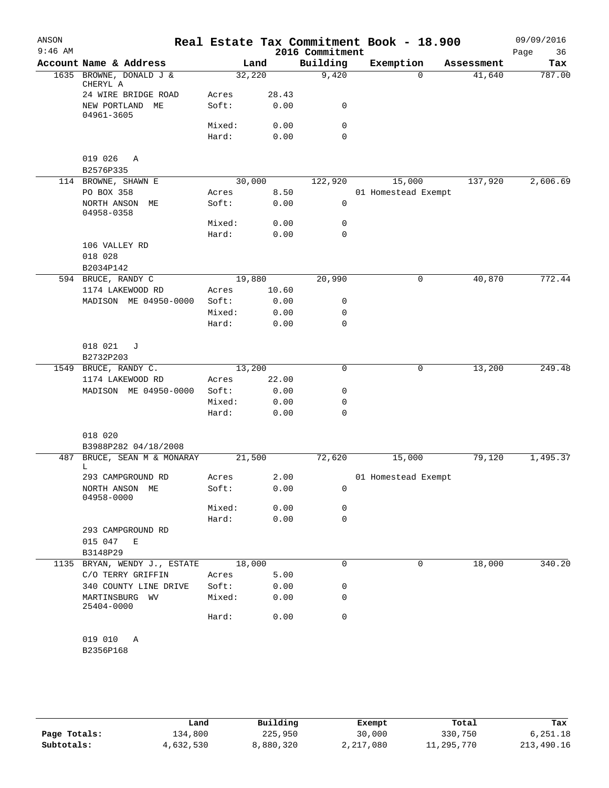| ANSON<br>$9:46$ AM |                                           |                |               | 2016 Commitment | Real Estate Tax Commitment Book - 18.900 |            | 09/09/2016<br>36<br>Page |
|--------------------|-------------------------------------------|----------------|---------------|-----------------|------------------------------------------|------------|--------------------------|
|                    | Account Name & Address                    |                | Land          | Building        | Exemption                                | Assessment | Tax                      |
|                    | 1635 BROWNE, DONALD J &<br>CHERYL A       | 32,220         |               | 9,420           | $\Omega$                                 | 41,640     | 787.00                   |
|                    | 24 WIRE BRIDGE ROAD                       | Acres          | 28.43         |                 |                                          |            |                          |
|                    | NEW PORTLAND<br>MЕ<br>04961-3605          | Soft:          | 0.00          | 0               |                                          |            |                          |
|                    |                                           | Mixed:         | 0.00          | 0               |                                          |            |                          |
|                    |                                           | Hard:          | 0.00          | 0               |                                          |            |                          |
|                    | 019 026<br>Α                              |                |               |                 |                                          |            |                          |
|                    | B2576P335                                 |                |               |                 |                                          |            |                          |
|                    | 114 BROWNE, SHAWN E                       | 30,000         |               | 122,920         | 15,000                                   | 137,920    | 2,606.69                 |
|                    | PO BOX 358<br>NORTH ANSON ME              | Acres<br>Soft: | 8.50<br>0.00  | 0               | 01 Homestead Exempt                      |            |                          |
|                    | 04958-0358                                |                |               |                 |                                          |            |                          |
|                    |                                           | Mixed:         | 0.00          | 0               |                                          |            |                          |
|                    |                                           | Hard:          | 0.00          | 0               |                                          |            |                          |
|                    | 106 VALLEY RD                             |                |               |                 |                                          |            |                          |
|                    | 018 028                                   |                |               |                 |                                          |            |                          |
|                    | B2034P142                                 |                |               |                 |                                          |            |                          |
|                    | 594 BRUCE, RANDY C                        | 19,880         |               | 20,990          | 0                                        | 40,870     | 772.44                   |
|                    | 1174 LAKEWOOD RD<br>MADISON ME 04950-0000 | Acres<br>Soft: | 10.60<br>0.00 | 0               |                                          |            |                          |
|                    |                                           | Mixed:         | 0.00          | 0               |                                          |            |                          |
|                    |                                           | Hard:          | 0.00          | $\mathbf 0$     |                                          |            |                          |
|                    |                                           |                |               |                 |                                          |            |                          |
|                    | 018 021<br>J                              |                |               |                 |                                          |            |                          |
|                    | B2732P203                                 |                |               |                 |                                          |            |                          |
|                    | 1549 BRUCE, RANDY C.                      | 13,200         |               | 0               | 0                                        | 13,200     | 249.48                   |
|                    | 1174 LAKEWOOD RD                          | Acres          | 22.00         |                 |                                          |            |                          |
|                    | MADISON ME 04950-0000                     | Soft:          | 0.00          | 0               |                                          |            |                          |
|                    |                                           | Mixed:         | 0.00          | 0               |                                          |            |                          |
|                    |                                           | Hard:          | 0.00          | $\Omega$        |                                          |            |                          |
|                    | 018 020                                   |                |               |                 |                                          |            |                          |
|                    | B3988P282 04/18/2008                      |                |               |                 |                                          |            |                          |
| 487                | BRUCE, SEAN M & MONARAY<br>L              | 21,500         |               | 72,620          | 15,000                                   | 79,120     | 1,495.37                 |
|                    | 293 CAMPGROUND RD                         | Acres          | 2.00          |                 | 01 Homestead Exempt                      |            |                          |
|                    | NORTH ANSON ME<br>04958-0000              | Soft:          | 0.00          | 0               |                                          |            |                          |
|                    |                                           | Mixed:         | 0.00          | 0               |                                          |            |                          |
|                    |                                           | Hard:          | 0.00          | 0               |                                          |            |                          |
|                    | 293 CAMPGROUND RD                         |                |               |                 |                                          |            |                          |
|                    | 015 047<br>E                              |                |               |                 |                                          |            |                          |
|                    | B3148P29                                  |                |               |                 |                                          |            |                          |
|                    | 1135 BRYAN, WENDY J., ESTATE              | 18,000         |               | 0               | $\mathbf 0$                              | 18,000     | 340.20                   |
|                    | C/O TERRY GRIFFIN                         | Acres          | 5.00          |                 |                                          |            |                          |
|                    | 340 COUNTY LINE DRIVE                     | Soft:          | 0.00          | 0               |                                          |            |                          |
|                    | MARTINSBURG WV<br>25404-0000              | Mixed:         | 0.00          | 0               |                                          |            |                          |
|                    |                                           | Hard:          | 0.00          | $\mathbf 0$     |                                          |            |                          |
|                    | 019 010<br>Α                              |                |               |                 |                                          |            |                          |
|                    | B2356P168                                 |                |               |                 |                                          |            |                          |

|              | Land      | Building  | Exempt    | Total      | Tax        |
|--------------|-----------|-----------|-----------|------------|------------|
| Page Totals: | 134,800   | 225,950   | 30,000    | 330,750    | 6.251.18   |
| Subtotals:   | 4,632,530 | 8,880,320 | 2,217,080 | 11,295,770 | 213,490.16 |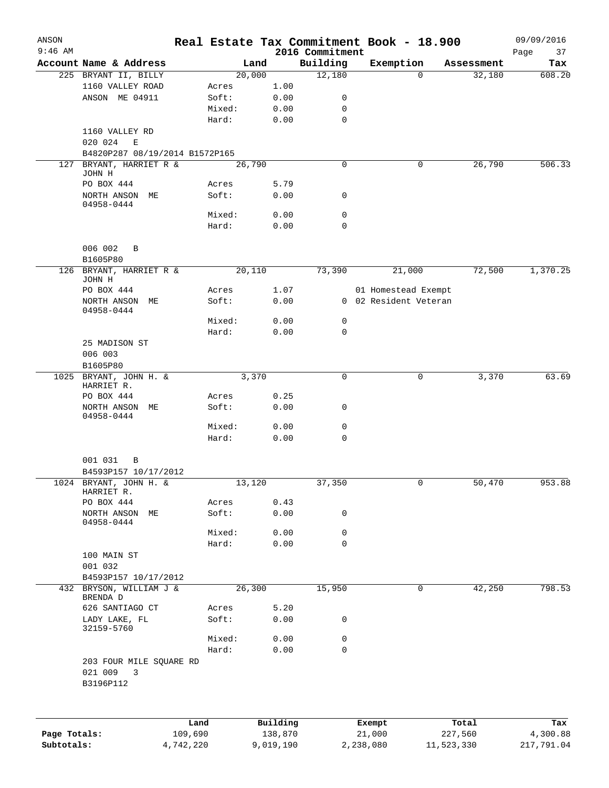| ANSON<br>$9:46$ AM |                                     |           |        |           | 2016 Commitment |           | Real Estate Tax Commitment Book - 18.900 |            | 09/09/2016<br>Page<br>37 |
|--------------------|-------------------------------------|-----------|--------|-----------|-----------------|-----------|------------------------------------------|------------|--------------------------|
|                    | Account Name & Address              |           | Land   |           | Building        |           | Exemption                                | Assessment | Tax                      |
|                    | 225 BRYANT II, BILLY                |           | 20,000 |           | 12,180          |           | 0                                        | 32,180     | 608.20                   |
|                    | 1160 VALLEY ROAD                    |           | Acres  | 1.00      |                 |           |                                          |            |                          |
|                    | ANSON ME 04911                      |           | Soft:  | 0.00      | 0               |           |                                          |            |                          |
|                    |                                     |           | Mixed: |           | 0               |           |                                          |            |                          |
|                    |                                     |           |        | 0.00      |                 |           |                                          |            |                          |
|                    |                                     |           | Hard:  | 0.00      | $\mathbf 0$     |           |                                          |            |                          |
|                    | 1160 VALLEY RD                      |           |        |           |                 |           |                                          |            |                          |
|                    | 020 024<br>Ε                        |           |        |           |                 |           |                                          |            |                          |
|                    | B4820P287 08/19/2014 B1572P165      |           |        |           |                 |           |                                          |            |                          |
| 127                | BRYANT, HARRIET R &                 |           | 26,790 |           | $\mathbf 0$     |           | 0                                        | 26,790     | 506.33                   |
|                    | JOHN H                              |           |        |           |                 |           |                                          |            |                          |
|                    | PO BOX 444                          |           | Acres  | 5.79      |                 |           |                                          |            |                          |
|                    | NORTH ANSON ME                      |           | Soft:  | 0.00      | 0               |           |                                          |            |                          |
|                    | 04958-0444                          |           | Mixed: |           | 0               |           |                                          |            |                          |
|                    |                                     |           |        | 0.00      |                 |           |                                          |            |                          |
|                    |                                     |           | Hard:  | 0.00      | 0               |           |                                          |            |                          |
|                    |                                     |           |        |           |                 |           |                                          |            |                          |
|                    | 006 002<br>B                        |           |        |           |                 |           |                                          |            |                          |
|                    | B1605P80                            |           |        |           |                 |           |                                          |            |                          |
|                    | 126 BRYANT, HARRIET R &             |           | 20,110 |           | 73,390          |           | 21,000                                   | 72,500     | 1,370.25                 |
|                    | JOHN H                              |           |        |           |                 |           |                                          |            |                          |
|                    | PO BOX 444                          |           | Acres  | 1.07      |                 |           | 01 Homestead Exempt                      |            |                          |
|                    | NORTH ANSON ME                      |           | Soft:  | 0.00      |                 |           | 0 02 Resident Veteran                    |            |                          |
|                    | 04958-0444                          |           |        |           |                 |           |                                          |            |                          |
|                    |                                     |           | Mixed: | 0.00      | 0               |           |                                          |            |                          |
|                    |                                     |           | Hard:  | 0.00      | 0               |           |                                          |            |                          |
|                    | 25 MADISON ST                       |           |        |           |                 |           |                                          |            |                          |
|                    | 006 003                             |           |        |           |                 |           |                                          |            |                          |
|                    | B1605P80                            |           |        |           |                 |           |                                          |            |                          |
|                    | 1025 BRYANT, JOHN H. &              |           | 3,370  |           | $\Omega$        |           | 0                                        | 3,370      | 63.69                    |
|                    | HARRIET R.                          |           |        |           |                 |           |                                          |            |                          |
|                    | PO BOX 444                          |           | Acres  | 0.25      |                 |           |                                          |            |                          |
|                    | NORTH ANSON ME                      |           | Soft:  | 0.00      | 0               |           |                                          |            |                          |
|                    | $04958 - 0444$                      |           |        |           |                 |           |                                          |            |                          |
|                    |                                     |           | Mixed: | 0.00      | $\mathbf 0$     |           |                                          |            |                          |
|                    |                                     |           | Hard:  | 0.00      | 0               |           |                                          |            |                          |
|                    |                                     |           |        |           |                 |           |                                          |            |                          |
|                    | 001 031<br>B                        |           |        |           |                 |           |                                          |            |                          |
|                    | B4593P157 10/17/2012                |           |        |           |                 |           |                                          |            |                          |
|                    | 1024 BRYANT, JOHN H. &              |           | 13,120 |           | 37,350          |           | 0                                        | 50,470     | 953.88                   |
|                    | HARRIET R.                          |           |        |           |                 |           |                                          |            |                          |
|                    | PO BOX 444                          |           | Acres  | 0.43      |                 |           |                                          |            |                          |
|                    | NORTH ANSON ME                      |           | Soft:  | 0.00      | 0               |           |                                          |            |                          |
|                    | 04958-0444                          |           |        |           |                 |           |                                          |            |                          |
|                    |                                     |           | Mixed: | 0.00      | 0               |           |                                          |            |                          |
|                    |                                     |           | Hard:  | 0.00      | 0               |           |                                          |            |                          |
|                    | 100 MAIN ST                         |           |        |           |                 |           |                                          |            |                          |
|                    | 001 032                             |           |        |           |                 |           |                                          |            |                          |
|                    | B4593P157 10/17/2012                |           |        |           |                 |           |                                          |            |                          |
|                    | 432 BRYSON, WILLIAM J &<br>BRENDA D |           | 26,300 |           | 15,950          |           | 0                                        | 42,250     | 798.53                   |
|                    | 626 SANTIAGO CT                     |           | Acres  | 5.20      |                 |           |                                          |            |                          |
|                    | LADY LAKE, FL                       |           | Soft:  | 0.00      | 0               |           |                                          |            |                          |
|                    | 32159-5760                          |           |        |           |                 |           |                                          |            |                          |
|                    |                                     |           | Mixed: | 0.00      | 0               |           |                                          |            |                          |
|                    |                                     |           | Hard:  | 0.00      | 0               |           |                                          |            |                          |
|                    | 203 FOUR MILE SQUARE RD             |           |        |           |                 |           |                                          |            |                          |
|                    | 021 009<br>3                        |           |        |           |                 |           |                                          |            |                          |
|                    | B3196P112                           |           |        |           |                 |           |                                          |            |                          |
|                    |                                     |           |        |           |                 |           |                                          |            |                          |
|                    |                                     |           |        |           |                 |           |                                          |            |                          |
|                    |                                     | Land      |        | Building  |                 | Exempt    |                                          | Total      | Tax                      |
| Page Totals:       |                                     | 109,690   |        | 138,870   |                 | 21,000    |                                          | 227,560    | 4,300.88                 |
| Subtotals:         |                                     | 4,742,220 |        | 9,019,190 |                 | 2,238,080 |                                          | 11,523,330 | 217,791.04               |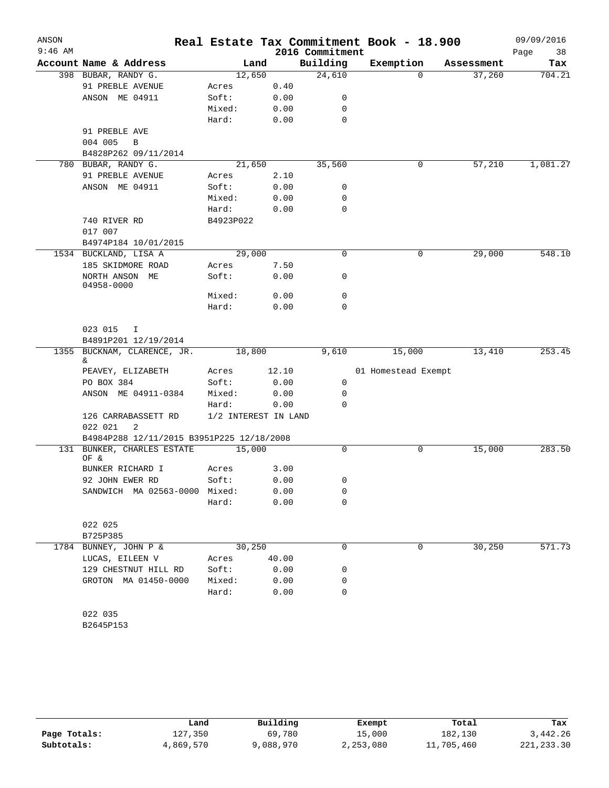| ANSON     |                                           |                 |                      |                 | Real Estate Tax Commitment Book - 18.900 |            |        | 09/09/2016 |
|-----------|-------------------------------------------|-----------------|----------------------|-----------------|------------------------------------------|------------|--------|------------|
| $9:46$ AM |                                           |                 |                      | 2016 Commitment |                                          |            |        | Page<br>38 |
|           | Account Name & Address                    | Land            |                      | Building        | Exemption                                | Assessment |        | Tax        |
|           | 398 BUBAR, RANDY G.                       | 12,650          |                      | 24,610          |                                          | $\Omega$   | 37,260 | 704.21     |
|           | 91 PREBLE AVENUE                          | Acres           | 0.40                 |                 |                                          |            |        |            |
|           | ANSON ME 04911                            | Soft:           | 0.00                 | 0               |                                          |            |        |            |
|           |                                           | Mixed:          | 0.00                 | 0               |                                          |            |        |            |
|           |                                           | Hard:           | 0.00                 | 0               |                                          |            |        |            |
|           | 91 PREBLE AVE                             |                 |                      |                 |                                          |            |        |            |
|           | 004 005<br>B                              |                 |                      |                 |                                          |            |        |            |
|           | B4828P262 09/11/2014                      |                 |                      |                 |                                          |            |        |            |
| 780       | BUBAR, RANDY G.                           | 21,650          |                      | 35,560          |                                          | 0          | 57,210 | 1,081.27   |
|           | 91 PREBLE AVENUE                          | Acres           | 2.10                 |                 |                                          |            |        |            |
|           | ANSON ME 04911                            | Soft:           | 0.00                 | 0               |                                          |            |        |            |
|           |                                           | Mixed:          | 0.00                 | 0               |                                          |            |        |            |
|           |                                           | Hard:           | 0.00                 | 0               |                                          |            |        |            |
|           | 740 RIVER RD                              | B4923P022       |                      |                 |                                          |            |        |            |
|           | 017 007                                   |                 |                      |                 |                                          |            |        |            |
|           | B4974P184 10/01/2015                      |                 |                      |                 |                                          |            |        |            |
|           | 1534 BUCKLAND, LISA A                     | 29,000          |                      | 0               |                                          | 0          | 29,000 | 548.10     |
|           | 185 SKIDMORE ROAD                         | Acres           | 7.50                 |                 |                                          |            |        |            |
|           | NORTH ANSON ME<br>04958-0000              | Soft:           | 0.00                 | 0               |                                          |            |        |            |
|           |                                           | Mixed:          | 0.00                 | 0               |                                          |            |        |            |
|           |                                           | Hard:           | 0.00                 | $\Omega$        |                                          |            |        |            |
|           |                                           |                 |                      |                 |                                          |            |        |            |
|           | 023 015<br>I                              |                 |                      |                 |                                          |            |        |            |
|           | B4891P201 12/19/2014                      |                 |                      |                 |                                          |            |        |            |
|           | 1355 BUCKNAM, CLARENCE, JR.               | 18,800          |                      | 9,610           | 15,000                                   |            | 13,410 | 253.45     |
|           | &                                         |                 |                      |                 |                                          |            |        |            |
|           | PEAVEY, ELIZABETH                         | Acres           | 12.10                | 0               | 01 Homestead Exempt                      |            |        |            |
|           | PO BOX 384<br>ANSON ME 04911-0384         | Soft:           | 0.00                 | 0               |                                          |            |        |            |
|           |                                           | Mixed:<br>Hard: | 0.00<br>0.00         | $\Omega$        |                                          |            |        |            |
|           | 126 CARRABASSETT RD                       |                 | 1/2 INTEREST IN LAND |                 |                                          |            |        |            |
|           | 022 021<br>2                              |                 |                      |                 |                                          |            |        |            |
|           | B4984P288 12/11/2015 B3951P225 12/18/2008 |                 |                      |                 |                                          |            |        |            |
|           | 131 BUNKER, CHARLES ESTATE<br>OF &        | 15,000          |                      | 0               |                                          | 0          | 15,000 | 283.50     |
|           | BUNKER RICHARD I                          | Acres           | 3.00                 |                 |                                          |            |        |            |
|           | 92 JOHN EWER RD                           | Soft:           | 0.00                 | 0               |                                          |            |        |            |
|           | SANDWICH MA 02563-0000 Mixed:             |                 | 0.00                 | 0               |                                          |            |        |            |
|           |                                           | Hard:           | 0.00                 | 0               |                                          |            |        |            |
|           |                                           |                 |                      |                 |                                          |            |        |            |
|           | 022 025                                   |                 |                      |                 |                                          |            |        |            |
|           | B725P385                                  |                 |                      |                 |                                          |            |        |            |
|           | 1784 BUNNEY, JOHN P &                     | 30,250          |                      | 0               |                                          | 0          | 30,250 | 571.73     |
|           | LUCAS, EILEEN V                           | Acres           | 40.00                |                 |                                          |            |        |            |
|           | 129 CHESTNUT HILL RD                      | Soft:           | 0.00                 | 0               |                                          |            |        |            |
|           | GROTON MA 01450-0000                      | Mixed:          | 0.00                 | 0               |                                          |            |        |            |
|           |                                           | Hard:           | 0.00                 | 0               |                                          |            |        |            |
|           |                                           |                 |                      |                 |                                          |            |        |            |
|           | 022 035                                   |                 |                      |                 |                                          |            |        |            |
|           | B2645P153                                 |                 |                      |                 |                                          |            |        |            |
|           |                                           |                 |                      |                 |                                          |            |        |            |

|              | Land      | Building  | Exempt    | Total      | Tax         |
|--------------|-----------|-----------|-----------|------------|-------------|
| Page Totals: | l 27,350  | 69,780    | 15,000    | 182,130    | 3,442.26    |
| Subtotals:   | 4,869,570 | 9,088,970 | 2,253,080 | 11,705,460 | 221, 233.30 |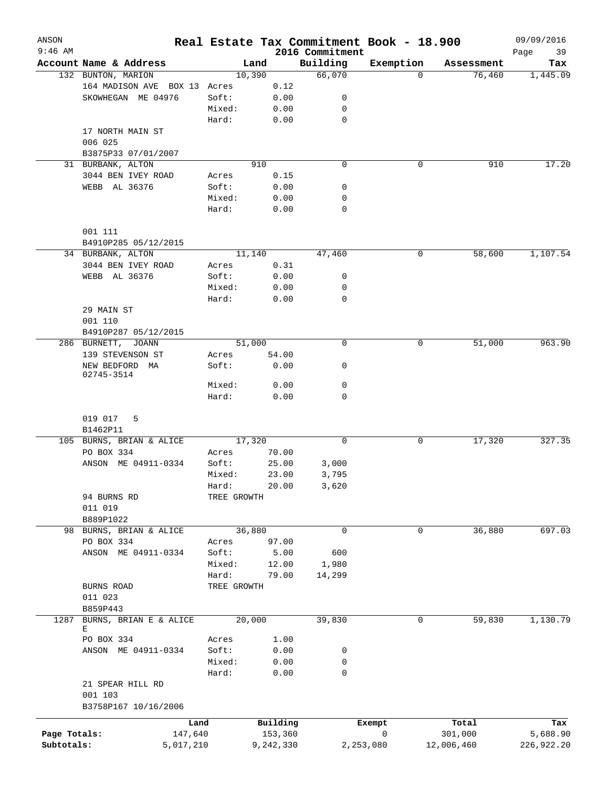| ANSON<br>$9:46$ AM |                              |             |           | 2016 Commitment | Real Estate Tax Commitment Book - 18.900 |            | 09/09/2016<br>Page<br>39 |
|--------------------|------------------------------|-------------|-----------|-----------------|------------------------------------------|------------|--------------------------|
|                    | Account Name & Address       | Land        |           | Building        | Exemption                                | Assessment | Tax                      |
|                    | 132 BUNTON, MARION           | 10,390      |           | 66,070          | 0                                        | 76,460     | 1,445.09                 |
|                    | 164 MADISON AVE BOX 13       | Acres       | 0.12      |                 |                                          |            |                          |
|                    | SKOWHEGAN ME 04976           | Soft:       | 0.00      | 0               |                                          |            |                          |
|                    |                              | Mixed:      | 0.00      | 0               |                                          |            |                          |
|                    |                              | Hard:       | 0.00      | $\mathbf 0$     |                                          |            |                          |
|                    | 17 NORTH MAIN ST             |             |           |                 |                                          |            |                          |
|                    | 006 025                      |             |           |                 |                                          |            |                          |
|                    | B3875P33 07/01/2007          |             |           |                 |                                          |            |                          |
|                    | 31 BURBANK, ALTON            | 910         |           | $\mathbf 0$     | 0                                        | 910        | 17.20                    |
|                    | 3044 BEN IVEY ROAD           |             |           |                 |                                          |            |                          |
|                    |                              | Acres       | 0.15      |                 |                                          |            |                          |
|                    | WEBB AL 36376                | Soft:       | 0.00      | 0               |                                          |            |                          |
|                    |                              | Mixed:      | 0.00      | 0               |                                          |            |                          |
|                    |                              | Hard:       | 0.00      | 0               |                                          |            |                          |
|                    |                              |             |           |                 |                                          |            |                          |
|                    | 001 111                      |             |           |                 |                                          |            |                          |
|                    | B4910P285 05/12/2015         |             |           |                 |                                          |            |                          |
|                    | 34 BURBANK, ALTON            | 11,140      |           | 47,460          | 0                                        | 58,600     | 1,107.54                 |
|                    | 3044 BEN IVEY ROAD           | Acres       | 0.31      |                 |                                          |            |                          |
|                    | WEBB AL 36376                | Soft:       | 0.00      | 0               |                                          |            |                          |
|                    |                              | Mixed:      | 0.00      | 0               |                                          |            |                          |
|                    |                              | Hard:       | 0.00      | $\mathbf 0$     |                                          |            |                          |
|                    | 29 MAIN ST                   |             |           |                 |                                          |            |                          |
|                    | 001 110                      |             |           |                 |                                          |            |                          |
|                    | B4910P287 05/12/2015         |             |           |                 |                                          |            |                          |
|                    | 286 BURNETT,<br><b>JOANN</b> | 51,000      |           | $\mathbf 0$     | 0                                        | 51,000     | 963.90                   |
|                    | 139 STEVENSON ST             | Acres       | 54.00     |                 |                                          |            |                          |
|                    |                              |             |           | 0               |                                          |            |                          |
|                    | NEW BEDFORD MA<br>02745-3514 | Soft:       | 0.00      |                 |                                          |            |                          |
|                    |                              | Mixed:      | 0.00      | 0               |                                          |            |                          |
|                    |                              | Hard:       | 0.00      | 0               |                                          |            |                          |
|                    |                              |             |           |                 |                                          |            |                          |
|                    | 019 017<br>5                 |             |           |                 |                                          |            |                          |
|                    | B1462P11                     |             |           |                 |                                          |            |                          |
|                    |                              | 17,320      |           | 0               |                                          |            | 327.35                   |
|                    | 105 BURNS, BRIAN & ALICE     |             |           |                 | 0                                        | 17,320     |                          |
|                    | PO BOX 334                   | Acres       | 70.00     |                 |                                          |            |                          |
|                    | ANSON ME 04911-0334          | Soft:       | 25.00     | 3,000           |                                          |            |                          |
|                    |                              | Mixed:      | 23.00     | 3,795           |                                          |            |                          |
|                    |                              | Hard:       | 20.00     | 3,620           |                                          |            |                          |
|                    | 94 BURNS RD                  | TREE GROWTH |           |                 |                                          |            |                          |
|                    | 011 019                      |             |           |                 |                                          |            |                          |
|                    | B889P1022                    |             |           |                 |                                          |            |                          |
|                    | 98 BURNS, BRIAN & ALICE      | 36,880      |           | $\mathbf 0$     | 0                                        | 36,880     | 697.03                   |
|                    | PO BOX 334                   | Acres       | 97.00     |                 |                                          |            |                          |
|                    | ANSON ME 04911-0334          | Soft:       | 5.00      | 600             |                                          |            |                          |
|                    |                              | Mixed:      | 12.00     | 1,980           |                                          |            |                          |
|                    |                              | Hard:       | 79.00     | 14,299          |                                          |            |                          |
|                    | BURNS ROAD                   | TREE GROWTH |           |                 |                                          |            |                          |
|                    | 011 023                      |             |           |                 |                                          |            |                          |
|                    | B859P443                     |             |           |                 |                                          |            |                          |
| 1287               | BURNS, BRIAN E & ALICE       | 20,000      |           | 39,830          | 0                                        | 59,830     | 1,130.79                 |
|                    | Е                            |             |           |                 |                                          |            |                          |
|                    | PO BOX 334                   | Acres       | 1.00      |                 |                                          |            |                          |
|                    | ANSON ME 04911-0334          | Soft:       | 0.00      | 0               |                                          |            |                          |
|                    |                              | Mixed:      | 0.00      | 0               |                                          |            |                          |
|                    |                              | Hard:       | 0.00      | 0               |                                          |            |                          |
|                    |                              |             |           |                 |                                          |            |                          |
|                    | 21 SPEAR HILL RD             |             |           |                 |                                          |            |                          |
|                    | 001 103                      |             |           |                 |                                          |            |                          |
|                    | B3758P167 10/16/2006         |             |           |                 |                                          |            |                          |
|                    | Land                         |             | Building  |                 | Exempt                                   | Total      | Tax                      |
| Page Totals:       | 147,640                      |             | 153,360   |                 | 0                                        | 301,000    | 5,688.90                 |
| Subtotals:         | 5,017,210                    |             | 9,242,330 |                 | 2,253,080                                | 12,006,460 | 226,922.20               |
|                    |                              |             |           |                 |                                          |            |                          |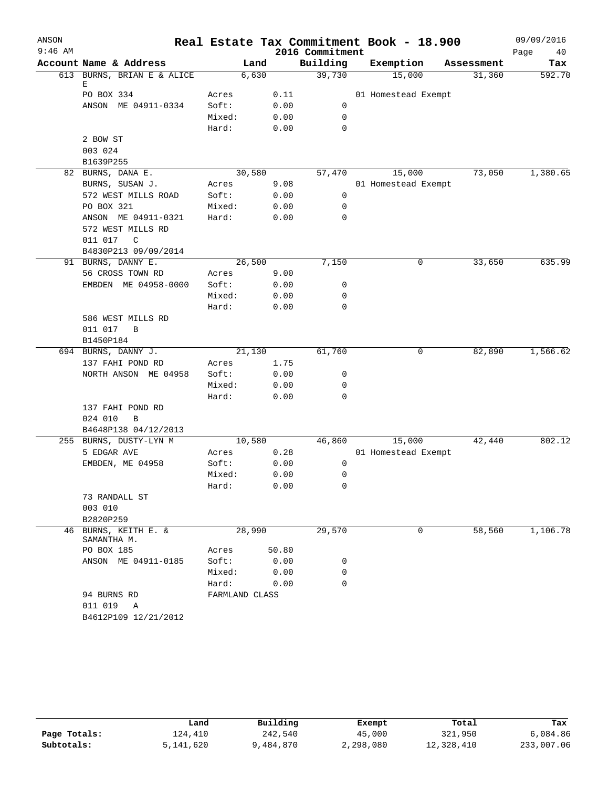| ANSON     |                                     |                |        |                 | Real Estate Tax Commitment Book - 18.900 |            | 09/09/2016 |
|-----------|-------------------------------------|----------------|--------|-----------------|------------------------------------------|------------|------------|
| $9:46$ AM |                                     |                |        | 2016 Commitment |                                          |            | Page<br>40 |
|           | Account Name & Address              |                | Land   | Building        | Exemption                                | Assessment | Tax        |
|           | 613 BURNS, BRIAN E & ALICE          |                | 6,630  | 39,730          | 15,000                                   | 31,360     | 592.70     |
|           | Е<br>PO BOX 334                     | Acres          | 0.11   |                 | 01 Homestead Exempt                      |            |            |
|           | ANSON ME 04911-0334                 | Soft:          | 0.00   | 0               |                                          |            |            |
|           |                                     | Mixed:         | 0.00   | $\mathbf 0$     |                                          |            |            |
|           |                                     | Hard:          | 0.00   | 0               |                                          |            |            |
|           | 2 BOW ST                            |                |        |                 |                                          |            |            |
|           | 003 024                             |                |        |                 |                                          |            |            |
|           | B1639P255                           |                |        |                 |                                          |            |            |
|           | 82 BURNS, DANA E.                   |                | 30,580 | 57,470          | 15,000                                   | 73,050     | 1,380.65   |
|           | BURNS, SUSAN J.                     | Acres          | 9.08   |                 | 01 Homestead Exempt                      |            |            |
|           | 572 WEST MILLS ROAD                 | Soft:          | 0.00   | 0               |                                          |            |            |
|           | PO BOX 321                          | Mixed:         | 0.00   | 0               |                                          |            |            |
|           | ANSON ME 04911-0321                 | Hard:          | 0.00   | 0               |                                          |            |            |
|           | 572 WEST MILLS RD                   |                |        |                 |                                          |            |            |
|           | 011 017<br>C                        |                |        |                 |                                          |            |            |
|           | B4830P213 09/09/2014                |                |        |                 |                                          |            |            |
|           | 91 BURNS, DANNY E.                  |                | 26,500 | 7,150           | 0                                        | 33,650     | 635.99     |
|           | 56 CROSS TOWN RD                    | Acres          | 9.00   |                 |                                          |            |            |
|           | EMBDEN ME 04958-0000                | Soft:          | 0.00   | 0               |                                          |            |            |
|           |                                     | Mixed:         | 0.00   | $\mathbf 0$     |                                          |            |            |
|           |                                     | Hard:          | 0.00   | 0               |                                          |            |            |
|           | 586 WEST MILLS RD                   |                |        |                 |                                          |            |            |
|           | 011 017<br>B                        |                |        |                 |                                          |            |            |
|           | B1450P184<br>694 BURNS, DANNY J.    |                | 21,130 | 61,760          | 0                                        | 82,890     | 1,566.62   |
|           | 137 FAHI POND RD                    | Acres          | 1.75   |                 |                                          |            |            |
|           | NORTH ANSON ME 04958                | Soft:          | 0.00   | 0               |                                          |            |            |
|           |                                     | Mixed:         | 0.00   | 0               |                                          |            |            |
|           |                                     | Hard:          | 0.00   | 0               |                                          |            |            |
|           | 137 FAHI POND RD                    |                |        |                 |                                          |            |            |
|           | 024 010<br>B                        |                |        |                 |                                          |            |            |
|           | B4648P138 04/12/2013                |                |        |                 |                                          |            |            |
|           | 255 BURNS, DUSTY-LYN M              |                | 10,580 | 46,860          | 15,000                                   | 42,440     | 802.12     |
|           | 5 EDGAR AVE                         | Acres          | 0.28   |                 | 01 Homestead Exempt                      |            |            |
|           | EMBDEN, ME 04958                    | Soft:          | 0.00   | 0               |                                          |            |            |
|           |                                     | Mixed:         | 0.00   | 0               |                                          |            |            |
|           |                                     | Hard:          | 0.00   | $\mathsf{O}$    |                                          |            |            |
|           | 73 RANDALL ST                       |                |        |                 |                                          |            |            |
|           | 003 010                             |                |        |                 |                                          |            |            |
|           | B2820P259                           |                |        |                 |                                          |            |            |
|           | 46 BURNS, KEITH E. &<br>SAMANTHA M. |                | 28,990 | 29,570          | 0                                        | 58,560     | 1,106.78   |
|           | PO BOX 185                          | Acres          | 50.80  |                 |                                          |            |            |
|           | ANSON ME 04911-0185                 | Soft:          | 0.00   | 0               |                                          |            |            |
|           |                                     | Mixed:         | 0.00   | 0               |                                          |            |            |
|           |                                     | Hard:          | 0.00   | $\Omega$        |                                          |            |            |
|           | 94 BURNS RD                         | FARMLAND CLASS |        |                 |                                          |            |            |
|           | 011 019<br>Α                        |                |        |                 |                                          |            |            |
|           | B4612P109 12/21/2012                |                |        |                 |                                          |            |            |

|              | Land      | Building  | Exempt    | Total      | Tax        |
|--------------|-----------|-----------|-----------|------------|------------|
| Page Totals: | 124,410   | 242,540   | 45,000    | 321,950    | 6,084.86   |
| Subtotals:   | 5,141,620 | 9,484,870 | 2,298,080 | 12,328,410 | 233,007.06 |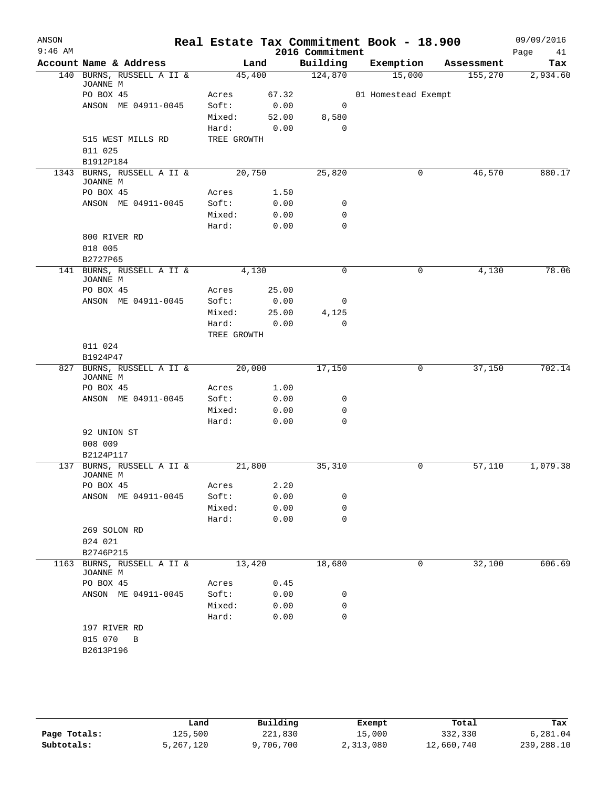| ANSON<br>$9:46$ AM |                                    |                 |               | 2016 Commitment  | Real Estate Tax Commitment Book - 18.900 |            | 09/09/2016        |
|--------------------|------------------------------------|-----------------|---------------|------------------|------------------------------------------|------------|-------------------|
|                    | Account Name & Address             |                 | Land          | Building         | Exemption                                | Assessment | Page<br>41<br>Tax |
|                    | 140 BURNS, RUSSELL A II &          | 45,400          |               | 124,870          | 15,000                                   | 155,270    | 2,934.60          |
|                    | JOANNE M                           |                 |               |                  |                                          |            |                   |
|                    | PO BOX 45                          | Acres           | 67.32         |                  | 01 Homestead Exempt                      |            |                   |
|                    | ANSON ME 04911-0045                | Soft:           | 0.00          | 0                |                                          |            |                   |
|                    |                                    | Mixed:<br>Hard: | 52.00<br>0.00 | 8,580<br>0       |                                          |            |                   |
|                    | 515 WEST MILLS RD                  | TREE GROWTH     |               |                  |                                          |            |                   |
|                    | 011 025                            |                 |               |                  |                                          |            |                   |
|                    | B1912P184                          |                 |               |                  |                                          |            |                   |
|                    | 1343 BURNS, RUSSELL A II &         | 20,750          |               | 25,820           | 0                                        | 46,570     | 880.17            |
|                    | JOANNE M                           |                 |               |                  |                                          |            |                   |
|                    | PO BOX 45                          | Acres           | 1.50          |                  |                                          |            |                   |
|                    | ANSON ME 04911-0045                | Soft:           | 0.00          | 0                |                                          |            |                   |
|                    |                                    | Mixed:<br>Hard: | 0.00          | 0<br>$\mathbf 0$ |                                          |            |                   |
|                    | 800 RIVER RD                       |                 | 0.00          |                  |                                          |            |                   |
|                    | 018 005                            |                 |               |                  |                                          |            |                   |
|                    | B2727P65                           |                 |               |                  |                                          |            |                   |
|                    | 141 BURNS, RUSSELL A II &          | 4,130           |               | $\mathbf 0$      | 0                                        | 4,130      | 78.06             |
|                    | JOANNE M                           |                 |               |                  |                                          |            |                   |
|                    | PO BOX 45                          | Acres           | 25.00         |                  |                                          |            |                   |
|                    | ANSON ME 04911-0045                | Soft:           | 0.00          | 0                |                                          |            |                   |
|                    |                                    | Mixed:          | 25.00         | 4,125            |                                          |            |                   |
|                    |                                    | Hard:           | 0.00          | 0                |                                          |            |                   |
|                    |                                    | TREE GROWTH     |               |                  |                                          |            |                   |
|                    | 011 024<br>B1924P47                |                 |               |                  |                                          |            |                   |
|                    | 827 BURNS, RUSSELL A II &          |                 | 20,000        | 17,150           | 0                                        | 37,150     | 702.14            |
|                    | JOANNE M                           |                 |               |                  |                                          |            |                   |
|                    | PO BOX 45                          | Acres           | 1.00          |                  |                                          |            |                   |
|                    | ANSON ME 04911-0045                | Soft:           | 0.00          | 0                |                                          |            |                   |
|                    |                                    | Mixed:          | 0.00          | 0                |                                          |            |                   |
|                    |                                    | Hard:           | 0.00          | $\mathbf 0$      |                                          |            |                   |
|                    | 92 UNION ST                        |                 |               |                  |                                          |            |                   |
|                    | 008 009<br>B2124P117               |                 |               |                  |                                          |            |                   |
|                    | 137 BURNS, RUSSELL A II &          | 21,800          |               | 35,310           | 0                                        | 57,110     | 1,079.38          |
|                    | JOANNE M                           |                 |               |                  |                                          |            |                   |
|                    | PO BOX 45                          | Acres           | 2.20          |                  |                                          |            |                   |
|                    | ANSON ME 04911-0045                | Soft:           | 0.00          | 0                |                                          |            |                   |
|                    |                                    | Mixed:          | 0.00          | 0                |                                          |            |                   |
|                    |                                    | Hard:           | 0.00          | $\mathbf 0$      |                                          |            |                   |
|                    | 269 SOLON RD                       |                 |               |                  |                                          |            |                   |
|                    | 024 021                            |                 |               |                  |                                          |            |                   |
| 1163               | B2746P215<br>BURNS, RUSSELL A II & |                 |               |                  |                                          |            | 606.69            |
|                    | JOANNE M                           | 13,420          |               | 18,680           | 0                                        | 32,100     |                   |
|                    | PO BOX 45                          | Acres           | 0.45          |                  |                                          |            |                   |
|                    | ANSON ME 04911-0045                | Soft:           | 0.00          | 0                |                                          |            |                   |
|                    |                                    | Mixed:          | 0.00          | 0                |                                          |            |                   |
|                    |                                    | Hard:           | 0.00          | $\mathbf 0$      |                                          |            |                   |
|                    | 197 RIVER RD                       |                 |               |                  |                                          |            |                   |
|                    | 015 070<br>B                       |                 |               |                  |                                          |            |                   |
|                    | B2613P196                          |                 |               |                  |                                          |            |                   |
|                    |                                    |                 |               |                  |                                          |            |                   |
|                    |                                    |                 |               |                  |                                          |            |                   |

|              | Land      | Building  | Exempt    | Total      | Tax        |
|--------------|-----------|-----------|-----------|------------|------------|
| Page Totals: | 125,500   | 221,830   | 15,000    | 332,330    | 6,281.04   |
| Subtotals:   | 5,267,120 | 9,706,700 | 2,313,080 | 12,660,740 | 239,288.10 |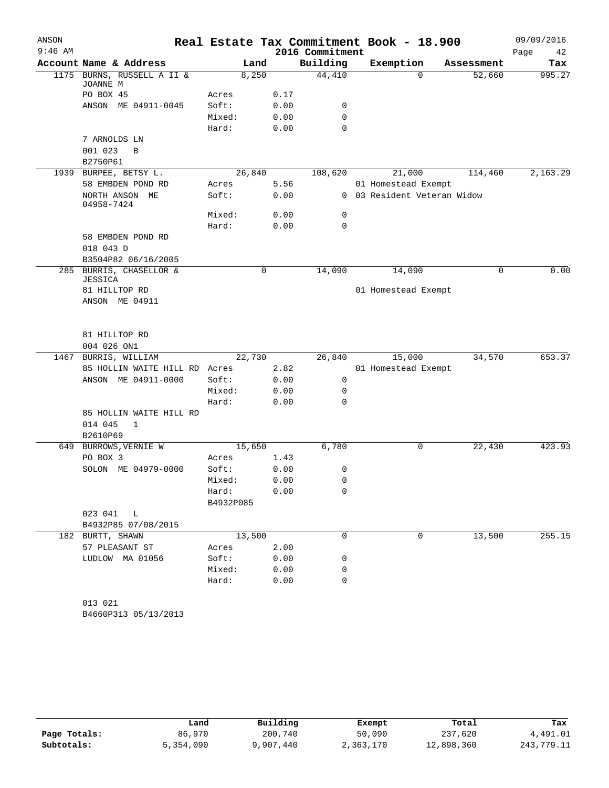| ANSON     |                                        |           |      |                 | Real Estate Tax Commitment Book - 18.900 |             | 09/09/2016 |
|-----------|----------------------------------------|-----------|------|-----------------|------------------------------------------|-------------|------------|
| $9:46$ AM |                                        |           |      | 2016 Commitment |                                          |             | 42<br>Page |
|           | Account Name & Address                 | Land      |      | Building        | Exemption                                | Assessment  | Tax        |
|           | 1175 BURNS, RUSSELL A II &<br>JOANNE M | 8,250     |      | 44,410          | $\Omega$                                 | 52,660      | 995.27     |
|           | PO BOX 45                              | Acres     | 0.17 |                 |                                          |             |            |
|           | ANSON ME 04911-0045                    | Soft:     | 0.00 | 0               |                                          |             |            |
|           |                                        | Mixed:    | 0.00 | $\mathbf 0$     |                                          |             |            |
|           |                                        | Hard:     | 0.00 | $\Omega$        |                                          |             |            |
|           | 7 ARNOLDS LN                           |           |      |                 |                                          |             |            |
|           | 001 023<br>B                           |           |      |                 |                                          |             |            |
|           | B2750P61                               |           |      |                 |                                          |             |            |
|           | 1939 BURPEE, BETSY L.                  | 26,840    |      | 108,620         | 21,000                                   | 114,460     | 2,163.29   |
|           | 58 EMBDEN POND RD                      | Acres     | 5.56 |                 | 01 Homestead Exempt                      |             |            |
|           | NORTH ANSON ME<br>04958-7424           | Soft:     | 0.00 |                 | 0 03 Resident Veteran Widow              |             |            |
|           |                                        | Mixed:    | 0.00 | 0               |                                          |             |            |
|           |                                        | Hard:     | 0.00 | $\mathbf 0$     |                                          |             |            |
|           | 58 EMBDEN POND RD                      |           |      |                 |                                          |             |            |
|           | 018 043 D                              |           |      |                 |                                          |             |            |
|           | B3504P82 06/16/2005                    |           |      |                 |                                          |             |            |
|           | 285 BURRIS, CHASELLOR &                |           | 0    | 14,090          | 14,090                                   | $\mathbf 0$ | 0.00       |
|           | JESSICA                                |           |      |                 |                                          |             |            |
|           | 81 HILLTOP RD<br>ANSON ME 04911        |           |      |                 | 01 Homestead Exempt                      |             |            |
|           |                                        |           |      |                 |                                          |             |            |
|           | 81 HILLTOP RD                          |           |      |                 |                                          |             |            |
|           | 004 026 ON1                            |           |      |                 |                                          |             |            |
|           | 1467 BURRIS, WILLIAM                   | 22,730    |      | 26,840          | 15,000                                   | 34,570      | 653.37     |
|           | 85 HOLLIN WAITE HILL RD Acres          |           | 2.82 |                 | 01 Homestead Exempt                      |             |            |
|           | ANSON ME 04911-0000                    | Soft:     | 0.00 | 0               |                                          |             |            |
|           |                                        | Mixed:    | 0.00 | $\mathbf 0$     |                                          |             |            |
|           |                                        | Hard:     | 0.00 | $\Omega$        |                                          |             |            |
|           | 85 HOLLIN WAITE HILL RD                |           |      |                 |                                          |             |            |
|           | 014 045<br>$\mathbf{1}$                |           |      |                 |                                          |             |            |
|           | B2610P69                               |           |      |                 |                                          |             |            |
|           | 649 BURROWS, VERNIE W                  | 15,650    |      | 6,780           | 0                                        | 22,430      | 423.93     |
|           | PO BOX 3                               | Acres     | 1.43 |                 |                                          |             |            |
|           | SOLON ME 04979-0000                    | Soft:     | 0.00 | 0               |                                          |             |            |
|           |                                        | Mixed:    | 0.00 | 0               |                                          |             |            |
|           |                                        | Hard:     | 0.00 | $\mathbf 0$     |                                          |             |            |
|           |                                        | B4932P085 |      |                 |                                          |             |            |
|           | 023 041 L                              |           |      |                 |                                          |             |            |
|           | B4932P85 07/08/2015                    |           |      |                 |                                          |             |            |
|           | 182 BURTT, SHAWN                       | 13,500    |      | 0               | 0                                        | 13,500      | 255.15     |
|           | 57 PLEASANT ST                         | Acres     | 2.00 |                 |                                          |             |            |
|           | LUDLOW MA 01056                        | Soft:     | 0.00 | 0               |                                          |             |            |
|           |                                        | Mixed:    | 0.00 | 0               |                                          |             |            |
|           |                                        | Hard:     | 0.00 | 0               |                                          |             |            |
|           |                                        |           |      |                 |                                          |             |            |
|           | 013 021                                |           |      |                 |                                          |             |            |

B4660P313 05/13/2013

|              | Land      | Building  | Exempt    | Total      | Tax        |
|--------------|-----------|-----------|-----------|------------|------------|
| Page Totals: | 86,970    | 200,740   | 50,090    | 237,620    | 4,491.01   |
| Subtotals:   | 5,354,090 | 9,907,440 | 2,363,170 | 12,898,360 | 243,779.11 |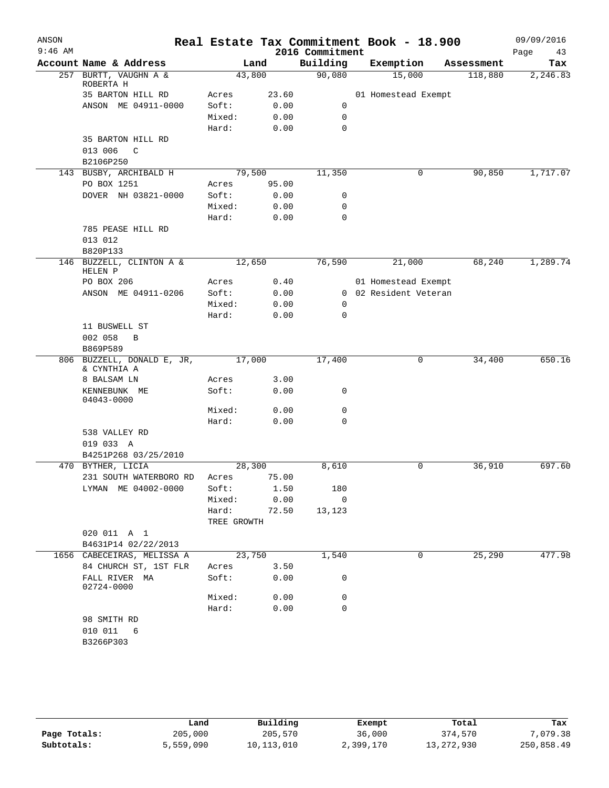| ANSON<br>$9:46$ AM |                                               |             |       | Real Estate Tax Commitment Book - 18.900<br>2016 Commitment |                       |            | 09/09/2016<br>Page | 43       |
|--------------------|-----------------------------------------------|-------------|-------|-------------------------------------------------------------|-----------------------|------------|--------------------|----------|
|                    | Account Name & Address                        |             | Land  | Building                                                    | Exemption             | Assessment |                    | Tax      |
|                    | 257 BURTT, VAUGHN A &<br>ROBERTA H            | 43,800      |       | 90,080                                                      | 15,000                | 118,880    |                    | 2,246.83 |
|                    | 35 BARTON HILL RD                             | Acres       | 23.60 |                                                             | 01 Homestead Exempt   |            |                    |          |
|                    | ANSON ME 04911-0000                           | Soft:       | 0.00  | 0                                                           |                       |            |                    |          |
|                    |                                               | Mixed:      | 0.00  | 0                                                           |                       |            |                    |          |
|                    |                                               | Hard:       | 0.00  | 0                                                           |                       |            |                    |          |
|                    | 35 BARTON HILL RD<br>013 006<br>$\mathcal{C}$ |             |       |                                                             |                       |            |                    |          |
|                    | B2106P250<br>143 BUSBY, ARCHIBALD H           | 79,500      |       |                                                             | 0                     |            |                    | 1,717.07 |
|                    | PO BOX 1251                                   | Acres       | 95.00 | 11,350                                                      |                       | 90,850     |                    |          |
|                    | DOVER NH 03821-0000                           | Soft:       | 0.00  | 0                                                           |                       |            |                    |          |
|                    |                                               | Mixed:      | 0.00  | $\mathbf 0$                                                 |                       |            |                    |          |
|                    |                                               | Hard:       | 0.00  | $\mathbf 0$                                                 |                       |            |                    |          |
|                    | 785 PEASE HILL RD<br>013 012                  |             |       |                                                             |                       |            |                    |          |
|                    | B820P133                                      |             |       |                                                             |                       |            |                    |          |
|                    | 146 BUZZELL, CLINTON A &<br>HELEN P           | 12,650      |       | 76,590                                                      | 21,000                | 68,240     |                    | 1,289.74 |
|                    | PO BOX 206                                    | Acres       | 0.40  |                                                             | 01 Homestead Exempt   |            |                    |          |
|                    | ANSON ME 04911-0206                           | Soft:       | 0.00  |                                                             | 0 02 Resident Veteran |            |                    |          |
|                    |                                               | Mixed:      | 0.00  | 0                                                           |                       |            |                    |          |
|                    |                                               | Hard:       | 0.00  | 0                                                           |                       |            |                    |          |
|                    | 11 BUSWELL ST<br>002 058<br>B                 |             |       |                                                             |                       |            |                    |          |
|                    | B869P589                                      |             |       |                                                             |                       |            |                    |          |
|                    | 806 BUZZELL, DONALD E, JR,<br>& CYNTHIA A     | 17,000      |       | 17,400                                                      | 0                     | 34,400     |                    | 650.16   |
|                    | 8 BALSAM LN                                   | Acres       | 3.00  |                                                             |                       |            |                    |          |
|                    | KENNEBUNK ME<br>04043-0000                    | Soft:       | 0.00  | 0                                                           |                       |            |                    |          |
|                    |                                               | Mixed:      | 0.00  | 0                                                           |                       |            |                    |          |
|                    |                                               | Hard:       | 0.00  | $\mathbf 0$                                                 |                       |            |                    |          |
|                    | 538 VALLEY RD<br>019 033 A                    |             |       |                                                             |                       |            |                    |          |
|                    | B4251P268 03/25/2010                          |             |       |                                                             |                       |            |                    |          |
|                    | 470 BYTHER, LICIA                             | 28,300      |       | 8,610                                                       | 0                     | 36,910     |                    | 697.60   |
|                    | 231 SOUTH WATERBORO RD                        | Acres       | 75.00 |                                                             |                       |            |                    |          |
|                    | LYMAN ME 04002-0000                           | Soft:       | 1.50  | 180                                                         |                       |            |                    |          |
|                    |                                               | Mixed:      | 0.00  | 0                                                           |                       |            |                    |          |
|                    |                                               | Hard:       | 72.50 | 13,123                                                      |                       |            |                    |          |
|                    |                                               | TREE GROWTH |       |                                                             |                       |            |                    |          |
|                    | 020 011 A 1                                   |             |       |                                                             |                       |            |                    |          |
|                    | B4631P14 02/22/2013                           |             |       |                                                             |                       |            |                    |          |
|                    | 1656 CABECEIRAS, MELISSA A                    | 23,750      |       | 1,540                                                       | 0                     | 25,290     |                    | 477.98   |
|                    | 84 CHURCH ST, 1ST FLR                         | Acres       | 3.50  |                                                             |                       |            |                    |          |
|                    | FALL RIVER MA<br>02724-0000                   | Soft:       | 0.00  | 0                                                           |                       |            |                    |          |
|                    |                                               | Mixed:      | 0.00  | 0                                                           |                       |            |                    |          |
|                    |                                               | Hard:       | 0.00  | 0                                                           |                       |            |                    |          |
|                    | 98 SMITH RD                                   |             |       |                                                             |                       |            |                    |          |
|                    | 010 011<br>6                                  |             |       |                                                             |                       |            |                    |          |
|                    | B3266P303                                     |             |       |                                                             |                       |            |                    |          |

|              | Land      | Building     | Exempt    | Total        | Tax        |
|--------------|-----------|--------------|-----------|--------------|------------|
| Page Totals: | 205,000   | 205,570      | 36,000    | 374,570      | 7,079.38   |
| Subtotals:   | 5,559,090 | 10, 113, 010 | 2,399,170 | 13, 272, 930 | 250,858.49 |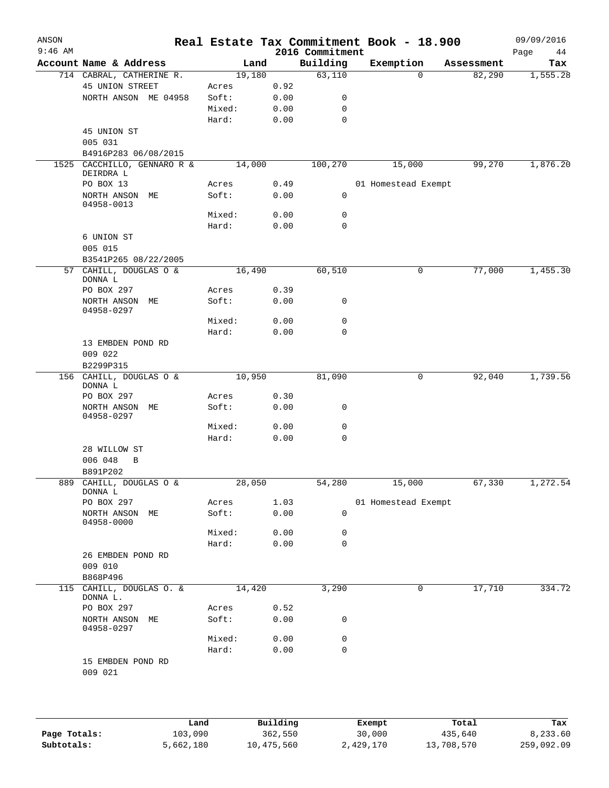| ANSON<br>$9:46$ AM |                                      |        |      | 2016 Commitment | Real Estate Tax Commitment Book - 18.900 |             | 09/09/2016<br>Page<br>44 |
|--------------------|--------------------------------------|--------|------|-----------------|------------------------------------------|-------------|--------------------------|
|                    | Account Name & Address               |        | Land | Building        | Exemption                                | Assessment  | Tax                      |
|                    | 714 CABRAL, CATHERINE R.             | 19,180 |      | 63,110          |                                          | 82,290<br>0 | 1,555.28                 |
|                    | 45 UNION STREET                      | Acres  | 0.92 |                 |                                          |             |                          |
|                    | NORTH ANSON ME 04958                 | Soft:  | 0.00 | 0               |                                          |             |                          |
|                    |                                      | Mixed: | 0.00 | 0               |                                          |             |                          |
|                    |                                      | Hard:  | 0.00 | 0               |                                          |             |                          |
|                    | 45 UNION ST                          |        |      |                 |                                          |             |                          |
|                    | 005 031                              |        |      |                 |                                          |             |                          |
|                    | B4916P283 06/08/2015                 |        |      |                 |                                          |             |                          |
| 1525               | CACCHILLO, GENNARO R &<br>DEIRDRA L  | 14,000 |      | 100,270         | 15,000                                   | 99,270      | 1,876.20                 |
|                    | PO BOX 13                            | Acres  | 0.49 |                 | 01 Homestead Exempt                      |             |                          |
|                    | NORTH ANSON ME<br>04958-0013         | Soft:  | 0.00 | 0               |                                          |             |                          |
|                    |                                      | Mixed: | 0.00 | 0               |                                          |             |                          |
|                    |                                      | Hard:  | 0.00 | $\mathbf 0$     |                                          |             |                          |
|                    | 6 UNION ST                           |        |      |                 |                                          |             |                          |
|                    | 005 015                              |        |      |                 |                                          |             |                          |
|                    | B3541P265 08/22/2005                 |        |      |                 |                                          |             |                          |
|                    | 57 CAHILL, DOUGLAS O &<br>DONNA L    | 16,490 |      | 60,510          |                                          | 77,000<br>0 | 1,455.30                 |
|                    | PO BOX 297                           | Acres  | 0.39 |                 |                                          |             |                          |
|                    | NORTH ANSON ME<br>04958-0297         | Soft:  | 0.00 | 0               |                                          |             |                          |
|                    |                                      | Mixed: | 0.00 | 0               |                                          |             |                          |
|                    |                                      | Hard:  | 0.00 | $\mathbf 0$     |                                          |             |                          |
|                    | 13 EMBDEN POND RD                    |        |      |                 |                                          |             |                          |
|                    | 009 022                              |        |      |                 |                                          |             |                          |
|                    | B2299P315                            |        |      |                 |                                          |             |                          |
|                    | 156 CAHILL, DOUGLAS O &<br>DONNA L   | 10,950 |      | 81,090          |                                          | 92,040<br>0 | 1,739.56                 |
|                    | PO BOX 297                           | Acres  | 0.30 |                 |                                          |             |                          |
|                    | NORTH ANSON ME<br>04958-0297         | Soft:  | 0.00 | 0               |                                          |             |                          |
|                    |                                      | Mixed: | 0.00 | 0               |                                          |             |                          |
|                    |                                      | Hard:  | 0.00 | 0               |                                          |             |                          |
|                    | 28 WILLOW ST<br>006 048<br>B         |        |      |                 |                                          |             |                          |
|                    | B891P202                             |        |      |                 |                                          |             |                          |
|                    | 889 CAHILL, DOUGLAS O &<br>DONNA L   | 28,050 |      | 54,280          | 15,000                                   | 67,330      | 1,272.54                 |
|                    | PO BOX 297                           | Acres  | 1.03 |                 | 01 Homestead Exempt                      |             |                          |
|                    | NORTH ANSON ME<br>04958-0000         | Soft:  | 0.00 | $\mathsf{O}$    |                                          |             |                          |
|                    |                                      | Mixed: | 0.00 | 0               |                                          |             |                          |
|                    |                                      | Hard:  | 0.00 | 0               |                                          |             |                          |
|                    | 26 EMBDEN POND RD<br>009 010         |        |      |                 |                                          |             |                          |
|                    | B868P496                             |        |      |                 |                                          |             |                          |
|                    | 115 CAHILL, DOUGLAS O. &<br>DONNA L. | 14,420 |      | 3,290           |                                          | 17,710<br>0 | 334.72                   |
|                    | PO BOX 297                           | Acres  | 0.52 |                 |                                          |             |                          |
|                    | NORTH ANSON ME<br>04958-0297         | Soft:  | 0.00 | 0               |                                          |             |                          |
|                    |                                      | Mixed: | 0.00 | 0               |                                          |             |                          |
|                    |                                      | Hard:  | 0.00 | $\mathbf 0$     |                                          |             |                          |
|                    | 15 EMBDEN POND RD<br>009 021         |        |      |                 |                                          |             |                          |

|              | Land      | Building   | Exempt    | Total      | Tax        |
|--------------|-----------|------------|-----------|------------|------------|
| Page Totals: | 103,090   | 362,550    | 30,000    | 435,640    | 8,233.60   |
| Subtotals:   | 5,662,180 | 10,475,560 | 2,429,170 | 13,708,570 | 259,092.09 |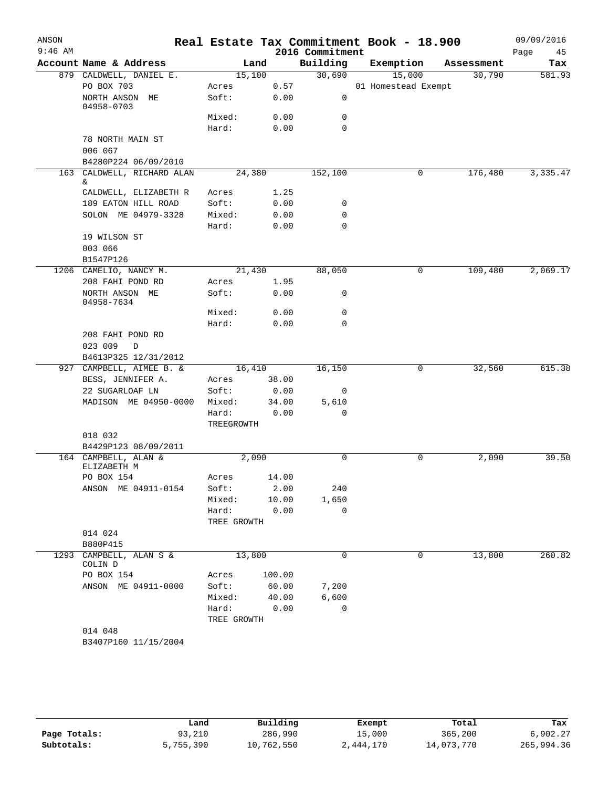| ANSON<br>$9:46$ AM |                                            |                      |               | 2016 Commitment | Real Estate Tax Commitment Book - 18.900 |            | 09/09/2016<br>Page<br>45 |
|--------------------|--------------------------------------------|----------------------|---------------|-----------------|------------------------------------------|------------|--------------------------|
|                    | Account Name & Address                     |                      | Land          | Building        | Exemption                                | Assessment | Tax                      |
|                    | 879 CALDWELL, DANIEL E.                    | 15,100               |               | 30,690          | 15,000                                   | 30,790     | 581.93                   |
|                    | PO BOX 703                                 | Acres                | 0.57          |                 | 01 Homestead Exempt                      |            |                          |
|                    | NORTH ANSON ME<br>04958-0703               | Soft:                | 0.00          | 0               |                                          |            |                          |
|                    |                                            | Mixed:               | 0.00          | 0               |                                          |            |                          |
|                    |                                            | Hard:                | 0.00          | $\mathbf 0$     |                                          |            |                          |
|                    | 78 NORTH MAIN ST                           |                      |               |                 |                                          |            |                          |
|                    | 006 067                                    |                      |               |                 |                                          |            |                          |
|                    | B4280P224 06/09/2010                       |                      |               |                 |                                          |            |                          |
|                    | 163 CALDWELL, RICHARD ALAN                 | 24,380               |               | 152,100         | 0                                        | 176,480    | 3,335.47                 |
|                    | &.                                         |                      |               |                 |                                          |            |                          |
|                    | CALDWELL, ELIZABETH R                      | Acres<br>Soft:       | 1.25          |                 |                                          |            |                          |
|                    | 189 EATON HILL ROAD<br>SOLON ME 04979-3328 | Mixed:               | 0.00          | 0<br>0          |                                          |            |                          |
|                    |                                            | Hard:                | 0.00<br>0.00  | 0               |                                          |            |                          |
|                    | 19 WILSON ST                               |                      |               |                 |                                          |            |                          |
|                    | 003 066                                    |                      |               |                 |                                          |            |                          |
|                    | B1547P126                                  |                      |               |                 |                                          |            |                          |
|                    | 1206 CAMELIO, NANCY M.                     | 21,430               |               | 88,050          | 0                                        | 109,480    | 2,069.17                 |
|                    | 208 FAHI POND RD                           | Acres                | 1.95          |                 |                                          |            |                          |
|                    | NORTH ANSON ME<br>04958-7634               | Soft:                | 0.00          | 0               |                                          |            |                          |
|                    |                                            | Mixed:               | 0.00          | 0               |                                          |            |                          |
|                    |                                            | Hard:                | 0.00          | 0               |                                          |            |                          |
|                    | 208 FAHI POND RD                           |                      |               |                 |                                          |            |                          |
|                    | 023 009<br>D                               |                      |               |                 |                                          |            |                          |
|                    | B4613P325 12/31/2012                       |                      |               |                 |                                          |            |                          |
|                    | 927 CAMPBELL, AIMEE B. &                   | 16,410               |               | 16,150          | 0                                        | 32,560     | 615.38                   |
|                    | BESS, JENNIFER A.                          | Acres                | 38.00         |                 |                                          |            |                          |
|                    | 22 SUGARLOAF LN                            | Soft:                | 0.00          | 0               |                                          |            |                          |
|                    | MADISON ME 04950-0000                      | Mixed:               | 34.00         | 5,610           |                                          |            |                          |
|                    |                                            | Hard:<br>TREEGROWTH  | 0.00          | 0               |                                          |            |                          |
|                    | 018 032                                    |                      |               |                 |                                          |            |                          |
|                    | B4429P123 08/09/2011                       |                      |               |                 |                                          |            |                          |
|                    | 164 CAMPBELL, ALAN &<br>ELIZABETH M        |                      | 2,090         | $\mathbf 0$     | 0                                        | 2,090      | 39.50                    |
|                    | PO BOX 154                                 | Acres                | 14.00         |                 |                                          |            |                          |
|                    | ANSON ME 04911-0154                        | Soft:                | 2.00          | 240             |                                          |            |                          |
|                    |                                            | Mixed:               | 10.00<br>0.00 | 1,650<br>0      |                                          |            |                          |
|                    |                                            | Hard:<br>TREE GROWTH |               |                 |                                          |            |                          |
|                    | 014 024                                    |                      |               |                 |                                          |            |                          |
|                    | B880P415                                   |                      |               |                 |                                          |            |                          |
| 1293               | CAMPBELL, ALAN S &                         | 13,800               |               | 0               | 0                                        | 13,800     | 260.82                   |
|                    | COLIN D<br>PO BOX 154                      | Acres                | 100.00        |                 |                                          |            |                          |
|                    | ANSON ME 04911-0000                        | Soft:                | 60.00         | 7,200           |                                          |            |                          |
|                    |                                            | Mixed:               | 40.00         | 6,600           |                                          |            |                          |
|                    |                                            | Hard:                | 0.00          | 0               |                                          |            |                          |
|                    |                                            | TREE GROWTH          |               |                 |                                          |            |                          |
|                    | 014 048                                    |                      |               |                 |                                          |            |                          |
|                    | B3407P160 11/15/2004                       |                      |               |                 |                                          |            |                          |
|                    |                                            |                      |               |                 |                                          |            |                          |

|              | Land      | Building   | Exempt    | Total      | Tax        |
|--------------|-----------|------------|-----------|------------|------------|
| Page Totals: | 93,210    | 286,990    | 15,000    | 365,200    | 6,902.27   |
| Subtotals:   | 5,755,390 | 10,762,550 | 2,444,170 | 14,073,770 | 265,994.36 |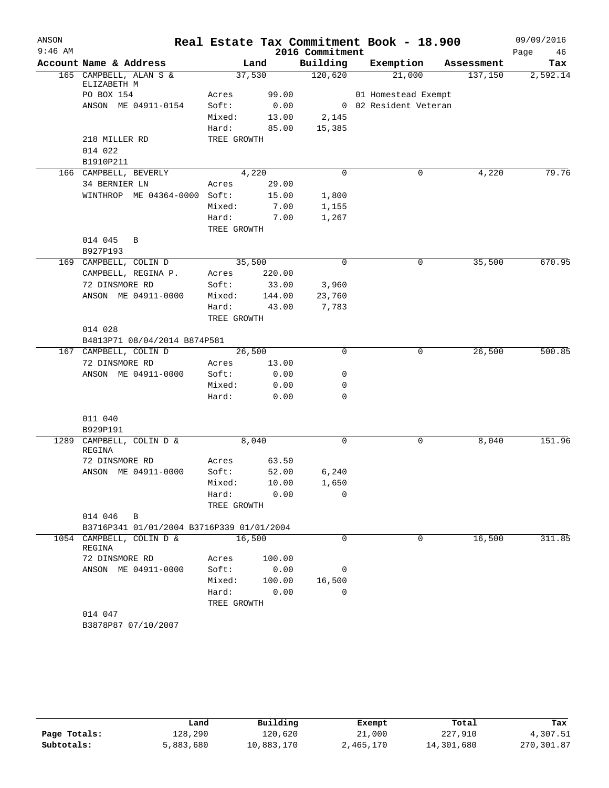| ANSON     |                                           |             |        |                 | Real Estate Tax Commitment Book - 18.900 |            | 09/09/2016 |
|-----------|-------------------------------------------|-------------|--------|-----------------|------------------------------------------|------------|------------|
| $9:46$ AM |                                           |             |        | 2016 Commitment |                                          |            | Page<br>46 |
|           | Account Name & Address                    |             | Land   | Building        | Exemption                                | Assessment | Tax        |
|           | 165 CAMPBELL, ALAN S &<br>ELIZABETH M     |             | 37,530 | 120,620         | 21,000                                   | 137,150    | 2,592.14   |
|           | PO BOX 154                                | Acres       | 99.00  |                 | 01 Homestead Exempt                      |            |            |
|           | ANSON ME 04911-0154                       | Soft:       | 0.00   |                 | 0 02 Resident Veteran                    |            |            |
|           |                                           | Mixed:      | 13.00  | 2,145           |                                          |            |            |
|           |                                           | Hard:       | 85.00  | 15,385          |                                          |            |            |
|           | 218 MILLER RD                             | TREE GROWTH |        |                 |                                          |            |            |
|           | 014 022<br>B1910P211                      |             |        |                 |                                          |            |            |
|           | 166 CAMPBELL, BEVERLY                     |             | 4,220  | $\Omega$        | 0                                        | 4,220      | 79.76      |
|           | 34 BERNIER LN                             | Acres       | 29.00  |                 |                                          |            |            |
|           | WINTHROP ME 04364-0000 Soft:              |             | 15.00  | 1,800           |                                          |            |            |
|           |                                           | Mixed:      | 7.00   | 1,155           |                                          |            |            |
|           |                                           | Hard:       | 7.00   | 1,267           |                                          |            |            |
|           |                                           | TREE GROWTH |        |                 |                                          |            |            |
|           | 014 045<br>B<br>B927P193                  |             |        |                 |                                          |            |            |
|           | 169 CAMPBELL, COLIN D                     |             | 35,500 | $\mathbf 0$     | 0                                        | 35,500     | 670.95     |
|           | CAMPBELL, REGINA P.                       | Acres       | 220.00 |                 |                                          |            |            |
|           | 72 DINSMORE RD                            | Soft:       | 33.00  | 3,960           |                                          |            |            |
|           | ANSON ME 04911-0000                       | Mixed:      | 144.00 | 23,760          |                                          |            |            |
|           |                                           | Hard:       | 43.00  | 7,783           |                                          |            |            |
|           |                                           | TREE GROWTH |        |                 |                                          |            |            |
|           | 014 028                                   |             |        |                 |                                          |            |            |
|           | B4813P71 08/04/2014 B874P581              |             |        |                 |                                          |            |            |
|           | 167 CAMPBELL, COLIN D                     |             | 26,500 | 0               | 0                                        | 26,500     | 500.85     |
|           | 72 DINSMORE RD                            | Acres       | 13.00  |                 |                                          |            |            |
|           | ANSON ME 04911-0000                       | Soft:       | 0.00   | 0               |                                          |            |            |
|           |                                           | Mixed:      | 0.00   | 0               |                                          |            |            |
|           |                                           | Hard:       | 0.00   | 0               |                                          |            |            |
|           | 011 040                                   |             |        |                 |                                          |            |            |
|           | B929P191                                  |             |        |                 |                                          |            |            |
| 1289      | CAMPBELL, COLIN D &<br>REGINA             |             | 8,040  | 0               | 0                                        | 8,040      | 151.96     |
|           | 72 DINSMORE RD                            | Acres       | 63.50  |                 |                                          |            |            |
|           | ANSON ME 04911-0000                       | Soft:       | 52.00  | 6,240           |                                          |            |            |
|           |                                           | Mixed:      | 10.00  | 1,650           |                                          |            |            |
|           |                                           | Hard:       | 0.00   | 0               |                                          |            |            |
|           |                                           | TREE GROWTH |        |                 |                                          |            |            |
|           | 014 046 B                                 |             |        |                 |                                          |            |            |
|           | B3716P341 01/01/2004 B3716P339 01/01/2004 |             |        |                 |                                          |            |            |
|           | 1054 CAMPBELL, COLIN D &<br>REGINA        |             | 16,500 | $\Omega$        | $\Omega$                                 | 16,500     | 311.85     |
|           | 72 DINSMORE RD                            | Acres       | 100.00 |                 |                                          |            |            |
|           | ANSON ME 04911-0000                       | Soft:       | 0.00   | 0               |                                          |            |            |
|           |                                           | Mixed:      | 100.00 | 16,500          |                                          |            |            |
|           |                                           | Hard:       | 0.00   | $\Omega$        |                                          |            |            |
|           |                                           | TREE GROWTH |        |                 |                                          |            |            |
|           | 014 047                                   |             |        |                 |                                          |            |            |
|           | B3878P87 07/10/2007                       |             |        |                 |                                          |            |            |

|              | Land      | Building   | Exempt    | Total      | Tax        |
|--------------|-----------|------------|-----------|------------|------------|
| Page Totals: | 128,290   | 120.620    | 21,000    | 227,910    | 4,307.51   |
| Subtotals:   | 5,883,680 | 10,883,170 | 2,465,170 | 14,301,680 | 270,301.87 |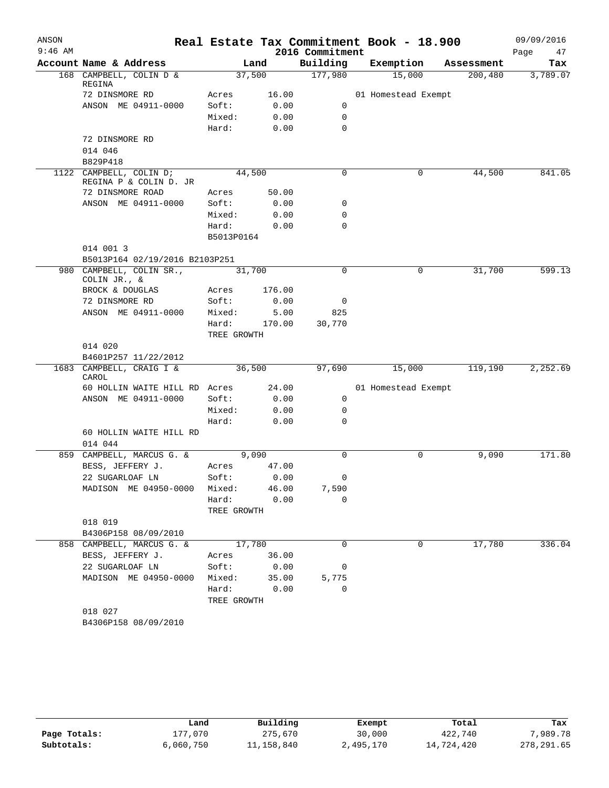| ANSON     |                                                   |                      |        |                 | Real Estate Tax Commitment Book - 18.900 |            | 09/09/2016 |
|-----------|---------------------------------------------------|----------------------|--------|-----------------|------------------------------------------|------------|------------|
| $9:46$ AM |                                                   |                      |        | 2016 Commitment |                                          |            | Page<br>47 |
|           | Account Name & Address                            |                      | Land   | Building        | Exemption                                | Assessment | Tax        |
|           | 168 CAMPBELL, COLIN D &<br>REGINA                 | 37,500               |        | 177,980         | 15,000                                   | 200,480    | 3,789.07   |
|           | 72 DINSMORE RD                                    | Acres                | 16.00  |                 | 01 Homestead Exempt                      |            |            |
|           | ANSON ME 04911-0000                               | Soft:                | 0.00   | 0               |                                          |            |            |
|           |                                                   | Mixed:               | 0.00   | $\mathbf 0$     |                                          |            |            |
|           |                                                   | Hard:                | 0.00   | $\mathbf 0$     |                                          |            |            |
|           | 72 DINSMORE RD                                    |                      |        |                 |                                          |            |            |
|           | 014 046                                           |                      |        |                 |                                          |            |            |
|           | B829P418                                          |                      |        |                 |                                          |            |            |
|           | 1122 CAMPBELL, COLIN D;<br>REGINA P & COLIN D. JR | 44,500               |        | 0               | 0                                        | 44,500     | 841.05     |
|           | 72 DINSMORE ROAD                                  | Acres                | 50.00  |                 |                                          |            |            |
|           | ANSON ME 04911-0000                               | Soft:                | 0.00   | 0               |                                          |            |            |
|           |                                                   | Mixed:               | 0.00   | 0               |                                          |            |            |
|           |                                                   | Hard:<br>B5013P0164  | 0.00   | $\mathbf 0$     |                                          |            |            |
|           | 014 001 3                                         |                      |        |                 |                                          |            |            |
|           | B5013P164 02/19/2016 B2103P251                    |                      |        |                 |                                          |            |            |
|           | 980 CAMPBELL, COLIN SR.,<br>COLIN JR., &          | 31,700               |        | $\Omega$        | 0                                        | 31,700     | 599.13     |
|           | BROCK & DOUGLAS                                   | Acres                | 176.00 |                 |                                          |            |            |
|           | 72 DINSMORE RD                                    | Soft:                | 0.00   | 0               |                                          |            |            |
|           | ANSON ME 04911-0000                               | Mixed:               | 5.00   | 825             |                                          |            |            |
|           |                                                   | Hard:<br>TREE GROWTH | 170.00 | 30,770          |                                          |            |            |
|           | 014 020                                           |                      |        |                 |                                          |            |            |
|           | B4601P257 11/22/2012                              |                      |        |                 |                                          |            |            |
|           | 1683 CAMPBELL, CRAIG I &<br>CAROL                 | 36,500               |        | 97,690          | 15,000                                   | 119,190    | 2,252.69   |
|           | 60 HOLLIN WAITE HILL RD Acres                     |                      | 24.00  |                 | 01 Homestead Exempt                      |            |            |
|           | ANSON ME 04911-0000                               | Soft:                | 0.00   | 0               |                                          |            |            |
|           |                                                   | Mixed:               | 0.00   | 0               |                                          |            |            |
|           |                                                   | Hard:                | 0.00   | $\Omega$        |                                          |            |            |
|           | 60 HOLLIN WAITE HILL RD<br>014 044                |                      |        |                 |                                          |            |            |
| 859       | CAMPBELL, MARCUS G. &                             | 9,090                |        | 0               | 0                                        | 9,090      | 171.80     |
|           | BESS, JEFFERY J.                                  | Acres                | 47.00  |                 |                                          |            |            |
|           | 22 SUGARLOAF LN                                   | Soft:                | 0.00   | 0               |                                          |            |            |
|           | MADISON ME 04950-0000                             | Mixed:               | 46.00  | 7,590           |                                          |            |            |
|           |                                                   | Hard:                | 0.00   | $\mathbf 0$     |                                          |            |            |
|           |                                                   | TREE GROWTH          |        |                 |                                          |            |            |
|           | 018 019                                           |                      |        |                 |                                          |            |            |
|           | B4306P158 08/09/2010                              |                      |        |                 |                                          |            |            |
|           | 858 CAMPBELL, MARCUS G. &                         | 17,780               |        | 0               | 0                                        | 17,780     | 336.04     |
|           | BESS, JEFFERY J.                                  | Acres                | 36.00  |                 |                                          |            |            |
|           | 22 SUGARLOAF LN                                   | Soft:                | 0.00   | 0               |                                          |            |            |
|           | MADISON ME 04950-0000                             | Mixed:               | 35.00  | 5,775           |                                          |            |            |
|           |                                                   | Hard:                | 0.00   | 0               |                                          |            |            |
|           |                                                   | TREE GROWTH          |        |                 |                                          |            |            |
|           | 018 027                                           |                      |        |                 |                                          |            |            |
|           | B4306P158 08/09/2010                              |                      |        |                 |                                          |            |            |

|              | Land      | Building   | Exempt    | Total      | Tax        |
|--------------|-----------|------------|-----------|------------|------------|
| Page Totals: | 177,070   | 275,670    | 30,000    | 422,740    | ,989.78    |
| Subtotals:   | 6,060,750 | 11,158,840 | 2,495,170 | 14,724,420 | 278,291.65 |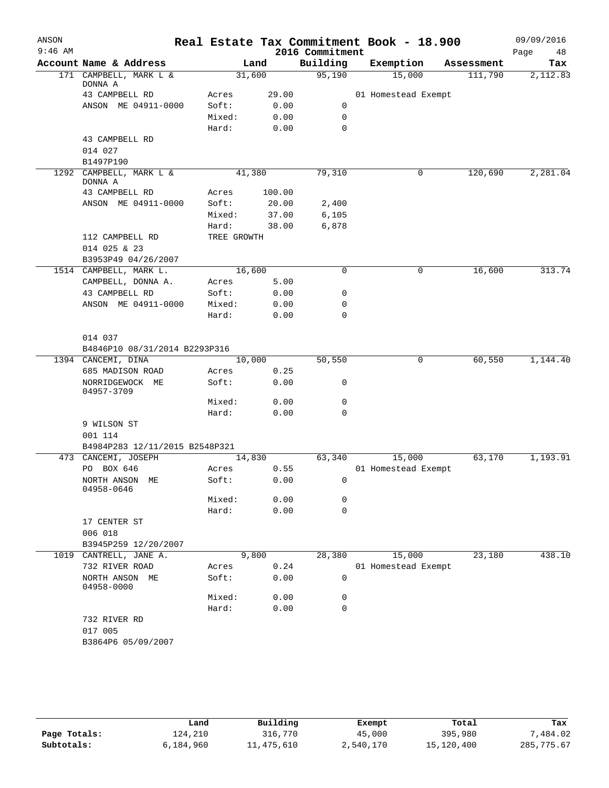| ANSON     |                                                     |             |        |                    | Real Estate Tax Commitment Book - 18.900 |                       | 09/09/2016      |
|-----------|-----------------------------------------------------|-------------|--------|--------------------|------------------------------------------|-----------------------|-----------------|
| $9:46$ AM | Account Name & Address                              |             |        | 2016 Commitment    |                                          |                       | 48<br>Page      |
|           | 171 CAMPBELL, MARK L &                              | 31,600      | Land   | Building<br>95,190 | Exemption<br>15,000                      | Assessment<br>111,790 | Tax<br>2,112.83 |
|           | DONNA A                                             |             |        |                    |                                          |                       |                 |
|           | 43 CAMPBELL RD                                      | Acres       | 29.00  |                    | 01 Homestead Exempt                      |                       |                 |
|           | ANSON ME 04911-0000                                 | Soft:       | 0.00   | 0                  |                                          |                       |                 |
|           |                                                     | Mixed:      | 0.00   | $\mathbf 0$        |                                          |                       |                 |
|           |                                                     | Hard:       | 0.00   | $\mathbf 0$        |                                          |                       |                 |
|           | 43 CAMPBELL RD                                      |             |        |                    |                                          |                       |                 |
|           | 014 027                                             |             |        |                    |                                          |                       |                 |
|           | B1497P190                                           |             |        |                    |                                          |                       |                 |
|           | 1292 CAMPBELL, MARK L &<br>DONNA A                  | 41,380      |        | 79,310             | 0                                        | 120,690               | 2,281.04        |
|           | 43 CAMPBELL RD                                      | Acres       | 100.00 |                    |                                          |                       |                 |
|           | ANSON ME 04911-0000                                 | Soft:       | 20.00  | 2,400              |                                          |                       |                 |
|           |                                                     | Mixed:      | 37.00  | 6,105              |                                          |                       |                 |
|           |                                                     | Hard:       | 38.00  | 6,878              |                                          |                       |                 |
|           | 112 CAMPBELL RD<br>014 025 & 23                     | TREE GROWTH |        |                    |                                          |                       |                 |
|           | B3953P49 04/26/2007                                 |             |        |                    |                                          |                       |                 |
|           | 1514 CAMPBELL, MARK L.                              | 16,600      |        | 0                  | 0                                        | 16,600                | 313.74          |
|           | CAMPBELL, DONNA A.                                  | Acres       | 5.00   |                    |                                          |                       |                 |
|           | 43 CAMPBELL RD                                      | Soft:       | 0.00   | 0                  |                                          |                       |                 |
|           | ANSON ME 04911-0000                                 | Mixed:      | 0.00   | 0                  |                                          |                       |                 |
|           |                                                     | Hard:       | 0.00   | 0                  |                                          |                       |                 |
|           |                                                     |             |        |                    |                                          |                       |                 |
|           | 014 037                                             |             |        |                    |                                          |                       |                 |
|           | B4846P10 08/31/2014 B2293P316<br>1394 CANCEMI, DINA | 10,000      |        | 50,550             | 0                                        | 60,550                | 1,144.40        |
|           | 685 MADISON ROAD                                    | Acres       | 0.25   |                    |                                          |                       |                 |
|           | NORRIDGEWOCK ME                                     | Soft:       | 0.00   | 0                  |                                          |                       |                 |
|           | 04957-3709                                          |             |        |                    |                                          |                       |                 |
|           |                                                     | Mixed:      | 0.00   | 0                  |                                          |                       |                 |
|           |                                                     | Hard:       | 0.00   | 0                  |                                          |                       |                 |
|           | 9 WILSON ST                                         |             |        |                    |                                          |                       |                 |
|           | 001 114                                             |             |        |                    |                                          |                       |                 |
|           | B4984P283 12/11/2015 B2548P321                      |             |        |                    |                                          |                       |                 |
|           | 473 CANCEMI, JOSEPH                                 | 14,830      |        | 63,340             | 15,000                                   | 63,170                | 1,193.91        |
|           | PO BOX 646                                          | Acres       | 0.55   |                    | 01 Homestead Exempt                      |                       |                 |
|           | NORTH ANSON ME<br>04958-0646                        | Soft:       | 0.00   | $\overline{0}$     |                                          |                       |                 |
|           |                                                     | Mixed:      | 0.00   | 0                  |                                          |                       |                 |
|           |                                                     | Hard:       | 0.00   | 0                  |                                          |                       |                 |
|           | 17 CENTER ST                                        |             |        |                    |                                          |                       |                 |
|           | 006 018                                             |             |        |                    |                                          |                       |                 |
|           | B3945P259 12/20/2007                                |             | 9,800  | 28,380             | 15,000                                   | 23,180                | 438.10          |
|           | 1019 CANTRELL, JANE A.<br>732 RIVER ROAD            | Acres       | 0.24   |                    | 01 Homestead Exempt                      |                       |                 |
|           | NORTH ANSON ME                                      | Soft:       | 0.00   | 0                  |                                          |                       |                 |
|           | 04958-0000                                          |             |        |                    |                                          |                       |                 |
|           |                                                     | Mixed:      | 0.00   | 0                  |                                          |                       |                 |
|           |                                                     | Hard:       | 0.00   | $\mathbf 0$        |                                          |                       |                 |
|           | 732 RIVER RD                                        |             |        |                    |                                          |                       |                 |
|           | 017 005                                             |             |        |                    |                                          |                       |                 |
|           | B3864P6 05/09/2007                                  |             |        |                    |                                          |                       |                 |
|           |                                                     |             |        |                    |                                          |                       |                 |
|           |                                                     |             |        |                    |                                          |                       |                 |

|              | Land      | Building   | Exempt    | Total      | Tax         |
|--------------|-----------|------------|-----------|------------|-------------|
| Page Totals: | 124,210   | 316,770    | 45,000    | 395,980    | .484.02     |
| Subtotals:   | 6,184,960 | 11,475,610 | 2,540,170 | 15,120,400 | 285, 775.67 |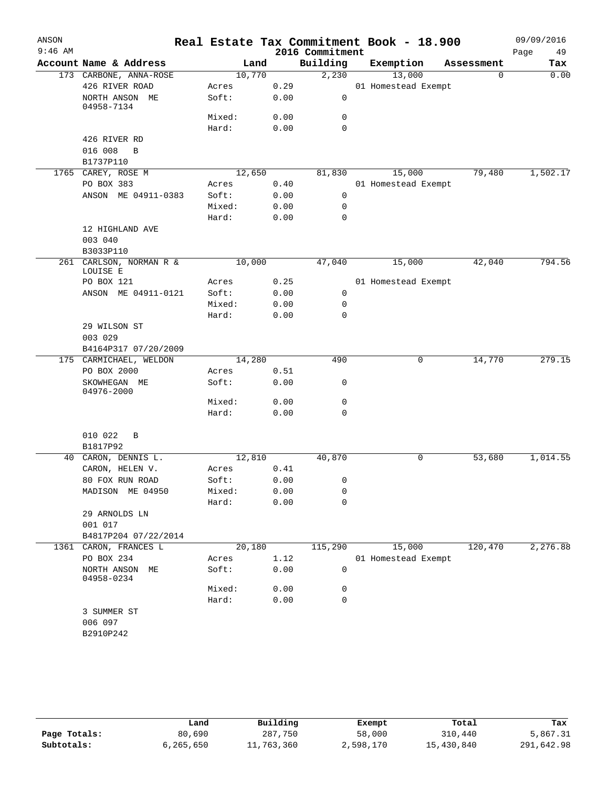|           |                                     |        |        |      |                 | Real Estate Tax Commitment Book - 18.900 |            |            |
|-----------|-------------------------------------|--------|--------|------|-----------------|------------------------------------------|------------|------------|
| $9:46$ AM |                                     |        |        |      | 2016 Commitment |                                          |            | Page<br>49 |
|           | Account Name & Address              |        | Land   |      | Building        | Exemption                                | Assessment | Tax        |
|           | 173 CARBONE, ANNA-ROSE              | 10,770 |        |      | 2,230           | 13,000                                   | $\Omega$   | 0.00       |
|           | 426 RIVER ROAD                      | Acres  |        | 0.29 |                 | 01 Homestead Exempt                      |            |            |
|           | NORTH ANSON ME<br>04958-7134        | Soft:  |        | 0.00 | 0               |                                          |            |            |
|           |                                     | Mixed: |        | 0.00 | 0               |                                          |            |            |
|           |                                     | Hard:  |        | 0.00 | $\mathbf 0$     |                                          |            |            |
|           | 426 RIVER RD                        |        |        |      |                 |                                          |            |            |
|           | 016 008<br>B                        |        |        |      |                 |                                          |            |            |
|           | B1737P110                           |        |        |      |                 |                                          |            |            |
|           | 1765 CAREY, ROSE M                  |        | 12,650 |      | 81,830          | 15,000                                   | 79,480     | 1,502.17   |
|           | PO BOX 383                          | Acres  |        | 0.40 |                 | 01 Homestead Exempt                      |            |            |
|           | ANSON ME 04911-0383                 | Soft:  |        | 0.00 | 0               |                                          |            |            |
|           |                                     | Mixed: |        | 0.00 | 0               |                                          |            |            |
|           |                                     | Hard:  |        | 0.00 | 0               |                                          |            |            |
|           | 12 HIGHLAND AVE                     |        |        |      |                 |                                          |            |            |
|           | 003 040                             |        |        |      |                 |                                          |            |            |
|           | B3033P110                           |        |        |      |                 |                                          |            |            |
|           | 261 CARLSON, NORMAN R &<br>LOUISE E | 10,000 |        |      | 47,040          | 15,000                                   | 42,040     | 794.56     |
|           | PO BOX 121                          | Acres  |        | 0.25 |                 | 01 Homestead Exempt                      |            |            |
|           | ANSON ME 04911-0121                 | Soft:  |        | 0.00 | 0               |                                          |            |            |
|           |                                     | Mixed: |        | 0.00 | 0               |                                          |            |            |
|           |                                     | Hard:  |        | 0.00 | 0               |                                          |            |            |
|           | 29 WILSON ST<br>003 029             |        |        |      |                 |                                          |            |            |
|           | B4164P317 07/20/2009                |        |        |      |                 |                                          |            |            |
|           | 175 CARMICHAEL, WELDON              | 14,280 |        |      | 490             | 0                                        | 14,770     | 279.15     |
|           | PO BOX 2000                         | Acres  |        | 0.51 |                 |                                          |            |            |
|           | SKOWHEGAN ME<br>04976-2000          | Soft:  |        | 0.00 | 0               |                                          |            |            |
|           |                                     | Mixed: |        | 0.00 | 0               |                                          |            |            |
|           |                                     | Hard:  |        | 0.00 | 0               |                                          |            |            |
|           | 010 022<br>B<br>B1817P92            |        |        |      |                 |                                          |            |            |
|           | 40 CARON, DENNIS L.                 |        | 12,810 |      | 40,870          | 0                                        | 53,680     | 1,014.55   |
|           | CARON, HELEN V.                     | Acres  |        | 0.41 |                 |                                          |            |            |
|           | 80 FOX RUN ROAD                     | Soft:  |        | 0.00 | $\mathbf{0}$    |                                          |            |            |
|           | MADISON ME 04950                    | Mixed: |        | 0.00 | 0               |                                          |            |            |
|           |                                     | Hard:  |        | 0.00 | $\Omega$        |                                          |            |            |
|           | 29 ARNOLDS LN                       |        |        |      |                 |                                          |            |            |
|           | 001 017                             |        |        |      |                 |                                          |            |            |
|           | B4817P204 07/22/2014                |        |        |      |                 |                                          |            |            |
|           | 1361 CARON, FRANCES L               |        | 20,180 |      | 115,290         | 15,000                                   | 120,470    | 2,276.88   |
|           | PO BOX 234                          | Acres  |        | 1.12 |                 | 01 Homestead Exempt                      |            |            |
|           | NORTH ANSON ME<br>04958-0234        | Soft:  |        | 0.00 | 0               |                                          |            |            |
|           |                                     | Mixed: |        | 0.00 | 0               |                                          |            |            |
|           |                                     | Hard:  |        | 0.00 | 0               |                                          |            |            |
|           | 3 SUMMER ST                         |        |        |      |                 |                                          |            |            |
|           | 006 097                             |        |        |      |                 |                                          |            |            |
|           | B2910P242                           |        |        |      |                 |                                          |            |            |
|           |                                     |        |        |      |                 |                                          |            |            |

|              | Land      | Building   | Exempt    | Total      | Tax        |
|--------------|-----------|------------|-----------|------------|------------|
| Page Totals: | 80,690    | 287,750    | 58,000    | 310,440    | 5,867.31   |
| Subtotals:   | 6,265,650 | 11,763,360 | 2,598,170 | 15,430,840 | 291,642.98 |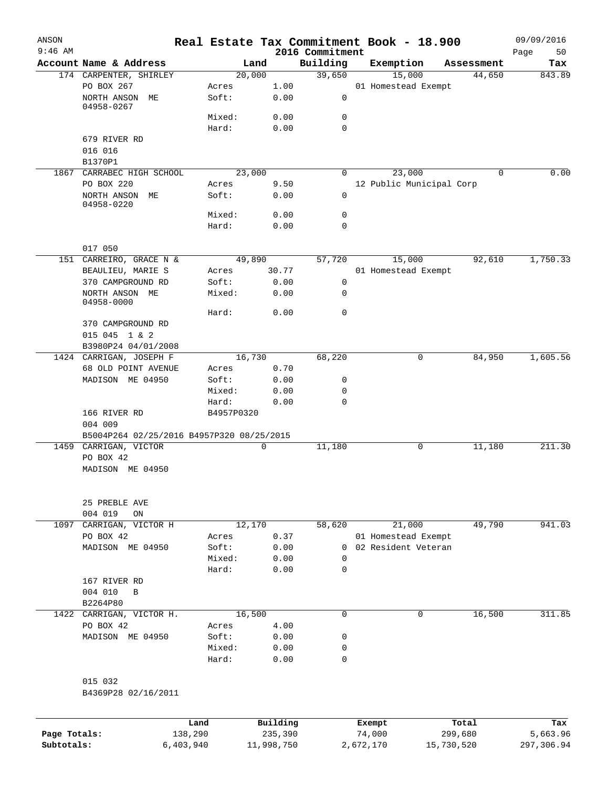| ANSON<br>$9:46$ AM |                                           |            |            |                             | Real Estate Tax Commitment Book - 18.900 |            | 09/09/2016        |
|--------------------|-------------------------------------------|------------|------------|-----------------------------|------------------------------------------|------------|-------------------|
|                    | Account Name & Address                    |            | Land       | 2016 Commitment<br>Building | Exemption                                | Assessment | Page<br>50<br>Tax |
|                    | 174 CARPENTER, SHIRLEY                    |            | 20,000     | 39,650                      | 15,000                                   | 44,650     | 843.89            |
|                    | PO BOX 267                                | Acres      | 1.00       |                             | 01 Homestead Exempt                      |            |                   |
|                    | NORTH ANSON ME<br>04958-0267              | Soft:      | 0.00       | 0                           |                                          |            |                   |
|                    |                                           | Mixed:     | 0.00       | 0                           |                                          |            |                   |
|                    |                                           | Hard:      | 0.00       | 0                           |                                          |            |                   |
|                    | 679 RIVER RD                              |            |            |                             |                                          |            |                   |
|                    | 016 016                                   |            |            |                             |                                          |            |                   |
|                    | B1370P1                                   |            |            |                             |                                          |            |                   |
|                    | 1867 CARRABEC HIGH SCHOOL                 |            | 23,000     | $\Omega$                    | 23,000                                   | $\Omega$   | 0.00              |
|                    | PO BOX 220                                | Acres      | 9.50       |                             | 12 Public Municipal Corp                 |            |                   |
|                    | NORTH ANSON ME                            | Soft:      | 0.00       | $\mathbf 0$                 |                                          |            |                   |
|                    | 04958-0220                                |            |            |                             |                                          |            |                   |
|                    |                                           | Mixed:     | 0.00       | 0                           |                                          |            |                   |
|                    |                                           | Hard:      | 0.00       | $\mathbf 0$                 |                                          |            |                   |
|                    | 017 050                                   |            |            |                             |                                          |            |                   |
|                    | 151 CARREIRO, GRACE N &                   |            | 49,890     | 57,720                      | 15,000                                   | 92,610     | 1,750.33          |
|                    | BEAULIEU, MARIE S                         | Acres      | 30.77      |                             | 01 Homestead Exempt                      |            |                   |
|                    | 370 CAMPGROUND RD                         | Soft:      | 0.00       | 0                           |                                          |            |                   |
|                    | NORTH ANSON ME                            | Mixed:     | 0.00       | 0                           |                                          |            |                   |
|                    | 04958-0000                                |            |            |                             |                                          |            |                   |
|                    |                                           | Hard:      | 0.00       | 0                           |                                          |            |                   |
|                    | 370 CAMPGROUND RD                         |            |            |                             |                                          |            |                   |
|                    | 015 045 1 & 2                             |            |            |                             |                                          |            |                   |
|                    | B3980P24 04/01/2008                       |            |            |                             |                                          |            |                   |
|                    | 1424 CARRIGAN, JOSEPH F                   |            | 16,730     | 68,220                      | 0                                        | 84,950     | 1,605.56          |
|                    | 68 OLD POINT AVENUE                       | Acres      | 0.70       |                             |                                          |            |                   |
|                    | MADISON ME 04950                          | Soft:      | 0.00       | 0                           |                                          |            |                   |
|                    |                                           | Mixed:     | 0.00       | 0                           |                                          |            |                   |
|                    |                                           | Hard:      | 0.00       | 0                           |                                          |            |                   |
|                    | 166 RIVER RD                              | B4957P0320 |            |                             |                                          |            |                   |
|                    | 004 009                                   |            |            |                             |                                          |            |                   |
|                    | B5004P264 02/25/2016 B4957P320 08/25/2015 |            |            |                             |                                          |            |                   |
| 1459               | CARRIGAN, VICTOR                          |            | 0          | 11,180                      | 0                                        | 11,180     | 211.30            |
|                    | PO BOX 42                                 |            |            |                             |                                          |            |                   |
|                    | MADISON ME 04950                          |            |            |                             |                                          |            |                   |
|                    | 25 PREBLE AVE                             |            |            |                             |                                          |            |                   |
|                    | 004 019<br>ON                             |            |            |                             |                                          |            |                   |
|                    | 1097 CARRIGAN, VICTOR H                   |            | 12,170     | 58,620                      | 21,000                                   | 49,790     | 941.03            |
|                    | PO BOX 42                                 | Acres      | 0.37       |                             | 01 Homestead Exempt                      |            |                   |
|                    | MADISON ME 04950                          | Soft:      | 0.00       | $\Omega$                    | 02 Resident Veteran                      |            |                   |
|                    |                                           | Mixed:     | 0.00       | 0                           |                                          |            |                   |
|                    |                                           | Hard:      | 0.00       | $\mathbf 0$                 |                                          |            |                   |
|                    | 167 RIVER RD                              |            |            |                             |                                          |            |                   |
|                    | 004 010<br>B                              |            |            |                             |                                          |            |                   |
|                    | B2264P80                                  |            |            |                             |                                          |            |                   |
|                    | 1422 CARRIGAN, VICTOR H.                  |            | 16,500     | $\mathbf 0$                 | 0                                        | 16,500     | 311.85            |
|                    | PO BOX 42                                 | Acres      | 4.00       |                             |                                          |            |                   |
|                    | MADISON ME 04950                          | Soft:      | 0.00       | 0                           |                                          |            |                   |
|                    |                                           | Mixed:     | 0.00       | 0                           |                                          |            |                   |
|                    |                                           | Hard:      | 0.00       | 0                           |                                          |            |                   |
|                    | 015 032<br>B4369P28 02/16/2011            |            |            |                             |                                          |            |                   |
|                    |                                           | Land       | Building   |                             | Exempt                                   | Total      | Tax               |
| Page Totals:       |                                           | 138,290    | 235,390    |                             | 74,000                                   | 299,680    | 5,663.96          |
| Subtotals:         | 6,403,940                                 |            | 11,998,750 |                             | 2,672,170                                | 15,730,520 | 297,306.94        |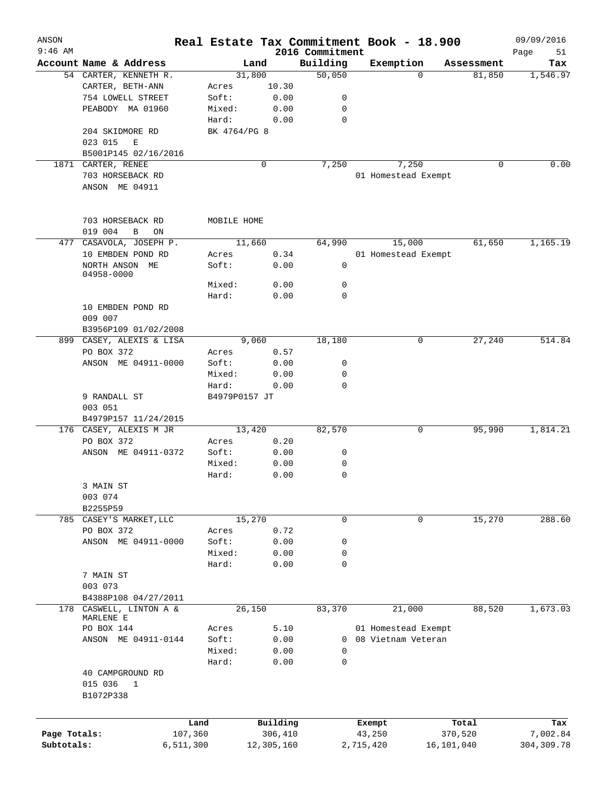| ANSON        |                                               |                 |              |                             | Real Estate Tax Commitment Book - 18.900 |            | 09/09/2016        |
|--------------|-----------------------------------------------|-----------------|--------------|-----------------------------|------------------------------------------|------------|-------------------|
| $9:46$ AM    | Account Name & Address                        |                 | Land         | 2016 Commitment<br>Building | Exemption                                | Assessment | Page<br>51<br>Tax |
|              | 54 CARTER, KENNETH R.                         |                 | 31,800       | 50,050                      | $\Omega$                                 | 81,850     | 1,546.97          |
|              | CARTER, BETH-ANN                              | Acres           | 10.30        |                             |                                          |            |                   |
|              | 754 LOWELL STREET                             | Soft:           | 0.00         | 0                           |                                          |            |                   |
|              | PEABODY MA 01960                              | Mixed:          | 0.00         | 0                           |                                          |            |                   |
|              |                                               | Hard:           | 0.00         | $\mathbf 0$                 |                                          |            |                   |
|              | 204 SKIDMORE RD                               | BK 4764/PG 8    |              |                             |                                          |            |                   |
|              | 023 015<br>E                                  |                 |              |                             |                                          |            |                   |
|              | B5001P145 02/16/2016                          |                 |              |                             |                                          |            |                   |
|              | 1871 CARTER, RENEE                            |                 | 0            | 7,250                       | 7,250                                    | 0          | 0.00              |
|              | 703 HORSEBACK RD                              |                 |              |                             | 01 Homestead Exempt                      |            |                   |
|              | ANSON ME 04911                                |                 |              |                             |                                          |            |                   |
|              | 703 HORSEBACK RD                              | MOBILE HOME     |              |                             |                                          |            |                   |
|              | 019 004<br>В<br>ON                            |                 |              |                             |                                          |            |                   |
|              | 477 CASAVOLA, JOSEPH P.                       |                 | 11,660       | 64,990                      | 15,000                                   | 61,650     | 1,165.19          |
|              | 10 EMBDEN POND RD                             | Acres           | 0.34         |                             | 01 Homestead Exempt                      |            |                   |
|              | NORTH ANSON ME<br>04958-0000                  | Soft:           | 0.00         | 0                           |                                          |            |                   |
|              |                                               | Mixed:          | 0.00         | 0                           |                                          |            |                   |
|              |                                               | Hard:           | 0.00         | $\Omega$                    |                                          |            |                   |
|              | 10 EMBDEN POND RD<br>009 007                  |                 |              |                             |                                          |            |                   |
|              | B3956P109 01/02/2008                          |                 |              |                             |                                          |            |                   |
|              | 899 CASEY, ALEXIS & LISA                      |                 | 9,060        | 18,180                      | 0                                        | 27,240     | 514.84            |
|              | PO BOX 372                                    | Acres           | 0.57         |                             |                                          |            |                   |
|              | ANSON ME 04911-0000                           | Soft:           | 0.00         | 0                           |                                          |            |                   |
|              |                                               | Mixed:          | 0.00         | 0                           |                                          |            |                   |
|              |                                               | Hard:           | 0.00         | $\Omega$                    |                                          |            |                   |
|              | 9 RANDALL ST<br>003 051                       | B4979P0157 JT   |              |                             |                                          |            |                   |
|              | B4979P157 11/24/2015                          |                 |              |                             |                                          |            |                   |
|              | 176 CASEY, ALEXIS M JR                        |                 | 13,420       | 82,570                      | 0                                        | 95,990     | 1,814.21          |
|              | PO BOX 372                                    | Acres           | 0.20         |                             |                                          |            |                   |
|              | ANSON ME 04911-0372                           | Soft:           | 0.00         | 0                           |                                          |            |                   |
|              |                                               | Mixed:          | 0.00         | 0                           |                                          |            |                   |
|              |                                               | Hard:           | 0.00         | 0                           |                                          |            |                   |
|              | 3 MAIN ST                                     |                 |              |                             |                                          |            |                   |
|              | 003 074                                       |                 |              |                             |                                          |            |                   |
|              | B2255P59                                      |                 |              |                             |                                          |            |                   |
|              | 785 CASEY'S MARKET, LLC                       |                 | 15,270       | 0                           | 0                                        | 15,270     | 288.60            |
|              | PO BOX 372                                    | Acres           | 0.72         |                             |                                          |            |                   |
|              | ANSON ME 04911-0000                           | Soft:           | 0.00         | 0<br>0                      |                                          |            |                   |
|              |                                               | Mixed:<br>Hard: | 0.00<br>0.00 | 0                           |                                          |            |                   |
|              | 7 MAIN ST                                     |                 |              |                             |                                          |            |                   |
|              | 003 073                                       |                 |              |                             |                                          |            |                   |
|              | B4388P108 04/27/2011                          |                 |              |                             |                                          |            |                   |
|              | 178 CASWELL, LINTON A &                       |                 | 26,150       | 83,370                      | 21,000                                   | 88,520     | 1,673.03          |
|              | MARLENE E                                     |                 |              |                             |                                          |            |                   |
|              | PO BOX 144                                    | Acres           | 5.10         |                             | 01 Homestead Exempt                      |            |                   |
|              | ANSON ME 04911-0144                           | Soft:           | 0.00         | 0                           | 08 Vietnam Veteran                       |            |                   |
|              |                                               | Mixed:          | 0.00         | 0                           |                                          |            |                   |
|              |                                               | Hard:           | 0.00         | 0                           |                                          |            |                   |
|              | 40 CAMPGROUND RD<br>015 036<br>1<br>B1072P338 |                 |              |                             |                                          |            |                   |
|              |                                               |                 |              |                             |                                          |            |                   |
|              |                                               | Land            | Building     |                             | Exempt                                   | Total      | Tax               |
| Page Totals: | 107,360                                       |                 | 306,410      |                             | 43,250                                   | 370,520    | 7,002.84          |
| Subtotals:   | 6,511,300                                     |                 | 12,305,160   |                             | 2,715,420                                | 16,101,040 | 304,309.78        |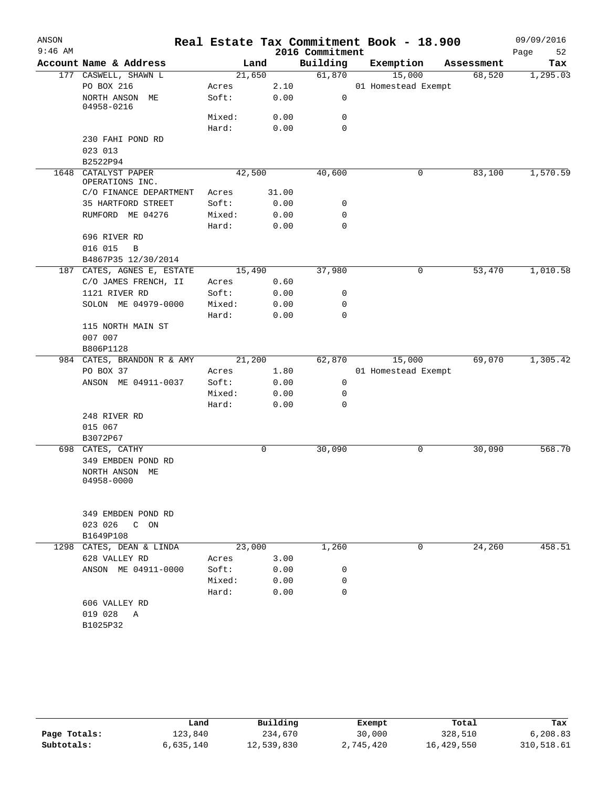| ANSON     |                                   |                 |              |                  | Real Estate Tax Commitment Book - 18.900 |            | 09/09/2016 |
|-----------|-----------------------------------|-----------------|--------------|------------------|------------------------------------------|------------|------------|
| $9:46$ AM |                                   |                 |              | 2016 Commitment  |                                          |            | Page<br>52 |
|           | Account Name & Address            |                 | Land         | Building         | Exemption                                | Assessment | Tax        |
|           | 177 CASWELL, SHAWN L              |                 | 21,650       | 61,870           | 15,000                                   | 68,520     | 1,295.03   |
|           | PO BOX 216<br>NORTH ANSON ME      | Acres<br>Soft:  | 2.10<br>0.00 | 0                | 01 Homestead Exempt                      |            |            |
|           | 04958-0216                        |                 |              |                  |                                          |            |            |
|           |                                   | Mixed:          | 0.00         | $\mathbf 0$      |                                          |            |            |
|           |                                   | Hard:           | 0.00         | 0                |                                          |            |            |
|           | 230 FAHI POND RD                  |                 |              |                  |                                          |            |            |
|           | 023 013                           |                 |              |                  |                                          |            |            |
|           | B2522P94                          |                 |              |                  |                                          |            |            |
| 1648      | CATALYST PAPER<br>OPERATIONS INC. |                 | 42,500       | 40,600           | 0                                        | 83,100     | 1,570.59   |
|           | C/O FINANCE DEPARTMENT            | Acres           | 31.00        |                  |                                          |            |            |
|           | 35 HARTFORD STREET                | Soft:           | 0.00         | 0                |                                          |            |            |
|           | RUMFORD ME 04276                  | Mixed:          | 0.00         | 0                |                                          |            |            |
|           |                                   | Hard:           | 0.00         | $\mathbf 0$      |                                          |            |            |
|           | 696 RIVER RD                      |                 |              |                  |                                          |            |            |
|           | 016 015<br>$\, {\bf B}$           |                 |              |                  |                                          |            |            |
|           | B4867P35 12/30/2014               |                 |              |                  |                                          |            |            |
| 187       | CATES, AGNES E, ESTATE            |                 | 15,490       | 37,980           | 0                                        | 53,470     | 1,010.58   |
|           | C/O JAMES FRENCH, II              | Acres           | 0.60         |                  |                                          |            |            |
|           | 1121 RIVER RD                     | Soft:           | 0.00         | 0                |                                          |            |            |
|           | SOLON ME 04979-0000               | Mixed:<br>Hard: | 0.00<br>0.00 | 0<br>$\mathbf 0$ |                                          |            |            |
|           | 115 NORTH MAIN ST                 |                 |              |                  |                                          |            |            |
|           | 007 007                           |                 |              |                  |                                          |            |            |
|           | B806P1128                         |                 |              |                  |                                          |            |            |
|           | 984 CATES, BRANDON R & AMY        |                 | 21,200       | 62,870           | 15,000                                   | 69,070     | 1,305.42   |
|           | PO BOX 37                         | Acres           | 1.80         |                  | 01 Homestead Exempt                      |            |            |
|           | ANSON ME 04911-0037               | Soft:           | 0.00         | 0                |                                          |            |            |
|           |                                   | Mixed:          | 0.00         | 0                |                                          |            |            |
|           |                                   | Hard:           | 0.00         | $\mathbf 0$      |                                          |            |            |
|           | 248 RIVER RD                      |                 |              |                  |                                          |            |            |
|           | 015 067                           |                 |              |                  |                                          |            |            |
|           | B3072P67                          |                 |              |                  |                                          |            |            |
|           | 698 CATES, CATHY                  |                 | 0            | 30,090           | 0                                        | 30,090     | 568.70     |
|           | 349 EMBDEN POND RD                |                 |              |                  |                                          |            |            |
|           | NORTH ANSON ME                    |                 |              |                  |                                          |            |            |
|           | 04958-0000                        |                 |              |                  |                                          |            |            |
|           |                                   |                 |              |                  |                                          |            |            |
|           | 349 EMBDEN POND RD                |                 |              |                  |                                          |            |            |
|           | 023 026 C ON                      |                 |              |                  |                                          |            |            |
|           | B1649P108                         |                 |              |                  |                                          |            |            |
|           | 1298 CATES, DEAN & LINDA          |                 | 23,000       | 1,260            | 0                                        | 24,260     | 458.51     |
|           | 628 VALLEY RD                     | Acres           | 3.00         |                  |                                          |            |            |
|           | ANSON ME 04911-0000               | Soft:           | 0.00         | 0                |                                          |            |            |
|           |                                   | Mixed:          | 0.00         | 0                |                                          |            |            |
|           |                                   | Hard:           | 0.00         | $\mathbf 0$      |                                          |            |            |
|           | 606 VALLEY RD                     |                 |              |                  |                                          |            |            |
|           | 019 028 A                         |                 |              |                  |                                          |            |            |
|           | B1025P32                          |                 |              |                  |                                          |            |            |
|           |                                   |                 |              |                  |                                          |            |            |

|              | Land      | Building   | Exempt    | Total      | Tax        |
|--------------|-----------|------------|-----------|------------|------------|
| Page Totals: | 123,840   | 234,670    | 30,000    | 328,510    | 6,208.83   |
| Subtotals:   | 6,635,140 | 12,539,830 | 2,745,420 | 16,429,550 | 310,518.61 |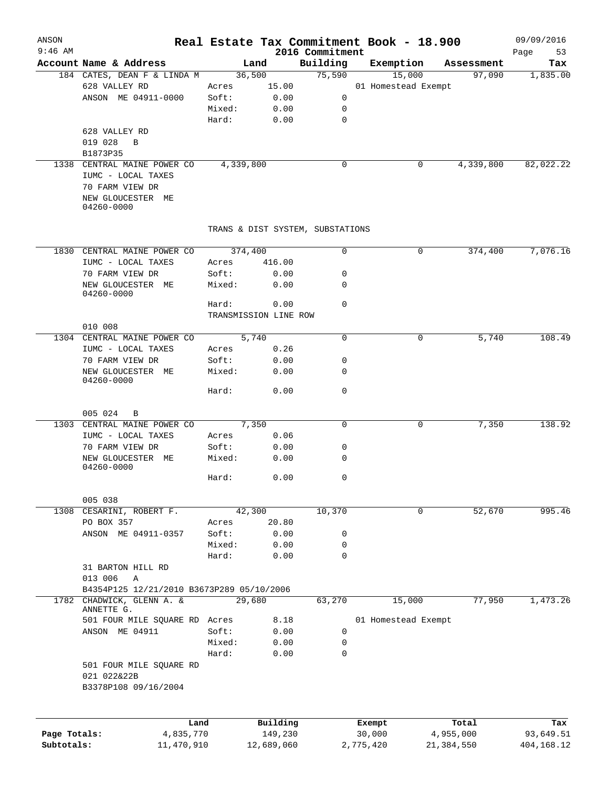| ANSON<br>$9:46$ AM |                                           |                |                                  |                             | Real Estate Tax Commitment Book - 18.900 |            |            | 09/09/2016        |
|--------------------|-------------------------------------------|----------------|----------------------------------|-----------------------------|------------------------------------------|------------|------------|-------------------|
|                    | Account Name & Address                    |                | Land                             | 2016 Commitment<br>Building | Exemption                                |            | Assessment | Page<br>53<br>Tax |
|                    | 184 CATES, DEAN F & LINDA M               |                | 36,500                           | 75,590                      | 15,000                                   |            | 97,090     | 1,835.00          |
|                    | 628 VALLEY RD                             | Acres          | 15.00                            |                             | 01 Homestead Exempt                      |            |            |                   |
|                    | ANSON ME 04911-0000                       | Soft:          | 0.00                             | 0                           |                                          |            |            |                   |
|                    |                                           | Mixed:         | 0.00                             | 0                           |                                          |            |            |                   |
|                    |                                           | Hard:          | 0.00                             | 0                           |                                          |            |            |                   |
|                    | 628 VALLEY RD                             |                |                                  |                             |                                          |            |            |                   |
|                    | 019 028<br>B                              |                |                                  |                             |                                          |            |            |                   |
|                    | B1873P35                                  |                |                                  |                             |                                          |            |            |                   |
| 1338               | CENTRAL MAINE POWER CO                    | 4,339,800      |                                  | 0                           |                                          | 0          | 4,339,800  | 82,022.22         |
|                    | IUMC - LOCAL TAXES<br>70 FARM VIEW DR     |                |                                  |                             |                                          |            |            |                   |
|                    | NEW GLOUCESTER ME<br>04260-0000           |                |                                  |                             |                                          |            |            |                   |
|                    |                                           |                | TRANS & DIST SYSTEM, SUBSTATIONS |                             |                                          |            |            |                   |
|                    | 1830 CENTRAL MAINE POWER CO               | 374,400        |                                  | 0                           |                                          | 0          | 374,400    | 7,076.16          |
|                    |                                           |                | 416.00                           |                             |                                          |            |            |                   |
|                    | IUMC - LOCAL TAXES<br>70 FARM VIEW DR     | Acres<br>Soft: |                                  | 0                           |                                          |            |            |                   |
|                    | NEW GLOUCESTER ME                         |                | 0.00<br>0.00                     | 0                           |                                          |            |            |                   |
|                    | 04260-0000                                | Mixed:         |                                  |                             |                                          |            |            |                   |
|                    |                                           | Hard:          | 0.00                             | $\mathbf 0$                 |                                          |            |            |                   |
|                    |                                           |                | TRANSMISSION LINE ROW            |                             |                                          |            |            |                   |
|                    | 010 008                                   |                |                                  |                             |                                          |            |            |                   |
|                    | 1304 CENTRAL MAINE POWER CO               |                | 5,740                            | 0                           |                                          | 0          | 5,740      | 108.49            |
|                    | IUMC - LOCAL TAXES                        | Acres          | 0.26                             |                             |                                          |            |            |                   |
|                    | 70 FARM VIEW DR                           | Soft:          | 0.00                             | 0                           |                                          |            |            |                   |
|                    | NEW GLOUCESTER ME                         | Mixed:         | 0.00                             | 0                           |                                          |            |            |                   |
|                    | 04260-0000                                |                |                                  |                             |                                          |            |            |                   |
|                    |                                           | Hard:          | 0.00                             | 0                           |                                          |            |            |                   |
|                    |                                           |                |                                  |                             |                                          |            |            |                   |
|                    | 005 024<br>B                              |                |                                  |                             |                                          |            |            |                   |
|                    | 1303 CENTRAL MAINE POWER CO               |                | 7,350                            | 0                           |                                          | 0          | 7,350      | 138.92            |
|                    | IUMC - LOCAL TAXES                        | Acres          | 0.06                             |                             |                                          |            |            |                   |
|                    | 70 FARM VIEW DR                           | Soft:          | 0.00                             | 0                           |                                          |            |            |                   |
|                    | NEW GLOUCESTER ME                         | Mixed:         | 0.00                             | 0                           |                                          |            |            |                   |
|                    | 04260-0000                                | Hard:          | 0.00                             | 0                           |                                          |            |            |                   |
|                    |                                           |                |                                  |                             |                                          |            |            |                   |
|                    | 005 038                                   |                |                                  |                             |                                          |            |            |                   |
| 1308               | CESARINI, ROBERT F.                       |                | 42,300                           | 10,370                      |                                          | 0          | 52,670     | 995.46            |
|                    | PO BOX 357                                | Acres          | 20.80                            |                             |                                          |            |            |                   |
|                    | ANSON ME 04911-0357                       | Soft:          | 0.00                             | 0                           |                                          |            |            |                   |
|                    |                                           | Mixed:         | 0.00                             | 0                           |                                          |            |            |                   |
|                    |                                           | Hard:          | 0.00                             | $\mathbf 0$                 |                                          |            |            |                   |
|                    | 31 BARTON HILL RD                         |                |                                  |                             |                                          |            |            |                   |
|                    | 013 006<br>$\mathbb{A}$                   |                |                                  |                             |                                          |            |            |                   |
|                    | B4354P125 12/21/2010 B3673P289 05/10/2006 |                |                                  |                             |                                          |            |            |                   |
| 1782               | CHADWICK, GLENN A. &                      |                | 29,680                           | 63,270                      | 15,000                                   |            | 77,950     | 1,473.26          |
|                    | ANNETTE G.                                |                |                                  |                             |                                          |            |            |                   |
|                    | 501 FOUR MILE SQUARE RD Acres             |                | 8.18                             |                             | 01 Homestead Exempt                      |            |            |                   |
|                    | ANSON ME 04911                            | Soft:          | 0.00                             | 0                           |                                          |            |            |                   |
|                    |                                           | Mixed:         | 0.00                             | 0                           |                                          |            |            |                   |
|                    |                                           | Hard:          | 0.00                             | 0                           |                                          |            |            |                   |
|                    | 501 FOUR MILE SQUARE RD                   |                |                                  |                             |                                          |            |            |                   |
|                    | 021 022&22B                               |                |                                  |                             |                                          |            |            |                   |
|                    | B3378P108 09/16/2004                      |                |                                  |                             |                                          |            |            |                   |
|                    |                                           |                |                                  |                             |                                          |            |            |                   |
|                    | Land                                      |                | Building                         |                             | Exempt                                   |            | Total      | Tax               |
| Page Totals:       | 4,835,770                                 |                | 149,230                          |                             | 30,000                                   | 4,955,000  |            | 93,649.51         |
| Subtotals:         | 11,470,910                                |                | 12,689,060                       |                             | 2,775,420                                | 21,384,550 |            | 404,168.12        |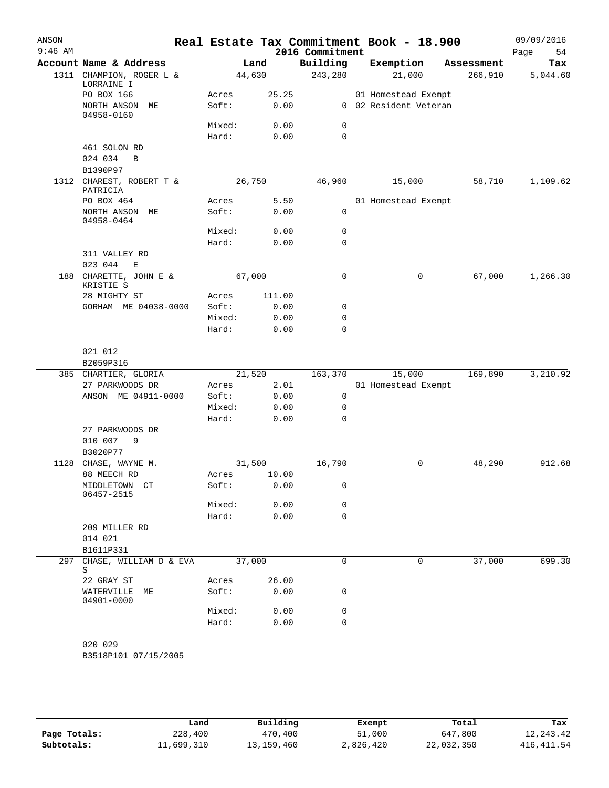| ANSON<br>$9:46$ AM |                                             |        |        | 2016 Commitment | Real Estate Tax Commitment Book - 18.900 |            | 09/09/2016<br>Page<br>54 |
|--------------------|---------------------------------------------|--------|--------|-----------------|------------------------------------------|------------|--------------------------|
|                    | Account Name & Address                      |        | Land   | Building        | Exemption                                | Assessment | Tax                      |
|                    | 1311 CHAMPION, ROGER L &<br>LORRAINE I      |        | 44,630 | 243,280         | 21,000                                   | 266,910    | 5,044.60                 |
|                    | PO BOX 166                                  | Acres  | 25.25  |                 | 01 Homestead Exempt                      |            |                          |
|                    | NORTH ANSON ME<br>04958-0160                | Soft:  | 0.00   |                 | 0 02 Resident Veteran                    |            |                          |
|                    |                                             | Mixed: | 0.00   | 0               |                                          |            |                          |
|                    |                                             | Hard:  | 0.00   | 0               |                                          |            |                          |
|                    | 461 SOLON RD                                |        |        |                 |                                          |            |                          |
|                    | 024 034<br>$\mathbf B$                      |        |        |                 |                                          |            |                          |
|                    | B1390P97                                    |        |        |                 |                                          |            |                          |
| 1312               | CHAREST, ROBERT T &<br>PATRICIA             |        | 26,750 | 46,960          | 15,000                                   | 58,710     | 1,109.62                 |
|                    | PO BOX 464                                  | Acres  | 5.50   |                 | 01 Homestead Exempt                      |            |                          |
|                    | NORTH ANSON ME<br>04958-0464                | Soft:  | 0.00   | 0               |                                          |            |                          |
|                    |                                             | Mixed: | 0.00   | 0               |                                          |            |                          |
|                    |                                             | Hard:  | 0.00   | 0               |                                          |            |                          |
|                    | 311 VALLEY RD<br>023 044<br>Ε               |        |        |                 |                                          |            |                          |
| 188                | CHARETTE, JOHN E &<br>KRISTIE S             |        | 67,000 | $\mathbf 0$     | 0                                        | 67,000     | 1,266.30                 |
|                    | 28 MIGHTY ST                                | Acres  | 111.00 |                 |                                          |            |                          |
|                    | GORHAM ME 04038-0000                        | Soft:  | 0.00   | 0               |                                          |            |                          |
|                    |                                             | Mixed: | 0.00   | 0               |                                          |            |                          |
|                    |                                             | Hard:  | 0.00   | 0               |                                          |            |                          |
|                    | 021 012                                     |        |        |                 |                                          |            |                          |
|                    | B2059P316                                   |        |        |                 |                                          |            |                          |
|                    | 385 CHARTIER, GLORIA                        |        | 21,520 | 163,370         | 15,000                                   | 169,890    | 3,210.92                 |
|                    | 27 PARKWOODS DR                             | Acres  | 2.01   |                 | 01 Homestead Exempt                      |            |                          |
|                    | ANSON ME 04911-0000                         | Soft:  | 0.00   | 0               |                                          |            |                          |
|                    |                                             | Mixed: | 0.00   | 0               |                                          |            |                          |
|                    |                                             | Hard:  | 0.00   | 0               |                                          |            |                          |
|                    | 27 PARKWOODS DR<br>010 007<br>9<br>B3020P77 |        |        |                 |                                          |            |                          |
| 1128               | CHASE, WAYNE M.                             |        | 31,500 | 16,790          | 0                                        | 48,290     | 912.68                   |
|                    | 88 MEECH RD                                 | Acres  | 10.00  |                 |                                          |            |                          |
|                    | MIDDLETOWN CT<br>06457-2515                 | Soft:  | 0.00   | 0               |                                          |            |                          |
|                    |                                             | Mixed: | 0.00   | 0               |                                          |            |                          |
|                    |                                             | Hard:  | 0.00   | 0               |                                          |            |                          |
|                    | 209 MILLER RD                               |        |        |                 |                                          |            |                          |
|                    | 014 021                                     |        |        |                 |                                          |            |                          |
|                    | B1611P331                                   |        |        |                 |                                          |            |                          |
| 297                | CHASE, WILLIAM D & EVA<br>S                 |        | 37,000 | 0               | 0                                        | 37,000     | 699.30                   |
|                    | 22 GRAY ST                                  | Acres  | 26.00  |                 |                                          |            |                          |
|                    | WATERVILLE ME<br>04901-0000                 | Soft:  | 0.00   | 0               |                                          |            |                          |
|                    |                                             | Mixed: | 0.00   | 0               |                                          |            |                          |
|                    |                                             | Hard:  | 0.00   | $\Omega$        |                                          |            |                          |
|                    |                                             |        |        |                 |                                          |            |                          |
|                    | 020 029                                     |        |        |                 |                                          |            |                          |
|                    | B3518P101 07/15/2005                        |        |        |                 |                                          |            |                          |

|              | Land       | Building   | Exempt    | Total      | Tax         |
|--------------|------------|------------|-----------|------------|-------------|
| Page Totals: | 228,400    | 470,400    | 51,000    | 647,800    | 12, 243. 42 |
| Subtotals:   | 11,699,310 | 13,159,460 | 2,826,420 | 22,032,350 | 416, 411.54 |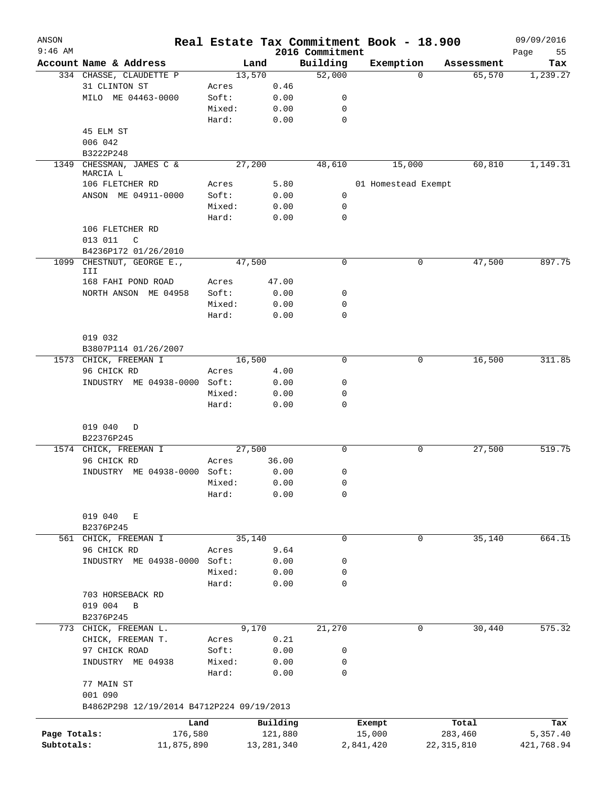| ANSON<br>$9:46$ AM |                                           |         |              | 2016 Commitment | Real Estate Tax Commitment Book - 18.900 |                       | 09/09/2016        |
|--------------------|-------------------------------------------|---------|--------------|-----------------|------------------------------------------|-----------------------|-------------------|
|                    | Account Name & Address                    |         | Land         | Building        | Exemption                                | Assessment            | Page<br>55<br>Tax |
|                    | 334 CHASSE, CLAUDETTE P                   | 13,570  |              | 52,000          |                                          | 65,570<br>$\mathbf 0$ | 1,239.27          |
|                    | 31 CLINTON ST                             | Acres   | 0.46         |                 |                                          |                       |                   |
|                    | MILO ME 04463-0000                        | Soft:   | 0.00         | 0               |                                          |                       |                   |
|                    |                                           | Mixed:  | 0.00         | 0               |                                          |                       |                   |
|                    |                                           | Hard:   | 0.00         | $\mathbf 0$     |                                          |                       |                   |
|                    | 45 ELM ST                                 |         |              |                 |                                          |                       |                   |
|                    | 006 042                                   |         |              |                 |                                          |                       |                   |
|                    | B3222P248                                 |         |              |                 |                                          |                       |                   |
| 1349               | CHESSMAN, JAMES C &                       | 27,200  |              | 48,610          | 15,000                                   | 60,810                | 1,149.31          |
|                    | MARCIA L                                  |         |              |                 |                                          |                       |                   |
|                    | 106 FLETCHER RD                           | Acres   | 5.80         |                 | 01 Homestead Exempt                      |                       |                   |
|                    | ANSON ME 04911-0000                       | Soft:   | 0.00         | $\mathbf 0$     |                                          |                       |                   |
|                    |                                           | Mixed:  | 0.00         | 0               |                                          |                       |                   |
|                    |                                           | Hard:   | 0.00         | $\mathbf 0$     |                                          |                       |                   |
|                    | 106 FLETCHER RD                           |         |              |                 |                                          |                       |                   |
|                    | 013 011<br>C                              |         |              |                 |                                          |                       |                   |
|                    | B4236P172 01/26/2010                      |         |              |                 |                                          |                       |                   |
| 1099               | CHESTNUT, GEORGE E.,<br>III               | 47,500  |              | 0               |                                          | 47,500<br>0           | 897.75            |
|                    | 168 FAHI POND ROAD                        | Acres   | 47.00        |                 |                                          |                       |                   |
|                    | NORTH ANSON ME 04958                      | Soft:   | 0.00         | 0               |                                          |                       |                   |
|                    |                                           | Mixed:  | 0.00         | 0               |                                          |                       |                   |
|                    |                                           | Hard:   | 0.00         | $\mathbf 0$     |                                          |                       |                   |
|                    |                                           |         |              |                 |                                          |                       |                   |
|                    | 019 032                                   |         |              |                 |                                          |                       |                   |
|                    | B3807P114 01/26/2007                      |         |              |                 |                                          |                       |                   |
|                    | 1573 CHICK, FREEMAN I                     | 16,500  |              | 0               |                                          | 16,500<br>0           | 311.85            |
|                    | 96 CHICK RD                               | Acres   | 4.00         |                 |                                          |                       |                   |
|                    | INDUSTRY ME 04938-0000 Soft:              |         | 0.00         | 0               |                                          |                       |                   |
|                    |                                           | Mixed:  | 0.00         | 0               |                                          |                       |                   |
|                    |                                           | Hard:   | 0.00         | $\mathbf 0$     |                                          |                       |                   |
|                    |                                           |         |              |                 |                                          |                       |                   |
|                    | 019 040<br>D                              |         |              |                 |                                          |                       |                   |
|                    | B22376P245                                |         |              |                 |                                          |                       |                   |
|                    | 1574 CHICK, FREEMAN I                     | 27,500  |              | 0               |                                          | 27,500<br>0           | 519.75            |
|                    | 96 CHICK RD                               | Acres   | 36.00        |                 |                                          |                       |                   |
|                    | INDUSTRY ME 04938-0000 Soft:              |         | 0.00         | 0               |                                          |                       |                   |
|                    |                                           | Mixed:  | 0.00         | 0               |                                          |                       |                   |
|                    |                                           | Hard:   | 0.00         | 0               |                                          |                       |                   |
|                    |                                           |         |              |                 |                                          |                       |                   |
|                    | 019 040<br>Е                              |         |              |                 |                                          |                       |                   |
|                    | B2376P245                                 |         |              |                 |                                          |                       |                   |
| 561                | CHICK, FREEMAN I                          | 35, 140 |              | 0               |                                          | 35,140<br>0           | 664.15            |
|                    | 96 CHICK RD                               | Acres   | 9.64         |                 |                                          |                       |                   |
|                    | INDUSTRY ME 04938-0000                    | Soft:   | 0.00         | 0               |                                          |                       |                   |
|                    |                                           |         |              |                 |                                          |                       |                   |
|                    |                                           | Mixed:  | 0.00         | 0               |                                          |                       |                   |
|                    |                                           | Hard:   | 0.00         | 0               |                                          |                       |                   |
|                    | 703 HORSEBACK RD                          |         |              |                 |                                          |                       |                   |
|                    | 019 004<br>$\, {\bf B}$                   |         |              |                 |                                          |                       |                   |
|                    | B2376P245                                 |         |              |                 |                                          |                       |                   |
| 773                | CHICK, FREEMAN L.                         |         | 9,170        | 21,270          |                                          | 30,440<br>0           | 575.32            |
|                    | CHICK, FREEMAN T.                         | Acres   | 0.21         |                 |                                          |                       |                   |
|                    | 97 CHICK ROAD                             | Soft:   | 0.00         | 0               |                                          |                       |                   |
|                    | INDUSTRY ME 04938                         | Mixed:  | 0.00         | 0               |                                          |                       |                   |
|                    |                                           | Hard:   | 0.00         | 0               |                                          |                       |                   |
|                    | 77 MAIN ST                                |         |              |                 |                                          |                       |                   |
|                    | 001 090                                   |         |              |                 |                                          |                       |                   |
|                    | B4862P298 12/19/2014 B4712P224 09/19/2013 |         |              |                 |                                          |                       |                   |
|                    | Land                                      |         | Building     |                 | Exempt                                   | Total                 | Tax               |
| Page Totals:       | 176,580                                   |         | 121,880      |                 | 15,000                                   | 283,460               | 5,357.40          |
| Subtotals:         | 11,875,890                                |         | 13, 281, 340 |                 | 2,841,420                                | 22, 315, 810          | 421,768.94        |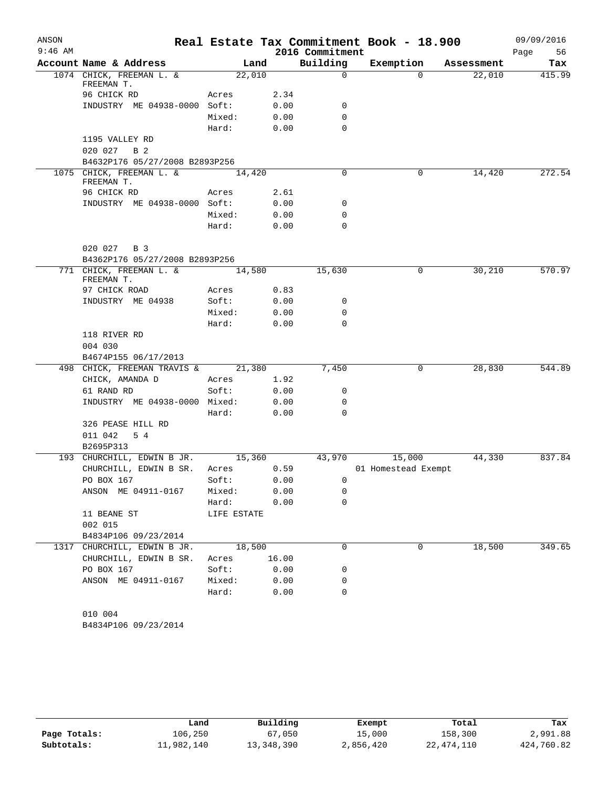| ANSON     |                                       |             |       |                 | Real Estate Tax Commitment Book - 18.900 |            | 09/09/2016 |
|-----------|---------------------------------------|-------------|-------|-----------------|------------------------------------------|------------|------------|
| $9:46$ AM |                                       |             |       | 2016 Commitment |                                          |            | Page<br>56 |
|           | Account Name & Address                | Land        |       | Building        | Exemption                                | Assessment | Tax        |
|           | 1074 CHICK, FREEMAN L. &              | 22,010      |       | $\mathbf 0$     | $\Omega$                                 | 22,010     | 415.99     |
|           | FREEMAN T.<br>96 CHICK RD             | Acres       | 2.34  |                 |                                          |            |            |
|           | INDUSTRY ME 04938-0000 Soft:          |             | 0.00  | 0               |                                          |            |            |
|           |                                       | Mixed:      | 0.00  | 0               |                                          |            |            |
|           |                                       | Hard:       | 0.00  | 0               |                                          |            |            |
|           | 1195 VALLEY RD                        |             |       |                 |                                          |            |            |
|           | 020 027<br>B 2                        |             |       |                 |                                          |            |            |
|           | B4632P176 05/27/2008 B2893P256        |             |       |                 |                                          |            |            |
|           | 1075 CHICK, FREEMAN L. &              | 14,420      |       | 0               | 0                                        | 14,420     | 272.54     |
|           | FREEMAN T.                            |             |       |                 |                                          |            |            |
|           | 96 CHICK RD                           | Acres       | 2.61  |                 |                                          |            |            |
|           | INDUSTRY ME 04938-0000 Soft:          |             | 0.00  | 0               |                                          |            |            |
|           |                                       | Mixed:      | 0.00  | 0               |                                          |            |            |
|           |                                       | Hard:       | 0.00  | 0               |                                          |            |            |
|           |                                       |             |       |                 |                                          |            |            |
|           | 020 027<br>B 3                        |             |       |                 |                                          |            |            |
|           | B4362P176 05/27/2008 B2893P256        |             |       |                 |                                          |            |            |
|           | 771 CHICK, FREEMAN L. &<br>FREEMAN T. | 14,580      |       | 15,630          | 0                                        | 30,210     | 570.97     |
|           | 97 CHICK ROAD                         | Acres       | 0.83  |                 |                                          |            |            |
|           | INDUSTRY ME 04938                     | Soft:       | 0.00  | 0               |                                          |            |            |
|           |                                       | Mixed:      | 0.00  | 0               |                                          |            |            |
|           |                                       | Hard:       | 0.00  | 0               |                                          |            |            |
|           | 118 RIVER RD                          |             |       |                 |                                          |            |            |
|           | 004 030                               |             |       |                 |                                          |            |            |
|           | B4674P155 06/17/2013                  |             |       |                 |                                          |            |            |
|           | 498 CHICK, FREEMAN TRAVIS &           | 21,380      |       | 7,450           | 0                                        | 28,830     | 544.89     |
|           | CHICK, AMANDA D                       | Acres       | 1.92  |                 |                                          |            |            |
|           | 61 RAND RD                            | Soft:       | 0.00  | 0               |                                          |            |            |
|           | INDUSTRY ME 04938-0000 Mixed:         |             | 0.00  | 0               |                                          |            |            |
|           |                                       | Hard:       | 0.00  | 0               |                                          |            |            |
|           | 326 PEASE HILL RD                     |             |       |                 |                                          |            |            |
|           | 011 042<br>5 4                        |             |       |                 |                                          |            |            |
|           | B2695P313                             |             |       |                 |                                          |            |            |
|           | 193 CHURCHILL, EDWIN B JR.            | 15,360      |       | 43,970          | 15,000                                   | 44,330     | 837.84     |
|           | CHURCHILL, EDWIN B SR.                | Acres       | 0.59  |                 | 01 Homestead Exempt                      |            |            |
|           | PO BOX 167                            | Soft:       | 0.00  | 0               |                                          |            |            |
|           | ANSON ME 04911-0167                   | Mixed:      | 0.00  | 0               |                                          |            |            |
|           |                                       | Hard:       | 0.00  | 0               |                                          |            |            |
|           | 11 BEANE ST                           | LIFE ESTATE |       |                 |                                          |            |            |
|           | 002 015                               |             |       |                 |                                          |            |            |
|           | B4834P106 09/23/2014                  |             |       |                 |                                          |            |            |
|           | 1317 CHURCHILL, EDWIN B JR.           | 18,500      |       | 0               | 0                                        | 18,500     | 349.65     |
|           | CHURCHILL, EDWIN B SR.                | Acres       | 16.00 |                 |                                          |            |            |
|           | PO BOX 167                            | Soft:       | 0.00  | 0               |                                          |            |            |
|           | ANSON ME 04911-0167                   | Mixed:      | 0.00  | 0               |                                          |            |            |
|           |                                       | Hard:       | 0.00  | 0               |                                          |            |            |
|           | 010 004                               |             |       |                 |                                          |            |            |
|           | B4834P106 09/23/2014                  |             |       |                 |                                          |            |            |
|           |                                       |             |       |                 |                                          |            |            |

|              | Land       | Building   | Exempt    | Total      | Tax        |
|--------------|------------|------------|-----------|------------|------------|
| Page Totals: | 106,250    | 67,050     | 15,000    | 158,300    | 2,991.88   |
| Subtotals:   | 11,982,140 | 13,348,390 | 2,856,420 | 22,474,110 | 424,760.82 |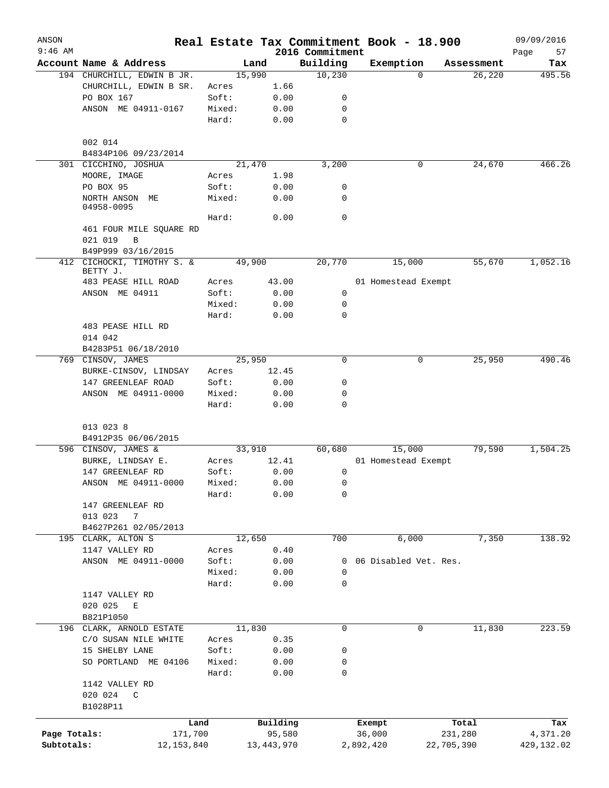| ANSON<br>$9:46$ AM |                                        |        |              |                             | Real Estate Tax Commitment Book - 18.900 |            | 09/09/2016        |
|--------------------|----------------------------------------|--------|--------------|-----------------------------|------------------------------------------|------------|-------------------|
|                    | Account Name & Address                 |        | Land         | 2016 Commitment<br>Building | Exemption                                | Assessment | 57<br>Page<br>Tax |
|                    | 194 CHURCHILL, EDWIN B JR.             |        | 15,990       | 10,230                      | $\Omega$                                 | 26,220     | 495.56            |
|                    | CHURCHILL, EDWIN B SR.                 | Acres  | 1.66         |                             |                                          |            |                   |
|                    | PO BOX 167                             | Soft:  | 0.00         | 0                           |                                          |            |                   |
|                    | ANSON ME 04911-0167                    | Mixed: | 0.00         | $\mathbf 0$                 |                                          |            |                   |
|                    |                                        | Hard:  | 0.00         | $\mathbf 0$                 |                                          |            |                   |
|                    | 002 014                                |        |              |                             |                                          |            |                   |
|                    | B4834P106 09/23/2014                   |        |              |                             |                                          |            |                   |
|                    | 301 CICCHINO, JOSHUA                   |        | 21,470       | 3,200                       | 0                                        | 24,670     | 466.26            |
|                    | MOORE, IMAGE                           | Acres  | 1.98         |                             |                                          |            |                   |
|                    | PO BOX 95                              | Soft:  | 0.00         | 0                           |                                          |            |                   |
|                    | NORTH ANSON ME<br>04958-0095           | Mixed: | 0.00         | $\mathbf 0$                 |                                          |            |                   |
|                    |                                        | Hard:  | 0.00         | $\mathbf 0$                 |                                          |            |                   |
|                    | 461 FOUR MILE SQUARE RD                |        |              |                             |                                          |            |                   |
|                    | 021 019<br>B                           |        |              |                             |                                          |            |                   |
|                    | B49P999 03/16/2015                     |        |              |                             |                                          |            |                   |
|                    | 412 CICHOCKI, TIMOTHY S. &<br>BETTY J. |        | 49,900       | 20,770                      | 15,000                                   | 55,670     | 1,052.16          |
|                    | 483 PEASE HILL ROAD                    | Acres  | 43.00        |                             | 01 Homestead Exempt                      |            |                   |
|                    | ANSON ME 04911                         | Soft:  | 0.00         | 0                           |                                          |            |                   |
|                    |                                        | Mixed: | 0.00         | 0                           |                                          |            |                   |
|                    |                                        | Hard:  | 0.00         | $\mathbf 0$                 |                                          |            |                   |
|                    | 483 PEASE HILL RD                      |        |              |                             |                                          |            |                   |
|                    | 014 042                                |        |              |                             |                                          |            |                   |
|                    | B4283P51 06/18/2010                    |        |              |                             |                                          |            |                   |
|                    | 769 CINSOV, JAMES                      |        | 25,950       | $\mathbf 0$                 | 0                                        | 25,950     | 490.46            |
|                    | BURKE-CINSOV, LINDSAY                  | Acres  | 12.45        |                             |                                          |            |                   |
|                    | 147 GREENLEAF ROAD                     | Soft:  | 0.00         | 0                           |                                          |            |                   |
|                    | ANSON ME 04911-0000                    | Mixed: | 0.00         | 0                           |                                          |            |                   |
|                    |                                        | Hard:  | 0.00         | $\mathbf 0$                 |                                          |            |                   |
|                    | 013 023 8                              |        |              |                             |                                          |            |                   |
|                    | B4912P35 06/06/2015                    |        |              |                             |                                          |            |                   |
|                    | 596 CINSOV, JAMES &                    |        | 33,910       | 60,680                      | 15,000                                   | 79,590     | 1,504.25          |
|                    | BURKE, LINDSAY E.                      | Acres  | 12.41        |                             | 01 Homestead Exempt                      |            |                   |
|                    | 147 GREENLEAF RD                       | Soft:  | 0.00         | 0                           |                                          |            |                   |
|                    | ANSON ME 04911-0000                    | Mixed: | 0.00         | $\mathsf 0$                 |                                          |            |                   |
|                    |                                        | Hard:  | 0.00         | 0                           |                                          |            |                   |
|                    | 147 GREENLEAF RD                       |        |              |                             |                                          |            |                   |
|                    | 013 023<br>7                           |        |              |                             |                                          |            |                   |
|                    | B4627P261 02/05/2013                   |        |              |                             |                                          |            |                   |
|                    | 195 CLARK, ALTON S                     |        | 12,650       | 700                         | 6,000                                    | 7,350      | 138.92            |
|                    | 1147 VALLEY RD                         | Acres  | 0.40         |                             |                                          |            |                   |
|                    | ANSON ME 04911-0000                    | Soft:  | 0.00         | 0                           | 06 Disabled Vet. Res.                    |            |                   |
|                    |                                        | Mixed: | 0.00         | $\mathbf 0$                 |                                          |            |                   |
|                    |                                        | Hard:  | 0.00         | $\mathbf 0$                 |                                          |            |                   |
|                    | 1147 VALLEY RD                         |        |              |                             |                                          |            |                   |
|                    | 020 025<br>E                           |        |              |                             |                                          |            |                   |
|                    | B821P1050                              |        |              |                             |                                          |            |                   |
|                    | 196 CLARK, ARNOLD ESTATE               |        | 11,830       | 0                           | 0                                        | 11,830     | 223.59            |
|                    | C/O SUSAN NILE WHITE                   | Acres  | 0.35         |                             |                                          |            |                   |
|                    | 15 SHELBY LANE                         | Soft:  | 0.00         | 0                           |                                          |            |                   |
|                    | SO PORTLAND ME 04106                   | Mixed: | 0.00         | 0                           |                                          |            |                   |
|                    |                                        | Hard:  | 0.00         | 0                           |                                          |            |                   |
|                    | 1142 VALLEY RD                         |        |              |                             |                                          |            |                   |
|                    | 020 024<br>C                           |        |              |                             |                                          |            |                   |
|                    | B1028P11                               |        |              |                             |                                          |            |                   |
|                    | Land                                   |        | Building     |                             | Exempt                                   | Total      | Tax               |
| Page Totals:       | 171,700                                |        | 95,580       |                             | 36,000                                   | 231,280    | 4,371.20          |
| Subtotals:         | 12, 153, 840                           |        | 13, 443, 970 |                             | 2,892,420                                | 22,705,390 | 429,132.02        |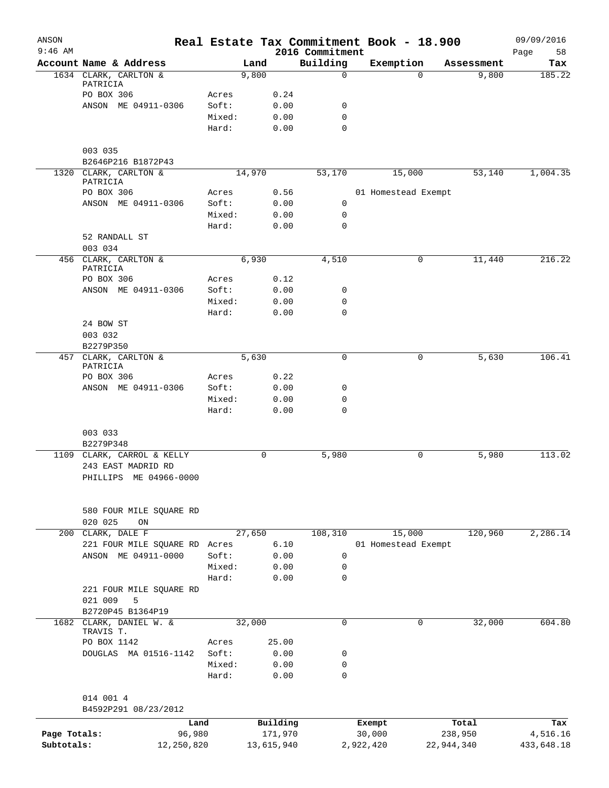| ANSON<br>$9:46$ AM |                                   |        |        |            | 2016 Commitment | Real Estate Tax Commitment Book - 18.900 |            |            | 09/09/2016<br>58<br>Page |
|--------------------|-----------------------------------|--------|--------|------------|-----------------|------------------------------------------|------------|------------|--------------------------|
|                    | Account Name & Address            |        | Land   |            | Building        | Exemption                                |            | Assessment | Tax                      |
|                    | 1634 CLARK, CARLTON &             |        | 9,800  |            | $\mathbf 0$     |                                          | $\Omega$   | 9,800      | 185.22                   |
|                    | PATRICIA                          |        |        |            |                 |                                          |            |            |                          |
|                    | PO BOX 306                        | Acres  |        | 0.24       |                 |                                          |            |            |                          |
|                    | ANSON ME 04911-0306               | Soft:  |        | 0.00       | 0               |                                          |            |            |                          |
|                    |                                   | Mixed: |        | 0.00       | $\mathbf 0$     |                                          |            |            |                          |
|                    |                                   | Hard:  |        | 0.00       | $\mathbf 0$     |                                          |            |            |                          |
|                    | 003 035                           |        |        |            |                 |                                          |            |            |                          |
|                    | B2646P216 B1872P43                |        |        |            |                 |                                          |            |            |                          |
|                    | 1320 CLARK, CARLTON &             |        | 14,970 |            | 53,170          | 15,000                                   |            | 53,140     | 1,004.35                 |
|                    | PATRICIA                          |        |        |            |                 |                                          |            |            |                          |
|                    | PO BOX 306                        | Acres  |        | 0.56       |                 | 01 Homestead Exempt                      |            |            |                          |
|                    | ANSON ME 04911-0306               | Soft:  |        | 0.00       | 0               |                                          |            |            |                          |
|                    |                                   | Mixed: |        | 0.00       | 0               |                                          |            |            |                          |
|                    |                                   | Hard:  |        | 0.00       | $\mathbf 0$     |                                          |            |            |                          |
|                    | 52 RANDALL ST                     |        |        |            |                 |                                          |            |            |                          |
|                    | 003 034                           |        |        |            |                 |                                          |            |            |                          |
|                    | 456 CLARK, CARLTON &<br>PATRICIA  |        | 6,930  |            | 4,510           |                                          | 0          | 11,440     | 216.22                   |
|                    | PO BOX 306                        | Acres  |        | 0.12       |                 |                                          |            |            |                          |
|                    | ANSON ME 04911-0306               | Soft:  |        | 0.00       | 0               |                                          |            |            |                          |
|                    |                                   | Mixed: |        | 0.00       | $\mathbf 0$     |                                          |            |            |                          |
|                    |                                   | Hard:  |        | 0.00       | $\mathbf 0$     |                                          |            |            |                          |
|                    | 24 BOW ST                         |        |        |            |                 |                                          |            |            |                          |
|                    | 003 032                           |        |        |            |                 |                                          |            |            |                          |
|                    | B2279P350                         |        |        |            |                 |                                          |            |            |                          |
|                    | 457 CLARK, CARLTON &              |        | 5,630  |            | 0               |                                          | 0          | 5,630      | 106.41                   |
|                    | PATRICIA                          |        |        |            |                 |                                          |            |            |                          |
|                    | PO BOX 306                        | Acres  |        | 0.22       |                 |                                          |            |            |                          |
|                    | ANSON ME 04911-0306               | Soft:  |        | 0.00       | 0               |                                          |            |            |                          |
|                    |                                   | Mixed: |        | 0.00       | 0               |                                          |            |            |                          |
|                    |                                   | Hard:  |        | 0.00       | $\mathbf 0$     |                                          |            |            |                          |
|                    | 003 033                           |        |        |            |                 |                                          |            |            |                          |
|                    | B2279P348                         |        |        |            |                 |                                          |            |            |                          |
| 1109               | CLARK, CARROL & KELLY             |        | 0      |            | 5,980           |                                          | 0          | 5,980      | 113.02                   |
|                    | 243 EAST MADRID RD                |        |        |            |                 |                                          |            |            |                          |
|                    | PHILLIPS ME 04966-0000            |        |        |            |                 |                                          |            |            |                          |
|                    |                                   |        |        |            |                 |                                          |            |            |                          |
|                    |                                   |        |        |            |                 |                                          |            |            |                          |
|                    | 580 FOUR MILE SQUARE RD           |        |        |            |                 |                                          |            |            |                          |
|                    | 020 025<br>ON                     |        |        |            |                 |                                          |            |            |                          |
| 200                | CLARK, DALE F                     |        | 27,650 |            | 108,310         | 15,000                                   |            | 120,960    | 2,286.14                 |
|                    | 221 FOUR MILE SQUARE RD           | Acres  |        | 6.10       |                 | 01 Homestead Exempt                      |            |            |                          |
|                    | ANSON ME 04911-0000               | Soft:  |        | 0.00       | 0               |                                          |            |            |                          |
|                    |                                   | Mixed: |        | 0.00       | 0               |                                          |            |            |                          |
|                    |                                   | Hard:  |        | 0.00       | 0               |                                          |            |            |                          |
|                    | 221 FOUR MILE SQUARE RD           |        |        |            |                 |                                          |            |            |                          |
|                    | 021 009<br>5<br>B2720P45 B1364P19 |        |        |            |                 |                                          |            |            |                          |
| 1682               | CLARK, DANIEL W. &                |        | 32,000 |            | $\mathbf 0$     |                                          | 0          | 32,000     | 604.80                   |
|                    | TRAVIS T.                         |        |        |            |                 |                                          |            |            |                          |
|                    | PO BOX 1142                       | Acres  |        | 25.00      |                 |                                          |            |            |                          |
|                    | DOUGLAS MA 01516-1142             | Soft:  |        | 0.00       | 0               |                                          |            |            |                          |
|                    |                                   | Mixed: |        | 0.00       | 0               |                                          |            |            |                          |
|                    |                                   | Hard:  |        | 0.00       | $\mathbf 0$     |                                          |            |            |                          |
|                    |                                   |        |        |            |                 |                                          |            |            |                          |
|                    | 014 001 4                         |        |        |            |                 |                                          |            |            |                          |
|                    | B4592P291 08/23/2012              |        |        |            |                 |                                          |            |            |                          |
|                    | Land                              |        |        | Building   |                 | Exempt                                   |            | Total      | Tax                      |
| Page Totals:       | 96,980                            |        |        | 171,970    |                 | 30,000                                   |            | 238,950    | 4,516.16                 |
| Subtotals:         | 12,250,820                        |        |        | 13,615,940 |                 | 2,922,420                                | 22,944,340 |            | 433,648.18               |
|                    |                                   |        |        |            |                 |                                          |            |            |                          |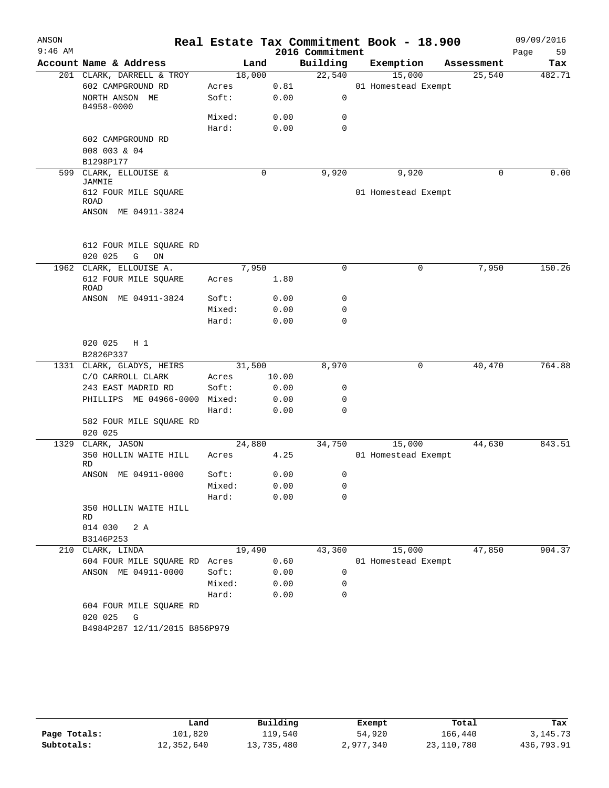| ANSON     |                                         |        |        |       |                 | Real Estate Tax Commitment Book - 18.900 |            | 09/09/2016 |
|-----------|-----------------------------------------|--------|--------|-------|-----------------|------------------------------------------|------------|------------|
| $9:46$ AM |                                         |        |        |       | 2016 Commitment |                                          |            | Page<br>59 |
|           | Account Name & Address                  |        | Land   |       | Building        | Exemption                                | Assessment | Tax        |
|           | 201 CLARK, DARRELL & TROY               |        | 18,000 |       | 22,540          | 15,000                                   | 25,540     | 482.71     |
|           | 602 CAMPGROUND RD                       | Acres  |        | 0.81  |                 | 01 Homestead Exempt                      |            |            |
|           | NORTH ANSON ME<br>04958-0000            | Soft:  |        | 0.00  | 0               |                                          |            |            |
|           |                                         | Mixed: |        | 0.00  | 0               |                                          |            |            |
|           |                                         | Hard:  |        | 0.00  | $\mathbf 0$     |                                          |            |            |
|           | 602 CAMPGROUND RD                       |        |        |       |                 |                                          |            |            |
|           | 008 003 & 04                            |        |        |       |                 |                                          |            |            |
|           | B1298P177                               |        |        |       |                 |                                          |            |            |
|           | 599 CLARK, ELLOUISE &<br>JAMMIE         |        | 0      |       | 9,920           | 9,920                                    | $\Omega$   | 0.00       |
|           | 612 FOUR MILE SQUARE                    |        |        |       |                 | 01 Homestead Exempt                      |            |            |
|           | ROAD<br>ANSON ME 04911-3824             |        |        |       |                 |                                          |            |            |
|           |                                         |        |        |       |                 |                                          |            |            |
|           |                                         |        |        |       |                 |                                          |            |            |
|           | 612 FOUR MILE SQUARE RD                 |        |        |       |                 |                                          |            |            |
|           | 020 025<br>G<br>ON                      |        |        |       |                 |                                          |            |            |
|           | 1962 CLARK, ELLOUISE A.                 |        | 7,950  |       | 0               | 0                                        | 7,950      | 150.26     |
|           | 612 FOUR MILE SQUARE<br><b>ROAD</b>     | Acres  |        | 1.80  |                 |                                          |            |            |
|           | ANSON ME 04911-3824                     | Soft:  |        | 0.00  | 0               |                                          |            |            |
|           |                                         | Mixed: |        | 0.00  | 0               |                                          |            |            |
|           |                                         | Hard:  |        | 0.00  | 0               |                                          |            |            |
|           |                                         |        |        |       |                 |                                          |            |            |
|           | 020 025<br>$H_1$<br>B2826P337           |        |        |       |                 |                                          |            |            |
|           | 1331 CLARK, GLADYS, HEIRS               |        | 31,500 |       | 8,970           | 0                                        | 40,470     | 764.88     |
|           | C/O CARROLL CLARK                       | Acres  |        | 10.00 |                 |                                          |            |            |
|           | 243 EAST MADRID RD                      | Soft:  |        | 0.00  | 0               |                                          |            |            |
|           | PHILLIPS ME 04966-0000 Mixed:           |        |        | 0.00  | 0               |                                          |            |            |
|           |                                         | Hard:  |        | 0.00  | $\mathbf 0$     |                                          |            |            |
|           | 582 FOUR MILE SQUARE RD                 |        |        |       |                 |                                          |            |            |
|           | 020 025                                 |        |        |       |                 |                                          |            |            |
| 1329      | CLARK, JASON                            |        | 24,880 |       | 34,750          | 15,000                                   | 44,630     | 843.51     |
|           | 350 HOLLIN WAITE HILL<br>RD             | Acres  |        | 4.25  |                 | 01 Homestead Exempt                      |            |            |
|           | ANSON ME 04911-0000                     | Soft:  |        | 0.00  | 0               |                                          |            |            |
|           |                                         | Mixed: |        | 0.00  | 0               |                                          |            |            |
|           |                                         | Hard:  |        | 0.00  | 0               |                                          |            |            |
|           | 350 HOLLIN WAITE HILL<br>RD             |        |        |       |                 |                                          |            |            |
|           | 014 030<br>2 A                          |        |        |       |                 |                                          |            |            |
|           | B3146P253                               |        |        |       |                 |                                          |            |            |
|           | 210 CLARK, LINDA                        |        | 19,490 |       | 43,360          | 15,000                                   | 47,850     | 904.37     |
|           | 604 FOUR MILE SQUARE RD                 | Acres  |        | 0.60  |                 | 01 Homestead Exempt                      |            |            |
|           | ANSON ME 04911-0000                     | Soft:  |        | 0.00  | 0               |                                          |            |            |
|           |                                         | Mixed: |        | 0.00  | 0               |                                          |            |            |
|           |                                         | Hard:  |        | 0.00  | $\Omega$        |                                          |            |            |
|           | 604 FOUR MILE SQUARE RD<br>020 025<br>G |        |        |       |                 |                                          |            |            |
|           | B4984P287 12/11/2015 B856P979           |        |        |       |                 |                                          |            |            |
|           |                                         |        |        |       |                 |                                          |            |            |
|           |                                         |        |        |       |                 |                                          |            |            |

|              | Land       | Building   | Exempt    | Total        | Tax        |
|--------------|------------|------------|-----------|--------------|------------|
| Page Totals: | 101,820    | 119,540    | 54,920    | 166,440      | 3, 145, 73 |
| Subtotals:   | 12,352,640 | 13,735,480 | 2,977,340 | 23, 110, 780 | 436,793.91 |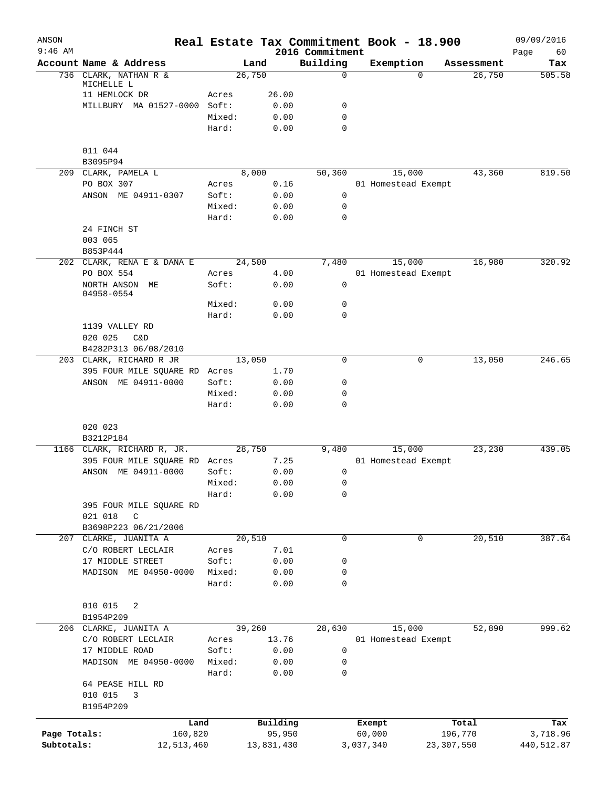| ANSON<br>$9:46$ AM |                                          |                 |              | 2016 Commitment  |           | Real Estate Tax Commitment Book - 18.900 |              | 09/09/2016<br>Page<br>60 |
|--------------------|------------------------------------------|-----------------|--------------|------------------|-----------|------------------------------------------|--------------|--------------------------|
|                    | Account Name & Address                   |                 | Land         | Building         |           | Exemption                                | Assessment   | Tax                      |
|                    | 736 CLARK, NATHAN R &                    | 26,750          |              | $\mathbf 0$      |           | $\Omega$                                 | 26,750       | 505.58                   |
|                    | MICHELLE L                               |                 |              |                  |           |                                          |              |                          |
|                    | 11 HEMLOCK DR                            | Acres           | 26.00        |                  |           |                                          |              |                          |
|                    | MILLBURY MA 01527-0000 Soft:             |                 | 0.00         | 0                |           |                                          |              |                          |
|                    |                                          | Mixed:          | 0.00         | $\mathbf 0$      |           |                                          |              |                          |
|                    |                                          | Hard:           | 0.00         | 0                |           |                                          |              |                          |
|                    | 011 044                                  |                 |              |                  |           |                                          |              |                          |
|                    | B3095P94                                 |                 |              |                  |           |                                          |              |                          |
|                    | 209 CLARK, PAMELA L                      |                 | 8,000        | 50,360           |           | 15,000                                   | 43,360       | 819.50                   |
|                    | PO BOX 307                               | Acres           | 0.16         |                  |           | 01 Homestead Exempt                      |              |                          |
|                    | ANSON ME 04911-0307                      | Soft:           | 0.00         | $\mathbf 0$      |           |                                          |              |                          |
|                    |                                          | Mixed:          | 0.00         | $\mathbf 0$      |           |                                          |              |                          |
|                    |                                          | Hard:           | 0.00         | $\mathbf 0$      |           |                                          |              |                          |
|                    | 24 FINCH ST                              |                 |              |                  |           |                                          |              |                          |
|                    | 003 065                                  |                 |              |                  |           |                                          |              |                          |
|                    | B853P444                                 |                 |              |                  |           |                                          |              |                          |
|                    | 202 CLARK, RENA E & DANA E<br>PO BOX 554 | 24,500          |              | 7,480            |           | 15,000                                   | 16,980       | 320.92                   |
|                    | NORTH ANSON ME                           | Acres<br>Soft:  | 4.00<br>0.00 | 0                |           | 01 Homestead Exempt                      |              |                          |
|                    | 04958-0554                               |                 |              |                  |           |                                          |              |                          |
|                    |                                          | Mixed:          | 0.00         | 0                |           |                                          |              |                          |
|                    |                                          | Hard:           | 0.00         | $\mathbf 0$      |           |                                          |              |                          |
|                    | 1139 VALLEY RD                           |                 |              |                  |           |                                          |              |                          |
|                    | 020 025<br>C&D                           |                 |              |                  |           |                                          |              |                          |
|                    | B4282P313 06/08/2010                     |                 |              |                  |           |                                          |              |                          |
|                    | 203 CLARK, RICHARD R JR                  | 13,050          |              | $\mathbf 0$      |           | 0                                        | 13,050       | 246.65                   |
|                    | 395 FOUR MILE SQUARE RD                  | Acres           | 1.70         |                  |           |                                          |              |                          |
|                    | ANSON ME 04911-0000                      | Soft:           | 0.00         | 0                |           |                                          |              |                          |
|                    |                                          | Mixed:<br>Hard: | 0.00<br>0.00 | 0<br>$\mathbf 0$ |           |                                          |              |                          |
|                    |                                          |                 |              |                  |           |                                          |              |                          |
|                    | 020 023                                  |                 |              |                  |           |                                          |              |                          |
|                    | B3212P184                                |                 |              |                  |           |                                          |              |                          |
|                    | 1166 CLARK, RICHARD R, JR.               | 28,750          |              | 9,480            |           | 15,000                                   | 23,230       | 439.05                   |
|                    | 395 FOUR MILE SQUARE RD Acres            |                 | 7.25         |                  |           | 01 Homestead Exempt                      |              |                          |
|                    | ANSON ME 04911-0000                      | Soft:           | 0.00         | 0                |           |                                          |              |                          |
|                    |                                          | Mixed:          | 0.00         | $\mathsf 0$      |           |                                          |              |                          |
|                    |                                          | Hard:           | 0.00         | 0                |           |                                          |              |                          |
|                    | 395 FOUR MILE SQUARE RD                  |                 |              |                  |           |                                          |              |                          |
|                    | 021 018<br>C                             |                 |              |                  |           |                                          |              |                          |
|                    | B3698P223 06/21/2006                     |                 |              | 0                |           |                                          |              |                          |
| 207                | CLARKE, JUANITA A<br>C/O ROBERT LECLAIR  | 20,510<br>Acres | 7.01         |                  |           | 0                                        | 20,510       | 387.64                   |
|                    | 17 MIDDLE STREET                         | Soft:           | 0.00         | 0                |           |                                          |              |                          |
|                    | MADISON ME 04950-0000                    | Mixed:          | 0.00         | 0                |           |                                          |              |                          |
|                    |                                          | Hard:           | 0.00         | $\mathbf 0$      |           |                                          |              |                          |
|                    |                                          |                 |              |                  |           |                                          |              |                          |
|                    | 010 015<br>2                             |                 |              |                  |           |                                          |              |                          |
|                    | B1954P209                                |                 |              |                  |           |                                          |              |                          |
|                    | 206 CLARKE, JUANITA A                    | 39,260          |              | 28,630           |           | 15,000                                   | 52,890       | 999.62                   |
|                    | C/O ROBERT LECLAIR                       | Acres           | 13.76        |                  |           | 01 Homestead Exempt                      |              |                          |
|                    | 17 MIDDLE ROAD                           | Soft:           | 0.00         | 0                |           |                                          |              |                          |
|                    | MADISON ME 04950-0000                    | Mixed:          | 0.00         | 0                |           |                                          |              |                          |
|                    |                                          | Hard:           | 0.00         | 0                |           |                                          |              |                          |
|                    | 64 PEASE HILL RD                         |                 |              |                  |           |                                          |              |                          |
|                    | 010 015<br>3                             |                 |              |                  |           |                                          |              |                          |
|                    | B1954P209                                |                 |              |                  |           |                                          |              |                          |
|                    | Land                                     |                 | Building     |                  | Exempt    |                                          | Total        | Tax                      |
| Page Totals:       | 160,820                                  |                 | 95,950       |                  | 60,000    |                                          | 196,770      | 3,718.96                 |
| Subtotals:         | 12,513,460                               |                 | 13,831,430   |                  | 3,037,340 |                                          | 23, 307, 550 | 440,512.87               |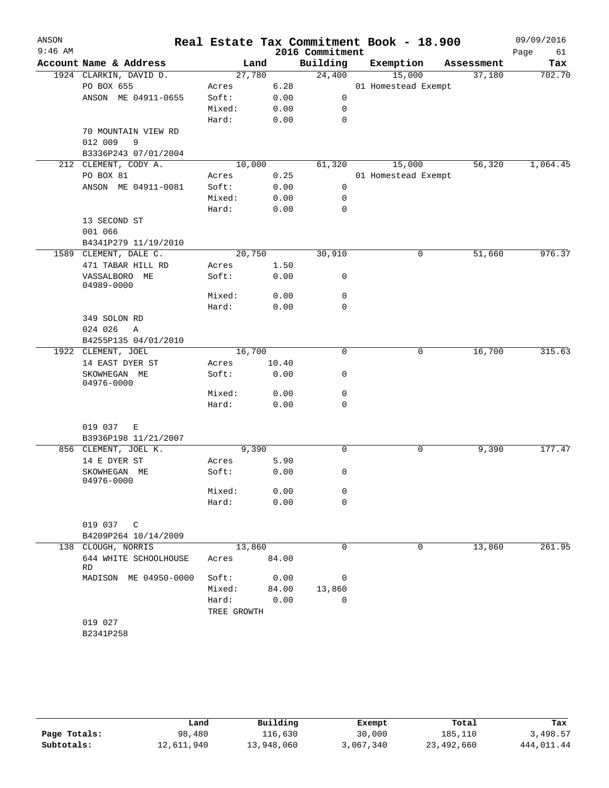| ANSON     |                                            |             |        |                 | Real Estate Tax Commitment Book - 18.900 |            | 09/09/2016 |
|-----------|--------------------------------------------|-------------|--------|-----------------|------------------------------------------|------------|------------|
| $9:46$ AM |                                            |             |        | 2016 Commitment |                                          |            | Page<br>61 |
|           | Account Name & Address                     |             | Land   | Building        | Exemption                                | Assessment | Tax        |
|           | 1924 CLARKIN, DAVID D.                     |             | 27,780 | 24,400          | 15,000                                   | 37,180     | 702.70     |
|           | PO BOX 655                                 | Acres       | 6.28   |                 | 01 Homestead Exempt                      |            |            |
|           | ANSON ME 04911-0655                        | Soft:       | 0.00   | 0               |                                          |            |            |
|           |                                            | Mixed:      | 0.00   | 0               |                                          |            |            |
|           |                                            | Hard:       | 0.00   | 0               |                                          |            |            |
|           | 70 MOUNTAIN VIEW RD<br>012 009<br>9        |             |        |                 |                                          |            |            |
|           | B3336P243 07/01/2004                       |             |        |                 |                                          |            |            |
|           | 212 CLEMENT, CODY A.                       |             | 10,000 | 61,320          | 15,000                                   | 56,320     | 1,064.45   |
|           | PO BOX 81                                  | Acres       | 0.25   |                 | 01 Homestead Exempt                      |            |            |
|           | ANSON ME 04911-0081                        | Soft:       | 0.00   | 0               |                                          |            |            |
|           |                                            | Mixed:      | 0.00   | 0               |                                          |            |            |
|           |                                            | Hard:       | 0.00   | 0               |                                          |            |            |
|           | 13 SECOND ST                               |             |        |                 |                                          |            |            |
|           | 001 066                                    |             |        |                 |                                          |            |            |
|           | B4341P279 11/19/2010                       |             |        |                 |                                          |            |            |
|           | 1589 CLEMENT, DALE C.                      |             | 20,750 | 30,910          | 0                                        | 51,660     | 976.37     |
|           | 471 TABAR HILL RD                          | Acres       | 1.50   |                 |                                          |            |            |
|           | VASSALBORO ME                              | Soft:       | 0.00   | 0               |                                          |            |            |
|           | 04989-0000                                 |             |        |                 |                                          |            |            |
|           |                                            | Mixed:      | 0.00   | 0               |                                          |            |            |
|           |                                            | Hard:       | 0.00   | $\mathbf 0$     |                                          |            |            |
|           | 349 SOLON RD                               |             |        |                 |                                          |            |            |
|           | 024 026<br>A                               |             |        |                 |                                          |            |            |
|           | B4255P135 04/01/2010<br>1922 CLEMENT, JOEL |             | 16,700 | $\mathbf 0$     | 0                                        | 16,700     | 315.63     |
|           | 14 EAST DYER ST                            | Acres       | 10.40  |                 |                                          |            |            |
|           | SKOWHEGAN ME                               | Soft:       | 0.00   | 0               |                                          |            |            |
|           | 04976-0000                                 |             |        |                 |                                          |            |            |
|           |                                            | Mixed:      | 0.00   | 0               |                                          |            |            |
|           |                                            | Hard:       | 0.00   | 0               |                                          |            |            |
|           |                                            |             |        |                 |                                          |            |            |
|           | 019 037<br>Е                               |             |        |                 |                                          |            |            |
|           | B3936P198 11/21/2007                       |             |        |                 |                                          |            |            |
|           | 856 CLEMENT, JOEL K.                       |             | 9,390  | 0               | 0                                        | 9,390      | 177.47     |
|           | 14 E DYER ST                               | Acres       | 5.90   |                 |                                          |            |            |
|           | SKOWHEGAN ME<br>04976-0000                 | Soft:       | 0.00   | 0               |                                          |            |            |
|           |                                            | Mixed:      | 0.00   | 0               |                                          |            |            |
|           |                                            | Hard:       | 0.00   | $\mathbf 0$     |                                          |            |            |
|           |                                            |             |        |                 |                                          |            |            |
|           | 019 037 C                                  |             |        |                 |                                          |            |            |
|           | B4209P264 10/14/2009                       |             |        |                 |                                          |            |            |
|           | 138 CLOUGH, NORRIS                         |             | 13,860 | $\mathbf 0$     | 0                                        | 13,860     | 261.95     |
|           | 644 WHITE SCHOOLHOUSE<br>RD                | Acres       | 84.00  |                 |                                          |            |            |
|           | MADISON ME 04950-0000                      | Soft:       | 0.00   | 0               |                                          |            |            |
|           |                                            | Mixed:      | 84.00  | 13,860          |                                          |            |            |
|           |                                            | Hard:       | 0.00   | 0               |                                          |            |            |
|           |                                            | TREE GROWTH |        |                 |                                          |            |            |
|           | 019 027                                    |             |        |                 |                                          |            |            |
|           | B2341P258                                  |             |        |                 |                                          |            |            |

|              | Land       | Building   | Exempt    | Total      | Tax        |
|--------------|------------|------------|-----------|------------|------------|
| Page Totals: | 98,480     | 116,630    | 30,000    | 185,110    | 3,498.57   |
| Subtotals:   | 12,611,940 | 13,948,060 | 3,067,340 | 23,492,660 | 444,011.44 |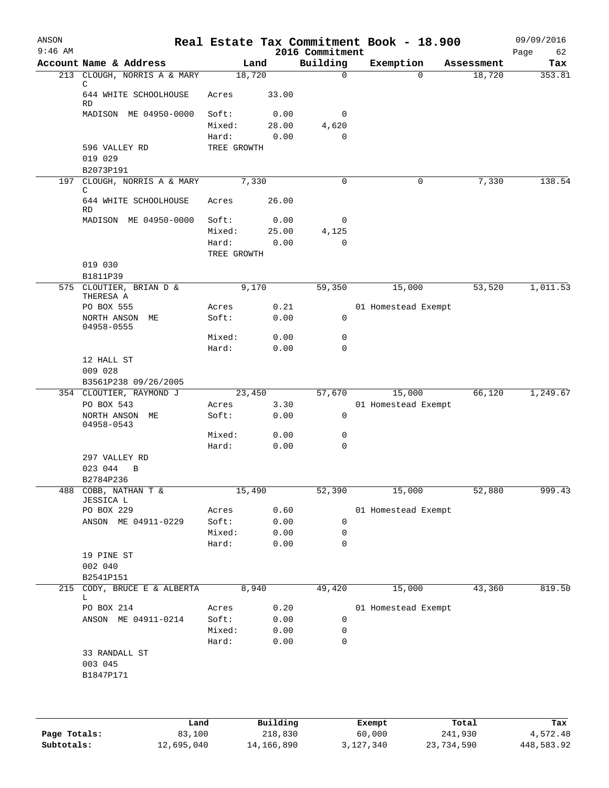| ANSON<br>$9:46$ AM |                                    |                      |              | 2016 Commitment            | Real Estate Tax Commitment Book - 18.900 |            | 09/09/2016<br>Page<br>62 |
|--------------------|------------------------------------|----------------------|--------------|----------------------------|------------------------------------------|------------|--------------------------|
|                    | Account Name & Address             |                      | Land         | Building                   | Exemption                                | Assessment | Tax                      |
|                    | 213 CLOUGH, NORRIS A & MARY<br>C   |                      | 18,720       | $\mathbf 0$                | $\Omega$                                 | 18,720     | 353.81                   |
|                    | 644 WHITE SCHOOLHOUSE<br><b>RD</b> | Acres                | 33.00        |                            |                                          |            |                          |
|                    | MADISON ME 04950-0000              | Soft:                | 0.00         | 0                          |                                          |            |                          |
|                    |                                    | Mixed:               | 28.00        | 4,620                      |                                          |            |                          |
|                    | 596 VALLEY RD                      | Hard:<br>TREE GROWTH | 0.00         | $\mathbf 0$                |                                          |            |                          |
|                    | 019 029                            |                      |              |                            |                                          |            |                          |
|                    | B2073P191                          |                      |              |                            |                                          |            |                          |
| 197                | CLOUGH, NORRIS A & MARY<br>C       |                      | 7,330        | $\mathbf 0$                | 0                                        | 7,330      | 138.54                   |
|                    | 644 WHITE SCHOOLHOUSE<br>RD        | Acres                | 26.00        |                            |                                          |            |                          |
|                    | MADISON ME 04950-0000              | Soft:                | 0.00         | 0                          |                                          |            |                          |
|                    |                                    | Mixed:               | 25.00        | 4,125                      |                                          |            |                          |
|                    |                                    | Hard:                | 0.00         | $\mathbf 0$                |                                          |            |                          |
|                    |                                    | TREE GROWTH          |              |                            |                                          |            |                          |
|                    | 019 030<br>B1811P39                |                      |              |                            |                                          |            |                          |
|                    | 575 CLOUTIER, BRIAN D &            |                      | 9,170        | 59,350                     | 15,000                                   | 53,520     | 1,011.53                 |
|                    | THERESA A                          |                      |              |                            |                                          |            |                          |
|                    | PO BOX 555<br>NORTH ANSON ME       | Acres<br>Soft:       | 0.21<br>0.00 | 0                          | 01 Homestead Exempt                      |            |                          |
|                    | 04958-0555                         |                      |              |                            |                                          |            |                          |
|                    |                                    | Mixed:<br>Hard:      | 0.00         | $\mathbf 0$<br>$\mathbf 0$ |                                          |            |                          |
|                    | 12 HALL ST                         |                      | 0.00         |                            |                                          |            |                          |
|                    | 009 028<br>B3561P238 09/26/2005    |                      |              |                            |                                          |            |                          |
|                    | 354 CLOUTIER, RAYMOND J            |                      | 23,450       | 57,670                     | 15,000                                   | 66,120     | 1,249.67                 |
|                    | PO BOX 543                         | Acres                | 3.30         |                            | 01 Homestead Exempt                      |            |                          |
|                    | NORTH ANSON ME<br>04958-0543       | Soft:                | 0.00         | 0                          |                                          |            |                          |
|                    |                                    | Mixed:               | 0.00         | 0                          |                                          |            |                          |
|                    |                                    | Hard:                | 0.00         | $\mathbf 0$                |                                          |            |                          |
|                    | 297 VALLEY RD<br>023 044<br>B      |                      |              |                            |                                          |            |                          |
|                    | B2784P236                          |                      |              |                            |                                          |            |                          |
|                    | 488 COBB, NATHAN T &               |                      | 15,490       | 52,390                     | 15,000                                   | 52,880     | 999.43                   |
|                    | JESSICA L                          |                      |              |                            |                                          |            |                          |
|                    | PO BOX 229<br>ANSON ME 04911-0229  | Acres<br>Soft:       | 0.60<br>0.00 | 0                          | 01 Homestead Exempt                      |            |                          |
|                    |                                    | Mixed:               | 0.00         | 0                          |                                          |            |                          |
|                    |                                    | Hard:                | 0.00         | 0                          |                                          |            |                          |
|                    | 19 PINE ST                         |                      |              |                            |                                          |            |                          |
|                    | 002 040                            |                      |              |                            |                                          |            |                          |
|                    | B2541P151                          |                      |              |                            |                                          |            |                          |
| 215                | CODY, BRUCE E & ALBERTA<br>L       |                      | 8,940        | 49,420                     | 15,000                                   | 43,360     | 819.50                   |
|                    | PO BOX 214                         | Acres                | 0.20         |                            | 01 Homestead Exempt                      |            |                          |
|                    | ANSON ME 04911-0214                | Soft:                | 0.00         | 0                          |                                          |            |                          |
|                    |                                    | Mixed:               | 0.00         | 0                          |                                          |            |                          |
|                    |                                    | Hard:                | 0.00         | 0                          |                                          |            |                          |
|                    | 33 RANDALL ST<br>003 045           |                      |              |                            |                                          |            |                          |
|                    | B1847P171                          |                      |              |                            |                                          |            |                          |
|                    |                                    |                      |              |                            |                                          |            |                          |
|                    |                                    |                      |              |                            |                                          |            |                          |
|                    |                                    |                      |              |                            |                                          |            |                          |
|                    |                                    |                      |              |                            |                                          |            |                          |

|              | Land       | Building   | Exempt    | Total      | Tax        |
|--------------|------------|------------|-----------|------------|------------|
| Page Totals: | 83,100     | 218,830    | 60,000    | 241,930    | 4,572.48   |
| Subtotals:   | 12,695,040 | 14,166,890 | 3,127,340 | 23,734,590 | 448,583.92 |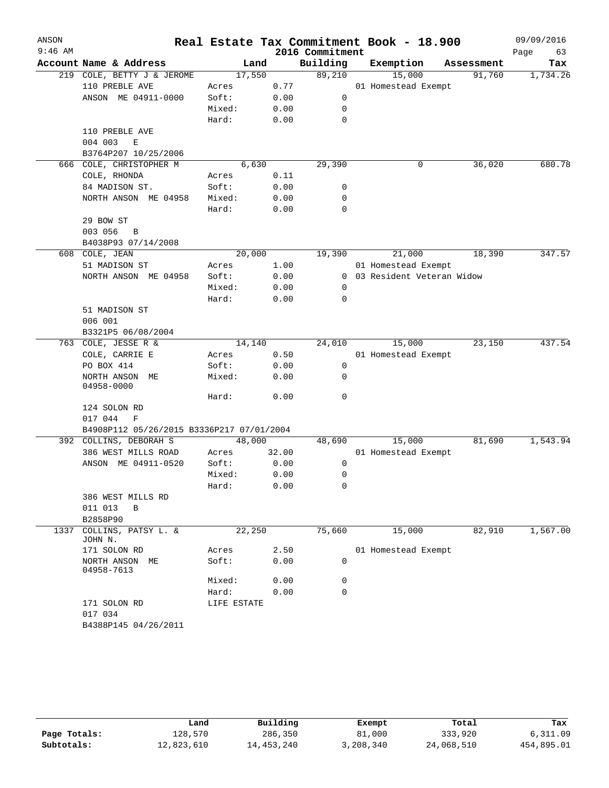| ANSON     |                                           |             |       |                 | Real Estate Tax Commitment Book - 18.900 |            | 09/09/2016 |
|-----------|-------------------------------------------|-------------|-------|-----------------|------------------------------------------|------------|------------|
| $9:46$ AM |                                           |             |       | 2016 Commitment |                                          |            | Page<br>63 |
|           | Account Name & Address                    | Land        |       | Building        | Exemption                                | Assessment | Tax        |
|           | 219 COLE, BETTY J & JEROME                | 17,550      |       | 89,210          | 15,000                                   | 91,760     | 1,734.26   |
|           | 110 PREBLE AVE                            | Acres       | 0.77  |                 | 01 Homestead Exempt                      |            |            |
|           | ANSON ME 04911-0000                       | Soft:       | 0.00  | 0               |                                          |            |            |
|           |                                           | Mixed:      | 0.00  | 0               |                                          |            |            |
|           |                                           | Hard:       | 0.00  | 0               |                                          |            |            |
|           | 110 PREBLE AVE                            |             |       |                 |                                          |            |            |
|           | $\mathbf E$<br>004 003                    |             |       |                 |                                          |            |            |
|           | B3764P207 10/25/2006                      |             |       |                 |                                          |            |            |
| 666       | COLE, CHRISTOPHER M                       | 6,630       |       | 29,390          | 0                                        | 36,020     | 680.78     |
|           | COLE, RHONDA                              | Acres       | 0.11  |                 |                                          |            |            |
|           | 84 MADISON ST.                            | Soft:       | 0.00  | 0               |                                          |            |            |
|           | NORTH ANSON ME 04958                      | Mixed:      | 0.00  | 0               |                                          |            |            |
|           |                                           | Hard:       | 0.00  | 0               |                                          |            |            |
|           | 29 BOW ST                                 |             |       |                 |                                          |            |            |
|           | 003 056<br>B                              |             |       |                 |                                          |            |            |
|           | B4038P93 07/14/2008                       |             |       |                 |                                          |            |            |
| 608       | COLE, JEAN                                | 20,000      |       | 19,390          | 21,000                                   | 18,390     | 347.57     |
|           | 51 MADISON ST                             | Acres       | 1.00  |                 | 01 Homestead Exempt                      |            |            |
|           | NORTH ANSON ME 04958                      | Soft:       | 0.00  |                 | 0 03 Resident Veteran Widow              |            |            |
|           |                                           | Mixed:      | 0.00  | 0               |                                          |            |            |
|           |                                           | Hard:       | 0.00  | 0               |                                          |            |            |
|           | 51 MADISON ST                             |             |       |                 |                                          |            |            |
|           | 006 001                                   |             |       |                 |                                          |            |            |
|           | B3321P5 06/08/2004                        |             |       |                 |                                          |            |            |
| 763       | COLE, JESSE R &                           | 14,140      |       | 24,010          | 15,000                                   | 23,150     | 437.54     |
|           | COLE, CARRIE E                            | Acres       | 0.50  |                 | 01 Homestead Exempt                      |            |            |
|           | PO BOX 414                                | Soft:       | 0.00  | 0               |                                          |            |            |
|           | NORTH ANSON ME                            | Mixed:      | 0.00  | 0               |                                          |            |            |
|           | 04958-0000                                |             |       |                 |                                          |            |            |
|           |                                           | Hard:       | 0.00  | $\mathbf 0$     |                                          |            |            |
|           | 124 SOLON RD                              |             |       |                 |                                          |            |            |
|           | 017 044<br>F                              |             |       |                 |                                          |            |            |
|           | B4908P112 05/26/2015 B3336P217 07/01/2004 |             |       |                 |                                          |            |            |
|           | 392 COLLINS, DEBORAH S                    | 48,000      |       | 48,690          | 15,000                                   | 81,690     | 1,543.94   |
|           | 386 WEST MILLS ROAD                       | Acres       | 32.00 |                 | 01 Homestead Exempt                      |            |            |
|           | ANSON ME 04911-0520                       | Soft:       | 0.00  | 0               |                                          |            |            |
|           |                                           | Mixed:      | 0.00  | 0               |                                          |            |            |
|           |                                           | Hard:       | 0.00  | 0               |                                          |            |            |
|           | 386 WEST MILLS RD                         |             |       |                 |                                          |            |            |
|           | 011 013<br>B                              |             |       |                 |                                          |            |            |
|           | B2858P90                                  |             |       |                 |                                          |            |            |
| 1337      | COLLINS, PATSY L. &<br>JOHN N.            | 22,250      |       | 75,660          | 15,000                                   | 82,910     | 1,567.00   |
|           | 171 SOLON RD                              | Acres       | 2.50  |                 | 01 Homestead Exempt                      |            |            |
|           | NORTH ANSON ME<br>04958-7613              | Soft:       | 0.00  | 0               |                                          |            |            |
|           |                                           | Mixed:      | 0.00  | 0               |                                          |            |            |
|           |                                           | Hard:       | 0.00  | 0               |                                          |            |            |
|           | 171 SOLON RD<br>017 034                   | LIFE ESTATE |       |                 |                                          |            |            |
|           | B4388P145 04/26/2011                      |             |       |                 |                                          |            |            |
|           |                                           |             |       |                 |                                          |            |            |

|              | Land       | Building     | Exempt    | Total      | Tax        |
|--------------|------------|--------------|-----------|------------|------------|
| Page Totals: | 128,570    | 286,350      | 81,000    | 333,920    | 6,311.09   |
| Subtotals:   | 12,823,610 | 14, 453, 240 | 3,208,340 | 24,068,510 | 454,895.01 |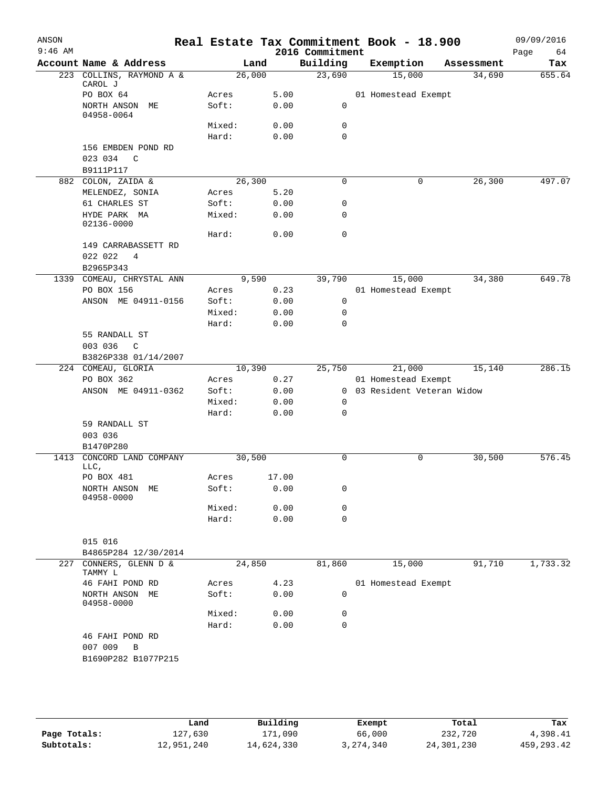| ANSON<br>$9:46$ AM |                                  |                |       |              | Real Estate Tax Commitment Book - 18.900<br>2016 Commitment |                                                    |            |      | 09/09/2016 |
|--------------------|----------------------------------|----------------|-------|--------------|-------------------------------------------------------------|----------------------------------------------------|------------|------|------------|
|                    | Account Name & Address           |                | Land  |              | Building                                                    | Exemption                                          | Assessment | Page | 64<br>Tax  |
|                    | 223 COLLINS, RAYMOND A &         | 26,000         |       |              | 23,690                                                      | 15,000                                             | 34,690     |      | 655.64     |
|                    | CAROL J                          |                |       |              |                                                             |                                                    |            |      |            |
|                    | PO BOX 64                        | Acres          |       | 5.00         |                                                             | 01 Homestead Exempt                                |            |      |            |
|                    | NORTH ANSON ME<br>04958-0064     | Soft:          |       | 0.00         | 0                                                           |                                                    |            |      |            |
|                    |                                  | Mixed:         |       | 0.00         | 0                                                           |                                                    |            |      |            |
|                    |                                  | Hard:          |       | 0.00         | 0                                                           |                                                    |            |      |            |
|                    | 156 EMBDEN POND RD               |                |       |              |                                                             |                                                    |            |      |            |
|                    | 023 034<br>C                     |                |       |              |                                                             |                                                    |            |      |            |
|                    | B9111P117                        |                |       |              |                                                             |                                                    |            |      |            |
|                    | 882 COLON, ZAIDA &               | 26,300         |       |              | $\mathbf 0$                                                 | 0                                                  | 26,300     |      | 497.07     |
|                    | MELENDEZ, SONIA                  | Acres          |       | 5.20         |                                                             |                                                    |            |      |            |
|                    | 61 CHARLES ST                    | Soft:          |       | 0.00         | 0                                                           |                                                    |            |      |            |
|                    | HYDE PARK MA<br>02136-0000       | Mixed:         |       | 0.00         | 0                                                           |                                                    |            |      |            |
|                    |                                  | Hard:          |       | 0.00         | $\mathbf 0$                                                 |                                                    |            |      |            |
|                    | 149 CARRABASSETT RD              |                |       |              |                                                             |                                                    |            |      |            |
|                    | 022 022<br>4                     |                |       |              |                                                             |                                                    |            |      |            |
|                    | B2965P343                        |                |       |              |                                                             |                                                    |            |      |            |
|                    | 1339 COMEAU, CHRYSTAL ANN        |                | 9,590 |              | 39,790                                                      | 15,000                                             | 34,380     |      | 649.78     |
|                    | PO BOX 156                       | Acres          |       | 0.23         |                                                             | 01 Homestead Exempt                                |            |      |            |
|                    | ANSON ME 04911-0156              | Soft:          |       | 0.00         | $\mathbf 0$                                                 |                                                    |            |      |            |
|                    |                                  | Mixed:         |       | 0.00         | 0                                                           |                                                    |            |      |            |
|                    |                                  | Hard:          |       | 0.00         | 0                                                           |                                                    |            |      |            |
|                    | 55 RANDALL ST                    |                |       |              |                                                             |                                                    |            |      |            |
|                    | 003 036<br>$\mathsf{C}$          |                |       |              |                                                             |                                                    |            |      |            |
|                    | B3826P338 01/14/2007             |                |       |              |                                                             |                                                    |            |      |            |
|                    | 224 COMEAU, GLORIA<br>PO BOX 362 | 10,390         |       |              | 25,750                                                      | 21,000                                             | 15,140     |      | 286.15     |
|                    | ANSON ME 04911-0362              | Acres<br>Soft: |       | 0.27<br>0.00 |                                                             | 01 Homestead Exempt<br>0 03 Resident Veteran Widow |            |      |            |
|                    |                                  | Mixed:         |       | 0.00         | 0                                                           |                                                    |            |      |            |
|                    |                                  | Hard:          |       | 0.00         | 0                                                           |                                                    |            |      |            |
|                    | 59 RANDALL ST                    |                |       |              |                                                             |                                                    |            |      |            |
|                    | 003 036                          |                |       |              |                                                             |                                                    |            |      |            |
|                    | B1470P280                        |                |       |              |                                                             |                                                    |            |      |            |
| 1413               | CONCORD LAND COMPANY<br>LLC,     | 30,500         |       |              | 0                                                           | 0                                                  | 30,500     |      | 576.45     |
|                    | PO BOX 481                       | Acres          |       | 17.00        |                                                             |                                                    |            |      |            |
|                    | NORTH ANSON ME<br>04958-0000     | Soft:          |       | 0.00         | 0                                                           |                                                    |            |      |            |
|                    |                                  | Mixed:         |       | 0.00         | 0                                                           |                                                    |            |      |            |
|                    |                                  | Hard:          |       | 0.00         | 0                                                           |                                                    |            |      |            |
|                    | 015 016                          |                |       |              |                                                             |                                                    |            |      |            |
|                    | B4865P284 12/30/2014             |                |       |              |                                                             |                                                    |            |      |            |
| 227                | CONNERS, GLENN D &               | 24,850         |       |              | 81,860                                                      | 15,000                                             | 91,710     |      | 1,733.32   |
|                    | TAMMY L                          |                |       |              |                                                             |                                                    |            |      |            |
|                    | 46 FAHI POND RD                  | Acres          |       | 4.23         |                                                             | 01 Homestead Exempt                                |            |      |            |
|                    | NORTH ANSON<br>МE<br>04958-0000  | Soft:          |       | 0.00         | 0                                                           |                                                    |            |      |            |
|                    |                                  | Mixed:         |       | 0.00         | 0                                                           |                                                    |            |      |            |
|                    |                                  | Hard:          |       | 0.00         | $\mathbf 0$                                                 |                                                    |            |      |            |
|                    | 46 FAHI POND RD                  |                |       |              |                                                             |                                                    |            |      |            |
|                    | 007 009<br>В                     |                |       |              |                                                             |                                                    |            |      |            |
|                    | B1690P282 B1077P215              |                |       |              |                                                             |                                                    |            |      |            |
|                    |                                  |                |       |              |                                                             |                                                    |            |      |            |
|                    |                                  |                |       |              |                                                             |                                                    |            |      |            |

|              | Land       | Building   | Exempt    | Total      | Tax          |
|--------------|------------|------------|-----------|------------|--------------|
| Page Totals: | 127,630    | 171,090    | 66,000    | 232,720    | 4,398.41     |
| Subtotals:   | 12,951,240 | 14,624,330 | 3,274,340 | 24,301,230 | 459, 293. 42 |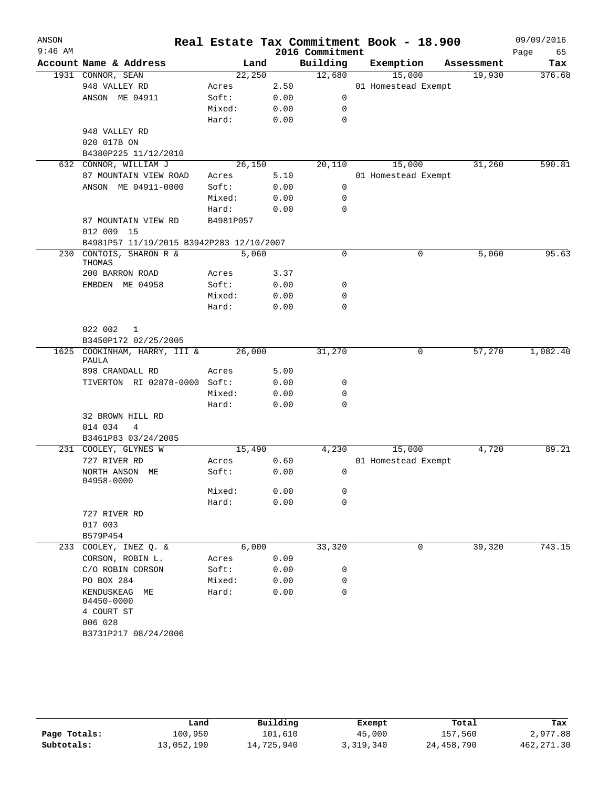| ANSON<br>$9:46$ AM |                                              |           |      | 2016 Commitment | Real Estate Tax Commitment Book - 18.900 |            | 09/09/2016<br>65<br>Page |
|--------------------|----------------------------------------------|-----------|------|-----------------|------------------------------------------|------------|--------------------------|
|                    | Account Name & Address                       | Land      |      | Building        | Exemption                                | Assessment | Tax                      |
|                    | 1931 CONNOR, SEAN                            | 22,250    |      | 12,680          | 15,000                                   | 19,930     | 376.68                   |
|                    | 948 VALLEY RD                                | Acres     | 2.50 |                 | 01 Homestead Exempt                      |            |                          |
|                    | ANSON ME 04911                               | Soft:     | 0.00 | 0               |                                          |            |                          |
|                    |                                              | Mixed:    | 0.00 | 0               |                                          |            |                          |
|                    |                                              | Hard:     | 0.00 | 0               |                                          |            |                          |
|                    | 948 VALLEY RD                                |           |      |                 |                                          |            |                          |
|                    | 020 017B ON                                  |           |      |                 |                                          |            |                          |
|                    | B4380P225 11/12/2010                         |           |      |                 |                                          |            |                          |
|                    | 632 CONNOR, WILLIAM J                        | 26,150    |      | 20,110          | 15,000                                   | 31,260     | 590.81                   |
|                    | 87 MOUNTAIN VIEW ROAD                        | Acres     | 5.10 |                 | 01 Homestead Exempt                      |            |                          |
|                    | ANSON ME 04911-0000                          | Soft:     | 0.00 | 0               |                                          |            |                          |
|                    |                                              | Mixed:    | 0.00 | 0               |                                          |            |                          |
|                    |                                              | Hard:     | 0.00 | 0               |                                          |            |                          |
|                    | 87 MOUNTAIN VIEW RD<br>012 009 15            | B4981P057 |      |                 |                                          |            |                          |
|                    | B4981P57 11/19/2015 B3942P283 12/10/2007     |           |      |                 |                                          |            |                          |
| 230                | CONTOIS, SHARON R &                          | 5,060     |      | $\mathbf 0$     | 0                                        | 5,060      | 95.63                    |
|                    | THOMAS                                       |           |      |                 |                                          |            |                          |
|                    | 200 BARRON ROAD                              | Acres     | 3.37 |                 |                                          |            |                          |
|                    | EMBDEN ME 04958                              | Soft:     | 0.00 | 0               |                                          |            |                          |
|                    |                                              | Mixed:    | 0.00 | 0               |                                          |            |                          |
|                    |                                              | Hard:     | 0.00 | 0               |                                          |            |                          |
|                    | 022 002<br>1                                 |           |      |                 |                                          |            |                          |
|                    | B3450P172 02/25/2005                         |           |      |                 |                                          |            |                          |
|                    | 1625 COOKINHAM, HARRY, III &                 | 26,000    |      | 31,270          | 0                                        | 57,270     | 1,082.40                 |
|                    | PAULA                                        |           |      |                 |                                          |            |                          |
|                    | 898 CRANDALL RD                              | Acres     | 5.00 |                 |                                          |            |                          |
|                    | TIVERTON RI 02878-0000 Soft:                 |           | 0.00 | 0               |                                          |            |                          |
|                    |                                              | Mixed:    | 0.00 | 0               |                                          |            |                          |
|                    |                                              | Hard:     | 0.00 | 0               |                                          |            |                          |
|                    | 32 BROWN HILL RD                             |           |      |                 |                                          |            |                          |
|                    | 014 034<br>4                                 |           |      |                 |                                          |            |                          |
|                    | B3461P83 03/24/2005                          |           |      |                 |                                          |            |                          |
|                    | 231 COOLEY, GLYNES W                         | 15,490    |      | 4,230           | 15,000                                   | 4,720      | 89.21                    |
|                    | 727 RIVER RD                                 | Acres     | 0.60 |                 | 01 Homestead Exempt                      |            |                          |
|                    | NORTH ANSON ME<br>04958-0000                 | Soft:     | 0.00 | 0               |                                          |            |                          |
|                    |                                              | Mixed:    | 0.00 | 0               |                                          |            |                          |
|                    |                                              | Hard:     | 0.00 | 0               |                                          |            |                          |
|                    | 727 RIVER RD                                 |           |      |                 |                                          |            |                          |
|                    | 017 003                                      |           |      |                 |                                          |            |                          |
|                    | B579P454                                     |           |      |                 |                                          |            |                          |
| 233                | COOLEY, INEZ Q. &                            | 6,000     |      | 33,320          | 0                                        | 39,320     | 743.15                   |
|                    | CORSON, ROBIN L.                             | Acres     | 0.09 |                 |                                          |            |                          |
|                    | C/O ROBIN CORSON                             | Soft:     | 0.00 | 0               |                                          |            |                          |
|                    | PO BOX 284                                   | Mixed:    | 0.00 | 0               |                                          |            |                          |
|                    | KENDUSKEAG<br>МE<br>04450-0000<br>4 COURT ST | Hard:     | 0.00 | 0               |                                          |            |                          |
|                    | 006 028                                      |           |      |                 |                                          |            |                          |
|                    |                                              |           |      |                 |                                          |            |                          |
|                    | B3731P217 08/24/2006                         |           |      |                 |                                          |            |                          |
|                    |                                              |           |      |                 |                                          |            |                          |

|              | Land       | Building   | Exempt    | Total      | Tax         |
|--------------|------------|------------|-----------|------------|-------------|
| Page Totals: | 100,950    | 101,610    | 45,000    | 157,560    | 2,977.88    |
| Subtotals:   | 13,052,190 | 14,725,940 | 3,319,340 | 24,458,790 | 462, 271.30 |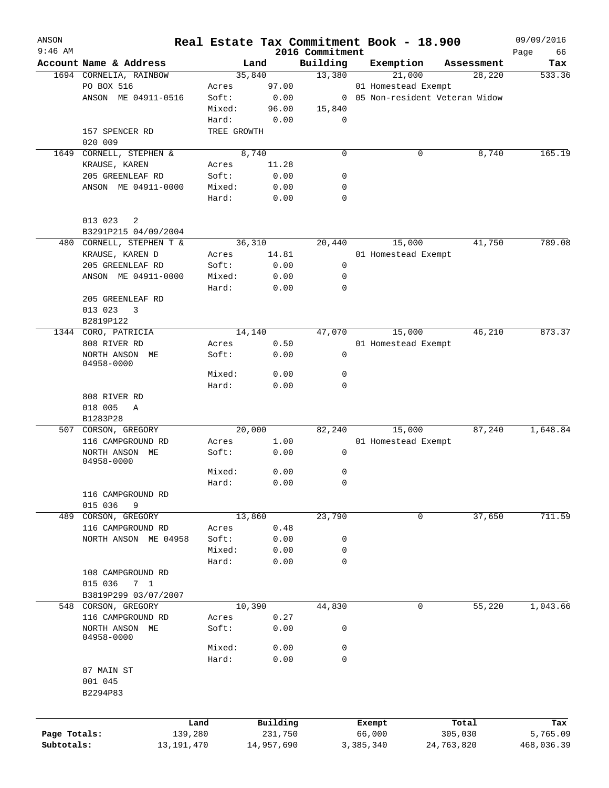| ANSON<br>$9:46$ AM |                              |             |            |                             | Real Estate Tax Commitment Book - 18.900 |            | 09/09/2016        |
|--------------------|------------------------------|-------------|------------|-----------------------------|------------------------------------------|------------|-------------------|
|                    | Account Name & Address       |             | Land       | 2016 Commitment<br>Building | Exemption                                | Assessment | Page<br>66<br>Tax |
|                    | 1694 CORNELIA, RAINBOW       |             | 35,840     | 13,380                      | 21,000                                   | 28,220     | 533.36            |
|                    | PO BOX 516                   | Acres       | 97.00      |                             | 01 Homestead Exempt                      |            |                   |
|                    | ANSON ME 04911-0516          | Soft:       | 0.00       |                             | 0 05 Non-resident Veteran Widow          |            |                   |
|                    |                              | Mixed:      | 96.00      | 15,840                      |                                          |            |                   |
|                    |                              | Hard:       | 0.00       | 0                           |                                          |            |                   |
|                    |                              |             |            |                             |                                          |            |                   |
|                    | 157 SPENCER RD               | TREE GROWTH |            |                             |                                          |            |                   |
|                    | 020 009                      |             |            |                             |                                          |            |                   |
| 1649               | CORNELL, STEPHEN &           |             | 8,740      | $\mathbf 0$                 | 0                                        | 8,740      | 165.19            |
|                    | KRAUSE, KAREN                | Acres       | 11.28      |                             |                                          |            |                   |
|                    | 205 GREENLEAF RD             | Soft:       | 0.00       | 0                           |                                          |            |                   |
|                    | ANSON ME 04911-0000          | Mixed:      | 0.00       | 0                           |                                          |            |                   |
|                    |                              | Hard:       | 0.00       | 0                           |                                          |            |                   |
|                    | 013 023<br>2                 |             |            |                             |                                          |            |                   |
|                    | B3291P215 04/09/2004         |             |            |                             |                                          |            |                   |
|                    | 480 CORNELL, STEPHEN T &     |             | 36,310     | 20,440                      | 15,000                                   | 41,750     | 789.08            |
|                    | KRAUSE, KAREN D              | Acres       | 14.81      |                             | 01 Homestead Exempt                      |            |                   |
|                    | 205 GREENLEAF RD             | Soft:       | 0.00       | $\mathbf 0$                 |                                          |            |                   |
|                    | ANSON ME 04911-0000          | Mixed:      | 0.00       | 0                           |                                          |            |                   |
|                    |                              | Hard:       | 0.00       | 0                           |                                          |            |                   |
|                    | 205 GREENLEAF RD             |             |            |                             |                                          |            |                   |
|                    | 013 023<br>3                 |             |            |                             |                                          |            |                   |
|                    | B2819P122                    |             |            |                             |                                          |            |                   |
|                    | 1344 CORO, PATRICIA          |             | 14,140     | 47,070                      | 15,000                                   | 46,210     | 873.37            |
|                    |                              |             |            |                             |                                          |            |                   |
|                    | 808 RIVER RD                 | Acres       | 0.50       |                             | 01 Homestead Exempt                      |            |                   |
|                    | NORTH ANSON ME<br>04958-0000 | Soft:       | 0.00       | 0                           |                                          |            |                   |
|                    |                              | Mixed:      | 0.00       | 0                           |                                          |            |                   |
|                    |                              | Hard:       | 0.00       | $\mathbf 0$                 |                                          |            |                   |
|                    | 808 RIVER RD                 |             |            |                             |                                          |            |                   |
|                    | 018 005<br>Α                 |             |            |                             |                                          |            |                   |
|                    | B1283P28                     |             |            |                             |                                          |            |                   |
|                    | 507 CORSON, GREGORY          |             | 20,000     | 82,240                      | 15,000                                   | 87,240     | 1,648.84          |
|                    | 116 CAMPGROUND RD            | Acres       | 1.00       |                             | 01 Homestead Exempt                      |            |                   |
|                    | NORTH ANSON ME               | Soft:       | 0.00       | 0                           |                                          |            |                   |
|                    | 04958-0000                   |             |            |                             |                                          |            |                   |
|                    |                              | Mixed:      | 0.00       | 0                           |                                          |            |                   |
|                    |                              | Hard:       | 0.00       | $\Omega$                    |                                          |            |                   |
|                    | 116 CAMPGROUND RD            |             |            |                             |                                          |            |                   |
|                    | 015 036<br>9                 |             |            |                             |                                          |            |                   |
| 489                | CORSON, GREGORY              |             | 13,860     | 23,790                      | 0                                        | 37,650     | 711.59            |
|                    | 116 CAMPGROUND RD            | Acres       | 0.48       |                             |                                          |            |                   |
|                    | NORTH ANSON ME 04958         | Soft:       | 0.00       | 0                           |                                          |            |                   |
|                    |                              | Mixed:      | 0.00       |                             |                                          |            |                   |
|                    |                              |             |            | 0                           |                                          |            |                   |
|                    |                              | Hard:       | 0.00       | 0                           |                                          |            |                   |
|                    | 108 CAMPGROUND RD            |             |            |                             |                                          |            |                   |
|                    | 015 036<br>7 <sub>1</sub>    |             |            |                             |                                          |            |                   |
|                    | B3819P299 03/07/2007         |             |            |                             |                                          |            |                   |
| 548                | CORSON, GREGORY              |             | 10,390     | 44,830                      | 0                                        | 55,220     | 1,043.66          |
|                    | 116 CAMPGROUND RD            | Acres       | 0.27       |                             |                                          |            |                   |
|                    | NORTH ANSON ME               | Soft:       | 0.00       | 0                           |                                          |            |                   |
|                    | 04958-0000                   |             |            |                             |                                          |            |                   |
|                    |                              | Mixed:      | 0.00       | 0                           |                                          |            |                   |
|                    |                              | Hard:       | 0.00       | 0                           |                                          |            |                   |
|                    | 87 MAIN ST                   |             |            |                             |                                          |            |                   |
|                    | 001 045                      |             |            |                             |                                          |            |                   |
|                    | B2294P83                     |             |            |                             |                                          |            |                   |
|                    |                              |             |            |                             |                                          |            |                   |
|                    |                              | Land        | Building   |                             | Exempt                                   | Total      | Tax               |
| Page Totals:       | 139,280                      |             | 231,750    |                             | 66,000                                   | 305,030    | 5,765.09          |
| Subtotals:         | 13, 191, 470                 |             | 14,957,690 |                             | 3,385,340                                | 24,763,820 | 468,036.39        |
|                    |                              |             |            |                             |                                          |            |                   |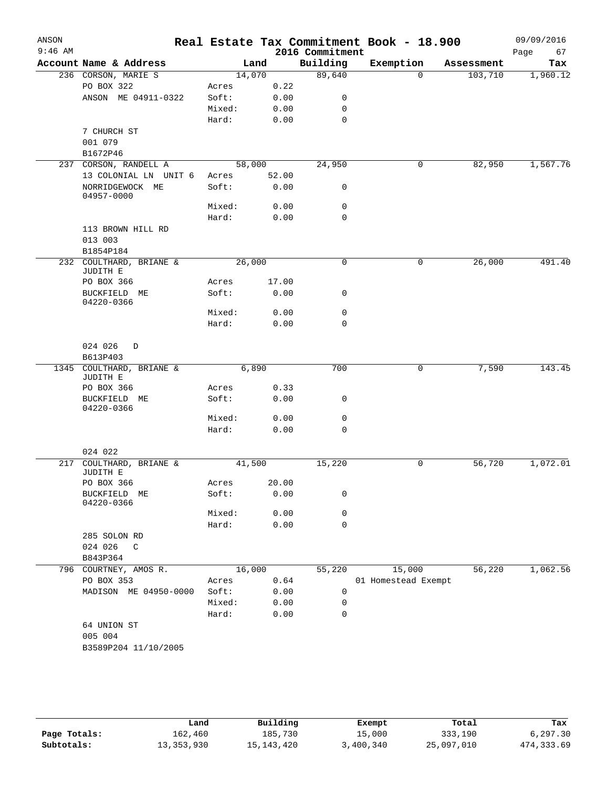| ANSON     |                                            |        |       |                 | Real Estate Tax Commitment Book - 18.900 |            | 09/09/2016 |
|-----------|--------------------------------------------|--------|-------|-----------------|------------------------------------------|------------|------------|
| $9:46$ AM |                                            |        |       | 2016 Commitment |                                          |            | Page<br>67 |
|           | Account Name & Address                     |        | Land  | Building        | Exemption                                | Assessment | Tax        |
|           | 236 CORSON, MARIE S                        | 14,070 |       | 89,640          | $\mathbf 0$                              | 103,710    | 1,960.12   |
|           | PO BOX 322                                 | Acres  | 0.22  |                 |                                          |            |            |
|           | ANSON ME 04911-0322                        | Soft:  | 0.00  | 0               |                                          |            |            |
|           |                                            | Mixed: | 0.00  | 0               |                                          |            |            |
|           |                                            | Hard:  | 0.00  | 0               |                                          |            |            |
|           | 7 CHURCH ST                                |        |       |                 |                                          |            |            |
|           | 001 079                                    |        |       |                 |                                          |            |            |
| 237       | B1672P46<br>CORSON, RANDELL A              | 58,000 |       | 24,950          | 0                                        | 82,950     | 1,567.76   |
|           | 13 COLONIAL LN UNIT 6                      | Acres  | 52.00 |                 |                                          |            |            |
|           | NORRIDGEWOCK ME<br>04957-0000              | Soft:  | 0.00  | 0               |                                          |            |            |
|           |                                            | Mixed: | 0.00  | 0               |                                          |            |            |
|           |                                            | Hard:  | 0.00  | 0               |                                          |            |            |
|           | 113 BROWN HILL RD                          |        |       |                 |                                          |            |            |
|           | 013 003                                    |        |       |                 |                                          |            |            |
|           | B1854P184                                  |        |       |                 |                                          |            |            |
|           | 232 COULTHARD, BRIANE &<br><b>JUDITH E</b> | 26,000 |       | $\mathsf{O}$    | 0                                        | 26,000     | 491.40     |
|           | PO BOX 366                                 | Acres  | 17.00 |                 |                                          |            |            |
|           | BUCKFIELD ME<br>04220-0366                 | Soft:  | 0.00  | 0               |                                          |            |            |
|           |                                            | Mixed: | 0.00  | $\mathbf 0$     |                                          |            |            |
|           |                                            | Hard:  | 0.00  | 0               |                                          |            |            |
|           |                                            |        |       |                 |                                          |            |            |
|           | 024 026<br>D                               |        |       |                 |                                          |            |            |
|           | B613P403                                   |        |       |                 |                                          |            |            |
| 1345      | COULTHARD, BRIANE &                        |        | 6,890 | 700             | 0                                        | 7,590      | 143.45     |
|           | JUDITH E<br>PO BOX 366                     | Acres  | 0.33  |                 |                                          |            |            |
|           | BUCKFIELD ME                               | Soft:  | 0.00  | 0               |                                          |            |            |
|           | 04220-0366                                 |        |       |                 |                                          |            |            |
|           |                                            | Mixed: | 0.00  | 0               |                                          |            |            |
|           |                                            | Hard:  | 0.00  | 0               |                                          |            |            |
|           |                                            |        |       |                 |                                          |            |            |
|           | 024 022                                    |        |       |                 |                                          |            |            |
| 217       | COULTHARD, BRIANE &                        | 41,500 |       | 15,220          | 0                                        | 56,720     | 1,072.01   |
|           | JUDITH E<br>PO BOX 366                     | Acres  | 20.00 |                 |                                          |            |            |
|           | BUCKFIELD ME                               | Soft:  | 0.00  | 0               |                                          |            |            |
|           | 04220-0366                                 |        |       |                 |                                          |            |            |
|           |                                            | Mixed: | 0.00  | 0               |                                          |            |            |
|           |                                            | Hard:  | 0.00  | 0               |                                          |            |            |
|           | 285 SOLON RD                               |        |       |                 |                                          |            |            |
|           | 024 026<br>C                               |        |       |                 |                                          |            |            |
|           | B843P364                                   |        |       |                 |                                          |            |            |
|           | 796 COURTNEY, AMOS R.                      | 16,000 |       | 55,220          | 15,000                                   | 56,220     | 1,062.56   |
|           | PO BOX 353                                 | Acres  | 0.64  |                 | 01 Homestead Exempt                      |            |            |
|           | MADISON ME 04950-0000                      | Soft:  | 0.00  | 0               |                                          |            |            |
|           |                                            | Mixed: | 0.00  | 0               |                                          |            |            |
|           |                                            | Hard:  | 0.00  | $\mathbf 0$     |                                          |            |            |
|           | 64 UNION ST                                |        |       |                 |                                          |            |            |
|           | 005 004                                    |        |       |                 |                                          |            |            |
|           | B3589P204 11/10/2005                       |        |       |                 |                                          |            |            |
|           |                                            |        |       |                 |                                          |            |            |

|              | Land         | Building   | Exempt    | Total      | Tax         |
|--------------|--------------|------------|-----------|------------|-------------|
| Page Totals: | 162,460      | 185,730    | 15,000    | 333,190    | 6,297.30    |
| Subtotals:   | 13, 353, 930 | 15,143,420 | 3,400,340 | 25,097,010 | 474, 333.69 |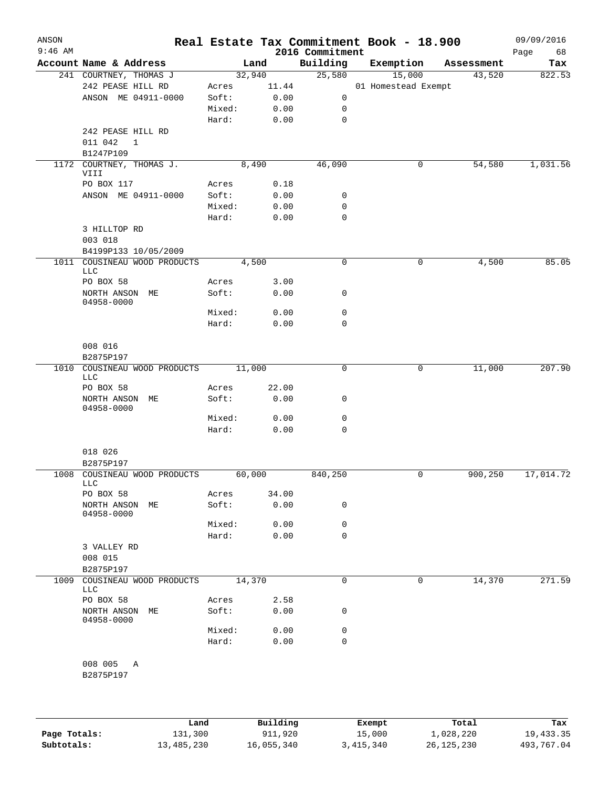| ANSON<br>$9:46$ AM |                                                |        |        | 2016 Commitment |             | Real Estate Tax Commitment Book - 18.900 |            | 09/09/2016<br>Page<br>68 |
|--------------------|------------------------------------------------|--------|--------|-----------------|-------------|------------------------------------------|------------|--------------------------|
|                    | Account Name & Address                         |        | Land   | Building        |             | Exemption                                | Assessment | Tax                      |
|                    | 241 COURTNEY, THOMAS J                         |        | 32,940 |                 | 25,580      | 15,000                                   | 43,520     | 822.53                   |
|                    | 242 PEASE HILL RD                              | Acres  | 11.44  |                 |             | 01 Homestead Exempt                      |            |                          |
|                    | ANSON ME 04911-0000                            | Soft:  | 0.00   |                 | 0           |                                          |            |                          |
|                    |                                                | Mixed: | 0.00   |                 | 0           |                                          |            |                          |
|                    |                                                | Hard:  | 0.00   |                 | $\mathbf 0$ |                                          |            |                          |
|                    | 242 PEASE HILL RD<br>011 042<br>1<br>B1247P109 |        |        |                 |             |                                          |            |                          |
|                    | 1172 COURTNEY, THOMAS J.<br>VIII               |        | 8,490  |                 | 46,090      | 0                                        | 54,580     | 1,031.56                 |
|                    | PO BOX 117                                     | Acres  | 0.18   |                 |             |                                          |            |                          |
|                    | ANSON ME 04911-0000                            | Soft:  | 0.00   |                 | 0           |                                          |            |                          |
|                    |                                                | Mixed: | 0.00   |                 | 0           |                                          |            |                          |
|                    |                                                | Hard:  | 0.00   |                 | 0           |                                          |            |                          |
|                    | 3 HILLTOP RD<br>003 018                        |        |        |                 |             |                                          |            |                          |
|                    | B4199P133 10/05/2009                           |        |        |                 |             |                                          |            |                          |
|                    | 1011 COUSINEAU WOOD PRODUCTS<br>LLC            |        | 4,500  |                 | 0           | 0                                        | 4,500      | 85.05                    |
|                    | PO BOX 58                                      | Acres  | 3.00   |                 |             |                                          |            |                          |
|                    | NORTH ANSON ME<br>04958-0000                   | Soft:  | 0.00   |                 | 0           |                                          |            |                          |
|                    |                                                | Mixed: | 0.00   |                 | 0           |                                          |            |                          |
|                    |                                                | Hard:  | 0.00   |                 | 0           |                                          |            |                          |
|                    | 008 016<br>B2875P197                           |        |        |                 |             |                                          |            |                          |
| 1010               | COUSINEAU WOOD PRODUCTS<br>LLC                 |        | 11,000 |                 | 0           | 0                                        | 11,000     | 207.90                   |
|                    | PO BOX 58                                      | Acres  | 22.00  |                 |             |                                          |            |                          |
|                    | NORTH ANSON ME<br>04958-0000                   | Soft:  | 0.00   |                 | 0           |                                          |            |                          |
|                    |                                                | Mixed: | 0.00   |                 | 0           |                                          |            |                          |
|                    |                                                | Hard:  | 0.00   |                 | $\mathbf 0$ |                                          |            |                          |
|                    | 018 026                                        |        |        |                 |             |                                          |            |                          |
|                    | B2875P197                                      |        |        |                 |             |                                          |            |                          |
|                    | 1008 COUSINEAU WOOD PRODUCTS<br>LLC            |        | 60,000 | 840,250         |             | 0                                        | 900, 250   | 17,014.72                |
|                    | PO BOX 58                                      | Acres  | 34.00  |                 |             |                                          |            |                          |
|                    | NORTH ANSON ME<br>04958-0000                   | Soft:  | 0.00   |                 | 0           |                                          |            |                          |
|                    |                                                | Mixed: | 0.00   |                 | 0           |                                          |            |                          |
|                    |                                                | Hard:  | 0.00   |                 | 0           |                                          |            |                          |
|                    | 3 VALLEY RD<br>008 015                         |        |        |                 |             |                                          |            |                          |
|                    | B2875P197                                      |        |        |                 |             |                                          |            |                          |
| 1009               | COUSINEAU WOOD PRODUCTS<br>LLC                 |        | 14,370 |                 | 0           | 0                                        | 14,370     | 271.59                   |
|                    | PO BOX 58                                      | Acres  | 2.58   |                 |             |                                          |            |                          |
|                    | NORTH ANSON ME<br>04958-0000                   | Soft:  | 0.00   |                 | 0           |                                          |            |                          |
|                    |                                                | Mixed: | 0.00   |                 | 0           |                                          |            |                          |
|                    |                                                | Hard:  | 0.00   |                 | $\mathbf 0$ |                                          |            |                          |
|                    | 008 005 A<br>B2875P197                         |        |        |                 |             |                                          |            |                          |
|                    |                                                |        |        |                 |             |                                          |            |                          |

|              | Land       | Building   | Exempt    | Total        | Tax        |
|--------------|------------|------------|-----------|--------------|------------|
| Page Totals: | 131,300    | 911,920    | 15,000    | 1,028,220    | 19,433.35  |
| Subtotals:   | 13,485,230 | 16,055,340 | 3,415,340 | 26, 125, 230 | 493,767.04 |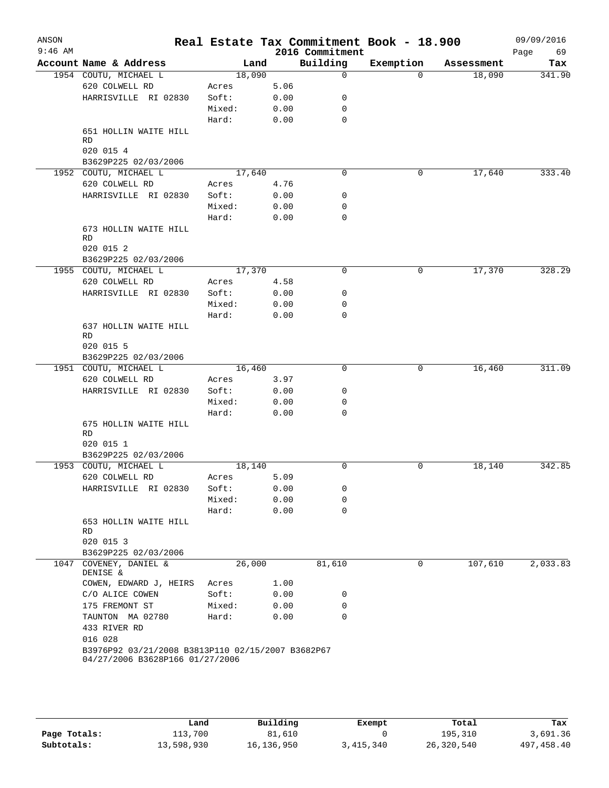| ANSON<br>$9:46$ AM |                                                   |        |      | Real Estate Tax Commitment Book - 18.900<br>2016 Commitment |           |            | 09/09/2016<br>69<br>Page |
|--------------------|---------------------------------------------------|--------|------|-------------------------------------------------------------|-----------|------------|--------------------------|
|                    | Account Name & Address                            | Land   |      | Building                                                    | Exemption | Assessment | Tax                      |
|                    | 1954 COUTU, MICHAEL L                             | 18,090 |      | $\mathbf 0$                                                 | $\Omega$  | 18,090     | 341.90                   |
|                    | 620 COLWELL RD                                    | Acres  | 5.06 |                                                             |           |            |                          |
|                    | HARRISVILLE RI 02830                              | Soft:  | 0.00 | 0                                                           |           |            |                          |
|                    |                                                   | Mixed: | 0.00 | 0                                                           |           |            |                          |
|                    |                                                   | Hard:  | 0.00 | 0                                                           |           |            |                          |
|                    | 651 HOLLIN WAITE HILL                             |        |      |                                                             |           |            |                          |
|                    | RD                                                |        |      |                                                             |           |            |                          |
|                    | 020 015 4<br>B3629P225 02/03/2006                 |        |      |                                                             |           |            |                          |
|                    | 1952 COUTU, MICHAEL L                             | 17,640 |      | 0                                                           | 0         | 17,640     | 333.40                   |
|                    | 620 COLWELL RD                                    | Acres  | 4.76 |                                                             |           |            |                          |
|                    | HARRISVILLE RI 02830                              | Soft:  | 0.00 | 0                                                           |           |            |                          |
|                    |                                                   | Mixed: | 0.00 | 0                                                           |           |            |                          |
|                    |                                                   | Hard:  | 0.00 | 0                                                           |           |            |                          |
|                    | 673 HOLLIN WAITE HILL                             |        |      |                                                             |           |            |                          |
|                    | RD                                                |        |      |                                                             |           |            |                          |
|                    | 020 015 2                                         |        |      |                                                             |           |            |                          |
|                    | B3629P225 02/03/2006                              |        |      |                                                             |           |            |                          |
|                    | 1955 COUTU, MICHAEL L                             | 17,370 |      | $\mathbf 0$                                                 | 0         | 17,370     | 328.29                   |
|                    | 620 COLWELL RD                                    | Acres  | 4.58 |                                                             |           |            |                          |
|                    | HARRISVILLE RI 02830                              | Soft:  | 0.00 | 0                                                           |           |            |                          |
|                    |                                                   | Mixed: | 0.00 | 0                                                           |           |            |                          |
|                    |                                                   | Hard:  | 0.00 | $\Omega$                                                    |           |            |                          |
|                    | 637 HOLLIN WAITE HILL                             |        |      |                                                             |           |            |                          |
|                    | RD                                                |        |      |                                                             |           |            |                          |
|                    | 020 015 5                                         |        |      |                                                             |           |            |                          |
|                    | B3629P225 02/03/2006                              |        |      |                                                             |           |            |                          |
|                    | 1951 COUTU, MICHAEL L                             | 16,460 |      | 0                                                           | 0         | 16,460     | 311.09                   |
|                    | 620 COLWELL RD                                    | Acres  | 3.97 |                                                             |           |            |                          |
|                    | HARRISVILLE RI 02830                              | Soft:  | 0.00 | 0                                                           |           |            |                          |
|                    |                                                   | Mixed: | 0.00 | 0                                                           |           |            |                          |
|                    |                                                   | Hard:  | 0.00 | 0                                                           |           |            |                          |
|                    | 675 HOLLIN WAITE HILL<br>RD                       |        |      |                                                             |           |            |                          |
|                    | 020 015 1                                         |        |      |                                                             |           |            |                          |
|                    | B3629P225 02/03/2006                              |        |      |                                                             |           |            |                          |
|                    | 1953 COUTU, MICHAEL L                             | 18,140 |      | 0                                                           | 0         | 18,140     | 342.85                   |
|                    | 620 COLWELL RD                                    | Acres  | 5.09 |                                                             |           |            |                          |
|                    | HARRISVILLE RI 02830                              | Soft:  | 0.00 | 0                                                           |           |            |                          |
|                    |                                                   | Mixed: | 0.00 | 0                                                           |           |            |                          |
|                    |                                                   | Hard:  | 0.00 | $\mathbf 0$                                                 |           |            |                          |
|                    | 653 HOLLIN WAITE HILL                             |        |      |                                                             |           |            |                          |
|                    | RD                                                |        |      |                                                             |           |            |                          |
|                    | 020 015 3                                         |        |      |                                                             |           |            |                          |
|                    | B3629P225 02/03/2006                              |        |      |                                                             |           |            |                          |
| 1047               | COVENEY, DANIEL &<br>DENISE &                     | 26,000 |      | 81,610                                                      | 0         | 107,610    | 2,033.83                 |
|                    | COWEN, EDWARD J, HEIRS                            | Acres  | 1.00 |                                                             |           |            |                          |
|                    | C/O ALICE COWEN                                   | Soft:  | 0.00 | 0                                                           |           |            |                          |
|                    | 175 FREMONT ST                                    | Mixed: | 0.00 | 0                                                           |           |            |                          |
|                    | TAUNTON MA 02780                                  | Hard:  | 0.00 | 0                                                           |           |            |                          |
|                    | 433 RIVER RD                                      |        |      |                                                             |           |            |                          |
|                    | 016 028                                           |        |      |                                                             |           |            |                          |
|                    | B3976P92 03/21/2008 B3813P110 02/15/2007 B3682P67 |        |      |                                                             |           |            |                          |
|                    | 04/27/2006 B3628P166 01/27/2006                   |        |      |                                                             |           |            |                          |
|                    |                                                   |        |      |                                                             |           |            |                          |
|                    |                                                   |        |      |                                                             |           |            |                          |

|              | Land       | Building     | Exempt    | Total      | Tax        |
|--------------|------------|--------------|-----------|------------|------------|
| Page Totals: | 113,700    | 81,610       |           | 195,310    | 3,691.36   |
| Subtotals:   | 13,598,930 | 16, 136, 950 | 3,415,340 | 26,320,540 | 497,458.40 |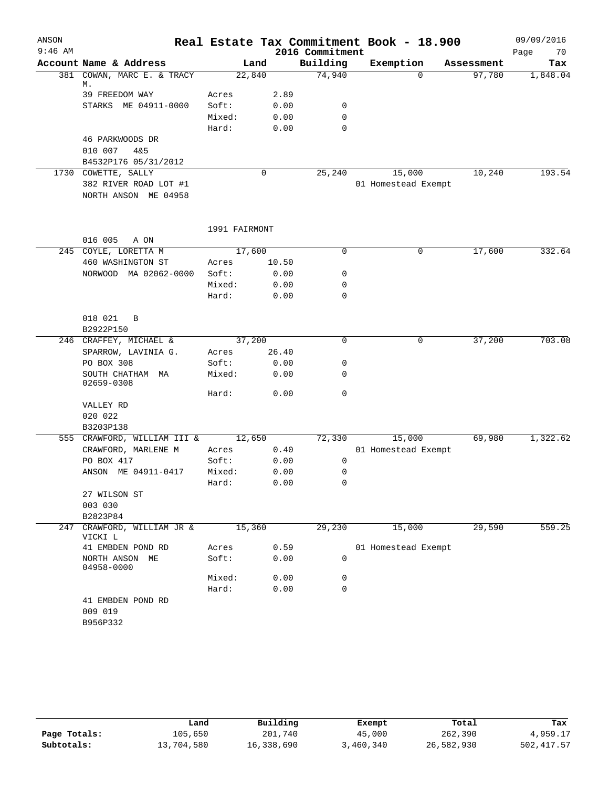| 70<br>Page<br>Assessment<br>Tax<br>97,780<br>1,848.04 |
|-------------------------------------------------------|
|                                                       |
|                                                       |
|                                                       |
|                                                       |
|                                                       |
|                                                       |
|                                                       |
|                                                       |
|                                                       |
|                                                       |
| 10,240<br>193.54                                      |
|                                                       |
|                                                       |
|                                                       |
|                                                       |
| 332.64<br>17,600                                      |
|                                                       |
|                                                       |
|                                                       |
|                                                       |
|                                                       |
|                                                       |
| 37,200<br>703.08                                      |
|                                                       |
|                                                       |
|                                                       |
|                                                       |
|                                                       |
|                                                       |
| 1,322.62<br>69,980                                    |
|                                                       |
|                                                       |
|                                                       |
|                                                       |
|                                                       |
|                                                       |
|                                                       |
| 29,590<br>559.25                                      |
|                                                       |
|                                                       |
|                                                       |
|                                                       |
|                                                       |
|                                                       |

|              | Land       | Building   | Exempt    | Total      | Tax        |
|--------------|------------|------------|-----------|------------|------------|
| Page Totals: | 105,650    | 201,740    | 45,000    | 262,390    | 4,959.17   |
| Subtotals:   | 13,704,580 | 16,338,690 | 3,460,340 | 26,582,930 | 502,417.57 |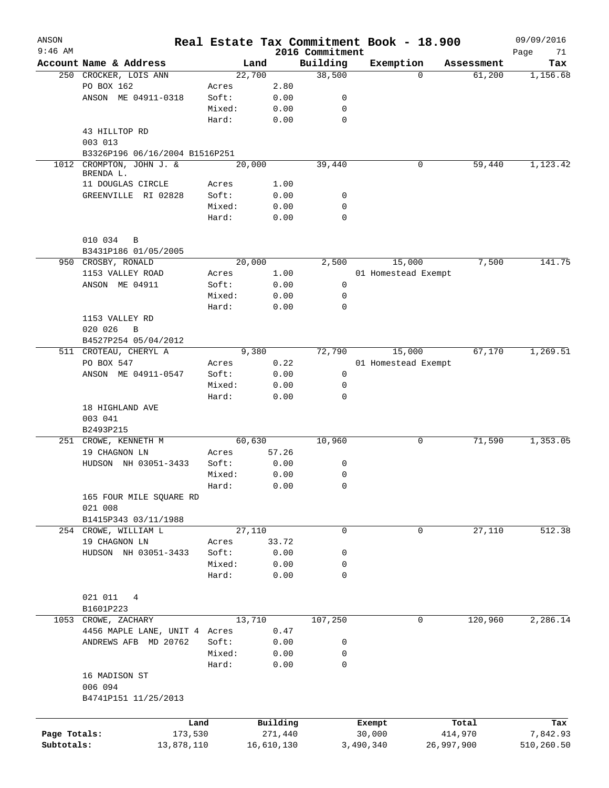| ANSON<br>$9:46$ AM |                                                      |                |              | 2016 Commitment |           | Real Estate Tax Commitment Book - 18.900 |            | 09/09/2016        |
|--------------------|------------------------------------------------------|----------------|--------------|-----------------|-----------|------------------------------------------|------------|-------------------|
|                    | Account Name & Address                               | Land           |              | Building        |           | Exemption                                | Assessment | Page<br>71<br>Tax |
|                    | 250 CROCKER, LOIS ANN                                | 22,700         |              | 38,500          |           | $\Omega$                                 | 61,200     | 1,156.68          |
|                    | PO BOX 162                                           | Acres          | 2.80         |                 |           |                                          |            |                   |
|                    | ANSON ME 04911-0318                                  | Soft:          | 0.00         | 0               |           |                                          |            |                   |
|                    |                                                      | Mixed:         | 0.00         | $\mathbf 0$     |           |                                          |            |                   |
|                    |                                                      | Hard:          | 0.00         | $\mathbf 0$     |           |                                          |            |                   |
|                    | 43 HILLTOP RD                                        |                |              |                 |           |                                          |            |                   |
|                    | 003 013                                              |                |              |                 |           |                                          |            |                   |
|                    | B3326P196 06/16/2004 B1516P251                       |                |              |                 |           |                                          |            |                   |
| 1012               | CROMPTON, JOHN J. &                                  | 20,000         |              | 39,440          |           | 0                                        | 59,440     | 1,123.42          |
|                    | BRENDA L.                                            |                |              |                 |           |                                          |            |                   |
|                    | 11 DOUGLAS CIRCLE                                    | Acres          | 1.00         |                 |           |                                          |            |                   |
|                    | GREENVILLE RI 02828                                  | Soft:          | 0.00         | 0               |           |                                          |            |                   |
|                    |                                                      | Mixed:         | 0.00         | $\mathbf 0$     |           |                                          |            |                   |
|                    |                                                      | Hard:          | 0.00         | $\mathbf 0$     |           |                                          |            |                   |
|                    |                                                      |                |              |                 |           |                                          |            |                   |
|                    | 010 034<br>B                                         |                |              |                 |           |                                          |            |                   |
|                    | B3431P186 01/05/2005<br>950 CROSBY, RONALD           |                |              |                 |           |                                          |            | 141.75            |
|                    |                                                      | 20,000         |              | 2,500           |           | 15,000<br>01 Homestead Exempt            | 7,500      |                   |
|                    | 1153 VALLEY ROAD<br>ANSON ME 04911                   | Acres<br>Soft: | 1.00<br>0.00 | 0               |           |                                          |            |                   |
|                    |                                                      | Mixed:         | 0.00         | $\mathbf 0$     |           |                                          |            |                   |
|                    |                                                      | Hard:          | 0.00         | $\mathbf 0$     |           |                                          |            |                   |
|                    | 1153 VALLEY RD                                       |                |              |                 |           |                                          |            |                   |
|                    | 020 026<br>$\mathbf B$                               |                |              |                 |           |                                          |            |                   |
|                    | B4527P254 05/04/2012                                 |                |              |                 |           |                                          |            |                   |
|                    | 511 CROTEAU, CHERYL A                                | 9,380          |              | 72,790          |           | 15,000                                   | 67,170     | 1,269.51          |
|                    | PO BOX 547                                           | Acres          | 0.22         |                 |           | 01 Homestead Exempt                      |            |                   |
|                    | ANSON ME 04911-0547                                  | Soft:          | 0.00         | 0               |           |                                          |            |                   |
|                    |                                                      | Mixed:         | 0.00         | $\mathbf 0$     |           |                                          |            |                   |
|                    |                                                      | Hard:          | 0.00         | $\mathbf 0$     |           |                                          |            |                   |
|                    | 18 HIGHLAND AVE                                      |                |              |                 |           |                                          |            |                   |
|                    | 003 041                                              |                |              |                 |           |                                          |            |                   |
|                    | B2493P215                                            |                |              |                 |           |                                          |            |                   |
|                    | 251 CROWE, KENNETH M                                 | 60,630         |              | 10,960          |           | 0                                        | 71,590     | 1,353.05          |
|                    | 19 CHAGNON LN                                        | Acres          | 57.26        |                 |           |                                          |            |                   |
|                    | HUDSON NH 03051-3433                                 | Soft:          | 0.00         | 0               |           |                                          |            |                   |
|                    |                                                      | Mixed:         | 0.00         | $\mathbf 0$     |           |                                          |            |                   |
|                    |                                                      | Hard:          | 0.00         | 0               |           |                                          |            |                   |
|                    | 165 FOUR MILE SQUARE RD                              |                |              |                 |           |                                          |            |                   |
|                    | 021 008                                              |                |              |                 |           |                                          |            |                   |
|                    | B1415P343 03/11/1988                                 |                |              |                 |           |                                          |            |                   |
|                    | 254 CROWE, WILLIAM L                                 | 27,110         |              | $\mathbf 0$     |           | $\mathbf 0$                              | 27,110     | 512.38            |
|                    | 19 CHAGNON LN                                        | Acres          | 33.72        |                 |           |                                          |            |                   |
|                    | HUDSON NH 03051-3433                                 | Soft:          | 0.00         | 0               |           |                                          |            |                   |
|                    |                                                      | Mixed:         | 0.00         | 0               |           |                                          |            |                   |
|                    |                                                      | Hard:          | 0.00         | $\mathbf 0$     |           |                                          |            |                   |
|                    |                                                      |                |              |                 |           |                                          |            |                   |
|                    | 021 011<br>4                                         |                |              |                 |           |                                          |            |                   |
|                    | B1601P223                                            | 13,710         |              |                 |           | $\mathbf 0$                              | 120,960    |                   |
|                    | 1053 CROWE, ZACHARY<br>4456 MAPLE LANE, UNIT 4 Acres |                | 0.47         | 107,250         |           |                                          |            | 2,286.14          |
|                    | ANDREWS AFB MD 20762                                 | Soft:          | 0.00         | 0               |           |                                          |            |                   |
|                    |                                                      | Mixed:         | 0.00         | 0               |           |                                          |            |                   |
|                    |                                                      | Hard:          | 0.00         | 0               |           |                                          |            |                   |
|                    | 16 MADISON ST                                        |                |              |                 |           |                                          |            |                   |
|                    | 006 094                                              |                |              |                 |           |                                          |            |                   |
|                    | B4741P151 11/25/2013                                 |                |              |                 |           |                                          |            |                   |
|                    |                                                      |                |              |                 |           |                                          |            |                   |
|                    | Land                                                 |                | Building     |                 | Exempt    |                                          | Total      | Tax               |
| Page Totals:       | 173,530                                              |                | 271,440      |                 | 30,000    |                                          | 414,970    | 7,842.93          |
| Subtotals:         | 13,878,110                                           |                | 16,610,130   |                 | 3,490,340 | 26,997,900                               |            | 510,260.50        |
|                    |                                                      |                |              |                 |           |                                          |            |                   |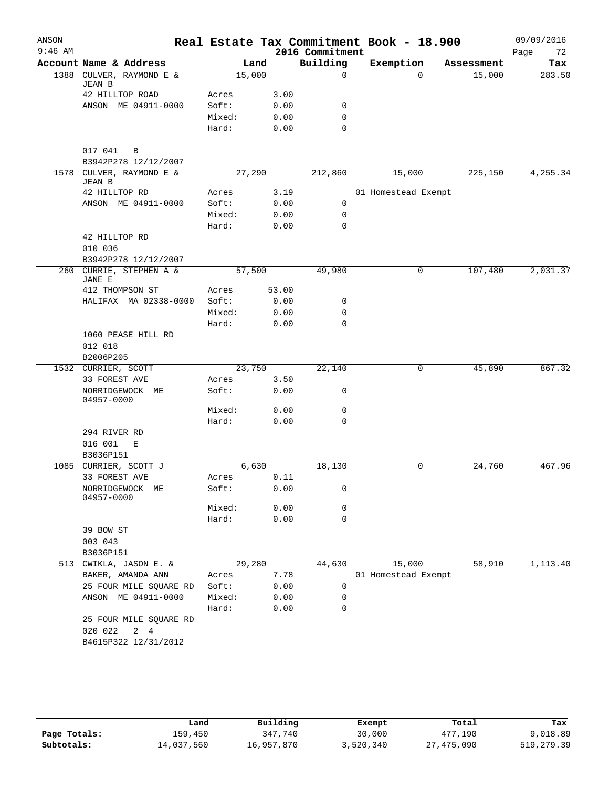| ANSON     |                                           |        |        |                 | Real Estate Tax Commitment Book - 18.900 |                    | 09/09/2016 |
|-----------|-------------------------------------------|--------|--------|-----------------|------------------------------------------|--------------------|------------|
| $9:46$ AM |                                           |        |        | 2016 Commitment |                                          |                    | Page<br>72 |
|           | Account Name & Address                    |        | Land   | Building        | Exemption                                | Assessment         | Tax        |
|           | 1388 CULVER, RAYMOND E &<br><b>JEAN B</b> |        | 15,000 | $\Omega$        |                                          | $\Omega$<br>15,000 | 283.50     |
|           | 42 HILLTOP ROAD                           | Acres  | 3.00   |                 |                                          |                    |            |
|           | ANSON ME 04911-0000                       | Soft:  | 0.00   | 0               |                                          |                    |            |
|           |                                           | Mixed: | 0.00   | $\mathbf 0$     |                                          |                    |            |
|           |                                           | Hard:  | 0.00   | $\mathbf 0$     |                                          |                    |            |
|           | 017 041<br>B                              |        |        |                 |                                          |                    |            |
|           | B3942P278 12/12/2007                      |        |        |                 |                                          |                    |            |
|           | 1578 CULVER, RAYMOND E &<br>JEAN B        |        | 27,290 | 212,860         | 15,000                                   | 225,150            | 4,255.34   |
|           | 42 HILLTOP RD                             | Acres  | 3.19   |                 | 01 Homestead Exempt                      |                    |            |
|           | ANSON ME 04911-0000                       | Soft:  | 0.00   | 0               |                                          |                    |            |
|           |                                           | Mixed: | 0.00   | 0               |                                          |                    |            |
|           |                                           | Hard:  | 0.00   | 0               |                                          |                    |            |
|           | 42 HILLTOP RD<br>010 036                  |        |        |                 |                                          |                    |            |
|           | B3942P278 12/12/2007                      |        |        |                 |                                          |                    |            |
| 260       | CURRIE, STEPHEN A &<br>JANE E             |        | 57,500 | 49,980          |                                          | 107,480<br>0       | 2,031.37   |
|           | 412 THOMPSON ST                           | Acres  | 53.00  |                 |                                          |                    |            |
|           | HALIFAX MA 02338-0000                     | Soft:  | 0.00   | 0               |                                          |                    |            |
|           |                                           | Mixed: | 0.00   | 0               |                                          |                    |            |
|           |                                           | Hard:  | 0.00   | $\mathbf 0$     |                                          |                    |            |
|           | 1060 PEASE HILL RD                        |        |        |                 |                                          |                    |            |
|           | 012 018                                   |        |        |                 |                                          |                    |            |
|           | B2006P205                                 |        |        |                 |                                          |                    |            |
|           | 1532 CURRIER, SCOTT                       |        | 23,750 | 22,140          |                                          | 0<br>45,890        | 867.32     |
|           | 33 FOREST AVE                             | Acres  | 3.50   |                 |                                          |                    |            |
|           | NORRIDGEWOCK ME                           | Soft:  | 0.00   | 0               |                                          |                    |            |
|           | 04957-0000                                |        |        |                 |                                          |                    |            |
|           |                                           | Mixed: | 0.00   | 0               |                                          |                    |            |
|           |                                           | Hard:  | 0.00   | $\mathbf 0$     |                                          |                    |            |
|           | 294 RIVER RD                              |        |        |                 |                                          |                    |            |
|           | 016 001<br>E                              |        |        |                 |                                          |                    |            |
|           | B3036P151                                 |        |        |                 |                                          |                    |            |
| 1085      | CURRIER, SCOTT J                          |        | 6,630  | 18,130          |                                          | 0<br>24,760        | 467.96     |
|           | 33 FOREST AVE                             | Acres  | 0.11   |                 |                                          |                    |            |
|           | NORRIDGEWOCK<br>МE<br>04957-0000          | Soft:  | 0.00   | 0               |                                          |                    |            |
|           |                                           | Mixed: | 0.00   | 0               |                                          |                    |            |
|           |                                           | Hard:  | 0.00   | 0               |                                          |                    |            |
|           | 39 BOW ST                                 |        |        |                 |                                          |                    |            |
|           | 003 043                                   |        |        |                 |                                          |                    |            |
|           | B3036P151                                 |        |        |                 |                                          |                    |            |
| 513       | CWIKLA, JASON E. &                        |        | 29,280 | 44,630          | 15,000                                   | 58,910             | 1,113.40   |
|           | BAKER, AMANDA ANN                         | Acres  | 7.78   |                 | 01 Homestead Exempt                      |                    |            |
|           | 25 FOUR MILE SQUARE RD                    | Soft:  | 0.00   | 0               |                                          |                    |            |
|           | ANSON ME 04911-0000                       | Mixed: | 0.00   | 0               |                                          |                    |            |
|           |                                           | Hard:  | 0.00   | 0               |                                          |                    |            |
|           | 25 FOUR MILE SQUARE RD                    |        |        |                 |                                          |                    |            |
|           | 020 022<br>$2 \quad 4$                    |        |        |                 |                                          |                    |            |
|           | B4615P322 12/31/2012                      |        |        |                 |                                          |                    |            |
|           |                                           |        |        |                 |                                          |                    |            |
|           |                                           |        |        |                 |                                          |                    |            |

|              | Land       | Building   | Exempt    | Total      | Tax         |
|--------------|------------|------------|-----------|------------|-------------|
| Page Totals: | 159,450    | 347,740    | 30,000    | 477,190    | 9,018.89    |
| Subtotals:   | 14,037,560 | 16,957,870 | 3,520,340 | 27,475,090 | 519, 279.39 |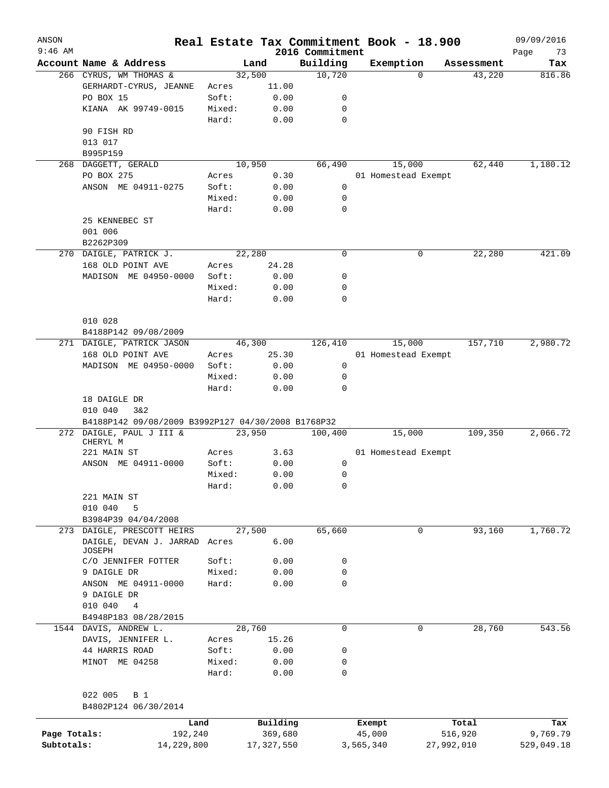| ANSON<br>$9:46$ AM |                                                    |        |            | 2016 Commitment | Real Estate Tax Commitment Book - 18.900 |            | 09/09/2016<br>73<br>Page |
|--------------------|----------------------------------------------------|--------|------------|-----------------|------------------------------------------|------------|--------------------------|
|                    | Account Name & Address                             |        | Land       | Building        | Exemption                                | Assessment | Tax                      |
|                    | 266 CYRUS, WM THOMAS &                             |        | 32,500     | 10,720          | $\Omega$                                 | 43,220     | 816.86                   |
|                    | GERHARDT-CYRUS, JEANNE                             | Acres  | 11.00      |                 |                                          |            |                          |
|                    | PO BOX 15                                          | Soft:  | 0.00       | 0               |                                          |            |                          |
|                    | KIANA AK 99749-0015                                | Mixed: | 0.00       | $\mathbf 0$     |                                          |            |                          |
|                    |                                                    | Hard:  | 0.00       | $\mathbf 0$     |                                          |            |                          |
|                    | 90 FISH RD                                         |        |            |                 |                                          |            |                          |
|                    | 013 017                                            |        |            |                 |                                          |            |                          |
|                    | B995P159                                           |        |            |                 |                                          |            |                          |
| 268                | DAGGETT, GERALD                                    |        | 10,950     | 66,490          | 15,000                                   | 62,440     | 1,180.12                 |
|                    | PO BOX 275                                         | Acres  | 0.30       |                 | 01 Homestead Exempt                      |            |                          |
|                    | ANSON ME 04911-0275                                | Soft:  | 0.00       | 0               |                                          |            |                          |
|                    |                                                    | Mixed: | 0.00       | $\mathbf 0$     |                                          |            |                          |
|                    |                                                    | Hard:  | 0.00       | $\mathbf 0$     |                                          |            |                          |
|                    | 25 KENNEBEC ST                                     |        |            |                 |                                          |            |                          |
|                    | 001 006                                            |        |            |                 |                                          |            |                          |
|                    |                                                    |        |            |                 |                                          |            |                          |
|                    | B2262P309                                          |        |            |                 |                                          |            |                          |
|                    | 270 DAIGLE, PATRICK J.                             |        | 22,280     | 0               | 0                                        | 22,280     | 421.09                   |
|                    | 168 OLD POINT AVE                                  | Acres  | 24.28      |                 |                                          |            |                          |
|                    | MADISON ME 04950-0000                              | Soft:  | 0.00       | 0               |                                          |            |                          |
|                    |                                                    | Mixed: | 0.00       | 0               |                                          |            |                          |
|                    |                                                    | Hard:  | 0.00       | $\mathbf 0$     |                                          |            |                          |
|                    |                                                    |        |            |                 |                                          |            |                          |
|                    | 010 028                                            |        |            |                 |                                          |            |                          |
|                    | B4188P142 09/08/2009                               |        |            |                 |                                          |            |                          |
|                    | 271 DAIGLE, PATRICK JASON                          |        | 46,300     | 126,410         | 15,000                                   | 157,710    | 2,980.72                 |
|                    | 168 OLD POINT AVE                                  | Acres  | 25.30      |                 | 01 Homestead Exempt                      |            |                          |
|                    | MADISON ME 04950-0000                              | Soft:  | 0.00       | 0               |                                          |            |                          |
|                    |                                                    | Mixed: | 0.00       | 0               |                                          |            |                          |
|                    |                                                    | Hard:  | 0.00       | $\mathbf 0$     |                                          |            |                          |
|                    | 18 DAIGLE DR<br>010 040<br>3&2                     |        |            |                 |                                          |            |                          |
|                    | B4188P142 09/08/2009 B3992P127 04/30/2008 B1768P32 |        |            |                 |                                          |            |                          |
| 272                | DAIGLE, PAUL J III &                               |        | 23,950     | 100,400         | 15,000                                   | 109,350    | 2,066.72                 |
|                    | CHERYL M                                           |        |            |                 |                                          |            |                          |
|                    | 221 MAIN ST                                        | Acres  | 3.63       |                 | 01 Homestead Exempt                      |            |                          |
|                    | ANSON ME 04911-0000                                | Soft:  | 0.00       | 0               |                                          |            |                          |
|                    |                                                    | Mixed: | 0.00       | 0               |                                          |            |                          |
|                    |                                                    | Hard:  | 0.00       | 0               |                                          |            |                          |
|                    | 221 MAIN ST                                        |        |            |                 |                                          |            |                          |
|                    | 010 040<br>5                                       |        |            |                 |                                          |            |                          |
|                    | B3984P39 04/04/2008                                |        |            |                 |                                          |            |                          |
|                    | 273 DAIGLE, PRESCOTT HEIRS                         |        | 27,500     | 65,660          | 0                                        | 93,160     | 1,760.72                 |
|                    | DAIGLE, DEVAN J. JARRAD Acres                      |        | 6.00       |                 |                                          |            |                          |
|                    | JOSEPH                                             |        |            |                 |                                          |            |                          |
|                    | C/O JENNIFER FOTTER                                | Soft:  | 0.00       | 0               |                                          |            |                          |
|                    | 9 DAIGLE DR                                        | Mixed: | 0.00       | 0               |                                          |            |                          |
|                    | ANSON ME 04911-0000                                | Hard:  | 0.00       | $\mathbf 0$     |                                          |            |                          |
|                    | 9 DAIGLE DR                                        |        |            |                 |                                          |            |                          |
|                    | 010 040<br>4                                       |        |            |                 |                                          |            |                          |
|                    | B4948P183 08/28/2015                               |        |            |                 |                                          |            |                          |
|                    | 1544 DAVIS, ANDREW L.                              |        | 28,760     | 0               | 0                                        | 28,760     | 543.56                   |
|                    | DAVIS, JENNIFER L.                                 | Acres  | 15.26      |                 |                                          |            |                          |
|                    | 44 HARRIS ROAD                                     | Soft:  | 0.00       | 0               |                                          |            |                          |
|                    | MINOT ME 04258                                     | Mixed: | 0.00       | 0               |                                          |            |                          |
|                    |                                                    | Hard:  | 0.00       | $\mathbf 0$     |                                          |            |                          |
|                    |                                                    |        |            |                 |                                          |            |                          |
|                    | 022 005<br>B 1                                     |        |            |                 |                                          |            |                          |
|                    | B4802P124 06/30/2014                               |        |            |                 |                                          |            |                          |
|                    |                                                    | Land   | Building   |                 | Exempt                                   | Total      | Tax                      |
| Page Totals:       | 192,240                                            |        | 369,680    |                 | 45,000                                   | 516,920    | 9,769.79                 |
| Subtotals:         | 14,229,800                                         |        | 17,327,550 |                 | 3,565,340                                | 27,992,010 | 529,049.18               |
|                    |                                                    |        |            |                 |                                          |            |                          |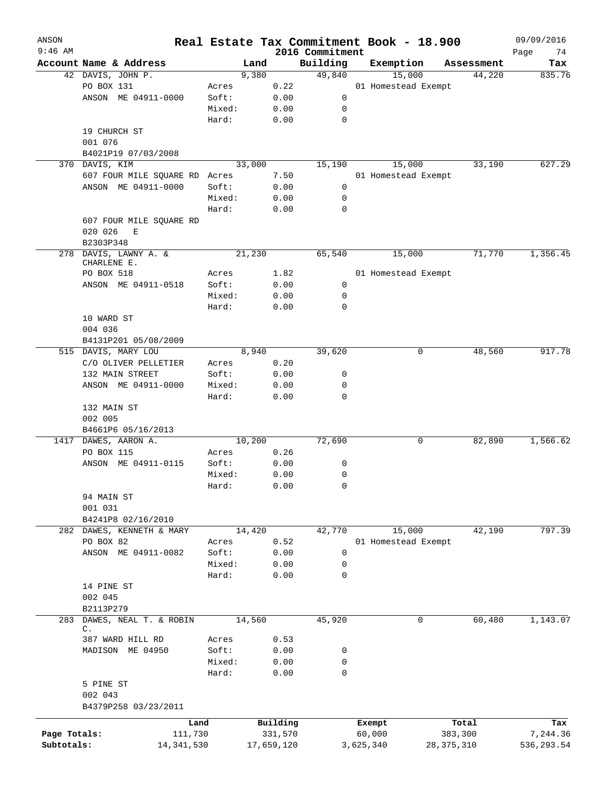| ANSON<br>$9:46$ AM |                               | Real Estate Tax Commitment Book - 18.900 |            | 2016 Commitment |           |                     |              |            | 09/09/2016<br>Page<br>74 |
|--------------------|-------------------------------|------------------------------------------|------------|-----------------|-----------|---------------------|--------------|------------|--------------------------|
|                    | Account Name & Address        | Land                                     |            | Building        |           | Exemption           |              | Assessment | Tax                      |
|                    | 42 DAVIS, JOHN P.             | 9,380                                    |            | 49,840          |           | 15,000              |              | 44,220     | 835.76                   |
|                    | PO BOX 131                    | Acres                                    | 0.22       |                 |           | 01 Homestead Exempt |              |            |                          |
|                    | ANSON ME 04911-0000           | Soft:                                    | 0.00       | 0               |           |                     |              |            |                          |
|                    |                               | Mixed:                                   | 0.00       | 0               |           |                     |              |            |                          |
|                    |                               | Hard:                                    | 0.00       | $\mathbf 0$     |           |                     |              |            |                          |
|                    |                               |                                          |            |                 |           |                     |              |            |                          |
|                    | 19 CHURCH ST                  |                                          |            |                 |           |                     |              |            |                          |
|                    | 001 076                       |                                          |            |                 |           |                     |              |            |                          |
|                    | B4021P19 07/03/2008           |                                          |            |                 |           |                     |              |            |                          |
|                    | 370 DAVIS, KIM                | 33,000                                   |            | 15,190          |           | 15,000              |              | 33,190     | 627.29                   |
|                    | 607 FOUR MILE SQUARE RD Acres |                                          | 7.50       |                 |           | 01 Homestead Exempt |              |            |                          |
|                    | ANSON ME 04911-0000           | Soft:                                    | 0.00       | 0               |           |                     |              |            |                          |
|                    |                               | Mixed:                                   | 0.00       | 0               |           |                     |              |            |                          |
|                    |                               | Hard:                                    | 0.00       | $\mathbf 0$     |           |                     |              |            |                          |
|                    | 607 FOUR MILE SQUARE RD       |                                          |            |                 |           |                     |              |            |                          |
|                    | 020 026<br>Е                  |                                          |            |                 |           |                     |              |            |                          |
|                    | B2303P348                     |                                          |            |                 |           |                     |              |            |                          |
|                    | 278 DAVIS, LAWNY A. &         | 21,230                                   |            | 65,540          |           | 15,000              |              | 71,770     | 1,356.45                 |
|                    | CHARLENE E.                   |                                          |            |                 |           |                     |              |            |                          |
|                    | PO BOX 518                    | Acres                                    | 1.82       |                 |           | 01 Homestead Exempt |              |            |                          |
|                    | ANSON ME 04911-0518           | Soft:                                    | 0.00       | 0               |           |                     |              |            |                          |
|                    |                               | Mixed:                                   | 0.00       | 0               |           |                     |              |            |                          |
|                    |                               | Hard:                                    | 0.00       | $\mathbf 0$     |           |                     |              |            |                          |
|                    | 10 WARD ST                    |                                          |            |                 |           |                     |              |            |                          |
|                    | 004 036                       |                                          |            |                 |           |                     |              |            |                          |
|                    | B4131P201 05/08/2009          |                                          |            |                 |           |                     |              |            |                          |
|                    | 515 DAVIS, MARY LOU           | 8,940                                    |            | 39,620          |           | 0                   |              | 48,560     | 917.78                   |
|                    | C/O OLIVER PELLETIER          | Acres                                    | 0.20       |                 |           |                     |              |            |                          |
|                    | 132 MAIN STREET               | Soft:                                    | 0.00       | 0               |           |                     |              |            |                          |
|                    | ANSON ME 04911-0000           | Mixed:                                   | 0.00       | $\mathbf 0$     |           |                     |              |            |                          |
|                    |                               | Hard:                                    | 0.00       | $\mathbf 0$     |           |                     |              |            |                          |
|                    | 132 MAIN ST                   |                                          |            |                 |           |                     |              |            |                          |
|                    | 002 005                       |                                          |            |                 |           |                     |              |            |                          |
|                    |                               |                                          |            |                 |           |                     |              |            |                          |
|                    | B4661P6 05/16/2013            |                                          |            |                 |           |                     |              |            |                          |
|                    | 1417 DAWES, AARON A.          | 10,200                                   |            | 72,690          |           | 0                   |              | 82,890     | 1,566.62                 |
|                    | PO BOX 115                    | Acres                                    | 0.26       |                 |           |                     |              |            |                          |
|                    | ANSON ME 04911-0115           | Soft:                                    | 0.00       | 0               |           |                     |              |            |                          |
|                    |                               | Mixed:                                   | 0.00       | 0               |           |                     |              |            |                          |
|                    |                               | Hard:                                    | 0.00       | 0               |           |                     |              |            |                          |
|                    | 94 MAIN ST                    |                                          |            |                 |           |                     |              |            |                          |
|                    | 001 031                       |                                          |            |                 |           |                     |              |            |                          |
|                    | B4241P8 02/16/2010            |                                          |            |                 |           |                     |              |            |                          |
|                    | 282 DAWES, KENNETH & MARY     | 14,420                                   |            | 42,770          |           | 15,000              |              | 42,190     | 797.39                   |
|                    | PO BOX 82                     | Acres                                    | 0.52       |                 |           | 01 Homestead Exempt |              |            |                          |
|                    | ANSON ME 04911-0082           | Soft:                                    | 0.00       | 0               |           |                     |              |            |                          |
|                    |                               | Mixed:                                   | 0.00       | 0               |           |                     |              |            |                          |
|                    |                               | Hard:                                    | 0.00       | $\mathbf 0$     |           |                     |              |            |                          |
|                    | 14 PINE ST                    |                                          |            |                 |           |                     |              |            |                          |
|                    | 002 045                       |                                          |            |                 |           |                     |              |            |                          |
|                    | B2113P279                     |                                          |            |                 |           |                     |              |            |                          |
| 283                | DAWES, NEAL T. & ROBIN        | 14,560                                   |            | 45,920          |           | 0                   |              | 60,480     | 1,143.07                 |
|                    | $\mathbb{C}$ .                |                                          |            |                 |           |                     |              |            |                          |
|                    | 387 WARD HILL RD              | Acres                                    | 0.53       |                 |           |                     |              |            |                          |
|                    | MADISON ME 04950              | Soft:                                    | 0.00       | 0               |           |                     |              |            |                          |
|                    |                               | Mixed:                                   | 0.00       | 0               |           |                     |              |            |                          |
|                    |                               | Hard:                                    | 0.00       | $\mathbf 0$     |           |                     |              |            |                          |
|                    | 5 PINE ST                     |                                          |            |                 |           |                     |              |            |                          |
|                    | 002 043                       |                                          |            |                 |           |                     |              |            |                          |
|                    | B4379P258 03/23/2011          |                                          |            |                 |           |                     |              |            |                          |
|                    |                               |                                          |            |                 |           |                     |              |            |                          |
|                    | Land                          |                                          | Building   |                 |           | Exempt              |              | Total      | Tax                      |
| Page Totals:       | 111,730                       |                                          | 331,570    |                 |           | 60,000              | 383,300      |            | 7,244.36                 |
| Subtotals:         | 14, 341, 530                  |                                          | 17,659,120 |                 | 3,625,340 |                     | 28, 375, 310 |            | 536,293.54               |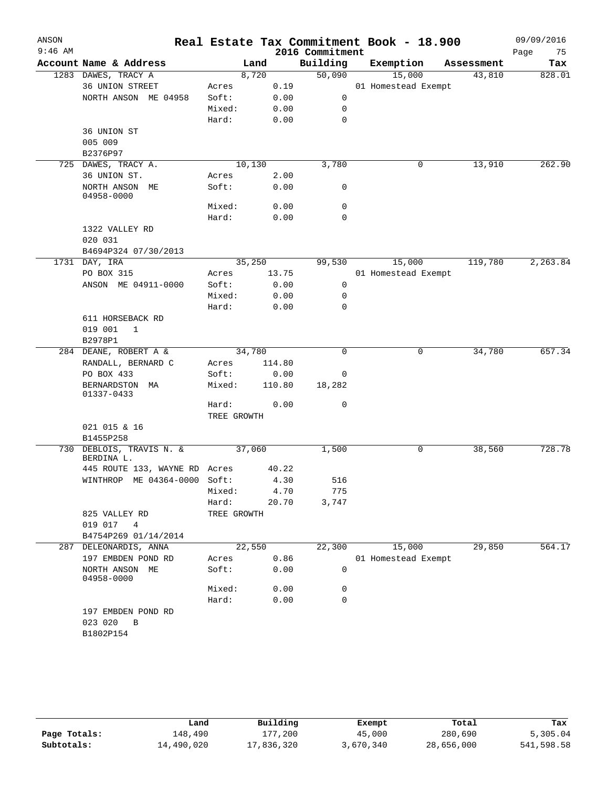| ANSON<br>$9:46$ AM |                                             |             |        | 2016 Commitment | Real Estate Tax Commitment Book - 18.900 |            | 09/09/2016<br>Page<br>75 |
|--------------------|---------------------------------------------|-------------|--------|-----------------|------------------------------------------|------------|--------------------------|
|                    | Account Name & Address                      |             | Land   | Building        | Exemption                                | Assessment | Tax                      |
|                    | 1283 DAWES, TRACY A                         |             | 8,720  | 50,090          | 15,000                                   | 43,810     | 828.01                   |
|                    | 36 UNION STREET                             | Acres       | 0.19   |                 | 01 Homestead Exempt                      |            |                          |
|                    | NORTH ANSON ME 04958                        | Soft:       | 0.00   | 0               |                                          |            |                          |
|                    |                                             | Mixed:      | 0.00   | 0               |                                          |            |                          |
|                    |                                             | Hard:       | 0.00   | 0               |                                          |            |                          |
|                    | 36 UNION ST                                 |             |        |                 |                                          |            |                          |
|                    | 005 009                                     |             |        |                 |                                          |            |                          |
|                    | B2376P97                                    |             |        |                 |                                          |            |                          |
|                    | 725 DAWES, TRACY A.                         |             | 10,130 | 3,780           | 0                                        | 13,910     | 262.90                   |
|                    | 36 UNION ST.                                | Acres       | 2.00   |                 |                                          |            |                          |
|                    | NORTH ANSON ME<br>04958-0000                | Soft:       | 0.00   | 0               |                                          |            |                          |
|                    |                                             | Mixed:      | 0.00   | 0               |                                          |            |                          |
|                    |                                             | Hard:       | 0.00   | 0               |                                          |            |                          |
|                    | 1322 VALLEY RD                              |             |        |                 |                                          |            |                          |
|                    | 020 031                                     |             |        |                 |                                          |            |                          |
|                    | B4694P324 07/30/2013                        |             |        |                 |                                          |            |                          |
|                    | 1731 DAY, IRA                               |             | 35,250 | 99,530          | 15,000                                   | 119,780    | 2,263.84                 |
|                    | PO BOX 315                                  | Acres       | 13.75  |                 | 01 Homestead Exempt                      |            |                          |
|                    | ANSON ME 04911-0000                         | Soft:       | 0.00   | 0               |                                          |            |                          |
|                    |                                             | Mixed:      | 0.00   | 0               |                                          |            |                          |
|                    |                                             | Hard:       | 0.00   | 0               |                                          |            |                          |
|                    | 611 HORSEBACK RD                            |             |        |                 |                                          |            |                          |
|                    | 019 001<br>1                                |             |        |                 |                                          |            |                          |
|                    | B2978P1                                     |             |        |                 |                                          |            |                          |
|                    | 284 DEANE, ROBERT A &                       |             | 34,780 | $\Omega$        | 0                                        | 34,780     | 657.34                   |
|                    | RANDALL, BERNARD C                          | Acres       | 114.80 |                 |                                          |            |                          |
|                    | PO BOX 433                                  | Soft:       | 0.00   | 0               |                                          |            |                          |
|                    | BERNARDSTON MA<br>01337-0433                | Mixed:      | 110.80 | 18,282          |                                          |            |                          |
|                    |                                             | Hard:       | 0.00   | 0               |                                          |            |                          |
|                    |                                             | TREE GROWTH |        |                 |                                          |            |                          |
|                    | 021 015 & 16                                |             |        |                 |                                          |            |                          |
|                    | B1455P258                                   |             |        |                 |                                          |            |                          |
|                    | 730 DEBLOIS, TRAVIS N. &                    |             | 37,060 | 1,500           | 0                                        | 38,560     | 728.78                   |
|                    | BERDINA L.<br>445 ROUTE 133, WAYNE RD Acres |             | 40.22  |                 |                                          |            |                          |
|                    | WINTHROP ME 04364-0000 Soft:                |             | 4.30   | 516             |                                          |            |                          |
|                    |                                             | Mixed:      | 4.70   | 775             |                                          |            |                          |
|                    |                                             | Hard:       | 20.70  | 3,747           |                                          |            |                          |
|                    | 825 VALLEY RD                               | TREE GROWTH |        |                 |                                          |            |                          |
|                    | 019 017<br>$\overline{4}$                   |             |        |                 |                                          |            |                          |
|                    | B4754P269 01/14/2014                        |             |        |                 |                                          |            |                          |
| 287                | DELEONARDIS, ANNA                           |             | 22,550 | 22,300          | 15,000                                   | 29,850     | 564.17                   |
|                    | 197 EMBDEN POND RD                          | Acres       | 0.86   |                 | 01 Homestead Exempt                      |            |                          |
|                    | NORTH ANSON ME<br>04958-0000                | Soft:       | 0.00   | 0               |                                          |            |                          |
|                    |                                             | Mixed:      | 0.00   | 0               |                                          |            |                          |
|                    |                                             | Hard:       | 0.00   | 0               |                                          |            |                          |
|                    | 197 EMBDEN POND RD                          |             |        |                 |                                          |            |                          |
|                    | 023 020<br>$\mathbf{B}$                     |             |        |                 |                                          |            |                          |
|                    | B1802P154                                   |             |        |                 |                                          |            |                          |
|                    |                                             |             |        |                 |                                          |            |                          |

|              | Land       | Building   | Exempt    | Total      | Tax        |
|--------------|------------|------------|-----------|------------|------------|
| Page Totals: | 148,490    | 177,200    | 45,000    | 280,690    | 5,305.04   |
| Subtotals:   | 14,490,020 | 17,836,320 | 3,670,340 | 28,656,000 | 541,598.58 |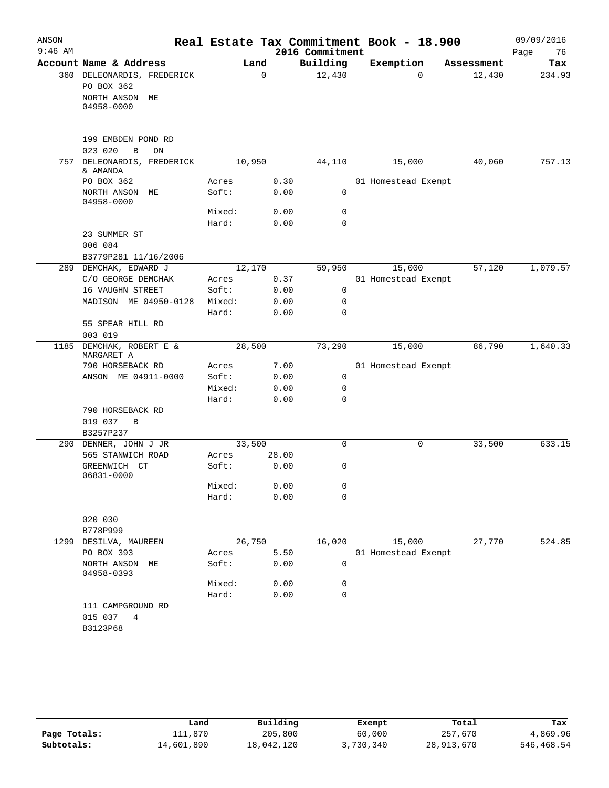| ANSON     |                                    |        |             |                 | Real Estate Tax Commitment Book - 18.900 |            | 09/09/2016 |
|-----------|------------------------------------|--------|-------------|-----------------|------------------------------------------|------------|------------|
| $9:46$ AM |                                    |        |             | 2016 Commitment |                                          |            | Page<br>76 |
|           | Account Name & Address             | Land   |             | Building        | Exemption                                | Assessment | Tax        |
|           | 360 DELEONARDIS, FREDERICK         |        | $\mathbf 0$ | 12,430          | $\Omega$                                 | 12,430     | 234.93     |
|           | PO BOX 362                         |        |             |                 |                                          |            |            |
|           | NORTH ANSON<br>МE                  |        |             |                 |                                          |            |            |
|           | 04958-0000                         |        |             |                 |                                          |            |            |
|           |                                    |        |             |                 |                                          |            |            |
|           | 199 EMBDEN POND RD                 |        |             |                 |                                          |            |            |
|           | 023 020<br>$\, {\bf B}$<br>ON      |        |             |                 |                                          |            |            |
| 757       | DELEONARDIS, FREDERICK<br>& AMANDA | 10,950 |             | 44,110          | 15,000                                   | 40,060     | 757.13     |
|           | PO BOX 362                         | Acres  | 0.30        |                 | 01 Homestead Exempt                      |            |            |
|           | NORTH ANSON<br>MЕ<br>04958-0000    | Soft:  | 0.00        | $\mathbf 0$     |                                          |            |            |
|           |                                    | Mixed: | 0.00        | 0               |                                          |            |            |
|           |                                    | Hard:  | 0.00        | $\Omega$        |                                          |            |            |
|           | 23 SUMMER ST                       |        |             |                 |                                          |            |            |
|           | 006 084                            |        |             |                 |                                          |            |            |
|           | B3779P281 11/16/2006               |        |             |                 |                                          |            |            |
|           | 289 DEMCHAK, EDWARD J              | 12,170 |             | 59,950          | 15,000                                   | 57,120     | 1,079.57   |
|           | C/O GEORGE DEMCHAK                 | Acres  | 0.37        |                 | 01 Homestead Exempt                      |            |            |
|           | 16 VAUGHN STREET                   | Soft:  | 0.00        | 0               |                                          |            |            |
|           | MADISON ME 04950-0128              | Mixed: | 0.00        | $\mathbf 0$     |                                          |            |            |
|           |                                    | Hard:  | 0.00        | 0               |                                          |            |            |
|           | 55 SPEAR HILL RD<br>003 019        |        |             |                 |                                          |            |            |
| 1185      | DEMCHAK, ROBERT E &<br>MARGARET A  | 28,500 |             | 73,290          | 15,000                                   | 86,790     | 1,640.33   |
|           | 790 HORSEBACK RD                   | Acres  | 7.00        |                 | 01 Homestead Exempt                      |            |            |
|           | ANSON ME 04911-0000                | Soft:  | 0.00        | 0               |                                          |            |            |
|           |                                    | Mixed: | 0.00        | 0               |                                          |            |            |
|           |                                    | Hard:  | 0.00        | 0               |                                          |            |            |
|           | 790 HORSEBACK RD                   |        |             |                 |                                          |            |            |
|           | 019 037<br>B                       |        |             |                 |                                          |            |            |
|           | B3257P237                          |        |             |                 |                                          |            |            |
|           | 290 DENNER, JOHN J JR              | 33,500 |             | 0               | 0                                        | 33,500     | 633.15     |
|           | 565 STANWICH ROAD                  | Acres  | 28.00       |                 |                                          |            |            |
|           | GREENWICH CT<br>06831-0000         | Soft:  | 0.00        | 0               |                                          |            |            |
|           |                                    | Mixed: | 0.00        | 0               |                                          |            |            |
|           |                                    | Hard:  | 0.00        | 0               |                                          |            |            |
|           |                                    |        |             |                 |                                          |            |            |
|           | 020 030                            |        |             |                 |                                          |            |            |
| 1299      | B778P999<br>DESILVA, MAUREEN       | 26,750 |             | 16,020          | 15,000                                   | 27,770     | 524.85     |
|           | PO BOX 393                         | Acres  | 5.50        |                 | 01 Homestead Exempt                      |            |            |
|           | NORTH ANSON<br>МE<br>04958-0393    | Soft:  | 0.00        | $\mathbf 0$     |                                          |            |            |
|           |                                    | Mixed: | 0.00        | 0               |                                          |            |            |
|           |                                    | Hard:  | 0.00        | 0               |                                          |            |            |
|           | 111 CAMPGROUND RD                  |        |             |                 |                                          |            |            |
|           | 015 037<br>4                       |        |             |                 |                                          |            |            |
|           | B3123P68                           |        |             |                 |                                          |            |            |
|           |                                    |        |             |                 |                                          |            |            |
|           |                                    |        |             |                 |                                          |            |            |

|              | Land       | Building   | Exempt    | Total      | Tax        |
|--------------|------------|------------|-----------|------------|------------|
| Page Totals: | 111,870    | 205,800    | 60,000    | 257,670    | 4,869.96   |
| Subtotals:   | 14,601,890 | 18,042,120 | 3,730,340 | 28,913,670 | 546,468.54 |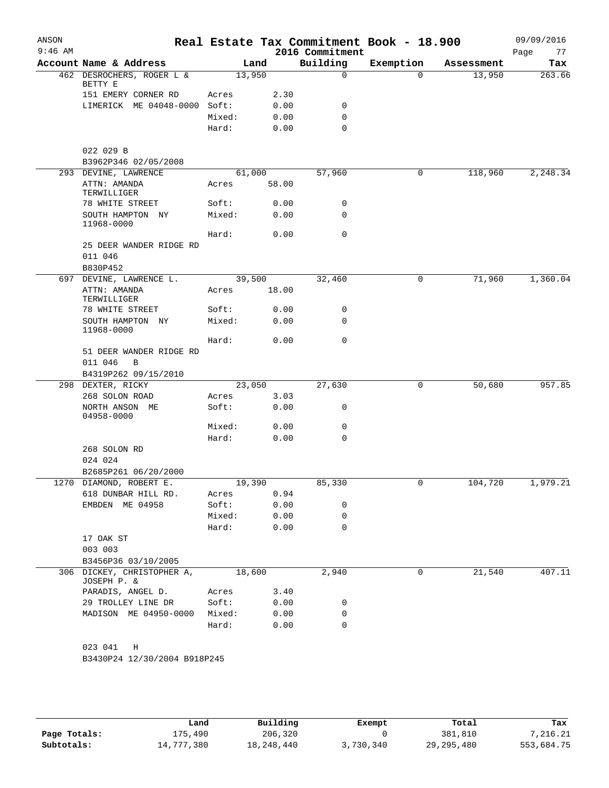| Account Name & Address<br>462 DESROCHERS, ROGER L &<br>BETTY E<br>151 EMERY CORNER RD<br>LIMERICK ME 04048-0000 Soft:<br>022 029 B<br>B3962P346 02/05/2008<br>293 DEVINE, LAWRENCE<br>ATTN: AMANDA<br>TERWILLIGER<br>78 WHITE STREET<br>SOUTH HAMPTON NY | 13,950<br>Acres<br>Mixed:<br>Hard:<br>Acres | Land<br>2.30<br>0.00<br>0.00<br>0.00<br>61,000 | Building<br>$\mathbf 0$<br>0<br>0<br>$\Omega$ | Exemption<br>$\Omega$ | Assessment<br>13,950 | Tax<br>263.66 |
|----------------------------------------------------------------------------------------------------------------------------------------------------------------------------------------------------------------------------------------------------------|---------------------------------------------|------------------------------------------------|-----------------------------------------------|-----------------------|----------------------|---------------|
|                                                                                                                                                                                                                                                          |                                             |                                                |                                               |                       |                      |               |
|                                                                                                                                                                                                                                                          |                                             |                                                |                                               |                       |                      |               |
|                                                                                                                                                                                                                                                          |                                             |                                                |                                               |                       |                      |               |
|                                                                                                                                                                                                                                                          |                                             |                                                |                                               |                       |                      |               |
|                                                                                                                                                                                                                                                          |                                             |                                                |                                               |                       |                      |               |
|                                                                                                                                                                                                                                                          |                                             |                                                |                                               |                       |                      |               |
|                                                                                                                                                                                                                                                          |                                             |                                                |                                               |                       |                      |               |
|                                                                                                                                                                                                                                                          |                                             |                                                |                                               |                       |                      |               |
|                                                                                                                                                                                                                                                          |                                             |                                                |                                               |                       |                      |               |
|                                                                                                                                                                                                                                                          |                                             |                                                | 57,960                                        | 0                     | 118,960              | 2,248.34      |
|                                                                                                                                                                                                                                                          |                                             | 58.00                                          |                                               |                       |                      |               |
|                                                                                                                                                                                                                                                          | Soft:                                       | 0.00                                           | 0                                             |                       |                      |               |
|                                                                                                                                                                                                                                                          | Mixed:                                      | 0.00                                           | 0                                             |                       |                      |               |
| 11968-0000                                                                                                                                                                                                                                               | Hard:                                       | 0.00                                           | 0                                             |                       |                      |               |
| 25 DEER WANDER RIDGE RD                                                                                                                                                                                                                                  |                                             |                                                |                                               |                       |                      |               |
| 011 046                                                                                                                                                                                                                                                  |                                             |                                                |                                               |                       |                      |               |
| B830P452                                                                                                                                                                                                                                                 |                                             |                                                |                                               |                       |                      |               |
| 697 DEVINE, LAWRENCE L.                                                                                                                                                                                                                                  |                                             | 39,500                                         | 32,460                                        | 0                     | 71,960               | 1,360.04      |
| ATTN: AMANDA<br>TERWILLIGER                                                                                                                                                                                                                              | Acres                                       | 18.00                                          |                                               |                       |                      |               |
| 78 WHITE STREET                                                                                                                                                                                                                                          | Soft:                                       | 0.00                                           | 0                                             |                       |                      |               |
| SOUTH HAMPTON NY                                                                                                                                                                                                                                         | Mixed:                                      | 0.00                                           | 0                                             |                       |                      |               |
| 11968-0000                                                                                                                                                                                                                                               | Hard:                                       | 0.00                                           | 0                                             |                       |                      |               |
| 51 DEER WANDER RIDGE RD                                                                                                                                                                                                                                  |                                             |                                                |                                               |                       |                      |               |
| 011 046<br>B                                                                                                                                                                                                                                             |                                             |                                                |                                               |                       |                      |               |
| B4319P262 09/15/2010                                                                                                                                                                                                                                     |                                             |                                                |                                               |                       |                      |               |
| 298 DEXTER, RICKY                                                                                                                                                                                                                                        |                                             | 23,050                                         | 27,630                                        | $\mathbf 0$           | 50,680               | 957.85        |
| 268 SOLON ROAD                                                                                                                                                                                                                                           | Acres                                       | 3.03                                           |                                               |                       |                      |               |
| NORTH ANSON ME<br>04958-0000                                                                                                                                                                                                                             | Soft:                                       | 0.00                                           | 0                                             |                       |                      |               |
|                                                                                                                                                                                                                                                          | Mixed:                                      | 0.00                                           | 0                                             |                       |                      |               |
|                                                                                                                                                                                                                                                          | Hard:                                       | 0.00                                           | 0                                             |                       |                      |               |
| 268 SOLON RD                                                                                                                                                                                                                                             |                                             |                                                |                                               |                       |                      |               |
| 024 024                                                                                                                                                                                                                                                  |                                             |                                                |                                               |                       |                      |               |
| B2685P261 06/20/2000                                                                                                                                                                                                                                     |                                             |                                                |                                               |                       |                      |               |
| 1270 DIAMOND, ROBERT E.                                                                                                                                                                                                                                  | 19,390                                      |                                                | 85,330                                        |                       | 104,720              | 1,979.21      |
| 618 DUNBAR HILL RD.                                                                                                                                                                                                                                      | Acres                                       | 0.94                                           |                                               |                       |                      |               |
| EMBDEN ME 04958                                                                                                                                                                                                                                          | Soft:<br>Mixed:                             | 0.00                                           | 0<br>0                                        |                       |                      |               |
|                                                                                                                                                                                                                                                          | Hard:                                       | 0.00<br>0.00                                   | $\Omega$                                      |                       |                      |               |
| 17 OAK ST                                                                                                                                                                                                                                                |                                             |                                                |                                               |                       |                      |               |
| 003 003                                                                                                                                                                                                                                                  |                                             |                                                |                                               |                       |                      |               |
| B3456P36 03/10/2005                                                                                                                                                                                                                                      |                                             |                                                |                                               |                       |                      |               |
| 306 DICKEY, CHRISTOPHER A,                                                                                                                                                                                                                               |                                             | 18,600                                         | 2,940                                         | 0                     | 21,540               | 407.11        |
| JOSEPH P. &                                                                                                                                                                                                                                              |                                             |                                                |                                               |                       |                      |               |
| PARADIS, ANGEL D.                                                                                                                                                                                                                                        | Acres                                       | 3.40                                           |                                               |                       |                      |               |
| 29 TROLLEY LINE DR                                                                                                                                                                                                                                       | Soft:                                       | 0.00                                           | 0                                             |                       |                      |               |
| MADISON ME 04950-0000 Mixed:                                                                                                                                                                                                                             |                                             | 0.00                                           | 0                                             |                       |                      |               |
|                                                                                                                                                                                                                                                          | Hard:                                       | 0.00                                           | 0                                             |                       |                      |               |

|              | Land       | Building     | Exempt    | Total        | Tax        |
|--------------|------------|--------------|-----------|--------------|------------|
| Page Totals: | L75,490    | 206,320      |           | 381,810      | 7,216.21   |
| Subtotals:   | 14,777,380 | 18, 248, 440 | 3,730,340 | 29, 295, 480 | 553,684.75 |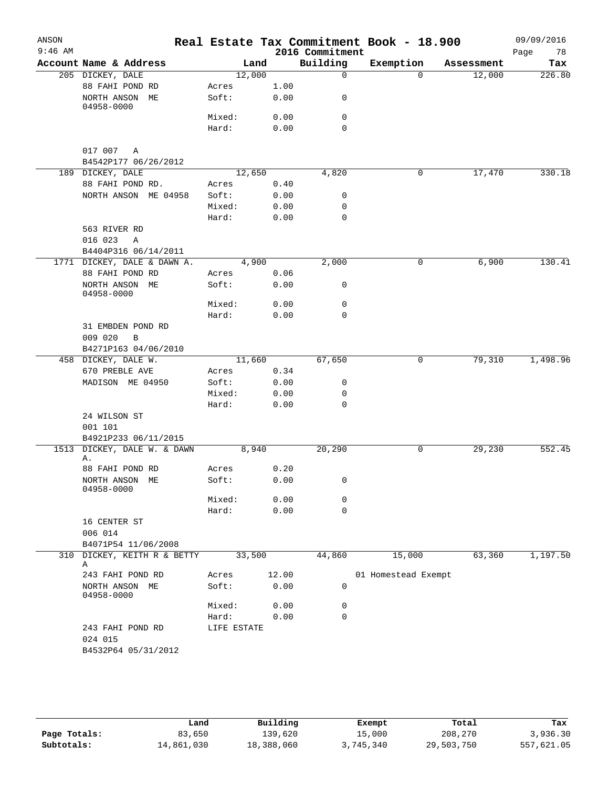| ANSON     |                                                    |             |       |                 | Real Estate Tax Commitment Book - 18.900 |            | 09/09/2016 |
|-----------|----------------------------------------------------|-------------|-------|-----------------|------------------------------------------|------------|------------|
| $9:46$ AM |                                                    |             |       | 2016 Commitment |                                          |            | 78<br>Page |
|           | Account Name & Address                             |             | Land  | Building        | Exemption                                | Assessment | Tax        |
|           | 205 DICKEY, DALE                                   | 12,000      |       | $\mathbf 0$     | $\Omega$                                 | 12,000     | 226.80     |
|           | 88 FAHI POND RD                                    | Acres       | 1.00  |                 |                                          |            |            |
|           | NORTH ANSON ME<br>04958-0000                       | Soft:       | 0.00  | 0               |                                          |            |            |
|           |                                                    | Mixed:      | 0.00  | 0               |                                          |            |            |
|           |                                                    | Hard:       | 0.00  | $\mathbf 0$     |                                          |            |            |
|           | 017 007 A<br>B4542P177 06/26/2012                  |             |       |                 |                                          |            |            |
|           | 189 DICKEY, DALE                                   | 12,650      |       | 4,820           | 0                                        | 17,470     | 330.18     |
|           | 88 FAHI POND RD.                                   | Acres       | 0.40  |                 |                                          |            |            |
|           | NORTH ANSON ME 04958                               | Soft:       | 0.00  | 0               |                                          |            |            |
|           |                                                    | Mixed:      | 0.00  | 0               |                                          |            |            |
|           |                                                    | Hard:       | 0.00  | $\mathbf 0$     |                                          |            |            |
|           | 563 RIVER RD<br>016 023<br>Α                       |             |       |                 |                                          |            |            |
|           | B4404P316 06/14/2011                               |             |       |                 |                                          |            |            |
|           | 1771 DICKEY, DALE & DAWN A.                        |             | 4,900 | 2,000           | 0                                        | 6,900      | 130.41     |
|           | 88 FAHI POND RD                                    | Acres       | 0.06  |                 |                                          |            |            |
|           | NORTH ANSON ME<br>04958-0000                       | Soft:       | 0.00  | 0               |                                          |            |            |
|           |                                                    | Mixed:      | 0.00  | 0               |                                          |            |            |
|           |                                                    | Hard:       | 0.00  | 0               |                                          |            |            |
|           | 31 EMBDEN POND RD                                  |             |       |                 |                                          |            |            |
|           | 009 020<br>B                                       |             |       |                 |                                          |            |            |
|           | B4271P163 04/06/2010                               |             |       |                 |                                          |            |            |
|           | 458 DICKEY, DALE W.                                | 11,660      |       | 67,650          | 0                                        | 79,310     | 1,498.96   |
|           | 670 PREBLE AVE                                     | Acres       | 0.34  |                 |                                          |            |            |
|           | MADISON ME 04950                                   | Soft:       | 0.00  | 0               |                                          |            |            |
|           |                                                    | Mixed:      | 0.00  | 0               |                                          |            |            |
|           |                                                    | Hard:       | 0.00  | 0               |                                          |            |            |
|           | 24 WILSON ST<br>001 101                            |             |       |                 |                                          |            |            |
|           | B4921P233 06/11/2015                               |             |       |                 |                                          |            |            |
| 1513      | DICKEY, DALE W. & DAWN<br>Α.                       |             | 8,940 | 20,290          | 0                                        | 29,230     | 552.45     |
|           | 88 FAHI POND RD                                    | Acres       | 0.20  |                 |                                          |            |            |
|           | NORTH ANSON ME<br>04958-0000                       | Soft:       | 0.00  | 0               |                                          |            |            |
|           |                                                    | Mixed:      | 0.00  | 0               |                                          |            |            |
|           |                                                    | Hard:       | 0.00  | $\mathbf 0$     |                                          |            |            |
|           | 16 CENTER ST                                       |             |       |                 |                                          |            |            |
|           | 006 014                                            |             |       |                 |                                          |            |            |
|           | B4071P54 11/06/2008<br>310 DICKEY, KEITH R & BETTY | 33,500      |       | 44,860          | 15,000                                   | 63,360     | 1,197.50   |
|           | Α                                                  |             |       |                 |                                          |            |            |
|           | 243 FAHI POND RD                                   | Acres       | 12.00 |                 | 01 Homestead Exempt                      |            |            |
|           | NORTH ANSON ME<br>04958-0000                       | Soft:       | 0.00  | 0               |                                          |            |            |
|           |                                                    | Mixed:      | 0.00  | 0               |                                          |            |            |
|           |                                                    | Hard:       | 0.00  | 0               |                                          |            |            |
|           | 243 FAHI POND RD<br>024 015                        | LIFE ESTATE |       |                 |                                          |            |            |
|           | B4532P64 05/31/2012                                |             |       |                 |                                          |            |            |
|           |                                                    |             |       |                 |                                          |            |            |

|              | Land       | Building   | Exempt    | Total      | Tax        |
|--------------|------------|------------|-----------|------------|------------|
| Page Totals: | 83,650     | 139,620    | 15,000    | 208,270    | 3,936.30   |
| Subtotals:   | 14,861,030 | 18,388,060 | 3,745,340 | 29,503,750 | 557,621.05 |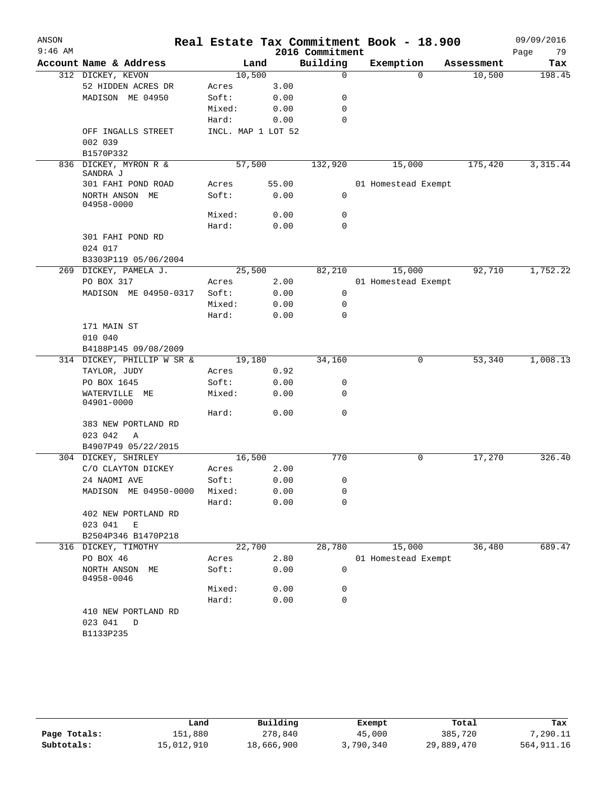| ANSON<br>$9:46$ AM |                                     |        |                    | 2016 Commitment | Real Estate Tax Commitment Book - 18.900 |            | 09/09/2016<br>Page<br>79 |
|--------------------|-------------------------------------|--------|--------------------|-----------------|------------------------------------------|------------|--------------------------|
|                    | Account Name & Address              |        | Land               | Building        | Exemption                                | Assessment | Tax                      |
|                    | 312 DICKEY, KEVON                   |        | 10,500             | $\mathbf 0$     | $\Omega$                                 | 10,500     | 198.45                   |
|                    | 52 HIDDEN ACRES DR                  | Acres  | 3.00               |                 |                                          |            |                          |
|                    | MADISON ME 04950                    | Soft:  | 0.00               | 0               |                                          |            |                          |
|                    |                                     | Mixed: | 0.00               | 0               |                                          |            |                          |
|                    |                                     | Hard:  | 0.00               | 0               |                                          |            |                          |
|                    | OFF INGALLS STREET<br>002 039       |        | INCL. MAP 1 LOT 52 |                 |                                          |            |                          |
|                    | B1570P332                           |        |                    |                 |                                          |            |                          |
| 836                | DICKEY, MYRON R &<br>SANDRA J       |        | 57,500             | 132,920         | 15,000                                   | 175,420    | 3, 315.44                |
|                    | 301 FAHI POND ROAD                  | Acres  | 55.00              |                 | 01 Homestead Exempt                      |            |                          |
|                    | NORTH ANSON ME<br>04958-0000        | Soft:  | 0.00               | $\mathbf 0$     |                                          |            |                          |
|                    |                                     | Mixed: | 0.00               | 0               |                                          |            |                          |
|                    |                                     | Hard:  | 0.00               | 0               |                                          |            |                          |
|                    | 301 FAHI POND RD                    |        |                    |                 |                                          |            |                          |
|                    | 024 017                             |        |                    |                 |                                          |            |                          |
|                    | B3303P119 05/06/2004                |        |                    |                 |                                          |            |                          |
| 269                | DICKEY, PAMELA J.                   |        | 25,500             | 82,210          | 15,000                                   | 92,710     | 1,752.22                 |
|                    | PO BOX 317                          | Acres  | 2.00               |                 | 01 Homestead Exempt                      |            |                          |
|                    | MADISON ME 04950-0317               | Soft:  | 0.00               | 0               |                                          |            |                          |
|                    |                                     | Mixed: | 0.00               | 0               |                                          |            |                          |
|                    |                                     | Hard:  | 0.00               | $\Omega$        |                                          |            |                          |
|                    | 171 MAIN ST                         |        |                    |                 |                                          |            |                          |
|                    | 010 040                             |        |                    |                 |                                          |            |                          |
|                    | B4188P145 09/08/2009                |        |                    |                 |                                          |            |                          |
|                    | 314 DICKEY, PHILLIP W SR &          |        | 19,180             | 34,160          | 0                                        | 53,340     | 1,008.13                 |
|                    | TAYLOR, JUDY                        | Acres  | 0.92               |                 |                                          |            |                          |
|                    | PO BOX 1645                         | Soft:  | 0.00               | 0               |                                          |            |                          |
|                    | WATERVILLE ME<br>04901-0000         | Mixed: | 0.00               | 0               |                                          |            |                          |
|                    |                                     | Hard:  | 0.00               | 0               |                                          |            |                          |
|                    | 383 NEW PORTLAND RD<br>023 042<br>Α |        |                    |                 |                                          |            |                          |
|                    | B4907P49 05/22/2015                 |        |                    |                 |                                          |            |                          |
|                    | 304 DICKEY, SHIRLEY                 |        | 16,500             | 770             | 0                                        | 17,270     | 326.40                   |
|                    | C/O CLAYTON DICKEY                  | Acres  | 2.00               |                 |                                          |            |                          |
|                    | 24 NAOMI AVE                        | Soft:  | 0.00               | 0               |                                          |            |                          |
|                    | MADISON ME 04950-0000               | Mixed: | 0.00               | 0               |                                          |            |                          |
|                    |                                     | Hard:  | 0.00               | 0               |                                          |            |                          |
|                    | 402 NEW PORTLAND RD<br>023 041<br>Е |        |                    |                 |                                          |            |                          |
|                    | B2504P346 B1470P218                 |        |                    |                 |                                          |            |                          |
|                    | 316 DICKEY, TIMOTHY                 |        | 22,700             | 28,780          | 15,000                                   | 36,480     | 689.47                   |
|                    | PO BOX 46                           | Acres  | 2.80               |                 | 01 Homestead Exempt                      |            |                          |
|                    | NORTH ANSON ME<br>04958-0046        | Soft:  | 0.00               | 0               |                                          |            |                          |
|                    |                                     | Mixed: | 0.00               | 0               |                                          |            |                          |
|                    |                                     | Hard:  | 0.00               | $\mathbf 0$     |                                          |            |                          |
|                    | 410 NEW PORTLAND RD                 |        |                    |                 |                                          |            |                          |
|                    | 023 041<br>D                        |        |                    |                 |                                          |            |                          |
|                    | B1133P235                           |        |                    |                 |                                          |            |                          |

|              | Land       | Building   | Exempt    | Total      | Tax          |
|--------------|------------|------------|-----------|------------|--------------|
| Page Totals: | 151,880    | 278,840    | 45,000    | 385,720    | 7,290.11     |
| Subtotals:   | 15,012,910 | 18,666,900 | 3,790,340 | 29,889,470 | 564, 911, 16 |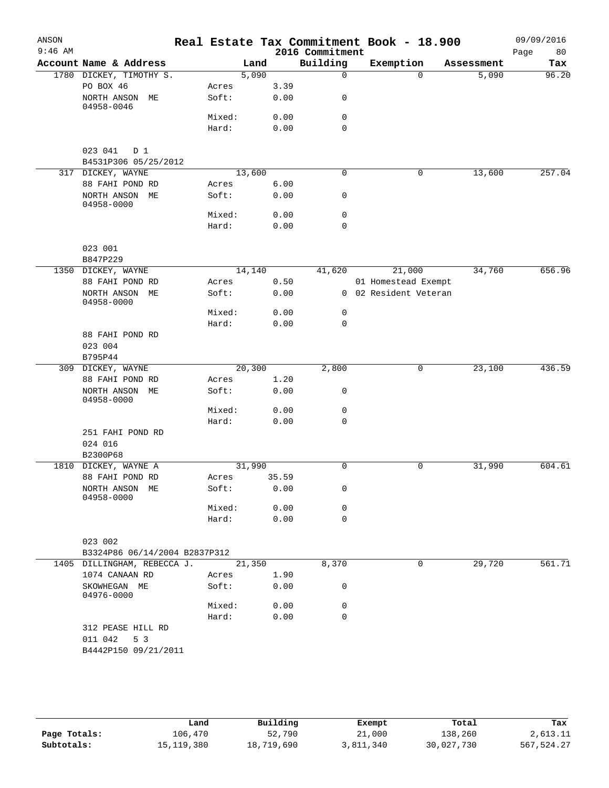| ANSON     |                                        |                 |       |       |                             | Real Estate Tax Commitment Book - 18.900 |                     | 09/09/2016   |
|-----------|----------------------------------------|-----------------|-------|-------|-----------------------------|------------------------------------------|---------------------|--------------|
| $9:46$ AM | Account Name & Address                 |                 | Land  |       | 2016 Commitment<br>Building |                                          |                     | Page<br>80   |
|           |                                        |                 | 5,090 |       | $\mathbf 0$                 | Exemption<br>$\Omega$                    | Assessment<br>5,090 | Tax<br>96.20 |
|           | 1780 DICKEY, TIMOTHY S.<br>PO BOX 46   | Acres           |       | 3.39  |                             |                                          |                     |              |
|           | NORTH ANSON ME<br>04958-0046           | Soft:           |       | 0.00  | 0                           |                                          |                     |              |
|           |                                        | Mixed:          |       | 0.00  | 0                           |                                          |                     |              |
|           |                                        | Hard:           |       | 0.00  | $\mathbf 0$                 |                                          |                     |              |
|           |                                        |                 |       |       |                             |                                          |                     |              |
|           | 023 041<br>D 1<br>B4531P306 05/25/2012 |                 |       |       |                             |                                          |                     |              |
|           | 317 DICKEY, WAYNE                      | 13,600          |       |       | 0                           | 0                                        | 13,600              | 257.04       |
|           | 88 FAHI POND RD                        | Acres           |       | 6.00  |                             |                                          |                     |              |
|           | NORTH ANSON ME<br>04958-0000           | Soft:           |       | 0.00  | 0                           |                                          |                     |              |
|           |                                        | Mixed:          |       | 0.00  | 0                           |                                          |                     |              |
|           |                                        | Hard:           |       | 0.00  | 0                           |                                          |                     |              |
|           |                                        |                 |       |       |                             |                                          |                     |              |
|           | 023 001                                |                 |       |       |                             |                                          |                     |              |
|           | B847P229                               |                 |       |       |                             |                                          |                     |              |
|           | 1350 DICKEY, WAYNE                     | 14,140          |       |       | 41,620                      | 21,000                                   | 34,760              | 656.96       |
|           | 88 FAHI POND RD                        | Acres           |       | 0.50  |                             | 01 Homestead Exempt                      |                     |              |
|           | NORTH ANSON ME<br>04958-0000           | Soft:           |       | 0.00  |                             | 0 02 Resident Veteran                    |                     |              |
|           |                                        | Mixed:          |       | 0.00  | 0                           |                                          |                     |              |
|           |                                        | Hard:           |       | 0.00  | $\mathbf 0$                 |                                          |                     |              |
|           | 88 FAHI POND RD                        |                 |       |       |                             |                                          |                     |              |
|           | 023 004                                |                 |       |       |                             |                                          |                     |              |
|           | B795P44                                |                 |       |       |                             |                                          |                     |              |
|           | 309 DICKEY, WAYNE                      | 20,300          |       |       | 2,800                       | 0                                        | 23,100              | 436.59       |
|           | 88 FAHI POND RD                        | Acres           |       | 1.20  |                             |                                          |                     |              |
|           | NORTH ANSON ME<br>04958-0000           | Soft:           |       | 0.00  | 0                           |                                          |                     |              |
|           |                                        | Mixed:          |       | 0.00  | 0                           |                                          |                     |              |
|           |                                        | Hard:           |       | 0.00  | $\mathbf 0$                 |                                          |                     |              |
|           | 251 FAHI POND RD                       |                 |       |       |                             |                                          |                     |              |
|           | 024 016                                |                 |       |       |                             |                                          |                     |              |
|           | B2300P68                               |                 |       |       |                             |                                          |                     |              |
| 1810      | DICKEY, WAYNE A                        | 31,990          |       |       | 0                           | 0                                        | 31,990              | 604.61       |
|           | 88 FAHI POND RD                        | Acres           |       | 35.59 |                             |                                          |                     |              |
|           | NORTH ANSON ME<br>04958-0000           | Soft:<br>Mixed: |       | 0.00  | 0                           |                                          |                     |              |
|           |                                        |                 |       | 0.00  | 0                           |                                          |                     |              |
|           |                                        | Hard:           |       | 0.00  | $\mathbf 0$                 |                                          |                     |              |
|           | 023 002                                |                 |       |       |                             |                                          |                     |              |
|           | B3324P86 06/14/2004 B2837P312          |                 |       |       |                             |                                          |                     |              |
|           | 1405 DILLINGHAM, REBECCA J.            | 21,350          |       |       | 8,370                       | 0                                        | 29,720              | 561.71       |
|           | 1074 CANAAN RD                         | Acres           |       | 1.90  |                             |                                          |                     |              |
|           | SKOWHEGAN ME                           | Soft:           |       | 0.00  | 0                           |                                          |                     |              |
|           | 04976-0000                             |                 |       |       |                             |                                          |                     |              |
|           |                                        | Mixed:          |       | 0.00  | 0                           |                                          |                     |              |
|           |                                        | Hard:           |       | 0.00  | $\mathbf 0$                 |                                          |                     |              |
|           | 312 PEASE HILL RD                      |                 |       |       |                             |                                          |                     |              |
|           | 011 042<br>5 3                         |                 |       |       |                             |                                          |                     |              |
|           | B4442P150 09/21/2011                   |                 |       |       |                             |                                          |                     |              |
|           |                                        |                 |       |       |                             |                                          |                     |              |
|           |                                        |                 |       |       |                             |                                          |                     |              |
|           |                                        |                 |       |       |                             |                                          |                     |              |

|              | Land       | Building   | Exempt    | Total      | Tax        |
|--------------|------------|------------|-----------|------------|------------|
| Page Totals: | 106,470    | 52,790     | 21,000    | 138,260    | 2,613.11   |
| Subtotals:   | 15,119,380 | 18,719,690 | 3,811,340 | 30,027,730 | 567,524.27 |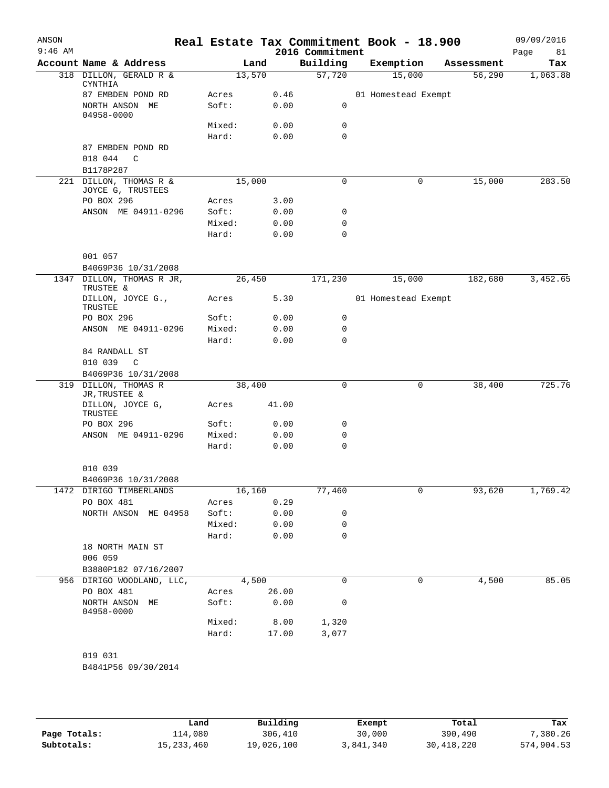| 2016 Commitment | 09/09/2016<br>Real Estate Tax Commitment Book - 18.900<br>Page | 81       |
|-----------------|----------------------------------------------------------------|----------|
| Building        | Exemption<br>Assessment                                        | Tax      |
| 57,720          | 15,000<br>56,290<br>1,063.88                                   |          |
|                 | 01 Homestead Exempt                                            |          |
| 0               |                                                                |          |
| 0               |                                                                |          |
| 0               |                                                                |          |
|                 |                                                                |          |
|                 |                                                                |          |
|                 |                                                                |          |
| 0               | 15,000<br>0                                                    | 283.50   |
|                 |                                                                |          |
| 0               |                                                                |          |
| 0               |                                                                |          |
| 0               |                                                                |          |
|                 |                                                                |          |
|                 |                                                                |          |
| 171,230         | 15,000<br>182,680                                              | 3,452.65 |
|                 | 01 Homestead Exempt                                            |          |
| 0               |                                                                |          |
| 0               |                                                                |          |
| 0               |                                                                |          |
|                 |                                                                |          |
|                 |                                                                |          |
| 0               |                                                                | 725.76   |
|                 | 0<br>38,400                                                    |          |
|                 |                                                                |          |
| 0               |                                                                |          |
| 0               |                                                                |          |
| 0               |                                                                |          |
|                 |                                                                |          |
| 77,460          | 1,769.42<br>93,620<br>0                                        |          |
|                 |                                                                |          |
| 0               |                                                                |          |
| 0               |                                                                |          |
| 0               |                                                                |          |
|                 |                                                                |          |
|                 |                                                                |          |
|                 |                                                                |          |
| 0               | 4,500<br>0                                                     | 85.05    |
| 0               |                                                                |          |
| 1,320           |                                                                |          |
| 3,077           |                                                                |          |
|                 |                                                                |          |
|                 |                                                                |          |

|              | Land         | Building   | Exempt    | Total        | Tax        |
|--------------|--------------|------------|-----------|--------------|------------|
| Page Totals: | 114,080      | 306,410    | 30,000    | 390,490      | 7,380.26   |
| Subtotals:   | 15, 233, 460 | 19,026,100 | 3,841,340 | 30, 418, 220 | 574,904.53 |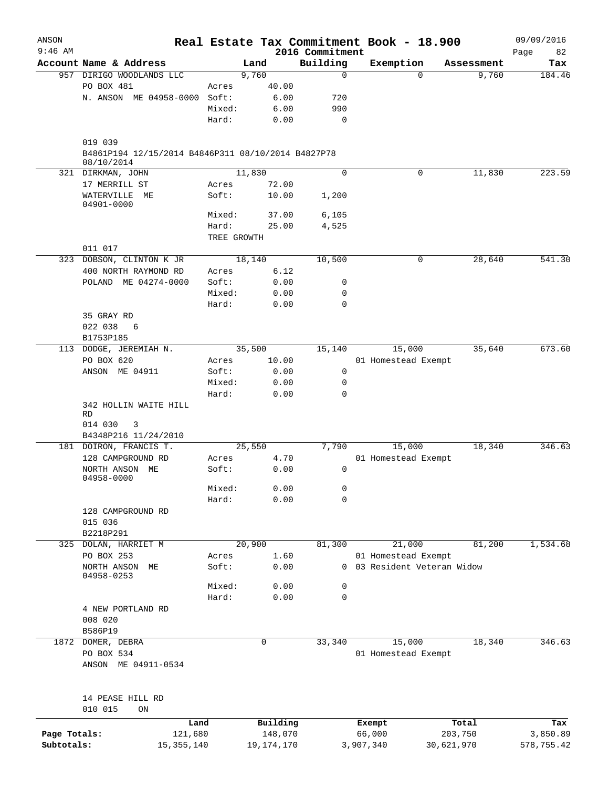| ANSON<br>$9:46$ AM |                                                                             |                 |              |                             | Real Estate Tax Commitment Book - 18.900         |            |        | 09/09/2016 |
|--------------------|-----------------------------------------------------------------------------|-----------------|--------------|-----------------------------|--------------------------------------------------|------------|--------|------------|
|                    | Account Name & Address                                                      |                 | Land         | 2016 Commitment<br>Building | Exemption                                        | Assessment | Page   | 82<br>Tax  |
|                    | 957 DIRIGO WOODLANDS LLC                                                    |                 | 9,760        | $\mathbf 0$                 |                                                  | $\Omega$   | 9,760  | 184.46     |
|                    | PO BOX 481                                                                  | Acres           | 40.00        |                             |                                                  |            |        |            |
|                    | N. ANSON ME 04958-0000                                                      | Soft:           | 6.00         | 720                         |                                                  |            |        |            |
|                    |                                                                             | Mixed:          | 6.00         | 990                         |                                                  |            |        |            |
|                    |                                                                             | Hard:           | 0.00         | 0                           |                                                  |            |        |            |
|                    | 019 039<br>B4861P194 12/15/2014 B4846P311 08/10/2014 B4827P78<br>08/10/2014 |                 |              |                             |                                                  |            |        |            |
|                    | 321 DIRKMAN, JOHN                                                           |                 | 11,830       | 0                           |                                                  | 0          | 11,830 | 223.59     |
|                    | 17 MERRILL ST                                                               | Acres           | 72.00        |                             |                                                  |            |        |            |
|                    | WATERVILLE ME<br>04901-0000                                                 | Soft:           | 10.00        | 1,200                       |                                                  |            |        |            |
|                    |                                                                             | Mixed:          | 37.00        | 6,105                       |                                                  |            |        |            |
|                    |                                                                             | Hard:           | 25.00        | 4,525                       |                                                  |            |        |            |
|                    | 011 017                                                                     | TREE GROWTH     |              |                             |                                                  |            |        |            |
|                    | 323 DOBSON, CLINTON K JR                                                    |                 | 18,140       | 10,500                      |                                                  | 0          | 28,640 | 541.30     |
|                    | 400 NORTH RAYMOND RD                                                        | Acres           | 6.12         |                             |                                                  |            |        |            |
|                    | POLAND ME 04274-0000                                                        | Soft:           | 0.00         | 0                           |                                                  |            |        |            |
|                    |                                                                             | Mixed:          | 0.00         | 0                           |                                                  |            |        |            |
|                    |                                                                             | Hard:           | 0.00         | $\mathbf 0$                 |                                                  |            |        |            |
|                    | 35 GRAY RD                                                                  |                 |              |                             |                                                  |            |        |            |
|                    | 022 038<br>6                                                                |                 |              |                             |                                                  |            |        |            |
|                    | B1753P185                                                                   |                 |              |                             |                                                  |            |        |            |
|                    | 113 DODGE, JEREMIAH N.                                                      |                 | 35,500       | 15,140                      | 15,000                                           |            | 35,640 | 673.60     |
|                    | PO BOX 620                                                                  | Acres           | 10.00        |                             | 01 Homestead Exempt                              |            |        |            |
|                    | ANSON ME 04911                                                              | Soft:           | 0.00         | 0                           |                                                  |            |        |            |
|                    |                                                                             | Mixed:<br>Hard: | 0.00         | 0<br>0                      |                                                  |            |        |            |
|                    | 342 HOLLIN WAITE HILL                                                       |                 | 0.00         |                             |                                                  |            |        |            |
|                    | RD                                                                          |                 |              |                             |                                                  |            |        |            |
|                    | 014 030<br>3                                                                |                 |              |                             |                                                  |            |        |            |
|                    | B4348P216 11/24/2010                                                        |                 |              |                             |                                                  |            |        |            |
|                    | 181 DOIRON, FRANCIS T.                                                      |                 | 25,550       | 7,790                       | 15,000                                           |            | 18,340 | 346.63     |
|                    | 128 CAMPGROUND RD                                                           | Acres           | 4.70         |                             | 01 Homestead Exempt                              |            |        |            |
|                    | NORTH ANSON ME<br>04958-0000                                                | Soft:           | 0.00         | 0                           |                                                  |            |        |            |
|                    |                                                                             | Mixed:          | 0.00         | 0                           |                                                  |            |        |            |
|                    |                                                                             | Hard:           | 0.00         | 0                           |                                                  |            |        |            |
|                    | 128 CAMPGROUND RD                                                           |                 |              |                             |                                                  |            |        |            |
|                    | 015 036                                                                     |                 |              |                             |                                                  |            |        |            |
|                    | B2218P291                                                                   |                 |              |                             |                                                  |            |        |            |
|                    | 325 DOLAN, HARRIET M                                                        |                 | 20,900       | 81,300                      | 21,000                                           |            | 81,200 | 1,534.68   |
|                    | PO BOX 253<br>NORTH ANSON<br>МE                                             | Acres<br>Soft:  | 1.60<br>0.00 | $\Omega$                    | 01 Homestead Exempt<br>03 Resident Veteran Widow |            |        |            |
|                    | 04958-0253                                                                  |                 |              |                             |                                                  |            |        |            |
|                    |                                                                             | Mixed:<br>Hard: | 0.00<br>0.00 | 0<br>0                      |                                                  |            |        |            |
|                    | 4 NEW PORTLAND RD                                                           |                 |              |                             |                                                  |            |        |            |
|                    | 008 020                                                                     |                 |              |                             |                                                  |            |        |            |
|                    | B586P19                                                                     |                 |              |                             |                                                  |            |        |            |
| 1872               | DOMER, DEBRA                                                                |                 | 0            | 33,340                      | 15,000                                           |            | 18,340 | 346.63     |
|                    | PO BOX 534                                                                  |                 |              |                             | 01 Homestead Exempt                              |            |        |            |
|                    | ANSON ME 04911-0534                                                         |                 |              |                             |                                                  |            |        |            |
|                    |                                                                             |                 |              |                             |                                                  |            |        |            |
|                    | 14 PEASE HILL RD<br>010 015<br>ON                                           |                 |              |                             |                                                  |            |        |            |
|                    | Land                                                                        |                 | Building     |                             | Exempt                                           | Total      |        | Tax        |
| Page Totals:       | 121,680                                                                     |                 | 148,070      |                             | 66,000                                           | 203,750    |        | 3,850.89   |
| Subtotals:         | 15, 355, 140                                                                |                 | 19, 174, 170 |                             | 3,907,340                                        | 30,621,970 |        | 578,755.42 |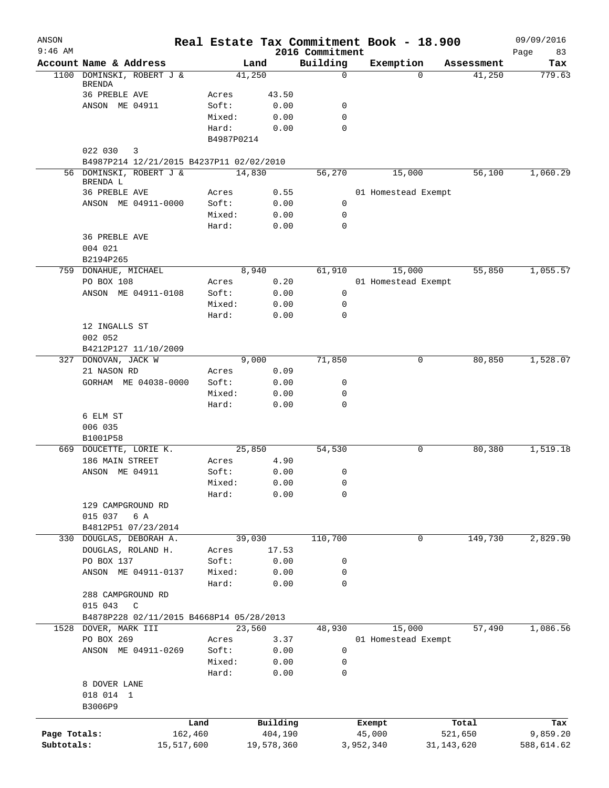| ANSON<br>$9:46$ AM |                                          |            |                |        |               | 2016 Commitment | Real Estate Tax Commitment Book - 18.900 |              | 09/09/2016<br>Page<br>83 |
|--------------------|------------------------------------------|------------|----------------|--------|---------------|-----------------|------------------------------------------|--------------|--------------------------|
|                    | Account Name & Address                   |            |                | Land   |               | Building        | Exemption                                | Assessment   | Tax                      |
|                    | 1100 DOMINSKI, ROBERT J &                |            |                | 41,250 |               | 0               | $\Omega$                                 | 41,250       | 779.63                   |
|                    | <b>BRENDA</b><br><b>36 PREBLE AVE</b>    |            |                |        |               |                 |                                          |              |                          |
|                    | ANSON ME 04911                           |            | Acres<br>Soft: |        | 43.50<br>0.00 | 0               |                                          |              |                          |
|                    |                                          |            | Mixed:         |        | 0.00          | 0               |                                          |              |                          |
|                    |                                          |            | Hard:          |        | 0.00          | $\Omega$        |                                          |              |                          |
|                    |                                          |            | B4987P0214     |        |               |                 |                                          |              |                          |
|                    | 022 030<br>3                             |            |                |        |               |                 |                                          |              |                          |
|                    | B4987P214 12/21/2015 B4237P11 02/02/2010 |            |                |        |               |                 |                                          |              |                          |
|                    | 56 DOMINSKI, ROBERT J &<br>BRENDA L      |            |                | 14,830 |               | 56,270          | 15,000                                   | 56,100       | 1,060.29                 |
|                    | 36 PREBLE AVE                            |            | Acres          |        | 0.55          |                 | 01 Homestead Exempt                      |              |                          |
|                    | ANSON ME 04911-0000                      |            | Soft:          |        | 0.00          | 0               |                                          |              |                          |
|                    |                                          |            | Mixed:         |        | 0.00          | 0               |                                          |              |                          |
|                    |                                          |            | Hard:          |        | 0.00          | 0               |                                          |              |                          |
|                    | 36 PREBLE AVE<br>004 021                 |            |                |        |               |                 |                                          |              |                          |
|                    | B2194P265                                |            |                |        |               |                 |                                          |              |                          |
| 759                | DONAHUE, MICHAEL                         |            |                | 8,940  |               | 61,910          | 15,000                                   | 55,850       | 1,055.57                 |
|                    | PO BOX 108                               |            | Acres          |        | 0.20          |                 | 01 Homestead Exempt                      |              |                          |
|                    | ANSON ME 04911-0108                      |            | Soft:          |        | 0.00          | 0               |                                          |              |                          |
|                    |                                          |            | Mixed:         |        | 0.00          | 0               |                                          |              |                          |
|                    |                                          |            | Hard:          |        | 0.00          | 0               |                                          |              |                          |
|                    | 12 INGALLS ST<br>002 052                 |            |                |        |               |                 |                                          |              |                          |
|                    | B4212P127 11/10/2009                     |            |                |        |               |                 |                                          |              |                          |
| 327                | DONOVAN, JACK W                          |            |                | 9,000  |               | 71,850          | 0                                        | 80,850       | 1,528.07                 |
|                    | 21 NASON RD                              |            | Acres          |        | 0.09          |                 |                                          |              |                          |
|                    | GORHAM ME 04038-0000                     |            | Soft:          |        | 0.00          | 0               |                                          |              |                          |
|                    |                                          |            | Mixed:         |        | 0.00          | 0               |                                          |              |                          |
|                    |                                          |            | Hard:          |        | 0.00          | 0               |                                          |              |                          |
|                    | 6 ELM ST                                 |            |                |        |               |                 |                                          |              |                          |
|                    | 006 035                                  |            |                |        |               |                 |                                          |              |                          |
|                    | B1001P58                                 |            |                |        |               |                 |                                          |              |                          |
|                    | 669 DOUCETTE, LORIE K.                   |            |                | 25,850 |               | 54,530          | 0                                        | 80,380       | 1,519.18                 |
|                    | 186 MAIN STREET                          |            | Acres          |        | 4.90          |                 |                                          |              |                          |
|                    | ANSON ME 04911                           |            | Soft:          |        | 0.00          | 0               |                                          |              |                          |
|                    |                                          |            | Mixed:         |        | 0.00          | 0               |                                          |              |                          |
|                    |                                          |            | Hard:          |        | 0.00          | 0               |                                          |              |                          |
|                    | 129 CAMPGROUND RD                        |            |                |        |               |                 |                                          |              |                          |
|                    | 015 037<br>6 A                           |            |                |        |               |                 |                                          |              |                          |
|                    | B4812P51 07/23/2014                      |            |                |        |               |                 |                                          |              |                          |
| 330                | DOUGLAS, DEBORAH A.                      |            |                | 39,030 |               | 110,700         | 0                                        | 149,730      | 2,829.90                 |
|                    | DOUGLAS, ROLAND H.                       |            | Acres          |        | 17.53         |                 |                                          |              |                          |
|                    | PO BOX 137                               |            | Soft:          |        | 0.00          | 0               |                                          |              |                          |
|                    | ANSON ME 04911-0137                      |            | Mixed:         |        | 0.00          | 0               |                                          |              |                          |
|                    |                                          |            | Hard:          |        | 0.00          | 0               |                                          |              |                          |
|                    | 288 CAMPGROUND RD                        |            |                |        |               |                 |                                          |              |                          |
|                    | 015 043<br>$\mathsf C$                   |            |                |        |               |                 |                                          |              |                          |
|                    | B4878P228 02/11/2015 B4668P14 05/28/2013 |            |                |        |               |                 |                                          |              |                          |
| 1528               | DOVER, MARK III                          |            |                | 23,560 |               | 48,930          | 15,000                                   | 57,490       | 1,086.56                 |
|                    | PO BOX 269                               |            | Acres          |        | 3.37          |                 | 01 Homestead Exempt                      |              |                          |
|                    | ANSON ME 04911-0269                      |            | Soft:          |        | 0.00          | 0               |                                          |              |                          |
|                    |                                          |            | Mixed:         |        | 0.00          | 0               |                                          |              |                          |
|                    |                                          |            | Hard:          |        | 0.00          | 0               |                                          |              |                          |
|                    | 8 DOVER LANE                             |            |                |        |               |                 |                                          |              |                          |
|                    | 018 014 1                                |            |                |        |               |                 |                                          |              |                          |
|                    | B3006P9                                  |            |                |        |               |                 |                                          |              |                          |
|                    |                                          | Land       |                |        | Building      |                 | Exempt                                   | Total        | Tax                      |
| Page Totals:       |                                          | 162,460    |                |        | 404,190       |                 | 45,000                                   | 521,650      | 9,859.20                 |
| Subtotals:         |                                          | 15,517,600 |                |        | 19,578,360    |                 | 3,952,340                                | 31, 143, 620 | 588,614.62               |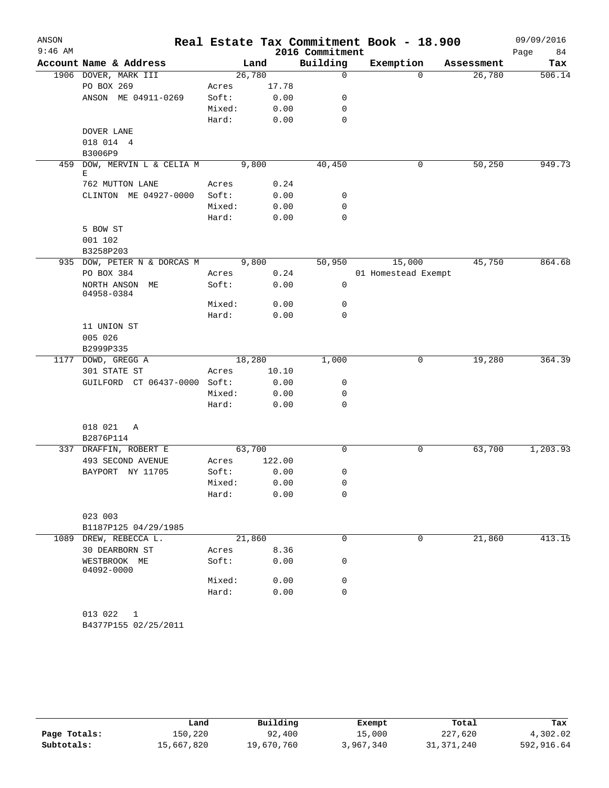| ANSON     |                                          |        |              |                 | Real Estate Tax Commitment Book - 18.900 |            | 09/09/2016 |
|-----------|------------------------------------------|--------|--------------|-----------------|------------------------------------------|------------|------------|
| $9:46$ AM |                                          |        |              | 2016 Commitment |                                          |            | Page<br>84 |
|           | Account Name & Address                   |        | Land         | Building        | Exemption                                | Assessment | Tax        |
|           | 1906 DOVER, MARK III                     |        | 26,780       | $\mathbf 0$     | $\Omega$                                 | 26,780     | 506.14     |
|           | PO BOX 269                               | Acres  | 17.78        |                 |                                          |            |            |
|           | ANSON ME 04911-0269                      | Soft:  | 0.00         | 0               |                                          |            |            |
|           |                                          | Mixed: | 0.00         | 0               |                                          |            |            |
|           |                                          | Hard:  | 0.00         | $\mathbf 0$     |                                          |            |            |
|           | DOVER LANE<br>018 014 4                  |        |              |                 |                                          |            |            |
|           | B3006P9                                  |        |              |                 |                                          |            |            |
| 459       | DOW, MERVIN L & CELIA M                  |        | 9,800        | 40,450          | 0                                        | 50,250     | 949.73     |
|           | Ε                                        |        |              |                 |                                          |            |            |
|           | 762 MUTTON LANE                          | Acres  | 0.24         |                 |                                          |            |            |
|           | CLINTON ME 04927-0000                    | Soft:  | 0.00         | 0               |                                          |            |            |
|           |                                          | Mixed: | 0.00         | 0               |                                          |            |            |
|           |                                          | Hard:  | 0.00         | 0               |                                          |            |            |
|           | 5 BOW ST                                 |        |              |                 |                                          |            |            |
|           | 001 102                                  |        |              |                 |                                          |            |            |
|           | B3258P203                                |        |              |                 |                                          |            |            |
|           | 935 DOW, PETER N & DORCAS M              |        | 9,800        | 50,950          | 15,000                                   | 45,750     | 864.68     |
|           | PO BOX 384                               | Acres  | 0.24         |                 | 01 Homestead Exempt                      |            |            |
|           | NORTH ANSON ME<br>04958-0384             | Soft:  | 0.00         | 0               |                                          |            |            |
|           |                                          | Mixed: | 0.00         | 0               |                                          |            |            |
|           |                                          | Hard:  | 0.00         | 0               |                                          |            |            |
|           | 11 UNION ST                              |        |              |                 |                                          |            |            |
|           | 005 026                                  |        |              |                 |                                          |            |            |
|           | B2999P335                                |        |              |                 |                                          |            |            |
| 1177      | DOWD, GREGG A                            |        | 18,280       | 1,000           | 0                                        | 19,280     | 364.39     |
|           | 301 STATE ST                             | Acres  | 10.10        |                 |                                          |            |            |
|           | GUILFORD CT 06437-0000 Soft:             | Mixed: | 0.00<br>0.00 | 0<br>0          |                                          |            |            |
|           |                                          | Hard:  | 0.00         | 0               |                                          |            |            |
|           |                                          |        |              |                 |                                          |            |            |
|           | 018 021<br>Α                             |        |              |                 |                                          |            |            |
|           | B2876P114                                |        |              |                 |                                          |            |            |
|           | 337 DRAFFIN, ROBERT E                    |        | 63,700       | $\mathbf 0$     | 0                                        | 63,700     | 1,203.93   |
|           | 493 SECOND AVENUE                        | Acres  | 122.00       |                 |                                          |            |            |
|           | BAYPORT NY 11705                         | Soft:  | 0.00         | 0               |                                          |            |            |
|           |                                          | Mixed: | 0.00         | 0               |                                          |            |            |
|           |                                          | Hard:  | 0.00         | 0               |                                          |            |            |
|           |                                          |        |              |                 |                                          |            |            |
|           | 023 003                                  |        |              |                 |                                          |            |            |
| 1089      | B1187P125 04/29/1985<br>DREW, REBECCA L. |        | 21,860       | $\mathbf 0$     | 0                                        | 21,860     | 413.15     |
|           | 30 DEARBORN ST                           | Acres  | 8.36         |                 |                                          |            |            |
|           | WESTBROOK ME                             | Soft:  | 0.00         | 0               |                                          |            |            |
|           | 04092-0000                               |        |              |                 |                                          |            |            |
|           |                                          | Mixed: | 0.00         | 0               |                                          |            |            |
|           |                                          | Hard:  | 0.00         | $\mathbf 0$     |                                          |            |            |
|           |                                          |        |              |                 |                                          |            |            |
|           | 013 022<br>1                             |        |              |                 |                                          |            |            |
|           | B4377P155 02/25/2011                     |        |              |                 |                                          |            |            |
|           |                                          |        |              |                 |                                          |            |            |

|              | Land       | Building   | Exempt    | Total        | Tax        |
|--------------|------------|------------|-----------|--------------|------------|
| Page Totals: | 150,220    | 92,400     | 15,000    | 227,620      | 4,302.02   |
| Subtotals:   | 15,667,820 | 19,670,760 | 3,967,340 | 31, 371, 240 | 592,916.64 |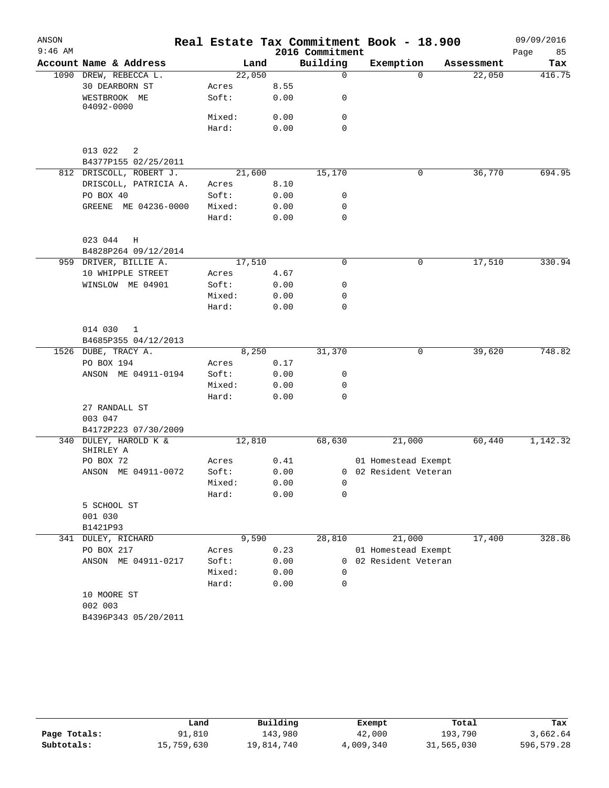| ANSON     |                                      |        |      |                 | Real Estate Tax Commitment Book - 18.900 |            | 09/09/2016 |
|-----------|--------------------------------------|--------|------|-----------------|------------------------------------------|------------|------------|
| $9:46$ AM |                                      |        |      | 2016 Commitment |                                          |            | 85<br>Page |
|           | Account Name & Address               | Land   |      | Building        | Exemption                                | Assessment | Tax        |
|           | 1090 DREW, REBECCA L.                | 22,050 |      | $\mathbf 0$     | $\Omega$                                 | 22,050     | 416.75     |
|           | 30 DEARBORN ST                       | Acres  | 8.55 |                 |                                          |            |            |
|           | WESTBROOK ME<br>04092-0000           | Soft:  | 0.00 | 0               |                                          |            |            |
|           |                                      | Mixed: | 0.00 | 0               |                                          |            |            |
|           |                                      | Hard:  | 0.00 | $\mathbf 0$     |                                          |            |            |
|           | 013 022<br>2<br>B4377P155 02/25/2011 |        |      |                 |                                          |            |            |
|           | 812 DRISCOLL, ROBERT J.              | 21,600 |      | 15,170          | 0                                        | 36,770     | 694.95     |
|           | DRISCOLL, PATRICIA A.                | Acres  | 8.10 |                 |                                          |            |            |
|           | PO BOX 40                            | Soft:  | 0.00 | 0               |                                          |            |            |
|           | GREENE ME 04236-0000                 | Mixed: | 0.00 | 0               |                                          |            |            |
|           |                                      | Hard:  | 0.00 | 0               |                                          |            |            |
|           | 023 044<br>Η<br>B4828P264 09/12/2014 |        |      |                 |                                          |            |            |
|           | 959 DRIVER, BILLIE A.                | 17,510 |      | 0               | 0                                        | 17,510     | 330.94     |
|           | 10 WHIPPLE STREET                    | Acres  | 4.67 |                 |                                          |            |            |
|           | WINSLOW ME 04901                     | Soft:  | 0.00 | 0               |                                          |            |            |
|           |                                      | Mixed: | 0.00 | 0               |                                          |            |            |
|           |                                      | Hard:  | 0.00 | 0               |                                          |            |            |
|           | 014 030<br>1                         |        |      |                 |                                          |            |            |
|           | B4685P355 04/12/2013                 |        |      |                 |                                          |            |            |
|           | 1526 DUBE, TRACY A.                  | 8,250  |      | 31,370          | 0                                        | 39,620     | 748.82     |
|           | PO BOX 194                           | Acres  | 0.17 |                 |                                          |            |            |
|           | ANSON ME 04911-0194                  | Soft:  | 0.00 | 0               |                                          |            |            |
|           |                                      | Mixed: | 0.00 | 0               |                                          |            |            |
|           |                                      | Hard:  | 0.00 | 0               |                                          |            |            |
|           | 27 RANDALL ST                        |        |      |                 |                                          |            |            |
|           | 003 047                              |        |      |                 |                                          |            |            |
|           | B4172P223 07/30/2009                 |        |      |                 |                                          |            |            |
|           | 340 DULEY, HAROLD K &<br>SHIRLEY A   | 12,810 |      | 68,630          | 21,000                                   | 60,440     | 1,142.32   |
|           | PO BOX 72                            | Acres  | 0.41 |                 | 01 Homestead Exempt                      |            |            |
|           | ANSON ME 04911-0072                  | Soft:  | 0.00 |                 | 0 02 Resident Veteran                    |            |            |
|           |                                      | Mixed: | 0.00 | $\overline{0}$  |                                          |            |            |
|           |                                      | Hard:  | 0.00 | 0               |                                          |            |            |
|           | 5 SCHOOL ST                          |        |      |                 |                                          |            |            |
|           | 001 030                              |        |      |                 |                                          |            |            |
|           | B1421P93                             |        |      |                 |                                          |            |            |
|           | 341 DULEY, RICHARD                   | 9,590  |      | 28,810          | 21,000                                   | 17,400     | 328.86     |
|           | PO BOX 217                           | Acres  | 0.23 |                 | 01 Homestead Exempt                      |            |            |
|           | ANSON ME 04911-0217                  | Soft:  | 0.00 | 0               | 02 Resident Veteran                      |            |            |
|           |                                      | Mixed: | 0.00 | $\Omega$        |                                          |            |            |
|           |                                      | Hard:  | 0.00 | 0               |                                          |            |            |
|           | 10 MOORE ST                          |        |      |                 |                                          |            |            |
|           | 002 003                              |        |      |                 |                                          |            |            |
|           | B4396P343 05/20/2011                 |        |      |                 |                                          |            |            |

|              | Land       | Building   | Exempt    | Total      | Tax        |
|--------------|------------|------------|-----------|------------|------------|
| Page Totals: | 91,810     | 143,980    | 42,000    | 193,790    | 3,662.64   |
| Subtotals:   | 15,759,630 | 19,814,740 | 4,009,340 | 31,565,030 | 596,579.28 |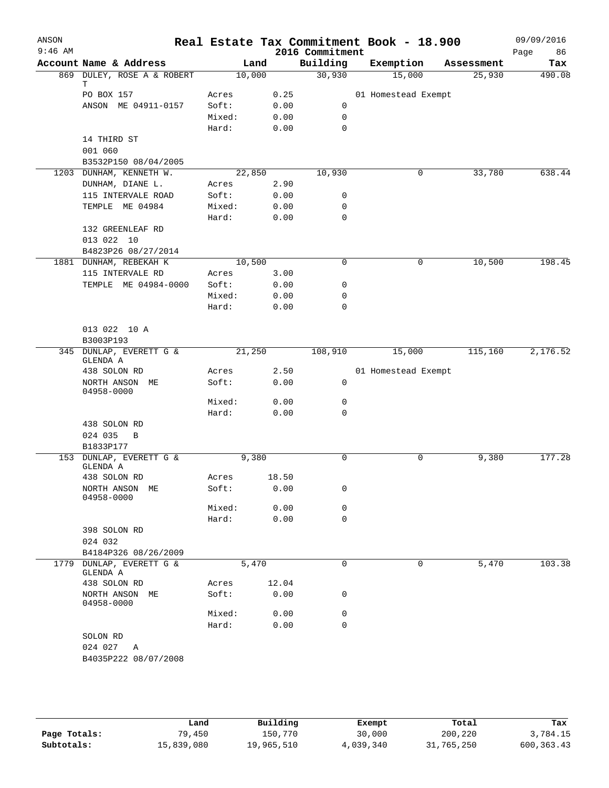| ANSON<br>$9:46$ AM |                                                 |        |       | 2016 Commitment | Real Estate Tax Commitment Book - 18.900 |            | 09/09/2016<br>86<br>Page |
|--------------------|-------------------------------------------------|--------|-------|-----------------|------------------------------------------|------------|--------------------------|
|                    | Account Name & Address                          |        | Land  | Building        | Exemption                                | Assessment | Tax                      |
|                    | 869 DULEY, ROSE A & ROBERT                      | 10,000 |       | 30,930          | 15,000                                   | 25,930     | 490.08                   |
|                    | т                                               |        |       |                 |                                          |            |                          |
|                    | PO BOX 157                                      | Acres  | 0.25  |                 | 01 Homestead Exempt                      |            |                          |
|                    | ANSON ME 04911-0157                             | Soft:  | 0.00  | 0               |                                          |            |                          |
|                    |                                                 | Mixed: | 0.00  | 0               |                                          |            |                          |
|                    |                                                 | Hard:  | 0.00  | 0               |                                          |            |                          |
|                    | 14 THIRD ST<br>001 060                          |        |       |                 |                                          |            |                          |
|                    |                                                 |        |       |                 |                                          |            |                          |
|                    | B3532P150 08/04/2005<br>1203 DUNHAM, KENNETH W. | 22,850 |       | 10,930          | 0                                        | 33,780     | 638.44                   |
|                    | DUNHAM, DIANE L.                                | Acres  | 2.90  |                 |                                          |            |                          |
|                    | 115 INTERVALE ROAD                              | Soft:  | 0.00  | 0               |                                          |            |                          |
|                    | TEMPLE ME 04984                                 | Mixed: | 0.00  | $\mathbf 0$     |                                          |            |                          |
|                    |                                                 | Hard:  | 0.00  | $\mathbf 0$     |                                          |            |                          |
|                    | 132 GREENLEAF RD                                |        |       |                 |                                          |            |                          |
|                    | 013 022 10                                      |        |       |                 |                                          |            |                          |
|                    | B4823P26 08/27/2014                             |        |       |                 |                                          |            |                          |
|                    | 1881 DUNHAM, REBEKAH K                          | 10,500 |       | 0               | 0                                        | 10,500     | 198.45                   |
|                    | 115 INTERVALE RD                                | Acres  | 3.00  |                 |                                          |            |                          |
|                    | TEMPLE ME 04984-0000                            | Soft:  | 0.00  | 0               |                                          |            |                          |
|                    |                                                 | Mixed: | 0.00  | 0               |                                          |            |                          |
|                    |                                                 | Hard:  | 0.00  | 0               |                                          |            |                          |
|                    |                                                 |        |       |                 |                                          |            |                          |
|                    | 013 022 10 A                                    |        |       |                 |                                          |            |                          |
|                    | B3003P193                                       |        |       |                 |                                          |            |                          |
|                    | 345 DUNLAP, EVERETT G &<br>GLENDA A             | 21,250 |       | 108,910         | 15,000                                   | 115,160    | 2,176.52                 |
|                    | 438 SOLON RD                                    | Acres  | 2.50  |                 | 01 Homestead Exempt                      |            |                          |
|                    | NORTH ANSON ME<br>04958-0000                    | Soft:  | 0.00  | 0               |                                          |            |                          |
|                    |                                                 | Mixed: | 0.00  | 0               |                                          |            |                          |
|                    |                                                 | Hard:  | 0.00  | 0               |                                          |            |                          |
|                    | 438 SOLON RD                                    |        |       |                 |                                          |            |                          |
|                    | 024 035<br>$\overline{B}$                       |        |       |                 |                                          |            |                          |
|                    | B1833P177                                       |        |       |                 |                                          |            |                          |
|                    | 153 DUNLAP, EVERETT G &                         | 9,380  |       | 0               | 0                                        | 9,380      | 177.28                   |
|                    | GLENDA A                                        |        |       |                 |                                          |            |                          |
|                    | 438 SOLON RD                                    | Acres  | 18.50 |                 |                                          |            |                          |
|                    | NORTH ANSON ME<br>04958-0000                    | Soft:  | 0.00  | 0               |                                          |            |                          |
|                    |                                                 | Mixed: | 0.00  | 0               |                                          |            |                          |
|                    |                                                 | Hard:  | 0.00  | $\mathbf 0$     |                                          |            |                          |
|                    | 398 SOLON RD                                    |        |       |                 |                                          |            |                          |
|                    | 024 032                                         |        |       |                 |                                          |            |                          |
| 1779               | B4184P326 08/26/2009<br>DUNLAP, EVERETT G &     | 5,470  |       | $\mathbf 0$     | 0                                        |            | 103.38                   |
|                    | GLENDA A                                        |        |       |                 |                                          | 5,470      |                          |
|                    | 438 SOLON RD                                    | Acres  | 12.04 |                 |                                          |            |                          |
|                    | NORTH ANSON ME<br>04958-0000                    | Soft:  | 0.00  | 0               |                                          |            |                          |
|                    |                                                 | Mixed: | 0.00  | 0               |                                          |            |                          |
|                    |                                                 | Hard:  | 0.00  | $\mathbf 0$     |                                          |            |                          |
|                    | SOLON RD                                        |        |       |                 |                                          |            |                          |
|                    | 024 027<br>Α                                    |        |       |                 |                                          |            |                          |
|                    | B4035P222 08/07/2008                            |        |       |                 |                                          |            |                          |

|              | Land       | Building   | Exempt    | Total      | Tax         |
|--------------|------------|------------|-----------|------------|-------------|
| Page Totals: | 79,450     | 150,770    | 30,000    | 200,220    | 3,784.15    |
| Subtotals:   | 15,839,080 | 19,965,510 | 4,039,340 | 31,765,250 | 600, 363.43 |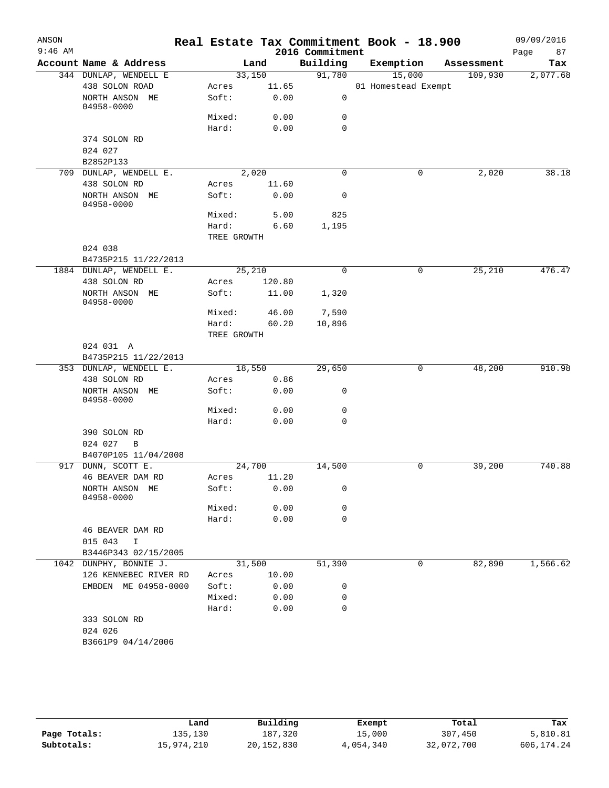| ANSON     |                                            |             |        |                 | Real Estate Tax Commitment Book - 18.900 |            | 09/09/2016 |
|-----------|--------------------------------------------|-------------|--------|-----------------|------------------------------------------|------------|------------|
| $9:46$ AM |                                            |             |        | 2016 Commitment |                                          |            | Page<br>87 |
|           | Account Name & Address                     |             | Land   | Building        | Exemption                                | Assessment | Tax        |
|           | 344 DUNLAP, WENDELL E                      | 33,150      |        | 91,780          | 15,000                                   | 109,930    | 2,077.68   |
|           | 438 SOLON ROAD                             | Acres       | 11.65  |                 | 01 Homestead Exempt                      |            |            |
|           | NORTH ANSON ME<br>04958-0000               | Soft:       | 0.00   | 0               |                                          |            |            |
|           |                                            | Mixed:      | 0.00   | 0               |                                          |            |            |
|           |                                            | Hard:       | 0.00   | $\mathbf 0$     |                                          |            |            |
|           | 374 SOLON RD                               |             |        |                 |                                          |            |            |
|           | 024 027                                    |             |        |                 |                                          |            |            |
|           | B2852P133                                  |             |        |                 |                                          |            |            |
|           | 709 DUNLAP, WENDELL E.                     | 2,020       |        | $\mathbf 0$     | $\mathbf 0$                              | 2,020      | 38.18      |
|           | 438 SOLON RD                               | Acres       | 11.60  |                 |                                          |            |            |
|           | NORTH ANSON ME<br>04958-0000               | Soft:       | 0.00   | $\mathbf 0$     |                                          |            |            |
|           |                                            | Mixed:      | 5.00   | 825             |                                          |            |            |
|           |                                            | Hard:       | 6.60   | 1,195           |                                          |            |            |
|           |                                            | TREE GROWTH |        |                 |                                          |            |            |
|           | 024 038                                    |             |        |                 |                                          |            |            |
|           | B4735P215 11/22/2013                       |             |        |                 |                                          |            |            |
|           | 1884 DUNLAP, WENDELL E.                    | 25,210      |        | $\mathbf 0$     | 0                                        | 25,210     | 476.47     |
|           | 438 SOLON RD                               | Acres       | 120.80 |                 |                                          |            |            |
|           | NORTH ANSON ME<br>04958-0000               | Soft:       | 11.00  | 1,320           |                                          |            |            |
|           |                                            | Mixed:      | 46.00  | 7,590           |                                          |            |            |
|           |                                            | Hard:       | 60.20  | 10,896          |                                          |            |            |
|           |                                            | TREE GROWTH |        |                 |                                          |            |            |
|           | 024 031 A                                  |             |        |                 |                                          |            |            |
|           | B4735P215 11/22/2013                       |             |        |                 |                                          |            |            |
|           | 353 DUNLAP, WENDELL E.                     | 18,550      |        | 29,650          | 0                                        | 48,200     | 910.98     |
|           | 438 SOLON RD                               | Acres       | 0.86   |                 |                                          |            |            |
|           | NORTH ANSON ME<br>04958-0000               | Soft:       | 0.00   | 0               |                                          |            |            |
|           |                                            | Mixed:      | 0.00   | 0               |                                          |            |            |
|           |                                            | Hard:       | 0.00   | 0               |                                          |            |            |
|           | 390 SOLON RD                               |             |        |                 |                                          |            |            |
|           | 024 027<br>$\overline{B}$                  |             |        |                 |                                          |            |            |
|           | B4070P105 11/04/2008                       |             |        |                 |                                          |            |            |
|           | 917 DUNN, SCOTT E.                         | 24,700      |        | 14,500          | 0                                        | 39,200     | 740.88     |
|           | 46 BEAVER DAM RD                           | Acres       | 11.20  |                 |                                          |            |            |
|           | NORTH ANSON ME<br>04958-0000               | Soft:       | 0.00   | 0               |                                          |            |            |
|           |                                            | Mixed:      | 0.00   | 0               |                                          |            |            |
|           |                                            | Hard:       | 0.00   | 0               |                                          |            |            |
|           | 46 BEAVER DAM RD<br>015 043<br>$\mathbf I$ |             |        |                 |                                          |            |            |
|           | B3446P343 02/15/2005                       |             |        |                 |                                          |            |            |
| 1042      | DUNPHY, BONNIE J.                          | 31,500      |        | 51,390          | 0                                        | 82,890     | 1,566.62   |
|           | 126 KENNEBEC RIVER RD                      | Acres       | 10.00  |                 |                                          |            |            |
|           | EMBDEN ME 04958-0000                       | Soft:       | 0.00   | 0               |                                          |            |            |
|           |                                            | Mixed:      | 0.00   | 0               |                                          |            |            |
|           |                                            | Hard:       | 0.00   | 0               |                                          |            |            |
|           | 333 SOLON RD<br>024 026                    |             |        |                 |                                          |            |            |
|           | B3661P9 04/14/2006                         |             |        |                 |                                          |            |            |
|           |                                            |             |        |                 |                                          |            |            |

|              | Land       | Building     | Exempt    | Total      | Tax        |
|--------------|------------|--------------|-----------|------------|------------|
| Page Totals: | 135,130    | 187,320      | 15,000    | 307,450    | 5,810.81   |
| Subtotals:   | 15,974,210 | 20, 152, 830 | 4,054,340 | 32,072,700 | 606,174.24 |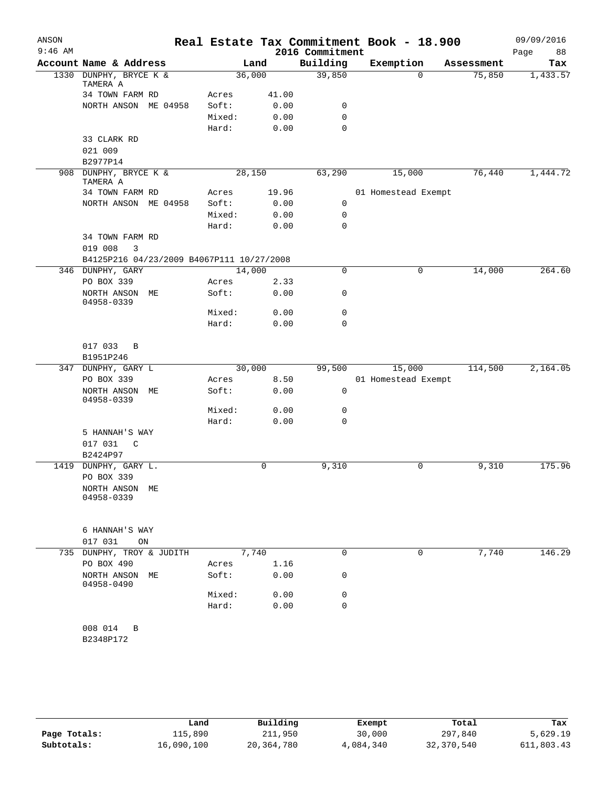| ANSON     |                                           |        |       |                 | Real Estate Tax Commitment Book - 18.900 |            | 09/09/2016 |
|-----------|-------------------------------------------|--------|-------|-----------------|------------------------------------------|------------|------------|
| $9:46$ AM |                                           |        |       | 2016 Commitment |                                          |            | 88<br>Page |
|           | Account Name & Address                    |        | Land  | Building        | Exemption<br>$\Omega$                    | Assessment | Tax        |
|           | 1330 DUNPHY, BRYCE K &<br>TAMERA A        | 36,000 |       | 39,850          |                                          | 75,850     | 1,433.57   |
|           | 34 TOWN FARM RD                           | Acres  | 41.00 |                 |                                          |            |            |
|           | NORTH ANSON ME 04958                      | Soft:  | 0.00  | 0               |                                          |            |            |
|           |                                           | Mixed: | 0.00  | 0               |                                          |            |            |
|           |                                           | Hard:  | 0.00  | $\mathbf 0$     |                                          |            |            |
|           | 33 CLARK RD                               |        |       |                 |                                          |            |            |
|           | 021 009                                   |        |       |                 |                                          |            |            |
|           | B2977P14                                  |        |       |                 |                                          |            |            |
| 908       | DUNPHY, BRYCE K &<br>TAMERA A             | 28,150 |       | 63,290          | 15,000                                   | 76,440     | 1,444.72   |
|           | 34 TOWN FARM RD                           | Acres  | 19.96 |                 | 01 Homestead Exempt                      |            |            |
|           | NORTH ANSON ME 04958                      | Soft:  | 0.00  | 0               |                                          |            |            |
|           |                                           | Mixed: | 0.00  | 0               |                                          |            |            |
|           |                                           | Hard:  | 0.00  | $\mathbf 0$     |                                          |            |            |
|           | 34 TOWN FARM RD                           |        |       |                 |                                          |            |            |
|           | 019 008<br>3                              |        |       |                 |                                          |            |            |
|           | B4125P216 04/23/2009 B4067P111 10/27/2008 |        |       |                 |                                          |            |            |
|           | 346 DUNPHY, GARY                          | 14,000 |       | $\mathbf 0$     | 0                                        | 14,000     | 264.60     |
|           | PO BOX 339                                | Acres  | 2.33  |                 |                                          |            |            |
|           | NORTH ANSON ME<br>04958-0339              | Soft:  | 0.00  | 0               |                                          |            |            |
|           |                                           | Mixed: | 0.00  | $\mathsf{O}$    |                                          |            |            |
|           |                                           | Hard:  | 0.00  | $\mathbf 0$     |                                          |            |            |
|           |                                           |        |       |                 |                                          |            |            |
|           | 017 033<br>B                              |        |       |                 |                                          |            |            |
|           | B1951P246                                 |        |       |                 |                                          |            |            |
|           | 347 DUNPHY, GARY L                        | 30,000 |       | 99,500          | 15,000                                   | 114,500    | 2,164.05   |
|           | PO BOX 339                                | Acres  | 8.50  | $\mathbf 0$     | 01 Homestead Exempt                      |            |            |
|           | NORTH ANSON ME<br>04958-0339              | Soft:  | 0.00  |                 |                                          |            |            |
|           |                                           | Mixed: | 0.00  | 0               |                                          |            |            |
|           |                                           | Hard:  | 0.00  | $\Omega$        |                                          |            |            |
|           | 5 HANNAH'S WAY                            |        |       |                 |                                          |            |            |
|           | 017 031<br>C                              |        |       |                 |                                          |            |            |
|           | B2424P97                                  |        |       |                 |                                          |            |            |
|           | 1419 DUNPHY, GARY L.                      |        | 0     | 9,310           | 0                                        | 9,310      | 175.96     |
|           | PO BOX 339                                |        |       |                 |                                          |            |            |
|           | NORTH ANSON ME<br>04958-0339              |        |       |                 |                                          |            |            |
|           |                                           |        |       |                 |                                          |            |            |
|           |                                           |        |       |                 |                                          |            |            |
|           | 6 HANNAH'S WAY                            |        |       |                 |                                          |            |            |
|           | 017 031<br>ON                             |        |       |                 |                                          |            |            |
| 735       | DUNPHY, TROY & JUDITH                     |        | 7,740 | 0               | $\mathbf 0$                              | 7,740      | 146.29     |
|           | PO BOX 490                                | Acres  | 1.16  |                 |                                          |            |            |
|           | NORTH ANSON ME<br>04958-0490              | Soft:  | 0.00  | 0               |                                          |            |            |
|           |                                           | Mixed: | 0.00  | 0               |                                          |            |            |
|           |                                           | Hard:  | 0.00  | 0               |                                          |            |            |
|           | 008 014<br>B                              |        |       |                 |                                          |            |            |
|           | B2348P172                                 |        |       |                 |                                          |            |            |
|           |                                           |        |       |                 |                                          |            |            |
|           |                                           |        |       |                 |                                          |            |            |

|              | Land       | Building     | Exempt    | Total      | Tax        |
|--------------|------------|--------------|-----------|------------|------------|
| Page Totals: | 115,890    | 211,950      | 30,000    | 297,840    | 5,629.19   |
| Subtotals:   | 16,090,100 | 20, 364, 780 | 4,084,340 | 32,370,540 | 611,803.43 |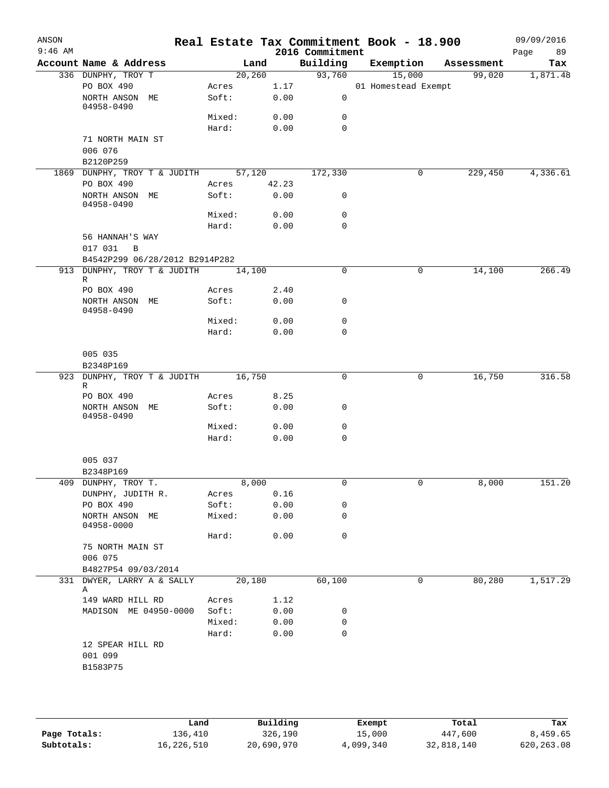| ANSON<br>$9:46$ AM |                                     |        |         |       | 2016 Commitment | Real Estate Tax Commitment Book - 18.900 |            | 09/09/2016<br>89<br>Page |
|--------------------|-------------------------------------|--------|---------|-------|-----------------|------------------------------------------|------------|--------------------------|
|                    | Account Name & Address              |        | Land    |       | Building        | Exemption                                | Assessment | Tax                      |
|                    | 336 DUNPHY, TROY T                  |        | 20, 260 |       | 93,760          | 15,000                                   | 99,020     | 1,871.48                 |
|                    | PO BOX 490                          | Acres  |         |       | 1.17            | 01 Homestead Exempt                      |            |                          |
|                    | NORTH ANSON ME<br>04958-0490        | Soft:  |         | 0.00  | 0               |                                          |            |                          |
|                    |                                     | Mixed: |         | 0.00  | 0               |                                          |            |                          |
|                    |                                     | Hard:  |         | 0.00  | $\mathbf 0$     |                                          |            |                          |
|                    | 71 NORTH MAIN ST                    |        |         |       |                 |                                          |            |                          |
|                    | 006 076                             |        |         |       |                 |                                          |            |                          |
|                    | B2120P259                           |        |         |       |                 |                                          |            |                          |
|                    | 1869 DUNPHY, TROY T & JUDITH 57,120 |        |         |       | 172,330         | 0                                        | 229,450    | 4,336.61                 |
|                    | PO BOX 490                          | Acres  |         | 42.23 |                 |                                          |            |                          |
|                    | NORTH ANSON ME<br>04958-0490        | Soft:  |         | 0.00  | 0               |                                          |            |                          |
|                    |                                     | Mixed: |         | 0.00  | 0               |                                          |            |                          |
|                    |                                     | Hard:  |         | 0.00  | $\mathbf 0$     |                                          |            |                          |
|                    | 56 HANNAH'S WAY<br>017 031<br>B     |        |         |       |                 |                                          |            |                          |
|                    | B4542P299 06/28/2012 B2914P282      |        |         |       |                 |                                          |            |                          |
|                    |                                     |        |         |       | 0               | 0                                        |            | 266.49                   |
|                    | 913 DUNPHY, TROY T & JUDITH<br>R    | 14,100 |         |       |                 |                                          | 14,100     |                          |
|                    | PO BOX 490                          | Acres  |         | 2.40  |                 |                                          |            |                          |
|                    | NORTH ANSON ME<br>04958-0490        | Soft:  |         | 0.00  | 0               |                                          |            |                          |
|                    |                                     | Mixed: |         | 0.00  | 0               |                                          |            |                          |
|                    |                                     | Hard:  |         | 0.00  | $\mathbf 0$     |                                          |            |                          |
|                    | 005 035                             |        |         |       |                 |                                          |            |                          |
|                    | B2348P169                           |        |         |       |                 |                                          |            |                          |
|                    | 923 DUNPHY, TROY T & JUDITH         | 16,750 |         |       | 0               | 0                                        | 16,750     | 316.58                   |
|                    | R                                   |        |         |       |                 |                                          |            |                          |
|                    | PO BOX 490                          | Acres  |         | 8.25  |                 |                                          |            |                          |
|                    | NORTH ANSON ME<br>04958-0490        | Soft:  |         | 0.00  | 0               |                                          |            |                          |
|                    |                                     | Mixed: |         | 0.00  | 0               |                                          |            |                          |
|                    |                                     | Hard:  |         | 0.00  | 0               |                                          |            |                          |
|                    | 005 037                             |        |         |       |                 |                                          |            |                          |
|                    | B2348P169                           |        |         |       |                 |                                          |            |                          |
|                    | 409 DUNPHY, TROY T.                 |        | 8,000   |       | 0               | 0                                        | 8,000      | 151.20                   |
|                    | DUNPHY, JUDITH R.                   | Acres  |         | 0.16  |                 |                                          |            |                          |
|                    | PO BOX 490                          | Soft:  |         | 0.00  | 0               |                                          |            |                          |
|                    | NORTH ANSON ME<br>04958-0000        | Mixed: |         | 0.00  | 0               |                                          |            |                          |
|                    |                                     | Hard:  |         | 0.00  | 0               |                                          |            |                          |
|                    | 75 NORTH MAIN ST                    |        |         |       |                 |                                          |            |                          |
|                    | 006 075                             |        |         |       |                 |                                          |            |                          |
|                    | B4827P54 09/03/2014                 |        |         |       |                 |                                          |            |                          |
|                    | 331 DWYER, LARRY A & SALLY          |        | 20,180  |       | 60,100          | 0                                        | 80,280     | 1,517.29                 |
|                    | Α                                   |        |         |       |                 |                                          |            |                          |
|                    | 149 WARD HILL RD                    | Acres  |         | 1.12  |                 |                                          |            |                          |
|                    | MADISON ME 04950-0000               | Soft:  |         | 0.00  | 0               |                                          |            |                          |
|                    |                                     | Mixed: |         | 0.00  | 0               |                                          |            |                          |
|                    |                                     | Hard:  |         | 0.00  | $\mathbf 0$     |                                          |            |                          |
|                    | 12 SPEAR HILL RD<br>001 099         |        |         |       |                 |                                          |            |                          |
|                    | B1583P75                            |        |         |       |                 |                                          |            |                          |
|                    |                                     |        |         |       |                 |                                          |            |                          |
|                    |                                     |        |         |       |                 |                                          |            |                          |
|                    |                                     |        |         |       |                 |                                          |            |                          |

|              | Land       | Building   | Exempt    | Total      | Tax         |
|--------------|------------|------------|-----------|------------|-------------|
| Page Totals: | 136,410    | 326,190    | 15,000    | 447,600    | 8,459.65    |
| Subtotals:   | 16,226,510 | 20,690,970 | 4,099,340 | 32,818,140 | 620, 263.08 |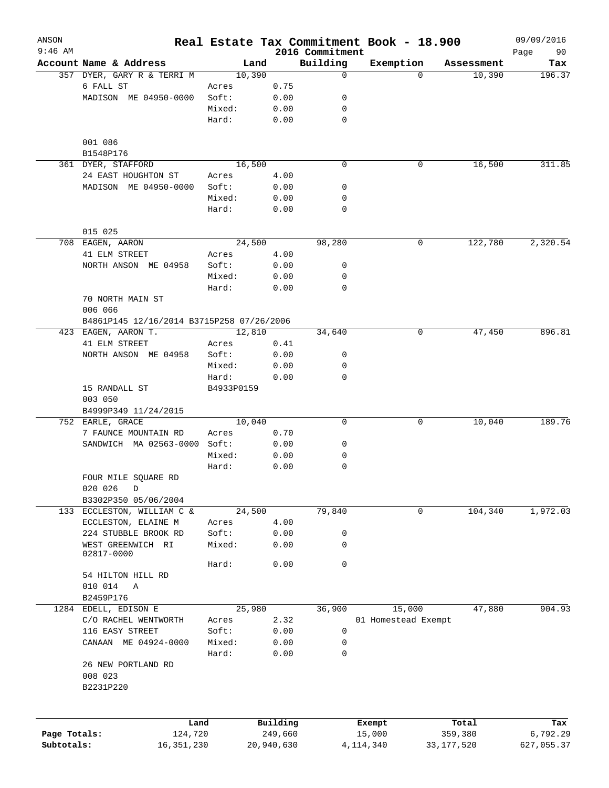| ANSON<br>$9:46$ AM |                                           |            |            | 2016 Commitment | Real Estate Tax Commitment Book - 18.900 |            | 09/09/2016<br>90<br>Page |
|--------------------|-------------------------------------------|------------|------------|-----------------|------------------------------------------|------------|--------------------------|
|                    | Account Name & Address                    | Land       |            | Building        | Exemption                                | Assessment | Tax                      |
|                    | 357 DYER, GARY R & TERRI M                | 10,390     |            | $\mathbf 0$     | $\Omega$                                 | 10,390     | 196.37                   |
|                    | 6 FALL ST                                 | Acres      | 0.75       |                 |                                          |            |                          |
|                    | MADISON ME 04950-0000                     | Soft:      | 0.00       | 0               |                                          |            |                          |
|                    |                                           | Mixed:     | 0.00       | 0               |                                          |            |                          |
|                    |                                           | Hard:      | 0.00       | 0               |                                          |            |                          |
|                    | 001 086                                   |            |            |                 |                                          |            |                          |
|                    | B1548P176                                 |            |            |                 |                                          |            |                          |
|                    | 361 DYER, STAFFORD                        | 16,500     |            | $\mathbf 0$     | 0                                        | 16,500     | 311.85                   |
|                    | 24 EAST HOUGHTON ST                       | Acres      | 4.00       |                 |                                          |            |                          |
|                    | MADISON ME 04950-0000                     | Soft:      | 0.00       | 0               |                                          |            |                          |
|                    |                                           | Mixed:     | 0.00       | 0               |                                          |            |                          |
|                    |                                           | Hard:      | 0.00       | 0               |                                          |            |                          |
|                    |                                           |            |            |                 |                                          |            |                          |
|                    | 015 025                                   |            |            |                 |                                          |            |                          |
|                    | 708 EAGEN, AARON                          | 24,500     |            | 98,280          | 0                                        | 122,780    | 2,320.54                 |
|                    | 41 ELM STREET                             | Acres      | 4.00       |                 |                                          |            |                          |
|                    | NORTH ANSON ME 04958                      | Soft:      | 0.00       | 0               |                                          |            |                          |
|                    |                                           | Mixed:     | 0.00       | 0               |                                          |            |                          |
|                    |                                           | Hard:      | 0.00       | 0               |                                          |            |                          |
|                    | 70 NORTH MAIN ST                          |            |            |                 |                                          |            |                          |
|                    | 006 066                                   |            |            |                 |                                          |            |                          |
|                    | B4861P145 12/16/2014 B3715P258 07/26/2006 |            |            |                 |                                          |            |                          |
| 423                | EAGEN, AARON T.                           | 12,810     |            | 34,640          | 0                                        | 47,450     | 896.81                   |
|                    | 41 ELM STREET                             | Acres      | 0.41       |                 |                                          |            |                          |
|                    | NORTH ANSON ME 04958                      | Soft:      | 0.00       | 0               |                                          |            |                          |
|                    |                                           | Mixed:     | 0.00       | 0               |                                          |            |                          |
|                    |                                           | Hard:      | 0.00       | 0               |                                          |            |                          |
|                    | 15 RANDALL ST                             | B4933P0159 |            |                 |                                          |            |                          |
|                    | 003 050                                   |            |            |                 |                                          |            |                          |
|                    | B4999P349 11/24/2015                      |            |            |                 |                                          |            |                          |
|                    | 752 EARLE, GRACE                          | 10,040     |            | 0               | 0                                        | 10,040     | 189.76                   |
|                    | 7 FAUNCE MOUNTAIN RD                      | Acres      | 0.70       |                 |                                          |            |                          |
|                    | SANDWICH MA 02563-0000                    | Soft:      | 0.00       | 0               |                                          |            |                          |
|                    |                                           | Mixed:     | 0.00       | 0               |                                          |            |                          |
|                    |                                           | Hard:      | 0.00       | 0               |                                          |            |                          |
|                    | FOUR MILE SQUARE RD                       |            |            |                 |                                          |            |                          |
|                    | 020 026<br>D                              |            |            |                 |                                          |            |                          |
|                    | B3302P350 05/06/2004                      |            |            |                 |                                          |            |                          |
|                    | 133 ECCLESTON, WILLIAM C &                | 24,500     |            | 79,840          | 0                                        | 104,340    | 1,972.03                 |
|                    | ECCLESTON, ELAINE M                       | Acres      | 4.00       |                 |                                          |            |                          |
|                    | 224 STUBBLE BROOK RD                      | Soft:      | 0.00       | 0               |                                          |            |                          |
|                    | WEST GREENWICH RI                         | Mixed:     | 0.00       | 0               |                                          |            |                          |
|                    | 02817-0000                                |            |            |                 |                                          |            |                          |
|                    |                                           | Hard:      | 0.00       | 0               |                                          |            |                          |
|                    | 54 HILTON HILL RD                         |            |            |                 |                                          |            |                          |
|                    | 010 014<br>Α                              |            |            |                 |                                          |            |                          |
|                    | B2459P176                                 |            |            |                 |                                          |            |                          |
|                    | 1284 EDELL, EDISON E                      | 25,980     |            | 36,900          | 15,000                                   | 47,880     | 904.93                   |
|                    | C/O RACHEL WENTWORTH                      | Acres      | 2.32       |                 | 01 Homestead Exempt                      |            |                          |
|                    | 116 EASY STREET                           | Soft:      | 0.00       | 0               |                                          |            |                          |
|                    | CANAAN ME 04924-0000                      | Mixed:     | 0.00       | 0               |                                          |            |                          |
|                    |                                           | Hard:      | 0.00       | 0               |                                          |            |                          |
|                    | 26 NEW PORTLAND RD                        |            |            |                 |                                          |            |                          |
|                    | 008 023                                   |            |            |                 |                                          |            |                          |
|                    | B2231P220                                 |            |            |                 |                                          |            |                          |
|                    |                                           |            |            |                 |                                          |            |                          |
|                    | Land                                      |            | Building   |                 | Exempt                                   | Total      | Tax                      |
| Page Totals:       | 124,720                                   |            | 249,660    |                 | 15,000                                   | 359,380    | 6,792.29                 |
| Subtotals:         | 16,351,230                                |            | 20,940,630 |                 | 4,114,340                                | 33,177,520 | 627,055.37               |
|                    |                                           |            |            |                 |                                          |            |                          |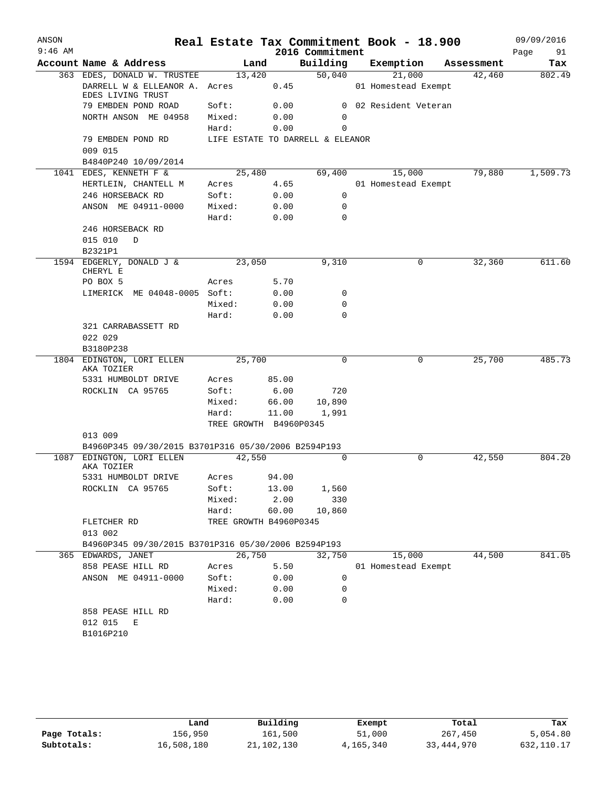| ANSON     |                                                                |                        |             |                                  | Real Estate Tax Commitment Book - 18.900 |            | 09/09/2016 |
|-----------|----------------------------------------------------------------|------------------------|-------------|----------------------------------|------------------------------------------|------------|------------|
| $9:46$ AM |                                                                |                        |             | 2016 Commitment                  |                                          |            | Page<br>91 |
|           | Account Name & Address                                         | Land                   |             | Building                         | Exemption                                | Assessment | Tax        |
|           | 363 EDES, DONALD W. TRUSTEE                                    | 13,420                 |             | 50,040                           | 21,000                                   | 42,460     | 802.49     |
|           | DARRELL W & ELLEANOR A. Acres                                  |                        | 0.45        |                                  | 01 Homestead Exempt                      |            |            |
|           | EDES LIVING TRUST<br>79 EMBDEN POND ROAD                       | Soft:                  | 0.00        |                                  | 0 02 Resident Veteran                    |            |            |
|           | NORTH ANSON ME 04958                                           | Mixed:                 | 0.00        | 0                                |                                          |            |            |
|           |                                                                | Hard:                  | 0.00        | 0                                |                                          |            |            |
|           | 79 EMBDEN POND RD                                              |                        |             | LIFE ESTATE TO DARRELL & ELEANOR |                                          |            |            |
|           | 009 015                                                        |                        |             |                                  |                                          |            |            |
|           | B4840P240 10/09/2014                                           |                        |             |                                  |                                          |            |            |
|           | 1041 EDES, KENNETH F &                                         | 25,480                 |             | 69,400                           | 15,000                                   | 79,880     | 1,509.73   |
|           | HERTLEIN, CHANTELL M                                           | Acres                  | 4.65        |                                  | 01 Homestead Exempt                      |            |            |
|           | 246 HORSEBACK RD                                               | Soft:                  | 0.00        | 0                                |                                          |            |            |
|           | ANSON ME 04911-0000                                            | Mixed:                 | 0.00        | $\Omega$                         |                                          |            |            |
|           |                                                                | Hard:                  | 0.00        | $\Omega$                         |                                          |            |            |
|           | 246 HORSEBACK RD                                               |                        |             |                                  |                                          |            |            |
|           | 015 010<br>D                                                   |                        |             |                                  |                                          |            |            |
|           | B2321P1                                                        |                        |             |                                  |                                          |            |            |
|           | 1594 EDGERLY, DONALD J &                                       | 23,050                 |             | 9,310                            | 0                                        | 32,360     | 611.60     |
|           | CHERYL E<br>PO BOX 5                                           | Acres                  | 5.70        |                                  |                                          |            |            |
|           | LIMERICK ME 04048-0005 Soft:                                   |                        | 0.00        | 0                                |                                          |            |            |
|           |                                                                | Mixed:                 | 0.00        | 0                                |                                          |            |            |
|           |                                                                | Hard:                  | 0.00        | $\Omega$                         |                                          |            |            |
|           | 321 CARRABASSETT RD                                            |                        |             |                                  |                                          |            |            |
|           | 022 029                                                        |                        |             |                                  |                                          |            |            |
|           | B3180P238                                                      |                        |             |                                  |                                          |            |            |
|           | 1804 EDINGTON, LORI ELLEN                                      | 25,700                 | $\mathbf 0$ | 0                                | 25,700                                   | 485.73     |            |
|           | AKA TOZIER                                                     |                        |             |                                  |                                          |            |            |
|           | 5331 HUMBOLDT DRIVE                                            | Acres                  | 85.00       |                                  |                                          |            |            |
|           | ROCKLIN CA 95765                                               | Soft:                  | 6.00        | 720                              |                                          |            |            |
|           |                                                                | Mixed:                 | 66.00       | 10,890                           |                                          |            |            |
|           |                                                                | Hard:                  | 11.00       | 1,991                            |                                          |            |            |
|           |                                                                | TREE GROWTH B4960P0345 |             |                                  |                                          |            |            |
|           | 013 009<br>B4960P345 09/30/2015 B3701P316 05/30/2006 B2594P193 |                        |             |                                  |                                          |            |            |
|           | 1087 EDINGTON, LORI ELLEN                                      | 42,550                 |             | $\Omega$                         | $\Omega$                                 | 42,550     | 804.20     |
|           | AKA TOZIER                                                     |                        |             |                                  |                                          |            |            |
|           | 5331 HUMBOLDT DRIVE                                            | Acres                  | 94.00       |                                  |                                          |            |            |
|           | ROCKLIN CA 95765                                               | Soft:                  | 13.00       | 1,560                            |                                          |            |            |
|           |                                                                | Mixed:                 | 2.00        | 330                              |                                          |            |            |
|           |                                                                | Hard:                  | 60.00       | 10,860                           |                                          |            |            |
|           | FLETCHER RD                                                    | TREE GROWTH B4960P0345 |             |                                  |                                          |            |            |
|           | 013 002                                                        |                        |             |                                  |                                          |            |            |
|           | B4960P345 09/30/2015 B3701P316 05/30/2006 B2594P193            |                        |             |                                  |                                          |            |            |
|           | 365 EDWARDS, JANET                                             | 26,750                 |             | 32,750                           | 15,000                                   | 44,500     | 841.05     |
|           | 858 PEASE HILL RD                                              | Acres                  | 5.50        |                                  | 01 Homestead Exempt                      |            |            |
|           | ANSON ME 04911-0000                                            | Soft:                  | 0.00        | 0                                |                                          |            |            |
|           |                                                                | Mixed:                 | 0.00        | 0                                |                                          |            |            |
|           |                                                                | Hard:                  | 0.00        | 0                                |                                          |            |            |
|           | 858 PEASE HILL RD                                              |                        |             |                                  |                                          |            |            |
|           | 012 015<br>Е                                                   |                        |             |                                  |                                          |            |            |
|           | B1016P210                                                      |                        |             |                                  |                                          |            |            |
|           |                                                                |                        |             |                                  |                                          |            |            |

|              | Land       | Building   | Exempt    | Total        | Tax        |
|--------------|------------|------------|-----------|--------------|------------|
| Page Totals: | 156,950    | 161,500    | 51,000    | 267,450      | 5,054.80   |
| Subtotals:   | 16,508,180 | 21,102,130 | 4,165,340 | 33, 444, 970 | 632,110.17 |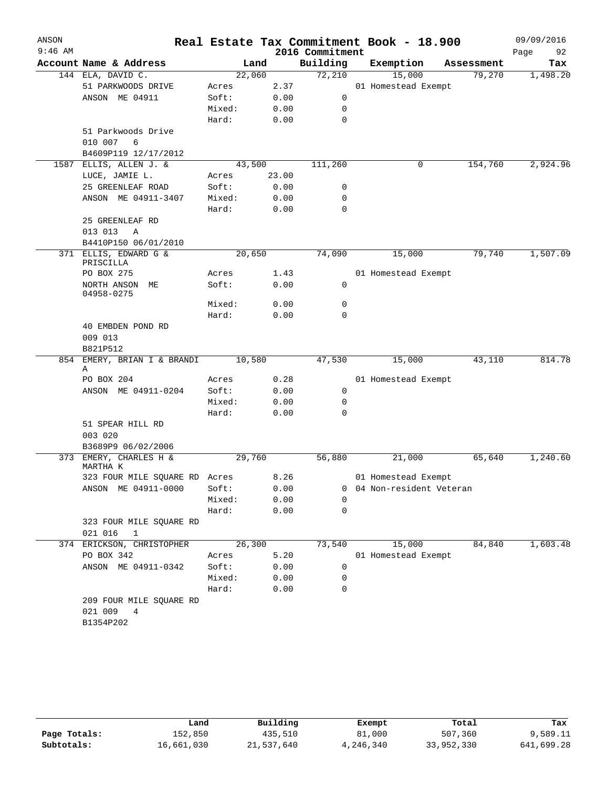| ANSON<br>$9:46$ AM |                                |                |              | 2016 Commitment | Real Estate Tax Commitment Book - 18.900 |            | 09/09/2016<br>Page<br>92 |
|--------------------|--------------------------------|----------------|--------------|-----------------|------------------------------------------|------------|--------------------------|
|                    | Account Name & Address         | Land           |              | Building        | Exemption                                | Assessment | Tax                      |
|                    | 144 ELA, DAVID C.              | 22,060         |              | 72,210          | 15,000                                   | 79,270     | 1,498.20                 |
|                    | 51 PARKWOODS DRIVE             | Acres          | 2.37         |                 | 01 Homestead Exempt                      |            |                          |
|                    | ANSON ME 04911                 | Soft:          | 0.00         | 0               |                                          |            |                          |
|                    |                                | Mixed:         | 0.00         | 0               |                                          |            |                          |
|                    |                                | Hard:          | 0.00         | $\mathbf 0$     |                                          |            |                          |
|                    | 51 Parkwoods Drive             |                |              |                 |                                          |            |                          |
|                    | 010 007<br>6                   |                |              |                 |                                          |            |                          |
|                    | B4609P119 12/17/2012           |                |              |                 |                                          |            |                          |
| 1587               | ELLIS, ALLEN J. &              | 43,500         |              | 111,260         | 0                                        | 154,760    | 2,924.96                 |
|                    | LUCE, JAMIE L.                 | Acres          | 23.00        |                 |                                          |            |                          |
|                    | 25 GREENLEAF ROAD              | Soft:          | 0.00         | 0               |                                          |            |                          |
|                    | ANSON ME 04911-3407            | Mixed:         | 0.00         | 0               |                                          |            |                          |
|                    |                                | Hard:          | 0.00         | $\mathbf 0$     |                                          |            |                          |
|                    | 25 GREENLEAF RD                |                |              |                 |                                          |            |                          |
|                    | 013 013<br>Α                   |                |              |                 |                                          |            |                          |
|                    | B4410P150 06/01/2010           |                |              |                 |                                          |            |                          |
| 371                | ELLIS, EDWARD G &              | 20,650         |              | 74,090          | 15,000                                   | 79,740     | 1,507.09                 |
|                    | PRISCILLA<br>PO BOX 275        |                |              |                 |                                          |            |                          |
|                    | NORTH ANSON ME                 | Acres<br>Soft: | 1.43<br>0.00 | 0               | 01 Homestead Exempt                      |            |                          |
|                    | 04958-0275                     |                |              |                 |                                          |            |                          |
|                    |                                | Mixed:         | 0.00         | 0               |                                          |            |                          |
|                    |                                | Hard:          | 0.00         | $\mathbf 0$     |                                          |            |                          |
|                    | 40 EMBDEN POND RD              |                |              |                 |                                          |            |                          |
|                    | 009 013                        |                |              |                 |                                          |            |                          |
|                    | B821P512                       |                |              |                 |                                          |            |                          |
| 854                | EMERY, BRIAN I & BRANDI<br>Α   | 10,580         |              | 47,530          | 15,000                                   | 43,110     | 814.78                   |
|                    | PO BOX 204                     | Acres          | 0.28         |                 | 01 Homestead Exempt                      |            |                          |
|                    | ANSON ME 04911-0204            | Soft:          | 0.00         | 0               |                                          |            |                          |
|                    |                                | Mixed:         | 0.00         | 0               |                                          |            |                          |
|                    |                                | Hard:          | 0.00         | 0               |                                          |            |                          |
|                    | 51 SPEAR HILL RD               |                |              |                 |                                          |            |                          |
|                    | 003 020                        |                |              |                 |                                          |            |                          |
|                    | B3689P9 06/02/2006             |                |              |                 |                                          |            |                          |
| 373                | EMERY, CHARLES H &<br>MARTHA K | 29,760         |              | 56,880          | 21,000                                   | 65,640     | 1,240.60                 |
|                    | 323 FOUR MILE SQUARE RD Acres  |                | 8.26         |                 | 01 Homestead Exempt                      |            |                          |
|                    | ANSON ME 04911-0000            | Soft:          | 0.00         | 0               | 04 Non-resident Veteran                  |            |                          |
|                    |                                | Mixed:         | 0.00         | $\Omega$        |                                          |            |                          |
|                    |                                | Hard:          | 0.00         | 0               |                                          |            |                          |
|                    | 323 FOUR MILE SQUARE RD        |                |              |                 |                                          |            |                          |
|                    | 021 016<br>1                   |                |              |                 |                                          |            |                          |
|                    | 374 ERICKSON, CHRISTOPHER      | 26,300         |              | 73,540          | 15,000                                   | 84,840     | 1,603.48                 |
|                    | PO BOX 342                     | Acres          | 5.20         |                 | 01 Homestead Exempt                      |            |                          |
|                    | ANSON ME 04911-0342            | Soft:          | 0.00         | 0               |                                          |            |                          |
|                    |                                | Mixed:         | 0.00         | 0               |                                          |            |                          |
|                    |                                | Hard:          | 0.00         | 0               |                                          |            |                          |
|                    | 209 FOUR MILE SQUARE RD        |                |              |                 |                                          |            |                          |
|                    | 021 009<br>4                   |                |              |                 |                                          |            |                          |
|                    | B1354P202                      |                |              |                 |                                          |            |                          |
|                    |                                |                |              |                 |                                          |            |                          |

|              | Land       | Building   | Exempt    | Total      | Tax        |
|--------------|------------|------------|-----------|------------|------------|
| Page Totals: | 152,850    | 435,510    | 81,000    | 507,360    | 9,589.11   |
| Subtotals:   | 16,661,030 | 21,537,640 | 4,246,340 | 33,952,330 | 641,699.28 |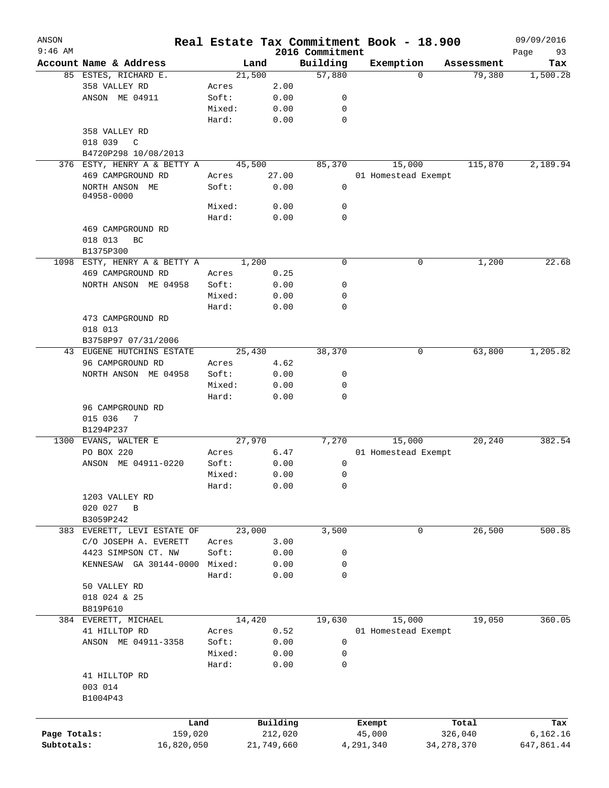| ANSON<br>$9:46$ AM |                                       |                 |                     | 2016 Commitment | Real Estate Tax Commitment Book - 18.900 |                  |            | 09/09/2016<br>93 |
|--------------------|---------------------------------------|-----------------|---------------------|-----------------|------------------------------------------|------------------|------------|------------------|
|                    | Account Name & Address                |                 | Land                | Building        | Exemption                                |                  | Assessment | Page<br>Tax      |
|                    | 85 ESTES, RICHARD E.                  | 21,500          |                     | 57,880          |                                          | 0                | 79,380     | 1,500.28         |
|                    | 358 VALLEY RD                         | Acres           | 2.00                |                 |                                          |                  |            |                  |
|                    | ANSON ME 04911                        | Soft:           | 0.00                | 0               |                                          |                  |            |                  |
|                    |                                       | Mixed:          | 0.00                | $\mathbf 0$     |                                          |                  |            |                  |
|                    |                                       | Hard:           | 0.00                | $\mathbf 0$     |                                          |                  |            |                  |
|                    | 358 VALLEY RD                         |                 |                     |                 |                                          |                  |            |                  |
|                    | 018 039<br>C                          |                 |                     |                 |                                          |                  |            |                  |
|                    | B4720P298 10/08/2013                  |                 |                     |                 |                                          |                  |            |                  |
|                    | 376 ESTY, HENRY A & BETTY A           | 45,500          |                     | 85,370          | 15,000                                   |                  | 115,870    | 2,189.94         |
|                    | 469 CAMPGROUND RD                     | Acres           | 27.00               |                 | 01 Homestead Exempt                      |                  |            |                  |
|                    | NORTH ANSON ME<br>04958-0000          | Soft:           | 0.00                | 0               |                                          |                  |            |                  |
|                    |                                       | Mixed:          | 0.00                | $\mathbf 0$     |                                          |                  |            |                  |
|                    |                                       | Hard:           | 0.00                | $\mathbf 0$     |                                          |                  |            |                  |
|                    | 469 CAMPGROUND RD                     |                 |                     |                 |                                          |                  |            |                  |
|                    | 018 013<br>BC                         |                 |                     |                 |                                          |                  |            |                  |
|                    | B1375P300                             |                 |                     |                 |                                          |                  |            |                  |
|                    | 1098 ESTY, HENRY A & BETTY A          | 1,200           |                     | $\mathbf 0$     |                                          | 0                | 1,200      | 22.68            |
|                    | 469 CAMPGROUND RD                     | Acres           | 0.25                |                 |                                          |                  |            |                  |
|                    | NORTH ANSON ME 04958                  | Soft:           | 0.00                | 0               |                                          |                  |            |                  |
|                    |                                       | Mixed:          | 0.00                | $\mathbf 0$     |                                          |                  |            |                  |
|                    |                                       | Hard:           | 0.00                | $\mathbf 0$     |                                          |                  |            |                  |
|                    | 473 CAMPGROUND RD                     |                 |                     |                 |                                          |                  |            |                  |
|                    | 018 013                               |                 |                     |                 |                                          |                  |            |                  |
|                    | B3758P97 07/31/2006                   |                 |                     |                 |                                          |                  |            |                  |
|                    | 43 EUGENE HUTCHINS ESTATE             | 25,430          |                     | 38,370          |                                          | 0                | 63,800     | 1,205.82         |
|                    | 96 CAMPGROUND RD                      | Acres           | 4.62                |                 |                                          |                  |            |                  |
|                    | NORTH ANSON ME 04958                  | Soft:           | 0.00                | 0               |                                          |                  |            |                  |
|                    |                                       | Mixed:          | 0.00                | $\mathbf 0$     |                                          |                  |            |                  |
|                    |                                       | Hard:           | 0.00                | $\mathbf 0$     |                                          |                  |            |                  |
|                    | 96 CAMPGROUND RD                      |                 |                     |                 |                                          |                  |            |                  |
|                    | 015 036<br>7                          |                 |                     |                 |                                          |                  |            |                  |
|                    | B1294P237                             |                 |                     |                 |                                          |                  |            |                  |
|                    | 1300 EVANS, WALTER E                  | 27,970          |                     | 7,270           | 15,000                                   |                  | 20,240     | 382.54           |
|                    | PO BOX 220                            | Acres           | 6.47                |                 | 01 Homestead Exempt                      |                  |            |                  |
|                    | ANSON ME 04911-0220                   | Soft:           | 0.00                | $\mathbf 0$     |                                          |                  |            |                  |
|                    |                                       | Mixed:          | 0.00                | 0               |                                          |                  |            |                  |
|                    |                                       | Hard:           | 0.00                | 0               |                                          |                  |            |                  |
|                    | 1203 VALLEY RD                        |                 |                     |                 |                                          |                  |            |                  |
|                    | 020 027<br>$\, {\bf B}$               |                 |                     |                 |                                          |                  |            |                  |
|                    | B3059P242                             |                 |                     |                 |                                          |                  |            |                  |
|                    | 383 EVERETT, LEVI ESTATE OF           | 23,000          |                     | 3,500           |                                          | 0                | 26,500     | 500.85           |
|                    | C/O JOSEPH A. EVERETT                 | Acres           | 3.00                |                 |                                          |                  |            |                  |
|                    | 4423 SIMPSON CT. NW                   | Soft:           | 0.00                | 0               |                                          |                  |            |                  |
|                    | KENNESAW GA 30144-0000                | Mixed:          | 0.00                | $\mathbf 0$     |                                          |                  |            |                  |
|                    |                                       | Hard:           | 0.00                | $\mathbf 0$     |                                          |                  |            |                  |
|                    | 50 VALLEY RD                          |                 |                     |                 |                                          |                  |            |                  |
|                    | 018 024 & 25                          |                 |                     |                 |                                          |                  |            |                  |
|                    | B819P610                              |                 |                     |                 |                                          |                  |            |                  |
|                    | 384 EVERETT, MICHAEL<br>41 HILLTOP RD | 14,420          |                     | 19,630          | 15,000                                   |                  | 19,050     | 360.05           |
|                    |                                       | Acres           | 0.52<br>0.00        |                 | 01 Homestead Exempt                      |                  |            |                  |
|                    | ANSON ME 04911-3358                   | Soft:<br>Mixed: | 0.00                | 0<br>0          |                                          |                  |            |                  |
|                    |                                       | Hard:           | 0.00                | 0               |                                          |                  |            |                  |
|                    | 41 HILLTOP RD                         |                 |                     |                 |                                          |                  |            |                  |
|                    | 003 014                               |                 |                     |                 |                                          |                  |            |                  |
|                    | B1004P43                              |                 |                     |                 |                                          |                  |            |                  |
|                    |                                       |                 |                     |                 |                                          |                  |            |                  |
|                    |                                       |                 |                     |                 |                                          |                  |            |                  |
| Page Totals:       | Land<br>159,020                       |                 | Building<br>212,020 |                 | Exempt<br>45,000                         | Total<br>326,040 |            | Tax<br>6,162.16  |
| Subtotals:         | 16,820,050                            |                 | 21,749,660          |                 | 4,291,340                                | 34, 278, 370     |            | 647,861.44       |
|                    |                                       |                 |                     |                 |                                          |                  |            |                  |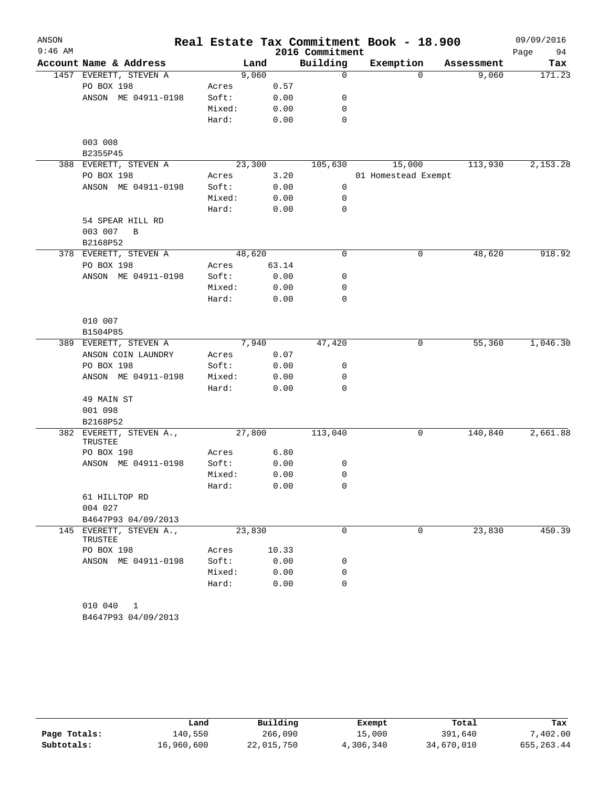| ANSON     |                                    |        |        |       |                 | Real Estate Tax Commitment Book - 18.900 |            | 09/09/2016 |
|-----------|------------------------------------|--------|--------|-------|-----------------|------------------------------------------|------------|------------|
| $9:46$ AM |                                    |        |        |       | 2016 Commitment |                                          |            | Page<br>94 |
|           | Account Name & Address             |        | Land   |       | Building        | Exemption                                | Assessment | Tax        |
|           | 1457 EVERETT, STEVEN A             |        | 9,060  |       | 0               | $\Omega$                                 | 9,060      | 171.23     |
|           | PO BOX 198                         | Acres  |        | 0.57  |                 |                                          |            |            |
|           | ANSON ME 04911-0198                | Soft:  |        | 0.00  | 0               |                                          |            |            |
|           |                                    | Mixed: |        | 0.00  | 0               |                                          |            |            |
|           |                                    | Hard:  |        | 0.00  | 0               |                                          |            |            |
|           | 003 008                            |        |        |       |                 |                                          |            |            |
|           | B2355P45                           |        |        |       |                 |                                          |            |            |
|           | 388 EVERETT, STEVEN A              |        | 23,300 |       | 105,630         | 15,000                                   | 113,930    | 2,153.28   |
|           | PO BOX 198                         | Acres  |        | 3.20  |                 | 01 Homestead Exempt                      |            |            |
|           | ANSON ME 04911-0198                | Soft:  |        | 0.00  | 0               |                                          |            |            |
|           |                                    | Mixed: |        | 0.00  | 0               |                                          |            |            |
|           |                                    | Hard:  |        | 0.00  | 0               |                                          |            |            |
|           | 54 SPEAR HILL RD                   |        |        |       |                 |                                          |            |            |
|           | 003 007<br>B                       |        |        |       |                 |                                          |            |            |
|           | B2168P52                           |        |        |       |                 |                                          |            |            |
|           | 378 EVERETT, STEVEN A              |        | 48,620 |       | 0               | 0                                        | 48,620     | 918.92     |
|           | PO BOX 198                         | Acres  |        | 63.14 |                 |                                          |            |            |
|           | ANSON ME 04911-0198                | Soft:  |        | 0.00  | 0               |                                          |            |            |
|           |                                    | Mixed: |        | 0.00  | 0               |                                          |            |            |
|           |                                    | Hard:  |        | 0.00  | 0               |                                          |            |            |
|           | 010 007                            |        |        |       |                 |                                          |            |            |
|           | B1504P85                           |        |        |       |                 |                                          |            |            |
|           | 389 EVERETT, STEVEN A              |        | 7,940  |       | 47,420          | 0                                        | 55,360     | 1,046.30   |
|           | ANSON COIN LAUNDRY                 | Acres  |        | 0.07  |                 |                                          |            |            |
|           | PO BOX 198                         | Soft:  |        | 0.00  | 0               |                                          |            |            |
|           | ANSON ME 04911-0198                | Mixed: |        | 0.00  | 0               |                                          |            |            |
|           |                                    | Hard:  |        | 0.00  | 0               |                                          |            |            |
|           | 49 MAIN ST                         |        |        |       |                 |                                          |            |            |
|           | 001 098                            |        |        |       |                 |                                          |            |            |
|           | B2168P52                           |        |        |       |                 |                                          |            |            |
| 382       | EVERETT, STEVEN A.,                |        | 27,800 |       | 113,040         | 0                                        | 140,840    | 2,661.88   |
|           | TRUSTEE                            |        |        |       |                 |                                          |            |            |
|           | PO BOX 198                         | Acres  |        | 6.80  |                 |                                          |            |            |
|           | ANSON ME 04911-0198                | Soft:  |        | 0.00  | 0               |                                          |            |            |
|           |                                    | Mixed: |        | 0.00  | 0               |                                          |            |            |
|           |                                    | Hard:  |        | 0.00  | 0               |                                          |            |            |
|           | 61 HILLTOP RD                      |        |        |       |                 |                                          |            |            |
|           | 004 027                            |        |        |       |                 |                                          |            |            |
|           | B4647P93 04/09/2013                |        |        |       |                 |                                          |            |            |
|           | 145 EVERETT, STEVEN A.,<br>TRUSTEE |        | 23,830 |       | 0               | 0                                        | 23,830     | 450.39     |
|           | PO BOX 198                         | Acres  |        | 10.33 |                 |                                          |            |            |
|           | ANSON ME 04911-0198                | Soft:  |        | 0.00  | 0               |                                          |            |            |
|           |                                    | Mixed: |        | 0.00  | 0               |                                          |            |            |
|           |                                    | Hard:  |        | 0.00  | $\Omega$        |                                          |            |            |
|           | 010 040<br>1                       |        |        |       |                 |                                          |            |            |
|           | B4647P93 04/09/2013                |        |        |       |                 |                                          |            |            |

|              | Land       | Building   | Exempt    | Total      | Tax         |
|--------------|------------|------------|-----------|------------|-------------|
| Page Totals: | 140,550    | 266,090    | 15,000    | 391,640    | .402.00     |
| Subtotals:   | 16,960,600 | 22,015,750 | 4,306,340 | 34,670,010 | 655, 263.44 |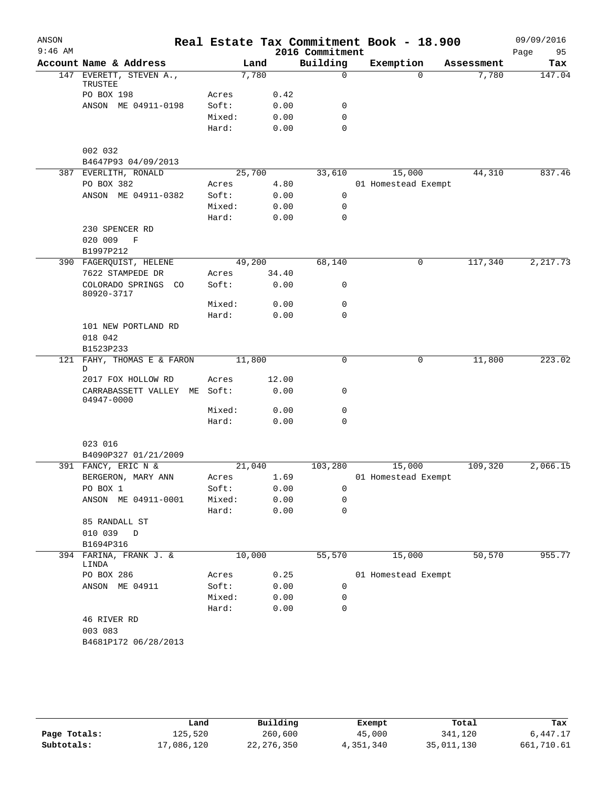| ANSON     |                                   |          |        |       |                             | Real Estate Tax Commitment Book - 18.900 |                     | 09/09/2016    |
|-----------|-----------------------------------|----------|--------|-------|-----------------------------|------------------------------------------|---------------------|---------------|
| $9:46$ AM | Account Name & Address            |          | Land   |       | 2016 Commitment<br>Building | Exemption                                |                     | 95<br>Page    |
|           | 147 EVERETT, STEVEN A.,           |          | 7,780  |       | $\mathbf 0$                 | $\Omega$                                 | Assessment<br>7,780 | Tax<br>147.04 |
|           | TRUSTEE                           |          |        |       |                             |                                          |                     |               |
|           | PO BOX 198                        | Acres    |        | 0.42  |                             |                                          |                     |               |
|           | ANSON ME 04911-0198               | Soft:    |        | 0.00  | 0                           |                                          |                     |               |
|           |                                   | Mixed:   |        | 0.00  | $\mathbf 0$                 |                                          |                     |               |
|           |                                   | Hard:    |        | 0.00  | $\mathbf 0$                 |                                          |                     |               |
|           | 002 032                           |          |        |       |                             |                                          |                     |               |
|           | B4647P93 04/09/2013               |          |        |       |                             |                                          |                     |               |
|           | 387 EVERLITH, RONALD              |          | 25,700 |       | 33,610                      | 15,000                                   | 44,310              | 837.46        |
|           | PO BOX 382                        | Acres    |        | 4.80  |                             | 01 Homestead Exempt                      |                     |               |
|           | ANSON ME 04911-0382               | Soft:    |        | 0.00  | $\mathbf 0$                 |                                          |                     |               |
|           |                                   | Mixed:   |        | 0.00  | $\mathbf 0$                 |                                          |                     |               |
|           |                                   | Hard:    |        | 0.00  | $\mathbf 0$                 |                                          |                     |               |
|           | 230 SPENCER RD                    |          |        |       |                             |                                          |                     |               |
|           | 020 009<br>$\mathbf F$            |          |        |       |                             |                                          |                     |               |
|           | B1997P212                         |          |        |       |                             |                                          |                     |               |
|           | 390 FAGERQUIST, HELENE            |          | 49,200 |       | 68,140                      | 0                                        | 117,340             | 2, 217.73     |
|           | 7622 STAMPEDE DR                  | Acres    |        | 34.40 |                             |                                          |                     |               |
|           | COLORADO SPRINGS CO<br>80920-3717 | Soft:    |        | 0.00  | 0                           |                                          |                     |               |
|           |                                   | Mixed:   |        | 0.00  | 0                           |                                          |                     |               |
|           |                                   | Hard:    |        | 0.00  | $\mathbf 0$                 |                                          |                     |               |
|           | 101 NEW PORTLAND RD               |          |        |       |                             |                                          |                     |               |
|           | 018 042                           |          |        |       |                             |                                          |                     |               |
|           | B1523P233                         |          |        |       |                             |                                          |                     |               |
| 121       | FAHY, THOMAS E & FARON<br>D       |          | 11,800 |       | $\mathbf 0$                 | 0                                        | 11,800              | 223.02        |
|           | 2017 FOX HOLLOW RD                | Acres    |        | 12.00 |                             |                                          |                     |               |
|           | CARRABASSETT VALLEY<br>04947-0000 | ME Soft: |        | 0.00  | 0                           |                                          |                     |               |
|           |                                   | Mixed:   |        | 0.00  | 0                           |                                          |                     |               |
|           |                                   | Hard:    |        | 0.00  | $\mathbf 0$                 |                                          |                     |               |
|           | 023 016                           |          |        |       |                             |                                          |                     |               |
|           | B4090P327 01/21/2009              |          |        |       |                             |                                          |                     |               |
|           | 391 FANCY, ERIC N &               |          | 21,040 |       | 103,280                     | 15,000                                   | 109,320             | 2,066.15      |
|           | BERGERON, MARY ANN                | Acres    |        | 1.69  |                             | 01 Homestead Exempt                      |                     |               |
|           | PO BOX 1                          | Soft:    |        | 0.00  | 0                           |                                          |                     |               |
|           | ANSON ME 04911-0001               | Mixed:   |        | 0.00  | 0                           |                                          |                     |               |
|           |                                   | Hard:    |        | 0.00  | $\mathbf 0$                 |                                          |                     |               |
|           | 85 RANDALL ST                     |          |        |       |                             |                                          |                     |               |
|           | 010 039<br>D                      |          |        |       |                             |                                          |                     |               |
|           | B1694P316                         |          |        |       |                             |                                          |                     |               |
|           | 394 FARINA, FRANK J. &<br>LINDA   |          | 10,000 |       | 55,570                      | 15,000                                   | 50,570              | 955.77        |
|           | PO BOX 286                        | Acres    |        | 0.25  |                             | 01 Homestead Exempt                      |                     |               |
|           | ANSON ME 04911                    | Soft:    |        | 0.00  | 0                           |                                          |                     |               |
|           |                                   | Mixed:   |        | 0.00  | 0                           |                                          |                     |               |
|           |                                   | Hard:    |        | 0.00  | 0                           |                                          |                     |               |
|           | 46 RIVER RD                       |          |        |       |                             |                                          |                     |               |
|           | 003 083                           |          |        |       |                             |                                          |                     |               |
|           | B4681P172 06/28/2013              |          |        |       |                             |                                          |                     |               |
|           |                                   |          |        |       |                             |                                          |                     |               |

|              | Land       | Building     | Exempt    | Total      | Tax        |
|--------------|------------|--------------|-----------|------------|------------|
| Page Totals: | 125,520    | 260,600      | 45,000    | 341,120    | 6,447.17   |
| Subtotals:   | 17,086,120 | 22, 276, 350 | 4,351,340 | 35,011,130 | 661,710.61 |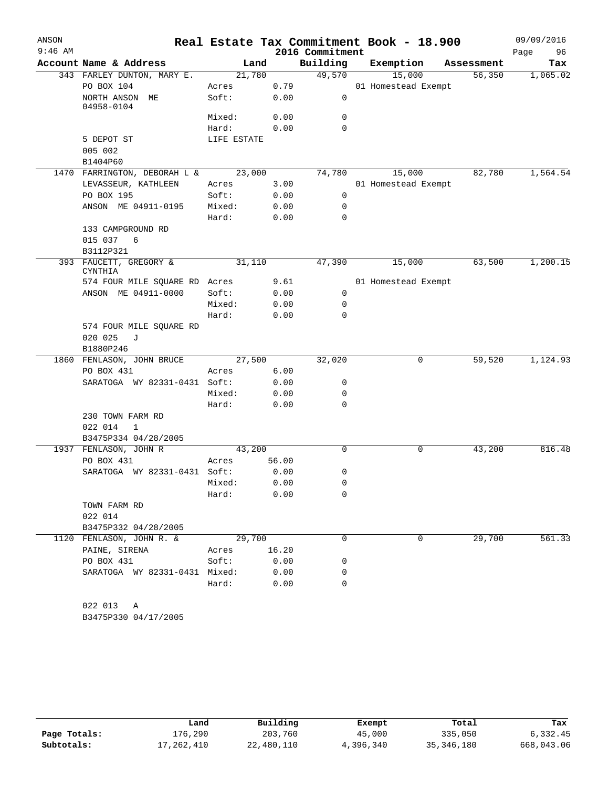| ANSON     |                                               |             |       |                 | Real Estate Tax Commitment Book - 18.900 |            | 09/09/2016 |
|-----------|-----------------------------------------------|-------------|-------|-----------------|------------------------------------------|------------|------------|
| $9:46$ AM |                                               |             |       | 2016 Commitment |                                          |            | Page<br>96 |
|           | Account Name & Address                        | Land        |       | Building        | Exemption                                | Assessment | Tax        |
|           | 343 FARLEY DUNTON, MARY E.                    | 21,780      |       | 49,570          | 15,000                                   | 56,350     | 1,065.02   |
|           | PO BOX 104                                    | Acres       | 0.79  |                 | 01 Homestead Exempt                      |            |            |
|           | NORTH ANSON ME<br>04958-0104                  | Soft:       | 0.00  | $\mathbf 0$     |                                          |            |            |
|           |                                               | Mixed:      | 0.00  | 0               |                                          |            |            |
|           |                                               | Hard:       | 0.00  | 0               |                                          |            |            |
|           | 5 DEPOT ST                                    | LIFE ESTATE |       |                 |                                          |            |            |
|           | 005 002                                       |             |       |                 |                                          |            |            |
|           | B1404P60                                      |             |       |                 |                                          |            |            |
|           | 1470 FARRINGTON, DEBORAH L & 23,000           |             |       | 74,780          | 15,000                                   | 82,780     | 1,564.54   |
|           | LEVASSEUR, KATHLEEN                           | Acres       | 3.00  |                 | 01 Homestead Exempt                      |            |            |
|           | PO BOX 195                                    | Soft:       | 0.00  | $\mathbf 0$     |                                          |            |            |
|           | ANSON ME 04911-0195                           | Mixed:      | 0.00  | 0               |                                          |            |            |
|           |                                               | Hard:       | 0.00  | 0               |                                          |            |            |
|           | 133 CAMPGROUND RD                             |             |       |                 |                                          |            |            |
|           | 015 037 6                                     |             |       |                 |                                          |            |            |
|           | B3112P321                                     |             |       |                 |                                          |            |            |
|           | 393 FAUCETT, GREGORY &<br>CYNTHIA             | 31,110      |       | 47,390          | 15,000                                   | 63,500     | 1,200.15   |
|           | 574 FOUR MILE SQUARE RD Acres                 |             | 9.61  |                 | 01 Homestead Exempt                      |            |            |
|           | ANSON ME 04911-0000                           | Soft:       | 0.00  | $\overline{0}$  |                                          |            |            |
|           |                                               | Mixed:      | 0.00  | 0               |                                          |            |            |
|           |                                               | Hard:       | 0.00  | $\Omega$        |                                          |            |            |
|           | 574 FOUR MILE SQUARE RD                       |             |       |                 |                                          |            |            |
|           | 020 025 J                                     |             |       |                 |                                          |            |            |
|           | B1880P246                                     |             |       |                 |                                          |            |            |
|           | 1860 FENLASON, JOHN BRUCE                     | 27,500      |       | 32,020          | 0                                        | 59,520     | 1,124.93   |
|           | PO BOX 431                                    | Acres       | 6.00  |                 |                                          |            |            |
|           | SARATOGA WY 82331-0431 Soft:                  |             | 0.00  | 0               |                                          |            |            |
|           |                                               | Mixed:      | 0.00  | 0               |                                          |            |            |
|           |                                               | Hard:       | 0.00  | 0               |                                          |            |            |
|           | 230 TOWN FARM RD                              |             |       |                 |                                          |            |            |
|           | 022 014<br>$\mathbf{1}$                       |             |       |                 |                                          |            |            |
|           | B3475P334 04/28/2005<br>1937 FENLASON, JOHN R | 43,200      |       | $\Omega$        | 0                                        | 43,200     | 816.48     |
|           | PO BOX 431                                    | Acres       | 56.00 |                 |                                          |            |            |
|           | SARATOGA WY 82331-0431 Soft:                  |             | 0.00  | 0               |                                          |            |            |
|           |                                               | Mixed: 0.00 |       | $\mathsf 0$     |                                          |            |            |
|           |                                               | Hard:       | 0.00  | 0               |                                          |            |            |
|           | TOWN FARM RD                                  |             |       |                 |                                          |            |            |
|           | 022 014                                       |             |       |                 |                                          |            |            |
|           | B3475P332 04/28/2005                          |             |       |                 |                                          |            |            |
|           | 1120 FENLASON, JOHN R. &                      | 29,700      |       | $\Omega$        | $\Omega$                                 | 29,700     | 561.33     |
|           | PAINE, SIRENA                                 | Acres       | 16.20 |                 |                                          |            |            |
|           | PO BOX 431                                    | Soft:       | 0.00  | 0               |                                          |            |            |
|           | SARATOGA WY 82331-0431 Mixed:                 |             | 0.00  | 0               |                                          |            |            |
|           |                                               | Hard:       | 0.00  | $\Omega$        |                                          |            |            |
|           |                                               |             |       |                 |                                          |            |            |
|           | 022 013 A                                     |             |       |                 |                                          |            |            |
|           | B3475P330 04/17/2005                          |             |       |                 |                                          |            |            |

|              | Land       | Building   | Exempt    | Total        | Tax        |
|--------------|------------|------------|-----------|--------------|------------|
| Page Totals: | 176,290    | 203,760    | 45,000    | 335,050      | 6,332.45   |
| Subtotals:   | 17,262,410 | 22,480,110 | 4,396,340 | 35, 346, 180 | 668,043.06 |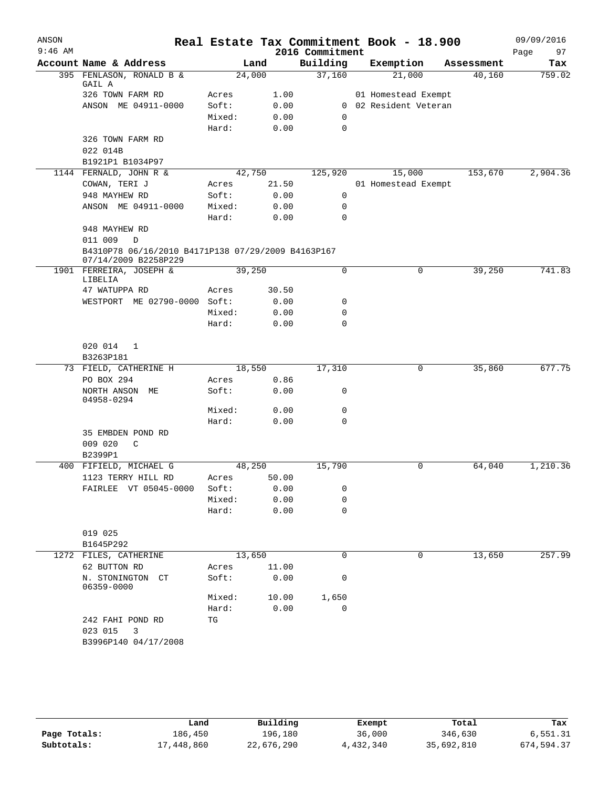| ANSON     |                                                                            |                |       | Real Estate Tax Commitment Book - 18.900 |                       |            | 09/09/2016 |
|-----------|----------------------------------------------------------------------------|----------------|-------|------------------------------------------|-----------------------|------------|------------|
| $9:46$ AM |                                                                            |                |       | 2016 Commitment                          |                       |            | Page<br>97 |
|           | Account Name & Address                                                     |                | Land  | Building                                 | Exemption             | Assessment | Tax        |
|           | 395 FENLASON, RONALD B &<br>GAIL A                                         | 24,000         |       | 37,160                                   | 21,000                | 40,160     | 759.02     |
|           | 326 TOWN FARM RD                                                           | Acres          | 1.00  |                                          | 01 Homestead Exempt   |            |            |
|           | ANSON ME 04911-0000                                                        | Soft:          | 0.00  |                                          | 0 02 Resident Veteran |            |            |
|           |                                                                            | Mixed:         | 0.00  | 0                                        |                       |            |            |
|           |                                                                            | Hard:          | 0.00  | $\mathbf 0$                              |                       |            |            |
|           | 326 TOWN FARM RD                                                           |                |       |                                          |                       |            |            |
|           | 022 014B                                                                   |                |       |                                          |                       |            |            |
|           | B1921P1 B1034P97                                                           |                |       |                                          |                       |            |            |
|           | 1144 FERNALD, JOHN R &                                                     | 42,750         |       | 125,920                                  | 15,000                | 153,670    | 2,904.36   |
|           | COWAN, TERI J                                                              | Acres          | 21.50 |                                          | 01 Homestead Exempt   |            |            |
|           | 948 MAYHEW RD                                                              | Soft:          | 0.00  | $\mathsf{O}$                             |                       |            |            |
|           | ANSON ME 04911-0000                                                        | Mixed:         | 0.00  | 0                                        |                       |            |            |
|           |                                                                            | Hard:          | 0.00  | $\mathbf 0$                              |                       |            |            |
|           | 948 MAYHEW RD                                                              |                |       |                                          |                       |            |            |
|           | 011 009<br>$\mathbb D$                                                     |                |       |                                          |                       |            |            |
|           | B4310P78 06/16/2010 B4171P138 07/29/2009 B4163P167<br>07/14/2009 B2258P229 |                |       |                                          |                       |            |            |
|           | 1901 FERREIRA, JOSEPH &<br>LIBELIA                                         | 39,250         |       | $\mathbf 0$                              | 0                     | 39,250     | 741.83     |
|           | 47 WATUPPA RD                                                              | Acres          | 30.50 |                                          |                       |            |            |
|           | WESTPORT ME 02790-0000 Soft:                                               |                | 0.00  | 0                                        |                       |            |            |
|           |                                                                            | Mixed:         | 0.00  | 0                                        |                       |            |            |
|           |                                                                            | Hard:          | 0.00  | 0                                        |                       |            |            |
|           |                                                                            |                |       |                                          |                       |            |            |
|           | 020 014<br>$\mathbf{1}$                                                    |                |       |                                          |                       |            |            |
|           | B3263P181                                                                  |                |       |                                          |                       |            |            |
|           | 73 FIELD, CATHERINE H                                                      | 18,550         |       | 17,310                                   | 0                     | 35,860     | 677.75     |
|           | PO BOX 294                                                                 | Acres          | 0.86  |                                          |                       |            |            |
|           | NORTH ANSON ME<br>04958-0294                                               | Soft:          | 0.00  | 0                                        |                       |            |            |
|           |                                                                            | Mixed:         | 0.00  | 0                                        |                       |            |            |
|           |                                                                            | Hard:          | 0.00  | $\Omega$                                 |                       |            |            |
|           | 35 EMBDEN POND RD                                                          |                |       |                                          |                       |            |            |
|           | 009 020<br>C                                                               |                |       |                                          |                       |            |            |
|           | B2399P1                                                                    |                |       |                                          |                       |            | 1,210.36   |
|           | 400 FIFIELD, MICHAEL G<br>1123 TERRY HILL RD                               | 48,250         | 50.00 | 15,790                                   | 0                     | 64,040     |            |
|           | FAIRLEE VT 05045-0000                                                      | Acres<br>Soft: | 0.00  | 0                                        |                       |            |            |
|           |                                                                            | Mixed:         | 0.00  | 0                                        |                       |            |            |
|           |                                                                            | Hard:          | 0.00  | 0                                        |                       |            |            |
|           |                                                                            |                |       |                                          |                       |            |            |
|           | 019 025                                                                    |                |       |                                          |                       |            |            |
|           | B1645P292                                                                  |                |       |                                          |                       |            |            |
|           | 1272 FILES, CATHERINE                                                      | 13,650         |       | 0                                        | 0                     | 13,650     | 257.99     |
|           | 62 BUTTON RD                                                               | Acres          | 11.00 |                                          |                       |            |            |
|           | N. STONINGTON CT<br>06359-0000                                             | Soft:          | 0.00  | 0                                        |                       |            |            |
|           |                                                                            | Mixed:         | 10.00 | 1,650                                    |                       |            |            |
|           |                                                                            | Hard:          | 0.00  | $\mathbf 0$                              |                       |            |            |
|           | 242 FAHI POND RD                                                           | TG             |       |                                          |                       |            |            |
|           | 023 015<br>3                                                               |                |       |                                          |                       |            |            |
|           | B3996P140 04/17/2008                                                       |                |       |                                          |                       |            |            |
|           |                                                                            |                |       |                                          |                       |            |            |

|              | Land       | Building   | Exempt    | Total      | Tax        |  |
|--------------|------------|------------|-----------|------------|------------|--|
| Page Totals: | 186.450    | 196,180    | 36,000    | 346,630    | 6,551.31   |  |
| Subtotals:   | 17,448,860 | 22,676,290 | 4,432,340 | 35,692,810 | 674,594.37 |  |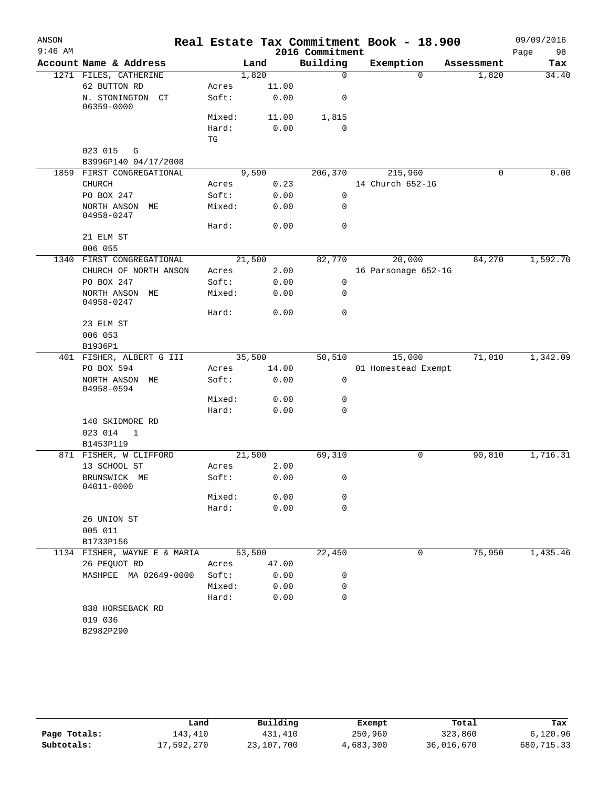| ANSON     |                                       |                                       |        |       |                             | Real Estate Tax Commitment Book - 18.900 |            | 09/09/2016 |
|-----------|---------------------------------------|---------------------------------------|--------|-------|-----------------------------|------------------------------------------|------------|------------|
| $9:46$ AM | Account Name & Address                |                                       |        |       | 2016 Commitment<br>Building |                                          |            | Page<br>98 |
|           |                                       |                                       | Land   |       | $\mathbf 0$                 | Exemption<br>$\Omega$                    | Assessment | Tax        |
|           | 1271 FILES, CATHERINE<br>62 BUTTON RD |                                       | 1,820  | 11.00 |                             |                                          | 1,820      | 34.40      |
|           | N. STONINGTON<br>CT                   | Acres<br>Soft:                        |        | 0.00  | 0                           |                                          |            |            |
|           | 06359-0000                            |                                       |        |       |                             |                                          |            |            |
|           |                                       | Mixed:                                |        | 11.00 | 1,815                       |                                          |            |            |
|           |                                       | Hard:<br>$\operatorname{\mathbb{T}G}$ |        | 0.00  | $\mathbf 0$                 |                                          |            |            |
|           | 023 015<br>G                          |                                       |        |       |                             |                                          |            |            |
|           | B3996P140 04/17/2008                  |                                       |        |       |                             |                                          |            |            |
|           | 1859 FIRST CONGREGATIONAL             |                                       | 9,590  |       | 206,370                     | 215,960                                  |            | 0.00<br>0  |
|           | <b>CHURCH</b>                         | Acres                                 |        | 0.23  |                             | 14 Church 652-1G                         |            |            |
|           | PO BOX 247                            | Soft:                                 |        | 0.00  | $\mathbf 0$                 |                                          |            |            |
|           | NORTH ANSON ME<br>04958-0247          | Mixed:                                |        | 0.00  | 0                           |                                          |            |            |
|           |                                       | Hard:                                 |        | 0.00  | 0                           |                                          |            |            |
|           | 21 ELM ST                             |                                       |        |       |                             |                                          |            |            |
|           | 006 055                               |                                       |        |       |                             |                                          |            |            |
| 1340      | FIRST CONGREGATIONAL                  |                                       | 21,500 |       | 82,770                      | 20,000                                   | 84,270     | 1,592.70   |
|           | CHURCH OF NORTH ANSON                 | Acres                                 |        | 2.00  |                             | 16 Parsonage 652-1G                      |            |            |
|           | PO BOX 247                            | Soft:                                 |        | 0.00  | 0                           |                                          |            |            |
|           | NORTH ANSON ME<br>04958-0247          | Mixed:                                |        | 0.00  | 0                           |                                          |            |            |
|           |                                       | Hard:                                 |        | 0.00  | $\mathbf 0$                 |                                          |            |            |
|           | 23 ELM ST                             |                                       |        |       |                             |                                          |            |            |
|           | 006 053                               |                                       |        |       |                             |                                          |            |            |
|           | B1936P1                               |                                       |        |       |                             |                                          |            |            |
|           | 401 FISHER, ALBERT G III              |                                       | 35,500 |       | 50,510                      | 15,000                                   | 71,010     | 1,342.09   |
|           | PO BOX 594                            | Acres                                 |        | 14.00 |                             | 01 Homestead Exempt                      |            |            |
|           | NORTH ANSON ME<br>04958-0594          | Soft:                                 |        | 0.00  | $\mathbf 0$                 |                                          |            |            |
|           |                                       | Mixed:                                |        | 0.00  | 0                           |                                          |            |            |
|           |                                       | Hard:                                 |        | 0.00  | 0                           |                                          |            |            |
|           | 140 SKIDMORE RD                       |                                       |        |       |                             |                                          |            |            |
|           | 023 014<br>1                          |                                       |        |       |                             |                                          |            |            |
|           | B1453P119                             |                                       |        |       |                             |                                          |            |            |
|           | 871 FISHER, W CLIFFORD                |                                       | 21,500 |       | 69,310                      | 0                                        | 90,810     | 1,716.31   |
|           | 13 SCHOOL ST                          | Acres                                 |        | 2.00  |                             |                                          |            |            |
|           | BRUNSWICK ME<br>04011-0000            | Soft:                                 |        | 0.00  | 0                           |                                          |            |            |
|           |                                       | Mixed:                                |        | 0.00  | 0                           |                                          |            |            |
|           |                                       | Hard:                                 |        | 0.00  | $\mathbf 0$                 |                                          |            |            |
|           | 26 UNION ST                           |                                       |        |       |                             |                                          |            |            |
|           | 005 011                               |                                       |        |       |                             |                                          |            |            |
|           | B1733P156                             |                                       |        |       |                             |                                          |            |            |
|           | 1134 FISHER, WAYNE E & MARIA          |                                       | 53,500 |       | 22,450                      | 0                                        | 75,950     | 1,435.46   |
|           | 26 PEQUOT RD                          | Acres                                 |        | 47.00 |                             |                                          |            |            |
|           | MASHPEE MA 02649-0000                 | Soft:                                 |        | 0.00  | 0                           |                                          |            |            |
|           |                                       | Mixed:                                |        | 0.00  | 0                           |                                          |            |            |
|           |                                       | Hard:                                 |        | 0.00  | $\mathbf 0$                 |                                          |            |            |
|           | 838 HORSEBACK RD                      |                                       |        |       |                             |                                          |            |            |
|           | 019 036                               |                                       |        |       |                             |                                          |            |            |
|           | B2982P290                             |                                       |        |       |                             |                                          |            |            |
|           |                                       |                                       |        |       |                             |                                          |            |            |
|           |                                       |                                       |        |       |                             |                                          |            |            |

|              | Land       | Building   | Exempt    | Total      | Tax        |
|--------------|------------|------------|-----------|------------|------------|
| Page Totals: | 143,410    | 431,410    | 250,960   | 323,860    | 6,120.96   |
| Subtotals:   | 17,592,270 | 23,107,700 | 4,683,300 | 36,016,670 | 680,715.33 |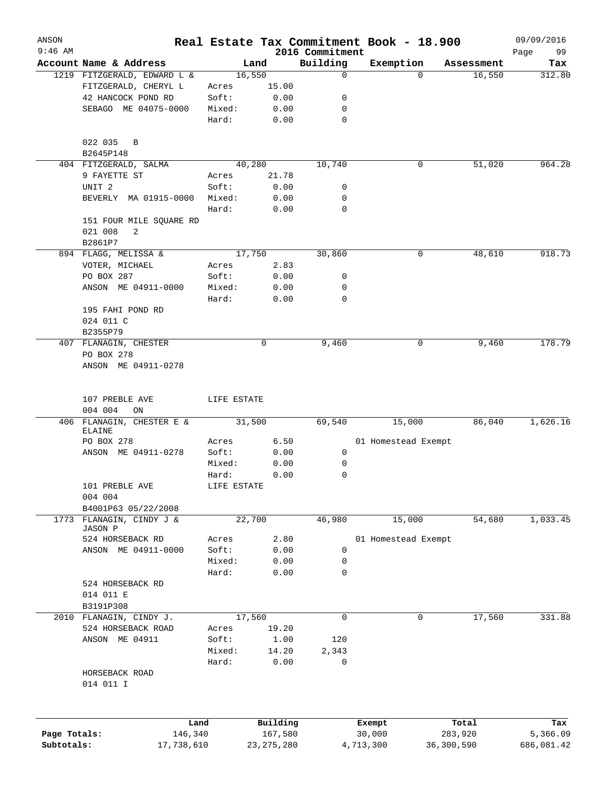| ANSON        |                                       |             |              |                             | Real Estate Tax Commitment Book - 18.900 |            | 09/09/2016    |
|--------------|---------------------------------------|-------------|--------------|-----------------------------|------------------------------------------|------------|---------------|
| $9:46$ AM    | Account Name & Address                |             | Land         | 2016 Commitment<br>Building | Exemption                                | Assessment | 99<br>Page    |
|              | 1219 FITZGERALD, EDWARD L &           |             | 16,550       | $\mathbf 0$                 | $\Omega$                                 | 16,550     | Tax<br>312.80 |
|              | FITZGERALD, CHERYL L                  | Acres       | 15.00        |                             |                                          |            |               |
|              | 42 HANCOCK POND RD                    | Soft:       | 0.00         | 0                           |                                          |            |               |
|              | SEBAGO ME 04075-0000                  | Mixed:      | 0.00         | 0                           |                                          |            |               |
|              |                                       | Hard:       | 0.00         | 0                           |                                          |            |               |
|              | 022 035<br>B                          |             |              |                             |                                          |            |               |
|              | B2645P148                             |             |              |                             |                                          |            |               |
|              | 404 FITZGERALD, SALMA                 |             | 40,280       | 10,740                      | 0                                        | 51,020     | 964.28        |
|              | 9 FAYETTE ST                          | Acres       | 21.78        |                             |                                          |            |               |
|              | UNIT <sub>2</sub>                     | Soft:       | 0.00         | 0                           |                                          |            |               |
|              | BEVERLY MA 01915-0000                 | Mixed:      | 0.00         | 0                           |                                          |            |               |
|              |                                       | Hard:       | 0.00         | 0                           |                                          |            |               |
|              | 151 FOUR MILE SQUARE RD               |             |              |                             |                                          |            |               |
|              | 021 008<br>2                          |             |              |                             |                                          |            |               |
|              | B2861P7                               |             |              |                             |                                          |            |               |
|              | 894 FLAGG, MELISSA &                  |             | 17,750       | 30,860                      | 0                                        | 48,610     | 918.73        |
|              | VOTER, MICHAEL                        | Acres       | 2.83         |                             |                                          |            |               |
|              | PO BOX 287                            | Soft:       | 0.00         | 0                           |                                          |            |               |
|              | ANSON ME 04911-0000                   | Mixed:      | 0.00         | 0                           |                                          |            |               |
|              |                                       | Hard:       | 0.00         | 0                           |                                          |            |               |
|              | 195 FAHI POND RD                      |             |              |                             |                                          |            |               |
|              |                                       |             |              |                             |                                          |            |               |
|              | 024 011 C                             |             |              |                             |                                          |            |               |
|              | B2355P79                              |             |              |                             |                                          |            |               |
|              | 407 FLANAGIN, CHESTER                 |             | 0            | 9,460                       | 0                                        | 9,460      | 178.79        |
|              | PO BOX 278<br>ANSON ME 04911-0278     |             |              |                             |                                          |            |               |
|              |                                       |             |              |                             |                                          |            |               |
|              |                                       |             |              |                             |                                          |            |               |
|              | 107 PREBLE AVE                        | LIFE ESTATE |              |                             |                                          |            |               |
|              | 004 004<br>ON                         |             |              |                             |                                          |            |               |
|              | 406 FLANAGIN, CHESTER E &             |             | 31,500       | 69,540                      | 15,000                                   | 86,040     | 1,626.16      |
|              | ELAINE                                |             |              |                             |                                          |            |               |
|              | PO BOX 278                            | Acres       | 6.50         |                             | 01 Homestead Exempt                      |            |               |
|              | ANSON ME 04911-0278                   | Soft:       | 0.00         | 0                           |                                          |            |               |
|              |                                       | Mixed:      | 0.00         | 0                           |                                          |            |               |
|              |                                       | Hard:       | 0.00         | 0                           |                                          |            |               |
|              | 101 PREBLE AVE                        | LIFE ESTATE |              |                             |                                          |            |               |
|              | 004 004                               |             |              |                             |                                          |            |               |
|              | B4001P63 05/22/2008                   |             |              |                             |                                          |            |               |
| 1773         | FLANAGIN, CINDY J &<br><b>JASON P</b> |             | 22,700       | 46,980                      | 15,000                                   | 54,680     | 1,033.45      |
|              | 524 HORSEBACK RD                      | Acres       | 2.80         |                             | 01 Homestead Exempt                      |            |               |
|              | ANSON ME 04911-0000                   | Soft:       | 0.00         | 0                           |                                          |            |               |
|              |                                       | Mixed:      | 0.00         | 0                           |                                          |            |               |
|              |                                       | Hard:       | 0.00         | 0                           |                                          |            |               |
|              | 524 HORSEBACK RD                      |             |              |                             |                                          |            |               |
|              | 014 011 E                             |             |              |                             |                                          |            |               |
|              | B3191P308                             |             |              |                             |                                          |            |               |
|              | 2010 FLANAGIN, CINDY J.               |             | 17,560       | 0                           | 0                                        | 17,560     | 331.88        |
|              | 524 HORSEBACK ROAD                    | Acres       | 19.20        |                             |                                          |            |               |
|              | ANSON ME 04911                        | Soft:       | 1.00         | 120                         |                                          |            |               |
|              |                                       | Mixed:      | 14.20        | 2,343                       |                                          |            |               |
|              |                                       | Hard:       | 0.00         | 0                           |                                          |            |               |
|              | HORSEBACK ROAD                        |             |              |                             |                                          |            |               |
|              | 014 011 I                             |             |              |                             |                                          |            |               |
|              |                                       |             |              |                             |                                          |            |               |
|              |                                       |             |              |                             |                                          |            |               |
|              | Land                                  |             | Building     |                             | Exempt                                   | Total      | Tax           |
| Page Totals: | 146,340                               |             | 167,580      |                             | 30,000                                   | 283,920    | 5,366.09      |
| Subtotals:   | 17,738,610                            |             | 23, 275, 280 |                             | 4,713,300                                | 36,300,590 | 686,081.42    |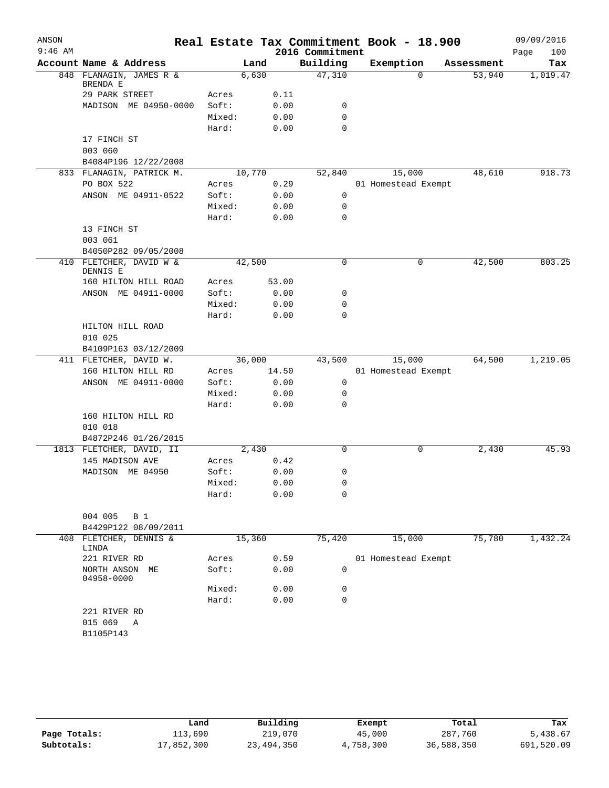| ANSON     |                                     |        |        |                 | Real Estate Tax Commitment Book - 18.900 |            | 09/09/2016  |
|-----------|-------------------------------------|--------|--------|-----------------|------------------------------------------|------------|-------------|
| $9:46$ AM |                                     |        |        | 2016 Commitment |                                          |            | 100<br>Page |
|           | Account Name & Address              |        | Land   | Building        | Exemption                                | Assessment | Tax         |
| 848       | FLANAGIN, JAMES R &<br>BRENDA E     |        | 6,630  | 47,310          | $\Omega$                                 | 53,940     | 1,019.47    |
|           | 29 PARK STREET                      | Acres  | 0.11   |                 |                                          |            |             |
|           | MADISON ME 04950-0000               | Soft:  | 0.00   | 0               |                                          |            |             |
|           |                                     | Mixed: | 0.00   | 0               |                                          |            |             |
|           |                                     | Hard:  | 0.00   | 0               |                                          |            |             |
|           | 17 FINCH ST                         |        |        |                 |                                          |            |             |
|           | 003 060                             |        |        |                 |                                          |            |             |
|           | B4084P196 12/22/2008                |        |        |                 |                                          |            |             |
|           | 833 FLANAGIN, PATRICK M.            |        | 10,770 | 52,840          | 15,000                                   | 48,610     | 918.73      |
|           | PO BOX 522                          | Acres  | 0.29   |                 | 01 Homestead Exempt                      |            |             |
|           | ANSON ME 04911-0522                 | Soft:  | 0.00   | $\mathbf 0$     |                                          |            |             |
|           |                                     | Mixed: | 0.00   | 0               |                                          |            |             |
|           |                                     | Hard:  | 0.00   | 0               |                                          |            |             |
|           | 13 FINCH ST                         |        |        |                 |                                          |            |             |
|           | 003 061                             |        |        |                 |                                          |            |             |
|           | B4050P282 09/05/2008                |        |        |                 |                                          |            |             |
|           | 410 FLETCHER, DAVID W &<br>DENNIS E |        | 42,500 | 0               | 0                                        | 42,500     | 803.25      |
|           | 160 HILTON HILL ROAD                | Acres  | 53.00  |                 |                                          |            |             |
|           | ANSON ME 04911-0000                 | Soft:  | 0.00   | 0               |                                          |            |             |
|           |                                     | Mixed: | 0.00   | 0               |                                          |            |             |
|           |                                     | Hard:  | 0.00   | 0               |                                          |            |             |
|           | HILTON HILL ROAD                    |        |        |                 |                                          |            |             |
|           | 010 025                             |        |        |                 |                                          |            |             |
|           | B4109P163 03/12/2009                |        |        |                 |                                          |            |             |
|           | 411 FLETCHER, DAVID W.              |        | 36,000 | 43,500          | 15,000                                   | 64,500     | 1,219.05    |
|           | 160 HILTON HILL RD                  | Acres  | 14.50  |                 | 01 Homestead Exempt                      |            |             |
|           | ANSON ME 04911-0000                 | Soft:  | 0.00   | 0               |                                          |            |             |
|           |                                     | Mixed: | 0.00   | 0               |                                          |            |             |
|           |                                     | Hard:  | 0.00   | 0               |                                          |            |             |
|           | 160 HILTON HILL RD                  |        |        |                 |                                          |            |             |
|           | 010 018                             |        |        |                 |                                          |            |             |
|           | B4872P246 01/26/2015                |        |        |                 |                                          |            |             |
|           | 1813 FLETCHER, DAVID, II            |        | 2,430  | 0               | 0                                        | 2,430      | 45.93       |
|           | 145 MADISON AVE                     | Acres  | 0.42   |                 |                                          |            |             |
|           | MADISON ME 04950                    | Soft:  | 0.00   | 0               |                                          |            |             |
|           |                                     | Mixed: | 0.00   | 0               |                                          |            |             |
|           |                                     | Hard:  | 0.00   | 0               |                                          |            |             |
|           |                                     |        |        |                 |                                          |            |             |
|           | 004 005<br><b>B</b> 1               |        |        |                 |                                          |            |             |
|           | B4429P122 08/09/2011                |        |        |                 |                                          |            |             |
|           | 408 FLETCHER, DENNIS &<br>LINDA     |        | 15,360 | 75,420          | 15,000                                   | 75,780     | 1,432.24    |
|           | 221 RIVER RD                        | Acres  | 0.59   |                 | 01 Homestead Exempt                      |            |             |
|           | NORTH ANSON ME<br>04958-0000        | Soft:  | 0.00   | 0               |                                          |            |             |
|           |                                     | Mixed: | 0.00   | 0               |                                          |            |             |
|           |                                     | Hard:  | 0.00   | 0               |                                          |            |             |
|           | 221 RIVER RD                        |        |        |                 |                                          |            |             |
|           | 015 069<br>Α                        |        |        |                 |                                          |            |             |
|           | B1105P143                           |        |        |                 |                                          |            |             |
|           |                                     |        |        |                 |                                          |            |             |

|              | Land       | Building     | Exempt    | Total      | Tax        |
|--------------|------------|--------------|-----------|------------|------------|
| Page Totals: | 113,690    | 219,070      | 45,000    | 287,760    | 5,438.67   |
| Subtotals:   | 17,852,300 | 23, 494, 350 | 4,758,300 | 36,588,350 | 691,520.09 |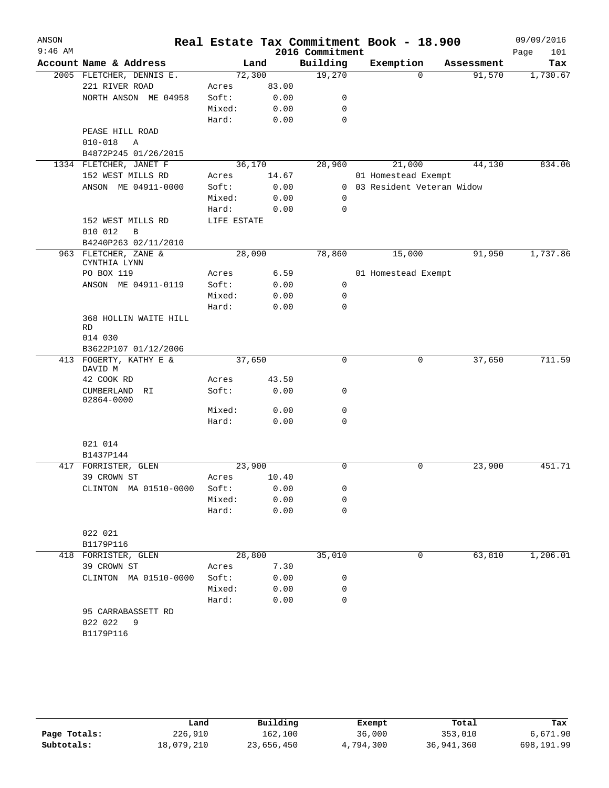| ANSON     |                                            |                 |               |                 | Real Estate Tax Commitment Book - 18.900 |            | 09/09/2016      |
|-----------|--------------------------------------------|-----------------|---------------|-----------------|------------------------------------------|------------|-----------------|
| $9:46$ AM |                                            |                 |               | 2016 Commitment |                                          |            | Page<br>101     |
|           | Account Name & Address                     |                 | Land          | Building        | Exemption<br>$\Omega$                    | Assessment | Tax<br>1,730.67 |
|           | 2005 FLETCHER, DENNIS E.<br>221 RIVER ROAD | 72,300<br>Acres | 83.00         | 19,270          |                                          | 91,570     |                 |
|           | NORTH ANSON ME 04958                       | Soft:           | 0.00          | 0               |                                          |            |                 |
|           |                                            | Mixed:          | 0.00          | 0               |                                          |            |                 |
|           |                                            | Hard:           | 0.00          | 0               |                                          |            |                 |
|           | PEASE HILL ROAD                            |                 |               |                 |                                          |            |                 |
|           | $010 - 018$<br>Α                           |                 |               |                 |                                          |            |                 |
|           | B4872P245 01/26/2015                       |                 |               |                 |                                          |            |                 |
|           | 1334 FLETCHER, JANET F                     | 36,170          |               | 28,960          | 21,000                                   | 44,130     | 834.06          |
|           | 152 WEST MILLS RD                          | Acres           | 14.67         |                 | 01 Homestead Exempt                      |            |                 |
|           | ANSON ME 04911-0000                        | Soft:           | 0.00          |                 | 0 03 Resident Veteran Widow              |            |                 |
|           |                                            | Mixed:          | 0.00          | $\mathbf 0$     |                                          |            |                 |
|           |                                            | Hard:           | 0.00          | $\mathbf 0$     |                                          |            |                 |
|           | 152 WEST MILLS RD<br>010 012<br>B          | LIFE ESTATE     |               |                 |                                          |            |                 |
|           | B4240P263 02/11/2010                       |                 |               |                 |                                          |            |                 |
|           | 963 FLETCHER, ZANE &<br>CYNTHIA LYNN       | 28,090          |               | 78,860          | 15,000                                   | 91,950     | 1,737.86        |
|           | PO BOX 119                                 | Acres           | 6.59          |                 | 01 Homestead Exempt                      |            |                 |
|           | ANSON ME 04911-0119                        | Soft:           | 0.00          | 0               |                                          |            |                 |
|           |                                            | Mixed:          | 0.00          | 0               |                                          |            |                 |
|           |                                            | Hard:           | 0.00          | 0               |                                          |            |                 |
|           | 368 HOLLIN WAITE HILL<br>RD                |                 |               |                 |                                          |            |                 |
|           | 014 030                                    |                 |               |                 |                                          |            |                 |
|           | B3622P107 01/12/2006                       |                 |               |                 |                                          |            |                 |
|           | 413 FOGERTY, KATHY E &<br>DAVID M          | 37,650          |               | 0               | 0                                        | 37,650     | 711.59          |
|           | 42 COOK RD                                 | Acres           | 43.50         |                 |                                          |            |                 |
|           | CUMBERLAND<br>RI.<br>02864-0000            | Soft:           | 0.00          | 0               |                                          |            |                 |
|           |                                            | Mixed:          | 0.00          | 0               |                                          |            |                 |
|           |                                            | Hard:           | 0.00          | 0               |                                          |            |                 |
|           | 021 014                                    |                 |               |                 |                                          |            |                 |
|           | B1437P144                                  |                 |               |                 |                                          |            |                 |
|           | 417 FORRISTER, GLEN                        | 23,900          |               | 0               | 0                                        | 23,900     | 451.71          |
|           | 39 CROWN ST<br>CLINTON MA 01510-0000       | Acres<br>Soft:  | 10.40<br>0.00 | 0               |                                          |            |                 |
|           |                                            | Mixed:          | 0.00          | 0               |                                          |            |                 |
|           |                                            | Hard:           | 0.00          | 0               |                                          |            |                 |
|           | 022 021                                    |                 |               |                 |                                          |            |                 |
|           | B1179P116                                  |                 |               |                 |                                          |            |                 |
|           | 418 FORRISTER, GLEN                        | 28,800          |               | 35,010          | 0                                        | 63,810     | 1,206.01        |
|           | 39 CROWN ST                                | Acres           | 7.30          |                 |                                          |            |                 |
|           | CLINTON MA 01510-0000                      | Soft:           | 0.00          | 0               |                                          |            |                 |
|           |                                            | Mixed:          | 0.00          | 0               |                                          |            |                 |
|           |                                            | Hard:           | 0.00          | 0               |                                          |            |                 |
|           | 95 CARRABASSETT RD<br>022 022<br>9         |                 |               |                 |                                          |            |                 |
|           | B1179P116                                  |                 |               |                 |                                          |            |                 |
|           |                                            |                 |               |                 |                                          |            |                 |

|              | Land       | Building   | Exempt    | Total      | Tax        |
|--------------|------------|------------|-----------|------------|------------|
| Page Totals: | 226,910    | 162,100    | 36,000    | 353,010    | 6,671.90   |
| Subtotals:   | 18,079,210 | 23,656,450 | 4,794,300 | 36,941,360 | 698,191.99 |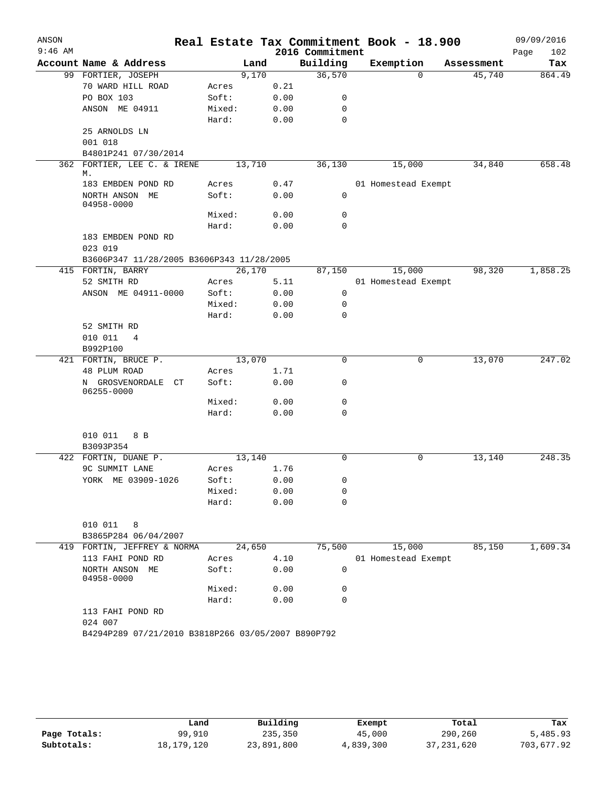| ANSON<br>$9:46$ AM |                                           |                                                    |              | 2016 Commitment | Real Estate Tax Commitment Book - 18.900 |            | 09/09/2016<br>102<br>Page |
|--------------------|-------------------------------------------|----------------------------------------------------|--------------|-----------------|------------------------------------------|------------|---------------------------|
|                    | Account Name & Address                    |                                                    | Land         | Building        | Exemption                                | Assessment | Tax                       |
|                    | 99 FORTIER, JOSEPH                        |                                                    | 9,170        | 36,570          | $\Omega$                                 | 45,740     | 864.49                    |
|                    | 70 WARD HILL ROAD                         | Acres                                              | 0.21         |                 |                                          |            |                           |
|                    | PO BOX 103                                | Soft:                                              | 0.00         | 0               |                                          |            |                           |
|                    | ANSON ME 04911                            | Mixed:                                             | 0.00         | 0               |                                          |            |                           |
|                    |                                           | Hard:                                              | 0.00         | $\mathbf 0$     |                                          |            |                           |
|                    | 25 ARNOLDS LN                             |                                                    |              |                 |                                          |            |                           |
|                    | 001 018                                   |                                                    |              |                 |                                          |            |                           |
|                    | B4801P241 07/30/2014                      |                                                    |              |                 |                                          |            |                           |
|                    | 362 FORTIER, LEE C. & IRENE<br>М.         | 13,710                                             |              | 36,130          | 15,000                                   | 34,840     | 658.48                    |
|                    | 183 EMBDEN POND RD                        | Acres                                              | 0.47         |                 | 01 Homestead Exempt                      |            |                           |
|                    | NORTH ANSON ME<br>04958-0000              | Soft:                                              | 0.00         | $\mathbf 0$     |                                          |            |                           |
|                    |                                           | Mixed:                                             | 0.00         | 0               |                                          |            |                           |
|                    |                                           | Hard:                                              | 0.00         | $\Omega$        |                                          |            |                           |
|                    | 183 EMBDEN POND RD                        |                                                    |              |                 |                                          |            |                           |
|                    | 023 019                                   |                                                    |              |                 |                                          |            |                           |
|                    | B3606P347 11/28/2005 B3606P343 11/28/2005 |                                                    |              |                 |                                          |            |                           |
|                    | 415 FORTIN, BARRY                         | 26,170                                             |              | 87,150          | 15,000                                   | 98,320     | 1,858.25                  |
|                    | 52 SMITH RD                               | Acres                                              | 5.11         |                 | 01 Homestead Exempt                      |            |                           |
|                    | ANSON ME 04911-0000                       | Soft:                                              | 0.00         | 0               |                                          |            |                           |
|                    |                                           | Mixed:                                             | 0.00         | 0               |                                          |            |                           |
|                    |                                           | Hard:                                              | 0.00         | 0               |                                          |            |                           |
|                    | 52 SMITH RD                               |                                                    |              |                 |                                          |            |                           |
|                    | 010 011<br>4                              |                                                    |              |                 |                                          |            |                           |
|                    | B992P100                                  |                                                    |              |                 |                                          |            |                           |
|                    | 421 FORTIN, BRUCE P.                      | 13,070                                             |              | 0               | 0                                        | 13,070     | 247.02                    |
|                    | 48 PLUM ROAD                              | Acres                                              | 1.71         |                 |                                          |            |                           |
|                    | N GROSVENORDALE<br>CT<br>06255-0000       | Soft:                                              | 0.00         | 0               |                                          |            |                           |
|                    |                                           | Mixed:                                             | 0.00         | 0               |                                          |            |                           |
|                    |                                           | Hard:                                              | 0.00         | $\Omega$        |                                          |            |                           |
|                    | 010 011<br>8 B                            |                                                    |              |                 |                                          |            |                           |
|                    | B3093P354                                 |                                                    |              | $\Omega$        | $\mathbf 0$                              |            |                           |
|                    | 422 FORTIN, DUANE P.<br>9C SUMMIT LANE    | 13,140                                             |              |                 |                                          | 13,140     | 248.35                    |
|                    | YORK ME 03909-1026                        | Acres<br>Soft:                                     | 1.76<br>0.00 | 0               |                                          |            |                           |
|                    |                                           | Mixed:                                             | 0.00         | 0               |                                          |            |                           |
|                    |                                           | Hard:                                              | 0.00         | 0               |                                          |            |                           |
|                    | 010 011<br>8                              |                                                    |              |                 |                                          |            |                           |
|                    | B3865P284 06/04/2007                      |                                                    |              |                 |                                          |            |                           |
|                    | 419 FORTIN, JEFFREY & NORMA               | 24,650                                             |              | 75,500          | 15,000                                   | 85,150     | 1,609.34                  |
|                    | 113 FAHI POND RD                          | Acres                                              | 4.10         |                 | 01 Homestead Exempt                      |            |                           |
|                    | NORTH ANSON ME<br>04958-0000              | Soft:                                              | 0.00         | 0               |                                          |            |                           |
|                    |                                           | Mixed:                                             | 0.00         | 0               |                                          |            |                           |
|                    |                                           | Hard:                                              | 0.00         | 0               |                                          |            |                           |
|                    | 113 FAHI POND RD<br>024 007               |                                                    |              |                 |                                          |            |                           |
|                    |                                           | B4294P289 07/21/2010 B3818P266 03/05/2007 B890P792 |              |                 |                                          |            |                           |

|              | Land         | Building   | Exempt    | Total        | Tax        |
|--------------|--------------|------------|-----------|--------------|------------|
| Page Totals: | 99,910       | 235,350    | 45,000    | 290,260      | 5,485.93   |
| Subtotals:   | 18, 179, 120 | 23,891,800 | 4,839,300 | 37, 231, 620 | 703,677.92 |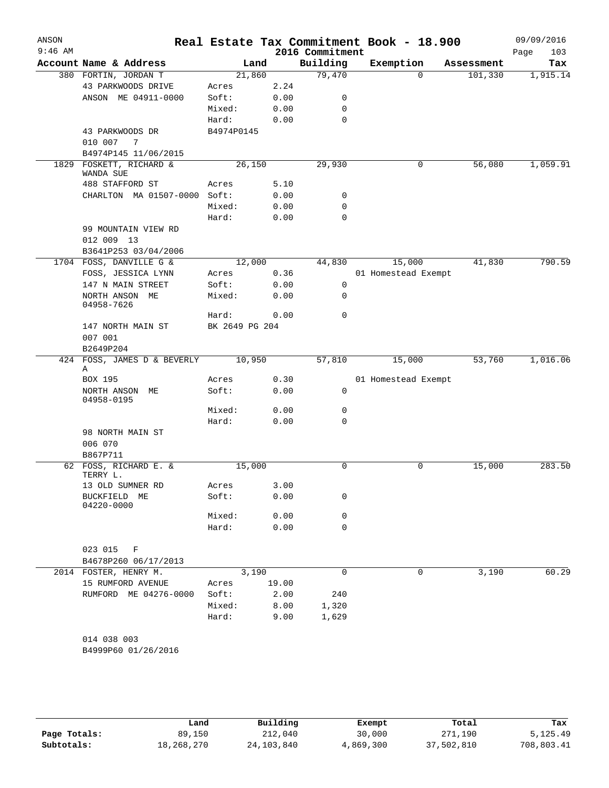| ANSON<br>$9:46$ AM |                                      |                |       | 2016 Commitment | Real Estate Tax Commitment Book - 18.900 |            | 09/09/2016<br>Page<br>103 |
|--------------------|--------------------------------------|----------------|-------|-----------------|------------------------------------------|------------|---------------------------|
|                    | Account Name & Address               | Land           |       | Building        | Exemption                                | Assessment | Tax                       |
|                    | 380 FORTIN, JORDAN T                 | 21,860         |       | 79,470          | $\Omega$                                 | 101,330    | 1,915.14                  |
|                    | 43 PARKWOODS DRIVE                   | Acres          | 2.24  |                 |                                          |            |                           |
|                    | ANSON ME 04911-0000                  | Soft:          | 0.00  | 0               |                                          |            |                           |
|                    |                                      | Mixed:         | 0.00  | 0               |                                          |            |                           |
|                    |                                      | Hard:          | 0.00  | 0               |                                          |            |                           |
|                    | 43 PARKWOODS DR                      | B4974P0145     |       |                 |                                          |            |                           |
|                    | 010 007<br>-7                        |                |       |                 |                                          |            |                           |
|                    | B4974P145 11/06/2015                 |                |       |                 |                                          |            |                           |
| 1829               | FOSKETT, RICHARD &<br>WANDA SUE      | 26,150         |       | 29,930          | 0                                        | 56,080     | 1,059.91                  |
|                    | 488 STAFFORD ST                      | Acres          | 5.10  |                 |                                          |            |                           |
|                    | CHARLTON MA 01507-0000 Soft:         |                | 0.00  | 0               |                                          |            |                           |
|                    |                                      | Mixed:         | 0.00  | 0               |                                          |            |                           |
|                    |                                      | Hard:          | 0.00  | 0               |                                          |            |                           |
|                    | 99 MOUNTAIN VIEW RD<br>012 009 13    |                |       |                 |                                          |            |                           |
|                    | B3641P253 03/04/2006                 |                |       |                 |                                          |            |                           |
|                    | 1704 FOSS, DANVILLE G &              | 12,000         |       | 44,830          | 15,000                                   | 41,830     | 790.59                    |
|                    | FOSS, JESSICA LYNN                   | Acres          | 0.36  |                 | 01 Homestead Exempt                      |            |                           |
|                    | 147 N MAIN STREET                    | Soft:          | 0.00  | $\mathbf 0$     |                                          |            |                           |
|                    | NORTH ANSON ME<br>04958-7626         | Mixed:         | 0.00  | $\mathbf 0$     |                                          |            |                           |
|                    |                                      | Hard:          | 0.00  | $\mathbf 0$     |                                          |            |                           |
|                    | 147 NORTH MAIN ST<br>007 001         | BK 2649 PG 204 |       |                 |                                          |            |                           |
|                    | B2649P204                            |                |       |                 |                                          |            |                           |
|                    | 424 FOSS, JAMES D & BEVERLY          | 10,950         |       | 57,810          | 15,000                                   | 53,760     | 1,016.06                  |
|                    | Α<br>BOX 195                         | Acres          | 0.30  |                 | 01 Homestead Exempt                      |            |                           |
|                    | NORTH ANSON ME<br>04958-0195         | Soft:          | 0.00  | 0               |                                          |            |                           |
|                    |                                      | Mixed:         | 0.00  | 0               |                                          |            |                           |
|                    |                                      | Hard:          | 0.00  | 0               |                                          |            |                           |
|                    | 98 NORTH MAIN ST                     |                |       |                 |                                          |            |                           |
|                    | 006 070                              |                |       |                 |                                          |            |                           |
|                    | B867P711                             |                |       |                 |                                          |            |                           |
|                    | 62 FOSS, RICHARD E. &<br>TERRY L.    | 15,000         |       | 0               | 0                                        | 15,000     | 283.50                    |
|                    | 13 OLD SUMNER RD                     | Acres          | 3.00  |                 |                                          |            |                           |
|                    | BUCKFIELD ME<br>04220-0000           | Soft:          | 0.00  | 0               |                                          |            |                           |
|                    |                                      | Mixed:         | 0.00  | 0               |                                          |            |                           |
|                    |                                      | Hard:          | 0.00  | 0               |                                          |            |                           |
|                    | 023 015<br>F<br>B4678P260 06/17/2013 |                |       |                 |                                          |            |                           |
|                    | 2014 FOSTER, HENRY M.                | 3,190          |       | 0               | 0                                        | 3,190      | 60.29                     |
|                    | 15 RUMFORD AVENUE                    | Acres          | 19.00 |                 |                                          |            |                           |
|                    | RUMFORD ME 04276-0000                | Soft:          | 2.00  | 240             |                                          |            |                           |
|                    |                                      | Mixed:         | 8.00  | 1,320           |                                          |            |                           |
|                    |                                      | Hard:          | 9.00  | 1,629           |                                          |            |                           |
|                    | 014 038 003                          |                |       |                 |                                          |            |                           |
|                    | B4999P60 01/26/2016                  |                |       |                 |                                          |            |                           |

|              | Land       | Building     | Exempt    | Total      | Tax        |  |
|--------------|------------|--------------|-----------|------------|------------|--|
| Page Totals: | 89,150     | 212,040      | 30,000    | 271,190    | 5,125.49   |  |
| Subtotals:   | 18,268,270 | 24, 103, 840 | 4,869,300 | 37,502,810 | 708,803.41 |  |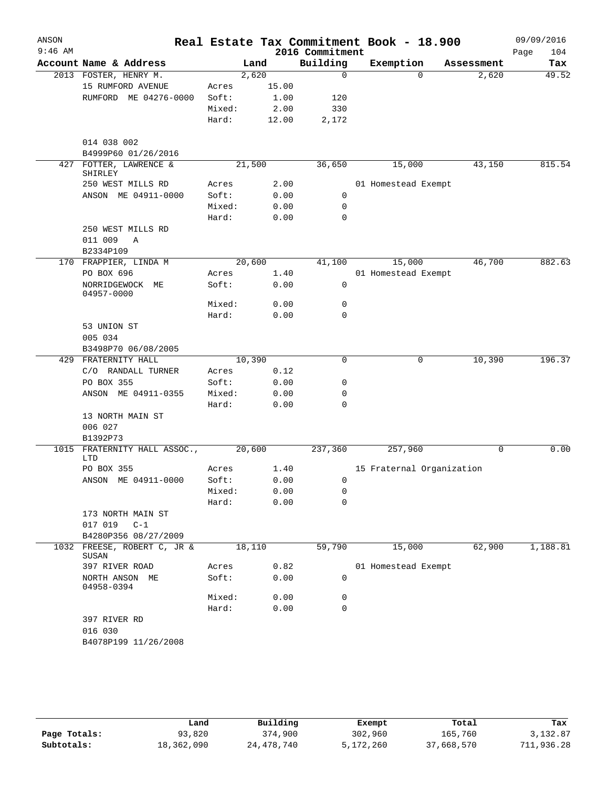| ANSON<br>$9:46$ AM |                                                     |        |        | 2016 Commitment | Real Estate Tax Commitment Book - 18.900 |             | 09/09/2016<br>104<br>Page |
|--------------------|-----------------------------------------------------|--------|--------|-----------------|------------------------------------------|-------------|---------------------------|
|                    | Account Name & Address                              |        | Land   | Building        | Exemption                                | Assessment  | Tax                       |
|                    | 2013 FOSTER, HENRY M.                               |        | 2,620  | $\mathbf 0$     | $\Omega$                                 | 2,620       | 49.52                     |
|                    | 15 RUMFORD AVENUE                                   | Acres  | 15.00  |                 |                                          |             |                           |
|                    | RUMFORD ME 04276-0000                               | Soft:  | 1.00   | 120             |                                          |             |                           |
|                    |                                                     | Mixed: | 2.00   | 330             |                                          |             |                           |
|                    |                                                     | Hard:  | 12.00  | 2,172           |                                          |             |                           |
|                    | 014 038 002                                         |        |        |                 |                                          |             |                           |
|                    | B4999P60 01/26/2016                                 |        |        |                 |                                          |             |                           |
| 427                | FOTTER, LAWRENCE &<br>SHIRLEY                       |        | 21,500 | 36,650          | 15,000                                   | 43,150      | 815.54                    |
|                    | 250 WEST MILLS RD                                   | Acres  | 2.00   |                 | 01 Homestead Exempt                      |             |                           |
|                    | ANSON ME 04911-0000                                 | Soft:  | 0.00   | 0               |                                          |             |                           |
|                    |                                                     | Mixed: | 0.00   | $\mathbf 0$     |                                          |             |                           |
|                    |                                                     | Hard:  | 0.00   | $\mathbf 0$     |                                          |             |                           |
|                    | 250 WEST MILLS RD                                   |        |        |                 |                                          |             |                           |
|                    | 011 009<br>Α                                        |        |        |                 |                                          |             |                           |
|                    | B2334P109                                           |        |        |                 |                                          |             |                           |
|                    | 170 FRAPPIER, LINDA M                               |        | 20,600 | 41,100          | 15,000                                   | 46,700      | 882.63                    |
|                    | PO BOX 696                                          | Acres  | 1.40   |                 | 01 Homestead Exempt                      |             |                           |
|                    | NORRIDGEWOCK<br>МE<br>04957-0000                    | Soft:  | 0.00   | 0               |                                          |             |                           |
|                    |                                                     | Mixed: | 0.00   | 0               |                                          |             |                           |
|                    |                                                     | Hard:  | 0.00   | $\mathbf 0$     |                                          |             |                           |
|                    | 53 UNION ST                                         |        |        |                 |                                          |             |                           |
|                    | 005 034                                             |        |        |                 |                                          |             |                           |
|                    | B3498P70 06/08/2005                                 |        |        |                 |                                          |             |                           |
| 429                | FRATERNITY HALL                                     |        | 10,390 | $\mathbf 0$     | 0                                        | 10,390      | 196.37                    |
|                    | C/O RANDALL TURNER                                  | Acres  | 0.12   |                 |                                          |             |                           |
|                    | PO BOX 355                                          | Soft:  | 0.00   | 0               |                                          |             |                           |
|                    | ANSON ME 04911-0355                                 | Mixed: | 0.00   | 0               |                                          |             |                           |
|                    |                                                     | Hard:  | 0.00   | $\mathbf 0$     |                                          |             |                           |
|                    | 13 NORTH MAIN ST                                    |        |        |                 |                                          |             |                           |
|                    | 006 027                                             |        |        |                 |                                          |             |                           |
|                    | B1392P73                                            |        |        |                 |                                          |             |                           |
| 1015               | FRATERNITY HALL ASSOC.,<br>LTD                      |        | 20,600 | 237,360         | 257,960                                  | $\mathbf 0$ | 0.00                      |
|                    | PO BOX 355                                          | Acres  | 1.40   |                 | 15 Fraternal Organization                |             |                           |
|                    | ANSON ME 04911-0000                                 | Soft:  | 0.00   | 0               |                                          |             |                           |
|                    |                                                     | Mixed: | 0.00   | 0               |                                          |             |                           |
|                    |                                                     | Hard:  | 0.00   | $\mathbf 0$     |                                          |             |                           |
|                    | 173 NORTH MAIN ST                                   |        |        |                 |                                          |             |                           |
|                    | 017 019 C-1                                         |        |        |                 |                                          |             |                           |
|                    | B4280P356 08/27/2009<br>1032 FREESE, ROBERT C, JR & |        | 18,110 | 59,790          | 15,000                                   | 62,900      | 1,188.81                  |
|                    | SUSAN                                               |        |        |                 |                                          |             |                           |
|                    | 397 RIVER ROAD                                      | Acres  | 0.82   |                 | 01 Homestead Exempt                      |             |                           |
|                    | NORTH ANSON ME<br>04958-0394                        | Soft:  | 0.00   | 0               |                                          |             |                           |
|                    |                                                     | Mixed: | 0.00   | 0               |                                          |             |                           |
|                    |                                                     | Hard:  | 0.00   | 0               |                                          |             |                           |
|                    | 397 RIVER RD                                        |        |        |                 |                                          |             |                           |
|                    | 016 030                                             |        |        |                 |                                          |             |                           |
|                    | B4078P199 11/26/2008                                |        |        |                 |                                          |             |                           |
|                    |                                                     |        |        |                 |                                          |             |                           |

|              | Land       | Building     | Exempt    | Total      | Tax        |
|--------------|------------|--------------|-----------|------------|------------|
| Page Totals: | 93,820     | 374,900      | 302,960   | 165,760    | 3,132.87   |
| Subtotals:   | 18,362,090 | 24, 478, 740 | 5,172,260 | 37,668,570 | 711,936.28 |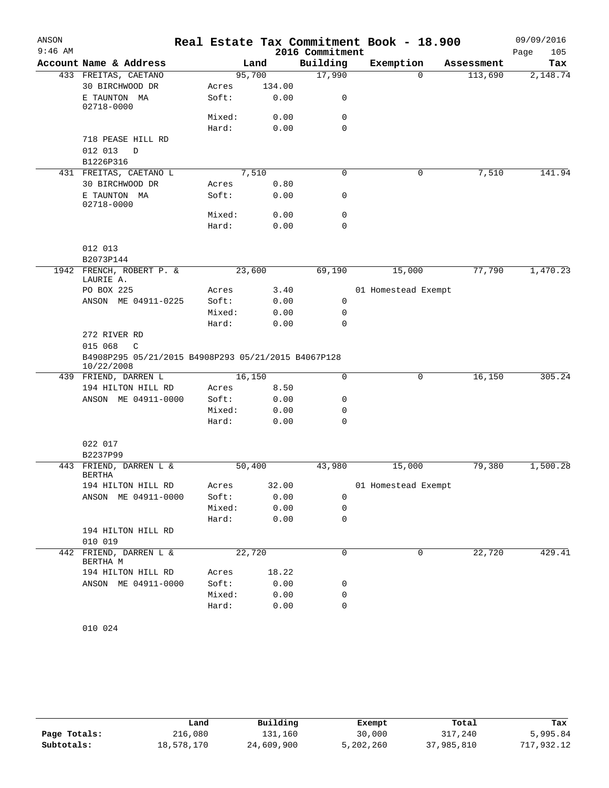| ANSON     |                                                     |        |        |                 | Real Estate Tax Commitment Book - 18.900 |            | 09/09/2016  |
|-----------|-----------------------------------------------------|--------|--------|-----------------|------------------------------------------|------------|-------------|
| $9:46$ AM |                                                     |        |        | 2016 Commitment |                                          |            | Page<br>105 |
|           | Account Name & Address                              |        | Land   | Building        | Exemption                                | Assessment | Tax         |
|           | 433 FREITAS, CAETANO                                | 95,700 |        | 17,990          | $\Omega$                                 | 113,690    | 2,148.74    |
|           | 30 BIRCHWOOD DR                                     | Acres  | 134.00 |                 |                                          |            |             |
|           | E TAUNTON MA<br>02718-0000                          | Soft:  | 0.00   | 0               |                                          |            |             |
|           |                                                     | Mixed: | 0.00   | 0               |                                          |            |             |
|           |                                                     | Hard:  | 0.00   | $\Omega$        |                                          |            |             |
|           | 718 PEASE HILL RD<br>012 013<br>D                   |        |        |                 |                                          |            |             |
|           | B1226P316                                           |        |        |                 |                                          |            |             |
|           | 431 FREITAS, CAETANO L                              | 7,510  |        | $\mathbf 0$     | 0                                        | 7,510      | 141.94      |
|           | 30 BIRCHWOOD DR                                     | Acres  | 0.80   |                 |                                          |            |             |
|           | E TAUNTON MA<br>02718-0000                          | Soft:  | 0.00   | 0               |                                          |            |             |
|           |                                                     | Mixed: | 0.00   | 0               |                                          |            |             |
|           |                                                     | Hard:  | 0.00   | $\mathbf 0$     |                                          |            |             |
|           | 012 013                                             |        |        |                 |                                          |            |             |
|           | B2073P144                                           |        |        |                 |                                          |            |             |
|           | 1942 FRENCH, ROBERT P. &<br>LAURIE A.               | 23,600 |        | 69,190          | 15,000                                   | 77,790     | 1,470.23    |
|           | PO BOX 225                                          | Acres  | 3.40   |                 | 01 Homestead Exempt                      |            |             |
|           | ANSON ME 04911-0225                                 | Soft:  | 0.00   | 0               |                                          |            |             |
|           |                                                     | Mixed: | 0.00   | 0               |                                          |            |             |
|           |                                                     | Hard:  | 0.00   | $\mathbf 0$     |                                          |            |             |
|           | 272 RIVER RD<br>015 068<br>$\mathbb{C}$             |        |        |                 |                                          |            |             |
|           | B4908P295 05/21/2015 B4908P293 05/21/2015 B4067P128 |        |        |                 |                                          |            |             |
|           | 10/22/2008<br>439 FRIEND, DARREN L                  | 16,150 |        | $\mathbf 0$     | $\mathbf 0$                              | 16,150     | 305.24      |
|           | 194 HILTON HILL RD                                  | Acres  | 8.50   |                 |                                          |            |             |
|           | ANSON ME 04911-0000                                 | Soft:  | 0.00   | 0               |                                          |            |             |
|           |                                                     | Mixed: | 0.00   | 0               |                                          |            |             |
|           |                                                     | Hard:  | 0.00   | $\mathbf 0$     |                                          |            |             |
|           |                                                     |        |        |                 |                                          |            |             |
|           | 022 017<br>B2237P99                                 |        |        |                 |                                          |            |             |
|           | 443 FRIEND, DARREN L &<br><b>BERTHA</b>             | 50,400 |        | 43,980          | 15,000                                   | 79,380     | 1,500.28    |
|           | 194 HILTON HILL RD                                  | Acres  | 32.00  |                 | 01 Homestead Exempt                      |            |             |
|           | ANSON ME 04911-0000                                 | Soft:  | 0.00   | 0               |                                          |            |             |
|           |                                                     | Mixed: | 0.00   | 0               |                                          |            |             |
|           |                                                     | Hard:  | 0.00   | 0               |                                          |            |             |
|           | 194 HILTON HILL RD<br>010 019                       |        |        |                 |                                          |            |             |
|           | FRIEND, DARREN L &                                  |        |        | $\mathbf 0$     | 0                                        | 22,720     | 429.41      |
| 442       | BERTHA M                                            | 22,720 |        |                 |                                          |            |             |
|           | 194 HILTON HILL RD                                  | Acres  | 18.22  |                 |                                          |            |             |
|           | ANSON ME 04911-0000                                 | Soft:  | 0.00   | 0               |                                          |            |             |
|           |                                                     | Mixed: | 0.00   | 0               |                                          |            |             |
|           |                                                     | Hard:  | 0.00   | 0               |                                          |            |             |

010 024

|              | Land       | Building   | Exempt    | Total      | Tax        |
|--------------|------------|------------|-----------|------------|------------|
| Page Totals: | 216,080    | 131,160    | 30,000    | 317,240    | 5,995.84   |
| Subtotals:   | 18,578,170 | 24,609,900 | 5,202,260 | 37,985,810 | 717,932.12 |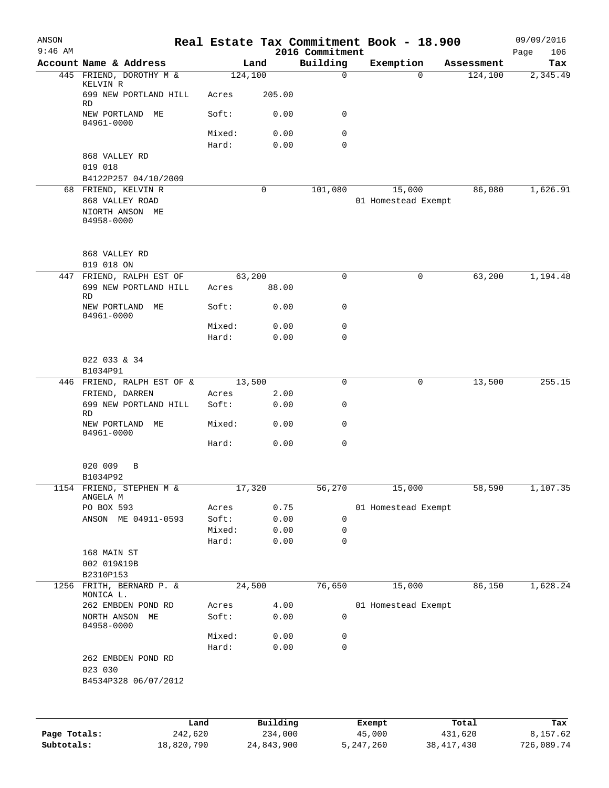| ANSON<br>$9:46$ AM |                                                     |                 |                 | 2016 Commitment  | Real Estate Tax Commitment Book - 18.900 |            | 09/09/2016<br>106<br>Page |
|--------------------|-----------------------------------------------------|-----------------|-----------------|------------------|------------------------------------------|------------|---------------------------|
|                    | Account Name & Address                              |                 | Land            | Building         | Exemption                                | Assessment | Tax                       |
|                    | 445 FRIEND, DOROTHY M &                             |                 | 124,100         | $\mathbf 0$      | $\Omega$                                 | 124,100    | 2,345.49                  |
|                    | KELVIN R<br>699 NEW PORTLAND HILL<br><b>RD</b>      | Acres           | 205.00          |                  |                                          |            |                           |
|                    | NEW PORTLAND ME<br>04961-0000                       | Soft:           | 0.00            | 0                |                                          |            |                           |
|                    |                                                     | Mixed:          | 0.00            | $\mathbf 0$      |                                          |            |                           |
|                    |                                                     | Hard:           | 0.00            | $\mathbf 0$      |                                          |            |                           |
|                    | 868 VALLEY RD                                       |                 |                 |                  |                                          |            |                           |
|                    | 019 018                                             |                 |                 |                  |                                          |            |                           |
|                    | B4122P257 04/10/2009<br>68 FRIEND, KELVIN R         |                 | 0               | 101,080          | 15,000                                   | 86,080     | 1,626.91                  |
|                    | 868 VALLEY ROAD                                     |                 |                 |                  | 01 Homestead Exempt                      |            |                           |
|                    | NIORTH ANSON ME<br>04958-0000                       |                 |                 |                  |                                          |            |                           |
|                    | 868 VALLEY RD                                       |                 |                 |                  |                                          |            |                           |
|                    | 019 018 ON                                          |                 |                 |                  |                                          |            |                           |
| 447                | FRIEND, RALPH EST OF<br>699 NEW PORTLAND HILL<br>RD | Acres           | 63,200<br>88.00 | 0                | 0                                        | 63,200     | 1,194.48                  |
|                    | NEW PORTLAND<br>MЕ<br>04961-0000                    | Soft:           | 0.00            | 0                |                                          |            |                           |
|                    |                                                     | Mixed:          | 0.00            | $\mathsf{O}$     |                                          |            |                           |
|                    |                                                     | Hard:           | 0.00            | $\mathbf 0$      |                                          |            |                           |
|                    | 022 033 & 34<br>B1034P91                            |                 |                 |                  |                                          |            |                           |
|                    | 446 FRIEND, RALPH EST OF &                          |                 | 13,500          | 0                | 0                                        | 13,500     | 255.15                    |
|                    | FRIEND, DARREN                                      | Acres           | 2.00            |                  |                                          |            |                           |
|                    | 699 NEW PORTLAND HILL<br>RD                         | Soft:           | 0.00            | 0                |                                          |            |                           |
|                    | NEW PORTLAND<br>МE<br>04961-0000                    | Mixed:          | 0.00            | 0                |                                          |            |                           |
|                    |                                                     | Hard:           | 0.00            | $\mathbf 0$      |                                          |            |                           |
|                    | 020 009<br>B                                        |                 |                 |                  |                                          |            |                           |
|                    | B1034P92<br>1154 FRIEND, STEPHEN M &                |                 |                 | 56,270           | 15,000                                   |            |                           |
|                    | ANGELA M<br>PO BOX 593                              | Acres           | 17,320<br>0.75  |                  | 01 Homestead Exempt                      | 58,590     | 1,107.35                  |
|                    | ANSON ME 04911-0593                                 | Soft:           | 0.00            | 0                |                                          |            |                           |
|                    |                                                     | Mixed:          | 0.00            | 0                |                                          |            |                           |
|                    |                                                     | Hard:           | 0.00            | 0                |                                          |            |                           |
|                    | 168 MAIN ST                                         |                 |                 |                  |                                          |            |                           |
|                    | 002 019&19B                                         |                 |                 |                  |                                          |            |                           |
| 1256               | B2310P153<br>FRITH, BERNARD P. &                    |                 | 24,500          | 76,650           | 15,000                                   | 86,150     | 1,628.24                  |
|                    | MONICA L.                                           |                 |                 |                  |                                          |            |                           |
|                    | 262 EMBDEN POND RD                                  | Acres           | 4.00            |                  | 01 Homestead Exempt                      |            |                           |
|                    | NORTH ANSON ME<br>04958-0000                        | Soft:           | 0.00            | 0                |                                          |            |                           |
|                    |                                                     | Mixed:<br>Hard: | 0.00<br>0.00    | 0<br>$\mathbf 0$ |                                          |            |                           |
|                    | 262 EMBDEN POND RD<br>023 030                       |                 |                 |                  |                                          |            |                           |
|                    | B4534P328 06/07/2012                                |                 |                 |                  |                                          |            |                           |
|                    |                                                     |                 |                 |                  |                                          |            |                           |
|                    | Land                                                |                 | Building        |                  | Exempt                                   | Total      | Tax                       |
| Page Totals:       | 242,620                                             |                 | 234,000         |                  | 45,000                                   | 431,620    | 8,157.62                  |

**Subtotals:** 18,820,790 24,843,900 5,247,260 38,417,430 726,089.74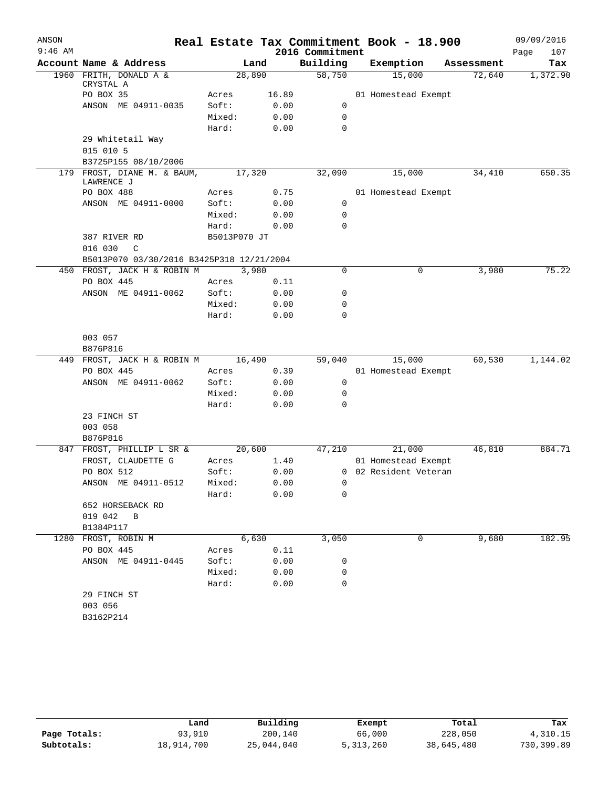| ANSON     |                                           |              |               |                 | Real Estate Tax Commitment Book - 18.900 |            | 09/09/2016  |
|-----------|-------------------------------------------|--------------|---------------|-----------------|------------------------------------------|------------|-------------|
| $9:46$ AM |                                           |              |               | 2016 Commitment |                                          |            | 107<br>Page |
|           | Account Name & Address                    |              | Land          | Building        | Exemption                                | Assessment | Tax         |
|           | 1960 FRITH, DONALD A &<br>CRYSTAL A       |              | 28,890        | 58,750          | 15,000                                   | 72,640     | 1,372.90    |
|           | PO BOX 35                                 | Acres        | 16.89         |                 | 01 Homestead Exempt                      |            |             |
|           | ANSON ME 04911-0035                       | Soft:        | 0.00          | 0               |                                          |            |             |
|           |                                           | Mixed:       | 0.00          | 0               |                                          |            |             |
|           |                                           | Hard:        | 0.00          | 0               |                                          |            |             |
|           | 29 Whitetail Way                          |              |               |                 |                                          |            |             |
|           | 015 010 5                                 |              |               |                 |                                          |            |             |
|           | B3725P155 08/10/2006                      |              |               |                 |                                          |            |             |
|           | 179 FROST, DIANE M. & BAUM,<br>LAWRENCE J |              | 17,320        | 32,090          | 15,000                                   | 34,410     | 650.35      |
|           | PO BOX 488                                | Acres        | 0.75          |                 | 01 Homestead Exempt                      |            |             |
|           | ANSON ME 04911-0000                       | Soft:        | 0.00          | 0               |                                          |            |             |
|           |                                           | Mixed:       | 0.00          | 0               |                                          |            |             |
|           |                                           | Hard:        | 0.00          | $\mathbf 0$     |                                          |            |             |
|           | 387 RIVER RD                              | B5013P070 JT |               |                 |                                          |            |             |
|           | 016 030<br>$\mathcal{C}$                  |              |               |                 |                                          |            |             |
|           | B5013P070 03/30/2016 B3425P318 12/21/2004 |              |               |                 |                                          |            |             |
|           | 450 FROST, JACK H & ROBIN M               | Acres        | 3,980<br>0.11 | $\Omega$        | 0                                        | 3,980      | 75.22       |
|           | PO BOX 445<br>ANSON ME 04911-0062         | Soft:        | 0.00          | 0               |                                          |            |             |
|           |                                           | Mixed:       | 0.00          | 0               |                                          |            |             |
|           |                                           | Hard:        | 0.00          | $\mathbf 0$     |                                          |            |             |
|           |                                           |              |               |                 |                                          |            |             |
|           | 003 057<br>B876P816                       |              |               |                 |                                          |            |             |
|           | 449 FROST, JACK H & ROBIN M               |              | 16,490        | 59,040          | 15,000                                   | 60,530     | 1,144.02    |
|           | PO BOX 445                                | Acres        | 0.39          |                 | 01 Homestead Exempt                      |            |             |
|           | ANSON ME 04911-0062                       | Soft:        | 0.00          | 0               |                                          |            |             |
|           |                                           | Mixed:       | 0.00          | 0               |                                          |            |             |
|           |                                           | Hard:        | 0.00          | 0               |                                          |            |             |
|           | 23 FINCH ST                               |              |               |                 |                                          |            |             |
|           | 003 058                                   |              |               |                 |                                          |            |             |
|           | B876P816                                  |              |               |                 |                                          |            |             |
| 847       | FROST, PHILLIP L SR &                     |              | 20,600        | 47,210          | 21,000                                   | 46,810     | 884.71      |
|           | FROST, CLAUDETTE G                        | Acres        | 1.40          |                 | 01 Homestead Exempt                      |            |             |
|           | PO BOX 512                                | Soft:        | 0.00          |                 | 0 02 Resident Veteran                    |            |             |
|           | ANSON ME 04911-0512                       | Mixed:       | 0.00          |                 |                                          |            |             |
|           |                                           | Hard:        | 0.00          | 0               |                                          |            |             |
|           | 652 HORSEBACK RD<br>019 042 B             |              |               |                 |                                          |            |             |
|           | B1384P117                                 |              |               |                 |                                          |            |             |
|           | 1280 FROST, ROBIN M                       |              | 6,630         | 3,050           | 0                                        | 9,680      | 182.95      |
|           | PO BOX 445                                | Acres        | 0.11          |                 |                                          |            |             |
|           | ANSON ME 04911-0445                       | Soft:        | 0.00          | 0               |                                          |            |             |
|           |                                           | Mixed:       | 0.00          | 0               |                                          |            |             |
|           |                                           | Hard:        | 0.00          | $\mathbf 0$     |                                          |            |             |
|           | 29 FINCH ST                               |              |               |                 |                                          |            |             |
|           | 003 056                                   |              |               |                 |                                          |            |             |
|           | B3162P214                                 |              |               |                 |                                          |            |             |

|              | Land       | Building   | Exempt      | Total      | Tax        |
|--------------|------------|------------|-------------|------------|------------|
| Page Totals: | 93,910     | 200,140    | 66,000      | 228,050    | 4,310.15   |
| Subtotals:   | 18,914,700 | 25,044,040 | 5, 313, 260 | 38,645,480 | 730,399.89 |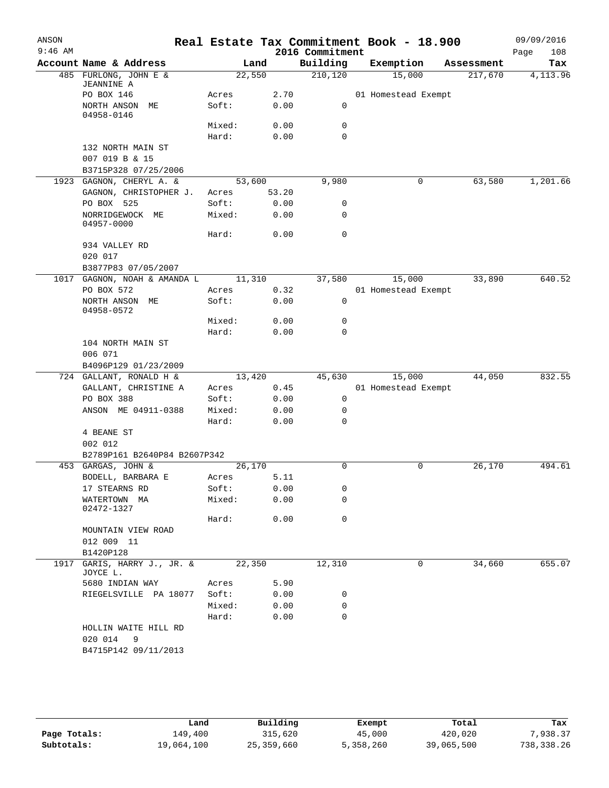| ANSON<br>$9:46$ AM |                                    |                 |              | 2016 Commitment | Real Estate Tax Commitment Book - 18.900 |            | 09/09/2016<br>108<br>Page |
|--------------------|------------------------------------|-----------------|--------------|-----------------|------------------------------------------|------------|---------------------------|
|                    | Account Name & Address             | Land            |              | Building        | Exemption                                | Assessment | Tax                       |
|                    | 485 FURLONG, JOHN E &              | 22,550          |              | 210, 120        | 15,000                                   | 217,670    | 4, 113.96                 |
|                    | <b>JEANNINE A</b>                  |                 |              |                 |                                          |            |                           |
|                    | PO BOX 146                         | Acres           | 2.70         | 0               | 01 Homestead Exempt                      |            |                           |
|                    | NORTH ANSON ME<br>04958-0146       | Soft:           | 0.00         |                 |                                          |            |                           |
|                    |                                    | Mixed:          | 0.00         | 0               |                                          |            |                           |
|                    |                                    | Hard:           | 0.00         | 0               |                                          |            |                           |
|                    | 132 NORTH MAIN ST                  |                 |              |                 |                                          |            |                           |
|                    | 007 019 B & 15                     |                 |              |                 |                                          |            |                           |
|                    | B3715P328 07/25/2006               |                 |              |                 |                                          |            |                           |
|                    | 1923 GAGNON, CHERYL A. &           | 53,600          |              | 9,980           | 0                                        | 63,580     | 1,201.66                  |
|                    | GAGNON, CHRISTOPHER J.             | Acres           | 53.20        |                 |                                          |            |                           |
|                    | PO BOX 525                         | Soft:           | 0.00         | 0               |                                          |            |                           |
|                    | NORRIDGEWOCK ME<br>04957-0000      | Mixed:          | 0.00         | 0               |                                          |            |                           |
|                    |                                    | Hard:           | 0.00         | $\mathbf 0$     |                                          |            |                           |
|                    | 934 VALLEY RD                      |                 |              |                 |                                          |            |                           |
|                    | 020 017                            |                 |              |                 |                                          |            |                           |
|                    | B3877P83 07/05/2007                |                 |              |                 |                                          |            |                           |
|                    | 1017 GAGNON, NOAH & AMANDA L       | 11,310          |              | 37,580          | 15,000                                   | 33,890     | 640.52                    |
|                    | PO BOX 572                         | Acres           | 0.32         |                 | 01 Homestead Exempt                      |            |                           |
|                    | NORTH ANSON ME<br>04958-0572       | Soft:           | 0.00         | 0               |                                          |            |                           |
|                    |                                    | Mixed:          | 0.00         | 0               |                                          |            |                           |
|                    |                                    | Hard:           | 0.00         | 0               |                                          |            |                           |
|                    | 104 NORTH MAIN ST                  |                 |              |                 |                                          |            |                           |
|                    | 006 071                            |                 |              |                 |                                          |            |                           |
|                    | B4096P129 01/23/2009               |                 |              |                 |                                          |            |                           |
|                    | 724 GALLANT, RONALD H &            | 13,420          |              | 45,630          | 15,000                                   | 44,050     | 832.55                    |
|                    | GALLANT, CHRISTINE A<br>PO BOX 388 | Acres<br>Soft:  | 0.45<br>0.00 | 0               | 01 Homestead Exempt                      |            |                           |
|                    | ANSON ME 04911-0388                | Mixed:          | 0.00         | 0               |                                          |            |                           |
|                    |                                    | Hard:           | 0.00         | $\Omega$        |                                          |            |                           |
|                    | 4 BEANE ST                         |                 |              |                 |                                          |            |                           |
|                    | 002 012                            |                 |              |                 |                                          |            |                           |
|                    | B2789P161 B2640P84 B2607P342       |                 |              |                 |                                          |            |                           |
|                    | 453 GARGAS, JOHN &                 | 26,170          |              | 0               | 0                                        | 26,170     | 494.61                    |
|                    | BODELL, BARBARA E                  | Acres           | 5.11         |                 |                                          |            |                           |
|                    | 17 STEARNS RD                      | Soft:           | 0.00         | 0               |                                          |            |                           |
|                    | WATERTOWN MA<br>02472-1327         | Mixed:          | 0.00         | 0               |                                          |            |                           |
|                    |                                    | Hard:           | 0.00         | 0               |                                          |            |                           |
|                    | MOUNTAIN VIEW ROAD                 |                 |              |                 |                                          |            |                           |
|                    | 012 009 11                         |                 |              |                 |                                          |            |                           |
|                    | B1420P128                          |                 |              |                 |                                          |            |                           |
| 1917               | GARIS, HARRY J., JR. &<br>JOYCE L. | 22,350          |              | 12,310          | 0                                        | 34,660     | 655.07                    |
|                    | 5680 INDIAN WAY                    | Acres           | 5.90         |                 |                                          |            |                           |
|                    | RIEGELSVILLE PA 18077              | Soft:           | 0.00         | 0               |                                          |            |                           |
|                    |                                    | Mixed:<br>Hard: | 0.00<br>0.00 | 0<br>0          |                                          |            |                           |
|                    | HOLLIN WAITE HILL RD               |                 |              |                 |                                          |            |                           |
|                    | 020 014<br>9                       |                 |              |                 |                                          |            |                           |
|                    | B4715P142 09/11/2013               |                 |              |                 |                                          |            |                           |

|              | Land       | Building   | Exempt    | Total      | Tax        |
|--------------|------------|------------|-----------|------------|------------|
| Page Totals: | 149,400    | 315,620    | 45,000    | 420,020    | .938.37    |
| Subtotals:   | 19,064,100 | 25,359,660 | 5,358,260 | 39,065,500 | 738,338.26 |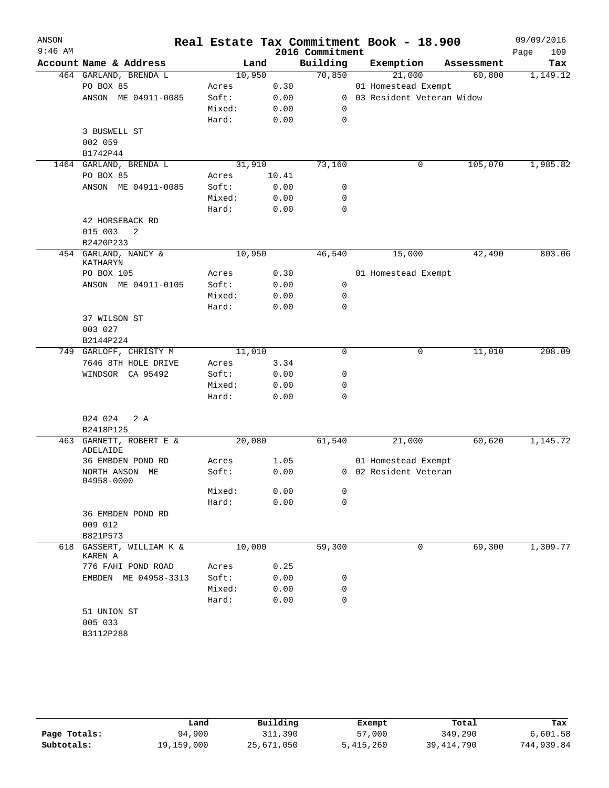| ANSON     |                                  |        |        |                 | Real Estate Tax Commitment Book - 18.900 |            | 09/09/2016  |
|-----------|----------------------------------|--------|--------|-----------------|------------------------------------------|------------|-------------|
| $9:46$ AM |                                  |        |        | 2016 Commitment |                                          |            | Page<br>109 |
|           | Account Name & Address           |        | Land   | Building        | Exemption                                | Assessment | Tax         |
|           | 464 GARLAND, BRENDA L            |        | 10,950 | 70,850          | 21,000                                   | 60,800     | 1,149.12    |
|           | PO BOX 85                        | Acres  | 0.30   |                 | 01 Homestead Exempt                      |            |             |
|           | ANSON ME 04911-0085              | Soft:  | 0.00   |                 | 0 03 Resident Veteran Widow              |            |             |
|           |                                  | Mixed: | 0.00   | 0               |                                          |            |             |
|           |                                  | Hard:  | 0.00   | 0               |                                          |            |             |
|           | 3 BUSWELL ST                     |        |        |                 |                                          |            |             |
|           | 002 059                          |        |        |                 |                                          |            |             |
|           | B1742P44                         |        |        |                 |                                          |            |             |
|           | 1464 GARLAND, BRENDA L           |        | 31,910 | 73,160          | 0                                        | 105,070    | 1,985.82    |
|           | PO BOX 85                        | Acres  | 10.41  |                 |                                          |            |             |
|           | ANSON ME 04911-0085              | Soft:  | 0.00   | 0               |                                          |            |             |
|           |                                  | Mixed: | 0.00   | 0               |                                          |            |             |
|           |                                  | Hard:  | 0.00   | 0               |                                          |            |             |
|           | 42 HORSEBACK RD                  |        |        |                 |                                          |            |             |
|           | 015 003<br>2                     |        |        |                 |                                          |            |             |
|           | B2420P233                        |        |        |                 |                                          |            |             |
|           | 454 GARLAND, NANCY &<br>KATHARYN |        | 10,950 | 46,540          | 15,000                                   | 42,490     | 803.06      |
|           | PO BOX 105                       | Acres  | 0.30   |                 | 01 Homestead Exempt                      |            |             |
|           | ANSON ME 04911-0105              | Soft:  | 0.00   | 0               |                                          |            |             |
|           |                                  | Mixed: | 0.00   | 0               |                                          |            |             |
|           |                                  | Hard:  | 0.00   | $\mathbf 0$     |                                          |            |             |
|           | 37 WILSON ST                     |        |        |                 |                                          |            |             |
|           | 003 027                          |        |        |                 |                                          |            |             |
|           | B2144P224                        |        |        |                 |                                          |            |             |
|           | 749 GARLOFF, CHRISTY M           |        | 11,010 | $\mathbf 0$     | $\mathbf 0$                              | 11,010     | 208.09      |
|           | 7646 8TH HOLE DRIVE              | Acres  | 3.34   |                 |                                          |            |             |
|           | WINDSOR CA 95492                 | Soft:  | 0.00   | 0               |                                          |            |             |
|           |                                  | Mixed: | 0.00   | 0               |                                          |            |             |
|           |                                  | Hard:  | 0.00   | $\mathbf 0$     |                                          |            |             |
|           |                                  |        |        |                 |                                          |            |             |
|           | 024 024<br>2 A                   |        |        |                 |                                          |            |             |
|           | B2418P125                        |        |        |                 |                                          |            |             |
| 463       | GARNETT, ROBERT E &<br>ADELAIDE  |        | 20,080 | 61,540          | 21,000                                   | 60,620     | 1,145.72    |
|           | 36 EMBDEN POND RD                | Acres  | 1.05   |                 | 01 Homestead Exempt                      |            |             |
|           | NORTH ANSON ME                   | Soft:  | 0.00   |                 | 0 02 Resident Veteran                    |            |             |
|           | 04958-0000                       |        |        |                 |                                          |            |             |
|           |                                  | Mixed: | 0.00   | 0               |                                          |            |             |
|           |                                  | Hard:  | 0.00   | 0               |                                          |            |             |
|           | 36 EMBDEN POND RD                |        |        |                 |                                          |            |             |
|           | 009 012                          |        |        |                 |                                          |            |             |
|           | B821P573                         |        |        |                 |                                          |            |             |
| 618       | GASSERT, WILLIAM K &<br>KAREN A  |        | 10,000 | 59,300          | 0                                        | 69,300     | 1,309.77    |
|           | 776 FAHI POND ROAD               | Acres  | 0.25   |                 |                                          |            |             |
|           | EMBDEN ME 04958-3313             | Soft:  | 0.00   | 0               |                                          |            |             |
|           |                                  | Mixed: | 0.00   | 0               |                                          |            |             |
|           |                                  | Hard:  | 0.00   | 0               |                                          |            |             |
|           | 51 UNION ST                      |        |        |                 |                                          |            |             |
|           | 005 033                          |        |        |                 |                                          |            |             |
|           | B3112P288                        |        |        |                 |                                          |            |             |
|           |                                  |        |        |                 |                                          |            |             |

|              | Land       | Building   | Exempt    | Total        | Tax        |
|--------------|------------|------------|-----------|--------------|------------|
| Page Totals: | 94,900     | 311,390    | 57,000    | 349,290      | 6,601.58   |
| Subtotals:   | 19,159,000 | 25,671,050 | 5,415,260 | 39, 414, 790 | 744,939.84 |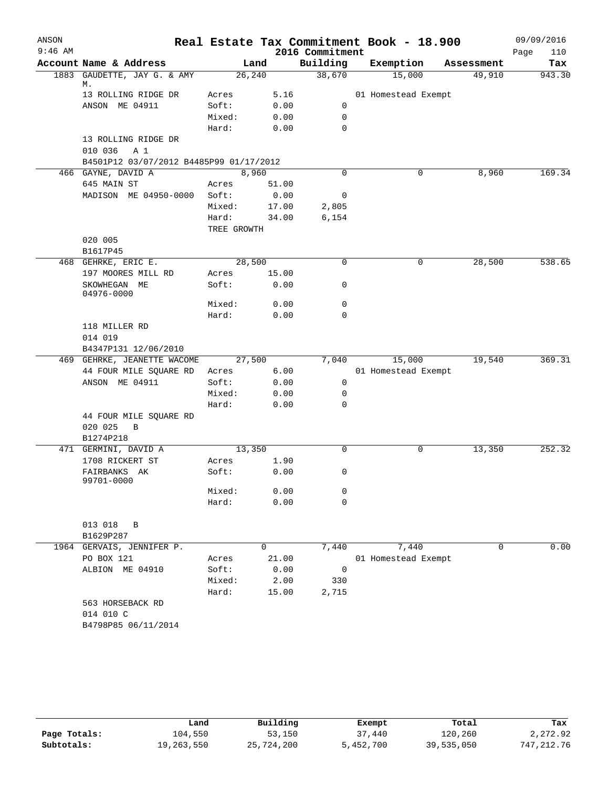| ANSON<br>$9:46$ AM |                                         |             |         | 2016 Commitment | Real Estate Tax Commitment Book - 18.900 |             | 09/09/2016<br>Page<br>110 |
|--------------------|-----------------------------------------|-------------|---------|-----------------|------------------------------------------|-------------|---------------------------|
|                    | Account Name & Address                  |             | Land    | Building        | Exemption                                | Assessment  | Tax                       |
|                    | 1883 GAUDETTE, JAY G. & AMY             |             | 26, 240 | 38,670          | 15,000                                   | 49,910      | 943.30                    |
|                    | М.                                      |             |         |                 |                                          |             |                           |
|                    | 13 ROLLING RIDGE DR                     | Acres       | 5.16    |                 | 01 Homestead Exempt                      |             |                           |
|                    | ANSON ME 04911                          | Soft:       | 0.00    | 0               |                                          |             |                           |
|                    |                                         | Mixed:      | 0.00    | 0               |                                          |             |                           |
|                    |                                         | Hard:       | 0.00    | 0               |                                          |             |                           |
|                    | 13 ROLLING RIDGE DR                     |             |         |                 |                                          |             |                           |
|                    | 010 036<br>A 1                          |             |         |                 |                                          |             |                           |
|                    | B4501P12 03/07/2012 B4485P99 01/17/2012 |             |         |                 |                                          |             |                           |
|                    | 466 GAYNE, DAVID A                      |             | 8,960   | 0               | 0                                        | 8,960       | 169.34                    |
|                    | 645 MAIN ST                             | Acres       | 51.00   |                 |                                          |             |                           |
|                    | MADISON ME 04950-0000                   | Soft:       | 0.00    | 0               |                                          |             |                           |
|                    |                                         | Mixed:      | 17.00   | 2,805           |                                          |             |                           |
|                    |                                         | Hard:       | 34.00   | 6,154           |                                          |             |                           |
|                    |                                         | TREE GROWTH |         |                 |                                          |             |                           |
|                    | 020 005                                 |             |         |                 |                                          |             |                           |
|                    | B1617P45                                |             |         |                 |                                          |             |                           |
|                    | 468 GEHRKE, ERIC E.                     |             | 28,500  | 0               | 0                                        | 28,500      | 538.65                    |
|                    | 197 MOORES MILL RD                      | Acres       | 15.00   |                 |                                          |             |                           |
|                    | SKOWHEGAN ME<br>04976-0000              | Soft:       | 0.00    | 0               |                                          |             |                           |
|                    |                                         | Mixed:      | 0.00    | 0               |                                          |             |                           |
|                    |                                         | Hard:       | 0.00    | 0               |                                          |             |                           |
|                    | 118 MILLER RD                           |             |         |                 |                                          |             |                           |
|                    | 014 019                                 |             |         |                 |                                          |             |                           |
|                    | B4347P131 12/06/2010                    |             |         |                 |                                          |             |                           |
|                    | 469 GEHRKE, JEANETTE WACOME             |             | 27,500  | 7,040           | 15,000                                   | 19,540      | 369.31                    |
|                    | 44 FOUR MILE SQUARE RD                  | Acres       | 6.00    |                 | 01 Homestead Exempt                      |             |                           |
|                    | ANSON ME 04911                          | Soft:       | 0.00    | 0               |                                          |             |                           |
|                    |                                         | Mixed:      | 0.00    | 0               |                                          |             |                           |
|                    |                                         | Hard:       | 0.00    | $\mathbf 0$     |                                          |             |                           |
|                    | 44 FOUR MILE SQUARE RD                  |             |         |                 |                                          |             |                           |
|                    | 020 025<br>B                            |             |         |                 |                                          |             |                           |
|                    | B1274P218                               |             |         |                 |                                          |             |                           |
|                    | 471 GERMINI, DAVID A                    | 13,350      |         | 0               | 0                                        | 13,350      | 252.32                    |
|                    | 1708 RICKERT ST                         | Acres       | 1.90    |                 |                                          |             |                           |
|                    | FAIRBANKS AK                            | Soft:       | 0.00    | 0               |                                          |             |                           |
|                    | 99701-0000                              |             |         |                 |                                          |             |                           |
|                    |                                         | Mixed:      | 0.00    | 0               |                                          |             |                           |
|                    |                                         | Hard:       | 0.00    | 0               |                                          |             |                           |
|                    |                                         |             |         |                 |                                          |             |                           |
|                    | 013 018<br>В                            |             |         |                 |                                          |             |                           |
|                    | B1629P287                               |             |         |                 |                                          |             |                           |
|                    | 1964 GERVAIS, JENNIFER P.               |             | 0       | 7,440           | 7,440                                    | $\mathbf 0$ | 0.00                      |
|                    | PO BOX 121                              | Acres       | 21.00   |                 | 01 Homestead Exempt                      |             |                           |
|                    | ALBION ME 04910                         | Soft:       | 0.00    | 0               |                                          |             |                           |
|                    |                                         | Mixed:      | 2.00    | 330             |                                          |             |                           |
|                    |                                         | Hard:       | 15.00   | 2,715           |                                          |             |                           |
|                    | 563 HORSEBACK RD                        |             |         |                 |                                          |             |                           |
|                    | 014 010 C                               |             |         |                 |                                          |             |                           |
|                    | B4798P85 06/11/2014                     |             |         |                 |                                          |             |                           |
|                    |                                         |             |         |                 |                                          |             |                           |

|              | Land       | Building   | Exempt    | Total      | Tax          |
|--------------|------------|------------|-----------|------------|--------------|
| Page Totals: | 104,550    | 53,150     | 37,440    | 120,260    | 2,272.92     |
| Subtotals:   | 19,263,550 | 25,724,200 | 5,452,700 | 39,535,050 | 747, 212, 76 |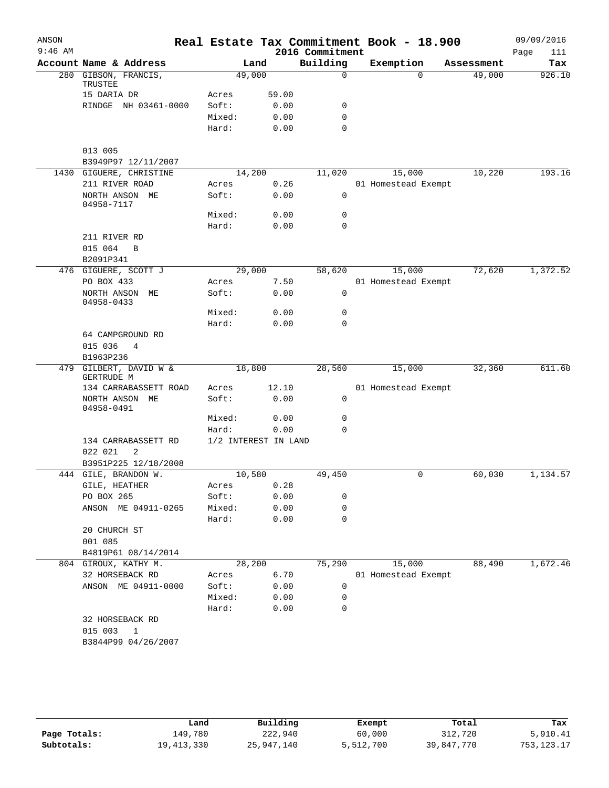| ANSON     |                                      |                      |       |                 | Real Estate Tax Commitment Book - 18.900 |            | 09/09/2016  |
|-----------|--------------------------------------|----------------------|-------|-----------------|------------------------------------------|------------|-------------|
| $9:46$ AM |                                      |                      |       | 2016 Commitment |                                          |            | Page<br>111 |
|           | Account Name & Address               |                      | Land  | Building        | Exemption                                | Assessment | Tax         |
| 280       | GIBSON, FRANCIS,<br>TRUSTEE          | 49,000               |       | $\mathbf 0$     | $\Omega$                                 | 49,000     | 926.10      |
|           | 15 DARIA DR                          | Acres                | 59.00 |                 |                                          |            |             |
|           | RINDGE NH 03461-0000                 | Soft:                | 0.00  | 0               |                                          |            |             |
|           |                                      | Mixed:               | 0.00  | 0               |                                          |            |             |
|           |                                      | Hard:                | 0.00  | $\mathbf 0$     |                                          |            |             |
|           | 013 005                              |                      |       |                 |                                          |            |             |
|           | B3949P97 12/11/2007                  |                      |       |                 |                                          |            |             |
| 1430      | GIGUERE, CHRISTINE                   | 14,200               |       | 11,020          | 15,000                                   | 10,220     | 193.16      |
|           | 211 RIVER ROAD                       | Acres                | 0.26  |                 | 01 Homestead Exempt                      |            |             |
|           | NORTH ANSON ME<br>04958-7117         | Soft:                | 0.00  | $\mathsf{O}$    |                                          |            |             |
|           |                                      | Mixed:               | 0.00  | 0               |                                          |            |             |
|           |                                      | Hard:                | 0.00  | 0               |                                          |            |             |
|           | 211 RIVER RD                         |                      |       |                 |                                          |            |             |
|           | 015 064<br>$\, {\bf B}$<br>B2091P341 |                      |       |                 |                                          |            |             |
| 476       | GIGUERE, SCOTT J                     | 29,000               |       | 58,620          | 15,000                                   | 72,620     | 1,372.52    |
|           | PO BOX 433                           | Acres                | 7.50  |                 | 01 Homestead Exempt                      |            |             |
|           | NORTH ANSON ME<br>04958-0433         | Soft:                | 0.00  | 0               |                                          |            |             |
|           |                                      | Mixed:               | 0.00  | 0               |                                          |            |             |
|           |                                      | Hard:                | 0.00  | $\mathbf 0$     |                                          |            |             |
|           | 64 CAMPGROUND RD                     |                      |       |                 |                                          |            |             |
|           | 015 036<br>4                         |                      |       |                 |                                          |            |             |
|           | B1963P236                            |                      |       |                 |                                          |            |             |
| 479       | GILBERT, DAVID W &                   | 18,800               |       | 28,560          | 15,000                                   | 32,360     | 611.60      |
|           | GERTRUDE M                           |                      |       |                 |                                          |            |             |
|           | 134 CARRABASSETT ROAD                | Acres                | 12.10 |                 | 01 Homestead Exempt                      |            |             |
|           | NORTH ANSON ME<br>04958-0491         | Soft:                | 0.00  | 0               |                                          |            |             |
|           |                                      | Mixed:               | 0.00  | 0               |                                          |            |             |
|           |                                      | Hard:                | 0.00  | 0               |                                          |            |             |
|           | 134 CARRABASSETT RD<br>2<br>022 021  | 1/2 INTEREST IN LAND |       |                 |                                          |            |             |
|           | B3951P225 12/18/2008                 |                      |       |                 |                                          |            |             |
|           | 444 GILE, BRANDON W.                 | 10,580               |       | 49,450          | 0                                        | 60,030     | 1,134.57    |
|           | GILE, HEATHER                        | Acres                | 0.28  |                 |                                          |            |             |
|           | PO BOX 265                           | Soft:                | 0.00  | 0               |                                          |            |             |
|           | ANSON ME 04911-0265                  | Mixed:               | 0.00  | 0               |                                          |            |             |
|           |                                      | Hard:                | 0.00  | $\mathbf 0$     |                                          |            |             |
|           | 20 CHURCH ST                         |                      |       |                 |                                          |            |             |
|           | 001 085                              |                      |       |                 |                                          |            |             |
|           | B4819P61 08/14/2014                  |                      |       |                 |                                          |            |             |
|           | 804 GIROUX, KATHY M.                 | 28,200               |       | 75,290          | 15,000                                   | 88,490     | 1,672.46    |
|           | 32 HORSEBACK RD                      | Acres                | 6.70  |                 | 01 Homestead Exempt                      |            |             |
|           | ANSON ME 04911-0000                  | Soft:                | 0.00  | 0               |                                          |            |             |
|           |                                      | Mixed:               | 0.00  | 0               |                                          |            |             |
|           |                                      | Hard:                | 0.00  | 0               |                                          |            |             |
|           | 32 HORSEBACK RD                      |                      |       |                 |                                          |            |             |
|           | 015 003<br>1                         |                      |       |                 |                                          |            |             |
|           | B3844P99 04/26/2007                  |                      |       |                 |                                          |            |             |
|           |                                      |                      |       |                 |                                          |            |             |

|              | Land       | Building   | Exempt    | Total      | Tax          |
|--------------|------------|------------|-----------|------------|--------------|
| Page Totals: | 149.780    | 222,940    | 60,000    | 312,720    | 5,910.41     |
| Subtotals:   | 19,413,330 | 25,947,140 | 5,512,700 | 39,847,770 | 753, 123. 17 |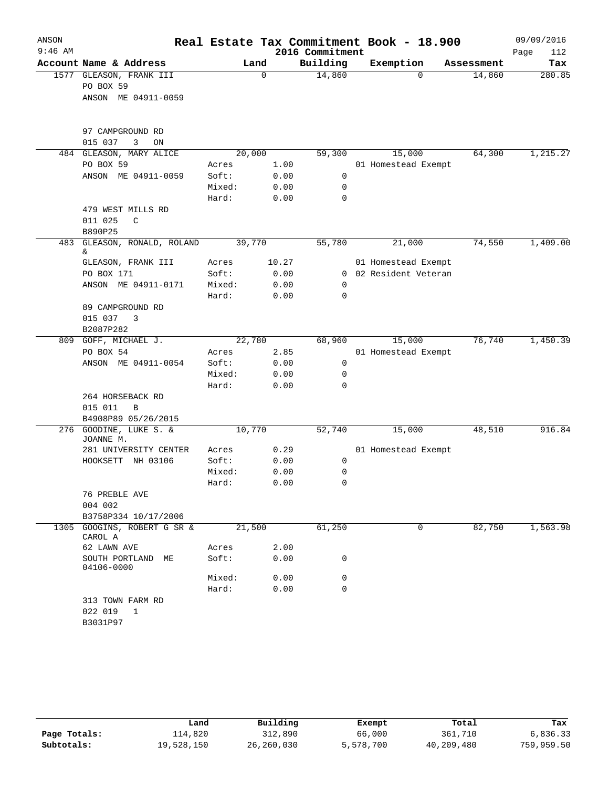| ANSON     |                                    |        |             |                 | Real Estate Tax Commitment Book - 18.900 |            | 09/09/2016  |
|-----------|------------------------------------|--------|-------------|-----------------|------------------------------------------|------------|-------------|
| $9:46$ AM |                                    |        |             | 2016 Commitment |                                          |            | 112<br>Page |
|           | Account Name & Address             |        | Land        | Building        | Exemption                                | Assessment | Tax         |
|           | 1577 GLEASON, FRANK III            |        | $\mathbf 0$ | 14,860          | $\Omega$                                 | 14,860     | 280.85      |
|           | PO BOX 59                          |        |             |                 |                                          |            |             |
|           | ANSON ME 04911-0059                |        |             |                 |                                          |            |             |
|           | 97 CAMPGROUND RD                   |        |             |                 |                                          |            |             |
|           | 015 037<br>3<br>ON                 |        |             |                 |                                          |            |             |
| 484       | GLEASON, MARY ALICE                |        | 20,000      | 59,300          | 15,000                                   | 64,300     | 1,215.27    |
|           | PO BOX 59                          | Acres  | 1.00        |                 | 01 Homestead Exempt                      |            |             |
|           | ANSON ME 04911-0059                | Soft:  | 0.00        | $\mathbf 0$     |                                          |            |             |
|           |                                    | Mixed: | 0.00        | 0               |                                          |            |             |
|           |                                    | Hard:  | 0.00        | $\Omega$        |                                          |            |             |
|           | 479 WEST MILLS RD                  |        |             |                 |                                          |            |             |
|           | 011 025<br>C                       |        |             |                 |                                          |            |             |
|           | B890P25                            |        |             |                 |                                          |            |             |
| 483       | GLEASON, RONALD, ROLAND<br>&       |        | 39,770      | 55,780          | 21,000                                   | 74,550     | 1,409.00    |
|           | GLEASON, FRANK III                 | Acres  | 10.27       |                 | 01 Homestead Exempt                      |            |             |
|           | PO BOX 171                         | Soft:  | 0.00        | $\Omega$        | 02 Resident Veteran                      |            |             |
|           | ANSON ME 04911-0171                | Mixed: | 0.00        | $\mathbf 0$     |                                          |            |             |
|           |                                    | Hard:  | 0.00        | $\mathbf 0$     |                                          |            |             |
|           | 89 CAMPGROUND RD                   |        |             |                 |                                          |            |             |
|           | 015 037<br>3                       |        |             |                 |                                          |            |             |
|           | B2087P282                          |        |             |                 |                                          |            |             |
|           | 809 GOFF, MICHAEL J.               |        | 22,780      | 68,960          | 15,000                                   | 76,740     | 1,450.39    |
|           | PO BOX 54                          | Acres  | 2.85        |                 | 01 Homestead Exempt                      |            |             |
|           | ANSON ME 04911-0054                | Soft:  | 0.00        | 0               |                                          |            |             |
|           |                                    | Mixed: | 0.00        | $\mathbf 0$     |                                          |            |             |
|           |                                    | Hard:  | 0.00        | $\Omega$        |                                          |            |             |
|           | 264 HORSEBACK RD                   |        |             |                 |                                          |            |             |
|           | 015 011<br>B                       |        |             |                 |                                          |            |             |
|           | B4908P89 05/26/2015                |        |             |                 |                                          |            |             |
| 276       | GOODINE, LUKE S. &<br>JOANNE M.    |        | 10,770      | 52,740          | 15,000                                   | 48,510     | 916.84      |
|           | 281 UNIVERSITY CENTER              | Acres  | 0.29        |                 | 01 Homestead Exempt                      |            |             |
|           | HOOKSETT NH 03106                  | Soft:  | 0.00        | 0               |                                          |            |             |
|           |                                    | Mixed: | 0.00        | 0               |                                          |            |             |
|           |                                    | Hard:  | 0.00        | 0               |                                          |            |             |
|           | 76 PREBLE AVE                      |        |             |                 |                                          |            |             |
|           | 004 002                            |        |             |                 |                                          |            |             |
|           | B3758P334 10/17/2006               |        |             |                 |                                          |            |             |
| 1305      | GOOGINS, ROBERT G SR &<br>CAROL A  |        | 21,500      | 61,250          | 0                                        | 82,750     | 1,563.98    |
|           | 62 LAWN AVE                        | Acres  | 2.00        |                 |                                          |            |             |
|           | SOUTH PORTLAND<br>МE<br>04106-0000 | Soft:  | 0.00        | 0               |                                          |            |             |
|           |                                    | Mixed: | 0.00        | 0               |                                          |            |             |
|           |                                    | Hard:  | 0.00        | $\Omega$        |                                          |            |             |
|           | 313 TOWN FARM RD                   |        |             |                 |                                          |            |             |
|           | 022 019<br>1                       |        |             |                 |                                          |            |             |
|           | B3031P97                           |        |             |                 |                                          |            |             |

|              | Land       | Building     | Exempt    | Total      | Tax        |
|--------------|------------|--------------|-----------|------------|------------|
| Page Totals: | 114,820    | 312,890      | 66,000    | 361,710    | 6,836.33   |
| Subtotals:   | 19,528,150 | 26, 260, 030 | 5,578,700 | 40,209,480 | 759,959.50 |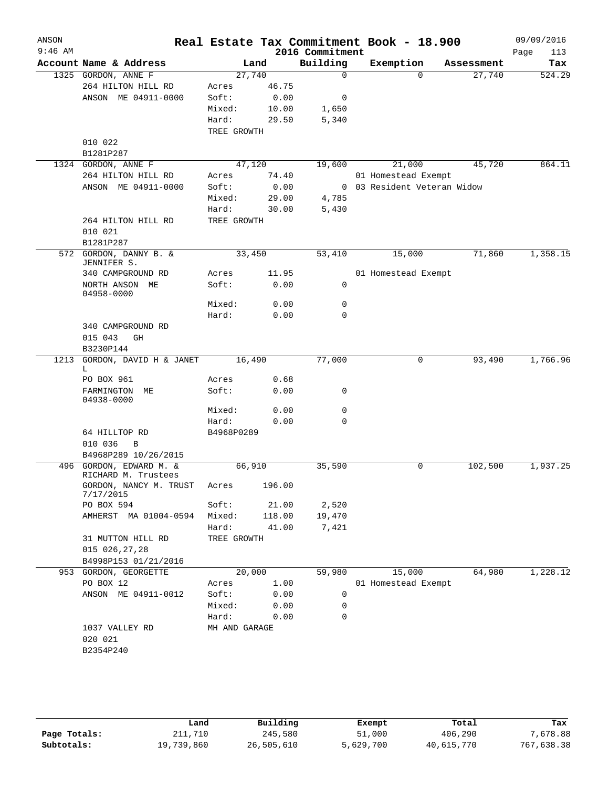| ANSON<br>$9:46$ AM |                                               |                 |                 | Real Estate Tax Commitment Book - 18.900<br>2016 Commitment |                     |                           | 09/09/2016<br>Page<br>113 |
|--------------------|-----------------------------------------------|-----------------|-----------------|-------------------------------------------------------------|---------------------|---------------------------|---------------------------|
|                    | Account Name & Address                        | Land            |                 | Building                                                    | Exemption           | Assessment                | Tax                       |
|                    | 1325 GORDON, ANNE F                           | 27,740          |                 | $\mathbf 0$                                                 | $\Omega$            | 27,740                    | 524.29                    |
|                    | 264 HILTON HILL RD                            | Acres           | 46.75           |                                                             |                     |                           |                           |
|                    | ANSON ME 04911-0000                           | Soft:           | 0.00            | 0                                                           |                     |                           |                           |
|                    |                                               | Mixed:          | 10.00           | 1,650                                                       |                     |                           |                           |
|                    |                                               | Hard:           | 29.50           | 5,340                                                       |                     |                           |                           |
|                    |                                               | TREE GROWTH     |                 |                                                             |                     |                           |                           |
|                    | 010 022                                       |                 |                 |                                                             |                     |                           |                           |
|                    | B1281P287                                     |                 |                 |                                                             |                     |                           |                           |
|                    | 1324 GORDON, ANNE F                           | 47,120          |                 | 19,600                                                      | 21,000              | 45,720                    | 864.11                    |
|                    | 264 HILTON HILL RD                            | Acres           | 74.40           |                                                             | 01 Homestead Exempt |                           |                           |
|                    | ANSON ME 04911-0000                           | Soft:           | 0.00            | $\mathbf{0}$                                                |                     | 03 Resident Veteran Widow |                           |
|                    |                                               | Mixed:<br>Hard: | 29.00<br>30.00  | 4,785<br>5,430                                              |                     |                           |                           |
|                    | 264 HILTON HILL RD                            | TREE GROWTH     |                 |                                                             |                     |                           |                           |
|                    | 010 021                                       |                 |                 |                                                             |                     |                           |                           |
|                    | B1281P287                                     |                 |                 |                                                             |                     |                           |                           |
| 572                | GORDON, DANNY B. &                            | 33,450          |                 | 53,410                                                      | 15,000              | 71,860                    | 1,358.15                  |
|                    | JENNIFER S.                                   |                 |                 |                                                             |                     |                           |                           |
|                    | 340 CAMPGROUND RD                             | Acres           | 11.95           |                                                             | 01 Homestead Exempt |                           |                           |
|                    | NORTH ANSON ME<br>04958-0000                  | Soft:           | 0.00            | 0                                                           |                     |                           |                           |
|                    |                                               | Mixed:          | 0.00            | 0                                                           |                     |                           |                           |
|                    |                                               | Hard:           | 0.00            | $\Omega$                                                    |                     |                           |                           |
|                    | 340 CAMPGROUND RD                             |                 |                 |                                                             |                     |                           |                           |
|                    | 015 043<br>GH                                 |                 |                 |                                                             |                     |                           |                           |
|                    | B3230P144                                     |                 |                 |                                                             |                     |                           |                           |
| 1213               | GORDON, DAVID H & JANET<br>L                  | 16,490          |                 | 77,000                                                      | 0                   | 93,490                    | 1,766.96                  |
|                    | PO BOX 961                                    | Acres           | 0.68            |                                                             |                     |                           |                           |
|                    | FARMINGTON ME<br>04938-0000                   | Soft:           | 0.00            | 0                                                           |                     |                           |                           |
|                    |                                               | Mixed:          | 0.00            | 0                                                           |                     |                           |                           |
|                    |                                               | Hard:           | 0.00            | $\mathbf 0$                                                 |                     |                           |                           |
|                    | 64 HILLTOP RD                                 | B4968P0289      |                 |                                                             |                     |                           |                           |
|                    | 010 036<br>B                                  |                 |                 |                                                             |                     |                           |                           |
|                    | B4968P289 10/26/2015                          |                 |                 |                                                             |                     |                           |                           |
|                    | 496 GORDON, EDWARD M. &                       | 66,910          |                 | 35,590                                                      | $\mathsf{O}$        | 102,500                   | 1,937.25                  |
|                    | RICHARD M. Trustees<br>GORDON, NANCY M. TRUST | Acres           | 196.00          |                                                             |                     |                           |                           |
|                    | 7/17/2015                                     |                 |                 |                                                             |                     |                           |                           |
|                    | PO BOX 594<br>AMHERST MA 01004-0594           | Soft:<br>Mixed: | 21.00<br>118.00 | 2,520<br>19,470                                             |                     |                           |                           |
|                    |                                               | Hard:           | 41.00           | 7,421                                                       |                     |                           |                           |
|                    | 31 MUTTON HILL RD                             | TREE GROWTH     |                 |                                                             |                     |                           |                           |
|                    | 015 026,27,28                                 |                 |                 |                                                             |                     |                           |                           |
|                    | B4998P153 01/21/2016                          |                 |                 |                                                             |                     |                           |                           |
|                    | 953 GORDON, GEORGETTE                         | 20,000          |                 | 59,980                                                      | 15,000              | 64,980                    | 1,228.12                  |
|                    | PO BOX 12                                     | Acres           | 1.00            |                                                             | 01 Homestead Exempt |                           |                           |
|                    | ANSON ME 04911-0012                           | Soft:           | 0.00            | 0                                                           |                     |                           |                           |
|                    |                                               | Mixed:          | 0.00            | 0                                                           |                     |                           |                           |
|                    |                                               | Hard:           | 0.00            | 0                                                           |                     |                           |                           |
|                    | 1037 VALLEY RD                                | MH AND GARAGE   |                 |                                                             |                     |                           |                           |
|                    | 020 021                                       |                 |                 |                                                             |                     |                           |                           |
|                    |                                               |                 |                 |                                                             |                     |                           |                           |

|              | Land       | Building   | Exempt    | Total      | Tax        |
|--------------|------------|------------|-----------|------------|------------|
| Page Totals: | 211,710    | 245,580    | 51,000    | 406,290    | 7,678.88   |
| Subtotals:   | 19,739,860 | 26,505,610 | 5,629,700 | 40,615,770 | 767,638.38 |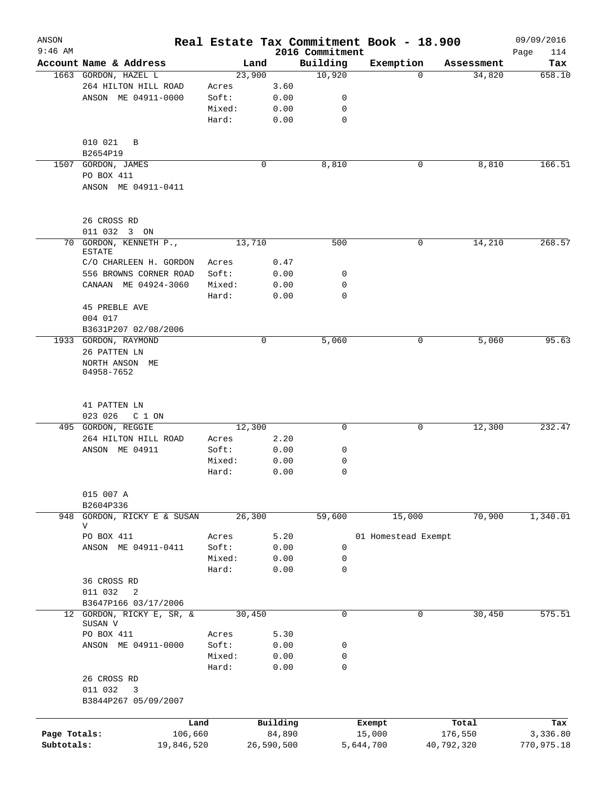| ANSON<br>$9:46$ AM |                                      |        |             | 2016 Commitment | Real Estate Tax Commitment Book - 18.900 |            | 09/09/2016<br>Page<br>114 |
|--------------------|--------------------------------------|--------|-------------|-----------------|------------------------------------------|------------|---------------------------|
|                    | Account Name & Address               | Land   |             | Building        | Exemption                                | Assessment | Tax                       |
|                    | 1663 GORDON, HAZEL L                 | 23,900 |             | 10,920          | $\Omega$                                 | 34,820     | 658.10                    |
|                    | 264 HILTON HILL ROAD                 | Acres  | 3.60        |                 |                                          |            |                           |
|                    | ANSON ME 04911-0000                  | Soft:  | 0.00        | 0               |                                          |            |                           |
|                    |                                      | Mixed: | 0.00        | 0               |                                          |            |                           |
|                    |                                      | Hard:  | 0.00        | 0               |                                          |            |                           |
|                    | 010 021<br>B                         |        |             |                 |                                          |            |                           |
|                    | B2654P19                             |        |             |                 |                                          |            |                           |
| 1507               | GORDON, JAMES                        |        | 0           | 8,810           | 0                                        | 8,810      | 166.51                    |
|                    | PO BOX 411<br>ANSON ME 04911-0411    |        |             |                 |                                          |            |                           |
|                    |                                      |        |             |                 |                                          |            |                           |
|                    | 26 CROSS RD                          |        |             |                 |                                          |            |                           |
|                    | 011 032 3 ON                         |        |             |                 |                                          | 14,210     |                           |
| 70                 | GORDON, KENNETH P.,<br><b>ESTATE</b> | 13,710 |             | 500             | 0                                        |            | 268.57                    |
|                    | C/O CHARLEEN H. GORDON               | Acres  | 0.47        |                 |                                          |            |                           |
|                    | 556 BROWNS CORNER ROAD               | Soft:  | 0.00        | 0               |                                          |            |                           |
|                    | CANAAN ME 04924-3060                 | Mixed: | 0.00        | 0               |                                          |            |                           |
|                    |                                      | Hard:  | 0.00        | $\mathbf 0$     |                                          |            |                           |
|                    | <b>45 PREBLE AVE</b>                 |        |             |                 |                                          |            |                           |
|                    | 004 017                              |        |             |                 |                                          |            |                           |
|                    | B3631P207 02/08/2006                 |        |             |                 |                                          |            |                           |
|                    | 1933 GORDON, RAYMOND                 |        | $\mathbf 0$ | 5,060           | $\mathbf 0$                              | 5,060      | 95.63                     |
|                    | 26 PATTEN LN                         |        |             |                 |                                          |            |                           |
|                    | NORTH ANSON ME<br>04958-7652         |        |             |                 |                                          |            |                           |
|                    | 41 PATTEN LN                         |        |             |                 |                                          |            |                           |
|                    | 023 026<br>C 1 ON                    |        |             |                 |                                          |            |                           |
|                    | 495 GORDON, REGGIE                   | 12,300 |             | $\mathbf 0$     | 0                                        | 12,300     | 232.47                    |
|                    | 264 HILTON HILL ROAD                 | Acres  | 2.20        |                 |                                          |            |                           |
|                    | ANSON ME 04911                       | Soft:  | 0.00        | 0               |                                          |            |                           |
|                    |                                      | Mixed: | 0.00        | 0               |                                          |            |                           |
|                    |                                      | Hard:  | 0.00        | 0               |                                          |            |                           |
|                    | 015 007 A<br>B2604P336               |        |             |                 |                                          |            |                           |
| 948                | GORDON, RICKY E & SUSAN              | 26,300 |             | 59,600          | 15,000                                   | 70,900     | 1,340.01                  |
|                    | V                                    |        |             |                 |                                          |            |                           |
|                    | PO BOX 411                           | Acres  | 5.20        |                 | 01 Homestead Exempt                      |            |                           |
|                    | ANSON ME 04911-0411                  | Soft:  | 0.00        | 0               |                                          |            |                           |
|                    |                                      | Mixed: | 0.00        | 0               |                                          |            |                           |
|                    |                                      | Hard:  | 0.00        | 0               |                                          |            |                           |
|                    | 36 CROSS RD                          |        |             |                 |                                          |            |                           |
|                    | 011 032<br>2                         |        |             |                 |                                          |            |                           |
|                    | B3647P166 03/17/2006                 |        |             |                 |                                          |            |                           |
|                    | 12 GORDON, RICKY E, SR, &<br>SUSAN V | 30,450 |             | 0               | 0                                        | 30,450     | 575.51                    |
|                    | PO BOX 411                           | Acres  | 5.30        |                 |                                          |            |                           |
|                    | ANSON ME 04911-0000                  | Soft:  | 0.00        | 0               |                                          |            |                           |
|                    |                                      | Mixed: | 0.00        | 0               |                                          |            |                           |
|                    |                                      | Hard:  | 0.00        | 0               |                                          |            |                           |
|                    | 26 CROSS RD                          |        |             |                 |                                          |            |                           |
|                    | 011 032<br>3                         |        |             |                 |                                          |            |                           |
|                    | B3844P267 05/09/2007                 |        |             |                 |                                          |            |                           |
|                    | Land                                 |        | Building    |                 | Exempt                                   | Total      | Tax                       |
| Page Totals:       | 106,660                              |        | 84,890      |                 | 15,000                                   | 176,550    | 3,336.80                  |
| Subtotals:         | 19,846,520                           |        | 26,590,500  |                 | 5,644,700                                | 40,792,320 | 770,975.18                |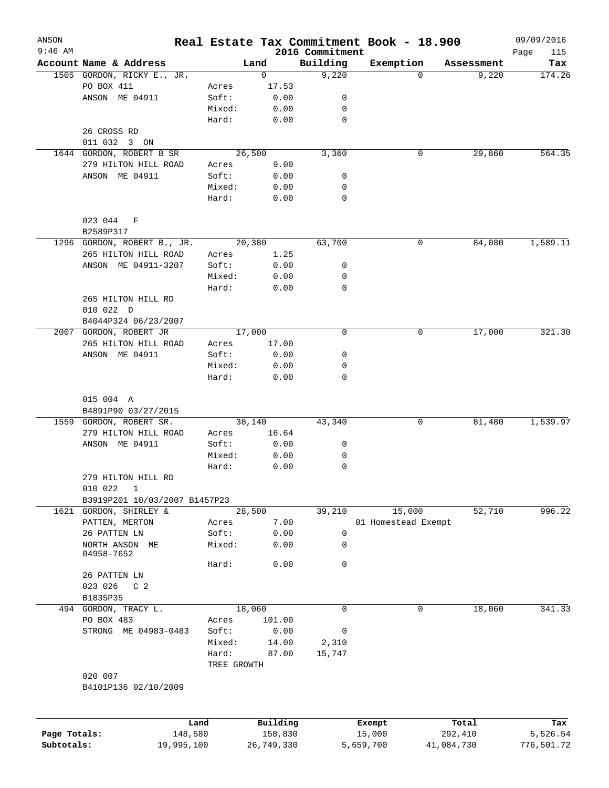| ANSON        |                                               |                |                |                             | Real Estate Tax Commitment Book - 18.900 |            | 09/09/2016         |
|--------------|-----------------------------------------------|----------------|----------------|-----------------------------|------------------------------------------|------------|--------------------|
| $9:46$ AM    | Account Name & Address                        |                | Land           | 2016 Commitment<br>Building | Exemption                                | Assessment | Page<br>115<br>Tax |
|              | 1505 GORDON, RICKY E., JR.                    |                | $\mathbf 0$    | 9,220                       | $\Omega$                                 | 9,220      | 174.26             |
|              | PO BOX 411                                    | Acres          | 17.53          |                             |                                          |            |                    |
|              | ANSON ME 04911                                | Soft:          | 0.00           | 0                           |                                          |            |                    |
|              |                                               | Mixed:         | 0.00           | 0                           |                                          |            |                    |
|              |                                               | Hard:          | 0.00           | $\mathbf 0$                 |                                          |            |                    |
|              | 26 CROSS RD                                   |                |                |                             |                                          |            |                    |
|              | 011 032 3 ON                                  |                |                |                             |                                          |            |                    |
|              | 1644 GORDON, ROBERT B SR                      |                | 26,500         | 3,360                       | 0                                        | 29,860     | 564.35             |
|              | 279 HILTON HILL ROAD                          | Acres          | 9.00           |                             |                                          |            |                    |
|              | ANSON ME 04911                                | Soft:          | 0.00           | 0                           |                                          |            |                    |
|              |                                               | Mixed:         | 0.00           | 0                           |                                          |            |                    |
|              |                                               | Hard:          | 0.00           | $\mathbf 0$                 |                                          |            |                    |
|              | 023 044 F                                     |                |                |                             |                                          |            |                    |
|              | B2589P317                                     |                |                |                             |                                          |            |                    |
|              | 1296 GORDON, ROBERT B., JR.                   |                | 20,380         | 63,700                      | 0                                        | 84,080     | 1,589.11           |
|              | 265 HILTON HILL ROAD                          | Acres          | 1.25           |                             |                                          |            |                    |
|              | ANSON ME 04911-3207                           | Soft:          | 0.00           | 0                           |                                          |            |                    |
|              |                                               | Mixed:         | 0.00           | 0                           |                                          |            |                    |
|              |                                               | Hard:          | 0.00           | $\mathbf 0$                 |                                          |            |                    |
|              | 265 HILTON HILL RD                            |                |                |                             |                                          |            |                    |
|              | 010 022 D                                     |                |                |                             |                                          |            |                    |
|              | B4044P324 06/23/2007                          |                |                |                             |                                          |            |                    |
|              | 2007 GORDON, ROBERT JR                        |                | 17,000         | $\mathbf 0$                 | 0                                        | 17,000     | 321.30             |
|              | 265 HILTON HILL ROAD                          | Acres          | 17.00          |                             |                                          |            |                    |
|              | ANSON ME 04911                                | Soft:          | 0.00           | 0                           |                                          |            |                    |
|              |                                               | Mixed:         | 0.00           | 0                           |                                          |            |                    |
|              |                                               | Hard:          | 0.00           | $\mathbf 0$                 |                                          |            |                    |
|              | 015 004 A                                     |                |                |                             |                                          |            |                    |
|              | B4891P90 03/27/2015                           |                |                |                             |                                          |            |                    |
|              | 1559 GORDON, ROBERT SR.                       |                | 38,140         | 43,340                      | 0                                        | 81,480     | 1,539.97           |
|              | 279 HILTON HILL ROAD                          | Acres          | 16.64          |                             |                                          |            |                    |
|              | ANSON ME 04911                                | Soft:          | 0.00           | 0                           |                                          |            |                    |
|              |                                               | Mixed:         | 0.00           | 0                           |                                          |            |                    |
|              |                                               | Hard:          | 0.00           | 0                           |                                          |            |                    |
|              | 279 HILTON HILL RD<br>010 022<br>$\mathbf{1}$ |                |                |                             |                                          |            |                    |
|              | B3919P201 10/03/2007 B1457P23                 |                |                |                             |                                          |            |                    |
|              |                                               |                |                | 39,210                      | 15,000                                   | 52,710     | 996.22             |
|              | 1621 GORDON, SHIRLEY &                        |                | 28,500<br>7.00 |                             |                                          |            |                    |
|              | PATTEN, MERTON<br>26 PATTEN LN                | Acres<br>Soft: | 0.00           |                             | 01 Homestead Exempt                      |            |                    |
|              | NORTH ANSON ME                                | Mixed:         | 0.00           | $\mathsf 0$<br>0            |                                          |            |                    |
|              | 04958-7652                                    | Hard:          | 0.00           | $\mathsf{O}$                |                                          |            |                    |
|              | 26 PATTEN LN                                  |                |                |                             |                                          |            |                    |
|              | 023 026<br>C <sub>2</sub>                     |                |                |                             |                                          |            |                    |
|              | B1835P35                                      |                |                |                             |                                          |            |                    |
|              | 494 GORDON, TRACY L.                          |                | 18,060         | $\mathbf 0$                 | 0                                        | 18,060     | 341.33             |
|              | PO BOX 483                                    | Acres          | 101.00         |                             |                                          |            |                    |
|              | STRONG ME 04983-0483                          | Soft:          | 0.00           | 0                           |                                          |            |                    |
|              |                                               | Mixed:         | 14.00          | 2,310                       |                                          |            |                    |
|              |                                               | Hard:          | 87.00          | 15,747                      |                                          |            |                    |
|              |                                               | TREE GROWTH    |                |                             |                                          |            |                    |
|              | 020 007<br>B4101P136 02/10/2009               |                |                |                             |                                          |            |                    |
|              |                                               | Land           | Building       |                             | Exempt                                   | Total      | Tax                |
| Page Totals: |                                               | 148,580        | 158,830        |                             | 15,000                                   | 292,410    | 5,526.54           |
| Subtotals:   | 19,995,100                                    |                | 26,749,330     |                             | 5,659,700                                | 41,084,730 | 776,501.72         |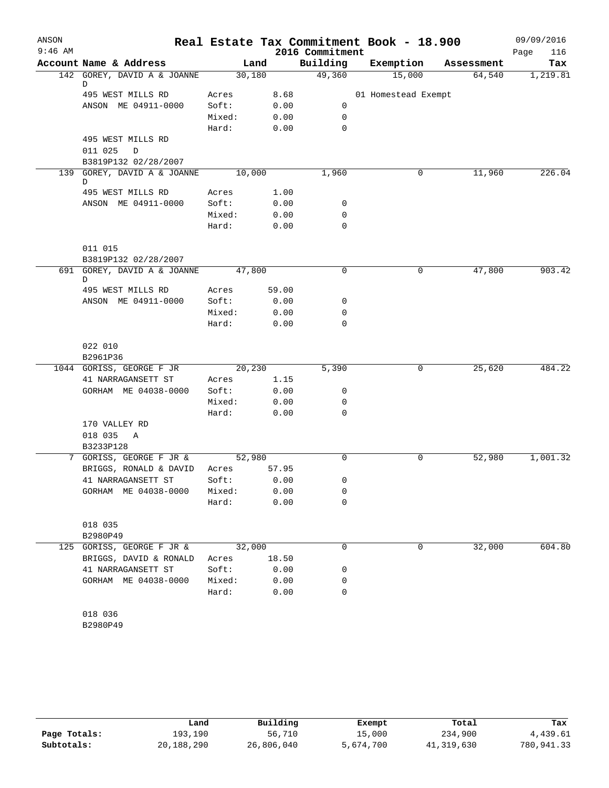| ANSON     |                                  |        |       |                 | Real Estate Tax Commitment Book - 18.900 |            | 09/09/2016  |
|-----------|----------------------------------|--------|-------|-----------------|------------------------------------------|------------|-------------|
| $9:46$ AM |                                  |        |       | 2016 Commitment |                                          |            | Page<br>116 |
|           | Account Name & Address           | Land   |       | Building        | Exemption                                | Assessment | Tax         |
|           | 142 GOREY, DAVID A & JOANNE<br>D | 30,180 |       | 49,360          | 15,000                                   | 64,540     | 1,219.81    |
|           | 495 WEST MILLS RD                | Acres  | 8.68  |                 | 01 Homestead Exempt                      |            |             |
|           | ANSON ME 04911-0000              | Soft:  | 0.00  | 0               |                                          |            |             |
|           |                                  | Mixed: | 0.00  | $\mathbf 0$     |                                          |            |             |
|           |                                  | Hard:  | 0.00  | $\mathbf 0$     |                                          |            |             |
|           | 495 WEST MILLS RD                |        |       |                 |                                          |            |             |
|           | 011 025<br>$\mathbb D$           |        |       |                 |                                          |            |             |
|           | B3819P132 02/28/2007             |        |       |                 |                                          |            |             |
|           | 139 GOREY, DAVID A & JOANNE      | 10,000 |       | 1,960           | 0                                        | 11,960     | 226.04      |
|           | D                                |        |       |                 |                                          |            |             |
|           | 495 WEST MILLS RD                | Acres  | 1.00  |                 |                                          |            |             |
|           | ANSON ME 04911-0000              | Soft:  | 0.00  | 0               |                                          |            |             |
|           |                                  | Mixed: | 0.00  | $\mathbf 0$     |                                          |            |             |
|           |                                  | Hard:  | 0.00  | $\mathbf 0$     |                                          |            |             |
|           | 011 015                          |        |       |                 |                                          |            |             |
|           | B3819P132 02/28/2007             |        |       |                 |                                          |            |             |
|           | 691 GOREY, DAVID A & JOANNE      | 47,800 |       | $\mathbf 0$     | 0                                        | 47,800     | 903.42      |
|           | D                                |        |       |                 |                                          |            |             |
|           | 495 WEST MILLS RD                | Acres  | 59.00 |                 |                                          |            |             |
|           | ANSON ME 04911-0000              | Soft:  | 0.00  | 0               |                                          |            |             |
|           |                                  | Mixed: | 0.00  | $\mathbf 0$     |                                          |            |             |
|           |                                  | Hard:  | 0.00  | $\mathbf 0$     |                                          |            |             |
|           | 022 010                          |        |       |                 |                                          |            |             |
|           | B2961P36                         |        |       |                 |                                          |            |             |
|           | 1044 GORISS, GEORGE F JR         | 20,230 |       | 5,390           | 0                                        | 25,620     | 484.22      |
|           | 41 NARRAGANSETT ST               | Acres  | 1.15  |                 |                                          |            |             |
|           | GORHAM ME 04038-0000             | Soft:  | 0.00  | 0               |                                          |            |             |
|           |                                  | Mixed: | 0.00  | 0               |                                          |            |             |
|           |                                  | Hard:  | 0.00  | $\mathbf 0$     |                                          |            |             |
|           | 170 VALLEY RD                    |        |       |                 |                                          |            |             |
|           | 018 035<br>A                     |        |       |                 |                                          |            |             |
|           | B3233P128                        |        |       |                 |                                          |            |             |
|           | 7 GORISS, GEORGE F JR &          | 52,980 |       | $\mathbf 0$     | 0                                        | 52,980     | 1,001.32    |
|           | BRIGGS, RONALD & DAVID           | Acres  | 57.95 |                 |                                          |            |             |
|           | 41 NARRAGANSETT ST               | Soft:  | 0.00  | 0               |                                          |            |             |
|           | GORHAM ME 04038-0000             | Mixed: | 0.00  | 0               |                                          |            |             |
|           |                                  | Hard:  | 0.00  | 0               |                                          |            |             |
|           |                                  |        |       |                 |                                          |            |             |
|           | 018 035<br>B2980P49              |        |       |                 |                                          |            |             |
|           | 125 GORISS, GEORGE F JR &        | 32,000 |       | $\mathsf{O}$    | 0                                        | 32,000     | 604.80      |
|           | BRIGGS, DAVID & RONALD           | Acres  | 18.50 |                 |                                          |            |             |
|           | 41 NARRAGANSETT ST               | Soft:  | 0.00  | 0               |                                          |            |             |
|           | GORHAM ME 04038-0000             | Mixed: | 0.00  | 0               |                                          |            |             |
|           |                                  | Hard:  | 0.00  | 0               |                                          |            |             |
|           |                                  |        |       |                 |                                          |            |             |
|           | 018 036                          |        |       |                 |                                          |            |             |
|           | B2980P49                         |        |       |                 |                                          |            |             |

|              | Land       | Building   | Exempt    | Total      | Tax        |
|--------------|------------|------------|-----------|------------|------------|
| Page Totals: | 193,190    | 56,710     | 15,000    | 234,900    | 4,439.61   |
| Subtotals:   | 20,188,290 | 26,806,040 | 5,674,700 | 41,319,630 | 780,941.33 |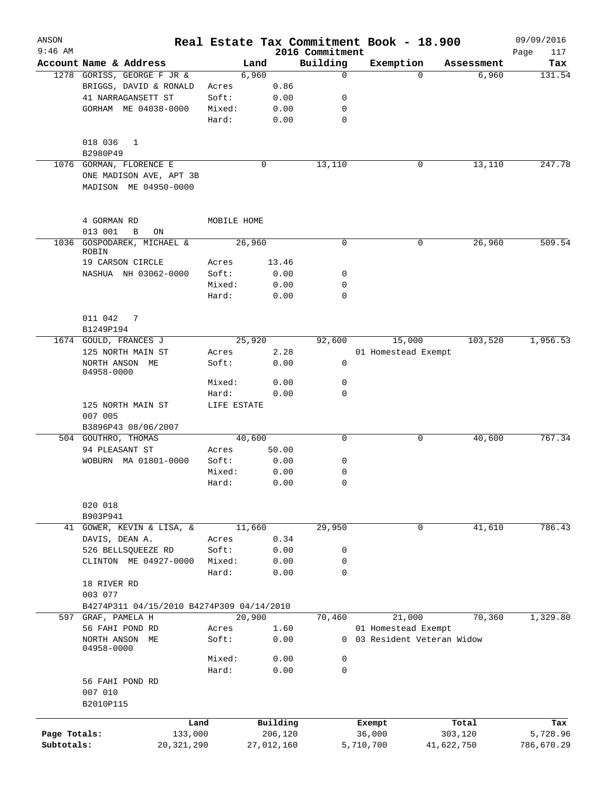| ANSON<br>$9:46$ AM |                                                                             |                |              | 2016 Commitment | Real Estate Tax Commitment Book - 18.900           |            | 09/09/2016<br>Page<br>117 |
|--------------------|-----------------------------------------------------------------------------|----------------|--------------|-----------------|----------------------------------------------------|------------|---------------------------|
|                    | Account Name & Address                                                      |                | Land         | Building        | Exemption                                          | Assessment | Tax                       |
|                    | 1278 GORISS, GEORGE F JR &                                                  |                | 6,960        | $\Omega$        | $\Omega$                                           | 6,960      | 131.54                    |
|                    | BRIGGS, DAVID & RONALD                                                      | Acres          | 0.86         |                 |                                                    |            |                           |
|                    | 41 NARRAGANSETT ST                                                          | Soft:          | 0.00         | 0               |                                                    |            |                           |
|                    | GORHAM ME 04038-0000                                                        | Mixed:         | 0.00         | 0               |                                                    |            |                           |
|                    |                                                                             | Hard:          | 0.00         | 0               |                                                    |            |                           |
|                    | 018 036<br>1                                                                |                |              |                 |                                                    |            |                           |
|                    | B2980P49                                                                    |                |              |                 |                                                    |            |                           |
|                    | 1076 GORMAN, FLORENCE E<br>ONE MADISON AVE, APT 3B<br>MADISON ME 04950-0000 |                | 0            | 13,110          | 0                                                  | 13,110     | 247.78                    |
|                    | 4 GORMAN RD                                                                 | MOBILE HOME    |              |                 |                                                    |            |                           |
|                    | 013 001<br>B<br>ON                                                          |                |              |                 |                                                    |            |                           |
|                    | 1036 GOSPODAREK, MICHAEL &<br>ROBIN                                         |                | 26,960       | 0               | 0                                                  | 26,960     | 509.54                    |
|                    | 19 CARSON CIRCLE                                                            | Acres          | 13.46        |                 |                                                    |            |                           |
|                    | NASHUA NH 03062-0000                                                        | Soft:          | 0.00         | 0               |                                                    |            |                           |
|                    |                                                                             | Mixed:         | 0.00         | 0               |                                                    |            |                           |
|                    |                                                                             | Hard:          | 0.00         | 0               |                                                    |            |                           |
|                    | 011 042<br>7                                                                |                |              |                 |                                                    |            |                           |
|                    | B1249P194                                                                   |                |              |                 |                                                    |            |                           |
|                    | 1674 GOULD, FRANCES J                                                       |                | 25,920       | 92,600          | 15,000                                             | 103,520    | 1,956.53                  |
|                    | 125 NORTH MAIN ST                                                           | Acres          | 2.28         |                 | 01 Homestead Exempt                                |            |                           |
|                    | NORTH ANSON ME<br>04958-0000                                                | Soft:          | 0.00         | 0               |                                                    |            |                           |
|                    |                                                                             | Mixed:         | 0.00         | 0               |                                                    |            |                           |
|                    |                                                                             | Hard:          | 0.00         | 0               |                                                    |            |                           |
|                    | 125 NORTH MAIN ST<br>007 005                                                | LIFE ESTATE    |              |                 |                                                    |            |                           |
|                    | B3896P43 08/06/2007                                                         |                |              |                 |                                                    |            |                           |
|                    | 504 GOUTHRO, THOMAS                                                         |                | 40,600       | $\mathbf 0$     | 0                                                  | 40,600     | 767.34                    |
|                    | 94 PLEASANT ST                                                              | Acres          | 50.00        |                 |                                                    |            |                           |
|                    | WOBURN MA 01801-0000                                                        | Soft:          | 0.00         | 0               |                                                    |            |                           |
|                    |                                                                             | Mixed:         | 0.00         | 0               |                                                    |            |                           |
|                    |                                                                             | Hard:          | 0.00         | 0               |                                                    |            |                           |
|                    | 020 018                                                                     |                |              |                 |                                                    |            |                           |
|                    | B903P941                                                                    |                |              |                 |                                                    |            |                           |
| 41                 | GOWER, KEVIN & LISA, &                                                      |                | 11,660       | 29,950          | 0                                                  | 41,610     | 786.43                    |
|                    | DAVIS, DEAN A.                                                              | Acres          | 0.34         |                 |                                                    |            |                           |
|                    | 526 BELLSQUEEZE RD                                                          | Soft:          | 0.00         | 0               |                                                    |            |                           |
|                    | CLINTON ME 04927-0000                                                       | Mixed:         | 0.00         | 0               |                                                    |            |                           |
|                    | 18 RIVER RD                                                                 | Hard:          | 0.00         | 0               |                                                    |            |                           |
|                    | 003 077                                                                     |                |              |                 |                                                    |            |                           |
|                    | B4274P311 04/15/2010 B4274P309 04/14/2010                                   |                |              |                 |                                                    |            |                           |
| 597                | GRAF, PAMELA H                                                              |                | 20,900       | 70,460          | 21,000                                             | 70,360     | 1,329.80                  |
|                    | 56 FAHI POND RD<br>NORTH ANSON ME<br>04958-0000                             | Acres<br>Soft: | 1.60<br>0.00 |                 | 01 Homestead Exempt<br>0 03 Resident Veteran Widow |            |                           |
|                    |                                                                             | Mixed:         | 0.00         | 0               |                                                    |            |                           |
|                    |                                                                             | Hard:          | 0.00         | 0               |                                                    |            |                           |
|                    | 56 FAHI POND RD<br>007 010                                                  |                |              |                 |                                                    |            |                           |
|                    | B2010P115                                                                   |                |              |                 |                                                    |            |                           |
|                    | Land                                                                        |                | Building     |                 | Exempt                                             | Total      | Tax                       |
| Page Totals:       | 133,000                                                                     |                | 206,120      |                 | 36,000                                             | 303,120    | 5,728.96                  |
| Subtotals:         | 20, 321, 290                                                                |                | 27,012,160   |                 | 5,710,700                                          | 41,622,750 | 786,670.29                |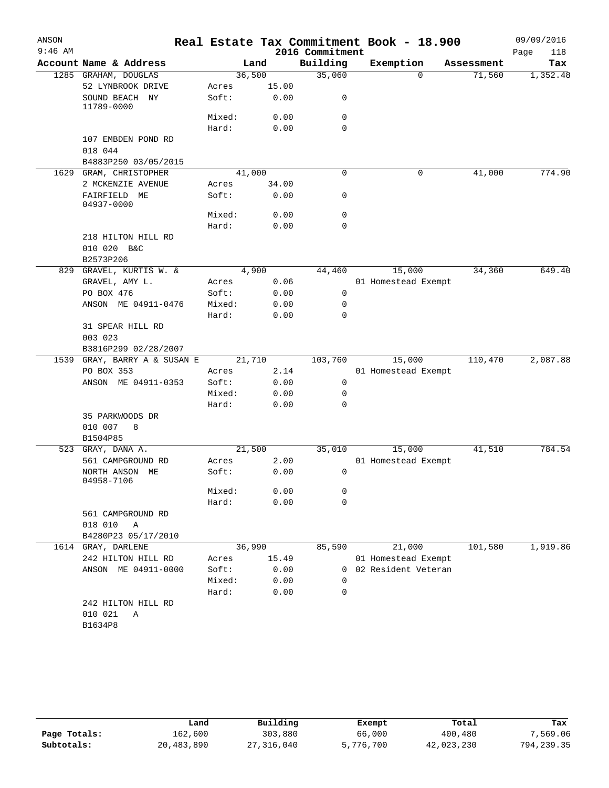| ANSON     |                              |        |       |                 | Real Estate Tax Commitment Book - 18.900 |            | 09/09/2016  |
|-----------|------------------------------|--------|-------|-----------------|------------------------------------------|------------|-------------|
| $9:46$ AM |                              |        |       | 2016 Commitment |                                          |            | Page<br>118 |
|           | Account Name & Address       |        | Land  | Building        | Exemption                                | Assessment | Tax         |
|           | 1285 GRAHAM, DOUGLAS         | 36,500 |       | 35,060          | 0                                        | 71,560     | 1,352.48    |
|           | 52 LYNBROOK DRIVE            | Acres  | 15.00 |                 |                                          |            |             |
|           | SOUND BEACH NY<br>11789-0000 | Soft:  | 0.00  | 0               |                                          |            |             |
|           |                              | Mixed: | 0.00  | 0               |                                          |            |             |
|           |                              | Hard:  | 0.00  | $\mathbf 0$     |                                          |            |             |
|           | 107 EMBDEN POND RD           |        |       |                 |                                          |            |             |
|           | 018 044                      |        |       |                 |                                          |            |             |
|           | B4883P250 03/05/2015         |        |       |                 |                                          |            |             |
|           | 1629 GRAM, CHRISTOPHER       | 41,000 |       | 0               | 0                                        | 41,000     | 774.90      |
|           | 2 MCKENZIE AVENUE            | Acres  | 34.00 |                 |                                          |            |             |
|           | FAIRFIELD ME<br>04937-0000   | Soft:  | 0.00  | 0               |                                          |            |             |
|           |                              | Mixed: | 0.00  | 0               |                                          |            |             |
|           |                              | Hard:  | 0.00  | $\mathbf 0$     |                                          |            |             |
|           | 218 HILTON HILL RD           |        |       |                 |                                          |            |             |
|           | 010 020 B&C                  |        |       |                 |                                          |            |             |
|           | B2573P206                    |        |       |                 |                                          |            |             |
| 829       | GRAVEL, KURTIS W. &          |        | 4,900 | 44,460          | 15,000                                   | 34,360     | 649.40      |
|           | GRAVEL, AMY L.               | Acres  | 0.06  |                 | 01 Homestead Exempt                      |            |             |
|           | PO BOX 476                   | Soft:  | 0.00  | 0               |                                          |            |             |
|           | ANSON ME 04911-0476          | Mixed: | 0.00  | 0               |                                          |            |             |
|           |                              | Hard:  | 0.00  | $\mathbf 0$     |                                          |            |             |
|           | 31 SPEAR HILL RD             |        |       |                 |                                          |            |             |
|           | 003 023                      |        |       |                 |                                          |            |             |
|           | B3816P299 02/28/2007         |        |       |                 |                                          |            |             |
| 1539      | GRAY, BARRY A & SUSAN E      | 21,710 |       | 103,760         | 15,000                                   | 110,470    | 2,087.88    |
|           | PO BOX 353                   | Acres  | 2.14  |                 | 01 Homestead Exempt                      |            |             |
|           | ANSON ME 04911-0353          | Soft:  | 0.00  | 0               |                                          |            |             |
|           |                              | Mixed: | 0.00  | 0               |                                          |            |             |
|           |                              | Hard:  | 0.00  | $\mathbf 0$     |                                          |            |             |
|           | 35 PARKWOODS DR              |        |       |                 |                                          |            |             |
|           | 010 007<br>8                 |        |       |                 |                                          |            |             |
|           | B1504P85                     |        |       |                 |                                          |            |             |
| 523       | GRAY, DANA A.                | 21,500 |       | 35,010          | 15,000                                   | 41,510     | 784.54      |
|           | 561 CAMPGROUND RD            | Acres  | 2.00  |                 | 01 Homestead Exempt                      |            |             |
|           | NORTH ANSON ME<br>04958-7106 | Soft:  | 0.00  | 0               |                                          |            |             |
|           |                              | Mixed: | 0.00  | 0               |                                          |            |             |
|           |                              | Hard:  | 0.00  | $\mathbf 0$     |                                          |            |             |
|           | 561 CAMPGROUND RD            |        |       |                 |                                          |            |             |
|           | 018 010<br>Α                 |        |       |                 |                                          |            |             |
|           | B4280P23 05/17/2010          |        |       |                 |                                          |            |             |
|           | 1614 GRAY, DARLENE           | 36,990 |       | 85,590          | 21,000                                   | 101,580    | 1,919.86    |
|           | 242 HILTON HILL RD           | Acres  | 15.49 |                 | 01 Homestead Exempt                      |            |             |
|           | ANSON ME 04911-0000          | Soft:  | 0.00  |                 | 0 02 Resident Veteran                    |            |             |
|           |                              | Mixed: | 0.00  | 0               |                                          |            |             |
|           |                              | Hard:  | 0.00  | 0               |                                          |            |             |
|           | 242 HILTON HILL RD           |        |       |                 |                                          |            |             |
|           | 010 021<br>Α                 |        |       |                 |                                          |            |             |
|           | B1634P8                      |        |       |                 |                                          |            |             |
|           |                              |        |       |                 |                                          |            |             |

|              | Land       | Building   | Exempt    | Total      | Tax        |
|--------------|------------|------------|-----------|------------|------------|
| Page Totals: | 162,600    | 303,880    | 66,000    | 400,480    | 7,569.06   |
| Subtotals:   | 20,483,890 | 27,316,040 | 5,776,700 | 42,023,230 | 794,239.35 |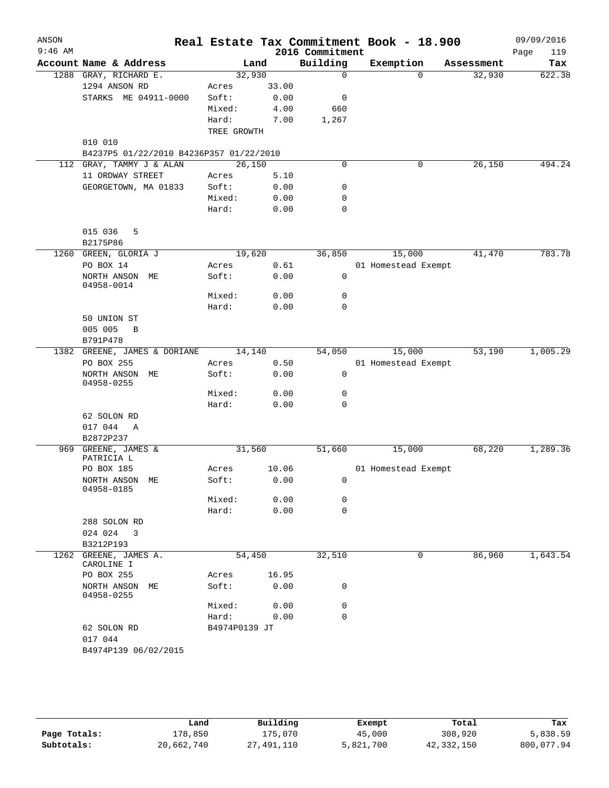| ANSON<br>$9:46$ AM   |                                         |                                                                                                               |       | 2016 Commitment | Real Estate Tax Commitment Book - 18.900 |            | 09/09/2016<br>119 |
|----------------------|-----------------------------------------|---------------------------------------------------------------------------------------------------------------|-------|-----------------|------------------------------------------|------------|-------------------|
|                      | Account Name & Address                  |                                                                                                               | Land  | Building        | Exemption                                | Assessment | Page<br>Tax       |
|                      | 1288 GRAY, RICHARD E.                   | 32,930                                                                                                        |       | $\mathbf 0$     | $\Omega$                                 | 32,930     | 622.38            |
|                      | 1294 ANSON RD                           | Acres                                                                                                         | 33.00 |                 |                                          |            |                   |
|                      | STARKS ME 04911-0000                    | Soft:                                                                                                         | 0.00  | 0               |                                          |            |                   |
|                      |                                         | Mixed:                                                                                                        | 4.00  | 660             |                                          |            |                   |
|                      |                                         | Hard:                                                                                                         | 7.00  | 1,267           |                                          |            |                   |
|                      |                                         | TREE GROWTH                                                                                                   |       |                 |                                          |            |                   |
|                      | 010 010                                 |                                                                                                               |       |                 |                                          |            |                   |
|                      | B4237P5 01/22/2010 B4236P357 01/22/2010 |                                                                                                               |       |                 |                                          |            |                   |
|                      | 112 GRAY, TAMMY J & ALAN                | 26,150                                                                                                        |       | $\mathbf 0$     | 0                                        | 26,150     | 494.24            |
|                      | 11 ORDWAY STREET                        | Acres                                                                                                         | 5.10  |                 |                                          |            |                   |
|                      | GEORGETOWN, MA 01833                    | Soft:                                                                                                         | 0.00  | 0               |                                          |            |                   |
|                      |                                         | Mixed:                                                                                                        | 0.00  | 0               |                                          |            |                   |
|                      |                                         | Hard:                                                                                                         | 0.00  | 0               |                                          |            |                   |
|                      | 015 036<br>5                            |                                                                                                               |       |                 |                                          |            |                   |
|                      | B2175P86                                |                                                                                                               |       |                 |                                          |            |                   |
|                      | 1260 GREEN, GLORIA J                    | 19,620                                                                                                        |       | 36,850          | 15,000                                   | 41,470     | 783.78            |
|                      | PO BOX 14                               | Acres                                                                                                         | 0.61  |                 | 01 Homestead Exempt                      |            |                   |
|                      | NORTH ANSON ME<br>04958-0014            | Soft:                                                                                                         | 0.00  | 0               |                                          |            |                   |
|                      |                                         | Mixed:                                                                                                        | 0.00  | 0               |                                          |            |                   |
|                      |                                         | Hard:                                                                                                         | 0.00  | $\mathbf 0$     |                                          |            |                   |
|                      | 50 UNION ST                             |                                                                                                               |       |                 |                                          |            |                   |
|                      | 005 005<br>B                            |                                                                                                               |       |                 |                                          |            |                   |
|                      | B791P478                                |                                                                                                               |       |                 |                                          |            |                   |
|                      | 1382 GREENE, JAMES & DORIANE            | 14,140                                                                                                        |       | 54,050          | 15,000                                   | 53,190     | 1,005.29          |
|                      | PO BOX 255                              | Acres                                                                                                         | 0.50  |                 | 01 Homestead Exempt                      |            |                   |
|                      | NORTH ANSON ME<br>04958-0255            | Soft:                                                                                                         | 0.00  | 0               |                                          |            |                   |
|                      |                                         | Mixed:                                                                                                        | 0.00  | 0               |                                          |            |                   |
|                      |                                         | Hard:                                                                                                         | 0.00  | $\mathbf 0$     |                                          |            |                   |
|                      | 62 SOLON RD                             |                                                                                                               |       |                 |                                          |            |                   |
|                      | 017 044<br>A                            |                                                                                                               |       |                 |                                          |            |                   |
|                      | B2872P237                               |                                                                                                               |       |                 |                                          |            |                   |
|                      | 969 GREENE, JAMES &<br>PATRICIA L       | 31,560                                                                                                        |       | 51,660          | 15,000                                   | 68,220     | 1,289.36          |
|                      | PO BOX 185                              | Acres                                                                                                         | 10.06 |                 | 01 Homestead Exempt                      |            |                   |
|                      | NORTH ANSON ME<br>04958-0185            | Soft:                                                                                                         | 0.00  | $\mathbf{0}$    |                                          |            |                   |
|                      |                                         | Mixed:                                                                                                        | 0.00  | 0               |                                          |            |                   |
|                      |                                         | Hard:                                                                                                         | 0.00  | $\mathbf 0$     |                                          |            |                   |
|                      | 288 SOLON RD                            |                                                                                                               |       |                 |                                          |            |                   |
|                      | 024 024<br>3                            |                                                                                                               |       |                 |                                          |            |                   |
|                      | B3212P193                               |                                                                                                               |       |                 |                                          |            |                   |
|                      | 1262 GREENE, JAMES A.                   | 54,450                                                                                                        |       | 32,510          | 0                                        | 86,960     | 1,643.54          |
|                      | CAROLINE I<br>PO BOX 255                | Acres                                                                                                         | 16.95 |                 |                                          |            |                   |
|                      | NORTH ANSON ME<br>04958-0255            | Soft:                                                                                                         | 0.00  | 0               |                                          |            |                   |
|                      |                                         | Mixed:                                                                                                        | 0.00  | 0               |                                          |            |                   |
|                      |                                         | Hard: The Manus of the Manus of the Manus of the Manus of the Manus of the Manus of the Manus of the Manus of | 0.00  | 0               |                                          |            |                   |
|                      | 62 SOLON RD                             | B4974P0139 JT                                                                                                 |       |                 |                                          |            |                   |
| B4974P139 06/02/2015 | 017 044                                 |                                                                                                               |       |                 |                                          |            |                   |
|                      |                                         |                                                                                                               |       |                 |                                          |            |                   |

|              | Land       | Building   | Exempt    | Total      | Tax        |
|--------------|------------|------------|-----------|------------|------------|
| Page Totals: | 178,850    | 175.070    | 45,000    | 308,920    | 5,838.59   |
| Subtotals:   | 20,662,740 | 27,491,110 | 5,821,700 | 42,332,150 | 800,077.94 |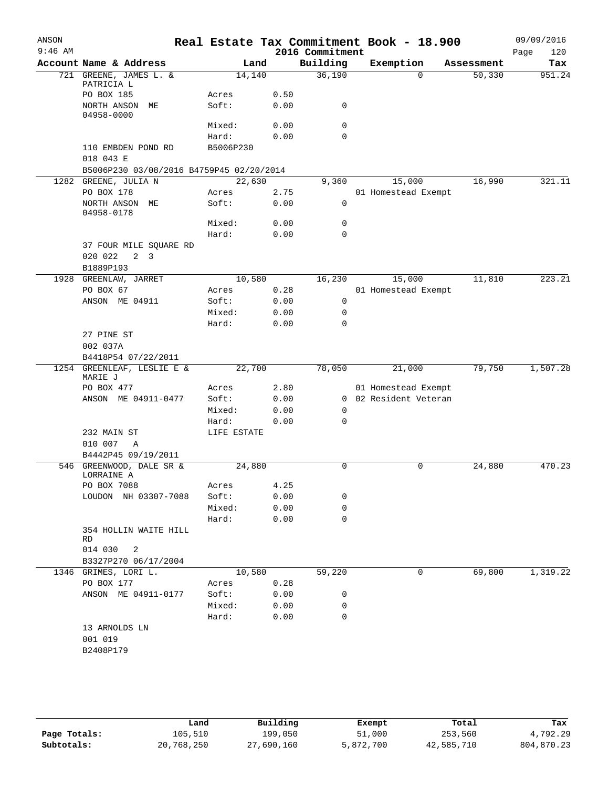| ANSON<br>$9:46$ AM |                                          |             |        |      | Real Estate Tax Commitment Book - 18.900<br>2016 Commitment |                     |           |            | Page | 09/09/2016<br>120 |
|--------------------|------------------------------------------|-------------|--------|------|-------------------------------------------------------------|---------------------|-----------|------------|------|-------------------|
|                    | Account Name & Address                   |             | Land   |      | Building                                                    |                     | Exemption | Assessment |      | Tax               |
|                    | 721 GREENE, JAMES L. &                   |             | 14,140 |      | 36,190                                                      |                     | $\Omega$  | 50,330     |      | 951.24            |
|                    | PATRICIA L                               |             |        |      |                                                             |                     |           |            |      |                   |
|                    | PO BOX 185                               | Acres       |        | 0.50 |                                                             |                     |           |            |      |                   |
|                    | NORTH ANSON ME<br>04958-0000             | Soft:       |        | 0.00 | $\mathsf{O}$                                                |                     |           |            |      |                   |
|                    |                                          | Mixed:      |        | 0.00 | 0                                                           |                     |           |            |      |                   |
|                    |                                          | Hard:       |        | 0.00 | $\Omega$                                                    |                     |           |            |      |                   |
|                    | 110 EMBDEN POND RD<br>018 043 E          | B5006P230   |        |      |                                                             |                     |           |            |      |                   |
|                    | B5006P230 03/08/2016 B4759P45 02/20/2014 |             |        |      |                                                             |                     |           |            |      |                   |
|                    | 1282 GREENE, JULIA N                     |             | 22,630 |      | 9,360                                                       |                     | 15,000    | 16,990     |      | 321.11            |
|                    | PO BOX 178                               | Acres       |        | 2.75 |                                                             | 01 Homestead Exempt |           |            |      |                   |
|                    | NORTH ANSON ME<br>04958-0178             | Soft:       |        | 0.00 | 0                                                           |                     |           |            |      |                   |
|                    |                                          | Mixed:      |        | 0.00 | 0                                                           |                     |           |            |      |                   |
|                    |                                          | Hard:       |        | 0.00 | $\mathbf 0$                                                 |                     |           |            |      |                   |
|                    | 37 FOUR MILE SQUARE RD                   |             |        |      |                                                             |                     |           |            |      |                   |
|                    | 020 022<br>$2 \quad 3$                   |             |        |      |                                                             |                     |           |            |      |                   |
|                    | B1889P193                                |             |        |      |                                                             |                     |           |            |      |                   |
| 1928               | GREENLAW, JARRET                         |             | 10,580 |      | 16,230                                                      |                     | 15,000    | 11,810     |      | 223.21            |
|                    | PO BOX 67                                | Acres       |        | 0.28 |                                                             | 01 Homestead Exempt |           |            |      |                   |
|                    | ANSON ME 04911                           | Soft:       |        | 0.00 | 0                                                           |                     |           |            |      |                   |
|                    |                                          | Mixed:      |        | 0.00 | 0                                                           |                     |           |            |      |                   |
|                    |                                          | Hard:       |        | 0.00 | $\mathbf 0$                                                 |                     |           |            |      |                   |
|                    | 27 PINE ST                               |             |        |      |                                                             |                     |           |            |      |                   |
|                    | 002 037A                                 |             |        |      |                                                             |                     |           |            |      |                   |
|                    | B4418P54 07/22/2011                      |             |        |      |                                                             |                     |           |            |      |                   |
|                    | 1254 GREENLEAF, LESLIE E &<br>MARIE J    |             | 22,700 |      | 78,050                                                      |                     | 21,000    | 79,750     |      | 1,507.28          |
|                    | PO BOX 477                               | Acres       |        | 2.80 |                                                             | 01 Homestead Exempt |           |            |      |                   |
|                    | ANSON ME 04911-0477                      | Soft:       |        | 0.00 | $\Omega$                                                    | 02 Resident Veteran |           |            |      |                   |
|                    |                                          | Mixed:      |        | 0.00 | 0                                                           |                     |           |            |      |                   |
|                    |                                          | Hard:       |        | 0.00 | $\mathbf 0$                                                 |                     |           |            |      |                   |
|                    | 232 MAIN ST                              | LIFE ESTATE |        |      |                                                             |                     |           |            |      |                   |
|                    | 010 007<br>Α                             |             |        |      |                                                             |                     |           |            |      |                   |
|                    | B4442P45 09/19/2011                      |             |        |      |                                                             |                     |           |            |      |                   |
|                    | 546 GREENWOOD, DALE SR &<br>LORRAINE A   |             | 24,880 |      | 0                                                           |                     | 0         | 24,880     |      | 470.23            |
|                    | PO BOX 7088                              | Acres       |        | 4.25 |                                                             |                     |           |            |      |                   |
|                    | LOUDON NH 03307-7088                     | Soft:       |        | 0.00 | 0                                                           |                     |           |            |      |                   |
|                    |                                          | Mixed:      |        | 0.00 | 0                                                           |                     |           |            |      |                   |
|                    |                                          | Hard:       |        | 0.00 | 0                                                           |                     |           |            |      |                   |
|                    |                                          |             |        |      |                                                             |                     |           |            |      |                   |
|                    | 354 HOLLIN WAITE HILL<br>RD              |             |        |      |                                                             |                     |           |            |      |                   |
|                    | 014 030<br>2                             |             |        |      |                                                             |                     |           |            |      |                   |
|                    | B3327P270 06/17/2004                     |             |        |      |                                                             |                     |           |            |      |                   |
|                    | 1346 GRIMES, LORI L.                     |             | 10,580 |      | 59,220                                                      |                     | 0         | 69,800     |      | 1,319.22          |
|                    | PO BOX 177                               | Acres       |        | 0.28 |                                                             |                     |           |            |      |                   |
|                    | ANSON ME 04911-0177                      | Soft:       |        | 0.00 | 0                                                           |                     |           |            |      |                   |
|                    |                                          | Mixed:      |        | 0.00 | 0                                                           |                     |           |            |      |                   |
|                    |                                          |             |        |      |                                                             |                     |           |            |      |                   |
|                    |                                          | Hard:       |        | 0.00 | 0                                                           |                     |           |            |      |                   |
|                    | 13 ARNOLDS LN<br>001 019                 |             |        |      |                                                             |                     |           |            |      |                   |
|                    | B2408P179                                |             |        |      |                                                             |                     |           |            |      |                   |
|                    |                                          |             |        |      |                                                             |                     |           |            |      |                   |
|                    |                                          |             |        |      |                                                             |                     |           |            |      |                   |
|                    |                                          |             |        |      |                                                             |                     |           |            |      |                   |
|                    |                                          |             |        |      |                                                             |                     |           |            |      |                   |

|              | Land       | Building   | Exempt    | Total      | Tax        |
|--------------|------------|------------|-----------|------------|------------|
| Page Totals: | 105,510    | 199,050    | 51,000    | 253,560    | 4,792.29   |
| Subtotals:   | 20,768,250 | 27,690,160 | 5,872,700 | 42,585,710 | 804,870.23 |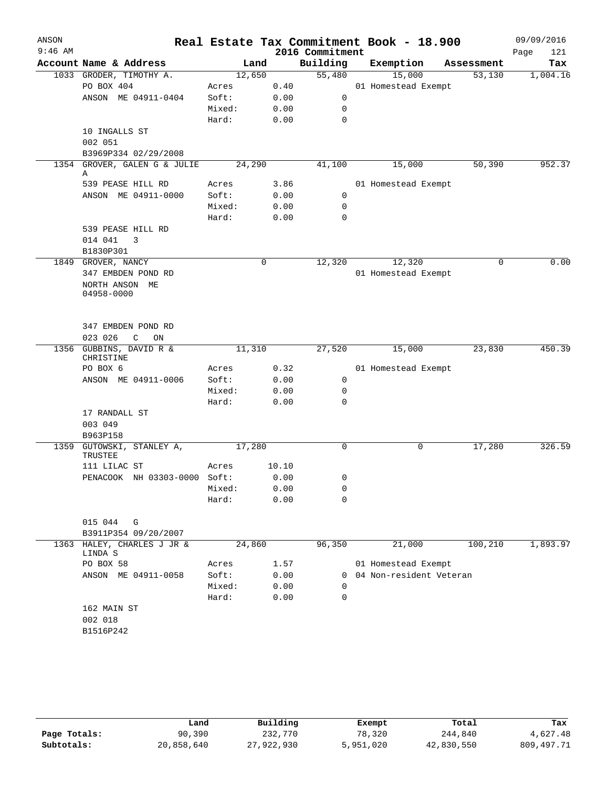| ANSON     |                                          |        |       |                 | Real Estate Tax Commitment Book - 18.900 |             | 09/09/2016  |
|-----------|------------------------------------------|--------|-------|-----------------|------------------------------------------|-------------|-------------|
| $9:46$ AM |                                          |        |       | 2016 Commitment |                                          |             | Page<br>121 |
|           | Account Name & Address                   | Land   |       | Building        | Exemption                                | Assessment  | Tax         |
|           | 1033 GRODER, TIMOTHY A.                  | 12,650 |       | 55,480          | 15,000                                   | 53,130      | 1,004.16    |
|           | PO BOX 404                               | Acres  | 0.40  |                 | 01 Homestead Exempt                      |             |             |
|           | ANSON ME 04911-0404                      | Soft:  | 0.00  | 0               |                                          |             |             |
|           |                                          | Mixed: | 0.00  | $\mathbf 0$     |                                          |             |             |
|           |                                          | Hard:  | 0.00  | $\mathbf 0$     |                                          |             |             |
|           | 10 INGALLS ST                            |        |       |                 |                                          |             |             |
|           | 002 051<br>B3969P334 02/29/2008          |        |       |                 |                                          |             |             |
|           | 1354 GROVER, GALEN G & JULIE             | 24,290 |       | 41,100          | 15,000                                   | 50,390      | 952.37      |
|           | Α                                        |        |       |                 |                                          |             |             |
|           | 539 PEASE HILL RD                        | Acres  | 3.86  |                 | 01 Homestead Exempt                      |             |             |
|           | ANSON ME 04911-0000                      | Soft:  | 0.00  | 0               |                                          |             |             |
|           |                                          | Mixed: | 0.00  | $\mathbf 0$     |                                          |             |             |
|           |                                          | Hard:  | 0.00  | $\mathbf 0$     |                                          |             |             |
|           | 539 PEASE HILL RD                        |        |       |                 |                                          |             |             |
|           | 014 041<br>3                             |        |       |                 |                                          |             |             |
|           | B1830P301                                |        |       |                 |                                          |             |             |
|           | 1849 GROVER, NANCY                       |        | 0     | 12,320          | 12,320                                   | $\mathbf 0$ | 0.00        |
|           | 347 EMBDEN POND RD                       |        |       |                 | 01 Homestead Exempt                      |             |             |
|           | NORTH ANSON ME                           |        |       |                 |                                          |             |             |
|           | 04958-0000                               |        |       |                 |                                          |             |             |
|           |                                          |        |       |                 |                                          |             |             |
|           |                                          |        |       |                 |                                          |             |             |
|           | 347 EMBDEN POND RD<br>023 026<br>C<br>ON |        |       |                 |                                          |             |             |
|           | 1356 GUBBINS, DAVID R &                  | 11,310 |       | 27,520          | 15,000                                   | 23,830      | 450.39      |
|           | CHRISTINE                                |        |       |                 |                                          |             |             |
|           | PO BOX 6                                 | Acres  | 0.32  |                 | 01 Homestead Exempt                      |             |             |
|           | ANSON ME 04911-0006                      | Soft:  | 0.00  | 0               |                                          |             |             |
|           |                                          | Mixed: | 0.00  | 0               |                                          |             |             |
|           |                                          | Hard:  | 0.00  | 0               |                                          |             |             |
|           | 17 RANDALL ST                            |        |       |                 |                                          |             |             |
|           | 003 049                                  |        |       |                 |                                          |             |             |
|           | B963P158                                 |        |       |                 |                                          |             |             |
|           | 1359 GUTOWSKI, STANLEY A,                | 17,280 |       | 0               | 0                                        | 17,280      | 326.59      |
|           | TRUSTEE                                  |        |       |                 |                                          |             |             |
|           | 111 LILAC ST                             | Acres  | 10.10 |                 |                                          |             |             |
|           | PENACOOK NH 03303-0000 Soft:             |        | 0.00  | 0               |                                          |             |             |
|           |                                          | Mixed: | 0.00  | 0               |                                          |             |             |
|           |                                          | Hard:  | 0.00  | 0               |                                          |             |             |
|           | 015 044<br>G                             |        |       |                 |                                          |             |             |
|           | B3911P354 09/20/2007                     |        |       |                 |                                          |             |             |
| 1363      | HALEY, CHARLES J JR &                    | 24,860 |       | 96,350          | 21,000                                   | 100,210     | 1,893.97    |
|           | LINDA S                                  |        |       |                 |                                          |             |             |
|           | PO BOX 58                                | Acres  | 1.57  |                 | 01 Homestead Exempt                      |             |             |
|           | ANSON ME 04911-0058                      | Soft:  | 0.00  | 0               | 04 Non-resident Veteran                  |             |             |
|           |                                          | Mixed: | 0.00  | $\Omega$        |                                          |             |             |
|           |                                          | Hard:  | 0.00  | 0               |                                          |             |             |
|           | 162 MAIN ST                              |        |       |                 |                                          |             |             |
|           | 002 018                                  |        |       |                 |                                          |             |             |
|           | B1516P242                                |        |       |                 |                                          |             |             |
|           |                                          |        |       |                 |                                          |             |             |

|              | Land       | Building   | Exempt    | Total      | Tax        |
|--------------|------------|------------|-----------|------------|------------|
| Page Totals: | 90,390     | 232,770    | 78,320    | 244,840    | 4,627.48   |
| Subtotals:   | 20,858,640 | 27,922,930 | 5,951,020 | 42,830,550 | 809,497.71 |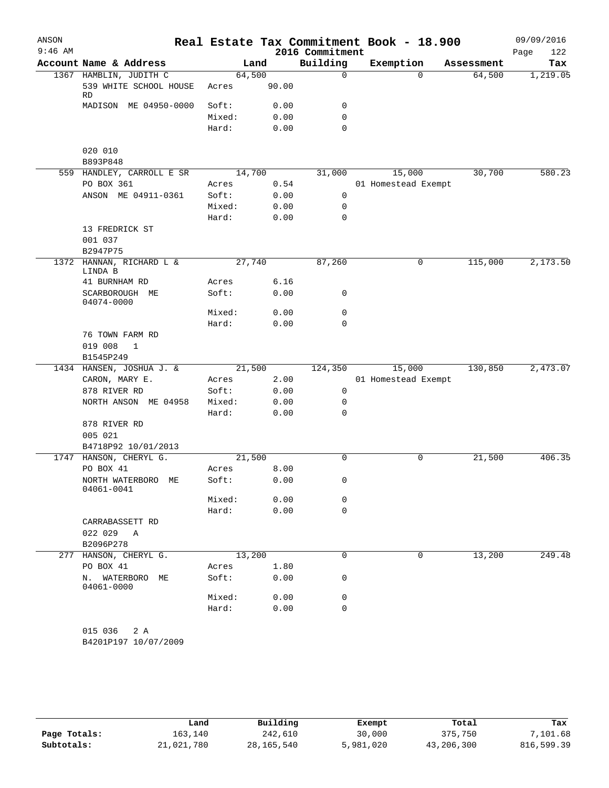| ANSON     |                                                        |                 |       |                 | Real Estate Tax Commitment Book - 18.900 |            | 09/09/2016  |
|-----------|--------------------------------------------------------|-----------------|-------|-----------------|------------------------------------------|------------|-------------|
| $9:46$ AM |                                                        |                 |       | 2016 Commitment |                                          |            | 122<br>Page |
|           | Account Name & Address                                 |                 | Land  | Building        | Exemption                                | Assessment | Tax         |
|           | 1367 HAMBLIN, JUDITH C<br>539 WHITE SCHOOL HOUSE<br>RD | 64,500<br>Acres | 90.00 | $\mathbf 0$     | $\Omega$                                 | 64,500     | 1,219.05    |
|           | MADISON ME 04950-0000                                  | Soft:           | 0.00  | 0               |                                          |            |             |
|           |                                                        | Mixed:          | 0.00  | $\mathbf 0$     |                                          |            |             |
|           |                                                        | Hard:           | 0.00  | $\mathbf 0$     |                                          |            |             |
|           | 020 010                                                |                 |       |                 |                                          |            |             |
|           | B893P848                                               |                 |       |                 |                                          |            |             |
|           | 559 HANDLEY, CARROLL E SR                              | 14,700          |       | 31,000          | 15,000                                   | 30,700     | 580.23      |
|           | PO BOX 361                                             | Acres           | 0.54  |                 | 01 Homestead Exempt                      |            |             |
|           | ANSON ME 04911-0361                                    | Soft:           | 0.00  | 0               |                                          |            |             |
|           |                                                        | Mixed:          | 0.00  | $\mathbf 0$     |                                          |            |             |
|           |                                                        | Hard:           | 0.00  | $\mathbf 0$     |                                          |            |             |
|           | 13 FREDRICK ST                                         |                 |       |                 |                                          |            |             |
|           | 001 037                                                |                 |       |                 |                                          |            |             |
|           | B2947P75                                               |                 |       |                 |                                          |            |             |
| 1372      | HANNAN, RICHARD L &<br>LINDA B                         | 27,740          |       | 87,260          | 0                                        | 115,000    | 2,173.50    |
|           | 41 BURNHAM RD                                          | Acres           | 6.16  |                 |                                          |            |             |
|           | SCARBOROUGH ME<br>04074-0000                           | Soft:           | 0.00  | 0               |                                          |            |             |
|           |                                                        | Mixed:          | 0.00  | $\mathbf 0$     |                                          |            |             |
|           |                                                        | Hard:           | 0.00  | 0               |                                          |            |             |
|           | 76 TOWN FARM RD                                        |                 |       |                 |                                          |            |             |
|           | 019 008<br>$\mathbf{1}$<br>B1545P249                   |                 |       |                 |                                          |            |             |
|           | 1434 HANSEN, JOSHUA J. &                               | 21,500          |       | 124,350         | 15,000                                   | 130,850    | 2,473.07    |
|           | CARON, MARY E.                                         | Acres           | 2.00  |                 | 01 Homestead Exempt                      |            |             |
|           | 878 RIVER RD                                           | Soft:           | 0.00  | 0               |                                          |            |             |
|           | NORTH ANSON ME 04958                                   | Mixed:          | 0.00  | 0               |                                          |            |             |
|           |                                                        | Hard:           | 0.00  | 0               |                                          |            |             |
|           | 878 RIVER RD                                           |                 |       |                 |                                          |            |             |
|           | 005 021                                                |                 |       |                 |                                          |            |             |
|           | B4718P92 10/01/2013                                    |                 |       |                 |                                          |            |             |
|           | 1747 HANSON, CHERYL G.                                 | 21,500          |       | $\mathbf 0$     | 0                                        | 21,500     | 406.35      |
|           | PO BOX 41                                              | Acres           | 8.00  |                 |                                          |            |             |
|           | NORTH WATERBORO ME<br>04061-0041                       | Soft:           | 0.00  | 0               |                                          |            |             |
|           |                                                        | Mixed:          | 0.00  | 0               |                                          |            |             |
|           |                                                        | Hard:           | 0.00  | $\mathbf 0$     |                                          |            |             |
|           | CARRABASSETT RD                                        |                 |       |                 |                                          |            |             |
|           | 022 029 A                                              |                 |       |                 |                                          |            |             |
|           | B2096P278                                              |                 |       |                 |                                          |            |             |
|           | 277 HANSON, CHERYL G.                                  | 13,200          |       | 0               | 0                                        | 13,200     | 249.48      |
|           | PO BOX 41                                              | Acres           | 1.80  |                 |                                          |            |             |
|           | N. WATERBORO ME<br>04061-0000                          | Soft:           | 0.00  | 0               |                                          |            |             |
|           |                                                        | Mixed:          | 0.00  | 0               |                                          |            |             |
|           |                                                        | Hard:           | 0.00  | 0               |                                          |            |             |
|           | 015 036<br>2 A<br>B4201P197 10/07/2009                 |                 |       |                 |                                          |            |             |

|              | Land       | Building     | Exempt    | Total      | Tax        |
|--------------|------------|--------------|-----------|------------|------------|
| Page Totals: | 163,140    | 242,610      | 30,000    | 375,750    | 7,101.68   |
| Subtotals:   | 21,021,780 | 28, 165, 540 | 5,981,020 | 43,206,300 | 816,599.39 |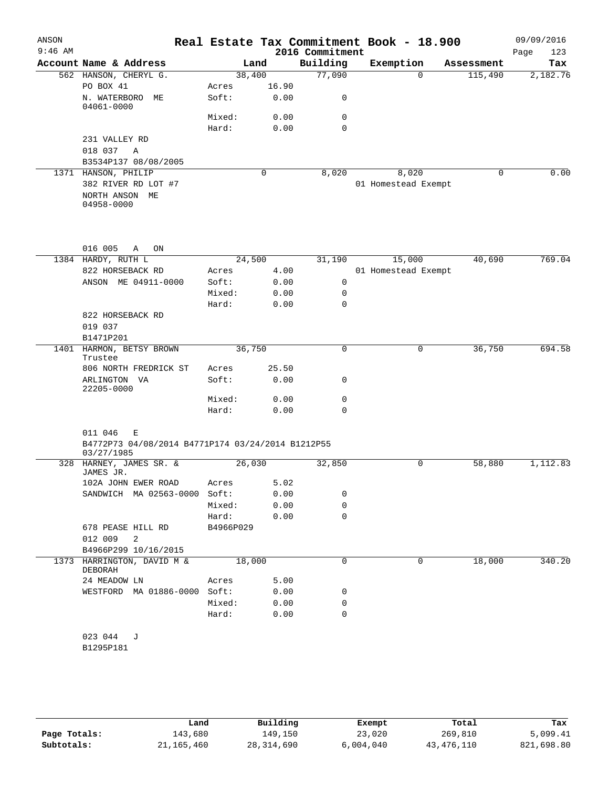| ANSON<br>$9:46$ AM |                                                                                 |                    |       |                             | Real Estate Tax Commitment Book - 18.900 |                       | 09/09/2016         |
|--------------------|---------------------------------------------------------------------------------|--------------------|-------|-----------------------------|------------------------------------------|-----------------------|--------------------|
|                    | Account Name & Address                                                          |                    | Land  | 2016 Commitment<br>Building | Exemption                                |                       | Page<br>123<br>Tax |
|                    | 562 HANSON, CHERYL G.                                                           | 38,400             |       | 77,090                      | $\Omega$                                 | Assessment<br>115,490 | 2,182.76           |
|                    | PO BOX 41                                                                       | Acres              | 16.90 |                             |                                          |                       |                    |
|                    | N. WATERBORO<br>МE<br>04061-0000                                                | Soft:              | 0.00  | 0                           |                                          |                       |                    |
|                    |                                                                                 | Mixed:             | 0.00  | 0                           |                                          |                       |                    |
|                    |                                                                                 | Hard:              | 0.00  | 0                           |                                          |                       |                    |
|                    | 231 VALLEY RD                                                                   |                    |       |                             |                                          |                       |                    |
|                    | 018 037<br>A                                                                    |                    |       |                             |                                          |                       |                    |
|                    | B3534P137 08/08/2005                                                            |                    |       |                             |                                          |                       |                    |
|                    | 1371 HANSON, PHILIP                                                             |                    | 0     | 8,020                       | 8,020                                    | 0                     | 0.00               |
|                    | 382 RIVER RD LOT #7<br>NORTH ANSON ME<br>04958-0000                             |                    |       |                             | 01 Homestead Exempt                      |                       |                    |
|                    |                                                                                 |                    |       |                             |                                          |                       |                    |
|                    | 016 005<br>A<br>ON                                                              |                    |       |                             |                                          | 40,690                | 769.04             |
|                    | 1384 HARDY, RUTH L<br>822 HORSEBACK RD                                          | 24,500<br>Acres    | 4.00  | 31,190                      | 15,000<br>01 Homestead Exempt            |                       |                    |
|                    | ANSON ME 04911-0000                                                             | Soft:              | 0.00  | 0                           |                                          |                       |                    |
|                    |                                                                                 | Mixed:             | 0.00  | 0                           |                                          |                       |                    |
|                    |                                                                                 | Hard:              | 0.00  | 0                           |                                          |                       |                    |
|                    | 822 HORSEBACK RD                                                                |                    |       |                             |                                          |                       |                    |
|                    | 019 037                                                                         |                    |       |                             |                                          |                       |                    |
|                    | B1471P201                                                                       |                    |       |                             |                                          |                       |                    |
| 1401               | HARMON, BETSY BROWN<br>Trustee                                                  | 36,750             |       | 0                           | 0                                        | 36,750                | 694.58             |
|                    | 806 NORTH FREDRICK ST                                                           | Acres              | 25.50 |                             |                                          |                       |                    |
|                    | ARLINGTON VA<br>22205-0000                                                      | Soft:              | 0.00  | 0                           |                                          |                       |                    |
|                    |                                                                                 | Mixed:             | 0.00  | 0                           |                                          |                       |                    |
|                    |                                                                                 | Hard:              | 0.00  | $\Omega$                    |                                          |                       |                    |
|                    | 011 046<br>Е<br>B4772P73 04/08/2014 B4771P174 03/24/2014 B1212P55<br>03/27/1985 |                    |       |                             |                                          |                       |                    |
| 328                | HARNEY, JAMES SR. &<br>JAMES JR.                                                | 26,030             |       | 32,850                      | 0                                        | 58,880                | 1,112.83           |
|                    | 102A JOHN EWER ROAD                                                             | Acres              | 5.02  |                             |                                          |                       |                    |
|                    | SANDWICH MA 02563-0000 Soft:                                                    |                    | 0.00  | 0                           |                                          |                       |                    |
|                    |                                                                                 | Mixed:             | 0.00  | 0                           |                                          |                       |                    |
|                    | 678 PEASE HILL RD                                                               | Hard:<br>B4966P029 | 0.00  | 0                           |                                          |                       |                    |
|                    | 012 009<br>2                                                                    |                    |       |                             |                                          |                       |                    |
|                    | B4966P299 10/16/2015                                                            |                    |       |                             |                                          |                       |                    |
|                    | 1373 HARRINGTON, DAVID M &                                                      | 18,000             |       | 0                           | 0                                        | 18,000                | 340.20             |
|                    | DEBORAH                                                                         |                    |       |                             |                                          |                       |                    |
|                    | 24 MEADOW LN                                                                    | Acres              | 5.00  |                             |                                          |                       |                    |
|                    | WESTFORD MA 01886-0000 Soft:                                                    |                    | 0.00  | 0                           |                                          |                       |                    |
|                    |                                                                                 | Mixed:             | 0.00  | 0                           |                                          |                       |                    |
|                    |                                                                                 | Hard:              | 0.00  | 0                           |                                          |                       |                    |
|                    | 023 044<br>J<br>B1295P181                                                       |                    |       |                             |                                          |                       |                    |

|              | Land         | Building   | Exempt    | Total      | Tax        |
|--------------|--------------|------------|-----------|------------|------------|
| Page Totals: | 143,680      | 149,150    | 23,020    | 269,810    | 5,099.41   |
| Subtotals:   | 21, 165, 460 | 28,314,690 | 6.004.040 | 43,476,110 | 821,698.80 |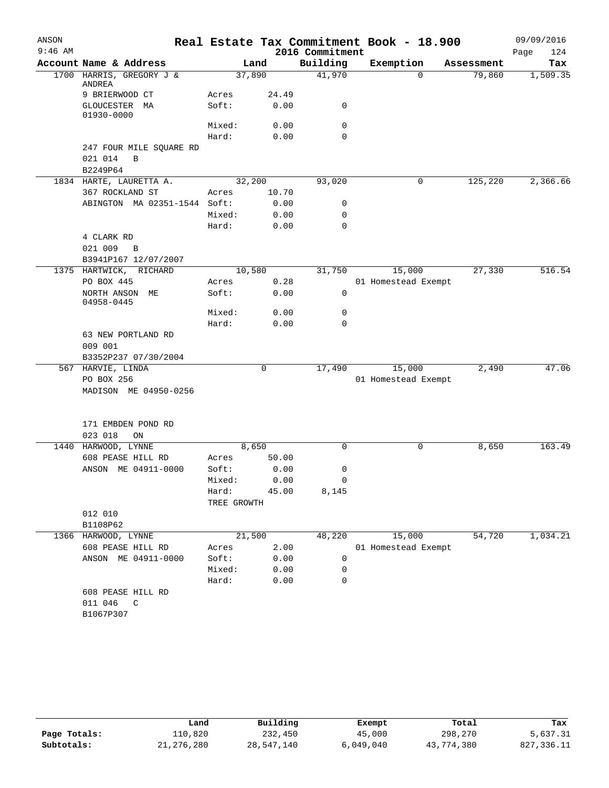| ANSON     |                                                     |             |       |                 | Real Estate Tax Commitment Book - 18.900 |            | 09/09/2016  |
|-----------|-----------------------------------------------------|-------------|-------|-----------------|------------------------------------------|------------|-------------|
| $9:46$ AM |                                                     |             |       | 2016 Commitment |                                          |            | Page<br>124 |
|           | Account Name & Address                              |             | Land  | Building        | Exemption                                | Assessment | Tax         |
|           | 1700 HARRIS, GREGORY J &<br>ANDREA                  | 37,890      |       | 41,970          | $\mathbf 0$                              | 79,860     | 1,509.35    |
|           | 9 BRIERWOOD CT                                      | Acres       | 24.49 |                 |                                          |            |             |
|           | GLOUCESTER MA<br>01930-0000                         | Soft:       | 0.00  | 0               |                                          |            |             |
|           |                                                     | Mixed:      | 0.00  | 0               |                                          |            |             |
|           |                                                     | Hard:       | 0.00  | $\Omega$        |                                          |            |             |
|           | 247 FOUR MILE SQUARE RD<br>021 014<br>B<br>B2249P64 |             |       |                 |                                          |            |             |
|           | 1834 HARTE, LAURETTA A.                             | 32,200      |       | 93,020          | 0                                        | 125,220    | 2,366.66    |
|           | 367 ROCKLAND ST                                     | Acres       | 10.70 |                 |                                          |            |             |
|           | ABINGTON MA 02351-1544 Soft:                        |             | 0.00  | 0               |                                          |            |             |
|           |                                                     | Mixed:      | 0.00  | 0               |                                          |            |             |
|           |                                                     | Hard:       | 0.00  | 0               |                                          |            |             |
|           | 4 CLARK RD                                          |             |       |                 |                                          |            |             |
|           | 021 009<br>B                                        |             |       |                 |                                          |            |             |
|           | B3941P167 12/07/2007                                |             |       |                 |                                          |            |             |
|           | 1375 HARTWICK, RICHARD                              | 10,580      |       | 31,750          | 15,000                                   | 27,330     | 516.54      |
|           | PO BOX 445                                          | Acres       | 0.28  |                 | 01 Homestead Exempt                      |            |             |
|           | NORTH ANSON ME<br>04958-0445                        | Soft:       | 0.00  | 0               |                                          |            |             |
|           |                                                     | Mixed:      | 0.00  | 0               |                                          |            |             |
|           |                                                     | Hard:       | 0.00  | 0               |                                          |            |             |
|           | 63 NEW PORTLAND RD                                  |             |       |                 |                                          |            |             |
|           | 009 001                                             |             |       |                 |                                          |            |             |
|           | B3352P237 07/30/2004                                |             |       |                 |                                          |            |             |
|           | 567 HARVIE, LINDA                                   |             | 0     | 17,490          | 15,000                                   | 2,490      | 47.06       |
|           | PO BOX 256                                          |             |       |                 | 01 Homestead Exempt                      |            |             |
|           | MADISON ME 04950-0256                               |             |       |                 |                                          |            |             |
|           |                                                     |             |       |                 |                                          |            |             |
|           | 171 EMBDEN POND RD<br>023 018<br>ON                 |             |       |                 |                                          |            |             |
|           | 1440 HARWOOD, LYNNE                                 |             | 8,650 | 0               | $\mathbf 0$                              | 8,650      | 163.49      |
|           | 608 PEASE HILL RD                                   | Acres       | 50.00 |                 |                                          |            |             |
|           | ANSON ME 04911-0000                                 | Soft:       | 0.00  | 0               |                                          |            |             |
|           |                                                     | Mixed:      | 0.00  | 0               |                                          |            |             |
|           |                                                     | Hard:       | 45.00 | 8,145           |                                          |            |             |
|           |                                                     | TREE GROWTH |       |                 |                                          |            |             |
|           | 012 010                                             |             |       |                 |                                          |            |             |
|           | B1108P62                                            |             |       |                 |                                          |            |             |
|           | 1366 HARWOOD, LYNNE                                 | 21,500      |       | 48,220          | 15,000                                   | 54,720     | 1,034.21    |
|           | 608 PEASE HILL RD                                   | Acres       | 2.00  |                 | 01 Homestead Exempt                      |            |             |
|           | ANSON ME 04911-0000                                 | Soft:       | 0.00  | 0               |                                          |            |             |
|           |                                                     | Mixed:      | 0.00  | 0               |                                          |            |             |
|           |                                                     | Hard:       | 0.00  | 0               |                                          |            |             |
|           | 608 PEASE HILL RD                                   |             |       |                 |                                          |            |             |
|           | 011 046<br>$\mathbb{C}$                             |             |       |                 |                                          |            |             |
|           | B1067P307                                           |             |       |                 |                                          |            |             |
|           |                                                     |             |       |                 |                                          |            |             |

|              | Land         | Building   | Exempt    | Total      | Tax        |
|--------------|--------------|------------|-----------|------------|------------|
| Page Totals: | 110,820      | 232,450    | 45,000    | 298,270    | 5,637.31   |
| Subtotals:   | 21, 276, 280 | 28,547,140 | 6,049,040 | 43,774,380 | 827,336.11 |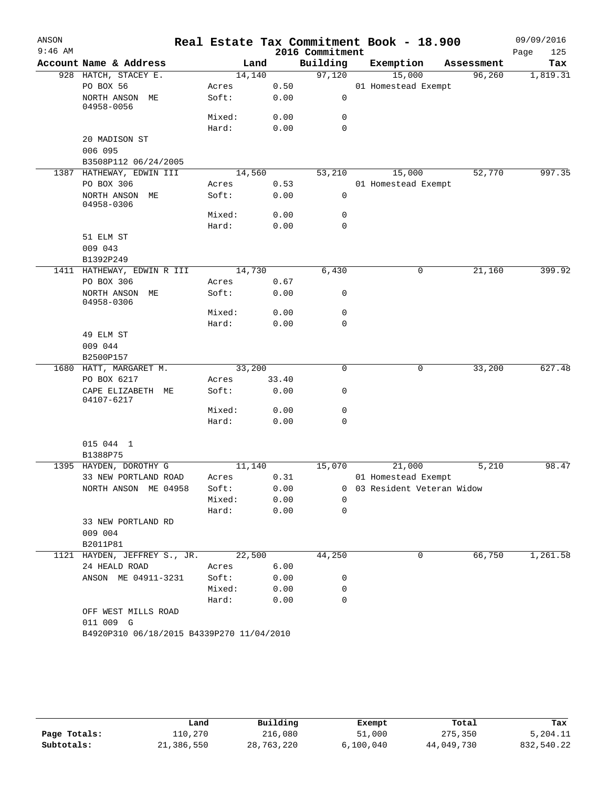| ANSON     |                                           |        |       |      |                 | Real Estate Tax Commitment Book - 18.900 |            |        | 09/09/2016 |          |
|-----------|-------------------------------------------|--------|-------|------|-----------------|------------------------------------------|------------|--------|------------|----------|
| $9:46$ AM |                                           |        |       |      | 2016 Commitment |                                          |            |        | Page       | 125      |
|           | Account Name & Address                    | Land   |       |      | Building        | Exemption                                | Assessment |        |            | Tax      |
|           | 928 HATCH, STACEY E.                      | 14,140 |       |      | 97,120          | 15,000                                   |            | 96,260 |            | 1,819.31 |
|           | PO BOX 56                                 | Acres  |       | 0.50 |                 | 01 Homestead Exempt                      |            |        |            |          |
|           | NORTH ANSON ME<br>04958-0056              | Soft:  |       | 0.00 | $\mathsf{O}$    |                                          |            |        |            |          |
|           |                                           | Mixed: |       | 0.00 | 0               |                                          |            |        |            |          |
|           |                                           | Hard:  |       | 0.00 | $\mathbf 0$     |                                          |            |        |            |          |
|           | 20 MADISON ST                             |        |       |      |                 |                                          |            |        |            |          |
|           | 006 095                                   |        |       |      |                 |                                          |            |        |            |          |
|           | B3508P112 06/24/2005                      |        |       |      |                 |                                          |            |        |            |          |
|           | 1387 HATHEWAY, EDWIN III                  | 14,560 |       |      | 53,210          | 15,000                                   |            | 52,770 |            | 997.35   |
|           | PO BOX 306                                | Acres  |       | 0.53 |                 | 01 Homestead Exempt                      |            |        |            |          |
|           | NORTH ANSON ME<br>04958-0306              | Soft:  |       | 0.00 | $\mathsf{O}$    |                                          |            |        |            |          |
|           |                                           | Mixed: |       | 0.00 | $\mathbf 0$     |                                          |            |        |            |          |
|           |                                           | Hard:  |       | 0.00 | $\mathbf 0$     |                                          |            |        |            |          |
|           | 51 ELM ST                                 |        |       |      |                 |                                          |            |        |            |          |
|           | 009 043                                   |        |       |      |                 |                                          |            |        |            |          |
|           | B1392P249                                 |        |       |      |                 |                                          |            |        |            |          |
|           | 1411 HATHEWAY, EDWIN R III                | 14,730 |       |      | 6,430           | 0                                        |            | 21,160 |            | 399.92   |
|           | PO BOX 306                                | Acres  |       | 0.67 |                 |                                          |            |        |            |          |
|           | NORTH ANSON ME<br>04958-0306              | Soft:  |       | 0.00 | 0               |                                          |            |        |            |          |
|           |                                           | Mixed: |       | 0.00 | 0               |                                          |            |        |            |          |
|           |                                           | Hard:  |       | 0.00 | 0               |                                          |            |        |            |          |
|           | 49 ELM ST                                 |        |       |      |                 |                                          |            |        |            |          |
|           | 009 044                                   |        |       |      |                 |                                          |            |        |            |          |
|           | B2500P157                                 |        |       |      |                 |                                          |            |        |            |          |
|           | 1680 HATT, MARGARET M.                    | 33,200 |       |      | $\mathbf 0$     | 0                                        |            | 33,200 |            | 627.48   |
|           | PO BOX 6217                               | Acres  | 33.40 |      |                 |                                          |            |        |            |          |
|           | CAPE ELIZABETH ME<br>04107-6217           | Soft:  |       | 0.00 | 0               |                                          |            |        |            |          |
|           |                                           | Mixed: |       | 0.00 | 0               |                                          |            |        |            |          |
|           |                                           | Hard:  |       | 0.00 | 0               |                                          |            |        |            |          |
|           | 015 044 1                                 |        |       |      |                 |                                          |            |        |            |          |
|           | B1388P75                                  |        |       |      |                 |                                          |            |        |            |          |
|           | 1395 HAYDEN, DOROTHY G                    | 11,140 |       |      | 15,070          | 21,000                                   |            | 5,210  |            | 98.47    |
|           | 33 NEW PORTLAND ROAD                      | Acres  |       | 0.31 |                 | 01 Homestead Exempt                      |            |        |            |          |
|           | NORTH ANSON ME 04958                      | Soft:  |       | 0.00 |                 | 0 03 Resident Veteran Widow              |            |        |            |          |
|           |                                           | Mixed: |       | 0.00 | 0               |                                          |            |        |            |          |
|           |                                           | Hard:  |       | 0.00 | 0               |                                          |            |        |            |          |
|           | 33 NEW PORTLAND RD                        |        |       |      |                 |                                          |            |        |            |          |
|           | 009 004                                   |        |       |      |                 |                                          |            |        |            |          |
|           | B2011P81                                  |        |       |      |                 |                                          |            |        |            |          |
|           | 1121 HAYDEN, JEFFREY S., JR.              | 22,500 |       |      | 44,250          | 0                                        |            | 66,750 |            | 1,261.58 |
|           | 24 HEALD ROAD                             | Acres  |       | 6.00 |                 |                                          |            |        |            |          |
|           | ANSON ME 04911-3231                       | Soft:  |       | 0.00 | 0               |                                          |            |        |            |          |
|           |                                           | Mixed: |       | 0.00 | 0               |                                          |            |        |            |          |
|           |                                           | Hard:  |       | 0.00 | 0               |                                          |            |        |            |          |
|           | OFF WEST MILLS ROAD                       |        |       |      |                 |                                          |            |        |            |          |
|           | 011 009 G                                 |        |       |      |                 |                                          |            |        |            |          |
|           | B4920P310 06/18/2015 B4339P270 11/04/2010 |        |       |      |                 |                                          |            |        |            |          |
|           |                                           |        |       |      |                 |                                          |            |        |            |          |

|              | Land       | Building   | Exempt    | Total      | Tax        |
|--------------|------------|------------|-----------|------------|------------|
| Page Totals: | 110,270    | 216,080    | 51,000    | 275,350    | 5,204.11   |
| Subtotals:   | 21,386,550 | 28,763,220 | 6,100,040 | 44,049,730 | 832,540.22 |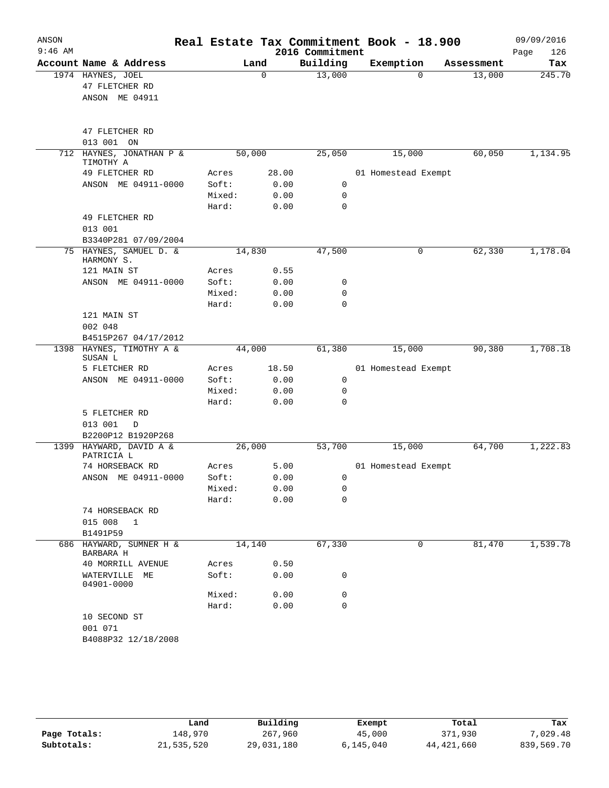| ANSON     |                                       |        |       |                             | Real Estate Tax Commitment Book - 18.900 |            | 09/09/2016         |
|-----------|---------------------------------------|--------|-------|-----------------------------|------------------------------------------|------------|--------------------|
| $9:46$ AM | Account Name & Address                |        | Land  | 2016 Commitment<br>Building | Exemption                                | Assessment | 126<br>Page<br>Tax |
|           | 1974 HAYNES, JOEL                     |        | 0     | 13,000                      | $\Omega$                                 | 13,000     | 245.70             |
|           | 47 FLETCHER RD                        |        |       |                             |                                          |            |                    |
|           | ANSON ME 04911                        |        |       |                             |                                          |            |                    |
|           |                                       |        |       |                             |                                          |            |                    |
|           | 47 FLETCHER RD                        |        |       |                             |                                          |            |                    |
|           | 013 001 ON                            |        |       |                             |                                          |            |                    |
| 712       | HAYNES, JONATHAN P &<br>TIMOTHY A     | 50,000 |       | 25,050                      | 15,000                                   | 60,050     | 1,134.95           |
|           | 49 FLETCHER RD                        | Acres  | 28.00 |                             | 01 Homestead Exempt                      |            |                    |
|           | ANSON ME 04911-0000                   | Soft:  | 0.00  | 0                           |                                          |            |                    |
|           |                                       | Mixed: | 0.00  | 0                           |                                          |            |                    |
|           |                                       | Hard:  | 0.00  | $\mathbf 0$                 |                                          |            |                    |
|           | 49 FLETCHER RD                        |        |       |                             |                                          |            |                    |
|           | 013 001                               |        |       |                             |                                          |            |                    |
|           | B3340P281 07/09/2004                  |        |       |                             |                                          |            |                    |
|           | 75 HAYNES, SAMUEL D. &<br>HARMONY S.  | 14,830 |       | 47,500                      | 0                                        | 62,330     | 1,178.04           |
|           | 121 MAIN ST                           | Acres  | 0.55  |                             |                                          |            |                    |
|           | ANSON ME 04911-0000                   | Soft:  | 0.00  | 0                           |                                          |            |                    |
|           |                                       | Mixed: | 0.00  | 0<br>$\mathbf 0$            |                                          |            |                    |
|           | 121 MAIN ST                           | Hard:  | 0.00  |                             |                                          |            |                    |
|           | 002 048                               |        |       |                             |                                          |            |                    |
|           | B4515P267 04/17/2012                  |        |       |                             |                                          |            |                    |
| 1398      | HAYNES, TIMOTHY A &                   | 44,000 |       | 61,380                      | 15,000                                   | 90,380     | 1,708.18           |
|           | SUSAN L<br>5 FLETCHER RD              | Acres  | 18.50 |                             | 01 Homestead Exempt                      |            |                    |
|           | ANSON ME 04911-0000                   | Soft:  | 0.00  | 0                           |                                          |            |                    |
|           |                                       | Mixed: | 0.00  | 0                           |                                          |            |                    |
|           |                                       | Hard:  | 0.00  | $\Omega$                    |                                          |            |                    |
|           | 5 FLETCHER RD                         |        |       |                             |                                          |            |                    |
|           | 013 001<br>D                          |        |       |                             |                                          |            |                    |
|           | B2200P12 B1920P268                    |        |       |                             |                                          |            |                    |
|           | 1399 HAYWARD, DAVID A &<br>PATRICIA L | 26,000 |       | 53,700                      | 15,000                                   | 64,700     | 1,222.83           |
|           | 74 HORSEBACK RD                       | Acres  | 5.00  |                             | 01 Homestead Exempt                      |            |                    |
|           | ANSON ME 04911-0000                   | Soft:  | 0.00  | 0                           |                                          |            |                    |
|           |                                       | Mixed: | 0.00  | 0                           |                                          |            |                    |
|           |                                       | Hard:  | 0.00  | 0                           |                                          |            |                    |
|           | 74 HORSEBACK RD                       |        |       |                             |                                          |            |                    |
|           | 015 008<br>$\mathbf 1$                |        |       |                             |                                          |            |                    |
|           | B1491P59                              |        |       |                             |                                          | 81,470     | 1,539.78           |
| 686       | HAYWARD, SUMNER H &<br>BARBARA H      | 14,140 |       | 67,330                      | 0                                        |            |                    |
|           | 40 MORRILL AVENUE                     | Acres  | 0.50  |                             |                                          |            |                    |
|           | WATERVILLE<br>МE<br>04901-0000        | Soft:  | 0.00  | 0                           |                                          |            |                    |
|           |                                       | Mixed: | 0.00  | 0                           |                                          |            |                    |
|           |                                       | Hard:  | 0.00  | 0                           |                                          |            |                    |
|           | 10 SECOND ST                          |        |       |                             |                                          |            |                    |
|           | 001 071                               |        |       |                             |                                          |            |                    |
|           | B4088P32 12/18/2008                   |        |       |                             |                                          |            |                    |
|           |                                       |        |       |                             |                                          |            |                    |

|              | Land       | Building   | Exempt    | Total      | Tax        |
|--------------|------------|------------|-----------|------------|------------|
| Page Totals: | 148,970    | 267,960    | 45,000    | 371,930    | 7,029.48   |
| Subtotals:   | 21,535,520 | 29,031,180 | 6,145,040 | 44,421,660 | 839,569.70 |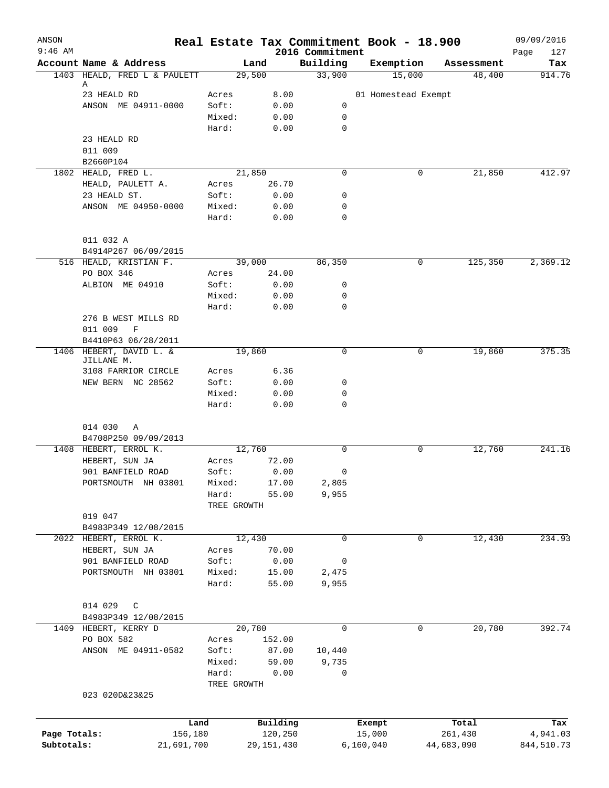| ANSON<br>$9:46$ AM         |                                       | Real Estate Tax Commitment Book - 18.900 |                         | 2016 Commitment |                     |        |                       | 09/09/2016<br>127<br>Page |
|----------------------------|---------------------------------------|------------------------------------------|-------------------------|-----------------|---------------------|--------|-----------------------|---------------------------|
|                            | Account Name & Address                | Land                                     |                         | Building        | Exemption           |        | Assessment            | Tax                       |
|                            | 1403 HEALD, FRED L & PAULETT          | 29,500                                   |                         | 33,900          |                     | 15,000 | 48,400                | 914.76                    |
|                            | А                                     |                                          |                         |                 |                     |        |                       |                           |
|                            | 23 HEALD RD                           | Acres                                    | 8.00                    |                 | 01 Homestead Exempt |        |                       |                           |
|                            | ANSON ME 04911-0000                   | Soft:<br>Mixed:                          | 0.00<br>0.00            | 0<br>0          |                     |        |                       |                           |
|                            |                                       | Hard:                                    | 0.00                    | $\mathbf 0$     |                     |        |                       |                           |
|                            | 23 HEALD RD                           |                                          |                         |                 |                     |        |                       |                           |
|                            | 011 009                               |                                          |                         |                 |                     |        |                       |                           |
|                            | B2660P104                             |                                          |                         |                 |                     |        |                       |                           |
|                            | 1802 HEALD, FRED L.                   | 21,850                                   |                         | 0               |                     | 0      | 21,850                | 412.97                    |
|                            | HEALD, PAULETT A.                     | Acres                                    | 26.70                   |                 |                     |        |                       |                           |
|                            | 23 HEALD ST.                          | Soft:                                    | 0.00                    | 0               |                     |        |                       |                           |
|                            | ANSON ME 04950-0000                   | Mixed:                                   | 0.00                    | $\mathbf 0$     |                     |        |                       |                           |
|                            |                                       | Hard:                                    | 0.00                    | $\mathbf 0$     |                     |        |                       |                           |
|                            | 011 032 A                             |                                          |                         |                 |                     |        |                       |                           |
|                            | B4914P267 06/09/2015                  |                                          |                         |                 |                     |        |                       |                           |
|                            | 516 HEALD, KRISTIAN F.                | 39,000                                   |                         | 86,350          |                     | 0      | 125,350               | 2,369.12                  |
|                            | PO BOX 346                            | Acres                                    | 24.00                   |                 |                     |        |                       |                           |
|                            | ALBION ME 04910                       | Soft:                                    | 0.00                    | 0               |                     |        |                       |                           |
|                            |                                       | Mixed:                                   | 0.00                    | $\mathbf 0$     |                     |        |                       |                           |
|                            |                                       | Hard:                                    | 0.00                    | $\mathbf 0$     |                     |        |                       |                           |
|                            | 276 B WEST MILLS RD                   |                                          |                         |                 |                     |        |                       |                           |
|                            | 011 009<br>$\,$ F                     |                                          |                         |                 |                     |        |                       |                           |
|                            | B4410P63 06/28/2011                   |                                          |                         |                 |                     |        |                       |                           |
|                            | 1406 HEBERT, DAVID L. &<br>JILLANE M. | 19,860                                   |                         | $\Omega$        |                     | 0      | 19,860                | 375.35                    |
|                            | 3108 FARRIOR CIRCLE                   | Acres                                    | 6.36                    |                 |                     |        |                       |                           |
|                            | NEW BERN NC 28562                     | Soft:                                    | 0.00                    | 0               |                     |        |                       |                           |
|                            |                                       | Mixed:                                   | 0.00                    | 0               |                     |        |                       |                           |
|                            |                                       | Hard:                                    | 0.00                    | $\mathbf 0$     |                     |        |                       |                           |
|                            | 014 030<br>Α                          |                                          |                         |                 |                     |        |                       |                           |
|                            | B4708P250 09/09/2013                  |                                          |                         |                 |                     |        |                       |                           |
|                            | 1408 HEBERT, ERROL K.                 | 12,760                                   |                         | $\Omega$        |                     | 0      | 12,760                | 241.16                    |
|                            | HEBERT, SUN JA                        | Acres                                    | 72.00                   |                 |                     |        |                       |                           |
|                            | 901 BANFIELD ROAD                     | Soft:                                    | 0.00                    | 0               |                     |        |                       |                           |
|                            | PORTSMOUTH NH 03801                   | Mixed:                                   | 17.00                   | 2,805           |                     |        |                       |                           |
|                            |                                       | Hard:                                    | 55.00                   | 9,955           |                     |        |                       |                           |
|                            |                                       | TREE GROWTH                              |                         |                 |                     |        |                       |                           |
|                            | 019 047                               |                                          |                         |                 |                     |        |                       |                           |
|                            | B4983P349 12/08/2015                  |                                          |                         |                 |                     |        |                       |                           |
|                            | 2022 HEBERT, ERROL K.                 | 12,430                                   |                         | $\Omega$        |                     | 0      | 12,430                | 234.93                    |
|                            | HEBERT, SUN JA                        | Acres                                    | 70.00                   |                 |                     |        |                       |                           |
|                            | 901 BANFIELD ROAD                     | Soft:                                    | 0.00                    | 0               |                     |        |                       |                           |
|                            | PORTSMOUTH NH 03801                   | Mixed:                                   | 15.00                   | 2,475           |                     |        |                       |                           |
|                            |                                       | Hard:                                    | 55.00                   | 9,955           |                     |        |                       |                           |
|                            | 014 029<br>C                          |                                          |                         |                 |                     |        |                       |                           |
|                            | B4983P349 12/08/2015                  |                                          |                         |                 |                     |        |                       |                           |
|                            | 1409 HEBERT, KERRY D                  | 20,780                                   |                         | 0               |                     | 0      | 20,780                | 392.74                    |
|                            | PO BOX 582                            | Acres                                    | 152.00                  |                 |                     |        |                       |                           |
|                            | ANSON ME 04911-0582                   | Soft:                                    | 87.00                   | 10,440          |                     |        |                       |                           |
|                            |                                       | Mixed:                                   | 59.00                   | 9,735           |                     |        |                       |                           |
|                            |                                       | Hard:                                    | 0.00                    | 0               |                     |        |                       |                           |
|                            |                                       | TREE GROWTH                              |                         |                 |                     |        |                       |                           |
|                            | 023 020D&23&25                        |                                          |                         |                 |                     |        |                       |                           |
|                            |                                       |                                          |                         |                 |                     |        |                       |                           |
|                            | Land                                  |                                          | Building                |                 | Exempt              |        | Total                 | Tax                       |
| Page Totals:<br>Subtotals: | 156,180<br>21,691,700                 |                                          | 120,250<br>29, 151, 430 |                 | 15,000<br>6,160,040 |        | 261,430<br>44,683,090 | 4,941.03<br>844,510.73    |
|                            |                                       |                                          |                         |                 |                     |        |                       |                           |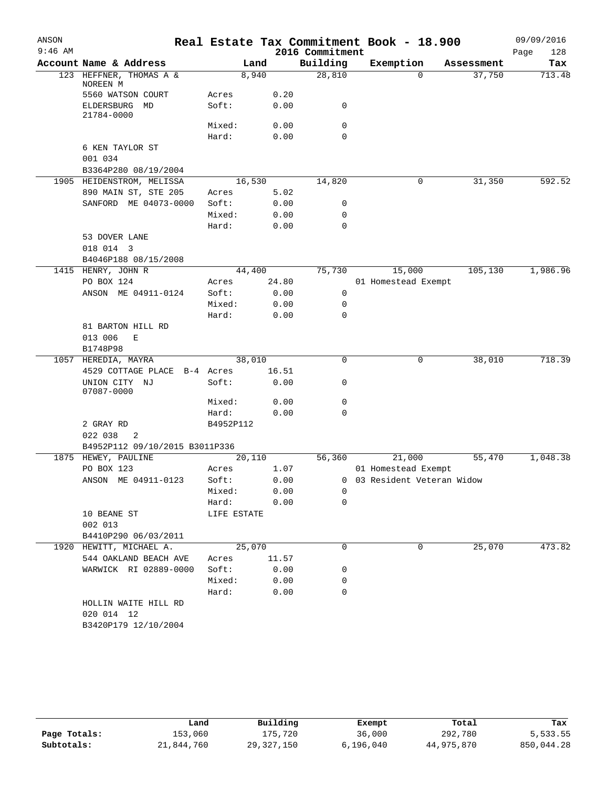| ANSON<br>$9:46$ AM |                                    |             |        | 2016 Commitment |             | Real Estate Tax Commitment Book - 18.900 |            | 09/09/2016<br>Page<br>128 |
|--------------------|------------------------------------|-------------|--------|-----------------|-------------|------------------------------------------|------------|---------------------------|
|                    | Account Name & Address             |             | Land   | Building        |             | Exemption                                | Assessment | Tax                       |
|                    | 123 HEFFNER, THOMAS A &            |             | 8,940  | 28,810          |             | 0                                        | 37,750     | 713.48                    |
|                    | NOREEN M<br>5560 WATSON COURT      | Acres       | 0.20   |                 |             |                                          |            |                           |
|                    | ELDERSBURG<br>MD<br>21784-0000     | Soft:       | 0.00   |                 | 0           |                                          |            |                           |
|                    |                                    | Mixed:      | 0.00   |                 | 0           |                                          |            |                           |
|                    |                                    | Hard:       | 0.00   |                 | $\mathbf 0$ |                                          |            |                           |
|                    | 6 KEN TAYLOR ST<br>001 034         |             |        |                 |             |                                          |            |                           |
|                    | B3364P280 08/19/2004               |             |        |                 |             |                                          |            |                           |
|                    | 1905 HEIDENSTROM, MELISSA          |             | 16,530 | 14,820          |             | 0                                        | 31,350     | 592.52                    |
|                    | 890 MAIN ST, STE 205               | Acres       |        | 5.02            |             |                                          |            |                           |
|                    | SANFORD ME 04073-0000              | Soft:       | 0.00   |                 | 0           |                                          |            |                           |
|                    |                                    | Mixed:      | 0.00   |                 | 0           |                                          |            |                           |
|                    |                                    | Hard:       | 0.00   |                 | 0           |                                          |            |                           |
|                    | 53 DOVER LANE                      |             |        |                 |             |                                          |            |                           |
|                    | 018 014 3                          |             |        |                 |             |                                          |            |                           |
|                    | B4046P188 08/15/2008               |             |        |                 |             |                                          |            |                           |
|                    | 1415 HENRY, JOHN R                 |             | 44,400 | 75,730          |             | 15,000                                   | 105,130    | 1,986.96                  |
|                    | PO BOX 124                         | Acres       | 24.80  |                 |             | 01 Homestead Exempt                      |            |                           |
|                    | ANSON ME 04911-0124                | Soft:       | 0.00   |                 | 0           |                                          |            |                           |
|                    |                                    | Mixed:      | 0.00   |                 | 0           |                                          |            |                           |
|                    |                                    | Hard:       | 0.00   |                 | 0           |                                          |            |                           |
|                    | 81 BARTON HILL RD                  |             |        |                 |             |                                          |            |                           |
|                    | 013 006<br>Ε                       |             |        |                 |             |                                          |            |                           |
|                    | B1748P98                           |             |        |                 |             |                                          |            |                           |
|                    | 1057 HEREDIA, MAYRA                |             | 38,010 |                 | 0           | 0                                        | 38,010     | 718.39                    |
|                    | 4529 COTTAGE PLACE                 | B-4 Acres   | 16.51  |                 |             |                                          |            |                           |
|                    | UNION CITY NJ<br>07087-0000        | Soft:       | 0.00   |                 | 0           |                                          |            |                           |
|                    |                                    | Mixed:      | 0.00   |                 | 0           |                                          |            |                           |
|                    |                                    | Hard:       | 0.00   |                 | 0           |                                          |            |                           |
|                    | 2 GRAY RD                          | B4952P112   |        |                 |             |                                          |            |                           |
|                    | 022 038<br>2                       |             |        |                 |             |                                          |            |                           |
|                    | B4952P112 09/10/2015 B3011P336     |             |        |                 |             |                                          |            |                           |
|                    | 1875 HEWEY, PAULINE                |             | 20,110 | 56,360          |             | 21,000                                   | 55,470     | 1,048.38                  |
|                    | PO BOX 123                         | Acres       |        | 1.07            |             | 01 Homestead Exempt                      |            |                           |
|                    | ANSON ME 04911-0123                | Soft:       |        | 0.00            |             | 0 03 Resident Veteran Widow              |            |                           |
|                    |                                    | Mixed:      | 0.00   |                 | 0           |                                          |            |                           |
|                    |                                    | Hard:       |        | 0.00            | $\mathbf 0$ |                                          |            |                           |
|                    | 10 BEANE ST                        | LIFE ESTATE |        |                 |             |                                          |            |                           |
|                    | 002 013                            |             |        |                 |             |                                          |            |                           |
|                    | B4410P290 06/03/2011               |             |        |                 |             |                                          |            |                           |
|                    | 1920 HEWITT, MICHAEL A.            |             | 25,070 |                 | $\mathbf 0$ | 0                                        | 25,070     | 473.82                    |
|                    | 544 OAKLAND BEACH AVE              | Acres       | 11.57  |                 |             |                                          |            |                           |
|                    | WARWICK RI 02889-0000              | Soft:       | 0.00   |                 | 0           |                                          |            |                           |
|                    |                                    | Mixed:      |        | 0.00            | 0           |                                          |            |                           |
|                    |                                    | Hard:       |        | 0.00            | 0           |                                          |            |                           |
|                    | HOLLIN WAITE HILL RD<br>020 014 12 |             |        |                 |             |                                          |            |                           |
|                    | B3420P179 12/10/2004               |             |        |                 |             |                                          |            |                           |
|                    |                                    |             |        |                 |             |                                          |            |                           |

|              | Land       | Building     | Exempt    | Total      | Tax        |
|--------------|------------|--------------|-----------|------------|------------|
| Page Totals: | 153,060    | 175,720      | 36,000    | 292,780    | 5,533.55   |
| Subtotals:   | 21,844,760 | 29, 327, 150 | 6,196,040 | 44,975,870 | 850,044.28 |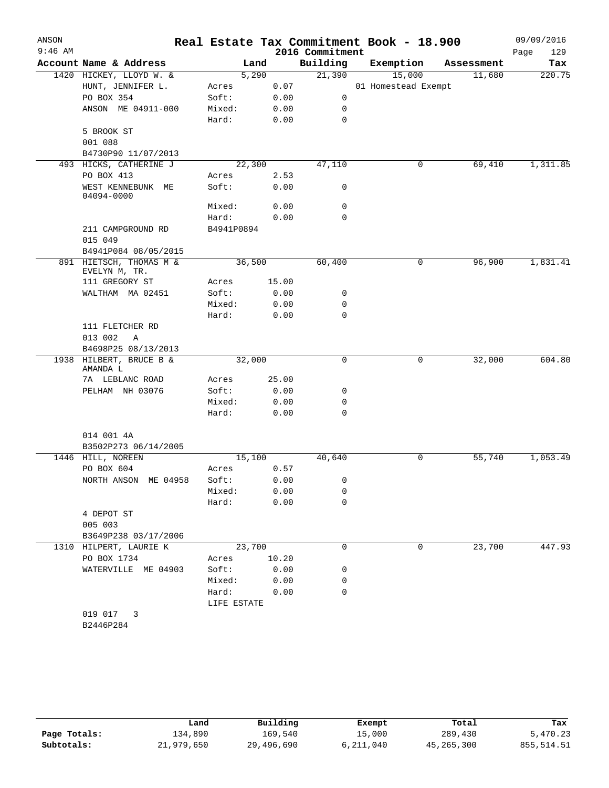| ANSON<br>$9:46$ AM |                                           |                 |        |              | 2016 Commitment | Real Estate Tax Commitment Book - 18.900 |            | 09/09/2016<br>Page<br>129 |
|--------------------|-------------------------------------------|-----------------|--------|--------------|-----------------|------------------------------------------|------------|---------------------------|
|                    | Account Name & Address                    |                 | Land   |              | Building        | Exemption                                | Assessment | Tax                       |
|                    | 1420 HICKEY, LLOYD W. &                   |                 | 5,290  |              | 21,390          | 15,000                                   | 11,680     | 220.75                    |
|                    | HUNT, JENNIFER L.                         | Acres           |        | 0.07         |                 | 01 Homestead Exempt                      |            |                           |
|                    | PO BOX 354                                | Soft:           |        | 0.00         | 0               |                                          |            |                           |
|                    | ANSON ME 04911-000                        | Mixed:          |        | 0.00         | 0               |                                          |            |                           |
|                    |                                           | Hard:           |        | 0.00         | $\mathbf 0$     |                                          |            |                           |
|                    | 5 BROOK ST                                |                 |        |              |                 |                                          |            |                           |
|                    | 001 088                                   |                 |        |              |                 |                                          |            |                           |
|                    | B4730P90 11/07/2013                       |                 |        |              |                 |                                          |            |                           |
|                    | 493 HICKS, CATHERINE J                    |                 | 22,300 |              | 47,110          | 0                                        | 69,410     | 1,311.85                  |
|                    | PO BOX 413                                | Acres           |        | 2.53         |                 |                                          |            |                           |
|                    | WEST KENNEBUNK ME<br>04094-0000           | Soft:           |        | 0.00         | 0               |                                          |            |                           |
|                    |                                           | Mixed:          |        | 0.00         | 0               |                                          |            |                           |
|                    |                                           | Hard:           |        | 0.00         | 0               |                                          |            |                           |
|                    | 211 CAMPGROUND RD                         | B4941P0894      |        |              |                 |                                          |            |                           |
|                    | 015 049                                   |                 |        |              |                 |                                          |            |                           |
|                    | B4941P084 08/05/2015                      |                 |        |              |                 |                                          |            |                           |
|                    | 891 HIETSCH, THOMAS M &<br>EVELYN M, TR.  |                 | 36,500 |              | 60,400          | 0                                        | 96,900     | 1,831.41                  |
|                    | 111 GREGORY ST                            | Acres           |        | 15.00        |                 |                                          |            |                           |
|                    | WALTHAM MA 02451                          | Soft:           |        | 0.00         | 0               |                                          |            |                           |
|                    |                                           | Mixed:          |        | 0.00         | 0               |                                          |            |                           |
|                    |                                           | Hard:           |        | 0.00         | $\mathbf 0$     |                                          |            |                           |
|                    | 111 FLETCHER RD                           |                 |        |              |                 |                                          |            |                           |
|                    | 013 002<br>Α<br>B4698P25 08/13/2013       |                 |        |              |                 |                                          |            |                           |
|                    | 1938 HILBERT, BRUCE B &                   |                 | 32,000 |              | 0               | 0                                        | 32,000     | 604.80                    |
|                    | AMANDA L                                  |                 |        |              |                 |                                          |            |                           |
|                    | 7A LEBLANC ROAD                           | Acres           |        | 25.00        |                 |                                          |            |                           |
|                    | PELHAM NH 03076                           | Soft:           |        | 0.00         | 0               |                                          |            |                           |
|                    |                                           | Mixed:          |        | 0.00         | 0               |                                          |            |                           |
|                    |                                           | Hard:           |        | 0.00         | 0               |                                          |            |                           |
|                    |                                           |                 |        |              |                 |                                          |            |                           |
|                    | 014 001 4A                                |                 |        |              |                 |                                          |            |                           |
|                    | B3502P273 06/14/2005<br>1446 HILL, NOREEN |                 | 15,100 |              | 40,640          | 0                                        | 55,740     | 1,053.49                  |
|                    | PO BOX 604                                | Acres           |        | 0.57         |                 |                                          |            |                           |
|                    | NORTH ANSON ME 04958                      |                 |        |              | 0               |                                          |            |                           |
|                    |                                           | Soft:<br>Mixed: |        | 0.00<br>0.00 |                 |                                          |            |                           |
|                    |                                           | Hard:           |        | 0.00         | 0<br>0          |                                          |            |                           |
|                    | 4 DEPOT ST                                |                 |        |              |                 |                                          |            |                           |
|                    | 005 003                                   |                 |        |              |                 |                                          |            |                           |
|                    | B3649P238 03/17/2006                      |                 |        |              |                 |                                          |            |                           |
|                    | 1310 HILPERT, LAURIE K                    |                 | 23,700 |              | 0               | $\mathbf 0$                              | 23,700     | 447.93                    |
|                    | PO BOX 1734                               | Acres           |        | 10.20        |                 |                                          |            |                           |
|                    | WATERVILLE ME 04903                       | Soft:           |        | 0.00         | 0               |                                          |            |                           |
|                    |                                           | Mixed:          |        | 0.00         | 0               |                                          |            |                           |
|                    |                                           | Hard:           |        | 0.00         | 0               |                                          |            |                           |
|                    |                                           | LIFE ESTATE     |        |              |                 |                                          |            |                           |
|                    | 019 017<br>3                              |                 |        |              |                 |                                          |            |                           |
|                    | B2446P284                                 |                 |        |              |                 |                                          |            |                           |
|                    |                                           |                 |        |              |                 |                                          |            |                           |

|              | Land       | Building   | Exempt    | Total      | Tax        |
|--------------|------------|------------|-----------|------------|------------|
| Page Totals: | 134,890    | 169,540    | 15,000    | 289,430    | 5,470.23   |
| Subtotals:   | 21,979,650 | 29,496,690 | 6,211,040 | 45,265,300 | 855,514.51 |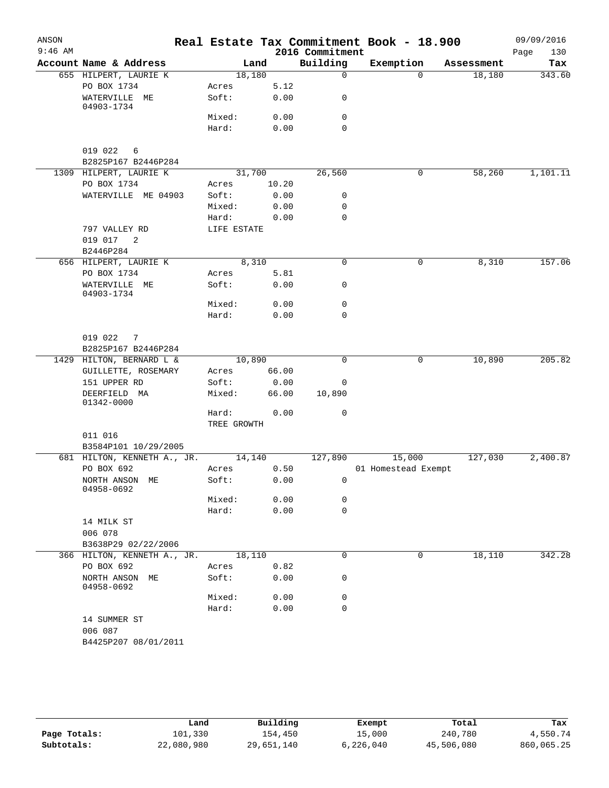| ANSON     |                                                 |                 |       |                             | Real Estate Tax Commitment Book - 18.900 |            | 09/09/2016         |
|-----------|-------------------------------------------------|-----------------|-------|-----------------------------|------------------------------------------|------------|--------------------|
| $9:46$ AM | Account Name & Address                          |                 | Land  | 2016 Commitment<br>Building | Exemption                                | Assessment | 130<br>Page<br>Tax |
|           | 655 HILPERT, LAURIE K                           | 18,180          |       | $\mathbf 0$                 | $\Omega$                                 | 18,180     | 343.60             |
|           | PO BOX 1734                                     | Acres           | 5.12  |                             |                                          |            |                    |
|           | WATERVILLE ME<br>04903-1734                     | Soft:           | 0.00  | 0                           |                                          |            |                    |
|           |                                                 | Mixed:          | 0.00  | 0                           |                                          |            |                    |
|           |                                                 | Hard:           | 0.00  | $\mathbf 0$                 |                                          |            |                    |
|           | 019 022<br>6<br>B2825P167 B2446P284             |                 |       |                             |                                          |            |                    |
|           | 1309 HILPERT, LAURIE K                          | 31,700          |       | 26,560                      | $\mathbf 0$                              | 58,260     | 1,101.11           |
|           | PO BOX 1734                                     | Acres           | 10.20 |                             |                                          |            |                    |
|           | WATERVILLE ME 04903                             | Soft:           | 0.00  | 0                           |                                          |            |                    |
|           |                                                 | Mixed:          | 0.00  | 0                           |                                          |            |                    |
|           |                                                 | Hard:           | 0.00  | $\mathbf 0$                 |                                          |            |                    |
|           | 797 VALLEY RD                                   | LIFE ESTATE     |       |                             |                                          |            |                    |
|           | 019 017<br>$\overline{\phantom{a}}^2$           |                 |       |                             |                                          |            |                    |
|           | B2446P284                                       |                 |       |                             |                                          |            |                    |
|           | 656 HILPERT, LAURIE K                           |                 | 8,310 | $\mathbf 0$                 | 0                                        | 8,310      | 157.06             |
|           | PO BOX 1734                                     | Acres           | 5.81  |                             |                                          |            |                    |
|           | WATERVILLE ME<br>04903-1734                     | Soft:           | 0.00  | 0                           |                                          |            |                    |
|           |                                                 | Mixed:          | 0.00  | 0                           |                                          |            |                    |
|           |                                                 | Hard:           | 0.00  | 0                           |                                          |            |                    |
|           | 019 022<br>7                                    |                 |       |                             |                                          |            |                    |
|           | B2825P167 B2446P284                             |                 |       |                             |                                          |            |                    |
|           | 1429 HILTON, BERNARD L &<br>GUILLETTE, ROSEMARY | 10,890<br>Acres | 66.00 | $\mathbf 0$                 | 0                                        | 10,890     | 205.82             |
|           | 151 UPPER RD                                    | Soft:           | 0.00  | 0                           |                                          |            |                    |
|           | DEERFIELD MA<br>01342-0000                      | Mixed:          | 66.00 | 10,890                      |                                          |            |                    |
|           |                                                 | Hard:           | 0.00  | 0                           |                                          |            |                    |
|           |                                                 | TREE GROWTH     |       |                             |                                          |            |                    |
|           | 011 016<br>B3584P101 10/29/2005                 |                 |       |                             |                                          |            |                    |
|           | 681 HILTON, KENNETH A., JR.                     | 14,140          |       | 127,890                     | 15,000                                   | 127,030    | 2,400.87           |
|           | PO BOX 692                                      | Acres           | 0.50  |                             | 01 Homestead Exempt                      |            |                    |
|           | NORTH ANSON ME<br>04958-0692                    | Soft:           | 0.00  | $\overline{0}$              |                                          |            |                    |
|           |                                                 | Mixed:          | 0.00  | 0                           |                                          |            |                    |
|           |                                                 | Hard:           | 0.00  | $\mathbf 0$                 |                                          |            |                    |
|           | 14 MILK ST<br>006 078                           |                 |       |                             |                                          |            |                    |
|           | B3638P29 02/22/2006                             |                 |       |                             |                                          |            |                    |
|           | 366 HILTON, KENNETH A., JR.<br>PO BOX 692       | 18,110<br>Acres | 0.82  | 0                           | 0                                        | 18,110     | 342.28             |
|           | NORTH ANSON ME<br>04958-0692                    | Soft:           | 0.00  | 0                           |                                          |            |                    |
|           |                                                 | Mixed:          | 0.00  | 0                           |                                          |            |                    |
|           |                                                 | Hard:           | 0.00  | 0                           |                                          |            |                    |
|           | 14 SUMMER ST                                    |                 |       |                             |                                          |            |                    |
|           | 006 087                                         |                 |       |                             |                                          |            |                    |
|           | B4425P207 08/01/2011                            |                 |       |                             |                                          |            |                    |
|           |                                                 |                 |       |                             |                                          |            |                    |

|              | Land       | Building   | Exempt    | Total      | Tax        |
|--------------|------------|------------|-----------|------------|------------|
| Page Totals: | 101,330    | 154,450    | 15,000    | 240,780    | 4,550.74   |
| Subtotals:   | 22,080,980 | 29,651,140 | 6,226,040 | 45,506,080 | 860,065.25 |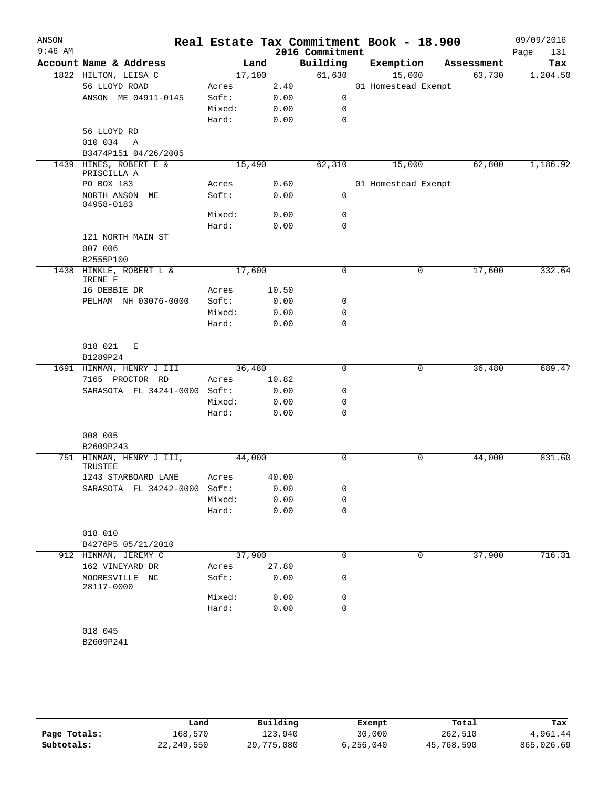| ANSON     |                                       |                 |       |                 | Real Estate Tax Commitment Book - 18.900 |            | 09/09/2016  |
|-----------|---------------------------------------|-----------------|-------|-----------------|------------------------------------------|------------|-------------|
| $9:46$ AM | Account Name & Address                |                 |       | 2016 Commitment |                                          |            | Page<br>131 |
|           |                                       | Land            |       | Building        | Exemption                                | Assessment | Tax         |
|           | 1822 HILTON, LEISA C<br>56 LLOYD ROAD | 17,100          | 2.40  | 61,630          | 15,000                                   | 63,730     | 1,204.50    |
|           | ANSON ME 04911-0145                   | Acres<br>Soft:  | 0.00  | $\mathsf{O}$    | 01 Homestead Exempt                      |            |             |
|           |                                       | Mixed:          | 0.00  | 0               |                                          |            |             |
|           |                                       | Hard:           | 0.00  | $\mathbf 0$     |                                          |            |             |
|           | 56 LLOYD RD                           |                 |       |                 |                                          |            |             |
|           | 010 034<br>A                          |                 |       |                 |                                          |            |             |
|           | B3474P151 04/26/2005                  |                 |       |                 |                                          |            |             |
|           | 1439 HINES, ROBERT E &                | 15,490          |       | 62,310          | 15,000                                   | 62,800     | 1,186.92    |
|           | PRISCILLA A                           |                 | 0.60  |                 | 01 Homestead Exempt                      |            |             |
|           | PO BOX 183<br>NORTH ANSON ME          | Acres<br>Soft:  | 0.00  | $\mathbf 0$     |                                          |            |             |
|           | 04958-0183                            | Mixed:          | 0.00  | 0               |                                          |            |             |
|           |                                       | Hard:           | 0.00  | $\mathbf 0$     |                                          |            |             |
|           | 121 NORTH MAIN ST                     |                 |       |                 |                                          |            |             |
|           | 007 006                               |                 |       |                 |                                          |            |             |
|           | B2555P100                             |                 |       |                 |                                          |            |             |
|           | 1438 HINKLE, ROBERT L &<br>IRENE F    | 17,600          |       | $\mathbf 0$     | 0                                        | 17,600     | 332.64      |
|           | 16 DEBBIE DR                          | Acres           | 10.50 |                 |                                          |            |             |
|           | PELHAM NH 03076-0000                  | Soft:           | 0.00  | 0               |                                          |            |             |
|           |                                       | Mixed:          | 0.00  | 0               |                                          |            |             |
|           |                                       | Hard:           | 0.00  | 0               |                                          |            |             |
|           | 018 021<br>Е                          |                 |       |                 |                                          |            |             |
|           | B1289P24                              |                 |       |                 |                                          |            |             |
|           | 1691 HINMAN, HENRY J III              | 36,480          |       | $\mathbf 0$     | 0                                        | 36,480     | 689.47      |
|           | 7165 PROCTOR RD                       | Acres           | 10.82 |                 |                                          |            |             |
|           | SARASOTA FL 34241-0000 Soft:          |                 | 0.00  | 0               |                                          |            |             |
|           |                                       | Mixed:<br>Hard: | 0.00  | 0<br>0          |                                          |            |             |
|           |                                       |                 | 0.00  |                 |                                          |            |             |
|           | 008 005                               |                 |       |                 |                                          |            |             |
|           | B2609P243                             |                 |       |                 |                                          |            |             |
|           | 751 HINMAN, HENRY J III,<br>TRUSTEE   | 44,000          |       | 0               | 0                                        | 44,000     | 831.60      |
|           | 1243 STARBOARD LANE                   | Acres           | 40.00 |                 |                                          |            |             |
|           | SARASOTA FL 34242-0000 Soft:          |                 | 0.00  | 0               |                                          |            |             |
|           |                                       | Mixed:          | 0.00  | 0               |                                          |            |             |
|           |                                       | Hard:           | 0.00  | $\mathbf 0$     |                                          |            |             |
|           | 018 010                               |                 |       |                 |                                          |            |             |
|           | B4276P5 05/21/2010                    |                 |       |                 |                                          |            |             |
|           | 912 HINMAN, JEREMY C                  | 37,900          |       | 0               | 0                                        | 37,900     | 716.31      |
|           | 162 VINEYARD DR                       | Acres           | 27.80 |                 |                                          |            |             |
|           | MOORESVILLE NC<br>28117-0000          | Soft:           | 0.00  | 0               |                                          |            |             |
|           |                                       | Mixed:          | 0.00  | 0               |                                          |            |             |
|           |                                       | Hard:           | 0.00  | 0               |                                          |            |             |
|           | 018 045                               |                 |       |                 |                                          |            |             |
|           | B2609P241                             |                 |       |                 |                                          |            |             |
|           |                                       |                 |       |                 |                                          |            |             |
|           |                                       |                 |       |                 |                                          |            |             |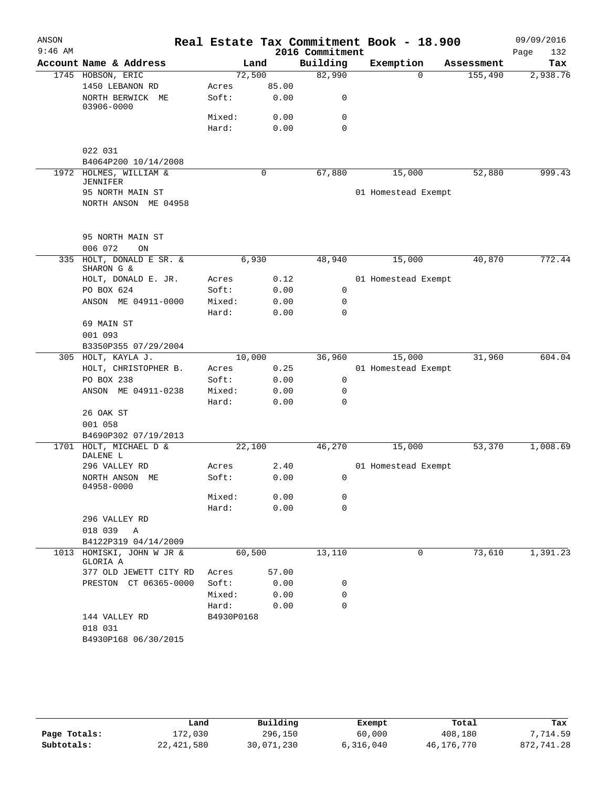| ANSON     |                                           |            |       |                 | Real Estate Tax Commitment Book - 18.900 |            | 09/09/2016  |
|-----------|-------------------------------------------|------------|-------|-----------------|------------------------------------------|------------|-------------|
| $9:46$ AM |                                           |            |       | 2016 Commitment |                                          |            | Page<br>132 |
|           | Account Name & Address                    |            | Land  | Building        | Exemption                                | Assessment | Tax         |
|           | 1745 HOBSON, ERIC                         | 72,500     |       | 82,990          | $\Omega$                                 | 155,490    | 2,938.76    |
|           | 1450 LEBANON RD                           | Acres      | 85.00 |                 |                                          |            |             |
|           | NORTH BERWICK ME<br>03906-0000            | Soft:      | 0.00  | 0               |                                          |            |             |
|           |                                           | Mixed:     | 0.00  | 0               |                                          |            |             |
|           |                                           | Hard:      | 0.00  | $\mathbf 0$     |                                          |            |             |
|           | 022 031                                   |            |       |                 |                                          |            |             |
|           | B4064P200 10/14/2008                      |            |       |                 |                                          |            |             |
|           | 1972 HOLMES, WILLIAM &<br><b>JENNIFER</b> |            | 0     | 67,880          | 15,000                                   | 52,880     | 999.43      |
|           | 95 NORTH MAIN ST                          |            |       |                 | 01 Homestead Exempt                      |            |             |
|           | NORTH ANSON ME 04958                      |            |       |                 |                                          |            |             |
|           | 95 NORTH MAIN ST                          |            |       |                 |                                          |            |             |
|           | 006 072<br>ON                             |            |       |                 |                                          |            |             |
| 335       | HOLT, DONALD E SR. &<br>SHARON G &        | 6,930      |       | 48,940          | 15,000                                   | 40,870     | 772.44      |
|           | HOLT, DONALD E. JR.                       | Acres      | 0.12  |                 | 01 Homestead Exempt                      |            |             |
|           | PO BOX 624                                | Soft:      | 0.00  | 0               |                                          |            |             |
|           | ANSON ME 04911-0000                       | Mixed:     | 0.00  | 0               |                                          |            |             |
|           |                                           | Hard:      | 0.00  | $\mathbf 0$     |                                          |            |             |
|           | 69 MAIN ST                                |            |       |                 |                                          |            |             |
|           | 001 093                                   |            |       |                 |                                          |            |             |
|           | B3350P355 07/29/2004                      |            |       |                 |                                          |            |             |
|           | 305 HOLT, KAYLA J.                        | 10,000     |       | 36,960          | 15,000                                   | 31,960     | 604.04      |
|           | HOLT, CHRISTOPHER B.                      | Acres      | 0.25  |                 | 01 Homestead Exempt                      |            |             |
|           | PO BOX 238                                | Soft:      | 0.00  | 0               |                                          |            |             |
|           | ANSON ME 04911-0238                       | Mixed:     | 0.00  | 0               |                                          |            |             |
|           |                                           | Hard:      | 0.00  | 0               |                                          |            |             |
|           | 26 OAK ST                                 |            |       |                 |                                          |            |             |
|           | 001 058                                   |            |       |                 |                                          |            |             |
|           | B4690P302 07/19/2013                      |            |       |                 |                                          |            |             |
| 1701      | HOLT, MICHAEL D &<br>DALENE L             | 22,100     |       | 46,270          | 15,000                                   | 53,370     | 1,008.69    |
|           | 296 VALLEY RD                             | Acres      | 2.40  |                 | 01 Homestead Exempt                      |            |             |
|           | NORTH ANSON ME<br>04958-0000              | Soft:      | 0.00  | 0               |                                          |            |             |
|           |                                           | Mixed:     | 0.00  | 0               |                                          |            |             |
|           |                                           | Hard:      | 0.00  | 0               |                                          |            |             |
|           | 296 VALLEY RD<br>018 039 A                |            |       |                 |                                          |            |             |
|           | B4122P319 04/14/2009                      |            |       |                 |                                          |            |             |
|           | 1013 HOMISKI, JOHN W JR &<br>GLORIA A     | 60,500     |       | 13,110          | 0                                        | 73,610     | 1,391.23    |
|           | 377 OLD JEWETT CITY RD                    | Acres      | 57.00 |                 |                                          |            |             |
|           | PRESTON CT 06365-0000                     | Soft:      | 0.00  | 0               |                                          |            |             |
|           |                                           | Mixed:     | 0.00  | 0               |                                          |            |             |
|           |                                           | Hard:      | 0.00  | $\Omega$        |                                          |            |             |
|           | 144 VALLEY RD                             | B4930P0168 |       |                 |                                          |            |             |
|           | 018 031                                   |            |       |                 |                                          |            |             |
|           | B4930P168 06/30/2015                      |            |       |                 |                                          |            |             |
|           |                                           |            |       |                 |                                          |            |             |

|              | Land         | Building   | Exempt    | Total      | Tax        |
|--------------|--------------|------------|-----------|------------|------------|
| Page Totals: | 172,030      | 296,150    | 60,000    | 408,180    | .714.59    |
| Subtotals:   | 22, 421, 580 | 30,071,230 | 6,316,040 | 46,176,770 | 872,741.28 |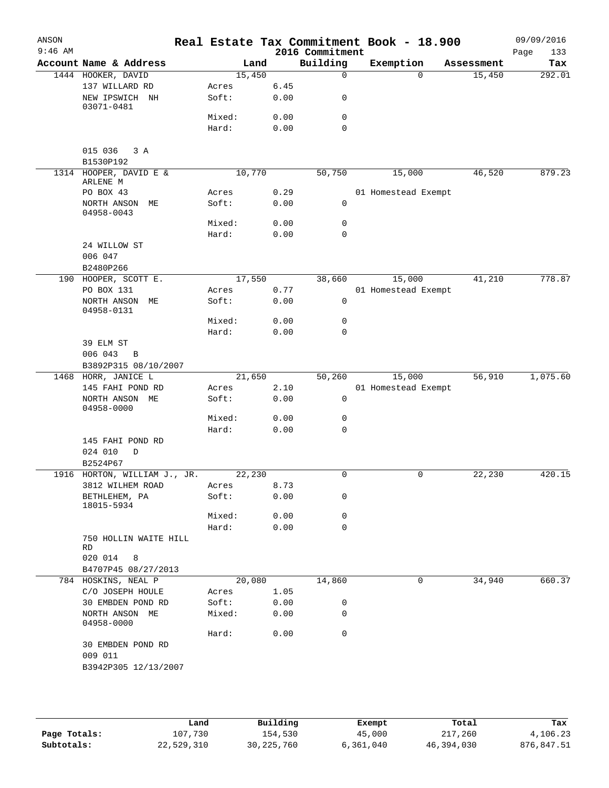| ANSON<br>$9:46$ AM |                                    |        |        |      | 2016 Commitment | Real Estate Tax Commitment Book - 18.900 |            | 09/09/2016<br>Page<br>133 |
|--------------------|------------------------------------|--------|--------|------|-----------------|------------------------------------------|------------|---------------------------|
|                    | Account Name & Address             |        | Land   |      | Building        | Exemption                                | Assessment | Tax                       |
|                    | 1444 HOOKER, DAVID                 |        | 15,450 |      | $\mathbf 0$     | $\Omega$                                 | 15,450     | 292.01                    |
|                    | 137 WILLARD RD                     | Acres  |        | 6.45 |                 |                                          |            |                           |
|                    | NEW IPSWICH NH                     | Soft:  |        | 0.00 | 0               |                                          |            |                           |
|                    | 03071-0481                         | Mixed: |        | 0.00 | 0               |                                          |            |                           |
|                    |                                    | Hard:  |        | 0.00 | $\mathbf 0$     |                                          |            |                           |
|                    |                                    |        |        |      |                 |                                          |            |                           |
|                    | 015 036<br>3A<br>B1530P192         |        |        |      |                 |                                          |            |                           |
|                    | 1314 HOOPER, DAVID E &<br>ARLENE M |        | 10,770 |      | 50,750          | 15,000                                   | 46,520     | 879.23                    |
|                    | PO BOX 43                          | Acres  |        | 0.29 |                 | 01 Homestead Exempt                      |            |                           |
|                    | NORTH ANSON<br>МE<br>04958-0043    | Soft:  |        | 0.00 | 0               |                                          |            |                           |
|                    |                                    | Mixed: |        | 0.00 | 0               |                                          |            |                           |
|                    |                                    | Hard:  |        | 0.00 | $\mathbf 0$     |                                          |            |                           |
|                    | 24 WILLOW ST                       |        |        |      |                 |                                          |            |                           |
|                    | 006 047                            |        |        |      |                 |                                          |            |                           |
|                    | B2480P266                          |        |        |      |                 |                                          |            |                           |
|                    | 190 HOOPER, SCOTT E.               |        | 17,550 |      | 38,660          | 15,000                                   | 41,210     | 778.87                    |
|                    | PO BOX 131                         | Acres  |        | 0.77 |                 | 01 Homestead Exempt                      |            |                           |
|                    | NORTH ANSON ME<br>04958-0131       | Soft:  |        | 0.00 | $\mathsf{O}$    |                                          |            |                           |
|                    |                                    | Mixed: |        | 0.00 | 0               |                                          |            |                           |
|                    |                                    | Hard:  |        | 0.00 | $\mathbf 0$     |                                          |            |                           |
|                    | 39 ELM ST                          |        |        |      |                 |                                          |            |                           |
|                    | 006 043<br>$\, {\bf B}$            |        |        |      |                 |                                          |            |                           |
|                    | B3892P315 08/10/2007               |        |        |      |                 |                                          |            |                           |
|                    | 1468 HORR, JANICE L                |        | 21,650 |      | 50,260          | 15,000                                   | 56,910     | 1,075.60                  |
|                    | 145 FAHI POND RD                   | Acres  |        | 2.10 |                 | 01 Homestead Exempt                      |            |                           |
|                    | NORTH ANSON ME<br>04958-0000       | Soft:  |        | 0.00 | 0               |                                          |            |                           |
|                    |                                    | Mixed: |        | 0.00 | 0               |                                          |            |                           |
|                    |                                    | Hard:  |        | 0.00 | 0               |                                          |            |                           |
|                    | 145 FAHI POND RD                   |        |        |      |                 |                                          |            |                           |
|                    | 024 010<br>D                       |        |        |      |                 |                                          |            |                           |
|                    | B2524P67                           |        |        |      |                 |                                          |            |                           |
|                    | 1916 HORTON, WILLIAM J., JR.       |        | 22,230 |      | 0               | 0                                        | 22,230     | 420.15                    |
|                    | 3812 WILHEM ROAD                   | Acres  |        | 8.73 |                 |                                          |            |                           |
|                    | BETHLEHEM, PA<br>18015-5934        | Soft:  |        | 0.00 | 0               |                                          |            |                           |
|                    |                                    | Mixed: |        | 0.00 | 0               |                                          |            |                           |
|                    |                                    | Hard:  |        | 0.00 | $\mathbf 0$     |                                          |            |                           |
|                    | 750 HOLLIN WAITE HILL<br><b>RD</b> |        |        |      |                 |                                          |            |                           |
|                    | 020 014<br>8                       |        |        |      |                 |                                          |            |                           |
|                    | B4707P45 08/27/2013                |        |        |      |                 |                                          |            |                           |
|                    | 784 HOSKINS, NEAL P                |        | 20,080 |      | 14,860          | 0                                        | 34,940     | 660.37                    |
|                    | C/O JOSEPH HOULE                   | Acres  |        | 1.05 |                 |                                          |            |                           |
|                    | 30 EMBDEN POND RD                  | Soft:  |        | 0.00 | 0               |                                          |            |                           |
|                    | NORTH ANSON ME<br>04958-0000       | Mixed: |        | 0.00 | 0               |                                          |            |                           |
|                    |                                    | Hard:  |        | 0.00 | $\mathbf 0$     |                                          |            |                           |
|                    | 30 EMBDEN POND RD<br>009 011       |        |        |      |                 |                                          |            |                           |
|                    | B3942P305 12/13/2007               |        |        |      |                 |                                          |            |                           |
|                    |                                    |        |        |      |                 |                                          |            |                           |
|                    |                                    |        |        |      |                 |                                          |            |                           |
|                    |                                    |        |        |      |                 |                                          |            |                           |
|                    |                                    |        |        |      |                 |                                          |            |                           |

|              | Land       | Building     | Exempt    | Total      | Tax        |
|--------------|------------|--------------|-----------|------------|------------|
| Page Totals: | 107,730    | 154,530      | 45,000    | 217,260    | 4,106.23   |
| Subtotals:   | 22,529,310 | 30, 225, 760 | 6,361,040 | 46,394,030 | 876,847.51 |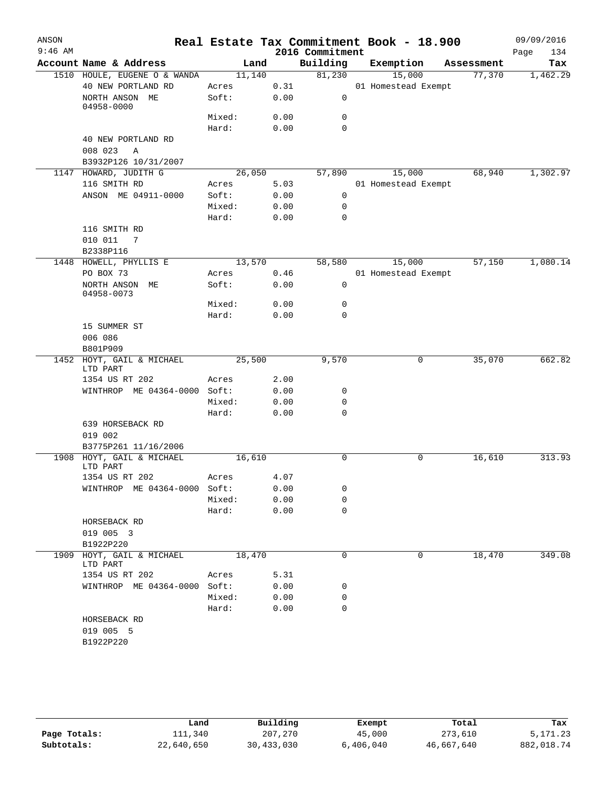| ANSON     |                                       |        |      |                 | Real Estate Tax Commitment Book - 18.900 |            | 09/09/2016  |
|-----------|---------------------------------------|--------|------|-----------------|------------------------------------------|------------|-------------|
| $9:46$ AM |                                       |        |      | 2016 Commitment |                                          |            | Page<br>134 |
|           | Account Name & Address                | Land   |      | Building        | Exemption                                | Assessment | Tax         |
|           | 1510 HOULE, EUGENE O & WANDA          | 11,140 |      | 81,230          | 15,000                                   | 77,370     | 1,462.29    |
|           | 40 NEW PORTLAND RD                    | Acres  | 0.31 |                 | 01 Homestead Exempt                      |            |             |
|           | NORTH ANSON ME<br>04958-0000          | Soft:  | 0.00 | 0               |                                          |            |             |
|           |                                       | Mixed: | 0.00 | 0               |                                          |            |             |
|           |                                       | Hard:  | 0.00 | $\mathbf 0$     |                                          |            |             |
|           | 40 NEW PORTLAND RD                    |        |      |                 |                                          |            |             |
|           | 008 023<br>A                          |        |      |                 |                                          |            |             |
|           | B3932P126 10/31/2007                  |        |      |                 |                                          |            |             |
|           | 1147 HOWARD, JUDITH G                 | 26,050 |      | 57,890          | 15,000                                   | 68,940     | 1,302.97    |
|           | 116 SMITH RD                          | Acres  | 5.03 |                 | 01 Homestead Exempt                      |            |             |
|           | ANSON ME 04911-0000                   | Soft:  | 0.00 | 0               |                                          |            |             |
|           |                                       | Mixed: | 0.00 | 0               |                                          |            |             |
|           |                                       | Hard:  | 0.00 | $\mathbf 0$     |                                          |            |             |
|           | 116 SMITH RD                          |        |      |                 |                                          |            |             |
|           | 010 011<br>7                          |        |      |                 |                                          |            |             |
|           | B2338P116                             |        |      |                 |                                          |            |             |
|           | 1448 HOWELL, PHYLLIS E                | 13,570 |      | 58,580          | 15,000                                   | 57,150     | 1,080.14    |
|           | PO BOX 73                             | Acres  | 0.46 |                 | 01 Homestead Exempt                      |            |             |
|           | NORTH ANSON ME<br>04958-0073          | Soft:  | 0.00 | 0               |                                          |            |             |
|           |                                       | Mixed: | 0.00 | 0               |                                          |            |             |
|           |                                       | Hard:  | 0.00 | 0               |                                          |            |             |
|           | 15 SUMMER ST                          |        |      |                 |                                          |            |             |
|           | 006 086                               |        |      |                 |                                          |            |             |
|           | B801P909                              |        |      |                 |                                          |            |             |
| 1452      | HOYT, GAIL & MICHAEL<br>LTD PART      | 25,500 |      | 9,570           | 0                                        | 35,070     | 662.82      |
|           | 1354 US RT 202                        | Acres  | 2.00 |                 |                                          |            |             |
|           | WINTHROP ME 04364-0000 Soft:          |        | 0.00 | 0               |                                          |            |             |
|           |                                       | Mixed: | 0.00 | 0               |                                          |            |             |
|           |                                       | Hard:  | 0.00 | 0               |                                          |            |             |
|           | 639 HORSEBACK RD                      |        |      |                 |                                          |            |             |
|           | 019 002                               |        |      |                 |                                          |            |             |
|           | B3775P261 11/16/2006                  |        |      |                 |                                          |            |             |
|           | 1908 HOYT, GAIL & MICHAEL<br>LTD PART | 16,610 |      | 0               | 0                                        | 16,610     | 313.93      |
|           | 1354 US RT 202                        | Acres  | 4.07 |                 |                                          |            |             |
|           | WINTHROP ME 04364-0000 Soft:          |        | 0.00 | 0               |                                          |            |             |
|           |                                       | Mixed: | 0.00 | 0               |                                          |            |             |
|           |                                       | Hard:  | 0.00 | 0               |                                          |            |             |
|           | HORSEBACK RD                          |        |      |                 |                                          |            |             |
|           | 019 005 3                             |        |      |                 |                                          |            |             |
|           | B1922P220                             |        |      |                 |                                          |            |             |
| 1909      | HOYT, GAIL & MICHAEL                  | 18,470 |      | 0               | 0                                        | 18,470     | 349.08      |
|           | LTD PART<br>1354 US RT 202            | Acres  | 5.31 |                 |                                          |            |             |
|           | WINTHROP ME 04364-0000                | Soft:  | 0.00 | 0               |                                          |            |             |
|           |                                       | Mixed: | 0.00 | 0               |                                          |            |             |
|           |                                       | Hard:  | 0.00 | $\mathbf 0$     |                                          |            |             |
|           | HORSEBACK RD                          |        |      |                 |                                          |            |             |
|           | 019 005 5                             |        |      |                 |                                          |            |             |
|           | B1922P220                             |        |      |                 |                                          |            |             |
|           |                                       |        |      |                 |                                          |            |             |

|              | Land       | Building   | Exempt    | Total      | Tax        |
|--------------|------------|------------|-----------|------------|------------|
| Page Totals: | 111,340    | 207,270    | 45,000    | 273,610    | 5, 171, 23 |
| Subtotals:   | 22,640,650 | 30,433,030 | 6,406,040 | 46,667,640 | 882,018.74 |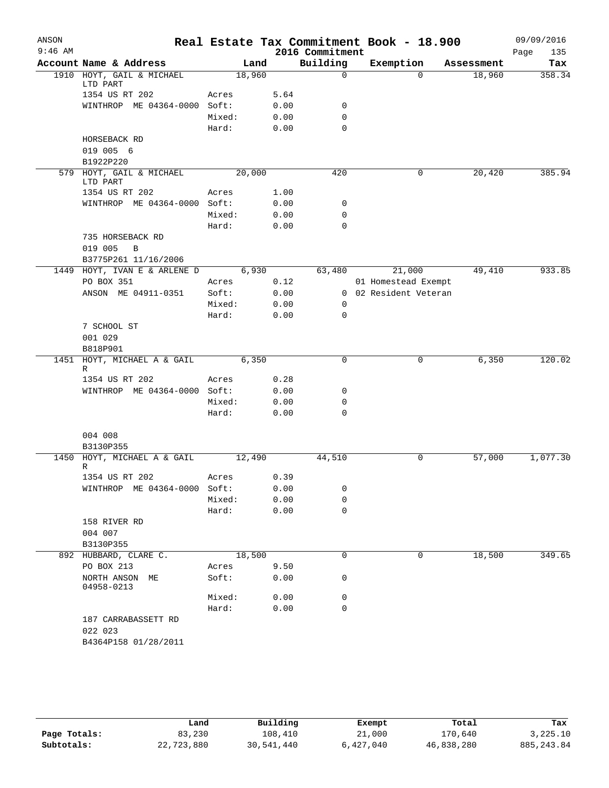| ANSON     |                                                |                |              |                 | Real Estate Tax Commitment Book - 18.900 |            | 09/09/2016  |
|-----------|------------------------------------------------|----------------|--------------|-----------------|------------------------------------------|------------|-------------|
| $9:46$ AM |                                                |                |              | 2016 Commitment |                                          |            | Page<br>135 |
|           | Account Name & Address                         | Land           |              | Building        | Exemption                                | Assessment | Tax         |
|           | 1910 HOYT, GAIL & MICHAEL                      | 18,960         |              | $\mathbf 0$     | $\Omega$                                 | 18,960     | 358.34      |
|           | LTD PART                                       |                |              |                 |                                          |            |             |
|           | 1354 US RT 202<br>WINTHROP ME 04364-0000 Soft: | Acres          | 5.64         |                 |                                          |            |             |
|           |                                                |                | 0.00         | 0               |                                          |            |             |
|           |                                                | Mixed:         | 0.00         | 0               |                                          |            |             |
|           |                                                | Hard:          | 0.00         | $\mathbf 0$     |                                          |            |             |
|           | HORSEBACK RD                                   |                |              |                 |                                          |            |             |
|           | 019 005 6                                      |                |              |                 |                                          |            |             |
|           | B1922P220<br>579 HOYT, GAIL & MICHAEL          | 20,000         |              | 420             | 0                                        | 20,420     | 385.94      |
|           | LTD PART                                       |                |              |                 |                                          |            |             |
|           | 1354 US RT 202                                 | Acres          | 1.00         |                 |                                          |            |             |
|           | WINTHROP ME 04364-0000 Soft:                   |                | 0.00         | 0               |                                          |            |             |
|           |                                                | Mixed:         | 0.00         | 0               |                                          |            |             |
|           |                                                | Hard:          | 0.00         | $\mathbf 0$     |                                          |            |             |
|           | 735 HORSEBACK RD                               |                |              |                 |                                          |            |             |
|           | 019 005<br>$\, {\bf B}$                        |                |              |                 |                                          |            |             |
|           | B3775P261 11/16/2006                           |                |              |                 |                                          |            |             |
| 1449      | HOYT, IVAN E & ARLENE D                        | 6,930          |              | 63,480          | 21,000                                   | 49,410     | 933.85      |
|           | PO BOX 351                                     | Acres          | 0.12         |                 | 01 Homestead Exempt                      |            |             |
|           | ANSON ME 04911-0351                            | Soft:          | 0.00         |                 | 0 02 Resident Veteran                    |            |             |
|           |                                                | Mixed:         | 0.00         | 0               |                                          |            |             |
|           |                                                | Hard:          | 0.00         | 0               |                                          |            |             |
|           | 7 SCHOOL ST                                    |                |              |                 |                                          |            |             |
|           | 001 029                                        |                |              |                 |                                          |            |             |
|           | B818P901                                       |                |              |                 |                                          |            |             |
| 1451      | HOYT, MICHAEL A & GAIL                         | 6,350          |              | 0               | 0                                        | 6,350      | 120.02      |
|           | R<br>1354 US RT 202                            | Acres          | 0.28         |                 |                                          |            |             |
|           | WINTHROP ME 04364-0000 Soft:                   |                | 0.00         | 0               |                                          |            |             |
|           |                                                | Mixed:         | 0.00         | 0               |                                          |            |             |
|           |                                                | Hard:          | 0.00         | 0               |                                          |            |             |
|           |                                                |                |              |                 |                                          |            |             |
|           | 004 008                                        |                |              |                 |                                          |            |             |
|           | B3130P355                                      |                |              |                 |                                          |            |             |
|           | 1450 HOYT, MICHAEL A & GAIL                    | 12,490         |              | 44,510          | 0                                        | 57,000     | 1,077.30    |
|           | R                                              |                |              |                 |                                          |            |             |
|           | 1354 US RT 202                                 | Acres          | 0.39         |                 |                                          |            |             |
|           | WINTHROP ME 04364-0000 Soft:                   |                | 0.00         | 0               |                                          |            |             |
|           |                                                | Mixed:         | 0.00         | 0               |                                          |            |             |
|           |                                                | Hard:          | 0.00         | 0               |                                          |            |             |
|           | 158 RIVER RD                                   |                |              |                 |                                          |            |             |
|           | 004 007                                        |                |              |                 |                                          |            |             |
|           | B3130P355<br>892 HUBBARD, CLARE C.             | 18,500         |              | 0               | 0                                        | 18,500     | 349.65      |
|           | PO BOX 213                                     |                |              |                 |                                          |            |             |
|           | NORTH ANSON ME                                 | Acres<br>Soft: | 9.50<br>0.00 | 0               |                                          |            |             |
|           | 04958-0213                                     |                |              |                 |                                          |            |             |
|           |                                                | Mixed:         | 0.00         | 0               |                                          |            |             |
|           |                                                | Hard:          | 0.00         | 0               |                                          |            |             |
|           | 187 CARRABASSETT RD                            |                |              |                 |                                          |            |             |
|           | 022 023                                        |                |              |                 |                                          |            |             |
|           | B4364P158 01/28/2011                           |                |              |                 |                                          |            |             |
|           |                                                |                |              |                 |                                          |            |             |

|              | Land       | Building   | Exempt    | Total      | Tax         |
|--------------|------------|------------|-----------|------------|-------------|
| Page Totals: | 83,230     | 108,410    | 21,000    | 170,640    | 3,225.10    |
| Subtotals:   | 22,723,880 | 30,541,440 | 6,427,040 | 46,838,280 | 885, 243.84 |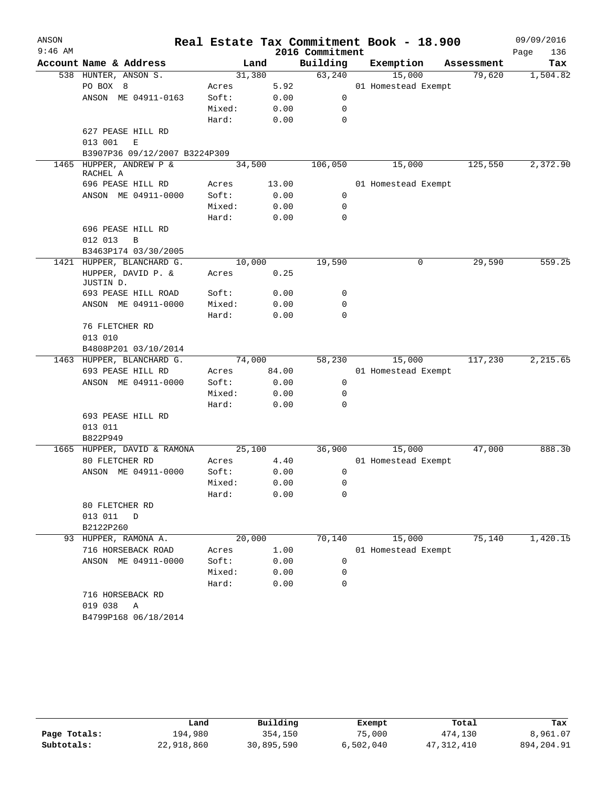| ANSON     |                                                                     |        |        |                 | Real Estate Tax Commitment Book - 18.900 |            | 09/09/2016  |
|-----------|---------------------------------------------------------------------|--------|--------|-----------------|------------------------------------------|------------|-------------|
| $9:46$ AM |                                                                     |        |        | 2016 Commitment |                                          |            | Page<br>136 |
|           | Account Name & Address                                              |        | Land   | Building        | Exemption                                | Assessment | Tax         |
|           | 538 HUNTER, ANSON S.                                                |        | 31,380 | 63,240          | 15,000                                   | 79,620     | 1,504.82    |
|           | PO BOX 8                                                            | Acres  | 5.92   |                 | 01 Homestead Exempt                      |            |             |
|           | ANSON ME 04911-0163                                                 | Soft:  | 0.00   | 0               |                                          |            |             |
|           |                                                                     | Mixed: | 0.00   | 0               |                                          |            |             |
|           |                                                                     | Hard:  | 0.00   | 0               |                                          |            |             |
|           | 627 PEASE HILL RD                                                   |        |        |                 |                                          |            |             |
|           | 013 001<br>E                                                        |        |        |                 |                                          |            |             |
|           | B3907P36 09/12/2007 B3224P309                                       |        |        |                 |                                          |            |             |
|           | 1465 HUPPER, ANDREW P &<br>RACHEL A                                 |        | 34,500 | 106,050         | 15,000                                   | 125,550    | 2,372.90    |
|           | 696 PEASE HILL RD                                                   | Acres  | 13.00  |                 | 01 Homestead Exempt                      |            |             |
|           | ANSON ME 04911-0000                                                 | Soft:  | 0.00   | $\mathbf 0$     |                                          |            |             |
|           |                                                                     | Mixed: | 0.00   | 0               |                                          |            |             |
|           |                                                                     | Hard:  | 0.00   | 0               |                                          |            |             |
|           | 696 PEASE HILL RD                                                   |        |        |                 |                                          |            |             |
|           | 012 013<br>B                                                        |        |        |                 |                                          |            |             |
|           | B3463P174 03/30/2005                                                |        |        |                 |                                          |            |             |
|           | 1421 HUPPER, BLANCHARD G.                                           |        | 10,000 | 19,590          | 0                                        | 29,590     | 559.25      |
|           | HUPPER, DAVID P. &<br>JUSTIN D.                                     | Acres  | 0.25   |                 |                                          |            |             |
|           | 693 PEASE HILL ROAD                                                 | Soft:  | 0.00   | 0               |                                          |            |             |
|           | ANSON ME 04911-0000                                                 | Mixed: | 0.00   | 0               |                                          |            |             |
|           |                                                                     | Hard:  | 0.00   | $\Omega$        |                                          |            |             |
|           | 76 FLETCHER RD                                                      |        |        |                 |                                          |            |             |
|           | 013 010                                                             |        |        |                 |                                          |            |             |
|           | B4808P201 03/10/2014                                                |        |        |                 |                                          |            |             |
|           | 1463 HUPPER, BLANCHARD G.                                           |        | 74,000 | 58,230          | 15,000                                   | 117,230    | 2,215.65    |
|           | 693 PEASE HILL RD                                                   | Acres  | 84.00  |                 | 01 Homestead Exempt                      |            |             |
|           | ANSON ME 04911-0000                                                 | Soft:  | 0.00   | 0               |                                          |            |             |
|           |                                                                     | Mixed: | 0.00   | 0               |                                          |            |             |
|           |                                                                     | Hard:  | 0.00   | 0               |                                          |            |             |
|           | 693 PEASE HILL RD                                                   |        |        |                 |                                          |            |             |
|           | 013 011                                                             |        |        |                 |                                          |            |             |
|           | B822P949                                                            |        |        |                 |                                          |            |             |
|           | 1665 HUPPER, DAVID & RAMONA                                         |        | 25,100 | 36,900          | 15,000                                   | 47,000     | 888.30      |
|           | 80 FLETCHER RD                                                      | Acres  | 4.40   |                 | 01 Homestead Exempt                      |            |             |
|           | ANSON ME 04911-0000                                                 | Soft:  | 0.00   | 0               |                                          |            |             |
|           |                                                                     | Mixed: | 0.00   | 0               |                                          |            |             |
|           |                                                                     | Hard:  | 0.00   | 0               |                                          |            |             |
|           | 80 FLETCHER RD                                                      |        |        |                 |                                          |            |             |
|           | 013 011 D                                                           |        |        |                 |                                          |            |             |
|           | B2122P260                                                           |        |        |                 |                                          |            |             |
|           | 93 HUPPER, RAMONA A.                                                |        | 20,000 | 70,140          | 15,000                                   | 75,140     | 1,420.15    |
|           | 716 HORSEBACK ROAD                                                  | Acres  | 1.00   |                 | 01 Homestead Exempt                      |            |             |
|           | ANSON ME 04911-0000                                                 | Soft:  | 0.00   | 0               |                                          |            |             |
|           |                                                                     | Mixed: | 0.00   | $\mathbf 0$     |                                          |            |             |
|           |                                                                     | Hard:  | 0.00   | 0               |                                          |            |             |
|           | 716 HORSEBACK RD<br>019 038<br>$\mathbb{A}$<br>B4799P168 06/18/2014 |        |        |                 |                                          |            |             |
|           |                                                                     |        |        |                 |                                          |            |             |

|              | Land       | Building   | Exempt    | Total      | Tax        |
|--------------|------------|------------|-----------|------------|------------|
| Page Totals: | 194,980    | 354,150    | 75,000    | 474,130    | 8,961.07   |
| Subtotals:   | 22,918,860 | 30,895,590 | 6,502,040 | 47,312,410 | 894,204.91 |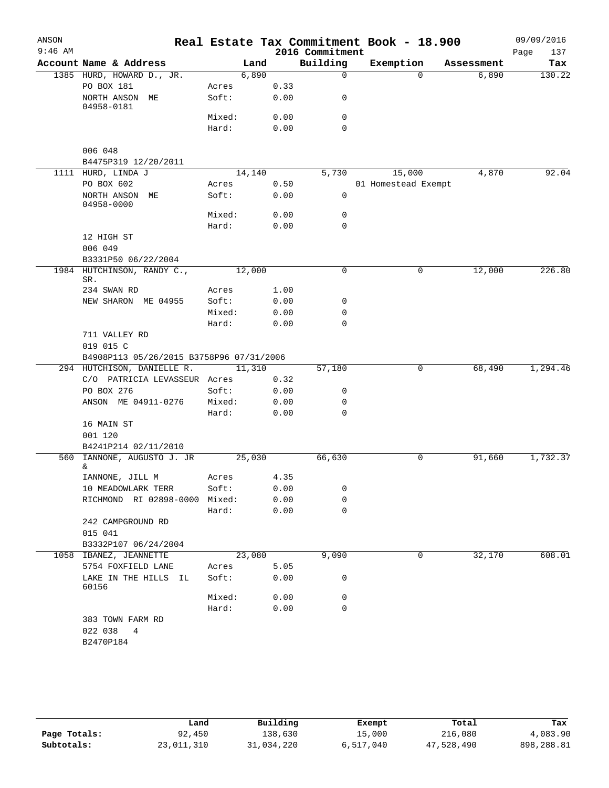| ANSON     |                                          |                 |        |              | Real Estate Tax Commitment Book - 18.900 |                     |            | 09/09/2016         |
|-----------|------------------------------------------|-----------------|--------|--------------|------------------------------------------|---------------------|------------|--------------------|
| $9:46$ AM | Account Name & Address                   |                 | Land   |              | 2016 Commitment<br>Building              | Exemption           | Assessment | 137<br>Page<br>Tax |
|           | 1385 HURD, HOWARD D., JR.                |                 | 6,890  |              | $\mathbf 0$                              | $\Omega$            | 6,890      | 130.22             |
|           | PO BOX 181                               | Acres           |        | 0.33         |                                          |                     |            |                    |
|           | NORTH ANSON ME<br>04958-0181             | Soft:           |        | 0.00         | 0                                        |                     |            |                    |
|           |                                          | Mixed:          |        | 0.00         | 0                                        |                     |            |                    |
|           |                                          | Hard:           |        | 0.00         | $\mathbf 0$                              |                     |            |                    |
|           | 006 048                                  |                 |        |              |                                          |                     |            |                    |
|           | B4475P319 12/20/2011                     |                 |        |              |                                          |                     |            |                    |
|           | 1111 HURD, LINDA J                       |                 | 14,140 |              | 5,730                                    | 15,000              | 4,870      | 92.04              |
|           | PO BOX 602                               | Acres           |        | 0.50         |                                          | 01 Homestead Exempt |            |                    |
|           | NORTH ANSON ME<br>04958-0000             | Soft:           |        | 0.00         | $\mathbf 0$                              |                     |            |                    |
|           |                                          | Mixed:          |        | 0.00         | 0                                        |                     |            |                    |
|           |                                          | Hard:           |        | 0.00         | $\mathbf 0$                              |                     |            |                    |
|           | 12 HIGH ST<br>006 049                    |                 |        |              |                                          |                     |            |                    |
|           | B3331P50 06/22/2004                      |                 |        |              |                                          |                     |            |                    |
|           | 1984 HUTCHINSON, RANDY C.,<br>SR.        |                 | 12,000 |              | $\mathbf 0$                              | 0                   | 12,000     | 226.80             |
|           | 234 SWAN RD                              | Acres           |        | 1.00         |                                          |                     |            |                    |
|           | NEW SHARON ME 04955                      | Soft:           |        | 0.00         | 0                                        |                     |            |                    |
|           |                                          | Mixed:<br>Hard: |        | 0.00<br>0.00 | 0<br>0                                   |                     |            |                    |
|           | 711 VALLEY RD                            |                 |        |              |                                          |                     |            |                    |
|           | 019 015 C                                |                 |        |              |                                          |                     |            |                    |
|           | B4908P113 05/26/2015 B3758P96 07/31/2006 |                 |        |              |                                          |                     |            |                    |
|           | 294 HUTCHISON, DANIELLE R.               |                 | 11,310 |              | 57,180                                   | 0                   | 68,490     | 1,294.46           |
|           | C/O PATRICIA LEVASSEUR Acres             |                 |        | 0.32         |                                          |                     |            |                    |
|           | PO BOX 276                               | Soft:           |        | 0.00         | 0                                        |                     |            |                    |
|           | ANSON ME 04911-0276                      | Mixed:          |        | 0.00         | 0                                        |                     |            |                    |
|           |                                          | Hard:           |        | 0.00         | 0                                        |                     |            |                    |
|           | 16 MAIN ST                               |                 |        |              |                                          |                     |            |                    |
|           | 001 120                                  |                 |        |              |                                          |                     |            |                    |
|           | B4241P214 02/11/2010                     |                 |        |              |                                          |                     |            |                    |
|           | 560 IANNONE, AUGUSTO J. JR<br>&          |                 | 25,030 |              | 66,630                                   | 0                   | 91,660     | 1,732.37           |
|           | IANNONE, JILL M                          | Acres           |        | 4.35         |                                          |                     |            |                    |
|           | 10 MEADOWLARK TERR                       | Soft:           |        | 0.00         | 0                                        |                     |            |                    |
|           | RICHMOND RI 02898-0000 Mixed:            |                 |        | 0.00         | 0                                        |                     |            |                    |
|           |                                          | Hard:           |        | 0.00         | $\mathbf 0$                              |                     |            |                    |
|           | 242 CAMPGROUND RD                        |                 |        |              |                                          |                     |            |                    |
|           | 015 041                                  |                 |        |              |                                          |                     |            |                    |
|           | B3332P107 06/24/2004                     |                 |        |              |                                          |                     |            |                    |
|           | 1058 IBANEZ, JEANNETTE                   |                 | 23,080 |              | 9,090                                    | 0                   | 32,170     | 608.01             |
|           | 5754 FOXFIELD LANE                       | Acres           |        | 5.05         |                                          |                     |            |                    |
|           | LAKE IN THE HILLS IL<br>60156            | Soft:           |        | 0.00         | 0                                        |                     |            |                    |
|           |                                          | Mixed:          |        | 0.00         | 0                                        |                     |            |                    |
|           |                                          | Hard:           |        | 0.00         | 0                                        |                     |            |                    |
|           | 383 TOWN FARM RD                         |                 |        |              |                                          |                     |            |                    |
|           | 022 038<br>4                             |                 |        |              |                                          |                     |            |                    |
|           | B2470P184                                |                 |        |              |                                          |                     |            |                    |
|           |                                          |                 |        |              |                                          |                     |            |                    |

|              | Land       | Building   | Exempt    | Total      | Tax        |
|--------------|------------|------------|-----------|------------|------------|
| Page Totals: | 92,450     | 138,630    | 15,000    | 216,080    | 4,083.90   |
| Subtotals:   | 23,011,310 | 31,034,220 | 6,517,040 | 47,528,490 | 898,288.81 |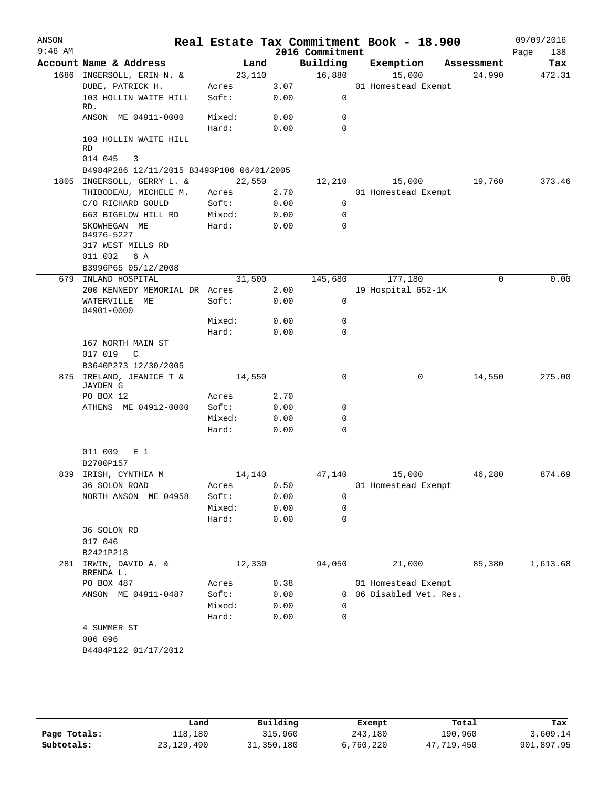| ANSON<br>$9:46$ AM |                                                |                 |              | 2016 Commitment  | Real Estate Tax Commitment Book - 18.900 |            | 09/09/2016<br>Page<br>138 |
|--------------------|------------------------------------------------|-----------------|--------------|------------------|------------------------------------------|------------|---------------------------|
|                    | Account Name & Address                         | Land            |              | Building         | Exemption                                | Assessment | Tax                       |
|                    | 1686 INGERSOLL, ERIN N. &                      | 23,110          |              | 16,880           | 15,000                                   | 24,990     | 472.31                    |
|                    | DUBE, PATRICK H.                               | Acres           | 3.07         |                  | 01 Homestead Exempt                      |            |                           |
|                    | 103 HOLLIN WAITE HILL<br>RD.                   | Soft:           | 0.00         | 0                |                                          |            |                           |
|                    | ANSON ME 04911-0000                            | Mixed:          | 0.00         | 0                |                                          |            |                           |
|                    |                                                | Hard:           | 0.00         | $\mathbf 0$      |                                          |            |                           |
|                    | 103 HOLLIN WAITE HILL<br>RD                    |                 |              |                  |                                          |            |                           |
|                    | 014 045<br>3                                   |                 |              |                  |                                          |            |                           |
|                    | B4984P286 12/11/2015 B3493P106 06/01/2005      |                 |              |                  |                                          |            |                           |
|                    | 1805 INGERSOLL, GERRY L. &                     | 22,550          |              | 12,210           | 15,000                                   | 19,760     | 373.46                    |
|                    | THIBODEAU, MICHELE M.                          | Acres           | 2.70         |                  | 01 Homestead Exempt                      |            |                           |
|                    | C/O RICHARD GOULD                              | Soft:           | 0.00         | 0                |                                          |            |                           |
|                    | 663 BIGELOW HILL RD                            | Mixed:          | 0.00         | 0                |                                          |            |                           |
|                    | SKOWHEGAN ME<br>04976-5227                     | Hard:           | 0.00         | 0                |                                          |            |                           |
|                    | 317 WEST MILLS RD                              |                 |              |                  |                                          |            |                           |
|                    | 011 032<br>6 A                                 |                 |              |                  |                                          |            |                           |
|                    | B3996P65 05/12/2008                            |                 |              |                  |                                          |            |                           |
| 679                | INLAND HOSPITAL                                | 31,500          |              | 145,680          | 177,180                                  | 0          | 0.00                      |
|                    | 200 KENNEDY MEMORIAL DR Acres<br>WATERVILLE ME | Soft:           | 2.00<br>0.00 | 0                | 19 Hospital 652-1K                       |            |                           |
|                    | 04901-0000                                     |                 |              | 0                |                                          |            |                           |
|                    |                                                | Mixed:          | 0.00         | 0                |                                          |            |                           |
|                    |                                                | Hard:           | 0.00         |                  |                                          |            |                           |
|                    | 167 NORTH MAIN ST<br>017 019<br>C              |                 |              |                  |                                          |            |                           |
|                    | B3640P273 12/30/2005                           |                 |              |                  |                                          |            |                           |
|                    | 875 IRELAND, JEANICE T &                       | 14,550          |              | 0                | $\mathbf 0$                              | 14,550     | 275.00                    |
|                    | <b>JAYDEN G</b>                                |                 |              |                  |                                          |            |                           |
|                    | PO BOX 12                                      | Acres           | 2.70         |                  |                                          |            |                           |
|                    | ATHENS ME 04912-0000                           | Soft:           | 0.00         | 0                |                                          |            |                           |
|                    |                                                | Mixed:          | 0.00         | 0                |                                          |            |                           |
|                    |                                                | Hard:           | 0.00         | $\mathbf 0$      |                                          |            |                           |
|                    | 011 009<br>E 1                                 |                 |              |                  |                                          |            |                           |
|                    | B2700P157                                      |                 |              |                  |                                          |            |                           |
|                    | 839 IRISH, CYNTHIA M                           | 14,140          |              | 47,140           | 15,000                                   | 46,280     | 874.69                    |
|                    | 36 SOLON ROAD                                  | Acres           | 0.50         |                  | 01 Homestead Exempt                      |            |                           |
|                    | NORTH ANSON ME 04958                           | Soft:           | 0.00         | 0                |                                          |            |                           |
|                    |                                                | Mixed:<br>Hard: | 0.00<br>0.00 | 0<br>$\mathbf 0$ |                                          |            |                           |
|                    | 36 SOLON RD                                    |                 |              |                  |                                          |            |                           |
|                    | 017 046                                        |                 |              |                  |                                          |            |                           |
|                    | B2421P218                                      |                 |              |                  |                                          |            |                           |
|                    | 281 IRWIN, DAVID A. &<br>BRENDA L.             | 12,330          |              | 94,050           | 21,000                                   | 85,380     | 1,613.68                  |
|                    | PO BOX 487                                     | Acres           | 0.38         |                  | 01 Homestead Exempt                      |            |                           |
|                    | ANSON ME 04911-0487                            | Soft:           | 0.00         | $\Omega$         | 06 Disabled Vet. Res.                    |            |                           |
|                    |                                                | Mixed:          | 0.00         | 0                |                                          |            |                           |
|                    |                                                | Hard:           | 0.00         | 0                |                                          |            |                           |
|                    | 4 SUMMER ST                                    |                 |              |                  |                                          |            |                           |
|                    | 006 096                                        |                 |              |                  |                                          |            |                           |
|                    | B4484P122 01/17/2012                           |                 |              |                  |                                          |            |                           |
|                    |                                                |                 |              |                  |                                          |            |                           |

**Page Totals:** 118,180 315,960 243,180 190,960 3,609.14<br>**Subtotals:** 23,129,490 31,350,180 6,760,220 47,719,450 901,897.95 **Subtotals:** 23,129,490 31,350,180 6,760,220 47,719,450 901,897.95 **Land Building Exempt Total Tax**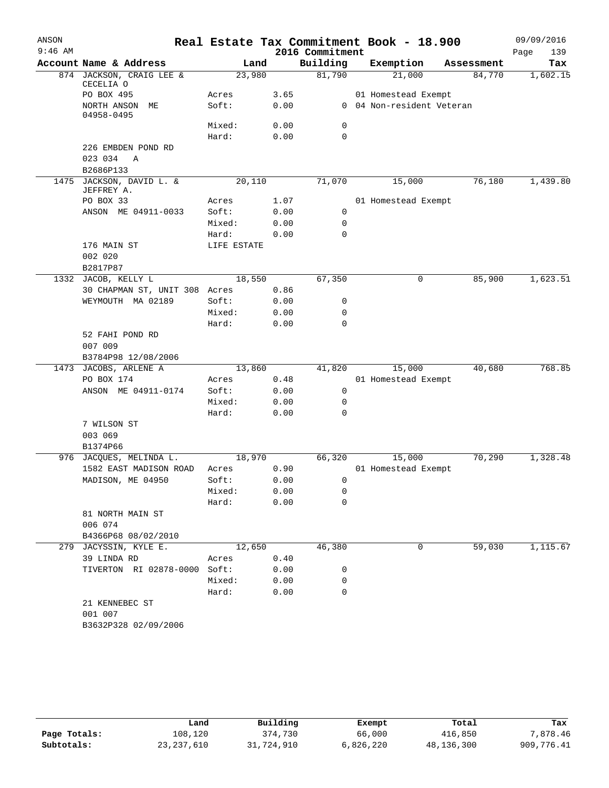| ANSON     |                                       |             |              | Real Estate Tax Commitment Book - 18.900 |                           |        |            | 09/09/2016  |
|-----------|---------------------------------------|-------------|--------------|------------------------------------------|---------------------------|--------|------------|-------------|
| $9:46$ AM |                                       |             |              | 2016 Commitment                          |                           |        |            | 139<br>Page |
|           | Account Name & Address                | Land        |              | Building                                 | Exemption                 |        | Assessment | Tax         |
|           | 874 JACKSON, CRAIG LEE &<br>CECELIA O | 23,980      |              | 81,790                                   |                           | 21,000 | 84,770     | 1,602.15    |
|           | PO BOX 495                            | Acres       | 3.65         |                                          | 01 Homestead Exempt       |        |            |             |
|           | NORTH ANSON ME<br>04958-0495          | Soft:       | 0.00         |                                          | 0 04 Non-resident Veteran |        |            |             |
|           |                                       | Mixed:      | 0.00         | 0                                        |                           |        |            |             |
|           |                                       | Hard:       | 0.00         | $\mathbf 0$                              |                           |        |            |             |
|           | 226 EMBDEN POND RD<br>023 034<br>Α    |             |              |                                          |                           |        |            |             |
|           | B2686P133                             |             |              |                                          |                           |        |            |             |
| 1475      | JACKSON, DAVID L. &<br>JEFFREY A.     | 20,110      |              | 71,070                                   |                           | 15,000 | 76,180     | 1,439.80    |
|           | PO BOX 33                             | Acres       | 1.07         |                                          | 01 Homestead Exempt       |        |            |             |
|           | ANSON ME 04911-0033                   | Soft:       | 0.00         | 0                                        |                           |        |            |             |
|           |                                       | Mixed:      | 0.00         | 0                                        |                           |        |            |             |
|           |                                       | Hard:       | 0.00         | 0                                        |                           |        |            |             |
|           | 176 MAIN ST                           | LIFE ESTATE |              |                                          |                           |        |            |             |
|           | 002 020                               |             |              |                                          |                           |        |            |             |
|           | B2817P87                              |             |              |                                          |                           |        |            |             |
|           | 1332 JACOB, KELLY L                   | 18,550      |              | 67,350                                   |                           | 0      | 85,900     | 1,623.51    |
|           | 30 CHAPMAN ST, UNIT 308 Acres         |             | 0.86         |                                          |                           |        |            |             |
|           | WEYMOUTH MA 02189                     | Soft:       | 0.00         | 0                                        |                           |        |            |             |
|           |                                       | Mixed:      | 0.00         | 0                                        |                           |        |            |             |
|           |                                       | Hard:       | 0.00         | 0                                        |                           |        |            |             |
|           | 52 FAHI POND RD<br>007 009            |             |              |                                          |                           |        |            |             |
|           | B3784P98 12/08/2006                   |             |              |                                          |                           |        |            |             |
|           | 1473 JACOBS, ARLENE A                 | 13,860      |              | 41,820                                   |                           | 15,000 | 40,680     | 768.85      |
|           | PO BOX 174                            | Acres       | 0.48         |                                          | 01 Homestead Exempt       |        |            |             |
|           | ANSON ME 04911-0174                   | Soft:       | 0.00         | 0                                        |                           |        |            |             |
|           |                                       | Mixed:      | 0.00         | 0                                        |                           |        |            |             |
|           |                                       | Hard:       | 0.00         | $\Omega$                                 |                           |        |            |             |
|           | 7 WILSON ST                           |             |              |                                          |                           |        |            |             |
|           | 003 069                               |             |              |                                          |                           |        |            |             |
|           | B1374P66                              |             |              |                                          |                           |        |            |             |
|           | 976 JACQUES, MELINDA L.               | 18,970      |              | 66,320                                   |                           | 15,000 | 70,290     | 1,328.48    |
|           | 1582 EAST MADISON ROAD                | Acres       | 0.90         |                                          | 01 Homestead Exempt       |        |            |             |
|           | MADISON, ME 04950                     | Soft:       | 0.00         | $\mathbf{0}$                             |                           |        |            |             |
|           |                                       | Mixed:      | 0.00         | 0                                        |                           |        |            |             |
|           |                                       | Hard:       | 0.00         | 0                                        |                           |        |            |             |
|           | 81 NORTH MAIN ST<br>006 074           |             |              |                                          |                           |        |            |             |
|           |                                       |             |              |                                          |                           |        |            |             |
|           | B4366P68 08/02/2010                   |             |              |                                          |                           | 0      |            | 1,115.67    |
|           | 279 JACYSSIN, KYLE E.<br>39 LINDA RD  | 12,650      | 0.40         | 46,380                                   |                           |        | 59,030     |             |
|           |                                       | Acres       |              |                                          |                           |        |            |             |
|           | TIVERTON RI 02878-0000 Soft:          | Mixed:      | 0.00<br>0.00 | 0<br>0                                   |                           |        |            |             |
|           |                                       | Hard:       | 0.00         | 0                                        |                           |        |            |             |
|           | 21 KENNEBEC ST                        |             |              |                                          |                           |        |            |             |
|           | 001 007                               |             |              |                                          |                           |        |            |             |
|           | B3632P328 02/09/2006                  |             |              |                                          |                           |        |            |             |

|              | Land         | Building   | Exempt    | Total      | Tax        |
|--------------|--------------|------------|-----------|------------|------------|
| Page Totals: | 108,120      | 374,730    | 66,000    | 416,850    | 7,878.46   |
| Subtotals:   | 23, 237, 610 | 31,724,910 | 6,826,220 | 48,136,300 | 909,776.41 |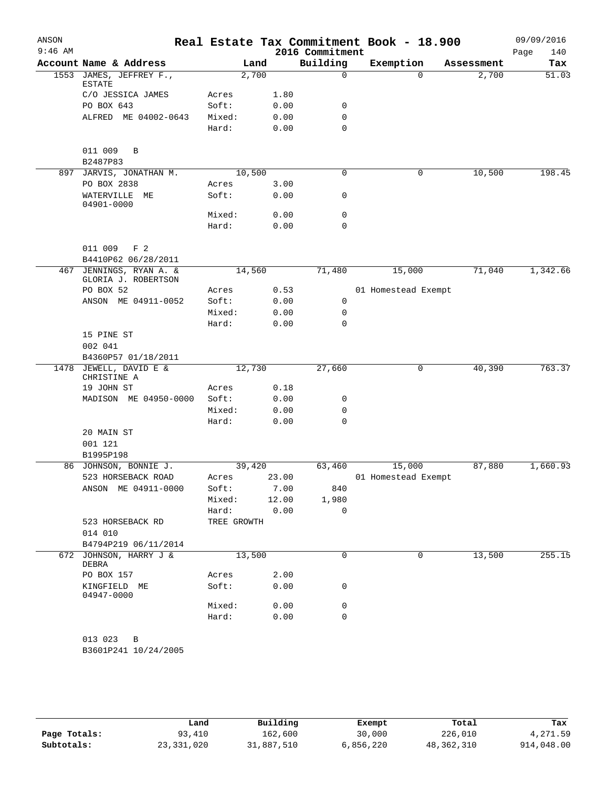| ANSON     |                                                  |             |        |                 | Real Estate Tax Commitment Book - 18.900 |            | 09/09/2016  |
|-----------|--------------------------------------------------|-------------|--------|-----------------|------------------------------------------|------------|-------------|
| $9:46$ AM |                                                  |             |        | 2016 Commitment |                                          |            | 140<br>Page |
|           | Account Name & Address                           |             | Land   | Building        | Exemption                                | Assessment | Tax         |
|           | 1553 JAMES, JEFFREY F.,<br>ESTATE                |             | 2,700  | $\mathbf 0$     | $\Omega$                                 | 2,700      | 51.03       |
|           | C/O JESSICA JAMES                                | Acres       | 1.80   |                 |                                          |            |             |
|           | PO BOX 643                                       | Soft:       | 0.00   | 0               |                                          |            |             |
|           | ALFRED ME 04002-0643                             | Mixed:      | 0.00   | $\mathbf 0$     |                                          |            |             |
|           |                                                  | Hard:       | 0.00   | $\mathbf 0$     |                                          |            |             |
|           | 011 009<br>B<br>B2487P83                         |             |        |                 |                                          |            |             |
|           | 897 JARVIS, JONATHAN M.                          |             | 10,500 | 0               | 0                                        | 10,500     | 198.45      |
|           | PO BOX 2838                                      | Acres       | 3.00   |                 |                                          |            |             |
|           | WATERVILLE<br>ME<br>04901-0000                   | Soft:       | 0.00   | 0               |                                          |            |             |
|           |                                                  | Mixed:      | 0.00   | 0               |                                          |            |             |
|           |                                                  | Hard:       | 0.00   | $\mathbf 0$     |                                          |            |             |
|           | 011 009<br>F <sub>2</sub><br>B4410P62 06/28/2011 |             |        |                 |                                          |            |             |
| 467       | JENNINGS, RYAN A. &                              |             | 14,560 | 71,480          | 15,000                                   | 71,040     | 1,342.66    |
|           | GLORIA J. ROBERTSON                              |             |        |                 |                                          |            |             |
|           | PO BOX 52                                        | Acres       | 0.53   |                 | 01 Homestead Exempt                      |            |             |
|           | ANSON ME 04911-0052                              | Soft:       | 0.00   | 0               |                                          |            |             |
|           |                                                  | Mixed:      | 0.00   | 0               |                                          |            |             |
|           |                                                  | Hard:       | 0.00   | 0               |                                          |            |             |
|           | 15 PINE ST<br>002 041                            |             |        |                 |                                          |            |             |
|           | B4360P57 01/18/2011                              |             |        |                 |                                          |            |             |
|           | 1478 JEWELL, DAVID E &<br>CHRISTINE A            |             | 12,730 | 27,660          | 0                                        | 40,390     | 763.37      |
|           | 19 JOHN ST                                       | Acres       | 0.18   |                 |                                          |            |             |
|           | MADISON ME 04950-0000                            | Soft:       | 0.00   | 0               |                                          |            |             |
|           |                                                  | Mixed:      | 0.00   | 0               |                                          |            |             |
|           |                                                  | Hard:       | 0.00   | $\mathbf 0$     |                                          |            |             |
|           | 20 MAIN ST                                       |             |        |                 |                                          |            |             |
|           | 001 121                                          |             |        |                 |                                          |            |             |
|           | B1995P198                                        |             |        |                 |                                          |            |             |
|           | 86 JOHNSON, BONNIE J.                            |             | 39,420 | 63,460          | 15,000                                   | 87,880     | 1,660.93    |
|           | 523 HORSEBACK ROAD                               | Acres       | 23.00  |                 | 01 Homestead Exempt                      |            |             |
|           | ANSON ME 04911-0000                              | Soft:       | 7.00   | 840             |                                          |            |             |
|           |                                                  | Mixed:      | 12.00  | 1,980           |                                          |            |             |
|           |                                                  | Hard:       | 0.00   | 0               |                                          |            |             |
|           | 523 HORSEBACK RD<br>014 010                      | TREE GROWTH |        |                 |                                          |            |             |
|           | B4794P219 06/11/2014                             |             |        |                 |                                          |            |             |
|           | 672 JOHNSON, HARRY J &<br>DEBRA                  |             | 13,500 | 0               | 0                                        | 13,500     | 255.15      |
|           | PO BOX 157                                       | Acres       | 2.00   |                 |                                          |            |             |
|           | KINGFIELD ME<br>04947-0000                       | Soft:       | 0.00   | 0               |                                          |            |             |
|           |                                                  | Mixed:      | 0.00   | 0               |                                          |            |             |
|           |                                                  | Hard:       | 0.00   | $\mathbf 0$     |                                          |            |             |
|           | 013 023<br>B<br>B3601P241 10/24/2005             |             |        |                 |                                          |            |             |
|           |                                                  |             |        |                 |                                          |            |             |

|              | Land         | Building   | Exempt    | Total      | Tax        |
|--------------|--------------|------------|-----------|------------|------------|
| Page Totals: | 93,410       | 162,600    | 30,000    | 226,010    | 4,271.59   |
| Subtotals:   | 23, 331, 020 | 31,887,510 | 6,856,220 | 48,362,310 | 914,048.00 |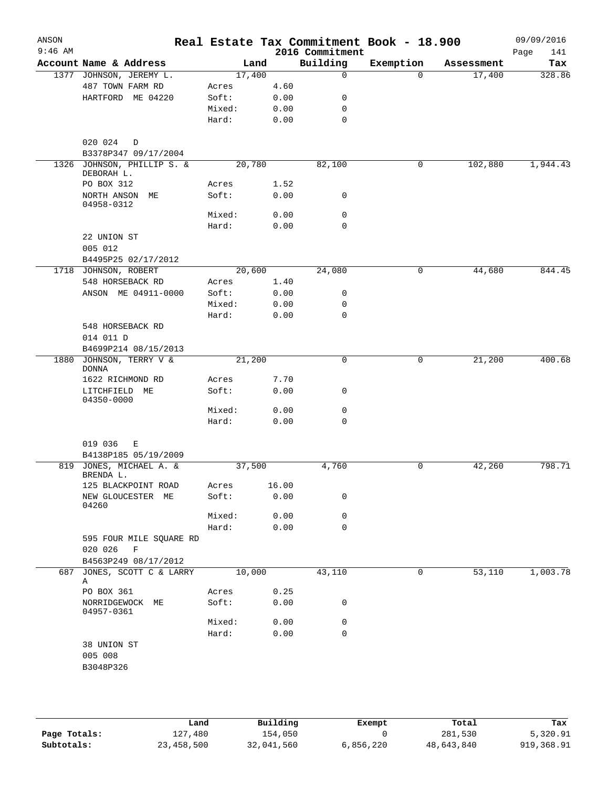| $9:46$ AM |                                                    |        |       | 2016 Commitment | Real Estate Tax Commitment Book - 18.900 |            |                    |
|-----------|----------------------------------------------------|--------|-------|-----------------|------------------------------------------|------------|--------------------|
|           | Account Name & Address                             | Land   |       | Building        | Exemption                                | Assessment | Page<br>141<br>Tax |
|           | 1377 JOHNSON, JEREMY L.                            | 17,400 |       | $\mathbf 0$     | $\Omega$                                 | 17,400     | 328.86             |
|           | 487 TOWN FARM RD                                   | Acres  | 4.60  |                 |                                          |            |                    |
|           | HARTFORD ME 04220                                  | Soft:  | 0.00  | 0               |                                          |            |                    |
|           |                                                    | Mixed: | 0.00  | 0               |                                          |            |                    |
|           |                                                    | Hard:  | 0.00  | $\mathbf 0$     |                                          |            |                    |
|           |                                                    |        |       |                 |                                          |            |                    |
|           | 020 024<br>$\mathbb D$                             |        |       |                 |                                          |            |                    |
|           | B3378P347 09/17/2004<br>1326 JOHNSON, PHILLIP S. & | 20,780 |       | 82,100          | $\mathbf 0$                              |            |                    |
|           | DEBORAH L.                                         |        |       |                 |                                          | 102,880    | 1,944.43           |
|           | PO BOX 312                                         | Acres  | 1.52  |                 |                                          |            |                    |
|           | NORTH ANSON ME<br>04958-0312                       | Soft:  | 0.00  | 0               |                                          |            |                    |
|           |                                                    | Mixed: | 0.00  | 0               |                                          |            |                    |
|           |                                                    | Hard:  | 0.00  | $\mathbf 0$     |                                          |            |                    |
|           | 22 UNION ST                                        |        |       |                 |                                          |            |                    |
|           | 005 012                                            |        |       |                 |                                          |            |                    |
|           | B4495P25 02/17/2012                                |        |       |                 |                                          |            |                    |
|           | 1718 JOHNSON, ROBERT                               | 20,600 |       | 24,080          | 0                                        | 44,680     | 844.45             |
|           | 548 HORSEBACK RD                                   | Acres  | 1.40  |                 |                                          |            |                    |
|           | ANSON ME 04911-0000                                | Soft:  | 0.00  | 0               |                                          |            |                    |
|           |                                                    | Mixed: | 0.00  | 0               |                                          |            |                    |
|           |                                                    | Hard:  | 0.00  | $\mathbf 0$     |                                          |            |                    |
|           | 548 HORSEBACK RD                                   |        |       |                 |                                          |            |                    |
|           | 014 011 D                                          |        |       |                 |                                          |            |                    |
|           | B4699P214 08/15/2013                               |        |       |                 |                                          |            |                    |
| 1880      | JOHNSON, TERRY V &<br>DONNA                        | 21,200 |       | 0               | 0                                        | 21,200     | 400.68             |
|           | 1622 RICHMOND RD                                   | Acres  | 7.70  |                 |                                          |            |                    |
|           | LITCHFIELD ME<br>04350-0000                        | Soft:  | 0.00  | 0               |                                          |            |                    |
|           |                                                    | Mixed: | 0.00  | $\mathsf{O}$    |                                          |            |                    |
|           |                                                    | Hard:  | 0.00  | $\mathbf 0$     |                                          |            |                    |
|           | 019 036<br>Е                                       |        |       |                 |                                          |            |                    |
|           | B4138P185 05/19/2009                               |        |       |                 |                                          |            |                    |
|           | 819 JONES, MICHAEL A. &<br>BRENDA L.               | 37,500 |       | 4,760           | 0                                        | 42,260     | 798.71             |
|           | 125 BLACKPOINT ROAD                                | Acres  | 16.00 |                 |                                          |            |                    |
|           | NEW GLOUCESTER ME<br>04260                         | Soft:  | 0.00  | 0               |                                          |            |                    |
|           |                                                    | Mixed: | 0.00  | 0               |                                          |            |                    |
|           |                                                    | Hard:  | 0.00  | 0               |                                          |            |                    |
|           | 595 FOUR MILE SQUARE RD<br>020 026<br>F            |        |       |                 |                                          |            |                    |
|           | B4563P249 08/17/2012                               |        |       |                 |                                          |            |                    |
| 687       | JONES, SCOTT C & LARRY<br>Α                        | 10,000 |       | 43,110          | 0                                        | 53,110     | 1,003.78           |
|           | PO BOX 361                                         | Acres  | 0.25  |                 |                                          |            |                    |
|           | NORRIDGEWOCK ME<br>04957-0361                      | Soft:  | 0.00  | 0               |                                          |            |                    |
|           |                                                    | Mixed: | 0.00  | 0               |                                          |            |                    |
|           |                                                    | Hard:  | 0.00  | 0               |                                          |            |                    |
|           | 38 UNION ST                                        |        |       |                 |                                          |            |                    |
|           | 005 008                                            |        |       |                 |                                          |            |                    |
|           | B3048P326                                          |        |       |                 |                                          |            |                    |

|              | Land       | Building   | Exempt    | Total      | Tax        |
|--------------|------------|------------|-----------|------------|------------|
| Page Totals: | 127,480    | 154,050    |           | 281,530    | 5,320.91   |
| Subtotals:   | 23,458,500 | 32,041,560 | 6,856,220 | 48,643,840 | 919,368.91 |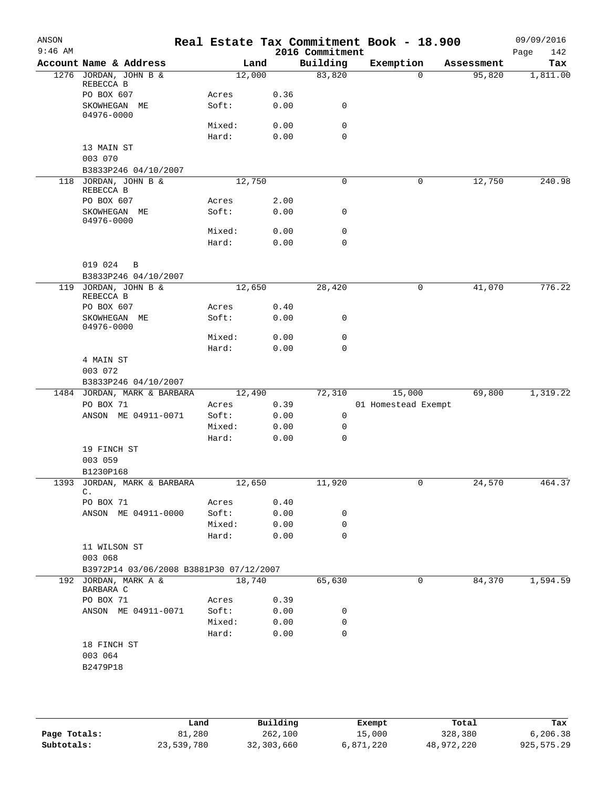| ANSON<br>$9:46$ AM |                                         |                |        |      |                             | Real Estate Tax Commitment Book - 18.900 |            | 09/09/2016         |
|--------------------|-----------------------------------------|----------------|--------|------|-----------------------------|------------------------------------------|------------|--------------------|
|                    | Account Name & Address                  |                | Land   |      | 2016 Commitment<br>Building | Exemption                                | Assessment | 142<br>Page<br>Tax |
|                    | 1276 JORDAN, JOHN B &                   |                | 12,000 |      | 83,820                      | $\Omega$                                 | 95,820     | 1,811.00           |
|                    | REBECCA B                               |                |        |      |                             |                                          |            |                    |
|                    | PO BOX 607                              | Acres          |        | 0.36 |                             |                                          |            |                    |
|                    | SKOWHEGAN ME                            | Soft:          |        | 0.00 | 0                           |                                          |            |                    |
|                    | 04976-0000                              |                |        |      |                             |                                          |            |                    |
|                    |                                         | Mixed:         |        | 0.00 | $\mathbf 0$                 |                                          |            |                    |
|                    |                                         | Hard:          |        | 0.00 | 0                           |                                          |            |                    |
|                    | 13 MAIN ST                              |                |        |      |                             |                                          |            |                    |
|                    | 003 070                                 |                |        |      |                             |                                          |            |                    |
|                    | B3833P246 04/10/2007                    |                |        |      |                             |                                          |            |                    |
|                    | 118 JORDAN, JOHN B &<br>REBECCA B       |                | 12,750 |      | 0                           | 0                                        | 12,750     | 240.98             |
|                    | PO BOX 607                              | Acres          |        | 2.00 |                             |                                          |            |                    |
|                    | SKOWHEGAN ME                            | Soft:          |        | 0.00 | 0                           |                                          |            |                    |
|                    | 04976-0000                              |                |        |      |                             |                                          |            |                    |
|                    |                                         | Mixed:         |        | 0.00 | $\mathsf{O}$                |                                          |            |                    |
|                    |                                         | Hard:          |        | 0.00 | 0                           |                                          |            |                    |
|                    |                                         |                |        |      |                             |                                          |            |                    |
|                    | 019 024<br>B                            |                |        |      |                             |                                          |            |                    |
|                    | B3833P246 04/10/2007                    |                |        |      |                             |                                          |            |                    |
|                    | 119 JORDAN, JOHN B &                    |                | 12,650 |      | 28,420                      | 0                                        | 41,070     | 776.22             |
|                    | REBECCA B                               |                |        |      |                             |                                          |            |                    |
|                    | PO BOX 607                              | Acres<br>Soft: |        | 0.40 | 0                           |                                          |            |                    |
|                    | SKOWHEGAN ME<br>04976-0000              |                |        | 0.00 |                             |                                          |            |                    |
|                    |                                         | Mixed:         |        | 0.00 | $\mathsf{O}$                |                                          |            |                    |
|                    |                                         | Hard:          |        | 0.00 | 0                           |                                          |            |                    |
|                    | 4 MAIN ST                               |                |        |      |                             |                                          |            |                    |
|                    | 003 072                                 |                |        |      |                             |                                          |            |                    |
|                    | B3833P246 04/10/2007                    |                |        |      |                             |                                          |            |                    |
|                    | 1484 JORDAN, MARK & BARBARA             |                | 12,490 |      | 72,310                      | 15,000                                   | 69,800     | 1,319.22           |
|                    | PO BOX 71                               | Acres          |        | 0.39 |                             | 01 Homestead Exempt                      |            |                    |
|                    | ANSON ME 04911-0071                     | Soft:          |        | 0.00 | $\mathbf 0$                 |                                          |            |                    |
|                    |                                         | Mixed:         |        | 0.00 | $\mathbf 0$                 |                                          |            |                    |
|                    |                                         | Hard:          |        | 0.00 | 0                           |                                          |            |                    |
|                    | 19 FINCH ST                             |                |        |      |                             |                                          |            |                    |
|                    | 003 059                                 |                |        |      |                             |                                          |            |                    |
|                    | B1230P168                               |                |        |      |                             |                                          |            |                    |
| 1393               | JORDAN, MARK & BARBARA<br>C.            | 12,650         |        |      | 11,920                      |                                          | 24,570     | 464.37             |
|                    | PO BOX 71                               | Acres          |        | 0.40 |                             |                                          |            |                    |
|                    | ANSON ME 04911-0000                     | Soft:          |        | 0.00 | 0                           |                                          |            |                    |
|                    |                                         | Mixed:         |        | 0.00 | 0                           |                                          |            |                    |
|                    |                                         | Hard:          |        | 0.00 | $\Omega$                    |                                          |            |                    |
|                    | 11 WILSON ST                            |                |        |      |                             |                                          |            |                    |
|                    | 003 068                                 |                |        |      |                             |                                          |            |                    |
|                    | B3972P14 03/06/2008 B3881P30 07/12/2007 |                |        |      |                             |                                          |            |                    |
|                    | 192 JORDAN, MARK A &                    |                | 18,740 |      | 65,630                      | 0                                        | 84,370     | 1,594.59           |
|                    | BARBARA C                               |                |        |      |                             |                                          |            |                    |
|                    | PO BOX 71                               | Acres          |        | 0.39 |                             |                                          |            |                    |
|                    | ANSON ME 04911-0071                     | Soft:          |        | 0.00 | 0                           |                                          |            |                    |
|                    |                                         | Mixed:         |        | 0.00 | 0                           |                                          |            |                    |
|                    |                                         | Hard:          |        | 0.00 | $\mathbf 0$                 |                                          |            |                    |
|                    | 18 FINCH ST                             |                |        |      |                             |                                          |            |                    |
|                    | 003 064                                 |                |        |      |                             |                                          |            |                    |
|                    | B2479P18                                |                |        |      |                             |                                          |            |                    |
|                    |                                         |                |        |      |                             |                                          |            |                    |
|                    |                                         |                |        |      |                             |                                          |            |                    |
|                    |                                         |                |        |      |                             |                                          |            |                    |

|              | Land       | Building   | Exempt    | Total      | Tax        |
|--------------|------------|------------|-----------|------------|------------|
| Page Totals: | 81,280     | 262,100    | 15,000    | 328,380    | 6,206.38   |
| Subtotals:   | 23,539,780 | 32,303,660 | 6,871,220 | 48,972,220 | 925,575.29 |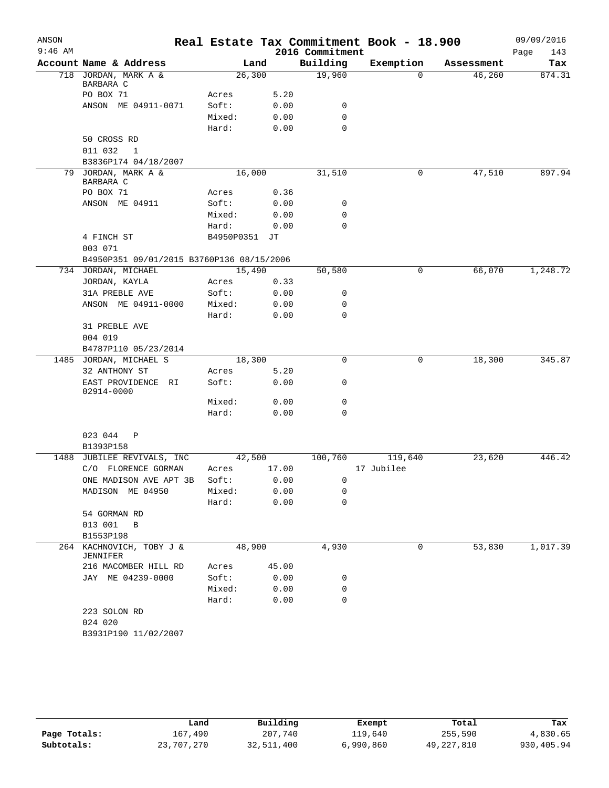| ANSON     |                                                                  |               |       |                 | Real Estate Tax Commitment Book - 18.900 |                    | 09/09/2016  |
|-----------|------------------------------------------------------------------|---------------|-------|-----------------|------------------------------------------|--------------------|-------------|
| $9:46$ AM |                                                                  |               |       | 2016 Commitment |                                          |                    | 143<br>Page |
|           | Account Name & Address                                           |               | Land  | Building        | Exemption                                | Assessment         | Tax         |
|           | 718 JORDAN, MARK A &<br>BARBARA C                                | 26,300        |       | 19,960          |                                          | 46,260<br>$\Omega$ | 874.31      |
|           | PO BOX 71                                                        | Acres         | 5.20  |                 |                                          |                    |             |
|           | ANSON ME 04911-0071                                              | Soft:         | 0.00  |                 | 0                                        |                    |             |
|           |                                                                  | Mixed:        | 0.00  |                 | $\mathbf 0$                              |                    |             |
|           |                                                                  | Hard:         | 0.00  |                 | $\mathbf 0$                              |                    |             |
|           | 50 CROSS RD                                                      |               |       |                 |                                          |                    |             |
|           | 011 032<br>1                                                     |               |       |                 |                                          |                    |             |
|           | B3836P174 04/18/2007                                             |               |       |                 |                                          |                    |             |
|           | 79 JORDAN, MARK A &<br>BARBARA C                                 | 16,000        |       | 31,510          |                                          | 47,510<br>0        | 897.94      |
|           | PO BOX 71                                                        | Acres         | 0.36  |                 |                                          |                    |             |
|           | ANSON ME 04911                                                   | Soft:         | 0.00  |                 | 0                                        |                    |             |
|           |                                                                  | Mixed:        | 0.00  |                 | 0                                        |                    |             |
|           |                                                                  | Hard:         | 0.00  |                 | $\mathbf 0$                              |                    |             |
|           | 4 FINCH ST                                                       | B4950P0351 JT |       |                 |                                          |                    |             |
|           | 003 071                                                          |               |       |                 |                                          |                    |             |
|           | B4950P351 09/01/2015 B3760P136 08/15/2006<br>734 JORDAN, MICHAEL | 15,490        |       | 50,580          |                                          | 66,070<br>0        | 1,248.72    |
|           | JORDAN, KAYLA                                                    | Acres         | 0.33  |                 |                                          |                    |             |
|           | 31A PREBLE AVE                                                   | Soft:         | 0.00  |                 | 0                                        |                    |             |
|           | ANSON ME 04911-0000                                              | Mixed:        | 0.00  |                 | 0                                        |                    |             |
|           |                                                                  | Hard:         | 0.00  |                 | $\mathbf 0$                              |                    |             |
|           | 31 PREBLE AVE                                                    |               |       |                 |                                          |                    |             |
|           | 004 019                                                          |               |       |                 |                                          |                    |             |
|           | B4787P110 05/23/2014                                             |               |       |                 |                                          |                    |             |
| 1485      | JORDAN, MICHAEL S                                                | 18,300        |       |                 | 0                                        | 18,300<br>0        | 345.87      |
|           | 32 ANTHONY ST                                                    | Acres         | 5.20  |                 |                                          |                    |             |
|           | EAST PROVIDENCE RI<br>02914-0000                                 | Soft:         | 0.00  |                 | 0                                        |                    |             |
|           |                                                                  | Mixed:        | 0.00  |                 | 0                                        |                    |             |
|           |                                                                  | Hard:         | 0.00  |                 | 0                                        |                    |             |
|           | 023 044<br>$\mathbb{P}$                                          |               |       |                 |                                          |                    |             |
|           | B1393P158                                                        |               |       |                 |                                          |                    |             |
|           | 1488 JUBILEE REVIVALS, INC                                       | 42,500        |       | 100,760         | 119,640                                  | 23,620             | 446.42      |
|           | C/O FLORENCE GORMAN                                              | Acres         | 17.00 |                 | 17 Jubilee                               |                    |             |
|           | ONE MADISON AVE APT 3B Soft:                                     |               | 0.00  |                 | $\mathbf{0}$                             |                    |             |
|           | MADISON ME 04950                                                 | Mixed:        | 0.00  |                 | 0                                        |                    |             |
|           |                                                                  | Hard:         | 0.00  |                 | 0                                        |                    |             |
|           | 54 GORMAN RD                                                     |               |       |                 |                                          |                    |             |
|           | 013 001 B                                                        |               |       |                 |                                          |                    |             |
|           | B1553P198                                                        |               |       |                 |                                          |                    |             |
| 264       | KACHNOVICH, TOBY J &<br>JENNIFER                                 | 48,900        |       | 4,930           |                                          | 53,830<br>0        | 1,017.39    |
|           | 216 MACOMBER HILL RD                                             | Acres         | 45.00 |                 |                                          |                    |             |
|           | JAY ME 04239-0000                                                | Soft:         | 0.00  |                 | 0                                        |                    |             |
|           |                                                                  | Mixed:        | 0.00  |                 | 0                                        |                    |             |
|           |                                                                  | Hard:         | 0.00  |                 | 0                                        |                    |             |
|           | 223 SOLON RD                                                     |               |       |                 |                                          |                    |             |
|           | 024 020                                                          |               |       |                 |                                          |                    |             |
|           | B3931P190 11/02/2007                                             |               |       |                 |                                          |                    |             |

|              | Land       | Building   | Exempt    | Total        | Tax        |
|--------------|------------|------------|-----------|--------------|------------|
| Page Totals: | 167,490    | 207,740    | 119,640   | 255,590      | 4,830.65   |
| Subtotals:   | 23,707,270 | 32,511,400 | 6,990,860 | 49, 227, 810 | 930,405.94 |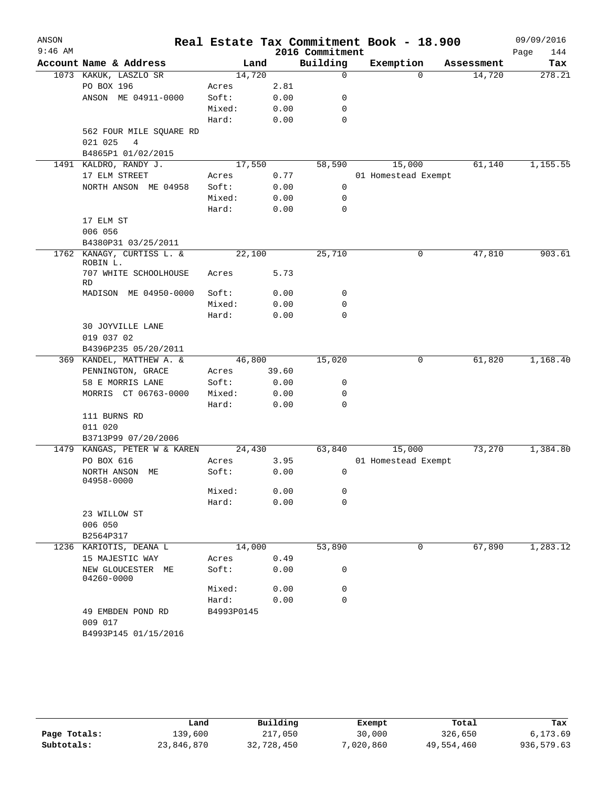| ANSON     |                                 |                |       |                             | Real Estate Tax Commitment Book - 18.900 |                      | 09/09/2016    |
|-----------|---------------------------------|----------------|-------|-----------------------------|------------------------------------------|----------------------|---------------|
| $9:46$ AM | Account Name & Address          |                |       | 2016 Commitment<br>Building |                                          |                      | Page<br>144   |
|           | 1073 KAKUK, LASZLO SR           | 14,720         | Land  | $\mathbf 0$                 | Exemption<br>$\Omega$                    | Assessment<br>14,720 | Tax<br>278.21 |
|           | PO BOX 196                      |                | 2.81  |                             |                                          |                      |               |
|           | ANSON ME 04911-0000             | Acres<br>Soft: | 0.00  | 0                           |                                          |                      |               |
|           |                                 | Mixed:         | 0.00  | 0                           |                                          |                      |               |
|           |                                 | Hard:          | 0.00  | 0                           |                                          |                      |               |
|           | 562 FOUR MILE SQUARE RD         |                |       |                             |                                          |                      |               |
|           | 021 025<br>$\overline{4}$       |                |       |                             |                                          |                      |               |
|           | B4865P1 01/02/2015              |                |       |                             |                                          |                      |               |
|           | 1491 KALDRO, RANDY J.           | 17,550         |       | 58,590                      | 15,000                                   | 61,140               | 1,155.55      |
|           | 17 ELM STREET                   | Acres          | 0.77  |                             | 01 Homestead Exempt                      |                      |               |
|           | NORTH ANSON ME 04958            | Soft:          | 0.00  | 0                           |                                          |                      |               |
|           |                                 | Mixed:         | 0.00  | 0                           |                                          |                      |               |
|           |                                 | Hard:          | 0.00  | 0                           |                                          |                      |               |
|           | 17 ELM ST                       |                |       |                             |                                          |                      |               |
|           | 006 056                         |                |       |                             |                                          |                      |               |
|           | B4380P31 03/25/2011             |                |       |                             |                                          |                      |               |
| 1762      | KANAGY, CURTISS L. &            | 22,100         |       | 25,710                      | 0                                        | 47,810               | 903.61        |
|           | ROBIN L.                        |                |       |                             |                                          |                      |               |
|           | 707 WHITE SCHOOLHOUSE           | Acres          | 5.73  |                             |                                          |                      |               |
|           | <b>RD</b>                       |                |       |                             |                                          |                      |               |
|           | MADISON ME 04950-0000           | Soft:          | 0.00  | 0                           |                                          |                      |               |
|           |                                 | Mixed:         | 0.00  | 0                           |                                          |                      |               |
|           |                                 | Hard:          | 0.00  | 0                           |                                          |                      |               |
|           | 30 JOYVILLE LANE                |                |       |                             |                                          |                      |               |
|           | 019 037 02                      |                |       |                             |                                          |                      |               |
|           | B4396P235 05/20/2011            |                |       |                             |                                          |                      |               |
|           | 369 KANDEL, MATTHEW A. &        | 46,800         |       | 15,020                      | 0                                        | 61,820               | 1,168.40      |
|           | PENNINGTON, GRACE               | Acres          | 39.60 |                             |                                          |                      |               |
|           | 58 E MORRIS LANE                | Soft:          | 0.00  | 0                           |                                          |                      |               |
|           | MORRIS CT 06763-0000            | Mixed:         | 0.00  | 0                           |                                          |                      |               |
|           |                                 | Hard:          | 0.00  | 0                           |                                          |                      |               |
|           | 111 BURNS RD                    |                |       |                             |                                          |                      |               |
|           | 011 020                         |                |       |                             |                                          |                      |               |
|           | B3713P99 07/20/2006             |                |       |                             |                                          |                      |               |
| 1479      | KANGAS, PETER W & KAREN         | 24,430         |       | 63,840                      | 15,000                                   | 73,270               | 1,384.80      |
|           | PO BOX 616                      | Acres          | 3.95  |                             | 01 Homestead Exempt                      |                      |               |
|           | NORTH ANSON ME<br>04958-0000    | Soft:          | 0.00  | 0                           |                                          |                      |               |
|           |                                 | Mixed:         | 0.00  | 0                           |                                          |                      |               |
|           |                                 | Hard:          | 0.00  | 0                           |                                          |                      |               |
|           | 23 WILLOW ST                    |                |       |                             |                                          |                      |               |
|           | 006 050                         |                |       |                             |                                          |                      |               |
|           | B2564P317                       |                |       |                             |                                          |                      |               |
|           | 1236 KARIOTIS, DEANA L          | 14,000         |       | 53,890                      | 0                                        | 67,890               | 1,283.12      |
|           | 15 MAJESTIC WAY                 | Acres          | 0.49  |                             |                                          |                      |               |
|           | NEW GLOUCESTER ME<br>04260-0000 | Soft:          | 0.00  | 0                           |                                          |                      |               |
|           |                                 | Mixed:         | 0.00  | 0                           |                                          |                      |               |
|           |                                 | Hard:          | 0.00  | 0                           |                                          |                      |               |
|           | 49 EMBDEN POND RD               | B4993P0145     |       |                             |                                          |                      |               |
|           | 009 017                         |                |       |                             |                                          |                      |               |
|           | B4993P145 01/15/2016            |                |       |                             |                                          |                      |               |
|           |                                 |                |       |                             |                                          |                      |               |

|              | Land       | Building   | Exempt    | Total      | Tax        |
|--------------|------------|------------|-----------|------------|------------|
| Page Totals: | 139,600    | 217,050    | 30,000    | 326,650    | 6,173.69   |
| Subtotals:   | 23,846,870 | 32,728,450 | 7,020,860 | 49,554,460 | 936,579.63 |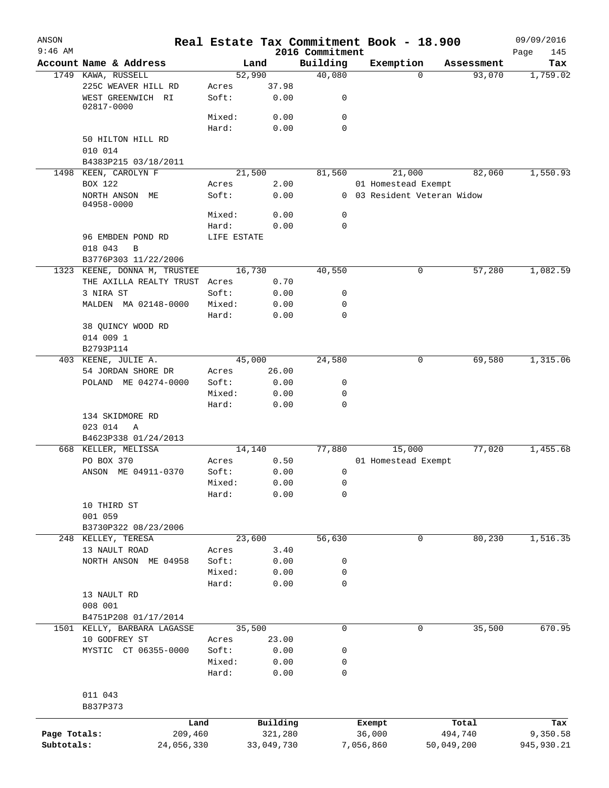| ANSON        |                                 |                 |              |                             | Real Estate Tax Commitment Book - 18.900 |            | 09/09/2016         |
|--------------|---------------------------------|-----------------|--------------|-----------------------------|------------------------------------------|------------|--------------------|
| $9:46$ AM    | Account Name & Address          |                 | Land         | 2016 Commitment<br>Building | Exemption                                | Assessment | Page<br>145<br>Tax |
|              | 1749 KAWA, RUSSELL              |                 | 52,990       | 40,080                      | $\Omega$                                 | 93,070     | 1,759.02           |
|              | 225C WEAVER HILL RD             | Acres           | 37.98        |                             |                                          |            |                    |
|              | WEST GREENWICH RI<br>02817-0000 | Soft:           | 0.00         | 0                           |                                          |            |                    |
|              |                                 | Mixed:          | 0.00         | $\mathbf 0$                 |                                          |            |                    |
|              |                                 | Hard:           | 0.00         | $\mathbf 0$                 |                                          |            |                    |
|              | 50 HILTON HILL RD               |                 |              |                             |                                          |            |                    |
|              | 010 014                         |                 |              |                             |                                          |            |                    |
|              | B4383P215 03/18/2011            |                 |              |                             |                                          |            |                    |
|              | 1498 KEEN, CAROLYN F            |                 | 21,500       | 81,560                      | 21,000                                   | 82,060     | 1,550.93           |
|              | BOX 122                         | Acres           | 2.00         |                             | 01 Homestead Exempt                      |            |                    |
|              | NORTH ANSON ME                  | Soft:           | 0.00         |                             | 0 03 Resident Veteran Widow              |            |                    |
|              | 04958-0000                      |                 |              |                             |                                          |            |                    |
|              |                                 | Mixed:          | 0.00         | 0                           |                                          |            |                    |
|              |                                 | Hard:           | 0.00         | $\mathbf 0$                 |                                          |            |                    |
|              | 96 EMBDEN POND RD               | LIFE ESTATE     |              |                             |                                          |            |                    |
|              | 018 043<br>B                    |                 |              |                             |                                          |            |                    |
|              | B3776P303 11/22/2006            |                 |              |                             |                                          |            |                    |
|              | 1323 KEENE, DONNA M, TRUSTEE    |                 | 16,730       | 40,550                      | 0                                        | 57,280     | 1,082.59           |
|              | THE AXILLA REALTY TRUST Acres   |                 | 0.70         |                             |                                          |            |                    |
|              | 3 NIRA ST                       | Soft:           | 0.00         | 0                           |                                          |            |                    |
|              | MALDEN MA 02148-0000            | Mixed:          | 0.00         | 0                           |                                          |            |                    |
|              |                                 | Hard:           | 0.00         | $\mathbf 0$                 |                                          |            |                    |
|              | 38 QUINCY WOOD RD               |                 |              |                             |                                          |            |                    |
|              | 014 009 1                       |                 |              |                             |                                          |            |                    |
|              | B2793P114                       |                 |              |                             |                                          |            |                    |
|              | 403 KEENE, JULIE A.             |                 | 45,000       | 24,580                      | 0                                        | 69,580     | 1,315.06           |
|              | 54 JORDAN SHORE DR              | Acres           | 26.00        |                             |                                          |            |                    |
|              | POLAND ME 04274-0000            | Soft:<br>Mixed: | 0.00         | 0<br>0                      |                                          |            |                    |
|              |                                 | Hard:           | 0.00<br>0.00 | $\mathbf 0$                 |                                          |            |                    |
|              | 134 SKIDMORE RD                 |                 |              |                             |                                          |            |                    |
|              | 023 014<br>Α                    |                 |              |                             |                                          |            |                    |
|              | B4623P338 01/24/2013            |                 |              |                             |                                          |            |                    |
|              | 668 KELLER, MELISSA             |                 | 14,140       | 77,880                      | 15,000                                   | 77,020     | 1,455.68           |
|              | PO BOX 370                      | Acres           | 0.50         |                             | 01 Homestead Exempt                      |            |                    |
|              | ANSON ME 04911-0370             | Soft:           | 0.00         | 0                           |                                          |            |                    |
|              |                                 | Mixed:          | 0.00         | 0                           |                                          |            |                    |
|              |                                 | Hard:           | 0.00         | 0                           |                                          |            |                    |
|              | 10 THIRD ST                     |                 |              |                             |                                          |            |                    |
|              | 001 059                         |                 |              |                             |                                          |            |                    |
|              | B3730P322 08/23/2006            |                 |              |                             |                                          |            |                    |
|              | 248 KELLEY, TERESA              |                 | 23,600       | 56,630                      | 0                                        | 80,230     | 1,516.35           |
|              | 13 NAULT ROAD                   | Acres           | 3.40         |                             |                                          |            |                    |
|              | NORTH ANSON ME 04958            | Soft:           | 0.00         | 0                           |                                          |            |                    |
|              |                                 | Mixed:          | 0.00         | 0                           |                                          |            |                    |
|              |                                 | Hard:           | 0.00         | $\mathbf 0$                 |                                          |            |                    |
|              | 13 NAULT RD                     |                 |              |                             |                                          |            |                    |
|              | 008 001                         |                 |              |                             |                                          |            |                    |
|              | B4751P208 01/17/2014            |                 |              |                             |                                          |            |                    |
|              | 1501 KELLY, BARBARA LAGASSE     |                 | 35,500       | 0                           | 0                                        | 35,500     | 670.95             |
|              | 10 GODFREY ST                   | Acres           | 23.00        |                             |                                          |            |                    |
|              | MYSTIC CT 06355-0000            | Soft:           | 0.00         | 0                           |                                          |            |                    |
|              |                                 | Mixed:          | 0.00         | 0                           |                                          |            |                    |
|              |                                 | Hard:           | 0.00         | $\mathbf 0$                 |                                          |            |                    |
|              |                                 |                 |              |                             |                                          |            |                    |
|              | 011 043                         |                 |              |                             |                                          |            |                    |
|              | B837P373                        |                 |              |                             |                                          |            |                    |
|              | Land                            |                 | Building     |                             | Exempt                                   | Total      | Tax                |
| Page Totals: | 209,460                         |                 | 321,280      |                             | 36,000                                   | 494,740    | 9,350.58           |
| Subtotals:   | 24,056,330                      |                 | 33,049,730   |                             | 7,056,860<br>50,049,200                  |            | 945, 930.21        |
|              |                                 |                 |              |                             |                                          |            |                    |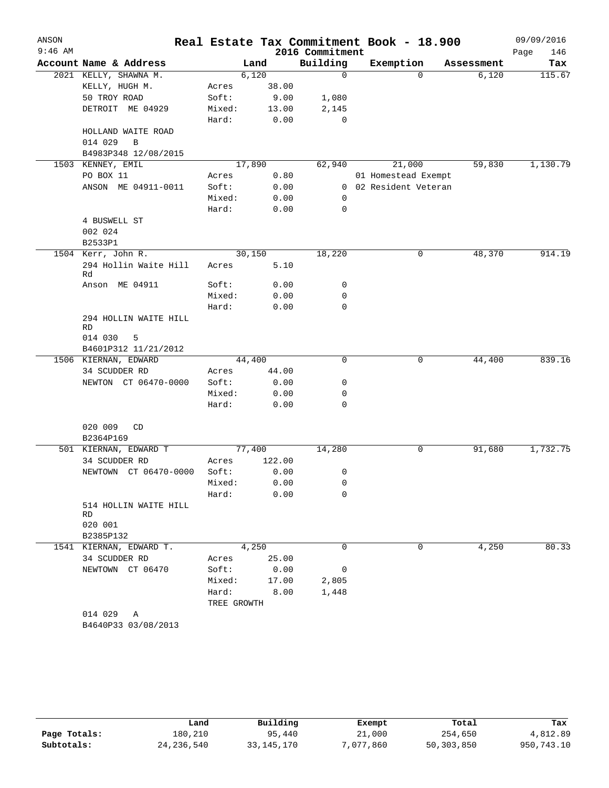| ANSON     |                                  |              |        |                 | Real Estate Tax Commitment Book - 18.900 |            | 09/09/2016  |
|-----------|----------------------------------|--------------|--------|-----------------|------------------------------------------|------------|-------------|
| $9:46$ AM |                                  |              |        | 2016 Commitment |                                          |            | Page<br>146 |
|           | Account Name & Address           |              | Land   | Building        | Exemption                                | Assessment | Tax         |
|           | 2021 KELLY, SHAWNA M.            | 6,120        |        | $\mathbf 0$     | $\Omega$                                 | 6,120      | 115.67      |
|           | KELLY, HUGH M.                   | Acres        | 38.00  |                 |                                          |            |             |
|           | 50 TROY ROAD                     | Soft:        | 9.00   | 1,080           |                                          |            |             |
|           | DETROIT ME 04929                 | Mixed:       | 13.00  | 2,145           |                                          |            |             |
|           |                                  | Hard:        | 0.00   | 0               |                                          |            |             |
|           | HOLLAND WAITE ROAD               |              |        |                 |                                          |            |             |
|           | 014 029<br>B                     |              |        |                 |                                          |            |             |
|           | B4983P348 12/08/2015             |              |        |                 |                                          |            |             |
|           | 1503 KENNEY, EMIL                | 17,890       |        | 62,940          | 21,000                                   | 59,830     | 1,130.79    |
|           | PO BOX 11                        | Acres        | 0.80   |                 | 01 Homestead Exempt                      |            |             |
|           | ANSON ME 04911-0011              | Soft:        | 0.00   |                 | 0 02 Resident Veteran                    |            |             |
|           |                                  | Mixed:       | 0.00   | 0               |                                          |            |             |
|           |                                  | Hard:        | 0.00   | 0               |                                          |            |             |
|           | 4 BUSWELL ST                     |              |        |                 |                                          |            |             |
|           | 002 024                          |              |        |                 |                                          |            |             |
|           | B2533P1                          |              |        |                 |                                          |            |             |
|           | 1504 Kerr, John R.               | 30,150       |        | 18,220          | 0                                        | 48,370     | 914.19      |
|           | 294 Hollin Waite Hill<br>Rd      | Acres        | 5.10   |                 |                                          |            |             |
|           | Anson ME 04911                   | Soft:        | 0.00   | 0               |                                          |            |             |
|           |                                  | Mixed:       | 0.00   | 0               |                                          |            |             |
|           |                                  | Hard:        | 0.00   | 0               |                                          |            |             |
|           | 294 HOLLIN WAITE HILL            |              |        |                 |                                          |            |             |
|           | RD                               |              |        |                 |                                          |            |             |
|           | 014 030<br>5                     |              |        |                 |                                          |            |             |
|           | B4601P312 11/21/2012             |              |        |                 |                                          |            |             |
|           | 1506 KIERNAN, EDWARD             | 44,400       |        | 0               | 0                                        | 44,400     | 839.16      |
|           | 34 SCUDDER RD                    | Acres        | 44.00  |                 |                                          |            |             |
|           | NEWTON CT 06470-0000             | Soft:        | 0.00   | 0               |                                          |            |             |
|           |                                  | Mixed:       | 0.00   | 0               |                                          |            |             |
|           |                                  | Hard:        | 0.00   | 0               |                                          |            |             |
|           |                                  |              |        |                 |                                          |            |             |
|           | 020 009<br>CD                    |              |        |                 |                                          |            |             |
|           | B2364P169                        |              |        |                 |                                          |            |             |
|           | 501 KIERNAN, EDWARD T            | 77,400       |        | 14,280          | 0                                        | 91,680     | 1,732.75    |
|           | 34 SCUDDER RD                    | Acres        | 122.00 |                 |                                          |            |             |
|           | NEWTOWN CT 06470-0000            | Soft:        | 0.00   | 0               |                                          |            |             |
|           |                                  | Mixed:       | 0.00   | 0               |                                          |            |             |
|           |                                  | Hard:        | 0.00   | 0               |                                          |            |             |
|           | 514 HOLLIN WAITE HILL            |              |        |                 |                                          |            |             |
|           | RD                               |              |        |                 |                                          |            |             |
|           | 020 001                          |              |        |                 |                                          |            |             |
|           | B2385P132                        |              |        |                 |                                          |            |             |
|           | 1541 KIERNAN, EDWARD T.          |              | 4,250  | 0               | 0                                        | 4,250      | 80.33       |
|           | 34 SCUDDER RD                    | Acres 25.00  |        |                 |                                          |            |             |
|           | NEWTOWN CT 06470                 | Soft: 0.00   |        | 0               |                                          |            |             |
|           |                                  | Mixed: 17.00 |        | 2,805           |                                          |            |             |
|           |                                  | Hard: 8.00   |        | 1,448           |                                          |            |             |
|           |                                  | TREE GROWTH  |        |                 |                                          |            |             |
|           | 014 029 A<br>B4640P33 03/08/2013 |              |        |                 |                                          |            |             |
|           |                                  |              |        |                 |                                          |            |             |

|              | Land         | Building     | Exempt    | Total      | Tax        |
|--------------|--------------|--------------|-----------|------------|------------|
| Page Totals: | 180,210      | 95,440       | 21,000    | 254,650    | 4,812.89   |
| Subtotals:   | 24, 236, 540 | 33, 145, 170 | 7,077,860 | 50,303,850 | 950,743.10 |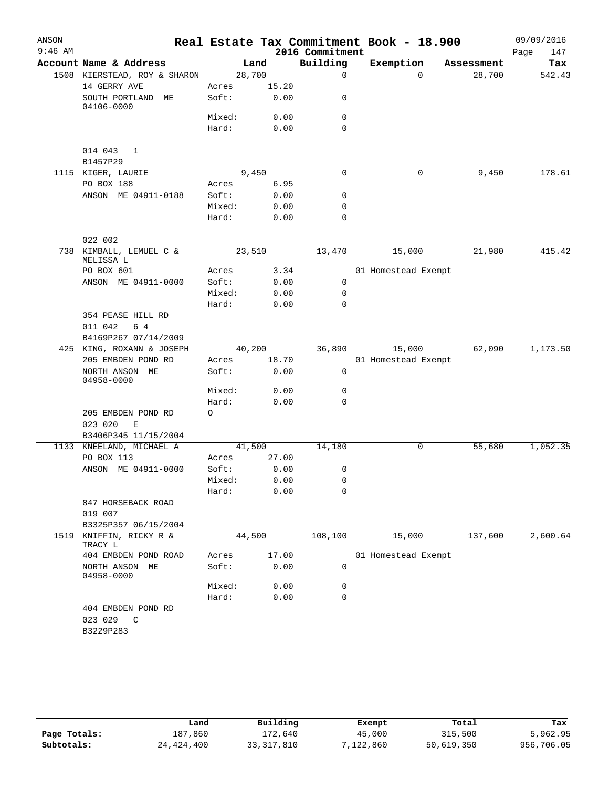| ANSON     |                                      |         |       |                 | Real Estate Tax Commitment Book - 18.900 |            | 09/09/2016  |
|-----------|--------------------------------------|---------|-------|-----------------|------------------------------------------|------------|-------------|
| $9:46$ AM |                                      |         |       | 2016 Commitment |                                          |            | Page<br>147 |
|           | Account Name & Address               | Land    |       | Building        | Exemption                                | Assessment | Tax         |
|           | 1508 KIERSTEAD, ROY & SHARON         | 28,700  |       | $\mathbf 0$     | $\Omega$                                 | 28,700     | 542.43      |
|           | 14 GERRY AVE                         | Acres   | 15.20 |                 |                                          |            |             |
|           | SOUTH PORTLAND<br>MЕ<br>04106-0000   | Soft:   | 0.00  | 0               |                                          |            |             |
|           |                                      | Mixed:  | 0.00  | 0               |                                          |            |             |
|           |                                      | Hard:   | 0.00  | 0               |                                          |            |             |
|           | 014 043<br>1<br>B1457P29             |         |       |                 |                                          |            |             |
|           | 1115 KIGER, LAURIE                   | 9,450   |       | 0               | 0                                        | 9,450      | 178.61      |
|           | PO BOX 188                           | Acres   | 6.95  |                 |                                          |            |             |
|           | ANSON ME 04911-0188                  | Soft:   | 0.00  | $\mathbf 0$     |                                          |            |             |
|           |                                      | Mixed:  | 0.00  | 0               |                                          |            |             |
|           |                                      | Hard:   | 0.00  | $\mathbf 0$     |                                          |            |             |
|           | 022 002                              |         |       |                 |                                          |            |             |
|           | 738 KIMBALL, LEMUEL C &<br>MELISSA L | 23,510  |       | 13,470          | 15,000                                   | 21,980     | 415.42      |
|           | PO BOX 601                           | Acres   | 3.34  |                 | 01 Homestead Exempt                      |            |             |
|           | ANSON ME 04911-0000                  | Soft:   | 0.00  | 0               |                                          |            |             |
|           |                                      | Mixed:  | 0.00  | 0               |                                          |            |             |
|           |                                      | Hard:   | 0.00  | $\mathbf 0$     |                                          |            |             |
|           | 354 PEASE HILL RD                    |         |       |                 |                                          |            |             |
|           | 011 042<br>6 4                       |         |       |                 |                                          |            |             |
|           | B4169P267 07/14/2009                 |         |       |                 |                                          |            |             |
|           | 425 KING, ROXANN & JOSEPH            | 40,200  |       | 36,890          | 15,000                                   | 62,090     | 1,173.50    |
|           | 205 EMBDEN POND RD                   | Acres   | 18.70 |                 | 01 Homestead Exempt                      |            |             |
|           | NORTH ANSON ME<br>04958-0000         | Soft:   | 0.00  | 0               |                                          |            |             |
|           |                                      | Mixed:  | 0.00  | 0               |                                          |            |             |
|           |                                      | Hard:   | 0.00  | 0               |                                          |            |             |
|           | 205 EMBDEN POND RD                   | $\circ$ |       |                 |                                          |            |             |
|           | 023 020<br>E                         |         |       |                 |                                          |            |             |
|           | B3406P345 11/15/2004                 |         |       |                 |                                          |            |             |
|           | 1133 KNEELAND, MICHAEL A             | 41,500  |       | 14,180          | $\mathbf 0$                              | 55,680     | 1,052.35    |
|           | PO BOX 113                           | Acres   | 27.00 |                 |                                          |            |             |
|           | ANSON ME 04911-0000                  | Soft:   | 0.00  | 0               |                                          |            |             |
|           |                                      | Mixed:  | 0.00  | $\Omega$        |                                          |            |             |
|           |                                      | Hard:   | 0.00  | 0               |                                          |            |             |
|           | 847 HORSEBACK ROAD                   |         |       |                 |                                          |            |             |
|           | 019 007                              |         |       |                 |                                          |            |             |
|           | B3325P357 06/15/2004                 |         |       |                 |                                          |            |             |
| 1519      | KNIFFIN, RICKY R &<br>TRACY L        | 44,500  |       | 108,100         | 15,000                                   | 137,600    | 2,600.64    |
|           | 404 EMBDEN POND ROAD                 | Acres   | 17.00 |                 | 01 Homestead Exempt                      |            |             |
|           | NORTH ANSON ME<br>04958-0000         | Soft:   | 0.00  | 0               |                                          |            |             |
|           |                                      | Mixed:  | 0.00  | 0               |                                          |            |             |
|           |                                      | Hard:   | 0.00  | 0               |                                          |            |             |
|           | 404 EMBDEN POND RD                   |         |       |                 |                                          |            |             |
|           | 023 029 C                            |         |       |                 |                                          |            |             |
|           | B3229P283                            |         |       |                 |                                          |            |             |

|              | Land         | Building     | Exempt    | Total      | Tax        |
|--------------|--------------|--------------|-----------|------------|------------|
| Page Totals: | 187.860      | 172.640      | 45,000    | 315,500    | 5,962.95   |
| Subtotals:   | 24, 424, 400 | 33, 317, 810 | 7,122,860 | 50,619,350 | 956,706.05 |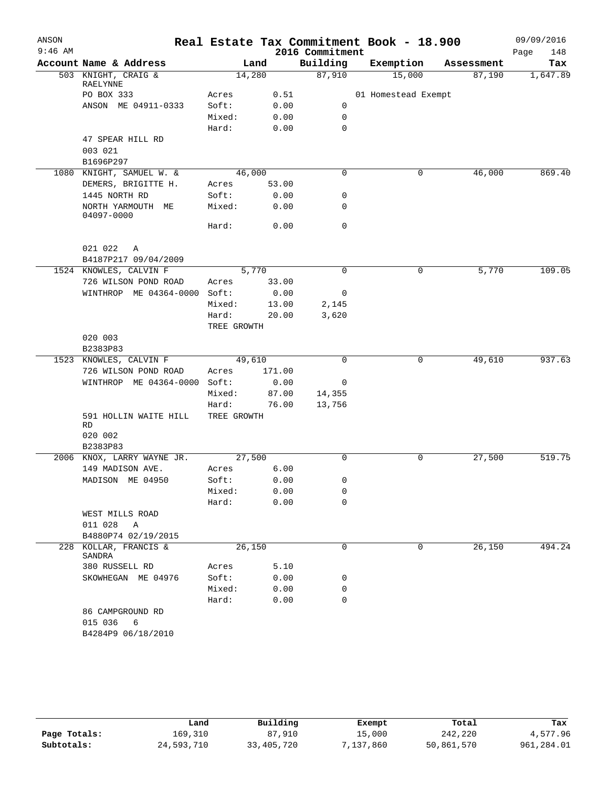| ANSON     |                                 |             |        |                 | Real Estate Tax Commitment Book - 18.900 |            | 09/09/2016  |
|-----------|---------------------------------|-------------|--------|-----------------|------------------------------------------|------------|-------------|
| $9:46$ AM |                                 |             |        | 2016 Commitment |                                          |            | 148<br>Page |
|           | Account Name & Address          |             | Land   | Building        | Exemption                                | Assessment | Tax         |
|           | 503 KNIGHT, CRAIG &<br>RAELYNNE | 14,280      |        | 87,910          | 15,000                                   | 87,190     | 1,647.89    |
|           | PO BOX 333                      | Acres       | 0.51   |                 | 01 Homestead Exempt                      |            |             |
|           | ANSON ME 04911-0333             | Soft:       | 0.00   | 0               |                                          |            |             |
|           |                                 | Mixed:      | 0.00   | $\mathbf 0$     |                                          |            |             |
|           |                                 | Hard:       | 0.00   | $\mathbf 0$     |                                          |            |             |
|           | 47 SPEAR HILL RD                |             |        |                 |                                          |            |             |
|           | 003 021                         |             |        |                 |                                          |            |             |
|           | B1696P297                       |             |        |                 |                                          |            |             |
|           | 1080 KNIGHT, SAMUEL W. &        | 46,000      |        | 0               | 0                                        | 46,000     | 869.40      |
|           | DEMERS, BRIGITTE H.             | Acres       | 53.00  |                 |                                          |            |             |
|           | 1445 NORTH RD                   | Soft:       | 0.00   | 0               |                                          |            |             |
|           | NORTH YARMOUTH ME<br>04097-0000 | Mixed:      | 0.00   | 0               |                                          |            |             |
|           |                                 | Hard:       | 0.00   | $\mathbf 0$     |                                          |            |             |
|           | 021 022 A                       |             |        |                 |                                          |            |             |
|           | B4187P217 09/04/2009            |             |        |                 |                                          |            |             |
|           | 1524 KNOWLES, CALVIN F          |             | 5,770  | $\Omega$        | 0                                        | 5,770      | 109.05      |
|           | 726 WILSON POND ROAD            | Acres       | 33.00  |                 |                                          |            |             |
|           | WINTHROP ME 04364-0000          | Soft:       | 0.00   | 0               |                                          |            |             |
|           |                                 | Mixed:      | 13.00  | 2,145           |                                          |            |             |
|           |                                 | Hard:       | 20.00  | 3,620           |                                          |            |             |
|           |                                 | TREE GROWTH |        |                 |                                          |            |             |
|           | 020 003                         |             |        |                 |                                          |            |             |
|           | B2383P83                        |             |        |                 |                                          |            |             |
|           | 1523 KNOWLES, CALVIN F          | 49,610      |        | $\Omega$        | 0                                        | 49,610     | 937.63      |
|           | 726 WILSON POND ROAD            | Acres       | 171.00 |                 |                                          |            |             |
|           | WINTHROP ME 04364-0000 Soft:    |             | 0.00   | 0               |                                          |            |             |
|           |                                 | Mixed:      | 87.00  | 14,355          |                                          |            |             |
|           |                                 | Hard:       | 76.00  | 13,756          |                                          |            |             |
|           | 591 HOLLIN WAITE HILL<br>RD     | TREE GROWTH |        |                 |                                          |            |             |
|           | 020 002<br>B2383P83             |             |        |                 |                                          |            |             |
|           | 2006 KNOX, LARRY WAYNE JR.      | 27,500      |        | $\Omega$        | 0                                        | 27,500     | 519.75      |
|           | 149 MADISON AVE.                | Acres       | 6.00   |                 |                                          |            |             |
|           | MADISON ME 04950                | Soft:       | 0.00   | 0               |                                          |            |             |
|           |                                 | Mixed:      | 0.00   | 0               |                                          |            |             |
|           |                                 | Hard:       | 0.00   | 0               |                                          |            |             |
|           | WEST MILLS ROAD                 |             |        |                 |                                          |            |             |
|           | 011 028 A                       |             |        |                 |                                          |            |             |
|           | B4880P74 02/19/2015             |             |        |                 |                                          |            |             |
| 228       | KOLLAR, FRANCIS &<br>SANDRA     | 26,150      |        | 0               | 0                                        | 26,150     | 494.24      |
|           | 380 RUSSELL RD                  | Acres       | 5.10   |                 |                                          |            |             |
|           | SKOWHEGAN ME 04976              | Soft:       | 0.00   | 0               |                                          |            |             |
|           |                                 | Mixed:      | 0.00   | 0               |                                          |            |             |
|           |                                 | Hard:       | 0.00   | 0               |                                          |            |             |
|           | 86 CAMPGROUND RD                |             |        |                 |                                          |            |             |
|           | 015 036<br>- 6                  |             |        |                 |                                          |            |             |
|           | B4284P9 06/18/2010              |             |        |                 |                                          |            |             |
|           |                                 |             |        |                 |                                          |            |             |

|              | Land       | Building   | Exempt    | Total      | Tax        |
|--------------|------------|------------|-----------|------------|------------|
| Page Totals: | 169,310    | 87,910     | 15,000    | 242,220    | 4,577.96   |
| Subtotals:   | 24,593,710 | 33,405,720 | 7,137,860 | 50,861,570 | 961,284.01 |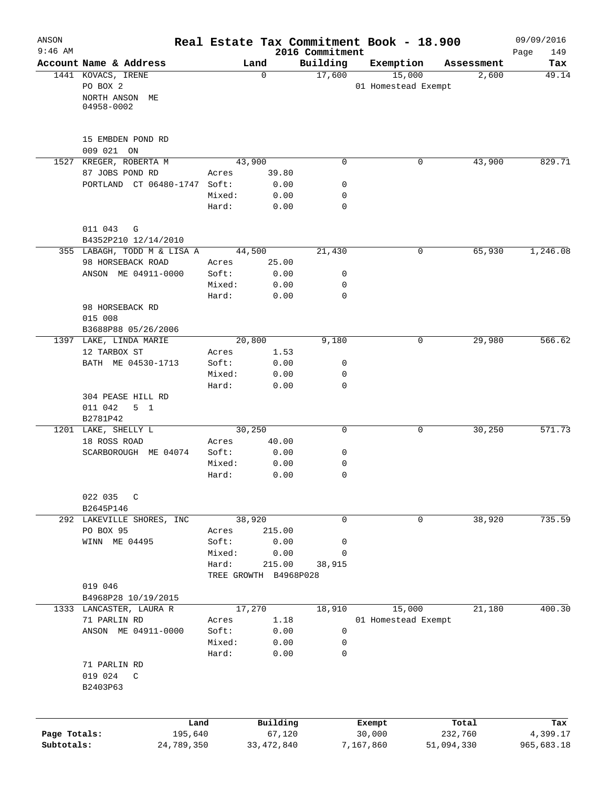| ANSON        |                                       |                |                       |                             | Real Estate Tax Commitment Book - 18.900 |            | 09/09/2016         |
|--------------|---------------------------------------|----------------|-----------------------|-----------------------------|------------------------------------------|------------|--------------------|
| $9:46$ AM    | Account Name & Address                |                | Land                  | 2016 Commitment<br>Building | Exemption                                | Assessment | 149<br>Page<br>Tax |
|              | 1441 KOVACS, IRENE                    |                | $\mathbf 0$           | 17,600                      | 15,000                                   | 2,600      | 49.14              |
|              | PO BOX 2                              |                |                       |                             | 01 Homestead Exempt                      |            |                    |
|              | NORTH ANSON ME                        |                |                       |                             |                                          |            |                    |
|              | 04958-0002                            |                |                       |                             |                                          |            |                    |
|              |                                       |                |                       |                             |                                          |            |                    |
|              | 15 EMBDEN POND RD                     |                |                       |                             |                                          |            |                    |
|              | 009 021 ON                            |                |                       |                             |                                          |            |                    |
|              | 1527 KREGER, ROBERTA M                |                | 43,900                | 0                           | 0                                        | 43,900     | 829.71             |
|              | 87 JOBS POND RD                       | Acres          | 39.80                 |                             |                                          |            |                    |
|              | PORTLAND CT 06480-1747 Soft:          |                | 0.00                  | 0                           |                                          |            |                    |
|              |                                       | Mixed:         | 0.00                  | 0                           |                                          |            |                    |
|              |                                       | Hard:          | 0.00                  | $\mathbf 0$                 |                                          |            |                    |
|              | 011 043<br>G                          |                |                       |                             |                                          |            |                    |
|              | B4352P210 12/14/2010                  |                |                       |                             |                                          |            |                    |
|              | 355 LABAGH, TODD M & LISA A           |                | 44,500                | 21,430                      | 0                                        | 65,930     | 1,246.08           |
|              | 98 HORSEBACK ROAD                     | Acres          | 25.00                 |                             |                                          |            |                    |
|              | ANSON ME 04911-0000                   | Soft:          | 0.00                  | 0                           |                                          |            |                    |
|              |                                       | Mixed:         | 0.00                  | 0                           |                                          |            |                    |
|              |                                       | Hard:          | 0.00                  | 0                           |                                          |            |                    |
|              | 98 HORSEBACK RD                       |                |                       |                             |                                          |            |                    |
|              | 015 008                               |                |                       |                             |                                          |            |                    |
|              | B3688P88 05/26/2006                   |                |                       |                             |                                          |            |                    |
|              | 1397 LAKE, LINDA MARIE                |                | 20,800                | 9,180                       | 0                                        | 29,980     | 566.62             |
|              | 12 TARBOX ST                          | Acres          | 1.53                  |                             |                                          |            |                    |
|              | BATH ME 04530-1713                    | Soft:          | 0.00                  | $\mathsf{O}$                |                                          |            |                    |
|              |                                       | Mixed:         | 0.00                  | 0                           |                                          |            |                    |
|              |                                       | Hard:          | 0.00                  | $\mathbf 0$                 |                                          |            |                    |
|              | 304 PEASE HILL RD                     |                |                       |                             |                                          |            |                    |
|              | 011 042<br>5 <sub>1</sub><br>B2781P42 |                |                       |                             |                                          |            |                    |
|              | 1201 LAKE, SHELLY L                   |                | 30, 250               | 0                           | 0                                        | 30,250     | 571.73             |
|              | 18 ROSS ROAD                          | Acres          | 40.00                 |                             |                                          |            |                    |
|              | SCARBOROUGH ME 04074                  | Soft:          | 0.00                  | 0                           |                                          |            |                    |
|              |                                       | Mixed:         | 0.00                  | 0                           |                                          |            |                    |
|              |                                       | Hard:          | 0.00                  | 0                           |                                          |            |                    |
|              |                                       |                |                       |                             |                                          |            |                    |
|              | 022 035<br>$\mathsf{C}$               |                |                       |                             |                                          |            |                    |
|              | B2645P146                             |                |                       |                             |                                          |            |                    |
|              | 292 LAKEVILLE SHORES, INC             |                | 38,920                | 0                           | 0                                        | 38,920     | 735.59             |
|              | PO BOX 95<br>WINN ME 04495            | Acres<br>Soft: | 215.00                |                             |                                          |            |                    |
|              |                                       | Mixed:         | 0.00<br>0.00          | 0<br>0                      |                                          |            |                    |
|              |                                       | Hard:          | 215.00                | 38,915                      |                                          |            |                    |
|              |                                       |                | TREE GROWTH B4968P028 |                             |                                          |            |                    |
|              | 019 046                               |                |                       |                             |                                          |            |                    |
|              | B4968P28 10/19/2015                   |                |                       |                             |                                          |            |                    |
|              | 1333 LANCASTER, LAURA R               |                | 17,270                | 18,910                      | 15,000                                   | 21,180     | 400.30             |
|              | 71 PARLIN RD                          | Acres          | 1.18                  |                             | 01 Homestead Exempt                      |            |                    |
|              | ANSON ME 04911-0000                   | Soft:          | 0.00                  | 0                           |                                          |            |                    |
|              |                                       | Mixed:         | 0.00                  | 0                           |                                          |            |                    |
|              |                                       | Hard:          | 0.00                  | 0                           |                                          |            |                    |
|              | 71 PARLIN RD                          |                |                       |                             |                                          |            |                    |
|              | 019 024<br>C                          |                |                       |                             |                                          |            |                    |
|              | B2403P63                              |                |                       |                             |                                          |            |                    |
|              |                                       |                |                       |                             |                                          |            |                    |
|              | Land                                  |                | Building              |                             | Exempt                                   | Total      | Tax                |
| Page Totals: | 195,640                               |                | 67,120                |                             | 30,000                                   | 232,760    | 4,399.17           |
| Subtotals:   | 24,789,350                            |                | 33, 472, 840          |                             | 7,167,860                                | 51,094,330 | 965,683.18         |
|              |                                       |                |                       |                             |                                          |            |                    |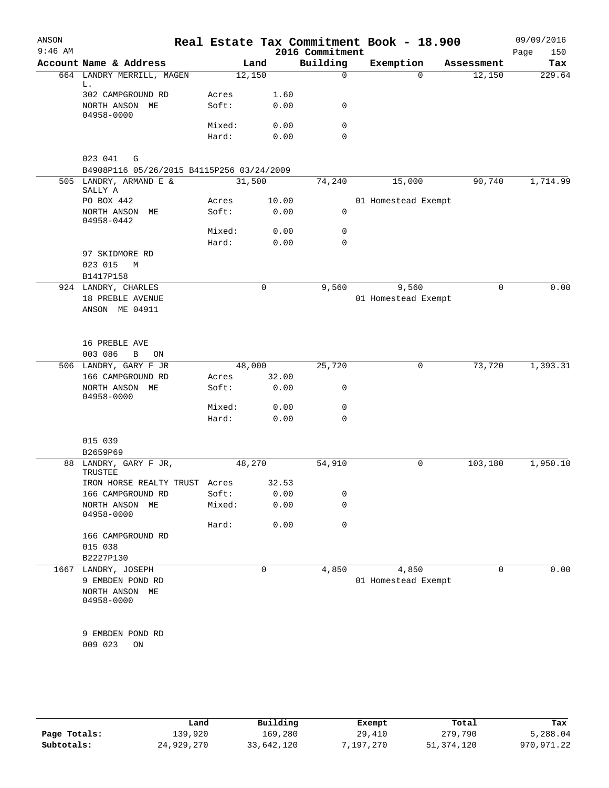| ANSON<br>$9:46$ AM |                                           |                 |              | 2016 Commitment | Real Estate Tax Commitment Book - 18.900 |            | 09/09/2016<br>150<br>Page |
|--------------------|-------------------------------------------|-----------------|--------------|-----------------|------------------------------------------|------------|---------------------------|
|                    | Account Name & Address                    |                 | Land         | Building        | Exemption                                | Assessment | Tax                       |
|                    | 664 LANDRY MERRILL, MAGEN                 |                 | 12,150       | $\Omega$        | $\Omega$                                 | 12,150     | 229.64                    |
|                    | L.<br>302 CAMPGROUND RD                   | Acres           | 1.60         |                 |                                          |            |                           |
|                    | NORTH ANSON ME                            | Soft:           | 0.00         | $\mathbf 0$     |                                          |            |                           |
|                    | 04958-0000                                |                 |              | $\mathbf 0$     |                                          |            |                           |
|                    |                                           | Mixed:<br>Hard: | 0.00<br>0.00 | $\Omega$        |                                          |            |                           |
|                    |                                           |                 |              |                 |                                          |            |                           |
|                    | 023 041<br>G                              |                 |              |                 |                                          |            |                           |
|                    | B4908P116 05/26/2015 B4115P256 03/24/2009 |                 |              |                 |                                          |            |                           |
|                    | 505 LANDRY, ARMAND E &<br>SALLY A         |                 | 31,500       | 74,240          | 15,000                                   | 90,740     | 1,714.99                  |
|                    | PO BOX 442                                | Acres           | 10.00        |                 | 01 Homestead Exempt                      |            |                           |
|                    | NORTH ANSON ME<br>04958-0442              | Soft:           | 0.00         | 0               |                                          |            |                           |
|                    |                                           | Mixed:          | 0.00         | 0               |                                          |            |                           |
|                    |                                           | Hard:           | 0.00         | $\Omega$        |                                          |            |                           |
|                    | 97 SKIDMORE RD                            |                 |              |                 |                                          |            |                           |
|                    | 023 015<br>М                              |                 |              |                 |                                          |            |                           |
|                    | B1417P158                                 |                 |              |                 |                                          |            |                           |
|                    | 924 LANDRY, CHARLES                       |                 | 0            | 9,560           | 9,560                                    | 0          | 0.00                      |
|                    | 18 PREBLE AVENUE                          |                 |              |                 | 01 Homestead Exempt                      |            |                           |
|                    | ANSON ME 04911                            |                 |              |                 |                                          |            |                           |
|                    | 16 PREBLE AVE                             |                 |              |                 |                                          |            |                           |
|                    | 003 086<br>$\, {\bf B}$<br>ON             |                 |              |                 |                                          |            |                           |
|                    | 506 LANDRY, GARY F JR                     |                 | 48,000       | 25,720          | 0                                        | 73,720     | 1,393.31                  |
|                    | 166 CAMPGROUND RD                         | Acres           | 32.00        |                 |                                          |            |                           |
|                    | NORTH ANSON ME<br>04958-0000              | Soft:           | 0.00         | 0               |                                          |            |                           |
|                    |                                           | Mixed:          | 0.00         | $\mathbf 0$     |                                          |            |                           |
|                    |                                           | Hard:           | 0.00         | $\Omega$        |                                          |            |                           |
|                    | 015 039                                   |                 |              |                 |                                          |            |                           |
|                    | B2659P69                                  |                 |              |                 |                                          |            |                           |
|                    | 88 LANDRY, GARY F JR,<br>TRUSTEE          |                 | 48,270       | 54,910          | 0                                        | 103,180    | 1,950.10                  |
|                    | IRON HORSE REALTY TRUST Acres             |                 | 32.53        |                 |                                          |            |                           |
|                    | 166 CAMPGROUND RD                         | Soft:           | 0.00         | 0               |                                          |            |                           |
|                    | NORTH ANSON ME<br>04958-0000              | Mixed:          | 0.00         | 0               |                                          |            |                           |
|                    |                                           | Hard:           | 0.00         | 0               |                                          |            |                           |
|                    | 166 CAMPGROUND RD                         |                 |              |                 |                                          |            |                           |
|                    | 015 038                                   |                 |              |                 |                                          |            |                           |
|                    | B2227P130                                 |                 |              |                 |                                          |            |                           |
|                    | 1667 LANDRY, JOSEPH                       |                 | 0            | 4,850           | 4,850                                    | 0          | 0.00                      |
|                    | 9 EMBDEN POND RD                          |                 |              |                 | 01 Homestead Exempt                      |            |                           |
|                    | NORTH ANSON ME<br>04958-0000              |                 |              |                 |                                          |            |                           |
|                    |                                           |                 |              |                 |                                          |            |                           |
|                    | 9 EMBDEN POND RD                          |                 |              |                 |                                          |            |                           |
|                    | 009 023<br>ON                             |                 |              |                 |                                          |            |                           |
|                    |                                           |                 |              |                 |                                          |            |                           |
|                    |                                           |                 |              |                 |                                          |            |                           |

|              | Land       | Building   | Exempt    | Total        | Tax        |
|--------------|------------|------------|-----------|--------------|------------|
| Page Totals: | 139,920    | 169,280    | 29,410    | 279,790      | 5,288.04   |
| Subtotals:   | 24,929,270 | 33,642,120 | 7,197,270 | 51, 374, 120 | 970,971.22 |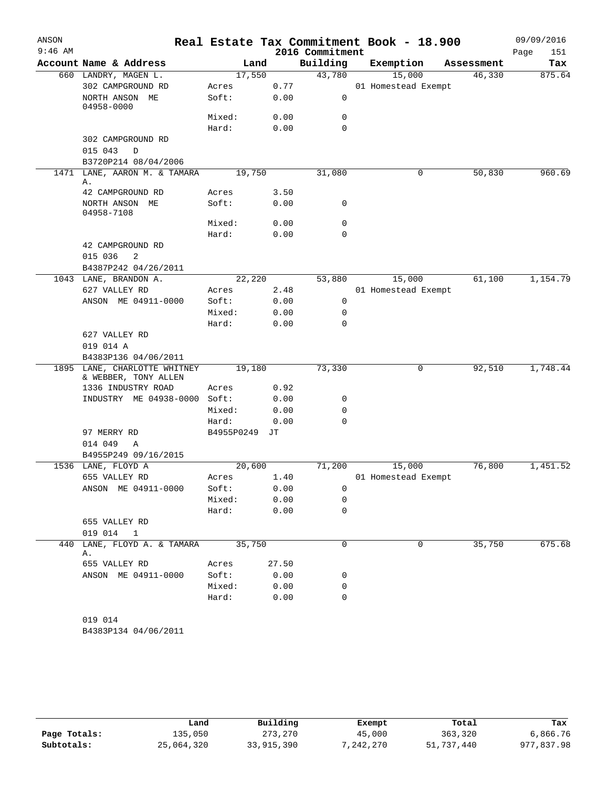| ANSON     |                                                      |            |       |                 | Real Estate Tax Commitment Book - 18.900 |            | 09/09/2016  |
|-----------|------------------------------------------------------|------------|-------|-----------------|------------------------------------------|------------|-------------|
| $9:46$ AM |                                                      |            |       | 2016 Commitment |                                          |            | Page<br>151 |
|           | Account Name & Address                               |            | Land  | Building        | Exemption                                | Assessment | Tax         |
|           | 660 LANDRY, MAGEN L.                                 | 17,550     |       | 43,780          | 15,000                                   | 46,330     | 875.64      |
|           | 302 CAMPGROUND RD                                    | Acres      | 0.77  |                 | 01 Homestead Exempt                      |            |             |
|           | NORTH ANSON ME<br>04958-0000                         | Soft:      | 0.00  | 0               |                                          |            |             |
|           |                                                      | Mixed:     | 0.00  | $\mathbf 0$     |                                          |            |             |
|           |                                                      | Hard:      | 0.00  | 0               |                                          |            |             |
|           | 302 CAMPGROUND RD                                    |            |       |                 |                                          |            |             |
|           | 015 043<br>D<br>B3720P214 08/04/2006                 |            |       |                 |                                          |            |             |
|           | 1471 LANE, AARON M. & TAMARA<br>Α.                   | 19,750     |       | 31,080          | 0                                        | 50,830     | 960.69      |
|           | 42 CAMPGROUND RD                                     | Acres      | 3.50  |                 |                                          |            |             |
|           | NORTH ANSON ME<br>04958-7108                         | Soft:      | 0.00  | 0               |                                          |            |             |
|           |                                                      | Mixed:     | 0.00  | 0               |                                          |            |             |
|           |                                                      | Hard:      | 0.00  | 0               |                                          |            |             |
|           | 42 CAMPGROUND RD<br>015 036<br>-2                    |            |       |                 |                                          |            |             |
|           | B4387P242 04/26/2011                                 |            |       |                 |                                          |            |             |
|           | 1043 LANE, BRANDON A.                                | 22,220     |       | 53,880          | 15,000                                   | 61,100     | 1,154.79    |
|           | 627 VALLEY RD                                        | Acres      | 2.48  |                 | 01 Homestead Exempt                      |            |             |
|           | ANSON ME 04911-0000                                  | Soft:      | 0.00  | 0               |                                          |            |             |
|           |                                                      | Mixed:     | 0.00  | 0               |                                          |            |             |
|           |                                                      | Hard:      | 0.00  | $\mathbf 0$     |                                          |            |             |
|           | 627 VALLEY RD                                        |            |       |                 |                                          |            |             |
|           | 019 014 A                                            |            |       |                 |                                          |            |             |
|           | B4383P136 04/06/2011                                 |            |       |                 |                                          |            |             |
|           | 1895 LANE, CHARLOTTE WHITNEY<br>& WEBBER, TONY ALLEN | 19,180     |       | 73,330          | 0                                        | 92,510     | 1,748.44    |
|           | 1336 INDUSTRY ROAD                                   | Acres      | 0.92  |                 |                                          |            |             |
|           | INDUSTRY ME 04938-0000 Soft:                         |            | 0.00  | 0               |                                          |            |             |
|           |                                                      | Mixed:     | 0.00  | 0               |                                          |            |             |
|           |                                                      | Hard:      | 0.00  | 0               |                                          |            |             |
|           | 97 MERRY RD                                          | B4955P0249 | JТ    |                 |                                          |            |             |
|           | 014 049<br>Α                                         |            |       |                 |                                          |            |             |
|           | B4955P249 09/16/2015                                 |            |       |                 |                                          |            |             |
|           | 1536 LANE, FLOYD A                                   | 20,600     |       | 71,200          | 15,000                                   | 76,800     | 1,451.52    |
|           | 655 VALLEY RD                                        | Acres      | 1.40  |                 | 01 Homestead Exempt                      |            |             |
|           | ANSON ME 04911-0000                                  | Soft:      | 0.00  | 0               |                                          |            |             |
|           |                                                      | Mixed:     | 0.00  | 0               |                                          |            |             |
|           |                                                      | Hard:      | 0.00  | 0               |                                          |            |             |
|           | 655 VALLEY RD<br>019 014<br>1                        |            |       |                 |                                          |            |             |
| 440       | LANE, FLOYD A. & TAMARA                              | 35,750     |       | 0               | 0                                        | 35,750     | 675.68      |
|           | Α.                                                   |            |       |                 |                                          |            |             |
|           | 655 VALLEY RD                                        | Acres      | 27.50 |                 |                                          |            |             |
|           | ANSON ME 04911-0000                                  | Soft:      | 0.00  | 0               |                                          |            |             |
|           |                                                      | Mixed:     | 0.00  | 0               |                                          |            |             |
|           |                                                      | Hard:      | 0.00  | 0               |                                          |            |             |
|           | 019 014                                              |            |       |                 |                                          |            |             |
|           | B4383P134 04/06/2011                                 |            |       |                 |                                          |            |             |
|           |                                                      |            |       |                 |                                          |            |             |

|              | Land       | Building   | Exempt    | Total      | Tax        |
|--------------|------------|------------|-----------|------------|------------|
| Page Totals: | 135,050    | 273,270    | 45,000    | 363,320    | 6,866.76   |
| Subtotals:   | 25,064,320 | 33,915,390 | 7,242,270 | 51,737,440 | 977,837.98 |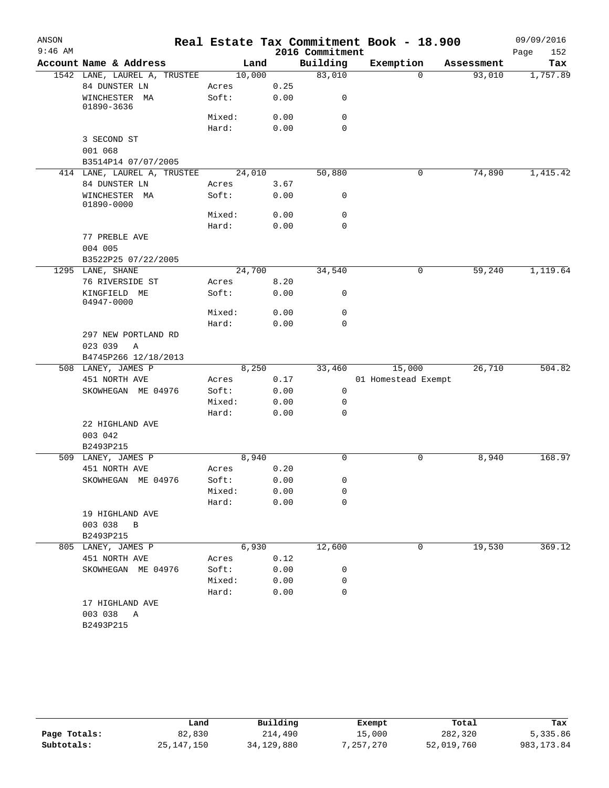| ANSON     |                                     |                 |      |                 | Real Estate Tax Commitment Book - 18.900 |            | 09/09/2016  |
|-----------|-------------------------------------|-----------------|------|-----------------|------------------------------------------|------------|-------------|
| $9:46$ AM |                                     |                 |      | 2016 Commitment |                                          |            | 152<br>Page |
|           | Account Name & Address              | Land            |      | Building        | Exemption                                | Assessment | Tax         |
|           | 1542 LANE, LAUREL A, TRUSTEE        | 10,000          |      | 83,010          | $\Omega$                                 | 93,010     | 1,757.89    |
|           | 84 DUNSTER LN                       | Acres           | 0.25 |                 |                                          |            |             |
|           | WINCHESTER MA<br>01890-3636         | Soft:           | 0.00 | 0               |                                          |            |             |
|           |                                     | Mixed:          | 0.00 | $\mathbf 0$     |                                          |            |             |
|           |                                     | Hard:           | 0.00 | $\Omega$        |                                          |            |             |
|           | 3 SECOND ST                         |                 |      |                 |                                          |            |             |
|           | 001 068                             |                 |      |                 |                                          |            |             |
|           | B3514P14 07/07/2005                 |                 |      |                 |                                          |            |             |
|           | 414 LANE, LAUREL A, TRUSTEE         | 24,010          |      | 50,880          | 0                                        | 74,890     | 1,415.42    |
|           | 84 DUNSTER LN                       | Acres           | 3.67 |                 |                                          |            |             |
|           | WINCHESTER MA<br>01890-0000         | Soft:           | 0.00 | 0               |                                          |            |             |
|           |                                     | Mixed:          | 0.00 | 0               |                                          |            |             |
|           |                                     | Hard:           | 0.00 | $\mathbf 0$     |                                          |            |             |
|           | 77 PREBLE AVE                       |                 |      |                 |                                          |            |             |
|           | 004 005                             |                 |      |                 |                                          |            |             |
|           | B3522P25 07/22/2005                 |                 |      |                 |                                          |            |             |
|           | 1295 LANE, SHANE                    | 24,700          |      | 34,540          | 0                                        | 59,240     | 1,119.64    |
|           | 76 RIVERSIDE ST                     | Acres           | 8.20 |                 |                                          |            |             |
|           | KINGFIELD ME<br>04947-0000          | Soft:           | 0.00 | 0               |                                          |            |             |
|           |                                     | Mixed:          | 0.00 | $\mathbf 0$     |                                          |            |             |
|           |                                     | Hard:           | 0.00 | 0               |                                          |            |             |
|           | 297 NEW PORTLAND RD<br>023 039<br>A |                 |      |                 |                                          |            |             |
|           | B4745P266 12/18/2013                |                 |      |                 |                                          |            |             |
|           | 508 LANEY, JAMES P                  | 8,250           |      | 33,460          | 15,000                                   | 26,710     | 504.82      |
|           | 451 NORTH AVE                       | Acres           | 0.17 |                 | 01 Homestead Exempt                      |            |             |
|           | SKOWHEGAN ME 04976                  | Soft:           | 0.00 | 0               |                                          |            |             |
|           |                                     | Mixed:          | 0.00 | 0               |                                          |            |             |
|           |                                     | Hard:           | 0.00 | 0               |                                          |            |             |
|           | 22 HIGHLAND AVE                     |                 |      |                 |                                          |            |             |
|           | 003 042                             |                 |      |                 |                                          |            |             |
|           | B2493P215                           |                 |      |                 |                                          |            |             |
|           | 509 LANEY, JAMES P                  | 8,940           |      | $\mathbf 0$     | 0                                        | 8,940      | 168.97      |
|           | 451 NORTH AVE                       | Acres           | 0.20 |                 |                                          |            |             |
|           | SKOWHEGAN ME 04976                  | Soft:<br>Mixed: | 0.00 | 0               |                                          |            |             |
|           |                                     |                 | 0.00 | 0<br>0          |                                          |            |             |
|           | 19 HIGHLAND AVE                     | Hard:           | 0.00 |                 |                                          |            |             |
|           | 003 038 B                           |                 |      |                 |                                          |            |             |
|           | B2493P215                           |                 |      |                 |                                          |            |             |
|           | 805 LANEY, JAMES P                  | 6,930           |      | 12,600          | 0                                        | 19,530     | 369.12      |
|           | 451 NORTH AVE                       | Acres           | 0.12 |                 |                                          |            |             |
|           | SKOWHEGAN ME 04976                  | Soft:           | 0.00 | 0               |                                          |            |             |
|           |                                     | Mixed:          | 0.00 | 0               |                                          |            |             |
|           |                                     | Hard:           | 0.00 | 0               |                                          |            |             |
|           | 17 HIGHLAND AVE                     |                 |      |                 |                                          |            |             |
|           | 003 038 A                           |                 |      |                 |                                          |            |             |
|           | B2493P215                           |                 |      |                 |                                          |            |             |
|           |                                     |                 |      |                 |                                          |            |             |

|              | Land         | Building   | Exempt    | Total      | Tax         |
|--------------|--------------|------------|-----------|------------|-------------|
| Page Totals: | 82,830       | 214,490    | 15,000    | 282,320    | 5,335.86    |
| Subtotals:   | 25, 147, 150 | 34,129,880 | 7,257,270 | 52,019,760 | 983, 173.84 |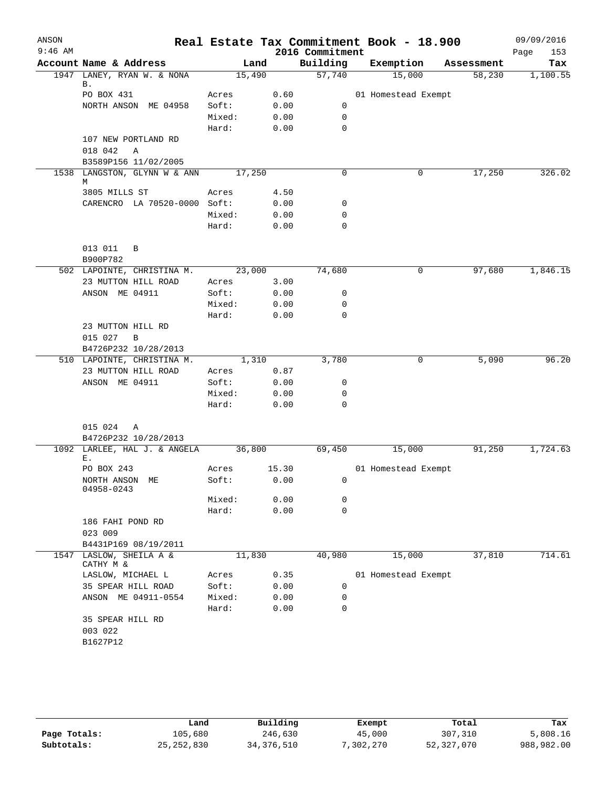| ANSON     |                                      |                 |              |                             | Real Estate Tax Commitment Book - 18.900 |            | 09/09/2016         |
|-----------|--------------------------------------|-----------------|--------------|-----------------------------|------------------------------------------|------------|--------------------|
| $9:46$ AM | Account Name & Address               | Land            |              | 2016 Commitment<br>Building | Exemption                                | Assessment | Page<br>153<br>Tax |
|           | 1947 LANEY, RYAN W. & NONA           | 15,490          |              | 57,740                      | 15,000                                   | 58,230     | 1,100.55           |
|           | В.                                   |                 |              |                             |                                          |            |                    |
|           | PO BOX 431                           | Acres           | 0.60         |                             | 01 Homestead Exempt                      |            |                    |
|           | NORTH ANSON ME 04958                 | Soft:           | 0.00         | 0                           |                                          |            |                    |
|           |                                      | Mixed:          | 0.00         | $\mathbf 0$                 |                                          |            |                    |
|           |                                      | Hard:           | 0.00         | $\mathbf 0$                 |                                          |            |                    |
|           | 107 NEW PORTLAND RD                  |                 |              |                             |                                          |            |                    |
|           | 018 042<br>Α                         |                 |              |                             |                                          |            |                    |
|           | B3589P156 11/02/2005                 |                 |              |                             |                                          |            |                    |
|           | 1538 LANGSTON, GLYNN W & ANN<br>М    | 17,250          |              | 0                           | 0                                        | 17,250     | 326.02             |
|           | 3805 MILLS ST                        | Acres           | 4.50         |                             |                                          |            |                    |
|           | CARENCRO LA 70520-0000 Soft:         |                 | 0.00         | 0                           |                                          |            |                    |
|           |                                      | Mixed:          | 0.00         | 0                           |                                          |            |                    |
|           |                                      | Hard:           | 0.00         | 0                           |                                          |            |                    |
|           |                                      |                 |              |                             |                                          |            |                    |
|           | 013 011<br>B                         |                 |              |                             |                                          |            |                    |
|           | B900P782                             |                 |              |                             |                                          |            |                    |
|           | 502 LAPOINTE, CHRISTINA M.           | 23,000          |              | 74,680                      | 0                                        | 97,680     | 1,846.15           |
|           | 23 MUTTON HILL ROAD                  | Acres           | 3.00         |                             |                                          |            |                    |
|           | ANSON ME 04911                       | Soft:           | 0.00         | 0                           |                                          |            |                    |
|           |                                      | Mixed:          | 0.00         | 0                           |                                          |            |                    |
|           |                                      | Hard:           | 0.00         | 0                           |                                          |            |                    |
|           | 23 MUTTON HILL RD                    |                 |              |                             |                                          |            |                    |
|           | 015 027<br>B                         |                 |              |                             |                                          |            |                    |
|           | B4726P232 10/28/2013                 |                 |              |                             |                                          |            |                    |
|           | 510 LAPOINTE, CHRISTINA M.           | 1,310           |              | 3,780                       | 0                                        | 5,090      | 96.20              |
|           | 23 MUTTON HILL ROAD                  | Acres           | 0.87         |                             |                                          |            |                    |
|           | ANSON ME 04911                       | Soft:           | 0.00         | 0                           |                                          |            |                    |
|           |                                      | Mixed:<br>Hard: | 0.00<br>0.00 | 0<br>$\mathbf 0$            |                                          |            |                    |
|           |                                      |                 |              |                             |                                          |            |                    |
|           | 015 024<br>Α                         |                 |              |                             |                                          |            |                    |
|           | B4726P232 10/28/2013                 |                 |              |                             |                                          |            |                    |
|           | 1092 LARLEE, HAL J. & ANGELA         | 36,800          |              | 69,450                      | 15,000                                   | 91,250     | 1,724.63           |
|           | Ε.                                   |                 |              |                             |                                          |            |                    |
|           | PO BOX 243                           | Acres           | 15.30        |                             | 01 Homestead Exempt                      |            |                    |
|           | NORTH ANSON ME<br>04958-0243         | Soft:           | 0.00         | 0                           |                                          |            |                    |
|           |                                      | Mixed:          | 0.00         | 0                           |                                          |            |                    |
|           |                                      | Hard:           | 0.00         | $\mathbf 0$                 |                                          |            |                    |
|           | 186 FAHI POND RD                     |                 |              |                             |                                          |            |                    |
|           | 023 009                              |                 |              |                             |                                          |            |                    |
|           | B4431P169 08/19/2011                 |                 |              |                             |                                          |            |                    |
|           | 1547 LASLOW, SHEILA A &<br>CATHY M & | 11,830          |              | 40,980                      | 15,000                                   | 37,810     | 714.61             |
|           | LASLOW, MICHAEL L                    | Acres           | 0.35         |                             | 01 Homestead Exempt                      |            |                    |
|           | 35 SPEAR HILL ROAD                   | Soft:           | 0.00         | 0                           |                                          |            |                    |
|           | ANSON ME 04911-0554                  | Mixed:          | 0.00         | 0                           |                                          |            |                    |
|           |                                      | Hard:           | 0.00         | 0                           |                                          |            |                    |
|           | 35 SPEAR HILL RD                     |                 |              |                             |                                          |            |                    |
|           | 003 022                              |                 |              |                             |                                          |            |                    |
|           | B1627P12                             |                 |              |                             |                                          |            |                    |
|           |                                      |                 |              |                             |                                          |            |                    |

|              | Land         | Building     | Exempt    | Total      | Tax        |
|--------------|--------------|--------------|-----------|------------|------------|
| Page Totals: | 105,680      | 246,630      | 45,000    | 307,310    | 5,808.16   |
| Subtotals:   | 25, 252, 830 | 34, 376, 510 | 7,302,270 | 52,327,070 | 988,982.00 |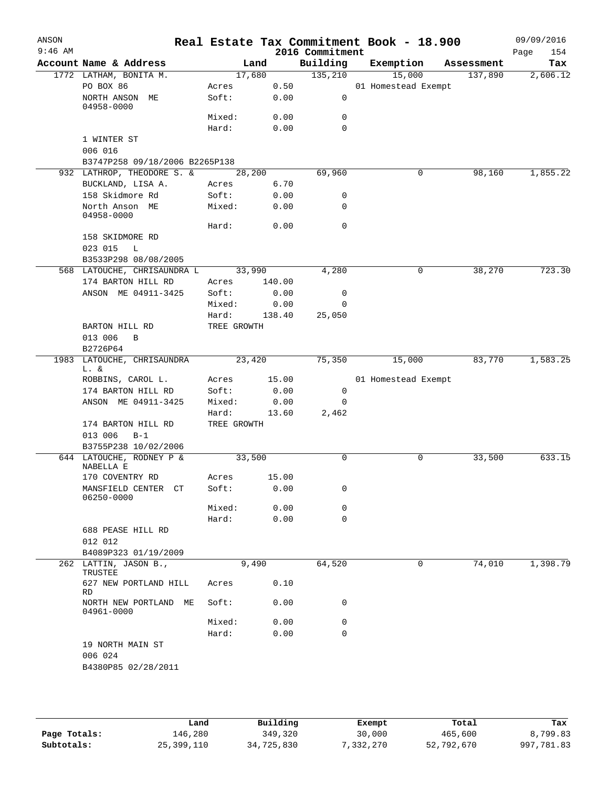| ANSON<br>$9:46$ AM |                                            |                      |        | 2016 Commitment | Real Estate Tax Commitment Book - 18.900 |            | 09/09/2016<br>154 |
|--------------------|--------------------------------------------|----------------------|--------|-----------------|------------------------------------------|------------|-------------------|
|                    | Account Name & Address                     |                      | Land   | Building        | Exemption                                | Assessment | Page<br>Tax       |
|                    | 1772 LATHAM, BONITA M.                     |                      | 17,680 | 135,210         | 15,000                                   | 137,890    | 2,606.12          |
|                    | PO BOX 86                                  | Acres                | 0.50   |                 | 01 Homestead Exempt                      |            |                   |
|                    | NORTH ANSON ME<br>04958-0000               | Soft:                | 0.00   | $\mathsf{O}$    |                                          |            |                   |
|                    |                                            | Mixed:               | 0.00   | 0               |                                          |            |                   |
|                    |                                            | Hard:                | 0.00   | $\Omega$        |                                          |            |                   |
|                    | 1 WINTER ST<br>006 016                     |                      |        |                 |                                          |            |                   |
|                    | B3747P258 09/18/2006 B2265P138             |                      |        |                 |                                          |            |                   |
|                    | 932 LATHROP, THEODORE S. &                 |                      | 28,200 | 69,960          | 0                                        | 98,160     | 1,855.22          |
|                    | BUCKLAND, LISA A.                          | Acres                | 6.70   |                 |                                          |            |                   |
|                    | 158 Skidmore Rd                            | Soft:                | 0.00   | 0               |                                          |            |                   |
|                    | North Anson ME<br>04958-0000               | Mixed:               | 0.00   | 0               |                                          |            |                   |
|                    |                                            | Hard:                | 0.00   | $\mathbf 0$     |                                          |            |                   |
|                    | 158 SKIDMORE RD<br>023 015<br>$\mathbb{L}$ |                      |        |                 |                                          |            |                   |
|                    | B3533P298 08/08/2005                       |                      |        |                 |                                          |            |                   |
|                    | 568 LATOUCHE, CHRISAUNDRA L                | 33,990               |        | 4,280           | 0                                        | 38,270     | 723.30            |
|                    | 174 BARTON HILL RD                         | Acres                | 140.00 |                 |                                          |            |                   |
|                    | ANSON ME 04911-3425                        | Soft:                | 0.00   | 0               |                                          |            |                   |
|                    |                                            | Mixed:               | 0.00   | 0               |                                          |            |                   |
|                    |                                            | Hard:                | 138.40 | 25,050          |                                          |            |                   |
|                    | BARTON HILL RD                             | TREE GROWTH          |        |                 |                                          |            |                   |
|                    | 013 006<br>B                               |                      |        |                 |                                          |            |                   |
|                    | B2726P64                                   |                      |        |                 |                                          |            |                   |
| 1983               | LATOUCHE, CHRISAUNDRA<br>L. &              |                      | 23,420 | 75,350          | 15,000                                   | 83,770     | 1,583.25          |
|                    | ROBBINS, CAROL L.                          | Acres                | 15.00  |                 | 01 Homestead Exempt                      |            |                   |
|                    | 174 BARTON HILL RD                         | Soft:                | 0.00   | 0               |                                          |            |                   |
|                    | ANSON ME 04911-3425                        | Mixed:               | 0.00   | 0               |                                          |            |                   |
|                    |                                            | Hard:<br>TREE GROWTH | 13.60  | 2,462           |                                          |            |                   |
|                    | 174 BARTON HILL RD<br>013 006<br>$B-1$     |                      |        |                 |                                          |            |                   |
|                    | B3755P238 10/02/2006                       |                      |        |                 |                                          |            |                   |
|                    | 644 LATOUCHE, RODNEY P &<br>NABELLA E      | 33,500               |        | 0               | 0                                        | 33,500     | 633.15            |
|                    | 170 COVENTRY RD                            | Acres                | 15.00  |                 |                                          |            |                   |
|                    | MANSFIELD CENTER CT<br>06250-0000          | Soft:                | 0.00   | 0               |                                          |            |                   |
|                    |                                            | Mixed:               | 0.00   | 0               |                                          |            |                   |
|                    |                                            | Hard:                | 0.00   | 0               |                                          |            |                   |
|                    | 688 PEASE HILL RD                          |                      |        |                 |                                          |            |                   |
|                    | 012 012                                    |                      |        |                 |                                          |            |                   |
|                    | B4089P323 01/19/2009                       |                      |        |                 |                                          |            |                   |
|                    | 262 LATTIN, JASON B.,                      |                      | 9,490  | 64,520          | 0                                        | 74,010     | 1,398.79          |
|                    | TRUSTEE<br>627 NEW PORTLAND HILL<br>RD     | Acres                | 0.10   |                 |                                          |            |                   |
|                    | NORTH NEW PORTLAND ME<br>04961-0000        | Soft:                | 0.00   | 0               |                                          |            |                   |
|                    |                                            | Mixed:               | 0.00   | 0               |                                          |            |                   |
|                    |                                            | Hard:                | 0.00   | 0               |                                          |            |                   |
|                    | 19 NORTH MAIN ST<br>006 024                |                      |        |                 |                                          |            |                   |
|                    | B4380P85 02/28/2011                        |                      |        |                 |                                          |            |                   |
|                    |                                            |                      |        |                 |                                          |            |                   |
|                    |                                            |                      |        |                 |                                          |            |                   |

|              | Land       | Building   | Exempt    | Total      | Tax        |
|--------------|------------|------------|-----------|------------|------------|
| Page Totals: | 146,280    | 349,320    | 30,000    | 465,600    | 8,799.83   |
| Subtotals:   | 25,399,110 | 34,725,830 | 7,332,270 | 52,792,670 | 997,781.83 |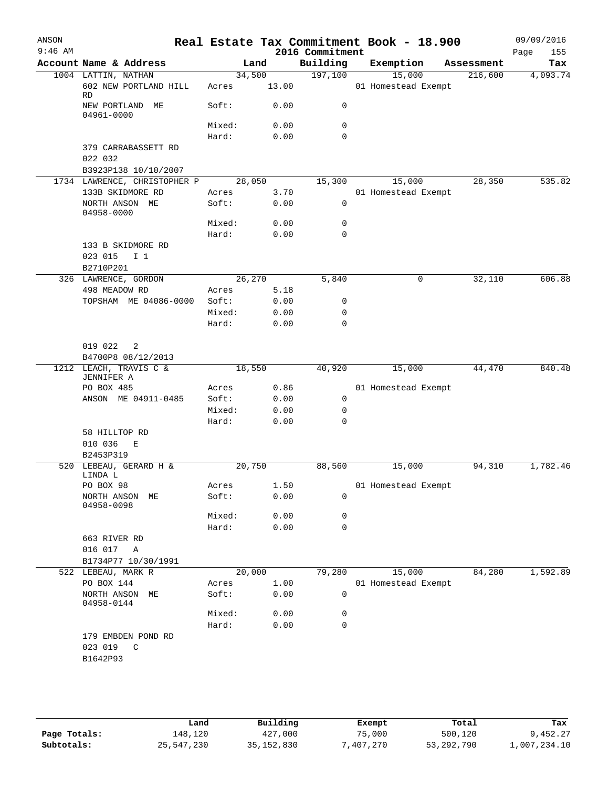| ANSON<br>$9:46$ AM |                                           |                 |              | 2016 Commitment   | Real Estate Tax Commitment Book - 18.900 |            | 09/09/2016<br>Page | 155      |
|--------------------|-------------------------------------------|-----------------|--------------|-------------------|------------------------------------------|------------|--------------------|----------|
|                    | Account Name & Address                    |                 | Land         | Building          | Exemption                                | Assessment |                    | Tax      |
|                    | 1004 LATTIN, NATHAN                       | 34,500          |              | 197,100           | 15,000                                   | 216,600    |                    | 4,093.74 |
|                    | 602 NEW PORTLAND HILL<br>RD               | Acres           | 13.00        |                   | 01 Homestead Exempt                      |            |                    |          |
|                    | NEW PORTLAND ME<br>04961-0000             | Soft:           | 0.00         | 0                 |                                          |            |                    |          |
|                    |                                           | Mixed:          | 0.00         | 0                 |                                          |            |                    |          |
|                    |                                           | Hard:           | 0.00         | $\mathbf 0$       |                                          |            |                    |          |
|                    | 379 CARRABASSETT RD                       |                 |              |                   |                                          |            |                    |          |
|                    | 022 032<br>B3923P138 10/10/2007           |                 |              |                   |                                          |            |                    |          |
|                    | 1734 LAWRENCE, CHRISTOPHER P              |                 | 28,050       | 15,300            | 15,000                                   | 28,350     |                    | 535.82   |
|                    | 133B SKIDMORE RD                          | Acres           | 3.70         |                   | 01 Homestead Exempt                      |            |                    |          |
|                    | NORTH ANSON ME<br>04958-0000              | Soft:           | 0.00         | 0                 |                                          |            |                    |          |
|                    |                                           | Mixed:          | 0.00         | 0                 |                                          |            |                    |          |
|                    |                                           | Hard:           | 0.00         | 0                 |                                          |            |                    |          |
|                    | 133 B SKIDMORE RD<br>023 015<br>I 1       |                 |              |                   |                                          |            |                    |          |
|                    | B2710P201                                 |                 |              |                   |                                          |            |                    |          |
|                    | 326 LAWRENCE, GORDON                      |                 | 26,270       | 5,840             | 0                                        | 32,110     |                    | 606.88   |
|                    | 498 MEADOW RD                             | Acres           | 5.18         |                   |                                          |            |                    |          |
|                    | TOPSHAM ME 04086-0000                     | Soft:           | 0.00         | 0                 |                                          |            |                    |          |
|                    |                                           | Mixed:          | 0.00         | 0                 |                                          |            |                    |          |
|                    |                                           | Hard:           | 0.00         | $\mathbf 0$       |                                          |            |                    |          |
|                    | 019 022<br>$\overline{\phantom{a}}^2$     |                 |              |                   |                                          |            |                    |          |
|                    | B4700P8 08/12/2013                        |                 |              |                   |                                          |            |                    |          |
|                    | 1212 LEACH, TRAVIS C &                    |                 | 18,550       | 40,920            | 15,000                                   | 44,470     |                    | 840.48   |
|                    | JENNIFER A                                |                 |              |                   |                                          |            |                    |          |
|                    | PO BOX 485                                | Acres           | 0.86         |                   | 01 Homestead Exempt                      |            |                    |          |
|                    | ANSON ME 04911-0485                       | Soft:<br>Mixed: | 0.00         | $\mathsf{O}$<br>0 |                                          |            |                    |          |
|                    |                                           | Hard:           | 0.00<br>0.00 | $\mathbf 0$       |                                          |            |                    |          |
|                    | 58 HILLTOP RD                             |                 |              |                   |                                          |            |                    |          |
|                    | 010 036<br>E                              |                 |              |                   |                                          |            |                    |          |
|                    | B2453P319                                 |                 |              |                   |                                          |            |                    |          |
|                    | 520 LEBEAU, GERARD H &                    | 20,750          |              | 88,560            | 15,000                                   | 94,310     |                    | 1,782.46 |
|                    | LINDA L                                   |                 |              |                   |                                          |            |                    |          |
|                    | PO BOX 98                                 | Acres           | 1.50         |                   | 01 Homestead Exempt                      |            |                    |          |
|                    | NORTH ANSON ME<br>04958-0098              | Soft:           | 0.00         | 0                 |                                          |            |                    |          |
|                    |                                           | Mixed:          | 0.00         | 0                 |                                          |            |                    |          |
|                    |                                           | Hard:           | 0.00         | 0                 |                                          |            |                    |          |
|                    | 663 RIVER RD                              |                 |              |                   |                                          |            |                    |          |
|                    | 016 017 A                                 |                 |              |                   |                                          |            |                    |          |
|                    | B1734P77 10/30/1991<br>522 LEBEAU, MARK R | 20,000          |              | 79,280            | 15,000                                   | 84,280     |                    | 1,592.89 |
|                    | PO BOX 144                                | Acres           | 1.00         |                   | 01 Homestead Exempt                      |            |                    |          |
|                    | NORTH ANSON ME<br>04958-0144              | Soft:           | 0.00         | 0                 |                                          |            |                    |          |
|                    |                                           | Mixed:          | 0.00         | 0                 |                                          |            |                    |          |
|                    |                                           | Hard:           | 0.00         | $\mathbf 0$       |                                          |            |                    |          |
|                    | 179 EMBDEN POND RD<br>C                   |                 |              |                   |                                          |            |                    |          |
|                    | 023 019<br>B1642P93                       |                 |              |                   |                                          |            |                    |          |
|                    |                                           |                 |              |                   |                                          |            |                    |          |

|              | Land       | Building     | Exempt    | Total      | Tax          |
|--------------|------------|--------------|-----------|------------|--------------|
| Page Totals: | 148,120    | 427,000      | 75,000    | 500,120    | 9,452.27     |
| Subtotals:   | 25,547,230 | 35, 152, 830 | 7,407,270 | 53,292,790 | 1,007,234.10 |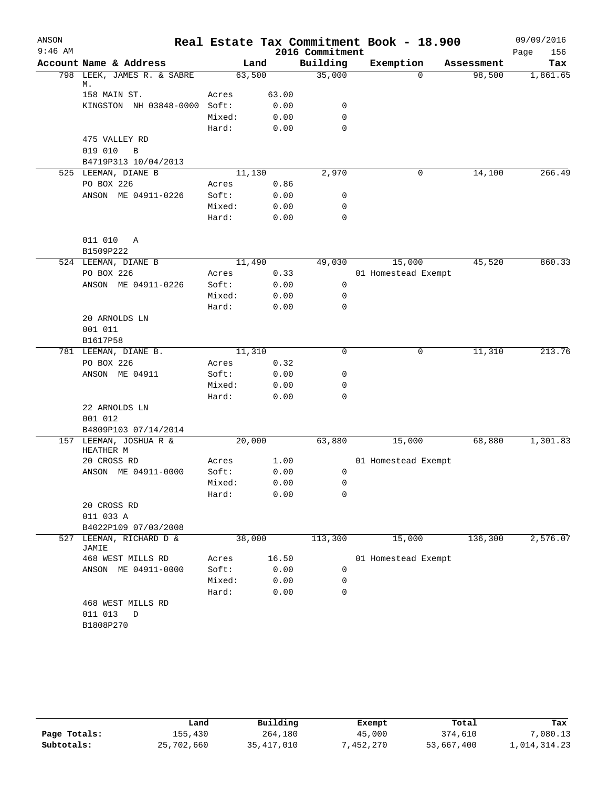| ANSON     |                                     |        |       |                             | Real Estate Tax Commitment Book - 18.900 |            | 09/09/2016         |
|-----------|-------------------------------------|--------|-------|-----------------------------|------------------------------------------|------------|--------------------|
| $9:46$ AM | Account Name & Address              |        | Land  | 2016 Commitment<br>Building | Exemption                                | Assessment | Page<br>156<br>Tax |
|           | 798 LEEK, JAMES R. & SABRE          | 63,500 |       | 35,000                      | $\Omega$                                 | 98,500     | 1,861.65           |
|           | М.                                  |        |       |                             |                                          |            |                    |
|           | 158 MAIN ST.                        | Acres  | 63.00 |                             |                                          |            |                    |
|           | KINGSTON NH 03848-0000 Soft:        |        | 0.00  | 0                           |                                          |            |                    |
|           |                                     | Mixed: | 0.00  | 0                           |                                          |            |                    |
|           |                                     | Hard:  | 0.00  | $\mathbf 0$                 |                                          |            |                    |
|           | 475 VALLEY RD                       |        |       |                             |                                          |            |                    |
|           | 019 010<br>B                        |        |       |                             |                                          |            |                    |
|           | B4719P313 10/04/2013                |        |       |                             |                                          |            |                    |
|           | 525 LEEMAN, DIANE B                 | 11,130 |       | 2,970                       | 0                                        | 14,100     | 266.49             |
|           | PO BOX 226                          | Acres  | 0.86  |                             |                                          |            |                    |
|           | ANSON ME 04911-0226                 | Soft:  | 0.00  | 0                           |                                          |            |                    |
|           |                                     | Mixed: | 0.00  | 0                           |                                          |            |                    |
|           |                                     | Hard:  | 0.00  | $\mathbf 0$                 |                                          |            |                    |
|           | 011 010<br>Α                        |        |       |                             |                                          |            |                    |
|           | B1509P222                           |        |       |                             |                                          |            |                    |
|           | 524 LEEMAN, DIANE B                 | 11,490 |       | 49,030                      | 15,000                                   | 45,520     | 860.33             |
|           | PO BOX 226                          | Acres  | 0.33  |                             | 01 Homestead Exempt                      |            |                    |
|           | ANSON ME 04911-0226                 | Soft:  | 0.00  | 0                           |                                          |            |                    |
|           |                                     | Mixed: | 0.00  | 0                           |                                          |            |                    |
|           |                                     | Hard:  | 0.00  | 0                           |                                          |            |                    |
|           | 20 ARNOLDS LN                       |        |       |                             |                                          |            |                    |
|           | 001 011                             |        |       |                             |                                          |            |                    |
|           | B1617P58                            |        |       |                             |                                          |            |                    |
|           | 781 LEEMAN, DIANE B.                | 11,310 |       | 0                           | 0                                        | 11,310     | 213.76             |
|           | PO BOX 226                          | Acres  | 0.32  |                             |                                          |            |                    |
|           | ANSON ME 04911                      | Soft:  | 0.00  | 0                           |                                          |            |                    |
|           |                                     | Mixed: | 0.00  | 0                           |                                          |            |                    |
|           |                                     | Hard:  | 0.00  | 0                           |                                          |            |                    |
|           | 22 ARNOLDS LN                       |        |       |                             |                                          |            |                    |
|           | 001 012                             |        |       |                             |                                          |            |                    |
|           | B4809P103 07/14/2014                |        |       |                             |                                          |            |                    |
|           | 157 LEEMAN, JOSHUA R &<br>HEATHER M | 20,000 |       | 63,880                      | 15,000                                   | 68,880     | 1,301.83           |
|           | 20 CROSS RD                         | Acres  | 1.00  |                             | 01 Homestead Exempt                      |            |                    |
|           | ANSON ME 04911-0000                 | Soft:  | 0.00  | 0                           |                                          |            |                    |
|           |                                     | Mixed: | 0.00  | 0                           |                                          |            |                    |
|           |                                     | Hard:  | 0.00  | 0                           |                                          |            |                    |
|           | 20 CROSS RD                         |        |       |                             |                                          |            |                    |
|           | 011 033 A                           |        |       |                             |                                          |            |                    |
|           | B4022P109 07/03/2008                |        |       |                             |                                          |            |                    |
| 527       | LEEMAN, RICHARD D &<br>JAMIE        | 38,000 |       | 113,300                     | 15,000                                   | 136,300    | 2,576.07           |
|           | 468 WEST MILLS RD                   | Acres  | 16.50 |                             | 01 Homestead Exempt                      |            |                    |
|           | ANSON ME 04911-0000                 | Soft:  | 0.00  | $\mathbf 0$                 |                                          |            |                    |
|           |                                     | Mixed: | 0.00  | 0                           |                                          |            |                    |
|           |                                     | Hard:  | 0.00  | 0                           |                                          |            |                    |
|           | 468 WEST MILLS RD                   |        |       |                             |                                          |            |                    |
|           | 011 013<br>D                        |        |       |                             |                                          |            |                    |
|           | B1808P270                           |        |       |                             |                                          |            |                    |
|           |                                     |        |       |                             |                                          |            |                    |

|              | Land       | Building     | Exempt    | Total      | Tax          |
|--------------|------------|--------------|-----------|------------|--------------|
| Page Totals: | 155,430    | 264,180      | 45,000    | 374,610    | 7,080.13     |
| Subtotals:   | 25,702,660 | 35, 417, 010 | 7,452,270 | 53,667,400 | 1,014,314.23 |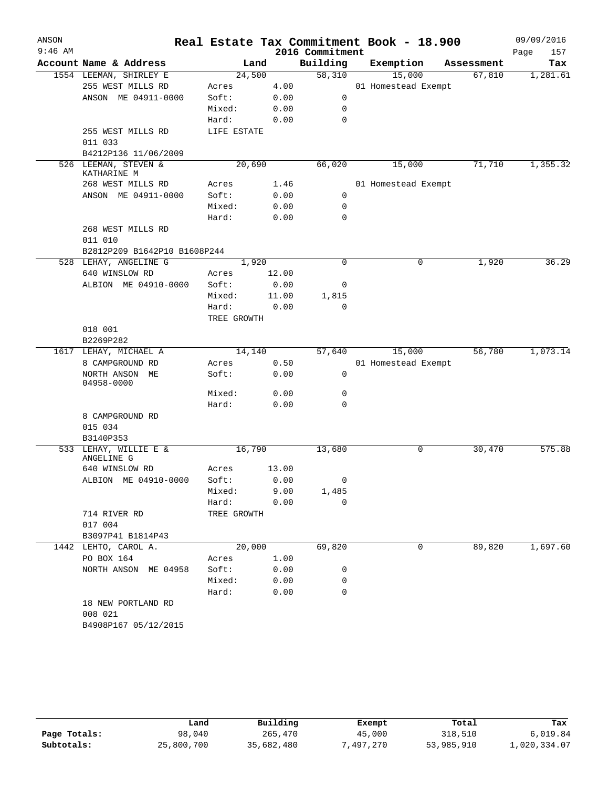| ANSON<br>$9:46$ AM |                                     |             |       | 2016 Commitment | Real Estate Tax Commitment Book - 18.900 |            | 09/09/2016<br>Page<br>157 |
|--------------------|-------------------------------------|-------------|-------|-----------------|------------------------------------------|------------|---------------------------|
|                    | Account Name & Address              | Land        |       | Building        | Exemption                                | Assessment | Tax                       |
|                    | 1554 LEEMAN, SHIRLEY E              | 24,500      |       | 58,310          | 15,000                                   | 67,810     | 1,281.61                  |
|                    | 255 WEST MILLS RD                   | Acres       | 4.00  |                 | 01 Homestead Exempt                      |            |                           |
|                    | ANSON ME 04911-0000                 | Soft:       | 0.00  | 0               |                                          |            |                           |
|                    |                                     | Mixed:      | 0.00  | 0               |                                          |            |                           |
|                    |                                     | Hard:       | 0.00  | $\mathbf 0$     |                                          |            |                           |
|                    | 255 WEST MILLS RD                   | LIFE ESTATE |       |                 |                                          |            |                           |
|                    | 011 033                             |             |       |                 |                                          |            |                           |
|                    | B4212P136 11/06/2009                |             |       |                 |                                          |            |                           |
|                    | 526 LEEMAN, STEVEN &<br>KATHARINE M | 20,690      |       | 66,020          | 15,000                                   | 71,710     | 1,355.32                  |
|                    | 268 WEST MILLS RD                   | Acres       | 1.46  |                 | 01 Homestead Exempt                      |            |                           |
|                    | ANSON ME 04911-0000                 | Soft:       | 0.00  | 0               |                                          |            |                           |
|                    |                                     | Mixed:      | 0.00  | 0               |                                          |            |                           |
|                    |                                     | Hard:       | 0.00  | 0               |                                          |            |                           |
|                    | 268 WEST MILLS RD                   |             |       |                 |                                          |            |                           |
|                    | 011 010                             |             |       |                 |                                          |            |                           |
|                    | B2812P209 B1642P10 B1608P244        |             |       |                 |                                          |            |                           |
|                    | 528 LEHAY, ANGELINE G               | 1,920       |       | $\mathbf 0$     | 0                                        | 1,920      | 36.29                     |
|                    | 640 WINSLOW RD                      | Acres       | 12.00 |                 |                                          |            |                           |
|                    | ALBION ME 04910-0000                | Soft:       | 0.00  | 0               |                                          |            |                           |
|                    |                                     | Mixed:      | 11.00 | 1,815           |                                          |            |                           |
|                    |                                     | Hard:       | 0.00  | 0               |                                          |            |                           |
|                    |                                     | TREE GROWTH |       |                 |                                          |            |                           |
|                    | 018 001                             |             |       |                 |                                          |            |                           |
|                    | B2269P282                           |             |       |                 |                                          |            |                           |
|                    | 1617 LEHAY, MICHAEL A               | 14,140      |       | 57,640          | 15,000                                   | 56,780     | 1,073.14                  |
|                    | 8 CAMPGROUND RD                     | Acres       | 0.50  |                 | 01 Homestead Exempt                      |            |                           |
|                    | NORTH ANSON ME<br>04958-0000        | Soft:       | 0.00  | 0               |                                          |            |                           |
|                    |                                     | Mixed:      | 0.00  | 0               |                                          |            |                           |
|                    |                                     | Hard:       | 0.00  | $\mathbf 0$     |                                          |            |                           |
|                    | 8 CAMPGROUND RD                     |             |       |                 |                                          |            |                           |
|                    | 015 034                             |             |       |                 |                                          |            |                           |
|                    | B3140P353                           |             |       |                 |                                          |            |                           |
|                    | 533 LEHAY, WILLIE E &<br>ANGELINE G | 16,790      |       | 13,680          | 0                                        | 30,470     | 575.88                    |
|                    | 640 WINSLOW RD                      | Acres       | 13.00 |                 |                                          |            |                           |
|                    | ALBION ME 04910-0000                | Soft:       | 0.00  | 0               |                                          |            |                           |
|                    |                                     | Mixed:      | 9.00  | 1,485           |                                          |            |                           |
|                    |                                     | Hard:       | 0.00  | 0               |                                          |            |                           |
|                    | 714 RIVER RD                        | TREE GROWTH |       |                 |                                          |            |                           |
|                    | 017 004                             |             |       |                 |                                          |            |                           |
|                    | B3097P41 B1814P43                   |             |       |                 |                                          |            |                           |
|                    | 1442 LEHTO, CAROL A.                | 20,000      |       | 69,820          | 0                                        | 89,820     | 1,697.60                  |
|                    | PO BOX 164                          | Acres       | 1.00  |                 |                                          |            |                           |
|                    | NORTH ANSON ME 04958                | Soft:       | 0.00  | 0               |                                          |            |                           |
|                    |                                     | Mixed:      | 0.00  | 0               |                                          |            |                           |
|                    |                                     | Hard:       | 0.00  | 0               |                                          |            |                           |
|                    | 18 NEW PORTLAND RD                  |             |       |                 |                                          |            |                           |
|                    | 008 021                             |             |       |                 |                                          |            |                           |
|                    | B4908P167 05/12/2015                |             |       |                 |                                          |            |                           |

|              | Land       | Building   | Exempt    | Total      | Tax          |
|--------------|------------|------------|-----------|------------|--------------|
| Page Totals: | 98,040     | 265,470    | 45,000    | 318,510    | 6,019.84     |
| Subtotals:   | 25,800,700 | 35,682,480 | 7,497,270 | 53,985,910 | 1,020,334.07 |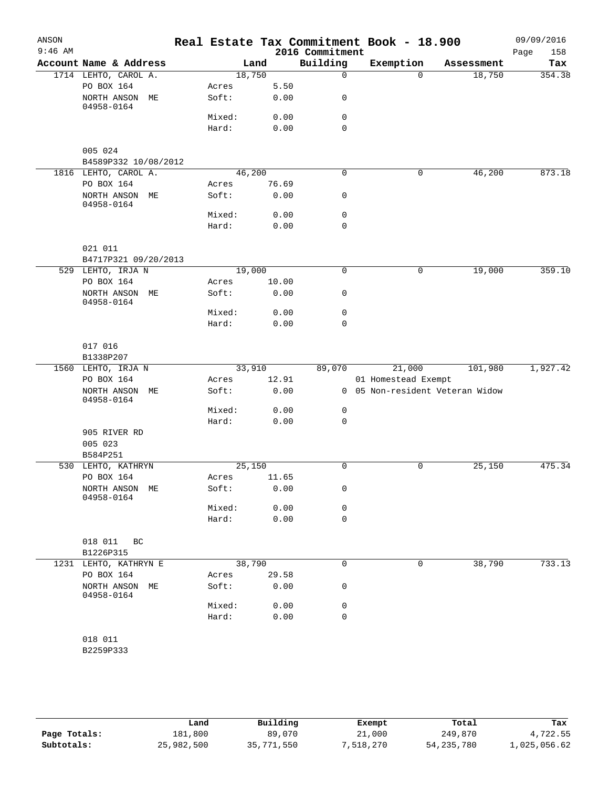| ANSON     |                              |                |              |                 | Real Estate Tax Commitment Book - 18.900 |                                 | 09/09/2016  |
|-----------|------------------------------|----------------|--------------|-----------------|------------------------------------------|---------------------------------|-------------|
| $9:46$ AM |                              |                |              | 2016 Commitment |                                          |                                 | 158<br>Page |
|           | Account Name & Address       |                | Land         | Building        | Exemption                                | Assessment                      | Tax         |
|           | 1714 LEHTO, CAROL A.         | 18,750         |              | $\mathbf 0$     | $\Omega$                                 | 18,750                          | 354.38      |
|           | PO BOX 164<br>NORTH ANSON ME | Acres<br>Soft: | 5.50<br>0.00 | 0               |                                          |                                 |             |
|           | 04958-0164                   |                |              |                 |                                          |                                 |             |
|           |                              | Mixed:         | 0.00         | 0               |                                          |                                 |             |
|           |                              | Hard:          | 0.00         | $\mathbf 0$     |                                          |                                 |             |
|           | 005 024                      |                |              |                 |                                          |                                 |             |
|           | B4589P332 10/08/2012         |                |              |                 |                                          |                                 |             |
|           | 1816 LEHTO, CAROL A.         | 46,200         |              | $\mathbf 0$     | 0                                        | 46,200                          | 873.18      |
|           | PO BOX 164                   | Acres          | 76.69        |                 |                                          |                                 |             |
|           | NORTH ANSON ME<br>04958-0164 | Soft:          | 0.00         | 0               |                                          |                                 |             |
|           |                              | Mixed:         | 0.00         | $\mathbf 0$     |                                          |                                 |             |
|           |                              | Hard:          | 0.00         | $\mathbf 0$     |                                          |                                 |             |
|           | 021 011                      |                |              |                 |                                          |                                 |             |
|           | B4717P321 09/20/2013         |                |              |                 |                                          |                                 |             |
|           | 529 LEHTO, IRJA N            | 19,000         |              | $\mathbf 0$     | 0                                        | 19,000                          | 359.10      |
|           | PO BOX 164                   | Acres          | 10.00        |                 |                                          |                                 |             |
|           | NORTH ANSON ME<br>04958-0164 | Soft:          | 0.00         | 0               |                                          |                                 |             |
|           |                              | Mixed:         | 0.00         | 0               |                                          |                                 |             |
|           |                              | Hard:          | 0.00         | 0               |                                          |                                 |             |
|           |                              |                |              |                 |                                          |                                 |             |
|           | 017 016<br>B1338P207         |                |              |                 |                                          |                                 |             |
|           | 1560 LEHTO, IRJA N           | 33,910         |              | 89,070          | 21,000                                   | 101,980                         | 1,927.42    |
|           | PO BOX 164                   | Acres          | 12.91        |                 | 01 Homestead Exempt                      |                                 |             |
|           | NORTH ANSON ME<br>04958-0164 | Soft:          | 0.00         |                 |                                          | 0 05 Non-resident Veteran Widow |             |
|           |                              | Mixed:         | 0.00         | 0               |                                          |                                 |             |
|           |                              | Hard:          | 0.00         | $\mathbf 0$     |                                          |                                 |             |
|           | 905 RIVER RD                 |                |              |                 |                                          |                                 |             |
|           | 005 023                      |                |              |                 |                                          |                                 |             |
|           | B584P251                     |                |              |                 |                                          |                                 |             |
|           | 530 LEHTO, KATHRYN           | 25,150         |              | $\mathsf{O}$    | 0                                        | 25,150                          | 475.34      |
|           | PO BOX 164                   | Acres          | 11.65        |                 |                                          |                                 |             |
|           | NORTH ANSON ME<br>04958-0164 | Soft:          | 0.00         | 0               |                                          |                                 |             |
|           |                              | Mixed:         | 0.00         | 0               |                                          |                                 |             |
|           |                              | Hard:          | 0.00         | $\mathbf 0$     |                                          |                                 |             |
|           | 018 011<br>BC                |                |              |                 |                                          |                                 |             |
|           | B1226P315                    |                |              |                 |                                          |                                 |             |
|           | 1231 LEHTO, KATHRYN E        | 38,790         |              | $\mathbf 0$     | 0                                        | 38,790                          | 733.13      |
|           | PO BOX 164                   | Acres          | 29.58        |                 |                                          |                                 |             |
|           | NORTH ANSON ME<br>04958-0164 | Soft:          | 0.00         | 0               |                                          |                                 |             |
|           |                              | Mixed:         | 0.00         | 0               |                                          |                                 |             |
|           |                              | Hard:          | 0.00         | $\mathbf 0$     |                                          |                                 |             |
|           |                              |                |              |                 |                                          |                                 |             |
|           | 018 011                      |                |              |                 |                                          |                                 |             |
|           | B2259P333                    |                |              |                 |                                          |                                 |             |
|           |                              |                |              |                 |                                          |                                 |             |

|              | Land       | Building   | Exempt    | Total        | Tax          |
|--------------|------------|------------|-----------|--------------|--------------|
| Page Totals: | 181,800    | 89,070     | 21,000    | 249,870      | 4,722.55     |
| Subtotals:   | 25,982,500 | 35,771,550 | 7,518,270 | 54, 235, 780 | 1,025,056.62 |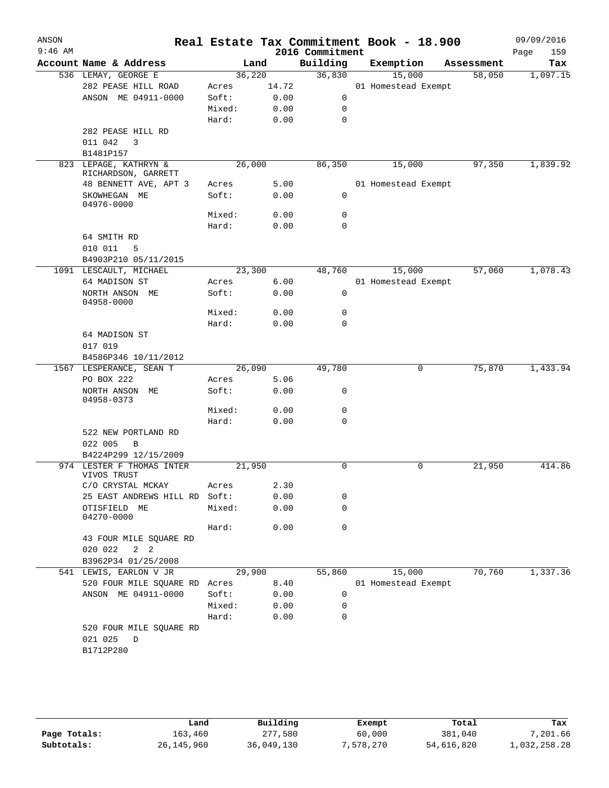| ANSON     |                                              |        |       |                             | Real Estate Tax Commitment Book - 18.900 |            | 09/09/2016         |
|-----------|----------------------------------------------|--------|-------|-----------------------------|------------------------------------------|------------|--------------------|
| $9:46$ AM | Account Name & Address                       |        | Land  | 2016 Commitment<br>Building | Exemption                                | Assessment | 159<br>Page<br>Tax |
|           | 536 LEMAY, GEORGE E                          | 36,220 |       | 36,830                      | 15,000                                   | 58,050     | 1,097.15           |
|           | 282 PEASE HILL ROAD                          | Acres  | 14.72 |                             | 01 Homestead Exempt                      |            |                    |
|           | ANSON ME 04911-0000                          | Soft:  | 0.00  | $\mathsf{O}$                |                                          |            |                    |
|           |                                              | Mixed: | 0.00  | 0                           |                                          |            |                    |
|           |                                              |        |       | $\mathbf 0$                 |                                          |            |                    |
|           |                                              | Hard:  | 0.00  |                             |                                          |            |                    |
|           | 282 PEASE HILL RD                            |        |       |                             |                                          |            |                    |
|           | 011 042<br>$\overline{\mathbf{3}}$           |        |       |                             |                                          |            |                    |
|           | B1481P157                                    |        |       |                             |                                          |            |                    |
|           | 823 LEPAGE, KATHRYN &<br>RICHARDSON, GARRETT | 26,000 |       | 86,350                      | 15,000                                   | 97,350     | 1,839.92           |
|           | 48 BENNETT AVE, APT 3                        | Acres  | 5.00  |                             | 01 Homestead Exempt                      |            |                    |
|           | SKOWHEGAN ME                                 | Soft:  | 0.00  | $\mathbf 0$                 |                                          |            |                    |
|           | 04976-0000                                   |        |       |                             |                                          |            |                    |
|           |                                              | Mixed: | 0.00  | $\mathbf 0$                 |                                          |            |                    |
|           |                                              | Hard:  | 0.00  | $\mathbf 0$                 |                                          |            |                    |
|           | 64 SMITH RD                                  |        |       |                             |                                          |            |                    |
|           | 010 011<br>5                                 |        |       |                             |                                          |            |                    |
|           | B4903P210 05/11/2015                         |        |       |                             |                                          |            |                    |
|           | 1091 LESCAULT, MICHAEL                       | 23,300 |       | 48,760                      | 15,000                                   | 57,060     | 1,078.43           |
|           | 64 MADISON ST                                | Acres  | 6.00  |                             | 01 Homestead Exempt                      |            |                    |
|           | NORTH ANSON ME                               | Soft:  | 0.00  | 0                           |                                          |            |                    |
|           | 04958-0000                                   |        |       |                             |                                          |            |                    |
|           |                                              | Mixed: | 0.00  | 0                           |                                          |            |                    |
|           |                                              | Hard:  | 0.00  | 0                           |                                          |            |                    |
|           | 64 MADISON ST                                |        |       |                             |                                          |            |                    |
|           | 017 019                                      |        |       |                             |                                          |            |                    |
|           | B4586P346 10/11/2012                         |        |       |                             |                                          |            |                    |
|           | 1567 LESPERANCE, SEAN T                      | 26,090 |       | 49,780                      | 0                                        | 75,870     | 1,433.94           |
|           | PO BOX 222                                   | Acres  | 5.06  |                             |                                          |            |                    |
|           | NORTH ANSON ME                               | Soft:  | 0.00  | 0                           |                                          |            |                    |
|           | 04958-0373                                   |        |       |                             |                                          |            |                    |
|           |                                              | Mixed: | 0.00  | 0                           |                                          |            |                    |
|           |                                              | Hard:  | 0.00  | $\Omega$                    |                                          |            |                    |
|           | 522 NEW PORTLAND RD                          |        |       |                             |                                          |            |                    |
|           | 022 005<br>B                                 |        |       |                             |                                          |            |                    |
|           | B4224P299 12/15/2009                         |        |       |                             |                                          |            |                    |
|           | 974 LESTER F THOMAS INTER                    | 21,950 |       | 0                           | 0                                        | 21,950     | 414.86             |
|           | VIVOS TRUST                                  |        |       |                             |                                          |            |                    |
|           | C/O CRYSTAL MCKAY                            | Acres  | 2.30  |                             |                                          |            |                    |
|           | 25 EAST ANDREWS HILL RD                      | Soft:  | 0.00  | 0                           |                                          |            |                    |
|           | OTISFIELD ME<br>04270-0000                   | Mixed: | 0.00  | 0                           |                                          |            |                    |
|           |                                              | Hard:  | 0.00  | $\mathbf 0$                 |                                          |            |                    |
|           | 43 FOUR MILE SQUARE RD                       |        |       |                             |                                          |            |                    |
|           | 020 022<br>$2 \quad 2$                       |        |       |                             |                                          |            |                    |
|           | B3962P34 01/25/2008                          |        |       |                             |                                          |            |                    |
|           | 541 LEWIS, EARLON V JR                       | 29,900 |       | 55,860                      | 15,000                                   | 70,760     | 1,337.36           |
|           | 520 FOUR MILE SQUARE RD Acres                |        | 8.40  |                             | 01 Homestead Exempt                      |            |                    |
|           | ANSON ME 04911-0000                          | Soft:  | 0.00  | 0                           |                                          |            |                    |
|           |                                              | Mixed: | 0.00  | 0                           |                                          |            |                    |
|           |                                              |        |       |                             |                                          |            |                    |
|           |                                              | Hard:  | 0.00  | 0                           |                                          |            |                    |
|           | 520 FOUR MILE SQUARE RD                      |        |       |                             |                                          |            |                    |
|           | 021 025<br>D                                 |        |       |                             |                                          |            |                    |
|           | B1712P280                                    |        |       |                             |                                          |            |                    |
|           |                                              |        |       |                             |                                          |            |                    |
|           |                                              |        |       |                             |                                          |            |                    |

|              | Land         | Building   | Exempt    | Total      | Tax          |
|--------------|--------------|------------|-----------|------------|--------------|
| Page Totals: | 163.460      | 277,580    | 60,000    | 381,040    | 7,201.66     |
| Subtotals:   | 26, 145, 960 | 36,049,130 | 7,578,270 | 54,616,820 | 1,032,258.28 |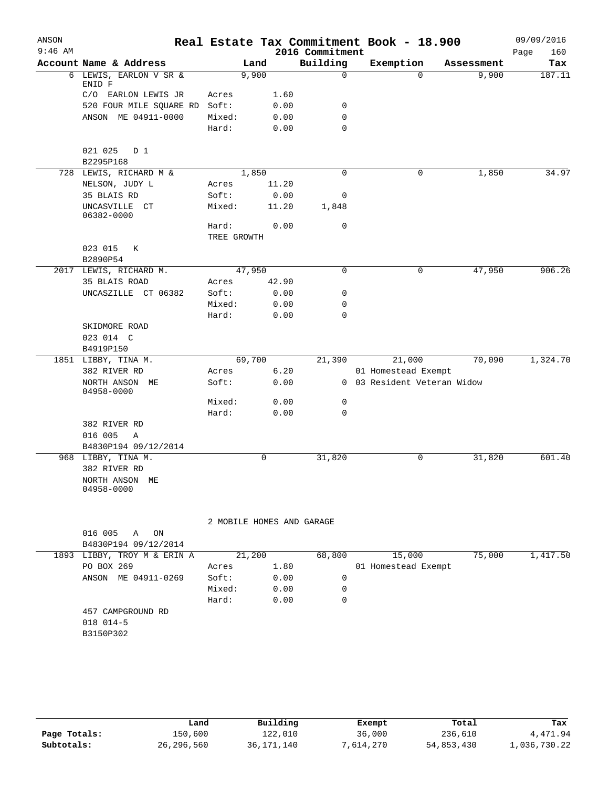| ANSON     |                                     |                |                |                           | Real Estate Tax Commitment Book - 18.900           |            | 09/09/2016  |
|-----------|-------------------------------------|----------------|----------------|---------------------------|----------------------------------------------------|------------|-------------|
| $9:46$ AM |                                     |                |                | 2016 Commitment           |                                                    |            | Page<br>160 |
|           | Account Name & Address              |                | Land           | Building                  | Exemption                                          | Assessment | Tax         |
|           | 6 LEWIS, EARLON V SR &              |                | 9,900          | $\Omega$                  | $\Omega$                                           | 9,900      | 187.11      |
|           | ENID F<br>C/O EARLON LEWIS JR       |                | 1.60           |                           |                                                    |            |             |
|           | 520 FOUR MILE SQUARE RD             | Acres<br>Soft: | 0.00           | 0                         |                                                    |            |             |
|           | ANSON ME 04911-0000                 | Mixed:         | 0.00           | 0                         |                                                    |            |             |
|           |                                     | Hard:          | 0.00           | 0                         |                                                    |            |             |
|           |                                     |                |                |                           |                                                    |            |             |
|           | 021 025<br>D 1                      |                |                |                           |                                                    |            |             |
|           | B2295P168                           |                |                |                           |                                                    |            |             |
|           | 728 LEWIS, RICHARD M &              |                | 1,850          | 0                         | 0                                                  | 1,850      | 34.97       |
|           | NELSON, JUDY L                      | Acres          | 11.20          |                           |                                                    |            |             |
|           | 35 BLAIS RD                         | Soft:          | 0.00           | 0                         |                                                    |            |             |
|           | UNCASVILLE CT<br>06382-0000         | Mixed:         | 11.20          | 1,848                     |                                                    |            |             |
|           |                                     | Hard:          | 0.00           | $\mathbf 0$               |                                                    |            |             |
|           |                                     | TREE GROWTH    |                |                           |                                                    |            |             |
|           | 023 015<br>К                        |                |                |                           |                                                    |            |             |
|           | B2890P54                            |                |                |                           |                                                    |            |             |
| 2017      | LEWIS, RICHARD M.                   |                | 47,950         | 0                         | 0                                                  | 47,950     | 906.26      |
|           | 35 BLAIS ROAD                       | Acres          | 42.90          |                           |                                                    |            |             |
|           | UNCASZILLE CT 06382                 | Soft:          | 0.00           | 0                         |                                                    |            |             |
|           |                                     | Mixed:         | 0.00           | 0                         |                                                    |            |             |
|           |                                     | Hard:          | 0.00           | 0                         |                                                    |            |             |
|           | SKIDMORE ROAD                       |                |                |                           |                                                    |            |             |
|           | 023 014 C                           |                |                |                           |                                                    |            |             |
|           | B4919P150                           |                |                |                           |                                                    |            |             |
|           | 1851 LIBBY, TINA M.<br>382 RIVER RD |                | 69,700<br>6.20 | 21,390                    | 21,000                                             | 70,090     | 1,324.70    |
|           | NORTH ANSON ME                      | Acres<br>Soft: | 0.00           |                           | 01 Homestead Exempt<br>0 03 Resident Veteran Widow |            |             |
|           | 04958-0000                          |                |                |                           |                                                    |            |             |
|           |                                     | Mixed:         | 0.00           | 0                         |                                                    |            |             |
|           |                                     | Hard:          | 0.00           | 0                         |                                                    |            |             |
|           | 382 RIVER RD                        |                |                |                           |                                                    |            |             |
|           | 016 005<br>Α                        |                |                |                           |                                                    |            |             |
|           | B4830P194 09/12/2014                |                |                |                           |                                                    |            |             |
|           | 968 LIBBY, TINA M.                  |                | 0              | 31,820                    | 0                                                  | 31,820     | 601.40      |
|           | 382 RIVER RD                        |                |                |                           |                                                    |            |             |
|           | NORTH ANSON ME<br>04958-0000        |                |                |                           |                                                    |            |             |
|           |                                     |                |                | 2 MOBILE HOMES AND GARAGE |                                                    |            |             |
|           | 016 005<br>Α<br>ON                  |                |                |                           |                                                    |            |             |
|           | B4830P194 09/12/2014                |                |                |                           |                                                    |            |             |
|           | 1893 LIBBY, TROY M & ERIN A         |                | 21,200         | 68,800                    | 15,000                                             | 75,000     | 1,417.50    |
|           | PO BOX 269                          | Acres          | 1.80           |                           | 01 Homestead Exempt                                |            |             |
|           | ANSON ME 04911-0269                 | Soft:          | 0.00           | 0                         |                                                    |            |             |
|           |                                     | Mixed:         | 0.00           | 0                         |                                                    |            |             |
|           |                                     | Hard:          | 0.00           | 0                         |                                                    |            |             |
|           | 457 CAMPGROUND RD                   |                |                |                           |                                                    |            |             |
|           | 018 014-5                           |                |                |                           |                                                    |            |             |
|           | B3150P302                           |                |                |                           |                                                    |            |             |

|              | Land         | Building     | Exempt    | Total      | Tax          |
|--------------|--------------|--------------|-----------|------------|--------------|
| Page Totals: | 150,600      | 122,010      | 36,000    | 236,610    | 4,471.94     |
| Subtotals:   | 26, 296, 560 | 36, 171, 140 | 7,614,270 | 54,853,430 | 1,036,730.22 |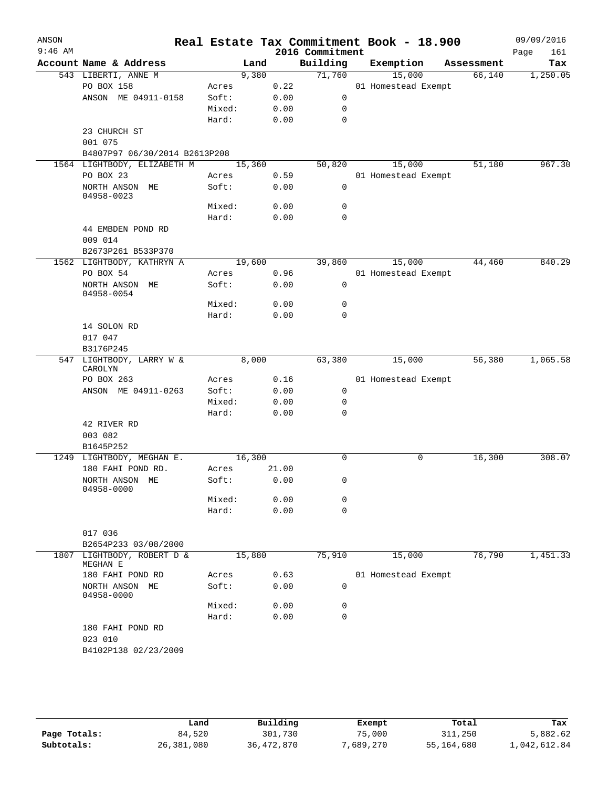| ANSON     |                                          |            |        |      |                 | Real Estate Tax Commitment Book - 18.900 |            | 09/09/2016  |
|-----------|------------------------------------------|------------|--------|------|-----------------|------------------------------------------|------------|-------------|
| $9:46$ AM |                                          |            |        |      | 2016 Commitment |                                          |            | Page<br>161 |
|           | Account Name & Address                   |            | Land   |      | Building        | Exemption                                | Assessment | Tax         |
|           | 543 LIBERTI, ANNE M                      |            | 9,380  |      | 71,760          | 15,000                                   | 66,140     | 1,250.05    |
|           | PO BOX 158                               | Acres      |        | 0.22 |                 | 01 Homestead Exempt                      |            |             |
|           | ANSON ME 04911-0158                      | Soft:      |        | 0.00 | 0               |                                          |            |             |
|           |                                          | Mixed:     |        | 0.00 | 0               |                                          |            |             |
|           |                                          | Hard:      |        | 0.00 | 0               |                                          |            |             |
|           | 23 CHURCH ST                             |            |        |      |                 |                                          |            |             |
|           | 001 075<br>B4807P97 06/30/2014 B2613P208 |            |        |      |                 |                                          |            |             |
|           | 1564 LIGHTBODY, ELIZABETH M              |            | 15,360 |      | 50,820          | 15,000                                   | 51,180     | 967.30      |
|           | PO BOX 23                                | Acres      |        | 0.59 |                 | 01 Homestead Exempt                      |            |             |
|           | NORTH ANSON ME                           | Soft:      |        | 0.00 | 0               |                                          |            |             |
|           | 04958-0023                               |            |        |      |                 |                                          |            |             |
|           |                                          | Mixed:     |        | 0.00 | 0               |                                          |            |             |
|           |                                          | Hard:      |        | 0.00 | $\mathbf 0$     |                                          |            |             |
|           | 44 EMBDEN POND RD                        |            |        |      |                 |                                          |            |             |
|           | 009 014                                  |            |        |      |                 |                                          |            |             |
|           | B2673P261 B533P370                       |            |        |      |                 |                                          |            |             |
|           | 1562 LIGHTBODY, KATHRYN A                |            | 19,600 |      | 39,860          | 15,000                                   | 44,460     | 840.29      |
|           | PO BOX 54                                | Acres      |        | 0.96 |                 | 01 Homestead Exempt                      |            |             |
|           | NORTH ANSON ME                           | Soft:      |        | 0.00 | 0               |                                          |            |             |
|           | 04958-0054                               |            |        |      |                 |                                          |            |             |
|           |                                          | Mixed:     |        | 0.00 | 0               |                                          |            |             |
|           | 14 SOLON RD                              | Hard:      |        | 0.00 | 0               |                                          |            |             |
|           | 017 047                                  |            |        |      |                 |                                          |            |             |
|           | B3176P245                                |            |        |      |                 |                                          |            |             |
|           | 547 LIGHTBODY, LARRY W &                 |            | 8,000  |      | 63,380          | 15,000                                   | 56,380     | 1,065.58    |
|           | CAROLYN                                  |            |        |      |                 |                                          |            |             |
|           | PO BOX 263                               | Acres      |        | 0.16 |                 | 01 Homestead Exempt                      |            |             |
|           | ANSON ME 04911-0263                      | Soft:      |        | 0.00 | 0               |                                          |            |             |
|           |                                          | Mixed:     |        | 0.00 | 0               |                                          |            |             |
|           |                                          | Hard:      |        | 0.00 | 0               |                                          |            |             |
|           | 42 RIVER RD                              |            |        |      |                 |                                          |            |             |
|           | 003 082                                  |            |        |      |                 |                                          |            |             |
|           | B1645P252                                |            |        |      |                 |                                          |            |             |
|           | 1249 LIGHTBODY, MEGHAN E.                |            | 16,300 |      | $\Omega$        | 0                                        | 16,300     | 308.07      |
|           | 180 FAHI POND RD.                        | Acres      | 21.00  |      |                 |                                          |            |             |
|           | NORTH ANSON ME<br>04958-0000             | Soft: 0.00 |        |      | $\Omega$        |                                          |            |             |
|           |                                          | Mixed:     |        | 0.00 | 0               |                                          |            |             |
|           |                                          | Hard:      |        | 0.00 | 0               |                                          |            |             |
|           |                                          |            |        |      |                 |                                          |            |             |
|           | 017 036                                  |            |        |      |                 |                                          |            |             |
|           | B2654P233 03/08/2000                     |            |        |      |                 |                                          |            |             |
| 1807      | LIGHTBODY, ROBERT D &                    |            | 15,880 |      | 75,910          | 15,000                                   | 76,790     | 1,451.33    |
|           | MEGHAN E                                 |            |        |      |                 |                                          |            |             |
|           | 180 FAHI POND RD                         | Acres      |        | 0.63 |                 | 01 Homestead Exempt                      |            |             |
|           | NORTH ANSON ME<br>04958-0000             | Soft:      |        | 0.00 | 0               |                                          |            |             |
|           |                                          | Mixed:     |        | 0.00 | 0               |                                          |            |             |
|           |                                          | Hard:      |        | 0.00 | 0               |                                          |            |             |
|           | 180 FAHI POND RD                         |            |        |      |                 |                                          |            |             |
|           | 023 010                                  |            |        |      |                 |                                          |            |             |
|           | B4102P138 02/23/2009                     |            |        |      |                 |                                          |            |             |
|           |                                          |            |        |      |                 |                                          |            |             |
|           |                                          |            |        |      |                 |                                          |            |             |

|              | Land       | Building   | Exempt    | Total      | Tax          |
|--------------|------------|------------|-----------|------------|--------------|
| Page Totals: | 84,520     | 301,730    | 75,000    | 311,250    | 5,882.62     |
| Subtotals:   | 26,381,080 | 36,472,870 | 7,689,270 | 55,164,680 | 1,042,612.84 |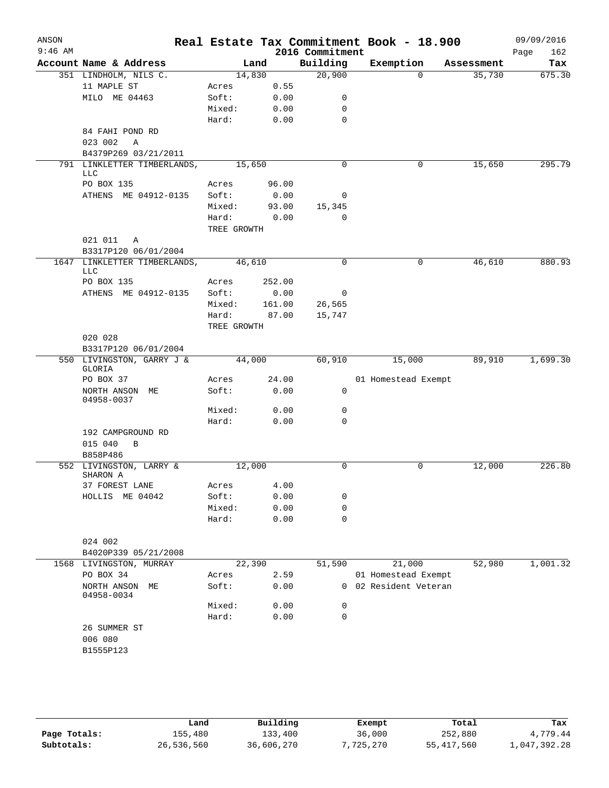| ANSON<br>$9:46$ AM |                                     |                      |        | 2016 Commitment | Real Estate Tax Commitment Book - 18.900 |            | 09/09/2016         |
|--------------------|-------------------------------------|----------------------|--------|-----------------|------------------------------------------|------------|--------------------|
|                    | Account Name & Address              |                      | Land   | Building        | Exemption                                | Assessment | 162<br>Page<br>Tax |
|                    | 351 LINDHOLM, NILS C.               |                      | 14,830 | 20,900          | $\Omega$                                 | 35,730     | 675.30             |
|                    | 11 MAPLE ST                         | Acres                | 0.55   |                 |                                          |            |                    |
|                    | MILO ME 04463                       | Soft:                | 0.00   | 0               |                                          |            |                    |
|                    |                                     | Mixed:               | 0.00   | 0               |                                          |            |                    |
|                    |                                     | Hard:                | 0.00   | $\mathbf 0$     |                                          |            |                    |
|                    | 84 FAHI POND RD                     |                      |        |                 |                                          |            |                    |
|                    | 023 002<br>$\overline{A}$           |                      |        |                 |                                          |            |                    |
|                    | B4379P269 03/21/2011                |                      |        |                 |                                          |            |                    |
|                    | 791 LINKLETTER TIMBERLANDS,         |                      | 15,650 | $\mathbf 0$     | 0                                        | 15,650     | 295.79             |
|                    | LLC                                 |                      |        |                 |                                          |            |                    |
|                    | PO BOX 135                          | Acres                | 96.00  |                 |                                          |            |                    |
|                    | ATHENS ME 04912-0135                | Soft:                | 0.00   | 0               |                                          |            |                    |
|                    |                                     | Mixed:               | 93.00  | 15,345          |                                          |            |                    |
|                    |                                     | Hard:<br>TREE GROWTH | 0.00   | 0               |                                          |            |                    |
|                    | 021 011<br>Α                        |                      |        |                 |                                          |            |                    |
|                    | B3317P120 06/01/2004                |                      |        |                 |                                          |            |                    |
|                    | 1647 LINKLETTER TIMBERLANDS,        |                      | 46,610 | 0               | 0                                        | 46,610     | 880.93             |
|                    | LLC                                 |                      |        |                 |                                          |            |                    |
|                    | PO BOX 135                          | Acres                | 252.00 |                 |                                          |            |                    |
|                    | ATHENS ME 04912-0135                | Soft:                | 0.00   | 0               |                                          |            |                    |
|                    |                                     | Mixed:               | 161.00 | 26,565          |                                          |            |                    |
|                    |                                     | Hard:                | 87.00  | 15,747          |                                          |            |                    |
|                    |                                     | TREE GROWTH          |        |                 |                                          |            |                    |
|                    | 020 028                             |                      |        |                 |                                          |            |                    |
|                    | B3317P120 06/01/2004                |                      |        |                 |                                          |            |                    |
|                    | 550 LIVINGSTON, GARRY J &<br>GLORIA |                      | 44,000 | 60,910          | 15,000                                   | 89,910     | 1,699.30           |
|                    | PO BOX 37                           | Acres                | 24.00  |                 | 01 Homestead Exempt                      |            |                    |
|                    | NORTH ANSON ME<br>04958-0037        | Soft:                | 0.00   | 0               |                                          |            |                    |
|                    |                                     | Mixed:               | 0.00   | 0               |                                          |            |                    |
|                    |                                     | Hard:                | 0.00   | $\mathbf 0$     |                                          |            |                    |
|                    | 192 CAMPGROUND RD                   |                      |        |                 |                                          |            |                    |
|                    | 015 040<br>B                        |                      |        |                 |                                          |            |                    |
|                    | B858P486                            |                      |        |                 |                                          |            |                    |
|                    | 552 LIVINGSTON, LARRY &<br>SHARON A |                      | 12,000 | 0               | 0                                        | 12,000     | 226.80             |
|                    | 37 FOREST LANE                      | Acres                | 4.00   |                 |                                          |            |                    |
|                    | HOLLIS ME 04042                     | Soft:                | 0.00   | 0               |                                          |            |                    |
|                    |                                     | Mixed:               | 0.00   | 0               |                                          |            |                    |
|                    |                                     | Hard:                | 0.00   | $\mathbf 0$     |                                          |            |                    |
|                    |                                     |                      |        |                 |                                          |            |                    |
|                    | 024 002                             |                      |        |                 |                                          |            |                    |
|                    | B4020P339 05/21/2008                |                      |        |                 |                                          |            |                    |
|                    | 1568 LIVINGSTON, MURRAY             |                      | 22,390 | 51,590          | 21,000                                   | 52,980     | 1,001.32           |
|                    | PO BOX 34                           | Acres                | 2.59   |                 | 01 Homestead Exempt                      |            |                    |
|                    | NORTH ANSON ME<br>04958-0034        | Soft:                | 0.00   |                 | 0 02 Resident Veteran                    |            |                    |
|                    |                                     | Mixed:               | 0.00   | 0               |                                          |            |                    |
|                    |                                     | Hard:                | 0.00   | $\mathbf 0$     |                                          |            |                    |
|                    | 26 SUMMER ST                        |                      |        |                 |                                          |            |                    |
|                    | 006 080                             |                      |        |                 |                                          |            |                    |
|                    | B1555P123                           |                      |        |                 |                                          |            |                    |
|                    |                                     |                      |        |                 |                                          |            |                    |
|                    |                                     |                      |        |                 |                                          |            |                    |
|                    |                                     |                      |        |                 |                                          |            |                    |

|              | Land       | Building   | Exempt    | Total        | Tax          |
|--------------|------------|------------|-----------|--------------|--------------|
| Page Totals: | 155,480    | 133,400    | 36,000    | 252,880      | 4,779.44     |
| Subtotals:   | 26,536,560 | 36,606,270 | 7,725,270 | 55, 417, 560 | 1,047,392.28 |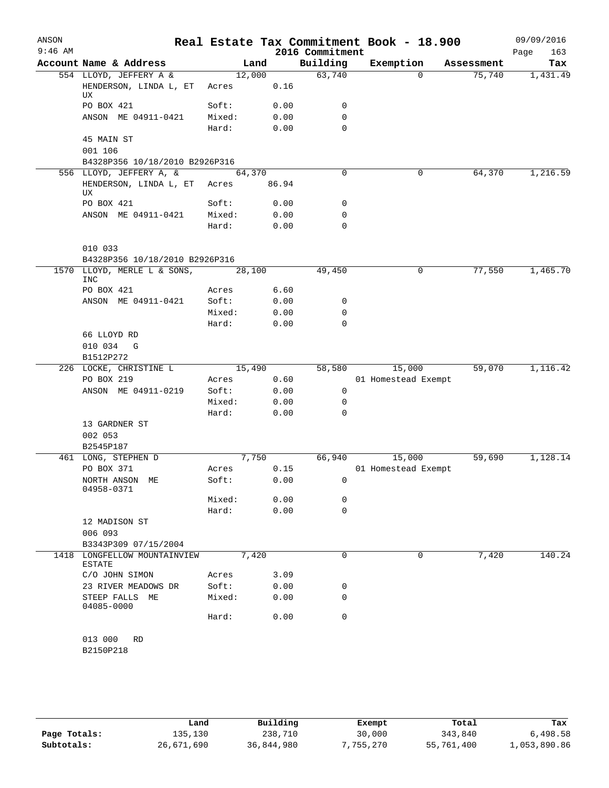| ANSON<br>$9:46$ AM |                                               |                 |              |                             | Real Estate Tax Commitment Book - 18.900 |                    | 09/09/2016         |
|--------------------|-----------------------------------------------|-----------------|--------------|-----------------------------|------------------------------------------|--------------------|--------------------|
|                    | Account Name & Address                        |                 | Land         | 2016 Commitment<br>Building | Exemption                                | Assessment         | Page<br>163<br>Tax |
|                    | 554 LLOYD, JEFFERY A &                        | 12,000          |              | 63,740                      |                                          | 75,740<br>$\Omega$ | 1,431.49           |
|                    | HENDERSON, LINDA L, ET<br>UX                  | Acres           | 0.16         |                             |                                          |                    |                    |
|                    | PO BOX 421                                    | Soft:           | 0.00         | 0                           |                                          |                    |                    |
|                    | ANSON ME 04911-0421                           | Mixed:          | 0.00         | 0                           |                                          |                    |                    |
|                    |                                               | Hard:           | 0.00         | $\mathbf 0$                 |                                          |                    |                    |
|                    | 45 MAIN ST                                    |                 |              |                             |                                          |                    |                    |
|                    | 001 106                                       |                 |              |                             |                                          |                    |                    |
|                    | B4328P356 10/18/2010 B2926P316                |                 |              |                             |                                          |                    |                    |
|                    | 556 LLOYD, JEFFERY A, &                       | 64,370          |              | $\Omega$                    |                                          | 0<br>64,370        | 1,216.59           |
|                    | HENDERSON, LINDA L, ET<br>UX                  | Acres           | 86.94        |                             |                                          |                    |                    |
|                    | PO BOX 421                                    | Soft:           | 0.00         | 0                           |                                          |                    |                    |
|                    | ANSON ME 04911-0421                           | Mixed:          | 0.00         | 0                           |                                          |                    |                    |
|                    |                                               | Hard:           | 0.00         | $\mathbf 0$                 |                                          |                    |                    |
|                    | 010 033                                       |                 |              |                             |                                          |                    |                    |
|                    | B4328P356 10/18/2010 B2926P316                |                 |              |                             |                                          |                    |                    |
|                    | 1570 LLOYD, MERLE L & SONS,<br><b>INC</b>     | 28,100          |              | 49,450                      |                                          | 77,550<br>0        | 1,465.70           |
|                    | PO BOX 421                                    | Acres           | 6.60         |                             |                                          |                    |                    |
|                    | ANSON ME 04911-0421                           | Soft:           | 0.00         | 0                           |                                          |                    |                    |
|                    |                                               | Mixed:<br>Hard: | 0.00<br>0.00 | 0<br>0                      |                                          |                    |                    |
|                    | 66 LLOYD RD                                   |                 |              |                             |                                          |                    |                    |
|                    | 010 034 G                                     |                 |              |                             |                                          |                    |                    |
|                    | B1512P272                                     |                 |              |                             |                                          |                    |                    |
|                    | 226 LOCKE, CHRISTINE L                        | 15,490          |              | 58,580                      | 15,000                                   | 59,070             | 1,116.42           |
|                    | PO BOX 219                                    | Acres           | 0.60         |                             | 01 Homestead Exempt                      |                    |                    |
|                    | ANSON ME 04911-0219                           | Soft:           | 0.00         | 0                           |                                          |                    |                    |
|                    |                                               | Mixed:          | 0.00         | 0                           |                                          |                    |                    |
|                    |                                               | Hard:           | 0.00         | 0                           |                                          |                    |                    |
|                    | 13 GARDNER ST                                 |                 |              |                             |                                          |                    |                    |
|                    | 002 053                                       |                 |              |                             |                                          |                    |                    |
|                    | B2545P187                                     |                 |              |                             |                                          |                    |                    |
|                    | 461 LONG, STEPHEN D<br>PO BOX 371             |                 | 7,750        | 66,940                      | 15,000                                   | 59,690             | 1,128.14           |
|                    | NORTH ANSON ME                                | Acres<br>Soft:  | 0.15<br>0.00 | 0                           | 01 Homestead Exempt                      |                    |                    |
|                    | 04958-0371                                    |                 |              |                             |                                          |                    |                    |
|                    |                                               | Mixed:          | 0.00         | 0                           |                                          |                    |                    |
|                    |                                               | Hard:           | 0.00         | $\mathbf 0$                 |                                          |                    |                    |
|                    | 12 MADISON ST                                 |                 |              |                             |                                          |                    |                    |
|                    | 006 093                                       |                 |              |                             |                                          |                    |                    |
|                    | B3343P309 07/15/2004                          |                 |              |                             |                                          |                    |                    |
|                    | 1418 LONGFELLOW MOUNTAINVIEW<br><b>ESTATE</b> | 7,420           |              | 0                           |                                          | 0<br>7,420         | 140.24             |
|                    | C/O JOHN SIMON                                | Acres           | 3.09         |                             |                                          |                    |                    |
|                    | 23 RIVER MEADOWS DR                           | Soft:           | 0.00         | 0                           |                                          |                    |                    |
|                    | STEEP FALLS ME<br>04085-0000                  | Mixed:          | 0.00         | 0                           |                                          |                    |                    |
|                    |                                               | Hard:           | 0.00         | $\mathbf 0$                 |                                          |                    |                    |
|                    | 013 000<br><b>RD</b>                          |                 |              |                             |                                          |                    |                    |
|                    | B2150P218                                     |                 |              |                             |                                          |                    |                    |
|                    |                                               |                 |              |                             |                                          |                    |                    |

|              | Land       | Building   | Exempt   | Total      | Tax          |
|--------------|------------|------------|----------|------------|--------------|
| Page Totals: | 135,130    | 238,710    | 30,000   | 343,840    | 6,498.58     |
| Subtotals:   | 26,671,690 | 36,844,980 | ,755,270 | 55,761,400 | 1,053,890.86 |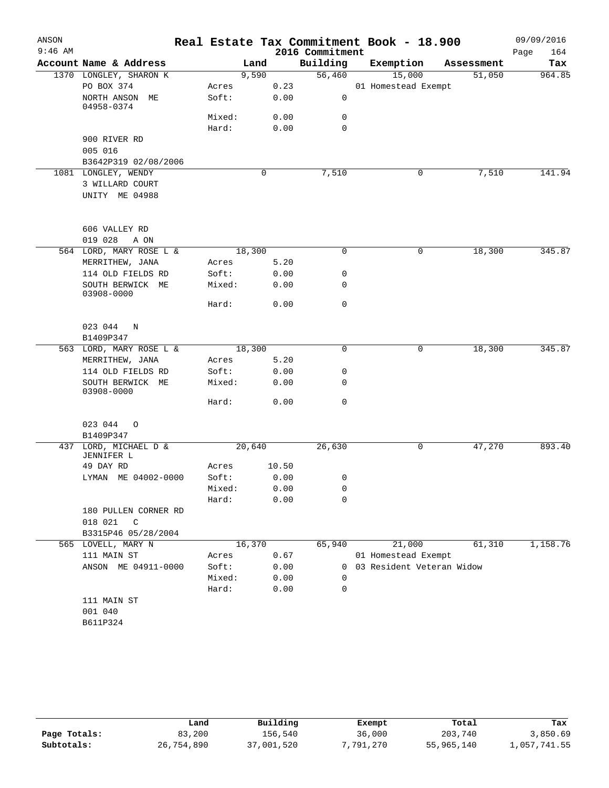| ANSON     |                                     |        |        |       |                 | Real Estate Tax Commitment Book - 18.900 |            | 09/09/2016  |
|-----------|-------------------------------------|--------|--------|-------|-----------------|------------------------------------------|------------|-------------|
| $9:46$ AM |                                     |        |        |       | 2016 Commitment |                                          |            | 164<br>Page |
|           | Account Name & Address              |        | Land   |       | Building        | Exemption                                | Assessment | Tax         |
|           | 1370 LONGLEY, SHARON K              |        | 9,590  |       | 56,460          | 15,000                                   | 51,050     | 964.85      |
|           | PO BOX 374                          | Acres  |        | 0.23  |                 | 01 Homestead Exempt                      |            |             |
|           | NORTH ANSON ME<br>04958-0374        | Soft:  |        | 0.00  | 0               |                                          |            |             |
|           |                                     | Mixed: |        | 0.00  | 0               |                                          |            |             |
|           |                                     | Hard:  |        | 0.00  | $\mathbf 0$     |                                          |            |             |
|           | 900 RIVER RD                        |        |        |       |                 |                                          |            |             |
|           | 005 016                             |        |        |       |                 |                                          |            |             |
|           | B3642P319 02/08/2006                |        |        |       |                 |                                          |            |             |
|           | 1081 LONGLEY, WENDY                 |        | 0      |       | 7,510           | 0                                        | 7,510      | 141.94      |
|           | 3 WILLARD COURT                     |        |        |       |                 |                                          |            |             |
|           | UNITY ME 04988                      |        |        |       |                 |                                          |            |             |
|           | 606 VALLEY RD                       |        |        |       |                 |                                          |            |             |
|           | 019 028<br>A ON                     |        |        |       |                 |                                          |            |             |
|           | 564 LORD, MARY ROSE L &             |        | 18,300 |       | 0               | 0                                        | 18,300     | 345.87      |
|           | MERRITHEW, JANA                     | Acres  |        | 5.20  |                 |                                          |            |             |
|           | 114 OLD FIELDS RD                   | Soft:  |        | 0.00  | 0               |                                          |            |             |
|           | SOUTH BERWICK ME<br>03908-0000      | Mixed: |        | 0.00  | 0               |                                          |            |             |
|           |                                     | Hard:  |        | 0.00  | $\mathbf 0$     |                                          |            |             |
|           | 023 044 N                           |        |        |       |                 |                                          |            |             |
|           | B1409P347                           |        |        |       |                 |                                          |            |             |
|           | 563 LORD, MARY ROSE L &             |        | 18,300 |       | 0               | 0                                        | 18,300     | 345.87      |
|           | MERRITHEW, JANA                     | Acres  |        | 5.20  |                 |                                          |            |             |
|           | 114 OLD FIELDS RD                   | Soft:  |        | 0.00  | 0               |                                          |            |             |
|           | SOUTH BERWICK ME<br>03908-0000      | Mixed: |        | 0.00  | 0               |                                          |            |             |
|           |                                     | Hard:  |        | 0.00  | $\mathbf 0$     |                                          |            |             |
|           | 023 044<br>$\circ$                  |        |        |       |                 |                                          |            |             |
|           | B1409P347                           |        |        |       |                 |                                          |            |             |
|           | 437 LORD, MICHAEL D &<br>JENNIFER L |        | 20,640 |       | 26,630          | 0                                        | 47,270     | 893.40      |
|           | 49 DAY RD                           | Acres  |        | 10.50 |                 |                                          |            |             |
|           | LYMAN ME 04002-0000                 | Soft:  |        | 0.00  | 0               |                                          |            |             |
|           |                                     | Mixed: |        | 0.00  | 0               |                                          |            |             |
|           |                                     | Hard:  |        | 0.00  | 0               |                                          |            |             |
|           | 180 PULLEN CORNER RD                |        |        |       |                 |                                          |            |             |
|           | 018 021<br>C                        |        |        |       |                 |                                          |            |             |
|           | B3315P46 05/28/2004                 |        |        |       |                 |                                          |            |             |
|           | 565 LOVELL, MARY N                  |        | 16,370 |       | 65,940          | 21,000                                   | 61,310     | 1,158.76    |
|           | 111 MAIN ST                         | Acres  |        | 0.67  |                 | 01 Homestead Exempt                      |            |             |
|           | ANSON ME 04911-0000                 | Soft:  |        | 0.00  | 0               | 03 Resident Veteran Widow                |            |             |
|           |                                     | Mixed: |        | 0.00  | 0               |                                          |            |             |
|           |                                     | Hard:  |        | 0.00  | $\mathbf 0$     |                                          |            |             |
|           | 111 MAIN ST                         |        |        |       |                 |                                          |            |             |
|           | 001 040                             |        |        |       |                 |                                          |            |             |
|           | B611P324                            |        |        |       |                 |                                          |            |             |

|              | Land       | Building   | Exempt    | Total      | Tax          |
|--------------|------------|------------|-----------|------------|--------------|
| Page Totals: | 83,200     | 156.540    | 36,000    | 203,740    | 3,850.69     |
| Subtotals:   | 26,754,890 | 37,001,520 | 7,791,270 | 55,965,140 | 1,057,741.55 |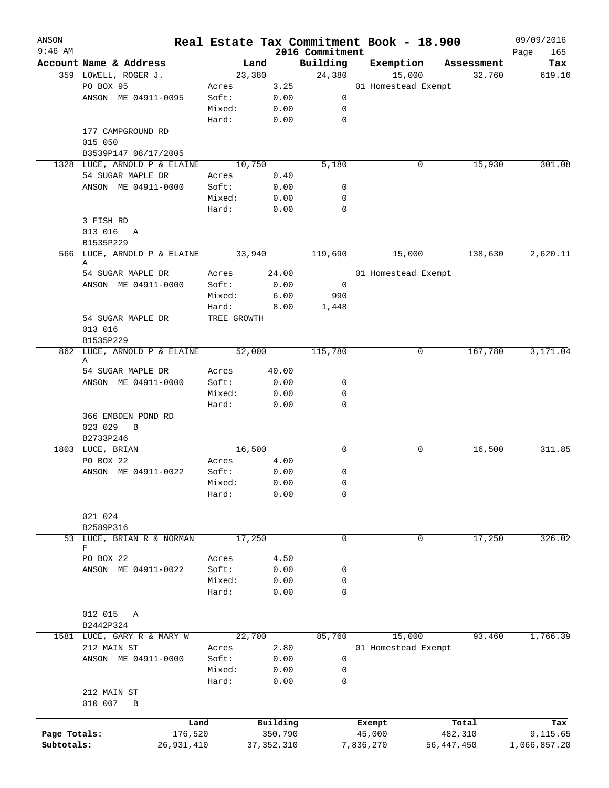| ANSON<br>$9:46$ AM |                                  |             |              |          | 2016 Commitment | Real Estate Tax Commitment Book - 18.900 |              | 09/09/2016<br>165<br>Page |
|--------------------|----------------------------------|-------------|--------------|----------|-----------------|------------------------------------------|--------------|---------------------------|
|                    | Account Name & Address           |             | Land         |          | Building        | Exemption                                | Assessment   | Tax                       |
|                    | 359 LOWELL, ROGER J.             |             | 23,380       |          | 24,380          | 15,000                                   | 32,760       | 619.16                    |
|                    | PO BOX 95                        | Acres       |              | 3.25     |                 | 01 Homestead Exempt                      |              |                           |
|                    | ANSON ME 04911-0095              | Soft:       |              | 0.00     | 0               |                                          |              |                           |
|                    |                                  | Mixed:      |              | 0.00     | 0               |                                          |              |                           |
|                    |                                  |             |              |          |                 |                                          |              |                           |
|                    |                                  | Hard:       |              | 0.00     | 0               |                                          |              |                           |
|                    | 177 CAMPGROUND RD                |             |              |          |                 |                                          |              |                           |
|                    | 015 050                          |             |              |          |                 |                                          |              |                           |
|                    | B3539P147 08/17/2005             |             |              |          |                 |                                          |              |                           |
|                    | 1328 LUCE, ARNOLD P & ELAINE     |             | 10,750       |          | 5,180           | 0                                        | 15,930       | 301.08                    |
|                    | 54 SUGAR MAPLE DR                | Acres       |              | 0.40     |                 |                                          |              |                           |
|                    | ANSON ME 04911-0000              | Soft:       |              | 0.00     | 0               |                                          |              |                           |
|                    |                                  | Mixed:      |              | 0.00     | 0               |                                          |              |                           |
|                    |                                  | Hard:       |              | 0.00     | 0               |                                          |              |                           |
|                    | 3 FISH RD                        |             |              |          |                 |                                          |              |                           |
|                    | 013 016 A                        |             |              |          |                 |                                          |              |                           |
|                    | B1535P229                        |             |              |          |                 |                                          |              |                           |
|                    | 566 LUCE, ARNOLD P & ELAINE<br>Α |             | 33,940       |          | 119,690         | 15,000                                   | 138,630      | 2,620.11                  |
|                    | 54 SUGAR MAPLE DR                | Acres       |              | 24.00    |                 | 01 Homestead Exempt                      |              |                           |
|                    | ANSON ME 04911-0000              | Soft:       |              | 0.00     | 0               |                                          |              |                           |
|                    |                                  | Mixed:      |              | 6.00     | 990             |                                          |              |                           |
|                    |                                  | Hard:       |              | 8.00     | 1,448           |                                          |              |                           |
|                    | 54 SUGAR MAPLE DR                | TREE GROWTH |              |          |                 |                                          |              |                           |
|                    | 013 016                          |             |              |          |                 |                                          |              |                           |
|                    | B1535P229                        |             |              |          |                 |                                          |              |                           |
|                    | 862 LUCE, ARNOLD P & ELAINE      |             | 52,000       |          | 115,780         | 0                                        | 167,780      | 3,171.04                  |
|                    | Α                                |             |              |          |                 |                                          |              |                           |
|                    | 54 SUGAR MAPLE DR                | Acres       |              | 40.00    |                 |                                          |              |                           |
|                    | ANSON ME 04911-0000              | Soft:       |              | 0.00     | 0               |                                          |              |                           |
|                    |                                  | Mixed:      |              | 0.00     | 0               |                                          |              |                           |
|                    |                                  | Hard:       |              | 0.00     | 0               |                                          |              |                           |
|                    | 366 EMBDEN POND RD               |             |              |          |                 |                                          |              |                           |
|                    | 023 029<br>B                     |             |              |          |                 |                                          |              |                           |
|                    | B2733P246                        |             |              |          |                 |                                          |              |                           |
|                    | 1803 LUCE, BRIAN                 |             | 16,500       |          | 0               | 0                                        | 16,500       | 311.85                    |
|                    | PO BOX 22                        | Acres       |              | 4.00     |                 |                                          |              |                           |
|                    | ANSON ME 04911-0022              | Soft:       |              | 0.00     | 0               |                                          |              |                           |
|                    |                                  | Mixed:      |              | 0.00     | 0               |                                          |              |                           |
|                    |                                  | Hard:       |              | 0.00     | 0               |                                          |              |                           |
|                    |                                  |             |              |          |                 |                                          |              |                           |
|                    | 021 024                          |             |              |          |                 |                                          |              |                           |
|                    | B2589P316                        |             |              |          |                 |                                          |              |                           |
|                    | 53 LUCE, BRIAN R & NORMAN        |             | 17,250       |          | 0               | 0                                        | 17,250       | 326.02                    |
|                    | F                                |             |              |          |                 |                                          |              |                           |
|                    | PO BOX 22                        | Acres       |              | 4.50     |                 |                                          |              |                           |
|                    | ANSON ME 04911-0022              | Soft:       |              | 0.00     | 0               |                                          |              |                           |
|                    |                                  | Mixed:      |              | 0.00     | 0               |                                          |              |                           |
|                    |                                  | Hard:       |              | 0.00     | 0               |                                          |              |                           |
|                    |                                  |             |              |          |                 |                                          |              |                           |
|                    | 012 015<br>A                     |             |              |          |                 |                                          |              |                           |
|                    | B2442P324                        |             |              |          |                 |                                          |              |                           |
| 1581               | LUCE, GARY R & MARY W            |             | 22,700       |          | 85,760          | 15,000                                   | 93,460       | 1,766.39                  |
|                    | 212 MAIN ST                      | Acres       |              | 2.80     |                 | 01 Homestead Exempt                      |              |                           |
|                    | ANSON ME 04911-0000              | Soft:       |              | 0.00     | 0               |                                          |              |                           |
|                    |                                  | Mixed:      |              | 0.00     | 0               |                                          |              |                           |
|                    |                                  | Hard:       |              | 0.00     | 0               |                                          |              |                           |
|                    | 212 MAIN ST                      |             |              |          |                 |                                          |              |                           |
|                    | 010 007<br>B                     |             |              |          |                 |                                          |              |                           |
|                    |                                  |             |              |          |                 |                                          |              |                           |
|                    |                                  | Land        |              | Building |                 | Exempt                                   | Total        | Tax                       |
| Page Totals:       |                                  | 176,520     |              | 350,790  |                 | 45,000                                   | 482,310      | 9,115.65                  |
| Subtotals:         | 26,931,410                       |             | 37, 352, 310 |          |                 | 7,836,270                                | 56, 447, 450 | 1,066,857.20              |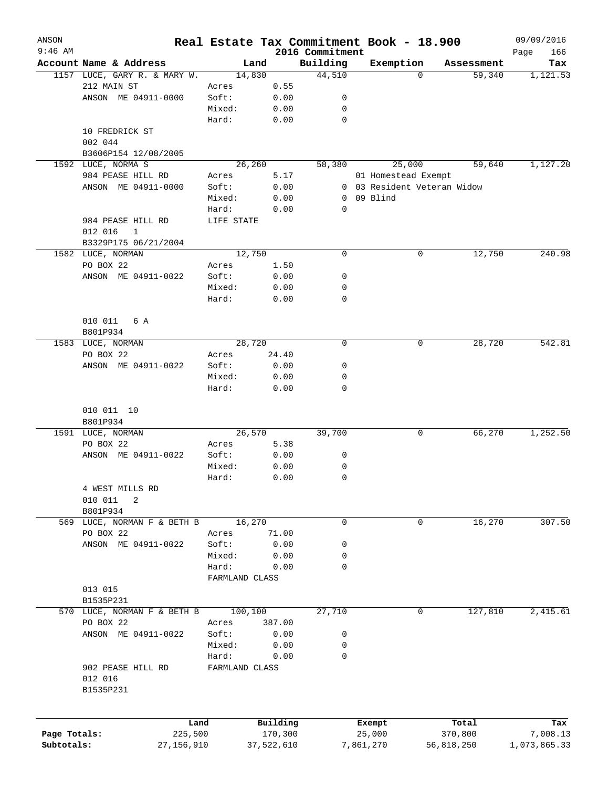| ANSON<br>$9:46$ AM |                                             | Real Estate Tax Commitment Book - 18.900 |            | 2016 Commitment |                             |          |            | 09/09/2016<br>166 |
|--------------------|---------------------------------------------|------------------------------------------|------------|-----------------|-----------------------------|----------|------------|-------------------|
|                    | Account Name & Address                      | Land                                     |            | Building        | Exemption                   |          | Assessment | Page<br>Tax       |
|                    | 1157 LUCE, GARY R. & MARY W.                | 14,830                                   |            | 44,510          |                             | $\Omega$ | 59,340     | 1,121.53          |
|                    | 212 MAIN ST                                 | Acres                                    | 0.55       |                 |                             |          |            |                   |
|                    | ANSON ME 04911-0000                         | Soft:                                    | 0.00       | 0               |                             |          |            |                   |
|                    |                                             | Mixed:                                   | 0.00       | 0               |                             |          |            |                   |
|                    |                                             | Hard:                                    | 0.00       | 0               |                             |          |            |                   |
|                    | 10 FREDRICK ST                              |                                          |            |                 |                             |          |            |                   |
|                    |                                             |                                          |            |                 |                             |          |            |                   |
|                    | 002 044                                     |                                          |            |                 |                             |          |            |                   |
|                    | B3606P154 12/08/2005                        |                                          |            |                 |                             |          |            |                   |
|                    | 1592 LUCE, NORMA S                          | 26,260                                   |            | 58,380          |                             | 25,000   | 59,640     | 1,127.20          |
|                    | 984 PEASE HILL RD                           | Acres                                    | 5.17       |                 | 01 Homestead Exempt         |          |            |                   |
|                    | ANSON ME 04911-0000                         | Soft:                                    | 0.00       |                 | 0 03 Resident Veteran Widow |          |            |                   |
|                    |                                             | Mixed:                                   | 0.00       | 0               | 09 Blind                    |          |            |                   |
|                    |                                             | Hard:                                    | 0.00       | 0               |                             |          |            |                   |
|                    | 984 PEASE HILL RD                           | LIFE STATE                               |            |                 |                             |          |            |                   |
|                    | 012 016<br>$\mathbf{1}$                     |                                          |            |                 |                             |          |            |                   |
|                    | B3329P175 06/21/2004                        |                                          |            |                 |                             |          |            |                   |
|                    | 1582 LUCE, NORMAN                           | 12,750                                   |            | $\mathbf 0$     |                             | 0        | 12,750     | 240.98            |
|                    | PO BOX 22                                   | Acres                                    | 1.50       |                 |                             |          |            |                   |
|                    | ANSON ME 04911-0022                         | Soft:                                    | 0.00       | 0               |                             |          |            |                   |
|                    |                                             | Mixed:                                   | 0.00       | 0               |                             |          |            |                   |
|                    |                                             | Hard:                                    | 0.00       | 0               |                             |          |            |                   |
|                    |                                             |                                          |            |                 |                             |          |            |                   |
|                    | 010 011<br>6 A                              |                                          |            |                 |                             |          |            |                   |
|                    | B801P934                                    |                                          |            |                 |                             |          |            |                   |
|                    | 1583 LUCE, NORMAN                           | 28,720                                   |            | $\mathbf 0$     |                             | 0        | 28,720     | 542.81            |
|                    | PO BOX 22                                   | Acres                                    | 24.40      |                 |                             |          |            |                   |
|                    | ANSON ME 04911-0022                         | Soft:                                    | 0.00       | 0               |                             |          |            |                   |
|                    |                                             | Mixed:                                   | 0.00       | 0               |                             |          |            |                   |
|                    |                                             | Hard:                                    | 0.00       | 0               |                             |          |            |                   |
|                    | 010 011 10<br>B801P934<br>1591 LUCE, NORMAN | 26,570                                   |            | 39,700          |                             | 0        | 66,270     | 1,252.50          |
|                    |                                             |                                          |            |                 |                             |          |            |                   |
|                    | PO BOX 22                                   | Acres                                    | 5.38       |                 |                             |          |            |                   |
|                    | ANSON ME 04911-0022                         | Soft:                                    | 0.00       | 0               |                             |          |            |                   |
|                    |                                             | Mixed:                                   | 0.00       | 0               |                             |          |            |                   |
|                    |                                             | Hard:                                    | 0.00       | 0               |                             |          |            |                   |
|                    | 4 WEST MILLS RD<br>010 011<br>2<br>B801P934 |                                          |            |                 |                             |          |            |                   |
|                    | 569 LUCE, NORMAN F & BETH B                 | 16,270                                   |            | 0               |                             | 0        | 16,270     | 307.50            |
|                    | PO BOX 22                                   | Acres                                    | 71.00      |                 |                             |          |            |                   |
|                    | ANSON ME 04911-0022                         | Soft:                                    | 0.00       | 0               |                             |          |            |                   |
|                    |                                             | Mixed:                                   | 0.00       | 0               |                             |          |            |                   |
|                    |                                             | Hard:                                    | 0.00       | 0               |                             |          |            |                   |
|                    |                                             | FARMLAND CLASS                           |            |                 |                             |          |            |                   |
|                    | 013 015                                     |                                          |            |                 |                             |          |            |                   |
|                    | B1535P231                                   |                                          |            |                 |                             |          |            |                   |
|                    |                                             |                                          |            |                 |                             | 0        |            | 2,415.61          |
|                    | 570 LUCE, NORMAN F & BETH B                 | 100,100                                  |            | 27,710          |                             |          | 127,810    |                   |
|                    | PO BOX 22                                   | Acres                                    | 387.00     |                 |                             |          |            |                   |
|                    | ANSON ME 04911-0022                         | Soft:                                    | 0.00       | 0               |                             |          |            |                   |
|                    |                                             | Mixed:                                   | 0.00       | 0               |                             |          |            |                   |
|                    |                                             | Hard:                                    | 0.00       | 0               |                             |          |            |                   |
|                    | 902 PEASE HILL RD                           | FARMLAND CLASS                           |            |                 |                             |          |            |                   |
|                    | 012 016                                     |                                          |            |                 |                             |          |            |                   |
|                    | B1535P231                                   |                                          |            |                 |                             |          |            |                   |
|                    |                                             |                                          |            |                 |                             |          |            |                   |
|                    | Land                                        |                                          | Building   |                 | Exempt                      |          | Total      | Tax               |
| Page Totals:       | 225,500                                     |                                          | 170,300    |                 | 25,000                      |          | 370,800    | 7,008.13          |
| Subtotals:         | 27, 156, 910                                |                                          | 37,522,610 |                 | 7,861,270                   |          | 56,818,250 | 1,073,865.33      |
|                    |                                             |                                          |            |                 |                             |          |            |                   |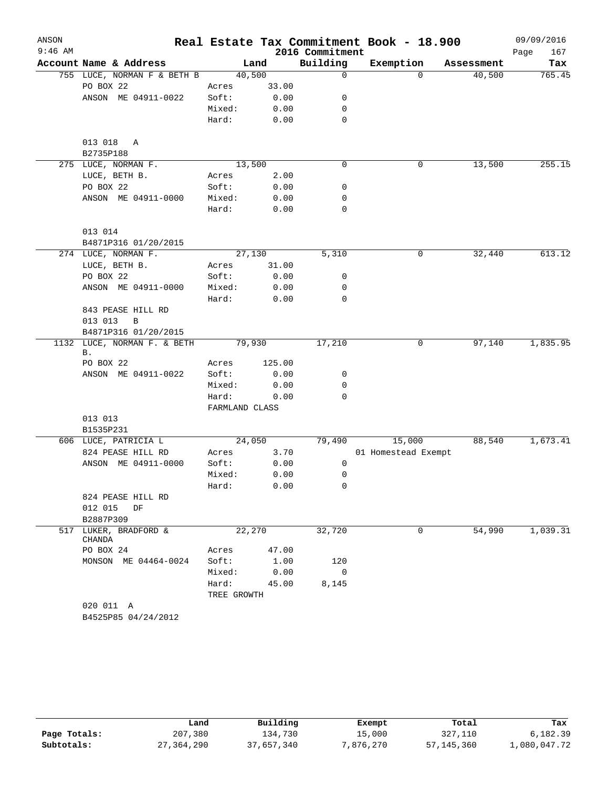| ANSON     |                                   |                |        |                 | Real Estate Tax Commitment Book - 18.900 |            | 09/09/2016  |
|-----------|-----------------------------------|----------------|--------|-----------------|------------------------------------------|------------|-------------|
| $9:46$ AM |                                   |                |        | 2016 Commitment |                                          |            | 167<br>Page |
|           | Account Name & Address            |                | Land   | Building        | Exemption                                | Assessment | Tax         |
|           | 755 LUCE, NORMAN F & BETH B       | 40,500         |        | $\mathbf 0$     | $\Omega$                                 | 40,500     | 765.45      |
|           | PO BOX 22                         | Acres          | 33.00  |                 |                                          |            |             |
|           | ANSON ME 04911-0022               | Soft:          | 0.00   | 0               |                                          |            |             |
|           |                                   | Mixed:         | 0.00   | 0               |                                          |            |             |
|           |                                   | Hard:          | 0.00   | 0               |                                          |            |             |
|           | 013 018 A<br>B2735P188            |                |        |                 |                                          |            |             |
|           | 275 LUCE, NORMAN F.               | 13,500         |        | $\mathbf 0$     | 0                                        | 13,500     | 255.15      |
|           | LUCE, BETH B.                     | Acres          | 2.00   |                 |                                          |            |             |
|           | PO BOX 22                         | Soft:          | 0.00   | 0               |                                          |            |             |
|           | ANSON ME 04911-0000               | Mixed:         | 0.00   | 0               |                                          |            |             |
|           |                                   | Hard:          | 0.00   | 0               |                                          |            |             |
|           | 013 014                           |                |        |                 |                                          |            |             |
|           | B4871P316 01/20/2015              |                |        |                 |                                          |            |             |
|           | 274 LUCE, NORMAN F.               | 27,130         |        | 5,310           | 0                                        | 32,440     | 613.12      |
|           | LUCE, BETH B.                     | Acres          | 31.00  |                 |                                          |            |             |
|           | PO BOX 22                         | Soft:          | 0.00   | 0               |                                          |            |             |
|           | ANSON ME 04911-0000               | Mixed:         | 0.00   | 0               |                                          |            |             |
|           |                                   | Hard:          | 0.00   | 0               |                                          |            |             |
|           | 843 PEASE HILL RD                 |                |        |                 |                                          |            |             |
|           | $\, {\bf B}$<br>013 013           |                |        |                 |                                          |            |             |
|           | B4871P316 01/20/2015              |                |        |                 |                                          |            |             |
|           | 1132 LUCE, NORMAN F. & BETH<br>Β. | 79,930         |        | 17,210          | 0                                        | 97,140     | 1,835.95    |
|           | PO BOX 22                         | Acres          | 125.00 |                 |                                          |            |             |
|           | ANSON ME 04911-0022               | Soft:          | 0.00   | 0               |                                          |            |             |
|           |                                   | Mixed:         | 0.00   | 0               |                                          |            |             |
|           |                                   | Hard:          | 0.00   | 0               |                                          |            |             |
|           |                                   | FARMLAND CLASS |        |                 |                                          |            |             |
|           | 013 013                           |                |        |                 |                                          |            |             |
|           | B1535P231                         |                |        |                 |                                          |            |             |
|           | 606 LUCE, PATRICIA L              | 24,050         |        | 79,490          | 15,000                                   | 88,540     | 1,673.41    |
|           | 824 PEASE HILL RD                 | Acres          | 3.70   |                 | 01 Homestead Exempt                      |            |             |
|           | ANSON ME 04911-0000               | Soft:          | 0.00   | 0               |                                          |            |             |
|           |                                   | Mixed:         | 0.00   | 0               |                                          |            |             |
|           |                                   | Hard:          | 0.00   | 0               |                                          |            |             |
|           | 824 PEASE HILL RD                 |                |        |                 |                                          |            |             |
|           | 012 015<br>DF<br>B2887P309        |                |        |                 |                                          |            |             |
|           | 517 LUKER, BRADFORD &<br>CHANDA   | 22,270         |        | 32,720          | 0                                        | 54,990     | 1,039.31    |
|           | PO BOX 24                         | Acres          | 47.00  |                 |                                          |            |             |
|           | MONSON ME 04464-0024              | Soft:          | 1.00   | 120             |                                          |            |             |
|           |                                   | Mixed:         | 0.00   | $\overline{0}$  |                                          |            |             |
|           |                                   | Hard:          | 45.00  | 8,145           |                                          |            |             |
|           |                                   | TREE GROWTH    |        |                 |                                          |            |             |
|           | 020 011 A                         |                |        |                 |                                          |            |             |
|           | B4525P85 04/24/2012               |                |        |                 |                                          |            |             |
|           |                                   |                |        |                 |                                          |            |             |

|              | Land       | Building   | Exempt    | Total        | Tax          |
|--------------|------------|------------|-----------|--------------|--------------|
| Page Totals: | 207,380    | 134,730    | 15,000    | 327,110      | 6,182.39     |
| Subtotals:   | 27,364,290 | 37,657,340 | 7,876,270 | 57, 145, 360 | 1,080,047.72 |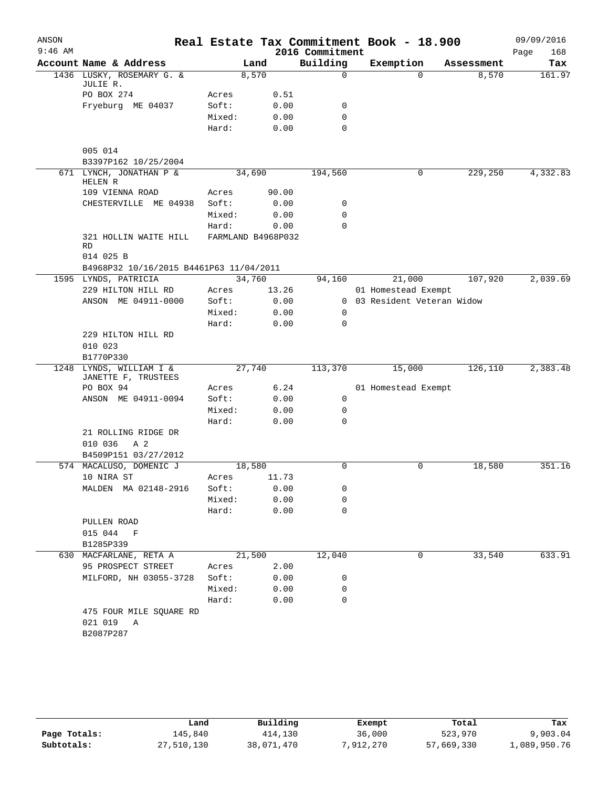| ANSON     |                                                |        |                    |       |                 | Real Estate Tax Commitment Book - 18.900 |            | 09/09/2016  |
|-----------|------------------------------------------------|--------|--------------------|-------|-----------------|------------------------------------------|------------|-------------|
| $9:46$ AM |                                                |        |                    |       | 2016 Commitment |                                          |            | 168<br>Page |
|           | Account Name & Address                         |        | Land               |       | Building        | Exemption                                | Assessment | Tax         |
|           | 1436 LUSKY, ROSEMARY G. &<br>JULIE R.          |        | 8,570              |       | $\Omega$        | $\Omega$                                 | 8,570      | 161.97      |
|           | PO BOX 274                                     | Acres  |                    | 0.51  |                 |                                          |            |             |
|           | Fryeburg ME 04037                              | Soft:  |                    | 0.00  | $\mathbf 0$     |                                          |            |             |
|           |                                                | Mixed: |                    | 0.00  | $\mathbf 0$     |                                          |            |             |
|           |                                                | Hard:  |                    | 0.00  | $\Omega$        |                                          |            |             |
|           | 005 014<br>B3397P162 10/25/2004                |        |                    |       |                 |                                          |            |             |
|           | 671 LYNCH, JONATHAN P &<br>HELEN R             |        | 34,690             |       | 194,560         | 0                                        | 229,250    | 4,332.83    |
|           | 109 VIENNA ROAD                                | Acres  |                    | 90.00 |                 |                                          |            |             |
|           | CHESTERVILLE ME 04938                          | Soft:  |                    | 0.00  | 0               |                                          |            |             |
|           |                                                | Mixed: |                    | 0.00  | $\mathbf 0$     |                                          |            |             |
|           |                                                | Hard:  |                    | 0.00  | $\mathbf 0$     |                                          |            |             |
|           | 321 HOLLIN WAITE HILL<br><b>RD</b>             |        | FARMLAND B4968P032 |       |                 |                                          |            |             |
|           | 014 025 B                                      |        |                    |       |                 |                                          |            |             |
|           | B4968P32 10/16/2015 B4461P63 11/04/2011        |        |                    |       |                 |                                          |            |             |
|           | 1595 LYNDS, PATRICIA                           |        | 34,760             |       | 94,160          | 21,000                                   | 107,920    | 2,039.69    |
|           | 229 HILTON HILL RD                             | Acres  |                    | 13.26 |                 | 01 Homestead Exempt                      |            |             |
|           | ANSON ME 04911-0000                            | Soft:  |                    | 0.00  |                 | 0 03 Resident Veteran Widow              |            |             |
|           |                                                | Mixed: |                    | 0.00  | $\mathbf 0$     |                                          |            |             |
|           |                                                | Hard:  |                    | 0.00  | $\mathbf 0$     |                                          |            |             |
|           | 229 HILTON HILL RD                             |        |                    |       |                 |                                          |            |             |
|           | 010 023                                        |        |                    |       |                 |                                          |            |             |
|           | B1770P330                                      |        |                    |       |                 |                                          |            |             |
|           | 1248 LYNDS, WILLIAM I &<br>JANETTE F, TRUSTEES |        | 27,740             |       | 113,370         | 15,000                                   | 126,110    | 2,383.48    |
|           | PO BOX 94                                      | Acres  |                    | 6.24  |                 | 01 Homestead Exempt                      |            |             |
|           | ANSON ME 04911-0094                            | Soft:  |                    | 0.00  | 0               |                                          |            |             |
|           |                                                | Mixed: |                    | 0.00  | $\mathbf 0$     |                                          |            |             |
|           |                                                | Hard:  |                    | 0.00  | $\Omega$        |                                          |            |             |
|           | 21 ROLLING RIDGE DR                            |        |                    |       |                 |                                          |            |             |
|           | 010 036<br>A 2                                 |        |                    |       |                 |                                          |            |             |
|           | B4509P151 03/27/2012                           |        |                    |       |                 |                                          |            |             |
|           | 574 MACALUSO, DOMENIC J                        |        | 18,580             |       | 0               | 0                                        | 18,580     | 351.16      |
|           | 10 NIRA ST                                     | Acres  |                    | 11.73 |                 |                                          |            |             |
|           | MALDEN MA 02148-2916                           | Soft:  |                    | 0.00  | 0               |                                          |            |             |
|           |                                                | Mixed: |                    | 0.00  | 0               |                                          |            |             |
|           |                                                | Hard:  |                    | 0.00  | $\mathbf 0$     |                                          |            |             |
|           | PULLEN ROAD                                    |        |                    |       |                 |                                          |            |             |
|           | 015 044 F                                      |        |                    |       |                 |                                          |            |             |
|           | B1285P339                                      |        |                    |       |                 |                                          |            |             |
|           | 630 MACFARLANE, RETA A                         |        | 21,500             |       | 12,040          | 0                                        | 33,540     | 633.91      |
|           | 95 PROSPECT STREET                             | Acres  |                    | 2.00  |                 |                                          |            |             |
|           | MILFORD, NH 03055-3728                         | Soft:  |                    | 0.00  | 0               |                                          |            |             |
|           |                                                | Mixed: |                    | 0.00  | 0               |                                          |            |             |
|           |                                                | Hard:  |                    | 0.00  | $\mathbf 0$     |                                          |            |             |
|           | 475 FOUR MILE SQUARE RD                        |        |                    |       |                 |                                          |            |             |
|           | 021 019<br>A                                   |        |                    |       |                 |                                          |            |             |
|           | B2087P287                                      |        |                    |       |                 |                                          |            |             |
|           |                                                |        |                    |       |                 |                                          |            |             |

|              | Land       | Building   | Exempt    | Total      | Tax          |
|--------------|------------|------------|-----------|------------|--------------|
| Page Totals: | 145,840    | 414,130    | 36,000    | 523,970    | 9,903.04     |
| Subtotals:   | 27,510,130 | 38,071,470 | 7,912,270 | 57,669,330 | 1,089,950.76 |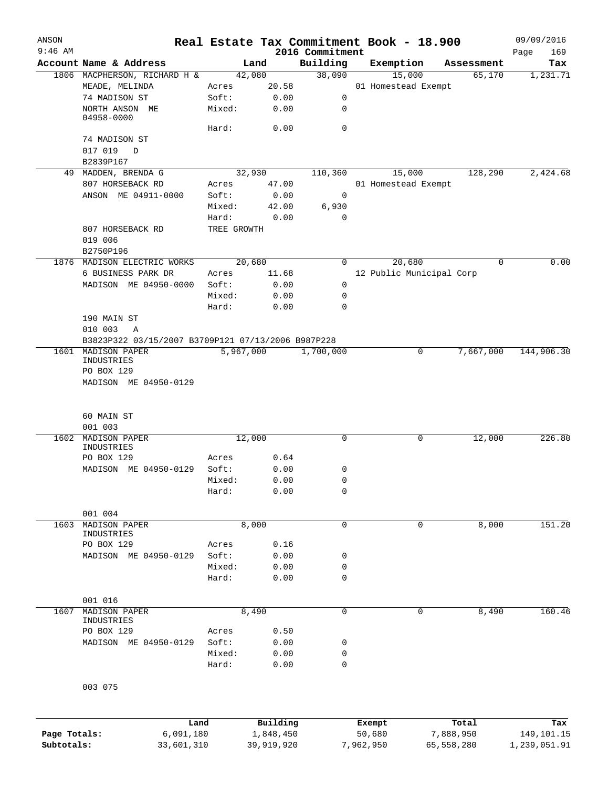| ANSON        |                                                    |             |            |                             | Real Estate Tax Commitment Book - 18.900 |              | 09/09/2016         |
|--------------|----------------------------------------------------|-------------|------------|-----------------------------|------------------------------------------|--------------|--------------------|
| $9:46$ AM    | Account Name & Address                             | Land        |            | 2016 Commitment<br>Building | Exemption                                | Assessment   | 169<br>Page<br>Tax |
|              | 1806 MACPHERSON, RICHARD H &                       | 42,080      |            | 38,090                      | 15,000                                   | 65,170       | 1,231.71           |
|              | MEADE, MELINDA                                     | Acres       | 20.58      |                             | 01 Homestead Exempt                      |              |                    |
|              | 74 MADISON ST                                      | Soft:       | 0.00       | 0                           |                                          |              |                    |
|              | NORTH ANSON ME                                     | Mixed:      | 0.00       | 0                           |                                          |              |                    |
|              | 04958-0000                                         |             |            |                             |                                          |              |                    |
|              |                                                    | Hard:       | 0.00       | $\mathbf 0$                 |                                          |              |                    |
|              | 74 MADISON ST                                      |             |            |                             |                                          |              |                    |
|              | 017 019<br>$\Box$<br>B2839P167                     |             |            |                             |                                          |              |                    |
|              | 49 MADDEN, BRENDA G                                | 32,930      |            | 110,360                     | 15,000                                   | 128,290      | 2,424.68           |
|              | 807 HORSEBACK RD                                   | Acres       | 47.00      |                             | 01 Homestead Exempt                      |              |                    |
|              | ANSON ME 04911-0000                                | Soft:       | 0.00       | 0                           |                                          |              |                    |
|              |                                                    | Mixed:      | 42.00      | 6,930                       |                                          |              |                    |
|              |                                                    | Hard:       | 0.00       | $\mathbf 0$                 |                                          |              |                    |
|              | 807 HORSEBACK RD                                   | TREE GROWTH |            |                             |                                          |              |                    |
|              | 019 006                                            |             |            |                             |                                          |              |                    |
|              | B2750P196                                          |             |            |                             |                                          |              |                    |
|              | 1876 MADISON ELECTRIC WORKS                        | 20,680      |            | $\overline{0}$              | 20,680                                   | $\Omega$     | 0.00               |
|              | 6 BUSINESS PARK DR                                 | Acres       | 11.68      |                             | 12 Public Municipal Corp                 |              |                    |
|              | MADISON ME 04950-0000                              | Soft:       | 0.00       | 0                           |                                          |              |                    |
|              |                                                    | Mixed:      | 0.00       | 0                           |                                          |              |                    |
|              |                                                    | Hard:       | 0.00       | 0                           |                                          |              |                    |
|              | 190 MAIN ST                                        |             |            |                             |                                          |              |                    |
|              | 010 003<br>A                                       |             |            |                             |                                          |              |                    |
|              | B3823P322 03/15/2007 B3709P121 07/13/2006 B987P228 |             |            |                             |                                          |              |                    |
|              | 1601 MADISON PAPER                                 | 5,967,000   |            | 1,700,000                   | 0                                        | 7,667,000    | 144,906.30         |
|              | INDUSTRIES                                         |             |            |                             |                                          |              |                    |
|              | PO BOX 129                                         |             |            |                             |                                          |              |                    |
|              | 60 MAIN ST                                         |             |            |                             |                                          |              |                    |
|              | 001 003                                            |             |            |                             |                                          |              |                    |
| 1602         | MADISON PAPER<br>INDUSTRIES                        | 12,000      |            | 0                           | 0                                        | 12,000       | 226.80             |
|              | PO BOX 129                                         | Acres       | 0.64       |                             |                                          |              |                    |
|              | MADISON ME 04950-0129                              | Soft:       | 0.00       | 0                           |                                          |              |                    |
|              |                                                    | Mixed:      | 0.00       | 0                           |                                          |              |                    |
|              |                                                    | Hard:       | 0.00       | $\mathbf 0$                 |                                          |              |                    |
|              | 001 004                                            |             |            |                             |                                          |              |                    |
| 1603         | <b>MADISON PAPER</b>                               | 8,000       |            | 0                           | $\mathbf 0$                              | 8,000        | 151.20             |
|              | INDUSTRIES                                         |             |            |                             |                                          |              |                    |
|              | PO BOX 129                                         | Acres       | 0.16       |                             |                                          |              |                    |
|              | MADISON ME 04950-0129                              | Soft:       | 0.00       | 0                           |                                          |              |                    |
|              |                                                    | Mixed:      | 0.00       | 0                           |                                          |              |                    |
|              |                                                    | Hard:       | 0.00       | 0                           |                                          |              |                    |
|              |                                                    |             |            |                             |                                          |              |                    |
|              | 001 016                                            |             |            |                             |                                          |              |                    |
| 1607         | MADISON PAPER<br>INDUSTRIES                        | 8,490       |            | 0                           | $\mathbf 0$                              | 8,490        | 160.46             |
|              | PO BOX 129                                         | Acres       | 0.50       |                             |                                          |              |                    |
|              | MADISON ME 04950-0129                              | Soft:       | 0.00       | 0                           |                                          |              |                    |
|              |                                                    | Mixed:      | 0.00       | 0                           |                                          |              |                    |
|              |                                                    | Hard:       | 0.00       | 0                           |                                          |              |                    |
|              |                                                    |             |            |                             |                                          |              |                    |
|              | 003 075                                            |             |            |                             |                                          |              |                    |
|              | Land                                               |             | Building   |                             | Exempt                                   | Total        | Tax                |
| Page Totals: | 6,091,180                                          |             | 1,848,450  |                             | 50,680                                   | 7,888,950    | 149,101.15         |
| Subtotals:   | 33,601,310                                         |             | 39,919,920 |                             | 7,962,950                                | 65, 558, 280 | 1,239,051.91       |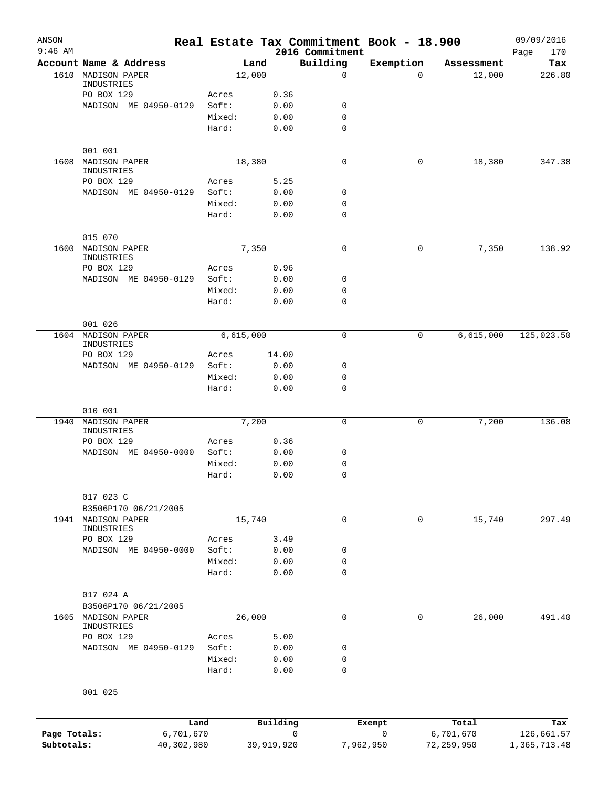| ANSON<br>$9:46$ AM |                                            |        |             |       | Real Estate Tax Commitment Book - 18.900<br>2016 Commitment |             |            | 09/09/2016<br>170<br>Page |
|--------------------|--------------------------------------------|--------|-------------|-------|-------------------------------------------------------------|-------------|------------|---------------------------|
|                    | Account Name & Address                     |        | Land        |       | Building                                                    | Exemption   | Assessment | Tax                       |
| 1610               | MADISON PAPER                              |        | 12,000      |       | $\mathbf 0$                                                 | $\Omega$    | 12,000     | 226.80                    |
|                    | INDUSTRIES                                 |        |             |       |                                                             |             |            |                           |
|                    | PO BOX 129                                 | Acres  |             | 0.36  |                                                             |             |            |                           |
|                    | MADISON ME 04950-0129                      | Soft:  |             | 0.00  | 0                                                           |             |            |                           |
|                    |                                            | Mixed: |             | 0.00  | 0<br>$\mathbf 0$                                            |             |            |                           |
|                    |                                            | Hard:  |             | 0.00  |                                                             |             |            |                           |
|                    | 001 001                                    |        |             |       |                                                             |             |            |                           |
| 1608               | <b>MADISON PAPER</b><br>INDUSTRIES         |        | 18,380      |       | $\mathbf 0$                                                 | 0           | 18,380     | 347.38                    |
|                    | PO BOX 129                                 | Acres  |             | 5.25  |                                                             |             |            |                           |
|                    | MADISON ME 04950-0129                      | Soft:  |             | 0.00  | 0                                                           |             |            |                           |
|                    |                                            | Mixed: |             | 0.00  | 0                                                           |             |            |                           |
|                    |                                            | Hard:  |             | 0.00  | 0                                                           |             |            |                           |
|                    | 015 070                                    |        |             |       |                                                             |             |            |                           |
| 1600               | MADISON PAPER<br>INDUSTRIES                |        | 7,350       |       | 0                                                           | 0           | 7,350      | 138.92                    |
|                    | PO BOX 129                                 | Acres  |             | 0.96  |                                                             |             |            |                           |
|                    | MADISON ME 04950-0129                      | Soft:  |             | 0.00  | 0                                                           |             |            |                           |
|                    |                                            | Mixed: |             | 0.00  | 0                                                           |             |            |                           |
|                    |                                            | Hard:  |             | 0.00  | $\mathbf 0$                                                 |             |            |                           |
|                    | 001 026                                    |        |             |       |                                                             |             |            |                           |
| 1604               | MADISON PAPER                              |        | 6, 615, 000 |       | 0                                                           | 0           | 6,615,000  | 125,023.50                |
|                    | INDUSTRIES                                 |        |             |       |                                                             |             |            |                           |
|                    | PO BOX 129                                 | Acres  |             | 14.00 |                                                             |             |            |                           |
|                    | MADISON ME 04950-0129                      | Soft:  |             | 0.00  | 0                                                           |             |            |                           |
|                    |                                            | Mixed: |             | 0.00  | 0                                                           |             |            |                           |
|                    |                                            | Hard:  |             | 0.00  | 0                                                           |             |            |                           |
|                    | 010 001                                    |        |             |       |                                                             |             |            |                           |
| 1940               | <b>MADISON PAPER</b><br>INDUSTRIES         |        | 7,200       |       | $\mathbf 0$                                                 | 0           | 7,200      | 136.08                    |
|                    | PO BOX 129                                 | Acres  |             | 0.36  |                                                             |             |            |                           |
|                    | MADISON ME 04950-0000                      | Soft:  |             | 0.00  | 0                                                           |             |            |                           |
|                    |                                            | Mixed: |             | 0.00  | 0                                                           |             |            |                           |
|                    |                                            | Hard:  |             | 0.00  | $\mathbf 0$                                                 |             |            |                           |
|                    |                                            |        |             |       |                                                             |             |            |                           |
|                    | 017 023 C                                  |        |             |       |                                                             |             |            |                           |
|                    | B3506P170 06/21/2005<br>1941 MADISON PAPER |        | 15,740      |       | $\mathbf 0$                                                 | $\mathbf 0$ | 15,740     | 297.49                    |
|                    | INDUSTRIES                                 |        |             |       |                                                             |             |            |                           |
|                    | PO BOX 129                                 | Acres  |             | 3.49  |                                                             |             |            |                           |
|                    | MADISON ME 04950-0000                      | Soft:  |             | 0.00  | 0                                                           |             |            |                           |
|                    |                                            | Mixed: |             | 0.00  | 0                                                           |             |            |                           |
|                    |                                            | Hard:  |             | 0.00  | $\mathbf 0$                                                 |             |            |                           |
|                    | 017 024 A                                  |        |             |       |                                                             |             |            |                           |
|                    | B3506P170 06/21/2005                       |        |             |       |                                                             |             |            |                           |
| 1605               | MADISON PAPER<br>INDUSTRIES                |        | 26,000      |       | 0                                                           | 0           | 26,000     | 491.40                    |
|                    | PO BOX 129                                 | Acres  |             | 5.00  |                                                             |             |            |                           |
|                    | MADISON ME 04950-0129                      | Soft:  |             | 0.00  | 0                                                           |             |            |                           |
|                    |                                            | Mixed: |             | 0.00  | 0                                                           |             |            |                           |
|                    |                                            | Hard:  |             | 0.00  | 0                                                           |             |            |                           |
|                    | 001 025                                    |        |             |       |                                                             |             |            |                           |
|                    |                                            |        |             |       |                                                             |             |            |                           |
|                    |                                            |        |             |       |                                                             |             |            |                           |

|              | Land       | Building   | Exempt    | Total      | Tax          |
|--------------|------------|------------|-----------|------------|--------------|
| Page Totals: | 6,701,670  |            |           | 6,701,670  | 126,661.57   |
| Subtotals:   | 40,302,980 | 39,919,920 | 7,962,950 | 72,259,950 | 1,365,713.48 |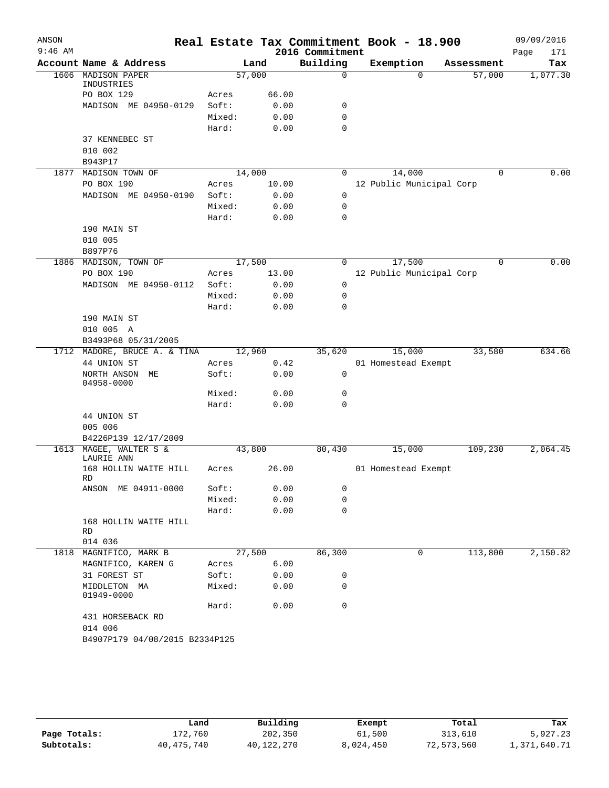| ANSON     |                                 |        |       |                             | Real Estate Tax Commitment Book - 18.900 |             | 09/09/2016         |
|-----------|---------------------------------|--------|-------|-----------------------------|------------------------------------------|-------------|--------------------|
| $9:46$ AM | Account Name & Address          |        | Land  | 2016 Commitment<br>Building | Exemption                                | Assessment  | Page<br>171<br>Tax |
| 1606      | MADISON PAPER                   | 57,000 |       | $\mathbf 0$                 | $\Omega$                                 | 57,000      | 1,077.30           |
|           | INDUSTRIES                      |        |       |                             |                                          |             |                    |
|           | PO BOX 129                      | Acres  | 66.00 |                             |                                          |             |                    |
|           | MADISON ME 04950-0129           | Soft:  | 0.00  | 0                           |                                          |             |                    |
|           |                                 | Mixed: | 0.00  | 0                           |                                          |             |                    |
|           |                                 | Hard:  | 0.00  | $\mathbf 0$                 |                                          |             |                    |
|           | 37 KENNEBEC ST                  |        |       |                             |                                          |             |                    |
|           | 010 002                         |        |       |                             |                                          |             |                    |
|           | B943P17                         |        |       |                             |                                          |             |                    |
| 1877      | MADISON TOWN OF                 | 14,000 |       | 0                           | 14,000                                   | $\Omega$    | 0.00               |
|           | PO BOX 190                      | Acres  | 10.00 |                             | 12 Public Municipal Corp                 |             |                    |
|           | MADISON ME 04950-0190           | Soft:  | 0.00  | 0                           |                                          |             |                    |
|           |                                 | Mixed: | 0.00  | $\mathbf 0$                 |                                          |             |                    |
|           |                                 | Hard:  | 0.00  | $\mathbf 0$                 |                                          |             |                    |
|           | 190 MAIN ST                     |        |       |                             |                                          |             |                    |
|           | 010 005                         |        |       |                             |                                          |             |                    |
|           | B897P76                         |        |       |                             |                                          |             |                    |
|           | 1886 MADISON, TOWN OF           | 17,500 |       | 0                           | 17,500                                   | $\mathbf 0$ | 0.00               |
|           | PO BOX 190                      | Acres  | 13.00 |                             | 12 Public Municipal Corp                 |             |                    |
|           | MADISON ME 04950-0112           | Soft:  | 0.00  | 0                           |                                          |             |                    |
|           |                                 | Mixed: | 0.00  | 0                           |                                          |             |                    |
|           |                                 | Hard:  | 0.00  | $\mathbf 0$                 |                                          |             |                    |
|           | 190 MAIN ST                     |        |       |                             |                                          |             |                    |
|           | 010 005 A                       |        |       |                             |                                          |             |                    |
|           | B3493P68 05/31/2005             |        |       |                             |                                          |             |                    |
|           | 1712 MADORE, BRUCE A. & TINA    | 12,960 |       | 35,620                      | 15,000                                   | 33,580      | 634.66             |
|           | 44 UNION ST                     | Acres  | 0.42  |                             | 01 Homestead Exempt                      |             |                    |
|           | NORTH ANSON<br>МE<br>04958-0000 | Soft:  | 0.00  | 0                           |                                          |             |                    |
|           |                                 | Mixed: | 0.00  | 0                           |                                          |             |                    |
|           |                                 | Hard:  | 0.00  | $\mathbf 0$                 |                                          |             |                    |
|           | 44 UNION ST                     |        |       |                             |                                          |             |                    |
|           | 005 006                         |        |       |                             |                                          |             |                    |
|           | B4226P139 12/17/2009            |        |       |                             |                                          | 109,230     |                    |
| 1613      | MAGEE, WALTER S &<br>LAURIE ANN | 43,800 | 26.00 | 80,430                      | 15,000                                   |             | 2,064.45           |
|           | 168 HOLLIN WAITE HILL<br>RD     | Acres  |       |                             | 01 Homestead Exempt                      |             |                    |
|           | ANSON ME 04911-0000             | Soft:  | 0.00  | 0                           |                                          |             |                    |
|           |                                 | Mixed: | 0.00  | $\mathbf 0$                 |                                          |             |                    |
|           |                                 | Hard:  | 0.00  | $\mathbf 0$                 |                                          |             |                    |
|           | 168 HOLLIN WAITE HILL<br>RD     |        |       |                             |                                          |             |                    |
|           | 014 036                         |        |       |                             |                                          |             |                    |
|           | 1818 MAGNIFICO, MARK B          | 27,500 |       | 86,300                      | 0                                        | 113,800     | 2,150.82           |
|           | MAGNIFICO, KAREN G              | Acres  | 6.00  |                             |                                          |             |                    |
|           | 31 FOREST ST                    | Soft:  | 0.00  | 0                           |                                          |             |                    |
|           | MIDDLETON MA<br>01949-0000      | Mixed: | 0.00  | 0                           |                                          |             |                    |
|           |                                 | Hard:  | 0.00  | $\mathbf 0$                 |                                          |             |                    |
|           | 431 HORSEBACK RD                |        |       |                             |                                          |             |                    |
|           | 014 006                         |        |       |                             |                                          |             |                    |
|           | B4907P179 04/08/2015 B2334P125  |        |       |                             |                                          |             |                    |

|              | Land         | Building   | Exempt    | Total      | Tax          |
|--------------|--------------|------------|-----------|------------|--------------|
| Page Totals: | 172,760      | 202,350    | 61,500    | 313,610    | 5,927.23     |
| Subtotals:   | 40, 475, 740 | 40,122,270 | 8,024,450 | 72,573,560 | 1,371,640.71 |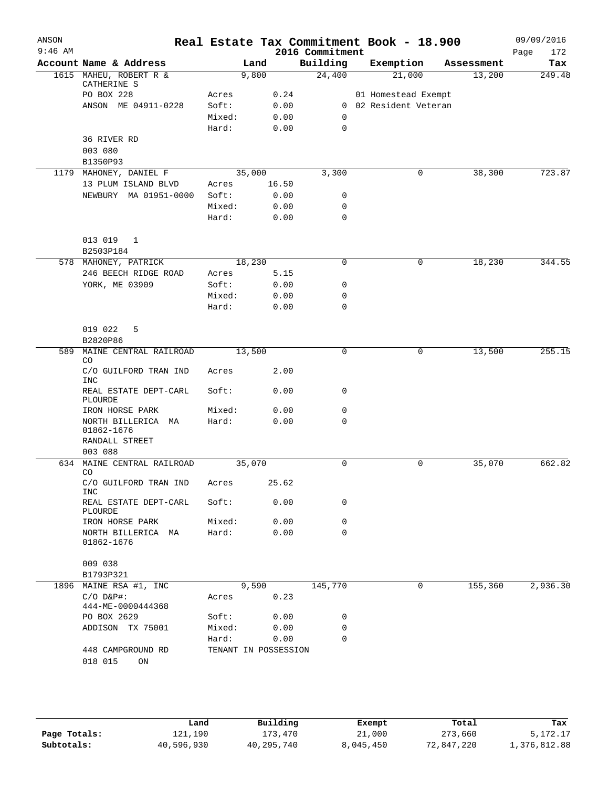| ANSON<br>$9:46$ AM |                                    |        |                      | 2016 Commitment | Real Estate Tax Commitment Book - 18.900 |            | 09/09/2016<br>172<br>Page |
|--------------------|------------------------------------|--------|----------------------|-----------------|------------------------------------------|------------|---------------------------|
|                    | Account Name & Address             |        | Land                 | Building        | Exemption                                | Assessment | Tax                       |
|                    | 1615 MAHEU, ROBERT R &             |        | 9,800                | 24,400          | 21,000                                   | 13,200     | 249.48                    |
|                    | CATHERINE S<br>PO BOX 228          | Acres  | 0.24                 |                 | 01 Homestead Exempt                      |            |                           |
|                    | ANSON ME 04911-0228                | Soft:  | 0.00                 |                 | 0 02 Resident Veteran                    |            |                           |
|                    |                                    | Mixed: | 0.00                 | $\Omega$        |                                          |            |                           |
|                    |                                    | Hard:  | 0.00                 | 0               |                                          |            |                           |
|                    | 36 RIVER RD                        |        |                      |                 |                                          |            |                           |
|                    | 003 080                            |        |                      |                 |                                          |            |                           |
|                    | B1350P93                           |        |                      |                 |                                          |            |                           |
|                    | 1179 MAHONEY, DANIEL F             |        | 35,000               | 3,300           | 0                                        | 38,300     | 723.87                    |
|                    | 13 PLUM ISLAND BLVD                | Acres  | 16.50                |                 |                                          |            |                           |
|                    | NEWBURY MA 01951-0000              | Soft:  | 0.00                 | 0               |                                          |            |                           |
|                    |                                    | Mixed: | 0.00                 | 0               |                                          |            |                           |
|                    |                                    | Hard:  | 0.00                 | $\mathbf 0$     |                                          |            |                           |
|                    |                                    |        |                      |                 |                                          |            |                           |
|                    | 013 019<br>1<br>B2503P184          |        |                      |                 |                                          |            |                           |
|                    | 578 MAHONEY, PATRICK               |        | 18,230               | 0               | 0                                        | 18,230     | 344.55                    |
|                    | 246 BEECH RIDGE ROAD               | Acres  | 5.15                 |                 |                                          |            |                           |
|                    | YORK, ME 03909                     | Soft:  | 0.00                 | 0               |                                          |            |                           |
|                    |                                    | Mixed: | 0.00                 | 0               |                                          |            |                           |
|                    |                                    | Hard:  | 0.00                 | 0               |                                          |            |                           |
|                    |                                    |        |                      |                 |                                          |            |                           |
|                    | 019 022<br>5                       |        |                      |                 |                                          |            |                           |
|                    | B2820P86                           |        |                      |                 |                                          |            |                           |
| 589                | MAINE CENTRAL RAILROAD<br>CO       |        | 13,500               | 0               | 0                                        | 13,500     | 255.15                    |
|                    | C/O GUILFORD TRAN IND              | Acres  | 2.00                 |                 |                                          |            |                           |
|                    | <b>INC</b>                         |        |                      |                 |                                          |            |                           |
|                    | REAL ESTATE DEPT-CARL              | Soft:  | 0.00                 | 0               |                                          |            |                           |
|                    | PLOURDE<br>IRON HORSE PARK         | Mixed: | 0.00                 | 0               |                                          |            |                           |
|                    | NORTH BILLERICA MA                 | Hard:  | 0.00                 | 0               |                                          |            |                           |
|                    | 01862-1676                         |        |                      |                 |                                          |            |                           |
|                    | RANDALL STREET                     |        |                      |                 |                                          |            |                           |
|                    | 003 088                            |        |                      |                 |                                          |            |                           |
| 634                | MAINE CENTRAL RAILROAD             |        | 35,070               | 0               | 0                                        | 35,070     | 662.82                    |
|                    | CO                                 |        |                      |                 |                                          |            |                           |
|                    | C/O GUILFORD TRAN IND Acres<br>INC |        | 25.62                |                 |                                          |            |                           |
|                    | REAL ESTATE DEPT-CARL              | Soft:  | 0.00                 | 0               |                                          |            |                           |
|                    | PLOURDE                            |        |                      |                 |                                          |            |                           |
|                    | IRON HORSE PARK                    | Mixed: | 0.00                 | 0               |                                          |            |                           |
|                    | NORTH BILLERICA MA<br>01862-1676   | Hard:  | 0.00                 | 0               |                                          |            |                           |
|                    |                                    |        |                      |                 |                                          |            |                           |
|                    | 009 038<br>B1793P321               |        |                      |                 |                                          |            |                           |
|                    | 1896 MAINE RSA #1, INC             |        | 9,590                | 145,770         | 0                                        | 155,360    | 2,936.30                  |
|                    | $C/O$ $D\&P$ #:                    | Acres  | 0.23                 |                 |                                          |            |                           |
|                    | 444-ME-0000444368                  |        |                      |                 |                                          |            |                           |
|                    | PO BOX 2629                        | Soft:  | 0.00                 | 0               |                                          |            |                           |
|                    | ADDISON TX 75001                   | Mixed: | 0.00                 | 0               |                                          |            |                           |
|                    |                                    | Hard:  | 0.00                 | 0               |                                          |            |                           |
|                    | 448 CAMPGROUND RD                  |        | TENANT IN POSSESSION |                 |                                          |            |                           |
|                    | 018 015<br>ON                      |        |                      |                 |                                          |            |                           |

|              | Land       | Building   | Exempt    | Total      | Tax          |
|--------------|------------|------------|-----------|------------|--------------|
| Page Totals: | 121,190    | 173,470    | 21,000    | 273,660    | 5,172.17     |
| Subtotals:   | 40,596,930 | 40,295,740 | 8,045,450 | 72,847,220 | 1,376,812.88 |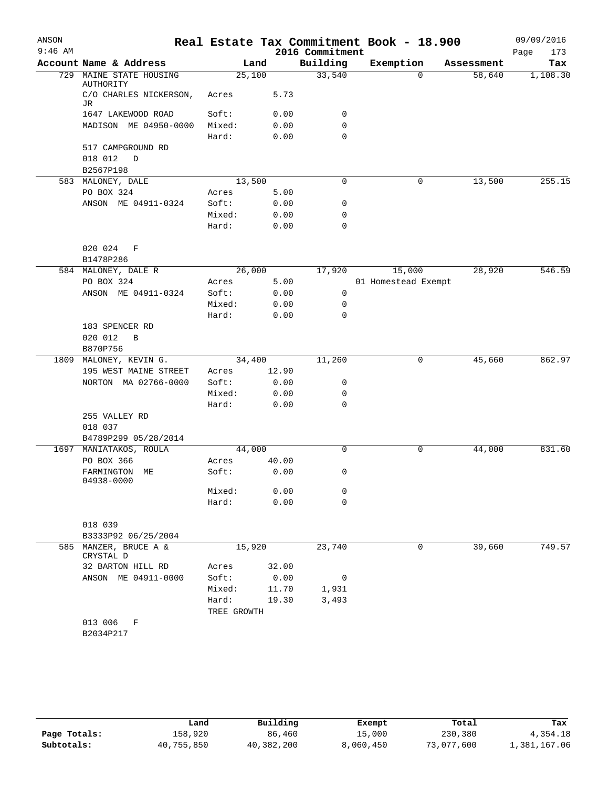| ANSON     |                                  |             |        |                 | Real Estate Tax Commitment Book - 18.900 |                    | 09/09/2016  |
|-----------|----------------------------------|-------------|--------|-----------------|------------------------------------------|--------------------|-------------|
| $9:46$ AM |                                  |             |        | 2016 Commitment |                                          |                    | 173<br>Page |
|           | Account Name & Address           |             | Land   | Building        | Exemption                                | Assessment         | Tax         |
| 729       | MAINE STATE HOUSING<br>AUTHORITY | 25,100      |        | 33,540          |                                          | 58,640<br>$\Omega$ | 1,108.30    |
|           | C/O CHARLES NICKERSON,<br>JR     | Acres       | 5.73   |                 |                                          |                    |             |
|           | 1647 LAKEWOOD ROAD               | Soft:       | 0.00   | 0               |                                          |                    |             |
|           | MADISON ME 04950-0000            | Mixed:      | 0.00   | 0               |                                          |                    |             |
|           |                                  | Hard:       | 0.00   | $\mathbf 0$     |                                          |                    |             |
|           | 517 CAMPGROUND RD                |             |        |                 |                                          |                    |             |
|           | 018 012<br>D                     |             |        |                 |                                          |                    |             |
|           | B2567P198                        |             |        |                 |                                          |                    |             |
|           | 583 MALONEY, DALE                | 13,500      |        | $\mathbf 0$     |                                          | 0<br>13,500        | 255.15      |
|           | PO BOX 324                       | Acres       | 5.00   |                 |                                          |                    |             |
|           | ANSON ME 04911-0324              | Soft:       | 0.00   | 0               |                                          |                    |             |
|           |                                  | Mixed:      | 0.00   | 0               |                                          |                    |             |
|           |                                  | Hard:       | 0.00   | $\mathbf 0$     |                                          |                    |             |
|           | 020 024<br>F                     |             |        |                 |                                          |                    |             |
|           | B1478P286                        |             |        |                 |                                          |                    |             |
|           | 584 MALONEY, DALE R              |             | 26,000 | 17,920          | 15,000                                   | 28,920             | 546.59      |
|           | PO BOX 324                       | Acres       | 5.00   |                 | 01 Homestead Exempt                      |                    |             |
|           | ANSON ME 04911-0324              | Soft:       | 0.00   | 0               |                                          |                    |             |
|           |                                  | Mixed:      | 0.00   | 0               |                                          |                    |             |
|           |                                  | Hard:       | 0.00   | 0               |                                          |                    |             |
|           | 183 SPENCER RD                   |             |        |                 |                                          |                    |             |
|           | 020 012<br>$\, {\bf B}$          |             |        |                 |                                          |                    |             |
|           | B870P756                         |             |        |                 |                                          |                    |             |
| 1809      | MALONEY, KEVIN G.                |             | 34,400 | 11,260          |                                          | 0<br>45,660        | 862.97      |
|           | 195 WEST MAINE STREET            | Acres       | 12.90  |                 |                                          |                    |             |
|           | NORTON MA 02766-0000             | Soft:       | 0.00   | 0               |                                          |                    |             |
|           |                                  | Mixed:      | 0.00   | 0               |                                          |                    |             |
|           |                                  | Hard:       | 0.00   | 0               |                                          |                    |             |
|           | 255 VALLEY RD                    |             |        |                 |                                          |                    |             |
|           | 018 037                          |             |        |                 |                                          |                    |             |
|           | B4789P299 05/28/2014             |             |        |                 |                                          |                    |             |
| 1697      | MANIATAKOS, ROULA                |             | 44,000 | $\mathbf 0$     |                                          | 0<br>44,000        | 831.60      |
|           | PO BOX 366                       | Acres       | 40.00  |                 |                                          |                    |             |
|           | FARMINGTON ME<br>04938-0000      | Soft:       | 0.00   | 0               |                                          |                    |             |
|           |                                  | Mixed:      | 0.00   | 0               |                                          |                    |             |
|           |                                  | Hard:       | 0.00   | 0               |                                          |                    |             |
|           | 018 039<br>B3333P92 06/25/2004   |             |        |                 |                                          |                    |             |
|           | 585 MANZER, BRUCE A &            | 15,920      |        | 23,740          |                                          | 39,660<br>0        | 749.57      |
|           | CRYSTAL D                        |             |        |                 |                                          |                    |             |
|           | 32 BARTON HILL RD                | Acres       | 32.00  |                 |                                          |                    |             |
|           | ANSON ME 04911-0000              | Soft:       | 0.00   | 0               |                                          |                    |             |
|           |                                  | Mixed:      | 11.70  | 1,931           |                                          |                    |             |
|           |                                  | Hard:       | 19.30  | 3,493           |                                          |                    |             |
|           | 013 006<br>F                     | TREE GROWTH |        |                 |                                          |                    |             |
|           | B2034P217                        |             |        |                 |                                          |                    |             |
|           |                                  |             |        |                 |                                          |                    |             |

|              | Land       | Building   | Exempt    | Total      | Tax          |
|--------------|------------|------------|-----------|------------|--------------|
| Page Totals: | 158,920    | 86,460     | 15,000    | 230,380    | 4,354.18     |
| Subtotals:   | 40,755,850 | 40,382,200 | 8,060,450 | 73,077,600 | 1,381,167.06 |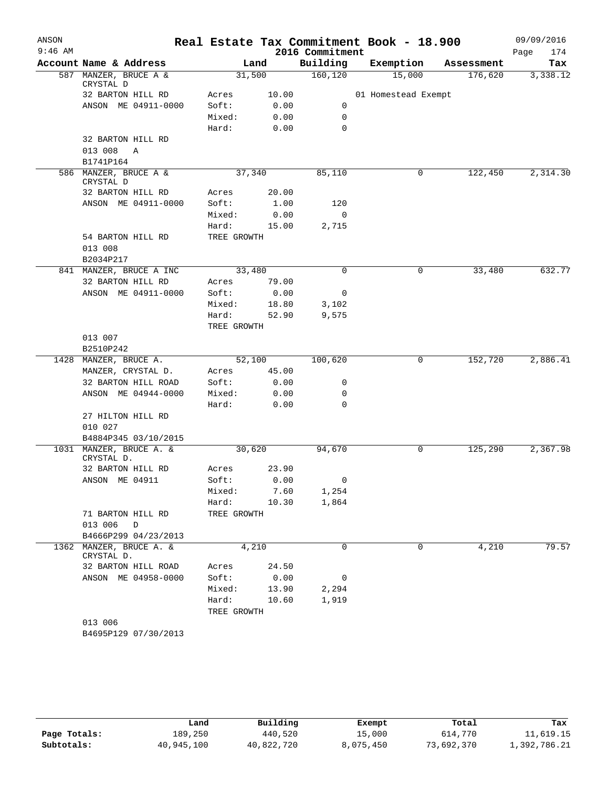| ANSON     |                                       |             |       |                 | Real Estate Tax Commitment Book - 18.900 |            | 09/09/2016  |
|-----------|---------------------------------------|-------------|-------|-----------------|------------------------------------------|------------|-------------|
| $9:46$ AM |                                       |             |       | 2016 Commitment |                                          |            | 174<br>Page |
|           | Account Name & Address                |             | Land  | Building        | Exemption                                | Assessment | Tax         |
|           | 587 MANZER, BRUCE A &<br>CRYSTAL D    | 31,500      |       | 160, 120        | 15,000                                   | 176,620    | 3,338.12    |
|           | 32 BARTON HILL RD                     | Acres       | 10.00 |                 | 01 Homestead Exempt                      |            |             |
|           | ANSON ME 04911-0000                   | Soft:       | 0.00  | 0               |                                          |            |             |
|           |                                       | Mixed:      | 0.00  | $\mathbf 0$     |                                          |            |             |
|           |                                       | Hard:       | 0.00  | 0               |                                          |            |             |
|           | 32 BARTON HILL RD                     |             |       |                 |                                          |            |             |
|           | 013 008<br>Α                          |             |       |                 |                                          |            |             |
|           | B1741P164                             |             |       |                 |                                          |            |             |
|           | 586 MANZER, BRUCE A &<br>CRYSTAL D    | 37,340      |       | 85,110          | 0                                        | 122,450    | 2,314.30    |
|           | 32 BARTON HILL RD                     | Acres       | 20.00 |                 |                                          |            |             |
|           | ANSON ME 04911-0000                   | Soft:       | 1.00  | 120             |                                          |            |             |
|           |                                       | Mixed:      | 0.00  | 0               |                                          |            |             |
|           |                                       | Hard:       | 15.00 | 2,715           |                                          |            |             |
|           | 54 BARTON HILL RD<br>013 008          | TREE GROWTH |       |                 |                                          |            |             |
|           | B2034P217                             |             |       |                 |                                          |            |             |
|           | 841 MANZER, BRUCE A INC               | 33,480      |       | $\mathbf 0$     | 0                                        | 33,480     | 632.77      |
|           | 32 BARTON HILL RD                     | Acres       | 79.00 |                 |                                          |            |             |
|           | ANSON ME 04911-0000                   | Soft:       | 0.00  | 0               |                                          |            |             |
|           |                                       | Mixed:      | 18.80 | 3,102           |                                          |            |             |
|           |                                       | Hard:       | 52.90 | 9,575           |                                          |            |             |
|           |                                       | TREE GROWTH |       |                 |                                          |            |             |
|           | 013 007                               |             |       |                 |                                          |            |             |
|           | B2510P242                             |             |       |                 |                                          |            |             |
| 1428      | MANZER, BRUCE A.                      | 52,100      |       | 100,620         | 0                                        | 152,720    | 2,886.41    |
|           | MANZER, CRYSTAL D.                    | Acres       | 45.00 |                 |                                          |            |             |
|           | 32 BARTON HILL ROAD                   | Soft:       | 0.00  | 0               |                                          |            |             |
|           | ANSON ME 04944-0000                   | Mixed:      | 0.00  | 0               |                                          |            |             |
|           |                                       | Hard:       | 0.00  | $\mathbf 0$     |                                          |            |             |
|           | 27 HILTON HILL RD                     |             |       |                 |                                          |            |             |
|           | 010 027                               |             |       |                 |                                          |            |             |
|           | B4884P345 03/10/2015                  |             |       |                 |                                          |            |             |
|           | 1031 MANZER, BRUCE A. &<br>CRYSTAL D. | 30,620      |       | 94,670          | 0                                        | 125,290    | 2,367.98    |
|           | 32 BARTON HILL RD                     | Acres       | 23.90 |                 |                                          |            |             |
|           | ANSON ME 04911                        | Soft:       | 0.00  | 0               |                                          |            |             |
|           |                                       | Mixed: 7.60 |       | 1,254           |                                          |            |             |
|           |                                       | Hard: 10.30 |       | 1,864           |                                          |            |             |
|           | 71 BARTON HILL RD                     | TREE GROWTH |       |                 |                                          |            |             |
|           | 013 006 D                             |             |       |                 |                                          |            |             |
|           | B4666P299 04/23/2013                  |             |       |                 |                                          |            |             |
|           | 1362 MANZER, BRUCE A. &<br>CRYSTAL D. |             | 4,210 | 0               | 0                                        | 4,210      | 79.57       |
|           | 32 BARTON HILL ROAD                   | Acres       | 24.50 |                 |                                          |            |             |
|           | ANSON ME 04958-0000                   | Soft:       | 0.00  | 0               |                                          |            |             |
|           |                                       | Mixed:      | 13.90 | 2,294           |                                          |            |             |
|           |                                       | Hard:       | 10.60 | 1,919           |                                          |            |             |
|           |                                       | TREE GROWTH |       |                 |                                          |            |             |
|           | 013 006                               |             |       |                 |                                          |            |             |
|           | B4695P129 07/30/2013                  |             |       |                 |                                          |            |             |

|              | Land       | Building   | Exempt    | Total      | Tax          |
|--------------|------------|------------|-----------|------------|--------------|
| Page Totals: | 189,250    | 440,520    | 15,000    | 614,770    | 11,619.15    |
| Subtotals:   | 40,945,100 | 40,822,720 | 8,075,450 | 73,692,370 | 1,392,786.21 |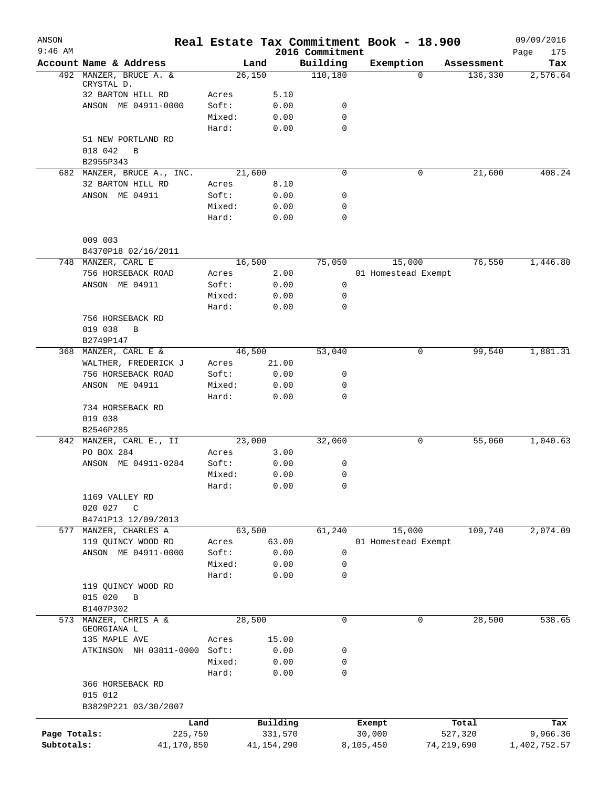| ANSON<br>$9:46$ AM |                                            |                |               | 2016 Commitment |           | Real Estate Tax Commitment Book - 18.900 |            | 09/09/2016<br>Page<br>175 |
|--------------------|--------------------------------------------|----------------|---------------|-----------------|-----------|------------------------------------------|------------|---------------------------|
|                    | Account Name & Address                     | Land           |               | Building        |           | Exemption                                | Assessment | Tax                       |
|                    | 492 MANZER, BRUCE A. &                     | 26,150         |               | 110,180         |           | $\Omega$                                 | 136,330    | 2,576.64                  |
|                    | CRYSTAL D.<br>32 BARTON HILL RD            | Acres          | 5.10          |                 |           |                                          |            |                           |
|                    | ANSON ME 04911-0000                        | Soft:          | 0.00          | 0               |           |                                          |            |                           |
|                    |                                            | Mixed:         | 0.00          | 0               |           |                                          |            |                           |
|                    |                                            | Hard:          | 0.00          | $\mathbf 0$     |           |                                          |            |                           |
|                    | 51 NEW PORTLAND RD                         |                |               |                 |           |                                          |            |                           |
|                    | 018 042<br>B                               |                |               |                 |           |                                          |            |                           |
|                    | B2955P343                                  |                |               |                 |           |                                          |            |                           |
|                    | 682 MANZER, BRUCE A., INC.                 | 21,600         |               | 0               |           | 0                                        | 21,600     | 408.24                    |
|                    | 32 BARTON HILL RD                          | Acres          | 8.10          |                 |           |                                          |            |                           |
|                    | ANSON ME 04911                             | Soft:          | 0.00          | 0               |           |                                          |            |                           |
|                    |                                            | Mixed:         | 0.00          | $\mathbf 0$     |           |                                          |            |                           |
|                    |                                            | Hard:          | 0.00          | $\mathbf 0$     |           |                                          |            |                           |
|                    |                                            |                |               |                 |           |                                          |            |                           |
|                    | 009 003                                    |                |               |                 |           |                                          |            |                           |
|                    | B4370P18 02/16/2011                        |                |               |                 |           |                                          |            |                           |
|                    | 748 MANZER, CARL E                         | 16,500         |               | 75,050          |           | 15,000                                   | 76,550     | 1,446.80                  |
|                    | 756 HORSEBACK ROAD                         | Acres          | 2.00          |                 |           | 01 Homestead Exempt                      |            |                           |
|                    | ANSON ME 04911                             | Soft:          | 0.00          | 0               |           |                                          |            |                           |
|                    |                                            | Mixed:         | 0.00          | 0               |           |                                          |            |                           |
|                    |                                            | Hard:          | 0.00          | $\mathbf 0$     |           |                                          |            |                           |
|                    | 756 HORSEBACK RD                           |                |               |                 |           |                                          |            |                           |
|                    | 019 038<br>B                               |                |               |                 |           |                                          |            |                           |
|                    | B2749P147                                  |                |               |                 |           |                                          |            |                           |
|                    | 368 MANZER, CARL E &                       | 46,500         |               | 53,040          |           | 0                                        | 99,540     | 1,881.31                  |
|                    | WALTHER, FREDERICK J<br>756 HORSEBACK ROAD | Acres<br>Soft: | 21.00<br>0.00 | 0               |           |                                          |            |                           |
|                    | ANSON ME 04911                             | Mixed:         | 0.00          | 0               |           |                                          |            |                           |
|                    |                                            | Hard:          | 0.00          | $\mathbf 0$     |           |                                          |            |                           |
|                    | 734 HORSEBACK RD                           |                |               |                 |           |                                          |            |                           |
|                    | 019 038                                    |                |               |                 |           |                                          |            |                           |
|                    | B2546P285                                  |                |               |                 |           |                                          |            |                           |
|                    | 842 MANZER, CARL E., II                    | 23,000         |               | 32,060          |           | 0                                        | 55,060     | 1,040.63                  |
|                    | PO BOX 284                                 | Acres          | 3.00          |                 |           |                                          |            |                           |
|                    | ANSON ME 04911-0284                        | Soft:          | 0.00          | 0               |           |                                          |            |                           |
|                    |                                            | Mixed:         | 0.00          | 0               |           |                                          |            |                           |
|                    |                                            | Hard:          | 0.00          | 0               |           |                                          |            |                           |
|                    | 1169 VALLEY RD                             |                |               |                 |           |                                          |            |                           |
|                    | 020 027<br>C                               |                |               |                 |           |                                          |            |                           |
|                    | B4741P13 12/09/2013                        |                |               |                 |           |                                          |            |                           |
|                    | 577 MANZER, CHARLES A                      | 63,500         |               | 61,240          |           | 15,000                                   | 109,740    | 2,074.09                  |
|                    | 119 QUINCY WOOD RD                         | Acres          | 63.00         |                 |           | 01 Homestead Exempt                      |            |                           |
|                    | ANSON ME 04911-0000                        | Soft:          | 0.00          | $\mathbf 0$     |           |                                          |            |                           |
|                    |                                            | Mixed:         | 0.00          | 0               |           |                                          |            |                           |
|                    |                                            | Hard:          | 0.00          | $\mathbf 0$     |           |                                          |            |                           |
|                    | 119 QUINCY WOOD RD                         |                |               |                 |           |                                          |            |                           |
|                    | 015 020<br>B                               |                |               |                 |           |                                          |            |                           |
|                    | B1407P302                                  |                |               |                 |           |                                          |            |                           |
| 573                | MANZER, CHRIS A &<br>GEORGIANA L           | 28,500         |               | $\mathbf 0$     |           | 0                                        | 28,500     | 538.65                    |
|                    | 135 MAPLE AVE                              | Acres          | 15.00         |                 |           |                                          |            |                           |
|                    | ATKINSON NH 03811-0000 Soft:               |                | 0.00          | 0               |           |                                          |            |                           |
|                    |                                            | Mixed:         | 0.00          | 0               |           |                                          |            |                           |
|                    |                                            | Hard:          | 0.00          | $\mathbf 0$     |           |                                          |            |                           |
|                    | 366 HORSEBACK RD                           |                |               |                 |           |                                          |            |                           |
|                    | 015 012                                    |                |               |                 |           |                                          |            |                           |
|                    | B3829P221 03/30/2007                       |                |               |                 |           |                                          |            |                           |
|                    | Land                                       |                | Building      |                 | Exempt    |                                          | Total      | Tax                       |
| Page Totals:       | 225,750                                    |                | 331,570       |                 | 30,000    |                                          | 527,320    | 9,966.36                  |
| Subtotals:         | 41,170,850                                 |                | 41, 154, 290  |                 | 8,105,450 | 74, 219, 690                             |            | 1,402,752.57              |
|                    |                                            |                |               |                 |           |                                          |            |                           |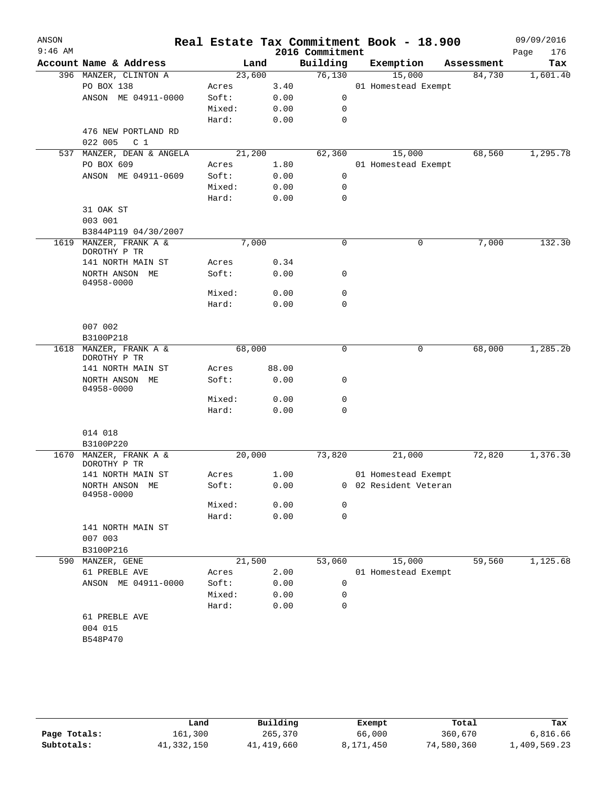| ANSON     |                                                  |        |       |                 | Real Estate Tax Commitment Book - 18.900 |            | 09/09/2016  |
|-----------|--------------------------------------------------|--------|-------|-----------------|------------------------------------------|------------|-------------|
| $9:46$ AM |                                                  |        |       | 2016 Commitment |                                          |            | 176<br>Page |
|           | Account Name & Address                           | Land   |       | Building        | Exemption                                | Assessment | Tax         |
|           | 396 MANZER, CLINTON A                            | 23,600 |       | 76,130          | 15,000                                   | 84,730     | 1,601.40    |
|           | PO BOX 138                                       | Acres  | 3.40  |                 | 01 Homestead Exempt                      |            |             |
|           | ANSON ME 04911-0000                              | Soft:  | 0.00  | 0               |                                          |            |             |
|           |                                                  | Mixed: | 0.00  | 0               |                                          |            |             |
|           |                                                  | Hard:  | 0.00  | 0               |                                          |            |             |
|           | 476 NEW PORTLAND RD<br>022 005<br>C <sub>1</sub> |        |       |                 |                                          |            |             |
|           | 537 MANZER, DEAN & ANGELA                        | 21,200 |       | 62,360          | 15,000                                   | 68,560     | 1,295.78    |
|           | PO BOX 609                                       | Acres  | 1.80  |                 | 01 Homestead Exempt                      |            |             |
|           | ANSON ME 04911-0609                              | Soft:  | 0.00  | 0               |                                          |            |             |
|           |                                                  | Mixed: | 0.00  | 0               |                                          |            |             |
|           |                                                  | Hard:  | 0.00  | 0               |                                          |            |             |
|           | 31 OAK ST                                        |        |       |                 |                                          |            |             |
|           | 003 001                                          |        |       |                 |                                          |            |             |
|           | B3844P119 04/30/2007                             |        |       |                 |                                          |            |             |
|           | 1619 MANZER, FRANK A &<br>DOROTHY P TR           | 7,000  |       | 0               | 0                                        | 7,000      | 132.30      |
|           | 141 NORTH MAIN ST                                | Acres  | 0.34  |                 |                                          |            |             |
|           | NORTH ANSON ME<br>04958-0000                     | Soft:  | 0.00  | 0               |                                          |            |             |
|           |                                                  | Mixed: | 0.00  | 0               |                                          |            |             |
|           |                                                  | Hard:  | 0.00  | 0               |                                          |            |             |
|           | 007 002                                          |        |       |                 |                                          |            |             |
|           | B3100P218                                        |        |       |                 |                                          |            |             |
| 1618      | MANZER, FRANK A &<br>DOROTHY P TR                | 68,000 |       | $\mathbf 0$     | 0                                        | 68,000     | 1,285.20    |
|           | 141 NORTH MAIN ST                                | Acres  | 88.00 |                 |                                          |            |             |
|           | NORTH ANSON ME<br>04958-0000                     | Soft:  | 0.00  | 0               |                                          |            |             |
|           |                                                  | Mixed: | 0.00  | 0               |                                          |            |             |
|           |                                                  | Hard:  | 0.00  | 0               |                                          |            |             |
|           | 014 018                                          |        |       |                 |                                          |            |             |
|           | B3100P220                                        |        |       |                 |                                          |            | 1,376.30    |
| 1670      | MANZER, FRANK A &<br>DOROTHY P TR                | 20,000 |       | 73,820          | 21,000                                   | 72,820     |             |
|           | 141 NORTH MAIN ST                                | Acres  | 1.00  |                 | 01 Homestead Exempt                      |            |             |
|           | NORTH ANSON ME<br>04958-0000                     | Soft:  | 0.00  |                 | 0 02 Resident Veteran                    |            |             |
|           |                                                  | Mixed: | 0.00  | 0               |                                          |            |             |
|           |                                                  | Hard:  | 0.00  | $\mathbf 0$     |                                          |            |             |
|           | 141 NORTH MAIN ST                                |        |       |                 |                                          |            |             |
|           | 007 003                                          |        |       |                 |                                          |            |             |
|           | B3100P216                                        |        |       |                 |                                          |            |             |
| 590       | MANZER, GENE                                     | 21,500 |       | 53,060          | 15,000                                   | 59,560     | 1,125.68    |
|           | 61 PREBLE AVE                                    | Acres  | 2.00  |                 | 01 Homestead Exempt                      |            |             |
|           | ANSON ME 04911-0000                              | Soft:  | 0.00  | 0               |                                          |            |             |
|           |                                                  | Mixed: | 0.00  | 0               |                                          |            |             |
|           |                                                  | Hard:  | 0.00  | $\mathbf 0$     |                                          |            |             |
|           | 61 PREBLE AVE                                    |        |       |                 |                                          |            |             |
|           | 004 015                                          |        |       |                 |                                          |            |             |
|           | B548P470                                         |        |       |                 |                                          |            |             |
|           |                                                  |        |       |                 |                                          |            |             |
|           |                                                  |        |       |                 |                                          |            |             |

|              | Land       | Building   | Exempt    | Total      | Tax          |
|--------------|------------|------------|-----------|------------|--------------|
| Page Totals: | 161,300    | 265,370    | 66,000    | 360,670    | 6,816.66     |
| Subtotals:   | 41,332,150 | 41,419,660 | 8,171,450 | 74,580,360 | 1,409,569.23 |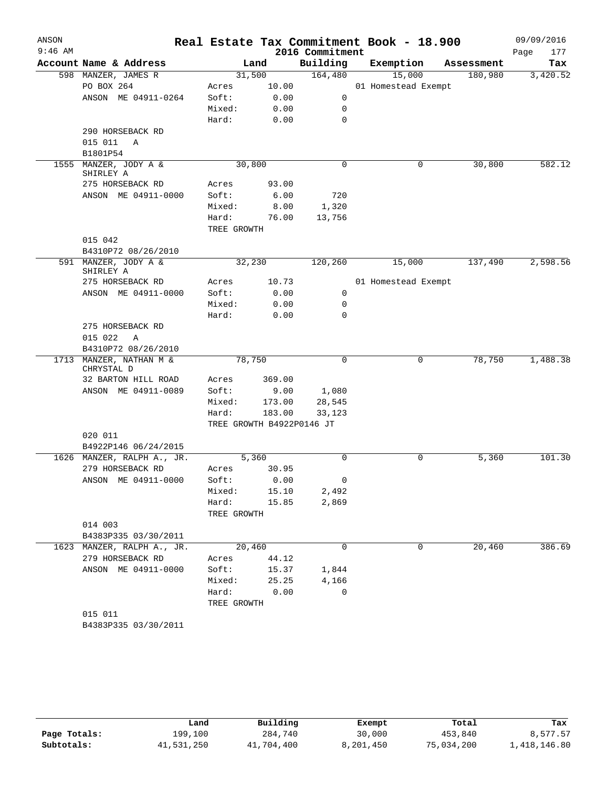| ANSON<br>$9:46$ AM |                                   |             |        |                             | Real Estate Tax Commitment Book - 18.900 |            | 09/09/2016         |
|--------------------|-----------------------------------|-------------|--------|-----------------------------|------------------------------------------|------------|--------------------|
|                    | Account Name & Address            |             | Land   | 2016 Commitment<br>Building | Exemption                                | Assessment | Page<br>177<br>Tax |
|                    | 598 MANZER, JAMES R               | 31,500      |        | 164,480                     | 15,000                                   | 180,980    | 3,420.52           |
|                    | PO BOX 264                        | Acres       | 10.00  |                             | 01 Homestead Exempt                      |            |                    |
|                    | ANSON ME 04911-0264               | Soft:       | 0.00   | 0                           |                                          |            |                    |
|                    |                                   | Mixed:      | 0.00   | 0                           |                                          |            |                    |
|                    |                                   | Hard:       | 0.00   | 0                           |                                          |            |                    |
|                    | 290 HORSEBACK RD                  |             |        |                             |                                          |            |                    |
|                    | 015 011<br>Α                      |             |        |                             |                                          |            |                    |
|                    | B1801P54                          |             |        |                             |                                          |            |                    |
| 1555               | MANZER, JODY A &                  | 30,800      |        | 0                           | 0                                        | 30,800     | 582.12             |
|                    | SHIRLEY A                         |             |        |                             |                                          |            |                    |
|                    | 275 HORSEBACK RD                  | Acres       | 93.00  |                             |                                          |            |                    |
|                    | ANSON ME 04911-0000               | Soft:       | 6.00   | 720                         |                                          |            |                    |
|                    |                                   | Mixed:      | 8.00   | 1,320                       |                                          |            |                    |
|                    |                                   | Hard:       | 76.00  | 13,756                      |                                          |            |                    |
|                    |                                   | TREE GROWTH |        |                             |                                          |            |                    |
|                    | 015 042                           |             |        |                             |                                          |            |                    |
|                    | B4310P72 08/26/2010               |             |        |                             |                                          |            |                    |
|                    | 591 MANZER, JODY A &<br>SHIRLEY A |             | 32,230 | 120,260                     | 15,000                                   | 137,490    | 2,598.56           |
|                    | 275 HORSEBACK RD                  | Acres       | 10.73  |                             | 01 Homestead Exempt                      |            |                    |
|                    | ANSON ME 04911-0000               | Soft:       | 0.00   | 0                           |                                          |            |                    |
|                    |                                   | Mixed:      | 0.00   | 0                           |                                          |            |                    |
|                    |                                   | Hard:       | 0.00   | $\Omega$                    |                                          |            |                    |
|                    | 275 HORSEBACK RD                  |             |        |                             |                                          |            |                    |
|                    | 015 022<br>Α                      |             |        |                             |                                          |            |                    |
|                    | B4310P72 08/26/2010               |             |        |                             |                                          |            |                    |
|                    | 1713 MANZER, NATHAN M &           | 78,750      |        | 0                           | 0                                        | 78,750     | 1,488.38           |
|                    | CHRYSTAL D<br>32 BARTON HILL ROAD | Acres       | 369.00 |                             |                                          |            |                    |
|                    | ANSON ME 04911-0089               | Soft:       | 9.00   | 1,080                       |                                          |            |                    |
|                    |                                   | Mixed:      | 173.00 | 28,545                      |                                          |            |                    |
|                    |                                   | Hard:       | 183.00 | 33,123                      |                                          |            |                    |
|                    |                                   |             |        | TREE GROWTH B4922P0146 JT   |                                          |            |                    |
|                    | 020 011                           |             |        |                             |                                          |            |                    |
|                    | B4922P146 06/24/2015              |             |        |                             |                                          |            |                    |
|                    | 1626 MANZER, RALPH A., JR.        |             | 5,360  | $\mathbf 0$                 | 0                                        | 5,360      | 101.30             |
|                    | 279 HORSEBACK RD                  | Acres       | 30.95  |                             |                                          |            |                    |
|                    | ANSON ME 04911-0000               | Soft:       | 0.00   | 0                           |                                          |            |                    |
|                    |                                   | Mixed:      | 15.10  | 2,492                       |                                          |            |                    |
|                    |                                   | Hard:       | 15.85  | 2,869                       |                                          |            |                    |
|                    |                                   | TREE GROWTH |        |                             |                                          |            |                    |
|                    | 014 003                           |             |        |                             |                                          |            |                    |
|                    | B4383P335 03/30/2011              |             |        |                             |                                          |            |                    |
|                    | 1623 MANZER, RALPH A., JR.        |             | 20,460 | $\mathbf 0$                 | 0                                        | 20,460     | 386.69             |
|                    | 279 HORSEBACK RD                  | Acres       | 44.12  |                             |                                          |            |                    |
|                    | ANSON ME 04911-0000               | Soft:       | 15.37  | 1,844                       |                                          |            |                    |
|                    |                                   | Mixed:      | 25.25  | 4,166                       |                                          |            |                    |
|                    |                                   | Hard:       | 0.00   | 0                           |                                          |            |                    |
|                    |                                   | TREE GROWTH |        |                             |                                          |            |                    |
|                    | 015 011<br>B4383P335 03/30/2011   |             |        |                             |                                          |            |                    |
|                    |                                   |             |        |                             |                                          |            |                    |

|              | Land       | Building   | Exempt    | Total      | Tax          |
|--------------|------------|------------|-----------|------------|--------------|
| Page Totals: | 199,100    | 284,740    | 30,000    | 453,840    | 8,577.57     |
| Subtotals:   | 41,531,250 | 41,704,400 | 8,201,450 | 75,034,200 | 1,418,146.80 |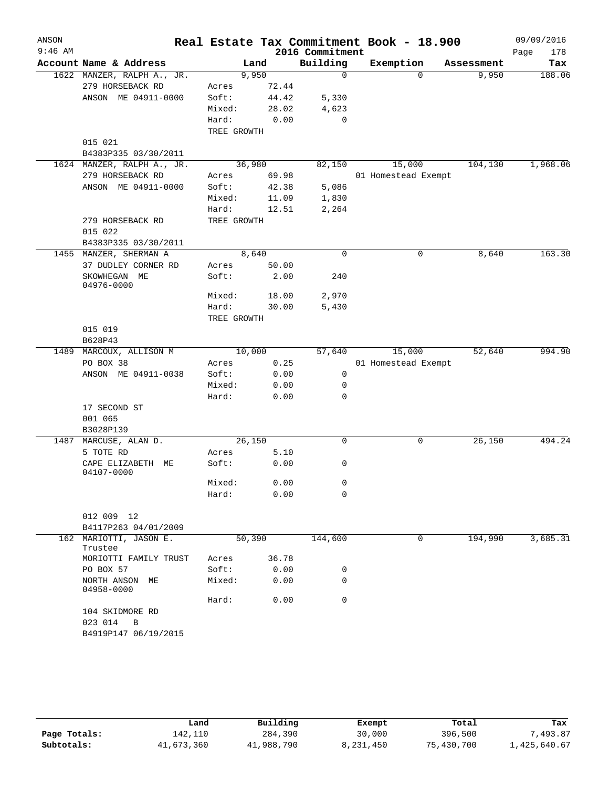| ANSON     |                                                |             |       |                             | Real Estate Tax Commitment Book - 18.900 |          |            | 09/09/2016         |
|-----------|------------------------------------------------|-------------|-------|-----------------------------|------------------------------------------|----------|------------|--------------------|
| $9:46$ AM | Account Name & Address                         |             | Land  | 2016 Commitment<br>Building | Exemption                                |          | Assessment | Page<br>178<br>Tax |
|           | 1622 MANZER, RALPH A., JR.                     |             | 9,950 | $\mathbf 0$                 |                                          | $\Omega$ | 9,950      | 188.06             |
|           | 279 HORSEBACK RD                               | Acres       | 72.44 |                             |                                          |          |            |                    |
|           | ANSON ME 04911-0000                            | Soft:       | 44.42 | 5,330                       |                                          |          |            |                    |
|           |                                                | Mixed:      | 28.02 | 4,623                       |                                          |          |            |                    |
|           |                                                | Hard:       | 0.00  | $\mathbf 0$                 |                                          |          |            |                    |
|           |                                                | TREE GROWTH |       |                             |                                          |          |            |                    |
|           | 015 021                                        |             |       |                             |                                          |          |            |                    |
|           | B4383P335 03/30/2011                           |             |       |                             |                                          |          |            |                    |
|           | 1624 MANZER, RALPH A., JR.                     | 36,980      |       | 82,150                      | 15,000                                   |          | 104,130    | 1,968.06           |
|           | 279 HORSEBACK RD                               | Acres       | 69.98 |                             | 01 Homestead Exempt                      |          |            |                    |
|           | ANSON ME 04911-0000                            | Soft:       | 42.38 | 5,086                       |                                          |          |            |                    |
|           |                                                | Mixed:      | 11.09 | 1,830                       |                                          |          |            |                    |
|           |                                                | Hard:       | 12.51 | 2,264                       |                                          |          |            |                    |
|           | 279 HORSEBACK RD                               | TREE GROWTH |       |                             |                                          |          |            |                    |
|           | 015 022                                        |             |       |                             |                                          |          |            |                    |
|           | B4383P335 03/30/2011                           |             |       |                             |                                          |          |            |                    |
|           | 1455 MANZER, SHERMAN A                         |             | 8,640 | $\mathbf 0$                 |                                          | 0        | 8,640      | 163.30             |
|           | 37 DUDLEY CORNER RD                            | Acres       | 50.00 |                             |                                          |          |            |                    |
|           | SKOWHEGAN ME<br>04976-0000                     | Soft:       | 2.00  | 240                         |                                          |          |            |                    |
|           |                                                | Mixed:      | 18.00 | 2,970                       |                                          |          |            |                    |
|           |                                                | Hard:       | 30.00 | 5,430                       |                                          |          |            |                    |
|           |                                                | TREE GROWTH |       |                             |                                          |          |            |                    |
|           | 015 019                                        |             |       |                             |                                          |          |            |                    |
|           | B628P43                                        |             |       |                             |                                          |          |            |                    |
|           | 1489 MARCOUX, ALLISON M                        | 10,000      |       | 57,640                      | 15,000                                   |          | 52,640     | 994.90             |
|           | PO BOX 38                                      | Acres       | 0.25  |                             | 01 Homestead Exempt                      |          |            |                    |
|           | ANSON ME 04911-0038                            | Soft:       | 0.00  | $\mathbf 0$                 |                                          |          |            |                    |
|           |                                                | Mixed:      | 0.00  | $\mathbf 0$                 |                                          |          |            |                    |
|           |                                                | Hard:       | 0.00  | $\mathbf 0$                 |                                          |          |            |                    |
|           | 17 SECOND ST                                   |             |       |                             |                                          |          |            |                    |
|           | 001 065                                        |             |       |                             |                                          |          |            |                    |
|           | B3028P139                                      |             |       |                             |                                          |          |            |                    |
|           | 1487 MARCUSE, ALAN D.                          | 26,150      |       | $\mathbf 0$                 |                                          | 0        | 26,150     | 494.24             |
|           | 5 TOTE RD                                      | Acres       | 5.10  |                             |                                          |          |            |                    |
|           | CAPE ELIZABETH<br>MЕ<br>04107-0000             | Soft:       | 0.00  | 0                           |                                          |          |            |                    |
|           |                                                | Mixed:      | 0.00  | 0                           |                                          |          |            |                    |
|           |                                                | Hard:       | 0.00  | 0                           |                                          |          |            |                    |
|           |                                                |             |       |                             |                                          |          |            |                    |
|           | 012 009 12                                     |             |       |                             |                                          |          |            |                    |
|           | B4117P263 04/01/2009<br>162 MARIOTTI, JASON E. | 50,390      |       | 144,600                     |                                          | 0        | 194,990    | 3,685.31           |
|           | Trustee                                        |             |       |                             |                                          |          |            |                    |
|           | MORIOTTI FAMILY TRUST                          | Acres       | 36.78 |                             |                                          |          |            |                    |
|           | PO BOX 57                                      | Soft:       | 0.00  | 0                           |                                          |          |            |                    |
|           | NORTH ANSON ME<br>04958-0000                   | Mixed:      | 0.00  | $\mathbf 0$                 |                                          |          |            |                    |
|           |                                                | Hard:       | 0.00  | $\mathbf 0$                 |                                          |          |            |                    |
|           | 104 SKIDMORE RD                                |             |       |                             |                                          |          |            |                    |
|           | 023 014<br>B                                   |             |       |                             |                                          |          |            |                    |
|           | B4919P147 06/19/2015                           |             |       |                             |                                          |          |            |                    |
|           |                                                |             |       |                             |                                          |          |            |                    |

|              | Land       | Building   | Exempt    | Total      | Tax          |
|--------------|------------|------------|-----------|------------|--------------|
| Page Totals: | 142,110    | 284,390    | 30,000    | 396,500    | .493.87      |
| Subtotals:   | 41,673,360 | 41,988,790 | 8,231,450 | 75,430,700 | 1,425,640.67 |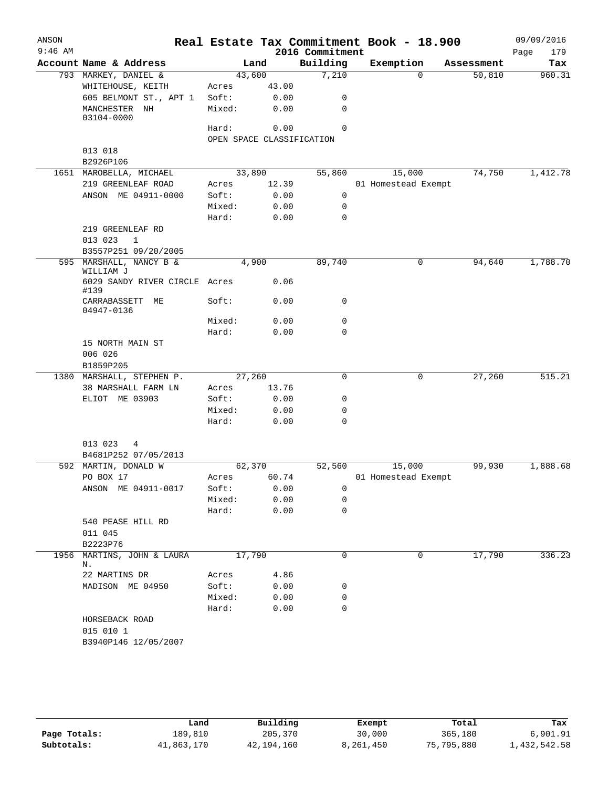| ANSON<br>$9:46$ AM |                                       |                           |               | 2016 Commitment | Real Estate Tax Commitment Book - 18.900 |            | 09/09/2016<br>Page<br>179 |
|--------------------|---------------------------------------|---------------------------|---------------|-----------------|------------------------------------------|------------|---------------------------|
|                    | Account Name & Address                |                           | Land          | Building        | Exemption                                | Assessment | Tax                       |
|                    | 793 MARKEY, DANIEL &                  | 43,600                    |               | 7,210           | $\Omega$                                 | 50,810     | 960.31                    |
|                    | WHITEHOUSE, KEITH                     | Acres                     | 43.00         |                 |                                          |            |                           |
|                    | 605 BELMONT ST., APT 1                | Soft:                     | 0.00          | 0               |                                          |            |                           |
|                    | MANCHESTER NH<br>03104-0000           | Mixed:                    | 0.00          | 0               |                                          |            |                           |
|                    |                                       | Hard:                     | 0.00          | $\Omega$        |                                          |            |                           |
|                    |                                       | OPEN SPACE CLASSIFICATION |               |                 |                                          |            |                           |
|                    | 013 018                               |                           |               |                 |                                          |            |                           |
|                    | B2926P106                             |                           |               |                 |                                          |            |                           |
|                    | 1651 MAROBELLA, MICHAEL               | 33,890                    |               | 55,860          | 15,000                                   | 74,750     | 1,412.78                  |
|                    | 219 GREENLEAF ROAD                    | Acres                     | 12.39         |                 | 01 Homestead Exempt                      |            |                           |
|                    | ANSON ME 04911-0000                   | Soft:                     | 0.00          | $\mathbf 0$     |                                          |            |                           |
|                    |                                       | Mixed:                    | 0.00          | 0               |                                          |            |                           |
|                    |                                       | Hard:                     | 0.00          | $\mathbf 0$     |                                          |            |                           |
|                    | 219 GREENLEAF RD                      |                           |               |                 |                                          |            |                           |
|                    | 013 023<br>$\mathbf{1}$               |                           |               |                 |                                          |            |                           |
|                    | B3557P251 09/20/2005                  |                           |               |                 |                                          |            |                           |
|                    | 595 MARSHALL, NANCY B &<br>WILLIAM J  | 4,900                     |               | 89,740          | 0                                        | 94,640     | 1,788.70                  |
|                    | 6029 SANDY RIVER CIRCLE Acres<br>#139 |                           | 0.06          |                 |                                          |            |                           |
|                    | CARRABASSETT<br>МE<br>04947-0136      | Soft:                     | 0.00          | 0               |                                          |            |                           |
|                    |                                       | Mixed:                    | 0.00          | 0               |                                          |            |                           |
|                    |                                       | Hard:                     | 0.00          | $\mathbf 0$     |                                          |            |                           |
|                    | 15 NORTH MAIN ST                      |                           |               |                 |                                          |            |                           |
|                    | 006 026                               |                           |               |                 |                                          |            |                           |
|                    | B1859P205                             |                           |               |                 |                                          |            |                           |
|                    | 1380 MARSHALL, STEPHEN P.             | 27,260                    |               | 0               | 0                                        | 27,260     | 515.21                    |
|                    | 38 MARSHALL FARM LN<br>ELIOT ME 03903 | Acres<br>Soft:            | 13.76<br>0.00 | 0               |                                          |            |                           |
|                    |                                       | Mixed:                    | 0.00          | 0               |                                          |            |                           |
|                    |                                       | Hard:                     | 0.00          | $\mathbf 0$     |                                          |            |                           |
|                    |                                       |                           |               |                 |                                          |            |                           |
|                    | 013 023<br>4                          |                           |               |                 |                                          |            |                           |
|                    | B4681P252 07/05/2013                  |                           |               |                 |                                          |            |                           |
|                    | 592 MARTIN, DONALD W                  | 62,370                    |               | 52,560          | 15,000                                   | 99,930     | 1,888.68                  |
|                    | PO BOX 17<br>ANSON ME 04911-0017      | Acres                     | 60.74         |                 | 01 Homestead Exempt                      |            |                           |
|                    |                                       | Soft:<br>Mixed:           | 0.00<br>0.00  | 0<br>0          |                                          |            |                           |
|                    |                                       | Hard:                     | 0.00          | 0               |                                          |            |                           |
|                    | 540 PEASE HILL RD                     |                           |               |                 |                                          |            |                           |
|                    | 011 045                               |                           |               |                 |                                          |            |                           |
|                    | B2223P76                              |                           |               |                 |                                          |            |                           |
|                    | 1956 MARTINS, JOHN & LAURA            | 17,790                    |               | 0               | 0                                        | 17,790     | 336.23                    |
|                    | Ν.                                    |                           |               |                 |                                          |            |                           |
|                    | 22 MARTINS DR                         | Acres                     | 4.86          |                 |                                          |            |                           |
|                    | MADISON ME 04950                      | Soft:                     | 0.00          | 0               |                                          |            |                           |
|                    |                                       | Mixed:                    | 0.00          | 0               |                                          |            |                           |
|                    |                                       | Hard:                     | 0.00          | 0               |                                          |            |                           |
|                    | HORSEBACK ROAD<br>015 010 1           |                           |               |                 |                                          |            |                           |
|                    | B3940P146 12/05/2007                  |                           |               |                 |                                          |            |                           |

|              | Land       | Building   | Exempt    | Total      | Tax          |
|--------------|------------|------------|-----------|------------|--------------|
| Page Totals: | 189,810    | 205,370    | 30,000    | 365,180    | 6,901.91     |
| Subtotals:   | 41,863,170 | 42,194,160 | 8,261,450 | 75,795,880 | 1,432,542.58 |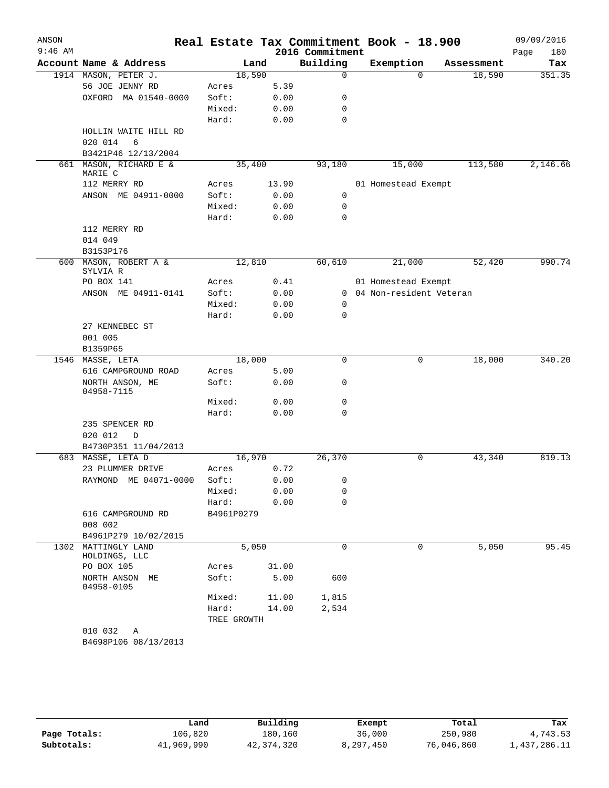| ANSON     |                                      |             |       |                 | Real Estate Tax Commitment Book - 18.900 |            | 09/09/2016  |
|-----------|--------------------------------------|-------------|-------|-----------------|------------------------------------------|------------|-------------|
| $9:46$ AM |                                      |             |       | 2016 Commitment |                                          |            | Page<br>180 |
|           | Account Name & Address               |             | Land  | Building        | Exemption                                | Assessment | Tax         |
|           | 1914 MASON, PETER J.                 | 18,590      |       | 0               | $\Omega$                                 | 18,590     | 351.35      |
|           | 56 JOE JENNY RD                      | Acres       | 5.39  |                 |                                          |            |             |
|           | OXFORD MA 01540-0000                 | Soft:       | 0.00  | 0               |                                          |            |             |
|           |                                      | Mixed:      | 0.00  | 0               |                                          |            |             |
|           |                                      | Hard:       | 0.00  | 0               |                                          |            |             |
|           | HOLLIN WAITE HILL RD<br>6            |             |       |                 |                                          |            |             |
|           | 020 014<br>B3421P46 12/13/2004       |             |       |                 |                                          |            |             |
| 661       | MASON, RICHARD E &                   | 35,400      |       | 93,180          | 15,000                                   | 113,580    | 2,146.66    |
|           | MARIE C                              |             |       |                 |                                          |            |             |
|           | 112 MERRY RD                         | Acres       | 13.90 |                 | 01 Homestead Exempt                      |            |             |
|           | ANSON ME 04911-0000                  | Soft:       | 0.00  | $\mathbf 0$     |                                          |            |             |
|           |                                      | Mixed:      | 0.00  | $\mathbf 0$     |                                          |            |             |
|           |                                      | Hard:       | 0.00  | 0               |                                          |            |             |
|           | 112 MERRY RD                         |             |       |                 |                                          |            |             |
|           | 014 049                              |             |       |                 |                                          |            |             |
|           | B3153P176<br>600 MASON, ROBERT A &   |             |       |                 |                                          | 52,420     | 990.74      |
|           | SYLVIA R                             | 12,810      |       | 60,610          | 21,000                                   |            |             |
|           | PO BOX 141                           | Acres       | 0.41  |                 | 01 Homestead Exempt                      |            |             |
|           | ANSON ME 04911-0141                  | Soft:       | 0.00  | 0               | 04 Non-resident Veteran                  |            |             |
|           |                                      | Mixed:      | 0.00  | 0               |                                          |            |             |
|           |                                      | Hard:       | 0.00  | 0               |                                          |            |             |
|           | 27 KENNEBEC ST                       |             |       |                 |                                          |            |             |
|           | 001 005                              |             |       |                 |                                          |            |             |
|           | B1359P65                             |             |       |                 |                                          |            |             |
| 1546      | MASSE, LETA                          | 18,000      |       | 0               | 0                                        | 18,000     | 340.20      |
|           | 616 CAMPGROUND ROAD                  | Acres       | 5.00  |                 |                                          |            |             |
|           | NORTH ANSON, ME<br>04958-7115        | Soft:       | 0.00  | 0               |                                          |            |             |
|           |                                      | Mixed:      | 0.00  | 0               |                                          |            |             |
|           |                                      | Hard:       | 0.00  | 0               |                                          |            |             |
|           | 235 SPENCER RD                       |             |       |                 |                                          |            |             |
|           | 020 012<br>$\mathbb D$               |             |       |                 |                                          |            |             |
|           | B4730P351 11/04/2013                 |             |       |                 |                                          |            |             |
| 683       | MASSE, LETA D                        | 16,970      |       | 26,370          | 0                                        | 43,340     | 819.13      |
|           | 23 PLUMMER DRIVE                     | Acres       | 0.72  |                 |                                          |            |             |
|           | RAYMOND ME 04071-0000                | Soft:       | 0.00  | 0               |                                          |            |             |
|           |                                      | Mixed:      | 0.00  | 0               |                                          |            |             |
|           |                                      | Hard:       | 0.00  | 0               |                                          |            |             |
|           | 616 CAMPGROUND RD                    | B4961P0279  |       |                 |                                          |            |             |
|           | 008 002                              |             |       |                 |                                          |            |             |
|           | B4961P279 10/02/2015                 |             |       |                 |                                          |            |             |
|           | 1302 MATTINGLY LAND<br>HOLDINGS, LLC |             | 5,050 | $\mathbf 0$     | 0                                        | 5,050      | 95.45       |
|           | PO BOX 105                           | Acres       | 31.00 |                 |                                          |            |             |
|           | NORTH ANSON ME<br>04958-0105         | Soft:       | 5.00  | 600             |                                          |            |             |
|           |                                      | Mixed:      | 11.00 | 1,815           |                                          |            |             |
|           |                                      | Hard:       | 14.00 | 2,534           |                                          |            |             |
|           |                                      | TREE GROWTH |       |                 |                                          |            |             |
|           | 010 032<br>Α                         |             |       |                 |                                          |            |             |
|           | B4698P106 08/13/2013                 |             |       |                 |                                          |            |             |

|              | Land       | Building   | Exempt    | Total      | Tax          |
|--------------|------------|------------|-----------|------------|--------------|
| Page Totals: | 106,820    | 180.160    | 36,000    | 250,980    | 4,743.53     |
| Subtotals:   | 41,969,990 | 42,374,320 | 8.297.450 | 76,046,860 | 1,437,286.11 |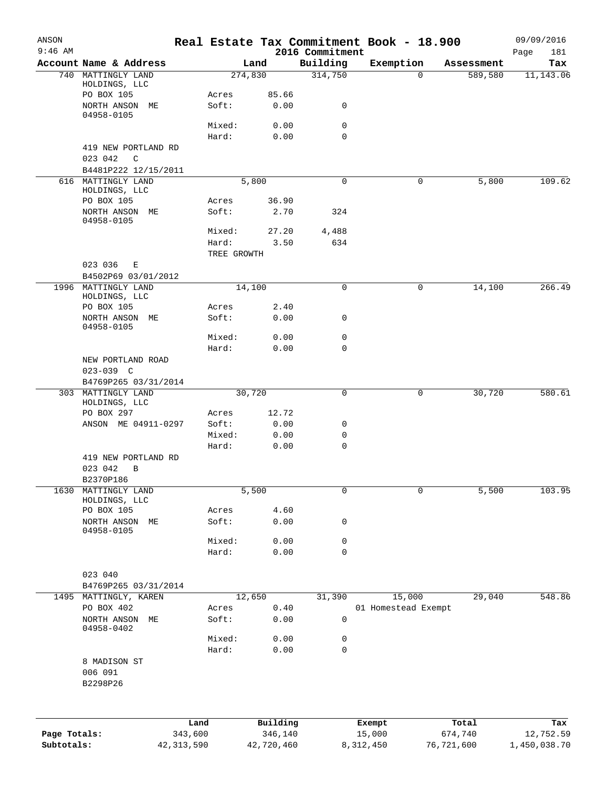| ANSON        |                                            |              |                 |               |                             | Real Estate Tax Commitment Book - 18.900 |              |            | 09/09/2016         |
|--------------|--------------------------------------------|--------------|-----------------|---------------|-----------------------------|------------------------------------------|--------------|------------|--------------------|
| $9:46$ AM    | Account Name & Address                     |              |                 | Land          | 2016 Commitment<br>Building | Exemption                                |              | Assessment | Page<br>181<br>Tax |
|              | 740 MATTINGLY LAND                         |              |                 | 274,830       | 314,750                     |                                          | 0            | 589,580    | 11,143.06          |
|              | HOLDINGS, LLC                              |              |                 |               |                             |                                          |              |            |                    |
|              | PO BOX 105<br>NORTH ANSON ME               |              | Acres<br>Soft:  | 85.66<br>0.00 | 0                           |                                          |              |            |                    |
|              | 04958-0105                                 |              |                 |               |                             |                                          |              |            |                    |
|              |                                            |              | Mixed:          | 0.00          | 0                           |                                          |              |            |                    |
|              |                                            |              | Hard:           | 0.00          | $\mathbf 0$                 |                                          |              |            |                    |
|              | 419 NEW PORTLAND RD                        |              |                 |               |                             |                                          |              |            |                    |
|              | 023 042<br>C<br>B4481P222 12/15/2011       |              |                 |               |                             |                                          |              |            |                    |
|              | 616 MATTINGLY LAND                         |              |                 | 5,800         | $\mathbf 0$                 |                                          | 0            | 5,800      | 109.62             |
|              | HOLDINGS, LLC                              |              |                 |               |                             |                                          |              |            |                    |
|              | PO BOX 105                                 |              | Acres           | 36.90         |                             |                                          |              |            |                    |
|              | NORTH ANSON ME<br>04958-0105               |              | Soft:           | 2.70          | 324                         |                                          |              |            |                    |
|              |                                            |              | Mixed:          | 27.20         | 4,488                       |                                          |              |            |                    |
|              |                                            |              | Hard:           | 3.50          | 634                         |                                          |              |            |                    |
|              |                                            |              | TREE GROWTH     |               |                             |                                          |              |            |                    |
|              | 023 036<br>Е                               |              |                 |               |                             |                                          |              |            |                    |
|              | B4502P69 03/01/2012<br>1996 MATTINGLY LAND |              |                 | 14,100        | $\mathsf{O}$                |                                          | 0            | 14,100     | 266.49             |
|              | HOLDINGS, LLC                              |              |                 |               |                             |                                          |              |            |                    |
|              | PO BOX 105                                 |              | Acres           | 2.40          |                             |                                          |              |            |                    |
|              | NORTH ANSON ME<br>04958-0105               |              | Soft:           | 0.00          | 0                           |                                          |              |            |                    |
|              |                                            |              | Mixed:          | 0.00          | $\mathbf 0$                 |                                          |              |            |                    |
|              |                                            |              | Hard:           | 0.00          | $\mathbf 0$                 |                                          |              |            |                    |
|              | NEW PORTLAND ROAD                          |              |                 |               |                             |                                          |              |            |                    |
|              | $023 - 039$ C                              |              |                 |               |                             |                                          |              |            |                    |
|              | B4769P265 03/31/2014                       |              |                 |               |                             |                                          |              |            |                    |
| 303          | MATTINGLY LAND<br>HOLDINGS, LLC            |              |                 | 30,720        | $\mathbf 0$                 |                                          | 0            | 30,720     | 580.61             |
|              | PO BOX 297                                 |              | Acres           | 12.72         |                             |                                          |              |            |                    |
|              | ANSON ME 04911-0297                        |              | Soft:           | 0.00          | 0                           |                                          |              |            |                    |
|              |                                            |              | Mixed:          | 0.00          | 0                           |                                          |              |            |                    |
|              |                                            |              | Hard:           | 0.00          | $\mathbf 0$                 |                                          |              |            |                    |
|              | 419 NEW PORTLAND RD<br>023 042<br>B        |              |                 |               |                             |                                          |              |            |                    |
|              | B2370P186                                  |              |                 |               |                             |                                          |              |            |                    |
| 1630         | MATTINGLY LAND                             |              |                 | 5,500         | $\mathsf{O}$                |                                          | $\mathsf{O}$ | 5,500      | 103.95             |
|              | HOLDINGS, LLC                              |              |                 |               |                             |                                          |              |            |                    |
|              | PO BOX 105<br>NORTH ANSON ME               |              | Acres<br>Soft:  | 4.60<br>0.00  | 0                           |                                          |              |            |                    |
|              | 04958-0105                                 |              |                 |               |                             |                                          |              |            |                    |
|              |                                            |              | Mixed:          | 0.00          | 0                           |                                          |              |            |                    |
|              |                                            |              | Hard:           | 0.00          | $\mathbf 0$                 |                                          |              |            |                    |
|              |                                            |              |                 |               |                             |                                          |              |            |                    |
|              | 023 040<br>B4769P265 03/31/2014            |              |                 |               |                             |                                          |              |            |                    |
|              | 1495 MATTINGLY, KAREN                      |              |                 | 12,650        | 31,390                      | 15,000                                   |              | 29,040     | 548.86             |
|              | PO BOX 402                                 |              | Acres           | 0.40          |                             | 01 Homestead Exempt                      |              |            |                    |
|              | NORTH ANSON ME                             |              | Soft:           | 0.00          | $\mathsf 0$                 |                                          |              |            |                    |
|              | 04958-0402                                 |              |                 |               |                             |                                          |              |            |                    |
|              |                                            |              | Mixed:<br>Hard: | 0.00<br>0.00  | 0<br>$\mathbf 0$            |                                          |              |            |                    |
|              | 8 MADISON ST                               |              |                 |               |                             |                                          |              |            |                    |
|              | 006 091                                    |              |                 |               |                             |                                          |              |            |                    |
|              | B2298P26                                   |              |                 |               |                             |                                          |              |            |                    |
|              |                                            |              |                 |               |                             |                                          |              |            |                    |
|              |                                            | Land         |                 | Building      |                             | Exempt                                   |              | Total      | Tax                |
| Page Totals: |                                            | 343,600      |                 | 346,140       |                             | 15,000                                   | 674,740      |            | 12,752.59          |
| Subtotals:   |                                            | 42, 313, 590 |                 | 42,720,460    |                             | 8,312,450                                | 76,721,600   |            | 1,450,038.70       |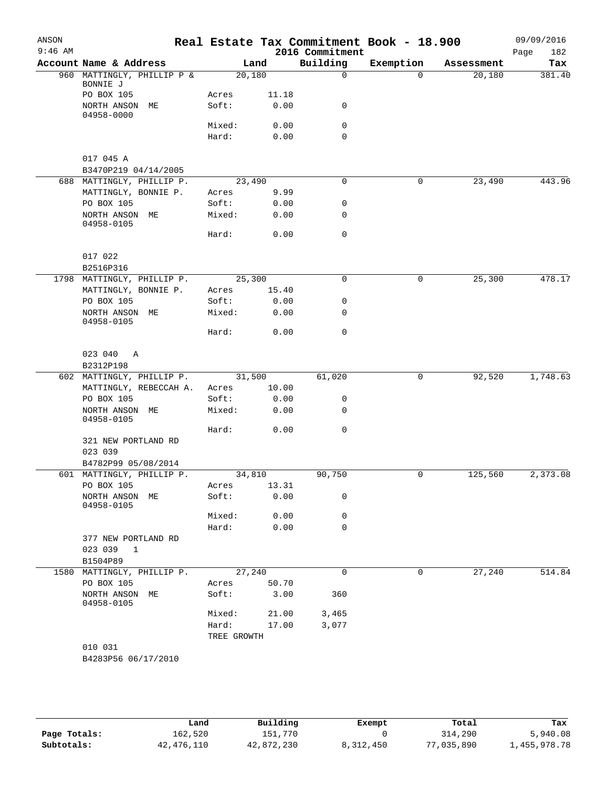| ANSON<br>$9:46$ AM |                                        |             |        | 2016 Commitment | Real Estate Tax Commitment Book - 18.900 |            | 09/09/2016<br>Page<br>182 |
|--------------------|----------------------------------------|-------------|--------|-----------------|------------------------------------------|------------|---------------------------|
|                    | Account Name & Address                 |             | Land   | Building        | Exemption                                | Assessment | Tax                       |
|                    | 960 MATTINGLY, PHILLIP P &<br>BONNIE J | 20,180      |        | $\mathbf 0$     | $\Omega$                                 | 20,180     | 381.40                    |
|                    | PO BOX 105                             | Acres       | 11.18  |                 |                                          |            |                           |
|                    | NORTH ANSON ME<br>04958-0000           | Soft:       | 0.00   | 0               |                                          |            |                           |
|                    |                                        | Mixed:      | 0.00   | 0               |                                          |            |                           |
|                    |                                        | Hard:       | 0.00   | $\mathbf 0$     |                                          |            |                           |
|                    | 017 045 A                              |             |        |                 |                                          |            |                           |
|                    | B3470P219 04/14/2005                   |             |        |                 |                                          |            |                           |
|                    | 688 MATTINGLY, PHILLIP P.              |             | 23,490 | 0               | 0                                        | 23,490     | 443.96                    |
|                    | MATTINGLY, BONNIE P.                   | Acres       | 9.99   |                 |                                          |            |                           |
|                    | PO BOX 105                             | Soft:       | 0.00   | 0               |                                          |            |                           |
|                    | NORTH ANSON ME<br>04958-0105           | Mixed:      | 0.00   | 0               |                                          |            |                           |
|                    |                                        | Hard:       | 0.00   | $\mathbf 0$     |                                          |            |                           |
|                    | 017 022                                |             |        |                 |                                          |            |                           |
|                    | B2516P316                              |             |        |                 |                                          |            |                           |
|                    | 1798 MATTINGLY, PHILLIP P.             | 25,300      |        | 0               | 0                                        | 25,300     | 478.17                    |
|                    | MATTINGLY, BONNIE P.                   | Acres       | 15.40  |                 |                                          |            |                           |
|                    | PO BOX 105                             | Soft:       | 0.00   | 0               |                                          |            |                           |
|                    | NORTH ANSON ME<br>04958-0105           | Mixed:      | 0.00   | 0               |                                          |            |                           |
|                    |                                        | Hard:       | 0.00   | $\mathbf 0$     |                                          |            |                           |
|                    | 023 040<br>A                           |             |        |                 |                                          |            |                           |
|                    | B2312P198                              |             |        |                 |                                          |            |                           |
|                    | 602 MATTINGLY, PHILLIP P.              |             | 31,500 | 61,020          | 0                                        | 92,520     | 1,748.63                  |
|                    | MATTINGLY, REBECCAH A.                 | Acres       | 10.00  |                 |                                          |            |                           |
|                    | PO BOX 105                             | Soft:       | 0.00   | 0               |                                          |            |                           |
|                    | NORTH ANSON ME<br>04958-0105           | Mixed:      | 0.00   | 0               |                                          |            |                           |
|                    |                                        | Hard:       | 0.00   | $\mathbf 0$     |                                          |            |                           |
|                    | 321 NEW PORTLAND RD<br>023 039         |             |        |                 |                                          |            |                           |
|                    | B4782P99 05/08/2014                    |             |        |                 |                                          |            |                           |
|                    | 601 MATTINGLY, PHILLIP P.              | 34,810      |        | 90,750          | 0                                        | 125,560    | 2,373.08                  |
|                    | PO BOX 105                             | Acres       | 13.31  |                 |                                          |            |                           |
|                    | NORTH ANSON<br>МE<br>04958-0105        | Soft:       | 0.00   | 0               |                                          |            |                           |
|                    |                                        | Mixed:      | 0.00   | 0               |                                          |            |                           |
|                    |                                        | Hard:       | 0.00   | 0               |                                          |            |                           |
|                    | 377 NEW PORTLAND RD<br>023 039<br>1    |             |        |                 |                                          |            |                           |
|                    | B1504P89                               |             |        |                 |                                          |            |                           |
|                    | 1580 MATTINGLY, PHILLIP P.             |             | 27,240 | $\mathbf 0$     | 0                                        | 27,240     | 514.84                    |
|                    | PO BOX 105                             | Acres       | 50.70  |                 |                                          |            |                           |
|                    | NORTH ANSON ME                         | Soft:       | 3.00   | 360             |                                          |            |                           |
|                    | 04958-0105                             | Mixed:      | 21.00  | 3,465           |                                          |            |                           |
|                    |                                        | Hard:       | 17.00  | 3,077           |                                          |            |                           |
|                    |                                        | TREE GROWTH |        |                 |                                          |            |                           |
|                    | 010 031                                |             |        |                 |                                          |            |                           |
|                    | B4283P56 06/17/2010                    |             |        |                 |                                          |            |                           |

|              | Land       | Building   | Exempt    | Total      | Tax          |
|--------------|------------|------------|-----------|------------|--------------|
| Page Totals: | 162,520    | 151.770    |           | 314,290    | 5,940.08     |
| Subtotals:   | 42,476,110 | 42,872,230 | 8,312,450 | 77,035,890 | 1,455,978.78 |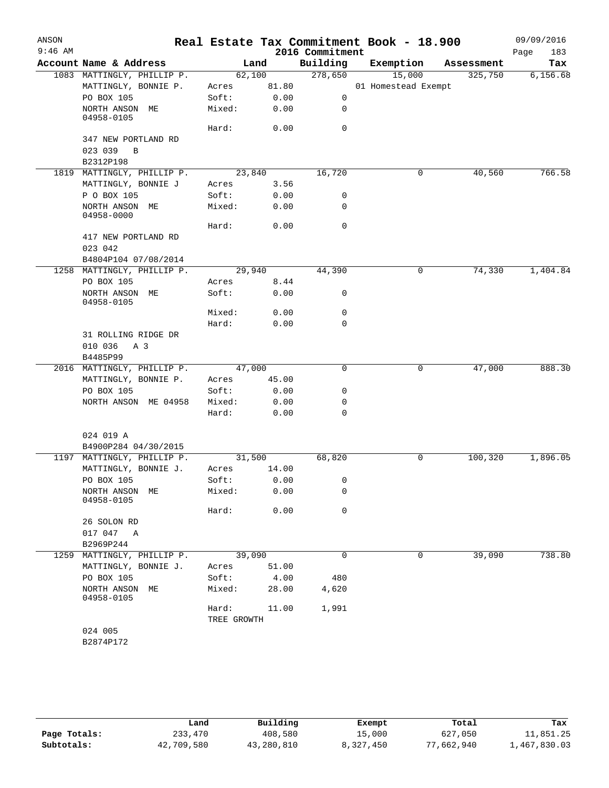| ANSON     |                                                   |                      |        |                 | Real Estate Tax Commitment Book - 18.900 |            | 09/09/2016  |
|-----------|---------------------------------------------------|----------------------|--------|-----------------|------------------------------------------|------------|-------------|
| $9:46$ AM |                                                   |                      |        | 2016 Commitment |                                          |            | Page<br>183 |
|           | Account Name & Address                            |                      | Land   | Building        | Exemption                                | Assessment | Tax         |
|           | 1083 MATTINGLY, PHILLIP P.                        |                      | 62,100 | 278,650         | 15,000                                   | 325,750    | 6,156.68    |
|           | MATTINGLY, BONNIE P.                              | Acres                | 81.80  |                 | 01 Homestead Exempt                      |            |             |
|           | PO BOX 105                                        | Soft:                | 0.00   | $\mathbf 0$     |                                          |            |             |
|           | NORTH ANSON ME<br>04958-0105                      | Mixed:               | 0.00   | 0               |                                          |            |             |
|           |                                                   | Hard:                | 0.00   | 0               |                                          |            |             |
|           | 347 NEW PORTLAND RD                               |                      |        |                 |                                          |            |             |
|           | 023 039<br>$\overline{B}$                         |                      |        |                 |                                          |            |             |
|           | B2312P198                                         |                      |        |                 |                                          |            |             |
|           | 1819 MATTINGLY, PHILLIP P.                        |                      | 23,840 | 16,720          | 0                                        | 40,560     | 766.58      |
|           | MATTINGLY, BONNIE J                               | Acres                | 3.56   |                 |                                          |            |             |
|           | P O BOX 105                                       | Soft:                | 0.00   | 0               |                                          |            |             |
|           | NORTH ANSON ME<br>04958-0000                      | Mixed:               | 0.00   | 0               |                                          |            |             |
|           |                                                   | Hard:                | 0.00   | $\mathbf 0$     |                                          |            |             |
|           | 417 NEW PORTLAND RD                               |                      |        |                 |                                          |            |             |
|           | 023 042                                           |                      |        |                 |                                          |            |             |
|           | B4804P104 07/08/2014                              |                      |        |                 |                                          |            |             |
|           | 1258 MATTINGLY, PHILLIP P.                        |                      | 29,940 | 44,390          | 0                                        | 74,330     | 1,404.84    |
|           | PO BOX 105                                        | Acres                | 8.44   |                 |                                          |            |             |
|           | NORTH ANSON ME<br>04958-0105                      | Soft:                | 0.00   | 0               |                                          |            |             |
|           |                                                   | Mixed:               | 0.00   | $\mathbf 0$     |                                          |            |             |
|           |                                                   | Hard:                | 0.00   | 0               |                                          |            |             |
|           | 31 ROLLING RIDGE DR<br>010 036<br>A 3<br>B4485P99 |                      |        |                 |                                          |            |             |
|           | 2016 MATTINGLY, PHILLIP P.                        |                      | 47,000 | 0               | 0                                        | 47,000     | 888.30      |
|           | MATTINGLY, BONNIE P.                              | Acres                | 45.00  |                 |                                          |            |             |
|           | PO BOX 105                                        | Soft:                | 0.00   | 0               |                                          |            |             |
|           | NORTH ANSON ME 04958                              | Mixed:               | 0.00   | 0               |                                          |            |             |
|           |                                                   | Hard:                | 0.00   | 0               |                                          |            |             |
|           | 024 019 A                                         |                      |        |                 |                                          |            |             |
|           | B4900P284 04/30/2015                              |                      |        |                 |                                          |            |             |
|           | 1197 MATTINGLY, PHILLIP P.                        |                      | 31,500 | 68,820          | 0                                        | 100,320    | 1,896.05    |
|           | MATTINGLY, BONNIE J.                              | Acres                | 14.00  |                 |                                          |            |             |
|           | PO BOX 105                                        | Soft: 0.00           |        | $\overline{0}$  |                                          |            |             |
|           | NORTH ANSON ME<br>04958-0105                      | Mixed:               | 0.00   | 0               |                                          |            |             |
|           |                                                   | Hard:                | 0.00   | 0               |                                          |            |             |
|           | 26 SOLON RD                                       |                      |        |                 |                                          |            |             |
|           | 017 047 A                                         |                      |        |                 |                                          |            |             |
|           | B2969P244                                         |                      |        |                 |                                          |            |             |
|           | 1259 MATTINGLY, PHILLIP P.                        |                      | 39,090 | 0               | 0                                        | 39,090     | 738.80      |
|           | MATTINGLY, BONNIE J.                              | Acres                | 51.00  |                 |                                          |            |             |
|           | PO BOX 105                                        | Soft:                | 4.00   | 480             |                                          |            |             |
|           | NORTH ANSON ME<br>04958-0105                      | Mixed:               | 28.00  | 4,620           |                                          |            |             |
|           |                                                   | Hard:<br>TREE GROWTH | 11.00  | 1,991           |                                          |            |             |
|           | 024 005                                           |                      |        |                 |                                          |            |             |
|           | B2874P172                                         |                      |        |                 |                                          |            |             |

|              | Land       | Building   | Exempt    | Total      | Tax          |
|--------------|------------|------------|-----------|------------|--------------|
| Page Totals: | 233,470    | 408,580    | 15,000    | 627,050    | 11,851.25    |
| Subtotals:   | 42,709,580 | 43,280,810 | 8,327,450 | 77,662,940 | 1,467,830.03 |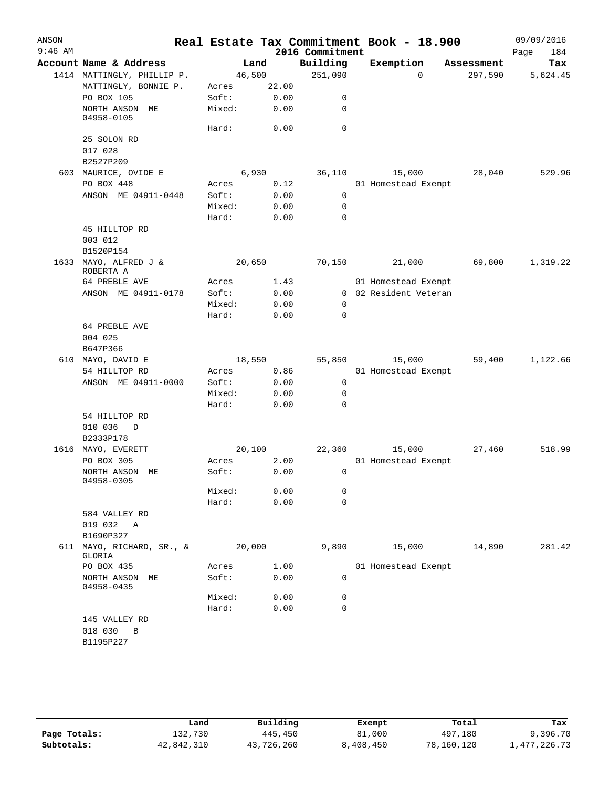| ANSON     |                              |                |       | Real Estate Tax Commitment Book - 18.900 |                       |            | 09/09/2016         |
|-----------|------------------------------|----------------|-------|------------------------------------------|-----------------------|------------|--------------------|
| $9:46$ AM | Account Name & Address       |                | Land  | 2016 Commitment<br>Building              | Exemption             | Assessment | 184<br>Page<br>Tax |
|           | 1414 MATTINGLY, PHILLIP P.   |                |       |                                          | $\Omega$              | 297,590    |                    |
|           | MATTINGLY, BONNIE P.         | 46,500         | 22.00 | 251,090                                  |                       |            | 5,624.45           |
|           | PO BOX 105                   | Acres<br>Soft: | 0.00  | 0                                        |                       |            |                    |
|           | NORTH ANSON ME               | Mixed:         | 0.00  | 0                                        |                       |            |                    |
|           | 04958-0105                   |                |       |                                          |                       |            |                    |
|           |                              | Hard:          | 0.00  | $\mathbf 0$                              |                       |            |                    |
|           | 25 SOLON RD                  |                |       |                                          |                       |            |                    |
|           | 017 028                      |                |       |                                          |                       |            |                    |
|           | B2527P209                    |                |       |                                          |                       |            |                    |
|           | 603 MAURICE, OVIDE E         | 6,930          |       | 36,110                                   | 15,000                | 28,040     | 529.96             |
|           | PO BOX 448                   | Acres          | 0.12  |                                          | 01 Homestead Exempt   |            |                    |
|           | ANSON ME 04911-0448          | Soft:          | 0.00  | 0                                        |                       |            |                    |
|           |                              | Mixed:         | 0.00  | 0                                        |                       |            |                    |
|           |                              | Hard:          | 0.00  | $\mathbf 0$                              |                       |            |                    |
|           | 45 HILLTOP RD                |                |       |                                          |                       |            |                    |
|           | 003 012                      |                |       |                                          |                       |            |                    |
|           | B1520P154                    |                |       |                                          |                       |            |                    |
| 1633      | MAYO, ALFRED J &             | 20,650         |       | 70,150                                   | 21,000                | 69,800     | 1,319.22           |
|           | ROBERTA A                    |                |       |                                          |                       |            |                    |
|           | 64 PREBLE AVE                | Acres          | 1.43  |                                          | 01 Homestead Exempt   |            |                    |
|           | ANSON ME 04911-0178          | Soft:          | 0.00  |                                          | 0 02 Resident Veteran |            |                    |
|           |                              | Mixed:         | 0.00  | 0                                        |                       |            |                    |
|           |                              | Hard:          | 0.00  | 0                                        |                       |            |                    |
|           | 64 PREBLE AVE                |                |       |                                          |                       |            |                    |
|           | 004 025                      |                |       |                                          |                       |            |                    |
|           | B647P366                     |                |       |                                          |                       |            |                    |
|           | 610 MAYO, DAVID E            | 18,550         |       | 55,850                                   | 15,000                | 59,400     | 1,122.66           |
|           | 54 HILLTOP RD                | Acres          | 0.86  |                                          | 01 Homestead Exempt   |            |                    |
|           | ANSON ME 04911-0000          | Soft:          | 0.00  | 0                                        |                       |            |                    |
|           |                              | Mixed:         | 0.00  | 0                                        |                       |            |                    |
|           |                              | Hard:          | 0.00  | 0                                        |                       |            |                    |
|           | 54 HILLTOP RD                |                |       |                                          |                       |            |                    |
|           | 010 036<br>D                 |                |       |                                          |                       |            |                    |
|           | B2333P178                    |                |       |                                          |                       |            |                    |
| 1616      | MAYO, EVERETT                | 20,100         |       | 22,360                                   | 15,000                | 27,460     | 518.99             |
|           | PO BOX 305                   | Acres          | 2.00  |                                          | 01 Homestead Exempt   |            |                    |
|           | NORTH ANSON ME<br>04958-0305 | Soft:          | 0.00  | 0                                        |                       |            |                    |
|           |                              | Mixed:         | 0.00  | 0                                        |                       |            |                    |
|           |                              | Hard:          | 0.00  | 0                                        |                       |            |                    |
|           | 584 VALLEY RD                |                |       |                                          |                       |            |                    |
|           | 019 032 A                    |                |       |                                          |                       |            |                    |
|           | B1690P327                    |                |       |                                          |                       |            |                    |
|           | 611 MAYO, RICHARD, SR., &    | 20,000         |       | 9,890                                    | 15,000                | 14,890     | 281.42             |
|           | GLORIA                       |                |       |                                          |                       |            |                    |
|           | PO BOX 435                   | Acres          | 1.00  |                                          | 01 Homestead Exempt   |            |                    |
|           | NORTH ANSON ME<br>04958-0435 | Soft:          | 0.00  | 0                                        |                       |            |                    |
|           |                              | Mixed:         | 0.00  | 0                                        |                       |            |                    |
|           |                              | Hard:          | 0.00  | 0                                        |                       |            |                    |
|           | 145 VALLEY RD                |                |       |                                          |                       |            |                    |
|           | 018 030<br>B                 |                |       |                                          |                       |            |                    |
|           | B1195P227                    |                |       |                                          |                       |            |                    |
|           |                              |                |       |                                          |                       |            |                    |

|              | Land       | Building   | Exempt    | Total      | Tax          |
|--------------|------------|------------|-----------|------------|--------------|
| Page Totals: | 132,730    | 445,450    | 81,000    | 497,180    | 9,396.70     |
| Subtotals:   | 42,842,310 | 43,726,260 | 8,408,450 | 78,160,120 | 1,477,226.73 |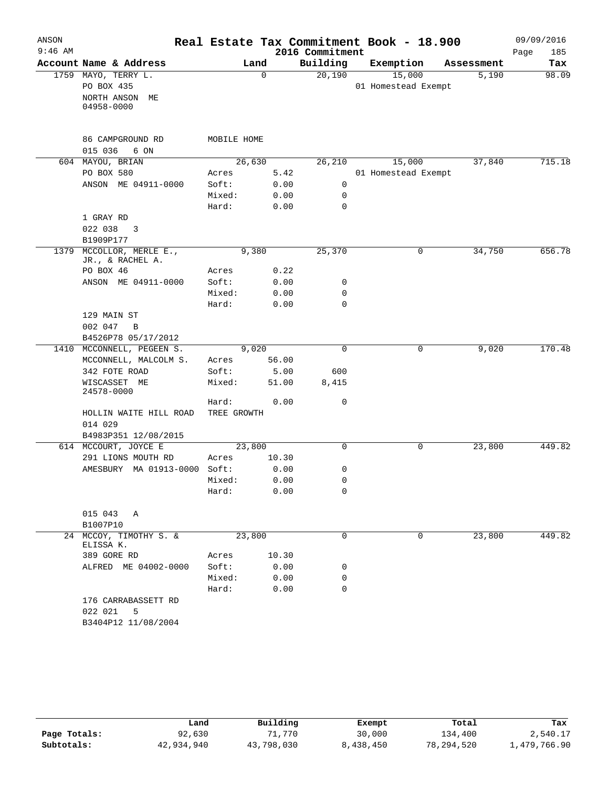| ANSON     |                                         |             |             | Real Estate Tax Commitment Book - 18.900 |                     |             |            | 09/09/2016  |
|-----------|-----------------------------------------|-------------|-------------|------------------------------------------|---------------------|-------------|------------|-------------|
| $9:46$ AM |                                         |             |             | 2016 Commitment                          |                     |             |            | Page<br>185 |
|           | Account Name & Address                  | Land        |             | Building                                 | Exemption           |             | Assessment | Tax         |
|           | 1759 MAYO, TERRY L.                     |             | $\mathbf 0$ | 20,190                                   | 15,000              |             | 5,190      | 98.09       |
|           | PO BOX 435                              |             |             |                                          | 01 Homestead Exempt |             |            |             |
|           | NORTH ANSON ME                          |             |             |                                          |                     |             |            |             |
|           | 04958-0000                              |             |             |                                          |                     |             |            |             |
|           |                                         |             |             |                                          |                     |             |            |             |
|           | 86 CAMPGROUND RD                        | MOBILE HOME |             |                                          |                     |             |            |             |
|           | 015 036<br>6 ON                         |             |             |                                          |                     |             |            |             |
|           | 604 MAYOU, BRIAN                        | 26,630      |             | 26,210                                   | 15,000              |             | 37,840     | 715.18      |
|           | PO BOX 580                              | Acres       | 5.42        |                                          | 01 Homestead Exempt |             |            |             |
|           | ANSON ME 04911-0000                     | Soft:       | 0.00        | 0                                        |                     |             |            |             |
|           |                                         | Mixed:      | 0.00        | 0                                        |                     |             |            |             |
|           |                                         | Hard:       | 0.00        | $\mathbf 0$                              |                     |             |            |             |
|           | 1 GRAY RD                               |             |             |                                          |                     |             |            |             |
|           | 022 038<br>3                            |             |             |                                          |                     |             |            |             |
|           | B1909P177                               |             |             |                                          |                     |             |            |             |
| 1379      | MCCOLLOR, MERLE E.,<br>JR., & RACHEL A. | 9,380       |             | 25,370                                   | 0                   |             | 34,750     | 656.78      |
|           | PO BOX 46                               | Acres       | 0.22        |                                          |                     |             |            |             |
|           | ANSON ME 04911-0000                     | Soft:       | 0.00        | 0                                        |                     |             |            |             |
|           |                                         | Mixed:      | 0.00        | 0                                        |                     |             |            |             |
|           |                                         | Hard:       | 0.00        | $\mathbf 0$                              |                     |             |            |             |
|           | 129 MAIN ST                             |             |             |                                          |                     |             |            |             |
|           | 002 047<br>B                            |             |             |                                          |                     |             |            |             |
|           | B4526P78 05/17/2012                     |             |             |                                          |                     |             |            |             |
|           | 1410 MCCONNELL, PEGEEN S.               | 9,020       |             | $\mathbf 0$                              | 0                   |             | 9,020      | 170.48      |
|           | MCCONNELL, MALCOLM S.                   | Acres       | 56.00       |                                          |                     |             |            |             |
|           | 342 FOTE ROAD                           | Soft:       | 5.00        | 600                                      |                     |             |            |             |
|           | WISCASSET ME<br>24578-0000              | Mixed:      | 51.00       | 8,415                                    |                     |             |            |             |
|           |                                         | Hard:       | 0.00        | 0                                        |                     |             |            |             |
|           | HOLLIN WAITE HILL ROAD                  | TREE GROWTH |             |                                          |                     |             |            |             |
|           | 014 029                                 |             |             |                                          |                     |             |            |             |
|           | B4983P351 12/08/2015                    |             |             |                                          |                     |             |            |             |
|           | 614 MCCOURT, JOYCE E                    | 23,800      |             | $\mathbf 0$                              |                     | 0           | 23,800     | 449.82      |
|           | 291 LIONS MOUTH RD                      | Acres       | 10.30       |                                          |                     |             |            |             |
|           | AMESBURY MA 01913-0000 Soft:            |             | 0.00        | 0                                        |                     |             |            |             |
|           |                                         | Mixed:      | 0.00        | $\Omega$                                 |                     |             |            |             |
|           |                                         | Hard:       | 0.00        | 0                                        |                     |             |            |             |
|           | 015 043 A                               |             |             |                                          |                     |             |            |             |
|           | B1007P10                                |             |             |                                          |                     |             |            |             |
|           | 24 MCCOY, TIMOTHY S. &<br>ELISSA K.     | 23,800      |             | 0                                        |                     | $\mathbf 0$ | 23,800     | 449.82      |
|           | 389 GORE RD                             | Acres       | 10.30       |                                          |                     |             |            |             |
|           | ALFRED ME 04002-0000                    | Soft:       | 0.00        | 0                                        |                     |             |            |             |
|           |                                         | Mixed:      | 0.00        | 0                                        |                     |             |            |             |
|           |                                         | Hard:       | 0.00        | $\Omega$                                 |                     |             |            |             |
|           | 176 CARRABASSETT RD                     |             |             |                                          |                     |             |            |             |
|           | 022 021<br>5                            |             |             |                                          |                     |             |            |             |
|           | B3404P12 11/08/2004                     |             |             |                                          |                     |             |            |             |

|              | Land       | Building   | Exempt    | Total        | Tax          |
|--------------|------------|------------|-----------|--------------|--------------|
| Page Totals: | 92,630     | 71,770     | 30,000    | 134,400      | 2,540.17     |
| Subtotals:   | 42,934,940 | 43,798,030 | 8,438,450 | 78, 294, 520 | 1,479,766.90 |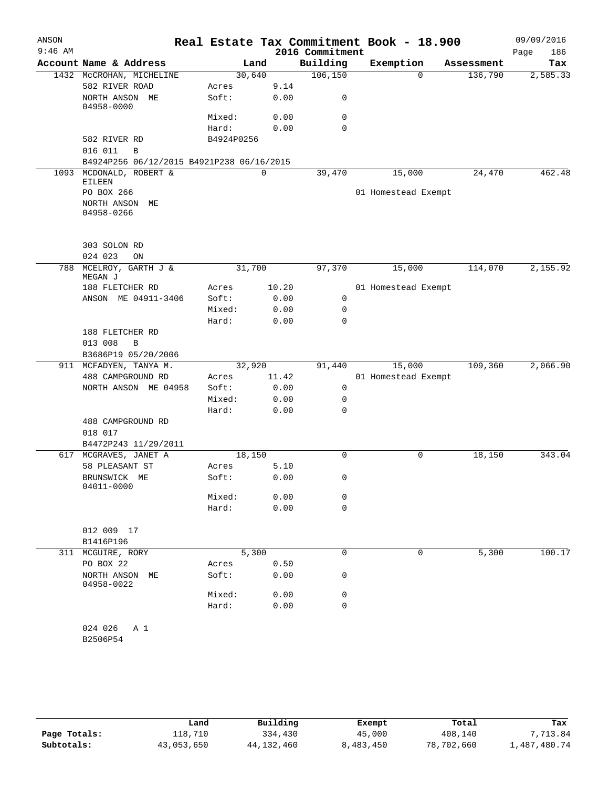| ANSON     |                                           |            |             |       | Real Estate Tax Commitment Book - 18.900 |                     |            | 09/09/2016 |        |
|-----------|-------------------------------------------|------------|-------------|-------|------------------------------------------|---------------------|------------|------------|--------|
| $9:46$ AM |                                           |            |             |       | 2016 Commitment                          |                     |            | Page       | 186    |
|           | Account Name & Address                    |            | Land        |       | Building                                 | Exemption           | Assessment |            | Tax    |
|           | 1432 MCCROHAN, MICHELINE                  | 30,640     |             |       | 106, 150                                 | $\Omega$            | 136,790    | 2,585.33   |        |
|           | 582 RIVER ROAD                            | Acres      |             | 9.14  |                                          |                     |            |            |        |
|           | NORTH ANSON ME<br>04958-0000              | Soft:      |             | 0.00  | 0                                        |                     |            |            |        |
|           |                                           | Mixed:     |             | 0.00  | 0                                        |                     |            |            |        |
|           |                                           | Hard:      |             | 0.00  | $\Omega$                                 |                     |            |            |        |
|           | 582 RIVER RD                              | B4924P0256 |             |       |                                          |                     |            |            |        |
|           | 016 011<br>B                              |            |             |       |                                          |                     |            |            |        |
|           | B4924P256 06/12/2015 B4921P238 06/16/2015 |            |             |       |                                          |                     |            |            |        |
|           | 1093 MCDONALD, ROBERT &                   |            | $\mathbf 0$ |       | 39,470                                   | 15,000              | 24,470     |            | 462.48 |
|           | <b>EILEEN</b>                             |            |             |       |                                          |                     |            |            |        |
|           | PO BOX 266                                |            |             |       |                                          | 01 Homestead Exempt |            |            |        |
|           | NORTH ANSON<br>МE<br>04958-0266           |            |             |       |                                          |                     |            |            |        |
|           | 303 SOLON RD                              |            |             |       |                                          |                     |            |            |        |
|           | 024 023<br>ON                             |            |             |       |                                          |                     |            |            |        |
| 788       | MCELROY, GARTH J &<br>MEGAN J             | 31,700     |             |       | 97,370                                   | 15,000              | 114,070    | 2,155.92   |        |
|           | 188 FLETCHER RD                           | Acres      |             | 10.20 |                                          | 01 Homestead Exempt |            |            |        |
|           | ANSON ME 04911-3406                       | Soft:      |             | 0.00  | 0                                        |                     |            |            |        |
|           |                                           | Mixed:     |             | 0.00  | 0                                        |                     |            |            |        |
|           |                                           | Hard:      |             | 0.00  | 0                                        |                     |            |            |        |
|           | 188 FLETCHER RD                           |            |             |       |                                          |                     |            |            |        |
|           | 013 008<br>B                              |            |             |       |                                          |                     |            |            |        |
|           | B3686P19 05/20/2006                       |            |             |       |                                          |                     |            |            |        |
|           | 911 MCFADYEN, TANYA M.                    | 32,920     |             |       | 91,440                                   | 15,000              | 109,360    | 2,066.90   |        |
|           | 488 CAMPGROUND RD                         | Acres      |             | 11.42 |                                          | 01 Homestead Exempt |            |            |        |
|           | NORTH ANSON ME 04958                      | Soft:      |             | 0.00  | 0                                        |                     |            |            |        |
|           |                                           | Mixed:     |             | 0.00  | 0                                        |                     |            |            |        |
|           |                                           | Hard:      |             | 0.00  | 0                                        |                     |            |            |        |
|           | 488 CAMPGROUND RD                         |            |             |       |                                          |                     |            |            |        |
|           | 018 017                                   |            |             |       |                                          |                     |            |            |        |
|           | B4472P243 11/29/2011                      |            |             |       |                                          |                     |            |            |        |
| 617       | MCGRAVES, JANET A                         | 18,150     |             |       | 0                                        | 0                   | 18,150     |            | 343.04 |
|           | 58 PLEASANT ST                            | Acres      |             | 5.10  |                                          |                     |            |            |        |
|           | BRUNSWICK ME<br>04011-0000                | Soft:      |             | 0.00  | 0                                        |                     |            |            |        |
|           |                                           | Mixed:     |             | 0.00  | 0                                        |                     |            |            |        |
|           |                                           | Hard:      |             | 0.00  | 0                                        |                     |            |            |        |
|           |                                           |            |             |       |                                          |                     |            |            |        |
|           | 012 009 17                                |            |             |       |                                          |                     |            |            |        |
|           | B1416P196                                 |            |             |       |                                          |                     |            |            |        |
|           | 311 MCGUIRE, RORY                         | 5,300      |             |       | 0                                        | 0                   | 5,300      |            | 100.17 |
|           | PO BOX 22                                 | Acres      |             | 0.50  |                                          |                     |            |            |        |
|           | NORTH ANSON<br>МE<br>04958-0022           | Soft:      |             | 0.00  | 0                                        |                     |            |            |        |
|           |                                           | Mixed:     |             | 0.00  | 0                                        |                     |            |            |        |
|           |                                           | Hard:      |             | 0.00  | 0                                        |                     |            |            |        |
|           | 024 026<br>A 1<br>B2506P54                |            |             |       |                                          |                     |            |            |        |
|           |                                           |            |             |       |                                          |                     |            |            |        |

|              | Land       | Building   | Exempt    | Total      | Tax          |
|--------------|------------|------------|-----------|------------|--------------|
| Page Totals: | 118,710    | 334,430    | 45,000    | 408,140    | 7.713.84     |
| Subtotals:   | 43,053,650 | 44,132,460 | 8,483,450 | 78,702,660 | L,487,480.74 |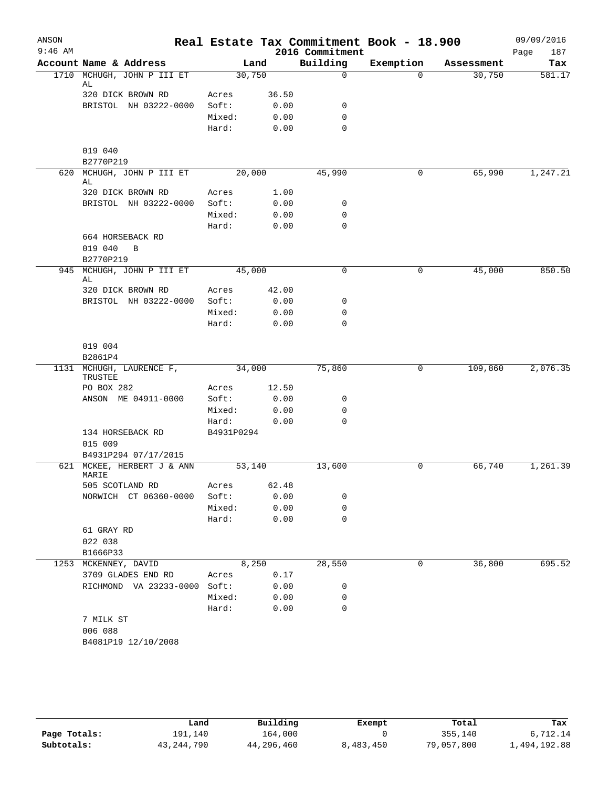| ANSON     |                                                         |            |       | Real Estate Tax Commitment Book - 18.900 |                       |                      | 09/09/2016    |
|-----------|---------------------------------------------------------|------------|-------|------------------------------------------|-----------------------|----------------------|---------------|
| $9:46$ AM | Account Name & Address                                  |            |       | 2016 Commitment                          |                       |                      | 187<br>Page   |
| 1710      | MCHUGH, JOHN P III ET                                   | 30,750     | Land  | Building<br>$\mathbf 0$                  | Exemption<br>$\Omega$ | Assessment<br>30,750 | Tax<br>581.17 |
|           | AL                                                      |            |       |                                          |                       |                      |               |
|           | 320 DICK BROWN RD                                       | Acres      | 36.50 |                                          |                       |                      |               |
|           | BRISTOL NH 03222-0000                                   | Soft:      | 0.00  | 0                                        |                       |                      |               |
|           |                                                         | Mixed:     | 0.00  | $\mathbf 0$                              |                       |                      |               |
|           |                                                         | Hard:      | 0.00  | $\mathbf 0$                              |                       |                      |               |
|           | 019 040                                                 |            |       |                                          |                       |                      |               |
| 620       | B2770P219<br>MCHUGH, JOHN P III ET                      | 20,000     |       | 45,990                                   | 0                     | 65,990               | 1,247.21      |
|           | AL                                                      |            |       |                                          |                       |                      |               |
|           | 320 DICK BROWN RD                                       | Acres      | 1.00  |                                          |                       |                      |               |
|           | BRISTOL NH 03222-0000                                   | Soft:      | 0.00  | 0                                        |                       |                      |               |
|           |                                                         | Mixed:     | 0.00  | 0                                        |                       |                      |               |
|           |                                                         | Hard:      | 0.00  | $\mathbf 0$                              |                       |                      |               |
|           | 664 HORSEBACK RD<br>019 040<br>$\mathbf B$<br>B2770P219 |            |       |                                          |                       |                      |               |
| 945       | MCHUGH, JOHN P III ET                                   | 45,000     |       | $\mathbf 0$                              | 0                     | 45,000               | 850.50        |
|           | AL                                                      | Acres      | 42.00 |                                          |                       |                      |               |
|           | 320 DICK BROWN RD<br>BRISTOL NH 03222-0000              | Soft:      | 0.00  | 0                                        |                       |                      |               |
|           |                                                         | Mixed:     | 0.00  | $\mathbf 0$                              |                       |                      |               |
|           |                                                         | Hard:      | 0.00  | $\mathbf 0$                              |                       |                      |               |
|           |                                                         |            |       |                                          |                       |                      |               |
|           | 019 004                                                 |            |       |                                          |                       |                      |               |
|           | B2861P4                                                 |            |       |                                          |                       |                      |               |
|           | 1131 MCHUGH, LAURENCE F,<br>TRUSTEE                     | 34,000     |       | 75,860                                   | 0                     | 109,860              | 2,076.35      |
|           | PO BOX 282                                              | Acres      | 12.50 |                                          |                       |                      |               |
|           | ANSON ME 04911-0000                                     | Soft:      | 0.00  | 0                                        |                       |                      |               |
|           |                                                         | Mixed:     | 0.00  | $\mathbf 0$                              |                       |                      |               |
|           |                                                         | Hard:      | 0.00  | $\mathbf 0$                              |                       |                      |               |
|           | 134 HORSEBACK RD                                        | B4931P0294 |       |                                          |                       |                      |               |
|           | 015 009                                                 |            |       |                                          |                       |                      |               |
|           | B4931P294 07/17/2015                                    |            |       |                                          |                       |                      |               |
| 621       | MCKEE, HERBERT J & ANN<br>MARIE                         | 53,140     |       | 13,600                                   | 0                     | 66,740               | 1,261.39      |
|           | 505 SCOTLAND RD                                         | Acres      | 62.48 |                                          |                       |                      |               |
|           | NORWICH CT 06360-0000                                   | Soft:      | 0.00  | 0                                        |                       |                      |               |
|           |                                                         | Mixed:     | 0.00  | 0                                        |                       |                      |               |
|           |                                                         | Hard:      | 0.00  | $\mathbf 0$                              |                       |                      |               |
|           | 61 GRAY RD                                              |            |       |                                          |                       |                      |               |
|           | 022 038                                                 |            |       |                                          |                       |                      |               |
|           | B1666P33<br>1253 MCKENNEY, DAVID                        |            | 8,250 | 28,550                                   | 0                     | 36,800               | 695.52        |
|           | 3709 GLADES END RD                                      | Acres      | 0.17  |                                          |                       |                      |               |
|           | RICHMOND VA 23233-0000 Soft:                            |            | 0.00  | 0                                        |                       |                      |               |
|           |                                                         | Mixed:     | 0.00  | 0                                        |                       |                      |               |
|           |                                                         | Hard:      | 0.00  | $\mathbf 0$                              |                       |                      |               |
|           | 7 MILK ST                                               |            |       |                                          |                       |                      |               |
|           | 006 088                                                 |            |       |                                          |                       |                      |               |
|           | B4081P19 12/10/2008                                     |            |       |                                          |                       |                      |               |

|              | Land         | Building   | Exempt    | Total      | Tax          |
|--------------|--------------|------------|-----------|------------|--------------|
| Page Totals: | 191,140      | 164,000    |           | 355,140    | .712.14      |
| Subtotals:   | 43, 244, 790 | 44,296,460 | 8,483,450 | 79,057,800 | 1,494,192.88 |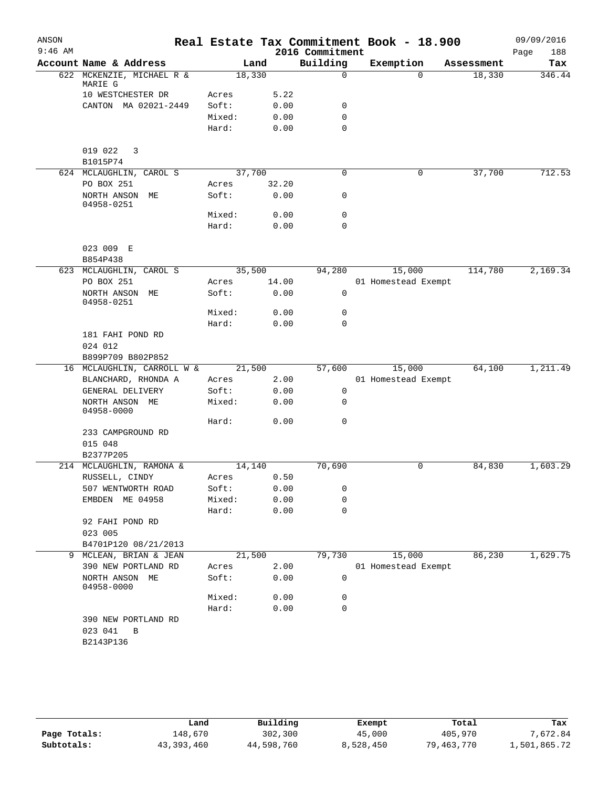| ANSON     |                              |        |       |                             | Real Estate Tax Commitment Book - 18.900 |            | 09/09/2016         |
|-----------|------------------------------|--------|-------|-----------------------------|------------------------------------------|------------|--------------------|
| $9:46$ AM | Account Name & Address       |        | Land  | 2016 Commitment<br>Building | Exemption                                | Assessment | Page<br>188<br>Tax |
|           | 622 MCKENZIE, MICHAEL R &    | 18,330 |       | $\mathbf 0$                 | $\Omega$                                 | 18,330     | 346.44             |
|           | MARIE G                      |        |       |                             |                                          |            |                    |
|           | 10 WESTCHESTER DR            | Acres  | 5.22  |                             |                                          |            |                    |
|           | CANTON MA 02021-2449         | Soft:  | 0.00  | 0                           |                                          |            |                    |
|           |                              | Mixed: | 0.00  | 0                           |                                          |            |                    |
|           |                              | Hard:  | 0.00  | $\mathbf 0$                 |                                          |            |                    |
|           | 019 022<br>3                 |        |       |                             |                                          |            |                    |
|           | B1015P74                     |        |       |                             |                                          |            |                    |
|           | 624 MCLAUGHLIN, CAROL S      | 37,700 |       | $\mathbf 0$                 | 0                                        | 37,700     | 712.53             |
|           | PO BOX 251                   | Acres  | 32.20 |                             |                                          |            |                    |
|           | NORTH ANSON ME<br>04958-0251 | Soft:  | 0.00  | 0                           |                                          |            |                    |
|           |                              | Mixed: | 0.00  | $\mathbf 0$                 |                                          |            |                    |
|           |                              | Hard:  | 0.00  | 0                           |                                          |            |                    |
|           | 023 009 E                    |        |       |                             |                                          |            |                    |
|           | B854P438                     |        |       |                             |                                          |            |                    |
|           | 623 MCLAUGHLIN, CAROL S      | 35,500 |       | 94,280                      | 15,000                                   | 114,780    | 2,169.34           |
|           | PO BOX 251                   | Acres  | 14.00 |                             | 01 Homestead Exempt                      |            |                    |
|           | NORTH ANSON ME<br>04958-0251 | Soft:  | 0.00  | 0                           |                                          |            |                    |
|           |                              | Mixed: | 0.00  | 0                           |                                          |            |                    |
|           |                              | Hard:  | 0.00  | $\mathbf 0$                 |                                          |            |                    |
|           | 181 FAHI POND RD             |        |       |                             |                                          |            |                    |
|           | 024 012                      |        |       |                             |                                          |            |                    |
|           | B899P709 B802P852            |        |       |                             |                                          |            |                    |
|           | 16 MCLAUGHLIN, CARROLL W &   | 21,500 |       | 57,600                      | 15,000                                   | 64,100     | 1,211.49           |
|           | BLANCHARD, RHONDA A          | Acres  | 2.00  |                             | 01 Homestead Exempt                      |            |                    |
|           | GENERAL DELIVERY             | Soft:  | 0.00  | 0                           |                                          |            |                    |
|           | NORTH ANSON ME<br>04958-0000 | Mixed: | 0.00  | 0                           |                                          |            |                    |
|           |                              | Hard:  | 0.00  | $\mathbf 0$                 |                                          |            |                    |
|           | 233 CAMPGROUND RD            |        |       |                             |                                          |            |                    |
|           | 015 048                      |        |       |                             |                                          |            |                    |
|           | B2377P205                    |        |       |                             |                                          |            |                    |
|           | 214 MCLAUGHLIN, RAMONA &     | 14,140 |       | 70,690                      | 0                                        | 84,830     | 1,603.29           |
|           | RUSSELL, CINDY               | Acres  | 0.50  |                             |                                          |            |                    |
|           | 507 WENTWORTH ROAD           | Soft:  | 0.00  | 0                           |                                          |            |                    |
|           | EMBDEN ME 04958              | Mixed: | 0.00  | 0                           |                                          |            |                    |
|           |                              | Hard:  | 0.00  | 0                           |                                          |            |                    |
|           | 92 FAHI POND RD<br>023 005   |        |       |                             |                                          |            |                    |
|           | B4701P120 08/21/2013         |        |       |                             |                                          |            |                    |
| 9         | MCLEAN, BRIAN & JEAN         | 21,500 |       | 79,730                      | 15,000                                   | 86,230     | 1,629.75           |
|           | 390 NEW PORTLAND RD          | Acres  | 2.00  |                             | 01 Homestead Exempt                      |            |                    |
|           | NORTH ANSON ME<br>04958-0000 | Soft:  | 0.00  | 0                           |                                          |            |                    |
|           |                              | Mixed: | 0.00  | 0                           |                                          |            |                    |
|           |                              | Hard:  | 0.00  | 0                           |                                          |            |                    |
|           | 390 NEW PORTLAND RD          |        |       |                             |                                          |            |                    |
|           | 023 041<br>B                 |        |       |                             |                                          |            |                    |
|           | B2143P136                    |        |       |                             |                                          |            |                    |
|           |                              |        |       |                             |                                          |            |                    |
|           |                              |        |       |                             |                                          |            |                    |

|              | Land         | Building   | Exempt    | Total      | Tax          |
|--------------|--------------|------------|-----------|------------|--------------|
| Page Totals: | 148,670      | 302,300    | 45,000    | 405,970    | 7,672.84     |
| Subtotals:   | 43, 393, 460 | 44,598,760 | 8,528,450 | 79,463,770 | 1,501,865.72 |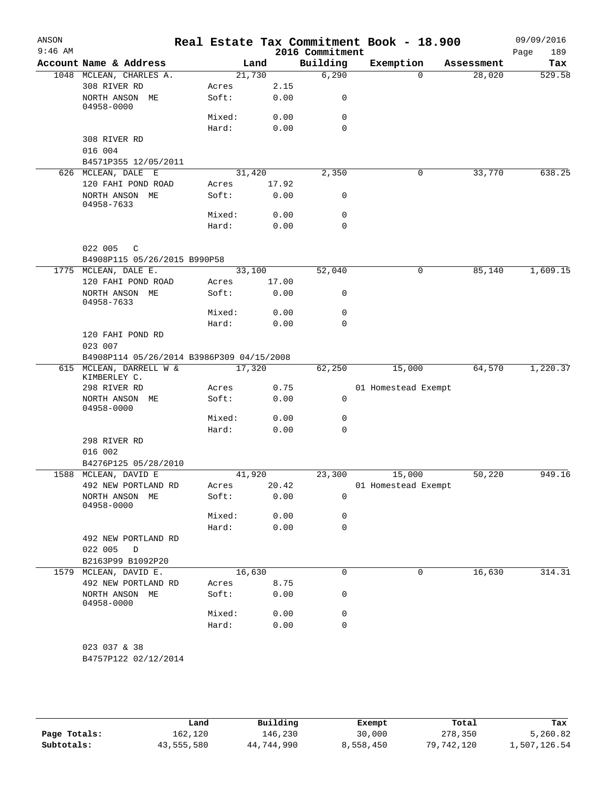| ANSON<br>$9:46$ AM |                                                     |                |               | 2016 Commitment | Real Estate Tax Commitment Book - 18.900 |            | 09/09/2016<br>189<br>Page |
|--------------------|-----------------------------------------------------|----------------|---------------|-----------------|------------------------------------------|------------|---------------------------|
|                    | Account Name & Address                              |                | Land          | Building        | Exemption                                | Assessment | Tax                       |
|                    | 1048 MCLEAN, CHARLES A.                             | 21,730         |               | 6,290           | $\Omega$                                 | 28,020     | 529.58                    |
|                    | 308 RIVER RD                                        | Acres          | 2.15          |                 |                                          |            |                           |
|                    | NORTH ANSON ME<br>04958-0000                        | Soft:          | 0.00          | 0               |                                          |            |                           |
|                    |                                                     | Mixed:         | 0.00          | 0               |                                          |            |                           |
|                    |                                                     | Hard:          | 0.00          | 0               |                                          |            |                           |
|                    | 308 RIVER RD                                        |                |               |                 |                                          |            |                           |
|                    | 016 004                                             |                |               |                 |                                          |            |                           |
|                    | B4571P355 12/05/2011                                |                |               |                 |                                          |            |                           |
|                    | 626 MCLEAN, DALE E                                  | 31,420         |               | 2,350           | 0                                        | 33,770     | 638.25                    |
|                    | 120 FAHI POND ROAD<br>NORTH ANSON ME<br>04958-7633  | Acres<br>Soft: | 17.92<br>0.00 | 0               |                                          |            |                           |
|                    |                                                     | Mixed:         | 0.00          | 0               |                                          |            |                           |
|                    |                                                     | Hard:          | 0.00          | $\mathbf 0$     |                                          |            |                           |
|                    |                                                     |                |               |                 |                                          |            |                           |
|                    | 022 005<br>$\mathsf{C}$                             |                |               |                 |                                          |            |                           |
|                    | B4908P115 05/26/2015 B990P58                        |                |               |                 |                                          |            |                           |
|                    | 1775 MCLEAN, DALE E.                                | 33,100         |               | 52,040          | 0                                        | 85,140     | 1,609.15                  |
|                    | 120 FAHI POND ROAD<br>NORTH ANSON ME                | Acres<br>Soft: | 17.00<br>0.00 | 0               |                                          |            |                           |
|                    | 04958-7633                                          |                |               |                 |                                          |            |                           |
|                    |                                                     | Mixed:         | 0.00          | $\mathbf 0$     |                                          |            |                           |
|                    |                                                     | Hard:          | 0.00          | 0               |                                          |            |                           |
|                    | 120 FAHI POND RD<br>023 007                         |                |               |                 |                                          |            |                           |
|                    | B4908P114 05/26/2014 B3986P309 04/15/2008           |                |               |                 |                                          |            |                           |
|                    | 615 MCLEAN, DARRELL W &<br>KIMBERLEY C.             | 17,320         |               | 62,250          | 15,000                                   | 64,570     | 1,220.37                  |
|                    | 298 RIVER RD                                        | Acres          | 0.75          |                 | 01 Homestead Exempt                      |            |                           |
|                    | NORTH ANSON ME<br>04958-0000                        | Soft:          | 0.00          | $\mathbf 0$     |                                          |            |                           |
|                    |                                                     | Mixed:         | 0.00          | 0               |                                          |            |                           |
|                    |                                                     | Hard:          | 0.00          | $\mathbf 0$     |                                          |            |                           |
|                    | 298 RIVER RD<br>016 002                             |                |               |                 |                                          |            |                           |
|                    | B4276P125 05/28/2010                                |                |               |                 |                                          |            |                           |
|                    | 1588 MCLEAN, DAVID E                                | 41,920         |               | 23,300          | 15,000                                   | 50,220     | 949.16                    |
|                    | 492 NEW PORTLAND RD                                 | Acres          | 20.42         |                 | 01 Homestead Exempt                      |            |                           |
|                    | NORTH ANSON ME<br>04958-0000                        | Soft:          | 0.00          | 0               |                                          |            |                           |
|                    |                                                     | Mixed:         | 0.00          | 0               |                                          |            |                           |
|                    |                                                     | Hard:          | 0.00          | 0               |                                          |            |                           |
|                    | 492 NEW PORTLAND RD<br>022 005<br>D                 |                |               |                 |                                          |            |                           |
|                    | B2163P99 B1092P20                                   |                |               |                 |                                          |            |                           |
|                    | 1579 MCLEAN, DAVID E.                               | 16,630         |               | 0               | $\mathbf 0$                              | 16,630     | 314.31                    |
|                    | 492 NEW PORTLAND RD<br>NORTH ANSON ME<br>04958-0000 | Acres<br>Soft: | 8.75<br>0.00  | 0               |                                          |            |                           |
|                    |                                                     | Mixed:         | 0.00          | 0               |                                          |            |                           |
|                    |                                                     | Hard:          | 0.00          | 0               |                                          |            |                           |
|                    |                                                     |                |               |                 |                                          |            |                           |
|                    | 023 037 & 38<br>B4757P122 02/12/2014                |                |               |                 |                                          |            |                           |
|                    |                                                     |                |               |                 |                                          |            |                           |

|              | Land       | Building   | Exempt    | Total      | Tax          |
|--------------|------------|------------|-----------|------------|--------------|
| Page Totals: | 162,120    | 146,230    | 30,000    | 278,350    | 5,260.82     |
| Subtotals:   | 43,555,580 | 44,744,990 | 8,558,450 | 79,742,120 | 1,507,126.54 |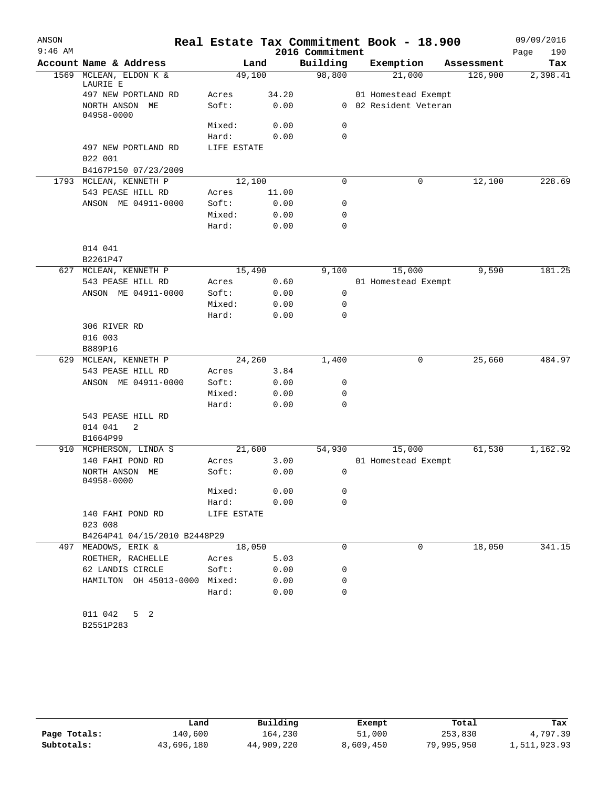| ANSON<br>$9:46$ AM |                                   |             |       | 2016 Commitment | Real Estate Tax Commitment Book - 18.900 |            | 09/09/2016<br>Page<br>190 |
|--------------------|-----------------------------------|-------------|-------|-----------------|------------------------------------------|------------|---------------------------|
|                    | Account Name & Address            |             | Land  | Building        | Exemption                                | Assessment | Tax                       |
| 1569               | MCLEAN, ELDON K &<br>LAURIE E     | 49,100      |       | 98,800          | 21,000                                   | 126,900    | 2,398.41                  |
|                    | 497 NEW PORTLAND RD               | Acres       | 34.20 |                 | 01 Homestead Exempt                      |            |                           |
|                    | NORTH ANSON ME<br>04958-0000      | Soft:       | 0.00  |                 | 0 02 Resident Veteran                    |            |                           |
|                    |                                   | Mixed:      | 0.00  | 0               |                                          |            |                           |
|                    |                                   | Hard:       | 0.00  | 0               |                                          |            |                           |
|                    | 497 NEW PORTLAND RD<br>022 001    | LIFE ESTATE |       |                 |                                          |            |                           |
|                    | B4167P150 07/23/2009              |             |       |                 |                                          |            |                           |
|                    | 1793 MCLEAN, KENNETH P            | 12,100      |       | 0               | 0                                        | 12,100     | 228.69                    |
|                    | 543 PEASE HILL RD                 | Acres       | 11.00 |                 |                                          |            |                           |
|                    | ANSON ME 04911-0000               | Soft:       | 0.00  | 0               |                                          |            |                           |
|                    |                                   | Mixed:      | 0.00  | 0               |                                          |            |                           |
|                    |                                   | Hard:       | 0.00  | 0               |                                          |            |                           |
|                    | 014 041                           |             |       |                 |                                          |            |                           |
|                    | B2261P47                          |             |       |                 |                                          |            |                           |
|                    | 627 MCLEAN, KENNETH P             | 15,490      |       | 9,100           | 15,000                                   | 9,590      | 181.25                    |
|                    | 543 PEASE HILL RD                 | Acres       | 0.60  |                 | 01 Homestead Exempt                      |            |                           |
|                    | ANSON ME 04911-0000               | Soft:       | 0.00  | 0               |                                          |            |                           |
|                    |                                   | Mixed:      | 0.00  | 0               |                                          |            |                           |
|                    |                                   | Hard:       | 0.00  | 0               |                                          |            |                           |
|                    | 306 RIVER RD                      |             |       |                 |                                          |            |                           |
|                    | 016 003                           |             |       |                 |                                          |            |                           |
|                    | B889P16                           |             |       |                 |                                          |            |                           |
|                    | 629 MCLEAN, KENNETH P             | 24,260      |       | 1,400           | 0                                        | 25,660     | 484.97                    |
|                    | 543 PEASE HILL RD                 | Acres       | 3.84  |                 |                                          |            |                           |
|                    | ANSON ME 04911-0000               | Soft:       | 0.00  | 0               |                                          |            |                           |
|                    |                                   | Mixed:      | 0.00  | 0               |                                          |            |                           |
|                    |                                   | Hard:       | 0.00  | 0               |                                          |            |                           |
|                    | 543 PEASE HILL RD<br>014 041<br>2 |             |       |                 |                                          |            |                           |
|                    | B1664P99                          |             |       |                 |                                          |            |                           |
|                    | 910 MCPHERSON, LINDA S            | 21,600      |       | 54,930          | 15,000                                   | 61,530     | 1,162.92                  |
|                    | 140 FAHI POND RD                  | Acres       | 3.00  |                 | 01 Homestead Exempt                      |            |                           |
|                    | NORTH ANSON ME<br>04958-0000      | Soft:       | 0.00  | 0               |                                          |            |                           |
|                    |                                   | Mixed:      | 0.00  | 0               |                                          |            |                           |
|                    |                                   | Hard:       | 0.00  | 0               |                                          |            |                           |
|                    | 140 FAHI POND RD                  | LIFE ESTATE |       |                 |                                          |            |                           |
|                    | 023 008                           |             |       |                 |                                          |            |                           |
|                    | B4264P41 04/15/2010 B2448P29      |             |       |                 |                                          |            |                           |
|                    | 497 MEADOWS, ERIK &               | 18,050      |       | 0               | 0                                        | 18,050     | 341.15                    |
|                    | ROETHER, RACHELLE                 | Acres       | 5.03  |                 |                                          |            |                           |
|                    | 62 LANDIS CIRCLE                  | Soft:       | 0.00  | 0               |                                          |            |                           |
|                    | HAMILTON OH 45013-0000 Mixed:     |             | 0.00  | 0               |                                          |            |                           |
|                    |                                   | Hard:       | 0.00  | 0               |                                          |            |                           |
|                    | 011 042<br>5 2                    |             |       |                 |                                          |            |                           |
|                    | B2551P283                         |             |       |                 |                                          |            |                           |
|                    |                                   |             |       |                 |                                          |            |                           |

|              | Land       | Building   | Exempt    | Total      | Tax          |
|--------------|------------|------------|-----------|------------|--------------|
| Page Totals: | 140,600    | 164,230    | 51,000    | 253,830    | 4,797.39     |
| Subtotals:   | 43,696,180 | 44,909,220 | 8,609,450 | 79,995,950 | 1,511,923.93 |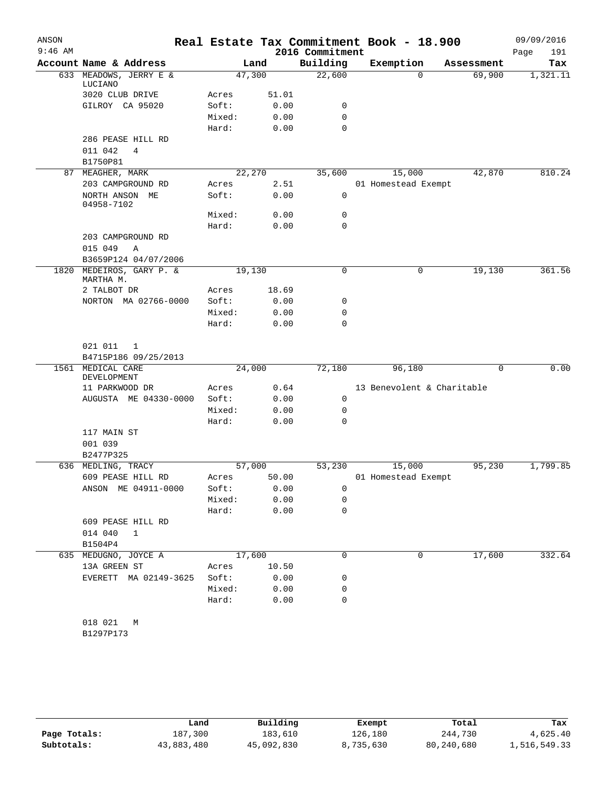| ANSON     |                                      |        |        |                 | Real Estate Tax Commitment Book - 18.900 |            | 09/09/2016  |
|-----------|--------------------------------------|--------|--------|-----------------|------------------------------------------|------------|-------------|
| $9:46$ AM |                                      |        |        | 2016 Commitment |                                          |            | Page<br>191 |
|           | Account Name & Address               |        | Land   | Building        | Exemption                                | Assessment | Tax         |
|           | 633 MEADOWS, JERRY E &<br>LUCIANO    | 47,300 |        | 22,600          | $\Omega$                                 | 69,900     | 1,321.11    |
|           | 3020 CLUB DRIVE                      | Acres  | 51.01  |                 |                                          |            |             |
|           | GILROY CA 95020                      | Soft:  | 0.00   | 0               |                                          |            |             |
|           |                                      | Mixed: | 0.00   | $\mathbf 0$     |                                          |            |             |
|           |                                      | Hard:  | 0.00   | $\mathbf 0$     |                                          |            |             |
|           | 286 PEASE HILL RD                    |        |        |                 |                                          |            |             |
|           | 011 042<br>4                         |        |        |                 |                                          |            |             |
|           | B1750P81                             |        |        |                 |                                          |            |             |
|           | 87 MEAGHER, MARK                     |        | 22,270 | 35,600          | 15,000                                   | 42,870     | 810.24      |
|           | 203 CAMPGROUND RD                    | Acres  | 2.51   |                 | 01 Homestead Exempt                      |            |             |
|           | NORTH ANSON ME<br>04958-7102         | Soft:  | 0.00   | 0               |                                          |            |             |
|           |                                      | Mixed: | 0.00   | 0               |                                          |            |             |
|           |                                      | Hard:  | 0.00   | $\mathbf 0$     |                                          |            |             |
|           | 203 CAMPGROUND RD                    |        |        |                 |                                          |            |             |
|           | 015 049<br>$\mathbb{A}$              |        |        |                 |                                          |            |             |
|           | B3659P124 04/07/2006                 |        |        |                 |                                          |            |             |
| 1820      | MEDEIROS, GARY P. &                  | 19,130 |        | $\mathbf 0$     | $\mathbf 0$                              | 19,130     | 361.56      |
|           | MARTHA M.<br>2 TALBOT DR             | Acres  | 18.69  |                 |                                          |            |             |
|           | NORTON MA 02766-0000                 | Soft:  | 0.00   | 0               |                                          |            |             |
|           |                                      | Mixed: | 0.00   | 0               |                                          |            |             |
|           |                                      | Hard:  | 0.00   | 0               |                                          |            |             |
|           |                                      |        |        |                 |                                          |            |             |
|           | 021 011<br>1<br>B4715P186 09/25/2013 |        |        |                 |                                          |            |             |
|           | 1561 MEDICAL CARE                    | 24,000 |        | 72,180          | 96,180                                   | 0          | 0.00        |
|           | DEVELOPMENT                          |        |        |                 |                                          |            |             |
|           | 11 PARKWOOD DR                       | Acres  | 0.64   |                 | 13 Benevolent & Charitable               |            |             |
|           | AUGUSTA ME 04330-0000                | Soft:  | 0.00   | 0               |                                          |            |             |
|           |                                      | Mixed: | 0.00   | 0               |                                          |            |             |
|           |                                      | Hard:  | 0.00   | $\mathbf 0$     |                                          |            |             |
|           | 117 MAIN ST                          |        |        |                 |                                          |            |             |
|           | 001 039                              |        |        |                 |                                          |            |             |
|           | B2477P325                            |        |        |                 |                                          |            |             |
|           | 636 MEDLING, TRACY                   | 57,000 |        | 53,230          | 15,000                                   | 95,230     | 1,799.85    |
|           | 609 PEASE HILL RD                    | Acres  | 50.00  |                 | 01 Homestead Exempt                      |            |             |
|           | ANSON ME 04911-0000                  | Soft:  | 0.00   | 0               |                                          |            |             |
|           |                                      | Mixed: | 0.00   | 0               |                                          |            |             |
|           |                                      | Hard:  | 0.00   | 0               |                                          |            |             |
|           | 609 PEASE HILL RD                    |        |        |                 |                                          |            |             |
|           | 014 040<br>1                         |        |        |                 |                                          |            |             |
|           | B1504P4                              |        |        |                 |                                          |            |             |
|           | 635 MEDUGNO, JOYCE A                 | 17,600 |        | 0               | 0                                        | 17,600     | 332.64      |
|           | 13A GREEN ST                         | Acres  | 10.50  |                 |                                          |            |             |
|           | EVERETT MA 02149-3625                | Soft:  | 0.00   | 0               |                                          |            |             |
|           |                                      | Mixed: | 0.00   | 0               |                                          |            |             |
|           |                                      | Hard:  | 0.00   | 0               |                                          |            |             |
|           |                                      |        |        |                 |                                          |            |             |
|           | 018 021<br>M<br>B1297P173            |        |        |                 |                                          |            |             |
|           |                                      |        |        |                 |                                          |            |             |

|              | Land       | Building   | Exempt    | Total      | Tax          |
|--------------|------------|------------|-----------|------------|--------------|
| Page Totals: | 187,300    | 183,610    | 126,180   | 244,730    | 4,625.40     |
| Subtotals:   | 43,883,480 | 45,092,830 | 8,735,630 | 80,240,680 | 1,516,549.33 |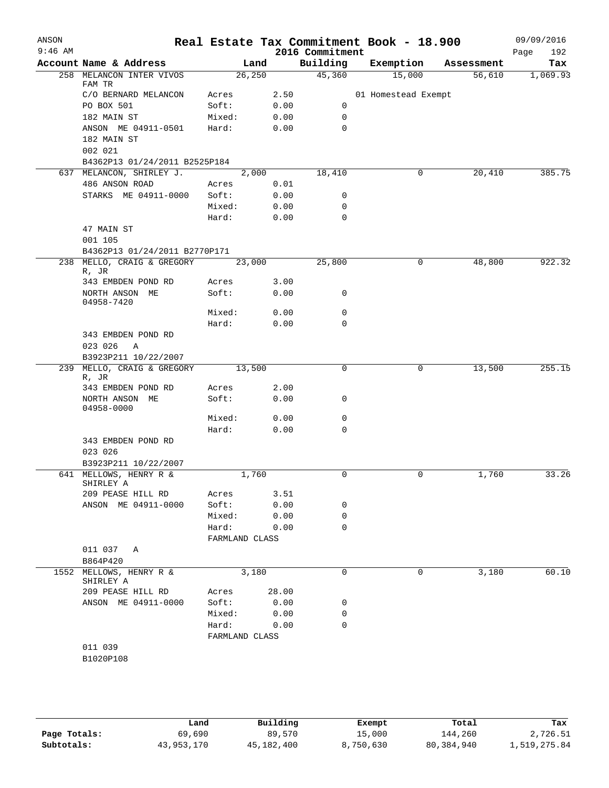| ANSON<br>$9:46$ AM |                                                            |                         |         |       | Real Estate Tax Commitment Book - 18.900<br>2016 Commitment |                     |   |            | 09/09/2016<br>Page<br>192 |
|--------------------|------------------------------------------------------------|-------------------------|---------|-------|-------------------------------------------------------------|---------------------|---|------------|---------------------------|
|                    | Account Name & Address                                     |                         | Land    |       | Building                                                    | Exemption           |   | Assessment | Tax                       |
|                    | 258 MELANCON INTER VIVOS                                   |                         | 26, 250 |       | 45,360                                                      | 15,000              |   | 56,610     | 1,069.93                  |
|                    | FAM TR<br>C/O BERNARD MELANCON                             | Acres                   |         | 2.50  |                                                             | 01 Homestead Exempt |   |            |                           |
|                    | PO BOX 501                                                 | Soft:                   |         | 0.00  | 0                                                           |                     |   |            |                           |
|                    | 182 MAIN ST                                                | Mixed:                  |         | 0.00  | 0                                                           |                     |   |            |                           |
|                    | ANSON ME 04911-0501                                        | Hard:                   |         | 0.00  | 0                                                           |                     |   |            |                           |
|                    | 182 MAIN ST                                                |                         |         |       |                                                             |                     |   |            |                           |
|                    | 002 021                                                    |                         |         |       |                                                             |                     |   |            |                           |
|                    | B4362P13 01/24/2011 B2525P184                              |                         |         |       |                                                             |                     |   |            |                           |
|                    | 637 MELANCON, SHIRLEY J.                                   |                         | 2,000   |       | 18,410                                                      |                     | 0 | 20,410     | 385.75                    |
|                    | 486 ANSON ROAD                                             | Acres                   |         | 0.01  |                                                             |                     |   |            |                           |
|                    | STARKS ME 04911-0000                                       | Soft:                   |         | 0.00  | 0                                                           |                     |   |            |                           |
|                    |                                                            | Mixed:                  |         | 0.00  | 0                                                           |                     |   |            |                           |
|                    |                                                            | Hard:                   |         | 0.00  | 0                                                           |                     |   |            |                           |
|                    | 47 MAIN ST<br>001 105                                      |                         |         |       |                                                             |                     |   |            |                           |
|                    | B4362P13 01/24/2011 B2770P171                              |                         |         |       |                                                             |                     |   |            |                           |
|                    | 238 MELLO, CRAIG & GREGORY<br>R, JR                        |                         | 23,000  |       | 25,800                                                      |                     | 0 | 48,800     | 922.32                    |
|                    | 343 EMBDEN POND RD                                         | Acres                   |         | 3.00  |                                                             |                     |   |            |                           |
|                    | NORTH ANSON ME<br>04958-7420                               | Soft:                   |         | 0.00  | 0                                                           |                     |   |            |                           |
|                    |                                                            | Mixed:                  |         | 0.00  | $\mathbf 0$                                                 |                     |   |            |                           |
|                    |                                                            | Hard:                   |         | 0.00  | 0                                                           |                     |   |            |                           |
|                    | 343 EMBDEN POND RD<br>023 026<br>A<br>B3923P211 10/22/2007 |                         |         |       |                                                             |                     |   |            |                           |
|                    | 239 MELLO, CRAIG & GREGORY<br>R, JR                        |                         | 13,500  |       | 0                                                           |                     | 0 | 13,500     | 255.15                    |
|                    | 343 EMBDEN POND RD                                         | Acres                   |         | 2.00  |                                                             |                     |   |            |                           |
|                    | NORTH ANSON ME<br>04958-0000                               | Soft:                   |         | 0.00  | 0                                                           |                     |   |            |                           |
|                    |                                                            | Mixed:                  |         | 0.00  | 0                                                           |                     |   |            |                           |
|                    |                                                            | Hard:                   |         | 0.00  | 0                                                           |                     |   |            |                           |
|                    | 343 EMBDEN POND RD<br>023 026                              |                         |         |       |                                                             |                     |   |            |                           |
|                    | B3923P211 10/22/2007<br>641 MELLOWS, HENRY R &             |                         | 1,760   |       |                                                             |                     |   | 1,760      | 33.26                     |
|                    | SHIRLEY A                                                  |                         |         |       | 0                                                           |                     | 0 |            |                           |
|                    | 209 PEASE HILL RD                                          | Acres                   |         | 3.51  |                                                             |                     |   |            |                           |
|                    | ANSON ME 04911-0000                                        | Soft:                   |         | 0.00  | 0                                                           |                     |   |            |                           |
|                    |                                                            | Mixed:                  |         | 0.00  | 0                                                           |                     |   |            |                           |
|                    |                                                            | Hard:<br>FARMLAND CLASS |         | 0.00  | $\Omega$                                                    |                     |   |            |                           |
|                    | 011 037<br>Α                                               |                         |         |       |                                                             |                     |   |            |                           |
|                    | B864P420                                                   |                         |         |       |                                                             |                     |   |            |                           |
|                    | 1552 MELLOWS, HENRY R &<br>SHIRLEY A                       |                         | 3,180   |       | 0                                                           |                     | 0 | 3,180      | 60.10                     |
|                    | 209 PEASE HILL RD                                          | Acres                   |         | 28.00 |                                                             |                     |   |            |                           |
|                    | ANSON ME 04911-0000                                        | Soft:                   |         | 0.00  | 0                                                           |                     |   |            |                           |
|                    |                                                            | Mixed:                  |         | 0.00  | 0                                                           |                     |   |            |                           |
|                    |                                                            | Hard:                   |         | 0.00  | $\Omega$                                                    |                     |   |            |                           |
|                    |                                                            | FARMLAND CLASS          |         |       |                                                             |                     |   |            |                           |
|                    | 011 039                                                    |                         |         |       |                                                             |                     |   |            |                           |
|                    | B1020P108                                                  |                         |         |       |                                                             |                     |   |            |                           |

|              | Land       | Building   | Exempt    | Total      | Tax          |
|--------------|------------|------------|-----------|------------|--------------|
| Page Totals: | 69,690     | 89,570     | 15,000    | 144,260    | 2,726.51     |
| Subtotals:   | 43,953,170 | 45,182,400 | 8,750,630 | 80,384,940 | 1,519,275.84 |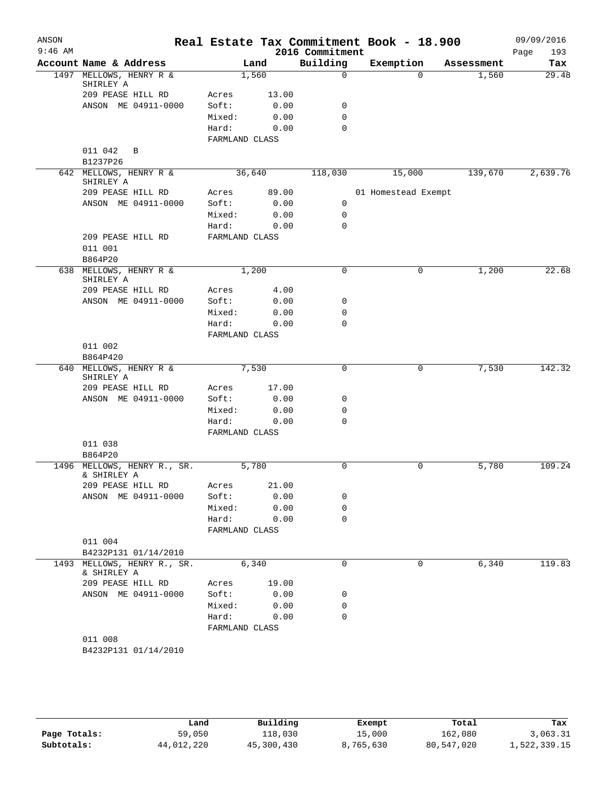| ANSON<br>$9:46$ AM |                                            |                |       | 2016 Commitment | Real Estate Tax Commitment Book - 18.900 |            | 09/09/2016<br>Page<br>193 |
|--------------------|--------------------------------------------|----------------|-------|-----------------|------------------------------------------|------------|---------------------------|
|                    | Account Name & Address                     |                | Land  | Building        | Exemption                                | Assessment | Tax                       |
|                    | 1497 MELLOWS, HENRY R &                    |                | 1,560 | $\mathbf 0$     | $\Omega$                                 | 1,560      | 29.48                     |
|                    | SHIRLEY A<br>209 PEASE HILL RD             | Acres          | 13.00 |                 |                                          |            |                           |
|                    | ANSON ME 04911-0000                        | Soft:          | 0.00  | 0               |                                          |            |                           |
|                    |                                            | Mixed:         | 0.00  | $\mathbf 0$     |                                          |            |                           |
|                    |                                            | Hard:          | 0.00  | $\Omega$        |                                          |            |                           |
|                    |                                            | FARMLAND CLASS |       |                 |                                          |            |                           |
|                    | 011 042<br>B                               |                |       |                 |                                          |            |                           |
|                    | B1237P26                                   |                |       |                 |                                          |            |                           |
|                    | 642 MELLOWS, HENRY R &                     | 36,640         |       | 118,030         | 15,000                                   | 139,670    | 2,639.76                  |
|                    | SHIRLEY A                                  |                |       |                 |                                          |            |                           |
|                    | 209 PEASE HILL RD                          | Acres          | 89.00 |                 | 01 Homestead Exempt                      |            |                           |
|                    | ANSON ME 04911-0000                        | Soft:          | 0.00  | 0               |                                          |            |                           |
|                    |                                            | Mixed:         | 0.00  | 0               |                                          |            |                           |
|                    |                                            | Hard:          | 0.00  | $\mathbf 0$     |                                          |            |                           |
|                    | 209 PEASE HILL RD                          | FARMLAND CLASS |       |                 |                                          |            |                           |
|                    | 011 001                                    |                |       |                 |                                          |            |                           |
|                    | B864P20                                    |                |       | $\mathbf 0$     |                                          |            | 22.68                     |
|                    | 638 MELLOWS, HENRY R &<br>SHIRLEY A        |                | 1,200 |                 | 0                                        | 1,200      |                           |
|                    | 209 PEASE HILL RD                          | Acres          | 4.00  |                 |                                          |            |                           |
|                    | ANSON ME 04911-0000                        | Soft:          | 0.00  | 0               |                                          |            |                           |
|                    |                                            | Mixed:         | 0.00  | $\mathbf 0$     |                                          |            |                           |
|                    |                                            | Hard:          | 0.00  | $\mathbf 0$     |                                          |            |                           |
|                    |                                            | FARMLAND CLASS |       |                 |                                          |            |                           |
|                    | 011 002                                    |                |       |                 |                                          |            |                           |
|                    | B864P420                                   |                |       |                 |                                          |            |                           |
|                    | 640 MELLOWS, HENRY R &<br>SHIRLEY A        |                | 7,530 | $\mathsf 0$     | 0                                        | 7,530      | 142.32                    |
|                    | 209 PEASE HILL RD                          | Acres          | 17.00 |                 |                                          |            |                           |
|                    | ANSON ME 04911-0000                        | Soft:          | 0.00  | 0               |                                          |            |                           |
|                    |                                            | Mixed:         | 0.00  | $\mathbf 0$     |                                          |            |                           |
|                    |                                            | Hard:          | 0.00  | $\Omega$        |                                          |            |                           |
|                    |                                            | FARMLAND CLASS |       |                 |                                          |            |                           |
|                    | 011 038                                    |                |       |                 |                                          |            |                           |
|                    | B864P20                                    |                |       |                 |                                          |            |                           |
|                    | 1496 MELLOWS, HENRY R., SR.<br>& SHIRLEY A |                | 5,780 | $\mathbf 0$     | 0                                        | 5,780      | 109.24                    |
|                    | 209 PEASE HILL RD                          | Acres          | 21.00 |                 |                                          |            |                           |
|                    | ANSON ME 04911-0000                        | Soft:          | 0.00  | 0               |                                          |            |                           |
|                    |                                            | Mixed:         | 0.00  | 0               |                                          |            |                           |
|                    |                                            | Hard:          | 0.00  | $\mathbf 0$     |                                          |            |                           |
|                    |                                            | FARMLAND CLASS |       |                 |                                          |            |                           |
|                    | 011 004                                    |                |       |                 |                                          |            |                           |
|                    | B4232P131 01/14/2010                       |                |       |                 |                                          |            |                           |
|                    | 1493 MELLOWS, HENRY R., SR.<br>& SHIRLEY A |                | 6,340 | $\Omega$        | 0                                        | 6,340      | 119.83                    |
|                    | 209 PEASE HILL RD                          | Acres          | 19.00 |                 |                                          |            |                           |
|                    | ANSON ME 04911-0000                        | Soft:          | 0.00  | 0               |                                          |            |                           |
|                    |                                            | Mixed:         | 0.00  | 0               |                                          |            |                           |
|                    |                                            | Hard:          | 0.00  | $\mathbf 0$     |                                          |            |                           |
|                    |                                            | FARMLAND CLASS |       |                 |                                          |            |                           |
|                    | 011 008                                    |                |       |                 |                                          |            |                           |
|                    | B4232P131 01/14/2010                       |                |       |                 |                                          |            |                           |
|                    |                                            |                |       |                 |                                          |            |                           |

|              | Land       | Building   | Exempt    | Total      | Tax          |
|--------------|------------|------------|-----------|------------|--------------|
| Page Totals: | 59,050     | 118,030    | 15,000    | 162,080    | 3,063.31     |
| Subtotals:   | 44,012,220 | 45,300,430 | 8,765,630 | 80,547,020 | 1,522,339.15 |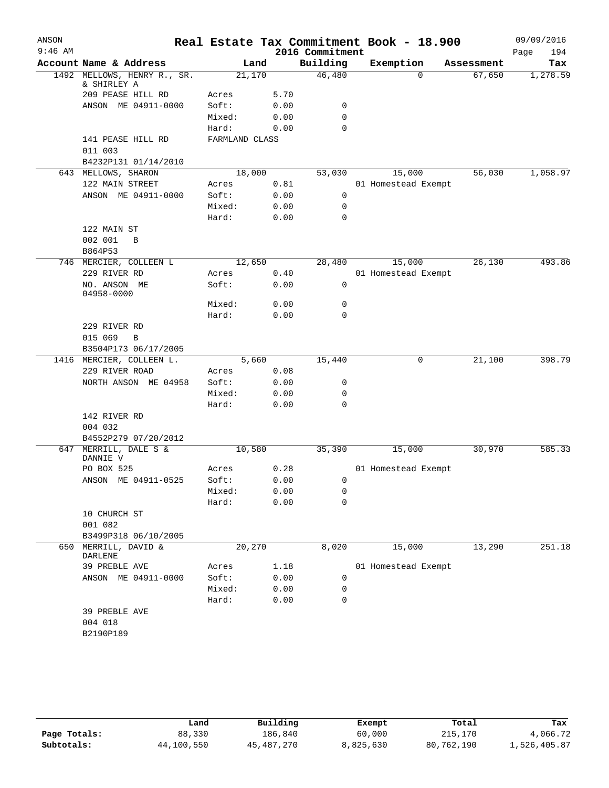| ANSON     |                                       |                |       |                 | Real Estate Tax Commitment Book - 18.900 |            | 09/09/2016  |
|-----------|---------------------------------------|----------------|-------|-----------------|------------------------------------------|------------|-------------|
| $9:46$ AM |                                       |                |       | 2016 Commitment |                                          |            | Page<br>194 |
|           | Account Name & Address                |                | Land  | Building        | Exemption                                | Assessment | Tax         |
| 1492      | MELLOWS, HENRY R., SR.<br>& SHIRLEY A | 21,170         |       | 46,480          | $\Omega$                                 | 67,650     | 1,278.59    |
|           | 209 PEASE HILL RD                     | Acres          | 5.70  |                 |                                          |            |             |
|           | ANSON ME 04911-0000                   | Soft:          | 0.00  | 0               |                                          |            |             |
|           |                                       | Mixed:         | 0.00  | 0               |                                          |            |             |
|           |                                       | Hard:          | 0.00  | $\mathbf 0$     |                                          |            |             |
|           | 141 PEASE HILL RD                     | FARMLAND CLASS |       |                 |                                          |            |             |
|           | 011 003                               |                |       |                 |                                          |            |             |
|           | B4232P131 01/14/2010                  |                |       |                 |                                          |            |             |
|           | 643 MELLOWS, SHARON                   | 18,000         |       | 53,030          | 15,000                                   | 56,030     | 1,058.97    |
|           | 122 MAIN STREET                       | Acres          | 0.81  |                 | 01 Homestead Exempt                      |            |             |
|           | ANSON ME 04911-0000                   | Soft:          | 0.00  | 0               |                                          |            |             |
|           |                                       | Mixed:         | 0.00  | 0               |                                          |            |             |
|           |                                       | Hard:          | 0.00  | $\mathbf 0$     |                                          |            |             |
|           | 122 MAIN ST                           |                |       |                 |                                          |            |             |
|           | 002 001<br>B                          |                |       |                 |                                          |            |             |
|           | B864P53                               |                |       |                 |                                          |            |             |
|           | 746 MERCIER, COLLEEN L                | 12,650         |       | 28,480          | 15,000                                   | 26,130     | 493.86      |
|           | 229 RIVER RD                          | Acres          | 0.40  |                 | 01 Homestead Exempt                      |            |             |
|           | NO. ANSON ME<br>04958-0000            | Soft:          | 0.00  | 0               |                                          |            |             |
|           |                                       | Mixed:         | 0.00  | 0               |                                          |            |             |
|           |                                       | Hard:          | 0.00  | 0               |                                          |            |             |
|           | 229 RIVER RD                          |                |       |                 |                                          |            |             |
|           | 015 069<br>$\mathbf B$                |                |       |                 |                                          |            |             |
|           | B3504P173 06/17/2005                  |                |       |                 |                                          |            |             |
|           | 1416 MERCIER, COLLEEN L.              |                | 5,660 | 15,440          | 0                                        | 21,100     | 398.79      |
|           | 229 RIVER ROAD                        | Acres          | 0.08  |                 |                                          |            |             |
|           | NORTH ANSON ME 04958                  | Soft:          | 0.00  | 0               |                                          |            |             |
|           |                                       | Mixed:         | 0.00  | 0               |                                          |            |             |
|           |                                       | Hard:          | 0.00  | $\mathbf 0$     |                                          |            |             |
|           | 142 RIVER RD                          |                |       |                 |                                          |            |             |
|           | 004 032                               |                |       |                 |                                          |            |             |
|           | B4552P279 07/20/2012                  |                |       |                 |                                          |            |             |
| 647       | MERRILL, DALE S &<br>DANNIE V         | 10,580         |       | 35,390          | 15,000                                   | 30,970     | 585.33      |
|           | PO BOX 525                            | Acres          | 0.28  |                 | 01 Homestead Exempt                      |            |             |
|           | ANSON ME 04911-0525                   | Soft:          | 0.00  | $\mathbf{0}$    |                                          |            |             |
|           |                                       | Mixed:         | 0.00  | 0               |                                          |            |             |
|           |                                       | Hard:          | 0.00  | $\Omega$        |                                          |            |             |
|           | 10 CHURCH ST                          |                |       |                 |                                          |            |             |
|           | 001 082                               |                |       |                 |                                          |            |             |
|           | B3499P318 06/10/2005                  |                |       |                 |                                          |            |             |
|           | 650 MERRILL, DAVID &<br>DARLENE       | 20,270         |       | 8,020           | 15,000                                   | 13,290     | 251.18      |
|           | 39 PREBLE AVE                         | Acres          | 1.18  |                 | 01 Homestead Exempt                      |            |             |
|           | ANSON ME 04911-0000                   | Soft:          | 0.00  | 0               |                                          |            |             |
|           |                                       | Mixed:         | 0.00  | 0               |                                          |            |             |
|           |                                       | Hard:          | 0.00  | 0               |                                          |            |             |
|           | 39 PREBLE AVE                         |                |       |                 |                                          |            |             |
|           | 004 018                               |                |       |                 |                                          |            |             |
|           | B2190P189                             |                |       |                 |                                          |            |             |
|           |                                       |                |       |                 |                                          |            |             |

|              | Land       | Building   | Exempt    | Total      | Tax          |
|--------------|------------|------------|-----------|------------|--------------|
| Page Totals: | 88,330     | 186,840    | 60,000    | 215,170    | 4,066.72     |
| Subtotals:   | 44,100,550 | 45,487,270 | 8,825,630 | 80,762,190 | 1,526,405.87 |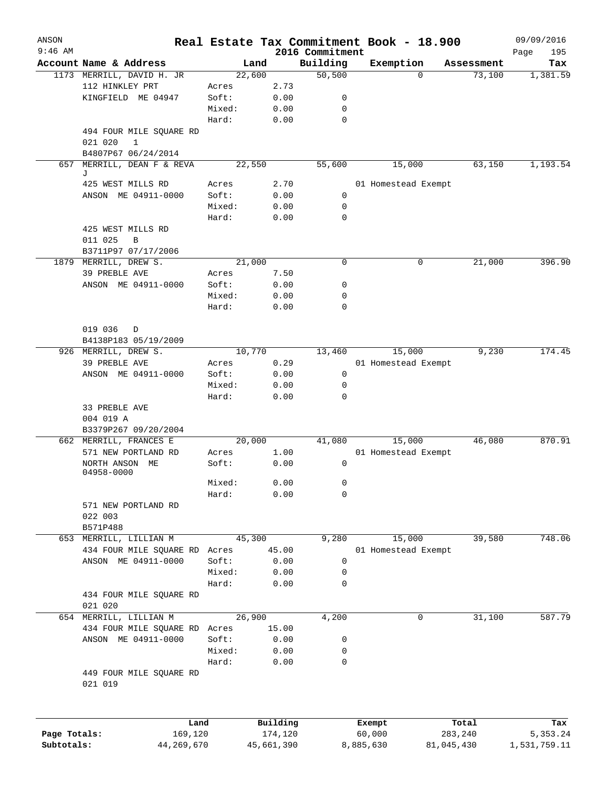| ANSON<br>$9:46$ AM |                               | Real Estate Tax Commitment Book - 18.900 |                     | 2016 Commitment |                     |                  |            | 09/09/2016<br>Page<br>195 |
|--------------------|-------------------------------|------------------------------------------|---------------------|-----------------|---------------------|------------------|------------|---------------------------|
|                    | Account Name & Address        | Land                                     |                     | Building        | Exemption           |                  | Assessment | Tax                       |
|                    | 1173 MERRILL, DAVID H. JR     | 22,600                                   |                     | 50,500          |                     | $\Omega$         | 73,100     | 1,381.59                  |
|                    | 112 HINKLEY PRT               | Acres                                    | 2.73                |                 |                     |                  |            |                           |
|                    | KINGFIELD ME 04947            | Soft:                                    | 0.00                | 0               |                     |                  |            |                           |
|                    |                               | Mixed:                                   | 0.00                | 0               |                     |                  |            |                           |
|                    |                               | Hard:                                    | 0.00                | 0               |                     |                  |            |                           |
|                    |                               |                                          |                     |                 |                     |                  |            |                           |
|                    | 494 FOUR MILE SQUARE RD       |                                          |                     |                 |                     |                  |            |                           |
|                    | 021 020<br>1                  |                                          |                     |                 |                     |                  |            |                           |
|                    | B4807P67 06/24/2014           | 22,550                                   |                     | 55,600          | 15,000              |                  | 63,150     | 1,193.54                  |
| 657                | MERRILL, DEAN F & REVA<br>J   |                                          |                     |                 |                     |                  |            |                           |
|                    | 425 WEST MILLS RD             | Acres                                    | 2.70                |                 | 01 Homestead Exempt |                  |            |                           |
|                    | ANSON ME 04911-0000           | Soft:                                    | 0.00                | 0               |                     |                  |            |                           |
|                    |                               | Mixed:                                   | 0.00                | 0               |                     |                  |            |                           |
|                    |                               | Hard:                                    | 0.00                | $\mathbf 0$     |                     |                  |            |                           |
|                    | 425 WEST MILLS RD             |                                          |                     |                 |                     |                  |            |                           |
|                    | 011 025<br>B                  |                                          |                     |                 |                     |                  |            |                           |
|                    | B3711P97 07/17/2006           |                                          |                     |                 |                     |                  |            |                           |
|                    |                               | 21,000                                   |                     | $\mathbf 0$     |                     | 0                | 21,000     | 396.90                    |
|                    | 1879 MERRILL, DREW S.         |                                          |                     |                 |                     |                  |            |                           |
|                    | 39 PREBLE AVE                 | Acres                                    | 7.50                |                 |                     |                  |            |                           |
|                    | ANSON ME 04911-0000           | Soft:                                    | 0.00                | 0               |                     |                  |            |                           |
|                    |                               | Mixed:                                   | 0.00                | 0               |                     |                  |            |                           |
|                    |                               | Hard:                                    | 0.00                | 0               |                     |                  |            |                           |
|                    |                               |                                          |                     |                 |                     |                  |            |                           |
|                    | 019 036<br>D                  |                                          |                     |                 |                     |                  |            |                           |
|                    | B4138P183 05/19/2009          |                                          |                     |                 |                     |                  |            |                           |
|                    | 926 MERRILL, DREW S.          | 10,770                                   |                     | 13,460          | 15,000              |                  | 9,230      | 174.45                    |
|                    | 39 PREBLE AVE                 | Acres                                    | 0.29                |                 | 01 Homestead Exempt |                  |            |                           |
|                    | ANSON ME 04911-0000           | Soft:                                    | 0.00                | $\mathbf 0$     |                     |                  |            |                           |
|                    |                               | Mixed:                                   | 0.00                | 0               |                     |                  |            |                           |
|                    |                               | Hard:                                    | 0.00                | 0               |                     |                  |            |                           |
|                    | 33 PREBLE AVE                 |                                          |                     |                 |                     |                  |            |                           |
|                    | 004 019 A                     |                                          |                     |                 |                     |                  |            |                           |
|                    | B3379P267 09/20/2004          |                                          |                     |                 |                     |                  |            |                           |
|                    | 662 MERRILL, FRANCES E        | 20,000                                   |                     | 41,080          | 15,000              |                  | 46,080     | 870.91                    |
|                    | 571 NEW PORTLAND RD           | Acres                                    | 1.00                |                 | 01 Homestead Exempt |                  |            |                           |
|                    |                               | Soft:                                    | 0.00                | 0               |                     |                  |            |                           |
|                    | NORTH ANSON ME<br>04958-0000  |                                          |                     |                 |                     |                  |            |                           |
|                    |                               | Mixed:                                   | 0.00                | 0               |                     |                  |            |                           |
|                    |                               | Hard:                                    | 0.00                | 0               |                     |                  |            |                           |
|                    |                               |                                          |                     |                 |                     |                  |            |                           |
|                    | 571 NEW PORTLAND RD           |                                          |                     |                 |                     |                  |            |                           |
|                    | 022 003                       |                                          |                     |                 |                     |                  |            |                           |
|                    | B571P488                      |                                          |                     |                 |                     |                  |            |                           |
|                    | 653 MERRILL, LILLIAN M        | 45,300                                   |                     | 9,280           | 15,000              |                  | 39,580     | 748.06                    |
|                    | 434 FOUR MILE SQUARE RD Acres |                                          | 45.00               |                 | 01 Homestead Exempt |                  |            |                           |
|                    | ANSON ME 04911-0000           | Soft:                                    | 0.00                | 0               |                     |                  |            |                           |
|                    |                               | Mixed:                                   | 0.00                | 0               |                     |                  |            |                           |
|                    |                               | Hard:                                    | 0.00                | 0               |                     |                  |            |                           |
|                    | 434 FOUR MILE SQUARE RD       |                                          |                     |                 |                     |                  |            |                           |
|                    | 021 020                       |                                          |                     |                 |                     |                  |            |                           |
|                    | 654 MERRILL, LILLIAN M        | 26,900                                   |                     | 4,200           |                     | 0                | 31,100     | 587.79                    |
|                    | 434 FOUR MILE SQUARE RD Acres |                                          | 15.00               |                 |                     |                  |            |                           |
|                    | ANSON ME 04911-0000           | Soft:                                    | 0.00                | 0               |                     |                  |            |                           |
|                    |                               | Mixed:                                   | 0.00                | 0               |                     |                  |            |                           |
|                    |                               | Hard:                                    | 0.00                | 0               |                     |                  |            |                           |
|                    | 449 FOUR MILE SQUARE RD       |                                          |                     |                 |                     |                  |            |                           |
|                    | 021 019                       |                                          |                     |                 |                     |                  |            |                           |
|                    |                               |                                          |                     |                 |                     |                  |            |                           |
| Page Totals:       | Land<br>169,120               |                                          | Building<br>174,120 |                 | Exempt<br>60,000    | Total<br>283,240 |            | Tax<br>5,353.24           |
| Subtotals:         | 44,269,670                    |                                          | 45,661,390          |                 | 8,885,630           | 81,045,430       |            | 1,531,759.11              |
|                    |                               |                                          |                     |                 |                     |                  |            |                           |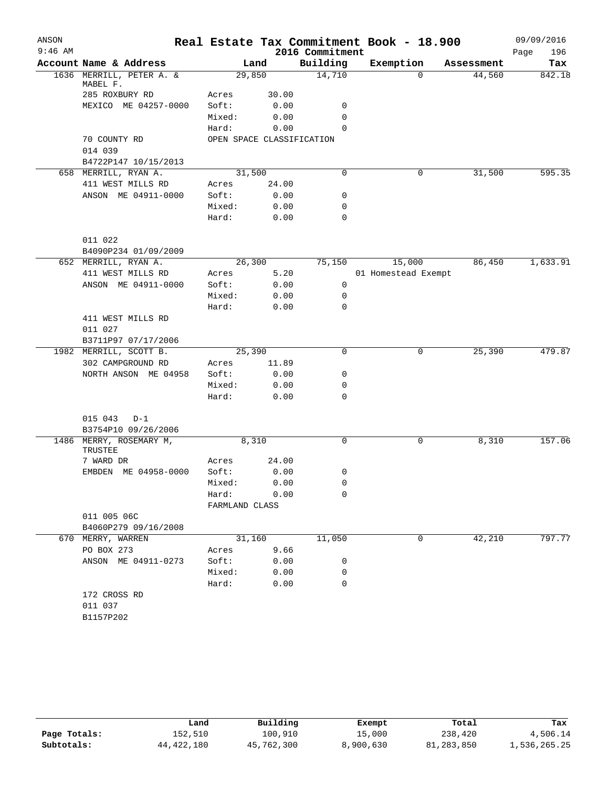| ANSON     |                                              |                |         |        | Real Estate Tax Commitment Book - 18.900 |                     |   |            | 09/09/2016  |
|-----------|----------------------------------------------|----------------|---------|--------|------------------------------------------|---------------------|---|------------|-------------|
| $9:46$ AM |                                              |                |         |        | 2016 Commitment                          |                     |   |            | Page<br>196 |
|           | Account Name & Address                       |                | Land    |        | Building                                 | Exemption           |   | Assessment | Tax         |
|           | 1636 MERRILL, PETER A. &<br>MABEL F.         |                | 29,850  |        | 14,710                                   |                     | 0 | 44,560     | 842.18      |
|           | 285 ROXBURY RD                               | Acres          |         | 30.00  |                                          |                     |   |            |             |
|           | MEXICO ME 04257-0000                         | Soft:          |         | 0.00   | 0                                        |                     |   |            |             |
|           |                                              | Mixed:         |         | 0.00   | 0                                        |                     |   |            |             |
|           |                                              | Hard:          |         | 0.00   | $\Omega$                                 |                     |   |            |             |
|           | 70 COUNTY RD                                 |                |         |        | OPEN SPACE CLASSIFICATION                |                     |   |            |             |
|           | 014 039                                      |                |         |        |                                          |                     |   |            |             |
|           | B4722P147 10/15/2013                         |                |         |        |                                          |                     |   |            |             |
|           | 658 MERRILL, RYAN A.                         |                | 31,500  |        | 0                                        |                     | 0 | 31,500     | 595.35      |
|           | 411 WEST MILLS RD                            | Acres          |         | 24.00  |                                          |                     |   |            |             |
|           | ANSON ME 04911-0000                          | Soft:          |         | 0.00   | 0                                        |                     |   |            |             |
|           |                                              | Mixed:         |         | 0.00   | 0                                        |                     |   |            |             |
|           |                                              | Hard:          |         | 0.00   | 0                                        |                     |   |            |             |
|           |                                              |                |         |        |                                          |                     |   |            |             |
|           | 011 022                                      |                |         |        |                                          |                     |   |            |             |
|           | B4090P234 01/09/2009<br>652 MERRILL, RYAN A. |                | 26, 300 |        | 75,150                                   | 15,000              |   | 86,450     | 1,633.91    |
|           | 411 WEST MILLS RD                            | Acres          |         | 5.20   |                                          | 01 Homestead Exempt |   |            |             |
|           | ANSON ME 04911-0000                          | Soft:          |         | 0.00   | 0                                        |                     |   |            |             |
|           |                                              | Mixed:         |         | 0.00   | 0                                        |                     |   |            |             |
|           |                                              | Hard:          |         | 0.00   | 0                                        |                     |   |            |             |
|           | 411 WEST MILLS RD                            |                |         |        |                                          |                     |   |            |             |
|           | 011 027                                      |                |         |        |                                          |                     |   |            |             |
|           | B3711P97 07/17/2006                          |                |         |        |                                          |                     |   |            |             |
|           | 1982 MERRILL, SCOTT B.                       |                | 25,390  |        | $\Omega$                                 |                     | 0 | 25,390     | 479.87      |
|           | 302 CAMPGROUND RD                            | Acres          |         | 11.89  |                                          |                     |   |            |             |
|           | NORTH ANSON ME 04958                         | Soft:          |         | 0.00   | 0                                        |                     |   |            |             |
|           |                                              | Mixed:         |         | 0.00   | 0                                        |                     |   |            |             |
|           |                                              | Hard:          |         | 0.00   | 0                                        |                     |   |            |             |
|           |                                              |                |         |        |                                          |                     |   |            |             |
|           | 015 043<br>$D-1$                             |                |         |        |                                          |                     |   |            |             |
|           | B3754P10 09/26/2006                          |                |         |        |                                          |                     |   |            |             |
|           | 1486 MERRY, ROSEMARY M,<br>TRUSTEE           |                | 8,310   |        | 0                                        |                     | 0 | 8,310      | 157.06      |
|           | 7 WARD DR                                    | Acres          |         | 24.00  |                                          |                     |   |            |             |
|           | EMBDEN ME 04958-0000                         | Soft:          |         | 0.00   | 0                                        |                     |   |            |             |
|           |                                              | Mixed:         |         | 0.00   | $\overline{\phantom{0}}$                 |                     |   |            |             |
|           |                                              | Hard: 0.00     |         |        | 0                                        |                     |   |            |             |
|           |                                              | FARMLAND CLASS |         |        |                                          |                     |   |            |             |
|           | 011 005 06C                                  |                |         |        |                                          |                     |   |            |             |
|           | B4060P279 09/16/2008                         |                |         |        |                                          |                     |   |            |             |
|           | 670 MERRY, WARREN                            |                |         | 31,160 | 11,050                                   |                     | 0 | 42,210     | 797.77      |
|           | PO BOX 273                                   | Acres          |         | 9.66   |                                          |                     |   |            |             |
|           | ANSON ME 04911-0273                          | Soft:          |         | 0.00   | 0                                        |                     |   |            |             |
|           |                                              | Mixed:         |         | 0.00   | $\mathbf 0$                              |                     |   |            |             |
|           |                                              | Hard:          |         | 0.00   | $\Omega$                                 |                     |   |            |             |
|           | 172 CROSS RD<br>011 037                      |                |         |        |                                          |                     |   |            |             |
|           | B1157P202                                    |                |         |        |                                          |                     |   |            |             |
|           |                                              |                |         |        |                                          |                     |   |            |             |

|              | Land         | Building   | Exempt    | Total        | Tax          |
|--------------|--------------|------------|-----------|--------------|--------------|
| Page Totals: | 152,510      | 100,910    | 15,000    | 238,420      | 4,506.14     |
| Subtotals:   | 44, 422, 180 | 45,762,300 | 8,900,630 | 81, 283, 850 | 1,536,265.25 |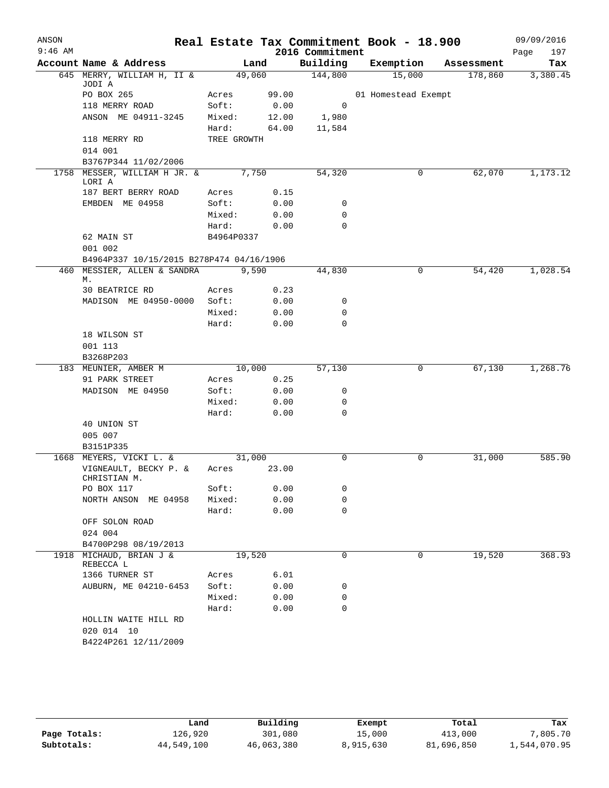| ANSON     |                                                                         |             |       |                 | Real Estate Tax Commitment Book - 18.900 |            | 09/09/2016  |
|-----------|-------------------------------------------------------------------------|-------------|-------|-----------------|------------------------------------------|------------|-------------|
| $9:46$ AM |                                                                         |             |       | 2016 Commitment |                                          |            | Page<br>197 |
|           | Account Name & Address                                                  |             | Land  | Building        | Exemption                                | Assessment | Tax         |
|           | 645 MERRY, WILLIAM H, II &<br>JODI A                                    | 49,060      |       | 144,800         | 15,000                                   | 178,860    | 3,380.45    |
|           | PO BOX 265                                                              | Acres       | 99.00 |                 | 01 Homestead Exempt                      |            |             |
|           | 118 MERRY ROAD                                                          | Soft:       | 0.00  | 0               |                                          |            |             |
|           | ANSON ME 04911-3245                                                     | Mixed:      | 12.00 | 1,980           |                                          |            |             |
|           |                                                                         | Hard:       | 64.00 | 11,584          |                                          |            |             |
|           | 118 MERRY RD                                                            | TREE GROWTH |       |                 |                                          |            |             |
|           | 014 001                                                                 |             |       |                 |                                          |            |             |
|           | B3767P344 11/02/2006                                                    |             |       |                 |                                          |            |             |
|           | 1758 MESSER, WILLIAM H JR. &                                            |             | 7,750 | 54,320          | 0                                        | 62,070     | 1,173.12    |
|           | LORI A<br>187 BERT BERRY ROAD                                           | Acres       | 0.15  |                 |                                          |            |             |
|           |                                                                         |             |       |                 |                                          |            |             |
|           | EMBDEN ME 04958                                                         | Soft:       | 0.00  | 0<br>0          |                                          |            |             |
|           |                                                                         | Mixed:      | 0.00  | $\mathbf 0$     |                                          |            |             |
|           |                                                                         | Hard:       | 0.00  |                 |                                          |            |             |
|           | 62 MAIN ST                                                              | B4964P0337  |       |                 |                                          |            |             |
|           | 001 002                                                                 |             |       |                 |                                          |            |             |
|           | B4964P337 10/15/2015 B278P474 04/16/1906<br>460 MESSIER, ALLEN & SANDRA |             | 9,590 | 44,830          | 0                                        | 54,420     | 1,028.54    |
|           | М.                                                                      |             |       |                 |                                          |            |             |
|           | <b>30 BEATRICE RD</b>                                                   | Acres       | 0.23  |                 |                                          |            |             |
|           | MADISON ME 04950-0000                                                   | Soft:       | 0.00  | 0               |                                          |            |             |
|           |                                                                         | Mixed:      | 0.00  | 0               |                                          |            |             |
|           |                                                                         | Hard:       | 0.00  | 0               |                                          |            |             |
|           | 18 WILSON ST                                                            |             |       |                 |                                          |            |             |
|           | 001 113                                                                 |             |       |                 |                                          |            |             |
|           | B3268P203                                                               |             |       |                 |                                          |            |             |
|           | 183 MEUNIER, AMBER M                                                    | 10,000      |       | 57,130          | 0                                        | 67,130     | 1,268.76    |
|           | 91 PARK STREET                                                          | Acres       | 0.25  |                 |                                          |            |             |
|           | MADISON ME 04950                                                        | Soft:       | 0.00  | 0               |                                          |            |             |
|           |                                                                         | Mixed:      | 0.00  | 0               |                                          |            |             |
|           |                                                                         | Hard:       | 0.00  | 0               |                                          |            |             |
|           | 40 UNION ST                                                             |             |       |                 |                                          |            |             |
|           | 005 007                                                                 |             |       |                 |                                          |            |             |
|           | B3151P335                                                               |             |       |                 |                                          |            |             |
|           | 1668 MEYERS, VICKI L. &                                                 | 31,000      |       | 0               | 0                                        | 31,000     | 585.90      |
|           | VIGNEAULT, BECKY P. &<br>CHRISTIAN M.                                   | Acres       | 23.00 |                 |                                          |            |             |
|           | PO BOX 117                                                              | Soft:       | 0.00  | 0               |                                          |            |             |
|           | NORTH ANSON ME 04958                                                    | Mixed:      | 0.00  | $\mathbf 0$     |                                          |            |             |
|           |                                                                         | Hard:       | 0.00  | $\mathbf 0$     |                                          |            |             |
|           | OFF SOLON ROAD                                                          |             |       |                 |                                          |            |             |
|           | 024 004                                                                 |             |       |                 |                                          |            |             |
|           | B4700P298 08/19/2013                                                    |             |       |                 |                                          |            |             |
|           | 1918 MICHAUD, BRIAN J &<br>REBECCA L                                    | 19,520      |       | 0               | 0                                        | 19,520     | 368.93      |
|           | 1366 TURNER ST                                                          | Acres       | 6.01  |                 |                                          |            |             |
|           | AUBURN, ME 04210-6453                                                   | Soft:       | 0.00  | 0               |                                          |            |             |
|           |                                                                         | Mixed:      | 0.00  | 0               |                                          |            |             |
|           |                                                                         | Hard:       | 0.00  | 0               |                                          |            |             |
|           | HOLLIN WAITE HILL RD                                                    |             |       |                 |                                          |            |             |
|           | 020 014 10                                                              |             |       |                 |                                          |            |             |
|           | B4224P261 12/11/2009                                                    |             |       |                 |                                          |            |             |
|           |                                                                         |             |       |                 |                                          |            |             |

|              | Land       | Building   | Exempt    | Total      | Tax          |
|--------------|------------|------------|-----------|------------|--------------|
| Page Totals: | 126,920    | 301,080    | 15,000    | 413,000    | 7,805.70     |
| Subtotals:   | 44,549,100 | 46,063,380 | 8,915,630 | 81,696,850 | 1,544,070.95 |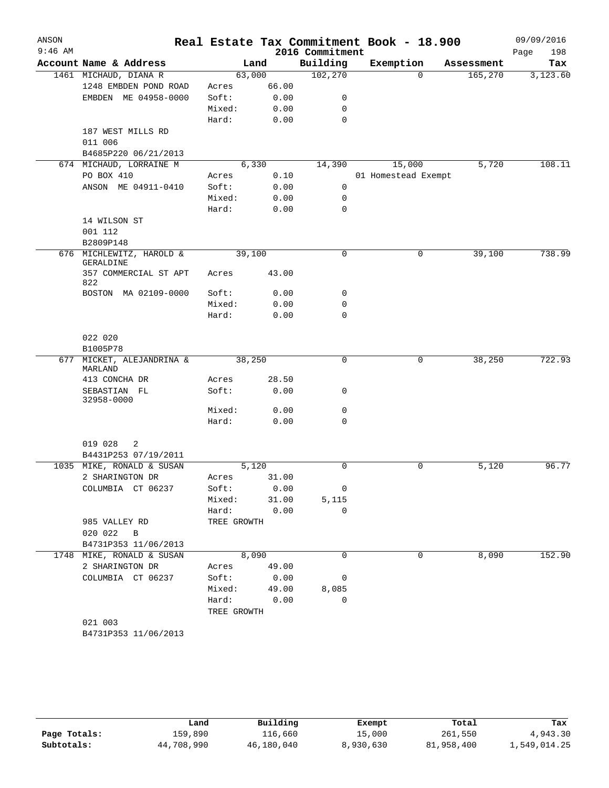| ANSON     |                                                 |                |              |                 | Real Estate Tax Commitment Book - 18.900 |            | 09/09/2016  |
|-----------|-------------------------------------------------|----------------|--------------|-----------------|------------------------------------------|------------|-------------|
| $9:46$ AM |                                                 |                |              | 2016 Commitment |                                          |            | Page<br>198 |
|           | Account Name & Address                          |                | Land         | Building        | Exemption                                | Assessment | Tax         |
|           | 1461 MICHAUD, DIANA R                           | 63,000         |              | 102,270         | $\Omega$                                 | 165,270    | 3,123.60    |
|           | 1248 EMBDEN POND ROAD                           | Acres          | 66.00        |                 |                                          |            |             |
|           | EMBDEN ME 04958-0000                            | Soft:          | 0.00         | 0               |                                          |            |             |
|           |                                                 | Mixed:         | 0.00         | 0               |                                          |            |             |
|           |                                                 | Hard:          | 0.00         | $\mathbf 0$     |                                          |            |             |
|           | 187 WEST MILLS RD                               |                |              |                 |                                          |            |             |
|           | 011 006                                         |                |              |                 |                                          |            |             |
|           | B4685P220 06/21/2013<br>674 MICHAUD, LORRAINE M | 6,330          |              |                 |                                          | 5,720      | 108.11      |
|           |                                                 |                |              | 14,390          | 15,000                                   |            |             |
|           | PO BOX 410<br>ANSON ME 04911-0410               | Acres<br>Soft: | 0.10<br>0.00 | 0               | 01 Homestead Exempt                      |            |             |
|           |                                                 | Mixed:         | 0.00         | 0               |                                          |            |             |
|           |                                                 | Hard:          | 0.00         | $\mathbf 0$     |                                          |            |             |
|           | 14 WILSON ST                                    |                |              |                 |                                          |            |             |
|           | 001 112                                         |                |              |                 |                                          |            |             |
|           | B2809P148                                       |                |              |                 |                                          |            |             |
|           | 676 MICHLEWITZ, HAROLD &<br>GERALDINE           | 39,100         |              | $\mathbf 0$     | 0                                        | 39,100     | 738.99      |
|           | 357 COMMERCIAL ST APT<br>822                    | Acres          | 43.00        |                 |                                          |            |             |
|           | BOSTON MA 02109-0000                            | Soft:          | 0.00         | 0               |                                          |            |             |
|           |                                                 | Mixed:         | 0.00         | 0               |                                          |            |             |
|           |                                                 | Hard:          | 0.00         | $\Omega$        |                                          |            |             |
|           | 022 020                                         |                |              |                 |                                          |            |             |
|           | B1005P78                                        |                |              |                 |                                          |            |             |
| 677       | MICKET, ALEJANDRINA &                           | 38,250         |              | $\mathbf 0$     | 0                                        | 38,250     | 722.93      |
|           | MARLAND                                         |                |              |                 |                                          |            |             |
|           | 413 CONCHA DR                                   | Acres          | 28.50        |                 |                                          |            |             |
|           | SEBASTIAN FL<br>32958-0000                      | Soft:          | 0.00         | 0               |                                          |            |             |
|           |                                                 | Mixed:         | 0.00         | $\mathbf 0$     |                                          |            |             |
|           |                                                 | Hard:          | 0.00         | $\mathbf 0$     |                                          |            |             |
|           | 019 028<br>2<br>B4431P253 07/19/2011            |                |              |                 |                                          |            |             |
|           | 1035 MIKE, RONALD & SUSAN                       | 5,120          |              | $\mathbf 0$     | 0                                        | 5,120      | 96.77       |
|           | 2 SHARINGTON DR                                 | Acres          | 31.00        |                 |                                          |            |             |
|           | COLUMBIA CT 06237                               | Soft:          | 0.00         | 0               |                                          |            |             |
|           |                                                 | Mixed:         | 31.00        | 5,115           |                                          |            |             |
|           |                                                 | Hard:          | 0.00         | $\mathbf 0$     |                                          |            |             |
|           | 985 VALLEY RD                                   | TREE GROWTH    |              |                 |                                          |            |             |
|           | 020 022<br>$\overline{B}$                       |                |              |                 |                                          |            |             |
|           | B4731P353 11/06/2013                            |                |              |                 |                                          |            |             |
|           | 1748 MIKE, RONALD & SUSAN                       |                | 8,090        | 0               | 0                                        | 8,090      | 152.90      |
|           | 2 SHARINGTON DR                                 | Acres          | 49.00        |                 |                                          |            |             |
|           | COLUMBIA CT 06237                               | Soft:          | 0.00         | 0               |                                          |            |             |
|           |                                                 | Mixed:         | 49.00        | 8,085           |                                          |            |             |
|           |                                                 | Hard:          | 0.00         | $\mathbf 0$     |                                          |            |             |
|           |                                                 | TREE GROWTH    |              |                 |                                          |            |             |
|           | 021 003                                         |                |              |                 |                                          |            |             |
|           | B4731P353 11/06/2013                            |                |              |                 |                                          |            |             |
|           |                                                 |                |              |                 |                                          |            |             |

|              | Land       | Building   | Exempt    | Total      | Tax          |
|--------------|------------|------------|-----------|------------|--------------|
| Page Totals: | 159,890    | 116,660    | 15,000    | 261,550    | 4,943.30     |
| Subtotals:   | 44,708,990 | 46,180,040 | 8,930,630 | 81,958,400 | 1,549,014.25 |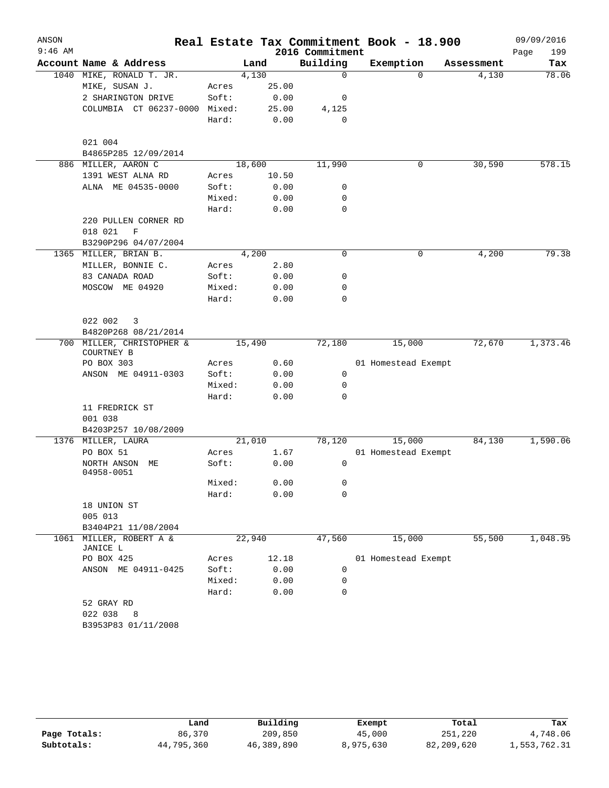| ANSON     |                                     |        |        |                             | Real Estate Tax Commitment Book - 18.900 |            | 09/09/2016         |
|-----------|-------------------------------------|--------|--------|-----------------------------|------------------------------------------|------------|--------------------|
| $9:46$ AM | Account Name & Address              |        | Land   | 2016 Commitment<br>Building | Exemption                                | Assessment | Page<br>199<br>Tax |
|           | 1040 MIKE, RONALD T. JR.            |        | 4,130  | $\mathbf 0$                 | $\Omega$                                 | 4,130      | 78.06              |
|           | MIKE, SUSAN J.                      | Acres  | 25.00  |                             |                                          |            |                    |
|           | 2 SHARINGTON DRIVE                  | Soft:  | 0.00   | 0                           |                                          |            |                    |
|           | COLUMBIA CT 06237-0000 Mixed:       |        | 25.00  |                             |                                          |            |                    |
|           |                                     | Hard:  | 0.00   | 4,125<br>$\mathbf 0$        |                                          |            |                    |
|           |                                     |        |        |                             |                                          |            |                    |
|           | 021 004<br>B4865P285 12/09/2014     |        |        |                             |                                          |            |                    |
|           | 886 MILLER, AARON C                 |        | 18,600 | 11,990                      | 0                                        | 30,590     | 578.15             |
|           | 1391 WEST ALNA RD                   | Acres  | 10.50  |                             |                                          |            |                    |
|           | ALNA ME 04535-0000                  | Soft:  | 0.00   | 0                           |                                          |            |                    |
|           |                                     | Mixed: | 0.00   | 0                           |                                          |            |                    |
|           |                                     | Hard:  | 0.00   | $\mathbf 0$                 |                                          |            |                    |
|           | 220 PULLEN CORNER RD                |        |        |                             |                                          |            |                    |
|           | 018 021<br>$\mathbf F$              |        |        |                             |                                          |            |                    |
|           | B3290P296 04/07/2004                |        |        |                             |                                          |            |                    |
|           | 1365 MILLER, BRIAN B.               |        | 4,200  | $\mathbf 0$                 | 0                                        | 4,200      | 79.38              |
|           | MILLER, BONNIE C.                   | Acres  | 2.80   |                             |                                          |            |                    |
|           | 83 CANADA ROAD                      | Soft:  | 0.00   | 0                           |                                          |            |                    |
|           | MOSCOW ME 04920                     | Mixed: | 0.00   | $\mathbf 0$                 |                                          |            |                    |
|           |                                     | Hard:  | 0.00   | $\mathbf 0$                 |                                          |            |                    |
|           | 022 002<br>3                        |        |        |                             |                                          |            |                    |
|           | B4820P268 08/21/2014                |        |        |                             |                                          |            |                    |
|           | 700 MILLER, CHRISTOPHER &           |        | 15,490 | 72,180                      | 15,000                                   | 72,670     | 1,373.46           |
|           | COURTNEY B                          |        |        |                             |                                          |            |                    |
|           | PO BOX 303                          | Acres  | 0.60   |                             | 01 Homestead Exempt                      |            |                    |
|           | ANSON ME 04911-0303                 | Soft:  | 0.00   | $\mathbf 0$                 |                                          |            |                    |
|           |                                     | Mixed: | 0.00   | $\mathbf 0$                 |                                          |            |                    |
|           |                                     | Hard:  | 0.00   | $\mathbf 0$                 |                                          |            |                    |
|           | 11 FREDRICK ST                      |        |        |                             |                                          |            |                    |
|           | 001 038                             |        |        |                             |                                          |            |                    |
|           | B4203P257 10/08/2009                |        |        |                             |                                          |            |                    |
|           | 1376 MILLER, LAURA                  |        | 21,010 | 78,120                      | 15,000                                   | 84,130     | 1,590.06           |
|           | PO BOX 51                           | Acres  | 1.67   |                             | 01 Homestead Exempt                      |            |                    |
|           | NORTH ANSON ME<br>04958-0051        | Soft:  | 0.00   | $\mathbf 0$                 |                                          |            |                    |
|           |                                     | Mixed: | 0.00   | 0                           |                                          |            |                    |
|           |                                     | Hard:  | 0.00   | 0                           |                                          |            |                    |
|           | 18 UNION ST                         |        |        |                             |                                          |            |                    |
|           | 005 013                             |        |        |                             |                                          |            |                    |
|           | B3404P21 11/08/2004                 |        |        |                             |                                          |            |                    |
|           | 1061 MILLER, ROBERT A &<br>JANICE L |        | 22,940 | 47,560                      | 15,000                                   | 55,500     | 1,048.95           |
|           | PO BOX 425                          | Acres  | 12.18  |                             | 01 Homestead Exempt                      |            |                    |
|           | ANSON ME 04911-0425                 | Soft:  | 0.00   | 0                           |                                          |            |                    |
|           |                                     | Mixed: | 0.00   | 0                           |                                          |            |                    |
|           |                                     | Hard:  | 0.00   | 0                           |                                          |            |                    |
|           | 52 GRAY RD                          |        |        |                             |                                          |            |                    |
|           | 022 038 8                           |        |        |                             |                                          |            |                    |
|           | B3953P83 01/11/2008                 |        |        |                             |                                          |            |                    |
|           |                                     |        |        |                             |                                          |            |                    |

|              | Land       | Building   | Exempt    | Total      | Tax          |
|--------------|------------|------------|-----------|------------|--------------|
| Page Totals: | 86,370     | 209,850    | 45,000    | 251,220    | 4,748.06     |
| Subtotals:   | 44,795,360 | 46,389,890 | 8,975,630 | 82,209,620 | 1,553,762.31 |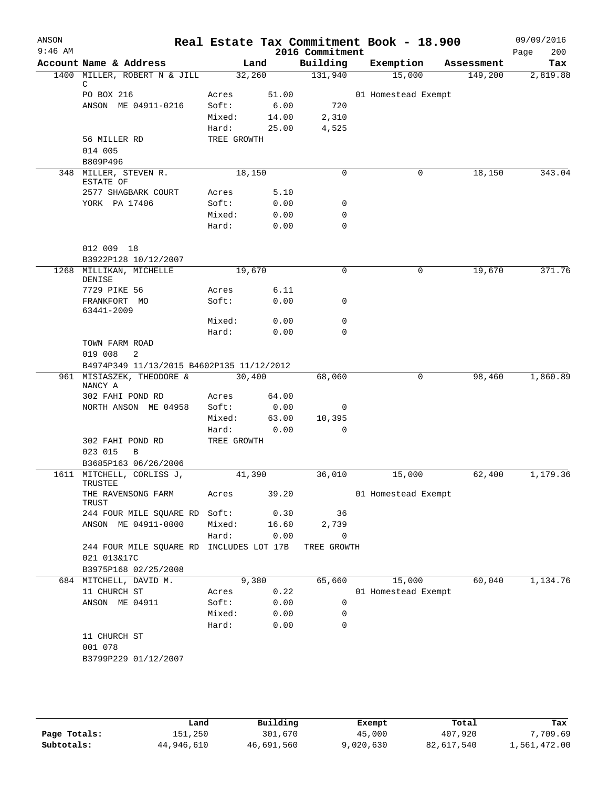| ANSON<br>$9:46$ AM |                                                |             |        | Real Estate Tax Commitment Book - 18.900<br>2016 Commitment |                     |            | 09/09/2016<br>200<br>Page |
|--------------------|------------------------------------------------|-------------|--------|-------------------------------------------------------------|---------------------|------------|---------------------------|
|                    | Account Name & Address                         |             | Land   | Building                                                    | Exemption           | Assessment | Tax                       |
|                    | 1400 MILLER, ROBERT N & JILL<br>C              |             | 32,260 | 131,940                                                     | 15,000              | 149,200    | 2,819.88                  |
|                    | PO BOX 216                                     | Acres       | 51.00  |                                                             | 01 Homestead Exempt |            |                           |
|                    | ANSON ME 04911-0216                            | Soft:       | 6.00   | 720                                                         |                     |            |                           |
|                    |                                                | Mixed:      | 14.00  | 2,310                                                       |                     |            |                           |
|                    |                                                | Hard:       | 25.00  | 4,525                                                       |                     |            |                           |
|                    | 56 MILLER RD                                   | TREE GROWTH |        |                                                             |                     |            |                           |
|                    | 014 005                                        |             |        |                                                             |                     |            |                           |
|                    | B809P496                                       |             |        |                                                             |                     |            |                           |
|                    | 348 MILLER, STEVEN R.<br>ESTATE OF             |             | 18,150 | $\Omega$                                                    | 0                   | 18,150     | 343.04                    |
|                    | 2577 SHAGBARK COURT                            | Acres       | 5.10   |                                                             |                     |            |                           |
|                    | YORK PA 17406                                  | Soft:       | 0.00   | 0                                                           |                     |            |                           |
|                    |                                                | Mixed:      | 0.00   | 0                                                           |                     |            |                           |
|                    |                                                | Hard:       | 0.00   | 0                                                           |                     |            |                           |
|                    | 012 009 18                                     |             |        |                                                             |                     |            |                           |
|                    | B3922P128 10/12/2007                           | 19,670      |        | 0                                                           | 0                   | 19,670     | 371.76                    |
|                    | 1268 MILLIKAN, MICHELLE<br><b>DENISE</b>       |             |        |                                                             |                     |            |                           |
|                    | 7729 PIKE 56                                   | Acres       | 6.11   |                                                             |                     |            |                           |
|                    | FRANKFORT MO                                   | Soft:       | 0.00   | 0                                                           |                     |            |                           |
|                    | 63441-2009                                     |             |        |                                                             |                     |            |                           |
|                    |                                                | Mixed:      | 0.00   | 0                                                           |                     |            |                           |
|                    |                                                | Hard:       | 0.00   | $\Omega$                                                    |                     |            |                           |
|                    | TOWN FARM ROAD<br>019 008<br>2                 |             |        |                                                             |                     |            |                           |
|                    | B4974P349 11/13/2015 B4602P135 11/12/2012      |             |        |                                                             |                     |            |                           |
|                    | 961 MISIASZEK, THEODORE &                      |             | 30,400 | 68,060                                                      | 0                   | 98,460     | 1,860.89                  |
|                    | NANCY A                                        |             |        |                                                             |                     |            |                           |
|                    | 302 FAHI POND RD                               | Acres       | 64.00  |                                                             |                     |            |                           |
|                    | NORTH ANSON ME 04958                           | Soft:       | 0.00   | 0                                                           |                     |            |                           |
|                    |                                                | Mixed:      | 63.00  | 10,395                                                      |                     |            |                           |
|                    |                                                | Hard:       | 0.00   | 0                                                           |                     |            |                           |
|                    | 302 FAHI POND RD                               | TREE GROWTH |        |                                                             |                     |            |                           |
|                    | 023 015<br>B<br>B3685P163 06/26/2006           |             |        |                                                             |                     |            |                           |
|                    | 1611 MITCHELL, CORLISS J,                      |             | 41,390 | 36,010                                                      | 15,000              | 62,400     | 1,179.36                  |
|                    | TRUSTEE                                        |             |        |                                                             |                     |            |                           |
|                    | THE RAVENSONG FARM<br>TRUST                    | Acres       | 39.20  |                                                             | 01 Homestead Exempt |            |                           |
|                    | 244 FOUR MILE SQUARE RD Soft:                  |             | 0.30   | 36                                                          |                     |            |                           |
|                    | ANSON ME 04911-0000                            | Mixed:      | 16.60  | 2,739                                                       |                     |            |                           |
|                    |                                                | Hard:       | 0.00   | 0                                                           |                     |            |                           |
|                    | 244 FOUR MILE SQUARE RD INCLUDES LOT 17B       |             |        | TREE GROWTH                                                 |                     |            |                           |
|                    | 021 013&17C                                    |             |        |                                                             |                     |            |                           |
|                    | B3975P168 02/25/2008<br>684 MITCHELL, DAVID M. |             | 9,380  | 65,660                                                      | 15,000              | 60,040     | 1,134.76                  |
|                    | 11 CHURCH ST                                   | Acres       | 0.22   |                                                             | 01 Homestead Exempt |            |                           |
|                    | ANSON ME 04911                                 | Soft:       | 0.00   | 0                                                           |                     |            |                           |
|                    |                                                | Mixed:      | 0.00   | 0                                                           |                     |            |                           |
|                    |                                                | Hard:       | 0.00   | 0                                                           |                     |            |                           |
|                    | 11 CHURCH ST                                   |             |        |                                                             |                     |            |                           |
|                    | 001 078                                        |             |        |                                                             |                     |            |                           |
|                    | B3799P229 01/12/2007                           |             |        |                                                             |                     |            |                           |
|                    |                                                |             |        |                                                             |                     |            |                           |
|                    |                                                |             |        |                                                             |                     |            |                           |
|                    |                                                |             |        |                                                             |                     |            |                           |
|                    |                                                |             |        |                                                             |                     |            |                           |

|              | Land       | Building   | Exempt    | Total      | Tax          |
|--------------|------------|------------|-----------|------------|--------------|
| Page Totals: | 151,250    | 301,670    | 45,000    | 407,920    | 7,709.69     |
| Subtotals:   | 44,946,610 | 46,691,560 | 9,020,630 | 82,617,540 | 1,561,472.00 |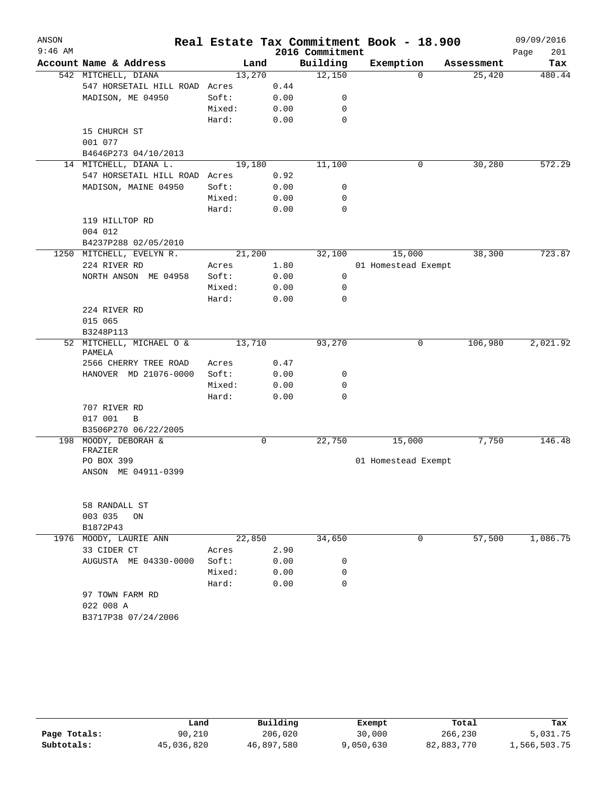| ANSON     |                                               |        |        |                 | Real Estate Tax Commitment Book - 18.900 |            | 09/09/2016  |
|-----------|-----------------------------------------------|--------|--------|-----------------|------------------------------------------|------------|-------------|
| $9:46$ AM |                                               |        |        | 2016 Commitment |                                          |            | Page<br>201 |
|           | Account Name & Address                        |        | Land   | Building        | Exemption                                | Assessment | Tax         |
|           | 542 MITCHELL, DIANA                           |        | 13,270 | 12,150          | $\Omega$                                 | 25,420     | 480.44      |
|           | 547 HORSETAIL HILL ROAD                       | Acres  | 0.44   |                 |                                          |            |             |
|           | MADISON, ME 04950                             | Soft:  | 0.00   | 0               |                                          |            |             |
|           |                                               | Mixed: | 0.00   | 0               |                                          |            |             |
|           |                                               | Hard:  | 0.00   | 0               |                                          |            |             |
|           | 15 CHURCH ST                                  |        |        |                 |                                          |            |             |
|           | 001 077                                       |        |        |                 |                                          |            |             |
|           | B4646P273 04/10/2013<br>14 MITCHELL, DIANA L. |        | 19,180 | 11,100          | 0                                        | 30,280     | 572.29      |
|           | 547 HORSETAIL HILL ROAD Acres                 |        | 0.92   |                 |                                          |            |             |
|           | MADISON, MAINE 04950                          | Soft:  | 0.00   | 0               |                                          |            |             |
|           |                                               | Mixed: | 0.00   | 0               |                                          |            |             |
|           |                                               | Hard:  | 0.00   | $\mathbf 0$     |                                          |            |             |
|           | 119 HILLTOP RD                                |        |        |                 |                                          |            |             |
|           | 004 012                                       |        |        |                 |                                          |            |             |
|           | B4237P288 02/05/2010                          |        |        |                 |                                          |            |             |
| 1250      | MITCHELL, EVELYN R.                           |        | 21,200 | 32,100          | 15,000                                   | 38,300     | 723.87      |
|           | 224 RIVER RD                                  | Acres  | 1.80   |                 | 01 Homestead Exempt                      |            |             |
|           | NORTH ANSON ME 04958                          | Soft:  | 0.00   | 0               |                                          |            |             |
|           |                                               | Mixed: | 0.00   | 0               |                                          |            |             |
|           |                                               | Hard:  | 0.00   | 0               |                                          |            |             |
|           | 224 RIVER RD                                  |        |        |                 |                                          |            |             |
|           | 015 065                                       |        |        |                 |                                          |            |             |
|           | B3248P113                                     |        |        |                 |                                          |            |             |
|           | 52 MITCHELL, MICHAEL O &                      |        | 13,710 | 93,270          | 0                                        | 106,980    | 2,021.92    |
|           | PAMELA<br>2566 CHERRY TREE ROAD               | Acres  | 0.47   |                 |                                          |            |             |
|           | HANOVER MD 21076-0000                         | Soft:  | 0.00   | 0               |                                          |            |             |
|           |                                               | Mixed: | 0.00   | 0               |                                          |            |             |
|           |                                               | Hard:  | 0.00   | $\mathbf 0$     |                                          |            |             |
|           | 707 RIVER RD                                  |        |        |                 |                                          |            |             |
|           | 017 001<br>B                                  |        |        |                 |                                          |            |             |
|           | B3506P270 06/22/2005                          |        |        |                 |                                          |            |             |
|           | 198 MOODY, DEBORAH &                          |        | 0      | 22,750          | 15,000                                   | 7,750      | 146.48      |
|           | FRAZIER                                       |        |        |                 |                                          |            |             |
|           | PO BOX 399                                    |        |        |                 | 01 Homestead Exempt                      |            |             |
|           | ANSON ME 04911-0399                           |        |        |                 |                                          |            |             |
|           | 58 RANDALL ST                                 |        |        |                 |                                          |            |             |
|           | 003 035<br>ON                                 |        |        |                 |                                          |            |             |
|           | B1872P43                                      |        |        |                 |                                          |            |             |
| 1976      | MOODY, LAURIE ANN                             |        | 22,850 | 34,650          | 0                                        | 57,500     | 1,086.75    |
|           | 33 CIDER CT                                   | Acres  | 2.90   |                 |                                          |            |             |
|           | AUGUSTA ME 04330-0000                         | Soft:  | 0.00   | 0               |                                          |            |             |
|           |                                               | Mixed: | 0.00   | 0               |                                          |            |             |
|           |                                               | Hard:  | 0.00   | 0               |                                          |            |             |
|           | 97 TOWN FARM RD                               |        |        |                 |                                          |            |             |
|           | 022 008 A                                     |        |        |                 |                                          |            |             |
|           | B3717P38 07/24/2006                           |        |        |                 |                                          |            |             |
|           |                                               |        |        |                 |                                          |            |             |

|              | Land       | Building   | Exempt    | Total      | Tax          |
|--------------|------------|------------|-----------|------------|--------------|
| Page Totals: | 90,210     | 206,020    | 30,000    | 266,230    | 5,031.75     |
| Subtotals:   | 45,036,820 | 46,897,580 | 9,050,630 | 82,883,770 | 1,566,503.75 |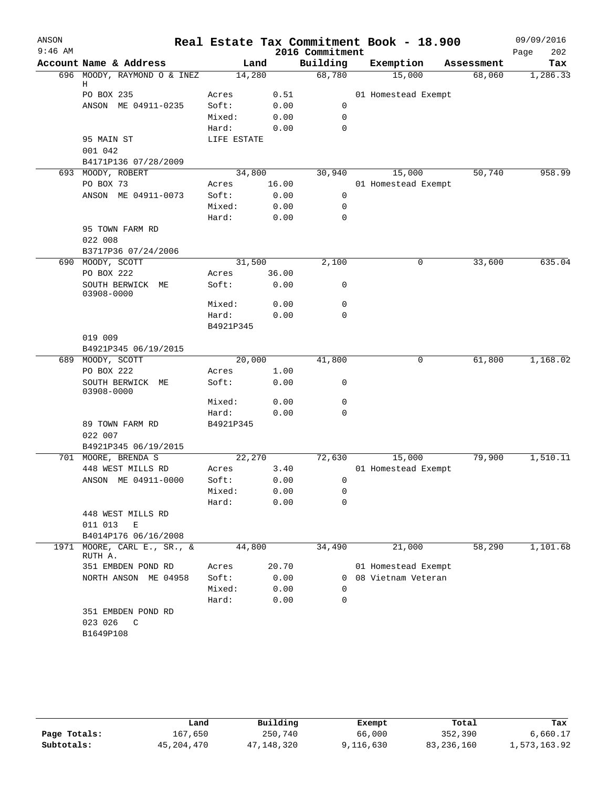| ANSON     |                                   |             |       |                    | Real Estate Tax Commitment Book - 18.900 |            | 09/09/2016  |
|-----------|-----------------------------------|-------------|-------|--------------------|------------------------------------------|------------|-------------|
| $9:46$ AM | Account Name & Address            |             |       | 2016 Commitment    |                                          |            | 202<br>Page |
|           |                                   | Land        |       | Building<br>68,780 | Exemption                                | Assessment | Tax         |
|           | 696 MOODY, RAYMOND O & INEZ<br>Η  | 14,280      |       |                    | 15,000                                   | 68,060     | 1,286.33    |
|           | PO BOX 235                        | Acres       | 0.51  |                    | 01 Homestead Exempt                      |            |             |
|           | ANSON ME 04911-0235               | Soft:       | 0.00  | 0                  |                                          |            |             |
|           |                                   | Mixed:      | 0.00  | $\mathbf 0$        |                                          |            |             |
|           |                                   | Hard:       | 0.00  | 0                  |                                          |            |             |
|           | 95 MAIN ST                        | LIFE ESTATE |       |                    |                                          |            |             |
|           | 001 042                           |             |       |                    |                                          |            |             |
|           | B4171P136 07/28/2009              |             |       |                    |                                          |            |             |
|           | 693 MOODY, ROBERT                 | 34,800      |       | 30,940             | 15,000                                   | 50,740     | 958.99      |
|           | PO BOX 73                         | Acres       | 16.00 |                    | 01 Homestead Exempt                      |            |             |
|           | ANSON ME 04911-0073               | Soft:       | 0.00  | 0                  |                                          |            |             |
|           |                                   | Mixed:      | 0.00  | $\mathbf 0$        |                                          |            |             |
|           |                                   | Hard:       | 0.00  | $\mathbf 0$        |                                          |            |             |
|           | 95 TOWN FARM RD                   |             |       |                    |                                          |            |             |
|           | 022 008                           |             |       |                    |                                          |            |             |
|           | B3717P36 07/24/2006               |             |       |                    |                                          |            |             |
|           | 690 MOODY, SCOTT                  | 31,500      |       | 2,100              | 0                                        | 33,600     | 635.04      |
|           | PO BOX 222                        | Acres       | 36.00 |                    |                                          |            |             |
|           | SOUTH BERWICK ME<br>03908-0000    | Soft:       | 0.00  | 0                  |                                          |            |             |
|           |                                   | Mixed:      | 0.00  | 0                  |                                          |            |             |
|           |                                   | Hard:       | 0.00  | $\mathbf 0$        |                                          |            |             |
|           |                                   | B4921P345   |       |                    |                                          |            |             |
|           | 019 009                           |             |       |                    |                                          |            |             |
|           | B4921P345 06/19/2015              |             |       |                    |                                          |            |             |
|           | 689 MOODY, SCOTT                  | 20,000      |       | 41,800             | 0                                        | 61,800     | 1,168.02    |
|           | PO BOX 222                        | Acres       | 1.00  |                    |                                          |            |             |
|           | SOUTH BERWICK ME<br>03908-0000    | Soft:       | 0.00  | 0                  |                                          |            |             |
|           |                                   | Mixed:      | 0.00  | 0                  |                                          |            |             |
|           |                                   | Hard:       | 0.00  | 0                  |                                          |            |             |
|           | 89 TOWN FARM RD<br>022 007        | B4921P345   |       |                    |                                          |            |             |
|           | B4921P345 06/19/2015              |             |       |                    |                                          |            |             |
|           | 701 MOORE, BRENDA S               | 22,270      |       | 72,630             | 15,000                                   | 79,900     | 1,510.11    |
|           | 448 WEST MILLS RD                 | Acres       | 3.40  |                    | 01 Homestead Exempt                      |            |             |
|           | ANSON ME 04911-0000               | Soft:       | 0.00  | $\overline{0}$     |                                          |            |             |
|           |                                   | Mixed:      | 0.00  | 0                  |                                          |            |             |
|           |                                   | Hard:       | 0.00  | $\mathbf 0$        |                                          |            |             |
|           | 448 WEST MILLS RD<br>011 013<br>Ε |             |       |                    |                                          |            |             |
|           | B4014P176 06/16/2008              |             |       |                    |                                          |            |             |
| 1971      | $MOORE$ , CARL E., SR., &         | 44,800      |       | 34,490             | 21,000                                   | 58,290     | 1,101.68    |
|           | RUTH A.<br>351 EMBDEN POND RD     | Acres       | 20.70 |                    | 01 Homestead Exempt                      |            |             |
|           | NORTH ANSON ME 04958              | Soft:       | 0.00  |                    | 0 08 Vietnam Veteran                     |            |             |
|           |                                   | Mixed:      | 0.00  | $\Omega$           |                                          |            |             |
|           |                                   | Hard:       | 0.00  | 0                  |                                          |            |             |
|           | 351 EMBDEN POND RD                |             |       |                    |                                          |            |             |
|           | 023 026<br>C                      |             |       |                    |                                          |            |             |
|           | B1649P108                         |             |       |                    |                                          |            |             |
|           |                                   |             |       |                    |                                          |            |             |

|              | Land         | Building   | Exempt    | Total      | Tax          |
|--------------|--------------|------------|-----------|------------|--------------|
| Page Totals: | 167,650      | 250,740    | 66,000    | 352,390    | 6,660.17     |
| Subtotals:   | 45, 204, 470 | 47,148,320 | 9,116,630 | 83,236,160 | 1,573,163.92 |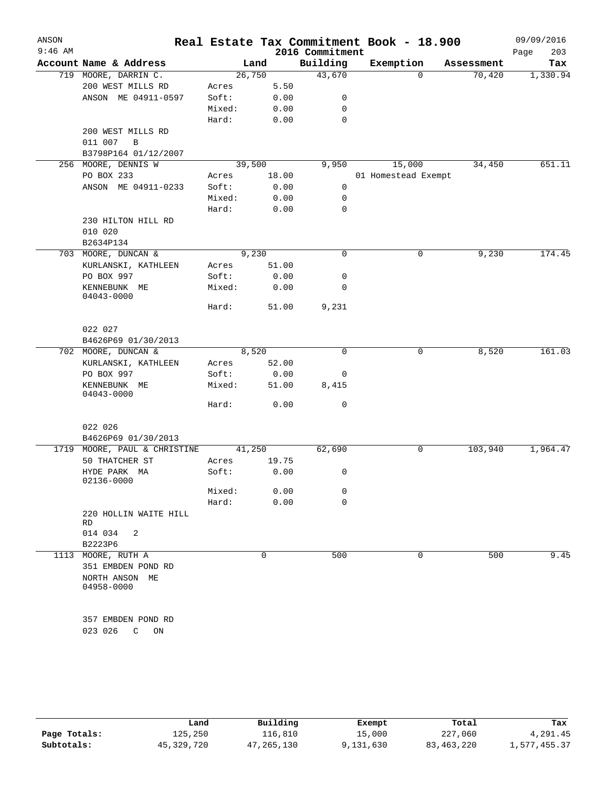| ANSON<br>$9:46$ AM |                                |        |        | 2016 Commitment | Real Estate Tax Commitment Book - 18.900 |            | 09/09/2016<br>203<br>Page |
|--------------------|--------------------------------|--------|--------|-----------------|------------------------------------------|------------|---------------------------|
|                    | Account Name & Address         |        | Land   | Building        | Exemption                                | Assessment | Tax                       |
|                    | 719 MOORE, DARRIN C.           |        | 26,750 | 43,670          | $\mathbf 0$                              | 70,420     | 1,330.94                  |
|                    | 200 WEST MILLS RD              | Acres  | 5.50   |                 |                                          |            |                           |
|                    | ANSON ME 04911-0597            | Soft:  | 0.00   | 0               |                                          |            |                           |
|                    |                                | Mixed: | 0.00   | 0               |                                          |            |                           |
|                    |                                | Hard:  | 0.00   | 0               |                                          |            |                           |
|                    | 200 WEST MILLS RD              |        |        |                 |                                          |            |                           |
|                    | 011 007<br>B                   |        |        |                 |                                          |            |                           |
|                    | B3798P164 01/12/2007           |        |        |                 |                                          |            |                           |
| 256                | MOORE, DENNIS W                |        | 39,500 | 9,950           | 15,000                                   | 34,450     | 651.11                    |
|                    | PO BOX 233                     | Acres  | 18.00  |                 | 01 Homestead Exempt                      |            |                           |
|                    | ANSON ME 04911-0233            | Soft:  | 0.00   | 0               |                                          |            |                           |
|                    |                                | Mixed: | 0.00   | 0               |                                          |            |                           |
|                    |                                | Hard:  | 0.00   | 0               |                                          |            |                           |
|                    | 230 HILTON HILL RD             |        |        |                 |                                          |            |                           |
|                    | 010 020                        |        |        |                 |                                          |            |                           |
|                    | B2634P134                      |        |        |                 |                                          |            |                           |
|                    | 703 MOORE, DUNCAN &            |        | 9,230  | $\mathbf 0$     | 0                                        | 9,230      | 174.45                    |
|                    | KURLANSKI, KATHLEEN            | Acres  | 51.00  |                 |                                          |            |                           |
|                    | PO BOX 997                     | Soft:  | 0.00   | 0               |                                          |            |                           |
|                    | KENNEBUNK ME<br>$04043 - 0000$ | Mixed: | 0.00   | 0               |                                          |            |                           |
|                    |                                | Hard:  | 51.00  | 9,231           |                                          |            |                           |
|                    | 022 027                        |        |        |                 |                                          |            |                           |
|                    | B4626P69 01/30/2013            |        |        |                 |                                          |            |                           |
|                    | 702 MOORE, DUNCAN &            |        | 8,520  | $\Omega$        | 0                                        | 8,520      | 161.03                    |
|                    | KURLANSKI, KATHLEEN            | Acres  | 52.00  |                 |                                          |            |                           |
|                    | PO BOX 997                     | Soft:  | 0.00   | 0               |                                          |            |                           |
|                    | KENNEBUNK ME<br>04043-0000     | Mixed: | 51.00  | 8,415           |                                          |            |                           |
|                    |                                | Hard:  | 0.00   | 0               |                                          |            |                           |
|                    | 022 026                        |        |        |                 |                                          |            |                           |
|                    | B4626P69 01/30/2013            |        |        |                 |                                          |            |                           |
|                    | 1719 MOORE, PAUL & CHRISTINE   |        | 41,250 | 62,690          | 0                                        | 103,940    | 1,964.47                  |
|                    | 50 THATCHER ST                 | Acres  | 19.75  |                 |                                          |            |                           |
|                    | HYDE PARK MA<br>02136-0000     | Soft:  | 0.00   | 0               |                                          |            |                           |
|                    |                                | Mixed: | 0.00   | 0               |                                          |            |                           |
|                    |                                | Hard:  | 0.00   | 0               |                                          |            |                           |
|                    | 220 HOLLIN WAITE HILL<br>RD    |        |        |                 |                                          |            |                           |
|                    | 014 034<br>2                   |        |        |                 |                                          |            |                           |
|                    | B2223P6                        |        |        |                 |                                          |            |                           |
|                    | 1113 MOORE, RUTH A             |        | 0      | 500             | 0                                        | 500        | 9.45                      |
|                    | 351 EMBDEN POND RD             |        |        |                 |                                          |            |                           |
|                    | NORTH ANSON ME<br>04958-0000   |        |        |                 |                                          |            |                           |
|                    | 357 EMBDEN POND RD             |        |        |                 |                                          |            |                           |
|                    | 023 026<br>C<br>ON             |        |        |                 |                                          |            |                           |
|                    |                                |        |        |                 |                                          |            |                           |

|              | Land       | Building     | Exempt    | Total        | Tax          |
|--------------|------------|--------------|-----------|--------------|--------------|
| Page Totals: | 125,250    | 116.810      | 15,000    | 227,060      | 4,291.45     |
| Subtotals:   | 45,329,720 | 47, 265, 130 | 9,131,630 | 83, 463, 220 | 1,577,455.37 |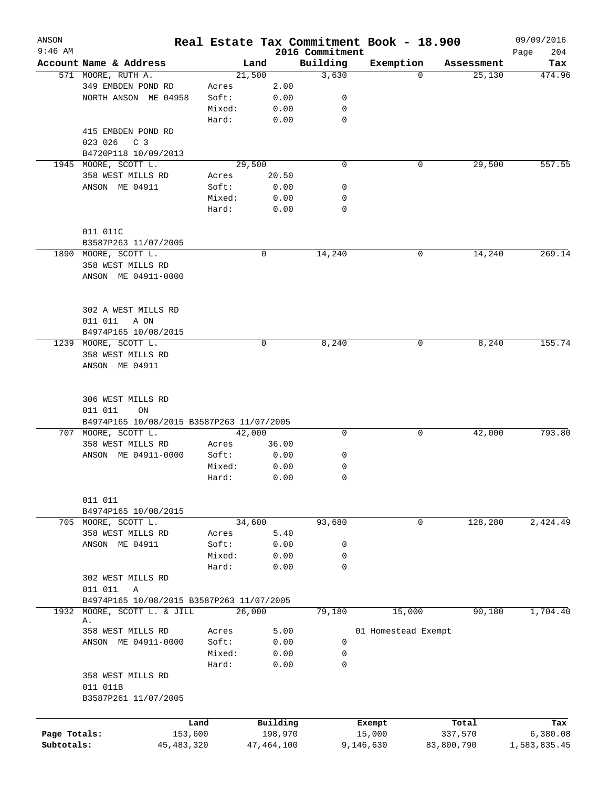| ANSON        |                                           |              |        |              |                             | Real Estate Tax Commitment Book - 18.900 |            | 09/09/2016    |
|--------------|-------------------------------------------|--------------|--------|--------------|-----------------------------|------------------------------------------|------------|---------------|
| $9:46$ AM    | Account Name & Address                    |              |        | Land         | 2016 Commitment<br>Building | Exemption                                | Assessment | 204<br>Page   |
|              | 571 MOORE, RUTH A.                        |              | 21,500 |              | 3,630                       | 0                                        | 25,130     | Tax<br>474.96 |
|              | 349 EMBDEN POND RD                        |              | Acres  | 2.00         |                             |                                          |            |               |
|              | NORTH ANSON ME 04958                      |              | Soft:  | 0.00         | 0                           |                                          |            |               |
|              |                                           |              | Mixed: | 0.00         | 0                           |                                          |            |               |
|              |                                           |              |        |              | $\mathbf 0$                 |                                          |            |               |
|              |                                           |              | Hard:  | 0.00         |                             |                                          |            |               |
|              | 415 EMBDEN POND RD                        |              |        |              |                             |                                          |            |               |
|              | C <sub>3</sub><br>023 026                 |              |        |              |                             |                                          |            |               |
|              | B4720P118 10/09/2013                      |              |        |              |                             |                                          |            |               |
|              | 1945 MOORE, SCOTT L.                      |              | 29,500 |              | $\mathbf 0$                 | 0                                        | 29,500     | 557.55        |
|              | 358 WEST MILLS RD                         |              | Acres  | 20.50        |                             |                                          |            |               |
|              | ANSON ME 04911                            |              | Soft:  | 0.00         | 0                           |                                          |            |               |
|              |                                           |              | Mixed: | 0.00         | 0                           |                                          |            |               |
|              |                                           |              | Hard:  | 0.00         | $\mathbf 0$                 |                                          |            |               |
|              |                                           |              |        |              |                             |                                          |            |               |
|              | 011 011C                                  |              |        |              |                             |                                          |            |               |
|              | B3587P263 11/07/2005                      |              |        |              |                             |                                          |            |               |
|              | 1890 MOORE, SCOTT L.                      |              |        | 0            | 14,240                      | 0                                        | 14,240     | 269.14        |
|              | 358 WEST MILLS RD                         |              |        |              |                             |                                          |            |               |
|              | ANSON ME 04911-0000                       |              |        |              |                             |                                          |            |               |
|              |                                           |              |        |              |                             |                                          |            |               |
|              |                                           |              |        |              |                             |                                          |            |               |
|              | 302 A WEST MILLS RD                       |              |        |              |                             |                                          |            |               |
|              | 011 011<br>A ON                           |              |        |              |                             |                                          |            |               |
|              |                                           |              |        |              |                             |                                          |            |               |
|              | B4974P165 10/08/2015                      |              |        |              |                             |                                          |            |               |
| 1239         | MOORE, SCOTT L.                           |              |        | $\mathbf 0$  | 8,240                       | 0                                        | 8,240      | 155.74        |
|              | 358 WEST MILLS RD                         |              |        |              |                             |                                          |            |               |
|              | ANSON ME 04911                            |              |        |              |                             |                                          |            |               |
|              |                                           |              |        |              |                             |                                          |            |               |
|              |                                           |              |        |              |                             |                                          |            |               |
|              | 306 WEST MILLS RD                         |              |        |              |                             |                                          |            |               |
|              | 011 011<br>ON                             |              |        |              |                             |                                          |            |               |
|              | B4974P165 10/08/2015 B3587P263 11/07/2005 |              |        |              |                             |                                          |            |               |
| 707          | MOORE, SCOTT L.                           |              | 42,000 |              | 0                           | 0                                        | 42,000     | 793.80        |
|              | 358 WEST MILLS RD                         |              | Acres  | 36.00        |                             |                                          |            |               |
|              | ANSON ME 04911-0000                       |              | Soft:  | 0.00         | 0                           |                                          |            |               |
|              |                                           |              | Mixed: | 0.00         | 0                           |                                          |            |               |
|              |                                           |              | Hard:  | 0.00         | $\mathbf 0$                 |                                          |            |               |
|              |                                           |              |        |              |                             |                                          |            |               |
|              | 011 011                                   |              |        |              |                             |                                          |            |               |
|              | B4974P165 10/08/2015                      |              |        |              |                             |                                          |            |               |
|              | 705 MOORE, SCOTT L.                       |              | 34,600 |              | 93,680                      | 0                                        | 128,280    | 2,424.49      |
|              | 358 WEST MILLS RD                         |              | Acres  | 5.40         |                             |                                          |            |               |
|              | ANSON ME 04911                            |              | Soft:  | 0.00         | 0                           |                                          |            |               |
|              |                                           |              | Mixed: | 0.00         | 0                           |                                          |            |               |
|              |                                           |              | Hard:  | 0.00         | 0                           |                                          |            |               |
|              | 302 WEST MILLS RD                         |              |        |              |                             |                                          |            |               |
|              | 011 011<br>Α                              |              |        |              |                             |                                          |            |               |
|              | B4974P165 10/08/2015 B3587P263 11/07/2005 |              |        |              |                             |                                          |            |               |
| 1932         | MOORE, SCOTT L. & JILL                    |              | 26,000 |              | 79,180                      | 15,000                                   | 90,180     | 1,704.40      |
|              | Α.                                        |              |        |              |                             |                                          |            |               |
|              | 358 WEST MILLS RD                         |              | Acres  | 5.00         |                             | 01 Homestead Exempt                      |            |               |
|              | ANSON ME 04911-0000                       |              | Soft:  | 0.00         | 0                           |                                          |            |               |
|              |                                           |              | Mixed: | 0.00         | 0                           |                                          |            |               |
|              |                                           |              | Hard:  | 0.00         | 0                           |                                          |            |               |
|              | 358 WEST MILLS RD                         |              |        |              |                             |                                          |            |               |
|              | 011 011B                                  |              |        |              |                             |                                          |            |               |
|              | B3587P261 11/07/2005                      |              |        |              |                             |                                          |            |               |
|              |                                           |              |        |              |                             |                                          |            |               |
|              |                                           |              |        |              |                             |                                          |            |               |
|              |                                           | Land         |        | Building     |                             | Exempt                                   | Total      | Tax           |
| Page Totals: |                                           | 153,600      |        | 198,970      |                             | 15,000                                   | 337,570    | 6,380.08      |
| Subtotals:   |                                           | 45, 483, 320 |        | 47, 464, 100 |                             | 9,146,630                                | 83,800,790 | 1,583,835.45  |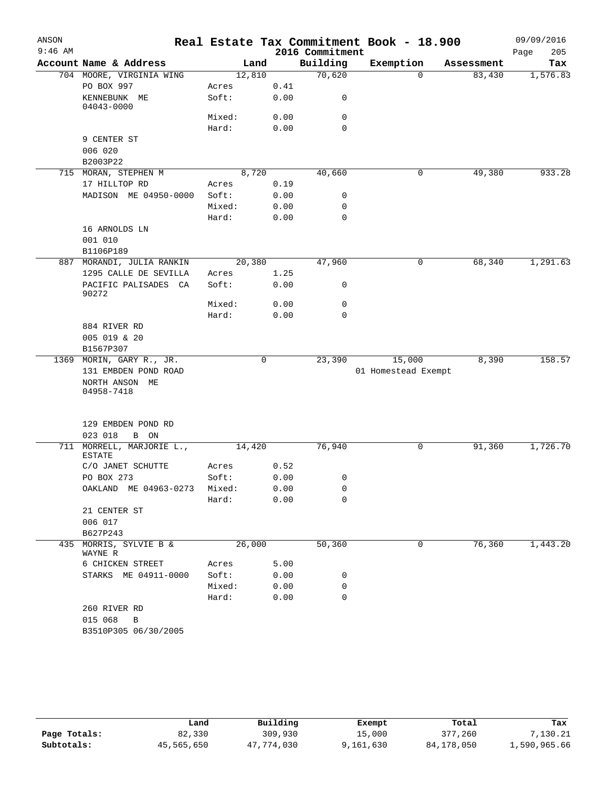| ANSON     |                                            |        |        |                 | Real Estate Tax Commitment Book - 18.900 |            | 09/09/2016  |
|-----------|--------------------------------------------|--------|--------|-----------------|------------------------------------------|------------|-------------|
| $9:46$ AM |                                            |        |        | 2016 Commitment |                                          |            | 205<br>Page |
|           | Account Name & Address                     |        | Land   | Building        | Exemption                                | Assessment | Tax         |
|           | 704 MOORE, VIRGINIA WING                   |        | 12,810 | 70,620          | $\Omega$                                 | 83,430     | 1,576.83    |
|           | PO BOX 997                                 | Acres  | 0.41   |                 |                                          |            |             |
|           | KENNEBUNK ME<br>04043-0000                 | Soft:  | 0.00   | 0               |                                          |            |             |
|           |                                            | Mixed: | 0.00   | 0               |                                          |            |             |
|           |                                            | Hard:  | 0.00   | $\mathbf 0$     |                                          |            |             |
|           | 9 CENTER ST                                |        |        |                 |                                          |            |             |
|           | 006 020                                    |        |        |                 |                                          |            |             |
|           | B2003P22                                   |        |        |                 |                                          |            |             |
|           | 715 MORAN, STEPHEN M                       |        | 8,720  | 40,660          | 0                                        | 49,380     | 933.28      |
|           | 17 HILLTOP RD                              | Acres  | 0.19   |                 |                                          |            |             |
|           | MADISON ME 04950-0000                      | Soft:  | 0.00   | 0               |                                          |            |             |
|           |                                            | Mixed: | 0.00   | 0               |                                          |            |             |
|           |                                            | Hard:  | 0.00   | $\mathbf 0$     |                                          |            |             |
|           | 16 ARNOLDS LN                              |        |        |                 |                                          |            |             |
|           | 001 010                                    |        |        |                 |                                          |            |             |
|           | B1106P189                                  |        |        |                 |                                          |            |             |
|           | 887 MORANDI, JULIA RANKIN                  |        | 20,380 | 47,960          | 0                                        | 68,340     | 1,291.63    |
|           | 1295 CALLE DE SEVILLA                      | Acres  | 1.25   |                 |                                          |            |             |
|           | PACIFIC PALISADES CA<br>90272              | Soft:  | 0.00   | 0               |                                          |            |             |
|           |                                            | Mixed: | 0.00   | 0               |                                          |            |             |
|           |                                            | Hard:  | 0.00   | 0               |                                          |            |             |
|           | 884 RIVER RD                               |        |        |                 |                                          |            |             |
|           | 005 019 & 20                               |        |        |                 |                                          |            |             |
|           | B1567P307                                  |        |        |                 |                                          |            |             |
| 1369      | MORIN, GARY R., JR.                        |        | 0      | 23,390          | 15,000                                   | 8,390      | 158.57      |
|           | 131 EMBDEN POND ROAD                       |        |        |                 | 01 Homestead Exempt                      |            |             |
|           | NORTH ANSON ME<br>04958-7418               |        |        |                 |                                          |            |             |
|           | 129 EMBDEN POND RD                         |        |        |                 |                                          |            |             |
|           | 023 018<br>B ON                            |        |        | 76,940          |                                          |            |             |
|           | 711 MORRELL, MARJORIE L.,<br><b>ESTATE</b> |        | 14,420 |                 | 0                                        | 91,360     | 1,726.70    |
|           | C/O JANET SCHUTTE                          | Acres  | 0.52   |                 |                                          |            |             |
|           | PO BOX 273                                 | Soft:  | 0.00   | 0               |                                          |            |             |
|           | OAKLAND ME 04963-0273                      | Mixed: | 0.00   | 0               |                                          |            |             |
|           |                                            | Hard:  | 0.00   | $\mathbf 0$     |                                          |            |             |
|           | 21 CENTER ST                               |        |        |                 |                                          |            |             |
|           | 006 017                                    |        |        |                 |                                          |            |             |
|           | B627P243                                   |        |        |                 |                                          |            |             |
| 435       | MORRIS, SYLVIE B &<br>WAYNE R              |        | 26,000 | 50,360          | 0                                        | 76,360     | 1,443.20    |
|           | 6 CHICKEN STREET                           | Acres  | 5.00   |                 |                                          |            |             |
|           | STARKS ME 04911-0000                       | Soft:  | 0.00   | 0               |                                          |            |             |
|           |                                            | Mixed: | 0.00   | 0               |                                          |            |             |
|           |                                            | Hard:  | 0.00   | 0               |                                          |            |             |
|           | 260 RIVER RD                               |        |        |                 |                                          |            |             |
|           | 015 068<br>$\overline{B}$                  |        |        |                 |                                          |            |             |
|           | B3510P305 06/30/2005                       |        |        |                 |                                          |            |             |
|           |                                            |        |        |                 |                                          |            |             |

|              | Land       | Building   | Exempt    | Total      | Tax          |
|--------------|------------|------------|-----------|------------|--------------|
| Page Totals: | 82,330     | 309,930    | 15,000    | 377,260    | 7,130.21     |
| Subtotals:   | 45,565,650 | 47,774,030 | 9,161,630 | 84,178,050 | 1,590,965.66 |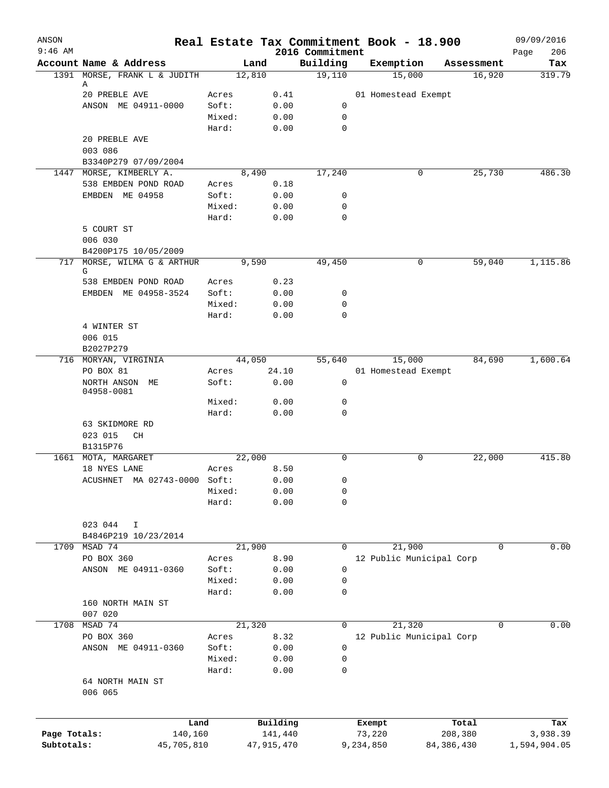| ANSON        |                                      |                 |              |              |                             | Real Estate Tax Commitment Book - 18.900 |              | 09/09/2016         |
|--------------|--------------------------------------|-----------------|--------------|--------------|-----------------------------|------------------------------------------|--------------|--------------------|
| $9:46$ AM    | Account Name & Address               |                 | Land         |              | 2016 Commitment<br>Building | Exemption                                | Assessment   | 206<br>Page<br>Tax |
|              | 1391 MORSE, FRANK L & JUDITH         |                 | 12,810       |              | 19,110                      | 15,000                                   | 16,920       | 319.79             |
|              | Α<br>20 PREBLE AVE                   |                 |              |              |                             |                                          |              |                    |
|              | ANSON ME 04911-0000                  | Acres<br>Soft:  |              | 0.41<br>0.00 | 0                           | 01 Homestead Exempt                      |              |                    |
|              |                                      | Mixed:          |              | 0.00         | 0                           |                                          |              |                    |
|              |                                      | Hard:           |              | 0.00         | 0                           |                                          |              |                    |
|              | 20 PREBLE AVE                        |                 |              |              |                             |                                          |              |                    |
|              | 003 086                              |                 |              |              |                             |                                          |              |                    |
|              | B3340P279 07/09/2004                 |                 |              |              |                             |                                          |              |                    |
|              | 1447 MORSE, KIMBERLY A.              |                 | 8,490        |              | 17,240                      | 0                                        | 25,730       | 486.30             |
|              | 538 EMBDEN POND ROAD                 | Acres           |              | 0.18         |                             |                                          |              |                    |
|              | EMBDEN ME 04958                      | Soft:           |              | 0.00         | 0                           |                                          |              |                    |
|              |                                      | Mixed:<br>Hard: |              | 0.00<br>0.00 | $\mathbf 0$<br>$\mathbf 0$  |                                          |              |                    |
|              | 5 COURT ST                           |                 |              |              |                             |                                          |              |                    |
|              | 006 030                              |                 |              |              |                             |                                          |              |                    |
|              | B4200P175 10/05/2009                 |                 |              |              |                             |                                          |              |                    |
| 717          | MORSE, WILMA G & ARTHUR              |                 | 9,590        |              | 49,450                      | 0                                        | 59,040       | 1,115.86           |
|              | G<br>538 EMBDEN POND ROAD            | Acres           |              | 0.23         |                             |                                          |              |                    |
|              | EMBDEN ME 04958-3524                 | Soft:           |              | 0.00         | 0                           |                                          |              |                    |
|              |                                      | Mixed:          |              | 0.00         | 0                           |                                          |              |                    |
|              |                                      | Hard:           |              | 0.00         | $\mathbf 0$                 |                                          |              |                    |
|              | 4 WINTER ST                          |                 |              |              |                             |                                          |              |                    |
|              | 006 015                              |                 |              |              |                             |                                          |              |                    |
|              | B2027P279                            |                 |              |              |                             |                                          |              |                    |
|              | 716 MORYAN, VIRGINIA                 |                 | 44,050       |              | 55,640                      | 15,000                                   | 84,690       | 1,600.64           |
|              | PO BOX 81                            | Acres           |              | 24.10        |                             | 01 Homestead Exempt                      |              |                    |
|              | NORTH ANSON ME<br>04958-0081         | Soft:           |              | 0.00         | 0                           |                                          |              |                    |
|              |                                      | Mixed:          |              | 0.00         | 0                           |                                          |              |                    |
|              | 63 SKIDMORE RD                       | Hard:           |              | 0.00         | $\mathbf 0$                 |                                          |              |                    |
|              | 023 015<br>CH                        |                 |              |              |                             |                                          |              |                    |
|              | B1315P76                             |                 |              |              |                             |                                          |              |                    |
|              | 1661 MOTA, MARGARET                  |                 | 22,000       |              | $\mathbf 0$                 | 0                                        | 22,000       | 415.80             |
|              | 18 NYES LANE                         | Acres           |              | 8.50         |                             |                                          |              |                    |
|              | ACUSHNET MA 02743-0000 Soft:         |                 |              | 0.00         | 0                           |                                          |              |                    |
|              |                                      | Mixed:          |              | 0.00         | 0                           |                                          |              |                    |
|              |                                      | Hard:           |              | 0.00         | $\mathbf 0$                 |                                          |              |                    |
|              |                                      |                 |              |              |                             |                                          |              |                    |
|              | 023 044<br>I<br>B4846P219 10/23/2014 |                 |              |              |                             |                                          |              |                    |
|              | 1709 MSAD 74                         |                 | 21,900       |              | $\mathbf 0$                 | 21,900                                   | 0            | 0.00               |
|              | PO BOX 360                           | Acres           |              | 8.90         |                             | 12 Public Municipal Corp                 |              |                    |
|              | ANSON ME 04911-0360                  | Soft:           |              | 0.00         | $\mathbf 0$                 |                                          |              |                    |
|              |                                      | Mixed:          |              | 0.00         | 0                           |                                          |              |                    |
|              |                                      | Hard:           |              | 0.00         | 0                           |                                          |              |                    |
|              | 160 NORTH MAIN ST                    |                 |              |              |                             |                                          |              |                    |
|              | 007 020                              |                 |              |              |                             |                                          |              |                    |
| 1708         | MSAD 74                              |                 | 21,320       |              | 0                           | 21,320                                   | 0            | 0.00               |
|              | PO BOX 360                           | Acres           |              | 8.32         |                             | 12 Public Municipal Corp                 |              |                    |
|              | ANSON ME 04911-0360                  | Soft:<br>Mixed: |              | 0.00<br>0.00 | $\mathbf 0$<br>0            |                                          |              |                    |
|              |                                      | Hard:           |              | 0.00         | $\mathbf 0$                 |                                          |              |                    |
|              | 64 NORTH MAIN ST<br>006 065          |                 |              |              |                             |                                          |              |                    |
|              | Land                                 |                 |              | Building     |                             | Exempt                                   | Total        | Tax                |
| Page Totals: | 140,160                              |                 |              | 141,440      |                             | 73,220                                   | 208,380      | 3,938.39           |
| Subtotals:   | 45,705,810                           |                 | 47, 915, 470 |              |                             | 9,234,850                                | 84, 386, 430 | 1,594,904.05       |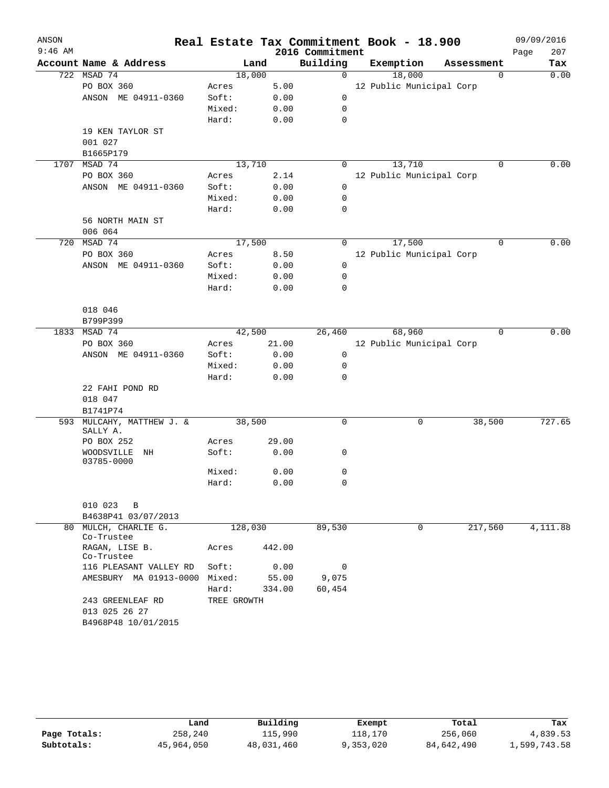| ANSON     |                                                          |             |        |                 | Real Estate Tax Commitment Book - 18.900 |             | 09/09/2016 |          |
|-----------|----------------------------------------------------------|-------------|--------|-----------------|------------------------------------------|-------------|------------|----------|
| $9:46$ AM |                                                          |             |        | 2016 Commitment |                                          |             | Page       | 207      |
|           | Account Name & Address                                   |             | Land   | Building        | Exemption                                | Assessment  |            | Tax      |
| 722       | MSAD 74                                                  | 18,000      |        | $\mathsf{O}$    | 18,000                                   | 0           |            | 0.00     |
|           | PO BOX 360                                               | Acres       | 5.00   |                 | 12 Public Municipal Corp                 |             |            |          |
|           | ANSON ME 04911-0360                                      | Soft:       | 0.00   | $\mathbf 0$     |                                          |             |            |          |
|           |                                                          | Mixed:      | 0.00   | 0               |                                          |             |            |          |
|           |                                                          | Hard:       | 0.00   | 0               |                                          |             |            |          |
|           | 19 KEN TAYLOR ST                                         |             |        |                 |                                          |             |            |          |
|           | 001 027                                                  |             |        |                 |                                          |             |            |          |
|           | B1665P179                                                |             |        |                 |                                          |             |            |          |
| 1707      | MSAD 74                                                  | 13,710      |        | 0               | 13,710                                   | $\Omega$    |            | 0.00     |
|           | PO BOX 360                                               | Acres       | 2.14   |                 | 12 Public Municipal Corp                 |             |            |          |
|           | ANSON ME 04911-0360                                      | Soft:       | 0.00   | $\mathbf 0$     |                                          |             |            |          |
|           |                                                          | Mixed:      | 0.00   | 0               |                                          |             |            |          |
|           |                                                          | Hard:       | 0.00   | 0               |                                          |             |            |          |
|           | 56 NORTH MAIN ST                                         |             |        |                 |                                          |             |            |          |
|           | 006 064                                                  |             |        |                 |                                          |             |            |          |
| 720       | MSAD 74                                                  | 17,500      |        | $\Omega$        | 17,500                                   | $\Omega$    |            | 0.00     |
|           | PO BOX 360                                               | Acres       | 8.50   |                 | 12 Public Municipal Corp                 |             |            |          |
|           | ANSON ME 04911-0360                                      | Soft:       | 0.00   | $\mathbf 0$     |                                          |             |            |          |
|           |                                                          | Mixed:      | 0.00   | 0               |                                          |             |            |          |
|           |                                                          | Hard:       | 0.00   | 0               |                                          |             |            |          |
|           |                                                          |             |        |                 |                                          |             |            |          |
|           | 018 046                                                  |             |        |                 |                                          |             |            |          |
|           | B799P399                                                 |             |        |                 |                                          |             |            |          |
| 1833      | MSAD 74                                                  | 42,500      |        | 26,460          | 68,960                                   | $\mathbf 0$ |            | 0.00     |
|           | PO BOX 360                                               | Acres       | 21.00  |                 | 12 Public Municipal Corp                 |             |            |          |
|           | ANSON ME 04911-0360                                      | Soft:       | 0.00   | 0               |                                          |             |            |          |
|           |                                                          | Mixed:      | 0.00   | 0               |                                          |             |            |          |
|           |                                                          | Hard:       | 0.00   | 0               |                                          |             |            |          |
|           | 22 FAHI POND RD                                          |             |        |                 |                                          |             |            |          |
|           | 018 047                                                  |             |        |                 |                                          |             |            |          |
|           | B1741P74                                                 |             |        |                 |                                          |             |            |          |
| 593       | MULCAHY, MATTHEW J. &                                    | 38,500      |        | 0               | 0                                        | 38,500      |            | 727.65   |
|           | SALLY A.                                                 |             |        |                 |                                          |             |            |          |
|           | PO BOX 252                                               | Acres       | 29.00  |                 |                                          |             |            |          |
|           | WOODSVILLE<br>ΝH                                         | Soft:       | 0.00   | 0               |                                          |             |            |          |
|           | 03785-0000                                               | Mixed:      | 0.00   | 0               |                                          |             |            |          |
|           |                                                          | Hard:       | 0.00   | 0               |                                          |             |            |          |
|           |                                                          |             |        |                 |                                          |             |            |          |
|           | 010 023<br>B                                             |             |        |                 |                                          |             |            |          |
|           | B4638P41 03/07/2013                                      |             |        |                 |                                          |             |            |          |
| 80        | MULCH, CHARLIE G.                                        | 128,030     |        | 89,530          | 0                                        | 217,560     |            | 4,111.88 |
|           | Co-Trustee                                               |             |        |                 |                                          |             |            |          |
|           | RAGAN, LISE B.<br>Co-Trustee                             | Acres       | 442.00 |                 |                                          |             |            |          |
|           | 116 PLEASANT VALLEY RD                                   | Soft:       | 0.00   | 0               |                                          |             |            |          |
|           | AMESBURY MA 01913-0000                                   | Mixed:      | 55.00  | 9,075           |                                          |             |            |          |
|           |                                                          | Hard:       | 334.00 | 60,454          |                                          |             |            |          |
|           | 243 GREENLEAF RD<br>013 025 26 27<br>B4968P48 10/01/2015 | TREE GROWTH |        |                 |                                          |             |            |          |

|              | Land       | Building   | Exempt    | Total      | Tax          |
|--------------|------------|------------|-----------|------------|--------------|
| Page Totals: | 258,240    | 115,990    | 118,170   | 256,060    | 4,839.53     |
| Subtotals:   | 45,964,050 | 48,031,460 | 9,353,020 | 84,642,490 | 1,599,743.58 |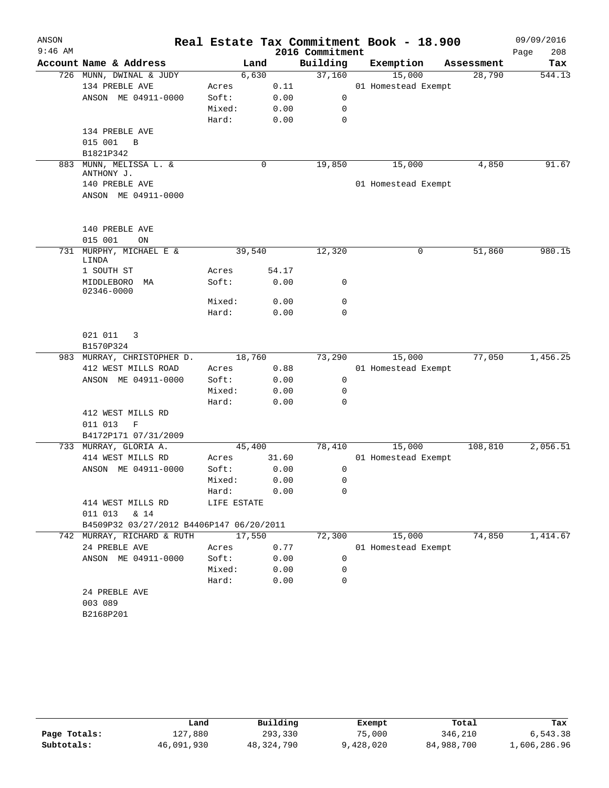| ANSON     |                                                                        |                 |        |                 | Real Estate Tax Commitment Book - 18.900 |            | 09/09/2016  |
|-----------|------------------------------------------------------------------------|-----------------|--------|-----------------|------------------------------------------|------------|-------------|
| $9:46$ AM |                                                                        |                 |        | 2016 Commitment |                                          |            | 208<br>Page |
|           | Account Name & Address                                                 |                 | Land   | Building        | Exemption                                | Assessment | Tax         |
|           | 726 MUNN, DWINAL & JUDY                                                |                 | 6,630  | 37,160          | 15,000                                   | 28,790     | 544.13      |
|           | 134 PREBLE AVE                                                         | Acres           | 0.11   |                 | 01 Homestead Exempt                      |            |             |
|           | ANSON ME 04911-0000                                                    | Soft:           | 0.00   | 0               |                                          |            |             |
|           |                                                                        | Mixed:          | 0.00   | $\mathbf 0$     |                                          |            |             |
|           |                                                                        | Hard:           | 0.00   | $\mathbf 0$     |                                          |            |             |
|           | 134 PREBLE AVE                                                         |                 |        |                 |                                          |            |             |
|           | 015 001<br>B                                                           |                 |        |                 |                                          |            |             |
|           | B1821P342                                                              |                 |        |                 |                                          |            |             |
| 883       | MUNN, MELISSA L. &<br>ANTHONY J.                                       |                 | 0      | 19,850          | 15,000                                   | 4,850      | 91.67       |
|           | 140 PREBLE AVE                                                         |                 |        |                 | 01 Homestead Exempt                      |            |             |
|           | ANSON ME 04911-0000                                                    |                 |        |                 |                                          |            |             |
|           |                                                                        |                 |        |                 |                                          |            |             |
|           |                                                                        |                 |        |                 |                                          |            |             |
|           | 140 PREBLE AVE                                                         |                 |        |                 |                                          |            |             |
|           | 015 001<br>ON                                                          |                 |        |                 |                                          |            |             |
| 731       | MURPHY, MICHAEL E &<br>LINDA                                           | 39,540          |        | 12,320          | 0                                        | 51,860     | 980.15      |
|           | 1 SOUTH ST                                                             | Acres           | 54.17  |                 |                                          |            |             |
|           | MIDDLEBORO<br>MA<br>02346-0000                                         | Soft:           | 0.00   | 0               |                                          |            |             |
|           |                                                                        | Mixed:          | 0.00   | $\mathbf 0$     |                                          |            |             |
|           |                                                                        | Hard:           | 0.00   | $\mathbf 0$     |                                          |            |             |
|           | 021 011<br>3<br>B1570P324                                              |                 |        |                 |                                          |            |             |
|           |                                                                        | 18,760          |        |                 | 15,000                                   | 77,050     | 1,456.25    |
|           | 983 MURRAY, CHRISTOPHER D.                                             |                 |        | 73,290          |                                          |            |             |
|           | 412 WEST MILLS ROAD<br>ANSON ME 04911-0000                             | Acres<br>Soft:  | 0.88   | 0               | 01 Homestead Exempt                      |            |             |
|           |                                                                        | Mixed:          | 0.00   | $\mathbf 0$     |                                          |            |             |
|           |                                                                        |                 | 0.00   | 0               |                                          |            |             |
|           | 412 WEST MILLS RD                                                      | Hard:           | 0.00   |                 |                                          |            |             |
|           | 011 013                                                                |                 |        |                 |                                          |            |             |
|           | F                                                                      |                 |        |                 |                                          |            |             |
|           | B4172P171 07/31/2009                                                   |                 |        | 78,410          |                                          | 108,810    |             |
|           | 733 MURRAY, GLORIA A.                                                  | 45,400          | 31.60  |                 | 15,000                                   |            | 2,056.51    |
|           | 414 WEST MILLS RD                                                      | Acres           |        |                 | 01 Homestead Exempt                      |            |             |
|           | ANSON ME 04911-0000                                                    | Soft:           | 0.00   | 0               |                                          |            |             |
|           |                                                                        | Mixed:          | 0.00   | $\Omega$        |                                          |            |             |
|           |                                                                        | Hard:           | 0.00   | 0               |                                          |            |             |
|           | 414 WEST MILLS RD                                                      | LIFE ESTATE     |        |                 |                                          |            |             |
|           | 011 013 & 14                                                           |                 |        |                 |                                          |            |             |
|           | B4509P32 03/27/2012 B4406P147 06/20/2011<br>742 MURRAY, RICHARD & RUTH |                 |        | 72,300          |                                          | 74,850     |             |
|           |                                                                        | Acres           | 17,550 |                 | 15,000                                   |            | 1,414.67    |
|           | 24 PREBLE AVE                                                          |                 | 0.77   |                 | 01 Homestead Exempt                      |            |             |
|           | ANSON ME 04911-0000                                                    | Soft:<br>Mixed: | 0.00   | 0               |                                          |            |             |
|           |                                                                        |                 | 0.00   | 0               |                                          |            |             |
|           |                                                                        | Hard:           | 0.00   | $\mathbf 0$     |                                          |            |             |
|           | 24 PREBLE AVE                                                          |                 |        |                 |                                          |            |             |
|           | 003 089                                                                |                 |        |                 |                                          |            |             |
|           | B2168P201                                                              |                 |        |                 |                                          |            |             |

|              | Land       | Building   | Exempt    | Total      | Tax          |
|--------------|------------|------------|-----------|------------|--------------|
| Page Totals: | 127,880    | 293,330    | 75,000    | 346,210    | 6,543.38     |
| Subtotals:   | 46,091,930 | 48,324,790 | 9,428,020 | 84,988,700 | 1,606,286.96 |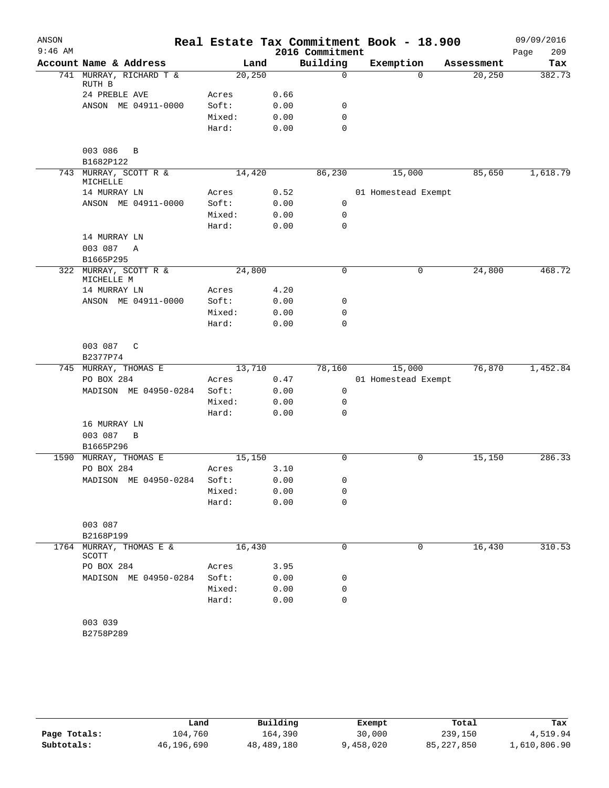| ANSON     |                                     |        |         |                 | Real Estate Tax Commitment Book - 18.900 |                    | 09/09/2016  |
|-----------|-------------------------------------|--------|---------|-----------------|------------------------------------------|--------------------|-------------|
| $9:46$ AM |                                     |        |         | 2016 Commitment |                                          |                    | 209<br>Page |
|           | Account Name & Address              |        | Land    | Building        | Exemption                                | Assessment         | Tax         |
|           | 741 MURRAY, RICHARD T &<br>RUTH B   |        | 20, 250 | $\mathbf 0$     |                                          | $\Omega$<br>20,250 | 382.73      |
|           | 24 PREBLE AVE                       | Acres  | 0.66    |                 |                                          |                    |             |
|           | ANSON ME 04911-0000                 | Soft:  | 0.00    | 0               |                                          |                    |             |
|           |                                     | Mixed: | 0.00    | $\mathbf 0$     |                                          |                    |             |
|           |                                     | Hard:  | 0.00    | $\mathbf 0$     |                                          |                    |             |
|           | 003 086<br>B<br>B1682P122           |        |         |                 |                                          |                    |             |
|           | 743 MURRAY, SCOTT R &<br>MICHELLE   |        | 14,420  | 86,230          | 15,000                                   | 85,650             | 1,618.79    |
|           | 14 MURRAY LN                        | Acres  | 0.52    |                 | 01 Homestead Exempt                      |                    |             |
|           | ANSON ME 04911-0000                 | Soft:  | 0.00    | 0               |                                          |                    |             |
|           |                                     | Mixed: | 0.00    | 0               |                                          |                    |             |
|           |                                     | Hard:  | 0.00    | $\mathbf 0$     |                                          |                    |             |
|           | 14 MURRAY LN                        |        |         |                 |                                          |                    |             |
|           | 003 087<br>Α                        |        |         |                 |                                          |                    |             |
|           | B1665P295                           |        |         |                 |                                          |                    |             |
|           | 322 MURRAY, SCOTT R &<br>MICHELLE M |        | 24,800  | $\mathbf 0$     |                                          | 24,800<br>0        | 468.72      |
|           | 14 MURRAY LN                        | Acres  | 4.20    |                 |                                          |                    |             |
|           | ANSON ME 04911-0000                 | Soft:  | 0.00    | 0               |                                          |                    |             |
|           |                                     | Mixed: | 0.00    | 0               |                                          |                    |             |
|           |                                     | Hard:  | 0.00    | 0               |                                          |                    |             |
|           | 003 087<br>C<br>B2377P74            |        |         |                 |                                          |                    |             |
|           | 745 MURRAY, THOMAS E                |        | 13,710  | 78,160          | 15,000                                   | 76,870             | 1,452.84    |
|           | PO BOX 284                          | Acres  |         | 0.47            | 01 Homestead Exempt                      |                    |             |
|           | MADISON ME 04950-0284               | Soft:  | 0.00    | 0               |                                          |                    |             |
|           |                                     | Mixed: | 0.00    | 0               |                                          |                    |             |
|           |                                     | Hard:  | 0.00    | 0               |                                          |                    |             |
|           | 16 MURRAY LN<br>003 087<br>B        |        |         |                 |                                          |                    |             |
|           | B1665P296                           |        |         |                 |                                          |                    |             |
|           | 1590 MURRAY, THOMAS E               |        | 15,150  | 0               |                                          | 15,150<br>0        | 286.33      |
|           | PO BOX 284                          | Acres  | 3.10    |                 |                                          |                    |             |
|           | MADISON ME 04950-0284               | Soft:  |         | 0.00<br>0       |                                          |                    |             |
|           |                                     | Mixed: | 0.00    | 0               |                                          |                    |             |
|           |                                     | Hard:  | 0.00    | 0               |                                          |                    |             |
|           | 003 087                             |        |         |                 |                                          |                    |             |
|           | B2168P199                           |        |         |                 |                                          |                    |             |
|           | 1764 MURRAY, THOMAS E &<br>SCOTT    |        | 16,430  | 0               |                                          | 16,430<br>0        | 310.53      |
|           | PO BOX 284                          | Acres  | 3.95    |                 |                                          |                    |             |
|           | MADISON ME 04950-0284               | Soft:  | 0.00    | 0               |                                          |                    |             |
|           |                                     | Mixed: | 0.00    | 0               |                                          |                    |             |
|           |                                     | Hard:  | 0.00    | 0               |                                          |                    |             |
|           | 003 039<br>B2758P289                |        |         |                 |                                          |                    |             |
|           |                                     |        |         |                 |                                          |                    |             |

|              | Land       | Building   | Exempt   | Total      | Tax          |
|--------------|------------|------------|----------|------------|--------------|
| Page Totals: | 104,760    | 164,390    | 30,000   | 239,150    | 4,519.94     |
| Subtotals:   | 46,196,690 | 48,489,180 | ,458,020 | 85,227,850 | 1,610,806.90 |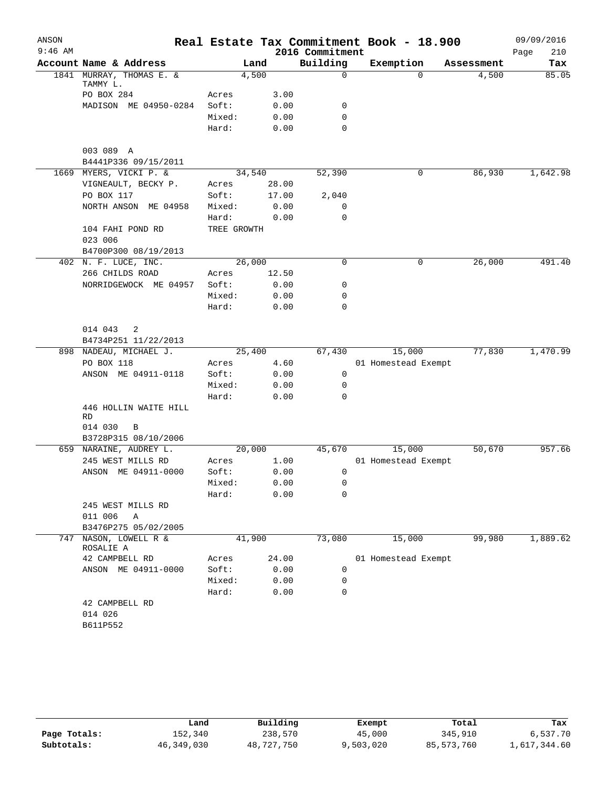| ANSON     |                                      |             |        |                 | Real Estate Tax Commitment Book - 18.900 |            | 09/09/2016  |
|-----------|--------------------------------------|-------------|--------|-----------------|------------------------------------------|------------|-------------|
| $9:46$ AM |                                      |             |        | 2016 Commitment |                                          |            | 210<br>Page |
|           | Account Name & Address               |             | Land   | Building        | Exemption                                | Assessment | Tax         |
|           | 1841 MURRAY, THOMAS E. &<br>TAMMY L. |             | 4,500  | 0               | $\Omega$                                 | 4,500      | 85.05       |
|           | PO BOX 284                           | Acres       | 3.00   |                 |                                          |            |             |
|           | MADISON ME 04950-0284                | Soft:       | 0.00   | 0               |                                          |            |             |
|           |                                      | Mixed:      | 0.00   | 0               |                                          |            |             |
|           |                                      | Hard:       | 0.00   | 0               |                                          |            |             |
|           | 003 089 A                            |             |        |                 |                                          |            |             |
|           | B4441P336 09/15/2011                 |             |        |                 |                                          |            |             |
|           | 1669 MYERS, VICKI P. &               |             | 34,540 | 52,390          | 0                                        | 86,930     | 1,642.98    |
|           | VIGNEAULT, BECKY P.                  | Acres       | 28.00  |                 |                                          |            |             |
|           | PO BOX 117                           | Soft:       | 17.00  | 2,040           |                                          |            |             |
|           | NORTH ANSON ME 04958                 | Mixed:      | 0.00   | 0               |                                          |            |             |
|           |                                      | Hard:       | 0.00   | 0               |                                          |            |             |
|           | 104 FAHI POND RD                     | TREE GROWTH |        |                 |                                          |            |             |
|           | 023 006                              |             |        |                 |                                          |            |             |
|           | B4700P300 08/19/2013                 |             |        |                 |                                          |            |             |
|           | 402 N. F. LUCE, INC.                 |             | 26,000 | 0               | 0                                        | 26,000     | 491.40      |
|           | 266 CHILDS ROAD                      | Acres       | 12.50  |                 |                                          |            |             |
|           | NORRIDGEWOCK ME 04957                | Soft:       | 0.00   | 0               |                                          |            |             |
|           |                                      | Mixed:      | 0.00   | 0               |                                          |            |             |
|           |                                      | Hard:       | 0.00   | 0               |                                          |            |             |
|           | 014 043<br>2                         |             |        |                 |                                          |            |             |
|           | B4734P251 11/22/2013                 |             |        |                 |                                          |            |             |
|           | 898 NADEAU, MICHAEL J.               |             | 25,400 | 67,430          | 15,000                                   | 77,830     | 1,470.99    |
|           | PO BOX 118                           | Acres       | 4.60   |                 | 01 Homestead Exempt                      |            |             |
|           | ANSON ME 04911-0118                  | Soft:       | 0.00   | 0               |                                          |            |             |
|           |                                      | Mixed:      | 0.00   | 0               |                                          |            |             |
|           |                                      | Hard:       | 0.00   | 0               |                                          |            |             |
|           | 446 HOLLIN WAITE HILL                |             |        |                 |                                          |            |             |
|           | RD                                   |             |        |                 |                                          |            |             |
|           | 014 030<br>$\, {\bf B}$              |             |        |                 |                                          |            |             |
|           | B3728P315 08/10/2006                 |             |        |                 |                                          |            |             |
|           | 659 NARAINE, AUDREY L.               |             | 20,000 | 45,670          | 15,000                                   | 50,670     | 957.66      |
|           | 245 WEST MILLS RD                    | Acres       | 1.00   |                 | 01 Homestead Exempt                      |            |             |
|           | ANSON ME 04911-0000                  | Soft:       | 0.00   | 0               |                                          |            |             |
|           |                                      | Mixed:      | 0.00   | 0               |                                          |            |             |
|           |                                      | Hard:       | 0.00   | 0               |                                          |            |             |
|           | 245 WEST MILLS RD<br>011 006<br>Α    |             |        |                 |                                          |            |             |
|           | B3476P275 05/02/2005                 |             |        |                 |                                          |            |             |
| 747       | NASON, LOWELL R &                    |             | 41,900 | 73,080          | 15,000                                   | 99,980     | 1,889.62    |
|           | ROSALIE A                            |             |        |                 |                                          |            |             |
|           | 42 CAMPBELL RD                       | Acres       | 24.00  |                 | 01 Homestead Exempt                      |            |             |
|           | ANSON ME 04911-0000                  | Soft:       | 0.00   | 0               |                                          |            |             |
|           |                                      | Mixed:      | 0.00   | 0               |                                          |            |             |
|           |                                      | Hard:       | 0.00   | 0               |                                          |            |             |
|           | 42 CAMPBELL RD                       |             |        |                 |                                          |            |             |
|           | 014 026                              |             |        |                 |                                          |            |             |
|           | B611P552                             |             |        |                 |                                          |            |             |
|           |                                      |             |        |                 |                                          |            |             |

|              | Land       | Building   | Exempt    | Total      | Tax          |
|--------------|------------|------------|-----------|------------|--------------|
| Page Totals: | 152,340    | 238,570    | 45,000    | 345,910    | 6,537.70     |
| Subtotals:   | 46,349,030 | 48,727,750 | 9,503,020 | 85,573,760 | 1,617,344.60 |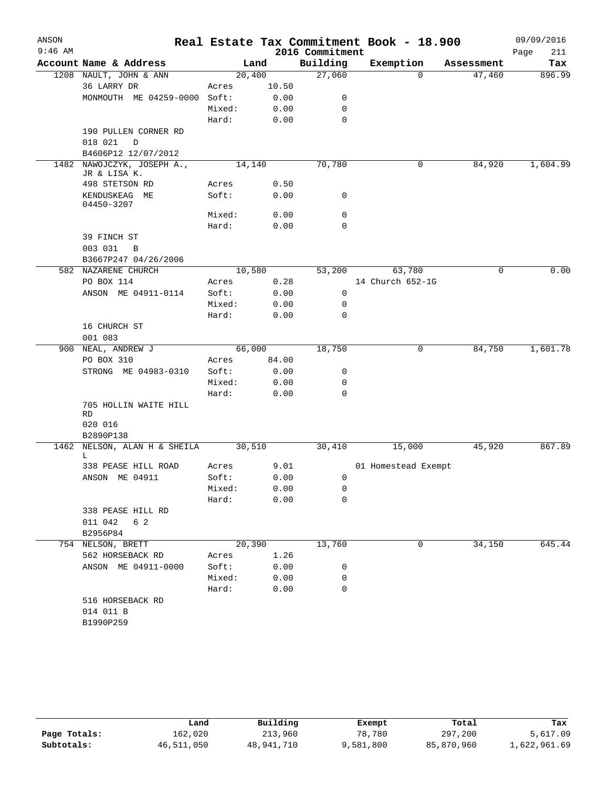| ANSON<br>$9:46$ AM |                              |        |       | 2016 Commitment | Real Estate Tax Commitment Book - 18.900 |            | 09/09/2016<br>Page<br>211 |
|--------------------|------------------------------|--------|-------|-----------------|------------------------------------------|------------|---------------------------|
|                    | Account Name & Address       |        | Land  | Building        | Exemption                                | Assessment | Tax                       |
|                    | 1208 NAULT, JOHN & ANN       | 20,400 |       | 27,060          | 0                                        | 47,460     | 896.99                    |
|                    | 36 LARRY DR                  | Acres  | 10.50 |                 |                                          |            |                           |
|                    | MONMOUTH ME 04259-0000       | Soft:  | 0.00  | 0               |                                          |            |                           |
|                    |                              | Mixed: | 0.00  | 0               |                                          |            |                           |
|                    |                              | Hard:  | 0.00  | 0               |                                          |            |                           |
|                    | 190 PULLEN CORNER RD         |        |       |                 |                                          |            |                           |
|                    | 018 021<br>D                 |        |       |                 |                                          |            |                           |
|                    | B4606P12 12/07/2012          |        |       |                 |                                          |            |                           |
| 1482               | NAWOJCZYK, JOSEPH A.,        | 14,140 |       | 70,780          | 0                                        | 84,920     | 1,604.99                  |
|                    | JR & LISA K.                 |        |       |                 |                                          |            |                           |
|                    | 498 STETSON RD               | Acres  | 0.50  |                 |                                          |            |                           |
|                    | KENDUSKEAG ME<br>04450-3207  | Soft:  | 0.00  | 0               |                                          |            |                           |
|                    |                              | Mixed: | 0.00  | 0               |                                          |            |                           |
|                    |                              | Hard:  | 0.00  | $\mathbf 0$     |                                          |            |                           |
|                    | 39 FINCH ST                  |        |       |                 |                                          |            |                           |
|                    | 003 031<br>B                 |        |       |                 |                                          |            |                           |
|                    | B3667P247 04/26/2006         |        |       |                 |                                          |            |                           |
|                    | 582 NAZARENE CHURCH          | 10,580 |       | 53,200          | 63,780                                   | 0          | 0.00                      |
|                    | PO BOX 114                   | Acres  | 0.28  |                 | 14 Church 652-1G                         |            |                           |
|                    | ANSON ME 04911-0114          | Soft:  | 0.00  | 0               |                                          |            |                           |
|                    |                              | Mixed: | 0.00  | 0               |                                          |            |                           |
|                    |                              | Hard:  | 0.00  | $\mathbf 0$     |                                          |            |                           |
|                    | 16 CHURCH ST                 |        |       |                 |                                          |            |                           |
|                    | 001 083                      |        |       |                 |                                          |            |                           |
| 900                | NEAL, ANDREW J               | 66,000 |       | 18,750          | 0                                        | 84,750     | 1,601.78                  |
|                    | PO BOX 310                   | Acres  | 84.00 |                 |                                          |            |                           |
|                    | STRONG ME 04983-0310         | Soft:  | 0.00  | 0               |                                          |            |                           |
|                    |                              | Mixed: | 0.00  | 0               |                                          |            |                           |
|                    |                              | Hard:  | 0.00  | 0               |                                          |            |                           |
|                    | 705 HOLLIN WAITE HILL<br>RD  |        |       |                 |                                          |            |                           |
|                    | 020 016                      |        |       |                 |                                          |            |                           |
|                    | B2890P138                    |        |       |                 |                                          |            |                           |
|                    | 1462 NELSON, ALAN H & SHEILA | 30,510 |       | 30,410          | 15,000                                   | 45,920     | 867.89                    |
|                    | L<br>338 PEASE HILL ROAD     | Acres  | 9.01  |                 |                                          |            |                           |
|                    | ANSON ME 04911               | Soft:  | 0.00  | 0               | 01 Homestead Exempt                      |            |                           |
|                    |                              | Mixed: | 0.00  | 0               |                                          |            |                           |
|                    |                              | Hard:  | 0.00  | $\mathbf 0$     |                                          |            |                           |
|                    | 338 PEASE HILL RD            |        |       |                 |                                          |            |                           |
|                    | 011 042<br>6 2               |        |       |                 |                                          |            |                           |
|                    | B2956P84                     |        |       |                 |                                          |            |                           |
|                    | 754 NELSON, BRETT            | 20,390 |       | 13,760          | 0                                        | 34,150     | 645.44                    |
|                    | 562 HORSEBACK RD             | Acres  | 1.26  |                 |                                          |            |                           |
|                    | ANSON ME 04911-0000          | Soft:  | 0.00  | 0               |                                          |            |                           |
|                    |                              | Mixed: | 0.00  | 0               |                                          |            |                           |
|                    |                              | Hard:  | 0.00  | $\mathbf 0$     |                                          |            |                           |
|                    | 516 HORSEBACK RD             |        |       |                 |                                          |            |                           |
|                    | 014 011 B                    |        |       |                 |                                          |            |                           |
|                    | B1990P259                    |        |       |                 |                                          |            |                           |
|                    |                              |        |       |                 |                                          |            |                           |

|              | Land       | Building   | Exempt    | Total      | Tax          |
|--------------|------------|------------|-----------|------------|--------------|
| Page Totals: | 162,020    | 213,960    | 78,780    | 297,200    | 5,617.09     |
| Subtotals:   | 46,511,050 | 48,941,710 | 9,581,800 | 85,870,960 | 1,622,961.69 |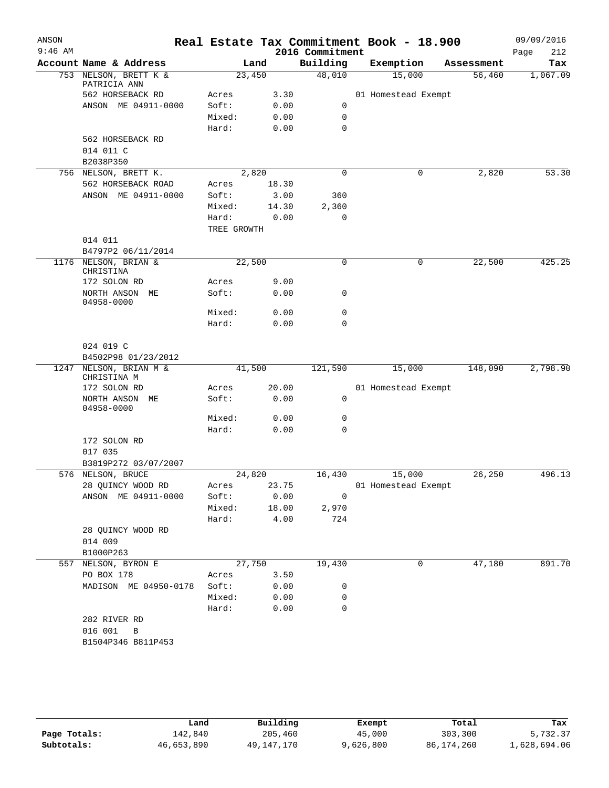| ANSON<br>$9:46$ AM |                                            |             |        | 2016 Commitment | Real Estate Tax Commitment Book - 18.900 |            | 09/09/2016<br>212<br>Page |
|--------------------|--------------------------------------------|-------------|--------|-----------------|------------------------------------------|------------|---------------------------|
|                    | Account Name & Address                     |             | Land   | Building        | Exemption                                | Assessment | Tax                       |
|                    | 753 NELSON, BRETT K &                      | 23,450      |        | 48,010          | 15,000                                   | 56,460     | 1,067.09                  |
|                    | PATRICIA ANN<br>562 HORSEBACK RD           | Acres       | 3.30   |                 | 01 Homestead Exempt                      |            |                           |
|                    | ANSON ME 04911-0000                        | Soft:       | 0.00   | 0               |                                          |            |                           |
|                    |                                            | Mixed:      | 0.00   | 0               |                                          |            |                           |
|                    |                                            | Hard:       | 0.00   | 0               |                                          |            |                           |
|                    | 562 HORSEBACK RD<br>014 011 C<br>B2038P350 |             |        |                 |                                          |            |                           |
|                    | 756 NELSON, BRETT K.                       |             | 2,820  | 0               | 0                                        | 2,820      | 53.30                     |
|                    | 562 HORSEBACK ROAD                         | Acres       | 18.30  |                 |                                          |            |                           |
|                    | ANSON ME 04911-0000                        | Soft:       | 3.00   | 360             |                                          |            |                           |
|                    |                                            | Mixed:      | 14.30  | 2,360           |                                          |            |                           |
|                    |                                            | Hard:       | 0.00   | 0               |                                          |            |                           |
|                    |                                            | TREE GROWTH |        |                 |                                          |            |                           |
|                    | 014 011                                    |             |        |                 |                                          |            |                           |
|                    | B4797P2 06/11/2014                         |             |        |                 |                                          |            |                           |
|                    | 1176 NELSON, BRIAN &                       | 22,500      |        | 0               | 0                                        | 22,500     | 425.25                    |
|                    | CHRISTINA                                  |             |        |                 |                                          |            |                           |
|                    | 172 SOLON RD                               | Acres       | 9.00   | 0               |                                          |            |                           |
|                    | NORTH ANSON ME<br>04958-0000               | Soft:       | 0.00   |                 |                                          |            |                           |
|                    |                                            | Mixed:      | 0.00   | $\mathbf 0$     |                                          |            |                           |
|                    |                                            | Hard:       | 0.00   | 0               |                                          |            |                           |
|                    |                                            |             |        |                 |                                          |            |                           |
|                    | 024 019 C                                  |             |        |                 |                                          |            |                           |
|                    | B4502P98 01/23/2012                        |             |        |                 |                                          |            |                           |
|                    | 1247 NELSON, BRIAN M &                     |             | 41,500 | 121,590         | 15,000                                   | 148,090    | 2,798.90                  |
|                    | CHRISTINA M                                |             |        |                 |                                          |            |                           |
|                    | 172 SOLON RD                               | Acres       | 20.00  |                 | 01 Homestead Exempt                      |            |                           |
|                    | NORTH ANSON ME<br>04958-0000               | Soft:       | 0.00   | 0               |                                          |            |                           |
|                    |                                            | Mixed:      | 0.00   | 0               |                                          |            |                           |
|                    |                                            | Hard:       | 0.00   | 0               |                                          |            |                           |
|                    | 172 SOLON RD                               |             |        |                 |                                          |            |                           |
|                    | 017 035                                    |             |        |                 |                                          |            |                           |
|                    | B3819P272 03/07/2007                       |             |        |                 |                                          |            |                           |
|                    | 576 NELSON, BRUCE                          | 24,820      |        | 16,430          | 15,000                                   | 26,250     | 496.13                    |
|                    | 28 QUINCY WOOD RD                          | Acres       | 23.75  |                 | 01 Homestead Exempt                      |            |                           |
|                    | ANSON ME 04911-0000                        | Soft:       | 0.00   | 0               |                                          |            |                           |
|                    |                                            | Mixed:      | 18.00  | 2,970           |                                          |            |                           |
|                    |                                            | Hard:       | 4.00   | 724             |                                          |            |                           |
|                    | 28 QUINCY WOOD RD                          |             |        |                 |                                          |            |                           |
|                    | 014 009                                    |             |        |                 |                                          |            |                           |
|                    | B1000P263                                  |             |        |                 |                                          |            |                           |
| 557                | NELSON, BYRON E                            |             | 27,750 | 19,430          | 0                                        | 47,180     | 891.70                    |
|                    | PO BOX 178                                 | Acres       | 3.50   |                 |                                          |            |                           |
|                    | MADISON ME 04950-0178                      | Soft:       | 0.00   | 0               |                                          |            |                           |
|                    |                                            | Mixed:      | 0.00   | 0               |                                          |            |                           |
|                    |                                            | Hard:       | 0.00   | $\mathbf 0$     |                                          |            |                           |
|                    | 282 RIVER RD                               |             |        |                 |                                          |            |                           |
|                    | 016 001<br>В                               |             |        |                 |                                          |            |                           |
|                    | B1504P346 B811P453                         |             |        |                 |                                          |            |                           |
|                    |                                            |             |        |                 |                                          |            |                           |

|              | Land       | Building   | Exempt    | Total        | Tax          |
|--------------|------------|------------|-----------|--------------|--------------|
| Page Totals: | 142,840    | 205,460    | 45,000    | 303,300      | 5,732.37     |
| Subtotals:   | 46,653,890 | 49,147,170 | 9,626,800 | 86, 174, 260 | 1,628,694.06 |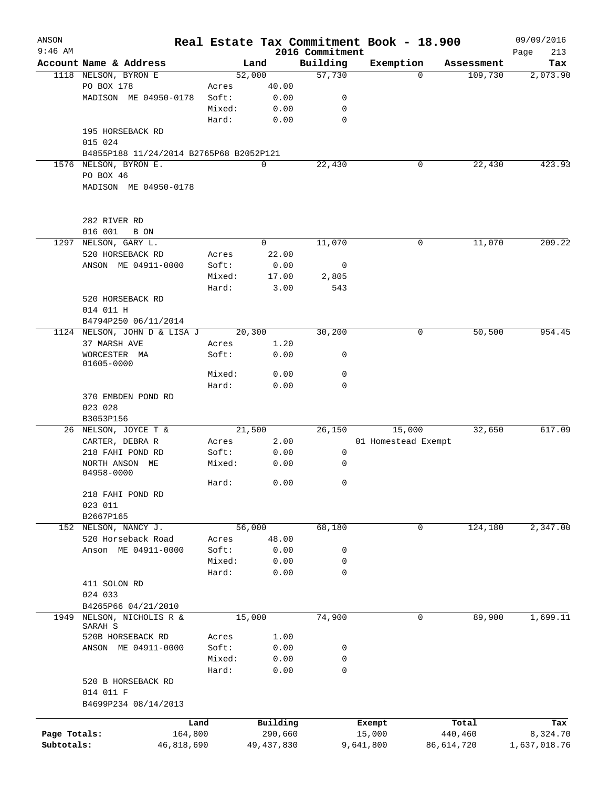| ANSON<br>$9:46$ AM |                                             |                |              | 2016 Commitment | Real Estate Tax Commitment Book - 18.900 |            | 09/09/2016         |
|--------------------|---------------------------------------------|----------------|--------------|-----------------|------------------------------------------|------------|--------------------|
|                    | Account Name & Address                      |                | Land         | Building        | Exemption                                | Assessment | Page<br>213<br>Tax |
|                    | 1118 NELSON, BYRON E                        |                | 52,000       | 57,730          | 0                                        | 109,730    | 2,073.90           |
|                    | PO BOX 178                                  |                | 40.00        |                 |                                          |            |                    |
|                    |                                             | Acres<br>Soft: |              | 0               |                                          |            |                    |
|                    | MADISON ME 04950-0178                       |                | 0.00         |                 |                                          |            |                    |
|                    |                                             | Mixed:         | 0.00         | 0               |                                          |            |                    |
|                    |                                             | Hard:          | 0.00         | 0               |                                          |            |                    |
|                    | 195 HORSEBACK RD                            |                |              |                 |                                          |            |                    |
|                    | 015 024                                     |                |              |                 |                                          |            |                    |
|                    | B4855P188 11/24/2014 B2765P68 B2052P121     |                |              |                 |                                          |            |                    |
|                    | 1576 NELSON, BYRON E.                       |                | 0            | 22,430          | 0                                        | 22,430     | 423.93             |
|                    | PO BOX 46                                   |                |              |                 |                                          |            |                    |
|                    | MADISON ME 04950-0178                       |                |              |                 |                                          |            |                    |
|                    |                                             |                |              |                 |                                          |            |                    |
|                    |                                             |                |              |                 |                                          |            |                    |
|                    | 282 RIVER RD                                |                |              |                 |                                          |            |                    |
|                    | 016 001<br>B ON                             |                |              |                 |                                          |            |                    |
|                    | 1297 NELSON, GARY L.                        |                | 0            | 11,070          | $\mathbf 0$                              | 11,070     | 209.22             |
|                    | 520 HORSEBACK RD                            | Acres          | 22.00        |                 |                                          |            |                    |
|                    | ANSON ME 04911-0000                         | Soft:          | 0.00         | 0               |                                          |            |                    |
|                    |                                             | Mixed:         | 17.00        | 2,805           |                                          |            |                    |
|                    |                                             | Hard:          | 3.00         | 543             |                                          |            |                    |
|                    | 520 HORSEBACK RD                            |                |              |                 |                                          |            |                    |
|                    | 014 011 H                                   |                |              |                 |                                          |            |                    |
|                    | B4794P250 06/11/2014                        |                |              |                 |                                          |            |                    |
|                    | 1124 NELSON, JOHN D & LISA J                |                | 20,300       | 30,200          | 0                                        | 50,500     | 954.45             |
|                    | 37 MARSH AVE                                | Acres          | 1.20         |                 |                                          |            |                    |
|                    | WORCESTER MA                                | Soft:          | 0.00         | 0               |                                          |            |                    |
|                    | 01605-0000                                  |                |              |                 |                                          |            |                    |
|                    |                                             | Mixed:         | 0.00         | 0               |                                          |            |                    |
|                    |                                             | Hard:          | 0.00         | $\mathbf 0$     |                                          |            |                    |
|                    | 370 EMBDEN POND RD                          |                |              |                 |                                          |            |                    |
|                    | 023 028                                     |                |              |                 |                                          |            |                    |
|                    | B3053P156                                   |                |              |                 |                                          |            |                    |
|                    | 26 NELSON, JOYCE T &                        |                | 21,500       | 26,150          | 15,000                                   | 32,650     | 617.09             |
|                    | CARTER, DEBRA R                             | Acres          | 2.00         |                 | 01 Homestead Exempt                      |            |                    |
|                    | 218 FAHI POND RD                            | Soft:          | 0.00         | 0               |                                          |            |                    |
|                    | NORTH ANSON ME                              | Mixed:         | 0.00         | 0               |                                          |            |                    |
|                    | 04958-0000                                  |                |              |                 |                                          |            |                    |
|                    |                                             | Hard:          | 0.00         | 0               |                                          |            |                    |
|                    | 218 FAHI POND RD                            |                |              |                 |                                          |            |                    |
|                    | 023 011                                     |                |              |                 |                                          |            |                    |
|                    | B2667P165                                   |                |              |                 |                                          |            |                    |
| 152                | NELSON, NANCY J.                            |                | 56,000       | 68,180          | 0                                        | 124,180    | 2,347.00           |
|                    | 520 Horseback Road                          | Acres          | 48.00        |                 |                                          |            |                    |
|                    | Anson ME 04911-0000                         | Soft:          | 0.00         | 0               |                                          |            |                    |
|                    |                                             | Mixed:         | 0.00         | 0               |                                          |            |                    |
|                    |                                             | Hard:          | 0.00         | 0               |                                          |            |                    |
|                    | 411 SOLON RD                                |                |              |                 |                                          |            |                    |
|                    | 024 033                                     |                |              |                 |                                          |            |                    |
|                    |                                             |                |              |                 |                                          |            |                    |
|                    | B4265P66 04/21/2010<br>NELSON, NICHOLIS R & |                | 15,000       | 74,900          | 0                                        | 89,900     | 1,699.11           |
| 1949               | SARAH S                                     |                |              |                 |                                          |            |                    |
|                    | 520B HORSEBACK RD                           | Acres          | 1.00         |                 |                                          |            |                    |
|                    | ANSON ME 04911-0000                         | Soft:          | 0.00         | 0               |                                          |            |                    |
|                    |                                             | Mixed:         | 0.00         | 0               |                                          |            |                    |
|                    |                                             | Hard:          | 0.00         | 0               |                                          |            |                    |
|                    | 520 B HORSEBACK RD                          |                |              |                 |                                          |            |                    |
|                    | 014 011 F                                   |                |              |                 |                                          |            |                    |
|                    | B4699P234 08/14/2013                        |                |              |                 |                                          |            |                    |
|                    |                                             |                |              |                 |                                          |            |                    |
|                    | Land                                        |                | Building     |                 | Exempt                                   | Total      | Tax                |
| Page Totals:       | 164,800                                     |                | 290,660      |                 | 15,000                                   | 440,460    | 8,324.70           |
| Subtotals:         | 46,818,690                                  |                | 49, 437, 830 |                 | 9,641,800                                | 86,614,720 | 1,637,018.76       |
|                    |                                             |                |              |                 |                                          |            |                    |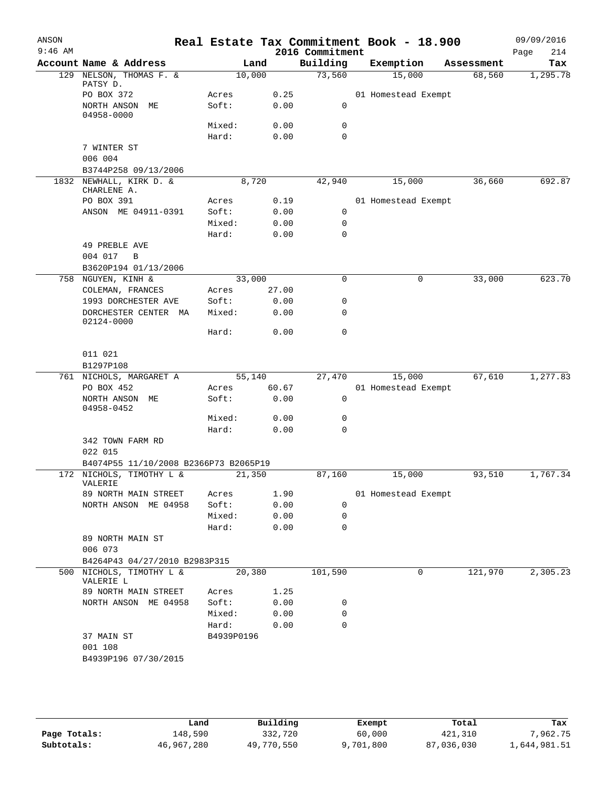| ANSON<br>$9:46$ AM |                                                  |                     |                 | 2016 Commitment  | Real Estate Tax Commitment Book - 18.900 |            | 09/09/2016<br>214<br>Page |
|--------------------|--------------------------------------------------|---------------------|-----------------|------------------|------------------------------------------|------------|---------------------------|
|                    | Account Name & Address                           |                     | Land            | Building         | Exemption                                | Assessment | Tax                       |
|                    | 129 NELSON, THOMAS F. &                          |                     | 10,000          | 73,560           | 15,000                                   | 68,560     | 1,295.78                  |
|                    | PATSY D.<br>PO BOX 372                           | Acres               | 0.25            |                  | 01 Homestead Exempt                      |            |                           |
|                    | NORTH ANSON<br>MЕ                                | Soft:               | 0.00            | 0                |                                          |            |                           |
|                    | 04958-0000                                       |                     |                 |                  |                                          |            |                           |
|                    |                                                  | Mixed:              | 0.00            | 0                |                                          |            |                           |
|                    |                                                  | Hard:               | 0.00            | 0                |                                          |            |                           |
|                    | 7 WINTER ST<br>006 004                           |                     |                 |                  |                                          |            |                           |
|                    | B3744P258 09/13/2006                             |                     |                 |                  |                                          |            |                           |
| 1832               | NEWHALL, KIRK D. &<br>CHARLENE A.                |                     | 8,720           | 42,940           | 15,000                                   | 36,660     | 692.87                    |
|                    | PO BOX 391                                       | Acres               | 0.19            |                  | 01 Homestead Exempt                      |            |                           |
|                    | ANSON ME 04911-0391                              | Soft:               | 0.00            | $\mathbf 0$      |                                          |            |                           |
|                    |                                                  | Mixed:              | 0.00            | 0                |                                          |            |                           |
|                    |                                                  | Hard:               | 0.00            | $\Omega$         |                                          |            |                           |
|                    | 49 PREBLE AVE                                    |                     |                 |                  |                                          |            |                           |
|                    | 004 017<br>B<br>B3620P194 01/13/2006             |                     |                 |                  |                                          |            |                           |
|                    | 758 NGUYEN, KINH &                               |                     | 33,000          | 0                | 0                                        | 33,000     | 623.70                    |
|                    | COLEMAN, FRANCES                                 | Acres               | 27.00           |                  |                                          |            |                           |
|                    | 1993 DORCHESTER AVE                              | Soft:               | 0.00            | 0                |                                          |            |                           |
|                    | DORCHESTER CENTER MA<br>02124-0000               | Mixed:              | 0.00            | 0                |                                          |            |                           |
|                    |                                                  | Hard:               | 0.00            | 0                |                                          |            |                           |
|                    | 011 021                                          |                     |                 |                  |                                          |            |                           |
|                    | B1297P108                                        |                     |                 |                  |                                          |            |                           |
|                    | 761 NICHOLS, MARGARET A<br>PO BOX 452            | Acres               | 55,140<br>60.67 | 27,470           | 15,000<br>01 Homestead Exempt            | 67,610     | 1,277.83                  |
|                    | NORTH ANSON ME                                   | Soft:               | 0.00            | $\mathsf{O}$     |                                          |            |                           |
|                    | 04958-0452                                       |                     |                 |                  |                                          |            |                           |
|                    |                                                  | Mixed:              | 0.00            | 0                |                                          |            |                           |
|                    |                                                  | Hard:               | 0.00            | $\mathbf 0$      |                                          |            |                           |
|                    | 342 TOWN FARM RD                                 |                     |                 |                  |                                          |            |                           |
|                    | 022 015<br>B4074P55 11/10/2008 B2366P73 B2065P19 |                     |                 |                  |                                          |            |                           |
|                    | 172 NICHOLS, TIMOTHY L &                         |                     | 21,350          | 87,160           | 15,000                                   | 93,510     | 1,767.34                  |
|                    | VALERIE                                          |                     |                 |                  |                                          |            |                           |
|                    | 89 NORTH MAIN STREET                             | Acres               | 1.90            |                  | 01 Homestead Exempt                      |            |                           |
|                    | NORTH ANSON ME 04958                             | Soft:<br>Mixed:     | 0.00<br>0.00    | 0<br>$\mathbf 0$ |                                          |            |                           |
|                    |                                                  | Hard:               | 0.00            | $\Omega$         |                                          |            |                           |
|                    | 89 NORTH MAIN ST                                 |                     |                 |                  |                                          |            |                           |
|                    | 006 073                                          |                     |                 |                  |                                          |            |                           |
|                    | B4264P43 04/27/2010 B2983P315                    |                     |                 |                  |                                          |            |                           |
|                    | 500 NICHOLS, TIMOTHY L &<br>VALERIE L            |                     | 20,380          | 101,590          | 0                                        | 121,970    | 2,305.23                  |
|                    | 89 NORTH MAIN STREET                             | Acres               | 1.25            |                  |                                          |            |                           |
|                    | NORTH ANSON ME 04958                             | Soft:               | 0.00            | 0                |                                          |            |                           |
|                    |                                                  | Mixed:              | 0.00            | 0<br>$\Omega$    |                                          |            |                           |
|                    | 37 MAIN ST                                       | Hard:<br>B4939P0196 | 0.00            |                  |                                          |            |                           |
|                    | 001 108                                          |                     |                 |                  |                                          |            |                           |
|                    | B4939P196 07/30/2015                             |                     |                 |                  |                                          |            |                           |
|                    |                                                  |                     |                 |                  |                                          |            |                           |

|              | Land       | Building   | Exempt    | Total      | Tax          |
|--------------|------------|------------|-----------|------------|--------------|
| Page Totals: | 148,590    | 332,720    | 60,000    | 421,310    | 7,962.75     |
| Subtotals:   | 46,967,280 | 49,770,550 | 9,701,800 | 87,036,030 | 1,644,981.51 |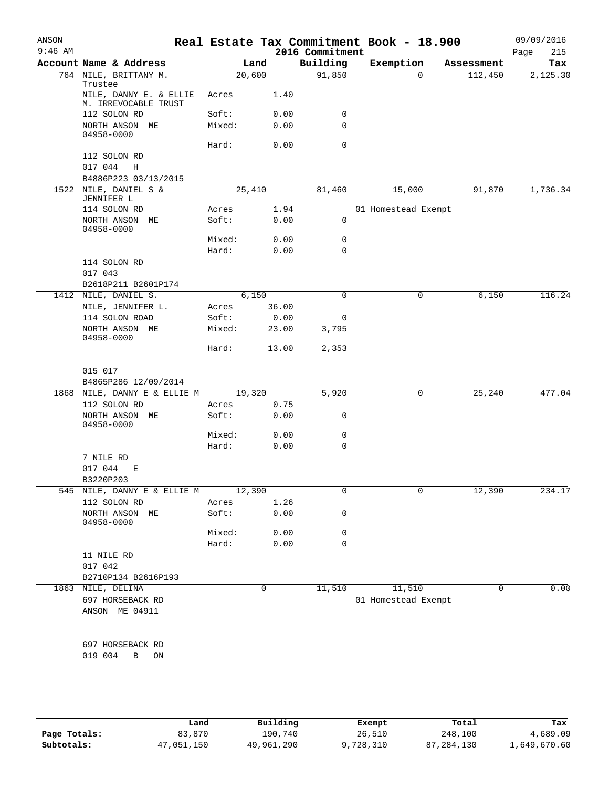| ANSON<br>$9:46$ AM |                                                           |                 |               | 2016 Commitment  | Real Estate Tax Commitment Book - 18.900 |             | 09/09/2016         |
|--------------------|-----------------------------------------------------------|-----------------|---------------|------------------|------------------------------------------|-------------|--------------------|
|                    | Account Name & Address                                    |                 | Land          | Building         | Exemption                                | Assessment  | Page<br>215<br>Tax |
|                    | 764 NILE, BRITTANY M.                                     | 20,600          |               | 91,850           | 0                                        | 112,450     | 2,125.30           |
|                    | Trustee<br>NILE, DANNY E. & ELLIE<br>M. IRREVOCABLE TRUST | Acres           | 1.40          |                  |                                          |             |                    |
|                    | 112 SOLON RD                                              | Soft:           | 0.00          | 0                |                                          |             |                    |
|                    | NORTH ANSON ME<br>04958-0000                              | Mixed:          | 0.00          | 0                |                                          |             |                    |
|                    |                                                           | Hard:           | 0.00          | 0                |                                          |             |                    |
|                    | 112 SOLON RD                                              |                 |               |                  |                                          |             |                    |
|                    | 017 044<br>H                                              |                 |               |                  |                                          |             |                    |
|                    | B4886P223 03/13/2015                                      |                 |               |                  |                                          |             |                    |
|                    | 1522 NILE, DANIEL S &<br>JENNIFER L                       | 25,410          |               | 81,460           | 15,000                                   | 91,870      | 1,736.34           |
|                    | 114 SOLON RD                                              | Acres           | 1.94          |                  | 01 Homestead Exempt                      |             |                    |
|                    | NORTH ANSON ME<br>04958-0000                              | Soft:           | 0.00          | $\mathbf 0$      |                                          |             |                    |
|                    |                                                           | Mixed:          | 0.00          | 0                |                                          |             |                    |
|                    |                                                           | Hard:           | 0.00          | $\mathbf 0$      |                                          |             |                    |
|                    | 114 SOLON RD                                              |                 |               |                  |                                          |             |                    |
|                    | 017 043                                                   |                 |               |                  |                                          |             |                    |
|                    | B2618P211 B2601P174                                       |                 |               |                  |                                          |             |                    |
|                    | 1412 NILE, DANIEL S.                                      |                 | 6,150         | $\mathbf 0$      | 0                                        | 6,150       | 116.24             |
|                    | NILE, JENNIFER L.                                         | Acres           | 36.00         |                  |                                          |             |                    |
|                    | 114 SOLON ROAD<br>NORTH ANSON ME                          | Soft:<br>Mixed: | 0.00<br>23.00 | 0<br>3,795       |                                          |             |                    |
|                    | 04958-0000                                                | Hard:           | 13.00         | 2,353            |                                          |             |                    |
|                    | 015 017                                                   |                 |               |                  |                                          |             |                    |
|                    | B4865P286 12/09/2014                                      |                 |               |                  |                                          |             |                    |
|                    | 1868 NILE, DANNY E & ELLIE M                              | 19,320          |               | 5,920            | 0                                        | 25,240      | 477.04             |
|                    | 112 SOLON RD                                              | Acres           | 0.75          |                  |                                          |             |                    |
|                    | NORTH ANSON ME<br>04958-0000                              | Soft:           | 0.00          | 0                |                                          |             |                    |
|                    |                                                           | Mixed:<br>Hard: | 0.00<br>0.00  | 0<br>$\mathbf 0$ |                                          |             |                    |
|                    | 7 NILE RD                                                 |                 |               |                  |                                          |             |                    |
|                    | 017 044<br>Е                                              |                 |               |                  |                                          |             |                    |
|                    | B3220P203                                                 |                 |               |                  |                                          |             |                    |
|                    | 545 NILE, DANNY E & ELLIE M                               | 12,390          |               | 0                | 0                                        | 12,390      | 234.17             |
|                    | 112 SOLON RD                                              | Acres           | 1.26          |                  |                                          |             |                    |
|                    | NORTH ANSON ME<br>04958-0000                              | Soft:           | 0.00          | 0                |                                          |             |                    |
|                    |                                                           | Mixed:          | 0.00          | 0                |                                          |             |                    |
|                    |                                                           | Hard:           | 0.00          | $\mathbf 0$      |                                          |             |                    |
|                    | 11 NILE RD                                                |                 |               |                  |                                          |             |                    |
|                    | 017 042                                                   |                 |               |                  |                                          |             |                    |
|                    | B2710P134 B2616P193<br>1863 NILE, DELINA                  |                 | 0             | 11,510           | 11,510                                   | $\mathbf 0$ | 0.00               |
|                    | 697 HORSEBACK RD                                          |                 |               |                  | 01 Homestead Exempt                      |             |                    |
|                    | ANSON ME 04911                                            |                 |               |                  |                                          |             |                    |
|                    |                                                           |                 |               |                  |                                          |             |                    |
|                    | 697 HORSEBACK RD                                          |                 |               |                  |                                          |             |                    |
|                    | 019 004<br>B<br>ON                                        |                 |               |                  |                                          |             |                    |
|                    |                                                           |                 |               |                  |                                          |             |                    |

|              | Land       | Building   | Exempt    | Total        | Tax          |
|--------------|------------|------------|-----------|--------------|--------------|
| Page Totals: | 83,870     | 190,740    | 26,510    | 248,100      | 4,689.09     |
| Subtotals:   | 47,051,150 | 49,961,290 | 9,728,310 | 87, 284, 130 | 1,649,670.60 |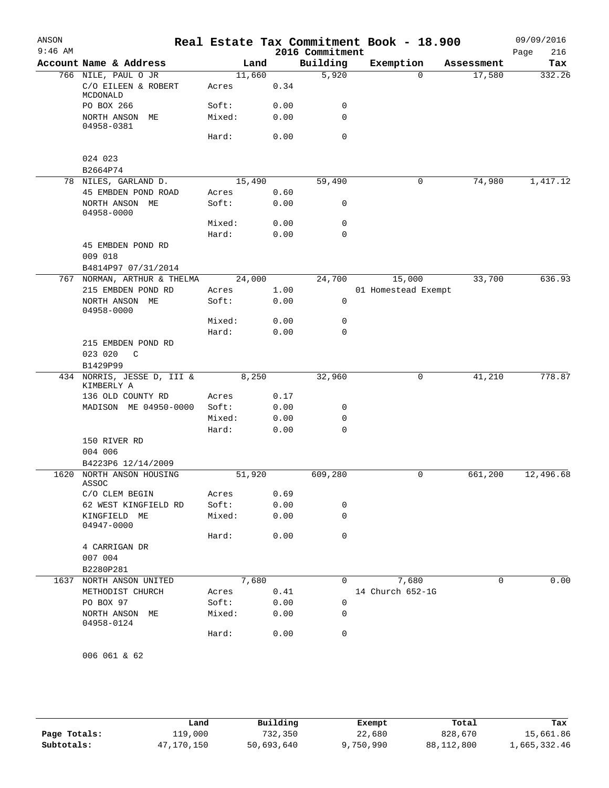| ANSON<br>$9:46$ AM |                                                   |                |      | 2016 Commitment | Real Estate Tax Commitment Book - 18.900 |            | 09/09/2016<br>216<br>Page |
|--------------------|---------------------------------------------------|----------------|------|-----------------|------------------------------------------|------------|---------------------------|
|                    | Account Name & Address                            | Land           |      | Building        | Exemption                                | Assessment | Tax                       |
|                    | 766 NILE, PAUL O JR                               | 11,660         |      | 5,920           | $\Omega$                                 | 17,580     | 332.26                    |
|                    | C/O EILEEN & ROBERT<br>MCDONALD                   | Acres          | 0.34 |                 |                                          |            |                           |
|                    | PO BOX 266                                        | Soft:          | 0.00 | 0               |                                          |            |                           |
|                    | NORTH ANSON ME<br>04958-0381                      | Mixed:         | 0.00 | 0               |                                          |            |                           |
|                    |                                                   | Hard:          | 0.00 | 0               |                                          |            |                           |
|                    | 024 023                                           |                |      |                 |                                          |            |                           |
|                    | B2664P74                                          |                |      |                 |                                          |            |                           |
|                    | 78 NILES, GARLAND D.                              | 15,490         |      | 59,490          | 0                                        | 74,980     | 1,417.12                  |
|                    | 45 EMBDEN POND ROAD                               | Acres          | 0.60 |                 |                                          |            |                           |
|                    | NORTH ANSON ME<br>04958-0000                      | Soft:          | 0.00 | 0               |                                          |            |                           |
|                    |                                                   | Mixed:         | 0.00 | 0               |                                          |            |                           |
|                    |                                                   | Hard:          | 0.00 | 0               |                                          |            |                           |
|                    | 45 EMBDEN POND RD                                 |                |      |                 |                                          |            |                           |
|                    | 009 018                                           |                |      |                 |                                          |            |                           |
|                    | B4814P97 07/31/2014                               |                |      |                 |                                          |            |                           |
|                    | 767 NORMAN, ARTHUR & THELMA<br>215 EMBDEN POND RD | 24,000         | 1.00 | 24,700          | 15,000<br>01 Homestead Exempt            | 33,700     | 636.93                    |
|                    | NORTH ANSON ME<br>04958-0000                      | Acres<br>Soft: | 0.00 | 0               |                                          |            |                           |
|                    |                                                   | Mixed:         | 0.00 | 0               |                                          |            |                           |
|                    |                                                   | Hard:          | 0.00 | 0               |                                          |            |                           |
|                    | 215 EMBDEN POND RD                                |                |      |                 |                                          |            |                           |
|                    | 023 020<br>$\mathsf{C}$                           |                |      |                 |                                          |            |                           |
|                    | B1429P99                                          |                |      |                 |                                          |            |                           |
|                    | 434 NORRIS, JESSE D, III &<br>KIMBERLY A          | 8,250          |      | 32,960          | 0                                        | 41,210     | 778.87                    |
|                    | 136 OLD COUNTY RD                                 | Acres          | 0.17 |                 |                                          |            |                           |
|                    | MADISON ME 04950-0000                             | Soft:          | 0.00 | 0               |                                          |            |                           |
|                    |                                                   | Mixed:         | 0.00 | 0               |                                          |            |                           |
|                    |                                                   | Hard:          | 0.00 | 0               |                                          |            |                           |
|                    | 150 RIVER RD<br>004 006                           |                |      |                 |                                          |            |                           |
|                    | B4223P6 12/14/2009                                |                |      |                 |                                          |            |                           |
| 1620               | NORTH ANSON HOUSING<br>ASSOC                      | 51,920         |      | 609,280         | 0                                        | 661,200    | 12,496.68                 |
|                    | C/O CLEM BEGIN                                    | Acres          | 0.69 |                 |                                          |            |                           |
|                    | 62 WEST KINGFIELD RD                              | Soft:          | 0.00 | 0               |                                          |            |                           |
|                    | KINGFIELD ME<br>04947-0000                        | Mixed:         | 0.00 | 0               |                                          |            |                           |
|                    |                                                   | Hard:          | 0.00 | 0               |                                          |            |                           |
|                    | 4 CARRIGAN DR<br>007 004                          |                |      |                 |                                          |            |                           |
|                    | B2280P281                                         |                |      |                 |                                          |            |                           |
|                    | 1637 NORTH ANSON UNITED                           | 7,680          |      | 0               | 7,680                                    | 0          | 0.00                      |
|                    | METHODIST CHURCH                                  | Acres          | 0.41 |                 | 14 Church 652-1G                         |            |                           |
|                    | PO BOX 97                                         | Soft:          | 0.00 | 0               |                                          |            |                           |
|                    | NORTH ANSON ME<br>04958-0124                      | Mixed:         | 0.00 | 0               |                                          |            |                           |
|                    |                                                   | Hard:          | 0.00 | 0               |                                          |            |                           |
|                    | 006 061 & 62                                      |                |      |                 |                                          |            |                           |

|              | Land       | Building   | Exempt    | Total      | Tax          |
|--------------|------------|------------|-----------|------------|--------------|
| Page Totals: | 119,000    | 732,350    | 22,680    | 828,670    | 15,661.86    |
| Subtotals:   | 47,170,150 | 50,693,640 | 9,750,990 | 88,112,800 | 1,665,332.46 |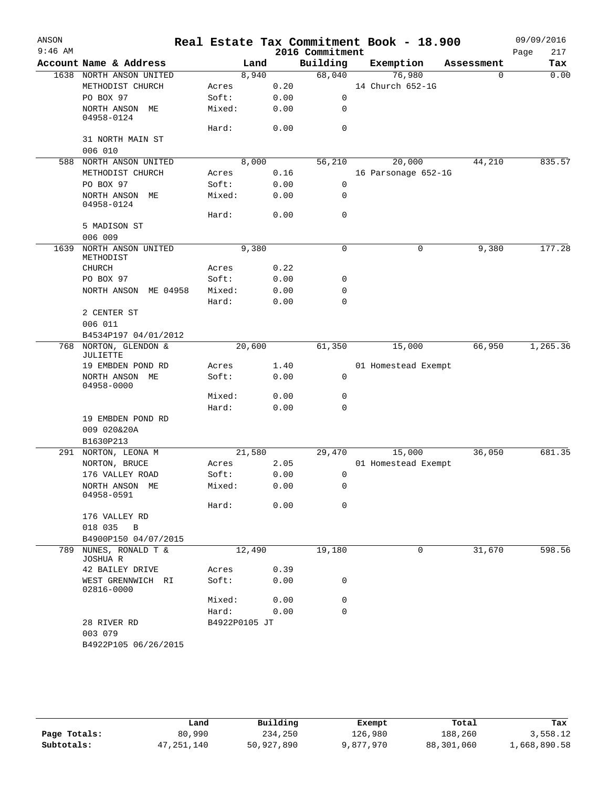| ANSON     |                                               |                |        |      |                 | Real Estate Tax Commitment Book - 18.900 |            | 09/09/2016  |
|-----------|-----------------------------------------------|----------------|--------|------|-----------------|------------------------------------------|------------|-------------|
| $9:46$ AM |                                               |                |        |      | 2016 Commitment |                                          |            | 217<br>Page |
|           | Account Name & Address                        |                | Land   |      | Building        | Exemption                                | Assessment | Tax         |
|           | 1638 NORTH ANSON UNITED<br>METHODIST CHURCH   |                | 8,940  | 0.20 | 68,040          | 76,980<br>14 Church 652-1G               | $\Omega$   | 0.00        |
|           | PO BOX 97                                     | Acres<br>Soft: |        | 0.00 | 0               |                                          |            |             |
|           | NORTH ANSON ME                                | Mixed:         |        |      | 0               |                                          |            |             |
|           | 04958-0124                                    |                |        | 0.00 |                 |                                          |            |             |
|           |                                               | Hard:          |        | 0.00 | $\mathbf 0$     |                                          |            |             |
|           | 31 NORTH MAIN ST                              |                |        |      |                 |                                          |            |             |
|           | 006 010                                       |                |        |      |                 |                                          |            |             |
|           | 588 NORTH ANSON UNITED                        |                | 8,000  |      | 56,210          | 20,000                                   | 44,210     | 835.57      |
|           | METHODIST CHURCH<br>PO BOX 97                 | Acres<br>Soft: |        | 0.16 | 0               | 16 Parsonage 652-1G                      |            |             |
|           |                                               |                |        | 0.00 | $\mathbf 0$     |                                          |            |             |
|           | NORTH ANSON ME<br>04958-0124                  | Mixed:         |        | 0.00 |                 |                                          |            |             |
|           |                                               | Hard:          |        | 0.00 | 0               |                                          |            |             |
|           | 5 MADISON ST<br>006 009                       |                |        |      |                 |                                          |            |             |
| 1639      | NORTH ANSON UNITED                            |                | 9,380  |      | 0               | 0                                        | 9,380      | 177.28      |
|           | METHODIST                                     |                |        |      |                 |                                          |            |             |
|           | CHURCH                                        | Acres          |        | 0.22 |                 |                                          |            |             |
|           | PO BOX 97                                     | Soft:          |        | 0.00 | 0               |                                          |            |             |
|           | NORTH ANSON ME 04958                          | Mixed:         |        | 0.00 | 0               |                                          |            |             |
|           |                                               | Hard:          |        | 0.00 | $\mathbf 0$     |                                          |            |             |
|           | 2 CENTER ST                                   |                |        |      |                 |                                          |            |             |
|           | 006 011                                       |                |        |      |                 |                                          |            |             |
|           | B4534P197 04/01/2012<br>768 NORTON, GLENDON & |                |        |      |                 |                                          | 66,950     | 1,265.36    |
|           | JULIETTE                                      |                | 20,600 |      | 61,350          | 15,000                                   |            |             |
|           | 19 EMBDEN POND RD                             | Acres          |        | 1.40 |                 | 01 Homestead Exempt                      |            |             |
|           | NORTH ANSON ME<br>04958-0000                  | Soft:          |        | 0.00 | 0               |                                          |            |             |
|           |                                               | Mixed:         |        | 0.00 | 0               |                                          |            |             |
|           |                                               | Hard:          |        | 0.00 | 0               |                                          |            |             |
|           | 19 EMBDEN POND RD                             |                |        |      |                 |                                          |            |             |
|           | 009 020&20A<br>B1630P213                      |                |        |      |                 |                                          |            |             |
|           | 291 NORTON, LEONA M                           |                | 21,580 |      | 29,470          | 15,000                                   | 36,050     | 681.35      |
|           | NORTON, BRUCE                                 | Acres          |        | 2.05 |                 | 01 Homestead Exempt                      |            |             |
|           | 176 VALLEY ROAD                               | Soft:          |        | 0.00 | 0               |                                          |            |             |
|           | NORTH ANSON ME                                | Mixed:         |        | 0.00 | 0               |                                          |            |             |
|           | 04958-0591                                    |                |        |      |                 |                                          |            |             |
|           |                                               | Hard:          |        | 0.00 | $\mathbf 0$     |                                          |            |             |
|           | 176 VALLEY RD                                 |                |        |      |                 |                                          |            |             |
|           | 018 035<br>B                                  |                |        |      |                 |                                          |            |             |
|           | B4900P150 04/07/2015                          |                |        |      |                 |                                          |            |             |
| 789       | NUNES, RONALD T &<br>JOSHUA R                 |                | 12,490 |      | 19,180          | 0                                        | 31,670     | 598.56      |
|           | 42 BAILEY DRIVE                               | Acres          |        | 0.39 |                 |                                          |            |             |
|           | WEST GRENNWICH RI<br>02816-0000               | Soft:          |        | 0.00 | 0               |                                          |            |             |
|           |                                               | Mixed:         |        | 0.00 | 0               |                                          |            |             |
|           |                                               | Hard:          |        | 0.00 | $\mathbf 0$     |                                          |            |             |
|           | 28 RIVER RD<br>003 079                        | B4922P0105 JT  |        |      |                 |                                          |            |             |
|           | B4922P105 06/26/2015                          |                |        |      |                 |                                          |            |             |

|              | Land         | Building   | Exempt    | Total      | Tax          |
|--------------|--------------|------------|-----------|------------|--------------|
| Page Totals: | 80,990       | 234,250    | 126,980   | 188,260    | 3,558.12     |
| Subtotals:   | 47, 251, 140 | 50,927,890 | 9,877,970 | 88,301,060 | 1,668,890.58 |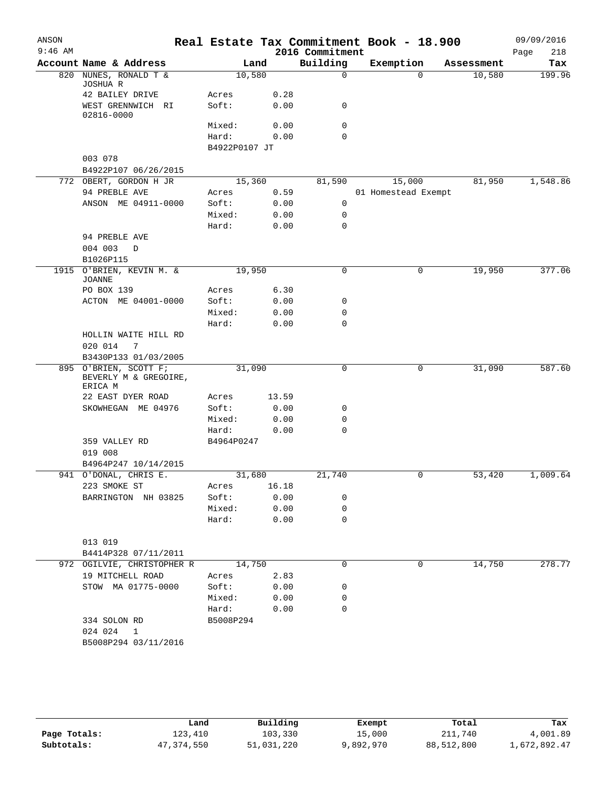| ANSON<br>$9:46$ AM |                                                           |                 |              | 2016 Commitment | Real Estate Tax Commitment Book - 18.900 |            | 09/09/2016<br>218<br>Page |
|--------------------|-----------------------------------------------------------|-----------------|--------------|-----------------|------------------------------------------|------------|---------------------------|
|                    | Account Name & Address                                    |                 | Land         | Building        | Exemption                                | Assessment | Tax                       |
| 820                | NUNES, RONALD T &<br>JOSHUA R                             | 10,580          |              | $\mathbf 0$     | $\Omega$                                 | 10,580     | 199.96                    |
|                    | 42 BAILEY DRIVE                                           | Acres           | 0.28         |                 |                                          |            |                           |
|                    | WEST GRENNWICH RI<br>02816-0000                           | Soft:           | 0.00         | 0               |                                          |            |                           |
|                    |                                                           | Mixed:          | 0.00         | $\mathbf 0$     |                                          |            |                           |
|                    |                                                           | Hard:           | 0.00         | 0               |                                          |            |                           |
|                    |                                                           | B4922P0107 JT   |              |                 |                                          |            |                           |
|                    | 003 078                                                   |                 |              |                 |                                          |            |                           |
|                    | B4922P107 06/26/2015                                      |                 |              |                 |                                          |            |                           |
|                    | 772 OBERT, GORDON H JR                                    | 15,360          |              | 81,590          | 15,000                                   | 81,950     | 1,548.86                  |
|                    | 94 PREBLE AVE                                             | Acres           | 0.59         |                 | 01 Homestead Exempt                      |            |                           |
|                    | ANSON ME 04911-0000                                       | Soft:           | 0.00         | 0               |                                          |            |                           |
|                    |                                                           | Mixed:          | 0.00         | 0               |                                          |            |                           |
|                    |                                                           | Hard:           | 0.00         | $\mathbf 0$     |                                          |            |                           |
|                    | 94 PREBLE AVE<br>004 003<br>D                             |                 |              |                 |                                          |            |                           |
|                    | B1026P115                                                 |                 |              |                 |                                          |            |                           |
|                    | 1915 O'BRIEN, KEVIN M. &<br><b>JOANNE</b>                 | 19,950          |              | $\mathbf 0$     | 0                                        | 19,950     | 377.06                    |
|                    | PO BOX 139                                                | Acres           | 6.30         |                 |                                          |            |                           |
|                    | ACTON ME 04001-0000                                       | Soft:           | 0.00         | 0               |                                          |            |                           |
|                    |                                                           | Mixed:          | 0.00         | 0               |                                          |            |                           |
|                    |                                                           | Hard:           | 0.00         | 0               |                                          |            |                           |
|                    | HOLLIN WAITE HILL RD                                      |                 |              |                 |                                          |            |                           |
|                    | 020 014<br>7                                              |                 |              |                 |                                          |            |                           |
|                    | B3430P133 01/03/2005                                      |                 |              |                 |                                          |            |                           |
|                    | 895 O'BRIEN, SCOTT F;<br>BEVERLY M & GREGOIRE,<br>ERICA M | 31,090          |              | 0               | 0                                        | 31,090     | 587.60                    |
|                    | 22 EAST DYER ROAD                                         | Acres           | 13.59        |                 |                                          |            |                           |
|                    | SKOWHEGAN ME 04976                                        | Soft:           | 0.00         | 0               |                                          |            |                           |
|                    |                                                           | Mixed:          | 0.00         | 0               |                                          |            |                           |
|                    |                                                           | Hard:           | 0.00         | 0               |                                          |            |                           |
|                    | 359 VALLEY RD                                             | B4964P0247      |              |                 |                                          |            |                           |
|                    | 019 008                                                   |                 |              |                 |                                          |            |                           |
|                    | B4964P247 10/14/2015                                      |                 |              |                 |                                          |            |                           |
|                    | 941 O'DONAL, CHRIS E.                                     | 31,680          |              | 21,740          | 0                                        | 53,420     | 1,009.64                  |
|                    | 223 SMOKE ST                                              | Acres           | 16.18        |                 |                                          |            |                           |
|                    | BARRINGTON NH 03825                                       | Soft:<br>Mixed: | 0.00         | 0<br>0          |                                          |            |                           |
|                    |                                                           | Hard:           | 0.00<br>0.00 | $\mathbf 0$     |                                          |            |                           |
|                    |                                                           |                 |              |                 |                                          |            |                           |
|                    | 013 019                                                   |                 |              |                 |                                          |            |                           |
|                    | B4414P328 07/11/2011                                      |                 |              |                 |                                          |            |                           |
|                    | 972 OGILVIE, CHRISTOPHER R                                | 14,750          |              | $\mathbf 0$     | 0                                        | 14,750     | 278.77                    |
|                    | 19 MITCHELL ROAD                                          | Acres           | 2.83         |                 |                                          |            |                           |
|                    | STOW MA 01775-0000                                        | Soft:           | 0.00         | 0               |                                          |            |                           |
|                    |                                                           | Mixed:          | 0.00         | 0               |                                          |            |                           |
|                    |                                                           | Hard:           | 0.00         | 0               |                                          |            |                           |
|                    | 334 SOLON RD                                              | B5008P294       |              |                 |                                          |            |                           |
|                    | 024 024<br>1                                              |                 |              |                 |                                          |            |                           |
|                    | B5008P294 03/11/2016                                      |                 |              |                 |                                          |            |                           |
|                    |                                                           |                 |              |                 |                                          |            |                           |

|              | Land       | Building   | Exempt    | Total      | Tax          |
|--------------|------------|------------|-----------|------------|--------------|
| Page Totals: | 123,410    | 103,330    | 15,000    | 211,740    | 4,001.89     |
| Subtotals:   | 47,374,550 | 51,031,220 | 9,892,970 | 88,512,800 | 1,672,892.47 |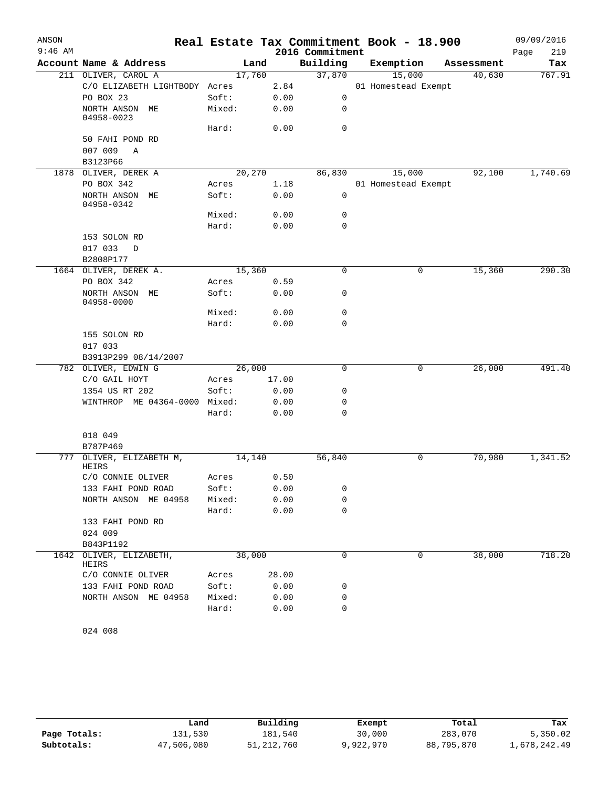| ANSON     |                                             |        |       |                 | Real Estate Tax Commitment Book - 18.900 |            | 09/09/2016  |
|-----------|---------------------------------------------|--------|-------|-----------------|------------------------------------------|------------|-------------|
| $9:46$ AM |                                             |        |       | 2016 Commitment |                                          |            | 219<br>Page |
|           | Account Name & Address                      | Land   |       | Building        | Exemption                                | Assessment | Tax         |
|           | 211 OLIVER, CAROL A                         | 17,760 |       | 37,870          | 15,000                                   | 40,630     | 767.91      |
|           | C/O ELIZABETH LIGHTBODY Acres               |        | 2.84  |                 | 01 Homestead Exempt                      |            |             |
|           | PO BOX 23                                   | Soft:  | 0.00  | 0               |                                          |            |             |
|           | NORTH ANSON ME<br>04958-0023                | Mixed: | 0.00  | 0               |                                          |            |             |
|           |                                             | Hard:  | 0.00  | $\mathbf 0$     |                                          |            |             |
|           | 50 FAHI POND RD<br>007 009<br>Α<br>B3123P66 |        |       |                 |                                          |            |             |
|           | 1878 OLIVER, DEREK A                        | 20,270 |       | 86,830          | 15,000                                   | 92,100     | 1,740.69    |
|           | PO BOX 342                                  | Acres  | 1.18  |                 | 01 Homestead Exempt                      |            |             |
|           | NORTH ANSON ME<br>04958-0342                | Soft:  | 0.00  | 0               |                                          |            |             |
|           |                                             | Mixed: | 0.00  | 0               |                                          |            |             |
|           |                                             | Hard:  | 0.00  | $\mathbf 0$     |                                          |            |             |
|           | 153 SOLON RD<br>017 033<br>D<br>B2808P177   |        |       |                 |                                          |            |             |
|           | 1664 OLIVER, DEREK A.                       | 15,360 |       | 0               | 0                                        | 15,360     | 290.30      |
|           | PO BOX 342                                  | Acres  | 0.59  |                 |                                          |            |             |
|           | NORTH ANSON ME<br>04958-0000                | Soft:  | 0.00  | 0               |                                          |            |             |
|           |                                             | Mixed: | 0.00  | $\mathbf 0$     |                                          |            |             |
|           |                                             | Hard:  | 0.00  | $\mathbf 0$     |                                          |            |             |
|           | 155 SOLON RD<br>017 033                     |        |       |                 |                                          |            |             |
|           | B3913P299 08/14/2007                        |        |       |                 |                                          |            |             |
|           | 782 OLIVER, EDWIN G                         | 26,000 |       | $\mathbf 0$     | 0                                        | 26,000     | 491.40      |
|           | C/O GAIL HOYT                               | Acres  | 17.00 |                 |                                          |            |             |
|           | 1354 US RT 202                              | Soft:  | 0.00  | 0               |                                          |            |             |
|           | WINTHROP ME 04364-0000 Mixed:               |        | 0.00  | 0               |                                          |            |             |
|           |                                             | Hard:  | 0.00  | $\mathbf 0$     |                                          |            |             |
|           | 018 049                                     |        |       |                 |                                          |            |             |
|           | B787P469                                    |        |       |                 |                                          |            |             |
| 777       | OLIVER, ELIZABETH M,<br>HEIRS               | 14,140 |       | 56,840          | 0                                        | 70,980     | 1,341.52    |
|           | C/O CONNIE OLIVER                           | Acres  | 0.50  |                 |                                          |            |             |
|           | 133 FAHI POND ROAD                          | Soft:  | 0.00  | 0               |                                          |            |             |
|           | NORTH ANSON ME 04958                        | Mixed: | 0.00  | $\mathbf 0$     |                                          |            |             |
|           | 133 FAHI POND RD                            | Hard:  | 0.00  | 0               |                                          |            |             |
|           | 024 009                                     |        |       |                 |                                          |            |             |
|           | B843P1192                                   |        |       |                 |                                          |            |             |
| 1642      | OLIVER, ELIZABETH,<br>HEIRS                 | 38,000 |       | $\mathbf 0$     | 0                                        | 38,000     | 718.20      |
|           | C/O CONNIE OLIVER                           | Acres  | 28.00 |                 |                                          |            |             |
|           | 133 FAHI POND ROAD                          | Soft:  | 0.00  | 0               |                                          |            |             |
|           | NORTH ANSON ME 04958                        | Mixed: | 0.00  | 0               |                                          |            |             |
|           |                                             | Hard:  | 0.00  | 0               |                                          |            |             |
|           |                                             |        |       |                 |                                          |            |             |

```
024 008
```

|              | Land       | Building   | Exempt    | Total      | Tax          |
|--------------|------------|------------|-----------|------------|--------------|
| Page Totals: | 131,530    | 181,540    | 30,000    | 283,070    | 5,350.02     |
| Subtotals:   | 47,506,080 | 51,212,760 | 9,922,970 | 88,795,870 | 1,678,242.49 |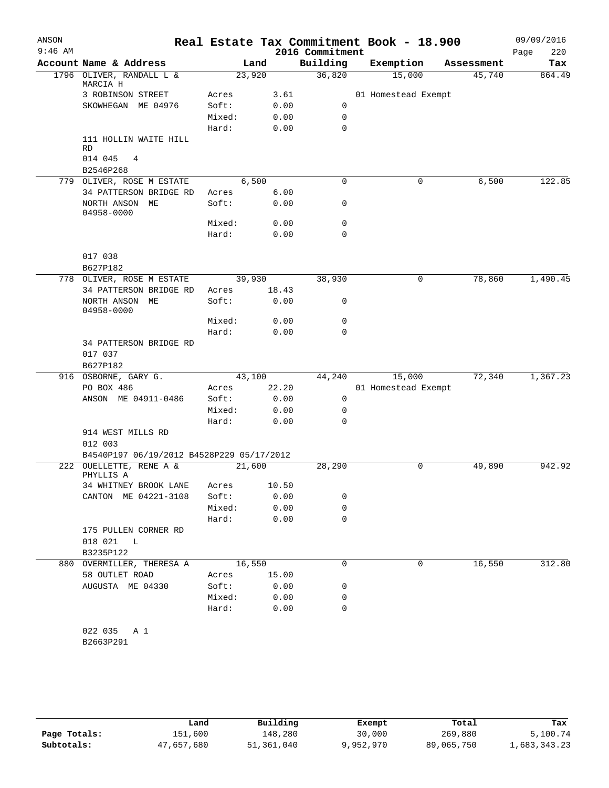| ANSON<br>$9:46$ AM |                                           |                 |              | 2016 Commitment | Real Estate Tax Commitment Book - 18.900 |            | 09/09/2016<br>220<br>Page |
|--------------------|-------------------------------------------|-----------------|--------------|-----------------|------------------------------------------|------------|---------------------------|
|                    | Account Name & Address                    |                 | Land         | Building        | Exemption                                | Assessment | Tax                       |
|                    | 1796 OLIVER, RANDALL L &<br>MARCIA H      |                 | 23,920       | 36,820          | 15,000                                   | 45,740     | 864.49                    |
|                    | 3 ROBINSON STREET                         | Acres           | 3.61         |                 | 01 Homestead Exempt                      |            |                           |
|                    | SKOWHEGAN ME 04976                        | Soft:           | 0.00         | 0               |                                          |            |                           |
|                    |                                           | Mixed:          | 0.00         | 0               |                                          |            |                           |
|                    |                                           | Hard:           | 0.00         | $\Omega$        |                                          |            |                           |
|                    | 111 HOLLIN WAITE HILL<br><b>RD</b>        |                 |              |                 |                                          |            |                           |
|                    | 014 045<br>$\overline{4}$<br>B2546P268    |                 |              |                 |                                          |            |                           |
|                    | 779 OLIVER, ROSE M ESTATE                 |                 | 6,500        | 0               | 0                                        | 6,500      | 122.85                    |
|                    | 34 PATTERSON BRIDGE RD                    | Acres           | 6.00         |                 |                                          |            |                           |
|                    | NORTH ANSON ME<br>04958-0000              | Soft:           | 0.00         | 0               |                                          |            |                           |
|                    |                                           | Mixed:          | 0.00         | 0               |                                          |            |                           |
|                    |                                           | Hard:           | 0.00         | $\Omega$        |                                          |            |                           |
|                    | 017 038                                   |                 |              |                 |                                          |            |                           |
|                    | B627P182                                  |                 |              |                 |                                          |            |                           |
|                    | 778 OLIVER, ROSE M ESTATE                 |                 | 39,930       | 38,930          | $\mathbf 0$                              | 78,860     | 1,490.45                  |
|                    | 34 PATTERSON BRIDGE RD                    | Acres           | 18.43        |                 |                                          |            |                           |
|                    | NORTH ANSON ME<br>04958-0000              | Soft:           | 0.00         | 0               |                                          |            |                           |
|                    |                                           | Mixed:<br>Hard: | 0.00<br>0.00 | 0<br>$\Omega$   |                                          |            |                           |
|                    | 34 PATTERSON BRIDGE RD                    |                 |              |                 |                                          |            |                           |
|                    | 017 037<br>B627P182                       |                 |              |                 |                                          |            |                           |
|                    | 916 OSBORNE, GARY G.                      |                 | 43,100       | 44,240          | 15,000                                   | 72,340     | 1,367.23                  |
|                    | PO BOX 486                                | Acres           | 22.20        |                 | 01 Homestead Exempt                      |            |                           |
|                    | ANSON ME 04911-0486                       | Soft:           | 0.00         | 0               |                                          |            |                           |
|                    |                                           | Mixed:          | 0.00         | $\mathbf 0$     |                                          |            |                           |
|                    |                                           | Hard:           | 0.00         | $\Omega$        |                                          |            |                           |
|                    | 914 WEST MILLS RD<br>012 003              |                 |              |                 |                                          |            |                           |
|                    | B4540P197 06/19/2012 B4528P229 05/17/2012 |                 |              |                 |                                          |            |                           |
|                    | 222 OUELLETTE, RENE A &<br>PHYLLIS A      |                 | 21,600       | 28,290          | 0                                        | 49,890     | 942.92                    |
|                    | 34 WHITNEY BROOK LANE                     | Acres           | 10.50        |                 |                                          |            |                           |
|                    | CANTON ME 04221-3108                      | Soft:           | 0.00         | 0               |                                          |            |                           |
|                    |                                           | Mixed:          | 0.00         | 0               |                                          |            |                           |
|                    |                                           | Hard:           | 0.00         | $\mathbf 0$     |                                          |            |                           |
|                    | 175 PULLEN CORNER RD                      |                 |              |                 |                                          |            |                           |
|                    | 018 021 L                                 |                 |              |                 |                                          |            |                           |
|                    | B3235P122                                 |                 |              |                 |                                          |            |                           |
|                    | 880 OVERMILLER, THERESA A                 |                 | 16,550       | $\Omega$        | 0                                        | 16,550     | 312.80                    |
|                    | 58 OUTLET ROAD                            | Acres           | 15.00        |                 |                                          |            |                           |
|                    | AUGUSTA ME 04330                          | Soft:           | 0.00         | 0               |                                          |            |                           |
|                    |                                           | Mixed:          | 0.00         | 0               |                                          |            |                           |
|                    |                                           | Hard:           | 0.00         | 0               |                                          |            |                           |
|                    | 022 035<br>A 1                            |                 |              |                 |                                          |            |                           |
|                    | B2663P291                                 |                 |              |                 |                                          |            |                           |
|                    |                                           |                 |              |                 |                                          |            |                           |

|              | Land       | Building   | Exempt    | Total      | Tax          |
|--------------|------------|------------|-----------|------------|--------------|
| Page Totals: | 151,600    | 148,280    | 30,000    | 269,880    | 5,100.74     |
| Subtotals:   | 47,657,680 | 51,361,040 | 9,952,970 | 89,065,750 | 1,683,343.23 |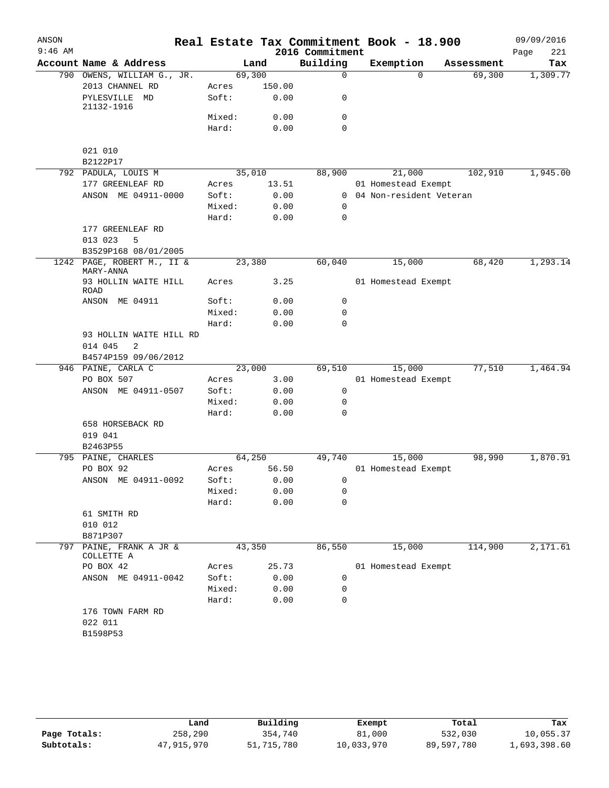| ANSON     |                                         |                 |              |                             | Real Estate Tax Commitment Book - 18.900 |            | 09/09/2016         |
|-----------|-----------------------------------------|-----------------|--------------|-----------------------------|------------------------------------------|------------|--------------------|
| $9:46$ AM | Account Name & Address                  |                 | Land         | 2016 Commitment<br>Building | Exemption                                | Assessment | 221<br>Page<br>Tax |
|           | 790 OWENS, WILLIAM G., JR.              | 69,300          |              | $\mathbf 0$                 | $\Omega$                                 | 69,300     | 1,309.77           |
|           | 2013 CHANNEL RD                         | Acres           | 150.00       |                             |                                          |            |                    |
|           | PYLESVILLE MD<br>21132-1916             | Soft:           | 0.00         | 0                           |                                          |            |                    |
|           |                                         | Mixed:          | 0.00         | $\mathbf 0$                 |                                          |            |                    |
|           |                                         | Hard:           | 0.00         | $\Omega$                    |                                          |            |                    |
|           | 021 010                                 |                 |              |                             |                                          |            |                    |
|           | B2122P17                                |                 |              |                             |                                          |            |                    |
|           | 792 PADULA, LOUIS M                     | 35,010          |              | 88,900                      | 21,000                                   | 102,910    | 1,945.00           |
|           | 177 GREENLEAF RD                        | Acres           | 13.51        |                             | 01 Homestead Exempt                      |            |                    |
|           | ANSON ME 04911-0000                     | Soft:           | 0.00         |                             | 0 04 Non-resident Veteran                |            |                    |
|           |                                         | Mixed:<br>Hard: | 0.00<br>0.00 | $\mathbf 0$<br>$\mathbf 0$  |                                          |            |                    |
|           | 177 GREENLEAF RD<br>013 023<br>5        |                 |              |                             |                                          |            |                    |
|           | B3529P168 08/01/2005                    |                 |              |                             |                                          |            |                    |
|           | 1242 PAGE, ROBERT M., II &<br>MARY-ANNA | 23,380          |              | 60,040                      | 15,000                                   | 68,420     | 1,293.14           |
|           | 93 HOLLIN WAITE HILL<br><b>ROAD</b>     | Acres           | 3.25         |                             | 01 Homestead Exempt                      |            |                    |
|           | ANSON ME 04911                          | Soft:           | 0.00         | 0                           |                                          |            |                    |
|           |                                         | Mixed:          | 0.00         | $\mathbf 0$                 |                                          |            |                    |
|           |                                         | Hard:           | 0.00         | $\mathbf 0$                 |                                          |            |                    |
|           | 93 HOLLIN WAITE HILL RD                 |                 |              |                             |                                          |            |                    |
|           | 014 045<br>2                            |                 |              |                             |                                          |            |                    |
|           | B4574P159 09/06/2012                    |                 |              |                             |                                          |            |                    |
|           | 946 PAINE, CARLA C                      | 23,000          |              | 69,510                      | 15,000                                   | 77,510     | 1,464.94           |
|           | PO BOX 507                              | Acres           | 3.00         |                             | 01 Homestead Exempt                      |            |                    |
|           | ANSON ME 04911-0507                     | Soft:           | 0.00         | 0                           |                                          |            |                    |
|           |                                         | Mixed:          | 0.00         | 0                           |                                          |            |                    |
|           |                                         | Hard:           | 0.00         | $\mathbf 0$                 |                                          |            |                    |
|           | 658 HORSEBACK RD                        |                 |              |                             |                                          |            |                    |
|           | 019 041                                 |                 |              |                             |                                          |            |                    |
|           | B2463P55                                |                 |              |                             |                                          |            |                    |
|           | 795 PAINE, CHARLES                      | 64,250          |              | 49,740                      | 15,000                                   | 98,990     | 1,870.91           |
|           | PO BOX 92                               | Acres           | 56.50        |                             | 01 Homestead Exempt                      |            |                    |
|           | ANSON ME 04911-0092                     | Soft:           | 0.00         | $\overline{0}$<br>0         |                                          |            |                    |
|           |                                         | Mixed:<br>Hard: | 0.00<br>0.00 | $\mathbf 0$                 |                                          |            |                    |
|           | 61 SMITH RD                             |                 |              |                             |                                          |            |                    |
|           | 010 012                                 |                 |              |                             |                                          |            |                    |
|           | B871P307                                |                 |              |                             |                                          |            |                    |
| 797       | PAINE, FRANK A JR &<br>COLLETTE A       | 43,350          |              | 86,550                      | 15,000                                   | 114,900    | 2,171.61           |
|           | PO BOX 42                               | Acres           | 25.73        |                             | 01 Homestead Exempt                      |            |                    |
|           | ANSON ME 04911-0042                     | Soft:           | 0.00         | 0                           |                                          |            |                    |
|           |                                         | Mixed:          | 0.00         | 0                           |                                          |            |                    |
|           |                                         | Hard:           | 0.00         | 0                           |                                          |            |                    |
|           | 176 TOWN FARM RD                        |                 |              |                             |                                          |            |                    |
|           | 022 011                                 |                 |              |                             |                                          |            |                    |
|           | B1598P53                                |                 |              |                             |                                          |            |                    |
|           |                                         |                 |              |                             |                                          |            |                    |

|              | Land       | Building   | Exempt     | Total      | Tax          |
|--------------|------------|------------|------------|------------|--------------|
| Page Totals: | 258,290    | 354,740    | 81,000     | 532,030    | 10,055.37    |
| Subtotals:   | 47,915,970 | 51,715,780 | 10,033,970 | 89,597,780 | 1,693,398.60 |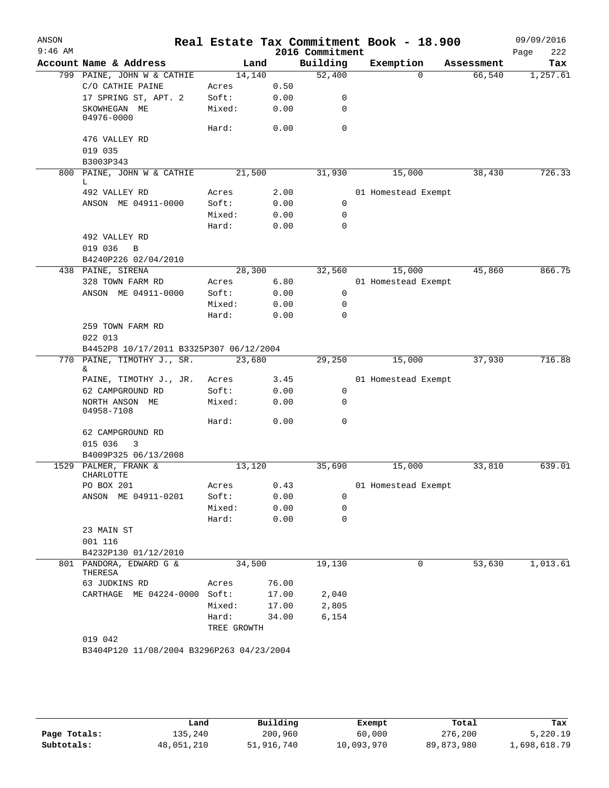| ANSON     |                                                 |                 |              |                             | Real Estate Tax Commitment Book - 18.900 |            | 09/09/2016         |
|-----------|-------------------------------------------------|-----------------|--------------|-----------------------------|------------------------------------------|------------|--------------------|
| $9:46$ AM | Account Name & Address                          | Land            |              | 2016 Commitment<br>Building | Exemption                                | Assessment | Page<br>222<br>Tax |
|           | 799 PAINE, JOHN W & CATHIE                      | 14,140          |              | 52,400                      | $\Omega$                                 | 66,540     | 1,257.61           |
|           | C/O CATHIE PAINE                                | Acres           | 0.50         |                             |                                          |            |                    |
|           | 17 SPRING ST, APT. 2                            | Soft:           | 0.00         | 0                           |                                          |            |                    |
|           | SKOWHEGAN ME<br>04976-0000                      | Mixed:          | 0.00         | 0                           |                                          |            |                    |
|           |                                                 | Hard:           | 0.00         | $\mathbf 0$                 |                                          |            |                    |
|           | 476 VALLEY RD                                   |                 |              |                             |                                          |            |                    |
|           | 019 035                                         |                 |              |                             |                                          |            |                    |
|           | B3003P343                                       |                 |              |                             |                                          |            |                    |
| 800       | PAINE, JOHN W & CATHIE                          | 21,500          |              | 31,930                      | 15,000                                   | 38,430     | 726.33             |
|           | L                                               |                 |              |                             |                                          |            |                    |
|           | 492 VALLEY RD                                   | Acres           | 2.00         |                             | 01 Homestead Exempt                      |            |                    |
|           | ANSON ME 04911-0000                             | Soft:           | 0.00         | 0                           |                                          |            |                    |
|           |                                                 | Mixed:<br>Hard: | 0.00<br>0.00 | 0<br>0                      |                                          |            |                    |
|           | 492 VALLEY RD                                   |                 |              |                             |                                          |            |                    |
|           | 019 036<br>$\overline{B}$                       |                 |              |                             |                                          |            |                    |
|           | B4240P226 02/04/2010                            |                 |              |                             |                                          |            |                    |
|           | 438 PAINE, SIRENA                               | 28,300          |              | 32,560                      | 15,000                                   | 45,860     | 866.75             |
|           | 328 TOWN FARM RD                                | Acres           | 6.80         |                             | 01 Homestead Exempt                      |            |                    |
|           | ANSON ME 04911-0000                             | Soft:           | 0.00         | 0                           |                                          |            |                    |
|           |                                                 | Mixed:          | 0.00         | 0                           |                                          |            |                    |
|           |                                                 | Hard:           | 0.00         | 0                           |                                          |            |                    |
|           | 259 TOWN FARM RD                                |                 |              |                             |                                          |            |                    |
|           | 022 013                                         |                 |              |                             |                                          |            |                    |
|           | B4452P8 10/17/2011 B3325P307 06/12/2004         |                 |              |                             |                                          |            |                    |
|           | 770 PAINE, TIMOTHY J., SR.                      | 23,680          |              | 29,250                      | 15,000                                   | 37,930     | 716.88             |
|           | &.                                              |                 |              |                             |                                          |            |                    |
|           | PAINE, TIMOTHY J., JR.                          | Acres           | 3.45         |                             | 01 Homestead Exempt                      |            |                    |
|           | 62 CAMPGROUND RD                                | Soft:           | 0.00         | 0                           |                                          |            |                    |
|           | NORTH ANSON ME<br>04958-7108                    | Mixed:          | 0.00         | 0                           |                                          |            |                    |
|           |                                                 | Hard:           | 0.00         | 0                           |                                          |            |                    |
|           | 62 CAMPGROUND RD                                |                 |              |                             |                                          |            |                    |
|           | 015 036<br>3                                    |                 |              |                             |                                          |            |                    |
|           | B4009P325 06/13/2008                            |                 |              |                             |                                          |            |                    |
| 1529      | PALMER, FRANK &                                 | 13,120          |              | 35,690                      | 15,000                                   | 33,810     | 639.01             |
|           | CHARLOTTE                                       |                 |              |                             |                                          |            |                    |
|           | PO BOX 201                                      | Acres           | 0.43         |                             | 01 Homestead Exempt                      |            |                    |
|           | ANSON ME 04911-0201                             | Soft:           | 0.00         | 0                           |                                          |            |                    |
|           |                                                 | Mixed:          | 0.00         | 0                           |                                          |            |                    |
|           |                                                 | Hard:           | 0.00         | $\mathbf 0$                 |                                          |            |                    |
|           | 23 MAIN ST                                      |                 |              |                             |                                          |            |                    |
|           | 001 116                                         |                 |              |                             |                                          |            |                    |
|           | B4232P130 01/12/2010<br>801 PANDORA, EDWARD G & | 34,500          |              | 19,130                      | 0                                        | 53,630     | 1,013.61           |
|           | THERESA                                         |                 |              |                             |                                          |            |                    |
|           | 63 JUDKINS RD                                   | Acres           | 76.00        |                             |                                          |            |                    |
|           | CARTHAGE ME 04224-0000 Soft:                    |                 | 17.00        | 2,040                       |                                          |            |                    |
|           |                                                 | Mixed:          | 17.00        | 2,805                       |                                          |            |                    |
|           |                                                 | Hard:           | 34.00        | 6,154                       |                                          |            |                    |
|           |                                                 | TREE GROWTH     |              |                             |                                          |            |                    |
|           | 019 042                                         |                 |              |                             |                                          |            |                    |
|           | B3404P120 11/08/2004 B3296P263 04/23/2004       |                 |              |                             |                                          |            |                    |
|           |                                                 |                 |              |                             |                                          |            |                    |

|              | Land       | Building   | Exempt     | Total        | Tax          |
|--------------|------------|------------|------------|--------------|--------------|
| Page Totals: | 135,240    | 200,960    | 60,000     | 276,200      | 5,220.19     |
| Subtotals:   | 48,051,210 | 51,916,740 | 10,093,970 | 89, 873, 980 | 1,698,618.79 |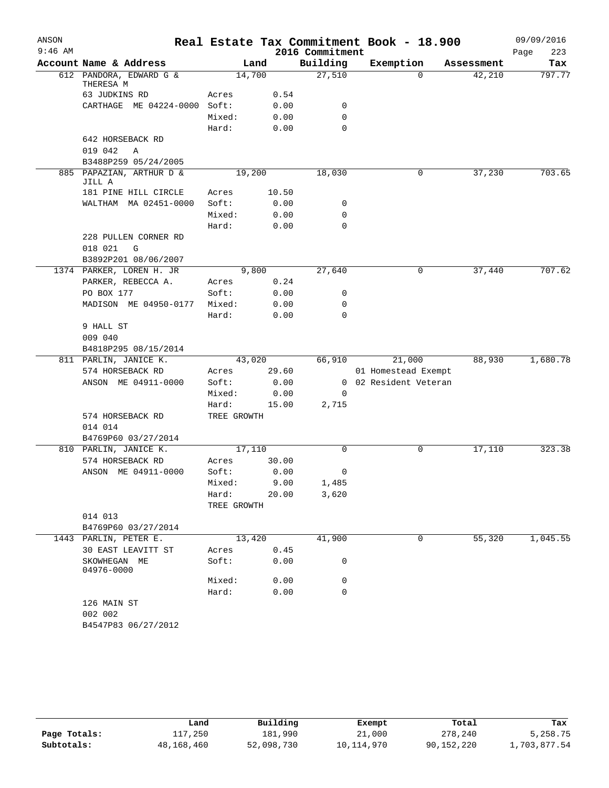| ANSON     |                                               |             |        |                 | Real Estate Tax Commitment Book - 18.900 |            | 09/09/2016  |
|-----------|-----------------------------------------------|-------------|--------|-----------------|------------------------------------------|------------|-------------|
| $9:46$ AM |                                               |             |        | 2016 Commitment |                                          |            | 223<br>Page |
|           | Account Name & Address                        |             | Land   | Building        | Exemption                                | Assessment | Tax         |
|           | 612 PANDORA, EDWARD G &<br>THERESA M          | 14,700      |        | 27,510          | $\Omega$                                 | 42,210     | 797.77      |
|           | 63 JUDKINS RD                                 | Acres       | 0.54   |                 |                                          |            |             |
|           | CARTHAGE ME 04224-0000 Soft:                  |             | 0.00   | 0               |                                          |            |             |
|           |                                               | Mixed:      | 0.00   | 0               |                                          |            |             |
|           |                                               | Hard:       | 0.00   | 0               |                                          |            |             |
|           | 642 HORSEBACK RD                              |             |        |                 |                                          |            |             |
|           | 019 042<br>Α                                  |             |        |                 |                                          |            |             |
|           | B3488P259 05/24/2005                          |             |        |                 |                                          |            |             |
|           | 885 PAPAZIAN, ARTHUR D &<br>JILL A            |             | 19,200 | 18,030          | 0                                        | 37,230     | 703.65      |
|           | 181 PINE HILL CIRCLE                          | Acres       | 10.50  |                 |                                          |            |             |
|           | WALTHAM MA 02451-0000                         | Soft:       | 0.00   | 0               |                                          |            |             |
|           |                                               | Mixed:      | 0.00   | 0               |                                          |            |             |
|           |                                               | Hard:       | 0.00   | 0               |                                          |            |             |
|           | 228 PULLEN CORNER RD                          |             |        |                 |                                          |            |             |
|           | 018 021<br>G                                  |             |        |                 |                                          |            |             |
|           | B3892P201 08/06/2007                          |             |        |                 |                                          |            |             |
|           | 1374 PARKER, LOREN H. JR                      |             | 9,800  | 27,640          | 0                                        | 37,440     | 707.62      |
|           | PARKER, REBECCA A.                            | Acres       | 0.24   |                 |                                          |            |             |
|           | PO BOX 177                                    | Soft:       | 0.00   | 0               |                                          |            |             |
|           | MADISON ME 04950-0177                         | Mixed:      | 0.00   | 0               |                                          |            |             |
|           |                                               | Hard:       | 0.00   | $\mathbf 0$     |                                          |            |             |
|           | 9 HALL ST                                     |             |        |                 |                                          |            |             |
|           | 009 040                                       |             |        |                 |                                          |            |             |
|           | B4818P295 08/15/2014<br>811 PARLIN, JANICE K. |             | 43,020 | 66,910          | 21,000                                   | 88,930     | 1,680.78    |
|           | 574 HORSEBACK RD                              | Acres       | 29.60  |                 | 01 Homestead Exempt                      |            |             |
|           | ANSON ME 04911-0000                           | Soft:       | 0.00   |                 | 0 02 Resident Veteran                    |            |             |
|           |                                               | Mixed:      | 0.00   | 0               |                                          |            |             |
|           |                                               | Hard:       | 15.00  | 2,715           |                                          |            |             |
|           | 574 HORSEBACK RD                              | TREE GROWTH |        |                 |                                          |            |             |
|           | 014 014                                       |             |        |                 |                                          |            |             |
|           | B4769P60 03/27/2014                           |             |        |                 |                                          |            |             |
|           | 810 PARLIN, JANICE K.                         | 17,110      |        | $\mathbf 0$     | 0                                        | 17,110     | 323.38      |
|           | 574 HORSEBACK RD                              | Acres       | 30.00  |                 |                                          |            |             |
|           | ANSON ME 04911-0000                           | Soft:       | 0.00   | 0               |                                          |            |             |
|           |                                               | Mixed:      | 9.00   | 1,485           |                                          |            |             |
|           |                                               | Hard:       | 20.00  | 3,620           |                                          |            |             |
|           |                                               | TREE GROWTH |        |                 |                                          |            |             |
|           | 014 013                                       |             |        |                 |                                          |            |             |
|           | B4769P60 03/27/2014                           |             |        |                 |                                          |            |             |
|           | 1443 PARLIN, PETER E.                         |             | 13,420 | 41,900          | 0                                        | 55,320     | 1,045.55    |
|           | 30 EAST LEAVITT ST                            | Acres       | 0.45   |                 |                                          |            |             |
|           | SKOWHEGAN ME<br>04976-0000                    | Soft:       | 0.00   | 0               |                                          |            |             |
|           |                                               | Mixed:      | 0.00   | 0               |                                          |            |             |
|           |                                               | Hard:       | 0.00   | 0               |                                          |            |             |
|           | 126 MAIN ST                                   |             |        |                 |                                          |            |             |
|           | 002 002                                       |             |        |                 |                                          |            |             |
|           | B4547P83 06/27/2012                           |             |        |                 |                                          |            |             |

|              | Land       | Building   | Exempt       | Total      | Tax          |
|--------------|------------|------------|--------------|------------|--------------|
| Page Totals: | 117,250    | 181,990    | 21,000       | 278,240    | 5,258.75     |
| Subtotals:   | 48,168,460 | 52,098,730 | 10, 114, 970 | 90,152,220 | 1,703,877.54 |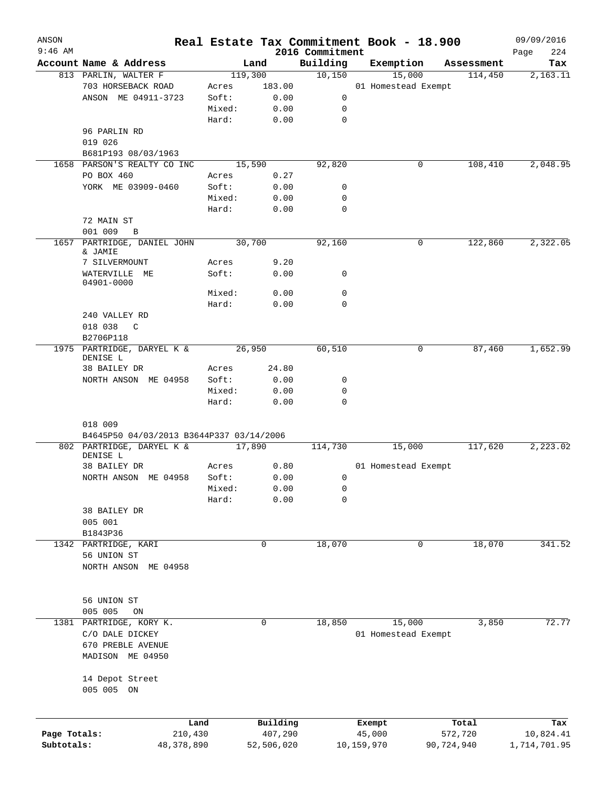| ANSON        |                                          |         |            |                 | Real Estate Tax Commitment Book - 18.900 |            | 09/09/2016   |
|--------------|------------------------------------------|---------|------------|-----------------|------------------------------------------|------------|--------------|
| $9:46$ AM    |                                          |         |            | 2016 Commitment |                                          |            | Page<br>224  |
|              | Account Name & Address                   |         | Land       | Building        | Exemption                                | Assessment | Tax          |
|              | 813 PARLIN, WALTER F                     | 119,300 |            | 10,150          | 15,000                                   | 114,450    | 2,163.11     |
|              | 703 HORSEBACK ROAD                       | Acres   | 183.00     |                 | 01 Homestead Exempt                      |            |              |
|              | ANSON ME 04911-3723                      | Soft:   | 0.00       | 0               |                                          |            |              |
|              |                                          | Mixed:  | 0.00       | 0               |                                          |            |              |
|              |                                          | Hard:   | 0.00       | $\mathbf 0$     |                                          |            |              |
|              | 96 PARLIN RD                             |         |            |                 |                                          |            |              |
|              | 019 026                                  |         |            |                 |                                          |            |              |
|              | B681P193 08/03/1963                      |         |            |                 |                                          |            |              |
|              | 1658 PARSON'S REALTY CO INC              |         | 15,590     | 92,820          | 0                                        | 108,410    | 2,048.95     |
|              | PO BOX 460                               | Acres   | 0.27       |                 |                                          |            |              |
|              | YORK ME 03909-0460                       | Soft:   | 0.00       | 0               |                                          |            |              |
|              |                                          | Mixed:  | 0.00       | 0               |                                          |            |              |
|              |                                          | Hard:   | 0.00       | $\mathbf 0$     |                                          |            |              |
|              | 72 MAIN ST                               |         |            |                 |                                          |            |              |
|              | 001 009<br>B                             |         |            |                 |                                          |            |              |
| 1657         | PARTRIDGE, DANIEL JOHN                   |         | 30,700     | 92,160          | 0                                        | 122,860    | 2,322.05     |
|              | & JAMIE                                  |         |            |                 |                                          |            |              |
|              | 7 SILVERMOUNT                            | Acres   | 9.20       |                 |                                          |            |              |
|              | WATERVILLE<br>ME                         | Soft:   | 0.00       | 0               |                                          |            |              |
|              | 04901-0000                               |         |            |                 |                                          |            |              |
|              |                                          | Mixed:  | 0.00       | 0               |                                          |            |              |
|              |                                          | Hard:   | 0.00       | 0               |                                          |            |              |
|              | 240 VALLEY RD                            |         |            |                 |                                          |            |              |
|              | 018 038<br>C                             |         |            |                 |                                          |            |              |
|              | B2706P118                                |         |            |                 |                                          |            |              |
| 1975         | PARTRIDGE, DARYEL K &                    |         | 26,950     | 60,510          | 0                                        | 87,460     | 1,652.99     |
|              | DENISE L                                 |         |            |                 |                                          |            |              |
|              | 38 BAILEY DR                             | Acres   | 24.80      |                 |                                          |            |              |
|              | NORTH ANSON ME 04958                     | Soft:   | 0.00       | 0               |                                          |            |              |
|              |                                          | Mixed:  | 0.00       | 0               |                                          |            |              |
|              |                                          | Hard:   | 0.00       | 0               |                                          |            |              |
|              |                                          |         |            |                 |                                          |            |              |
|              | 018 009                                  |         |            |                 |                                          |            |              |
|              | B4645P50 04/03/2013 B3644P337 03/14/2006 |         |            |                 |                                          |            |              |
|              | 802 PARTRIDGE, DARYEL K &                |         | 17,890     | 114,730         | 15,000                                   | 117,620    | 2,223.02     |
|              | DENISE L                                 |         |            |                 |                                          |            |              |
|              | 38 BAILEY DR                             | Acres   | 0.80       |                 | 01 Homestead Exempt                      |            |              |
|              | NORTH ANSON ME 04958                     | Soft:   | 0.00       | 0               |                                          |            |              |
|              |                                          | Mixed:  | 0.00       | 0               |                                          |            |              |
|              |                                          | Hard:   | 0.00       | 0               |                                          |            |              |
|              | 38 BAILEY DR                             |         |            |                 |                                          |            |              |
|              | 005 001                                  |         |            |                 |                                          |            |              |
|              | B1843P36                                 |         |            |                 |                                          |            |              |
|              | 1342 PARTRIDGE, KARI                     |         | 0          | 18,070          | 0                                        | 18,070     | 341.52       |
|              | 56 UNION ST                              |         |            |                 |                                          |            |              |
|              | NORTH ANSON<br>ME 04958                  |         |            |                 |                                          |            |              |
|              |                                          |         |            |                 |                                          |            |              |
|              |                                          |         |            |                 |                                          |            |              |
|              | 56 UNION ST                              |         |            |                 |                                          |            |              |
|              |                                          |         |            |                 |                                          |            |              |
|              | 005 005<br>ON                            |         |            |                 |                                          |            |              |
| 1381         | PARTRIDGE, KORY K.                       |         | 0          | 18,850          | 15,000                                   | 3,850      | 72.77        |
|              | C/O DALE DICKEY                          |         |            |                 | 01 Homestead Exempt                      |            |              |
|              | 670 PREBLE AVENUE                        |         |            |                 |                                          |            |              |
|              | MADISON ME 04950                         |         |            |                 |                                          |            |              |
|              |                                          |         |            |                 |                                          |            |              |
|              | 14 Depot Street                          |         |            |                 |                                          |            |              |
|              | 005 005 ON                               |         |            |                 |                                          |            |              |
|              |                                          |         |            |                 |                                          |            |              |
|              |                                          |         |            |                 |                                          |            |              |
|              | Land                                     |         | Building   |                 | Exempt                                   | Total      | Tax          |
| Page Totals: | 210,430                                  |         | 407,290    |                 | 45,000                                   | 572,720    | 10,824.41    |
| Subtotals:   | 48,378,890                               |         | 52,506,020 |                 | 10,159,970                               | 90,724,940 | 1,714,701.95 |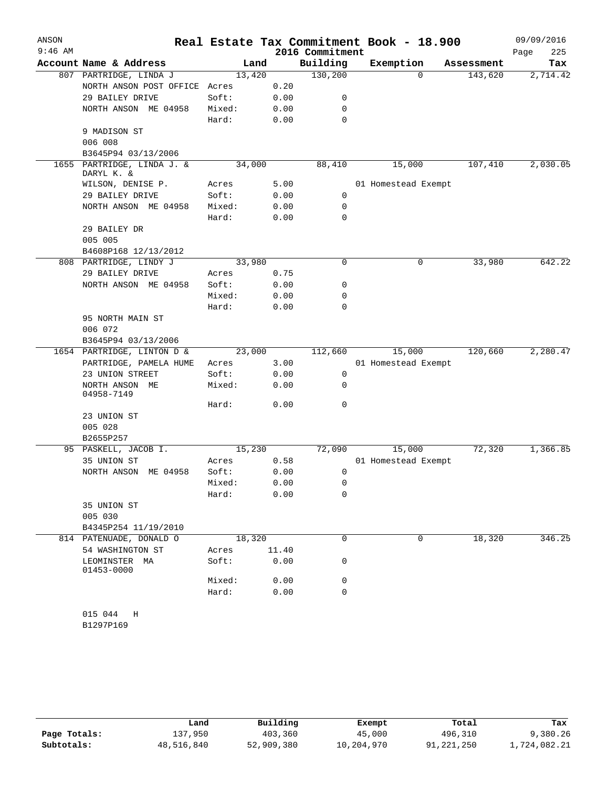| ANSON<br>$9:46$ AM |                                     |        |       | 2016 Commitment | Real Estate Tax Commitment Book - 18.900 |            | 09/09/2016<br>Page<br>225 |
|--------------------|-------------------------------------|--------|-------|-----------------|------------------------------------------|------------|---------------------------|
|                    | Account Name & Address              | Land   |       | Building        | Exemption                                | Assessment | Tax                       |
|                    | 807 PARTRIDGE, LINDA J              | 13,420 |       | 130,200         | 0                                        | 143,620    | 2,714.42                  |
|                    | NORTH ANSON POST OFFICE             | Acres  | 0.20  |                 |                                          |            |                           |
|                    | 29 BAILEY DRIVE                     | Soft:  | 0.00  | 0               |                                          |            |                           |
|                    | NORTH ANSON ME 04958                | Mixed: | 0.00  | 0               |                                          |            |                           |
|                    |                                     | Hard:  | 0.00  | $\mathbf 0$     |                                          |            |                           |
|                    | 9 MADISON ST                        |        |       |                 |                                          |            |                           |
|                    | 006 008                             |        |       |                 |                                          |            |                           |
|                    | B3645P94 03/13/2006                 |        |       |                 |                                          |            |                           |
| 1655               | PARTRIDGE, LINDA J. &<br>DARYL K. & | 34,000 |       | 88,410          | 15,000                                   | 107,410    | 2,030.05                  |
|                    | WILSON, DENISE P.                   | Acres  | 5.00  |                 | 01 Homestead Exempt                      |            |                           |
|                    | 29 BAILEY DRIVE                     | Soft:  | 0.00  | 0               |                                          |            |                           |
|                    | NORTH ANSON ME 04958                | Mixed: | 0.00  | 0               |                                          |            |                           |
|                    |                                     | Hard:  | 0.00  | 0               |                                          |            |                           |
|                    | 29 BAILEY DR                        |        |       |                 |                                          |            |                           |
|                    | 005 005                             |        |       |                 |                                          |            |                           |
|                    | B4608P168 12/13/2012                |        |       |                 |                                          |            |                           |
|                    | 808 PARTRIDGE, LINDY J              | 33,980 |       | 0               | 0                                        | 33,980     | 642.22                    |
|                    | 29 BAILEY DRIVE                     | Acres  | 0.75  |                 |                                          |            |                           |
|                    | NORTH ANSON ME 04958                | Soft:  | 0.00  | 0               |                                          |            |                           |
|                    |                                     | Mixed: | 0.00  | 0               |                                          |            |                           |
|                    |                                     | Hard:  | 0.00  | 0               |                                          |            |                           |
|                    | 95 NORTH MAIN ST                    |        |       |                 |                                          |            |                           |
|                    | 006 072                             |        |       |                 |                                          |            |                           |
|                    | B3645P94 03/13/2006                 |        |       |                 |                                          |            |                           |
|                    | 1654 PARTRIDGE, LINTON D &          | 23,000 |       | 112,660         | 15,000                                   | 120,660    | 2,280.47                  |
|                    | PARTRIDGE, PAMELA HUME              | Acres  | 3.00  |                 | 01 Homestead Exempt                      |            |                           |
|                    | 23 UNION STREET                     | Soft:  | 0.00  | 0               |                                          |            |                           |
|                    | NORTH ANSON ME<br>04958-7149        | Mixed: | 0.00  | 0               |                                          |            |                           |
|                    |                                     | Hard:  | 0.00  | 0               |                                          |            |                           |
|                    | 23 UNION ST                         |        |       |                 |                                          |            |                           |
|                    | 005 028                             |        |       |                 |                                          |            |                           |
|                    | B2655P257                           |        |       |                 |                                          |            |                           |
|                    | 95 PASKELL, JACOB I.                | 15,230 |       | 72,090          | 15,000                                   | 72,320     | 1,366.85                  |
|                    | 35 UNION ST                         | Acres  | 0.58  |                 | 01 Homestead Exempt                      |            |                           |
|                    | NORTH ANSON ME 04958                | Soft:  | 0.00  | 0               |                                          |            |                           |
|                    |                                     | Mixed: | 0.00  | 0               |                                          |            |                           |
|                    |                                     | Hard:  | 0.00  | 0               |                                          |            |                           |
|                    | 35 UNION ST                         |        |       |                 |                                          |            |                           |
|                    | 005 030                             |        |       |                 |                                          |            |                           |
|                    | B4345P254 11/19/2010                |        |       |                 |                                          |            |                           |
|                    | 814 PATENUADE, DONALD O             | 18,320 |       | $\Omega$        | $\Omega$                                 | 18,320     | 346.25                    |
|                    | 54 WASHINGTON ST                    | Acres  | 11.40 |                 |                                          |            |                           |
|                    | LEOMINSTER MA<br>01453-0000         | Soft:  | 0.00  | 0               |                                          |            |                           |
|                    |                                     | Mixed: | 0.00  | 0               |                                          |            |                           |
|                    |                                     | Hard:  | 0.00  | 0               |                                          |            |                           |
|                    |                                     |        |       |                 |                                          |            |                           |
|                    | 015 044 H                           |        |       |                 |                                          |            |                           |
|                    | B1297P169                           |        |       |                 |                                          |            |                           |

|              | Land       | Building   | Exempt     | Total      | Tax          |
|--------------|------------|------------|------------|------------|--------------|
| Page Totals: | 137,950    | 403,360    | 45,000     | 496,310    | 9,380.26     |
| Subtotals:   | 48,516,840 | 52,909,380 | 10,204,970 | 91,221,250 | 1,724,082.21 |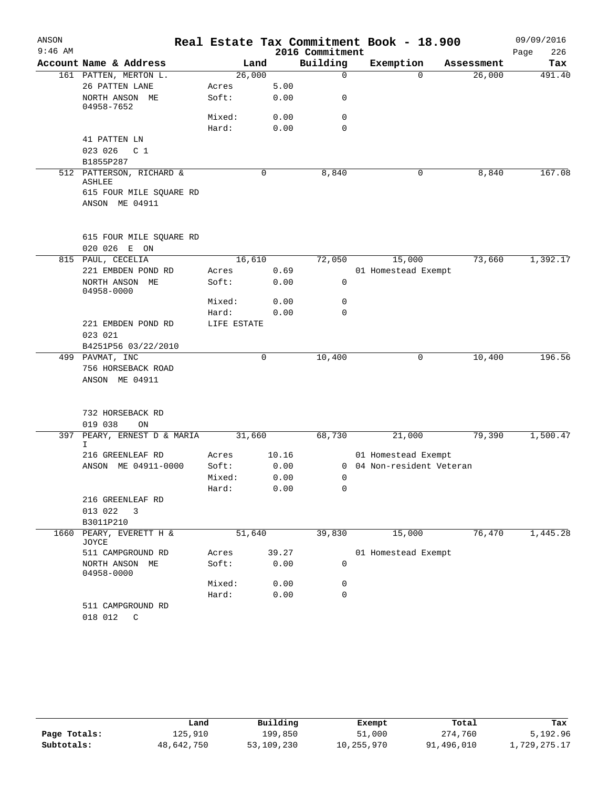| ANSON     |                                           |             |       |                 | Real Estate Tax Commitment Book - 18.900 |            | 09/09/2016  |
|-----------|-------------------------------------------|-------------|-------|-----------------|------------------------------------------|------------|-------------|
| $9:46$ AM |                                           |             |       | 2016 Commitment |                                          |            | 226<br>Page |
|           | Account Name & Address                    |             | Land  | Building        | Exemption                                | Assessment | Tax         |
|           | 161 PATTEN, MERTON L.                     | 26,000      |       | $\mathbf 0$     | $\Omega$                                 | 26,000     | 491.40      |
|           | 26 PATTEN LANE                            | Acres       | 5.00  |                 |                                          |            |             |
|           | NORTH ANSON ME<br>04958-7652              | Soft:       | 0.00  | 0               |                                          |            |             |
|           |                                           | Mixed:      | 0.00  | $\mathbf 0$     |                                          |            |             |
|           |                                           | Hard:       | 0.00  | $\mathbf 0$     |                                          |            |             |
|           | 41 PATTEN LN<br>023 026<br>C <sub>1</sub> |             |       |                 |                                          |            |             |
|           | B1855P287                                 |             |       |                 |                                          |            |             |
|           | 512 PATTERSON, RICHARD &<br><b>ASHLEE</b> |             | 0     | 8,840           | 0                                        | 8,840      | 167.08      |
|           | 615 FOUR MILE SQUARE RD                   |             |       |                 |                                          |            |             |
|           | ANSON ME 04911                            |             |       |                 |                                          |            |             |
|           | 615 FOUR MILE SQUARE RD                   |             |       |                 |                                          |            |             |
|           | 020 026 E ON                              |             |       |                 |                                          |            |             |
| 815       | PAUL, CECELIA                             | 16,610      |       | 72,050          | 15,000                                   | 73,660     | 1,392.17    |
|           | 221 EMBDEN POND RD                        | Acres       | 0.69  |                 | 01 Homestead Exempt                      |            |             |
|           | NORTH ANSON ME<br>04958-0000              | Soft:       | 0.00  | 0               |                                          |            |             |
|           |                                           | Mixed:      | 0.00  | $\mathbf 0$     |                                          |            |             |
|           |                                           | Hard:       | 0.00  | $\mathbf 0$     |                                          |            |             |
|           | 221 EMBDEN POND RD                        | LIFE ESTATE |       |                 |                                          |            |             |
|           | 023 021                                   |             |       |                 |                                          |            |             |
|           | B4251P56 03/22/2010                       |             |       |                 |                                          |            |             |
|           | 499 PAVMAT, INC                           |             | 0     | 10,400          | 0                                        | 10,400     | 196.56      |
|           | 756 HORSEBACK ROAD                        |             |       |                 |                                          |            |             |
|           | ANSON ME 04911                            |             |       |                 |                                          |            |             |
|           | 732 HORSEBACK RD                          |             |       |                 |                                          |            |             |
|           | 019 038<br>ON                             |             |       |                 |                                          |            |             |
| 397       | PEARY, ERNEST D & MARIA<br>I.             | 31,660      |       | 68,730          | 21,000                                   | 79,390     | 1,500.47    |
|           | 216 GREENLEAF RD                          | Acres       | 10.16 |                 | 01 Homestead Exempt                      |            |             |
|           | ANSON ME 04911-0000                       | Soft:       | 0.00  | 0               | 04 Non-resident Veteran                  |            |             |
|           |                                           | Mixed:      | 0.00  | 0               |                                          |            |             |
|           |                                           | Hard:       | 0.00  | 0               |                                          |            |             |
|           | 216 GREENLEAF RD                          |             |       |                 |                                          |            |             |
|           | 013 022<br>3                              |             |       |                 |                                          |            |             |
|           | B3011P210                                 |             |       |                 |                                          |            |             |
| 1660      | PEARY, EVERETT H &<br>JOYCE               | 51,640      |       | 39,830          | 15,000                                   | 76,470     | 1,445.28    |
|           | 511 CAMPGROUND RD                         | Acres       | 39.27 |                 | 01 Homestead Exempt                      |            |             |
|           | NORTH ANSON ME<br>04958-0000              | Soft:       | 0.00  | 0               |                                          |            |             |
|           |                                           | Mixed:      | 0.00  | 0               |                                          |            |             |
|           | 511 CAMPGROUND RD                         | Hard:       | 0.00  | $\mathbf 0$     |                                          |            |             |
|           | 018 012<br>C                              |             |       |                 |                                          |            |             |

|              | Land       | Building   | Exempt     | Total      | Tax          |
|--------------|------------|------------|------------|------------|--------------|
| Page Totals: | 125,910    | 199,850    | 51,000     | 274,760    | 5,192.96     |
| Subtotals:   | 48,642,750 | 53,109,230 | 10,255,970 | 91,496,010 | 1,729,275.17 |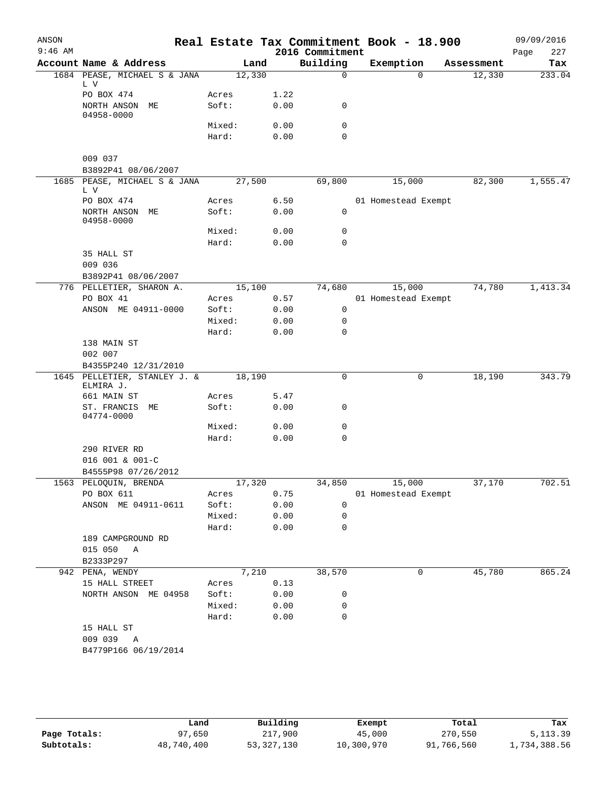| ANSON<br>$9:46$ AM |                                           |                 |              | 2016 Commitment | Real Estate Tax Commitment Book - 18.900 |            | 09/09/2016<br>227<br>Page |
|--------------------|-------------------------------------------|-----------------|--------------|-----------------|------------------------------------------|------------|---------------------------|
|                    | Account Name & Address                    | Land            |              | Building        | Exemption                                | Assessment | Tax                       |
|                    | 1684 PEASE, MICHAEL S & JANA<br>L V       | 12,330          |              | $\mathbf 0$     | $\Omega$                                 | 12,330     | 233.04                    |
|                    | PO BOX 474                                | Acres           | 1.22         |                 |                                          |            |                           |
|                    | NORTH ANSON ME<br>04958-0000              | Soft:           | 0.00         | 0               |                                          |            |                           |
|                    |                                           | Mixed:          | 0.00         | $\mathbf 0$     |                                          |            |                           |
|                    |                                           | Hard:           | 0.00         | $\mathbf 0$     |                                          |            |                           |
|                    | 009 037                                   |                 |              |                 |                                          |            |                           |
|                    | B3892P41 08/06/2007                       |                 |              |                 |                                          |            |                           |
|                    | 1685 PEASE, MICHAEL S & JANA<br>L V       | 27,500          |              | 69,800          | 15,000                                   | 82,300     | 1,555.47                  |
|                    | PO BOX 474                                | Acres           | 6.50         |                 | 01 Homestead Exempt                      |            |                           |
|                    | NORTH ANSON ME<br>04958-0000              | Soft:           | 0.00         | 0               |                                          |            |                           |
|                    |                                           | Mixed:          | 0.00         | 0               |                                          |            |                           |
|                    |                                           | Hard:           | 0.00         | $\mathbf 0$     |                                          |            |                           |
|                    | 35 HALL ST                                |                 |              |                 |                                          |            |                           |
|                    | 009 036                                   |                 |              |                 |                                          |            |                           |
|                    | B3892P41 08/06/2007                       |                 |              |                 |                                          |            |                           |
|                    | 776 PELLETIER, SHARON A.                  | 15,100          |              | 74,680          | 15,000                                   | 74,780     | 1,413.34                  |
|                    | PO BOX 41                                 | Acres           | 0.57         |                 | 01 Homestead Exempt                      |            |                           |
|                    | ANSON ME 04911-0000                       | Soft:<br>Mixed: | 0.00         | 0<br>0          |                                          |            |                           |
|                    |                                           | Hard:           | 0.00<br>0.00 | $\mathbf 0$     |                                          |            |                           |
|                    | 138 MAIN ST                               |                 |              |                 |                                          |            |                           |
|                    | 002 007                                   |                 |              |                 |                                          |            |                           |
|                    | B4355P240 12/31/2010                      |                 |              |                 |                                          |            |                           |
|                    | 1645 PELLETIER, STANLEY J. &<br>ELMIRA J. | 18,190          |              | 0               | 0                                        | 18,190     | 343.79                    |
|                    | 661 MAIN ST                               | Acres           | 5.47         |                 |                                          |            |                           |
|                    | ST. FRANCIS ME<br>04774-0000              | Soft:           | 0.00         | 0               |                                          |            |                           |
|                    |                                           | Mixed:          | 0.00         | 0               |                                          |            |                           |
|                    |                                           | Hard:           | 0.00         | $\mathbf 0$     |                                          |            |                           |
|                    | 290 RIVER RD                              |                 |              |                 |                                          |            |                           |
|                    | 016 001 & 001-C                           |                 |              |                 |                                          |            |                           |
|                    | B4555P98 07/26/2012                       |                 |              |                 |                                          |            |                           |
|                    | 1563 PELOQUIN, BRENDA                     | 17,320          |              |                 | 34,850 15,000                            | 37,170     | 702.51                    |
|                    | PO BOX 611                                | Acres           | 0.75         |                 | 01 Homestead Exempt                      |            |                           |
|                    | ANSON ME 04911-0611                       | Soft:           | 0.00         | 0               |                                          |            |                           |
|                    |                                           | Mixed:          | 0.00         | $\mathbf 0$     |                                          |            |                           |
|                    | 189 CAMPGROUND RD                         | Hard:           | 0.00         | $\mathbf 0$     |                                          |            |                           |
|                    | 015 050 A                                 |                 |              |                 |                                          |            |                           |
|                    | B2333P297                                 |                 |              |                 |                                          |            |                           |
|                    | 942 PENA, WENDY                           | 7,210           |              | 38,570          | 0                                        | 45,780     | 865.24                    |
|                    | 15 HALL STREET                            | Acres           | 0.13         |                 |                                          |            |                           |
|                    | NORTH ANSON ME 04958                      | Soft:           | 0.00         | 0               |                                          |            |                           |
|                    |                                           | Mixed:          | 0.00         | 0               |                                          |            |                           |
|                    |                                           | Hard:           | 0.00         | 0               |                                          |            |                           |
|                    | 15 HALL ST                                |                 |              |                 |                                          |            |                           |
|                    | 009 039 A                                 |                 |              |                 |                                          |            |                           |
|                    | B4779P166 06/19/2014                      |                 |              |                 |                                          |            |                           |
|                    |                                           |                 |              |                 |                                          |            |                           |
|                    |                                           |                 |              |                 |                                          |            |                           |

|              | Land       | Building     | Exempt     | Total      | Tax          |
|--------------|------------|--------------|------------|------------|--------------|
| Page Totals: | 97,650     | 217,900      | 45,000     | 270,550    | 5, 113.39    |
| Subtotals:   | 48,740,400 | 53, 327, 130 | 10,300,970 | 91,766,560 | 1,734,388.56 |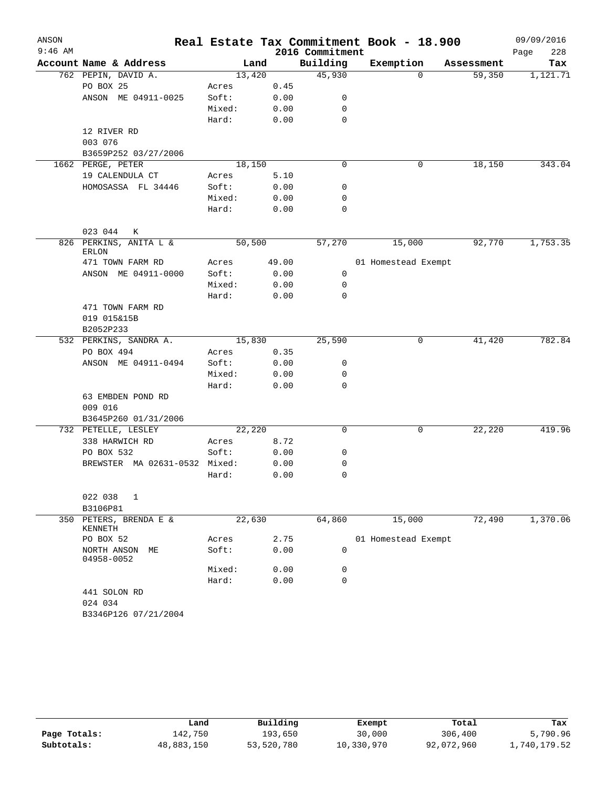| ANSON     |                                 |        |       |                 | Real Estate Tax Commitment Book - 18.900 |            | 09/09/2016  |
|-----------|---------------------------------|--------|-------|-----------------|------------------------------------------|------------|-------------|
| $9:46$ AM |                                 |        |       | 2016 Commitment |                                          |            | 228<br>Page |
|           | Account Name & Address          |        | Land  | Building        | Exemption                                | Assessment | Tax         |
|           | 762 PEPIN, DAVID A.             | 13,420 |       | 45,930          | $\Omega$                                 | 59,350     | 1,121.71    |
|           | PO BOX 25                       | Acres  | 0.45  |                 |                                          |            |             |
|           | ANSON ME 04911-0025             | Soft:  | 0.00  | 0               |                                          |            |             |
|           |                                 | Mixed: | 0.00  | 0               |                                          |            |             |
|           |                                 | Hard:  | 0.00  | 0               |                                          |            |             |
|           | 12 RIVER RD                     |        |       |                 |                                          |            |             |
|           | 003 076                         |        |       |                 |                                          |            |             |
|           | B3659P252 03/27/2006            |        |       |                 |                                          |            |             |
|           | 1662 PERGE, PETER               | 18,150 |       | 0               | 0                                        | 18,150     | 343.04      |
|           | 19 CALENDULA CT                 | Acres  | 5.10  |                 |                                          |            |             |
|           | HOMOSASSA FL 34446              | Soft:  | 0.00  | 0               |                                          |            |             |
|           |                                 | Mixed: | 0.00  | 0               |                                          |            |             |
|           |                                 | Hard:  | 0.00  | 0               |                                          |            |             |
|           | 023 044<br>К                    |        |       |                 |                                          |            |             |
|           | 826 PERKINS, ANITA L &          | 50,500 |       | 57,270          | 15,000                                   | 92,770     | 1,753.35    |
|           | <b>ERLON</b>                    |        |       |                 |                                          |            |             |
|           | 471 TOWN FARM RD                | Acres  | 49.00 |                 | 01 Homestead Exempt                      |            |             |
|           | ANSON ME 04911-0000             | Soft:  | 0.00  | 0               |                                          |            |             |
|           |                                 | Mixed: | 0.00  | 0               |                                          |            |             |
|           |                                 | Hard:  | 0.00  | 0               |                                          |            |             |
|           | 471 TOWN FARM RD                |        |       |                 |                                          |            |             |
|           | 019 015&15B                     |        |       |                 |                                          |            |             |
|           | B2052P233                       |        |       |                 |                                          |            |             |
|           | 532 PERKINS, SANDRA A.          | 15,830 |       | 25,590          | 0                                        | 41,420     | 782.84      |
|           | PO BOX 494                      | Acres  | 0.35  |                 |                                          |            |             |
|           | ANSON ME 04911-0494             | Soft:  | 0.00  | 0               |                                          |            |             |
|           |                                 | Mixed: | 0.00  | 0               |                                          |            |             |
|           |                                 | Hard:  | 0.00  | 0               |                                          |            |             |
|           | 63 EMBDEN POND RD               |        |       |                 |                                          |            |             |
|           | 009 016                         |        |       |                 |                                          |            |             |
|           | B3645P260 01/31/2006            |        |       |                 |                                          |            |             |
|           | 732 PETELLE, LESLEY             | 22,220 |       | 0               | 0                                        | 22,220     | 419.96      |
|           | 338 HARWICH RD                  | Acres  | 8.72  |                 |                                          |            |             |
|           | PO BOX 532                      | Soft:  | 0.00  | 0               |                                          |            |             |
|           | BREWSTER MA 02631-0532 Mixed:   |        | 0.00  | 0               |                                          |            |             |
|           |                                 | Hard:  | 0.00  | 0               |                                          |            |             |
|           | 022 038<br>1                    |        |       |                 |                                          |            |             |
|           | B3106P81                        |        |       |                 |                                          |            |             |
| 350       | PETERS, BRENDA E &              | 22,630 |       | 64,860          | 15,000                                   | 72,490     | 1,370.06    |
|           | KENNETH                         |        |       |                 |                                          |            |             |
|           | PO BOX 52                       | Acres  | 2.75  |                 | 01 Homestead Exempt                      |            |             |
|           | NORTH ANSON<br>МE<br>04958-0052 | Soft:  | 0.00  | 0               |                                          |            |             |
|           |                                 | Mixed: | 0.00  | 0               |                                          |            |             |
|           |                                 | Hard:  | 0.00  | 0               |                                          |            |             |
|           | 441 SOLON RD                    |        |       |                 |                                          |            |             |
|           | 024 034                         |        |       |                 |                                          |            |             |
|           | B3346P126 07/21/2004            |        |       |                 |                                          |            |             |

|              | Land       | Building   | Exempt     | Total      | Tax          |
|--------------|------------|------------|------------|------------|--------------|
| Page Totals: | 142,750    | 193,650    | 30,000     | 306,400    | 5,790.96     |
| Subtotals:   | 48,883,150 | 53,520,780 | 10,330,970 | 92,072,960 | 1,740,179.52 |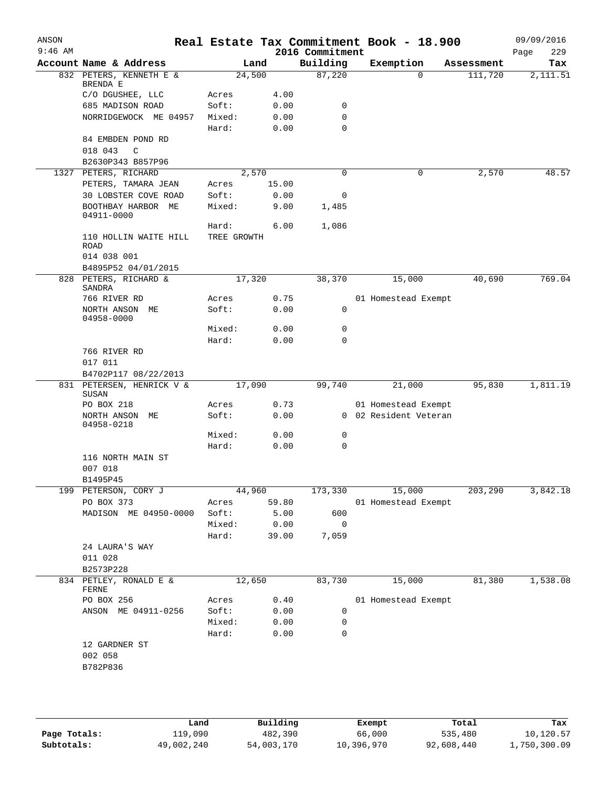| ANSON<br>$9:46$ AM |                                      |                |              | 2016 Commitment | Real Estate Tax Commitment Book - 18.900 |            | 09/09/2016<br>229<br>Page |
|--------------------|--------------------------------------|----------------|--------------|-----------------|------------------------------------------|------------|---------------------------|
|                    | Account Name & Address               |                | Land         | Building        | Exemption                                | Assessment | Tax                       |
|                    | 832 PETERS, KENNETH E &              |                | 24,500       | 87,220          | $\Omega$                                 | 111,720    | $\overline{2,111.51}$     |
|                    | BRENDA E                             |                |              |                 |                                          |            |                           |
|                    | C/O DGUSHEE, LLC<br>685 MADISON ROAD | Acres<br>Soft: | 4.00<br>0.00 | 0               |                                          |            |                           |
|                    | NORRIDGEWOCK ME 04957                | Mixed:         | 0.00         | 0               |                                          |            |                           |
|                    |                                      | Hard:          | 0.00         | 0               |                                          |            |                           |
|                    | 84 EMBDEN POND RD                    |                |              |                 |                                          |            |                           |
|                    | 018 043<br>C                         |                |              |                 |                                          |            |                           |
|                    | B2630P343 B857P96                    |                |              |                 |                                          |            |                           |
|                    | 1327 PETERS, RICHARD                 |                | 2,570        | 0               | 0                                        | 2,570      | 48.57                     |
|                    | PETERS, TAMARA JEAN                  | Acres          | 15.00        |                 |                                          |            |                           |
|                    | 30 LOBSTER COVE ROAD                 | Soft:          | 0.00         | 0               |                                          |            |                           |
|                    | BOOTHBAY HARBOR ME<br>04911-0000     | Mixed:         | 9.00         | 1,485           |                                          |            |                           |
|                    |                                      | Hard:          | 6.00         | 1,086           |                                          |            |                           |
|                    | 110 HOLLIN WAITE HILL<br>ROAD        | TREE GROWTH    |              |                 |                                          |            |                           |
|                    | 014 038 001                          |                |              |                 |                                          |            |                           |
|                    | B4895P52 04/01/2015                  |                |              |                 |                                          |            |                           |
|                    | 828 PETERS, RICHARD &<br>SANDRA      |                | 17,320       | 38,370          | 15,000                                   | 40,690     | 769.04                    |
|                    | 766 RIVER RD                         | Acres          | 0.75         |                 | 01 Homestead Exempt                      |            |                           |
|                    | NORTH ANSON ME<br>04958-0000         | Soft:          | 0.00         | 0               |                                          |            |                           |
|                    |                                      | Mixed:         | 0.00         | 0               |                                          |            |                           |
|                    |                                      | Hard:          | 0.00         | 0               |                                          |            |                           |
|                    | 766 RIVER RD                         |                |              |                 |                                          |            |                           |
|                    | 017 011                              |                |              |                 |                                          |            |                           |
|                    | B4702P117 08/22/2013                 |                |              |                 |                                          |            |                           |
| 831                | PETERSEN, HENRICK V &<br>SUSAN       |                | 17,090       | 99,740          | 21,000                                   | 95,830     | 1,811.19                  |
|                    | PO BOX 218                           | Acres          | 0.73         |                 | 01 Homestead Exempt                      |            |                           |
|                    | NORTH ANSON ME<br>04958-0218         | Soft:          | 0.00         |                 | 0 02 Resident Veteran                    |            |                           |
|                    |                                      | Mixed:         | 0.00         | 0               |                                          |            |                           |
|                    |                                      | Hard:          | 0.00         | $\mathbf 0$     |                                          |            |                           |
|                    | 116 NORTH MAIN ST                    |                |              |                 |                                          |            |                           |
|                    | 007 018                              |                |              |                 |                                          |            |                           |
|                    | B1495P45                             |                |              |                 |                                          |            |                           |
| 199                | PETERSON, CORY J                     |                | 44,960       | 173,330         | 15,000                                   | 203,290    | 3,842.18                  |
|                    | PO BOX 373                           | Acres          | 59.80        |                 | 01 Homestead Exempt                      |            |                           |
|                    | MADISON ME 04950-0000                | Soft:          | 5.00         | 600             |                                          |            |                           |
|                    |                                      | Mixed:         | 0.00         | $\overline{0}$  |                                          |            |                           |
|                    |                                      | Hard:          | 39.00        | 7,059           |                                          |            |                           |
|                    | 24 LAURA'S WAY                       |                |              |                 |                                          |            |                           |
|                    | 011 028                              |                |              |                 |                                          |            |                           |
|                    | B2573P228<br>834 PETLEY, RONALD E &  |                | 12,650       | 83,730          | 15,000                                   | 81,380     | 1,538.08                  |
|                    | FERNE                                |                |              |                 |                                          |            |                           |
|                    | PO BOX 256                           | Acres          | 0.40         |                 | 01 Homestead Exempt                      |            |                           |
|                    | ANSON ME 04911-0256                  | Soft:          | 0.00         | 0               |                                          |            |                           |
|                    |                                      | Mixed:         | 0.00         | 0               |                                          |            |                           |
|                    |                                      | Hard:          | 0.00         | 0               |                                          |            |                           |
|                    | 12 GARDNER ST                        |                |              |                 |                                          |            |                           |
|                    | 002 058                              |                |              |                 |                                          |            |                           |
|                    | B782P836                             |                |              |                 |                                          |            |                           |
|                    |                                      |                |              |                 |                                          |            |                           |
|                    |                                      |                |              |                 |                                          |            |                           |

|              | Land       | Building   | Exempt     | Total      | Tax          |
|--------------|------------|------------|------------|------------|--------------|
| Page Totals: | 119,090    | 482,390    | 66,000     | 535,480    | 10,120.57    |
| Subtotals:   | 49,002,240 | 54,003,170 | 10,396,970 | 92,608,440 | 1,750,300.09 |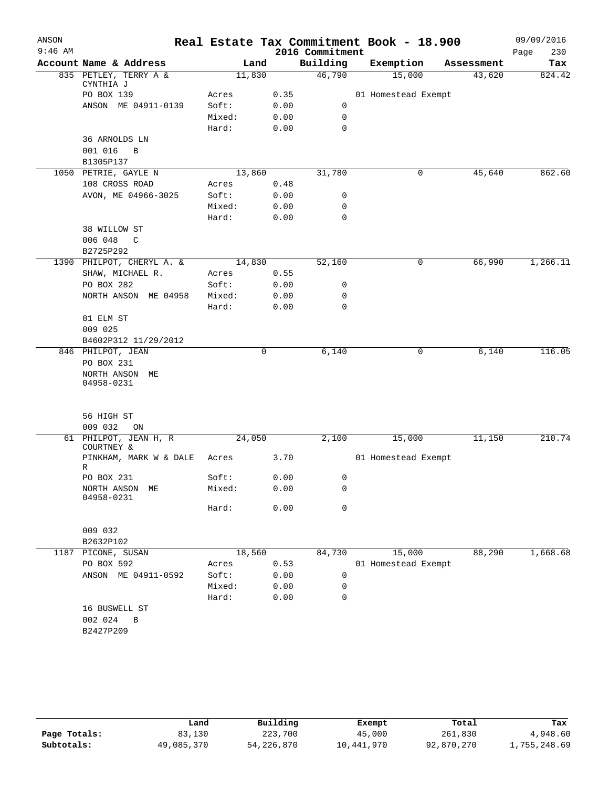| ANSON     |                                      |        |      |                 | Real Estate Tax Commitment Book - 18.900 |            | 09/09/2016  |
|-----------|--------------------------------------|--------|------|-----------------|------------------------------------------|------------|-------------|
| $9:46$ AM |                                      |        |      | 2016 Commitment |                                          |            | Page<br>230 |
|           | Account Name & Address               |        | Land | Building        | Exemption                                | Assessment | Tax         |
|           | 835 PETLEY, TERRY A &<br>CYNTHIA J   | 11,830 |      | 46,790          | 15,000                                   | 43,620     | 824.42      |
|           | PO BOX 139                           | Acres  | 0.35 |                 | 01 Homestead Exempt                      |            |             |
|           | ANSON ME 04911-0139                  | Soft:  | 0.00 | 0               |                                          |            |             |
|           |                                      | Mixed: | 0.00 | 0               |                                          |            |             |
|           |                                      | Hard:  | 0.00 | 0               |                                          |            |             |
|           | 36 ARNOLDS LN                        |        |      |                 |                                          |            |             |
|           | 001 016<br>$\overline{B}$            |        |      |                 |                                          |            |             |
|           | B1305P137                            |        |      |                 |                                          |            |             |
|           | 1050 PETRIE, GAYLE N                 | 13,860 |      | 31,780          | 0                                        | 45,640     | 862.60      |
|           | 108 CROSS ROAD                       | Acres  | 0.48 |                 |                                          |            |             |
|           | AVON, ME 04966-3025                  | Soft:  | 0.00 | 0               |                                          |            |             |
|           |                                      | Mixed: | 0.00 | 0               |                                          |            |             |
|           |                                      | Hard:  | 0.00 | $\mathbf 0$     |                                          |            |             |
|           | 38 WILLOW ST                         |        |      |                 |                                          |            |             |
|           | 006 048<br>C                         |        |      |                 |                                          |            |             |
|           | B2725P292                            |        |      |                 |                                          |            |             |
|           | 1390 PHILPOT, CHERYL A. &            | 14,830 |      | 52,160          | 0                                        | 66,990     | 1,266.11    |
|           | SHAW, MICHAEL R.                     | Acres  | 0.55 |                 |                                          |            |             |
|           | PO BOX 282                           | Soft:  | 0.00 | 0               |                                          |            |             |
|           | NORTH ANSON ME 04958                 | Mixed: | 0.00 | 0               |                                          |            |             |
|           |                                      | Hard:  | 0.00 | $\mathbf 0$     |                                          |            |             |
|           | 81 ELM ST                            |        |      |                 |                                          |            |             |
|           | 009 025                              |        |      |                 |                                          |            |             |
|           | B4602P312 11/29/2012                 |        |      |                 |                                          |            |             |
|           | 846 PHILPOT, JEAN                    |        | 0    | 6,140           | 0                                        | 6,140      | 116.05      |
|           | PO BOX 231                           |        |      |                 |                                          |            |             |
|           | NORTH ANSON ME                       |        |      |                 |                                          |            |             |
|           | 04958-0231                           |        |      |                 |                                          |            |             |
|           |                                      |        |      |                 |                                          |            |             |
|           |                                      |        |      |                 |                                          |            |             |
|           | 56 HIGH ST                           |        |      |                 |                                          |            |             |
|           | 009 032<br>ON                        |        |      |                 |                                          |            |             |
|           | 61 PHILPOT, JEAN H, R                | 24,050 |      | 2,100           | 15,000                                   | 11,150     | 210.74      |
|           | COURTNEY &<br>PINKHAM, MARK W & DALE | Acres  | 3.70 |                 | 01 Homestead Exempt                      |            |             |
|           | R                                    |        |      |                 |                                          |            |             |
|           | PO BOX 231                           | Soft:  | 0.00 | 0               |                                          |            |             |
|           | NORTH ANSON ME                       | Mixed: | 0.00 | 0               |                                          |            |             |
|           | 04958-0231                           |        |      |                 |                                          |            |             |
|           |                                      | Hard:  | 0.00 | 0               |                                          |            |             |
|           |                                      |        |      |                 |                                          |            |             |
|           | 009 032                              |        |      |                 |                                          |            |             |
|           | B2632P102                            |        |      |                 |                                          |            |             |
|           | 1187 PICONE, SUSAN                   | 18,560 |      | 84,730          | 15,000                                   | 88,290     | 1,668.68    |
|           | PO BOX 592                           | Acres  | 0.53 |                 | 01 Homestead Exempt                      |            |             |
|           | ANSON ME 04911-0592                  | Soft:  | 0.00 | 0               |                                          |            |             |
|           |                                      | Mixed: | 0.00 | 0               |                                          |            |             |
|           |                                      | Hard:  | 0.00 | 0               |                                          |            |             |
|           | 16 BUSWELL ST                        |        |      |                 |                                          |            |             |
|           | 002 024<br>B                         |        |      |                 |                                          |            |             |
|           | B2427P209                            |        |      |                 |                                          |            |             |
|           |                                      |        |      |                 |                                          |            |             |
|           |                                      |        |      |                 |                                          |            |             |

|              | Land       | Building     | Exempt     | Total      | Tax          |
|--------------|------------|--------------|------------|------------|--------------|
| Page Totals: | 83,130     | 223,700      | 45,000     | 261,830    | 4,948.60     |
| Subtotals:   | 49,085,370 | 54, 226, 870 | 10,441,970 | 92,870,270 | 1,755,248.69 |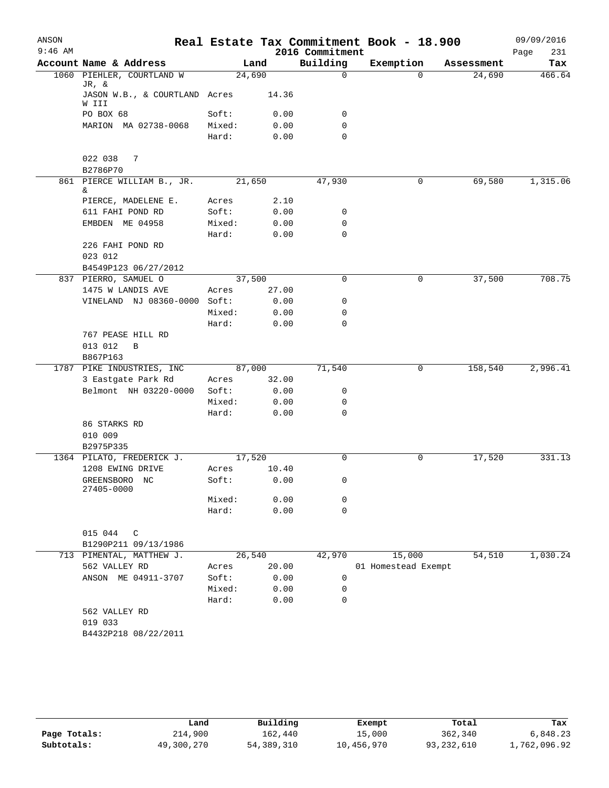| ANSON<br>$9:46$ AM |                                        |                 |              | 2016 Commitment | Real Estate Tax Commitment Book - 18.900 |            | 09/09/2016<br>Page<br>231 |
|--------------------|----------------------------------------|-----------------|--------------|-----------------|------------------------------------------|------------|---------------------------|
|                    | Account Name & Address                 |                 | Land         | Building        | Exemption                                | Assessment | Tax                       |
|                    | 1060 PIEHLER, COURTLAND W              | 24,690          |              | $\Omega$        | $\Omega$                                 | 24,690     | 466.64                    |
|                    | JR, &<br>JASON W.B., & COURTLAND Acres |                 | 14.36        |                 |                                          |            |                           |
|                    | W III                                  |                 |              |                 |                                          |            |                           |
|                    | PO BOX 68<br>MARION MA 02738-0068      | Soft:<br>Mixed: | 0.00<br>0.00 | 0<br>0          |                                          |            |                           |
|                    |                                        | Hard:           | 0.00         | $\mathbf 0$     |                                          |            |                           |
|                    | 022 038<br>7<br>B2786P70               |                 |              |                 |                                          |            |                           |
|                    | 861 PIERCE WILLIAM B., JR.<br>&        | 21,650          |              | 47,930          | $\mathbf 0$                              | 69,580     | 1,315.06                  |
|                    | PIERCE, MADELENE E.                    | Acres           | 2.10         |                 |                                          |            |                           |
|                    | 611 FAHI POND RD                       | Soft:           | 0.00         | 0               |                                          |            |                           |
|                    | EMBDEN ME 04958                        | Mixed:          | 0.00         | $\mathbf 0$     |                                          |            |                           |
|                    |                                        | Hard:           | 0.00         | 0               |                                          |            |                           |
|                    | 226 FAHI POND RD<br>023 012            |                 |              |                 |                                          |            |                           |
|                    | B4549P123 06/27/2012                   |                 |              |                 |                                          |            |                           |
|                    | 837 PIERRO, SAMUEL O                   | 37,500          |              | 0               | 0                                        | 37,500     | 708.75                    |
|                    | 1475 W LANDIS AVE                      | Acres           | 27.00        |                 |                                          |            |                           |
|                    | VINELAND NJ 08360-0000 Soft:           |                 | 0.00         | 0               |                                          |            |                           |
|                    |                                        | Mixed:          | 0.00         | 0               |                                          |            |                           |
|                    |                                        | Hard:           | 0.00         | 0               |                                          |            |                           |
|                    | 767 PEASE HILL RD                      |                 |              |                 |                                          |            |                           |
|                    | 013 012<br>B                           |                 |              |                 |                                          |            |                           |
|                    | B867P163                               |                 |              |                 |                                          |            |                           |
|                    | 1787 PIKE INDUSTRIES, INC              | 87,000          |              | 71,540          | 0                                        | 158,540    | 2,996.41                  |
|                    | 3 Eastgate Park Rd                     | Acres           | 32.00        |                 |                                          |            |                           |
|                    | Belmont NH 03220-0000                  | Soft:           | 0.00         | 0               |                                          |            |                           |
|                    |                                        | Mixed:          | 0.00         | 0               |                                          |            |                           |
|                    |                                        | Hard:           | 0.00         | $\mathbf 0$     |                                          |            |                           |
|                    | 86 STARKS RD                           |                 |              |                 |                                          |            |                           |
|                    | 010 009                                |                 |              |                 |                                          |            |                           |
|                    | B2975P335                              |                 |              |                 |                                          |            |                           |
|                    | 1364 PILATO, FREDERICK J.              | 17,520          |              | $\Omega$        | $\mathbf 0$                              | 17,520     | 331.13                    |
|                    | 1208 EWING DRIVE                       | Acres           | 10.40        |                 |                                          |            |                           |
|                    | GREENSBORO NC<br>27405-0000            | Soft:           | 0.00         | 0               |                                          |            |                           |
|                    |                                        | Mixed:          | 0.00         | 0               |                                          |            |                           |
|                    |                                        | Hard:           | 0.00         | $\mathbf 0$     |                                          |            |                           |
|                    |                                        |                 |              |                 |                                          |            |                           |
|                    | 015 044<br>C<br>B1290P211 09/13/1986   |                 |              |                 |                                          |            |                           |
|                    | 713 PIMENTAL, MATTHEW J.               | 26,540          |              | 42,970          | 15,000                                   | 54,510     | 1,030.24                  |
|                    | 562 VALLEY RD                          | Acres           | 20.00        |                 | 01 Homestead Exempt                      |            |                           |
|                    | ANSON ME 04911-3707                    | Soft:           | 0.00         | 0               |                                          |            |                           |
|                    |                                        | Mixed:          | 0.00         | 0               |                                          |            |                           |
|                    |                                        | Hard:           | 0.00         | $\mathbf 0$     |                                          |            |                           |
|                    | 562 VALLEY RD                          |                 |              |                 |                                          |            |                           |
|                    | 019 033                                |                 |              |                 |                                          |            |                           |
|                    | B4432P218 08/22/2011                   |                 |              |                 |                                          |            |                           |
|                    |                                        |                 |              |                 |                                          |            |                           |
|                    |                                        |                 |              |                 |                                          |            |                           |
|                    |                                        |                 |              |                 |                                          |            |                           |

|              | Land       | Building   | Exempt     | Total      | Tax          |
|--------------|------------|------------|------------|------------|--------------|
| Page Totals: | 214,900    | 162,440    | 15,000     | 362,340    | 6,848.23     |
| Subtotals:   | 49,300,270 | 54,389,310 | 10,456,970 | 93,232,610 | 1,762,096.92 |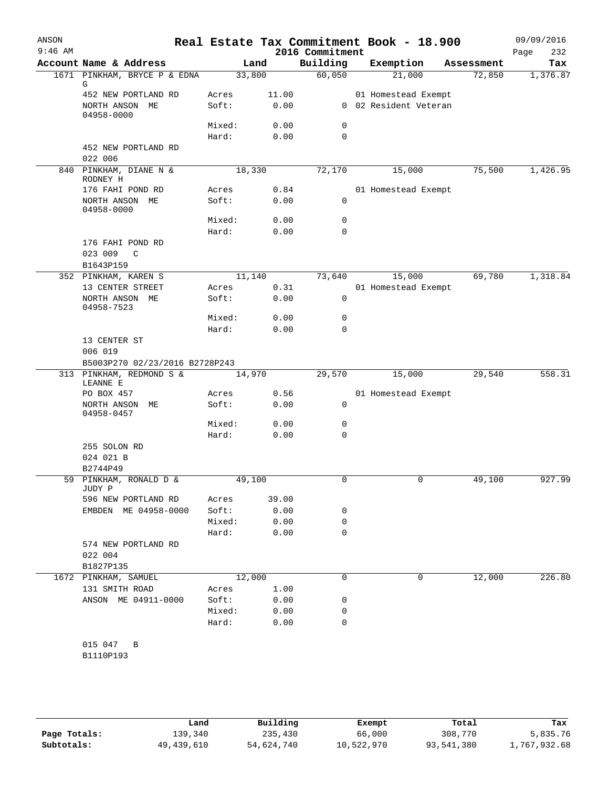| ANSON<br>$9:46$ AM |                                      |                 |              | 2016 Commitment | Real Estate Tax Commitment Book - 18.900 |            | 09/09/2016<br>Page<br>232 |
|--------------------|--------------------------------------|-----------------|--------------|-----------------|------------------------------------------|------------|---------------------------|
|                    | Account Name & Address               |                 | Land         | Building        | Exemption                                | Assessment | Tax                       |
|                    | 1671 PINKHAM, BRYCE P & EDNA         | 33,800          |              | 60,050          | 21,000                                   | 72,850     | 1,376.87                  |
|                    | G<br>452 NEW PORTLAND RD             | Acres           | 11.00        |                 | 01 Homestead Exempt                      |            |                           |
|                    | NORTH ANSON ME<br>04958-0000         | Soft:           | 0.00         |                 | 0 02 Resident Veteran                    |            |                           |
|                    |                                      | Mixed:          | 0.00         | 0               |                                          |            |                           |
|                    |                                      | Hard:           | 0.00         | $\mathbf 0$     |                                          |            |                           |
|                    | 452 NEW PORTLAND RD<br>022 006       |                 |              |                 |                                          |            |                           |
| 840                | PINKHAM, DIANE N &<br>RODNEY H       | 18,330          |              | 72,170          | 15,000                                   | 75,500     | 1,426.95                  |
|                    | 176 FAHI POND RD                     | Acres           | 0.84         |                 | 01 Homestead Exempt                      |            |                           |
|                    | NORTH ANSON ME<br>04958-0000         | Soft:           | 0.00         | 0<br>0          |                                          |            |                           |
|                    |                                      | Mixed:<br>Hard: | 0.00<br>0.00 | 0               |                                          |            |                           |
|                    | 176 FAHI POND RD                     |                 |              |                 |                                          |            |                           |
|                    | 023 009<br>C                         |                 |              |                 |                                          |            |                           |
|                    | B1643P159                            |                 |              |                 |                                          |            |                           |
|                    | 352 PINKHAM, KAREN S                 | 11,140          |              | 73,640          | 15,000                                   | 69,780     | 1,318.84                  |
|                    | 13 CENTER STREET                     | Acres           | 0.31         |                 | 01 Homestead Exempt                      |            |                           |
|                    | NORTH ANSON ME<br>04958-7523         | Soft:           | 0.00         | 0               |                                          |            |                           |
|                    |                                      | Mixed:          | 0.00         | 0               |                                          |            |                           |
|                    |                                      | Hard:           | 0.00         | 0               |                                          |            |                           |
|                    | 13 CENTER ST<br>006 019              |                 |              |                 |                                          |            |                           |
|                    | B5003P270 02/23/2016 B2728P243       |                 |              |                 |                                          |            |                           |
|                    | 313 PINKHAM, REDMOND S &<br>LEANNE E | 14,970          |              | 29,570          | 15,000                                   | 29,540     | 558.31                    |
|                    | PO BOX 457                           | Acres           | 0.56         |                 | 01 Homestead Exempt                      |            |                           |
|                    | NORTH ANSON<br>MЕ<br>04958-0457      | Soft:           | 0.00         | 0               |                                          |            |                           |
|                    |                                      | Mixed:          | 0.00         | 0               |                                          |            |                           |
|                    |                                      | Hard:           | 0.00         | 0               |                                          |            |                           |
|                    | 255 SOLON RD                         |                 |              |                 |                                          |            |                           |
|                    | 024 021 B<br>B2744P49                |                 |              |                 |                                          |            |                           |
| 59                 | PINKHAM, RONALD D &<br>JUDY P        | 49,100          |              | $\Omega$        | 0                                        | 49,100     | 927.99                    |
|                    | 596 NEW PORTLAND RD                  | Acres           | 39.00        |                 |                                          |            |                           |
|                    | EMBDEN ME 04958-0000                 | Soft:           | 0.00         | 0               |                                          |            |                           |
|                    |                                      | Mixed:          | 0.00         | 0               |                                          |            |                           |
|                    |                                      | Hard:           | 0.00         | 0               |                                          |            |                           |
|                    | 574 NEW PORTLAND RD                  |                 |              |                 |                                          |            |                           |
|                    | 022 004                              |                 |              |                 |                                          |            |                           |
|                    | B1827P135<br>1672 PINKHAM, SAMUEL    | 12,000          |              | 0               | 0                                        | 12,000     | 226.80                    |
|                    | 131 SMITH ROAD                       | Acres           | 1.00         |                 |                                          |            |                           |
|                    | ANSON ME 04911-0000                  | Soft:           | 0.00         | 0               |                                          |            |                           |
|                    |                                      | Mixed:          | 0.00         | 0               |                                          |            |                           |
|                    |                                      | Hard:           | 0.00         | $\Omega$        |                                          |            |                           |
|                    | 015 047 B                            |                 |              |                 |                                          |            |                           |
|                    | B1110P193                            |                 |              |                 |                                          |            |                           |

|              | Land       | Building   | Exempt     | Total      | Tax          |
|--------------|------------|------------|------------|------------|--------------|
| Page Totals: | 139,340    | 235,430    | 66,000     | 308,770    | 5,835.76     |
| Subtotals:   | 49,439,610 | 54,624,740 | 10,522,970 | 93,541,380 | 1,767,932.68 |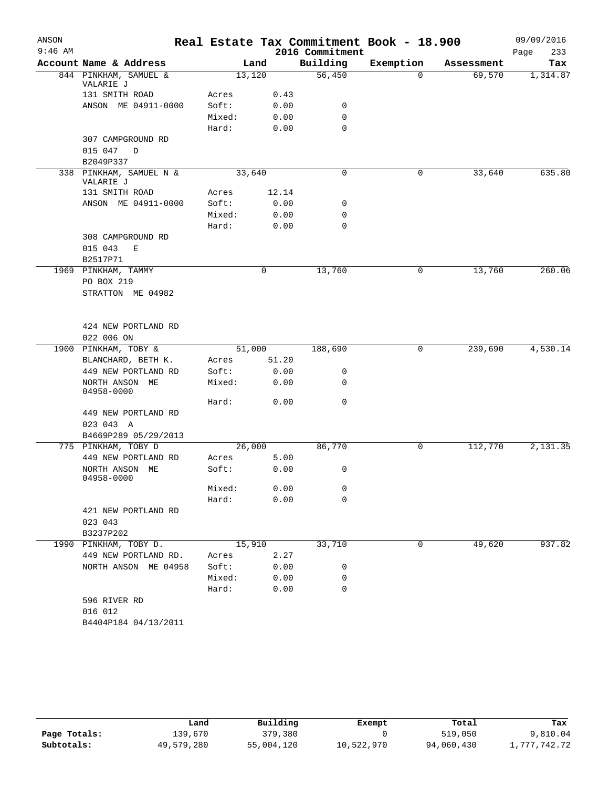| ANSON     |                                      |        |        |                 | Real Estate Tax Commitment Book - 18.900 |            | 09/09/2016  |
|-----------|--------------------------------------|--------|--------|-----------------|------------------------------------------|------------|-------------|
| $9:46$ AM |                                      |        |        | 2016 Commitment |                                          |            | 233<br>Page |
|           | Account Name & Address               |        | Land   | Building        | Exemption                                | Assessment | Tax         |
|           | 844 PINKHAM, SAMUEL &<br>VALARIE J   |        | 13,120 | 56,450          | 0                                        | 69,570     | 1,314.87    |
|           | 131 SMITH ROAD                       | Acres  | 0.43   |                 |                                          |            |             |
|           | ANSON ME 04911-0000                  | Soft:  | 0.00   | 0               |                                          |            |             |
|           |                                      | Mixed: | 0.00   | 0               |                                          |            |             |
|           |                                      | Hard:  | 0.00   | $\mathbf 0$     |                                          |            |             |
|           | 307 CAMPGROUND RD                    |        |        |                 |                                          |            |             |
|           | 015 047<br>D                         |        |        |                 |                                          |            |             |
|           | B2049P337                            |        |        |                 |                                          |            |             |
|           | 338 PINKHAM, SAMUEL N &<br>VALARIE J |        | 33,640 | 0               | 0                                        | 33,640     | 635.80      |
|           | 131 SMITH ROAD                       | Acres  | 12.14  |                 |                                          |            |             |
|           | ANSON ME 04911-0000                  | Soft:  | 0.00   | 0               |                                          |            |             |
|           |                                      | Mixed: | 0.00   | 0               |                                          |            |             |
|           |                                      | Hard:  | 0.00   | $\mathbf 0$     |                                          |            |             |
|           | 308 CAMPGROUND RD                    |        |        |                 |                                          |            |             |
|           | 015 043<br>Ε                         |        |        |                 |                                          |            |             |
|           | B2517P71                             |        |        |                 |                                          |            |             |
|           | 1969 PINKHAM, TAMMY                  |        | 0      | 13,760          | 0                                        | 13,760     | 260.06      |
|           | PO BOX 219                           |        |        |                 |                                          |            |             |
|           | STRATTON ME 04982                    |        |        |                 |                                          |            |             |
|           |                                      |        |        |                 |                                          |            |             |
|           |                                      |        |        |                 |                                          |            |             |
|           | 424 NEW PORTLAND RD<br>022 006 ON    |        |        |                 |                                          |            |             |
|           | 1900 PINKHAM, TOBY &                 |        | 51,000 | 188,690         | 0                                        | 239,690    | 4,530.14    |
|           | BLANCHARD, BETH K.                   | Acres  | 51.20  |                 |                                          |            |             |
|           | 449 NEW PORTLAND RD                  | Soft:  | 0.00   | 0               |                                          |            |             |
|           | NORTH ANSON ME                       | Mixed: | 0.00   | 0               |                                          |            |             |
|           | 04958-0000                           |        |        |                 |                                          |            |             |
|           |                                      | Hard:  | 0.00   | 0               |                                          |            |             |
|           | 449 NEW PORTLAND RD                  |        |        |                 |                                          |            |             |
|           | 023 043 A                            |        |        |                 |                                          |            |             |
|           | B4669P289 05/29/2013                 |        |        |                 |                                          |            |             |
|           | 775 PINKHAM, TOBY D                  |        | 26,000 | 86,770          | 0                                        | 112,770    | 2,131.35    |
|           | 449 NEW PORTLAND RD                  | Acres  | 5.00   |                 |                                          |            |             |
|           | NORTH ANSON ME                       | Soft:  | 0.00   | 0               |                                          |            |             |
|           | 04958-0000                           |        |        |                 |                                          |            |             |
|           |                                      | Mixed: | 0.00   | 0               |                                          |            |             |
|           |                                      | Hard:  | 0.00   | $\mathbf 0$     |                                          |            |             |
|           | 421 NEW PORTLAND RD                  |        |        |                 |                                          |            |             |
|           | 023 043                              |        |        |                 |                                          |            |             |
|           | B3237P202                            |        |        |                 |                                          |            |             |
|           | 1990 PINKHAM, TOBY D.                |        | 15,910 | 33,710          | 0                                        | 49,620     | 937.82      |
|           | 449 NEW PORTLAND RD.                 | Acres  | 2.27   |                 |                                          |            |             |
|           | NORTH ANSON ME 04958                 | Soft:  | 0.00   | 0<br>0          |                                          |            |             |
|           |                                      | Mixed: | 0.00   | $\mathbf 0$     |                                          |            |             |
|           | 596 RIVER RD                         | Hard:  | 0.00   |                 |                                          |            |             |
|           |                                      |        |        |                 |                                          |            |             |
|           | 016 012<br>B4404P184 04/13/2011      |        |        |                 |                                          |            |             |
|           |                                      |        |        |                 |                                          |            |             |

|              | Land       | Building   | Exempt     | Total      | Tax          |
|--------------|------------|------------|------------|------------|--------------|
| Page Totals: | 139,670    | 379,380    |            | 519,050    | 9,810.04     |
| Subtotals:   | 49,579,280 | 55,004,120 | 10,522,970 | 94,060,430 | l,777,742.72 |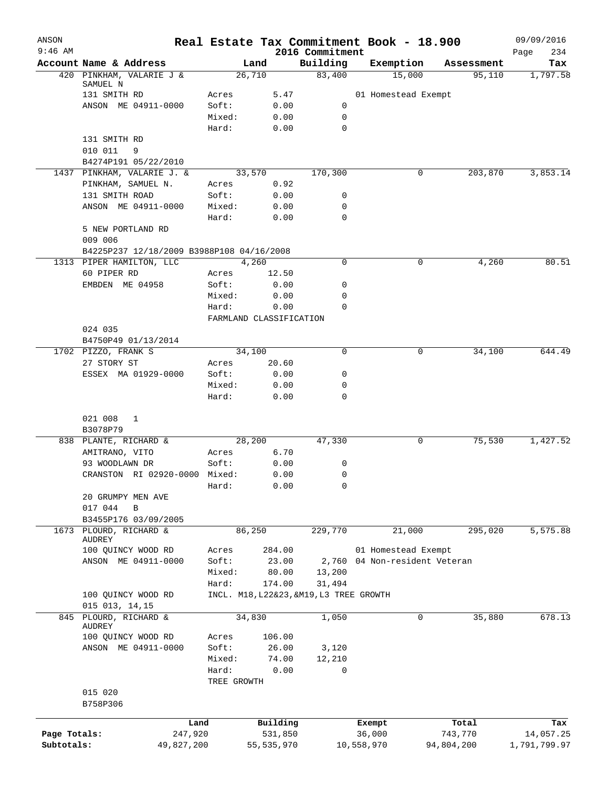| ANSON        |                                           |                 |                                         |                             | Real Estate Tax Commitment Book - 18.900 |            | 09/09/2016         |
|--------------|-------------------------------------------|-----------------|-----------------------------------------|-----------------------------|------------------------------------------|------------|--------------------|
| $9:46$ AM    | Account Name & Address                    |                 | Land                                    | 2016 Commitment<br>Building | Exemption                                | Assessment | Page<br>234<br>Tax |
|              | 420 PINKHAM, VALARIE J &                  |                 | 26,710                                  | 83,400                      | 15,000                                   | 95,110     | 1,797.58           |
|              | SAMUEL N                                  |                 |                                         |                             |                                          |            |                    |
|              | 131 SMITH RD<br>ANSON ME 04911-0000       | Acres           | 5.47                                    |                             | 01 Homestead Exempt                      |            |                    |
|              |                                           | Soft:<br>Mixed: | 0.00<br>0.00                            | 0<br>0                      |                                          |            |                    |
|              |                                           | Hard:           | 0.00                                    | 0                           |                                          |            |                    |
|              | 131 SMITH RD                              |                 |                                         |                             |                                          |            |                    |
|              | 010 011<br>9                              |                 |                                         |                             |                                          |            |                    |
|              | B4274P191 05/22/2010                      |                 |                                         |                             |                                          |            |                    |
|              | 1437 PINKHAM, VALARIE J. &                |                 | 33,570                                  | 170,300                     | 0                                        | 203,870    | 3,853.14           |
|              | PINKHAM, SAMUEL N.                        | Acres           | 0.92                                    |                             |                                          |            |                    |
|              | 131 SMITH ROAD                            | Soft:           | 0.00                                    | 0                           |                                          |            |                    |
|              | ANSON ME 04911-0000                       | Mixed:          | 0.00                                    | 0                           |                                          |            |                    |
|              | 5 NEW PORTLAND RD                         | Hard:           | 0.00                                    | 0                           |                                          |            |                    |
|              | 009 006                                   |                 |                                         |                             |                                          |            |                    |
|              | B4225P237 12/18/2009 B3988P108 04/16/2008 |                 |                                         |                             |                                          |            |                    |
|              | 1313 PIPER HAMILTON, LLC                  |                 | 4,260                                   | 0                           | 0                                        | 4,260      | 80.51              |
|              | 60 PIPER RD                               | Acres           | 12.50                                   |                             |                                          |            |                    |
|              | EMBDEN ME 04958                           | Soft:           | 0.00                                    | 0                           |                                          |            |                    |
|              |                                           | Mixed:          | 0.00                                    | 0                           |                                          |            |                    |
|              |                                           | Hard:           | 0.00                                    | $\Omega$                    |                                          |            |                    |
|              |                                           |                 | FARMLAND CLASSIFICATION                 |                             |                                          |            |                    |
|              | 024 035                                   |                 |                                         |                             |                                          |            |                    |
|              | B4750P49 01/13/2014                       |                 |                                         |                             |                                          |            |                    |
|              | 1702 PIZZO, FRANK S                       |                 | 34,100                                  | 0                           | 0                                        | 34,100     | 644.49             |
|              | 27 STORY ST<br>ESSEX MA 01929-0000        | Acres<br>Soft:  | 20.60<br>0.00                           | 0                           |                                          |            |                    |
|              |                                           | Mixed:          | 0.00                                    | 0                           |                                          |            |                    |
|              |                                           | Hard:           | 0.00                                    | 0                           |                                          |            |                    |
|              |                                           |                 |                                         |                             |                                          |            |                    |
|              | 021 008<br>1                              |                 |                                         |                             |                                          |            |                    |
|              | B3078P79<br>838 PLANTE, RICHARD &         |                 |                                         | 47,330                      | 0                                        | 75,530     | 1,427.52           |
|              | AMITRANO, VITO                            | Acres           | 28,200<br>6.70                          |                             |                                          |            |                    |
|              | 93 WOODLAWN DR                            | Soft:           | 0.00                                    | 0                           |                                          |            |                    |
|              | CRANSTON RI 02920-0000 Mixed:             |                 | 0.00                                    | 0                           |                                          |            |                    |
|              |                                           | Hard:           | 0.00                                    | 0                           |                                          |            |                    |
|              | 20 GRUMPY MEN AVE                         |                 |                                         |                             |                                          |            |                    |
|              | 017 044<br>B                              |                 |                                         |                             |                                          |            |                    |
|              | B3455P176 03/09/2005                      |                 |                                         |                             |                                          |            |                    |
| 1673         | PLOURD, RICHARD &                         |                 | 86,250                                  | 229,770                     | 21,000                                   | 295,020    | 5,575.88           |
|              | AUDREY<br>100 QUINCY WOOD RD              | Acres           | 284.00                                  |                             | 01 Homestead Exempt                      |            |                    |
|              | ANSON ME 04911-0000                       | Soft:           | 23.00                                   |                             | 2,760 04 Non-resident Veteran            |            |                    |
|              |                                           | Mixed:          | 80.00                                   | 13,200                      |                                          |            |                    |
|              |                                           | Hard:           | 174.00                                  | 31,494                      |                                          |            |                    |
|              | 100 QUINCY WOOD RD                        |                 | INCL. M18, L22&23, &M19, L3 TREE GROWTH |                             |                                          |            |                    |
|              | 015 013, 14, 15                           |                 |                                         |                             |                                          |            |                    |
| 845          | PLOURD, RICHARD &<br>AUDREY               |                 | 34,830                                  | 1,050                       | 0                                        | 35,880     | 678.13             |
|              | 100 QUINCY WOOD RD                        | Acres           | 106.00                                  |                             |                                          |            |                    |
|              | ANSON ME 04911-0000                       | Soft:           | 26.00                                   | 3,120                       |                                          |            |                    |
|              |                                           | Mixed:          | 74.00                                   | 12,210                      |                                          |            |                    |
|              |                                           | Hard:           | 0.00                                    | 0                           |                                          |            |                    |
|              |                                           | TREE GROWTH     |                                         |                             |                                          |            |                    |
|              | 015 020                                   |                 |                                         |                             |                                          |            |                    |
|              | B758P306                                  |                 |                                         |                             |                                          |            |                    |
|              |                                           | Land            | Building                                |                             | Exempt                                   | Total      | Tax                |
| Page Totals: | 247,920                                   |                 | 531,850                                 |                             | 36,000                                   | 743,770    | 14,057.25          |
| Subtotals:   | 49,827,200                                |                 | 55,535,970                              |                             | 10,558,970                               | 94,804,200 | 1,791,799.97       |
|              |                                           |                 |                                         |                             |                                          |            |                    |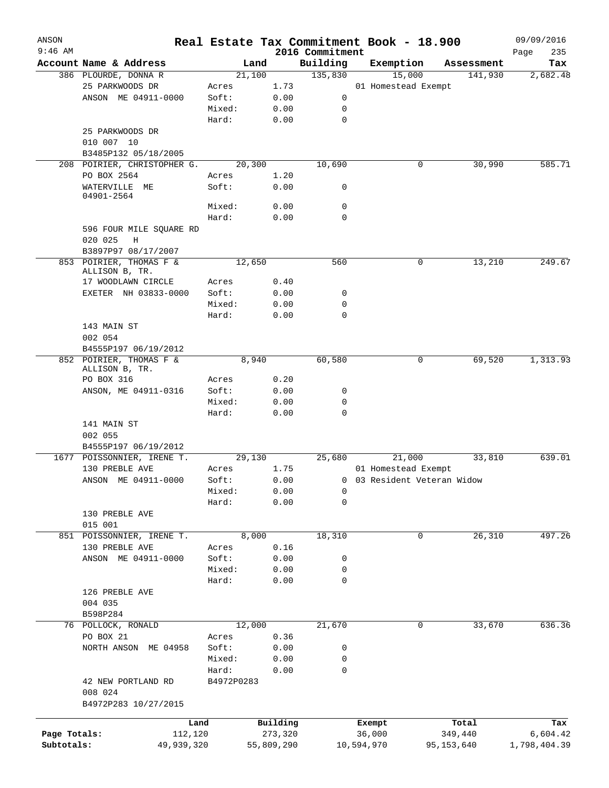| ANSON        |                                           |            |            |                 | Real Estate Tax Commitment Book - 18.900 |            | 09/09/2016   |
|--------------|-------------------------------------------|------------|------------|-----------------|------------------------------------------|------------|--------------|
| $9:46$ AM    |                                           |            |            | 2016 Commitment |                                          |            | Page<br>235  |
|              | Account Name & Address                    | Land       |            | Building        | Exemption                                | Assessment | Tax          |
|              | 386 PLOURDE, DONNA R                      | 21,100     |            | 135,830         | 15,000                                   | 141,930    | 2,682.48     |
|              | 25 PARKWOODS DR                           | Acres      | 1.73       |                 | 01 Homestead Exempt                      |            |              |
|              | ANSON ME 04911-0000                       | Soft:      | 0.00       | 0               |                                          |            |              |
|              |                                           | Mixed:     | 0.00       | 0               |                                          |            |              |
|              |                                           | Hard:      | 0.00       | $\mathbf 0$     |                                          |            |              |
|              | 25 PARKWOODS DR                           |            |            |                 |                                          |            |              |
|              | 010 007 10                                |            |            |                 |                                          |            |              |
|              | B3485P132 05/18/2005                      |            |            |                 |                                          |            |              |
|              | 208 POIRIER, CHRISTOPHER G.               | 20,300     |            | 10,690          | 0                                        | 30,990     | 585.71       |
|              | PO BOX 2564                               | Acres      | 1.20       |                 |                                          |            |              |
|              | WATERVILLE ME<br>04901-2564               | Soft:      | 0.00       | 0               |                                          |            |              |
|              |                                           | Mixed:     | 0.00       | $\mathbf 0$     |                                          |            |              |
|              |                                           | Hard:      | 0.00       | $\mathbf 0$     |                                          |            |              |
|              | 596 FOUR MILE SQUARE RD                   |            |            |                 |                                          |            |              |
|              | 020 025<br>Η                              |            |            |                 |                                          |            |              |
|              | B3897P97 08/17/2007                       |            |            |                 |                                          |            |              |
|              | 853 POIRIER, THOMAS F &<br>ALLISON B, TR. | 12,650     |            | 560             | 0                                        | 13,210     | 249.67       |
|              | 17 WOODLAWN CIRCLE                        | Acres      | 0.40       |                 |                                          |            |              |
|              | EXETER NH 03833-0000                      | Soft:      | 0.00       | 0               |                                          |            |              |
|              |                                           | Mixed:     |            | 0               |                                          |            |              |
|              |                                           |            | 0.00       |                 |                                          |            |              |
|              |                                           | Hard:      | 0.00       | $\mathbf 0$     |                                          |            |              |
|              | 143 MAIN ST                               |            |            |                 |                                          |            |              |
|              | 002 054                                   |            |            |                 |                                          |            |              |
|              | B4555P197 06/19/2012                      |            |            |                 |                                          |            |              |
|              | 852 POIRIER, THOMAS F &                   | 8,940      |            | 60,580          | 0                                        | 69,520     | 1,313.93     |
|              | ALLISON B, TR.                            |            |            |                 |                                          |            |              |
|              | PO BOX 316                                | Acres      | 0.20       |                 |                                          |            |              |
|              | ANSON, ME 04911-0316                      | Soft:      | 0.00       | 0               |                                          |            |              |
|              |                                           | Mixed:     | 0.00       | 0               |                                          |            |              |
|              |                                           | Hard:      | 0.00       | $\mathbf 0$     |                                          |            |              |
|              | 141 MAIN ST                               |            |            |                 |                                          |            |              |
|              | 002 055                                   |            |            |                 |                                          |            |              |
|              | B4555P197 06/19/2012                      |            |            |                 |                                          |            |              |
| 1677         | POISSONNIER, IRENE T.                     | 29,130     |            | 25,680          | 21,000                                   | 33,810     | 639.01       |
|              | 130 PREBLE AVE                            | Acres      | 1.75       |                 | 01 Homestead Exempt                      |            |              |
|              | ANSON ME 04911-0000                       | Soft:      | 0.00       |                 | 0 03 Resident Veteran Widow              |            |              |
|              |                                           | Mixed:     | 0.00       | 0               |                                          |            |              |
|              |                                           | Hard:      | 0.00       | 0               |                                          |            |              |
|              | 130 PREBLE AVE                            |            |            |                 |                                          |            |              |
|              | 015 001                                   |            |            |                 |                                          |            |              |
|              | 851 POISSONNIER, IRENE T.                 | 8,000      |            | 18,310          | 0                                        | 26,310     | 497.26       |
|              | 130 PREBLE AVE                            | Acres      | 0.16       |                 |                                          |            |              |
|              | ANSON ME 04911-0000                       | Soft:      |            |                 |                                          |            |              |
|              |                                           |            | 0.00       | 0               |                                          |            |              |
|              |                                           | Mixed:     | 0.00       | 0               |                                          |            |              |
|              |                                           | Hard:      | 0.00       | 0               |                                          |            |              |
|              | 126 PREBLE AVE                            |            |            |                 |                                          |            |              |
|              | 004 035                                   |            |            |                 |                                          |            |              |
|              | B598P284                                  |            |            |                 |                                          |            |              |
|              | 76 POLLOCK, RONALD                        | 12,000     |            | 21,670          | 0                                        | 33,670     | 636.36       |
|              | PO BOX 21                                 | Acres      | 0.36       |                 |                                          |            |              |
|              | NORTH ANSON ME 04958                      | Soft:      | 0.00       | 0               |                                          |            |              |
|              |                                           | Mixed:     | 0.00       | 0               |                                          |            |              |
|              |                                           | Hard:      | 0.00       | $\mathbf 0$     |                                          |            |              |
|              | 42 NEW PORTLAND RD                        | B4972P0283 |            |                 |                                          |            |              |
|              | 008 024                                   |            |            |                 |                                          |            |              |
|              | B4972P283 10/27/2015                      |            |            |                 |                                          |            |              |
|              |                                           | Land       | Building   |                 | Exempt                                   | Total      | Tax          |
| Page Totals: | 112,120                                   |            | 273,320    |                 | 36,000                                   | 349,440    | 6,604.42     |
| Subtotals:   | 49,939,320                                |            | 55,809,290 |                 | 10,594,970                               | 95,153,640 | 1,798,404.39 |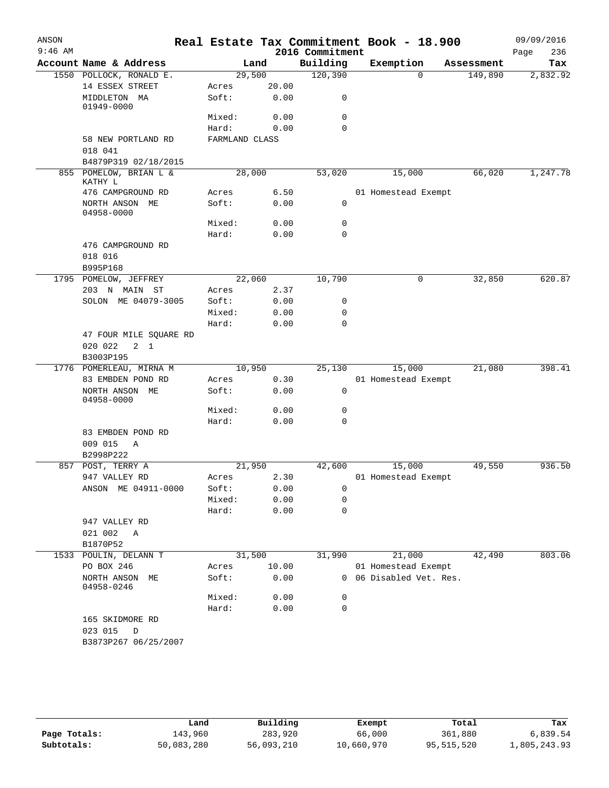| ANSON     |                                   |                |       |                 | Real Estate Tax Commitment Book - 18.900 |            | 09/09/2016  |
|-----------|-----------------------------------|----------------|-------|-----------------|------------------------------------------|------------|-------------|
| $9:46$ AM |                                   |                |       | 2016 Commitment |                                          |            | 236<br>Page |
|           | Account Name & Address            |                | Land  | Building        | Exemption                                | Assessment | Tax         |
|           | 1550 POLLOCK, RONALD E.           | 29,500         |       | 120, 390        | $\Omega$                                 | 149,890    | 2,832.92    |
|           | 14 ESSEX STREET                   | Acres          | 20.00 |                 |                                          |            |             |
|           | MIDDLETON MA<br>01949-0000        | Soft:          | 0.00  | 0               |                                          |            |             |
|           |                                   | Mixed:         | 0.00  | $\mathbf 0$     |                                          |            |             |
|           |                                   | Hard:          | 0.00  | $\Omega$        |                                          |            |             |
|           | 58 NEW PORTLAND RD<br>018 041     | FARMLAND CLASS |       |                 |                                          |            |             |
|           | B4879P319 02/18/2015              |                |       |                 |                                          |            |             |
|           | 855 POMELOW, BRIAN L &<br>KATHY L | 28,000         |       | 53,020          | 15,000                                   | 66,020     | 1,247.78    |
|           | 476 CAMPGROUND RD                 | Acres          | 6.50  |                 | 01 Homestead Exempt                      |            |             |
|           | NORTH ANSON ME<br>04958-0000      | Soft:          | 0.00  | 0               |                                          |            |             |
|           |                                   | Mixed:         | 0.00  | 0               |                                          |            |             |
|           |                                   | Hard:          | 0.00  | $\mathbf 0$     |                                          |            |             |
|           | 476 CAMPGROUND RD<br>018 016      |                |       |                 |                                          |            |             |
|           | B995P168                          |                |       |                 |                                          |            |             |
|           | 1795 POMELOW, JEFFREY             | 22,060         |       | 10,790          | 0                                        | 32,850     | 620.87      |
|           | 203 N MAIN ST                     | Acres          | 2.37  |                 |                                          |            |             |
|           | SOLON ME 04079-3005               | Soft:          | 0.00  | 0               |                                          |            |             |
|           |                                   | Mixed:         | 0.00  | $\mathbf 0$     |                                          |            |             |
|           |                                   | Hard:          | 0.00  | $\mathbf 0$     |                                          |            |             |
|           | 47 FOUR MILE SQUARE RD            |                |       |                 |                                          |            |             |
|           | 020 022<br>$2 \quad 1$            |                |       |                 |                                          |            |             |
|           | B3003P195                         |                |       |                 |                                          |            |             |
|           | 1776 POMERLEAU, MIRNA M           | 10,950         |       | 25,130          | 15,000                                   | 21,080     | 398.41      |
|           | 83 EMBDEN POND RD                 | Acres          | 0.30  |                 | 01 Homestead Exempt                      |            |             |
|           | NORTH ANSON ME<br>04958-0000      | Soft:          | 0.00  | $\mathsf{O}$    |                                          |            |             |
|           |                                   | Mixed:         | 0.00  | 0               |                                          |            |             |
|           |                                   | Hard:          | 0.00  | $\mathbf 0$     |                                          |            |             |
|           | 83 EMBDEN POND RD                 |                |       |                 |                                          |            |             |
|           | 009 015<br>Α                      |                |       |                 |                                          |            |             |
|           | B2998P222                         |                |       |                 |                                          |            |             |
| 857       | POST, TERRY A                     | 21,950         |       | 42,600          | 15,000                                   | 49,550     | 936.50      |
|           | 947 VALLEY RD                     | Acres          | 2.30  |                 | 01 Homestead Exempt                      |            |             |
|           | ANSON ME 04911-0000               | Soft:          | 0.00  | 0               |                                          |            |             |
|           |                                   | Mixed:         | 0.00  | 0               |                                          |            |             |
|           |                                   | Hard:          | 0.00  | $\mathbf 0$     |                                          |            |             |
|           | 947 VALLEY RD                     |                |       |                 |                                          |            |             |
|           | 021 002<br>Α<br>B1870P52          |                |       |                 |                                          |            |             |
| 1533      | POULIN, DELANN T                  | 31,500         |       | 31,990          | 21,000                                   | 42,490     | 803.06      |
|           | PO BOX 246                        | Acres          | 10.00 |                 | 01 Homestead Exempt                      |            |             |
|           | NORTH ANSON<br>MЕ<br>04958-0246   | Soft:          | 0.00  | $\mathbf{0}$    | 06 Disabled Vet. Res.                    |            |             |
|           |                                   | Mixed:         | 0.00  | 0               |                                          |            |             |
|           |                                   | Hard:          | 0.00  | 0               |                                          |            |             |
|           | 165 SKIDMORE RD<br>023 015<br>D   |                |       |                 |                                          |            |             |
|           | B3873P267 06/25/2007              |                |       |                 |                                          |            |             |
|           |                                   |                |       |                 |                                          |            |             |

|              | Land       | Building   | Exempt     | Total      | Tax          |
|--------------|------------|------------|------------|------------|--------------|
|              |            |            |            |            |              |
| Page Totals: | 143,960    | 283,920    | 66,000     | 361,880    | 6,839.54     |
| Subtotals:   | 50,083,280 | 56,093,210 | 10,660,970 | 95,515,520 | 1,805,243.93 |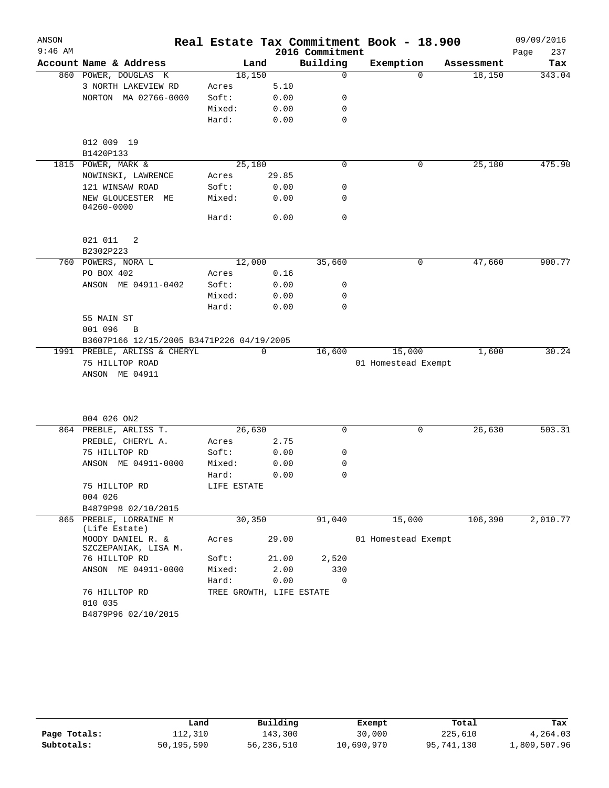| ANSON     |                                           |                          |          |                 | Real Estate Tax Commitment Book - 18.900 |            | 09/09/2016  |
|-----------|-------------------------------------------|--------------------------|----------|-----------------|------------------------------------------|------------|-------------|
| $9:46$ AM |                                           |                          |          | 2016 Commitment |                                          |            | 237<br>Page |
|           | Account Name & Address                    |                          | Land     | Building        | Exemption                                | Assessment | Tax         |
|           | 860 POWER, DOUGLAS K                      | 18,150                   |          | $\mathbf 0$     | $\Omega$                                 | 18,150     | 343.04      |
|           | 3 NORTH LAKEVIEW RD                       | Acres                    | 5.10     |                 |                                          |            |             |
|           | NORTON MA 02766-0000                      | Soft:                    | 0.00     | 0               |                                          |            |             |
|           |                                           | Mixed:                   | 0.00     | 0               |                                          |            |             |
|           |                                           | Hard:                    | 0.00     | $\mathbf 0$     |                                          |            |             |
|           | 012 009 19                                |                          |          |                 |                                          |            |             |
|           | B1420P133                                 |                          |          |                 |                                          |            |             |
|           | 1815 POWER, MARK &                        | 25,180                   |          | $\mathbf 0$     | 0                                        | 25,180     | 475.90      |
|           | NOWINSKI, LAWRENCE                        | Acres                    | 29.85    |                 |                                          |            |             |
|           | 121 WINSAW ROAD                           | Soft:                    | 0.00     | 0               |                                          |            |             |
|           | NEW GLOUCESTER ME<br>04260-0000           | Mixed:                   | 0.00     | 0               |                                          |            |             |
|           |                                           | Hard:                    | 0.00     | $\mathbf 0$     |                                          |            |             |
|           | 021 011<br>2                              |                          |          |                 |                                          |            |             |
|           | B2302P223                                 |                          |          |                 |                                          |            |             |
|           | 760 POWERS, NORA L                        | 12,000                   |          | 35,660          | 0                                        | 47,660     | 900.77      |
|           | PO BOX 402                                | Acres                    | 0.16     |                 |                                          |            |             |
|           | ANSON ME 04911-0402                       | Soft:                    | 0.00     | 0               |                                          |            |             |
|           |                                           | Mixed:                   | 0.00     | 0               |                                          |            |             |
|           |                                           | Hard:                    | 0.00     | 0               |                                          |            |             |
|           | 55 MAIN ST                                |                          |          |                 |                                          |            |             |
|           | 001 096<br>B                              |                          |          |                 |                                          |            |             |
|           | B3607P166 12/15/2005 B3471P226 04/19/2005 |                          |          |                 |                                          |            |             |
|           | 1991 PREBLE, ARLISS & CHERYL              |                          | $\Omega$ | 16,600          | 15,000                                   | 1,600      | 30.24       |
|           | 75 HILLTOP ROAD                           |                          |          |                 | 01 Homestead Exempt                      |            |             |
|           | ANSON ME 04911                            |                          |          |                 |                                          |            |             |
|           | 004 026 ON2                               |                          |          |                 |                                          |            |             |
|           | 864 PREBLE, ARLISS T.                     | 26,630                   |          | 0               | 0                                        | 26,630     | 503.31      |
|           | PREBLE, CHERYL A.                         | Acres                    | 2.75     |                 |                                          |            |             |
|           | 75 HILLTOP RD                             | Soft:                    | 0.00     | 0               |                                          |            |             |
|           | ANSON ME 04911-0000                       | Mixed:                   | 0.00     | 0               |                                          |            |             |
|           |                                           | Hard:                    | 0.00     | $\mathbf 0$     |                                          |            |             |
|           | 75 HILLTOP RD                             | LIFE ESTATE              |          |                 |                                          |            |             |
|           | 004 026                                   |                          |          |                 |                                          |            |             |
|           | B4879P98 02/10/2015                       |                          |          |                 |                                          |            |             |
|           | 865 PREBLE, LORRAINE M<br>(Life Estate)   | 30,350                   |          | 91,040          | 15,000                                   | 106,390    | 2,010.77    |
|           | MOODY DANIEL R. &<br>SZCZEPANIAK, LISA M. | Acres                    | 29.00    |                 | 01 Homestead Exempt                      |            |             |
|           | 76 HILLTOP RD                             | Soft:                    | 21.00    | 2,520           |                                          |            |             |
|           | ANSON ME 04911-0000                       | Mixed:                   | 2.00     | 330             |                                          |            |             |
|           |                                           | Hard:                    | 0.00     | 0               |                                          |            |             |
|           | 76 HILLTOP RD<br>010 035                  | TREE GROWTH, LIFE ESTATE |          |                 |                                          |            |             |
|           | B4879P96 02/10/2015                       |                          |          |                 |                                          |            |             |

|              | Land       | Building   | Exempt     | Total      | Tax          |
|--------------|------------|------------|------------|------------|--------------|
| Page Totals: | 112,310    | 143,300    | 30,000     | 225,610    | 4,264.03     |
| Subtotals:   | 50,195,590 | 56,236,510 | 10,690,970 | 95,741,130 | 1,809,507.96 |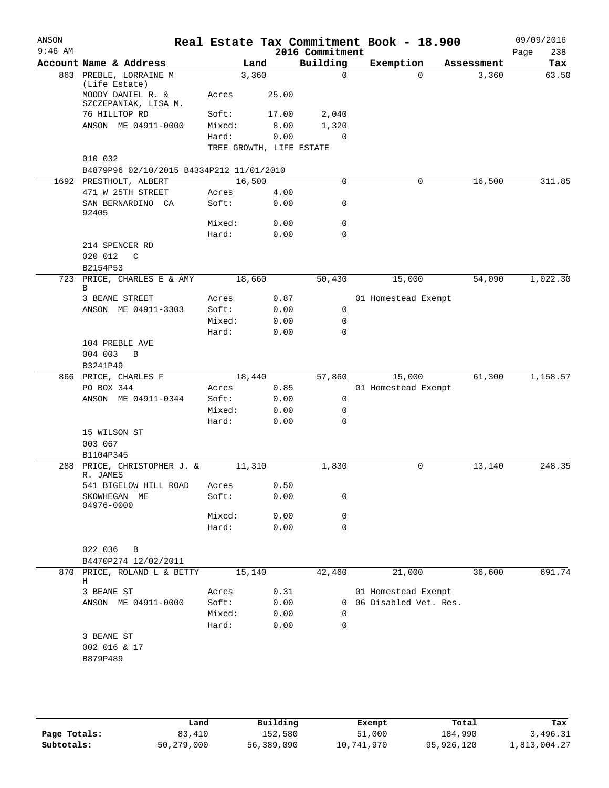| ANSON<br>$9:46$ AM |                                           |                |                          | 2016 Commitment | Real Estate Tax Commitment Book - 18.900 |            | 09/09/2016<br>238<br>Page |
|--------------------|-------------------------------------------|----------------|--------------------------|-----------------|------------------------------------------|------------|---------------------------|
|                    | Account Name & Address                    |                | Land                     | Building        | Exemption                                | Assessment | Tax                       |
|                    | 863 PREBLE, LORRAINE M<br>(Life Estate)   |                | 3,360                    | $\mathbf 0$     | $\Omega$                                 | 3,360      | 63.50                     |
|                    | MOODY DANIEL R. &<br>SZCZEPANIAK, LISA M. | Acres          | 25.00                    |                 |                                          |            |                           |
|                    | 76 HILLTOP RD                             | Soft:          | 17.00                    | 2,040           |                                          |            |                           |
|                    | ANSON ME 04911-0000                       | Mixed:         | 8.00                     | 1,320           |                                          |            |                           |
|                    |                                           | Hard:          | 0.00                     | $\mathbf 0$     |                                          |            |                           |
|                    |                                           |                | TREE GROWTH, LIFE ESTATE |                 |                                          |            |                           |
|                    | 010 032                                   |                |                          |                 |                                          |            |                           |
|                    | B4879P96 02/10/2015 B4334P212 11/01/2010  |                |                          |                 |                                          |            |                           |
|                    | 1692 PRESTHOLT, ALBERT                    |                | 16,500                   | 0               | 0                                        | 16,500     | 311.85                    |
|                    | 471 W 25TH STREET                         | Acres          | 4.00                     |                 |                                          |            |                           |
|                    | SAN BERNARDINO CA<br>92405                | Soft:          | 0.00                     | 0               |                                          |            |                           |
|                    |                                           | Mixed:         | 0.00                     | 0               |                                          |            |                           |
|                    | 214 SPENCER RD<br>020 012<br>$\mathbb{C}$ | Hard:          | 0.00                     | 0               |                                          |            |                           |
|                    | B2154P53                                  |                |                          |                 |                                          |            |                           |
|                    | 723 PRICE, CHARLES E & AMY<br>В           |                | 18,660                   | 50,430          | 15,000                                   | 54,090     | 1,022.30                  |
|                    | 3 BEANE STREET                            | Acres          | 0.87                     |                 | 01 Homestead Exempt                      |            |                           |
|                    | ANSON ME 04911-3303                       | Soft:          | 0.00                     | 0               |                                          |            |                           |
|                    |                                           | Mixed:         | 0.00                     | $\mathbf 0$     |                                          |            |                           |
|                    |                                           | Hard:          | 0.00                     | $\Omega$        |                                          |            |                           |
|                    | 104 PREBLE AVE                            |                |                          |                 |                                          |            |                           |
|                    | 004 003<br>B                              |                |                          |                 |                                          |            |                           |
|                    | B3241P49                                  |                |                          |                 |                                          |            |                           |
|                    | 866 PRICE, CHARLES F<br>PO BOX 344        | Acres          | 18,440<br>0.85           | 57,860          | 15,000<br>01 Homestead Exempt            | 61,300     | 1,158.57                  |
|                    | ANSON ME 04911-0344                       | Soft:          | 0.00                     | 0               |                                          |            |                           |
|                    |                                           | Mixed:         | 0.00                     | $\mathbf 0$     |                                          |            |                           |
|                    |                                           | Hard:          | 0.00                     | $\Omega$        |                                          |            |                           |
|                    | 15 WILSON ST                              |                |                          |                 |                                          |            |                           |
|                    | 003 067                                   |                |                          |                 |                                          |            |                           |
|                    | B1104P345                                 |                |                          |                 |                                          |            |                           |
|                    | 288 PRICE, CHRISTOPHER J. &               |                | 11,310                   | 1,830           | 0                                        | 13,140     | 248.35                    |
|                    | R. JAMES                                  |                |                          |                 |                                          |            |                           |
|                    | 541 BIGELOW HILL ROAD<br>SKOWHEGAN ME     | Acres<br>Soft: | 0.50<br>0.00             | 0               |                                          |            |                           |
|                    | 04976-0000                                | Mixed:         | 0.00                     | 0               |                                          |            |                           |
|                    |                                           | Hard:          | 0.00                     | 0               |                                          |            |                           |
|                    |                                           |                |                          |                 |                                          |            |                           |
|                    | 022 036<br>B                              |                |                          |                 |                                          |            |                           |
|                    | B4470P274 12/02/2011                      |                |                          |                 |                                          |            |                           |
| 870                | PRICE, ROLAND L & BETTY<br>Н              |                | 15,140                   | 42,460          | 21,000                                   | 36,600     | 691.74                    |
|                    | 3 BEANE ST                                | Acres          | 0.31                     |                 | 01 Homestead Exempt                      |            |                           |
|                    | ANSON ME 04911-0000                       | Soft:          | 0.00                     | 0               | 06 Disabled Vet. Res.                    |            |                           |
|                    |                                           | Mixed:         | 0.00                     | 0               |                                          |            |                           |
|                    |                                           | Hard:          | 0.00                     | $\mathbf 0$     |                                          |            |                           |
|                    | 3 BEANE ST<br>002 016 & 17<br>B879P489    |                |                          |                 |                                          |            |                           |

|              | Land       | Building   | Exempt     | Total      | Tax          |
|--------------|------------|------------|------------|------------|--------------|
| Page Totals: | 83,410     | 152,580    | 51,000     | 184,990    | 3,496.31     |
| Subtotals:   | 50,279,000 | 56,389,090 | 10,741,970 | 95,926,120 | 1,813,004.27 |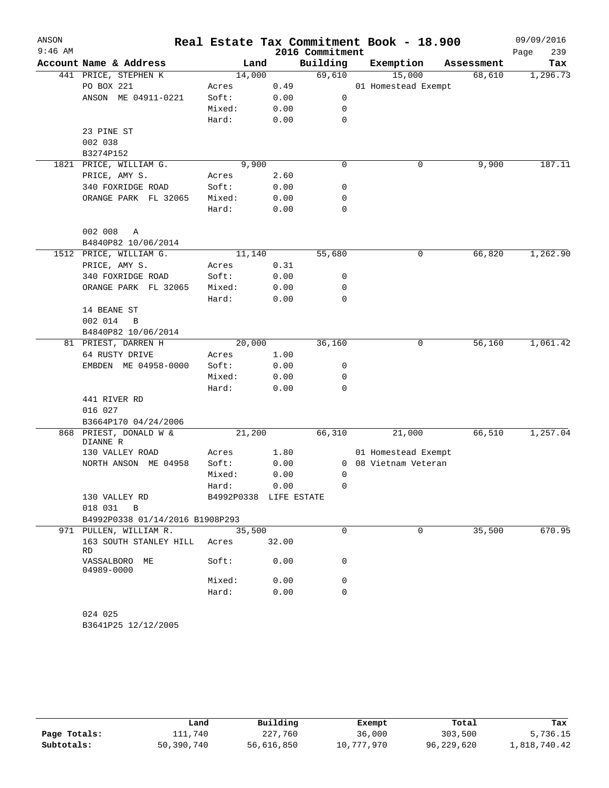| ANSON     |                                 |                                 |              |                 | Real Estate Tax Commitment Book - 18.900    |            | 09/09/2016  |
|-----------|---------------------------------|---------------------------------|--------------|-----------------|---------------------------------------------|------------|-------------|
| $9:46$ AM |                                 |                                 |              | 2016 Commitment |                                             |            | 239<br>Page |
|           | Account Name & Address          | Land                            |              | Building        | Exemption                                   | Assessment | Tax         |
|           | 441 PRICE, STEPHEN K            | 14,000                          |              | 69,610          | 15,000                                      | 68,610     | 1,296.73    |
|           | PO BOX 221                      | Acres                           | 0.49         |                 | 01 Homestead Exempt                         |            |             |
|           | ANSON ME 04911-0221             | Soft:                           | 0.00         | $\mathsf{O}$    |                                             |            |             |
|           |                                 | Mixed:                          | 0.00         | 0               |                                             |            |             |
|           |                                 | Hard:                           | 0.00         | 0               |                                             |            |             |
|           | 23 PINE ST<br>002 038           |                                 |              |                 |                                             |            |             |
|           | B3274P152                       |                                 |              |                 |                                             |            |             |
|           | 1821 PRICE, WILLIAM G.          | 9,900                           |              | 0               | 0                                           | 9,900      | 187.11      |
|           | PRICE, AMY S.                   | Acres                           | 2.60         |                 |                                             |            |             |
|           | 340 FOXRIDGE ROAD               | Soft:                           | 0.00         | 0               |                                             |            |             |
|           | ORANGE PARK FL 32065            | Mixed:                          | 0.00         | 0               |                                             |            |             |
|           |                                 | Hard:                           | 0.00         | 0               |                                             |            |             |
|           |                                 |                                 |              |                 |                                             |            |             |
|           | 002 008<br>A                    |                                 |              |                 |                                             |            |             |
|           | B4840P82 10/06/2014             |                                 |              |                 |                                             |            |             |
|           | 1512 PRICE, WILLIAM G.          | 11,140                          |              | 55,680          | 0                                           | 66,820     | 1,262.90    |
|           | PRICE, AMY S.                   | Acres                           | 0.31         |                 |                                             |            |             |
|           | 340 FOXRIDGE ROAD               | Soft:                           | 0.00         | 0               |                                             |            |             |
|           | ORANGE PARK FL 32065            | Mixed:                          | 0.00         | 0               |                                             |            |             |
|           |                                 | Hard:                           | 0.00         | 0               |                                             |            |             |
|           | 14 BEANE ST                     |                                 |              |                 |                                             |            |             |
|           | 002 014<br>B                    |                                 |              |                 |                                             |            |             |
|           | B4840P82 10/06/2014             |                                 |              |                 |                                             |            |             |
|           | 81 PRIEST, DARREN H             | 20,000                          |              | 36,160          | 0                                           | 56,160     | 1,061.42    |
|           | 64 RUSTY DRIVE                  | Acres                           | 1.00         |                 |                                             |            |             |
|           | EMBDEN ME 04958-0000            | Soft:                           | 0.00         | 0               |                                             |            |             |
|           |                                 | Mixed:                          | 0.00         | 0               |                                             |            |             |
|           |                                 | Hard:                           | 0.00         | 0               |                                             |            |             |
|           | 441 RIVER RD                    |                                 |              |                 |                                             |            |             |
|           | 016 027                         |                                 |              |                 |                                             |            |             |
|           | B3664P170 04/24/2006            |                                 |              |                 |                                             |            |             |
| 868       | PRIEST, DONALD W &              | 21,200                          |              | 66,310          | 21,000                                      | 66,510     | 1,257.04    |
|           | DIANNE R                        |                                 |              |                 |                                             |            |             |
|           | 130 VALLEY ROAD<br>ME 04958     | Acres                           | 1.80         |                 | 01 Homestead Exempt<br>0 08 Vietnam Veteran |            |             |
|           | NORTH ANSON                     | Soft:<br>Mixed:                 | 0.00<br>0.00 | 0               |                                             |            |             |
|           |                                 |                                 | 0.00         | 0               |                                             |            |             |
|           | 130 VALLEY RD                   | Hard:<br>B4992P0338 LIFE ESTATE |              |                 |                                             |            |             |
|           | 018 031 B                       |                                 |              |                 |                                             |            |             |
|           | B4992P0338 01/14/2016 B1908P293 |                                 |              |                 |                                             |            |             |
|           | 971 PULLEN, WILLIAM R.          | 35,500                          |              | $\Omega$        | $\mathbf 0$                                 | 35,500     | 670.95      |
|           | 163 SOUTH STANLEY HILL<br>RD.   | Acres                           | 32.00        |                 |                                             |            |             |
|           | VASSALBORO ME<br>04989-0000     | Soft:                           | 0.00         | 0               |                                             |            |             |
|           |                                 | Mixed:                          | 0.00         | 0               |                                             |            |             |
|           |                                 | Hard:                           | 0.00         | $\Omega$        |                                             |            |             |
|           |                                 |                                 |              |                 |                                             |            |             |
|           | 024 025                         |                                 |              |                 |                                             |            |             |
|           | B3641P25 12/12/2005             |                                 |              |                 |                                             |            |             |
|           |                                 |                                 |              |                 |                                             |            |             |

|              | Land       | Building   | Exempt     | Total      | Tax          |
|--------------|------------|------------|------------|------------|--------------|
| Page Totals: | 111,740    | 227,760    | 36,000     | 303,500    | 5,736.15     |
| Subtotals:   | 50,390,740 | 56,616,850 | 10,777,970 | 96,229,620 | 1,818,740.42 |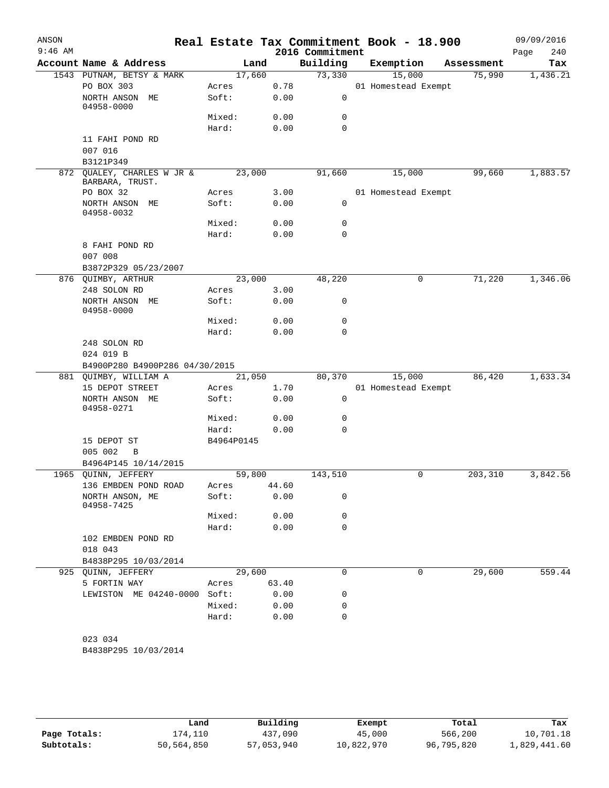| ANSON<br>$9:46$ AM |                                               |            |       | 2016 Commitment | Real Estate Tax Commitment Book - 18.900 |            | 09/09/2016<br>240<br>Page |
|--------------------|-----------------------------------------------|------------|-------|-----------------|------------------------------------------|------------|---------------------------|
|                    | Account Name & Address                        | Land       |       | Building        | Exemption                                | Assessment | Tax                       |
|                    | 1543 PUTNAM, BETSY & MARK                     | 17,660     |       | 73,330          | 15,000                                   | 75,990     | 1,436.21                  |
|                    | PO BOX 303                                    | Acres      | 0.78  |                 | 01 Homestead Exempt                      |            |                           |
|                    | NORTH ANSON ME<br>04958-0000                  | Soft:      | 0.00  | 0               |                                          |            |                           |
|                    |                                               | Mixed:     | 0.00  | 0               |                                          |            |                           |
|                    |                                               | Hard:      | 0.00  | 0               |                                          |            |                           |
|                    | 11 FAHI POND RD<br>007 016                    |            |       |                 |                                          |            |                           |
|                    | B3121P349                                     |            |       |                 |                                          |            |                           |
|                    | 872 OUALEY, CHARLES W JR &<br>BARBARA, TRUST. | 23,000     |       | 91,660          | 15,000                                   | 99,660     | 1,883.57                  |
|                    | PO BOX 32                                     | Acres      | 3.00  |                 | 01 Homestead Exempt                      |            |                           |
|                    | NORTH ANSON ME<br>04958-0032                  | Soft:      | 0.00  | 0               |                                          |            |                           |
|                    |                                               | Mixed:     | 0.00  | 0               |                                          |            |                           |
|                    |                                               | Hard:      | 0.00  | 0               |                                          |            |                           |
|                    | 8 FAHI POND RD<br>007 008                     |            |       |                 |                                          |            |                           |
|                    | B3872P329 05/23/2007                          |            |       |                 |                                          |            |                           |
|                    | 876 QUIMBY, ARTHUR                            | 23,000     |       | 48,220          | 0                                        | 71,220     | 1,346.06                  |
|                    | 248 SOLON RD                                  | Acres      | 3.00  |                 |                                          |            |                           |
|                    | NORTH ANSON ME<br>04958-0000                  | Soft:      | 0.00  | 0               |                                          |            |                           |
|                    |                                               | Mixed:     | 0.00  | 0               |                                          |            |                           |
|                    |                                               | Hard:      | 0.00  | $\mathbf 0$     |                                          |            |                           |
|                    | 248 SOLON RD                                  |            |       |                 |                                          |            |                           |
|                    | 024 019 B                                     |            |       |                 |                                          |            |                           |
|                    | B4900P280 B4900P286 04/30/2015                |            |       |                 |                                          |            |                           |
|                    | 881 QUIMBY, WILLIAM A                         | 21,050     |       | 80,370          | 15,000                                   | 86,420     | 1,633.34                  |
|                    | 15 DEPOT STREET                               | Acres      | 1.70  |                 | 01 Homestead Exempt                      |            |                           |
|                    | NORTH ANSON ME<br>04958-0271                  | Soft:      | 0.00  | $\mathbf 0$     |                                          |            |                           |
|                    |                                               | Mixed:     | 0.00  | 0               |                                          |            |                           |
|                    |                                               | Hard:      | 0.00  | 0               |                                          |            |                           |
|                    | 15 DEPOT ST                                   | B4964P0145 |       |                 |                                          |            |                           |
|                    | 005 002<br>B                                  |            |       |                 |                                          |            |                           |
|                    | B4964P145 10/14/2015                          |            |       |                 |                                          |            |                           |
|                    | 1965 QUINN, JEFFERY                           | 59,800     |       | 143,510         | 0                                        | 203,310    | 3,842.56                  |
|                    | 136 EMBDEN POND ROAD                          | Acres      | 44.60 |                 |                                          |            |                           |
|                    | NORTH ANSON, ME<br>04958-7425                 | Soft:      | 0.00  | 0               |                                          |            |                           |
|                    |                                               | Mixed:     | 0.00  | 0               |                                          |            |                           |
|                    |                                               | Hard:      | 0.00  | 0               |                                          |            |                           |
|                    | 102 EMBDEN POND RD<br>018 043                 |            |       |                 |                                          |            |                           |
|                    | B4838P295 10/03/2014                          |            |       |                 |                                          |            |                           |
|                    | 925 QUINN, JEFFERY                            | 29,600     |       | 0               | 0                                        | 29,600     | 559.44                    |
|                    | 5 FORTIN WAY                                  | Acres      | 63.40 |                 |                                          |            |                           |
|                    | LEWISTON ME 04240-0000                        | Soft:      | 0.00  | 0               |                                          |            |                           |
|                    |                                               | Mixed:     | 0.00  | 0               |                                          |            |                           |
|                    |                                               | Hard:      | 0.00  | 0               |                                          |            |                           |
|                    |                                               |            |       |                 |                                          |            |                           |
|                    | 023 034                                       |            |       |                 |                                          |            |                           |
|                    | B4838P295 10/03/2014                          |            |       |                 |                                          |            |                           |

**Page Totals:** 174,110 <br>**437,090** 45,000 566,200 10,701.18<br>**Subtotals:** 50,564,850 57,053,940 10,822,970 96,795,820 1,829,441.60 **Subtotals:** 50,564,850 57,053,940 10,822,970 96,795,820 1,829,441.60 **Land Building Exempt Total Tax**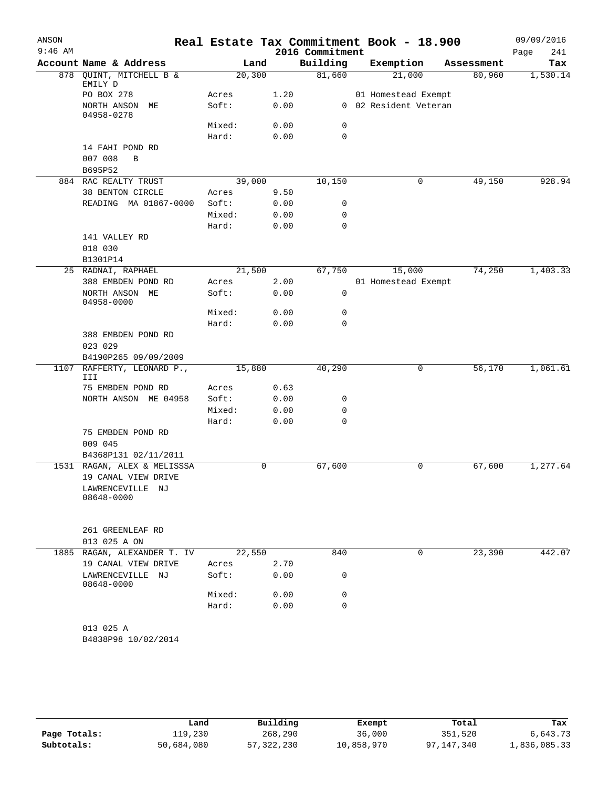| ANSON<br>$9:46$ AM |                                                       |        |         | 2016 Commitment | Real Estate Tax Commitment Book - 18.900 |            | 09/09/2016<br>Page<br>241 |
|--------------------|-------------------------------------------------------|--------|---------|-----------------|------------------------------------------|------------|---------------------------|
|                    | Account Name & Address                                |        | Land    | Building        | Exemption                                | Assessment | Tax                       |
|                    | 878 QUINT, MITCHELL B &<br>EMILY D                    |        | 20, 300 | 81,660          | 21,000                                   | 80,960     | 1,530.14                  |
|                    | PO BOX 278                                            | Acres  | 1.20    |                 | 01 Homestead Exempt                      |            |                           |
|                    | NORTH ANSON ME<br>04958-0278                          | Soft:  | 0.00    |                 | 0 02 Resident Veteran                    |            |                           |
|                    |                                                       | Mixed: | 0.00    | 0               |                                          |            |                           |
|                    |                                                       | Hard:  | 0.00    | $\mathbf 0$     |                                          |            |                           |
|                    | 14 FAHI POND RD<br>007 008<br>$\, {\bf B}$<br>B695P52 |        |         |                 |                                          |            |                           |
|                    | 884 RAC REALTY TRUST                                  |        | 39,000  | 10,150          | 0                                        | 49,150     | 928.94                    |
|                    | 38 BENTON CIRCLE                                      | Acres  | 9.50    |                 |                                          |            |                           |
|                    | READING MA 01867-0000                                 | Soft:  | 0.00    | 0               |                                          |            |                           |
|                    |                                                       | Mixed: | 0.00    | 0               |                                          |            |                           |
|                    |                                                       | Hard:  | 0.00    | $\mathbf 0$     |                                          |            |                           |
|                    | 141 VALLEY RD<br>018 030                              |        |         |                 |                                          |            |                           |
|                    | B1301P14<br>25 RADNAI, RAPHAEL                        |        | 21,500  | 67,750          | 15,000                                   | 74,250     | 1,403.33                  |
|                    | 388 EMBDEN POND RD                                    | Acres  | 2.00    |                 | 01 Homestead Exempt                      |            |                           |
|                    | NORTH ANSON ME<br>04958-0000                          | Soft:  | 0.00    | 0               |                                          |            |                           |
|                    |                                                       | Mixed: | 0.00    | 0               |                                          |            |                           |
|                    |                                                       | Hard:  | 0.00    | 0               |                                          |            |                           |
|                    | 388 EMBDEN POND RD<br>023 029                         |        |         |                 |                                          |            |                           |
| 1107               | B4190P265 09/09/2009<br>RAFFERTY, LEONARD P.,         |        | 15,880  | 40,290          | 0                                        | 56,170     | 1,061.61                  |
|                    | III                                                   |        |         |                 |                                          |            |                           |
|                    | 75 EMBDEN POND RD                                     | Acres  | 0.63    |                 |                                          |            |                           |
|                    | NORTH ANSON ME 04958                                  | Soft:  | 0.00    | 0               |                                          |            |                           |
|                    |                                                       | Mixed: | 0.00    | 0               |                                          |            |                           |
|                    |                                                       | Hard:  | 0.00    | $\mathbf 0$     |                                          |            |                           |
|                    | 75 EMBDEN POND RD<br>009 045                          |        |         |                 |                                          |            |                           |
|                    | B4368P131 02/11/2011                                  |        |         |                 |                                          |            |                           |
|                    | 1531 RAGAN, ALEX & MELISSSA                           |        | 0       | 67,600          | 0                                        | 67,600     | 1,277.64                  |
|                    | 19 CANAL VIEW DRIVE                                   |        |         |                 |                                          |            |                           |
|                    | LAWRENCEVILLE<br>ΝJ<br>08648-0000                     |        |         |                 |                                          |            |                           |
|                    | 261 GREENLEAF RD                                      |        |         |                 |                                          |            |                           |
|                    | 013 025 A ON                                          |        |         |                 |                                          |            |                           |
|                    | 1885 RAGAN, ALEXANDER T. IV                           |        | 22,550  | 840             | $\mathbf 0$                              | 23,390     | 442.07                    |
|                    | 19 CANAL VIEW DRIVE                                   | Acres  | 2.70    |                 |                                          |            |                           |
|                    | LAWRENCEVILLE NJ<br>08648-0000                        | Soft:  | 0.00    | $\mathbf 0$     |                                          |            |                           |
|                    |                                                       | Mixed: | 0.00    | $\mathbf 0$     |                                          |            |                           |
|                    |                                                       | Hard:  | 0.00    | $\Omega$        |                                          |            |                           |
|                    |                                                       |        |         |                 |                                          |            |                           |
|                    | 013 025 A<br>B4838P98 10/02/2014                      |        |         |                 |                                          |            |                           |
|                    |                                                       |        |         |                 |                                          |            |                           |
|                    |                                                       |        |         |                 |                                          |            |                           |

|              | Land       | Building     | Exempt     | Total        | Tax          |
|--------------|------------|--------------|------------|--------------|--------------|
| Page Totals: | 119,230    | 268,290      | 36,000     | 351,520      | 6,643.73     |
| Subtotals:   | 50,684,080 | 57, 322, 230 | 10,858,970 | 97, 147, 340 | 1,836,085.33 |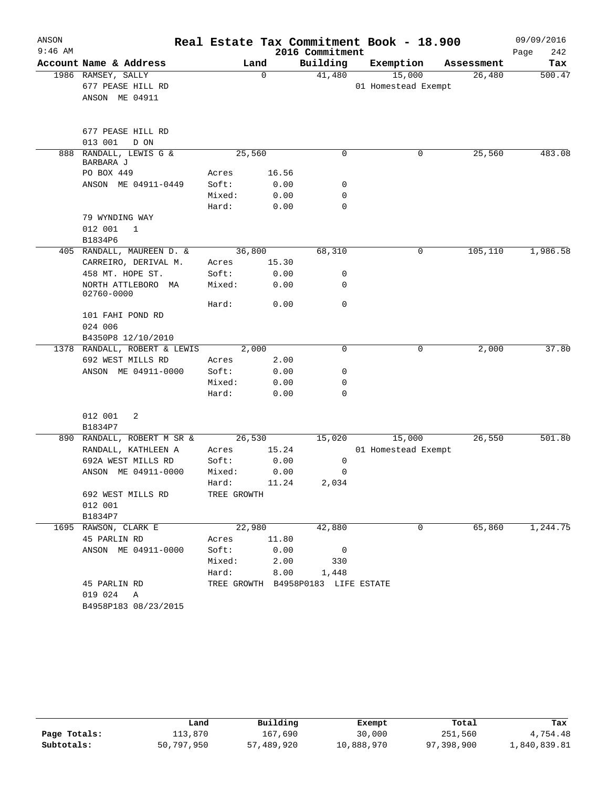| ANSON     |                                     |             |             |                                    | Real Estate Tax Commitment Book - 18.900 |            | 09/09/2016  |
|-----------|-------------------------------------|-------------|-------------|------------------------------------|------------------------------------------|------------|-------------|
| $9:46$ AM |                                     |             |             | 2016 Commitment                    |                                          |            | 242<br>Page |
|           | Account Name & Address              |             | Land        | Building                           | Exemption                                | Assessment | Tax         |
|           | 1986 RAMSEY, SALLY                  |             | $\mathbf 0$ | 41,480                             | 15,000                                   | 26,480     | 500.47      |
|           | 677 PEASE HILL RD                   |             |             |                                    | 01 Homestead Exempt                      |            |             |
|           | ANSON ME 04911                      |             |             |                                    |                                          |            |             |
|           | 677 PEASE HILL RD                   |             |             |                                    |                                          |            |             |
|           | 013 001<br>D ON                     |             |             |                                    |                                          |            |             |
|           | 888 RANDALL, LEWIS G &<br>BARBARA J |             | 25,560      | $\Omega$                           | 0                                        | 25,560     | 483.08      |
|           | PO BOX 449                          | Acres       | 16.56       |                                    |                                          |            |             |
|           | ANSON ME 04911-0449                 | Soft:       | 0.00        | 0                                  |                                          |            |             |
|           |                                     | Mixed:      | 0.00        | 0                                  |                                          |            |             |
|           |                                     | Hard:       | 0.00        | $\Omega$                           |                                          |            |             |
|           | 79 WYNDING WAY                      |             |             |                                    |                                          |            |             |
|           | 012 001<br>$\mathbf 1$              |             |             |                                    |                                          |            |             |
|           | B1834P6                             |             |             |                                    |                                          |            |             |
|           | 405 RANDALL, MAUREEN D. &           |             | 36,800      | 68,310                             | 0                                        | 105,110    | 1,986.58    |
|           | CARREIRO, DERIVAL M.                | Acres       | 15.30       |                                    |                                          |            |             |
|           | 458 MT. HOPE ST.                    | Soft:       | 0.00        | 0                                  |                                          |            |             |
|           | NORTH ATTLEBORO MA<br>02760-0000    | Mixed:      | 0.00        | 0                                  |                                          |            |             |
|           |                                     | Hard:       | 0.00        | 0                                  |                                          |            |             |
|           | 101 FAHI POND RD                    |             |             |                                    |                                          |            |             |
|           | 024 006                             |             |             |                                    |                                          |            |             |
|           | B4350P8 12/10/2010                  |             |             |                                    |                                          |            |             |
|           | 1378 RANDALL, ROBERT & LEWIS        |             | 2,000       | 0                                  | 0                                        | 2,000      | 37.80       |
|           | 692 WEST MILLS RD                   | Acres       | 2.00        |                                    |                                          |            |             |
|           | ANSON ME 04911-0000                 | Soft:       | 0.00        | 0                                  |                                          |            |             |
|           |                                     | Mixed:      | 0.00        | 0                                  |                                          |            |             |
|           |                                     | Hard:       | 0.00        | $\mathbf 0$                        |                                          |            |             |
|           | 012 001<br>2                        |             |             |                                    |                                          |            |             |
|           | B1834P7                             |             |             |                                    |                                          |            |             |
| 890       | RANDALL, ROBERT M SR &              |             | 26,530      | 15,020                             | 15,000                                   | 26,550     | 501.80      |
|           | RANDALL, KATHLEEN A                 | Acres       | 15.24       |                                    | 01 Homestead Exempt                      |            |             |
|           | 692A WEST MILLS RD                  | Soft:       | 0.00        | 0                                  |                                          |            |             |
|           | ANSON ME 04911-0000                 | Mixed:      | 0.00        | 0                                  |                                          |            |             |
|           |                                     | Hard: 11.24 |             | 2,034                              |                                          |            |             |
|           | 692 WEST MILLS RD                   | TREE GROWTH |             |                                    |                                          |            |             |
|           | 012 001                             |             |             |                                    |                                          |            |             |
|           | B1834P7                             |             |             |                                    |                                          |            |             |
|           | 1695 RAWSON, CLARK E                | 22,980      |             | 42,880                             | $\overline{0}$                           | 65,860     | 1,244.75    |
|           | 45 PARLIN RD                        | Acres 11.80 |             |                                    |                                          |            |             |
|           | ANSON ME 04911-0000                 | Soft: 0.00  |             | $\overline{0}$                     |                                          |            |             |
|           |                                     | Mixed: 2.00 |             | 330                                |                                          |            |             |
|           |                                     |             |             | Hard: 8.00 1,448                   |                                          |            |             |
|           | 45 PARLIN RD                        |             |             | TREE GROWTH B4958P0183 LIFE ESTATE |                                          |            |             |
|           | 019 024 A                           |             |             |                                    |                                          |            |             |
|           | B4958P183 08/23/2015                |             |             |                                    |                                          |            |             |

|              | Land       | Building   | Exempt     | Total      | Tax          |
|--------------|------------|------------|------------|------------|--------------|
| Page Totals: | 113,870    | 167,690    | 30,000     | 251,560    | 4,754.48     |
| Subtotals:   | 50,797,950 | 57,489,920 | 10,888,970 | 97,398,900 | 1,840,839.81 |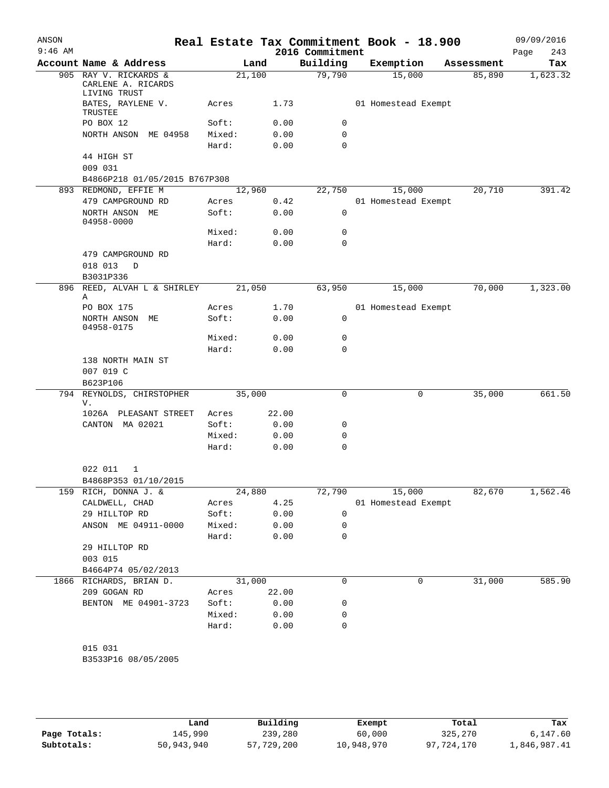| ANSON     |                                                |                 |              |                 | Real Estate Tax Commitment Book - 18.900 |            | 09/09/2016  |
|-----------|------------------------------------------------|-----------------|--------------|-----------------|------------------------------------------|------------|-------------|
| $9:46$ AM |                                                |                 |              | 2016 Commitment |                                          |            | Page<br>243 |
|           | Account Name & Address                         |                 | Land         | Building        | Exemption                                | Assessment | Tax         |
|           | 905 RAY V. RICKARDS &<br>CARLENE A. RICARDS    | 21,100          |              | 79,790          | 15,000                                   | 85,890     | 1,623.32    |
|           | LIVING TRUST<br>BATES, RAYLENE V.<br>TRUSTEE   | Acres           | 1.73         |                 | 01 Homestead Exempt                      |            |             |
|           | PO BOX 12                                      | Soft:           | 0.00         | 0               |                                          |            |             |
|           | NORTH ANSON ME 04958                           | Mixed:          | 0.00         | $\mathbf 0$     |                                          |            |             |
|           |                                                | Hard:           | 0.00         | $\mathbf 0$     |                                          |            |             |
|           | 44 HIGH ST<br>009 031                          |                 |              |                 |                                          |            |             |
|           | B4866P218 01/05/2015 B767P308                  |                 |              |                 |                                          |            |             |
|           | 893 REDMOND, EFFIE M                           | 12,960          |              | 22,750          | 15,000                                   | 20,710     | 391.42      |
|           | 479 CAMPGROUND RD                              | Acres           | 0.42         |                 | 01 Homestead Exempt                      |            |             |
|           | NORTH ANSON ME<br>04958-0000                   | Soft:           | 0.00         | $\mathbf 0$     |                                          |            |             |
|           |                                                | Mixed:          | 0.00         | 0               |                                          |            |             |
|           |                                                | Hard:           | 0.00         | $\Omega$        |                                          |            |             |
|           | 479 CAMPGROUND RD<br>018 013<br>D<br>B3031P336 |                 |              |                 |                                          |            |             |
|           | 896 REED, ALVAH L & SHIRLEY<br>Α               | 21,050          |              | 63,950          | 15,000                                   | 70,000     | 1,323.00    |
|           | PO BOX 175                                     | Acres           | 1.70         |                 | 01 Homestead Exempt                      |            |             |
|           | NORTH ANSON ME<br>04958-0175                   | Soft:           | 0.00         | 0               |                                          |            |             |
|           |                                                | Mixed:          | 0.00         | 0               |                                          |            |             |
|           |                                                | Hard:           | 0.00         | $\Omega$        |                                          |            |             |
|           | 138 NORTH MAIN ST<br>007 019 C<br>B623P106     |                 |              |                 |                                          |            |             |
|           | 794 REYNOLDS, CHIRSTOPHER<br>V.                | 35,000          |              | 0               | $\mathsf{O}$                             | 35,000     | 661.50      |
|           | 1026A PLEASANT STREET                          | Acres           | 22.00        |                 |                                          |            |             |
|           | CANTON MA 02021                                | Soft:           | 0.00         | 0               |                                          |            |             |
|           |                                                | Mixed:          | 0.00         | 0               |                                          |            |             |
|           |                                                | Hard:           | 0.00         | $\mathbf 0$     |                                          |            |             |
|           | 022 011<br>1                                   |                 |              |                 |                                          |            |             |
|           | B4868P353 01/10/2015                           |                 |              |                 |                                          |            |             |
| 159       | RICH, DONNA J. &                               | 24,880          |              | 72,790          | 15,000                                   | 82,670     | 1,562.46    |
|           | CALDWELL, CHAD                                 | Acres           | 4.25         |                 | 01 Homestead Exempt                      |            |             |
|           | 29 HILLTOP RD                                  | Soft:           | 0.00         | 0               |                                          |            |             |
|           | ANSON ME 04911-0000                            | Mixed:<br>Hard: | 0.00<br>0.00 | 0<br>0          |                                          |            |             |
|           | 29 HILLTOP RD                                  |                 |              |                 |                                          |            |             |
|           | 003 015                                        |                 |              |                 |                                          |            |             |
|           | B4664P74 05/02/2013                            |                 |              |                 |                                          |            |             |
|           | 1866 RICHARDS, BRIAN D.                        | 31,000          |              | 0               | 0                                        | 31,000     | 585.90      |
|           | 209 GOGAN RD                                   | Acres           | 22.00        |                 |                                          |            |             |
|           | BENTON ME 04901-3723                           | Soft:           | 0.00         | 0               |                                          |            |             |
|           |                                                | Mixed:          | 0.00         | 0               |                                          |            |             |
|           |                                                | Hard:           | 0.00         | 0               |                                          |            |             |
|           | 015 031                                        |                 |              |                 |                                          |            |             |
|           | B3533P16 08/05/2005                            |                 |              |                 |                                          |            |             |
|           |                                                |                 |              |                 |                                          |            |             |

|              | Land       | Building   | Exempt     | Total      | Tax          |
|--------------|------------|------------|------------|------------|--------------|
| Page Totals: | 145,990    | 239,280    | 60,000     | 325,270    | 6,147.60     |
| Subtotals:   | 50,943,940 | 57,729,200 | 10,948,970 | 97,724,170 | 1,846,987.41 |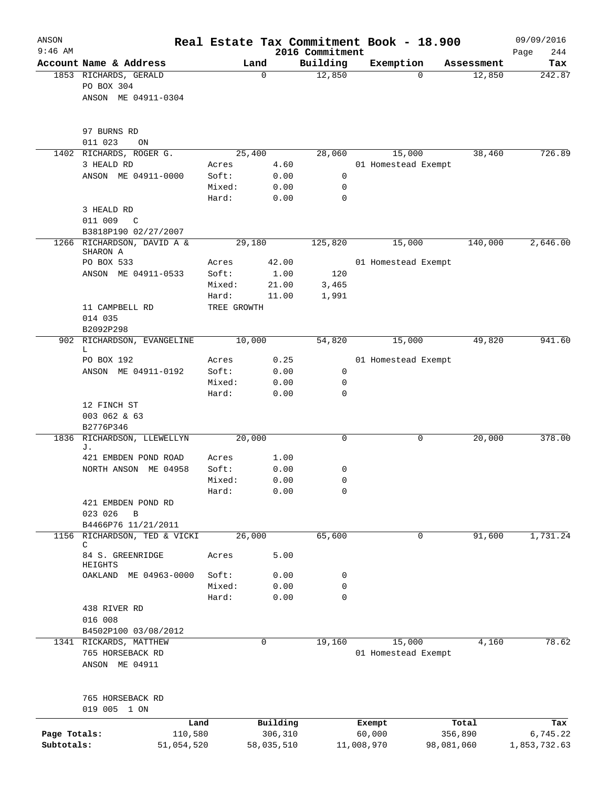| ANSON<br>$9:46$ AM         |                                                               |                      |                       |                             | Real Estate Tax Commitment Book - 18.900 |            | 09/09/2016               |
|----------------------------|---------------------------------------------------------------|----------------------|-----------------------|-----------------------------|------------------------------------------|------------|--------------------------|
|                            | Account Name & Address                                        |                      | Land                  | 2016 Commitment<br>Building | Exemption                                | Assessment | 244<br>Page<br>Tax       |
|                            | 1853 RICHARDS, GERALD<br>PO BOX 304<br>ANSON ME 04911-0304    |                      | 0                     | 12,850                      | $\Omega$                                 | 12,850     | 242.87                   |
|                            | 97 BURNS RD<br>011 023<br>ON                                  |                      |                       |                             |                                          |            |                          |
| 1402                       | RICHARDS, ROGER G.                                            |                      | 25,400                | 28,060                      | 15,000                                   | 38,460     | 726.89                   |
|                            | 3 HEALD RD                                                    | Acres                | 4.60                  |                             | 01 Homestead Exempt                      |            |                          |
|                            | ANSON ME 04911-0000                                           | Soft:                | 0.00                  | 0                           |                                          |            |                          |
|                            |                                                               | Mixed:               | 0.00                  | 0                           |                                          |            |                          |
|                            |                                                               | Hard:                | 0.00                  | $\mathbf 0$                 |                                          |            |                          |
|                            | 3 HEALD RD<br>011 009<br>$\mathbb{C}$<br>B3818P190 02/27/2007 |                      |                       |                             |                                          |            |                          |
|                            | 1266 RICHARDSON, DAVID A &                                    |                      | 29,180                | 125,820                     | 15,000                                   | 140,000    | 2,646.00                 |
|                            | SHARON A                                                      |                      |                       |                             |                                          |            |                          |
|                            | PO BOX 533                                                    | Acres                | 42.00                 |                             | 01 Homestead Exempt                      |            |                          |
|                            | ANSON ME 04911-0533                                           | Soft:                | 1.00                  | 120                         |                                          |            |                          |
|                            |                                                               | Mixed:               | 21.00                 | 3,465                       |                                          |            |                          |
|                            | 11 CAMPBELL RD                                                | Hard:<br>TREE GROWTH | 11.00                 | 1,991                       |                                          |            |                          |
|                            | 014 035                                                       |                      |                       |                             |                                          |            |                          |
|                            | B2092P298<br>902 RICHARDSON, EVANGELINE                       |                      | 10,000                | 54,820                      | 15,000                                   | 49,820     | 941.60                   |
|                            | L                                                             |                      |                       |                             |                                          |            |                          |
|                            | PO BOX 192                                                    | Acres                | 0.25                  |                             | 01 Homestead Exempt                      |            |                          |
|                            | ANSON ME 04911-0192                                           | Soft:                | 0.00                  | 0                           |                                          |            |                          |
|                            |                                                               | Mixed:               | 0.00                  | 0                           |                                          |            |                          |
|                            | 12 FINCH ST                                                   | Hard:                | 0.00                  | $\mathbf 0$                 |                                          |            |                          |
|                            | 003 062 & 63<br>B2776P346                                     |                      |                       |                             |                                          |            |                          |
| 1836                       | RICHARDSON, LLEWELLYN                                         |                      | 20,000                |                             | 0                                        | 20,000     | 378.00                   |
|                            | J.                                                            |                      |                       |                             |                                          |            |                          |
|                            | 421 EMBDEN POND ROAD                                          | Acres                | 1.00                  |                             |                                          |            |                          |
|                            | NORTH ANSON<br>ME 04958                                       | Soft:                | 0.00<br>0.00          | 0<br>$\mathbf 0$            |                                          |            |                          |
|                            |                                                               | Mixed:<br>Hard:      | 0.00                  | 0                           |                                          |            |                          |
|                            | 421 EMBDEN POND RD                                            |                      |                       |                             |                                          |            |                          |
|                            | 023 026<br>B                                                  |                      |                       |                             |                                          |            |                          |
|                            | B4466P76 11/21/2011                                           |                      |                       |                             |                                          |            |                          |
|                            | 1156 RICHARDSON, TED & VICKI                                  |                      | 26,000                | 65,600                      | 0                                        | 91,600     | 1,731.24                 |
|                            | C<br>84 S. GREENRIDGE                                         | Acres                | 5.00                  |                             |                                          |            |                          |
|                            | HEIGHTS<br>OAKLAND<br>ME 04963-0000                           | Soft:                | 0.00                  | 0                           |                                          |            |                          |
|                            |                                                               | Mixed:               | 0.00                  | 0                           |                                          |            |                          |
|                            |                                                               | Hard:                | 0.00                  | $\mathbf 0$                 |                                          |            |                          |
|                            | 438 RIVER RD                                                  |                      |                       |                             |                                          |            |                          |
|                            | 016 008                                                       |                      |                       |                             |                                          |            |                          |
|                            | B4502P100 03/08/2012                                          |                      |                       |                             |                                          |            |                          |
|                            | 1341 RICKARDS, MATTHEW<br>765 HORSEBACK RD<br>ANSON ME 04911  |                      | $\mathbf 0$           | 19,160                      | 15,000<br>01 Homestead Exempt            | 4,160      | 78.62                    |
|                            | 765 HORSEBACK RD<br>019 005 1 ON                              |                      |                       |                             |                                          |            |                          |
|                            |                                                               | Land                 | Building              |                             | Exempt                                   | Total      | Tax                      |
| Page Totals:<br>Subtotals: | 110,580<br>51,054,520                                         |                      | 306,310<br>58,035,510 |                             | 60,000<br>11,008,970<br>98,081,060       | 356,890    | 6,745.22<br>1,853,732.63 |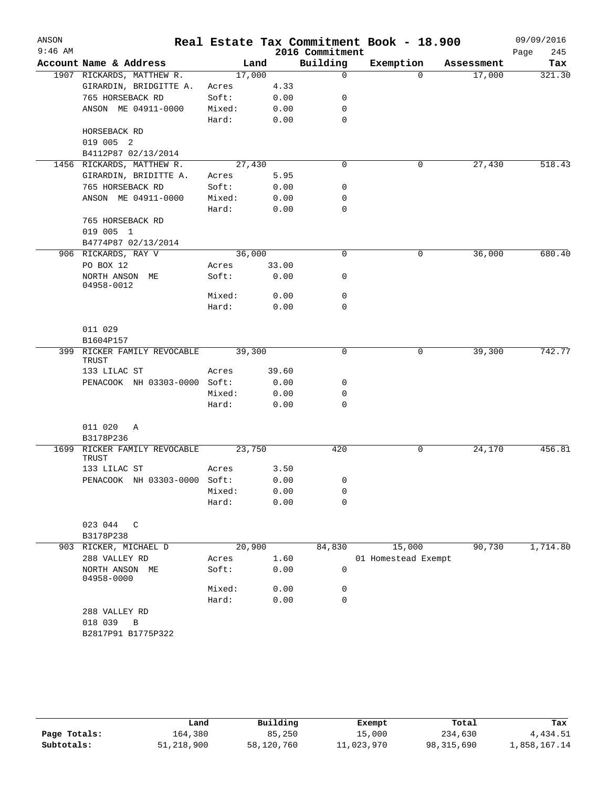| ANSON<br>$9:46$ AM |                                             |        |       | 2016 Commitment | Real Estate Tax Commitment Book - 18.900 |            | 09/09/2016<br>245<br>Page |
|--------------------|---------------------------------------------|--------|-------|-----------------|------------------------------------------|------------|---------------------------|
|                    | Account Name & Address                      |        | Land  | Building        | Exemption                                | Assessment | Tax                       |
|                    | 1907 RICKARDS, MATTHEW R.                   | 17,000 |       | $\mathbf 0$     | $\Omega$                                 | 17,000     | 321.30                    |
|                    | GIRARDIN, BRIDGITTE A.                      | Acres  | 4.33  |                 |                                          |            |                           |
|                    | 765 HORSEBACK RD                            | Soft:  | 0.00  | 0               |                                          |            |                           |
|                    | ANSON ME 04911-0000                         | Mixed: | 0.00  | 0               |                                          |            |                           |
|                    |                                             | Hard:  | 0.00  | $\mathbf 0$     |                                          |            |                           |
|                    | HORSEBACK RD                                |        |       |                 |                                          |            |                           |
|                    | 019 005 2                                   |        |       |                 |                                          |            |                           |
|                    | B4112P87 02/13/2014                         |        |       |                 |                                          |            |                           |
|                    | 1456 RICKARDS, MATTHEW R.                   | 27,430 |       | $\mathbf 0$     | 0                                        | 27,430     | 518.43                    |
|                    | GIRARDIN, BRIDITTE A.                       | Acres  | 5.95  |                 |                                          |            |                           |
|                    | 765 HORSEBACK RD                            | Soft:  | 0.00  | 0               |                                          |            |                           |
|                    | ANSON ME 04911-0000                         | Mixed: | 0.00  | 0               |                                          |            |                           |
|                    |                                             | Hard:  | 0.00  | $\mathbf 0$     |                                          |            |                           |
|                    | 765 HORSEBACK RD                            |        |       |                 |                                          |            |                           |
|                    | 019 005 1                                   |        |       |                 |                                          |            |                           |
|                    | B4774P87 02/13/2014                         |        |       |                 |                                          |            |                           |
|                    | 906 RICKARDS, RAY V                         | 36,000 |       | 0               | 0                                        | 36,000     | 680.40                    |
|                    | PO BOX 12                                   | Acres  | 33.00 |                 |                                          |            |                           |
|                    | NORTH ANSON ME                              | Soft:  | 0.00  | 0               |                                          |            |                           |
|                    | 04958-0012                                  |        |       |                 |                                          |            |                           |
|                    |                                             | Mixed: | 0.00  | 0               |                                          |            |                           |
|                    |                                             | Hard:  | 0.00  | 0               |                                          |            |                           |
|                    |                                             |        |       |                 |                                          |            |                           |
|                    | 011 029                                     |        |       |                 |                                          |            |                           |
|                    | B1604P157                                   |        |       |                 |                                          |            |                           |
|                    | 399 RICKER FAMILY REVOCABLE<br><b>TRUST</b> | 39,300 |       | 0               | 0                                        | 39,300     | 742.77                    |
|                    | 133 LILAC ST                                | Acres  | 39.60 |                 |                                          |            |                           |
|                    | PENACOOK NH 03303-0000 Soft:                |        | 0.00  | 0               |                                          |            |                           |
|                    |                                             | Mixed: | 0.00  | 0               |                                          |            |                           |
|                    |                                             | Hard:  | 0.00  | 0               |                                          |            |                           |
|                    |                                             |        |       |                 |                                          |            |                           |
|                    | 011 020<br>Α                                |        |       |                 |                                          |            |                           |
|                    | B3178P236                                   |        |       |                 |                                          |            |                           |
| 1699               | RICKER FAMILY REVOCABLE                     | 23,750 |       | 420             | 0                                        | 24,170     | 456.81                    |
|                    | TRUST                                       |        |       |                 |                                          |            |                           |
|                    | 133 LILAC ST                                | Acres  | 3.50  |                 |                                          |            |                           |
|                    | PENACOOK NH 03303-0000 Soft:                |        | 0.00  | 0               |                                          |            |                           |
|                    |                                             | Mixed: | 0.00  | 0               |                                          |            |                           |
|                    |                                             | Hard:  | 0.00  | 0               |                                          |            |                           |
|                    |                                             |        |       |                 |                                          |            |                           |
|                    | 023 044<br>$\mathbb{C}$                     |        |       |                 |                                          |            |                           |
|                    | B3178P238                                   |        |       |                 |                                          |            |                           |
|                    | 903 RICKER, MICHAEL D                       | 20,900 |       | 84,830          | 15,000                                   | 90,730     | 1,714.80                  |
|                    | 288 VALLEY RD                               | Acres  | 1.60  |                 | 01 Homestead Exempt                      |            |                           |
|                    | NORTH ANSON ME<br>04958-0000                | Soft:  | 0.00  | 0               |                                          |            |                           |
|                    |                                             | Mixed: | 0.00  | 0               |                                          |            |                           |
|                    |                                             | Hard:  | 0.00  | 0               |                                          |            |                           |
|                    | 288 VALLEY RD                               |        |       |                 |                                          |            |                           |
|                    | 018 039<br>B                                |        |       |                 |                                          |            |                           |
|                    | B2817P91 B1775P322                          |        |       |                 |                                          |            |                           |
|                    |                                             |        |       |                 |                                          |            |                           |
|                    |                                             |        |       |                 |                                          |            |                           |

|              | Land       | Building   | Exempt     | Total        | Tax          |
|--------------|------------|------------|------------|--------------|--------------|
| Page Totals: | 164,380    | 85,250     | 15,000     | 234,630      | 4,434.51     |
| Subtotals:   | 51,218,900 | 58,120,760 | 11,023,970 | 98, 315, 690 | 1,858,167.14 |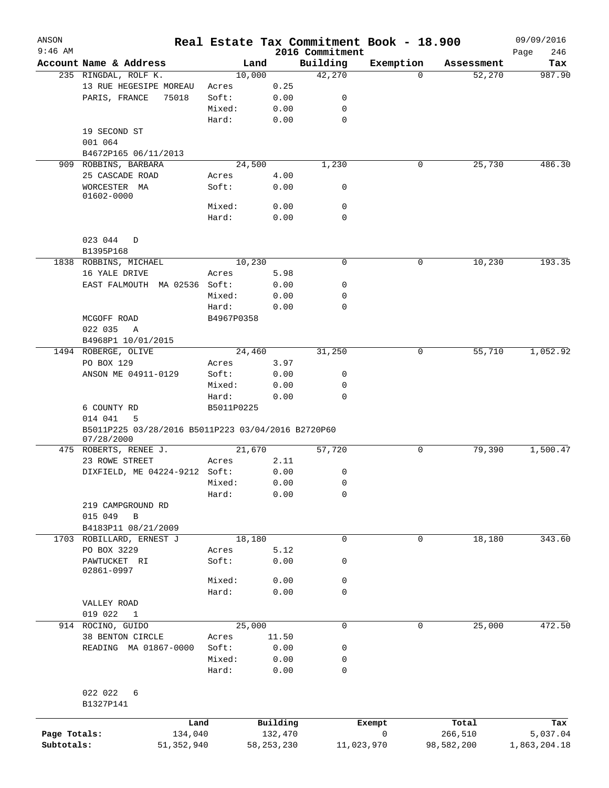| ANSON<br>$9:46$ AM |                                                    |            |              |                             | Real Estate Tax Commitment Book - 18.900 |            | 09/09/2016    |
|--------------------|----------------------------------------------------|------------|--------------|-----------------------------|------------------------------------------|------------|---------------|
|                    | Account Name & Address                             |            |              | 2016 Commitment<br>Building |                                          |            | Page<br>246   |
|                    |                                                    | Land       |              |                             | Exemption                                | Assessment | Tax<br>987.90 |
|                    | 235 RINGDAL, ROLF K.                               | 10,000     |              | 42,270                      | 0                                        | 52,270     |               |
|                    | 13 RUE HEGESIPE MOREAU                             | Acres      | 0.25         |                             |                                          |            |               |
|                    | PARIS, FRANCE<br>75018                             | Soft:      | 0.00         | 0                           |                                          |            |               |
|                    |                                                    | Mixed:     | 0.00         | 0                           |                                          |            |               |
|                    |                                                    | Hard:      | 0.00         | $\mathbf 0$                 |                                          |            |               |
|                    | 19 SECOND ST                                       |            |              |                             |                                          |            |               |
|                    | 001 064                                            |            |              |                             |                                          |            |               |
|                    | B4672P165 06/11/2013                               |            |              |                             |                                          |            |               |
|                    | 909 ROBBINS, BARBARA                               | 24,500     |              | 1,230                       | 0                                        | 25,730     | 486.30        |
|                    | 25 CASCADE ROAD                                    | Acres      | 4.00         |                             |                                          |            |               |
|                    | WORCESTER MA                                       | Soft:      | 0.00         | 0                           |                                          |            |               |
|                    | 01602-0000                                         |            |              |                             |                                          |            |               |
|                    |                                                    | Mixed:     | 0.00         | $\mathbf 0$                 |                                          |            |               |
|                    |                                                    | Hard:      | 0.00         | 0                           |                                          |            |               |
|                    |                                                    |            |              |                             |                                          |            |               |
|                    | 023 044<br>D                                       |            |              |                             |                                          |            |               |
|                    | B1395P168                                          |            |              |                             |                                          |            |               |
|                    | 1838 ROBBINS, MICHAEL                              | 10,230     |              | 0                           | 0                                        | 10,230     | 193.35        |
|                    | 16 YALE DRIVE                                      | Acres      | 5.98         |                             |                                          |            |               |
|                    | EAST FALMOUTH MA 02536 Soft:                       |            | 0.00         | 0                           |                                          |            |               |
|                    |                                                    | Mixed:     | 0.00         | 0                           |                                          |            |               |
|                    |                                                    | Hard:      | 0.00         | 0                           |                                          |            |               |
|                    | MCGOFF ROAD                                        | B4967P0358 |              |                             |                                          |            |               |
|                    | 022 035<br>A                                       |            |              |                             |                                          |            |               |
|                    | B4968P1 10/01/2015                                 |            |              |                             |                                          |            |               |
|                    | 1494 ROBERGE, OLIVE                                | 24,460     |              | 31,250                      | 0                                        | 55,710     | 1,052.92      |
|                    | PO BOX 129                                         | Acres      | 3.97         |                             |                                          |            |               |
|                    | ANSON ME 04911-0129                                | Soft:      | 0.00         | 0                           |                                          |            |               |
|                    |                                                    | Mixed:     | 0.00         | 0                           |                                          |            |               |
|                    |                                                    | Hard:      | 0.00         | 0                           |                                          |            |               |
|                    | 6 COUNTY RD                                        | B5011P0225 |              |                             |                                          |            |               |
|                    | 014 041<br>5                                       |            |              |                             |                                          |            |               |
|                    | B5011P225 03/28/2016 B5011P223 03/04/2016 B2720P60 |            |              |                             |                                          |            |               |
|                    | 07/28/2000                                         |            |              |                             |                                          |            |               |
|                    | 475 ROBERTS, RENEE J.                              | 21,670     |              | 57,720                      | 0                                        | 79,390     | 1,500.47      |
|                    | 23 ROWE STREET                                     | Acres      | 2.11         |                             |                                          |            |               |
|                    | DIXFIELD, ME 04224-9212 Soft:                      |            | 0.00         | 0                           |                                          |            |               |
|                    |                                                    | Mixed:     | 0.00         | 0                           |                                          |            |               |
|                    |                                                    | Hard:      | 0.00         | 0                           |                                          |            |               |
|                    | 219 CAMPGROUND RD                                  |            |              |                             |                                          |            |               |
|                    | 015 049<br>B                                       |            |              |                             |                                          |            |               |
|                    | B4183P11 08/21/2009                                |            |              |                             |                                          |            |               |
|                    | 1703 ROBILLARD, ERNEST J                           | 18,180     |              | $\mathbf 0$                 | $\mathbf 0$                              | 18,180     | 343.60        |
|                    | PO BOX 3229                                        | Acres      | 5.12         |                             |                                          |            |               |
|                    | PAWTUCKET RI                                       | Soft:      | 0.00         | 0                           |                                          |            |               |
|                    | 02861-0997                                         |            |              |                             |                                          |            |               |
|                    |                                                    | Mixed:     | 0.00         | 0                           |                                          |            |               |
|                    |                                                    | Hard:      | 0.00         | 0                           |                                          |            |               |
|                    | VALLEY ROAD                                        |            |              |                             |                                          |            |               |
|                    | 019 022<br>$\mathbf{1}$                            |            |              |                             |                                          |            |               |
|                    | 914 ROCINO, GUIDO                                  | 25,000     |              | $\mathbf 0$                 | 0                                        | 25,000     | 472.50        |
|                    | 38 BENTON CIRCLE                                   | Acres      | 11.50        |                             |                                          |            |               |
|                    | READING MA 01867-0000                              | Soft:      | 0.00         | 0                           |                                          |            |               |
|                    |                                                    | Mixed:     |              |                             |                                          |            |               |
|                    |                                                    | Hard:      | 0.00         | 0<br>0                      |                                          |            |               |
|                    |                                                    |            | 0.00         |                             |                                          |            |               |
|                    |                                                    |            |              |                             |                                          |            |               |
|                    | 022 022<br>6                                       |            |              |                             |                                          |            |               |
|                    | B1327P141                                          |            |              |                             |                                          |            |               |
|                    |                                                    | Land       | Building     |                             | Exempt                                   | Total      | Tax           |
| Page Totals:       | 134,040                                            |            | 132,470      |                             | 0                                        | 266,510    | 5,037.04      |
| Subtotals:         | 51, 352, 940                                       |            | 58, 253, 230 | 11,023,970                  |                                          | 98,582,200 | 1,863,204.18  |
|                    |                                                    |            |              |                             |                                          |            |               |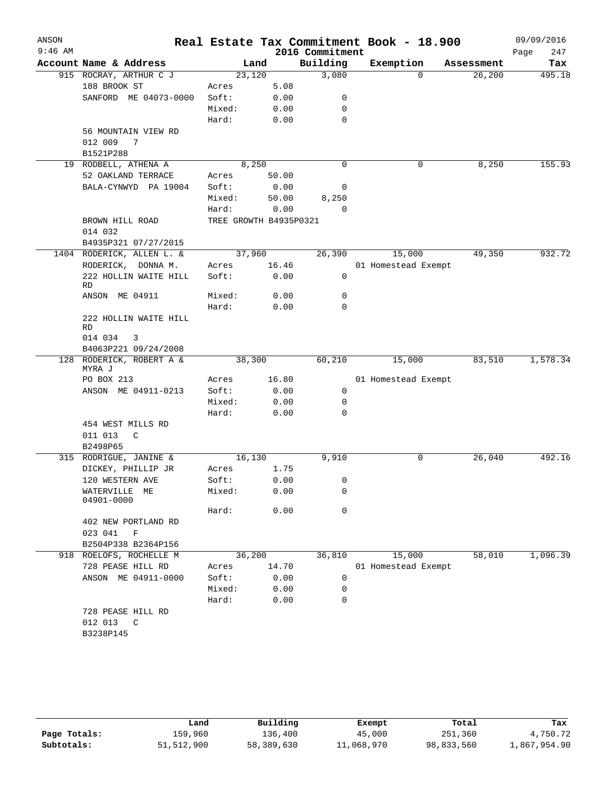| ANSON<br>$9:46$ AM |                                                  |                        |       |                             | Real Estate Tax Commitment Book - 18.900 |                       | 09/09/2016    |
|--------------------|--------------------------------------------------|------------------------|-------|-----------------------------|------------------------------------------|-----------------------|---------------|
|                    | Account Name & Address                           |                        |       | 2016 Commitment<br>Building |                                          |                       | 247<br>Page   |
|                    | 915 ROCRAY, ARTHUR C J                           | 23,120                 | Land  | 3,080                       | Exemption<br>$\Omega$                    | Assessment<br>26, 200 | Tax<br>495.18 |
|                    | 188 BROOK ST                                     | Acres                  | 5.08  |                             |                                          |                       |               |
|                    | SANFORD ME 04073-0000                            | Soft:                  | 0.00  | 0                           |                                          |                       |               |
|                    |                                                  | Mixed:                 | 0.00  | 0                           |                                          |                       |               |
|                    |                                                  | Hard:                  | 0.00  | 0                           |                                          |                       |               |
|                    | 56 MOUNTAIN VIEW RD                              |                        |       |                             |                                          |                       |               |
|                    | 012 009<br>$\overline{7}$                        |                        |       |                             |                                          |                       |               |
|                    | B1521P288                                        |                        |       |                             |                                          |                       |               |
|                    | 19 RODBELL, ATHENA A                             | 8,250                  |       | $\mathbf 0$                 | 0                                        | 8,250                 | 155.93        |
|                    | 52 OAKLAND TERRACE                               | Acres                  | 50.00 |                             |                                          |                       |               |
|                    | BALA-CYNWYD PA 19004                             | Soft:                  | 0.00  | 0                           |                                          |                       |               |
|                    |                                                  | Mixed:                 | 50.00 | 8,250                       |                                          |                       |               |
|                    |                                                  | Hard:                  | 0.00  | $\Omega$                    |                                          |                       |               |
|                    | BROWN HILL ROAD                                  | TREE GROWTH B4935P0321 |       |                             |                                          |                       |               |
|                    | 014 032                                          |                        |       |                             |                                          |                       |               |
|                    | B4935P321 07/27/2015                             |                        |       |                             |                                          |                       |               |
|                    | 1404 RODERICK, ALLEN L. &                        | 37,960                 |       | 26,390                      | 15,000                                   | 49,350                | 932.72        |
|                    | RODERICK, DONNA M.                               | Acres                  | 16.46 |                             | 01 Homestead Exempt                      |                       |               |
|                    | 222 HOLLIN WAITE HILL                            | Soft:                  | 0.00  | 0                           |                                          |                       |               |
|                    | RD                                               |                        |       |                             |                                          |                       |               |
|                    | ANSON ME 04911                                   | Mixed:                 | 0.00  | 0                           |                                          |                       |               |
|                    |                                                  | Hard:                  | 0.00  | 0                           |                                          |                       |               |
|                    | 222 HOLLIN WAITE HILL                            |                        |       |                             |                                          |                       |               |
|                    | <b>RD</b>                                        |                        |       |                             |                                          |                       |               |
|                    | 014 034<br>3                                     |                        |       |                             |                                          |                       |               |
|                    | B4063P221 09/24/2008<br>128 RODERICK, ROBERT A & | 38,300                 |       | 60,210                      | 15,000                                   | 83,510                | 1,578.34      |
|                    | MYRA J                                           |                        |       |                             |                                          |                       |               |
|                    | PO BOX 213                                       | Acres                  | 16.80 |                             | 01 Homestead Exempt                      |                       |               |
|                    | ANSON ME 04911-0213                              | Soft:                  | 0.00  | $\mathbf 0$                 |                                          |                       |               |
|                    |                                                  | Mixed:                 | 0.00  | 0                           |                                          |                       |               |
|                    |                                                  | Hard:                  | 0.00  | 0                           |                                          |                       |               |
|                    | 454 WEST MILLS RD                                |                        |       |                             |                                          |                       |               |
|                    | 011 013<br>C                                     |                        |       |                             |                                          |                       |               |
|                    | B2498P65                                         |                        |       |                             |                                          |                       |               |
|                    | 315 RODRIGUE, JANINE &                           | 16,130                 |       | 9,910                       | 0                                        | 26,040                | 492.16        |
|                    | DICKEY, PHILLIP JR                               | Acres                  | 1.75  |                             |                                          |                       |               |
|                    | 120 WESTERN AVE                                  | Soft:                  | 0.00  | 0                           |                                          |                       |               |
|                    | WATERVILLE<br>ME                                 | Mixed:                 | 0.00  | 0                           |                                          |                       |               |
|                    | 04901-0000                                       |                        |       |                             |                                          |                       |               |
|                    |                                                  | Hard:                  | 0.00  | $\mathbf 0$                 |                                          |                       |               |
|                    | 402 NEW PORTLAND RD                              |                        |       |                             |                                          |                       |               |
|                    | 023 041<br>$\mathbf F$                           |                        |       |                             |                                          |                       |               |
|                    | B2504P338 B2364P156                              |                        |       |                             |                                          |                       |               |
|                    | 918 ROELOFS, ROCHELLE M                          | 36,200                 |       | 36,810                      | 15,000                                   | 58,010                | 1,096.39      |
|                    | 728 PEASE HILL RD                                | Acres                  | 14.70 |                             | 01 Homestead Exempt                      |                       |               |
|                    | ANSON ME 04911-0000                              | Soft:                  | 0.00  | 0                           |                                          |                       |               |
|                    |                                                  | Mixed:                 | 0.00  | 0                           |                                          |                       |               |
|                    |                                                  | Hard:                  | 0.00  | 0                           |                                          |                       |               |
|                    | 728 PEASE HILL RD                                |                        |       |                             |                                          |                       |               |
|                    |                                                  |                        |       |                             |                                          |                       |               |
|                    | 012 013<br>$\mathbb{C}$<br>B3238P145             |                        |       |                             |                                          |                       |               |

|              | Land       | Building   | Exempt     | Total      | Tax          |
|--------------|------------|------------|------------|------------|--------------|
| Page Totals: | 159.960    | 136,400    | 45,000     | 251,360    | 4,750.72     |
| Subtotals:   | 51,512,900 | 58,389,630 | 11,068,970 | 98,833,560 | 1,867,954.90 |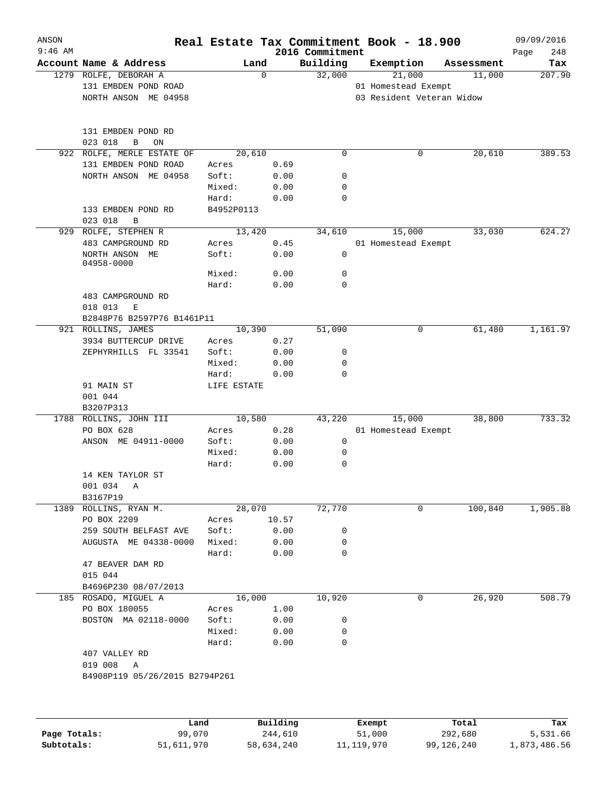| ANSON        |                                     |             |          |                             | Real Estate Tax Commitment Book - 18.900 |                      | 09/09/2016         |
|--------------|-------------------------------------|-------------|----------|-----------------------------|------------------------------------------|----------------------|--------------------|
| $9:46$ AM    | Account Name & Address              | Land        |          | 2016 Commitment<br>Building | Exemption                                |                      | 248<br>Page<br>Tax |
|              | 1279 ROLFE, DEBORAH A               |             | 0        | 32,000                      | 21,000                                   | Assessment<br>11,000 | 207.90             |
|              | 131 EMBDEN POND ROAD                |             |          |                             | 01 Homestead Exempt                      |                      |                    |
|              | NORTH ANSON ME 04958                |             |          |                             | 03 Resident Veteran Widow                |                      |                    |
|              |                                     |             |          |                             |                                          |                      |                    |
|              |                                     |             |          |                             |                                          |                      |                    |
|              | 131 EMBDEN POND RD                  |             |          |                             |                                          |                      |                    |
|              | 023 018<br>$\, {\bf B}$<br>ON       |             |          |                             |                                          |                      |                    |
| 922          | ROLFE, MERLE ESTATE OF              | 20,610      |          | $\mathbf 0$                 | 0                                        | 20,610               | 389.53             |
|              | 131 EMBDEN POND ROAD                | Acres       | 0.69     |                             |                                          |                      |                    |
|              | NORTH ANSON ME 04958                | Soft:       | 0.00     | 0                           |                                          |                      |                    |
|              |                                     | Mixed:      | 0.00     | 0                           |                                          |                      |                    |
|              |                                     | Hard:       | 0.00     | $\mathbf 0$                 |                                          |                      |                    |
|              | 133 EMBDEN POND RD                  | B4952P0113  |          |                             |                                          |                      |                    |
|              | 023 018<br>$\, {\bf B}$             |             |          |                             |                                          |                      |                    |
|              | 929 ROLFE, STEPHEN R                | 13,420      |          | 34,610                      | 15,000                                   | 33,030               | 624.27             |
|              | 483 CAMPGROUND RD                   | Acres       | 0.45     |                             | 01 Homestead Exempt                      |                      |                    |
|              | NORTH ANSON ME                      | Soft:       | 0.00     | $\mathbf 0$                 |                                          |                      |                    |
|              | 04958-0000                          |             |          |                             |                                          |                      |                    |
|              |                                     | Mixed:      | 0.00     | 0                           |                                          |                      |                    |
|              |                                     | Hard:       | 0.00     | $\mathbf 0$                 |                                          |                      |                    |
|              | 483 CAMPGROUND RD                   |             |          |                             |                                          |                      |                    |
|              | 018 013<br>Е                        |             |          |                             |                                          |                      |                    |
|              | B2848P76 B2597P76 B1461P11          |             |          |                             |                                          |                      |                    |
|              | 921 ROLLINS, JAMES                  | 10,390      |          | 51,090                      | 0                                        | 61,480               | 1,161.97           |
|              | 3934 BUTTERCUP DRIVE                | Acres       | 0.27     |                             |                                          |                      |                    |
|              | ZEPHYRHILLS FL 33541                | Soft:       | 0.00     | 0                           |                                          |                      |                    |
|              |                                     | Mixed:      | 0.00     | $\mathbf 0$                 |                                          |                      |                    |
|              |                                     | Hard:       | 0.00     | $\mathbf 0$                 |                                          |                      |                    |
|              | 91 MAIN ST                          | LIFE ESTATE |          |                             |                                          |                      |                    |
|              | 001 044                             |             |          |                             |                                          |                      |                    |
|              | B3207P313<br>1788 ROLLINS, JOHN III | 10,580      |          | 43,220                      | 15,000                                   | 38,800               | 733.32             |
|              | PO BOX 628                          | Acres       | 0.28     |                             | 01 Homestead Exempt                      |                      |                    |
|              | ANSON ME 04911-0000                 | Soft:       | 0.00     | 0                           |                                          |                      |                    |
|              |                                     | Mixed:      | 0.00     | 0                           |                                          |                      |                    |
|              |                                     | Hard:       | 0.00     | $\mathbf 0$                 |                                          |                      |                    |
|              | 14 KEN TAYLOR ST                    |             |          |                             |                                          |                      |                    |
|              | 001 034                             |             |          |                             |                                          |                      |                    |
|              | Α<br>B3167P19                       |             |          |                             |                                          |                      |                    |
|              | 1389 ROLLINS, RYAN M.               | 28,070      |          | 72,770                      | 0                                        | 100,840              | 1,905.88           |
|              | PO BOX 2209                         | Acres       | 10.57    |                             |                                          |                      |                    |
|              | 259 SOUTH BELFAST AVE               | Soft:       | 0.00     | 0                           |                                          |                      |                    |
|              | AUGUSTA ME 04338-0000               | Mixed:      | 0.00     | 0                           |                                          |                      |                    |
|              |                                     | Hard:       | 0.00     | 0                           |                                          |                      |                    |
|              | 47 BEAVER DAM RD                    |             |          |                             |                                          |                      |                    |
|              | 015 044                             |             |          |                             |                                          |                      |                    |
|              | B4696P230 08/07/2013                |             |          |                             |                                          |                      |                    |
|              | 185 ROSADO, MIGUEL A                | 16,000      |          | 10,920                      | 0                                        | 26,920               | 508.79             |
|              | PO BOX 180055                       | Acres       | 1.00     |                             |                                          |                      |                    |
|              | BOSTON MA 02118-0000                | Soft:       | 0.00     | 0                           |                                          |                      |                    |
|              |                                     | Mixed:      | 0.00     | 0                           |                                          |                      |                    |
|              |                                     | Hard:       | 0.00     | 0                           |                                          |                      |                    |
|              | 407 VALLEY RD                       |             |          |                             |                                          |                      |                    |
|              | 019 008<br>Α                        |             |          |                             |                                          |                      |                    |
|              | B4908P119 05/26/2015 B2794P261      |             |          |                             |                                          |                      |                    |
|              |                                     |             |          |                             |                                          |                      |                    |
|              |                                     |             |          |                             |                                          |                      |                    |
|              |                                     | Land        | Building |                             | Exempt                                   | Total                | Tax                |
| Page Totals: | 99,070                              |             | 244,610  |                             | 51,000                                   | 292,680              | 5,531.66           |

**Subtotals:** 51,611,970 58,634,240 11,119,970 99,126,240 1,873,486.56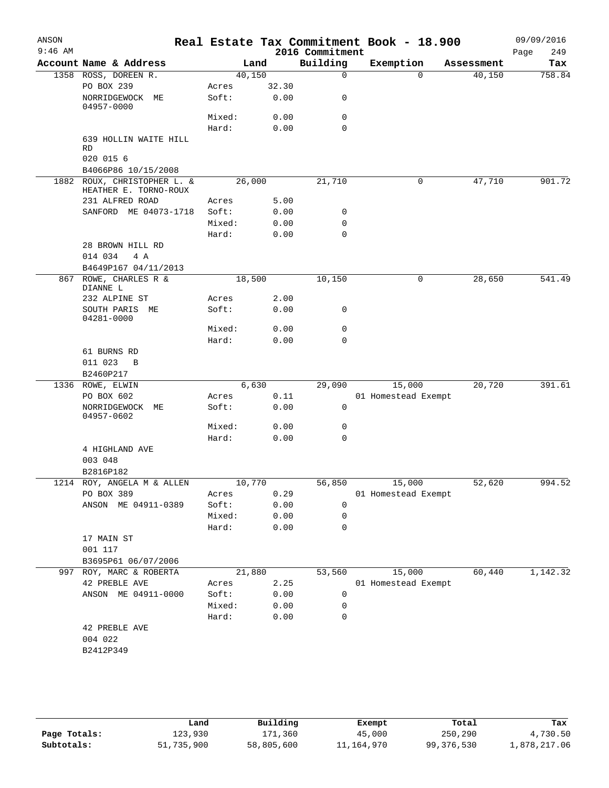| ANSON<br>$9:46$ AM |                                               |                |              | 2016 Commitment | Real Estate Tax Commitment Book - 18.900 |            | 09/09/2016<br>Page<br>249 |
|--------------------|-----------------------------------------------|----------------|--------------|-----------------|------------------------------------------|------------|---------------------------|
|                    | Account Name & Address                        |                | Land         | Building        | Exemption                                | Assessment | Tax                       |
|                    | 1358 ROSS, DOREEN R.                          |                | 40,150       | 0               | 0                                        | 40,150     | 758.84                    |
|                    | PO BOX 239                                    | Acres          | 32.30        |                 |                                          |            |                           |
|                    | NORRIDGEWOCK<br>MЕ<br>04957-0000              | Soft:          | 0.00         | 0               |                                          |            |                           |
|                    |                                               | Mixed:         | 0.00         | 0               |                                          |            |                           |
|                    |                                               | Hard:          | 0.00         | 0               |                                          |            |                           |
|                    | 639 HOLLIN WAITE HILL<br>RD                   |                |              |                 |                                          |            |                           |
|                    | 020 015 6                                     |                |              |                 |                                          |            |                           |
| 1882               | B4066P86 10/15/2008<br>ROUX, CHRISTOPHER L. & |                | 26,000       | 21,710          | 0                                        | 47,710     | 901.72                    |
|                    | HEATHER E. TORNO-ROUX<br>231 ALFRED ROAD      | Acres          | 5.00         |                 |                                          |            |                           |
|                    | SANFORD ME 04073-1718                         | Soft:          | 0.00         | 0               |                                          |            |                           |
|                    |                                               | Mixed:         | 0.00         | 0               |                                          |            |                           |
|                    |                                               | Hard:          | 0.00         | 0               |                                          |            |                           |
|                    | 28 BROWN HILL RD                              |                |              |                 |                                          |            |                           |
|                    | 014 034<br>4 A<br>B4649P167 04/11/2013        |                |              |                 |                                          |            |                           |
| 867                | ROWE, CHARLES R &                             |                | 18,500       | 10,150          | 0                                        | 28,650     | 541.49                    |
|                    | DIANNE L                                      |                |              |                 |                                          |            |                           |
|                    | 232 ALPINE ST                                 | Acres          | 2.00         |                 |                                          |            |                           |
|                    | SOUTH PARIS ME<br>04281-0000                  | Soft:          | 0.00         | 0               |                                          |            |                           |
|                    |                                               | Mixed:         | 0.00         | 0               |                                          |            |                           |
|                    |                                               | Hard:          | 0.00         | 0               |                                          |            |                           |
|                    | 61 BURNS RD                                   |                |              |                 |                                          |            |                           |
|                    | 011 023<br>B                                  |                |              |                 |                                          |            |                           |
|                    | B2460P217                                     |                |              |                 |                                          |            |                           |
|                    | 1336 ROWE, ELWIN                              |                | 6,630        | 29,090          | 15,000                                   | 20,720     | 391.61                    |
|                    | PO BOX 602                                    | Acres          | 0.11         |                 | 01 Homestead Exempt                      |            |                           |
|                    | NORRIDGEWOCK<br>МE<br>04957-0602              | Soft:          | 0.00         | 0               |                                          |            |                           |
|                    |                                               | Mixed:         | 0.00         | 0               |                                          |            |                           |
|                    |                                               | Hard:          | 0.00         | 0               |                                          |            |                           |
|                    | 4 HIGHLAND AVE                                |                |              |                 |                                          |            |                           |
|                    | 003 048                                       |                |              |                 |                                          |            |                           |
|                    | B2816P182                                     |                |              |                 |                                          |            |                           |
|                    | 1214 ROY, ANGELA M & ALLEN                    |                | 10,770       | 56,850          | 15,000                                   | 52,620     | 994.52                    |
|                    | PO BOX 389<br>ANSON ME 04911-0389             | Acres<br>Soft: | 0.29<br>0.00 | $\mathbf 0$     | 01 Homestead Exempt                      |            |                           |
|                    |                                               | Mixed:         | 0.00         | 0               |                                          |            |                           |
|                    |                                               | Hard:          | 0.00         | $\Omega$        |                                          |            |                           |
|                    | 17 MAIN ST                                    |                |              |                 |                                          |            |                           |
|                    | 001 117                                       |                |              |                 |                                          |            |                           |
|                    | B3695P61 06/07/2006                           |                |              |                 |                                          |            |                           |
|                    | 997 ROY, MARC & ROBERTA                       |                | 21,880       | 53,560          | 15,000                                   | 60,440     | 1,142.32                  |
|                    | 42 PREBLE AVE                                 | Acres          | 2.25         |                 | 01 Homestead Exempt                      |            |                           |
|                    | ANSON ME 04911-0000                           | Soft:          | 0.00         | 0               |                                          |            |                           |
|                    |                                               | Mixed:         | 0.00         | 0               |                                          |            |                           |
|                    |                                               | Hard:          | 0.00         | $\mathbf 0$     |                                          |            |                           |
|                    | 42 PREBLE AVE                                 |                |              |                 |                                          |            |                           |
|                    | 004 022                                       |                |              |                 |                                          |            |                           |
|                    | B2412P349                                     |                |              |                 |                                          |            |                           |
|                    |                                               |                |              |                 |                                          |            |                           |
|                    |                                               |                |              |                 |                                          |            |                           |
|                    |                                               |                |              |                 |                                          |            |                           |

|              | Land       | Building   | Exempt     | Total      | Tax          |
|--------------|------------|------------|------------|------------|--------------|
| Page Totals: | 123,930    | 171,360    | 45,000     | 250,290    | 4,730.50     |
| Subtotals:   | 51,735,900 | 58,805,600 | 11,164,970 | 99,376,530 | 1,878,217.06 |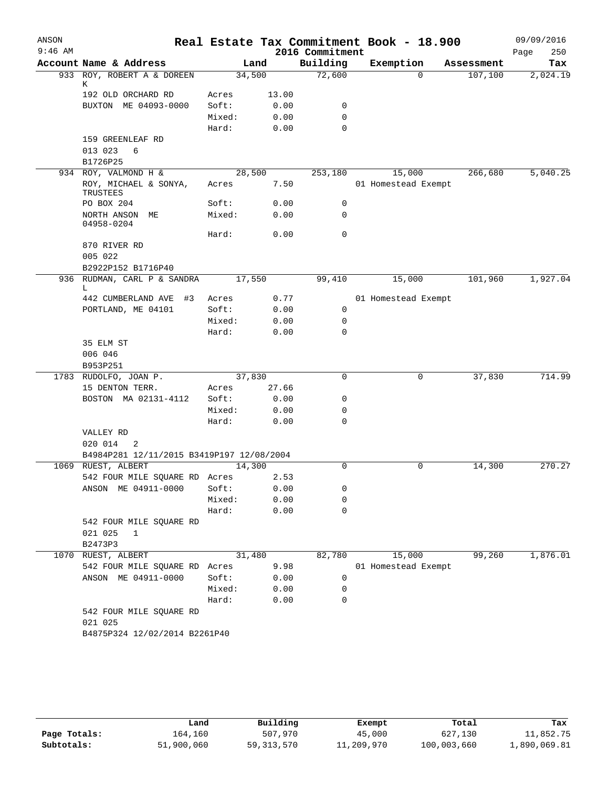| Building<br>Account Name & Address<br>Exemption<br>Land<br>Assessment<br>72,600<br>933 ROY, ROBERT A & DOREEN<br>34,500<br>$\Omega$<br>107,100<br>Κ<br>192 OLD ORCHARD RD<br>13.00<br>Acres<br>BUXTON ME 04093-0000<br>Soft:<br>0.00<br>0<br>Mixed:<br>0.00<br>0<br>$\mathbf 0$<br>Hard:<br>0.00<br>159 GREENLEAF RD<br>013 023<br>6<br>B1726P25<br>934 ROY, VALMOND H &<br>28,500<br>15,000<br>266,680<br>5,040.25<br>253,180<br>ROY, MICHAEL & SONYA,<br>7.50<br>01 Homestead Exempt<br>Acres<br>TRUSTEES<br>PO BOX 204<br>Soft:<br>0.00<br>0<br>0<br>NORTH ANSON ME<br>Mixed:<br>0.00<br>04958-0204<br>$\mathbf 0$<br>Hard:<br>0.00<br>870 RIVER RD<br>005 022<br>B2922P152 B1716P40<br>936 RUDMAN, CARL P & SANDRA<br>17,550<br>15,000<br>101,960<br>99,410<br>L<br>442 CUMBERLAND AVE<br>#3<br>Acres<br>0.77<br>01 Homestead Exempt<br>PORTLAND, ME 04101<br>Soft:<br>0.00<br>0<br>Mixed:<br>0<br>0.00<br>Hard:<br>0.00<br>0<br>35 ELM ST<br>006 046<br>B953P251<br>RUDOLFO, JOAN P.<br>37,830<br>37,830<br>714.99<br>0<br>0<br>1783<br>15 DENTON TERR.<br>Acres<br>27.66<br>BOSTON MA 02131-4112<br>Soft:<br>0.00<br>0<br>Mixed:<br>0.00<br>0<br>$\Omega$<br>Hard:<br>0.00<br>VALLEY RD<br>020 014<br>2<br>B4984P281 12/11/2015 B3419P197 12/08/2004<br>RUEST, ALBERT<br>14,300<br>0<br>0<br>14,300<br>1069<br>542 FOUR MILE SQUARE RD Acres<br>2.53<br>ANSON ME 04911-0000<br>Soft:<br>0.00<br>0<br>Mixed:<br>0.00<br>0<br>Hard:<br>0.00<br>0<br>542 FOUR MILE SQUARE RD<br>021 025<br>1<br>B2473P3<br>RUEST, ALBERT<br>31,480<br>82,780<br>15,000<br>99,260<br>1070<br>542 FOUR MILE SQUARE RD<br>9.98<br>01 Homestead Exempt<br>Acres<br>Soft:<br>ANSON ME 04911-0000<br>0.00<br>0<br>Mixed:<br>0.00<br>0<br>Hard:<br>0.00<br>0<br>542 FOUR MILE SQUARE RD<br>021 025<br>B4875P324 12/02/2014 B2261P40 | ANSON<br>$9:46$ AM |  | 2016 Commitment | Real Estate Tax Commitment Book - 18.900 | 09/09/2016<br>250<br>Page |
|-----------------------------------------------------------------------------------------------------------------------------------------------------------------------------------------------------------------------------------------------------------------------------------------------------------------------------------------------------------------------------------------------------------------------------------------------------------------------------------------------------------------------------------------------------------------------------------------------------------------------------------------------------------------------------------------------------------------------------------------------------------------------------------------------------------------------------------------------------------------------------------------------------------------------------------------------------------------------------------------------------------------------------------------------------------------------------------------------------------------------------------------------------------------------------------------------------------------------------------------------------------------------------------------------------------------------------------------------------------------------------------------------------------------------------------------------------------------------------------------------------------------------------------------------------------------------------------------------------------------------------------------------------------------------------------------------------------------------------------------------------------------------------------------------------------------|--------------------|--|-----------------|------------------------------------------|---------------------------|
|                                                                                                                                                                                                                                                                                                                                                                                                                                                                                                                                                                                                                                                                                                                                                                                                                                                                                                                                                                                                                                                                                                                                                                                                                                                                                                                                                                                                                                                                                                                                                                                                                                                                                                                                                                                                                 |                    |  |                 |                                          | Tax                       |
|                                                                                                                                                                                                                                                                                                                                                                                                                                                                                                                                                                                                                                                                                                                                                                                                                                                                                                                                                                                                                                                                                                                                                                                                                                                                                                                                                                                                                                                                                                                                                                                                                                                                                                                                                                                                                 |                    |  |                 |                                          | 2,024.19                  |
|                                                                                                                                                                                                                                                                                                                                                                                                                                                                                                                                                                                                                                                                                                                                                                                                                                                                                                                                                                                                                                                                                                                                                                                                                                                                                                                                                                                                                                                                                                                                                                                                                                                                                                                                                                                                                 |                    |  |                 |                                          |                           |
|                                                                                                                                                                                                                                                                                                                                                                                                                                                                                                                                                                                                                                                                                                                                                                                                                                                                                                                                                                                                                                                                                                                                                                                                                                                                                                                                                                                                                                                                                                                                                                                                                                                                                                                                                                                                                 |                    |  |                 |                                          |                           |
|                                                                                                                                                                                                                                                                                                                                                                                                                                                                                                                                                                                                                                                                                                                                                                                                                                                                                                                                                                                                                                                                                                                                                                                                                                                                                                                                                                                                                                                                                                                                                                                                                                                                                                                                                                                                                 |                    |  |                 |                                          |                           |
|                                                                                                                                                                                                                                                                                                                                                                                                                                                                                                                                                                                                                                                                                                                                                                                                                                                                                                                                                                                                                                                                                                                                                                                                                                                                                                                                                                                                                                                                                                                                                                                                                                                                                                                                                                                                                 |                    |  |                 |                                          |                           |
|                                                                                                                                                                                                                                                                                                                                                                                                                                                                                                                                                                                                                                                                                                                                                                                                                                                                                                                                                                                                                                                                                                                                                                                                                                                                                                                                                                                                                                                                                                                                                                                                                                                                                                                                                                                                                 |                    |  |                 |                                          |                           |
|                                                                                                                                                                                                                                                                                                                                                                                                                                                                                                                                                                                                                                                                                                                                                                                                                                                                                                                                                                                                                                                                                                                                                                                                                                                                                                                                                                                                                                                                                                                                                                                                                                                                                                                                                                                                                 |                    |  |                 |                                          |                           |
|                                                                                                                                                                                                                                                                                                                                                                                                                                                                                                                                                                                                                                                                                                                                                                                                                                                                                                                                                                                                                                                                                                                                                                                                                                                                                                                                                                                                                                                                                                                                                                                                                                                                                                                                                                                                                 |                    |  |                 |                                          |                           |
|                                                                                                                                                                                                                                                                                                                                                                                                                                                                                                                                                                                                                                                                                                                                                                                                                                                                                                                                                                                                                                                                                                                                                                                                                                                                                                                                                                                                                                                                                                                                                                                                                                                                                                                                                                                                                 |                    |  |                 |                                          |                           |
|                                                                                                                                                                                                                                                                                                                                                                                                                                                                                                                                                                                                                                                                                                                                                                                                                                                                                                                                                                                                                                                                                                                                                                                                                                                                                                                                                                                                                                                                                                                                                                                                                                                                                                                                                                                                                 |                    |  |                 |                                          |                           |
|                                                                                                                                                                                                                                                                                                                                                                                                                                                                                                                                                                                                                                                                                                                                                                                                                                                                                                                                                                                                                                                                                                                                                                                                                                                                                                                                                                                                                                                                                                                                                                                                                                                                                                                                                                                                                 |                    |  |                 |                                          |                           |
|                                                                                                                                                                                                                                                                                                                                                                                                                                                                                                                                                                                                                                                                                                                                                                                                                                                                                                                                                                                                                                                                                                                                                                                                                                                                                                                                                                                                                                                                                                                                                                                                                                                                                                                                                                                                                 |                    |  |                 |                                          |                           |
|                                                                                                                                                                                                                                                                                                                                                                                                                                                                                                                                                                                                                                                                                                                                                                                                                                                                                                                                                                                                                                                                                                                                                                                                                                                                                                                                                                                                                                                                                                                                                                                                                                                                                                                                                                                                                 |                    |  |                 |                                          |                           |
|                                                                                                                                                                                                                                                                                                                                                                                                                                                                                                                                                                                                                                                                                                                                                                                                                                                                                                                                                                                                                                                                                                                                                                                                                                                                                                                                                                                                                                                                                                                                                                                                                                                                                                                                                                                                                 |                    |  |                 |                                          |                           |
|                                                                                                                                                                                                                                                                                                                                                                                                                                                                                                                                                                                                                                                                                                                                                                                                                                                                                                                                                                                                                                                                                                                                                                                                                                                                                                                                                                                                                                                                                                                                                                                                                                                                                                                                                                                                                 |                    |  |                 |                                          |                           |
|                                                                                                                                                                                                                                                                                                                                                                                                                                                                                                                                                                                                                                                                                                                                                                                                                                                                                                                                                                                                                                                                                                                                                                                                                                                                                                                                                                                                                                                                                                                                                                                                                                                                                                                                                                                                                 |                    |  |                 |                                          |                           |
|                                                                                                                                                                                                                                                                                                                                                                                                                                                                                                                                                                                                                                                                                                                                                                                                                                                                                                                                                                                                                                                                                                                                                                                                                                                                                                                                                                                                                                                                                                                                                                                                                                                                                                                                                                                                                 |                    |  |                 |                                          | 1,927.04                  |
|                                                                                                                                                                                                                                                                                                                                                                                                                                                                                                                                                                                                                                                                                                                                                                                                                                                                                                                                                                                                                                                                                                                                                                                                                                                                                                                                                                                                                                                                                                                                                                                                                                                                                                                                                                                                                 |                    |  |                 |                                          |                           |
|                                                                                                                                                                                                                                                                                                                                                                                                                                                                                                                                                                                                                                                                                                                                                                                                                                                                                                                                                                                                                                                                                                                                                                                                                                                                                                                                                                                                                                                                                                                                                                                                                                                                                                                                                                                                                 |                    |  |                 |                                          |                           |
|                                                                                                                                                                                                                                                                                                                                                                                                                                                                                                                                                                                                                                                                                                                                                                                                                                                                                                                                                                                                                                                                                                                                                                                                                                                                                                                                                                                                                                                                                                                                                                                                                                                                                                                                                                                                                 |                    |  |                 |                                          |                           |
|                                                                                                                                                                                                                                                                                                                                                                                                                                                                                                                                                                                                                                                                                                                                                                                                                                                                                                                                                                                                                                                                                                                                                                                                                                                                                                                                                                                                                                                                                                                                                                                                                                                                                                                                                                                                                 |                    |  |                 |                                          |                           |
|                                                                                                                                                                                                                                                                                                                                                                                                                                                                                                                                                                                                                                                                                                                                                                                                                                                                                                                                                                                                                                                                                                                                                                                                                                                                                                                                                                                                                                                                                                                                                                                                                                                                                                                                                                                                                 |                    |  |                 |                                          |                           |
|                                                                                                                                                                                                                                                                                                                                                                                                                                                                                                                                                                                                                                                                                                                                                                                                                                                                                                                                                                                                                                                                                                                                                                                                                                                                                                                                                                                                                                                                                                                                                                                                                                                                                                                                                                                                                 |                    |  |                 |                                          |                           |
|                                                                                                                                                                                                                                                                                                                                                                                                                                                                                                                                                                                                                                                                                                                                                                                                                                                                                                                                                                                                                                                                                                                                                                                                                                                                                                                                                                                                                                                                                                                                                                                                                                                                                                                                                                                                                 |                    |  |                 |                                          |                           |
|                                                                                                                                                                                                                                                                                                                                                                                                                                                                                                                                                                                                                                                                                                                                                                                                                                                                                                                                                                                                                                                                                                                                                                                                                                                                                                                                                                                                                                                                                                                                                                                                                                                                                                                                                                                                                 |                    |  |                 |                                          |                           |
|                                                                                                                                                                                                                                                                                                                                                                                                                                                                                                                                                                                                                                                                                                                                                                                                                                                                                                                                                                                                                                                                                                                                                                                                                                                                                                                                                                                                                                                                                                                                                                                                                                                                                                                                                                                                                 |                    |  |                 |                                          |                           |
|                                                                                                                                                                                                                                                                                                                                                                                                                                                                                                                                                                                                                                                                                                                                                                                                                                                                                                                                                                                                                                                                                                                                                                                                                                                                                                                                                                                                                                                                                                                                                                                                                                                                                                                                                                                                                 |                    |  |                 |                                          |                           |
|                                                                                                                                                                                                                                                                                                                                                                                                                                                                                                                                                                                                                                                                                                                                                                                                                                                                                                                                                                                                                                                                                                                                                                                                                                                                                                                                                                                                                                                                                                                                                                                                                                                                                                                                                                                                                 |                    |  |                 |                                          |                           |
|                                                                                                                                                                                                                                                                                                                                                                                                                                                                                                                                                                                                                                                                                                                                                                                                                                                                                                                                                                                                                                                                                                                                                                                                                                                                                                                                                                                                                                                                                                                                                                                                                                                                                                                                                                                                                 |                    |  |                 |                                          |                           |
|                                                                                                                                                                                                                                                                                                                                                                                                                                                                                                                                                                                                                                                                                                                                                                                                                                                                                                                                                                                                                                                                                                                                                                                                                                                                                                                                                                                                                                                                                                                                                                                                                                                                                                                                                                                                                 |                    |  |                 |                                          |                           |
|                                                                                                                                                                                                                                                                                                                                                                                                                                                                                                                                                                                                                                                                                                                                                                                                                                                                                                                                                                                                                                                                                                                                                                                                                                                                                                                                                                                                                                                                                                                                                                                                                                                                                                                                                                                                                 |                    |  |                 |                                          |                           |
|                                                                                                                                                                                                                                                                                                                                                                                                                                                                                                                                                                                                                                                                                                                                                                                                                                                                                                                                                                                                                                                                                                                                                                                                                                                                                                                                                                                                                                                                                                                                                                                                                                                                                                                                                                                                                 |                    |  |                 |                                          | 270.27                    |
|                                                                                                                                                                                                                                                                                                                                                                                                                                                                                                                                                                                                                                                                                                                                                                                                                                                                                                                                                                                                                                                                                                                                                                                                                                                                                                                                                                                                                                                                                                                                                                                                                                                                                                                                                                                                                 |                    |  |                 |                                          |                           |
|                                                                                                                                                                                                                                                                                                                                                                                                                                                                                                                                                                                                                                                                                                                                                                                                                                                                                                                                                                                                                                                                                                                                                                                                                                                                                                                                                                                                                                                                                                                                                                                                                                                                                                                                                                                                                 |                    |  |                 |                                          |                           |
|                                                                                                                                                                                                                                                                                                                                                                                                                                                                                                                                                                                                                                                                                                                                                                                                                                                                                                                                                                                                                                                                                                                                                                                                                                                                                                                                                                                                                                                                                                                                                                                                                                                                                                                                                                                                                 |                    |  |                 |                                          |                           |
|                                                                                                                                                                                                                                                                                                                                                                                                                                                                                                                                                                                                                                                                                                                                                                                                                                                                                                                                                                                                                                                                                                                                                                                                                                                                                                                                                                                                                                                                                                                                                                                                                                                                                                                                                                                                                 |                    |  |                 |                                          |                           |
|                                                                                                                                                                                                                                                                                                                                                                                                                                                                                                                                                                                                                                                                                                                                                                                                                                                                                                                                                                                                                                                                                                                                                                                                                                                                                                                                                                                                                                                                                                                                                                                                                                                                                                                                                                                                                 |                    |  |                 |                                          |                           |
|                                                                                                                                                                                                                                                                                                                                                                                                                                                                                                                                                                                                                                                                                                                                                                                                                                                                                                                                                                                                                                                                                                                                                                                                                                                                                                                                                                                                                                                                                                                                                                                                                                                                                                                                                                                                                 |                    |  |                 |                                          |                           |
|                                                                                                                                                                                                                                                                                                                                                                                                                                                                                                                                                                                                                                                                                                                                                                                                                                                                                                                                                                                                                                                                                                                                                                                                                                                                                                                                                                                                                                                                                                                                                                                                                                                                                                                                                                                                                 |                    |  |                 |                                          |                           |
|                                                                                                                                                                                                                                                                                                                                                                                                                                                                                                                                                                                                                                                                                                                                                                                                                                                                                                                                                                                                                                                                                                                                                                                                                                                                                                                                                                                                                                                                                                                                                                                                                                                                                                                                                                                                                 |                    |  |                 |                                          | 1,876.01                  |
|                                                                                                                                                                                                                                                                                                                                                                                                                                                                                                                                                                                                                                                                                                                                                                                                                                                                                                                                                                                                                                                                                                                                                                                                                                                                                                                                                                                                                                                                                                                                                                                                                                                                                                                                                                                                                 |                    |  |                 |                                          |                           |
|                                                                                                                                                                                                                                                                                                                                                                                                                                                                                                                                                                                                                                                                                                                                                                                                                                                                                                                                                                                                                                                                                                                                                                                                                                                                                                                                                                                                                                                                                                                                                                                                                                                                                                                                                                                                                 |                    |  |                 |                                          |                           |
|                                                                                                                                                                                                                                                                                                                                                                                                                                                                                                                                                                                                                                                                                                                                                                                                                                                                                                                                                                                                                                                                                                                                                                                                                                                                                                                                                                                                                                                                                                                                                                                                                                                                                                                                                                                                                 |                    |  |                 |                                          |                           |
|                                                                                                                                                                                                                                                                                                                                                                                                                                                                                                                                                                                                                                                                                                                                                                                                                                                                                                                                                                                                                                                                                                                                                                                                                                                                                                                                                                                                                                                                                                                                                                                                                                                                                                                                                                                                                 |                    |  |                 |                                          |                           |
|                                                                                                                                                                                                                                                                                                                                                                                                                                                                                                                                                                                                                                                                                                                                                                                                                                                                                                                                                                                                                                                                                                                                                                                                                                                                                                                                                                                                                                                                                                                                                                                                                                                                                                                                                                                                                 |                    |  |                 |                                          |                           |
|                                                                                                                                                                                                                                                                                                                                                                                                                                                                                                                                                                                                                                                                                                                                                                                                                                                                                                                                                                                                                                                                                                                                                                                                                                                                                                                                                                                                                                                                                                                                                                                                                                                                                                                                                                                                                 |                    |  |                 |                                          |                           |
|                                                                                                                                                                                                                                                                                                                                                                                                                                                                                                                                                                                                                                                                                                                                                                                                                                                                                                                                                                                                                                                                                                                                                                                                                                                                                                                                                                                                                                                                                                                                                                                                                                                                                                                                                                                                                 |                    |  |                 |                                          |                           |
|                                                                                                                                                                                                                                                                                                                                                                                                                                                                                                                                                                                                                                                                                                                                                                                                                                                                                                                                                                                                                                                                                                                                                                                                                                                                                                                                                                                                                                                                                                                                                                                                                                                                                                                                                                                                                 |                    |  |                 |                                          |                           |

|              | Land       | Building     | Exempt     | Total       | Tax          |
|--------------|------------|--------------|------------|-------------|--------------|
| Page Totals: | 164,160    | 507,970      | 45,000     | 627,130     | 11,852.75    |
| Subtotals:   | 51,900,060 | 59, 313, 570 | 11,209,970 | 100,003,660 | 1,890,069.81 |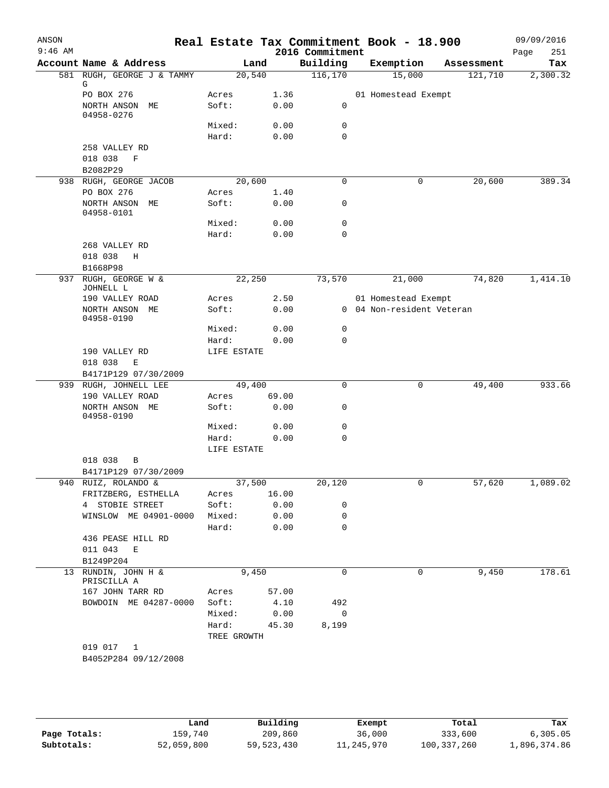| ANSON<br>$9:46$ AM |                                          |                 |              | 2016 Commitment | Real Estate Tax Commitment Book - 18.900 |            | 09/09/2016<br>Page<br>251 |
|--------------------|------------------------------------------|-----------------|--------------|-----------------|------------------------------------------|------------|---------------------------|
|                    | Account Name & Address                   |                 | Land         | Building        | Exemption                                | Assessment | Tax                       |
|                    | 581 RUGH, GEORGE J & TAMMY               |                 | 20,540       | 116,170         | 15,000                                   | 121,710    | 2,300.32                  |
|                    | G<br>PO BOX 276                          | Acres           | 1.36         |                 | 01 Homestead Exempt                      |            |                           |
|                    | NORTH ANSON ME                           | Soft:           | 0.00         | 0               |                                          |            |                           |
|                    | 04958-0276                               |                 |              |                 |                                          |            |                           |
|                    |                                          | Mixed:          | 0.00         | 0               |                                          |            |                           |
|                    |                                          | Hard:           | 0.00         | 0               |                                          |            |                           |
|                    | 258 VALLEY RD                            |                 |              |                 |                                          |            |                           |
|                    | 018 038<br>$\mathbf F$                   |                 |              |                 |                                          |            |                           |
|                    | B2082P29                                 |                 |              |                 |                                          |            |                           |
|                    | 938 RUGH, GEORGE JACOB                   |                 | 20,600       | $\mathbf 0$     | 0                                        | 20,600     | 389.34                    |
|                    | PO BOX 276                               | Acres           | 1.40         |                 |                                          |            |                           |
|                    | NORTH ANSON ME                           | Soft:           | 0.00         | 0               |                                          |            |                           |
|                    | 04958-0101                               | Mixed:          | 0.00         | 0               |                                          |            |                           |
|                    |                                          | Hard:           | 0.00         | $\Omega$        |                                          |            |                           |
|                    | 268 VALLEY RD                            |                 |              |                 |                                          |            |                           |
|                    | 018 038<br>Η                             |                 |              |                 |                                          |            |                           |
|                    | B1668P98                                 |                 |              |                 |                                          |            |                           |
|                    | 937 RUGH, GEORGE W &                     |                 | 22,250       | 73,570          | 21,000                                   | 74,820     | 1,414.10                  |
|                    | JOHNELL L                                |                 |              |                 |                                          |            |                           |
|                    | 190 VALLEY ROAD                          | Acres           | 2.50         |                 | 01 Homestead Exempt                      |            |                           |
|                    | NORTH ANSON ME                           | Soft:           | 0.00         |                 | 0 04 Non-resident Veteran                |            |                           |
|                    | 04958-0190                               | Mixed:          | 0.00         | 0               |                                          |            |                           |
|                    |                                          | Hard:           | 0.00         | 0               |                                          |            |                           |
|                    | 190 VALLEY RD                            | LIFE ESTATE     |              |                 |                                          |            |                           |
|                    | 018 038<br>E                             |                 |              |                 |                                          |            |                           |
|                    | B4171P129 07/30/2009                     |                 |              |                 |                                          |            |                           |
|                    | 939 RUGH, JOHNELL LEE                    |                 | 49,400       | $\mathbf 0$     | 0                                        | 49,400     | 933.66                    |
|                    | 190 VALLEY ROAD                          | Acres           | 69.00        |                 |                                          |            |                           |
|                    | NORTH ANSON ME<br>04958-0190             | Soft:           | 0.00         | 0               |                                          |            |                           |
|                    |                                          | Mixed:          | 0.00         | 0               |                                          |            |                           |
|                    |                                          | Hard:           | 0.00         | $\Omega$        |                                          |            |                           |
|                    |                                          | LIFE ESTATE     |              |                 |                                          |            |                           |
|                    | 018 038<br>B                             |                 |              |                 |                                          |            |                           |
|                    | B4171P129 07/30/2009                     |                 |              |                 |                                          |            |                           |
|                    | 940 RUIZ, ROLANDO &                      |                 | 37,500       | 20,120          | 0                                        | 57,620     | 1,089.02                  |
|                    | FRITZBERG, ESTHELLA                      | Acres           | 16.00        |                 |                                          |            |                           |
|                    | 4 STOBIE STREET<br>WINSLOW ME 04901-0000 | Soft:           | 0.00         | 0               |                                          |            |                           |
|                    |                                          | Mixed:<br>Hard: | 0.00<br>0.00 | 0<br>$\Omega$   |                                          |            |                           |
|                    | 436 PEASE HILL RD                        |                 |              |                 |                                          |            |                           |
|                    | 011 043 E                                |                 |              |                 |                                          |            |                           |
|                    | B1249P204                                |                 |              |                 |                                          |            |                           |
|                    | 13 RUNDIN, JOHN H &                      |                 | 9,450        | $\Omega$        | 0                                        | 9,450      | 178.61                    |
|                    | PRISCILLA A                              |                 |              |                 |                                          |            |                           |
|                    | 167 JOHN TARR RD                         | Acres           | 57.00        |                 |                                          |            |                           |
|                    | BOWDOIN ME 04287-0000                    | Soft:           | 4.10         | 492             |                                          |            |                           |
|                    |                                          | Mixed:          | 0.00         | 0               |                                          |            |                           |
|                    |                                          | Hard:           | 45.30        | 8,199           |                                          |            |                           |
|                    | 019 017<br>1                             | TREE GROWTH     |              |                 |                                          |            |                           |
|                    | B4052P284 09/12/2008                     |                 |              |                 |                                          |            |                           |
|                    |                                          |                 |              |                 |                                          |            |                           |

|              | Land       | Building   | Exempt     | Total       | Tax          |
|--------------|------------|------------|------------|-------------|--------------|
| Page Totals: | 159,740    | 209,860    | 36,000     | 333,600     | 6,305.05     |
| Subtotals:   | 52,059,800 | 59,523,430 | 11,245,970 | 100,337,260 | l,896,374.86 |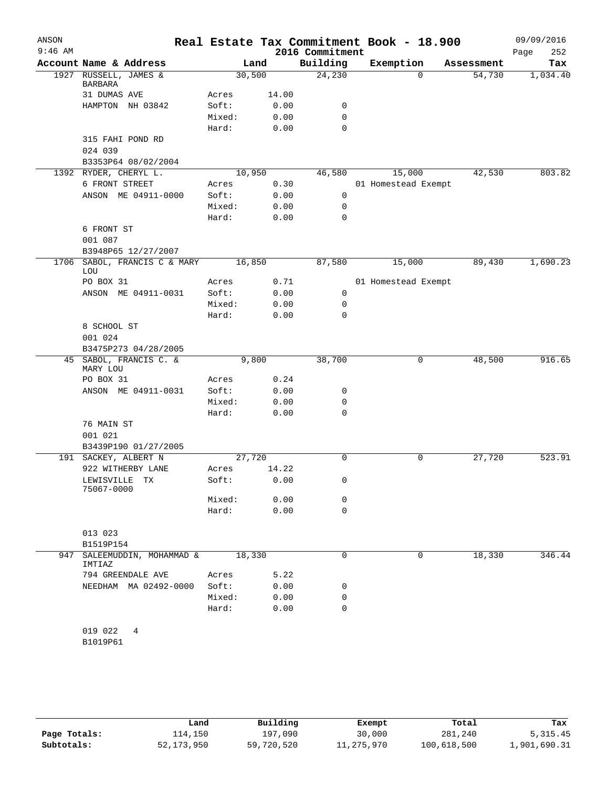| ANSON<br>$9:46$ AM |                                          |        |        |                             | Real Estate Tax Commitment Book - 18.900 |            | 09/09/2016         |
|--------------------|------------------------------------------|--------|--------|-----------------------------|------------------------------------------|------------|--------------------|
|                    | Account Name & Address                   |        | Land   | 2016 Commitment<br>Building | Exemption                                | Assessment | Page<br>252<br>Tax |
|                    | 1927 RUSSELL, JAMES &                    |        | 30,500 | 24,230                      | $\mathbf 0$                              | 54,730     | 1,034.40           |
|                    | BARBARA<br>31 DUMAS AVE                  | Acres  | 14.00  |                             |                                          |            |                    |
|                    | HAMPTON NH 03842                         | Soft:  | 0.00   | 0                           |                                          |            |                    |
|                    |                                          | Mixed: | 0.00   | $\mathbf 0$                 |                                          |            |                    |
|                    |                                          | Hard:  | 0.00   | 0                           |                                          |            |                    |
|                    | 315 FAHI POND RD<br>024 039              |        |        |                             |                                          |            |                    |
|                    | B3353P64 08/02/2004                      |        |        |                             |                                          |            |                    |
|                    | 1392 RYDER, CHERYL L.                    |        | 10,950 | 46,580                      | 15,000                                   | 42,530     | 803.82             |
|                    | 6 FRONT STREET                           | Acres  | 0.30   |                             | 01 Homestead Exempt                      |            |                    |
|                    | ANSON ME 04911-0000                      | Soft:  | 0.00   | 0                           |                                          |            |                    |
|                    |                                          | Mixed: | 0.00   | $\mathbf 0$                 |                                          |            |                    |
|                    |                                          | Hard:  | 0.00   | 0                           |                                          |            |                    |
|                    | 6 FRONT ST<br>001 087                    |        |        |                             |                                          |            |                    |
|                    | B3948P65 12/27/2007                      |        |        |                             |                                          |            |                    |
| 1706               | SABOL, FRANCIS C & MARY<br>LOU           |        | 16,850 | 87,580                      | 15,000                                   | 89,430     | 1,690.23           |
|                    | PO BOX 31                                | Acres  | 0.71   |                             | 01 Homestead Exempt                      |            |                    |
|                    | ANSON ME 04911-0031                      | Soft:  | 0.00   | 0                           |                                          |            |                    |
|                    |                                          | Mixed: | 0.00   | 0                           |                                          |            |                    |
|                    |                                          | Hard:  | 0.00   | 0                           |                                          |            |                    |
|                    | 8 SCHOOL ST                              |        |        |                             |                                          |            |                    |
|                    | 001 024                                  |        |        |                             |                                          |            |                    |
|                    | B3475P273 04/28/2005                     |        |        |                             |                                          |            |                    |
|                    | 45 SABOL, FRANCIS C. &<br>MARY LOU       |        | 9,800  | 38,700                      | 0                                        | 48,500     | 916.65             |
|                    | PO BOX 31                                | Acres  | 0.24   |                             |                                          |            |                    |
|                    | ANSON ME 04911-0031                      | Soft:  | 0.00   | 0                           |                                          |            |                    |
|                    |                                          | Mixed: | 0.00   | 0                           |                                          |            |                    |
|                    |                                          | Hard:  | 0.00   | 0                           |                                          |            |                    |
|                    | 76 MAIN ST<br>001 021                    |        |        |                             |                                          |            |                    |
| 191                | B3439P190 01/27/2005<br>SACKEY, ALBERT N |        | 27,720 | 0                           | 0                                        | 27,720     | 523.91             |
|                    | 922 WITHERBY LANE                        | Acres  | 14.22  |                             |                                          |            |                    |
|                    | LEWISVILLE TX<br>75067-0000              | Soft:  | 0.00   | 0                           |                                          |            |                    |
|                    |                                          | Mixed: | 0.00   | 0                           |                                          |            |                    |
|                    |                                          | Hard:  | 0.00   | 0                           |                                          |            |                    |
|                    |                                          |        |        |                             |                                          |            |                    |
|                    | 013 023                                  |        |        |                             |                                          |            |                    |
|                    | B1519P154                                |        | 18,330 |                             |                                          |            |                    |
| 947                | SALEEMUDDIN, MOHAMMAD &<br>IMTIAZ        |        |        | 0                           | 0                                        | 18,330     | 346.44             |
|                    | 794 GREENDALE AVE                        | Acres  | 5.22   |                             |                                          |            |                    |
|                    | NEEDHAM MA 02492-0000                    | Soft:  | 0.00   | 0                           |                                          |            |                    |
|                    |                                          | Mixed: | 0.00   | 0<br>0                      |                                          |            |                    |
|                    |                                          | Hard:  | 0.00   |                             |                                          |            |                    |
|                    | 019 022<br>4<br>B1019P61                 |        |        |                             |                                          |            |                    |
|                    |                                          |        |        |                             |                                          |            |                    |

|              | Land         | Building   | Exempt     | Total       | Tax          |
|--------------|--------------|------------|------------|-------------|--------------|
| Page Totals: | ⊥14,150      | 197,090    | 30,000     | 281,240     | 5, 315.45    |
| Subtotals:   | 52, 173, 950 | 59,720,520 | 11,275,970 | 100,618,500 | 1,901,690.31 |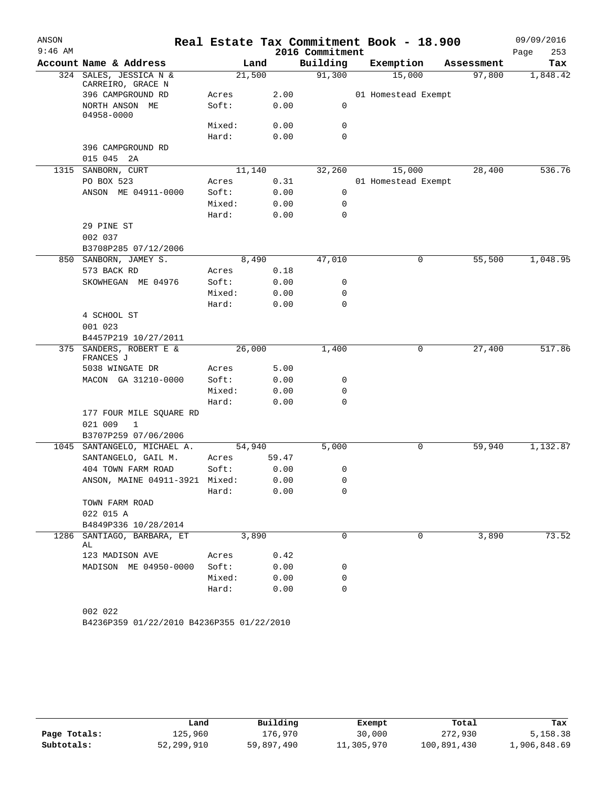| ANSON<br>$9:46$ AM |                                             |        |       | 2016 Commitment | Real Estate Tax Commitment Book - 18.900 |            | 09/09/2016<br>Page<br>253 |
|--------------------|---------------------------------------------|--------|-------|-----------------|------------------------------------------|------------|---------------------------|
|                    | Account Name & Address                      | Land   |       | Building        | Exemption                                | Assessment | Tax                       |
|                    | 324 SALES, JESSICA N &<br>CARREIRO, GRACE N | 21,500 |       | 91,300          | 15,000                                   | 97,800     | 1,848.42                  |
|                    | 396 CAMPGROUND RD                           | Acres  | 2.00  |                 | 01 Homestead Exempt                      |            |                           |
|                    | NORTH ANSON ME<br>04958-0000                | Soft:  | 0.00  | 0               |                                          |            |                           |
|                    |                                             | Mixed: | 0.00  | 0               |                                          |            |                           |
|                    |                                             | Hard:  | 0.00  | 0               |                                          |            |                           |
|                    | 396 CAMPGROUND RD                           |        |       |                 |                                          |            |                           |
|                    | 015 045 2A                                  |        |       |                 |                                          |            |                           |
| 1315               | SANBORN, CURT                               | 11,140 |       | 32,260          | 15,000                                   | 28,400     | 536.76                    |
|                    | PO BOX 523                                  | Acres  | 0.31  |                 | 01 Homestead Exempt                      |            |                           |
|                    | ANSON ME 04911-0000                         | Soft:  | 0.00  | 0               |                                          |            |                           |
|                    |                                             | Mixed: | 0.00  | 0               |                                          |            |                           |
|                    |                                             | Hard:  | 0.00  | 0               |                                          |            |                           |
|                    | 29 PINE ST                                  |        |       |                 |                                          |            |                           |
|                    | 002 037                                     |        |       |                 |                                          |            |                           |
|                    | B3708P285 07/12/2006                        |        |       |                 |                                          |            |                           |
| 850                | SANBORN, JAMEY S.                           | 8,490  |       | 47,010          | 0                                        | 55,500     | 1,048.95                  |
|                    | 573 BACK RD                                 | Acres  | 0.18  |                 |                                          |            |                           |
|                    | SKOWHEGAN ME 04976                          | Soft:  | 0.00  | 0               |                                          |            |                           |
|                    |                                             | Mixed: | 0.00  | 0               |                                          |            |                           |
|                    |                                             | Hard:  | 0.00  | 0               |                                          |            |                           |
|                    | 4 SCHOOL ST                                 |        |       |                 |                                          |            |                           |
|                    | 001 023                                     |        |       |                 |                                          |            |                           |
|                    | B4457P219 10/27/2011                        |        |       |                 |                                          |            |                           |
| 375                | SANDERS, ROBERT E &<br>FRANCES J            | 26,000 | 1,400 | 0               | 27,400                                   | 517.86     |                           |
|                    | 5038 WINGATE DR                             | Acres  | 5.00  |                 |                                          |            |                           |
|                    | MACON GA 31210-0000                         | Soft:  | 0.00  | 0               |                                          |            |                           |
|                    |                                             | Mixed: | 0.00  | 0               |                                          |            |                           |
|                    |                                             | Hard:  | 0.00  | 0               |                                          |            |                           |
|                    | 177 FOUR MILE SQUARE RD                     |        |       |                 |                                          |            |                           |
|                    | 021 009<br>$\mathbf{1}$                     |        |       |                 |                                          |            |                           |
|                    | B3707P259 07/06/2006                        |        |       |                 |                                          |            |                           |
| 1045               | SANTANGELO, MICHAEL A.                      | 54,940 |       | 5,000           | 0                                        | 59,940     | 1,132.87                  |
|                    | SANTANGELO, GAIL M.                         | Acres  | 59.47 |                 |                                          |            |                           |
|                    | 404 TOWN FARM ROAD                          | Soft:  | 0.00  | 0               |                                          |            |                           |
|                    | ANSON, MAINE 04911-3921                     | Mixed: | 0.00  | 0               |                                          |            |                           |
|                    |                                             | Hard:  | 0.00  | 0               |                                          |            |                           |
|                    | TOWN FARM ROAD<br>022 015 A                 |        |       |                 |                                          |            |                           |
|                    | B4849P336 10/28/2014                        |        |       |                 |                                          |            |                           |
| 1286               | SANTIAGO, BARBARA, ET<br>AL                 | 3,890  |       | 0               | 0                                        | 3,890      | 73.52                     |
|                    | 123 MADISON AVE                             | Acres  | 0.42  |                 |                                          |            |                           |
|                    | MADISON ME 04950-0000                       | Soft:  | 0.00  | 0               |                                          |            |                           |
|                    |                                             | Mixed: | 0.00  | 0               |                                          |            |                           |
|                    |                                             | Hard:  | 0.00  | 0               |                                          |            |                           |
|                    |                                             |        |       |                 |                                          |            |                           |
|                    | 002 022                                     |        |       |                 |                                          |            |                           |

```
B4236P359 01/22/2010 B4236P355 01/22/2010
```

|              | Land       | Building   | Exempt     | Total       | Tax          |
|--------------|------------|------------|------------|-------------|--------------|
| Page Totals: | 125,960    | 176,970    | 30,000     | 272,930     | 5,158.38     |
| Subtotals:   | 52,299,910 | 59,897,490 | 11,305,970 | 100,891,430 | 1,906,848.69 |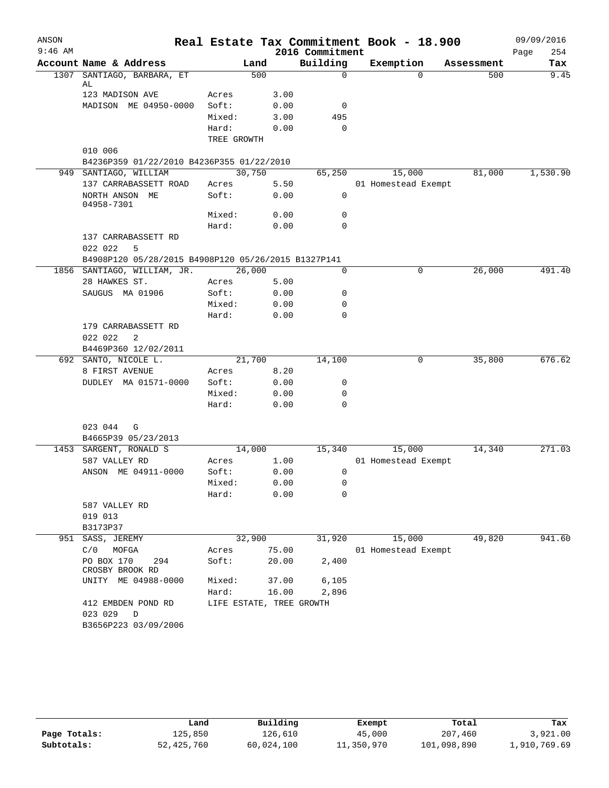| ANSON     |                                                     |             |                          |                 | Real Estate Tax Commitment Book - 18.900 |            | 09/09/2016  |
|-----------|-----------------------------------------------------|-------------|--------------------------|-----------------|------------------------------------------|------------|-------------|
| $9:46$ AM |                                                     |             |                          | 2016 Commitment |                                          |            | 254<br>Page |
|           | Account Name & Address                              |             | Land                     | Building        | Exemption                                | Assessment | Tax         |
| 1307      | SANTIAGO, BARBARA, ET<br>AL                         |             | 500                      | $\mathbf 0$     | $\Omega$                                 | 500        | 9.45        |
|           | 123 MADISON AVE                                     | Acres       | 3.00                     |                 |                                          |            |             |
|           | MADISON ME 04950-0000                               | Soft:       | 0.00                     | 0               |                                          |            |             |
|           |                                                     | Mixed:      | 3.00                     | 495             |                                          |            |             |
|           |                                                     | Hard:       | 0.00                     | $\Omega$        |                                          |            |             |
|           |                                                     | TREE GROWTH |                          |                 |                                          |            |             |
|           | 010 006                                             |             |                          |                 |                                          |            |             |
|           | B4236P359 01/22/2010 B4236P355 01/22/2010           |             |                          |                 |                                          |            |             |
|           | 949 SANTIAGO, WILLIAM                               |             | 30,750                   | 65,250          | 15,000                                   | 81,000     | 1,530.90    |
|           | 137 CARRABASSETT ROAD                               | Acres       | 5.50                     |                 | 01 Homestead Exempt                      |            |             |
|           | NORTH ANSON ME                                      | Soft:       | 0.00                     | 0               |                                          |            |             |
|           | 04958-7301                                          |             |                          |                 |                                          |            |             |
|           |                                                     | Mixed:      | 0.00                     | 0               |                                          |            |             |
|           |                                                     | Hard:       | 0.00                     | $\Omega$        |                                          |            |             |
|           | 137 CARRABASSETT RD                                 |             |                          |                 |                                          |            |             |
|           | 022 022<br>5                                        |             |                          |                 |                                          |            |             |
|           | B4908P120 05/28/2015 B4908P120 05/26/2015 B1327P141 |             |                          |                 |                                          |            |             |
|           | 1856 SANTIAGO, WILLIAM, JR.                         |             | 26,000                   | 0               | 0                                        | 26,000     | 491.40      |
|           | 28 HAWKES ST.                                       | Acres       | 5.00                     |                 |                                          |            |             |
|           | SAUGUS MA 01906                                     | Soft:       | 0.00                     | 0               |                                          |            |             |
|           |                                                     | Mixed:      | 0.00                     | 0               |                                          |            |             |
|           |                                                     | Hard:       | 0.00                     | $\Omega$        |                                          |            |             |
|           | 179 CARRABASSETT RD                                 |             |                          |                 |                                          |            |             |
|           | 022 022<br>2                                        |             |                          |                 |                                          |            |             |
|           | B4469P360 12/02/2011                                |             |                          |                 |                                          |            |             |
|           | 692 SANTO, NICOLE L.                                |             | 21,700                   | 14,100          | 0                                        | 35,800     | 676.62      |
|           | 8 FIRST AVENUE                                      | Acres       | 8.20                     |                 |                                          |            |             |
|           | DUDLEY MA 01571-0000                                | Soft:       | 0.00                     | 0               |                                          |            |             |
|           |                                                     | Mixed:      | 0.00                     | 0               |                                          |            |             |
|           |                                                     | Hard:       | 0.00                     | 0               |                                          |            |             |
|           |                                                     |             |                          |                 |                                          |            |             |
|           | 023 044<br>G                                        |             |                          |                 |                                          |            |             |
|           | B4665P39 05/23/2013                                 |             |                          |                 |                                          |            |             |
|           | 1453 SARGENT, RONALD S                              |             | 14,000                   | 15,340          | 15,000                                   | 14,340     | 271.03      |
|           | 587 VALLEY RD                                       | Acres       | 1.00                     |                 | 01 Homestead Exempt                      |            |             |
|           | ANSON ME 04911-0000                                 | Soft:       | 0.00                     | 0               |                                          |            |             |
|           |                                                     | Mixed:      | 0.00                     | 0               |                                          |            |             |
|           |                                                     | Hard:       | 0.00                     | 0               |                                          |            |             |
|           | 587 VALLEY RD                                       |             |                          |                 |                                          |            |             |
|           | 019 013                                             |             |                          |                 |                                          |            |             |
|           | B3173P37                                            |             |                          |                 |                                          |            |             |
|           | 951 SASS, JEREMY                                    |             | 32,900                   | 31,920          | 15,000                                   | 49,820     | 941.60      |
|           | C/0<br>MOFGA                                        | Acres       | 75.00                    |                 | 01 Homestead Exempt                      |            |             |
|           | PO BOX 170<br>294<br>CROSBY BROOK RD                | Soft:       | 20.00                    | 2,400           |                                          |            |             |
|           | UNITY ME 04988-0000                                 | Mixed:      | 37.00                    | 6,105           |                                          |            |             |
|           |                                                     | Hard:       | 16.00                    | 2,896           |                                          |            |             |
|           | 412 EMBDEN POND RD<br>023 029 D                     |             | LIFE ESTATE, TREE GROWTH |                 |                                          |            |             |
|           | B3656P223 03/09/2006                                |             |                          |                 |                                          |            |             |

|              | úand         | Building   | Exempt     | Total       | Tax          |
|--------------|--------------|------------|------------|-------------|--------------|
| Page Totals: | 125,850      | 126,610    | 45,000     | 207,460     | 3,921.00     |
| Subtotals:   | 52, 425, 760 | 60,024,100 | 11,350,970 | 101,098,890 | 1,910,769.69 |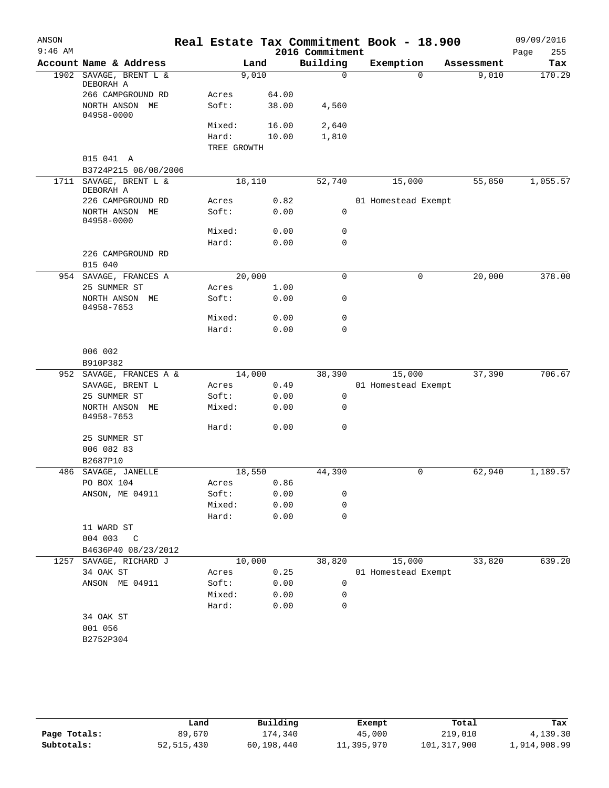| ANSON<br>$9:46$ AM |                                   |             |        | 2016 Commitment | Real Estate Tax Commitment Book - 18.900 |                   | 09/09/2016<br>Page<br>255 |
|--------------------|-----------------------------------|-------------|--------|-----------------|------------------------------------------|-------------------|---------------------------|
|                    | Account Name & Address            |             | Land   | Building        | Exemption                                | Assessment        | Tax                       |
| 1902               | SAVAGE, BRENT L &<br>DEBORAH A    | 9,010       |        | $\mathbf 0$     |                                          | $\Omega$<br>9,010 | 170.29                    |
|                    | 266 CAMPGROUND RD                 | Acres       | 64.00  |                 |                                          |                   |                           |
|                    | NORTH ANSON ME<br>04958-0000      | Soft:       | 38.00  | 4,560           |                                          |                   |                           |
|                    |                                   | Mixed:      | 16.00  | 2,640           |                                          |                   |                           |
|                    |                                   | Hard:       | 10.00  | 1,810           |                                          |                   |                           |
|                    |                                   | TREE GROWTH |        |                 |                                          |                   |                           |
|                    | 015 041 A<br>B3724P215 08/08/2006 |             |        |                 |                                          |                   |                           |
| 1711               | SAVAGE, BRENT L &<br>DEBORAH A    | 18,110      |        | 52,740          | 15,000                                   | 55,850            | 1,055.57                  |
|                    | 226 CAMPGROUND RD                 | Acres       | 0.82   |                 | 01 Homestead Exempt                      |                   |                           |
|                    | NORTH ANSON ME<br>04958-0000      | Soft:       | 0.00   | 0               |                                          |                   |                           |
|                    |                                   | Mixed:      | 0.00   | 0               |                                          |                   |                           |
|                    |                                   | Hard:       | 0.00   | $\mathbf 0$     |                                          |                   |                           |
|                    | 226 CAMPGROUND RD<br>015 040      |             |        |                 |                                          |                   |                           |
|                    | 954 SAVAGE, FRANCES A             | 20,000      |        | 0               |                                          | 20,000<br>0       | 378.00                    |
|                    | 25 SUMMER ST                      | Acres       | 1.00   |                 |                                          |                   |                           |
|                    | NORTH ANSON ME<br>04958-7653      | Soft:       | 0.00   | 0               |                                          |                   |                           |
|                    |                                   | Mixed:      | 0.00   | 0               |                                          |                   |                           |
|                    |                                   | Hard:       | 0.00   | 0               |                                          |                   |                           |
|                    | 006 002<br>B910P382               |             |        |                 |                                          |                   |                           |
|                    | 952 SAVAGE, FRANCES A &           | 14,000      |        | 38,390          | 15,000                                   | 37,390            | 706.67                    |
|                    | SAVAGE, BRENT L                   | Acres       | 0.49   |                 | 01 Homestead Exempt                      |                   |                           |
|                    | 25 SUMMER ST                      | Soft:       | 0.00   | 0               |                                          |                   |                           |
|                    | NORTH ANSON ME<br>04958-7653      | Mixed:      | 0.00   | 0               |                                          |                   |                           |
|                    |                                   | Hard:       | 0.00   | 0               |                                          |                   |                           |
|                    | 25 SUMMER ST                      |             |        |                 |                                          |                   |                           |
|                    | 006 082 83                        |             |        |                 |                                          |                   |                           |
|                    | B2687P10                          |             |        |                 |                                          |                   |                           |
|                    | 486 SAVAGE, JANELLE               | 18,550      |        | 44,390          |                                          | 62,940<br>0       | 1,189.57                  |
|                    | PO BOX 104                        | Acres 0.86  |        |                 |                                          |                   |                           |
|                    | ANSON, ME 04911                   | Soft:       | 0.00   | 0               |                                          |                   |                           |
|                    |                                   | Mixed:      | 0.00   | 0<br>0          |                                          |                   |                           |
|                    | 11 WARD ST                        | Hard:       | 0.00   |                 |                                          |                   |                           |
|                    | 004 003 C                         |             |        |                 |                                          |                   |                           |
|                    | B4636P40 08/23/2012               |             |        |                 |                                          |                   |                           |
|                    | 1257 SAVAGE, RICHARD J            |             | 10,000 | 38,820          | 15,000                                   | 33,820            | 639.20                    |
|                    | 34 OAK ST                         | Acres       | 0.25   |                 | 01 Homestead Exempt                      |                   |                           |
|                    | ANSON ME 04911                    | Soft:       | 0.00   | 0               |                                          |                   |                           |
|                    |                                   | Mixed:      | 0.00   | 0               |                                          |                   |                           |
|                    |                                   | Hard:       | 0.00   | 0               |                                          |                   |                           |
|                    | 34 OAK ST                         |             |        |                 |                                          |                   |                           |
|                    | 001 056                           |             |        |                 |                                          |                   |                           |
|                    | B2752P304                         |             |        |                 |                                          |                   |                           |
|                    |                                   |             |        |                 |                                          |                   |                           |

|              | Land         | Building   | Exempt     | Total       | Tax          |
|--------------|--------------|------------|------------|-------------|--------------|
| Page Totals: | 89,670       | 174,340    | 45,000     | 219,010     | 4,139.30     |
| Subtotals:   | 52, 515, 430 | 60,198,440 | 11,395,970 | 101,317,900 | 1,914,908.99 |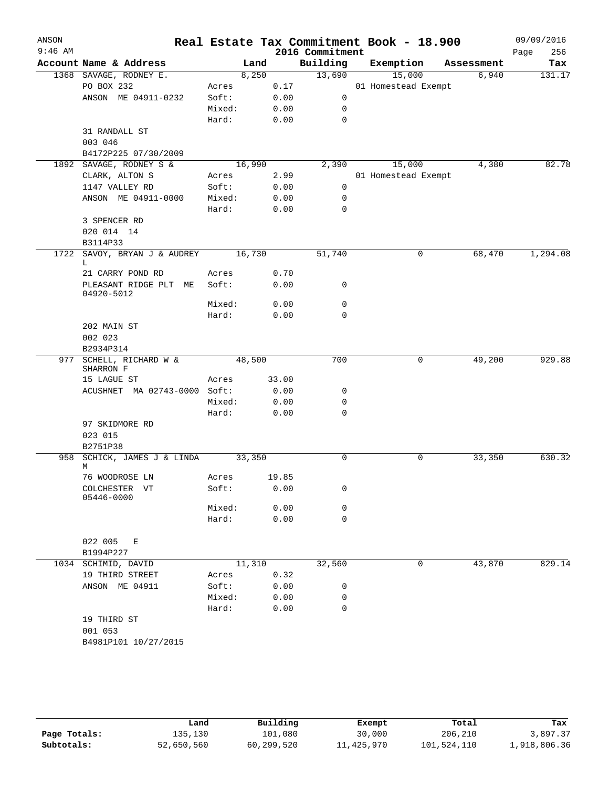| ANSON<br>$9:46$ AM |                              |        |        |       | 2016 Commitment | Real Estate Tax Commitment Book - 18.900 |            | 09/09/2016<br>256<br>Page |
|--------------------|------------------------------|--------|--------|-------|-----------------|------------------------------------------|------------|---------------------------|
|                    | Account Name & Address       |        | Land   |       | Building        | Exemption                                | Assessment | Tax                       |
|                    | 1368 SAVAGE, RODNEY E.       |        | 8,250  |       | 13,690          | 15,000                                   | 6,940      | 131.17                    |
|                    | PO BOX 232                   | Acres  |        | 0.17  |                 | 01 Homestead Exempt                      |            |                           |
|                    | ANSON ME 04911-0232          | Soft:  |        | 0.00  | $\mathsf{O}$    |                                          |            |                           |
|                    |                              | Mixed: |        | 0.00  | $\mathbf 0$     |                                          |            |                           |
|                    |                              | Hard:  |        | 0.00  | $\mathbf 0$     |                                          |            |                           |
|                    | 31 RANDALL ST                |        |        |       |                 |                                          |            |                           |
|                    | 003 046                      |        |        |       |                 |                                          |            |                           |
|                    | B4172P225 07/30/2009         |        |        |       |                 |                                          |            |                           |
|                    | 1892 SAVAGE, RODNEY S &      |        | 16,990 |       | 2,390           | 15,000                                   | 4,380      | 82.78                     |
|                    | CLARK, ALTON S               | Acres  |        | 2.99  |                 | 01 Homestead Exempt                      |            |                           |
|                    | 1147 VALLEY RD               | Soft:  |        | 0.00  | 0               |                                          |            |                           |
|                    | ANSON ME 04911-0000          | Mixed: |        | 0.00  | 0               |                                          |            |                           |
|                    |                              | Hard:  |        | 0.00  | 0               |                                          |            |                           |
|                    | 3 SPENCER RD                 |        |        |       |                 |                                          |            |                           |
|                    | 020 014 14                   |        |        |       |                 |                                          |            |                           |
|                    | B3114P33                     |        |        |       |                 |                                          |            |                           |
| 1722               | SAVOY, BRYAN J & AUDREY      |        | 16,730 |       | 51,740          | 0                                        | 68,470     | 1,294.08                  |
|                    | L.                           |        |        |       |                 |                                          |            |                           |
|                    | 21 CARRY POND RD             | Acres  |        | 0.70  |                 |                                          |            |                           |
|                    | PLEASANT RIDGE PLT<br>МE     | Soft:  |        | 0.00  | 0               |                                          |            |                           |
|                    | 04920-5012                   |        |        |       |                 |                                          |            |                           |
|                    |                              | Mixed: |        | 0.00  | 0               |                                          |            |                           |
|                    |                              | Hard:  |        | 0.00  | 0               |                                          |            |                           |
|                    | 202 MAIN ST                  |        |        |       |                 |                                          |            |                           |
|                    | 002 023                      |        |        |       |                 |                                          |            |                           |
|                    | B2934P314                    |        |        |       |                 |                                          |            |                           |
| 977                | SCHELL, RICHARD W &          |        | 48,500 |       | 700             | 0                                        | 49,200     | 929.88                    |
|                    | SHARRON F                    |        |        |       |                 |                                          |            |                           |
|                    | 15 LAGUE ST                  | Acres  |        | 33.00 |                 |                                          |            |                           |
|                    | ACUSHNET MA 02743-0000 Soft: |        |        | 0.00  | 0               |                                          |            |                           |
|                    |                              | Mixed: |        | 0.00  | 0               |                                          |            |                           |
|                    |                              | Hard:  |        | 0.00  | 0               |                                          |            |                           |
|                    | 97 SKIDMORE RD               |        |        |       |                 |                                          |            |                           |
|                    | 023 015                      |        |        |       |                 |                                          |            |                           |
|                    | B2751P38                     |        |        |       |                 |                                          |            |                           |
| 958                | SCHICK, JAMES J & LINDA<br>М |        | 33,350 |       | 0               | 0                                        | 33,350     | 630.32                    |
|                    | 76 WOODROSE LN               | Acres  |        | 19.85 |                 |                                          |            |                           |
|                    | COLCHESTER VT                | Soft:  |        | 0.00  | 0               |                                          |            |                           |
|                    | 05446-0000                   |        |        |       |                 |                                          |            |                           |
|                    |                              | Mixed: |        | 0.00  | 0               |                                          |            |                           |
|                    |                              | Hard:  |        | 0.00  | $\mathbf 0$     |                                          |            |                           |
|                    |                              |        |        |       |                 |                                          |            |                           |
|                    | 022 005<br>Е                 |        |        |       |                 |                                          |            |                           |
|                    | B1994P227                    |        |        |       |                 |                                          |            |                           |
|                    | 1034 SCHIMID, DAVID          |        | 11,310 |       | 32,560          | 0                                        | 43,870     | 829.14                    |
|                    | 19 THIRD STREET              | Acres  |        | 0.32  |                 |                                          |            |                           |
|                    | ANSON ME 04911               | Soft:  |        | 0.00  | 0               |                                          |            |                           |
|                    |                              | Mixed: |        | 0.00  | 0               |                                          |            |                           |
|                    |                              | Hard:  |        | 0.00  | 0               |                                          |            |                           |
|                    | 19 THIRD ST                  |        |        |       |                 |                                          |            |                           |
|                    | 001 053                      |        |        |       |                 |                                          |            |                           |
|                    | B4981P101 10/27/2015         |        |        |       |                 |                                          |            |                           |
|                    |                              |        |        |       |                 |                                          |            |                           |
|                    |                              |        |        |       |                 |                                          |            |                           |

|              | Land       | Building   | Exempt     | Total       | Tax          |
|--------------|------------|------------|------------|-------------|--------------|
| Page Totals: | 135,130    | 101,080    | 30,000     | 206,210     | 3,897.37     |
| Subtotals:   | 52,650,560 | 60,299,520 | 11,425,970 | 101,524,110 | 1,918,806.36 |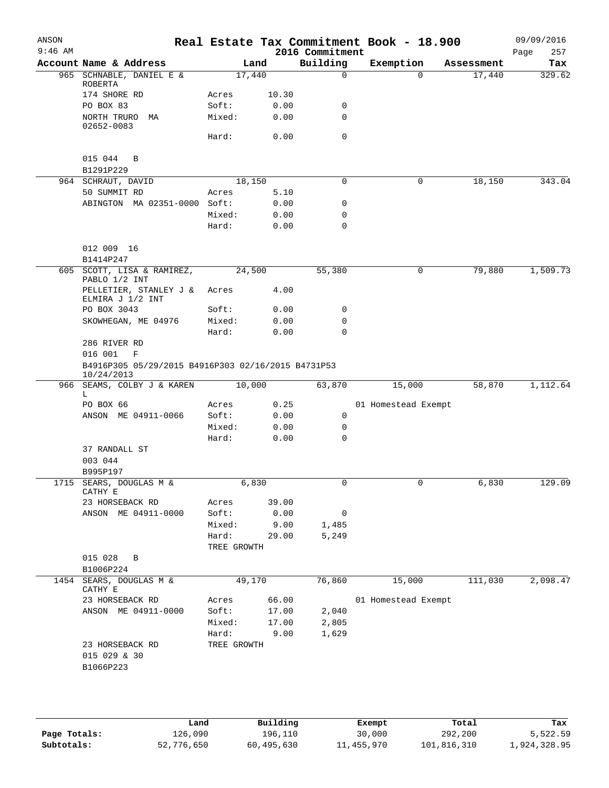| ANSON<br>$9:46$ AM |                                                                                    |                      |              | 2016 Commitment | Real Estate Tax Commitment Book - 18.900 |            | 09/09/2016         |
|--------------------|------------------------------------------------------------------------------------|----------------------|--------------|-----------------|------------------------------------------|------------|--------------------|
|                    | Account Name & Address                                                             |                      | Land         | Building        | Exemption                                | Assessment | 257<br>Page<br>Tax |
|                    | 965 SCHNABLE, DANIEL E &<br>ROBERTA                                                | 17,440               |              | $\mathbf 0$     | $\Omega$                                 | 17,440     | 329.62             |
|                    | 174 SHORE RD                                                                       | Acres                | 10.30        |                 |                                          |            |                    |
|                    | PO BOX 83                                                                          | Soft:                | 0.00         | 0               |                                          |            |                    |
|                    | NORTH TRURO MA<br>02652-0083                                                       | Mixed:               | 0.00         | 0               |                                          |            |                    |
|                    |                                                                                    | Hard:                | 0.00         | $\mathbf 0$     |                                          |            |                    |
|                    | 015 044<br>B<br>B1291P229                                                          |                      |              |                 |                                          |            |                    |
|                    | 964 SCHRAUT, DAVID                                                                 | 18,150               |              | $\mathbf 0$     | 0                                        | 18,150     | 343.04             |
|                    | 50 SUMMIT RD                                                                       | Acres                | 5.10         |                 |                                          |            |                    |
|                    | ABINGTON MA 02351-0000 Soft:                                                       |                      | 0.00         | 0               |                                          |            |                    |
|                    |                                                                                    | Mixed:               | 0.00         | 0               |                                          |            |                    |
|                    |                                                                                    | Hard:                | 0.00         | $\mathbf 0$     |                                          |            |                    |
|                    | 012 009 16                                                                         |                      |              |                 |                                          |            |                    |
|                    | B1414P247                                                                          |                      |              |                 |                                          |            |                    |
|                    | 605 SCOTT, LISA & RAMIREZ,<br>PABLO 1/2 INT                                        | 24,500               |              | 55,380          | 0                                        | 79,880     | 1,509.73           |
|                    | PELLETIER, STANLEY J &<br>ELMIRA J 1/2 INT                                         | Acres                | 4.00         |                 |                                          |            |                    |
|                    | PO BOX 3043<br>SKOWHEGAN, ME 04976                                                 | Soft:                | 0.00         | 0<br>0          |                                          |            |                    |
|                    |                                                                                    | Mixed:<br>Hard:      | 0.00<br>0.00 | 0               |                                          |            |                    |
|                    | 286 RIVER RD<br>016 001<br>F<br>B4916P305 05/29/2015 B4916P303 02/16/2015 B4731P53 |                      |              |                 |                                          |            |                    |
|                    | 10/24/2013                                                                         |                      |              |                 |                                          |            |                    |
| 966                | SEAMS, COLBY J & KAREN<br>L                                                        | 10,000               |              | 63,870          | 15,000                                   | 58,870     | 1,112.64           |
|                    | PO BOX 66                                                                          | Acres                | 0.25         |                 | 01 Homestead Exempt                      |            |                    |
|                    | ANSON ME 04911-0066                                                                | Soft:                | 0.00         | 0               |                                          |            |                    |
|                    |                                                                                    | Mixed:               | 0.00         | $\mathbf 0$     |                                          |            |                    |
|                    |                                                                                    | Hard:                | 0.00         | 0               |                                          |            |                    |
|                    | 37 RANDALL ST<br>003 044                                                           |                      |              |                 |                                          |            |                    |
|                    | B995P197                                                                           |                      |              |                 |                                          |            |                    |
|                    | 1715 SEARS, DOUGLAS M &<br>CATHY E                                                 |                      | 6,830        | 0               |                                          | 6,830      | 129.09             |
|                    | 23 HORSEBACK RD                                                                    | Acres                | 39.00        |                 |                                          |            |                    |
|                    | ANSON ME 04911-0000                                                                | Soft:                | 0.00         | 0               |                                          |            |                    |
|                    |                                                                                    | Mixed:               | 9.00         | 1,485           |                                          |            |                    |
|                    |                                                                                    | Hard:<br>TREE GROWTH | 29.00        | 5,249           |                                          |            |                    |
|                    | 015 028<br>B<br>B1006P224                                                          |                      |              |                 |                                          |            |                    |
| 1454               | SEARS, DOUGLAS M &<br>CATHY E                                                      | 49,170               |              | 76,860          | 15,000                                   | 111,030    | 2,098.47           |
|                    | 23 HORSEBACK RD                                                                    | Acres                | 66.00        |                 | 01 Homestead Exempt                      |            |                    |
|                    | ANSON ME 04911-0000                                                                | Soft:                | 17.00        | 2,040           |                                          |            |                    |
|                    |                                                                                    | Mixed:               | 17.00        | 2,805           |                                          |            |                    |
|                    |                                                                                    | Hard:                | 9.00         | 1,629           |                                          |            |                    |
|                    | 23 HORSEBACK RD<br>015 029 & 30<br>B1066P223                                       | TREE GROWTH          |              |                 |                                          |            |                    |
|                    |                                                                                    |                      |              |                 |                                          |            |                    |

|              | Land       | Building   | Exempt     | Total       | Tax          |
|--------------|------------|------------|------------|-------------|--------------|
| Page Totals: | 126,090    | 196,110    | 30,000     | 292,200     | 5,522.59     |
| Subtotals:   | 52,776,650 | 60,495,630 | 11,455,970 | 101,816,310 | 1,924,328.95 |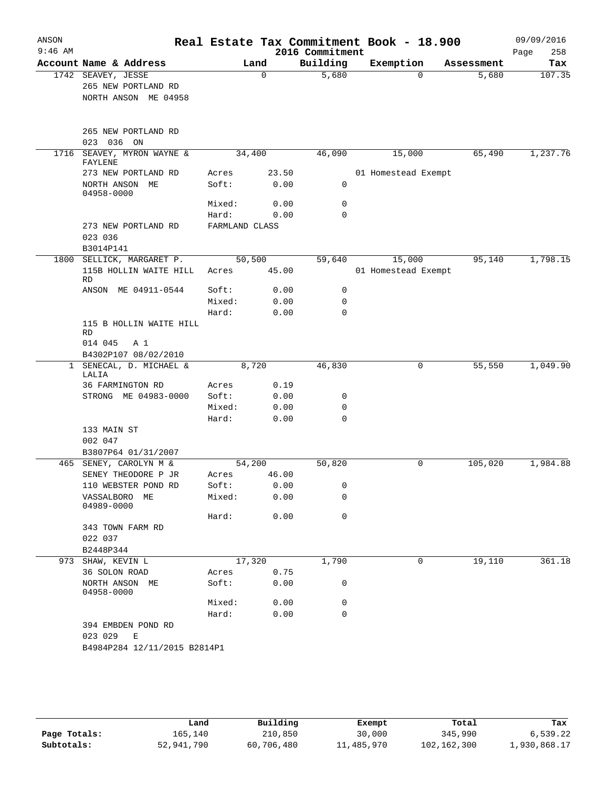| $9:46$ AM |                                                                   |                |        | Real Estate Tax Commitment Book - 18.900<br>2016 Commitment |                     |            | 09/09/2016<br>258<br>Page |
|-----------|-------------------------------------------------------------------|----------------|--------|-------------------------------------------------------------|---------------------|------------|---------------------------|
|           | Account Name & Address                                            |                | Land   | Building                                                    | Exemption           | Assessment | Tax                       |
|           | 1742 SEAVEY, JESSE<br>265 NEW PORTLAND RD<br>NORTH ANSON ME 04958 |                | 0      | 5,680                                                       | 0                   | 5,680      | 107.35                    |
|           | 265 NEW PORTLAND RD<br>023<br>036<br>ON                           |                |        |                                                             |                     |            |                           |
| 1716      | SEAVEY, MYRON WAYNE &<br>FAYLENE                                  |                | 34,400 | 46,090                                                      | 15,000              | 65,490     | 1,237.76                  |
|           | 273 NEW PORTLAND RD                                               | Acres          | 23.50  |                                                             | 01 Homestead Exempt |            |                           |
|           | NORTH ANSON ME<br>04958-0000                                      | Soft:          | 0.00   | 0                                                           |                     |            |                           |
|           |                                                                   | Mixed:         | 0.00   | 0                                                           |                     |            |                           |
|           |                                                                   | Hard:          | 0.00   | 0                                                           |                     |            |                           |
|           | 273 NEW PORTLAND RD<br>023 036<br>B3014P141                       | FARMLAND CLASS |        |                                                             |                     |            |                           |
| 1800      | SELLICK, MARGARET P.                                              |                | 50,500 | 59,640                                                      | 15,000              | 95,140     | 1,798.15                  |
|           | 115B HOLLIN WAITE HILL<br><b>RD</b>                               | Acres          | 45.00  |                                                             | 01 Homestead Exempt |            |                           |
|           | ANSON ME 04911-0544                                               | Soft:          | 0.00   | 0                                                           |                     |            |                           |
|           |                                                                   | Mixed:         | 0.00   | 0                                                           |                     |            |                           |
|           |                                                                   | Hard:          | 0.00   | $\Omega$                                                    |                     |            |                           |
|           | 115 B HOLLIN WAITE HILL<br>RD<br>014 045<br>A 1                   |                |        |                                                             |                     |            |                           |
|           | B4302P107 08/02/2010                                              |                |        |                                                             |                     |            |                           |
|           | 1 SENECAL, D. MICHAEL &<br>LALIA                                  |                | 8,720  | 46,830                                                      | 0                   | 55,550     | 1,049.90                  |
|           | 36 FARMINGTON RD                                                  | Acres          | 0.19   |                                                             |                     |            |                           |
|           | STRONG ME 04983-0000                                              | Soft:          | 0.00   | 0                                                           |                     |            |                           |
|           |                                                                   | Mixed:         | 0.00   | 0                                                           |                     |            |                           |
|           |                                                                   | Hard:          | 0.00   | $\mathbf 0$                                                 |                     |            |                           |
|           | 133 MAIN ST                                                       |                |        |                                                             |                     |            |                           |
|           | 002 047<br>B3807P64 01/31/2007                                    |                |        |                                                             |                     |            |                           |
| 465       | SENEY, CAROLYN M &                                                |                | 54,200 | 50,820                                                      | 0                   | 105,020    | 1,984.88                  |
|           | SENEY THEODORE P JR                                               | Acres          | 46.00  |                                                             |                     |            |                           |
|           | 110 WEBSTER POND RD                                               | Soft:          | 0.00   | 0                                                           |                     |            |                           |
|           | VASSALBORO ME<br>04989-0000                                       | Mixed:         | 0.00   | 0                                                           |                     |            |                           |
|           |                                                                   | Hard:          | 0.00   | 0                                                           |                     |            |                           |
|           | 343 TOWN FARM RD<br>022 037                                       |                |        |                                                             |                     |            |                           |
|           | B2448P344                                                         |                |        |                                                             |                     |            |                           |
|           | 973 SHAW, KEVIN L                                                 |                | 17,320 | 1,790                                                       | 0                   | 19,110     | 361.18                    |
|           | 36 SOLON ROAD                                                     | Acres          | 0.75   |                                                             |                     |            |                           |
|           | NORTH ANSON ME<br>04958-0000                                      | Soft:          | 0.00   | 0                                                           |                     |            |                           |
|           |                                                                   | Mixed:         | 0.00   | 0                                                           |                     |            |                           |
|           |                                                                   | Hard:          | 0.00   | 0                                                           |                     |            |                           |
|           | 394 EMBDEN POND RD<br>023 029<br>Ε                                |                |        |                                                             |                     |            |                           |
|           | B4984P284 12/11/2015 B2814P1                                      |                |        |                                                             |                     |            |                           |

|              | Land       | Building   | Exempt     | Total       | Tax          |
|--------------|------------|------------|------------|-------------|--------------|
| Page Totals: | 165.140    | 210,850    | 30,000     | 345,990     | 6,539.22     |
| Subtotals:   | 52,941,790 | 60,706,480 | 11,485,970 | 102,162,300 | 1,930,868.17 |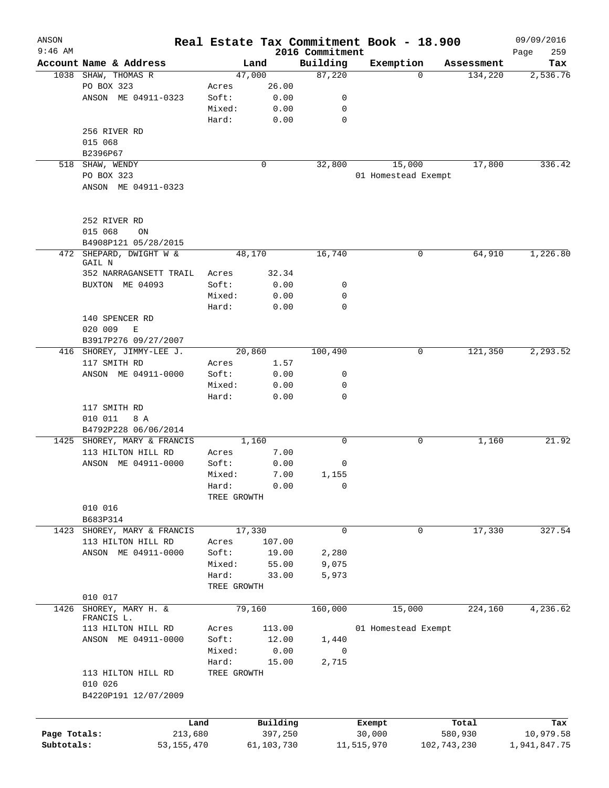| ANSON<br>$9:46$ AM |                               |             |                       | 2016 Commitment | Real Estate Tax Commitment Book - 18.900 |             | 09/09/2016<br>259<br>Page |
|--------------------|-------------------------------|-------------|-----------------------|-----------------|------------------------------------------|-------------|---------------------------|
|                    | Account Name & Address        |             | Land                  | Building        | Exemption                                | Assessment  | Tax                       |
|                    | 1038 SHAW, THOMAS R           |             | 47,000                | 87,220          | $\Omega$                                 | 134,220     | 2,536.76                  |
|                    | PO BOX 323                    | Acres       | 26.00                 |                 |                                          |             |                           |
|                    | ANSON ME 04911-0323           | Soft:       | 0.00                  | 0               |                                          |             |                           |
|                    |                               | Mixed:      | 0.00                  | 0               |                                          |             |                           |
|                    |                               | Hard:       | 0.00                  | 0               |                                          |             |                           |
|                    | 256 RIVER RD                  |             |                       |                 |                                          |             |                           |
|                    | 015 068                       |             |                       |                 |                                          |             |                           |
|                    | B2396P67                      |             |                       |                 |                                          |             |                           |
|                    | 518 SHAW, WENDY               |             | 0                     | 32,800          | 15,000                                   | 17,800      | 336.42                    |
|                    | PO BOX 323                    |             |                       |                 | 01 Homestead Exempt                      |             |                           |
|                    | ANSON ME 04911-0323           |             |                       |                 |                                          |             |                           |
|                    |                               |             |                       |                 |                                          |             |                           |
|                    |                               |             |                       |                 |                                          |             |                           |
|                    | 252 RIVER RD                  |             |                       |                 |                                          |             |                           |
|                    | 015 068<br>ON                 |             |                       |                 |                                          |             |                           |
|                    | B4908P121 05/28/2015          |             |                       |                 |                                          |             |                           |
| 472                | SHEPARD, DWIGHT W &<br>GAIL N |             | 48,170                | 16,740          | 0                                        | 64,910      | 1,226.80                  |
|                    | 352 NARRAGANSETT TRAIL        | Acres       | 32.34                 |                 |                                          |             |                           |
|                    | BUXTON ME 04093               | Soft:       | 0.00                  | 0               |                                          |             |                           |
|                    |                               | Mixed:      | 0.00                  | 0               |                                          |             |                           |
|                    |                               | Hard:       | 0.00                  | $\Omega$        |                                          |             |                           |
|                    | 140 SPENCER RD                |             |                       |                 |                                          |             |                           |
|                    | 020 009<br>E                  |             |                       |                 |                                          |             |                           |
|                    | B3917P276 09/27/2007          |             |                       |                 |                                          |             |                           |
|                    | 416 SHOREY, JIMMY-LEE J.      |             | 20,860                | 100,490         | 0                                        | 121,350     | 2,293.52                  |
|                    | 117 SMITH RD                  | Acres       | 1.57                  |                 |                                          |             |                           |
|                    | ANSON ME 04911-0000           | Soft:       | 0.00                  | 0               |                                          |             |                           |
|                    |                               | Mixed:      | 0.00                  | 0               |                                          |             |                           |
|                    |                               | Hard:       | 0.00                  | 0               |                                          |             |                           |
|                    | 117 SMITH RD                  |             |                       |                 |                                          |             |                           |
|                    | 010 011<br>8 A                |             |                       |                 |                                          |             |                           |
|                    | B4792P228 06/06/2014          |             |                       |                 |                                          |             |                           |
|                    | 1425 SHOREY, MARY & FRANCIS   |             | 1,160                 | 0               | 0                                        | 1,160       | 21.92                     |
|                    | 113 HILTON HILL RD            | Acres       | 7.00                  |                 |                                          |             |                           |
|                    | ANSON ME 04911-0000           | Soft:       | 0.00                  | 0               |                                          |             |                           |
|                    |                               | Mixed:      | 7.00                  | 1,155           |                                          |             |                           |
|                    |                               | Hard:       | 0.00                  | 0               |                                          |             |                           |
|                    |                               | TREE GROWTH |                       |                 |                                          |             |                           |
|                    | 010 016                       |             |                       |                 |                                          |             |                           |
|                    | B683P314                      |             |                       |                 |                                          |             |                           |
| 1423               | SHOREY, MARY & FRANCIS        |             | 17,330                | 0               | 0                                        | 17,330      | 327.54                    |
|                    | 113 HILTON HILL RD            | Acres       | 107.00                |                 |                                          |             |                           |
|                    | ANSON ME 04911-0000           | Soft:       | 19.00                 | 2,280           |                                          |             |                           |
|                    |                               | Mixed:      |                       | 9,075           |                                          |             |                           |
|                    |                               | Hard:       | 55.00                 |                 |                                          |             |                           |
|                    |                               |             | 33.00                 | 5,973           |                                          |             |                           |
|                    |                               | TREE GROWTH |                       |                 |                                          |             |                           |
| 1426               | 010 017<br>SHOREY, MARY H. &  |             | 79,160                | 160,000         | 15,000                                   | 224,160     | 4,236.62                  |
|                    | FRANCIS L.                    |             |                       |                 |                                          |             |                           |
|                    | 113 HILTON HILL RD            | Acres       | 113.00                |                 | 01 Homestead Exempt                      |             |                           |
|                    | ANSON ME 04911-0000           | Soft:       | 12.00                 | 1,440           |                                          |             |                           |
|                    |                               | Mixed:      | 0.00                  | 0               |                                          |             |                           |
|                    |                               | Hard:       | 15.00                 | 2,715           |                                          |             |                           |
|                    | 113 HILTON HILL RD            | TREE GROWTH |                       |                 |                                          |             |                           |
|                    | 010 026                       |             |                       |                 |                                          |             |                           |
|                    | B4220P191 12/07/2009          |             |                       |                 |                                          |             |                           |
|                    |                               |             |                       |                 |                                          |             |                           |
| Page Totals:       | Land                          |             | Building              |                 | Exempt                                   | Total       | Tax                       |
| Subtotals:         | 213,680<br>53, 155, 470       |             | 397,250<br>61,103,730 |                 | 30,000<br>11,515,970                     | 580,930     | 10,979.58                 |
|                    |                               |             |                       |                 |                                          | 102,743,230 | 1,941,847.75              |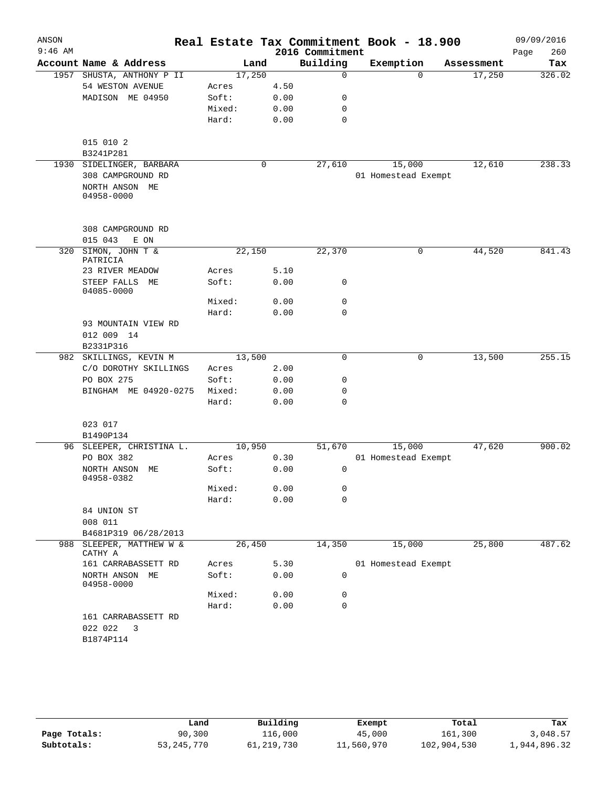| ANSON     |                                 |        |      |      | Real Estate Tax Commitment Book - 18.900 |                     |          |            |      | 09/09/2016 |
|-----------|---------------------------------|--------|------|------|------------------------------------------|---------------------|----------|------------|------|------------|
| $9:46$ AM |                                 |        |      |      | 2016 Commitment                          |                     |          |            | Page | 260        |
|           | Account Name & Address          |        | Land |      | Building                                 | Exemption           |          | Assessment |      | Tax        |
|           | 1957 SHUSTA, ANTHONY P II       | 17,250 |      |      | $\Omega$                                 |                     | $\Omega$ | 17,250     |      | 326.02     |
|           | 54 WESTON AVENUE                | Acres  |      | 4.50 |                                          |                     |          |            |      |            |
|           | MADISON ME 04950                | Soft:  |      | 0.00 | 0                                        |                     |          |            |      |            |
|           |                                 | Mixed: |      | 0.00 | $\mathbf 0$                              |                     |          |            |      |            |
|           |                                 | Hard:  |      | 0.00 | $\mathbf 0$                              |                     |          |            |      |            |
|           | 015 010 2                       |        |      |      |                                          |                     |          |            |      |            |
|           | B3241P281                       |        |      |      |                                          |                     |          |            |      |            |
|           | 1930 SIDELINGER, BARBARA        |        | 0    |      | 27,610                                   | 15,000              |          | 12,610     |      | 238.33     |
|           | 308 CAMPGROUND RD               |        |      |      |                                          | 01 Homestead Exempt |          |            |      |            |
|           | NORTH ANSON ME<br>04958-0000    |        |      |      |                                          |                     |          |            |      |            |
|           | 308 CAMPGROUND RD               |        |      |      |                                          |                     |          |            |      |            |
|           | 015 043<br>E ON                 |        |      |      |                                          |                     |          |            |      |            |
| 320       | SIMON, JOHN T &<br>PATRICIA     | 22,150 |      |      | 22,370                                   |                     | 0        | 44,520     |      | 841.43     |
|           | 23 RIVER MEADOW                 | Acres  |      | 5.10 |                                          |                     |          |            |      |            |
|           | STEEP FALLS ME<br>04085-0000    | Soft:  |      | 0.00 | 0                                        |                     |          |            |      |            |
|           |                                 | Mixed: |      | 0.00 | 0                                        |                     |          |            |      |            |
|           |                                 | Hard:  |      | 0.00 | $\mathbf 0$                              |                     |          |            |      |            |
|           | 93 MOUNTAIN VIEW RD             |        |      |      |                                          |                     |          |            |      |            |
|           | 012 009 14                      |        |      |      |                                          |                     |          |            |      |            |
|           | B2331P316                       |        |      |      |                                          |                     |          |            |      |            |
|           | 982 SKILLINGS, KEVIN M          | 13,500 |      |      | $\mathbf 0$                              |                     | 0        | 13,500     |      | 255.15     |
|           | C/O DOROTHY SKILLINGS           | Acres  |      | 2.00 |                                          |                     |          |            |      |            |
|           | PO BOX 275                      | Soft:  |      | 0.00 | 0                                        |                     |          |            |      |            |
|           | BINGHAM ME 04920-0275           | Mixed: |      | 0.00 | 0                                        |                     |          |            |      |            |
|           |                                 | Hard:  |      | 0.00 | $\mathbf 0$                              |                     |          |            |      |            |
|           | 023 017                         |        |      |      |                                          |                     |          |            |      |            |
|           | B1490P134                       |        |      |      |                                          |                     |          |            |      |            |
|           | 96 SLEEPER, CHRISTINA L.        | 10,950 |      |      | 51,670                                   | 15,000              |          | 47,620     |      | 900.02     |
|           | PO BOX 382                      | Acres  |      | 0.30 |                                          | 01 Homestead Exempt |          |            |      |            |
|           | NORTH ANSON ME<br>04958-0382    | Soft:  |      | 0.00 | $\mathbf 0$                              |                     |          |            |      |            |
|           |                                 | Mixed: |      | 0.00 | 0                                        |                     |          |            |      |            |
|           |                                 | Hard:  |      | 0.00 | 0                                        |                     |          |            |      |            |
|           | 84 UNION ST                     |        |      |      |                                          |                     |          |            |      |            |
|           | 008 011                         |        |      |      |                                          |                     |          |            |      |            |
|           | B4681P319 06/28/2013            |        |      |      |                                          |                     |          |            |      |            |
| 988       | SLEEPER, MATTHEW W &<br>CATHY A | 26,450 |      |      | 14,350                                   | 15,000              |          | 25,800     |      | 487.62     |
|           | 161 CARRABASSETT RD             | Acres  |      | 5.30 |                                          | 01 Homestead Exempt |          |            |      |            |
|           | NORTH ANSON<br>ME<br>04958-0000 | Soft:  |      | 0.00 | 0                                        |                     |          |            |      |            |
|           |                                 | Mixed: |      | 0.00 | 0                                        |                     |          |            |      |            |
|           |                                 | Hard:  |      | 0.00 | 0                                        |                     |          |            |      |            |
|           | 161 CARRABASSETT RD             |        |      |      |                                          |                     |          |            |      |            |
|           | 022 022<br>3                    |        |      |      |                                          |                     |          |            |      |            |
|           | B1874P114                       |        |      |      |                                          |                     |          |            |      |            |
|           |                                 |        |      |      |                                          |                     |          |            |      |            |

|              | Land       | Building     | Exempt     | Total       | Tax          |
|--------------|------------|--------------|------------|-------------|--------------|
| Page Totals: | 90,300     | 116,000      | 45,000     | 161,300     | 3,048.57     |
| Subtotals:   | 53,245,770 | 61, 219, 730 | 11,560,970 | 102,904,530 | 1,944,896.32 |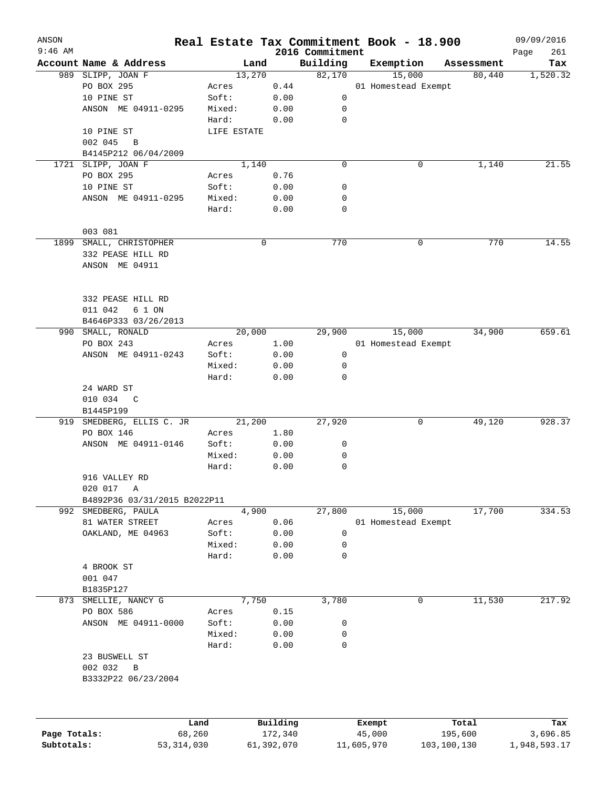| ANSON        |                              |              |             |             |                             | Real Estate Tax Commitment Book - 18.900 |                      | 09/09/2016         |
|--------------|------------------------------|--------------|-------------|-------------|-----------------------------|------------------------------------------|----------------------|--------------------|
| $9:46$ AM    | Account Name & Address       |              | Land        |             | 2016 Commitment<br>Building |                                          |                      | 261<br>Page<br>Tax |
|              | 989 SLIPP, JOAN F            |              | 13,270      |             | 82,170                      | Exemption<br>15,000                      | Assessment<br>80,440 | 1,520.32           |
|              | PO BOX 295                   |              | Acres       | 0.44        |                             | 01 Homestead Exempt                      |                      |                    |
|              | 10 PINE ST                   |              | Soft:       | 0.00        | 0                           |                                          |                      |                    |
|              | ANSON ME 04911-0295          |              | Mixed:      | 0.00        | 0                           |                                          |                      |                    |
|              |                              |              | Hard:       | 0.00        | 0                           |                                          |                      |                    |
|              | 10 PINE ST                   |              | LIFE ESTATE |             |                             |                                          |                      |                    |
|              | 002 045<br>$\overline{B}$    |              |             |             |                             |                                          |                      |                    |
|              | B4145P212 06/04/2009         |              |             |             |                             |                                          |                      |                    |
|              | 1721 SLIPP, JOAN F           |              | 1,140       |             | 0                           | 0                                        | 1,140                | 21.55              |
|              | PO BOX 295                   |              | Acres       | 0.76        |                             |                                          |                      |                    |
|              | 10 PINE ST                   |              | Soft:       | 0.00        | 0                           |                                          |                      |                    |
|              | ANSON ME 04911-0295          |              | Mixed:      | 0.00        | 0                           |                                          |                      |                    |
|              |                              |              | Hard:       | 0.00        | 0                           |                                          |                      |                    |
|              |                              |              |             |             |                             |                                          |                      |                    |
|              | 003 081                      |              |             |             |                             |                                          |                      |                    |
| 1899         | SMALL, CHRISTOPHER           |              |             | $\mathbf 0$ | 770                         | $\mathbf 0$                              | 770                  | 14.55              |
|              | 332 PEASE HILL RD            |              |             |             |                             |                                          |                      |                    |
|              | ANSON ME 04911               |              |             |             |                             |                                          |                      |                    |
|              |                              |              |             |             |                             |                                          |                      |                    |
|              | 332 PEASE HILL RD            |              |             |             |                             |                                          |                      |                    |
|              | 011 042<br>6 1 ON            |              |             |             |                             |                                          |                      |                    |
|              | B4646P333 03/26/2013         |              |             |             |                             |                                          |                      |                    |
| 990          | SMALL, RONALD                |              | 20,000      |             | 29,900                      | 15,000                                   | 34,900               | 659.61             |
|              | PO BOX 243                   |              | Acres       | 1.00        |                             | 01 Homestead Exempt                      |                      |                    |
|              | ANSON ME 04911-0243          |              | Soft:       | 0.00        | 0                           |                                          |                      |                    |
|              |                              |              | Mixed:      | 0.00        | 0                           |                                          |                      |                    |
|              |                              |              | Hard:       | 0.00        | 0                           |                                          |                      |                    |
|              | 24 WARD ST                   |              |             |             |                             |                                          |                      |                    |
|              | 010 034 C                    |              |             |             |                             |                                          |                      |                    |
|              | B1445P199                    |              |             |             |                             |                                          |                      |                    |
| 919          | SMEDBERG, ELLIS C. JR        |              | 21,200      |             | 27,920                      | 0                                        | 49,120               | 928.37             |
|              | PO BOX 146                   |              | Acres       | 1.80        |                             |                                          |                      |                    |
|              | ANSON ME 04911-0146          |              | Soft:       | 0.00        | 0                           |                                          |                      |                    |
|              |                              |              | Mixed:      | 0.00        | 0                           |                                          |                      |                    |
|              |                              |              | Hard:       | 0.00        | 0                           |                                          |                      |                    |
|              | 916 VALLEY RD                |              |             |             |                             |                                          |                      |                    |
|              | 020 017<br>Α                 |              |             |             |                             |                                          |                      |                    |
|              | B4892P36 03/31/2015 B2022P11 |              |             |             |                             |                                          |                      |                    |
|              | 992 SMEDBERG, PAULA          |              | 4,900       |             | 27,800                      | 15,000                                   | 17,700               | 334.53             |
|              | 81 WATER STREET              |              | Acres       | 0.06        |                             | 01 Homestead Exempt                      |                      |                    |
|              | OAKLAND, ME 04963            |              | Soft:       | 0.00        | 0                           |                                          |                      |                    |
|              |                              |              | Mixed:      | 0.00        | 0                           |                                          |                      |                    |
|              |                              |              | Hard:       | 0.00        | 0                           |                                          |                      |                    |
|              | 4 BROOK ST                   |              |             |             |                             |                                          |                      |                    |
|              | 001 047                      |              |             |             |                             |                                          |                      |                    |
|              | B1835P127                    |              |             |             |                             |                                          |                      |                    |
| 873          | SMELLIE, NANCY G             |              | 7,750       |             | 3,780                       | 0                                        | 11,530               | 217.92             |
|              | PO BOX 586                   |              | Acres       | 0.15        |                             |                                          |                      |                    |
|              | ANSON ME 04911-0000          |              | Soft:       | 0.00        | 0                           |                                          |                      |                    |
|              |                              |              | Mixed:      | 0.00        | 0                           |                                          |                      |                    |
|              |                              |              | Hard:       | 0.00        | 0                           |                                          |                      |                    |
|              | 23 BUSWELL ST                |              |             |             |                             |                                          |                      |                    |
|              | 002 032<br>$\, {\bf B}$      |              |             |             |                             |                                          |                      |                    |
|              | B3332P22 06/23/2004          |              |             |             |                             |                                          |                      |                    |
|              |                              |              |             |             |                             |                                          |                      |                    |
|              |                              | Land         |             | Building    |                             | Exempt                                   | Total                | Tax                |
| Page Totals: |                              | 68,260       |             | 172,340     |                             | 45,000                                   | 195,600              | 3,696.85           |
| Subtotals:   |                              | 53, 314, 030 |             | 61,392,070  |                             | 11,605,970                               | 103,100,130          | 1,948,593.17       |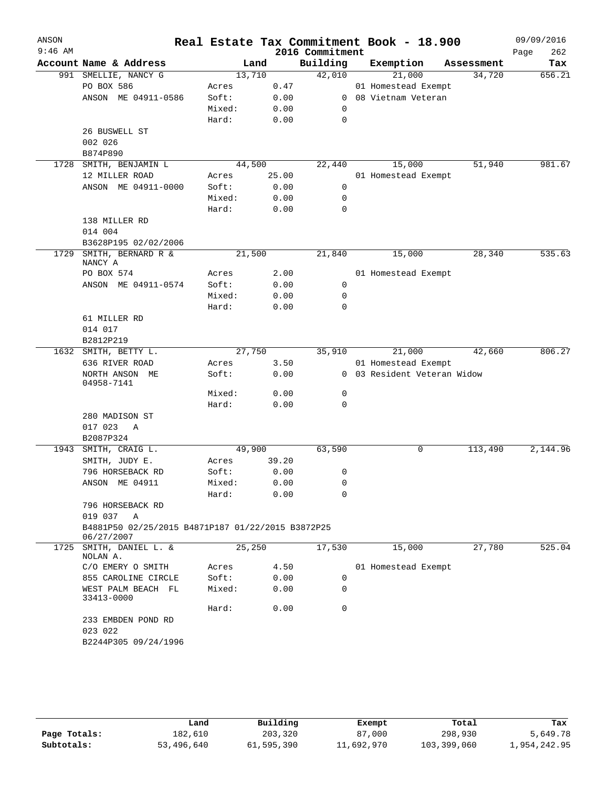| ANSON<br>$9:46$ AM |                                                   |        |       | 2016 Commitment | Real Estate Tax Commitment Book - 18.900 |            | 09/09/2016<br>Page<br>262 |
|--------------------|---------------------------------------------------|--------|-------|-----------------|------------------------------------------|------------|---------------------------|
|                    | Account Name & Address                            |        | Land  | Building        | Exemption                                | Assessment | Tax                       |
|                    | 991 SMELLIE, NANCY G                              | 13,710 |       | 42,010          | 21,000                                   | 34,720     | 656.21                    |
|                    | PO BOX 586                                        | Acres  | 0.47  |                 | 01 Homestead Exempt                      |            |                           |
|                    | ANSON ME 04911-0586                               | Soft:  | 0.00  | $\mathbf{0}$    | 08 Vietnam Veteran                       |            |                           |
|                    |                                                   | Mixed: | 0.00  | 0               |                                          |            |                           |
|                    |                                                   | Hard:  | 0.00  | 0               |                                          |            |                           |
|                    | 26 BUSWELL ST                                     |        |       |                 |                                          |            |                           |
|                    | 002 026                                           |        |       |                 |                                          |            |                           |
|                    | B874P890                                          |        |       |                 |                                          |            |                           |
|                    | 1728 SMITH, BENJAMIN L                            | 44,500 |       | 22,440          | 15,000                                   | 51,940     | 981.67                    |
|                    | 12 MILLER ROAD                                    | Acres  | 25.00 |                 | 01 Homestead Exempt                      |            |                           |
|                    | ANSON ME 04911-0000                               | Soft:  | 0.00  | 0               |                                          |            |                           |
|                    |                                                   | Mixed: | 0.00  | 0               |                                          |            |                           |
|                    |                                                   | Hard:  | 0.00  | $\Omega$        |                                          |            |                           |
|                    | 138 MILLER RD                                     |        |       |                 |                                          |            |                           |
|                    | 014 004                                           |        |       |                 |                                          |            |                           |
|                    | B3628P195 02/02/2006                              |        |       |                 |                                          |            |                           |
| 1729               | SMITH, BERNARD R &                                | 21,500 |       | 21,840          | 15,000                                   | 28,340     | 535.63                    |
|                    | NANCY A                                           |        |       |                 |                                          |            |                           |
|                    | PO BOX 574                                        | Acres  | 2.00  |                 | 01 Homestead Exempt                      |            |                           |
|                    | ANSON ME 04911-0574                               | Soft:  | 0.00  | 0               |                                          |            |                           |
|                    |                                                   | Mixed: | 0.00  | 0               |                                          |            |                           |
|                    |                                                   | Hard:  | 0.00  | $\Omega$        |                                          |            |                           |
|                    | 61 MILLER RD                                      |        |       |                 |                                          |            |                           |
|                    | 014 017                                           |        |       |                 |                                          |            |                           |
|                    | B2812P219                                         |        |       |                 |                                          |            |                           |
|                    | 1632 SMITH, BETTY L.                              | 27,750 |       | 35,910          | 21,000                                   | 42,660     | 806.27                    |
|                    | 636 RIVER ROAD                                    | Acres  | 3.50  |                 | 01 Homestead Exempt                      |            |                           |
|                    | NORTH ANSON ME<br>04958-7141                      | Soft:  | 0.00  |                 | 0 03 Resident Veteran Widow              |            |                           |
|                    |                                                   | Mixed: | 0.00  | 0               |                                          |            |                           |
|                    |                                                   | Hard:  | 0.00  | 0               |                                          |            |                           |
|                    | 280 MADISON ST                                    |        |       |                 |                                          |            |                           |
|                    | 017 023<br>A                                      |        |       |                 |                                          |            |                           |
|                    | B2087P324                                         |        |       |                 |                                          |            |                           |
| 1943               | SMITH, CRAIG L.                                   | 49,900 |       | 63,590          | 0                                        | 113,490    | 2,144.96                  |
|                    | SMITH, JUDY E.                                    | Acres  | 39.20 |                 |                                          |            |                           |
|                    | 796 HORSEBACK RD                                  | Soft:  | 0.00  | 0               |                                          |            |                           |
|                    | ANSON ME 04911                                    | Mixed: | 0.00  | 0               |                                          |            |                           |
|                    |                                                   | Hard:  | 0.00  | 0               |                                          |            |                           |
|                    | 796 HORSEBACK RD                                  |        |       |                 |                                          |            |                           |
|                    | 019 037 A                                         |        |       |                 |                                          |            |                           |
|                    | B4881P50 02/25/2015 B4871P187 01/22/2015 B3872P25 |        |       |                 |                                          |            |                           |
|                    | 06/27/2007                                        |        |       |                 |                                          |            |                           |
| 1725               | SMITH, DANIEL L. &<br>NOLAN A.                    | 25,250 |       | 17,530          | 15,000                                   | 27,780     | 525.04                    |
|                    | C/O EMERY O SMITH                                 | Acres  | 4.50  |                 | 01 Homestead Exempt                      |            |                           |
|                    | 855 CAROLINE CIRCLE                               | Soft:  | 0.00  | 0               |                                          |            |                           |
|                    | WEST PALM BEACH FL                                | Mixed: | 0.00  | 0               |                                          |            |                           |
|                    | 33413-0000                                        |        |       |                 |                                          |            |                           |
|                    |                                                   | Hard:  | 0.00  | $\Omega$        |                                          |            |                           |
|                    | 233 EMBDEN POND RD<br>023 022                     |        |       |                 |                                          |            |                           |
|                    | B2244P305 09/24/1996                              |        |       |                 |                                          |            |                           |
|                    |                                                   |        |       |                 |                                          |            |                           |
|                    |                                                   |        |       |                 |                                          |            |                           |

|              | Land       | Building   | Exempt     | Total       | Tax          |
|--------------|------------|------------|------------|-------------|--------------|
| Page Totals: | 182,610    | 203,320    | 87,000     | 298,930     | 5,649.78     |
| Subtotals:   | 53,496,640 | 61,595,390 | 11,692,970 | 103,399,060 | 1,954,242.95 |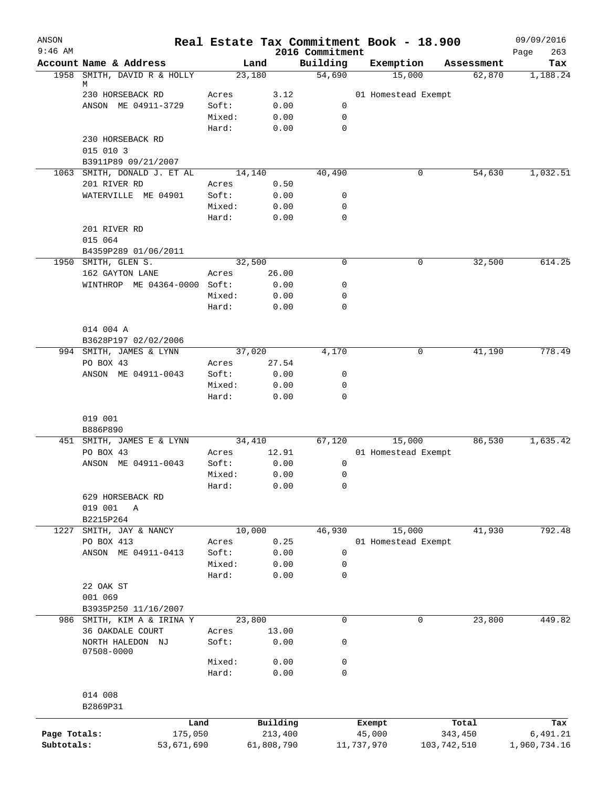| ANSON<br>$9:46$ AM |                                         |                |              | 2016 Commitment | Real Estate Tax Commitment Book - 18.900 |             | 09/09/2016<br>263<br>Page |
|--------------------|-----------------------------------------|----------------|--------------|-----------------|------------------------------------------|-------------|---------------------------|
|                    | Account Name & Address                  | Land           |              | Building        | Exemption                                | Assessment  | Tax                       |
|                    | 1958 SMITH, DAVID R & HOLLY             | 23,180         |              | 54,690          | 15,000                                   | 62,870      | 1,188.24                  |
|                    | М                                       |                |              |                 |                                          |             |                           |
|                    | 230 HORSEBACK RD<br>ANSON ME 04911-3729 | Acres<br>Soft: | 3.12<br>0.00 | $\mathbf 0$     | 01 Homestead Exempt                      |             |                           |
|                    |                                         | Mixed:         | 0.00         | 0               |                                          |             |                           |
|                    |                                         | Hard:          | 0.00         | $\mathbf 0$     |                                          |             |                           |
|                    | 230 HORSEBACK RD                        |                |              |                 |                                          |             |                           |
|                    | 015 010 3                               |                |              |                 |                                          |             |                           |
|                    | B3911P89 09/21/2007                     |                |              |                 |                                          |             |                           |
|                    | 1063 SMITH, DONALD J. ET AL             | 14,140         |              | 40,490          | 0                                        | 54,630      | 1,032.51                  |
|                    | 201 RIVER RD                            | Acres          | 0.50         |                 |                                          |             |                           |
|                    | WATERVILLE ME 04901                     | Soft:          | 0.00         | 0               |                                          |             |                           |
|                    |                                         | Mixed:         | 0.00         | $\mathbf 0$     |                                          |             |                           |
|                    |                                         | Hard:          | 0.00         | $\mathbf 0$     |                                          |             |                           |
|                    | 201 RIVER RD                            |                |              |                 |                                          |             |                           |
|                    | 015 064                                 |                |              |                 |                                          |             |                           |
|                    | B4359P289 01/06/2011                    |                |              |                 |                                          |             |                           |
|                    | 1950 SMITH, GLEN S.                     | 32,500         |              | 0               | 0                                        | 32,500      | 614.25                    |
|                    | 162 GAYTON LANE                         | Acres          | 26.00        |                 |                                          |             |                           |
|                    | WINTHROP ME 04364-0000 Soft:            |                | 0.00         | 0               |                                          |             |                           |
|                    |                                         | Mixed:         | 0.00         | 0               |                                          |             |                           |
|                    |                                         | Hard:          | 0.00         | 0               |                                          |             |                           |
|                    | 014 004 A                               |                |              |                 |                                          |             |                           |
|                    | B3628P197 02/02/2006                    |                |              |                 |                                          |             |                           |
|                    | 994 SMITH, JAMES & LYNN                 | 37,020         |              | 4,170           | 0                                        | 41,190      | 778.49                    |
|                    | PO BOX 43                               | Acres          | 27.54        |                 |                                          |             |                           |
|                    | ANSON ME 04911-0043                     | Soft:          | 0.00         | 0               |                                          |             |                           |
|                    |                                         | Mixed:         | 0.00         | 0               |                                          |             |                           |
|                    |                                         | Hard:          | 0.00         | 0               |                                          |             |                           |
|                    |                                         |                |              |                 |                                          |             |                           |
|                    | 019 001<br>B886P890                     |                |              |                 |                                          |             |                           |
|                    | 451 SMITH, JAMES E & LYNN               | 34,410         |              | 67, 120         | 15,000                                   | 86,530      | 1,635.42                  |
|                    | PO BOX 43                               | Acres          | 12.91        |                 | 01 Homestead Exempt                      |             |                           |
|                    | ANSON ME 04911-0043                     | Soft:          | 0.00         | 0               |                                          |             |                           |
|                    |                                         | Mixed:         | 0.00         | 0               |                                          |             |                           |
|                    |                                         | Hard:          | 0.00         | 0               |                                          |             |                           |
|                    | 629 HORSEBACK RD                        |                |              |                 |                                          |             |                           |
|                    | 019 001<br>A                            |                |              |                 |                                          |             |                           |
|                    | B2215P264                               |                |              |                 |                                          |             |                           |
| 1227               | SMITH, JAY & NANCY                      | 10,000         |              | 46,930          | 15,000                                   | 41,930      | 792.48                    |
|                    | PO BOX 413                              | Acres          | 0.25         |                 | 01 Homestead Exempt                      |             |                           |
|                    | ANSON ME 04911-0413                     | Soft:          | 0.00         | 0               |                                          |             |                           |
|                    |                                         | Mixed:         | 0.00         | 0               |                                          |             |                           |
|                    |                                         | Hard:          | 0.00         | 0               |                                          |             |                           |
|                    | 22 OAK ST<br>001 069                    |                |              |                 |                                          |             |                           |
|                    | B3935P250 11/16/2007                    |                |              |                 |                                          |             |                           |
|                    | 986 SMITH, KIM A & IRINA Y              | 23,800         |              | 0               | 0                                        | 23,800      | 449.82                    |
|                    | 36 OAKDALE COURT                        | Acres          | 13.00        |                 |                                          |             |                           |
|                    | NORTH HALEDON NJ                        | Soft:          | 0.00         | 0               |                                          |             |                           |
|                    | 07508-0000                              |                |              |                 |                                          |             |                           |
|                    |                                         | Mixed:         | 0.00         | 0               |                                          |             |                           |
|                    |                                         | Hard:          | 0.00         | 0               |                                          |             |                           |
|                    |                                         |                |              |                 |                                          |             |                           |
|                    | 014 008                                 |                |              |                 |                                          |             |                           |
|                    | B2869P31                                |                |              |                 |                                          |             |                           |
|                    | Land                                    |                | Building     |                 | Exempt                                   | Total       | Tax                       |
| Page Totals:       | 175,050                                 |                | 213,400      |                 | 45,000                                   | 343,450     | 6,491.21                  |
| Subtotals:         | 53,671,690                              |                | 61,808,790   |                 | 11,737,970                               | 103,742,510 | 1,960,734.16              |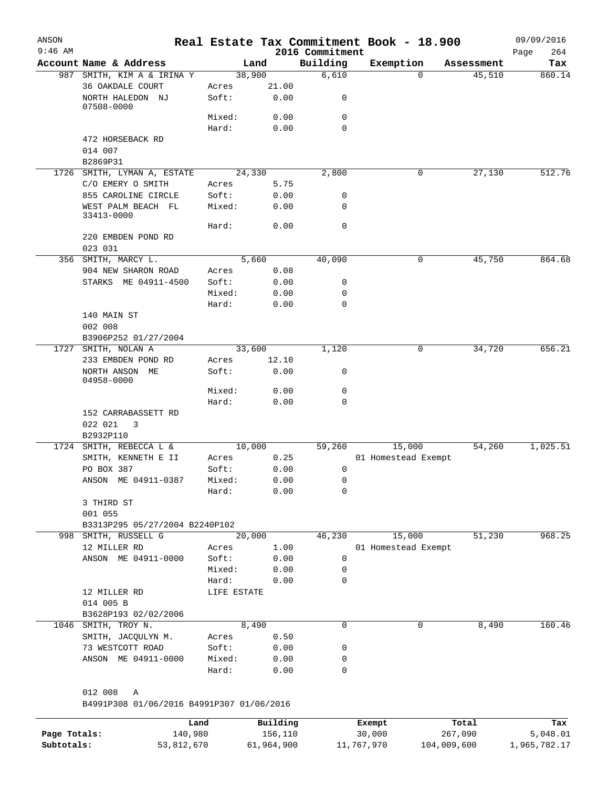| ANSON        |                                                |                 |                 |                  | Real Estate Tax Commitment Book - 18.900 |             |            | 09/09/2016   |
|--------------|------------------------------------------------|-----------------|-----------------|------------------|------------------------------------------|-------------|------------|--------------|
| $9:46$ AM    |                                                |                 |                 | 2016 Commitment  |                                          |             |            | 264<br>Page  |
|              | Account Name & Address                         |                 | Land            | Building         | Exemption                                | $\Omega$    | Assessment | Tax          |
|              | 987 SMITH, KIM A & IRINA Y<br>36 OAKDALE COURT | Acres           | 38,900<br>21.00 | 6,610            |                                          |             | 45,510     | 860.14       |
|              | NORTH HALEDON NJ<br>07508-0000                 | Soft:           | 0.00            | 0                |                                          |             |            |              |
|              |                                                | Mixed:          | 0.00            | $\mathbf 0$      |                                          |             |            |              |
|              |                                                | Hard:           | 0.00            | $\mathbf 0$      |                                          |             |            |              |
|              | 472 HORSEBACK RD                               |                 |                 |                  |                                          |             |            |              |
|              | 014 007<br>B2869P31                            |                 |                 |                  |                                          |             |            |              |
|              | 1726 SMITH, LYMAN A, ESTATE                    |                 | 24,330          | 2,800            |                                          | 0           | 27,130     | 512.76       |
|              | C/O EMERY O SMITH                              | Acres           | 5.75            |                  |                                          |             |            |              |
|              | 855 CAROLINE CIRCLE                            | Soft:           | 0.00            | 0                |                                          |             |            |              |
|              | WEST PALM BEACH FL                             | Mixed:          | 0.00            | $\mathbf 0$      |                                          |             |            |              |
|              | 33413-0000                                     |                 |                 |                  |                                          |             |            |              |
|              |                                                | Hard:           | 0.00            | $\mathbf 0$      |                                          |             |            |              |
|              | 220 EMBDEN POND RD                             |                 |                 |                  |                                          |             |            |              |
|              | 023 031                                        |                 |                 |                  |                                          |             |            |              |
|              | 356 SMITH, MARCY L.                            |                 | 5,660           | 40,090           |                                          | 0           | 45,750     | 864.68       |
|              | 904 NEW SHARON ROAD                            | Acres           | 0.08            |                  |                                          |             |            |              |
|              | STARKS ME 04911-4500                           | Soft:           | 0.00            | 0                |                                          |             |            |              |
|              |                                                | Mixed:          | 0.00            | 0                |                                          |             |            |              |
|              |                                                | Hard:           | 0.00            | $\mathbf 0$      |                                          |             |            |              |
|              | 140 MAIN ST                                    |                 |                 |                  |                                          |             |            |              |
|              | 002 008                                        |                 |                 |                  |                                          |             |            |              |
|              | B3906P252 01/27/2004                           |                 |                 |                  |                                          |             |            |              |
|              | 1727 SMITH, NOLAN A                            |                 | 33,600          | 1,120            |                                          | 0           | 34,720     | 656.21       |
|              | 233 EMBDEN POND RD                             | Acres           | 12.10           |                  |                                          |             |            |              |
|              | NORTH ANSON ME<br>04958-0000                   | Soft:           | 0.00            | 0                |                                          |             |            |              |
|              |                                                | Mixed:          | 0.00            | 0                |                                          |             |            |              |
|              |                                                | Hard:           | 0.00            | $\mathbf 0$      |                                          |             |            |              |
|              | 152 CARRABASSETT RD<br>022 021<br>3            |                 |                 |                  |                                          |             |            |              |
|              | B2932P110                                      |                 |                 |                  |                                          |             |            |              |
|              | 1724 SMITH, REBECCA L &                        |                 | 10,000          | 59,260           | 15,000                                   |             | 54,260     | 1,025.51     |
|              | SMITH, KENNETH E II                            | Acres           | 0.25            |                  | 01 Homestead Exempt                      |             |            |              |
|              | PO BOX 387                                     | Soft:           | 0.00            | 0                |                                          |             |            |              |
|              | ANSON ME 04911-0387                            | Mixed:          | 0.00            | 0                |                                          |             |            |              |
|              |                                                | Hard:           | 0.00            | 0                |                                          |             |            |              |
|              | 3 THIRD ST                                     |                 |                 |                  |                                          |             |            |              |
|              | 001 055                                        |                 |                 |                  |                                          |             |            |              |
|              | B3313P295 05/27/2004 B2240P102                 |                 |                 |                  |                                          |             |            |              |
|              | 998 SMITH, RUSSELL G                           |                 | 20,000          | 46,230           | 15,000                                   |             | 51,230     | 968.25       |
|              | 12 MILLER RD                                   | Acres           | 1.00            |                  | 01 Homestead Exempt                      |             |            |              |
|              | ANSON ME 04911-0000                            | Soft:           | 0.00            | $\mathbf 0$      |                                          |             |            |              |
|              |                                                | Mixed:          | 0.00            | 0                |                                          |             |            |              |
|              |                                                | Hard:           | 0.00            | $\mathbf 0$      |                                          |             |            |              |
|              | 12 MILLER RD                                   | LIFE ESTATE     |                 |                  |                                          |             |            |              |
|              | 014 005 B                                      |                 |                 |                  |                                          |             |            |              |
|              | B3628P193 02/02/2006                           |                 |                 |                  |                                          |             |            |              |
| 1046         | SMITH, TROY N.                                 |                 | 8,490           | $\mathbf 0$      |                                          | 0           | 8,490      | 160.46       |
|              | SMITH, JACQULYN M.                             | Acres           | 0.50            |                  |                                          |             |            |              |
|              | 73 WESTCOTT ROAD                               | Soft:           | 0.00            | 0                |                                          |             |            |              |
|              | ANSON ME 04911-0000                            | Mixed:<br>Hard: | 0.00<br>0.00    | 0<br>$\mathbf 0$ |                                          |             |            |              |
|              |                                                |                 |                 |                  |                                          |             |            |              |
|              | 012 008<br>Α                                   |                 |                 |                  |                                          |             |            |              |
|              | B4991P308 01/06/2016 B4991P307 01/06/2016      |                 |                 |                  |                                          |             |            |              |
|              |                                                | Land            | Building        |                  | Exempt                                   |             | Total      | Tax          |
| Page Totals: |                                                | 140,980         | 156,110         |                  | 30,000                                   |             | 267,090    | 5,048.01     |
| Subtotals:   |                                                | 53,812,670      | 61,964,900      |                  | 11,767,970                               | 104,009,600 |            | 1,965,782.17 |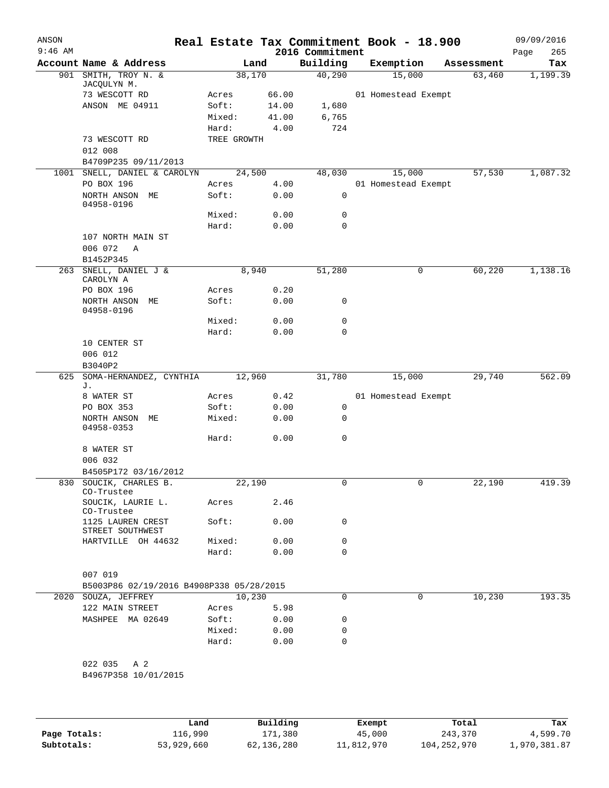| ANSON<br>$9:46$ AM |                                                                 |             |        | 2016 Commitment | Real Estate Tax Commitment Book - 18.900 |             |            | 09/09/2016<br>265<br>Page |
|--------------------|-----------------------------------------------------------------|-------------|--------|-----------------|------------------------------------------|-------------|------------|---------------------------|
|                    | Account Name & Address                                          |             | Land   | Building        | Exemption                                |             | Assessment | Tax                       |
| 901                | SMITH, TROY N. &<br>JACQULYN M.                                 | 38,170      |        | 40,290          | 15,000                                   |             | 63,460     | 1,199.39                  |
|                    | 73 WESCOTT RD                                                   | Acres       | 66.00  |                 | 01 Homestead Exempt                      |             |            |                           |
|                    | ANSON ME 04911                                                  | Soft:       | 14.00  | 1,680           |                                          |             |            |                           |
|                    |                                                                 | Mixed:      | 41.00  | 6,765           |                                          |             |            |                           |
|                    |                                                                 | Hard:       | 4.00   | 724             |                                          |             |            |                           |
|                    | 73 WESCOTT RD                                                   | TREE GROWTH |        |                 |                                          |             |            |                           |
|                    | 012 008<br>B4709P235 09/11/2013                                 |             |        |                 |                                          |             |            |                           |
|                    | 1001 SNELL, DANIEL & CAROLYN                                    | 24,500      |        | 48,030          | 15,000                                   |             | 57,530     | 1,087.32                  |
|                    | PO BOX 196                                                      | Acres       | 4.00   |                 | 01 Homestead Exempt                      |             |            |                           |
|                    | NORTH ANSON ME                                                  | Soft:       | 0.00   | 0               |                                          |             |            |                           |
|                    | 04958-0196                                                      |             |        |                 |                                          |             |            |                           |
|                    |                                                                 | Mixed:      | 0.00   | 0               |                                          |             |            |                           |
|                    |                                                                 | Hard:       | 0.00   | 0               |                                          |             |            |                           |
|                    | 107 NORTH MAIN ST                                               |             |        |                 |                                          |             |            |                           |
|                    | 006 072<br>Α                                                    |             |        |                 |                                          |             |            |                           |
|                    | B1452P345                                                       |             |        |                 |                                          |             |            |                           |
|                    | 263 SNELL, DANIEL J &<br>CAROLYN A                              |             | 8,940  | 51,280          |                                          | 0           | 60,220     | 1,138.16                  |
|                    | PO BOX 196                                                      | Acres       | 0.20   |                 |                                          |             |            |                           |
|                    | NORTH ANSON ME                                                  | Soft:       | 0.00   | 0               |                                          |             |            |                           |
|                    | 04958-0196                                                      |             |        |                 |                                          |             |            |                           |
|                    |                                                                 | Mixed:      | 0.00   | 0               |                                          |             |            |                           |
|                    |                                                                 | Hard:       | 0.00   | 0               |                                          |             |            |                           |
|                    | 10 CENTER ST                                                    |             |        |                 |                                          |             |            |                           |
|                    | 006 012                                                         |             |        |                 |                                          |             |            |                           |
|                    | B3040P2                                                         |             |        |                 |                                          |             |            |                           |
| 625                | SOMA-HERNANDEZ, CYNTHIA<br>J.                                   | 12,960      |        | 31,780          | 15,000                                   |             | 29,740     | 562.09                    |
|                    | 8 WATER ST                                                      | Acres       | 0.42   |                 | 01 Homestead Exempt                      |             |            |                           |
|                    | PO BOX 353                                                      | Soft:       | 0.00   | 0               |                                          |             |            |                           |
|                    | NORTH ANSON ME                                                  | Mixed:      | 0.00   | 0               |                                          |             |            |                           |
|                    | 04958-0353                                                      |             |        |                 |                                          |             |            |                           |
|                    |                                                                 | Hard:       | 0.00   | 0               |                                          |             |            |                           |
|                    | 8 WATER ST                                                      |             |        |                 |                                          |             |            |                           |
|                    | 006 032                                                         |             |        |                 |                                          |             |            |                           |
| 830                | B4505P172 03/16/2012<br>SOUCIK, CHARLES B.                      | 22,190      |        | 0               |                                          | 0           | 22,190     | 419.39                    |
|                    | CO-Trustee                                                      |             |        |                 |                                          |             |            |                           |
|                    | SOUCIK, LAURIE L.                                               | Acres       | 2.46   |                 |                                          |             |            |                           |
|                    | CO-Trustee<br>1125 LAUREN CREST                                 | Soft:       | 0.00   | 0               |                                          |             |            |                           |
|                    | STREET SOUTHWEST<br>HARTVILLE OH 44632                          | Mixed:      | 0.00   | 0               |                                          |             |            |                           |
|                    |                                                                 | Hard:       | 0.00   | $\Omega$        |                                          |             |            |                           |
|                    |                                                                 |             |        |                 |                                          |             |            |                           |
|                    | 007 019                                                         |             |        |                 |                                          |             |            |                           |
|                    | B5003P86 02/19/2016 B4908P338 05/28/2015<br>2020 SOUZA, JEFFREY |             | 10,230 | $\Omega$        |                                          | $\mathbf 0$ | 10,230     | 193.35                    |
|                    | 122 MAIN STREET                                                 | Acres       | 5.98   |                 |                                          |             |            |                           |
|                    | MASHPEE MA 02649                                                | Soft:       | 0.00   | 0               |                                          |             |            |                           |
|                    |                                                                 | Mixed:      | 0.00   | 0               |                                          |             |            |                           |
|                    |                                                                 | Hard:       | 0.00   | 0               |                                          |             |            |                           |
|                    |                                                                 |             |        |                 |                                          |             |            |                           |
|                    | 022 035 A 2                                                     |             |        |                 |                                          |             |            |                           |
|                    | B4967P358 10/01/2015                                            |             |        |                 |                                          |             |            |                           |
|                    |                                                                 |             |        |                 |                                          |             |            |                           |
|                    |                                                                 |             |        |                 |                                          |             |            |                           |
|                    |                                                                 |             |        |                 |                                          |             |            |                           |

|              | Land       | Building   | Exempt     | Total         | Tax          |
|--------------|------------|------------|------------|---------------|--------------|
| Page Totals: | 116,990    | 171,380    | 45,000     | 243,370       | 4,599.70     |
| Subtotals:   | 53,929,660 | 62,136,280 | 11,812,970 | 104, 252, 970 | 1,970,381.87 |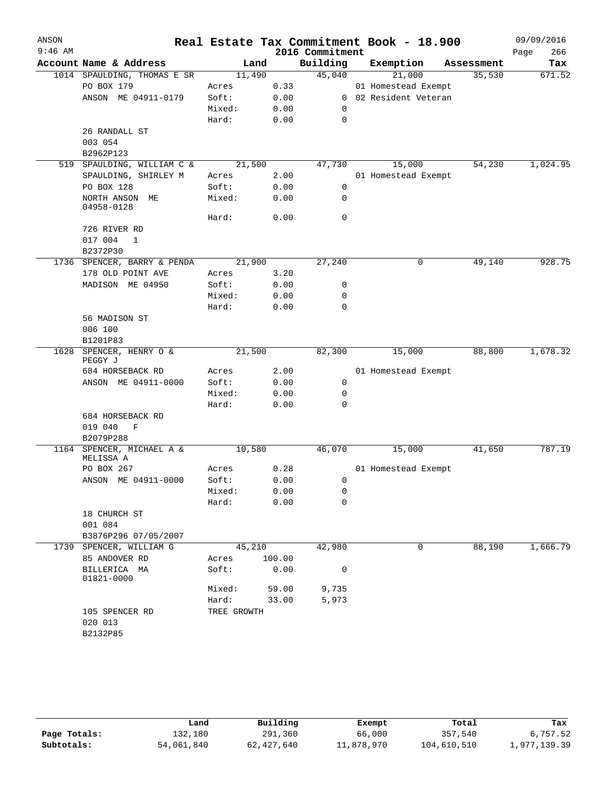| ANSON     |                                    |             |        |                 | Real Estate Tax Commitment Book - 18.900 |            | 09/09/2016  |
|-----------|------------------------------------|-------------|--------|-----------------|------------------------------------------|------------|-------------|
| $9:46$ AM |                                    |             |        | 2016 Commitment |                                          |            | 266<br>Page |
|           | Account Name & Address             | Land        |        | Building        | Exemption                                | Assessment | Tax         |
|           | 1014 SPAULDING, THOMAS E SR        | 11,490      |        | 45,040          | 21,000                                   | 35,530     | 671.52      |
|           | PO BOX 179                         | Acres       | 0.33   |                 | 01 Homestead Exempt                      |            |             |
|           | ANSON ME 04911-0179                | Soft:       | 0.00   |                 | 0 02 Resident Veteran                    |            |             |
|           |                                    | Mixed:      | 0.00   | 0               |                                          |            |             |
|           |                                    | Hard:       | 0.00   | 0               |                                          |            |             |
|           | 26 RANDALL ST                      |             |        |                 |                                          |            |             |
|           | 003 054                            |             |        |                 |                                          |            |             |
|           | B2962P123                          |             |        |                 |                                          |            |             |
|           | 519 SPAULDING, WILLIAM C &         | 21,500      |        | 47,730          | 15,000                                   | 54,230     | 1,024.95    |
|           | SPAULDING, SHIRLEY M               | Acres       | 2.00   |                 | 01 Homestead Exempt                      |            |             |
|           | PO BOX 128                         | Soft:       | 0.00   | $\mathsf{O}$    |                                          |            |             |
|           | NORTH ANSON ME<br>04958-0128       | Mixed:      | 0.00   | 0               |                                          |            |             |
|           |                                    | Hard:       | 0.00   | $\mathbf 0$     |                                          |            |             |
|           | 726 RIVER RD                       |             |        |                 |                                          |            |             |
|           | 017 004<br>1                       |             |        |                 |                                          |            |             |
|           | B2372P30                           |             |        |                 |                                          |            |             |
|           | 1736 SPENCER, BARRY & PENDA        | 21,900      |        | 27,240          | 0                                        | 49,140     | 928.75      |
|           | 178 OLD POINT AVE                  | Acres       | 3.20   |                 |                                          |            |             |
|           | MADISON ME 04950                   | Soft:       | 0.00   | 0               |                                          |            |             |
|           |                                    | Mixed:      | 0.00   | 0               |                                          |            |             |
|           |                                    | Hard:       | 0.00   | 0               |                                          |            |             |
|           | 56 MADISON ST                      |             |        |                 |                                          |            |             |
|           | 006 100                            |             |        |                 |                                          |            |             |
|           | B1201P83                           |             |        |                 |                                          |            |             |
|           | 1628 SPENCER, HENRY O &<br>PEGGY J | 21,500      |        | 82,300          | 15,000                                   | 88,800     | 1,678.32    |
|           | 684 HORSEBACK RD                   | Acres       | 2.00   |                 | 01 Homestead Exempt                      |            |             |
|           | ANSON ME 04911-0000                | Soft:       | 0.00   | 0               |                                          |            |             |
|           |                                    | Mixed:      | 0.00   | 0               |                                          |            |             |
|           |                                    | Hard:       | 0.00   | 0               |                                          |            |             |
|           | 684 HORSEBACK RD                   |             |        |                 |                                          |            |             |
|           | 019 040<br>$\mathbf F$             |             |        |                 |                                          |            |             |
|           | B2079P288                          |             |        |                 |                                          |            |             |
| 1164      | SPENCER, MICHAEL A &<br>MELISSA A  | 10,580      |        | 46,070          | 15,000                                   | 41,650     | 787.19      |
|           | PO BOX 267                         | Acres       | 0.28   |                 | 01 Homestead Exempt                      |            |             |
|           | ANSON ME 04911-0000                | Soft:       | 0.00   | $\overline{0}$  |                                          |            |             |
|           |                                    | Mixed:      | 0.00   | 0               |                                          |            |             |
|           |                                    | Hard:       | 0.00   | 0               |                                          |            |             |
|           | 18 CHURCH ST                       |             |        |                 |                                          |            |             |
|           | 001 084                            |             |        |                 |                                          |            |             |
|           | B3876P296 07/05/2007               |             |        |                 |                                          |            |             |
|           | 1739 SPENCER, WILLIAM G            | 45,210      |        | 42,980          | 0                                        | 88,190     | 1,666.79    |
|           | 85 ANDOVER RD                      | Acres       | 100.00 |                 |                                          |            |             |
|           | BILLERICA MA<br>01821-0000         | Soft:       | 0.00   | 0               |                                          |            |             |
|           |                                    | Mixed:      | 59.00  | 9,735           |                                          |            |             |
|           |                                    | Hard:       | 33.00  | 5,973           |                                          |            |             |
|           | 105 SPENCER RD                     | TREE GROWTH |        |                 |                                          |            |             |
|           | 020 013                            |             |        |                 |                                          |            |             |
|           | B2132P85                           |             |        |                 |                                          |            |             |
|           |                                    |             |        |                 |                                          |            |             |

|              | Land       | Building   | Exempt     | Total       | Tax          |
|--------------|------------|------------|------------|-------------|--------------|
| Page Totals: | 132,180    | 291,360    | 66,000     | 357,540     | 6,757.52     |
| Subtotals:   | 54,061,840 | 62,427,640 | 11,878,970 | 104,610,510 | 1,977,139.39 |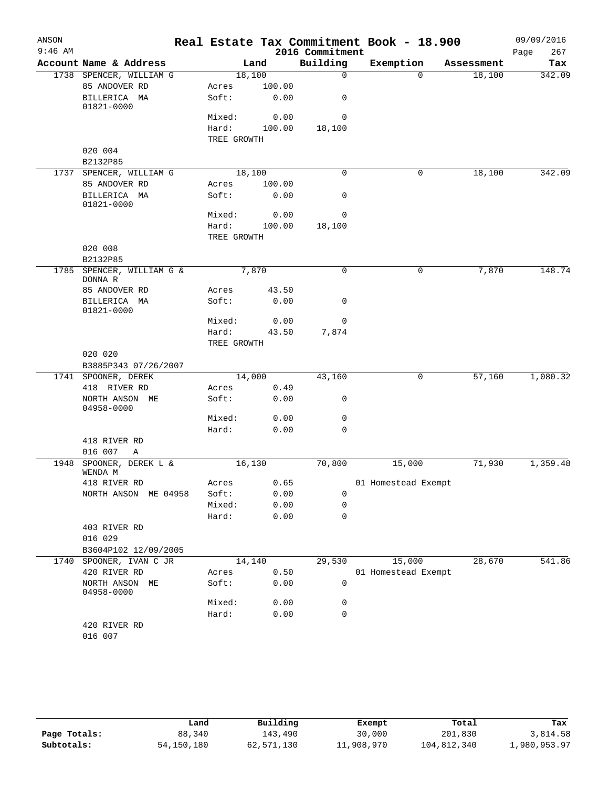| ANSON     |                                          |                 |                |                 | Real Estate Tax Commitment Book - 18.900 |            | 09/09/2016  |
|-----------|------------------------------------------|-----------------|----------------|-----------------|------------------------------------------|------------|-------------|
| $9:46$ AM |                                          |                 |                | 2016 Commitment |                                          |            | 267<br>Page |
|           | Account Name & Address                   |                 | Land           | Building        | Exemption                                | Assessment | Tax         |
|           | 1738 SPENCER, WILLIAM G                  | 18,100          |                | $\mathbf 0$     | $\Omega$                                 | 18,100     | 342.09      |
|           | 85 ANDOVER RD                            | Acres           | 100.00         |                 |                                          |            |             |
|           | BILLERICA MA<br>01821-0000               | Soft:           | 0.00           | 0               |                                          |            |             |
|           |                                          | Mixed:          | 0.00           | 0               |                                          |            |             |
|           |                                          | Hard:           | 100.00         | 18,100          |                                          |            |             |
|           |                                          | TREE GROWTH     |                |                 |                                          |            |             |
|           | 020 004                                  |                 |                |                 |                                          |            |             |
|           | B2132P85                                 |                 |                |                 |                                          |            |             |
|           | 1737 SPENCER, WILLIAM G<br>85 ANDOVER RD | 18,100          |                | 0               | 0                                        | 18,100     | 342.09      |
|           | BILLERICA MA                             | Acres<br>Soft:  | 100.00<br>0.00 | 0               |                                          |            |             |
|           | 01821-0000                               |                 |                | 0               |                                          |            |             |
|           |                                          | Mixed:<br>Hard: | 0.00           |                 |                                          |            |             |
|           |                                          | TREE GROWTH     | 100.00         | 18,100          |                                          |            |             |
|           | 020 008                                  |                 |                |                 |                                          |            |             |
|           | B2132P85                                 |                 |                |                 |                                          |            |             |
|           | 1785 SPENCER, WILLIAM G &                | 7,870           |                | $\Omega$        | 0                                        | 7,870      | 148.74      |
|           | DONNA R                                  |                 |                |                 |                                          |            |             |
|           | 85 ANDOVER RD                            | Acres           | 43.50          |                 |                                          |            |             |
|           | BILLERICA MA<br>01821-0000               | Soft:           | 0.00           | 0               |                                          |            |             |
|           |                                          | Mixed:          | 0.00           | 0               |                                          |            |             |
|           |                                          | Hard:           | 43.50          | 7,874           |                                          |            |             |
|           |                                          | TREE GROWTH     |                |                 |                                          |            |             |
|           | 020 020<br>B3885P343 07/26/2007          |                 |                |                 |                                          |            |             |
|           | 1741 SPOONER, DEREK                      | 14,000          |                | 43,160          | 0                                        | 57,160     | 1,080.32    |
|           | 418 RIVER RD                             | Acres           | 0.49           |                 |                                          |            |             |
|           | NORTH ANSON ME<br>04958-0000             | Soft:           | 0.00           | 0               |                                          |            |             |
|           |                                          | Mixed:          | 0.00           | $\mathbf 0$     |                                          |            |             |
|           |                                          | Hard:           | 0.00           | 0               |                                          |            |             |
|           | 418 RIVER RD                             |                 |                |                 |                                          |            |             |
| 1948      | 016 007<br>Α<br>SPOONER, DEREK L &       | 16, 130         |                | 70,800          | 15,000                                   | 71,930     | 1,359.48    |
|           | WENDA M                                  |                 |                |                 |                                          |            |             |
|           | 418 RIVER RD                             | Acres 0.65      |                |                 | 01 Homestead Exempt                      |            |             |
|           | NORTH ANSON ME 04958                     | Soft:           | 0.00           | 0               |                                          |            |             |
|           |                                          | Mixed:          | 0.00           | 0               |                                          |            |             |
|           |                                          | Hard:           | 0.00           | 0               |                                          |            |             |
|           | 403 RIVER RD                             |                 |                |                 |                                          |            |             |
|           | 016 029                                  |                 |                |                 |                                          |            |             |
|           | B3604P102 12/09/2005                     |                 |                |                 |                                          |            |             |
|           | 1740 SPOONER, IVAN C JR                  |                 | 14,140         | 29,530          | 15,000                                   | 28,670     | 541.86      |
|           | 420 RIVER RD                             | Acres           | 0.50           |                 | 01 Homestead Exempt                      |            |             |
|           | NORTH ANSON ME<br>04958-0000             | Soft:           | 0.00           | $\mathsf{O}$    |                                          |            |             |
|           |                                          | Mixed:          | 0.00           | 0               |                                          |            |             |
|           |                                          | Hard:           | 0.00           | $\mathbf 0$     |                                          |            |             |
|           | 420 RIVER RD<br>016 007                  |                 |                |                 |                                          |            |             |
|           |                                          |                 |                |                 |                                          |            |             |

|              | Land         | Building   | Exempt     | Total       | Tax          |
|--------------|--------------|------------|------------|-------------|--------------|
| Page Totals: | 88,340       | 143,490    | 30,000     | 201,830     | 3,814.58     |
| Subtotals:   | 54, 150, 180 | 62,571,130 | 11,908,970 | 104,812,340 | 1,980,953.97 |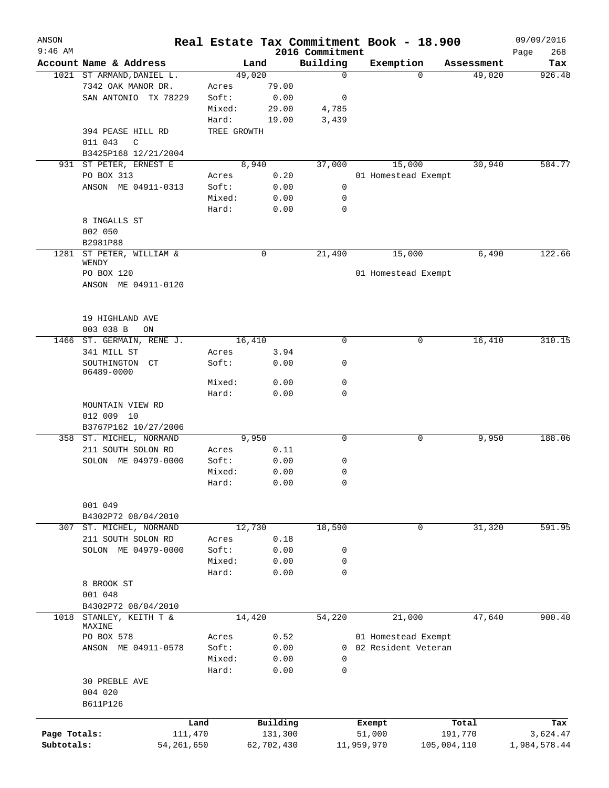| ANSON<br>$9:46$ AM |                           |             |                                 |                             | Real Estate Tax Commitment Book - 18.900 |             |            | 09/09/2016         |
|--------------------|---------------------------|-------------|---------------------------------|-----------------------------|------------------------------------------|-------------|------------|--------------------|
|                    | Account Name & Address    |             | Land                            | 2016 Commitment<br>Building | Exemption                                |             | Assessment | 268<br>Page<br>Tax |
|                    | 1021 ST ARMAND, DANIEL L. |             | 49,020                          | $\mathbf 0$                 |                                          | $\Omega$    | 49,020     | 926.48             |
|                    | 7342 OAK MANOR DR.        | Acres       | 79.00                           |                             |                                          |             |            |                    |
|                    | SAN ANTONIO TX 78229      | Soft:       | 0.00                            | 0                           |                                          |             |            |                    |
|                    |                           | Mixed:      | 29.00                           | 4,785                       |                                          |             |            |                    |
|                    |                           | Hard:       | 19.00                           | 3,439                       |                                          |             |            |                    |
|                    | 394 PEASE HILL RD         | TREE GROWTH |                                 |                             |                                          |             |            |                    |
|                    | 011 043<br>C              |             |                                 |                             |                                          |             |            |                    |
|                    | B3425P168 12/21/2004      |             |                                 |                             |                                          |             |            |                    |
| 931                | ST PETER, ERNEST E        |             | 8,940                           | 37,000                      | 15,000                                   |             | 30,940     | 584.77             |
|                    | PO BOX 313                | Acres       | 0.20                            |                             | 01 Homestead Exempt                      |             |            |                    |
|                    | ANSON ME 04911-0313       | Soft:       | 0.00                            | 0                           |                                          |             |            |                    |
|                    |                           | Mixed:      | 0.00                            | 0                           |                                          |             |            |                    |
|                    |                           | Hard:       |                                 | $\mathbf 0$                 |                                          |             |            |                    |
|                    |                           |             | 0.00                            |                             |                                          |             |            |                    |
|                    | 8 INGALLS ST              |             |                                 |                             |                                          |             |            |                    |
|                    | 002 050                   |             |                                 |                             |                                          |             |            |                    |
|                    | B2981P88                  |             |                                 |                             |                                          |             |            |                    |
| 1281               | ST PETER, WILLIAM &       |             | 0                               | 21,490                      | 15,000                                   |             | 6,490      | 122.66             |
|                    | WENDY                     |             |                                 |                             |                                          |             |            |                    |
|                    | PO BOX 120                |             |                                 |                             | 01 Homestead Exempt                      |             |            |                    |
|                    | ANSON ME 04911-0120       |             |                                 |                             |                                          |             |            |                    |
|                    |                           |             |                                 |                             |                                          |             |            |                    |
|                    |                           |             |                                 |                             |                                          |             |            |                    |
|                    | 19 HIGHLAND AVE           |             |                                 |                             |                                          |             |            |                    |
|                    | 003 038 B<br>ON           |             |                                 |                             |                                          |             |            |                    |
|                    | 1466 ST. GERMAIN, RENE J. |             | 16,410                          | $\mathbf 0$                 |                                          | 0           | 16,410     | 310.15             |
|                    | 341 MILL ST               | Acres       | 3.94                            |                             |                                          |             |            |                    |
|                    | SOUTHINGTON<br>CT         | Soft:       | 0.00                            | 0                           |                                          |             |            |                    |
|                    | 06489-0000                |             |                                 |                             |                                          |             |            |                    |
|                    |                           | Mixed:      | 0.00                            | 0                           |                                          |             |            |                    |
|                    |                           | Hard:       | 0.00                            | 0                           |                                          |             |            |                    |
|                    | MOUNTAIN VIEW RD          |             |                                 |                             |                                          |             |            |                    |
|                    | 012 009 10                |             |                                 |                             |                                          |             |            |                    |
|                    | B3767P162 10/27/2006      |             |                                 |                             |                                          |             |            |                    |
|                    | 358 ST. MICHEL, NORMAND   |             | 9,950                           | 0                           |                                          | 0           | 9,950      | 188.06             |
|                    | 211 SOUTH SOLON RD        | Acres       | 0.11                            |                             |                                          |             |            |                    |
|                    | SOLON ME 04979-0000       | Soft:       | 0.00                            | 0                           |                                          |             |            |                    |
|                    |                           | Mixed:      | 0.00                            | 0                           |                                          |             |            |                    |
|                    |                           | Hard:       | ${\bf 0}$ . ${\bf 0}$ ${\bf 0}$ | $\Omega$                    |                                          |             |            |                    |
|                    |                           |             |                                 |                             |                                          |             |            |                    |
|                    | 001 049                   |             |                                 |                             |                                          |             |            |                    |
|                    | B4302P72 08/04/2010       |             |                                 |                             |                                          |             |            |                    |
| 307                | ST. MICHEL, NORMAND       |             | 12,730                          | 18,590                      |                                          | 0           | 31,320     | 591.95             |
|                    | 211 SOUTH SOLON RD        | Acres       | 0.18                            |                             |                                          |             |            |                    |
|                    | SOLON ME 04979-0000       | Soft:       | 0.00                            | 0                           |                                          |             |            |                    |
|                    |                           | Mixed:      | 0.00                            | 0                           |                                          |             |            |                    |
|                    |                           | Hard:       | 0.00                            | 0                           |                                          |             |            |                    |
|                    | 8 BROOK ST                |             |                                 |                             |                                          |             |            |                    |
|                    | 001 048                   |             |                                 |                             |                                          |             |            |                    |
|                    | B4302P72 08/04/2010       |             |                                 |                             |                                          |             |            |                    |
| 1018               | STANLEY, KEITH T &        |             | 14,420                          | 54,220                      | 21,000                                   |             | 47,640     | 900.40             |
|                    | MAXINE                    |             |                                 |                             |                                          |             |            |                    |
|                    | PO BOX 578                | Acres       | 0.52                            |                             | 01 Homestead Exempt                      |             |            |                    |
|                    | ANSON ME 04911-0578       | Soft:       | 0.00                            |                             | 0 02 Resident Veteran                    |             |            |                    |
|                    |                           | Mixed:      | 0.00                            | 0                           |                                          |             |            |                    |
|                    |                           | Hard:       | 0.00                            | 0                           |                                          |             |            |                    |
|                    | 30 PREBLE AVE             |             |                                 |                             |                                          |             |            |                    |
|                    | 004 020                   |             |                                 |                             |                                          |             |            |                    |
|                    | B611P126                  |             |                                 |                             |                                          |             |            |                    |
|                    |                           |             |                                 |                             |                                          |             |            |                    |
|                    | Land                      |             | Building                        |                             | Exempt                                   |             | Total      | Tax                |
| Page Totals:       | 111,470                   |             | 131,300                         |                             | 51,000                                   | 191,770     |            | 3,624.47           |
| Subtotals:         | 54, 261, 650              |             | 62,702,430                      |                             | 11,959,970                               | 105,004,110 |            | 1,984,578.44       |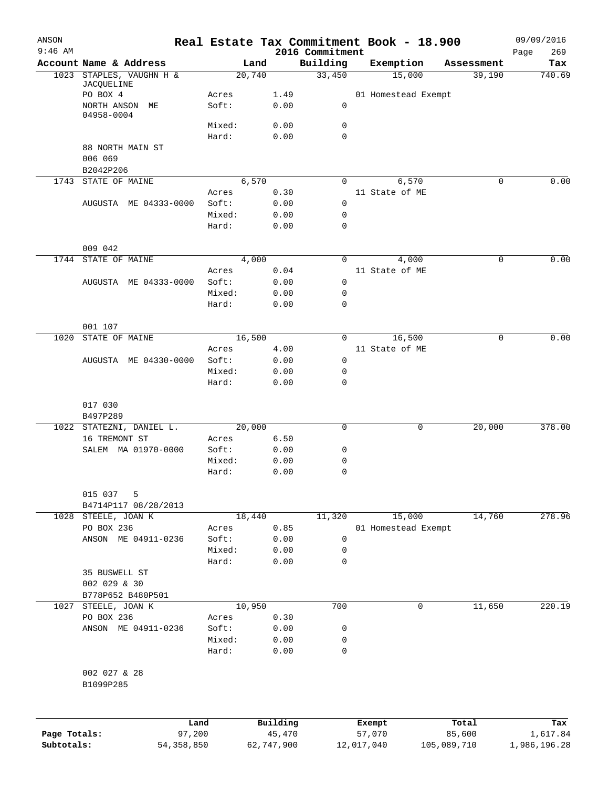| ANSON<br>$9:46$ AM |                                        |                 |              |                             | Real Estate Tax Commitment Book - 18.900 |             | 09/09/2016         |
|--------------------|----------------------------------------|-----------------|--------------|-----------------------------|------------------------------------------|-------------|--------------------|
|                    | Account Name & Address                 | Land            |              | 2016 Commitment<br>Building | Exemption                                | Assessment  | 269<br>Page<br>Tax |
|                    | 1023 STAPLES, VAUGHN H &<br>JACQUELINE | 20,740          |              | 33,450                      | 15,000                                   | 39,190      | 740.69             |
|                    | PO BOX 4                               | Acres           | 1.49         |                             | 01 Homestead Exempt                      |             |                    |
|                    | NORTH ANSON ME                         | Soft:           | 0.00         | 0                           |                                          |             |                    |
|                    | 04958-0004                             | Mixed:          | 0.00         | 0                           |                                          |             |                    |
|                    |                                        | Hard:           | 0.00         | 0                           |                                          |             |                    |
|                    | 88 NORTH MAIN ST                       |                 |              |                             |                                          |             |                    |
|                    | 006 069                                |                 |              |                             |                                          |             |                    |
|                    | B2042P206<br>STATE OF MAINE            | 6,570           |              | 0                           |                                          | 0           | 0.00               |
| 1743               |                                        | Acres           | 0.30         |                             | 6,570<br>11 State of ME                  |             |                    |
|                    | AUGUSTA ME 04333-0000                  | Soft:           | 0.00         | 0                           |                                          |             |                    |
|                    |                                        | Mixed:          | 0.00         | 0                           |                                          |             |                    |
|                    |                                        | Hard:           | 0.00         | $\mathbf 0$                 |                                          |             |                    |
|                    | 009 042                                |                 |              |                             |                                          |             |                    |
|                    | 1744 STATE OF MAINE                    | 4,000           |              | 0                           | 4,000                                    | 0           | 0.00               |
|                    |                                        | Acres           | 0.04         |                             | 11 State of ME                           |             |                    |
|                    | AUGUSTA ME 04333-0000                  | Soft:           | 0.00         | 0                           |                                          |             |                    |
|                    |                                        | Mixed:          | 0.00         | 0                           |                                          |             |                    |
|                    |                                        | Hard:           | 0.00         | $\mathbf 0$                 |                                          |             |                    |
|                    | 001 107                                |                 |              |                             |                                          |             |                    |
| 1020               | STATE OF MAINE                         | 16,500          |              | 0                           | 16,500                                   | 0           | 0.00               |
|                    |                                        | Acres           | 4.00         |                             | 11 State of ME                           |             |                    |
|                    | AUGUSTA ME 04330-0000                  | Soft:<br>Mixed: | 0.00<br>0.00 | 0                           |                                          |             |                    |
|                    |                                        | Hard:           | 0.00         | 0<br>0                      |                                          |             |                    |
|                    | 017 030<br>B497P289                    |                 |              |                             |                                          |             |                    |
|                    | 1022 STATEZNI, DANIEL L.               | 20,000          |              | $\mathbf 0$                 | 0                                        | 20,000      | 378.00             |
|                    | 16 TREMONT ST                          | Acres           | 6.50         |                             |                                          |             |                    |
|                    | SALEM MA 01970-0000                    | Soft:           | 0.00         | 0                           |                                          |             |                    |
|                    |                                        | Mixed:          | 0.00         | 0                           |                                          |             |                    |
|                    |                                        | Hard:           | 0.00         | 0                           |                                          |             |                    |
|                    | 015 037<br>5                           |                 |              |                             |                                          |             |                    |
| 1028               | B4714P117 08/28/2013<br>STEELE, JOAN K | 18,440          |              | 11,320                      | 15,000                                   | 14,760      | 278.96             |
|                    | PO BOX 236                             | Acres           | 0.85         |                             | 01 Homestead Exempt                      |             |                    |
|                    | ANSON ME 04911-0236                    | Soft:           | 0.00         | 0                           |                                          |             |                    |
|                    |                                        | Mixed:          | 0.00         | 0                           |                                          |             |                    |
|                    |                                        | Hard:           | 0.00         | 0                           |                                          |             |                    |
|                    | 35 BUSWELL ST                          |                 |              |                             |                                          |             |                    |
|                    | 002 029 & 30                           |                 |              |                             |                                          |             |                    |
| 1027               | B778P652 B480P501<br>STEELE, JOAN K    | 10,950          |              | 700                         | 0                                        | 11,650      | 220.19             |
|                    | PO BOX 236                             | Acres           | 0.30         |                             |                                          |             |                    |
|                    | ANSON ME 04911-0236                    | Soft:           | 0.00         | 0                           |                                          |             |                    |
|                    |                                        | Mixed:          | 0.00         | 0                           |                                          |             |                    |
|                    |                                        | Hard:           | 0.00         | 0                           |                                          |             |                    |
|                    | 002 027 & 28<br>B1099P285              |                 |              |                             |                                          |             |                    |
|                    | Land                                   |                 | Building     |                             | Exempt                                   | Total       | Tax                |
| Page Totals:       | 97,200                                 |                 | 45,470       |                             | 57,070                                   | 85,600      | 1,617.84           |
| Subtotals:         | 54, 358, 850                           |                 | 62,747,900   |                             | 12,017,040                               | 105,089,710 | 1,986,196.28       |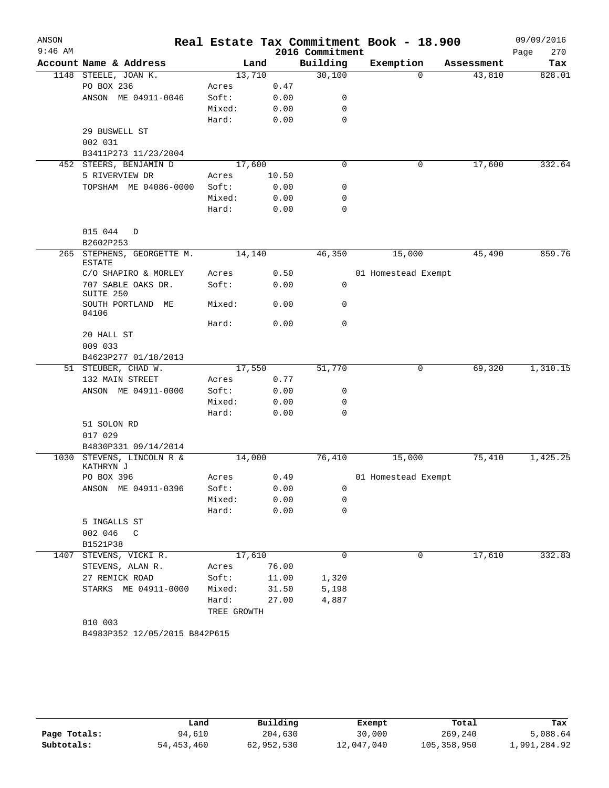| ANSON<br>$9:46$ AM |                                             |             |        | 2016 Commitment | Real Estate Tax Commitment Book - 18.900 |            | 09/09/2016<br>Page<br>270 |
|--------------------|---------------------------------------------|-------------|--------|-----------------|------------------------------------------|------------|---------------------------|
|                    | Account Name & Address                      |             | Land   | Building        | Exemption                                | Assessment | Tax                       |
|                    | 1148 STEELE, JOAN K.                        |             | 13,710 | 30,100          | $\Omega$                                 | 43,810     | 828.01                    |
|                    | PO BOX 236                                  | Acres       | 0.47   |                 |                                          |            |                           |
|                    | ANSON ME 04911-0046                         | Soft:       | 0.00   | 0               |                                          |            |                           |
|                    |                                             | Mixed:      | 0.00   | 0               |                                          |            |                           |
|                    |                                             | Hard:       | 0.00   | 0               |                                          |            |                           |
|                    | 29 BUSWELL ST                               |             |        |                 |                                          |            |                           |
|                    | 002 031                                     |             |        |                 |                                          |            |                           |
|                    | B3411P273 11/23/2004                        |             |        |                 |                                          |            |                           |
|                    | 452 STEERS, BENJAMIN D                      |             | 17,600 | $\mathbf 0$     | 0                                        | 17,600     | 332.64                    |
|                    | 5 RIVERVIEW DR                              | Acres       | 10.50  |                 |                                          |            |                           |
|                    | TOPSHAM ME 04086-0000                       | Soft:       | 0.00   | 0               |                                          |            |                           |
|                    |                                             | Mixed:      | 0.00   | 0               |                                          |            |                           |
|                    |                                             | Hard:       | 0.00   | 0               |                                          |            |                           |
|                    | 015 044<br>D<br>B2602P253                   |             |        |                 |                                          |            |                           |
|                    | 265 STEPHENS, GEORGETTE M.<br><b>ESTATE</b> |             | 14,140 | 46,350          | 15,000                                   | 45,490     | 859.76                    |
|                    | C/O SHAPIRO & MORLEY                        | Acres       | 0.50   |                 | 01 Homestead Exempt                      |            |                           |
|                    | 707 SABLE OAKS DR.<br>SUITE 250             | Soft:       | 0.00   | 0               |                                          |            |                           |
|                    | SOUTH PORTLAND ME<br>04106                  | Mixed:      | 0.00   | 0               |                                          |            |                           |
|                    |                                             | Hard:       | 0.00   | 0               |                                          |            |                           |
|                    | 20 HALL ST                                  |             |        |                 |                                          |            |                           |
|                    | 009 033                                     |             |        |                 |                                          |            |                           |
|                    | B4623P277 01/18/2013                        |             |        |                 |                                          |            |                           |
|                    | 51 STEUBER, CHAD W.                         |             | 17,550 | 51,770          | 0                                        | 69,320     | 1,310.15                  |
|                    | 132 MAIN STREET                             | Acres       | 0.77   |                 |                                          |            |                           |
|                    | ANSON ME 04911-0000                         | Soft:       | 0.00   | 0               |                                          |            |                           |
|                    |                                             | Mixed:      | 0.00   | 0               |                                          |            |                           |
|                    |                                             | Hard:       | 0.00   | 0               |                                          |            |                           |
|                    | 51 SOLON RD                                 |             |        |                 |                                          |            |                           |
|                    | 017 029                                     |             |        |                 |                                          |            |                           |
|                    | B4830P331 09/14/2014                        |             |        |                 |                                          |            |                           |
| 1030               | STEVENS, LINCOLN R &<br>KATHRYN J           |             | 14,000 | 76,410          | 15,000                                   | 75,410     | 1,425.25                  |
|                    | PO BOX 396                                  | Acres       | 0.49   |                 | 01 Homestead Exempt                      |            |                           |
|                    | ANSON ME 04911-0396                         | Soft:       | 0.00   | 0               |                                          |            |                           |
|                    |                                             | Mixed:      | 0.00   | 0               |                                          |            |                           |
|                    |                                             | Hard:       | 0.00   | 0               |                                          |            |                           |
|                    | 5 INGALLS ST                                |             |        |                 |                                          |            |                           |
|                    | 002 046<br>C                                |             |        |                 |                                          |            |                           |
|                    | B1521P38                                    |             |        |                 |                                          |            |                           |
| 1407               | STEVENS, VICKI R.                           |             | 17,610 | 0               | 0                                        | 17,610     | 332.83                    |
|                    | STEVENS, ALAN R.                            | Acres       | 76.00  |                 |                                          |            |                           |
|                    | 27 REMICK ROAD                              | Soft:       | 11.00  | 1,320           |                                          |            |                           |
|                    | STARKS ME 04911-0000                        | Mixed:      | 31.50  | 5,198           |                                          |            |                           |
|                    |                                             | Hard:       | 27.00  | 4,887           |                                          |            |                           |
|                    |                                             | TREE GROWTH |        |                 |                                          |            |                           |
|                    | 010 003                                     |             |        |                 |                                          |            |                           |
|                    | B4983P352 12/05/2015 B842P615               |             |        |                 |                                          |            |                           |

|              | Land         | Building   | Exempt     | Total         | Tax          |
|--------------|--------------|------------|------------|---------------|--------------|
| Page Totals: | 94,610       | 204,630    | 30,000     | 269,240       | 5,088.64     |
| Subtotals:   | 54, 453, 460 | 62,952,530 | 12,047,040 | 105, 358, 950 | 1,991,284.92 |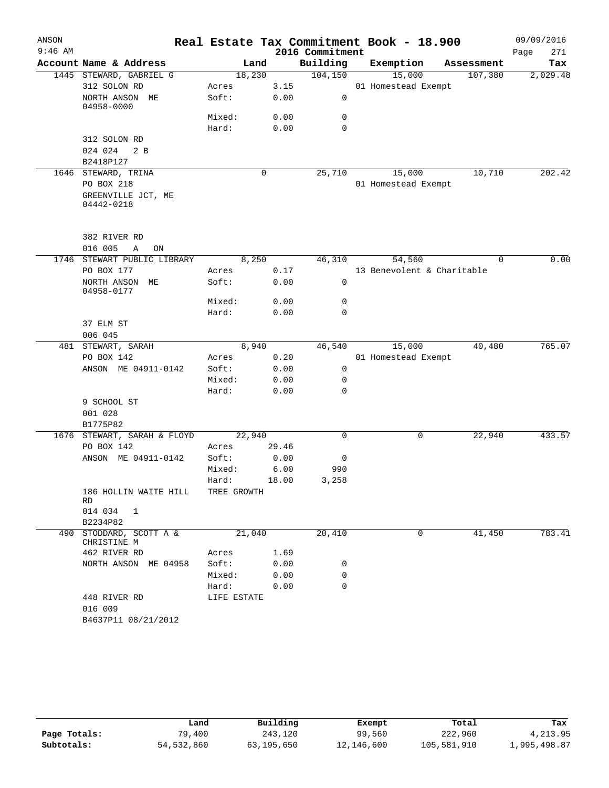| ANSON     |                                                |        |             |       |                 | Real Estate Tax Commitment Book - 18.900 |            | 09/09/2016  |
|-----------|------------------------------------------------|--------|-------------|-------|-----------------|------------------------------------------|------------|-------------|
| $9:46$ AM |                                                |        |             |       | 2016 Commitment |                                          |            | Page<br>271 |
|           | Account Name & Address                         |        | Land        |       | Building        | Exemption                                | Assessment | Tax         |
|           | 1445 STEWARD, GABRIEL G                        |        | 18,230      |       | 104, 150        | 15,000                                   | 107,380    | 2,029.48    |
|           | 312 SOLON RD                                   | Acres  |             | 3.15  |                 | 01 Homestead Exempt                      |            |             |
|           | NORTH ANSON ME<br>04958-0000                   | Soft:  |             | 0.00  | $\mathsf{O}$    |                                          |            |             |
|           |                                                | Mixed: |             | 0.00  | $\mathbf 0$     |                                          |            |             |
|           |                                                | Hard:  |             | 0.00  | $\mathbf 0$     |                                          |            |             |
|           | 312 SOLON RD<br>024 024<br>2 B<br>B2418P127    |        |             |       |                 |                                          |            |             |
|           | 1646 STEWARD, TRINA                            |        | $\mathbf 0$ |       | 25,710          | 15,000                                   | 10,710     | 202.42      |
|           | PO BOX 218                                     |        |             |       |                 | 01 Homestead Exempt                      |            |             |
|           | GREENVILLE JCT, ME<br>04442-0218               |        |             |       |                 |                                          |            |             |
|           | 382 RIVER RD                                   |        |             |       |                 |                                          |            |             |
| 1746      | 016 005<br>Α<br>ON<br>STEWART PUBLIC LIBRARY   |        | 8,250       |       | 46,310          | 54,560                                   | $\Omega$   | 0.00        |
|           | PO BOX 177                                     | Acres  |             | 0.17  |                 | 13 Benevolent & Charitable               |            |             |
|           | NORTH ANSON ME<br>04958-0177                   | Soft:  |             | 0.00  | 0               |                                          |            |             |
|           |                                                | Mixed: |             | 0.00  | $\mathbf 0$     |                                          |            |             |
|           |                                                | Hard:  |             | 0.00  | $\mathbf 0$     |                                          |            |             |
|           | 37 ELM ST                                      |        |             |       |                 |                                          |            |             |
|           | 006 045                                        |        |             |       |                 |                                          |            |             |
|           | 481 STEWART, SARAH                             |        | 8,940       |       | 46,540          | 15,000                                   | 40,480     | 765.07      |
|           | PO BOX 142                                     | Acres  |             | 0.20  |                 | 01 Homestead Exempt                      |            |             |
|           | ANSON ME 04911-0142                            | Soft:  |             | 0.00  | 0               |                                          |            |             |
|           |                                                | Mixed: |             | 0.00  | 0               |                                          |            |             |
|           |                                                | Hard:  |             | 0.00  | $\mathbf 0$     |                                          |            |             |
|           | 9 SCHOOL ST<br>001 028<br>B1775P82             |        |             |       |                 |                                          |            |             |
|           | 1676 STEWART, SARAH & FLOYD                    |        | 22,940      |       | $\Omega$        | 0                                        | 22,940     | 433.57      |
|           | PO BOX 142                                     | Acres  |             | 29.46 |                 |                                          |            |             |
|           | ANSON ME 04911-0142                            | Soft:  |             | 0.00  | 0               |                                          |            |             |
|           |                                                | Mixed: |             | 6.00  | 990             |                                          |            |             |
|           |                                                | Hard:  |             | 18.00 | 3,258           |                                          |            |             |
|           | 186 HOLLIN WAITE HILL TREE GROWTH<br>RD        |        |             |       |                 |                                          |            |             |
|           | 014 034 1<br>B2234P82                          |        |             |       |                 |                                          |            |             |
|           | 490 STODDARD, SCOTT A &<br>CHRISTINE M         |        | 21,040      |       | 20,410          | 0                                        | 41,450     | 783.41      |
|           | 462 RIVER RD                                   |        | Acres       | 1.69  |                 |                                          |            |             |
|           | NORTH ANSON ME 04958                           |        | Soft:       | 0.00  | 0               |                                          |            |             |
|           |                                                |        | Mixed:      | 0.00  | 0               |                                          |            |             |
|           |                                                |        | Hard:       | 0.00  | $\mathbf 0$     |                                          |            |             |
|           | 448 RIVER RD<br>016 009<br>B4637P11 08/21/2012 |        | LIFE ESTATE |       |                 |                                          |            |             |
|           |                                                |        |             |       |                 |                                          |            |             |

|              | Land         | Building   | Exempt     | Total       | Tax          |
|--------------|--------------|------------|------------|-------------|--------------|
| Page Totals: | 79,400       | 243,120    | 99,560     | 222,960     | 4, 213, 95   |
| Subtotals:   | 54, 532, 860 | 63,195,650 | 12,146,600 | 105,581,910 | 1,995,498.87 |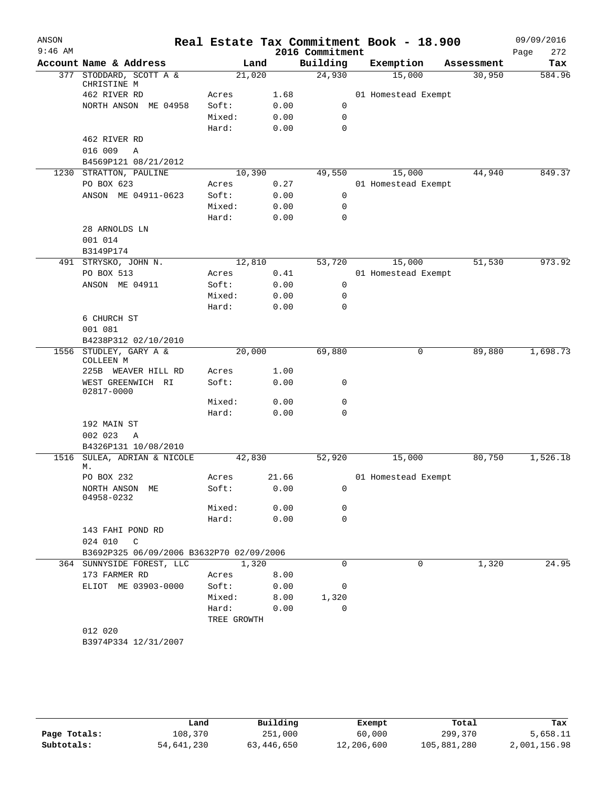| ANSON<br>$9:46$ AM |                                          |             |        | Real Estate Tax Commitment Book - 18.900<br>2016 Commitment |                     |        |            | 09/09/2016         |
|--------------------|------------------------------------------|-------------|--------|-------------------------------------------------------------|---------------------|--------|------------|--------------------|
|                    | Account Name & Address                   |             | Land   | Building                                                    | Exemption           |        | Assessment | 272<br>Page<br>Tax |
| 377                | STODDARD, SCOTT A &                      |             | 21,020 | 24,930                                                      |                     | 15,000 | 30,950     | 584.96             |
|                    | CHRISTINE M                              |             |        |                                                             |                     |        |            |                    |
|                    | 462 RIVER RD                             | Acres       | 1.68   |                                                             | 01 Homestead Exempt |        |            |                    |
|                    | NORTH ANSON ME 04958                     | Soft:       | 0.00   | 0                                                           |                     |        |            |                    |
|                    |                                          | Mixed:      | 0.00   | $\mathbf 0$                                                 |                     |        |            |                    |
|                    |                                          | Hard:       | 0.00   | 0                                                           |                     |        |            |                    |
|                    | 462 RIVER RD                             |             |        |                                                             |                     |        |            |                    |
|                    | 016 009<br>Α                             |             |        |                                                             |                     |        |            |                    |
|                    | B4569P121 08/21/2012                     |             |        |                                                             |                     |        |            |                    |
|                    | 1230 STRATTON, PAULINE                   |             | 10,390 | 49,550                                                      |                     | 15,000 | 44,940     | 849.37             |
|                    | PO BOX 623                               | Acres       | 0.27   |                                                             | 01 Homestead Exempt |        |            |                    |
|                    | ANSON ME 04911-0623                      | Soft:       | 0.00   | 0                                                           |                     |        |            |                    |
|                    |                                          | Mixed:      | 0.00   | $\mathbf 0$                                                 |                     |        |            |                    |
|                    |                                          | Hard:       | 0.00   | 0                                                           |                     |        |            |                    |
|                    | 28 ARNOLDS LN                            |             |        |                                                             |                     |        |            |                    |
|                    | 001 014                                  |             |        |                                                             |                     |        |            |                    |
|                    | B3149P174                                |             |        |                                                             |                     |        |            |                    |
|                    | 491 STRYSKO, JOHN N.                     |             | 12,810 | 53,720                                                      |                     | 15,000 | 51,530     | 973.92             |
|                    | PO BOX 513                               | Acres       | 0.41   |                                                             | 01 Homestead Exempt |        |            |                    |
|                    | ANSON ME 04911                           | Soft:       | 0.00   | 0                                                           |                     |        |            |                    |
|                    |                                          | Mixed:      | 0.00   | $\mathbf 0$                                                 |                     |        |            |                    |
|                    |                                          | Hard:       | 0.00   | 0                                                           |                     |        |            |                    |
|                    | 6 CHURCH ST                              |             |        |                                                             |                     |        |            |                    |
|                    | 001 081                                  |             |        |                                                             |                     |        |            |                    |
|                    | B4238P312 02/10/2010                     |             |        |                                                             |                     |        |            |                    |
|                    | 1556 STUDLEY, GARY A &<br>COLLEEN M      |             | 20,000 | 69,880                                                      |                     | 0      | 89,880     | 1,698.73           |
|                    | 225B WEAVER HILL RD                      | Acres       | 1.00   |                                                             |                     |        |            |                    |
|                    | WEST GREENWICH RI                        | Soft:       | 0.00   | 0                                                           |                     |        |            |                    |
|                    | 02817-0000                               |             |        |                                                             |                     |        |            |                    |
|                    |                                          | Mixed:      | 0.00   | 0                                                           |                     |        |            |                    |
|                    |                                          | Hard:       | 0.00   | $\mathbf 0$                                                 |                     |        |            |                    |
|                    | 192 MAIN ST                              |             |        |                                                             |                     |        |            |                    |
|                    | 002 023<br>Α                             |             |        |                                                             |                     |        |            |                    |
|                    | B4326P131 10/08/2010                     |             |        |                                                             |                     |        |            |                    |
| 1516               | SULEA, ADRIAN & NICOLE                   |             | 42,830 | 52,920                                                      |                     | 15,000 | 80,750     | 1,526.18           |
|                    | М.                                       |             |        |                                                             |                     |        |            |                    |
|                    | PO BOX 232                               | Acres       | 21.66  |                                                             | 01 Homestead Exempt |        |            |                    |
|                    | NORTH ANSON ME<br>04958-0232             | Soft:       | 0.00   | 0                                                           |                     |        |            |                    |
|                    |                                          | Mixed:      | 0.00   | 0                                                           |                     |        |            |                    |
|                    |                                          | Hard:       | 0.00   | 0                                                           |                     |        |            |                    |
|                    | 143 FAHI POND RD                         |             |        |                                                             |                     |        |            |                    |
|                    | 024 010<br>C                             |             |        |                                                             |                     |        |            |                    |
|                    | B3692P325 06/09/2006 B3632P70 02/09/2006 |             |        |                                                             |                     |        |            |                    |
|                    | 364 SUNNYSIDE FOREST, LLC                |             | 1,320  | $\Omega$                                                    |                     | 0      | 1,320      | 24.95              |
|                    | 173 FARMER RD                            | Acres       | 8.00   |                                                             |                     |        |            |                    |
|                    | ELIOT ME 03903-0000                      | Soft:       | 0.00   | 0                                                           |                     |        |            |                    |
|                    |                                          | Mixed:      | 8.00   | 1,320                                                       |                     |        |            |                    |
|                    |                                          | Hard:       | 0.00   | $\Omega$                                                    |                     |        |            |                    |
|                    |                                          | TREE GROWTH |        |                                                             |                     |        |            |                    |
|                    | 012 020                                  |             |        |                                                             |                     |        |            |                    |
|                    | B3974P334 12/31/2007                     |             |        |                                                             |                     |        |            |                    |
|                    |                                          |             |        |                                                             |                     |        |            |                    |

|              | Land       | Building   | Exempt     | Total       | Tax          |
|--------------|------------|------------|------------|-------------|--------------|
| Page Totals: | 108,370    | 251,000    | 60,000     | 299,370     | 5,658.11     |
| Subtotals:   | 54,641,230 | 63,446,650 | 12,206,600 | 105,881,280 | 2,001,156.98 |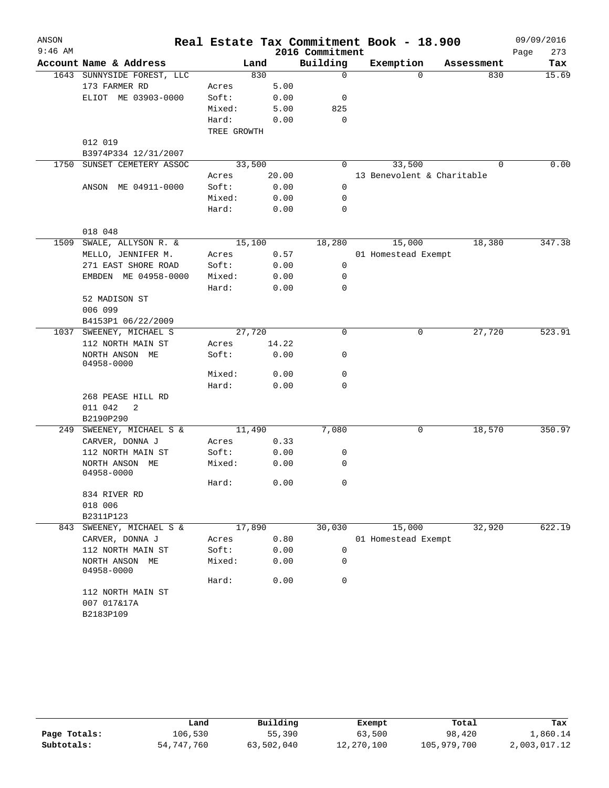| ANSON     |                                             |                 |              |                 | Real Estate Tax Commitment Book - 18.900 |            | 09/09/2016  |
|-----------|---------------------------------------------|-----------------|--------------|-----------------|------------------------------------------|------------|-------------|
| $9:46$ AM |                                             |                 |              | 2016 Commitment |                                          |            | Page<br>273 |
|           | Account Name & Address                      |                 | Land         | Building        | Exemption                                | Assessment | Tax         |
|           | 1643 SUNNYSIDE FOREST, LLC                  |                 | 830          | $\mathbf 0$     | $\Omega$                                 | 830        | 15.69       |
|           | 173 FARMER RD                               | Acres           | 5.00         |                 |                                          |            |             |
|           | ELIOT ME 03903-0000                         | Soft:           | 0.00         | 0               |                                          |            |             |
|           |                                             | Mixed:          | 5.00         | 825             |                                          |            |             |
|           |                                             | Hard:           | 0.00         | 0               |                                          |            |             |
|           |                                             | TREE GROWTH     |              |                 |                                          |            |             |
|           | 012 019                                     |                 |              |                 |                                          |            |             |
|           | B3974P334 12/31/2007                        |                 |              |                 |                                          |            |             |
| 1750      | SUNSET CEMETERY ASSOC                       | 33,500          |              | 0               | 33,500                                   | $\Omega$   | 0.00        |
|           |                                             | Acres           | 20.00        |                 | 13 Benevolent & Charitable               |            |             |
|           | ANSON ME 04911-0000                         | Soft:           | 0.00         | 0               |                                          |            |             |
|           |                                             | Mixed:          | 0.00         | 0               |                                          |            |             |
|           |                                             | Hard:           | 0.00         | 0               |                                          |            |             |
|           | 018 048                                     |                 |              |                 |                                          |            |             |
|           |                                             |                 |              |                 |                                          | 18,380     | 347.38      |
| 1509      | SWALE, ALLYSON R. &<br>MELLO, JENNIFER M.   | 15,100          | 0.57         | 18,280          | 15,000                                   |            |             |
|           |                                             | Acres           |              | 0               | 01 Homestead Exempt                      |            |             |
|           | 271 EAST SHORE ROAD<br>EMBDEN ME 04958-0000 | Soft:<br>Mixed: | 0.00<br>0.00 | 0               |                                          |            |             |
|           |                                             | Hard:           | 0.00         | 0               |                                          |            |             |
|           | 52 MADISON ST                               |                 |              |                 |                                          |            |             |
|           | 006 099                                     |                 |              |                 |                                          |            |             |
|           | B4153P1 06/22/2009                          |                 |              |                 |                                          |            |             |
| 1037      | SWEENEY, MICHAEL S                          | 27,720          |              | 0               | 0                                        | 27,720     | 523.91      |
|           | 112 NORTH MAIN ST                           | Acres           | 14.22        |                 |                                          |            |             |
|           | NORTH ANSON ME                              | Soft:           | 0.00         | 0               |                                          |            |             |
|           | 04958-0000                                  |                 |              |                 |                                          |            |             |
|           |                                             | Mixed:          | 0.00         | $\mathbf 0$     |                                          |            |             |
|           |                                             | Hard:           | 0.00         | $\Omega$        |                                          |            |             |
|           | 268 PEASE HILL RD                           |                 |              |                 |                                          |            |             |
|           | 011 042<br>2                                |                 |              |                 |                                          |            |             |
|           | B2190P290                                   |                 |              |                 |                                          |            |             |
|           | 249 SWEENEY, MICHAEL S &                    | 11,490          |              | 7,080           | 0                                        | 18,570     | 350.97      |
|           | CARVER, DONNA J                             | Acres           | 0.33         |                 |                                          |            |             |
|           | 112 NORTH MAIN ST                           | Soft:           | 0.00         | 0               |                                          |            |             |
|           | NORTH ANSON ME                              | Mixed:          | 0.00         | 0               |                                          |            |             |
|           | 04958-0000                                  |                 |              |                 |                                          |            |             |
|           |                                             | Hard:           | 0.00         | 0               |                                          |            |             |
|           | 834 RIVER RD                                |                 |              |                 |                                          |            |             |
|           | 018 006                                     |                 |              |                 |                                          |            |             |
| 843       | B2311P123                                   | 17,890          |              |                 |                                          |            | 622.19      |
|           | SWEENEY, MICHAEL S &<br>CARVER, DONNA J     |                 |              | 30,030          | 15,000                                   | 32,920     |             |
|           | 112 NORTH MAIN ST                           | Acres<br>Soft:  | 0.80<br>0.00 | 0               | 01 Homestead Exempt                      |            |             |
|           | NORTH ANSON ME                              | Mixed:          |              | 0               |                                          |            |             |
|           | 04958-0000                                  |                 | 0.00         |                 |                                          |            |             |
|           |                                             | Hard:           | 0.00         | 0               |                                          |            |             |
|           |                                             |                 |              |                 |                                          |            |             |
|           | 112 NORTH MAIN ST                           |                 |              |                 |                                          |            |             |
|           | 007 017&17A<br>B2183P109                    |                 |              |                 |                                          |            |             |

|              | Land       | Building   | Exempt     | Total       | Tax          |
|--------------|------------|------------|------------|-------------|--------------|
| Page Totals: | 106,530    | 55,390     | 63,500     | 98,420      | 1,860.14     |
| Subtotals:   | 54,747,760 | 63,502,040 | 12,270,100 | 105,979,700 | 2,003,017.12 |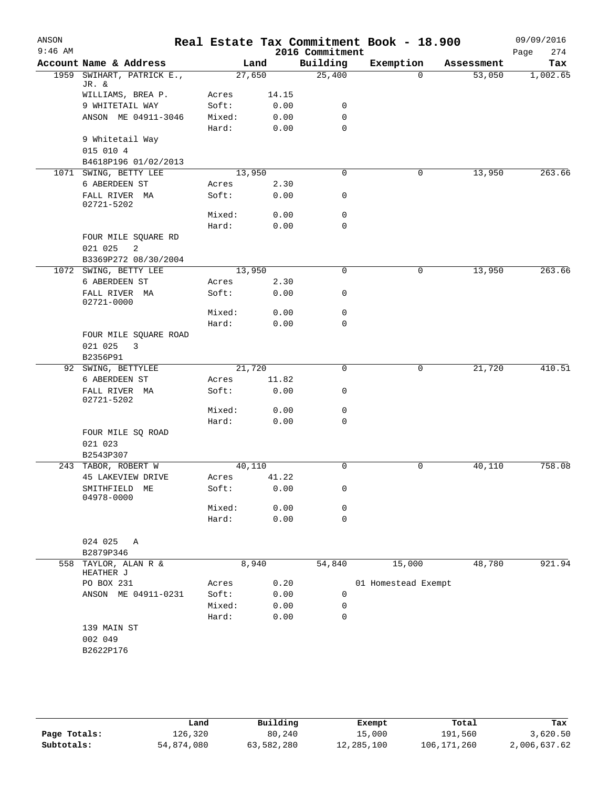|                        |        |        | 2016 Commitment | Real Estate Tax Commitment Book - 18.900 |            | 09/09/2016<br>274<br>Page |
|------------------------|--------|--------|-----------------|------------------------------------------|------------|---------------------------|
| Account Name & Address |        | Land   | Building        | Exemption                                | Assessment | Tax                       |
| SWIHART, PATRICK E.,   |        | 27,650 | 25,400          | $\Omega$                                 | 53,050     | 1,002.65                  |
| WILLIAMS, BREA P.      | Acres  | 14.15  |                 |                                          |            |                           |
| 9 WHITETAIL WAY        | Soft:  | 0.00   | 0               |                                          |            |                           |
| ANSON ME 04911-3046    | Mixed: | 0.00   | $\mathbf 0$     |                                          |            |                           |
|                        | Hard:  | 0.00   | $\mathbf 0$     |                                          |            |                           |
| 9 Whitetail Way        |        |        |                 |                                          |            |                           |
|                        |        |        |                 |                                          |            |                           |
| B4618P196 01/02/2013   |        |        |                 |                                          |            |                           |
| 1071 SWING, BETTY LEE  |        | 13,950 | $\mathbf 0$     | 0                                        | 13,950     | 263.66                    |
|                        | Acres  | 2.30   |                 |                                          |            |                           |
| FALL RIVER MA          | Soft:  | 0.00   | 0               |                                          |            |                           |
|                        | Mixed: | 0.00   | 0               |                                          |            |                           |
|                        | Hard:  | 0.00   | $\mathbf 0$     |                                          |            |                           |
| FOUR MILE SQUARE RD    |        |        |                 |                                          |            |                           |
| B3369P272 08/30/2004   |        |        |                 |                                          |            |                           |
| 1072 SWING, BETTY LEE  |        | 13,950 | $\mathbf 0$     | 0                                        | 13,950     | 263.66                    |
|                        | Acres  | 2.30   |                 |                                          |            |                           |
| FALL RIVER MA          | Soft:  | 0.00   | 0               |                                          |            |                           |
|                        | Mixed: | 0.00   | $\mathbf 0$     |                                          |            |                           |
|                        | Hard:  | 0.00   | 0               |                                          |            |                           |
| FOUR MILE SQUARE ROAD  |        |        |                 |                                          |            |                           |
| 92 SWING, BETTYLEE     |        | 21,720 | $\mathbf 0$     | 0                                        | 21,720     | 410.51                    |
|                        | Acres  | 11.82  |                 |                                          |            |                           |
| FALL RIVER MA          | Soft:  | 0.00   | 0               |                                          |            |                           |
|                        | Mixed: | 0.00   | 0               |                                          |            |                           |
|                        | Hard:  | 0.00   | $\mathbf 0$     |                                          |            |                           |
| FOUR MILE SQ ROAD      |        |        |                 |                                          |            |                           |
|                        |        |        |                 |                                          |            |                           |
| 243 TABOR, ROBERT W    |        | 40,110 | $\mathbf 0$     | 0                                        | 40,110     | 758.08                    |
| 45 LAKEVIEW DRIVE      | Acres  | 41.22  |                 |                                          |            |                           |
| МE                     | Soft:  | 0.00   | 0               |                                          |            |                           |
|                        | Mixed: | 0.00   | 0               |                                          |            |                           |
|                        | Hard:  | 0.00   | 0               |                                          |            |                           |
|                        |        |        |                 |                                          |            |                           |
|                        |        |        |                 |                                          |            |                           |
| 558 TAYLOR, ALAN R &   |        | 8,940  | 54,840          | 15,000                                   | 48,780     | 921.94                    |
|                        | Acres  | 0.20   |                 | 01 Homestead Exempt                      |            |                           |
| ANSON ME 04911-0231    | Soft:  | 0.00   | 0               |                                          |            |                           |
|                        | Mixed: | 0.00   | 0               |                                          |            |                           |
|                        | Hard:  | 0.00   | 0               |                                          |            |                           |
|                        |        |        |                 |                                          |            |                           |
|                        |        |        |                 |                                          |            |                           |
|                        |        |        |                 |                                          |            |                           |
|                        |        |        |                 |                                          |            |                           |

|              | Land       | Building   | Exempt     | Total       | Tax          |
|--------------|------------|------------|------------|-------------|--------------|
| Page Totals: | 126,320    | 80,240     | 15,000     | 191,560     | 3,620.50     |
| Subtotals:   | 54,874,080 | 63,582,280 | 12,285,100 | 106,171,260 | 2,006,637.62 |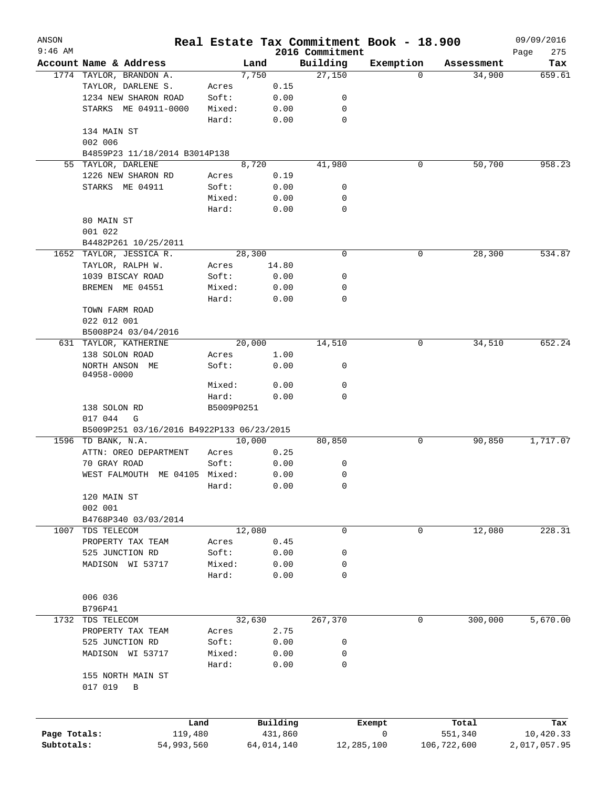| ANSON        |                                           |            |            |                             | Real Estate Tax Commitment Book - 18.900 |             | 09/09/2016         |
|--------------|-------------------------------------------|------------|------------|-----------------------------|------------------------------------------|-------------|--------------------|
| $9:46$ AM    | Account Name & Address                    | Land       |            | 2016 Commitment<br>Building | Exemption                                | Assessment  | Page<br>275<br>Tax |
|              | 1774 TAYLOR, BRANDON A.                   | 7,750      |            | 27,150                      | 0                                        | 34,900      | 659.61             |
|              | TAYLOR, DARLENE S.                        | Acres      | 0.15       |                             |                                          |             |                    |
|              | 1234 NEW SHARON ROAD                      | Soft:      | 0.00       | 0                           |                                          |             |                    |
|              |                                           |            |            |                             |                                          |             |                    |
|              | STARKS ME 04911-0000                      | Mixed:     | 0.00       | 0                           |                                          |             |                    |
|              |                                           | Hard:      | 0.00       | 0                           |                                          |             |                    |
|              | 134 MAIN ST                               |            |            |                             |                                          |             |                    |
|              | 002 006                                   |            |            |                             |                                          |             |                    |
|              | B4859P23 11/18/2014 B3014P138             |            |            |                             |                                          |             |                    |
| 55           | TAYLOR, DARLENE                           | 8,720      |            | 41,980                      | 0                                        | 50,700      | 958.23             |
|              | 1226 NEW SHARON RD                        | Acres      | 0.19       |                             |                                          |             |                    |
|              | STARKS ME 04911                           | Soft:      | 0.00       | 0                           |                                          |             |                    |
|              |                                           | Mixed:     | 0.00       | 0                           |                                          |             |                    |
|              |                                           | Hard:      | 0.00       | 0                           |                                          |             |                    |
|              | 80 MAIN ST                                |            |            |                             |                                          |             |                    |
|              |                                           |            |            |                             |                                          |             |                    |
|              | 001 022                                   |            |            |                             |                                          |             |                    |
|              | B4482P261 10/25/2011                      |            |            |                             |                                          |             |                    |
|              | 1652 TAYLOR, JESSICA R.                   | 28,300     |            | $\mathbf 0$                 | 0                                        | 28,300      | 534.87             |
|              | TAYLOR, RALPH W.                          | Acres      | 14.80      |                             |                                          |             |                    |
|              | 1039 BISCAY ROAD                          | Soft:      | 0.00       | 0                           |                                          |             |                    |
|              | BREMEN ME 04551                           | Mixed:     | 0.00       | 0                           |                                          |             |                    |
|              |                                           | Hard:      | 0.00       | 0                           |                                          |             |                    |
|              | TOWN FARM ROAD                            |            |            |                             |                                          |             |                    |
|              | 022 012 001                               |            |            |                             |                                          |             |                    |
|              | B5008P24 03/04/2016                       |            |            |                             |                                          |             |                    |
|              |                                           |            |            |                             |                                          |             |                    |
| 631          | TAYLOR, KATHERINE                         | 20,000     |            | 14,510                      | 0                                        | 34,510      | 652.24             |
|              | 138 SOLON ROAD                            | Acres      | 1.00       |                             |                                          |             |                    |
|              | NORTH ANSON ME                            | Soft:      | 0.00       | 0                           |                                          |             |                    |
|              | 04958-0000                                |            |            |                             |                                          |             |                    |
|              |                                           | Mixed:     | 0.00       | $\mathbf 0$                 |                                          |             |                    |
|              |                                           | Hard:      | 0.00       | 0                           |                                          |             |                    |
|              | 138 SOLON RD                              | B5009P0251 |            |                             |                                          |             |                    |
|              | 017 044<br>G                              |            |            |                             |                                          |             |                    |
|              | B5009P251 03/16/2016 B4922P133 06/23/2015 |            |            |                             |                                          |             |                    |
|              | 1596 TD BANK, N.A.                        | 10,000     |            | 80,850                      | 0                                        | 90,850      | 1,717.07           |
|              | ATTN: OREO DEPARTMENT                     | Acres      | 0.25       |                             |                                          |             |                    |
|              | 70 GRAY ROAD                              | Soft:      | 0.00       | 0                           |                                          |             |                    |
|              | WEST FALMOUTH ME 04105 Mixed:             |            | 0.00       | 0                           |                                          |             |                    |
|              |                                           |            |            |                             |                                          |             |                    |
|              |                                           | Hard:      | 0.00       | 0                           |                                          |             |                    |
|              | 120 MAIN ST                               |            |            |                             |                                          |             |                    |
|              | 002 001                                   |            |            |                             |                                          |             |                    |
|              | B4768P340 03/03/2014                      |            |            |                             |                                          |             |                    |
| 1007         | TDS TELECOM                               | 12,080     |            | 0                           | 0                                        | 12,080      | 228.31             |
|              | PROPERTY TAX TEAM                         | Acres      | 0.45       |                             |                                          |             |                    |
|              | 525 JUNCTION RD                           | Soft:      | 0.00       | 0                           |                                          |             |                    |
|              | MADISON WI 53717                          | Mixed:     | 0.00       | 0                           |                                          |             |                    |
|              |                                           | Hard:      | 0.00       | 0                           |                                          |             |                    |
|              |                                           |            |            |                             |                                          |             |                    |
|              | 006 036                                   |            |            |                             |                                          |             |                    |
|              |                                           |            |            |                             |                                          |             |                    |
|              | B796P41                                   |            |            |                             |                                          |             |                    |
|              | 1732 TDS TELECOM                          | 32,630     |            | 267,370                     | 0                                        | 300,000     | 5,670.00           |
|              | PROPERTY TAX TEAM                         | Acres      | 2.75       |                             |                                          |             |                    |
|              | 525 JUNCTION RD                           | Soft:      | 0.00       | 0                           |                                          |             |                    |
|              | MADISON WI 53717                          | Mixed:     | 0.00       | 0                           |                                          |             |                    |
|              |                                           | Hard:      | 0.00       | 0                           |                                          |             |                    |
|              | 155 NORTH MAIN ST                         |            |            |                             |                                          |             |                    |
|              | 017 019<br>$\, {\bf B}$                   |            |            |                             |                                          |             |                    |
|              |                                           |            |            |                             |                                          |             |                    |
|              |                                           |            |            |                             |                                          |             |                    |
|              |                                           |            |            |                             |                                          |             |                    |
|              | Land                                      |            | Building   |                             | Exempt                                   | Total       | Tax                |
| Page Totals: | 119,480                                   |            | 431,860    |                             | 0                                        | 551,340     | 10,420.33          |
| Subtotals:   | 54,993,560                                |            | 64,014,140 | 12,285,100                  |                                          | 106,722,600 | 2,017,057.95       |
|              |                                           |            |            |                             |                                          |             |                    |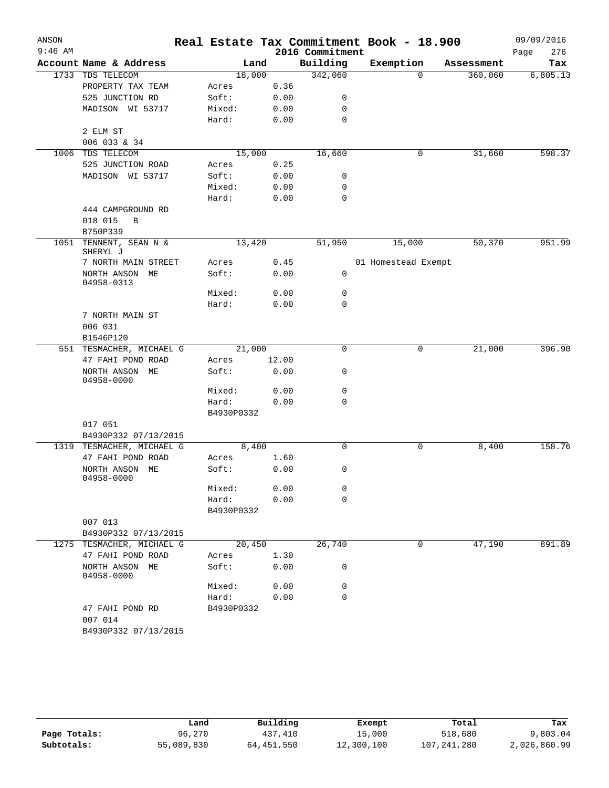| ANSON     |                                 |            |       |                 | Real Estate Tax Commitment Book - 18.900 |                     | 09/09/2016  |
|-----------|---------------------------------|------------|-------|-----------------|------------------------------------------|---------------------|-------------|
| $9:46$ AM |                                 |            |       | 2016 Commitment |                                          |                     | 276<br>Page |
|           | Account Name & Address          |            | Land  | Building        | Exemption                                | Assessment          | Tax         |
|           | 1733 TDS TELECOM                | 18,000     |       | 342,060         |                                          | 360,060<br>$\Omega$ | 6,805.13    |
|           | PROPERTY TAX TEAM               | Acres      | 0.36  |                 |                                          |                     |             |
|           | 525 JUNCTION RD                 | Soft:      | 0.00  | 0               |                                          |                     |             |
|           | MADISON WI 53717                | Mixed:     | 0.00  | 0               |                                          |                     |             |
|           |                                 | Hard:      | 0.00  | 0               |                                          |                     |             |
|           | 2 ELM ST                        |            |       |                 |                                          |                     |             |
|           | 006 033 & 34                    |            |       |                 |                                          |                     |             |
| 1006      | TDS TELECOM                     | 15,000     |       | 16,660          |                                          | 31,660<br>0         | 598.37      |
|           | 525 JUNCTION ROAD               | Acres      | 0.25  |                 |                                          |                     |             |
|           | MADISON WI 53717                | Soft:      | 0.00  | 0               |                                          |                     |             |
|           |                                 | Mixed:     | 0.00  | 0               |                                          |                     |             |
|           |                                 | Hard:      | 0.00  | 0               |                                          |                     |             |
|           | 444 CAMPGROUND RD               |            |       |                 |                                          |                     |             |
|           | 018 015<br>B                    |            |       |                 |                                          |                     |             |
|           | B750P339                        |            |       |                 |                                          |                     |             |
|           | 1051 TENNENT, SEAN N &          | 13,420     |       | 51,950          | 15,000                                   | 50,370              | 951.99      |
|           | SHERYL J                        |            |       |                 |                                          |                     |             |
|           | 7 NORTH MAIN STREET             | Acres      | 0.45  |                 | 01 Homestead Exempt                      |                     |             |
|           | NORTH ANSON ME<br>04958-0313    | Soft:      | 0.00  | 0               |                                          |                     |             |
|           |                                 | Mixed:     | 0.00  | 0               |                                          |                     |             |
|           |                                 | Hard:      | 0.00  | 0               |                                          |                     |             |
|           | 7 NORTH MAIN ST                 |            |       |                 |                                          |                     |             |
|           | 006 031                         |            |       |                 |                                          |                     |             |
|           | B1546P120                       |            |       |                 |                                          |                     |             |
|           | 551 TESMACHER, MICHAEL G        | 21,000     |       | 0               |                                          | 0<br>21,000         | 396.90      |
|           | 47 FAHI POND ROAD               | Acres      | 12.00 |                 |                                          |                     |             |
|           | NORTH ANSON<br>МE               | Soft:      | 0.00  | 0               |                                          |                     |             |
|           | 04958-0000                      | Mixed:     |       | 0               |                                          |                     |             |
|           |                                 | Hard:      | 0.00  | 0               |                                          |                     |             |
|           |                                 |            | 0.00  |                 |                                          |                     |             |
|           |                                 | B4930P0332 |       |                 |                                          |                     |             |
|           | 017 051                         |            |       |                 |                                          |                     |             |
|           | B4930P332 07/13/2015            |            |       |                 |                                          |                     |             |
|           | 1319 TESMACHER, MICHAEL G       |            | 8,400 | $\mathbf 0$     |                                          | 0<br>8,400          | 158.76      |
|           | 47 FAHI POND ROAD               | Acres      | 1.60  |                 |                                          |                     |             |
|           | NORTH ANSON<br>ME<br>04958-0000 | Soft:      | 0.00  | 0               |                                          |                     |             |
|           |                                 | Mixed:     | 0.00  | 0               |                                          |                     |             |
|           |                                 | Hard:      | 0.00  | 0               |                                          |                     |             |
|           |                                 | B4930P0332 |       |                 |                                          |                     |             |
|           | 007 013                         |            |       |                 |                                          |                     |             |
|           | B4930P332 07/13/2015            |            |       |                 |                                          |                     |             |
|           | 1275 TESMACHER, MICHAEL G       | 20,450     |       | 26,740          |                                          | 47,190<br>0         | 891.89      |
|           | 47 FAHI POND ROAD               | Acres      | 1.30  |                 |                                          |                     |             |
|           | NORTH ANSON ME<br>04958-0000    | Soft:      | 0.00  | 0               |                                          |                     |             |
|           |                                 | Mixed:     | 0.00  | 0               |                                          |                     |             |
|           |                                 | Hard:      | 0.00  | 0               |                                          |                     |             |
|           | 47 FAHI POND RD<br>007 014      | B4930P0332 |       |                 |                                          |                     |             |
|           | B4930P332 07/13/2015            |            |       |                 |                                          |                     |             |

|              | Land       | Building     | Exempt     | Total         | Tax          |
|--------------|------------|--------------|------------|---------------|--------------|
| Page Totals: | 96,270     | 437,410      | 15,000     | 518,680       | 9,803.04     |
| Subtotals:   | 55,089,830 | 64, 451, 550 | 12,300,100 | 107, 241, 280 | 2,026,860.99 |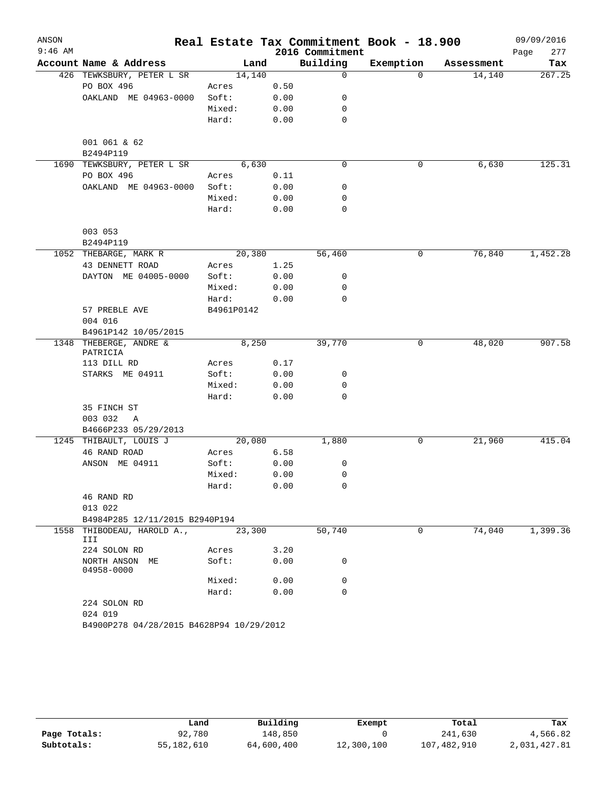| ANSON     |                                           |            |      |                 | Real Estate Tax Commitment Book - 18.900 |            | 09/09/2016  |
|-----------|-------------------------------------------|------------|------|-----------------|------------------------------------------|------------|-------------|
| $9:46$ AM |                                           |            |      | 2016 Commitment |                                          |            | 277<br>Page |
|           | Account Name & Address                    | Land       |      | Building        | Exemption                                | Assessment | Tax         |
|           | 426 TEWKSBURY, PETER L SR                 | 14,140     |      | $\mathbf 0$     | $\Omega$                                 | 14,140     | 267.25      |
|           | PO BOX 496                                | Acres      | 0.50 |                 |                                          |            |             |
|           | OAKLAND ME 04963-0000                     | Soft:      | 0.00 | 0               |                                          |            |             |
|           |                                           | Mixed:     | 0.00 | 0               |                                          |            |             |
|           |                                           | Hard:      | 0.00 | $\mathbf 0$     |                                          |            |             |
|           | 001 061 & 62<br>B2494P119                 |            |      |                 |                                          |            |             |
|           | 1690 TEWKSBURY, PETER L SR                | 6,630      |      | $\mathbf 0$     | 0                                        | 6,630      | 125.31      |
|           | PO BOX 496                                | Acres      | 0.11 |                 |                                          |            |             |
|           | OAKLAND ME 04963-0000                     | Soft:      | 0.00 | 0               |                                          |            |             |
|           |                                           | Mixed:     | 0.00 | 0               |                                          |            |             |
|           |                                           | Hard:      | 0.00 | 0               |                                          |            |             |
|           | 003 053                                   |            |      |                 |                                          |            |             |
|           | B2494P119                                 |            |      |                 |                                          |            |             |
|           | 1052 THEBARGE, MARK R                     | 20,380     |      | 56,460          | 0                                        | 76,840     | 1,452.28    |
|           | 43 DENNETT ROAD                           | Acres      | 1.25 |                 |                                          |            |             |
|           | DAYTON ME 04005-0000                      | Soft:      | 0.00 | 0               |                                          |            |             |
|           |                                           | Mixed:     | 0.00 | 0               |                                          |            |             |
|           |                                           | Hard:      | 0.00 | 0               |                                          |            |             |
|           | 57 PREBLE AVE                             | B4961P0142 |      |                 |                                          |            |             |
|           | 004 016                                   |            |      |                 |                                          |            |             |
|           | B4961P142 10/05/2015<br>THEBERGE, ANDRE & | 8,250      |      | 39,770          |                                          |            | 907.58      |
| 1348      | PATRICIA                                  |            |      |                 | 0                                        | 48,020     |             |
|           | 113 DILL RD                               | Acres      | 0.17 |                 |                                          |            |             |
|           | STARKS ME 04911                           | Soft:      | 0.00 | 0               |                                          |            |             |
|           |                                           | Mixed:     | 0.00 | 0               |                                          |            |             |
|           |                                           | Hard:      | 0.00 | 0               |                                          |            |             |
|           | 35 FINCH ST                               |            |      |                 |                                          |            |             |
|           | 003 032<br>Α                              |            |      |                 |                                          |            |             |
|           | B4666P233 05/29/2013                      |            |      |                 |                                          |            |             |
|           | 1245 THIBAULT, LOUIS J                    | 20,080     |      | 1,880           | 0                                        | 21,960     | 415.04      |
|           | 46 RAND ROAD                              | Acres      | 6.58 |                 |                                          |            |             |
|           | ANSON ME 04911                            | Soft:      | 0.00 | 0               |                                          |            |             |
|           |                                           | Mixed:     | 0.00 | 0               |                                          |            |             |
|           |                                           | Hard:      | 0.00 | 0               |                                          |            |             |
|           | 46 RAND RD                                |            |      |                 |                                          |            |             |
|           | 013 022                                   |            |      |                 |                                          |            |             |
|           | B4984P285 12/11/2015 B2940P194            |            |      |                 |                                          |            |             |
|           | 1558 THIBODEAU, HAROLD A.,<br>III         | 23,300     |      | 50,740          | 0                                        | 74,040     | 1,399.36    |
|           | 224 SOLON RD                              | Acres      | 3.20 |                 |                                          |            |             |
|           | NORTH ANSON ME<br>04958-0000              | Soft:      | 0.00 | 0               |                                          |            |             |
|           |                                           | Mixed:     | 0.00 | 0               |                                          |            |             |
|           |                                           | Hard:      | 0.00 | 0               |                                          |            |             |
|           | 224 SOLON RD                              |            |      |                 |                                          |            |             |
|           | 024 019                                   |            |      |                 |                                          |            |             |
|           | B4900P278 04/28/2015 B4628P94 10/29/2012  |            |      |                 |                                          |            |             |

|              | Land       | Building   | Exempt     | Total       | Tax          |
|--------------|------------|------------|------------|-------------|--------------|
| Page Totals: | 92,780     | 148,850    |            | 241,630     | 4,566.82     |
| Subtotals:   | 55,182,610 | 64,600,400 | 12,300,100 | 107,482,910 | 2,031,427.81 |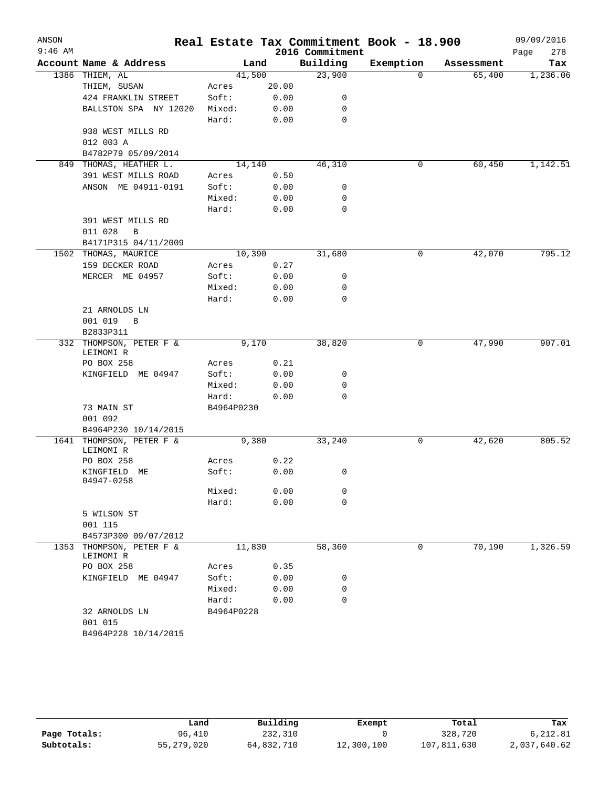| ANSON<br>$9:46$ AM  |                                      |            |       | 2016 Commitment | Real Estate Tax Commitment Book - 18.900 |            | 09/09/2016<br>278 |
|---------------------|--------------------------------------|------------|-------|-----------------|------------------------------------------|------------|-------------------|
|                     | Account Name & Address               |            | Land  | Building        | Exemption                                | Assessment | Page<br>Tax       |
|                     | 1386 THIEM, AL                       | 41,500     |       | 23,900          | 0                                        | 65,400     | 1,236.06          |
|                     | THIEM, SUSAN                         | Acres      | 20.00 |                 |                                          |            |                   |
|                     | 424 FRANKLIN STREET                  | Soft:      | 0.00  | 0               |                                          |            |                   |
|                     | BALLSTON SPA NY 12020                | Mixed:     | 0.00  | 0               |                                          |            |                   |
|                     |                                      | Hard:      | 0.00  | 0               |                                          |            |                   |
|                     | 938 WEST MILLS RD                    |            |       |                 |                                          |            |                   |
|                     | 012 003 A                            |            |       |                 |                                          |            |                   |
|                     | B4782P79 05/09/2014                  |            |       |                 |                                          |            |                   |
| 849                 | THOMAS, HEATHER L.                   | 14,140     |       | 46,310          | 0                                        | 60,450     | 1,142.51          |
|                     | 391 WEST MILLS ROAD                  | Acres      | 0.50  |                 |                                          |            |                   |
| ANSON ME 04911-0191 |                                      | Soft:      | 0.00  | 0               |                                          |            |                   |
|                     |                                      | Mixed:     | 0.00  | 0               |                                          |            |                   |
|                     |                                      | Hard:      | 0.00  | 0               |                                          |            |                   |
|                     | 391 WEST MILLS RD                    |            |       |                 |                                          |            |                   |
|                     | 011 028<br>B                         |            |       |                 |                                          |            |                   |
|                     | B4171P315 04/11/2009                 |            |       |                 |                                          |            |                   |
|                     | 1502 THOMAS, MAURICE                 | 10,390     |       | 31,680          | 0                                        | 42,070     | 795.12            |
|                     | 159 DECKER ROAD                      | Acres      | 0.27  |                 |                                          |            |                   |
|                     | MERCER ME 04957                      | Soft:      | 0.00  | 0               |                                          |            |                   |
|                     |                                      | Mixed:     | 0.00  | 0               |                                          |            |                   |
|                     |                                      | Hard:      | 0.00  | 0               |                                          |            |                   |
|                     | 21 ARNOLDS LN                        |            |       |                 |                                          |            |                   |
|                     | 001 019<br>$\, {\bf B}$              |            |       |                 |                                          |            |                   |
|                     | B2833P311                            |            |       |                 |                                          |            |                   |
|                     | 332 THOMPSON, PETER F &<br>LEIMOMI R | 9,170      |       | 38,820          | 0                                        | 47,990     | 907.01            |
|                     | PO BOX 258                           | Acres      | 0.21  |                 |                                          |            |                   |
|                     | KINGFIELD ME 04947                   | Soft:      | 0.00  | 0               |                                          |            |                   |
|                     |                                      | Mixed:     | 0.00  | 0               |                                          |            |                   |
|                     |                                      | Hard:      | 0.00  | 0               |                                          |            |                   |
|                     | 73 MAIN ST                           | B4964P0230 |       |                 |                                          |            |                   |
|                     | 001 092                              |            |       |                 |                                          |            |                   |
|                     | B4964P230 10/14/2015                 |            |       |                 |                                          |            |                   |
|                     | 1641 THOMPSON, PETER F &             |            | 9,380 | 33,240          | 0                                        | 42,620     | 805.52            |
|                     | LEIMOMI R<br>PO BOX 258              | Acres      | 0.22  |                 |                                          |            |                   |
|                     | KINGFIELD ME                         | Soft:      | 0.00  | 0               |                                          |            |                   |
|                     | 04947-0258                           |            |       |                 |                                          |            |                   |
|                     |                                      | Mixed:     | 0.00  | 0               |                                          |            |                   |
|                     |                                      | Hard:      | 0.00  | 0               |                                          |            |                   |
|                     | 5 WILSON ST                          |            |       |                 |                                          |            |                   |
|                     | 001 115                              |            |       |                 |                                          |            |                   |
|                     | B4573P300 09/07/2012                 |            |       |                 |                                          |            |                   |
| 1353                | THOMPSON, PETER F &                  | 11,830     |       | 58,360          | 0                                        | 70,190     | 1,326.59          |
|                     | LEIMOMI R                            |            |       |                 |                                          |            |                   |
|                     | PO BOX 258                           | Acres      | 0.35  |                 |                                          |            |                   |
|                     | KINGFIELD ME 04947                   | Soft:      | 0.00  | 0               |                                          |            |                   |
|                     |                                      | Mixed:     | 0.00  | 0               |                                          |            |                   |
|                     | 32 ARNOLDS LN                        | Hard:      | 0.00  | $\Omega$        |                                          |            |                   |
|                     | 001 015                              | B4964P0228 |       |                 |                                          |            |                   |
|                     |                                      |            |       |                 |                                          |            |                   |
|                     | B4964P228 10/14/2015                 |            |       |                 |                                          |            |                   |

|              | Land       | Building   | Exempt     | Total       | Tax          |
|--------------|------------|------------|------------|-------------|--------------|
| Page Totals: | 96,410     | 232,310    |            | 328,720     | 6,212.81     |
| Subtotals:   | 55,279,020 | 64,832,710 | 12,300,100 | 107,811,630 | 2,037,640.62 |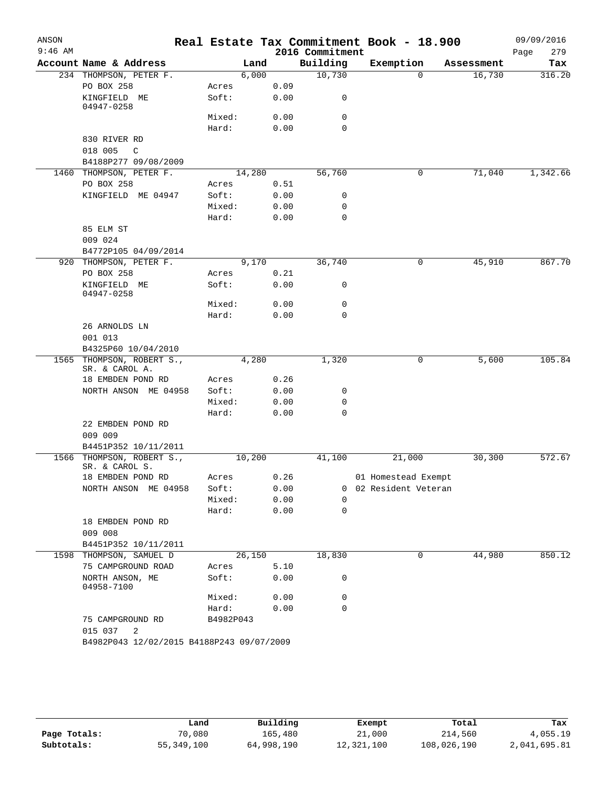| ANSON     |                                           |                 |        |              |                 | Real Estate Tax Commitment Book - 18.900 |            | 09/09/2016  |
|-----------|-------------------------------------------|-----------------|--------|--------------|-----------------|------------------------------------------|------------|-------------|
| $9:46$ AM |                                           |                 |        |              | 2016 Commitment |                                          |            | 279<br>Page |
|           | Account Name & Address                    |                 | Land   |              | Building        | Exemption                                | Assessment | Tax         |
|           | 234 THOMPSON, PETER F.                    |                 | 6,000  |              | 10,730          | $\Omega$                                 | 16,730     | 316.20      |
|           | PO BOX 258                                | Acres           |        | 0.09         |                 |                                          |            |             |
|           | KINGFIELD ME<br>04947-0258                | Soft:           |        | 0.00         | 0               |                                          |            |             |
|           |                                           | Mixed:          |        | 0.00         | 0               |                                          |            |             |
|           |                                           | Hard:           |        | 0.00         | $\mathbf 0$     |                                          |            |             |
|           | 830 RIVER RD                              |                 |        |              |                 |                                          |            |             |
|           | 018 005<br>C                              |                 |        |              |                 |                                          |            |             |
|           | B4188P277 09/08/2009                      |                 |        |              |                 |                                          |            |             |
|           | 1460 THOMPSON, PETER F.                   |                 | 14,280 |              | 56,760          | 0                                        | 71,040     | 1,342.66    |
|           | PO BOX 258                                | Acres           |        | 0.51         |                 |                                          |            |             |
|           | KINGFIELD ME 04947                        | Soft:           |        | 0.00         | 0               |                                          |            |             |
|           |                                           | Mixed:          |        | 0.00         | 0               |                                          |            |             |
|           |                                           | Hard:           |        | 0.00         | $\mathbf 0$     |                                          |            |             |
|           | 85 ELM ST                                 |                 |        |              |                 |                                          |            |             |
|           | 009 024                                   |                 |        |              |                 |                                          |            |             |
|           | B4772P105 04/09/2014                      |                 |        |              |                 |                                          |            |             |
|           | 920 THOMPSON, PETER F.                    |                 | 9,170  |              | 36,740          | 0                                        | 45,910     | 867.70      |
|           | PO BOX 258                                | Acres           |        | 0.21         |                 |                                          |            |             |
|           | KINGFIELD ME<br>04947-0258                | Soft:           |        | 0.00         | 0               |                                          |            |             |
|           |                                           | Mixed:          |        | 0.00         | 0               |                                          |            |             |
|           |                                           | Hard:           |        | 0.00         | 0               |                                          |            |             |
|           | 26 ARNOLDS LN                             |                 |        |              |                 |                                          |            |             |
|           | 001 013                                   |                 |        |              |                 |                                          |            |             |
|           | B4325P60 10/04/2010                       |                 |        |              |                 |                                          |            |             |
|           | 1565 THOMPSON, ROBERT S.,                 |                 | 4,280  |              | 1,320           | 0                                        | 5,600      | 105.84      |
|           | SR. & CAROL A.                            |                 |        |              |                 |                                          |            |             |
|           | 18 EMBDEN POND RD                         | Acres           |        | 0.26         |                 |                                          |            |             |
|           | NORTH ANSON ME 04958                      | Soft:<br>Mixed: |        | 0.00<br>0.00 | 0<br>0          |                                          |            |             |
|           |                                           | Hard:           |        | 0.00         | 0               |                                          |            |             |
|           | 22 EMBDEN POND RD                         |                 |        |              |                 |                                          |            |             |
|           | 009 009                                   |                 |        |              |                 |                                          |            |             |
|           | B4451P352 10/11/2011                      |                 |        |              |                 |                                          |            |             |
|           | 1566 THOMPSON, ROBERT S.,                 |                 | 10,200 |              | 41,100          | 21,000                                   | 30,300     | 572.67      |
|           | SR. & CAROL S.                            |                 |        |              |                 |                                          |            |             |
|           | 18 EMBDEN POND RD                         | Acres           |        | 0.26         |                 | 01 Homestead Exempt                      |            |             |
|           | NORTH ANSON ME 04958                      | Soft:           |        | 0.00         | 0               | 02 Resident Veteran                      |            |             |
|           |                                           | Mixed:          |        | 0.00         | $\Omega$        |                                          |            |             |
|           |                                           | Hard:           |        | 0.00         | $\mathbf 0$     |                                          |            |             |
|           | 18 EMBDEN POND RD<br>009 008              |                 |        |              |                 |                                          |            |             |
|           | B4451P352 10/11/2011                      |                 |        |              |                 |                                          |            |             |
|           | 1598 THOMPSON, SAMUEL D                   |                 | 26,150 |              | 18,830          | 0                                        | 44,980     | 850.12      |
|           | 75 CAMPGROUND ROAD                        | Acres           |        | 5.10         |                 |                                          |            |             |
|           | NORTH ANSON, ME<br>04958-7100             | Soft:           |        | 0.00         | 0               |                                          |            |             |
|           |                                           | Mixed:          |        | 0.00         | 0               |                                          |            |             |
|           |                                           | Hard:           |        | 0.00         | 0               |                                          |            |             |
|           | 75 CAMPGROUND RD<br>015 037<br>2          | B4982P043       |        |              |                 |                                          |            |             |
|           | B4982P043 12/02/2015 B4188P243 09/07/2009 |                 |        |              |                 |                                          |            |             |

|              | Land       | Building   | Exempt     | Total       | Tax          |  |
|--------------|------------|------------|------------|-------------|--------------|--|
| Page Totals: | 70,080     | 165,480    | 21,000     | 214,560     | 4,055.19     |  |
| Subtotals:   | 55,349,100 | 64,998,190 | 12,321,100 | 108,026,190 | 2,041,695.81 |  |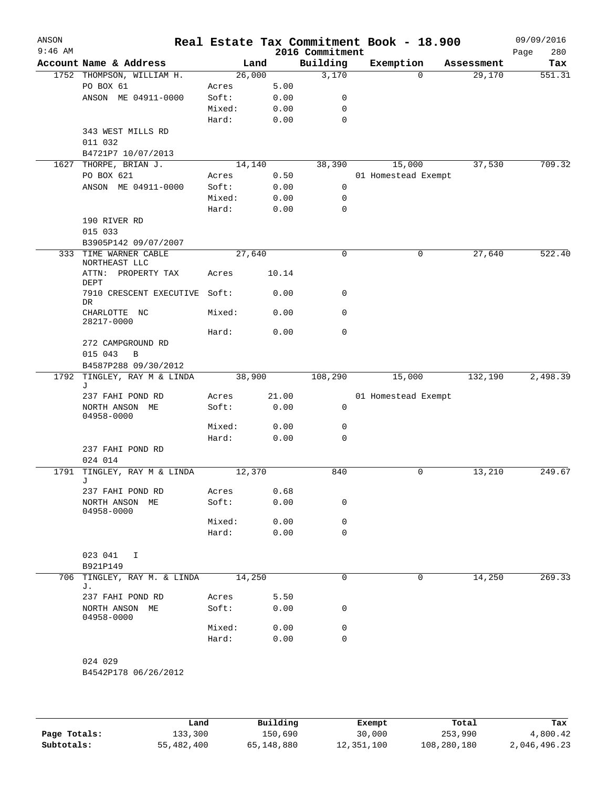| ANSON<br>$9:46$ AM |                                           |        |       | 2016 Commitment | Real Estate Tax Commitment Book - 18.900 |            | 09/09/2016<br>280<br>Page |
|--------------------|-------------------------------------------|--------|-------|-----------------|------------------------------------------|------------|---------------------------|
|                    | Account Name & Address                    | Land   |       | Building        | Exemption                                | Assessment | Tax                       |
|                    | 1752 THOMPSON, WILLIAM H.                 | 26,000 |       | 3,170           | 0                                        | 29,170     | 551.31                    |
|                    | PO BOX 61                                 | Acres  | 5.00  |                 |                                          |            |                           |
|                    | ANSON ME 04911-0000                       | Soft:  | 0.00  | 0               |                                          |            |                           |
|                    |                                           | Mixed: | 0.00  | 0               |                                          |            |                           |
|                    |                                           | Hard:  | 0.00  | 0               |                                          |            |                           |
|                    | 343 WEST MILLS RD                         |        |       |                 |                                          |            |                           |
|                    | 011 032                                   |        |       |                 |                                          |            |                           |
|                    | B4721P7 10/07/2013                        |        |       |                 |                                          |            |                           |
| 1627               | THORPE, BRIAN J.                          | 14,140 |       | 38,390          | 15,000                                   | 37,530     | 709.32                    |
|                    | PO BOX 621                                | Acres  | 0.50  |                 | 01 Homestead Exempt                      |            |                           |
|                    | ANSON ME 04911-0000                       | Soft:  | 0.00  | 0               |                                          |            |                           |
|                    |                                           | Mixed: | 0.00  | 0               |                                          |            |                           |
|                    |                                           | Hard:  | 0.00  | 0               |                                          |            |                           |
|                    | 190 RIVER RD                              |        |       |                 |                                          |            |                           |
|                    | 015 033                                   |        |       |                 |                                          |            |                           |
|                    | B3905P142 09/07/2007<br>TIME WARNER CABLE | 27,640 |       | $\mathbf 0$     |                                          | 27,640     | 522.40                    |
| 333                | NORTHEAST LLC                             |        |       |                 | 0                                        |            |                           |
|                    | ATTN: PROPERTY TAX<br>DEPT                | Acres  | 10.14 | 0               |                                          |            |                           |
|                    | 7910 CRESCENT EXECUTIVE<br><b>DR</b>      | Soft:  | 0.00  |                 |                                          |            |                           |
|                    | CHARLOTTE NC<br>28217-0000                | Mixed: | 0.00  | 0               |                                          |            |                           |
|                    |                                           | Hard:  | 0.00  | $\mathbf 0$     |                                          |            |                           |
|                    | 272 CAMPGROUND RD<br>B                    |        |       |                 |                                          |            |                           |
|                    | 015 043<br>B4587P288 09/30/2012           |        |       |                 |                                          |            |                           |
|                    | 1792 TINGLEY, RAY M & LINDA               | 38,900 |       | 108,290         | 15,000                                   | 132,190    | 2,498.39                  |
|                    | J                                         |        |       |                 |                                          |            |                           |
|                    | 237 FAHI POND RD                          | Acres  | 21.00 |                 | 01 Homestead Exempt                      |            |                           |
|                    | NORTH ANSON ME<br>04958-0000              | Soft:  | 0.00  | 0               |                                          |            |                           |
|                    |                                           | Mixed: | 0.00  | 0               |                                          |            |                           |
|                    |                                           | Hard:  | 0.00  | 0               |                                          |            |                           |
|                    | 237 FAHI POND RD                          |        |       |                 |                                          |            |                           |
|                    | 024 014                                   |        |       |                 |                                          |            |                           |
|                    | 1791 TINGLEY, RAY M & LINDA               | 12,370 |       | 840             | 0                                        | 13,210     | 249.67                    |
|                    | J                                         |        |       |                 |                                          |            |                           |
|                    | 237 FAHI POND RD                          | Acres  | 0.68  |                 |                                          |            |                           |
|                    | NORTH ANSON ME<br>04958-0000              | Soft:  | 0.00  | 0               |                                          |            |                           |
|                    |                                           | Mixed: | 0.00  | 0               |                                          |            |                           |
|                    |                                           | Hard:  | 0.00  | $\mathbf 0$     |                                          |            |                           |
|                    |                                           |        |       |                 |                                          |            |                           |
|                    | 023 041<br>I                              |        |       |                 |                                          |            |                           |
|                    | B921P149                                  |        |       | $\mathbf 0$     |                                          |            |                           |
| 706                | TINGLEY, RAY M. & LINDA<br>J.             | 14,250 |       |                 | 0                                        | 14,250     | 269.33                    |
|                    | 237 FAHI POND RD                          | Acres  | 5.50  |                 |                                          |            |                           |
|                    | NORTH ANSON ME<br>04958-0000              | Soft:  | 0.00  | 0               |                                          |            |                           |
|                    |                                           | Mixed: | 0.00  | 0               |                                          |            |                           |
|                    |                                           | Hard:  | 0.00  | $\mathbf 0$     |                                          |            |                           |
|                    |                                           |        |       |                 |                                          |            |                           |
|                    | 024 029                                   |        |       |                 |                                          |            |                           |
|                    | B4542P178 06/26/2012                      |        |       |                 |                                          |            |                           |
|                    |                                           |        |       |                 |                                          |            |                           |
|                    |                                           |        |       |                 |                                          |            |                           |

|              | Land       | Building   | Exempt     | Total       | Tax          |
|--------------|------------|------------|------------|-------------|--------------|
| Page Totals: | 133,300    | 150,690    | 30,000     | 253,990     | 4,800.42     |
| Subtotals:   | 55,482,400 | 65,148,880 | 12,351,100 | 108,280,180 | 2,046,496.23 |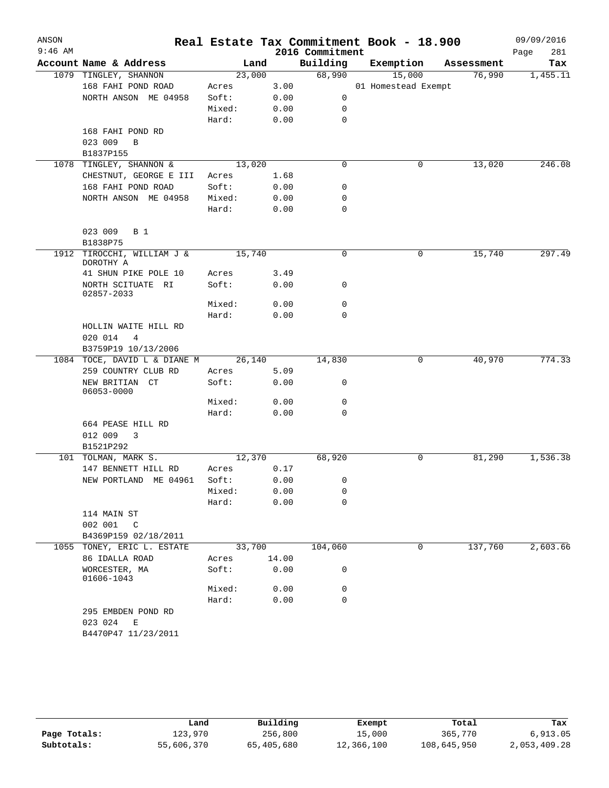| ANSON     |                                         |                |       |                             | Real Estate Tax Commitment Book - 18.900 |            | 09/09/2016         |
|-----------|-----------------------------------------|----------------|-------|-----------------------------|------------------------------------------|------------|--------------------|
| $9:46$ AM | Account Name & Address                  | Land           |       | 2016 Commitment<br>Building | Exemption                                | Assessment | 281<br>Page<br>Tax |
|           | 1079 TINGLEY, SHANNON                   | 23,000         |       | 68,990                      | 15,000                                   | 76,990     | 1,455.11           |
|           | 168 FAHI POND ROAD                      | Acres          | 3.00  |                             | 01 Homestead Exempt                      |            |                    |
|           | NORTH ANSON ME 04958                    | Soft:          | 0.00  | 0                           |                                          |            |                    |
|           |                                         | Mixed:         | 0.00  | 0                           |                                          |            |                    |
|           |                                         | Hard:          | 0.00  | 0                           |                                          |            |                    |
|           | 168 FAHI POND RD                        |                |       |                             |                                          |            |                    |
|           | 023 009<br>B                            |                |       |                             |                                          |            |                    |
|           | B1837P155                               |                |       |                             |                                          |            |                    |
| 1078      | TINGLEY, SHANNON &                      | 13,020         |       | $\mathbf 0$                 | 0                                        | 13,020     | 246.08             |
|           | CHESTNUT, GEORGE E III                  | Acres          | 1.68  |                             |                                          |            |                    |
|           | 168 FAHI POND ROAD                      | Soft:          | 0.00  | 0                           |                                          |            |                    |
|           | NORTH ANSON ME 04958                    | Mixed:         | 0.00  | 0                           |                                          |            |                    |
|           |                                         | Hard:          | 0.00  | $\mathbf 0$                 |                                          |            |                    |
|           | 023 009<br>B 1<br>B1838P75              |                |       |                             |                                          |            |                    |
| 1912      | TIROCCHI, WILLIAM J &<br>DOROTHY A      | 15,740         |       | $\mathbf 0$                 | 0                                        | 15,740     | 297.49             |
|           | 41 SHUN PIKE POLE 10                    | Acres          | 3.49  |                             |                                          |            |                    |
|           | NORTH SCITUATE RI<br>02857-2033         | Soft:          | 0.00  | 0                           |                                          |            |                    |
|           |                                         | Mixed:         | 0.00  | 0                           |                                          |            |                    |
|           |                                         | Hard:          | 0.00  | $\Omega$                    |                                          |            |                    |
|           | HOLLIN WAITE HILL RD                    |                |       |                             |                                          |            |                    |
|           | 020 014<br>4                            |                |       |                             |                                          |            |                    |
|           | B3759P19 10/13/2006                     |                |       |                             |                                          |            |                    |
|           | 1084 TOCE, DAVID L & DIANE M            | 26,140         |       | 14,830                      | 0                                        | 40,970     | 774.33             |
|           | 259 COUNTRY CLUB RD                     | Acres          | 5.09  |                             |                                          |            |                    |
|           | NEW BRITIAN CT<br>06053-0000            | Soft:          | 0.00  | 0                           |                                          |            |                    |
|           |                                         | Mixed:         | 0.00  | 0                           |                                          |            |                    |
|           |                                         | Hard:          | 0.00  | 0                           |                                          |            |                    |
|           | 664 PEASE HILL RD                       |                |       |                             |                                          |            |                    |
|           | 012 009<br>$\overline{\mathbf{3}}$      |                |       |                             |                                          |            |                    |
|           | B1521P292                               |                |       |                             |                                          |            |                    |
| 101       | TOLMAN, MARK S.                         | 12,370         |       | 68,920                      | 0                                        | 81,290     | 1,536.38           |
|           | 147 BENNETT HILL RD                     | Acres          | 0.17  |                             |                                          |            |                    |
|           | NEW PORTLAND ME 04961                   | Soft:          | 0.00  | 0                           |                                          |            |                    |
|           |                                         | Mixed:         | 0.00  | 0                           |                                          |            |                    |
|           |                                         | Hard:          | 0.00  | 0                           |                                          |            |                    |
|           | 114 MAIN ST<br>002 001<br>$\mathsf{C}$  |                |       |                             |                                          |            |                    |
|           | B4369P159 02/18/2011                    |                |       |                             |                                          | 137,760    |                    |
| 1055      | TONEY, ERIC L. ESTATE<br>86 IDALLA ROAD | 33,700         | 14.00 | 104,060                     | 0                                        |            | 2,603.66           |
|           | WORCESTER, MA                           | Acres<br>Soft: | 0.00  | 0                           |                                          |            |                    |
|           | 01606-1043                              | Mixed:         | 0.00  | 0                           |                                          |            |                    |
|           |                                         | Hard:          | 0.00  | $\mathbf 0$                 |                                          |            |                    |
|           | 295 EMBDEN POND RD                      |                |       |                             |                                          |            |                    |
|           | 023 024<br>Е<br>B4470P47 11/23/2011     |                |       |                             |                                          |            |                    |

|              | Land       | Building   | Exempt     | Total       | Tax          |
|--------------|------------|------------|------------|-------------|--------------|
| Page Totals: | 123,970    | 256,800    | 15,000     | 365,770     | 6.913.05     |
| Subtotals:   | 55,606,370 | 65,405,680 | 12,366,100 | 108,645,950 | 2,053,409.28 |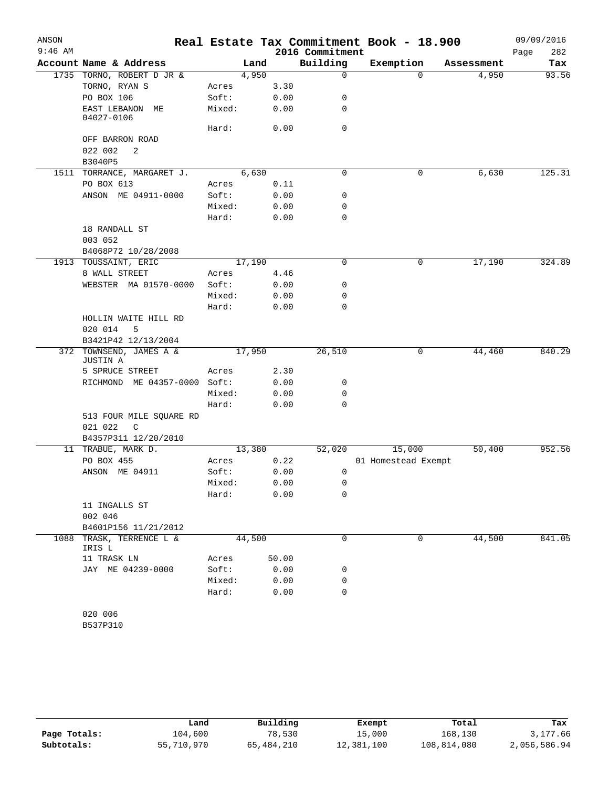| ANSON     |                                     |        |        |                 | Real Estate Tax Commitment Book - 18.900 |            | 09/09/2016  |
|-----------|-------------------------------------|--------|--------|-----------------|------------------------------------------|------------|-------------|
| $9:46$ AM |                                     |        |        | 2016 Commitment |                                          |            | Page<br>282 |
|           | Account Name & Address              |        | Land   | Building        | Exemption                                | Assessment | Tax         |
|           | 1735 TORNO, ROBERT D JR &           |        | 4,950  | $\mathbf 0$     | $\mathbf 0$                              | 4,950      | 93.56       |
|           | TORNO, RYAN S                       | Acres  | 3.30   |                 |                                          |            |             |
|           | PO BOX 106                          | Soft:  | 0.00   | 0               |                                          |            |             |
|           | EAST LEBANON<br>МE<br>04027-0106    | Mixed: | 0.00   | 0               |                                          |            |             |
|           |                                     | Hard:  | 0.00   | 0               |                                          |            |             |
|           | OFF BARRON ROAD                     |        |        |                 |                                          |            |             |
|           | 022 002<br>2                        |        |        |                 |                                          |            |             |
|           | B3040P5                             |        |        |                 |                                          |            |             |
|           | 1511 TORRANCE, MARGARET J.          |        | 6,630  | 0               | 0                                        | 6,630      | 125.31      |
|           | PO BOX 613                          | Acres  | 0.11   |                 |                                          |            |             |
|           | ANSON ME 04911-0000                 | Soft:  | 0.00   | 0               |                                          |            |             |
|           |                                     | Mixed: | 0.00   | 0               |                                          |            |             |
|           |                                     | Hard:  | 0.00   | 0               |                                          |            |             |
|           | 18 RANDALL ST                       |        |        |                 |                                          |            |             |
|           | 003 052                             |        |        |                 |                                          |            |             |
|           | B4068P72 10/28/2008                 |        |        |                 |                                          |            |             |
|           | 1913 TOUSSAINT, ERIC                |        | 17,190 | 0               | 0                                        | 17,190     | 324.89      |
|           | 8 WALL STREET                       | Acres  | 4.46   |                 |                                          |            |             |
|           | WEBSTER MA 01570-0000               | Soft:  | 0.00   | 0               |                                          |            |             |
|           |                                     | Mixed: | 0.00   | 0               |                                          |            |             |
|           |                                     | Hard:  | 0.00   | 0               |                                          |            |             |
|           | HOLLIN WAITE HILL RD                |        |        |                 |                                          |            |             |
|           | 020 014<br>5                        |        |        |                 |                                          |            |             |
|           | B3421P42 12/13/2004                 |        |        |                 |                                          |            |             |
|           | 372 TOWNSEND, JAMES A &<br>JUSTIN A |        | 17,950 | 26,510          | 0                                        | 44,460     | 840.29      |
|           | 5 SPRUCE STREET                     | Acres  | 2.30   |                 |                                          |            |             |
|           | RICHMOND ME 04357-0000 Soft:        |        | 0.00   | 0               |                                          |            |             |
|           |                                     | Mixed: | 0.00   | 0               |                                          |            |             |
|           |                                     | Hard:  | 0.00   | 0               |                                          |            |             |
|           | 513 FOUR MILE SQUARE RD             |        |        |                 |                                          |            |             |
|           | 021 022<br>$\mathsf{C}$             |        |        |                 |                                          |            |             |
|           | B4357P311 12/20/2010                |        |        |                 |                                          |            |             |
|           | 11 TRABUE, MARK D.                  |        | 13,380 | 52,020          | 15,000                                   | 50,400     | 952.56      |
|           | PO BOX 455                          | Acres  | 0.22   |                 | 01 Homestead Exempt                      |            |             |
|           | ANSON ME 04911                      | Soft:  | 0.00   | 0               |                                          |            |             |
|           |                                     | Mixed: | 0.00   | 0               |                                          |            |             |
|           |                                     | Hard:  | 0.00   | 0               |                                          |            |             |
|           | 11 INGALLS ST                       |        |        |                 |                                          |            |             |
|           | 002 046                             |        |        |                 |                                          |            |             |
|           | B4601P156 11/21/2012                |        |        |                 |                                          |            |             |
| 1088      | TRASK, TERRENCE L &                 |        | 44,500 | 0               | 0                                        | 44,500     | 841.05      |
|           | IRIS L                              |        |        |                 |                                          |            |             |
|           | 11 TRASK LN                         | Acres  | 50.00  |                 |                                          |            |             |
|           | JAY ME 04239-0000                   | Soft:  | 0.00   | 0               |                                          |            |             |
|           |                                     | Mixed: | 0.00   | 0               |                                          |            |             |
|           |                                     | Hard:  | 0.00   | 0               |                                          |            |             |
|           |                                     |        |        |                 |                                          |            |             |
|           | 020 006                             |        |        |                 |                                          |            |             |
|           | B537P310                            |        |        |                 |                                          |            |             |

|              | Land       | Building   | Exempt     | Total       | Tax          |
|--------------|------------|------------|------------|-------------|--------------|
| Page Totals: | 104,600    | 78,530     | 15,000     | 168,130     | 3,177.66     |
| Subtotals:   | 55,710,970 | 65,484,210 | 12,381,100 | 108,814,080 | 2,056,586.94 |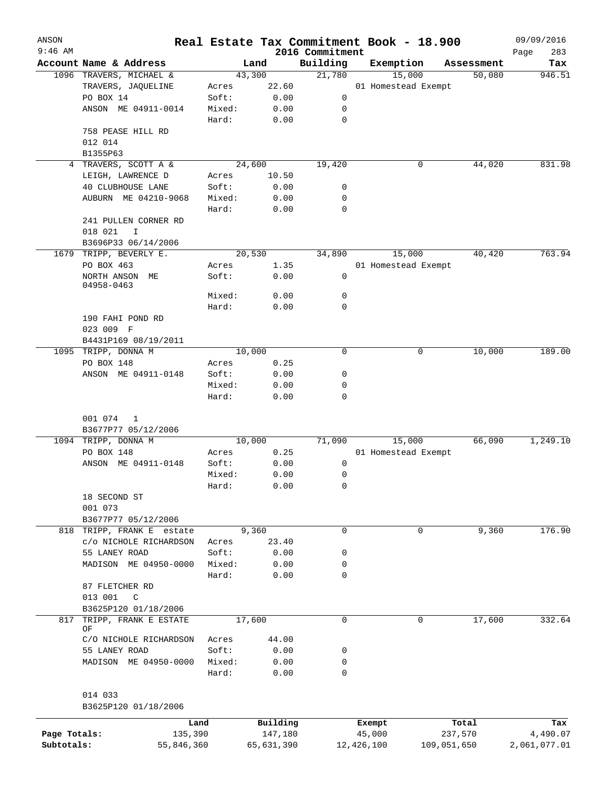| ANSON<br>$9:46$ AM |                          |        |            |                             | Real Estate Tax Commitment Book - 18.900 |             |            | 09/09/2016         |
|--------------------|--------------------------|--------|------------|-----------------------------|------------------------------------------|-------------|------------|--------------------|
|                    | Account Name & Address   |        | Land       | 2016 Commitment<br>Building | Exemption                                |             | Assessment | Page<br>283<br>Tax |
|                    | 1096 TRAVERS, MICHAEL &  |        | 43,300     | 21,780                      | 15,000                                   |             | 50,080     | 946.51             |
|                    | TRAVERS, JAQUELINE       | Acres  | 22.60      |                             | 01 Homestead Exempt                      |             |            |                    |
|                    | PO BOX 14                | Soft:  | 0.00       | 0                           |                                          |             |            |                    |
|                    | ANSON ME 04911-0014      | Mixed: | 0.00       | 0                           |                                          |             |            |                    |
|                    |                          | Hard:  | 0.00       | $\mathbf 0$                 |                                          |             |            |                    |
|                    | 758 PEASE HILL RD        |        |            |                             |                                          |             |            |                    |
|                    | 012 014                  |        |            |                             |                                          |             |            |                    |
|                    | B1355P63                 |        |            |                             |                                          |             |            |                    |
|                    | 4 TRAVERS, SCOTT A &     |        | 24,600     | 19,420                      |                                          | 0           | 44,020     | 831.98             |
|                    | LEIGH, LAWRENCE D        | Acres  | 10.50      |                             |                                          |             |            |                    |
|                    |                          |        |            |                             |                                          |             |            |                    |
|                    | <b>40 CLUBHOUSE LANE</b> | Soft:  | 0.00       | 0                           |                                          |             |            |                    |
|                    | AUBURN ME 04210-9068     | Mixed: | 0.00       | 0                           |                                          |             |            |                    |
|                    |                          | Hard:  | 0.00       | $\mathbf 0$                 |                                          |             |            |                    |
|                    | 241 PULLEN CORNER RD     |        |            |                             |                                          |             |            |                    |
|                    | 018 021<br>I             |        |            |                             |                                          |             |            |                    |
|                    | B3696P33 06/14/2006      |        |            |                             |                                          |             |            |                    |
| 1679               | TRIPP, BEVERLY E.        |        | 20,530     | 34,890                      | 15,000                                   |             | 40,420     | 763.94             |
|                    | PO BOX 463               | Acres  | 1.35       |                             | 01 Homestead Exempt                      |             |            |                    |
|                    | NORTH ANSON ME           | Soft:  | 0.00       | 0                           |                                          |             |            |                    |
|                    | 04958-0463               |        |            |                             |                                          |             |            |                    |
|                    |                          | Mixed: | 0.00       | 0                           |                                          |             |            |                    |
|                    |                          | Hard:  | 0.00       | 0                           |                                          |             |            |                    |
|                    | 190 FAHI POND RD         |        |            |                             |                                          |             |            |                    |
|                    | 023 009 F                |        |            |                             |                                          |             |            |                    |
|                    | B4431P169 08/19/2011     |        |            |                             |                                          |             |            |                    |
|                    | 1095 TRIPP, DONNA M      |        | 10,000     | $\Omega$                    |                                          | 0           | 10,000     | 189.00             |
|                    | PO BOX 148               | Acres  | 0.25       |                             |                                          |             |            |                    |
|                    | ANSON ME 04911-0148      | Soft:  | 0.00       | 0                           |                                          |             |            |                    |
|                    |                          | Mixed: | 0.00       | 0                           |                                          |             |            |                    |
|                    |                          | Hard:  | 0.00       | 0                           |                                          |             |            |                    |
|                    |                          |        |            |                             |                                          |             |            |                    |
|                    | 001 074<br>1             |        |            |                             |                                          |             |            |                    |
|                    | B3677P77 05/12/2006      |        |            |                             |                                          |             |            |                    |
|                    | 1094 TRIPP, DONNA M      |        | 10,000     | 71,090                      | 15,000                                   |             | 66,090     | 1,249.10           |
|                    | PO BOX 148               | Acres  | 0.25       |                             | 01 Homestead Exempt                      |             |            |                    |
|                    | ANSON ME 04911-0148      | Soft:  | 0.00       | 0                           |                                          |             |            |                    |
|                    |                          | Mixed: | 0.00       | 0                           |                                          |             |            |                    |
|                    |                          | Hard:  | 0.00       | 0                           |                                          |             |            |                    |
|                    | 18 SECOND ST             |        |            |                             |                                          |             |            |                    |
|                    | 001 073                  |        |            |                             |                                          |             |            |                    |
|                    |                          |        |            |                             |                                          |             |            |                    |
|                    | B3677P77 05/12/2006      |        |            | $\mathbf 0$                 |                                          |             |            |                    |
| 818                | TRIPP, FRANK E estate    |        | 9,360      |                             |                                          | 0           | 9,360      | 176.90             |
|                    | c/o NICHOLE RICHARDSON   | Acres  | 23.40      |                             |                                          |             |            |                    |
|                    | 55 LANEY ROAD            | Soft:  | 0.00       | 0                           |                                          |             |            |                    |
|                    | MADISON ME 04950-0000    | Mixed: | 0.00       | 0                           |                                          |             |            |                    |
|                    |                          | Hard:  | 0.00       | 0                           |                                          |             |            |                    |
|                    | 87 FLETCHER RD           |        |            |                             |                                          |             |            |                    |
|                    | 013 001<br>$\mathbb{C}$  |        |            |                             |                                          |             |            |                    |
|                    | B3625P120 01/18/2006     |        |            |                             |                                          |             |            |                    |
| 817                | TRIPP, FRANK E ESTATE    |        | 17,600     | $\mathbf 0$                 |                                          | 0           | 17,600     | 332.64             |
|                    | ΟF                       |        |            |                             |                                          |             |            |                    |
|                    | C/O NICHOLE RICHARDSON   | Acres  | 44.00      |                             |                                          |             |            |                    |
|                    | 55 LANEY ROAD            | Soft:  | 0.00       | 0                           |                                          |             |            |                    |
|                    | MADISON ME 04950-0000    | Mixed: | 0.00       | 0                           |                                          |             |            |                    |
|                    |                          | Hard:  | 0.00       | 0                           |                                          |             |            |                    |
|                    |                          |        |            |                             |                                          |             |            |                    |
|                    | 014 033                  |        |            |                             |                                          |             |            |                    |
|                    | B3625P120 01/18/2006     |        |            |                             |                                          |             |            |                    |
|                    | Land                     |        | Building   |                             | Exempt                                   | Total       |            | Tax                |
| Page Totals:       | 135,390                  |        | 147,180    |                             | 45,000                                   | 237,570     |            | 4,490.07           |
| Subtotals:         | 55,846,360               |        | 65,631,390 |                             | 12,426,100                               | 109,051,650 |            | 2,061,077.01       |
|                    |                          |        |            |                             |                                          |             |            |                    |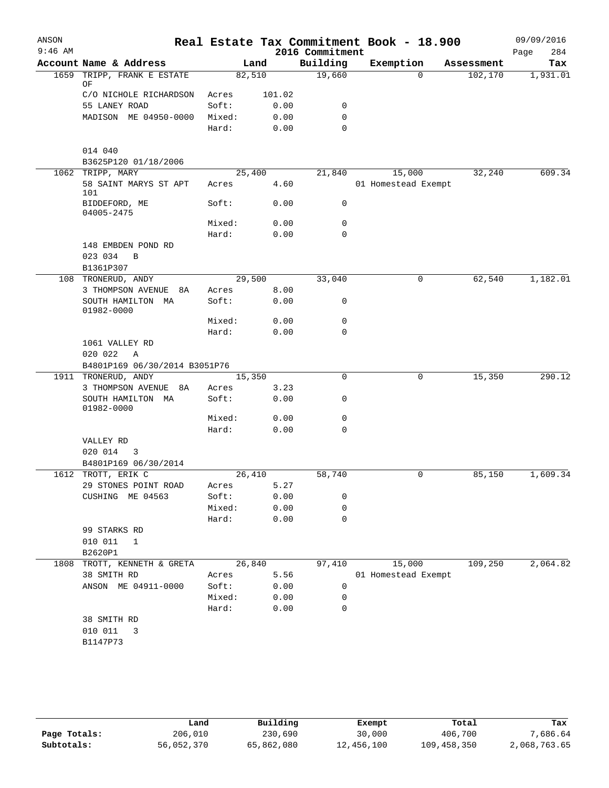| ANSON     |                                                    |        |        |                             | Real Estate Tax Commitment Book - 18.900 |            | 09/09/2016         |
|-----------|----------------------------------------------------|--------|--------|-----------------------------|------------------------------------------|------------|--------------------|
| $9:46$ AM | Account Name & Address                             |        | Land   | 2016 Commitment<br>Building | Exemption                                | Assessment | Page<br>284<br>Tax |
| 1659      | TRIPP, FRANK E ESTATE                              | 82,510 |        | 19,660                      | $\Omega$                                 | 102,170    | 1,931.01           |
|           | ΟF                                                 |        |        |                             |                                          |            |                    |
|           | C/O NICHOLE RICHARDSON                             | Acres  | 101.02 |                             |                                          |            |                    |
|           | 55 LANEY ROAD                                      | Soft:  | 0.00   | 0                           |                                          |            |                    |
|           | MADISON ME 04950-0000                              | Mixed: | 0.00   | 0                           |                                          |            |                    |
|           |                                                    | Hard:  | 0.00   | $\mathbf 0$                 |                                          |            |                    |
|           | 014 040                                            |        |        |                             |                                          |            |                    |
|           | B3625P120 01/18/2006                               |        |        |                             |                                          |            |                    |
|           | 1062 TRIPP, MARY                                   | 25,400 |        | 21,840                      | 15,000                                   | 32,240     | 609.34             |
|           | 58 SAINT MARYS ST APT<br>101                       | Acres  | 4.60   |                             | 01 Homestead Exempt                      |            |                    |
|           | BIDDEFORD, ME<br>04005-2475                        | Soft:  | 0.00   | 0                           |                                          |            |                    |
|           |                                                    | Mixed: | 0.00   | 0                           |                                          |            |                    |
|           |                                                    | Hard:  | 0.00   | $\Omega$                    |                                          |            |                    |
|           | 148 EMBDEN POND RD<br>023 034<br>B                 |        |        |                             |                                          |            |                    |
|           | B1361P307                                          |        |        |                             |                                          |            |                    |
|           | 108 TRONERUD, ANDY                                 | 29,500 |        | 33,040                      | 0                                        | 62,540     | 1,182.01           |
|           | 3 THOMPSON AVENUE<br>8A                            | Acres  | 8.00   |                             |                                          |            |                    |
|           | SOUTH HAMILTON MA<br>01982-0000                    | Soft:  | 0.00   | 0                           |                                          |            |                    |
|           |                                                    | Mixed: | 0.00   | 0                           |                                          |            |                    |
|           |                                                    | Hard:  | 0.00   | $\mathbf 0$                 |                                          |            |                    |
|           | 1061 VALLEY RD                                     |        |        |                             |                                          |            |                    |
|           | 020 022<br>Α                                       |        |        |                             |                                          |            |                    |
|           | B4801P169 06/30/2014 B3051P76                      |        |        |                             |                                          |            |                    |
| 1911      | TRONERUD, ANDY                                     | 15,350 |        | 0                           | 0                                        | 15,350     | 290.12             |
|           | 3 THOMPSON AVENUE<br>8A                            | Acres  | 3.23   |                             |                                          |            |                    |
|           | SOUTH HAMILTON MA<br>01982-0000                    | Soft:  | 0.00   | 0                           |                                          |            |                    |
|           |                                                    | Mixed: | 0.00   | 0                           |                                          |            |                    |
|           |                                                    | Hard:  | 0.00   | 0                           |                                          |            |                    |
|           | VALLEY RD                                          |        |        |                             |                                          |            |                    |
|           | 020 014<br>3                                       |        |        |                             |                                          |            |                    |
|           | B4801P169 06/30/2014                               |        |        |                             |                                          |            |                    |
| 1612      | TROTT, ERIK C                                      | 26,410 |        | 58,740                      | 0                                        | 85,150     | 1,609.34           |
|           | 29 STONES POINT ROAD                               | Acres  | 5.27   |                             |                                          |            |                    |
|           | CUSHING ME 04563                                   | Soft:  | 0.00   | 0                           |                                          |            |                    |
|           |                                                    | Mixed: | 0.00   | 0                           |                                          |            |                    |
|           |                                                    | Hard:  | 0.00   | $\mathbf 0$                 |                                          |            |                    |
|           | 99 STARKS RD<br>010 011<br>$\mathbf{1}$<br>B2620P1 |        |        |                             |                                          |            |                    |
| 1808      | TROTT, KENNETH & GRETA                             | 26,840 |        | 97,410                      | 15,000                                   | 109,250    | 2,064.82           |
|           | 38 SMITH RD                                        | Acres  | 5.56   |                             | 01 Homestead Exempt                      |            |                    |
|           | ANSON ME 04911-0000                                | Soft:  | 0.00   | 0                           |                                          |            |                    |
|           |                                                    | Mixed: | 0.00   | 0                           |                                          |            |                    |
|           |                                                    | Hard:  | 0.00   | 0                           |                                          |            |                    |
|           | 38 SMITH RD                                        |        |        |                             |                                          |            |                    |
|           | 010 011<br>3                                       |        |        |                             |                                          |            |                    |
|           | B1147P73                                           |        |        |                             |                                          |            |                    |
|           |                                                    |        |        |                             |                                          |            |                    |
|           |                                                    |        |        |                             |                                          |            |                    |

|              | Land       | Building   | Exempt     | Total       | Tax          |
|--------------|------------|------------|------------|-------------|--------------|
| Page Totals: | 206,010    | 230,690    | 30,000     | 406,700     | 7,686.64     |
| Subtotals:   | 56,052,370 | 65,862,080 | 12,456,100 | 109,458,350 | 2,068,763.65 |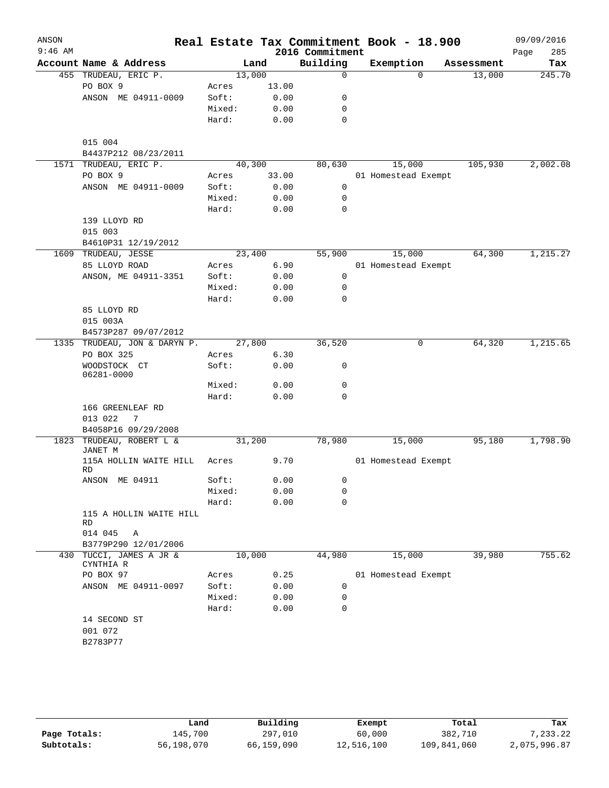| ANSON<br>$9:46$ AM |                                       |        |       | 2016 Commitment | Real Estate Tax Commitment Book - 18.900 |            | 09/09/2016<br>Page<br>285 |
|--------------------|---------------------------------------|--------|-------|-----------------|------------------------------------------|------------|---------------------------|
|                    | Account Name & Address                |        | Land  | Building        | Exemption                                | Assessment | Tax                       |
|                    | 455 TRUDEAU, ERIC P.                  | 13,000 |       | $\mathbf 0$     | $\Omega$                                 | 13,000     | 245.70                    |
|                    | PO BOX 9                              | Acres  | 13.00 |                 |                                          |            |                           |
|                    | ANSON ME 04911-0009                   | Soft:  | 0.00  | 0               |                                          |            |                           |
|                    |                                       | Mixed: | 0.00  | 0               |                                          |            |                           |
|                    |                                       | Hard:  | 0.00  | 0               |                                          |            |                           |
|                    | 015 004                               |        |       |                 |                                          |            |                           |
|                    | B4437P212 08/23/2011                  |        |       |                 |                                          |            |                           |
|                    | 1571 TRUDEAU, ERIC P.                 | 40,300 |       | 80,630          | 15,000                                   | 105,930    | 2,002.08                  |
|                    | PO BOX 9                              | Acres  | 33.00 |                 | 01 Homestead Exempt                      |            |                           |
|                    | ANSON ME 04911-0009                   | Soft:  | 0.00  | 0               |                                          |            |                           |
|                    |                                       | Mixed: | 0.00  | 0               |                                          |            |                           |
|                    |                                       | Hard:  | 0.00  | 0               |                                          |            |                           |
|                    | 139 LLOYD RD                          |        |       |                 |                                          |            |                           |
|                    | 015 003                               |        |       |                 |                                          |            |                           |
|                    | B4610P31 12/19/2012                   |        |       |                 |                                          |            |                           |
|                    | 1609 TRUDEAU, JESSE                   | 23,400 |       | 55,900          | 15,000                                   | 64,300     | 1,215.27                  |
|                    | 85 LLOYD ROAD                         | Acres  | 6.90  |                 | 01 Homestead Exempt                      |            |                           |
|                    | ANSON, ME 04911-3351                  | Soft:  | 0.00  | 0               |                                          |            |                           |
|                    |                                       | Mixed: | 0.00  | 0               |                                          |            |                           |
|                    |                                       | Hard:  | 0.00  | 0               |                                          |            |                           |
|                    | 85 LLOYD RD                           |        |       |                 |                                          |            |                           |
|                    | 015 003A                              |        |       |                 |                                          |            |                           |
|                    | B4573P287 09/07/2012                  |        |       |                 |                                          |            |                           |
|                    | 1335 TRUDEAU, JON & DARYN P.          | 27,800 |       | 36,520          | $\mathbf 0$                              | 64,320     | 1,215.65                  |
|                    | PO BOX 325                            | Acres  | 6.30  |                 |                                          |            |                           |
|                    | WOODSTOCK CT<br>06281-0000            | Soft:  | 0.00  | 0               |                                          |            |                           |
|                    |                                       | Mixed: | 0.00  | 0               |                                          |            |                           |
|                    |                                       | Hard:  | 0.00  | $\mathbf 0$     |                                          |            |                           |
|                    | 166 GREENLEAF RD<br>013 022<br>7      |        |       |                 |                                          |            |                           |
|                    | B4058P16 09/29/2008                   |        |       |                 |                                          |            |                           |
| 1823               | TRUDEAU, ROBERT L &<br><b>JANET M</b> | 31,200 |       | 78,980          | 15,000                                   | 95,180     | 1,798.90                  |
|                    | 115A HOLLIN WAITE HILL<br><b>RD</b>   | Acres  | 9.70  |                 | 01 Homestead Exempt                      |            |                           |
|                    | ANSON ME 04911                        | Soft:  | 0.00  | $\Omega$        |                                          |            |                           |
|                    |                                       | Mixed: | 0.00  | 0               |                                          |            |                           |
|                    |                                       | Hard:  | 0.00  | 0               |                                          |            |                           |
|                    | 115 A HOLLIN WAITE HILL<br>RD         |        |       |                 |                                          |            |                           |
|                    | 014 045<br>Α                          |        |       |                 |                                          |            |                           |
|                    | B3779P290 12/01/2006                  |        |       |                 |                                          |            |                           |
|                    | 430 TUCCI, JAMES A JR &<br>CYNTHIA R  | 10,000 |       | 44,980          | 15,000                                   | 39,980     | 755.62                    |
|                    | PO BOX 97                             | Acres  | 0.25  |                 | 01 Homestead Exempt                      |            |                           |
|                    | ANSON ME 04911-0097                   | Soft:  | 0.00  | 0               |                                          |            |                           |
|                    |                                       | Mixed: | 0.00  | 0               |                                          |            |                           |
|                    |                                       | Hard:  | 0.00  | 0               |                                          |            |                           |
|                    | 14 SECOND ST<br>001 072               |        |       |                 |                                          |            |                           |
|                    | B2783P77                              |        |       |                 |                                          |            |                           |

|              | Land       | Building   | Exempt     | Total       | Tax          |
|--------------|------------|------------|------------|-------------|--------------|
| Page Totals: | 145,700    | 297,010    | 60,000     | 382,710     | 7,233.22     |
| Subtotals:   | 56,198,070 | 66,159,090 | 12,516,100 | 109,841,060 | 2,075,996.87 |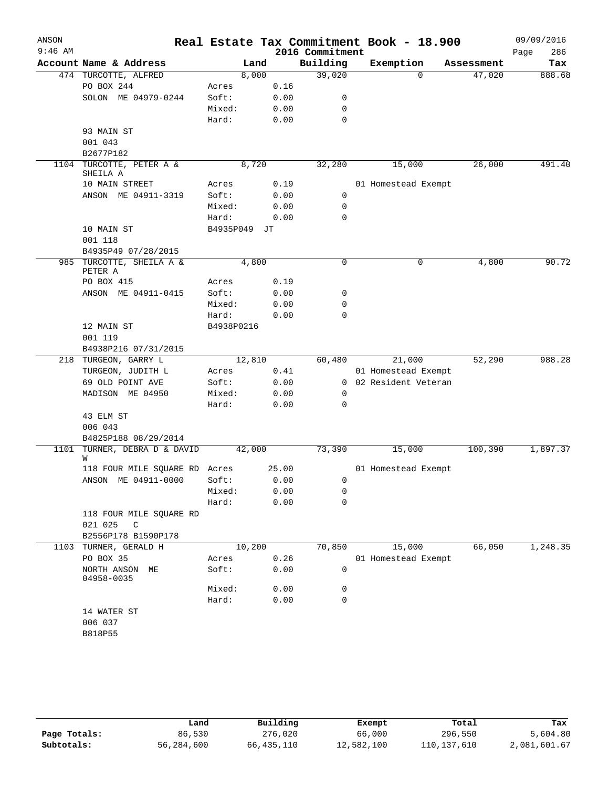|           |                                                    |              |        |                             | Real Estate Tax Commitment Book - 18.900 |            | 09/09/2016         |
|-----------|----------------------------------------------------|--------------|--------|-----------------------------|------------------------------------------|------------|--------------------|
| $9:46$ AM | Account Name & Address                             |              | Land   | 2016 Commitment<br>Building | Exemption                                | Assessment | 286<br>Page<br>Tax |
|           | 474 TURCOTTE, ALFRED                               |              | 8,000  | 39,020                      | $\Omega$                                 | 47,020     | 888.68             |
|           | PO BOX 244                                         | Acres        | 0.16   |                             |                                          |            |                    |
|           | SOLON ME 04979-0244                                | Soft:        | 0.00   | 0                           |                                          |            |                    |
|           |                                                    | Mixed:       | 0.00   | 0                           |                                          |            |                    |
|           |                                                    | Hard:        | 0.00   | $\mathbf 0$                 |                                          |            |                    |
|           | 93 MAIN ST                                         |              |        |                             |                                          |            |                    |
|           | 001 043                                            |              |        |                             |                                          |            |                    |
|           | B2677P182                                          |              |        |                             |                                          |            |                    |
| 1104      | TURCOTTE, PETER A &<br>SHEILA A                    |              | 8,720  | 32,280                      | 15,000                                   | 26,000     | 491.40             |
|           | 10 MAIN STREET                                     | Acres        | 0.19   |                             | 01 Homestead Exempt                      |            |                    |
|           | ANSON ME 04911-3319                                | Soft:        | 0.00   | $\mathbf 0$                 |                                          |            |                    |
|           |                                                    | Mixed:       | 0.00   | $\mathbf 0$                 |                                          |            |                    |
|           |                                                    | Hard:        | 0.00   | $\mathbf 0$                 |                                          |            |                    |
|           | 10 MAIN ST                                         | B4935P049 JT |        |                             |                                          |            |                    |
|           | 001 118                                            |              |        |                             |                                          |            |                    |
|           | B4935P49 07/28/2015                                |              |        |                             |                                          |            |                    |
|           | 985 TURCOTTE, SHEILA A &<br>PETER A                |              | 4,800  | 0                           | 0                                        | 4,800      | 90.72              |
|           | PO BOX 415                                         | Acres        | 0.19   |                             |                                          |            |                    |
|           | ANSON ME 04911-0415                                | Soft:        | 0.00   | 0                           |                                          |            |                    |
|           |                                                    | Mixed:       | 0.00   | 0                           |                                          |            |                    |
|           |                                                    | Hard:        | 0.00   | $\mathbf 0$                 |                                          |            |                    |
|           | 12 MAIN ST<br>001 119                              | B4938P0216   |        |                             |                                          |            |                    |
|           | B4938P216 07/31/2015                               |              |        |                             |                                          |            |                    |
|           | 218 TURGEON, GARRY L                               |              | 12,810 | 60,480                      | 21,000                                   | 52,290     | 988.28             |
|           | TURGEON, JUDITH L                                  | Acres        | 0.41   |                             | 01 Homestead Exempt                      |            |                    |
|           | 69 OLD POINT AVE                                   | Soft:        | 0.00   | $\overline{0}$              | 02 Resident Veteran                      |            |                    |
|           | MADISON ME 04950                                   | Mixed:       | 0.00   | 0                           |                                          |            |                    |
|           |                                                    | Hard:        | 0.00   | $\mathbf 0$                 |                                          |            |                    |
|           | 43 ELM ST                                          |              |        |                             |                                          |            |                    |
|           | 006 043                                            |              |        |                             |                                          |            |                    |
| 1101      | B4825P188 08/29/2014<br>TURNER, DEBRA D & DAVID    |              | 42,000 | 73,390                      | 15,000                                   | 100,390    | 1,897.37           |
|           | W                                                  |              |        |                             |                                          |            |                    |
|           | 118 FOUR MILE SQUARE RD Acres                      |              | 25.00  |                             | 01 Homestead Exempt                      |            |                    |
|           | ANSON ME 04911-0000                                | Soft:        | 0.00   | $\mathbf{0}$                |                                          |            |                    |
|           |                                                    | Mixed:       | 0.00   | 0                           |                                          |            |                    |
|           |                                                    | Hard:        | 0.00   | 0                           |                                          |            |                    |
|           | 118 FOUR MILE SQUARE RD<br>021 025<br>$\mathbb{C}$ |              |        |                             |                                          |            |                    |
|           | B2556P178 B1590P178                                |              |        |                             |                                          |            |                    |
| 1103      | TURNER, GERALD H                                   |              | 10,200 | 70,850                      | 15,000                                   | 66,050     | 1,248.35           |
|           | PO BOX 35                                          | Acres        | 0.26   |                             | 01 Homestead Exempt                      |            |                    |
|           | NORTH ANSON ME<br>04958-0035                       | Soft:        | 0.00   | 0                           |                                          |            |                    |
|           |                                                    | Mixed:       | 0.00   | 0                           |                                          |            |                    |
|           |                                                    | Hard:        | 0.00   | 0                           |                                          |            |                    |
|           | 14 WATER ST                                        |              |        |                             |                                          |            |                    |
|           | 006 037                                            |              |        |                             |                                          |            |                    |
|           | B818P55                                            |              |        |                             |                                          |            |                    |

|              | Land       | Building   | Exempt     | Total       | Tax          |
|--------------|------------|------------|------------|-------------|--------------|
| Page Totals: | 86,530     | 276,020    | 66,000     | 296,550     | 5,604.80     |
| Subtotals:   | 56,284,600 | 66,435,110 | 12,582,100 | 110,137,610 | 2,081,601.67 |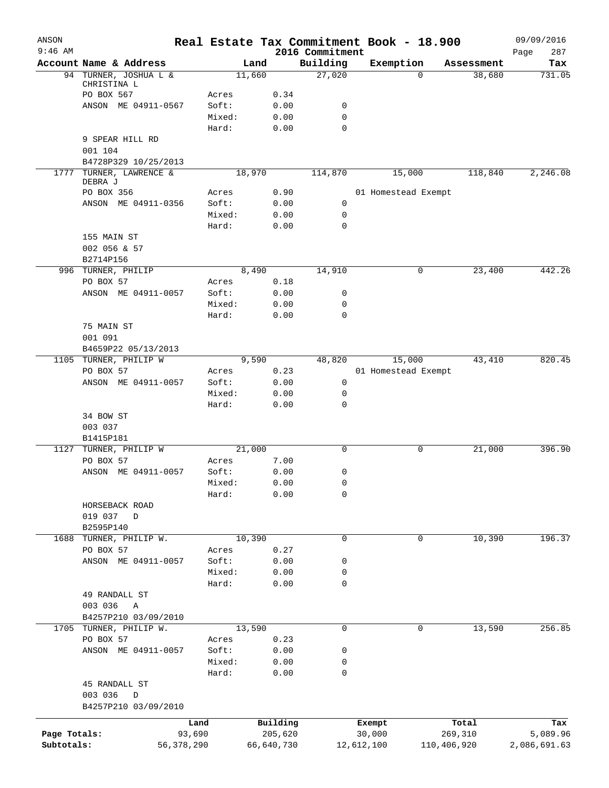| ANSON<br>$9:46$ AM |                                          |              |                |              | 2016 Commitment | Real Estate Tax Commitment Book - 18.900 |          |             | 09/09/2016<br>287<br>Page |
|--------------------|------------------------------------------|--------------|----------------|--------------|-----------------|------------------------------------------|----------|-------------|---------------------------|
|                    | Account Name & Address                   |              |                | Land         | Building        | Exemption                                |          | Assessment  | Tax                       |
|                    | 94 TURNER, JOSHUA L &                    |              |                | 11,660       | 27,020          |                                          | $\Omega$ | 38,680      | 731.05                    |
|                    | CHRISTINA L                              |              |                |              |                 |                                          |          |             |                           |
|                    | PO BOX 567<br>ANSON ME 04911-0567        |              | Acres<br>Soft: | 0.34<br>0.00 | 0               |                                          |          |             |                           |
|                    |                                          |              | Mixed:         | 0.00         | 0               |                                          |          |             |                           |
|                    |                                          |              | Hard:          | 0.00         | 0               |                                          |          |             |                           |
|                    | 9 SPEAR HILL RD                          |              |                |              |                 |                                          |          |             |                           |
|                    | 001 104                                  |              |                |              |                 |                                          |          |             |                           |
|                    | B4728P329 10/25/2013                     |              |                |              |                 |                                          |          |             |                           |
|                    | 1777 TURNER, LAWRENCE &<br>DEBRA J       |              |                | 18,970       | 114,870         | 15,000                                   |          | 118,840     | 2,246.08                  |
|                    | PO BOX 356                               |              | Acres          | 0.90         |                 | 01 Homestead Exempt                      |          |             |                           |
|                    | ANSON ME 04911-0356                      |              | Soft:          | 0.00         | 0               |                                          |          |             |                           |
|                    |                                          |              | Mixed:         | 0.00         | 0               |                                          |          |             |                           |
|                    |                                          |              | Hard:          | 0.00         | 0               |                                          |          |             |                           |
|                    | 155 MAIN ST<br>002 056 & 57<br>B2714P156 |              |                |              |                 |                                          |          |             |                           |
|                    | 996 TURNER, PHILIP                       |              |                | 8,490        | 14,910          |                                          | 0        | 23,400      | 442.26                    |
|                    | PO BOX 57                                |              | Acres          | 0.18         |                 |                                          |          |             |                           |
|                    | ANSON ME 04911-0057                      |              | Soft:          | 0.00         | 0               |                                          |          |             |                           |
|                    |                                          |              | Mixed:         | 0.00         | 0               |                                          |          |             |                           |
|                    |                                          |              | Hard:          | 0.00         | 0               |                                          |          |             |                           |
|                    | 75 MAIN ST                               |              |                |              |                 |                                          |          |             |                           |
|                    | 001 091                                  |              |                |              |                 |                                          |          |             |                           |
| 1105               | B4659P22 05/13/2013<br>TURNER, PHILIP W  |              |                | 9,590        | 48,820          | 15,000                                   |          | 43,410      | 820.45                    |
|                    | PO BOX 57                                |              | Acres          | 0.23         |                 | 01 Homestead Exempt                      |          |             |                           |
|                    | ANSON ME 04911-0057                      |              | Soft:          | 0.00         | 0               |                                          |          |             |                           |
|                    |                                          |              | Mixed:         | 0.00         | 0               |                                          |          |             |                           |
|                    |                                          |              | Hard:          | 0.00         | 0               |                                          |          |             |                           |
|                    | 34 BOW ST                                |              |                |              |                 |                                          |          |             |                           |
|                    | 003 037                                  |              |                |              |                 |                                          |          |             |                           |
|                    | B1415P181                                |              |                |              |                 |                                          |          |             |                           |
| 1127               | TURNER, PHILIP W                         |              |                | 21,000       | 0               |                                          | 0        | 21,000      | 396.90                    |
|                    | PO BOX 57                                |              | Acres          | 7.00         |                 |                                          |          |             |                           |
|                    | ANSON ME 04911-0057                      |              | Soft:          | 0.00         | 0               |                                          |          |             |                           |
|                    |                                          |              | Mixed:         | 0.00         | 0               |                                          |          |             |                           |
|                    |                                          |              | Hard:          | 0.00         | 0               |                                          |          |             |                           |
|                    | HORSEBACK ROAD                           |              |                |              |                 |                                          |          |             |                           |
|                    | 019 037<br>$\mathbb{D}$                  |              |                |              |                 |                                          |          |             |                           |
| 1688               | B2595P140<br>TURNER, PHILIP W.           |              |                | 10,390       | 0               |                                          | 0        | 10,390      | 196.37                    |
|                    | PO BOX 57                                |              | Acres          | 0.27         |                 |                                          |          |             |                           |
|                    | ANSON ME 04911-0057                      |              | Soft:          | 0.00         | 0               |                                          |          |             |                           |
|                    |                                          |              | Mixed:         | 0.00         | 0               |                                          |          |             |                           |
|                    |                                          |              | Hard:          | 0.00         | 0               |                                          |          |             |                           |
|                    | 49 RANDALL ST                            |              |                |              |                 |                                          |          |             |                           |
|                    | 003 036<br>Α                             |              |                |              |                 |                                          |          |             |                           |
|                    | B4257P210 03/09/2010                     |              |                |              |                 |                                          |          |             |                           |
|                    | 1705 TURNER, PHILIP W.                   |              |                | 13,590       | 0               |                                          | 0        | 13,590      | 256.85                    |
|                    | PO BOX 57                                |              | Acres          | 0.23         |                 |                                          |          |             |                           |
|                    | ANSON ME 04911-0057                      |              | Soft:          | 0.00         | 0               |                                          |          |             |                           |
|                    |                                          |              | Mixed:         | 0.00         | 0               |                                          |          |             |                           |
|                    |                                          |              | Hard:          | 0.00         | 0               |                                          |          |             |                           |
|                    | 45 RANDALL ST                            |              |                |              |                 |                                          |          |             |                           |
|                    | 003 036<br>D                             |              |                |              |                 |                                          |          |             |                           |
|                    | B4257P210 03/09/2010                     |              |                |              |                 |                                          |          |             |                           |
|                    |                                          | Land         |                | Building     |                 | Total<br>Exempt                          |          | Tax         |                           |
| Page Totals:       |                                          | 93,690       |                | 205,620      |                 | 30,000                                   |          | 269,310     | 5,089.96                  |
| Subtotals:         |                                          | 56, 378, 290 |                | 66,640,730   |                 | 12,612,100                               |          | 110,406,920 | 2,086,691.63              |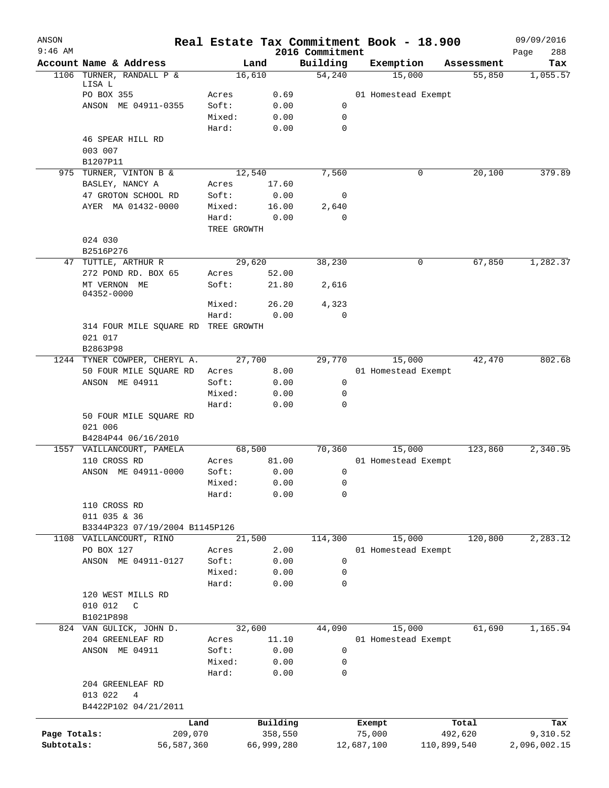| ANSON<br>$9:46$ AM         |                                                           |                 |                       |                             |  | Real Estate Tax Commitment Book - 18.900 |                        | 09/09/2016               |
|----------------------------|-----------------------------------------------------------|-----------------|-----------------------|-----------------------------|--|------------------------------------------|------------------------|--------------------------|
|                            | Account Name & Address                                    |                 | Land                  | 2016 Commitment<br>Building |  | Exemption                                | Assessment             | Page<br>288<br>Tax       |
| 1106                       | TURNER, RANDALL P &                                       |                 | 16,610                | 54,240                      |  | 15,000                                   | 55,850                 | 1,055.57                 |
|                            | LISA L                                                    |                 |                       |                             |  |                                          |                        |                          |
|                            | PO BOX 355                                                | Acres           | 0.69                  |                             |  | 01 Homestead Exempt                      |                        |                          |
|                            | ANSON ME 04911-0355                                       | Soft:<br>Mixed: | 0.00<br>0.00          | 0<br>0                      |  |                                          |                        |                          |
|                            |                                                           | Hard:           | 0.00                  | 0                           |  |                                          |                        |                          |
|                            | 46 SPEAR HILL RD                                          |                 |                       |                             |  |                                          |                        |                          |
|                            | 003 007                                                   |                 |                       |                             |  |                                          |                        |                          |
|                            | B1207P11                                                  |                 |                       |                             |  |                                          |                        |                          |
|                            | 975 TURNER, VINTON B &                                    |                 | 12,540                | 7,560                       |  | 0                                        | 20,100                 | 379.89                   |
|                            | BASLEY, NANCY A<br>47 GROTON SCHOOL RD                    | Acres<br>Soft:  | 17.60<br>0.00         | 0                           |  |                                          |                        |                          |
|                            | AYER MA 01432-0000                                        | Mixed:          | 16.00                 | 2,640                       |  |                                          |                        |                          |
|                            |                                                           | Hard:           | 0.00                  | 0                           |  |                                          |                        |                          |
|                            |                                                           | TREE GROWTH     |                       |                             |  |                                          |                        |                          |
|                            | 024 030                                                   |                 |                       |                             |  |                                          |                        |                          |
|                            | B2516P276                                                 |                 |                       |                             |  |                                          |                        |                          |
|                            | 47 TUTTLE, ARTHUR R                                       |                 | 29,620                |                             |  | 0                                        | 67,850                 | 1,282.37                 |
|                            | 272 POND RD. BOX 65                                       | Acres           | 52.00                 |                             |  |                                          |                        |                          |
|                            | MT VERNON ME<br>04352-0000                                | Soft:           | 21.80                 | 2,616                       |  |                                          |                        |                          |
|                            |                                                           | Mixed:          | 26.20                 | 4,323                       |  |                                          |                        |                          |
|                            |                                                           | Hard:           | 0.00                  | 0                           |  |                                          |                        |                          |
|                            | 314 FOUR MILE SQUARE RD TREE GROWTH                       |                 |                       |                             |  |                                          |                        |                          |
|                            | 021 017                                                   |                 |                       |                             |  |                                          |                        |                          |
|                            | B2863P98<br>1244 TYNER COWPER, CHERYL A.                  |                 | 27,700                | 29,770                      |  | 15,000                                   | 42,470                 | 802.68                   |
|                            | 50 FOUR MILE SQUARE RD                                    | Acres           | 8.00                  |                             |  | 01 Homestead Exempt                      |                        |                          |
|                            | ANSON ME 04911                                            | Soft:           | 0.00                  | 0                           |  |                                          |                        |                          |
|                            |                                                           | Mixed:          | 0.00                  | 0                           |  |                                          |                        |                          |
|                            |                                                           | Hard:           | 0.00                  | 0                           |  |                                          |                        |                          |
|                            | 50 FOUR MILE SQUARE RD                                    |                 |                       |                             |  |                                          |                        |                          |
|                            | 021 006                                                   |                 |                       |                             |  |                                          |                        |                          |
|                            | B4284P44 06/16/2010<br>1557 VAILLANCOURT, PAMELA          |                 | 68,500                | 70,360                      |  | 15,000                                   | 123,860                | 2,340.95                 |
|                            | 110 CROSS RD                                              | Acres           | 81.00                 |                             |  | 01 Homestead Exempt                      |                        |                          |
|                            | ANSON ME 04911-0000                                       | Soft:           | 0.00                  | 0                           |  |                                          |                        |                          |
|                            |                                                           | Mixed:          | 0.00                  | 0                           |  |                                          |                        |                          |
|                            |                                                           | Hard:           | 0.00                  | 0                           |  |                                          |                        |                          |
|                            | 110 CROSS RD                                              |                 |                       |                             |  |                                          |                        |                          |
|                            | 011 035 & 36                                              |                 |                       |                             |  |                                          |                        |                          |
|                            | B3344P323 07/19/2004 B1145P126<br>1108 VAILLANCOURT, RINO |                 | 21,500                | 114,300                     |  | 15,000                                   | 120,800                | 2,283.12                 |
|                            | PO BOX 127                                                | Acres           | 2.00                  |                             |  | 01 Homestead Exempt                      |                        |                          |
|                            | ANSON ME 04911-0127                                       | Soft:           | 0.00                  | 0                           |  |                                          |                        |                          |
|                            |                                                           | Mixed:          | 0.00                  | 0                           |  |                                          |                        |                          |
|                            |                                                           | Hard:           | 0.00                  | 0                           |  |                                          |                        |                          |
|                            | 120 WEST MILLS RD                                         |                 |                       |                             |  |                                          |                        |                          |
|                            | 010 012<br>C                                              |                 |                       |                             |  |                                          |                        |                          |
|                            | B1021P898<br>824 VAN GULICK, JOHN D.                      |                 | 32,600                | 44,090                      |  | 15,000                                   | 61,690                 | 1,165.94                 |
|                            | 204 GREENLEAF RD                                          | Acres           | 11.10                 |                             |  | 01 Homestead Exempt                      |                        |                          |
|                            | ANSON ME 04911                                            | Soft:           | 0.00                  | 0                           |  |                                          |                        |                          |
|                            |                                                           | Mixed:          | 0.00                  | 0                           |  |                                          |                        |                          |
|                            |                                                           | Hard:           | 0.00                  | 0                           |  |                                          |                        |                          |
|                            | 204 GREENLEAF RD                                          |                 |                       |                             |  |                                          |                        |                          |
|                            | 013 022<br>4<br>B4422P102 04/21/2011                      |                 |                       |                             |  |                                          |                        |                          |
|                            |                                                           |                 |                       |                             |  |                                          |                        |                          |
|                            |                                                           | Land            | Building              |                             |  | Total<br>Exempt                          |                        | Tax                      |
| Page Totals:<br>Subtotals: | 209,070<br>56,587,360                                     |                 | 358,550<br>66,999,280 | 12,687,100                  |  | 75,000                                   | 492,620<br>110,899,540 | 9,310.52<br>2,096,002.15 |
|                            |                                                           |                 |                       |                             |  |                                          |                        |                          |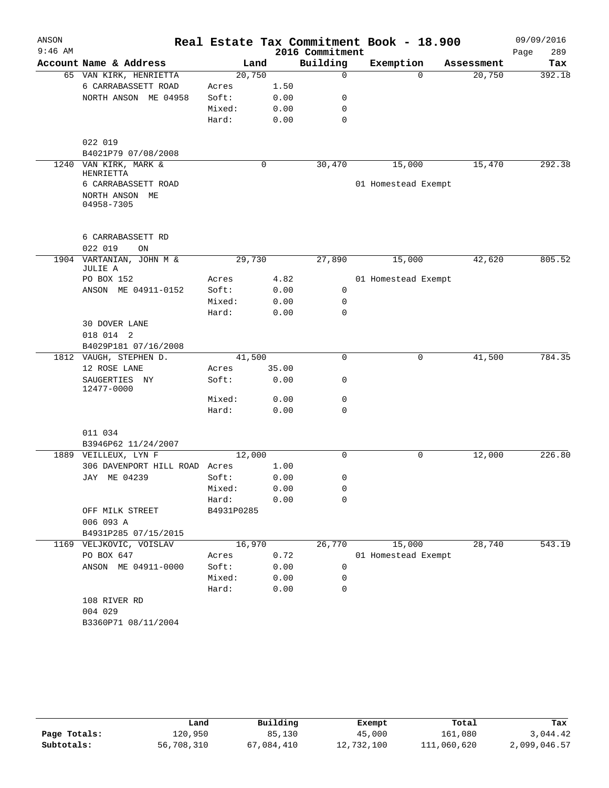| ANSON     |                                     |            |       |                 | Real Estate Tax Commitment Book - 18.900 |            | 09/09/2016  |
|-----------|-------------------------------------|------------|-------|-----------------|------------------------------------------|------------|-------------|
| $9:46$ AM |                                     |            |       | 2016 Commitment |                                          |            | 289<br>Page |
|           | Account Name & Address              |            | Land  | Building        | Exemption                                | Assessment | Tax         |
|           | 65 VAN KIRK, HENRIETTA              | 20,750     |       | $\mathbf 0$     | $\Omega$                                 | 20,750     | 392.18      |
|           | 6 CARRABASSETT ROAD                 | Acres      | 1.50  |                 |                                          |            |             |
|           | NORTH ANSON ME 04958                | Soft:      | 0.00  | 0               |                                          |            |             |
|           |                                     | Mixed:     | 0.00  | 0               |                                          |            |             |
|           |                                     | Hard:      | 0.00  | $\mathbf 0$     |                                          |            |             |
|           | 022 019                             |            |       |                 |                                          |            |             |
|           | B4021P79 07/08/2008                 |            |       |                 |                                          |            |             |
|           | 1240 VAN KIRK, MARK &               |            | 0     | 30,470          | 15,000                                   | 15,470     | 292.38      |
|           | HENRIETTA                           |            |       |                 |                                          |            |             |
|           | 6 CARRABASSETT ROAD                 |            |       |                 | 01 Homestead Exempt                      |            |             |
|           | NORTH ANSON ME<br>04958-7305        |            |       |                 |                                          |            |             |
|           |                                     |            |       |                 |                                          |            |             |
|           | 6 CARRABASSETT RD                   |            |       |                 |                                          |            |             |
|           | 022 019<br>ON                       |            |       |                 |                                          |            |             |
|           | 1904 VARTANIAN, JOHN M &<br>JULIE A | 29,730     |       | 27,890          | 15,000                                   | 42,620     | 805.52      |
|           | PO BOX 152                          | Acres      | 4.82  |                 | 01 Homestead Exempt                      |            |             |
|           | ANSON ME 04911-0152                 | Soft:      | 0.00  | $\mathbf 0$     |                                          |            |             |
|           |                                     | Mixed:     | 0.00  | 0               |                                          |            |             |
|           |                                     | Hard:      | 0.00  | $\mathbf 0$     |                                          |            |             |
|           | 30 DOVER LANE                       |            |       |                 |                                          |            |             |
|           | 018 014 2                           |            |       |                 |                                          |            |             |
|           | B4029P181 07/16/2008                |            |       |                 |                                          |            |             |
|           | 1812 VAUGH, STEPHEN D.              | 41,500     |       | 0               | 0                                        | 41,500     | 784.35      |
|           | 12 ROSE LANE                        | Acres      | 35.00 |                 |                                          |            |             |
|           | SAUGERTIES NY<br>12477-0000         | Soft:      | 0.00  | 0               |                                          |            |             |
|           |                                     | Mixed:     | 0.00  | 0               |                                          |            |             |
|           |                                     | Hard:      | 0.00  | 0               |                                          |            |             |
|           | 011 034                             |            |       |                 |                                          |            |             |
|           | B3946P62 11/24/2007                 |            |       |                 |                                          |            |             |
|           | 1889 VEILLEUX, LYN F                | 12,000     |       | 0               | 0                                        | 12,000     | 226.80      |
|           | 306 DAVENPORT HILL ROAD Acres       |            | 1.00  |                 |                                          |            |             |
|           | JAY ME 04239                        | Soft:      | 0.00  | 0               |                                          |            |             |
|           |                                     | Mixed:     | 0.00  | 0               |                                          |            |             |
|           |                                     | Hard:      | 0.00  | 0               |                                          |            |             |
|           | OFF MILK STREET                     | B4931P0285 |       |                 |                                          |            |             |
|           | 006 093 A                           |            |       |                 |                                          |            |             |
|           | B4931P285 07/15/2015                |            |       |                 |                                          |            |             |
|           | 1169 VELJKOVIC, VOISLAV             | 16,970     |       | 26,770          | 15,000                                   | 28,740     | 543.19      |
|           | PO BOX 647                          | Acres      | 0.72  |                 | 01 Homestead Exempt                      |            |             |
|           | ANSON ME 04911-0000                 | Soft:      | 0.00  | 0               |                                          |            |             |
|           |                                     | Mixed:     | 0.00  | 0               |                                          |            |             |
|           |                                     | Hard:      | 0.00  | 0               |                                          |            |             |
|           | 108 RIVER RD                        |            |       |                 |                                          |            |             |
|           | 004 029                             |            |       |                 |                                          |            |             |
|           | B3360P71 08/11/2004                 |            |       |                 |                                          |            |             |

|              | Land       | Building   | Exempt     | Total       | Tax          |
|--------------|------------|------------|------------|-------------|--------------|
| Page Totals: | 120,950    | 85,130     | 45,000     | 161,080     | 3,044.42     |
| Subtotals:   | 56,708,310 | 67,084,410 | 12,732,100 | 111,060,620 | 2,099,046.57 |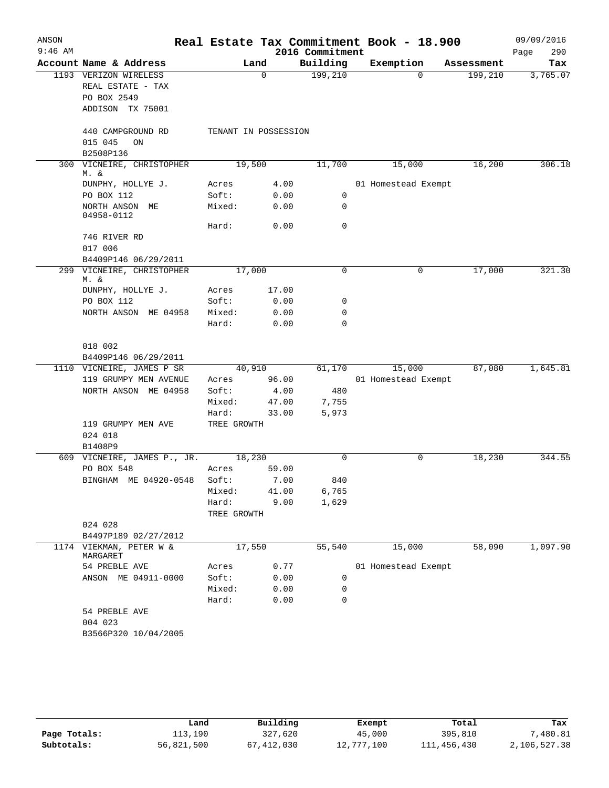| ANSON     |                                     |                      |          |                             | Real Estate Tax Commitment Book - 18.900 |            | 09/09/2016         |
|-----------|-------------------------------------|----------------------|----------|-----------------------------|------------------------------------------|------------|--------------------|
| $9:46$ AM | Account Name & Address              |                      | Land     | 2016 Commitment<br>Building | Exemption                                | Assessment | 290<br>Page<br>Tax |
|           | 1193 VERIZON WIRELESS               |                      | $\Omega$ | 199,210                     | $\Omega$                                 | 199,210    | 3,765.07           |
|           | REAL ESTATE - TAX                   |                      |          |                             |                                          |            |                    |
|           | PO BOX 2549                         |                      |          |                             |                                          |            |                    |
|           | ADDISON TX 75001                    |                      |          |                             |                                          |            |                    |
|           |                                     |                      |          |                             |                                          |            |                    |
|           | 440 CAMPGROUND RD                   | TENANT IN POSSESSION |          |                             |                                          |            |                    |
|           | 015 045<br>ON                       |                      |          |                             |                                          |            |                    |
|           | B2508P136                           |                      |          |                             |                                          |            |                    |
|           | 300 VICNEIRE, CHRISTOPHER           | 19,500               |          | 11,700                      | 15,000                                   | 16,200     | 306.18             |
|           | M. &                                |                      |          |                             |                                          |            |                    |
|           | DUNPHY, HOLLYE J.                   | Acres                | 4.00     |                             | 01 Homestead Exempt                      |            |                    |
|           | PO BOX 112                          | Soft:                | 0.00     | 0                           |                                          |            |                    |
|           | NORTH ANSON ME                      | Mixed:               | 0.00     | 0                           |                                          |            |                    |
|           | 04958-0112                          |                      |          | 0                           |                                          |            |                    |
|           |                                     | Hard:                | 0.00     |                             |                                          |            |                    |
|           | 746 RIVER RD                        |                      |          |                             |                                          |            |                    |
|           | 017 006<br>B4409P146 06/29/2011     |                      |          |                             |                                          |            |                    |
|           | 299 VICNEIRE, CHRISTOPHER           | 17,000               |          | 0                           | 0                                        | 17,000     | 321.30             |
|           | M. &                                |                      |          |                             |                                          |            |                    |
|           | DUNPHY, HOLLYE J.                   | Acres                | 17.00    |                             |                                          |            |                    |
|           | PO BOX 112                          | Soft:                | 0.00     | 0                           |                                          |            |                    |
|           | NORTH ANSON ME 04958                | Mixed:               | 0.00     | 0                           |                                          |            |                    |
|           |                                     | Hard:                | 0.00     | 0                           |                                          |            |                    |
|           |                                     |                      |          |                             |                                          |            |                    |
|           | 018 002                             |                      |          |                             |                                          |            |                    |
|           | B4409P146 06/29/2011                |                      |          |                             |                                          |            |                    |
|           | 1110 VICNEIRE, JAMES P SR           | 40,910               |          | 61,170                      | 15,000                                   | 87,080     | 1,645.81           |
|           | 119 GRUMPY MEN AVENUE               | Acres                | 96.00    |                             | 01 Homestead Exempt                      |            |                    |
|           | NORTH ANSON ME 04958                | Soft:                | 4.00     | 480                         |                                          |            |                    |
|           |                                     | Mixed:               | 47.00    | 7,755                       |                                          |            |                    |
|           |                                     | Hard:                | 33.00    | 5,973                       |                                          |            |                    |
|           | 119 GRUMPY MEN AVE                  | TREE GROWTH          |          |                             |                                          |            |                    |
|           | 024 018                             |                      |          |                             |                                          |            |                    |
|           | B1408P9                             |                      |          |                             |                                          |            |                    |
|           | 609 VICNEIRE, JAMES P., JR.         | 18,230               |          | $\Omega$                    | 0                                        | 18,230     | 344.55             |
|           | PO BOX 548                          | Acres                | 59.00    |                             |                                          |            |                    |
|           | BINGHAM ME 04920-0548               | Soft:                | 7.00     | 840                         |                                          |            |                    |
|           |                                     | Mixed: 41.00         |          | 6,765                       |                                          |            |                    |
|           |                                     | Hard: 9.00           |          | 1,629                       |                                          |            |                    |
|           |                                     | TREE GROWTH          |          |                             |                                          |            |                    |
|           | 024 028                             |                      |          |                             |                                          |            |                    |
|           | B4497P189 02/27/2012                |                      |          |                             |                                          |            |                    |
|           | 1174 VIEKMAN, PETER W &<br>MARGARET | 17,550               |          | 55,540                      | 15,000                                   | 58,090     | 1,097.90           |
|           | 54 PREBLE AVE                       | Acres                | 0.77     |                             | 01 Homestead Exempt                      |            |                    |
|           | ANSON ME 04911-0000                 | Soft:                | 0.00     | 0                           |                                          |            |                    |
|           |                                     | Mixed:               | 0.00     | 0                           |                                          |            |                    |
|           |                                     | Hard:                | 0.00     | 0                           |                                          |            |                    |
|           | 54 PREBLE AVE                       |                      |          |                             |                                          |            |                    |
|           | 004 023                             |                      |          |                             |                                          |            |                    |
|           | B3566P320 10/04/2005                |                      |          |                             |                                          |            |                    |
|           |                                     |                      |          |                             |                                          |            |                    |
|           |                                     |                      |          |                             |                                          |            |                    |

|              | ⊥and       | Building     | Exempt     | Total       | Tax          |
|--------------|------------|--------------|------------|-------------|--------------|
| Page Totals: | 113,190    | 327,620      | 45,000     | 395,810     | ,480.81      |
| Subtotals:   | 56,821,500 | 67, 412, 030 | 12,777,100 | 111,456,430 | 2,106,527.38 |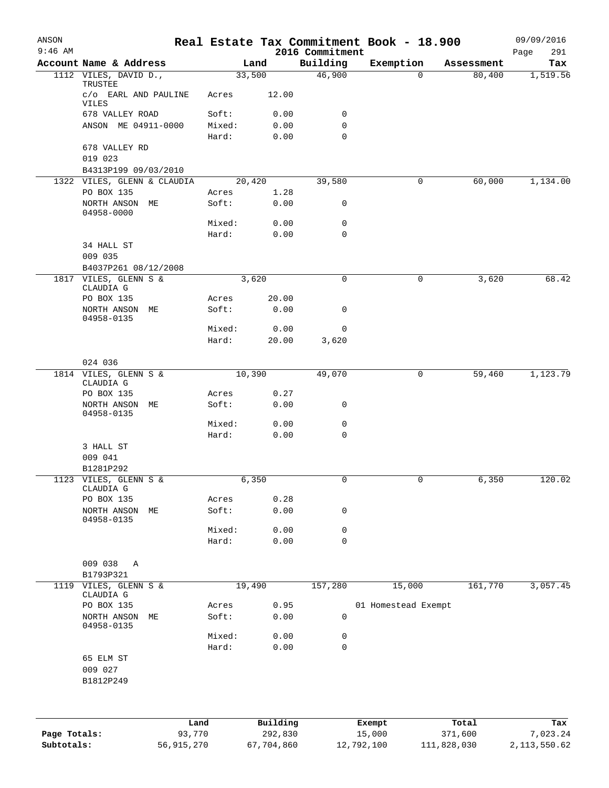| ANSON        |                                    |              |        |            |                             | Real Estate Tax Commitment Book - 18.900 |             | 09/09/2016         |
|--------------|------------------------------------|--------------|--------|------------|-----------------------------|------------------------------------------|-------------|--------------------|
| $9:46$ AM    | Account Name & Address             |              | Land   |            | 2016 Commitment<br>Building | Exemption                                | Assessment  | Page<br>291<br>Tax |
|              | 1112 VILES, DAVID D.,              |              | 33,500 |            | 46,900                      | 0                                        | 80,400      | 1,519.56           |
|              | TRUSTEE<br>c/o EARL AND PAULINE    |              | Acres  | 12.00      |                             |                                          |             |                    |
|              | VILES<br>678 VALLEY ROAD           |              | Soft:  | 0.00       | 0                           |                                          |             |                    |
|              | ANSON ME 04911-0000                |              | Mixed: | 0.00       | 0                           |                                          |             |                    |
|              |                                    |              | Hard:  | 0.00       | 0                           |                                          |             |                    |
|              | 678 VALLEY RD<br>019 023           |              |        |            |                             |                                          |             |                    |
|              | B4313P199 09/03/2010               |              |        |            |                             |                                          |             |                    |
|              | 1322 VILES, GLENN & CLAUDIA        |              | 20,420 |            | 39,580                      | 0                                        | 60,000      | 1,134.00           |
|              | PO BOX 135                         |              | Acres  | 1.28       |                             |                                          |             |                    |
|              | NORTH ANSON ME<br>04958-0000       |              | Soft:  | 0.00       | 0                           |                                          |             |                    |
|              |                                    |              | Mixed: | 0.00       | 0                           |                                          |             |                    |
|              |                                    |              | Hard:  | 0.00       | 0                           |                                          |             |                    |
|              | 34 HALL ST<br>009 035              |              |        |            |                             |                                          |             |                    |
|              | B4037P261 08/12/2008               |              |        |            |                             |                                          |             |                    |
| 1817         | VILES, GLENN S &<br>CLAUDIA G      |              | 3,620  |            | 0                           | 0                                        | 3,620       | 68.42              |
|              | PO BOX 135                         |              | Acres  | 20.00      |                             |                                          |             |                    |
|              | NORTH ANSON ME<br>04958-0135       |              | Soft:  | 0.00       | 0                           |                                          |             |                    |
|              |                                    |              | Mixed: | 0.00       | 0                           |                                          |             |                    |
|              |                                    |              | Hard:  | 20.00      | 3,620                       |                                          |             |                    |
|              | 024 036                            |              |        |            |                             |                                          |             |                    |
|              | 1814 VILES, GLENN S &<br>CLAUDIA G |              | 10,390 |            | 49,070                      | 0                                        | 59,460      | 1,123.79           |
|              | PO BOX 135                         |              | Acres  | 0.27       |                             |                                          |             |                    |
|              | NORTH ANSON<br>04958-0135          | MЕ           | Soft:  | 0.00       | 0                           |                                          |             |                    |
|              |                                    |              | Mixed: | 0.00       | 0                           |                                          |             |                    |
|              |                                    |              | Hard:  | 0.00       | 0                           |                                          |             |                    |
|              | 3 HALL ST                          |              |        |            |                             |                                          |             |                    |
|              | 009 041                            |              |        |            |                             |                                          |             |                    |
|              | B1281P292                          |              |        |            |                             |                                          |             |                    |
| 1123         | VILES, GLENN S &<br>CLAUDIA G      |              | 6,350  |            | 0                           | $\mathbf 0$                              | 6,350       | 120.02             |
|              | PO BOX 135                         |              | Acres  | 0.28       |                             |                                          |             |                    |
|              | NORTH ANSON<br>04958-0135          | МE           | Soft:  | 0.00       | 0                           |                                          |             |                    |
|              |                                    |              | Mixed: | 0.00       | 0                           |                                          |             |                    |
|              |                                    |              | Hard:  | 0.00       | 0                           |                                          |             |                    |
|              |                                    |              |        |            |                             |                                          |             |                    |
|              | 009 038<br>Α<br>B1793P321          |              |        |            |                             |                                          |             |                    |
| 1119         | VILES, GLENN S &<br>CLAUDIA G      |              | 19,490 |            | 157,280                     | 15,000                                   | 161,770     | 3,057.45           |
|              | PO BOX 135                         |              | Acres  | 0.95       |                             | 01 Homestead Exempt                      |             |                    |
|              | NORTH ANSON<br>04958-0135          | МE           | Soft:  | 0.00       | 0                           |                                          |             |                    |
|              |                                    |              | Mixed: | 0.00       | 0                           |                                          |             |                    |
|              |                                    |              | Hard:  | 0.00       | $\mathbf 0$                 |                                          |             |                    |
|              | 65 ELM ST<br>009 027<br>B1812P249  |              |        |            |                             |                                          |             |                    |
|              |                                    | Land         |        | Building   |                             | Exempt                                   | Total       | Tax                |
| Page Totals: |                                    | 93,770       |        | 292,830    |                             | 15,000                                   | 371,600     | 7,023.24           |
| Subtotals:   |                                    | 56, 915, 270 |        | 67,704,860 |                             | 12,792,100                               | 111,828,030 | 2, 113, 550.62     |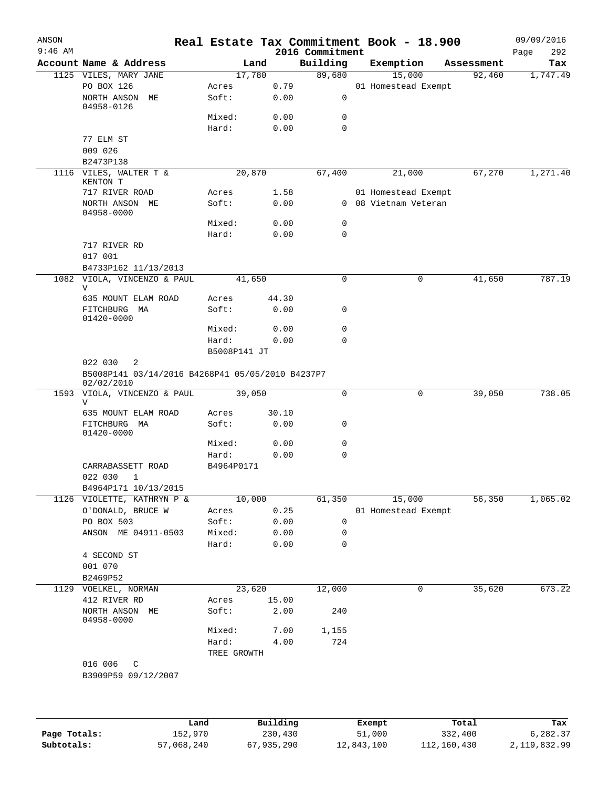| ANSON<br>$9:46$ AM |                                                                                                               |      |              |              | 2016 Commitment | Real Estate Tax Commitment Book - 18.900 |            | 09/09/2016<br>Page<br>292 |
|--------------------|---------------------------------------------------------------------------------------------------------------|------|--------------|--------------|-----------------|------------------------------------------|------------|---------------------------|
|                    | Account Name & Address                                                                                        |      |              | Land         | Building        | Exemption                                | Assessment | Tax                       |
|                    | 1125 VILES, MARY JANE                                                                                         |      | 17,780       |              | 89,680          | 15,000                                   | 92,460     | 1,747.49                  |
|                    | PO BOX 126                                                                                                    |      | Acres        | 0.79         |                 | 01 Homestead Exempt                      |            |                           |
|                    | NORTH ANSON ME                                                                                                |      | Soft:        | 0.00         | 0               |                                          |            |                           |
|                    | 04958-0126                                                                                                    |      |              |              |                 |                                          |            |                           |
|                    |                                                                                                               |      | Mixed:       | 0.00         | 0               |                                          |            |                           |
|                    |                                                                                                               |      | Hard:        | 0.00         | $\mathbf 0$     |                                          |            |                           |
|                    | 77 ELM ST<br>009 026                                                                                          |      |              |              |                 |                                          |            |                           |
|                    | B2473P138                                                                                                     |      |              |              |                 |                                          |            |                           |
|                    | 1116 VILES, WALTER T &                                                                                        |      | 20,870       |              | 67,400          | 21,000                                   | 67,270     | 1,271.40                  |
|                    | KENTON T                                                                                                      |      |              |              |                 |                                          |            |                           |
|                    | 717 RIVER ROAD                                                                                                |      | Acres        | 1.58         |                 | 01 Homestead Exempt                      |            |                           |
|                    | NORTH ANSON ME                                                                                                |      | Soft:        | 0.00         |                 | 0 08 Vietnam Veteran                     |            |                           |
|                    | 04958-0000                                                                                                    |      | Mixed:       | 0.00         | 0               |                                          |            |                           |
|                    |                                                                                                               |      | Hard:        | 0.00         | 0               |                                          |            |                           |
|                    | 717 RIVER RD                                                                                                  |      |              |              |                 |                                          |            |                           |
|                    | 017 001                                                                                                       |      |              |              |                 |                                          |            |                           |
|                    | B4733P162 11/13/2013                                                                                          |      |              |              |                 |                                          |            |                           |
|                    | 1082 VIOLA, VINCENZO & PAUL                                                                                   |      | 41,650       |              | 0               | 0                                        | 41,650     | 787.19                    |
|                    | V                                                                                                             |      |              |              |                 |                                          |            |                           |
|                    | 635 MOUNT ELAM ROAD                                                                                           |      | Acres        | 44.30        |                 |                                          |            |                           |
|                    | FITCHBURG MA<br>01420-0000                                                                                    |      | Soft:        | 0.00         | 0               |                                          |            |                           |
|                    |                                                                                                               |      | Mixed:       | 0.00         | 0               |                                          |            |                           |
|                    |                                                                                                               |      | Hard:        | 0.00         | 0               |                                          |            |                           |
|                    |                                                                                                               |      | B5008P141 JT |              |                 |                                          |            |                           |
|                    | 022 030<br>2<br>B5008P141 03/14/2016 B4268P41 05/05/2010 B4237P7<br>02/02/2010<br>1593 VIOLA, VINCENZO & PAUL |      | 39,050       |              | 0               | 0                                        | 39,050     | 738.05                    |
|                    | V                                                                                                             |      |              |              |                 |                                          |            |                           |
|                    | 635 MOUNT ELAM ROAD                                                                                           |      | Acres        | 30.10        |                 |                                          |            |                           |
|                    | FITCHBURG MA                                                                                                  |      | Soft:        | 0.00         | 0               |                                          |            |                           |
|                    | 01420-0000                                                                                                    |      | Mixed:       |              | 0               |                                          |            |                           |
|                    |                                                                                                               |      | Hard:        | 0.00<br>0.00 | 0               |                                          |            |                           |
|                    | CARRABASSETT ROAD                                                                                             |      | B4964P0171   |              |                 |                                          |            |                           |
|                    | 022 030<br>1                                                                                                  |      |              |              |                 |                                          |            |                           |
|                    | B4964P171 10/13/2015                                                                                          |      |              |              |                 |                                          |            |                           |
|                    | 1126 VIOLETTE, KATHRYN P &                                                                                    |      | 10,000       |              | 61,350          | 15,000                                   | 56,350     | 1,065.02                  |
|                    | O'DONALD, BRUCE W                                                                                             |      | Acres        | 0.25         |                 | 01 Homestead Exempt                      |            |                           |
|                    | PO BOX 503                                                                                                    |      | Soft:        | 0.00         | 0               |                                          |            |                           |
|                    | ANSON ME 04911-0503                                                                                           |      | Mixed:       | 0.00         | 0               |                                          |            |                           |
|                    |                                                                                                               |      | Hard:        | 0.00         | 0               |                                          |            |                           |
|                    | 4 SECOND ST                                                                                                   |      |              |              |                 |                                          |            |                           |
|                    | 001 070                                                                                                       |      |              |              |                 |                                          |            |                           |
|                    | B2469P52                                                                                                      |      |              |              |                 |                                          |            |                           |
| 1129               | VOELKEL, NORMAN                                                                                               |      | 23,620       |              | 12,000          | 0                                        | 35,620     | 673.22                    |
|                    | 412 RIVER RD                                                                                                  |      | Acres        | 15.00        |                 |                                          |            |                           |
|                    | NORTH ANSON ME<br>04958-0000                                                                                  |      | Soft:        | 2.00         | 240             |                                          |            |                           |
|                    |                                                                                                               |      | Mixed:       | 7.00         | 1,155           |                                          |            |                           |
|                    |                                                                                                               |      | Hard:        | 4.00         | 724             |                                          |            |                           |
|                    |                                                                                                               |      | TREE GROWTH  |              |                 |                                          |            |                           |
|                    | 016 006<br>C                                                                                                  |      |              |              |                 |                                          |            |                           |
|                    | B3909P59 09/12/2007                                                                                           |      |              |              |                 |                                          |            |                           |
|                    |                                                                                                               |      |              |              |                 |                                          |            |                           |
|                    |                                                                                                               |      |              |              |                 |                                          |            |                           |
|                    |                                                                                                               | Land |              | Building     |                 | Exempt                                   | Total      | Tax                       |
|                    |                                                                                                               |      |              |              |                 |                                          |            |                           |

|              | nand       | Building   | Exempt     | Total       | тах          |
|--------------|------------|------------|------------|-------------|--------------|
| Page Totals: | 152,970    | 230,430    | 51,000     | 332,400     | 6,282.37     |
| Subtotals:   | 57,068,240 | 67,935,290 | 12,843,100 | 112,160,430 | 2,119,832.99 |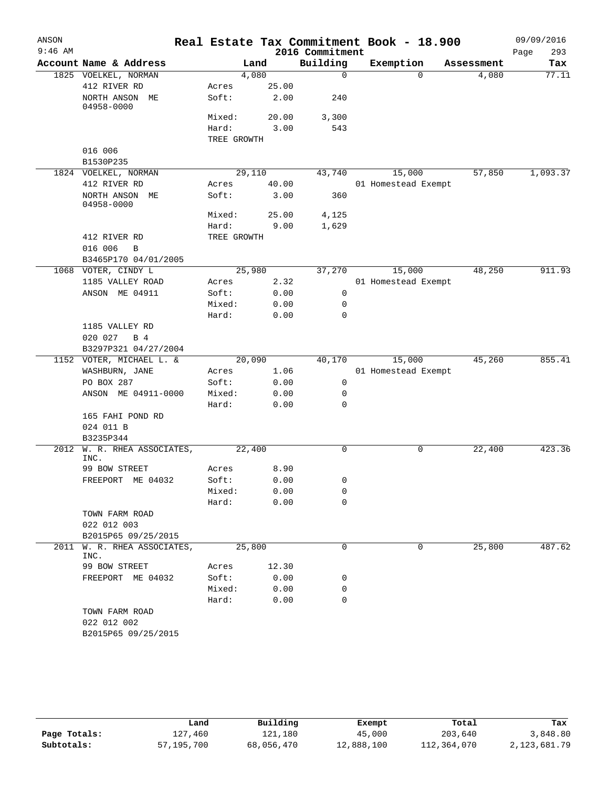| ANSON     |                                      |                |               |                 | Real Estate Tax Commitment Book - 18.900 |            | 09/09/2016  |
|-----------|--------------------------------------|----------------|---------------|-----------------|------------------------------------------|------------|-------------|
| $9:46$ AM |                                      |                |               | 2016 Commitment |                                          |            | Page<br>293 |
|           | Account Name & Address               | Land           |               | Building        | Exemption                                | Assessment | Tax         |
|           | 1825 VOELKEL, NORMAN                 | 4,080          |               | $\mathbf 0$     | $\Omega$                                 | 4,080      | 77.11       |
|           | 412 RIVER RD                         | Acres          | 25.00         |                 |                                          |            |             |
|           | NORTH ANSON ME<br>04958-0000         | Soft:          | 2.00          | 240             |                                          |            |             |
|           |                                      | Mixed:         | 20.00         | 3,300           |                                          |            |             |
|           |                                      | Hard:          | 3.00          | 543             |                                          |            |             |
|           |                                      | TREE GROWTH    |               |                 |                                          |            |             |
|           | 016 006                              |                |               |                 |                                          |            |             |
|           | B1530P235                            |                |               |                 |                                          |            |             |
|           | 1824 VOELKEL, NORMAN                 | 29,110         |               | 43,740          | 15,000                                   | 57,850     | 1,093.37    |
|           | 412 RIVER RD                         | Acres<br>Soft: | 40.00<br>3.00 | 360             | 01 Homestead Exempt                      |            |             |
|           | NORTH ANSON ME<br>04958-0000         |                |               |                 |                                          |            |             |
|           |                                      | Mixed:         | 25.00         | 4,125           |                                          |            |             |
|           |                                      | Hard:          | 9.00          | 1,629           |                                          |            |             |
|           | 412 RIVER RD                         | TREE GROWTH    |               |                 |                                          |            |             |
|           | 016 006<br>B<br>B3465P170 04/01/2005 |                |               |                 |                                          |            |             |
|           | 1068 VOTER, CINDY L                  | 25,980         |               | 37,270          | 15,000                                   | 48,250     | 911.93      |
|           | 1185 VALLEY ROAD                     | Acres          | 2.32          |                 | 01 Homestead Exempt                      |            |             |
|           | ANSON ME 04911                       | Soft:          | 0.00          | 0               |                                          |            |             |
|           |                                      | Mixed:         | 0.00          | 0               |                                          |            |             |
|           |                                      | Hard:          | 0.00          | 0               |                                          |            |             |
|           | 1185 VALLEY RD                       |                |               |                 |                                          |            |             |
|           | 020 027<br>B 4                       |                |               |                 |                                          |            |             |
|           | B3297P321 04/27/2004                 |                |               |                 |                                          |            |             |
|           | 1152 VOTER, MICHAEL L. &             | 20,090         |               | 40,170          | 15,000                                   | 45,260     | 855.41      |
|           | WASHBURN, JANE                       | Acres          | 1.06          |                 | 01 Homestead Exempt                      |            |             |
|           | PO BOX 287                           | Soft:          | 0.00          | 0               |                                          |            |             |
|           | ANSON ME 04911-0000                  | Mixed:         | 0.00          | 0               |                                          |            |             |
|           |                                      | Hard:          | 0.00          | 0               |                                          |            |             |
|           | 165 FAHI POND RD                     |                |               |                 |                                          |            |             |
|           | 024 011 B                            |                |               |                 |                                          |            |             |
|           | B3235P344                            |                |               |                 |                                          |            |             |
| 2012      | W. R. RHEA ASSOCIATES,<br>INC.       | 22,400         |               | 0               | 0                                        | 22,400     | 423.36      |
|           | 99 BOW STREET                        | Acres          | 8.90          |                 |                                          |            |             |
|           | FREEPORT ME 04032                    | Soft:          | 0.00          | 0               |                                          |            |             |
|           |                                      | Mixed:         | 0.00          | 0               |                                          |            |             |
|           |                                      | Hard:          | 0.00          | $\Omega$        |                                          |            |             |
|           | TOWN FARM ROAD                       |                |               |                 |                                          |            |             |
|           | 022 012 003                          |                |               |                 |                                          |            |             |
|           | B2015P65 09/25/2015                  |                |               |                 |                                          |            |             |
| 2011      | W. R. RHEA ASSOCIATES,<br>INC.       | 25,800         |               | 0               | 0                                        | 25,800     | 487.62      |
|           | 99 BOW STREET                        | Acres          | 12.30         |                 |                                          |            |             |
|           | FREEPORT ME 04032                    | Soft:          | 0.00          | 0               |                                          |            |             |
|           |                                      | Mixed:         | 0.00          | 0               |                                          |            |             |
|           |                                      | Hard:          | 0.00          | $\Omega$        |                                          |            |             |
|           | TOWN FARM ROAD                       |                |               |                 |                                          |            |             |
|           | 022 012 002                          |                |               |                 |                                          |            |             |
|           | B2015P65 09/25/2015                  |                |               |                 |                                          |            |             |

|              | Land       | Building   | Exempt     | Total       | Tax          |
|--------------|------------|------------|------------|-------------|--------------|
| Page Totals: | 127,460    | 121,180    | 45,000     | 203,640     | 3,848.80     |
| Subtotals:   | 57,195,700 | 68,056,470 | 12,888,100 | 112,364,070 | 2,123,681.79 |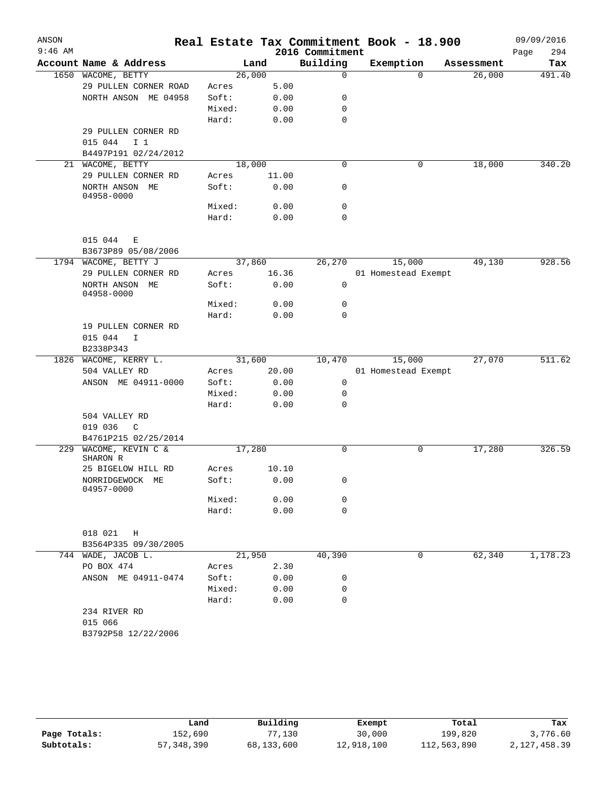|                                |                                                                                                                                                                 |                                                        |                                                                  |                                                                                                                                                                                                                 |                      | 09/09/2016<br>Page<br>294                                                                        |
|--------------------------------|-----------------------------------------------------------------------------------------------------------------------------------------------------------------|--------------------------------------------------------|------------------------------------------------------------------|-----------------------------------------------------------------------------------------------------------------------------------------------------------------------------------------------------------------|----------------------|--------------------------------------------------------------------------------------------------|
|                                |                                                                                                                                                                 |                                                        | Building                                                         | Exemption                                                                                                                                                                                                       | Assessment           | Tax                                                                                              |
|                                |                                                                                                                                                                 |                                                        | $\mathbf 0$                                                      | $\Omega$                                                                                                                                                                                                        | 26,000               | 491.40                                                                                           |
|                                | Acres                                                                                                                                                           |                                                        |                                                                  |                                                                                                                                                                                                                 |                      |                                                                                                  |
|                                | Soft:                                                                                                                                                           |                                                        | 0                                                                |                                                                                                                                                                                                                 |                      |                                                                                                  |
|                                | Mixed:                                                                                                                                                          |                                                        | 0                                                                |                                                                                                                                                                                                                 |                      |                                                                                                  |
|                                | Hard:                                                                                                                                                           |                                                        | 0                                                                |                                                                                                                                                                                                                 |                      |                                                                                                  |
| 29 PULLEN CORNER RD            |                                                                                                                                                                 |                                                        |                                                                  |                                                                                                                                                                                                                 |                      |                                                                                                  |
| 015 044<br>I <sub>1</sub>      |                                                                                                                                                                 |                                                        |                                                                  |                                                                                                                                                                                                                 |                      |                                                                                                  |
| B4497P191 02/24/2012           |                                                                                                                                                                 |                                                        |                                                                  |                                                                                                                                                                                                                 |                      |                                                                                                  |
| WACOME, BETTY                  |                                                                                                                                                                 |                                                        | $\mathbf 0$                                                      | 0                                                                                                                                                                                                               | 18,000               | 340.20                                                                                           |
| 29 PULLEN CORNER RD            | Acres                                                                                                                                                           |                                                        |                                                                  |                                                                                                                                                                                                                 |                      |                                                                                                  |
| NORTH ANSON ME<br>04958-0000   | Soft:                                                                                                                                                           |                                                        | 0                                                                |                                                                                                                                                                                                                 |                      |                                                                                                  |
|                                | Mixed:                                                                                                                                                          |                                                        | 0                                                                |                                                                                                                                                                                                                 |                      |                                                                                                  |
|                                | Hard:                                                                                                                                                           |                                                        | $\mathbf 0$                                                      |                                                                                                                                                                                                                 |                      |                                                                                                  |
| 015 044<br>Е                   |                                                                                                                                                                 |                                                        |                                                                  |                                                                                                                                                                                                                 |                      |                                                                                                  |
| B3673P89 05/08/2006            |                                                                                                                                                                 |                                                        |                                                                  |                                                                                                                                                                                                                 |                      |                                                                                                  |
|                                |                                                                                                                                                                 |                                                        | 26,270                                                           | 15,000                                                                                                                                                                                                          | 49,130               | 928.56                                                                                           |
| 29 PULLEN CORNER RD            | Acres                                                                                                                                                           |                                                        |                                                                  |                                                                                                                                                                                                                 |                      |                                                                                                  |
| NORTH ANSON ME<br>04958-0000   | Soft:                                                                                                                                                           |                                                        | $\mathbf 0$                                                      |                                                                                                                                                                                                                 |                      |                                                                                                  |
|                                | Mixed:                                                                                                                                                          |                                                        | 0                                                                |                                                                                                                                                                                                                 |                      |                                                                                                  |
|                                | Hard:                                                                                                                                                           |                                                        | $\Omega$                                                         |                                                                                                                                                                                                                 |                      |                                                                                                  |
| 19 PULLEN CORNER RD            |                                                                                                                                                                 |                                                        |                                                                  |                                                                                                                                                                                                                 |                      |                                                                                                  |
| 015 044<br>I                   |                                                                                                                                                                 |                                                        |                                                                  |                                                                                                                                                                                                                 |                      |                                                                                                  |
| B2338P343                      |                                                                                                                                                                 |                                                        |                                                                  |                                                                                                                                                                                                                 |                      |                                                                                                  |
|                                |                                                                                                                                                                 |                                                        | 10,470                                                           | 15,000                                                                                                                                                                                                          | 27,070               | 511.62                                                                                           |
| 504 VALLEY RD                  | Acres                                                                                                                                                           |                                                        |                                                                  |                                                                                                                                                                                                                 |                      |                                                                                                  |
| ANSON ME 04911-0000            | Soft:                                                                                                                                                           |                                                        | 0                                                                |                                                                                                                                                                                                                 |                      |                                                                                                  |
|                                | Mixed:                                                                                                                                                          |                                                        | 0                                                                |                                                                                                                                                                                                                 |                      |                                                                                                  |
|                                | Hard:                                                                                                                                                           |                                                        | 0                                                                |                                                                                                                                                                                                                 |                      |                                                                                                  |
| 504 VALLEY RD                  |                                                                                                                                                                 |                                                        |                                                                  |                                                                                                                                                                                                                 |                      |                                                                                                  |
| 019 036<br>C                   |                                                                                                                                                                 |                                                        |                                                                  |                                                                                                                                                                                                                 |                      |                                                                                                  |
| B4761P215 02/25/2014           |                                                                                                                                                                 |                                                        |                                                                  |                                                                                                                                                                                                                 |                      |                                                                                                  |
| WACOME, KEVIN C &<br>SHARON R  |                                                                                                                                                                 |                                                        | 0                                                                | 0                                                                                                                                                                                                               | 17,280               | 326.59                                                                                           |
| 25 BIGELOW HILL RD             | Acres                                                                                                                                                           |                                                        |                                                                  |                                                                                                                                                                                                                 |                      |                                                                                                  |
| NORRIDGEWOCK ME<br>04957-0000  | Soft:                                                                                                                                                           |                                                        | 0                                                                |                                                                                                                                                                                                                 |                      |                                                                                                  |
|                                | Mixed:                                                                                                                                                          |                                                        | 0                                                                |                                                                                                                                                                                                                 |                      |                                                                                                  |
|                                | Hard:                                                                                                                                                           |                                                        | $\mathbf 0$                                                      |                                                                                                                                                                                                                 |                      |                                                                                                  |
| 018 021<br>Η                   |                                                                                                                                                                 |                                                        |                                                                  |                                                                                                                                                                                                                 |                      |                                                                                                  |
| B3564P335 09/30/2005           |                                                                                                                                                                 |                                                        |                                                                  |                                                                                                                                                                                                                 |                      |                                                                                                  |
|                                |                                                                                                                                                                 |                                                        |                                                                  |                                                                                                                                                                                                                 |                      | 1,178.23                                                                                         |
|                                | Acres                                                                                                                                                           |                                                        |                                                                  |                                                                                                                                                                                                                 |                      |                                                                                                  |
|                                |                                                                                                                                                                 |                                                        |                                                                  |                                                                                                                                                                                                                 |                      |                                                                                                  |
|                                | Mixed:                                                                                                                                                          |                                                        | 0                                                                |                                                                                                                                                                                                                 |                      |                                                                                                  |
|                                | Hard:                                                                                                                                                           |                                                        | 0                                                                |                                                                                                                                                                                                                 |                      |                                                                                                  |
| 234 RIVER RD                   |                                                                                                                                                                 |                                                        |                                                                  |                                                                                                                                                                                                                 |                      |                                                                                                  |
|                                |                                                                                                                                                                 |                                                        |                                                                  |                                                                                                                                                                                                                 |                      |                                                                                                  |
| 015 066<br>B3792P58 12/22/2006 |                                                                                                                                                                 |                                                        |                                                                  |                                                                                                                                                                                                                 |                      |                                                                                                  |
| 21                             | Account Name & Address<br>1650 WACOME, BETTY<br>1794 WACOME, BETTY J<br>1826 WACOME, KERRY L.<br>229<br>744 WADE, JACOB L.<br>PO BOX 474<br>ANSON ME 04911-0474 | 29 PULLEN CORNER ROAD<br>NORTH ANSON ME 04958<br>Soft: | Land<br>26,000<br>18,000<br>37,860<br>31,600<br>17,280<br>21,950 | 5.00<br>0.00<br>0.00<br>0.00<br>11.00<br>0.00<br>0.00<br>0.00<br>16.36<br>0.00<br>0.00<br>0.00<br>20.00<br>0.00<br>0.00<br>0.00<br>10.10<br>0.00<br>0.00<br>0.00<br>40,390<br>2.30<br>0.00<br>0<br>0.00<br>0.00 | 2016 Commitment<br>0 | Real Estate Tax Commitment Book - 18.900<br>01 Homestead Exempt<br>01 Homestead Exempt<br>62,340 |

|              | Land         | Building   | Exempt     | Total       | Tax          |
|--------------|--------------|------------|------------|-------------|--------------|
| Page Totals: | 152,690      | ,130       | 30,000     | 199,820     | 3,776.60     |
| Subtotals:   | 57, 348, 390 | 68,133,600 | 12,918,100 | 112,563,890 | 2,127,458.39 |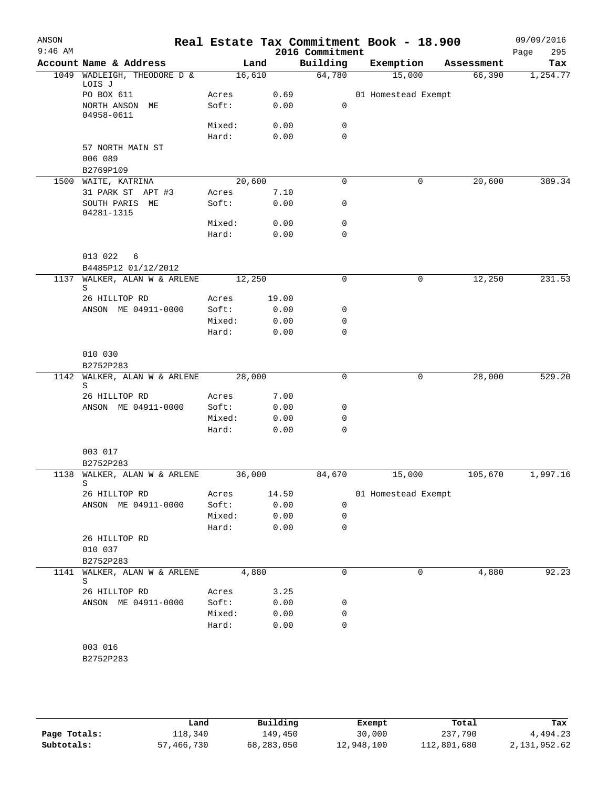| ANSON<br>$9:46$ AM |                                           |        |       | 2016 Commitment  | Real Estate Tax Commitment Book - 18.900 |            | 09/09/2016<br>295<br>Page |
|--------------------|-------------------------------------------|--------|-------|------------------|------------------------------------------|------------|---------------------------|
|                    | Account Name & Address                    | Land   |       | Building         | Exemption                                | Assessment | Tax                       |
|                    | 1049 WADLEIGH, THEODORE D &<br>LOIS J     | 16,610 |       | 64,780           | 15,000                                   | 66,390     | 1,254.77                  |
|                    | PO BOX 611                                | Acres  | 0.69  |                  | 01 Homestead Exempt                      |            |                           |
|                    | NORTH ANSON ME<br>04958-0611              | Soft:  | 0.00  | 0                |                                          |            |                           |
|                    |                                           | Mixed: | 0.00  | 0                |                                          |            |                           |
|                    |                                           | Hard:  | 0.00  | $\mathbf 0$      |                                          |            |                           |
|                    | 57 NORTH MAIN ST<br>006 089               |        |       |                  |                                          |            |                           |
|                    | B2769P109                                 |        |       |                  |                                          |            |                           |
|                    | 1500 WAITE, KATRINA                       | 20,600 |       | 0                | 0                                        | 20,600     | 389.34                    |
|                    | 31 PARK ST APT #3                         | Acres  | 7.10  |                  |                                          |            |                           |
|                    | SOUTH PARIS ME<br>04281-1315              | Soft:  | 0.00  | 0                |                                          |            |                           |
|                    |                                           | Mixed: | 0.00  | 0                |                                          |            |                           |
|                    |                                           | Hard:  | 0.00  | 0                |                                          |            |                           |
|                    | 013 022<br>6<br>B4485P12 01/12/2012       |        |       |                  |                                          |            |                           |
| 1137               | WALKER, ALAN W & ARLENE                   | 12,250 |       | 0                | 0                                        | 12,250     | 231.53                    |
|                    | S                                         |        |       |                  |                                          |            |                           |
|                    | 26 HILLTOP RD                             | Acres  | 19.00 |                  |                                          |            |                           |
|                    | ANSON ME 04911-0000                       | Soft:  | 0.00  | 0                |                                          |            |                           |
|                    |                                           | Mixed: | 0.00  | 0<br>$\mathbf 0$ |                                          |            |                           |
|                    |                                           | Hard:  | 0.00  |                  |                                          |            |                           |
|                    | 010 030                                   |        |       |                  |                                          |            |                           |
|                    | B2752P283                                 |        |       |                  |                                          |            |                           |
| 1142               | WALKER, ALAN W & ARLENE<br>S              | 28,000 |       | 0                | 0                                        | 28,000     | 529.20                    |
|                    | 26 HILLTOP RD                             | Acres  | 7.00  |                  |                                          |            |                           |
|                    | ANSON ME 04911-0000                       | Soft:  | 0.00  | 0                |                                          |            |                           |
|                    |                                           | Mixed: | 0.00  | 0                |                                          |            |                           |
|                    |                                           | Hard:  | 0.00  | 0                |                                          |            |                           |
|                    | 003 017                                   |        |       |                  |                                          |            |                           |
|                    | B2752P283<br>1138 WALKER, ALAN W & ARLENE | 36,000 |       | 84,670           | 15,000                                   | 105,670    | 1,997.16                  |
|                    |                                           |        |       |                  |                                          |            |                           |
|                    | 26 HILLTOP RD                             | Acres  | 14.50 |                  | 01 Homestead Exempt                      |            |                           |
|                    | ANSON ME 04911-0000                       | Soft:  | 0.00  | $\mathbf 0$      |                                          |            |                           |
|                    |                                           | Mixed: | 0.00  | 0                |                                          |            |                           |
|                    |                                           | Hard:  | 0.00  | 0                |                                          |            |                           |
|                    | 26 HILLTOP RD<br>010 037<br>B2752P283     |        |       |                  |                                          |            |                           |
|                    | 1141 WALKER, ALAN W & ARLENE              | 4,880  |       | 0                | 0                                        | 4,880      | 92.23                     |
|                    | S                                         |        |       |                  |                                          |            |                           |
|                    | 26 HILLTOP RD                             | Acres  | 3.25  |                  |                                          |            |                           |
|                    | ANSON ME 04911-0000                       | Soft:  | 0.00  | 0                |                                          |            |                           |
|                    |                                           | Mixed: | 0.00  | 0                |                                          |            |                           |
|                    |                                           | Hard:  | 0.00  | $\mathbf 0$      |                                          |            |                           |
|                    |                                           |        |       |                  |                                          |            |                           |
|                    | 003 016<br>B2752P283                      |        |       |                  |                                          |            |                           |
|                    |                                           |        |       |                  |                                          |            |                           |
|                    |                                           |        |       |                  |                                          |            |                           |

|              | Land       | Building   | Exempt     | Total       | Tax          |
|--------------|------------|------------|------------|-------------|--------------|
| Page Totals: | ⊥18,340    | 149,450    | 30,000     | 237,790     | 4,494.23     |
| Subtotals:   | 57,466,730 | 68,283,050 | 12,948,100 | 112,801,680 | 2,131,952.62 |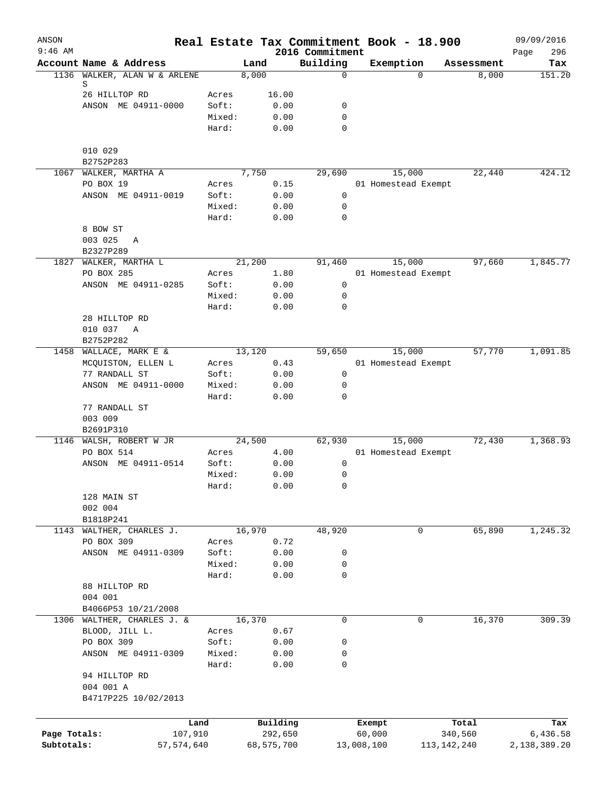| ANSON<br>$9:46$ AM |                                              |                 |                | 2016 Commitment  | Real Estate Tax Commitment Book - 18.900 |            | 09/09/2016<br>296<br>Page |
|--------------------|----------------------------------------------|-----------------|----------------|------------------|------------------------------------------|------------|---------------------------|
|                    | Account Name & Address                       |                 | Land           | Building         | Exemption                                | Assessment | Tax                       |
| 1136               | WALKER, ALAN W & ARLENE                      |                 | 8,000          | $\mathbf 0$      | $\Omega$                                 | 8,000      | 151.20                    |
|                    | S                                            |                 |                |                  |                                          |            |                           |
|                    | 26 HILLTOP RD<br>ANSON ME 04911-0000         | Acres           | 16.00          |                  |                                          |            |                           |
|                    |                                              | Soft:<br>Mixed: | 0.00<br>0.00   | 0<br>0           |                                          |            |                           |
|                    |                                              | Hard:           | 0.00           | $\mathbf 0$      |                                          |            |                           |
|                    | 010 029                                      |                 |                |                  |                                          |            |                           |
|                    | B2752P283                                    |                 |                |                  |                                          |            |                           |
|                    | 1067 WALKER, MARTHA A                        |                 | 7,750          | 29,690           | 15,000                                   | 22,440     | 424.12                    |
|                    | PO BOX 19                                    | Acres           | 0.15           |                  | 01 Homestead Exempt                      |            |                           |
|                    | ANSON ME 04911-0019                          | Soft:           | 0.00           | $\mathbf 0$      |                                          |            |                           |
|                    |                                              | Mixed:          | 0.00           | $\mathbf 0$      |                                          |            |                           |
|                    |                                              | Hard:           | 0.00           | $\mathbf 0$      |                                          |            |                           |
|                    | 8 BOW ST<br>003 025<br>Α                     |                 |                |                  |                                          |            |                           |
|                    | B2327P289                                    |                 |                |                  |                                          |            |                           |
| 1827               | WALKER, MARTHA L                             |                 | 21,200         | 91,460           | 15,000                                   | 97,660     | 1,845.77                  |
|                    | PO BOX 285                                   | Acres           | 1.80           |                  | 01 Homestead Exempt                      |            |                           |
|                    | ANSON ME 04911-0285                          | Soft:           | 0.00           | 0                |                                          |            |                           |
|                    |                                              | Mixed:          | 0.00           | 0                |                                          |            |                           |
|                    |                                              | Hard:           | 0.00           | $\mathbf 0$      |                                          |            |                           |
|                    | 28 HILLTOP RD                                |                 |                |                  |                                          |            |                           |
|                    | 010 037<br>A                                 |                 |                |                  |                                          |            |                           |
|                    | B2752P282                                    |                 |                |                  |                                          |            |                           |
|                    | 1458 WALLACE, MARK E &                       |                 | 13,120         | 59,650           | 15,000                                   | 57,770     | 1,091.85                  |
|                    | MCQUISTON, ELLEN L                           | Acres           | 0.43           |                  | 01 Homestead Exempt                      |            |                           |
|                    | 77 RANDALL ST<br>ANSON ME 04911-0000         | Soft:<br>Mixed: | 0.00<br>0.00   | 0<br>$\mathbf 0$ |                                          |            |                           |
|                    |                                              | Hard:           | 0.00           | $\mathbf 0$      |                                          |            |                           |
|                    | 77 RANDALL ST                                |                 |                |                  |                                          |            |                           |
|                    | 003 009                                      |                 |                |                  |                                          |            |                           |
|                    | B2691P310                                    |                 |                |                  |                                          |            |                           |
|                    | 1146 WALSH, ROBERT W JR                      |                 | 24,500         | 62,930           | 15,000                                   | 72,430     | 1,368.93                  |
|                    | PO BOX 514                                   | Acres           | 4.00           |                  | 01 Homestead Exempt                      |            |                           |
|                    | ANSON ME 04911-0514                          | Soft:           | 0.00           | 0                |                                          |            |                           |
|                    |                                              | Mixed:          | 0.00           | 0                |                                          |            |                           |
|                    |                                              | Hard:           | 0.00           | 0                |                                          |            |                           |
|                    | 128 MAIN ST<br>002 004                       |                 |                |                  |                                          |            |                           |
|                    | B1818P241                                    |                 |                |                  |                                          |            |                           |
| 1143               | WALTHER, CHARLES J.                          |                 | 16,970         | 48,920           | 0                                        | 65,890     | 1,245.32                  |
|                    | PO BOX 309                                   | Acres           | 0.72           |                  |                                          |            |                           |
|                    | ANSON ME 04911-0309                          | Soft:           | 0.00           | 0                |                                          |            |                           |
|                    |                                              | Mixed:          | 0.00           | 0                |                                          |            |                           |
|                    |                                              | Hard:           | 0.00           | $\mathbf 0$      |                                          |            |                           |
|                    | 88 HILLTOP RD                                |                 |                |                  |                                          |            |                           |
|                    | 004 001                                      |                 |                |                  |                                          |            |                           |
|                    | B4066P53 10/21/2008                          |                 |                |                  |                                          |            |                           |
|                    | 1306 WALTHER, CHARLES J. &<br>BLOOD, JILL L. | Acres           | 16,370<br>0.67 | $\mathbf 0$      | 0                                        | 16,370     | 309.39                    |
|                    | PO BOX 309                                   | Soft:           | 0.00           | 0                |                                          |            |                           |
|                    | ANSON ME 04911-0309                          | Mixed:          | 0.00           | 0                |                                          |            |                           |
|                    |                                              | Hard:           | 0.00           | 0                |                                          |            |                           |
|                    | 94 HILLTOP RD                                |                 |                |                  |                                          |            |                           |
|                    | 004 001 A                                    |                 |                |                  |                                          |            |                           |
|                    | B4717P225 10/02/2013                         |                 |                |                  |                                          |            |                           |
|                    |                                              |                 |                |                  |                                          |            |                           |
|                    |                                              | Land            | Building       |                  | Exempt                                   | Total      | Tax                       |
| Page Totals:       | 107,910                                      |                 | 292,650        |                  | 60,000                                   | 340,560    | 6,436.58                  |
| Subtotals:         | 57, 574, 640                                 |                 | 68,575,700     |                  | 13,008,100<br>113, 142, 240              |            | 2,138,389.20              |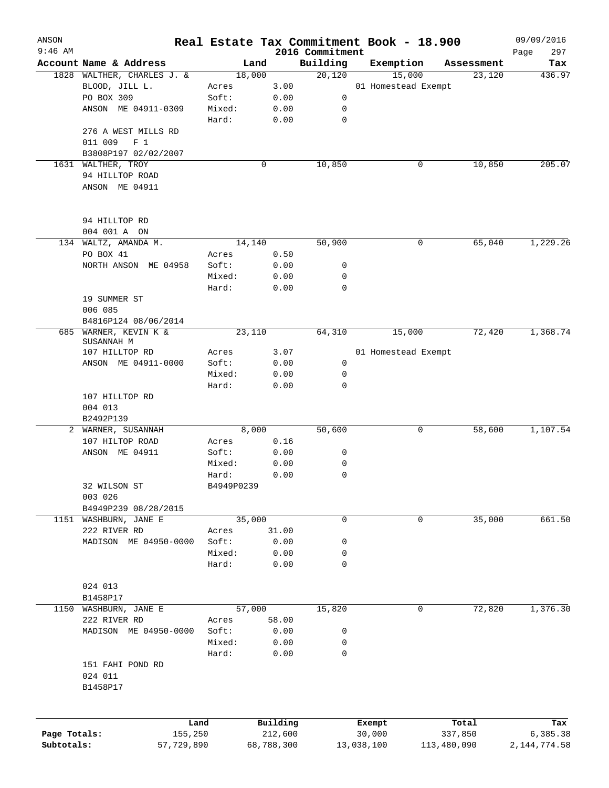| ANSON        |                                 | Real Estate Tax Commitment Book - 18.900 |            |                             |                     |   |             | 09/09/2016         |
|--------------|---------------------------------|------------------------------------------|------------|-----------------------------|---------------------|---|-------------|--------------------|
| $9:46$ AM    | Account Name & Address          | Land                                     |            | 2016 Commitment<br>Building | Exemption           |   | Assessment  | 297<br>Page<br>Tax |
|              | 1828 WALTHER, CHARLES J. &      | 18,000                                   |            | 20,120                      | 15,000              |   | 23,120      | 436.97             |
|              | BLOOD, JILL L.                  | Acres                                    | 3.00       |                             | 01 Homestead Exempt |   |             |                    |
|              | PO BOX 309                      | Soft:                                    | 0.00       | 0                           |                     |   |             |                    |
|              | ANSON ME 04911-0309             | Mixed:                                   | 0.00       | 0                           |                     |   |             |                    |
|              |                                 | Hard:                                    | 0.00       | 0                           |                     |   |             |                    |
|              | 276 A WEST MILLS RD             |                                          |            |                             |                     |   |             |                    |
|              | 011 009<br>F <sub>1</sub>       |                                          |            |                             |                     |   |             |                    |
|              | B3808P197 02/02/2007            |                                          |            |                             |                     |   |             |                    |
|              | 1631 WALTHER, TROY              |                                          | 0          | 10,850                      |                     | 0 | 10,850      | 205.07             |
|              | 94 HILLTOP ROAD                 |                                          |            |                             |                     |   |             |                    |
|              | ANSON ME 04911                  |                                          |            |                             |                     |   |             |                    |
|              | 94 HILLTOP RD                   |                                          |            |                             |                     |   |             |                    |
|              | 004 001 A ON                    |                                          |            |                             |                     |   |             |                    |
|              | 134 WALTZ, AMANDA M.            | 14,140                                   |            | 50,900                      |                     | 0 | 65,040      | 1,229.26           |
|              | PO BOX 41                       | Acres                                    | 0.50       |                             |                     |   |             |                    |
|              | NORTH ANSON ME 04958            | Soft:                                    | 0.00       | 0                           |                     |   |             |                    |
|              |                                 | Mixed:                                   | 0.00       | 0                           |                     |   |             |                    |
|              |                                 | Hard:                                    | 0.00       | 0                           |                     |   |             |                    |
|              | 19 SUMMER ST                    |                                          |            |                             |                     |   |             |                    |
|              | 006 085                         |                                          |            |                             |                     |   |             |                    |
|              | B4816P124 08/06/2014            |                                          |            |                             |                     |   |             |                    |
| 685          | WARNER, KEVIN K &               | 23,110                                   |            | 64,310                      | 15,000              |   | 72,420      | 1,368.74           |
|              | SUSANNAH M                      |                                          |            |                             |                     |   |             |                    |
|              | 107 HILLTOP RD                  | Acres                                    | 3.07       |                             | 01 Homestead Exempt |   |             |                    |
|              | ANSON ME 04911-0000             | Soft:                                    | 0.00       | $\mathsf{O}$                |                     |   |             |                    |
|              |                                 | Mixed:                                   | 0.00       | 0                           |                     |   |             |                    |
|              |                                 | Hard:                                    | 0.00       | 0                           |                     |   |             |                    |
|              | 107 HILLTOP RD                  |                                          |            |                             |                     |   |             |                    |
|              | 004 013                         |                                          |            |                             |                     |   |             |                    |
|              | B2492P139<br>2 WARNER, SUSANNAH | 8,000                                    |            | 50,600                      |                     | 0 | 58,600      | 1,107.54           |
|              | 107 HILTOP ROAD                 | Acres                                    | 0.16       |                             |                     |   |             |                    |
|              | ANSON ME 04911                  | Soft:                                    | 0.00       | 0                           |                     |   |             |                    |
|              |                                 | Mixed:                                   | 0.00       | 0                           |                     |   |             |                    |
|              |                                 | Hard:                                    | 0.00       | 0                           |                     |   |             |                    |
|              | 32 WILSON ST                    | B4949P0239                               |            |                             |                     |   |             |                    |
|              | 003 026                         |                                          |            |                             |                     |   |             |                    |
|              | B4949P239 08/28/2015            |                                          |            |                             |                     |   |             |                    |
|              | 1151 WASHBURN, JANE E           | 35,000                                   |            | 0                           |                     | 0 | 35,000      | 661.50             |
|              | 222 RIVER RD                    | Acres                                    | 31.00      |                             |                     |   |             |                    |
|              | MADISON ME 04950-0000           | Soft:                                    | 0.00       | 0                           |                     |   |             |                    |
|              |                                 | Mixed:                                   | 0.00       | 0                           |                     |   |             |                    |
|              |                                 | Hard:                                    | 0.00       | 0                           |                     |   |             |                    |
|              | 024 013                         |                                          |            |                             |                     |   |             |                    |
|              | B1458P17                        |                                          |            |                             |                     |   |             |                    |
|              | 1150 WASHBURN, JANE E           | 57,000                                   |            | 15,820                      |                     | 0 | 72,820      | 1,376.30           |
|              | 222 RIVER RD                    | Acres                                    | 58.00      |                             |                     |   |             |                    |
|              | MADISON ME 04950-0000           | Soft:                                    | 0.00       | 0                           |                     |   |             |                    |
|              |                                 | Mixed:                                   | 0.00       | 0                           |                     |   |             |                    |
|              |                                 | Hard:                                    | 0.00       | 0                           |                     |   |             |                    |
|              | 151 FAHI POND RD                |                                          |            |                             |                     |   |             |                    |
|              | 024 011                         |                                          |            |                             |                     |   |             |                    |
|              | B1458P17                        |                                          |            |                             |                     |   |             |                    |
|              |                                 |                                          |            |                             |                     |   |             |                    |
|              |                                 | Land                                     | Building   |                             | Exempt              |   | Total       | Tax                |
| Page Totals: | 155,250                         |                                          | 212,600    |                             | 30,000              |   | 337,850     | 6,385.38           |
| Subtotals:   | 57,729,890                      |                                          | 68,788,300 |                             | 13,038,100          |   | 113,480,090 | 2,144,774.58       |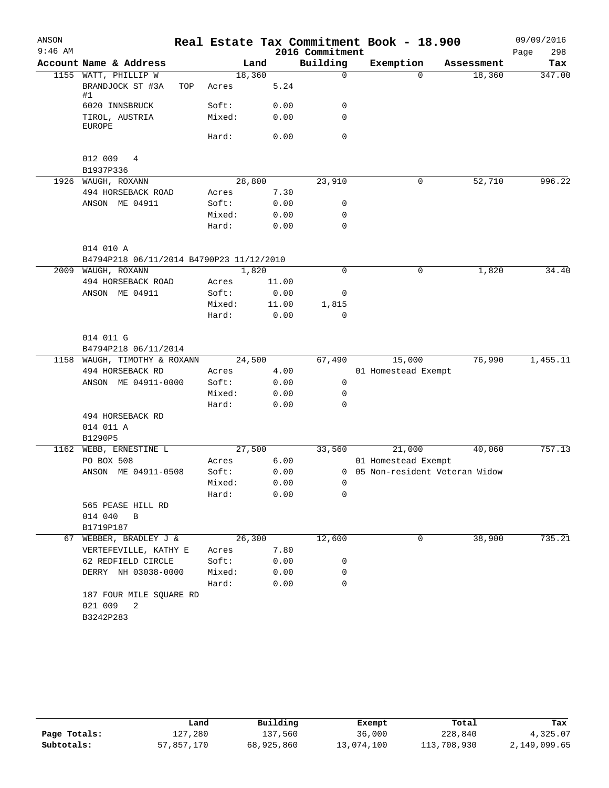| ANSON     |                                                 |                 |                |                      | Real Estate Tax Commitment Book - 18.900 |            | 09/09/2016  |
|-----------|-------------------------------------------------|-----------------|----------------|----------------------|------------------------------------------|------------|-------------|
| $9:46$ AM |                                                 |                 |                | 2016 Commitment      |                                          |            | 298<br>Page |
|           | Account Name & Address                          |                 | Land           | Building             | Exemption                                | Assessment | Tax         |
|           | 1155 WATT, PHILLIP W<br>BRANDJOCK ST #3A<br>TOP | Acres           | 18,360<br>5.24 | $\mathbf 0$          | $\Omega$                                 | 18,360     | 347.00      |
|           | #1<br>6020 INNSBRUCK                            | Soft:           | 0.00           | 0                    |                                          |            |             |
|           | TIROL, AUSTRIA<br><b>EUROPE</b>                 | Mixed:          | 0.00           | $\mathbf 0$          |                                          |            |             |
|           |                                                 | Hard:           | 0.00           | $\mathbf 0$          |                                          |            |             |
|           | 012 009<br>4<br>B1937P336                       |                 |                |                      |                                          |            |             |
|           | 1926 WAUGH, ROXANN                              |                 | 28,800         | 23,910               | 0                                        | 52,710     | 996.22      |
|           | 494 HORSEBACK ROAD                              | Acres           | 7.30           |                      |                                          |            |             |
|           | ANSON ME 04911                                  | Soft:           | 0.00           | 0                    |                                          |            |             |
|           |                                                 | Mixed:          | 0.00           | 0                    |                                          |            |             |
|           |                                                 | Hard:           | 0.00           | $\mathbf 0$          |                                          |            |             |
|           | 014 010 A                                       |                 |                |                      |                                          |            |             |
|           | B4794P218 06/11/2014 B4790P23 11/12/2010        |                 |                |                      |                                          |            |             |
| 2009      | WAUGH, ROXANN                                   |                 | 1,820          | $\mathbf 0$          | $\mathbf 0$                              | 1,820      | 34.40       |
|           | 494 HORSEBACK ROAD                              | Acres           | 11.00          |                      |                                          |            |             |
|           | ANSON ME 04911                                  | Soft:           | 0.00           | 0                    |                                          |            |             |
|           |                                                 | Mixed:<br>Hard: | 11.00<br>0.00  | 1,815<br>$\mathbf 0$ |                                          |            |             |
|           | 014 011 G<br>B4794P218 06/11/2014               |                 |                |                      |                                          |            |             |
| 1158      | WAUGH, TIMOTHY & ROXANN                         |                 | 24,500         | 67,490               | 15,000                                   | 76,990     | 1,455.11    |
|           | 494 HORSEBACK RD                                | Acres           | 4.00           |                      | 01 Homestead Exempt                      |            |             |
|           | ANSON ME 04911-0000                             | Soft:           | 0.00           | 0                    |                                          |            |             |
|           |                                                 | Mixed:          | 0.00           | 0                    |                                          |            |             |
|           |                                                 | Hard:           | 0.00           | 0                    |                                          |            |             |
|           | 494 HORSEBACK RD                                |                 |                |                      |                                          |            |             |
|           | 014 011 A                                       |                 |                |                      |                                          |            |             |
|           | B1290P5                                         |                 |                |                      |                                          |            |             |
| 1162      | WEBB, ERNESTINE L                               |                 | 27,500         | 33,560               | 21,000                                   | 40,060     | 757.13      |
|           | PO BOX 508                                      | Acres           | 6.00           |                      | 01 Homestead Exempt                      |            |             |
|           | ANSON ME 04911-0508                             | Soft:           | 0.00           |                      | 0 05 Non-resident Veteran Widow          |            |             |
|           |                                                 | Mixed:          | 0.00           | 0                    |                                          |            |             |
|           |                                                 | Hard:           | 0.00           | 0                    |                                          |            |             |
|           | 565 PEASE HILL RD<br>014 040<br>B               |                 |                |                      |                                          |            |             |
|           | B1719P187                                       |                 |                |                      |                                          |            |             |
|           | 67 WEBBER, BRADLEY J &                          |                 | 26,300         | 12,600               | 0                                        | 38,900     | 735.21      |
|           | VERTEFEVILLE, KATHY E                           | Acres           | 7.80           |                      |                                          |            |             |
|           | 62 REDFIELD CIRCLE                              | Soft:           | 0.00           | 0                    |                                          |            |             |
|           | DERRY NH 03038-0000                             | Mixed:          | 0.00           | 0                    |                                          |            |             |
|           |                                                 | Hard:           | 0.00           | $\mathbf 0$          |                                          |            |             |
|           | 187 FOUR MILE SQUARE RD<br>021 009<br>2         |                 |                |                      |                                          |            |             |
|           | B3242P283                                       |                 |                |                      |                                          |            |             |

|              | Land       | Building   | Exempt     | Total       | Tax          |
|--------------|------------|------------|------------|-------------|--------------|
| Page Totals: | 127,280    | 137,560    | 36,000     | 228,840     | 4,325.07     |
| Subtotals:   | 57,857,170 | 68,925,860 | 13,074,100 | 113,708,930 | 2,149,099.65 |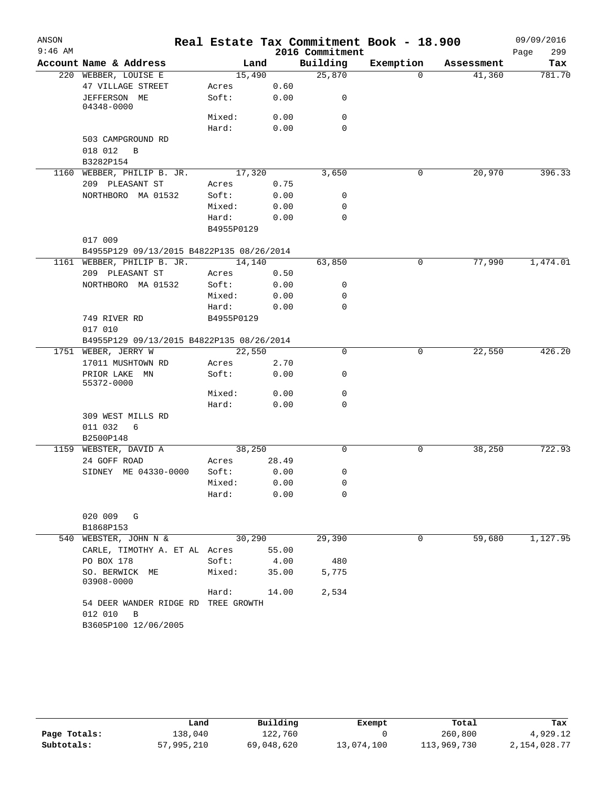| ANSON     |                                                                             |            |        |                 | Real Estate Tax Commitment Book - 18.900 |            | 09/09/2016  |
|-----------|-----------------------------------------------------------------------------|------------|--------|-----------------|------------------------------------------|------------|-------------|
| $9:46$ AM |                                                                             |            |        | 2016 Commitment |                                          |            | 299<br>Page |
|           | Account Name & Address                                                      |            | Land   | Building        | Exemption                                | Assessment | Tax         |
|           | 220 WEBBER, LOUISE E                                                        |            | 15,490 | 25,870          | $\Omega$                                 | 41,360     | 781.70      |
|           | 47 VILLAGE STREET                                                           | Acres      | 0.60   |                 |                                          |            |             |
|           | JEFFERSON ME<br>04348-0000                                                  | Soft:      | 0.00   | 0               |                                          |            |             |
|           |                                                                             | Mixed:     | 0.00   | 0               |                                          |            |             |
|           |                                                                             | Hard:      | 0.00   | 0               |                                          |            |             |
|           | 503 CAMPGROUND RD                                                           |            |        |                 |                                          |            |             |
|           | 018 012<br>B                                                                |            |        |                 |                                          |            |             |
|           | B3282P154                                                                   |            |        |                 |                                          |            |             |
|           | 1160 WEBBER, PHILIP B. JR.                                                  |            | 17,320 | 3,650           | 0                                        | 20,970     | 396.33      |
|           | 209 PLEASANT ST                                                             | Acres      | 0.75   |                 |                                          |            |             |
|           | NORTHBORO MA 01532                                                          | Soft:      | 0.00   | 0               |                                          |            |             |
|           |                                                                             | Mixed:     | 0.00   | 0               |                                          |            |             |
|           |                                                                             | Hard:      | 0.00   | 0               |                                          |            |             |
|           |                                                                             | B4955P0129 |        |                 |                                          |            |             |
|           | 017 009                                                                     |            |        |                 |                                          |            |             |
|           | B4955P129 09/13/2015 B4822P135 08/26/2014                                   |            |        |                 |                                          |            |             |
|           | 1161 WEBBER, PHILIP B. JR.                                                  |            | 14,140 | 63,850          | 0                                        | 77,990     | 1,474.01    |
|           | 209 PLEASANT ST                                                             | Acres      | 0.50   |                 |                                          |            |             |
|           | NORTHBORO MA 01532                                                          | Soft:      | 0.00   | 0               |                                          |            |             |
|           |                                                                             | Mixed:     | 0.00   | 0               |                                          |            |             |
|           |                                                                             | Hard:      | 0.00   | 0               |                                          |            |             |
|           | 749 RIVER RD                                                                | B4955P0129 |        |                 |                                          |            |             |
|           | 017 010                                                                     |            |        |                 |                                          |            |             |
|           | B4955P129 09/13/2015 B4822P135 08/26/2014                                   |            |        |                 |                                          |            |             |
|           | 1751 WEBER, JERRY W                                                         |            | 22,550 | 0               | 0                                        | 22,550     | 426.20      |
|           | 17011 MUSHTOWN RD                                                           | Acres      | 2.70   |                 |                                          |            |             |
|           | PRIOR LAKE MN<br>55372-0000                                                 | Soft:      | 0.00   | 0               |                                          |            |             |
|           |                                                                             | Mixed:     | 0.00   | 0               |                                          |            |             |
|           |                                                                             | Hard:      | 0.00   | 0               |                                          |            |             |
|           | 309 WEST MILLS RD                                                           |            |        |                 |                                          |            |             |
|           | 011 032<br>6                                                                |            |        |                 |                                          |            |             |
|           | B2500P148                                                                   |            |        |                 |                                          |            |             |
|           | 1159 WEBSTER, DAVID A                                                       |            | 38,250 | 0               | 0                                        | 38,250     | 722.93      |
|           | 24 GOFF ROAD                                                                | Acres      | 28.49  |                 |                                          |            |             |
|           | SIDNEY ME 04330-0000                                                        | Soft:      | 0.00   | 0               |                                          |            |             |
|           |                                                                             | Mixed:     | 0.00   | 0               |                                          |            |             |
|           |                                                                             | Hard:      | 0.00   | 0               |                                          |            |             |
|           | 020 009 G                                                                   |            |        |                 |                                          |            |             |
|           | B1868P153                                                                   |            |        |                 |                                          | 59,680     |             |
| 540       | WEBSTER, JOHN N &                                                           |            | 30,290 | 29,390          | 0                                        |            | 1,127.95    |
|           | CARLE, TIMOTHY A. ET AL Acres                                               |            | 55.00  |                 |                                          |            |             |
|           | PO BOX 178                                                                  | Soft:      | 4.00   | 480             |                                          |            |             |
|           | SO. BERWICK ME<br>03908-0000                                                | Mixed:     | 35.00  | 5,775           |                                          |            |             |
|           |                                                                             | Hard:      | 14.00  | 2,534           |                                          |            |             |
|           | 54 DEER WANDER RIDGE RD TREE GROWTH<br>012 010<br>B<br>B3605P100 12/06/2005 |            |        |                 |                                          |            |             |

|              | Land       | Building   | Exempt     | Total       | Tax          |
|--------------|------------|------------|------------|-------------|--------------|
| Page Totals: | 138,040    | 122,760    |            | 260,800     | 4,929.12     |
| Subtotals:   | 57,995,210 | 69,048,620 | 13,074,100 | 113,969,730 | 2,154,028.77 |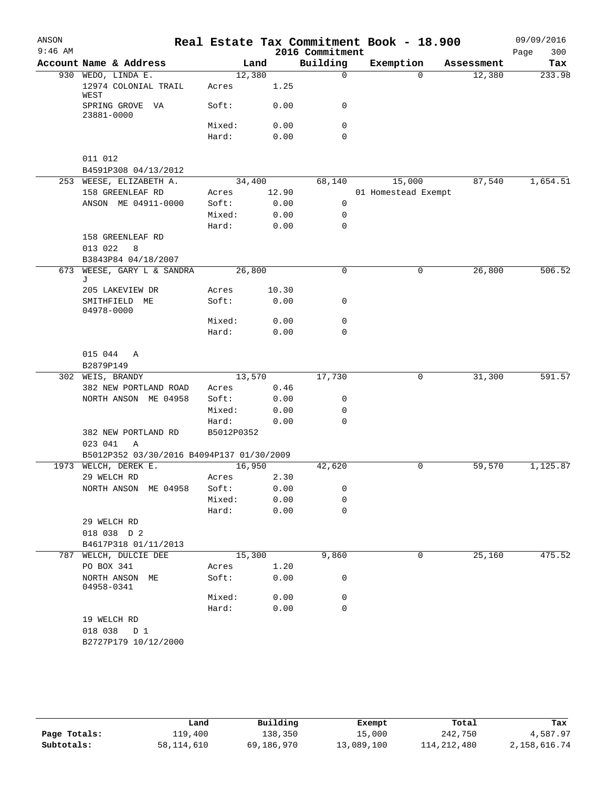| ANSON                   |                                           |                |              |                             | Real Estate Tax Commitment Book - 18.900 |                        | 09/09/2016         |
|-------------------------|-------------------------------------------|----------------|--------------|-----------------------------|------------------------------------------|------------------------|--------------------|
| $9:46$ AM               | Account Name & Address                    |                | Land         | 2016 Commitment<br>Building | Exemption                                |                        | 300<br>Page<br>Tax |
|                         | 930 WEDO, LINDA E.                        | 12,380         |              | $\mathbf 0$                 |                                          | Assessment<br>$\Omega$ | 233.98<br>12,380   |
|                         | 12974 COLONIAL TRAIL<br>WEST              | Acres          | 1.25         |                             |                                          |                        |                    |
|                         | SPRING GROVE VA<br>23881-0000             | Soft:          | 0.00         | 0                           |                                          |                        |                    |
|                         |                                           | Mixed:         | 0.00         | 0                           |                                          |                        |                    |
|                         |                                           | Hard:          | 0.00         | 0                           |                                          |                        |                    |
|                         | 011 012                                   |                |              |                             |                                          |                        |                    |
|                         | B4591P308 04/13/2012                      |                |              |                             |                                          |                        |                    |
| 253 WEESE, ELIZABETH A. |                                           | 34,400         |              | 68,140                      | 15,000                                   |                        | 1,654.51<br>87,540 |
|                         | 158 GREENLEAF RD                          | Acres          | 12.90        |                             | 01 Homestead Exempt                      |                        |                    |
|                         | ANSON ME 04911-0000                       | Soft:          | 0.00         | 0                           |                                          |                        |                    |
|                         |                                           | Mixed:         | 0.00         | 0                           |                                          |                        |                    |
|                         |                                           | Hard:          | 0.00         | $\mathbf 0$                 |                                          |                        |                    |
|                         | 158 GREENLEAF RD<br>013 022<br>8          |                |              |                             |                                          |                        |                    |
|                         | B3843P84 04/18/2007                       |                |              |                             |                                          |                        |                    |
| 673                     | WEESE, GARY L & SANDRA<br>J               | 26,800         |              | $\mathbf 0$                 |                                          | 0                      | 26,800<br>506.52   |
|                         | 205 LAKEVIEW DR                           | Acres          | 10.30        |                             |                                          |                        |                    |
|                         | SMITHFIELD ME<br>04978-0000               | Soft:          | 0.00         | 0                           |                                          |                        |                    |
|                         |                                           | Mixed:         | 0.00         | $\mathbf 0$                 |                                          |                        |                    |
|                         |                                           | Hard:          | 0.00         | $\mathbf 0$                 |                                          |                        |                    |
|                         | 015 044<br>A<br>B2879P149                 |                |              |                             |                                          |                        |                    |
|                         | 302 WEIS, BRANDY                          | 13,570         |              | 17,730                      |                                          | 0                      | 31,300<br>591.57   |
|                         | 382 NEW PORTLAND ROAD                     | Acres          | 0.46         |                             |                                          |                        |                    |
|                         | NORTH ANSON ME 04958                      | Soft:          | 0.00         | 0                           |                                          |                        |                    |
|                         |                                           | Mixed:         | 0.00         | 0                           |                                          |                        |                    |
|                         |                                           | Hard:          | 0.00         | $\mathbf 0$                 |                                          |                        |                    |
|                         | 382 NEW PORTLAND RD<br>023 041<br>Α       | B5012P0352     |              |                             |                                          |                        |                    |
|                         | B5012P352 03/30/2016 B4094P137 01/30/2009 |                |              |                             |                                          |                        |                    |
| 1973                    | WELCH, DEREK E.                           | 16,950         |              | 42,620                      |                                          | 0                      | 59,570<br>1,125.87 |
|                         | 29 WELCH RD                               | Acres          | 2.30         |                             |                                          |                        |                    |
|                         | NORTH ANSON ME 04958                      | Soft:          | 0.00         | 0                           |                                          |                        |                    |
|                         |                                           | Mixed:         | 0.00         | 0                           |                                          |                        |                    |
|                         |                                           | Hard:          | 0.00         | $\mathbf 0$                 |                                          |                        |                    |
|                         | 29 WELCH RD                               |                |              |                             |                                          |                        |                    |
|                         | 018 038 D 2                               |                |              |                             |                                          |                        |                    |
|                         | B4617P318 01/11/2013                      |                |              |                             |                                          |                        |                    |
| 787                     | WELCH, DULCIE DEE                         | 15,300         |              | 9,860                       |                                          | 0                      | 475.52<br>25,160   |
|                         | PO BOX 341<br>NORTH ANSON ME              | Acres<br>Soft: | 1.20<br>0.00 | 0                           |                                          |                        |                    |
|                         | 04958-0341                                | Mixed:         | 0.00         | 0                           |                                          |                        |                    |
|                         |                                           | Hard:          | 0.00         | 0                           |                                          |                        |                    |
|                         | 19 WELCH RD                               |                |              |                             |                                          |                        |                    |
|                         | 018 038<br>D 1                            |                |              |                             |                                          |                        |                    |
|                         | B2727P179 10/12/2000                      |                |              |                             |                                          |                        |                    |
|                         |                                           |                |              |                             |                                          |                        |                    |

|              | Land       | Building   | Exempt     | Total         | Tax          |
|--------------|------------|------------|------------|---------------|--------------|
| Page Totals: | 119,400    | 138,350    | 15,000     | 242,750       | 4,587.97     |
| Subtotals:   | 58,114,610 | 69,186,970 | 13,089,100 | 114, 212, 480 | 2,158,616.74 |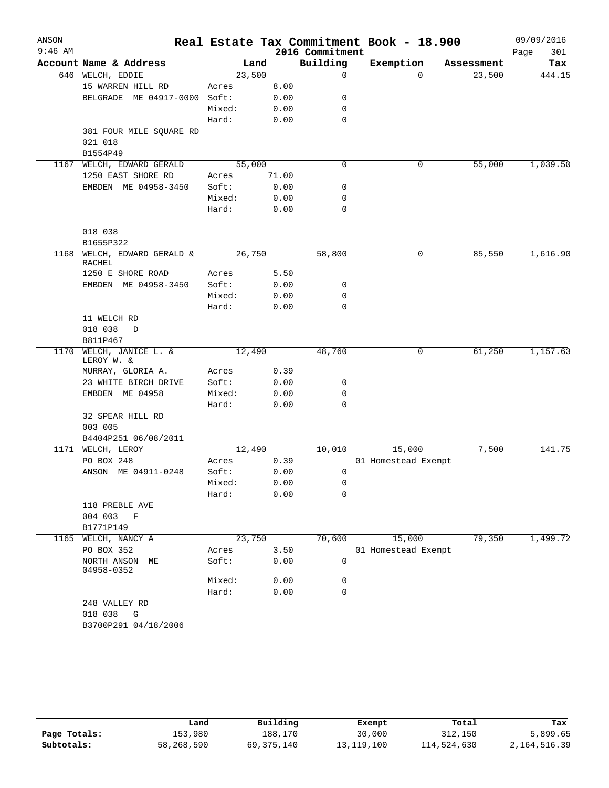| ANSON<br>$9:46$ AM |                                       |        |       | 2016 Commitment | Real Estate Tax Commitment Book - 18.900 |            | 09/09/2016<br>Page<br>301 |
|--------------------|---------------------------------------|--------|-------|-----------------|------------------------------------------|------------|---------------------------|
|                    | Account Name & Address                |        | Land  | Building        | Exemption                                | Assessment | Tax                       |
|                    | 646 WELCH, EDDIE                      | 23,500 |       | 0               | $\mathbf 0$                              | 23,500     | 444.15                    |
|                    | 15 WARREN HILL RD                     | Acres  | 8.00  |                 |                                          |            |                           |
|                    | ME 04917-0000<br>BELGRADE             | Soft:  | 0.00  | 0               |                                          |            |                           |
|                    |                                       | Mixed: | 0.00  | 0               |                                          |            |                           |
|                    |                                       | Hard:  | 0.00  | 0               |                                          |            |                           |
|                    | 381 FOUR MILE SQUARE RD               |        |       |                 |                                          |            |                           |
|                    | 021 018                               |        |       |                 |                                          |            |                           |
|                    | B1554P49                              |        |       |                 |                                          |            |                           |
| 1167               | WELCH, EDWARD GERALD                  | 55,000 |       | $\mathbf 0$     | 0                                        | 55,000     | 1,039.50                  |
|                    | 1250 EAST SHORE RD                    | Acres  | 71.00 |                 |                                          |            |                           |
|                    | EMBDEN ME 04958-3450                  | Soft:  | 0.00  | 0               |                                          |            |                           |
|                    |                                       | Mixed: | 0.00  | 0               |                                          |            |                           |
|                    |                                       | Hard:  | 0.00  | 0               |                                          |            |                           |
|                    | 018 038                               |        |       |                 |                                          |            |                           |
|                    | B1655P322                             |        |       |                 |                                          |            |                           |
| 1168               | WELCH, EDWARD GERALD &<br>RACHEL      | 26,750 |       | 58,800          | 0                                        | 85,550     | 1,616.90                  |
|                    | 1250 E SHORE ROAD                     | Acres  | 5.50  |                 |                                          |            |                           |
|                    | EMBDEN ME 04958-3450                  | Soft:  | 0.00  | 0               |                                          |            |                           |
|                    |                                       | Mixed: | 0.00  | 0               |                                          |            |                           |
|                    |                                       | Hard:  | 0.00  | $\Omega$        |                                          |            |                           |
|                    | 11 WELCH RD                           |        |       |                 |                                          |            |                           |
|                    | 018 038<br>D                          |        |       |                 |                                          |            |                           |
|                    | B811P467                              |        |       |                 |                                          |            |                           |
|                    | 1170 WELCH, JANICE L. &<br>LEROY W. & | 12,490 |       | 48,760          | 0                                        | 61,250     | 1,157.63                  |
|                    | MURRAY, GLORIA A.                     | Acres  | 0.39  |                 |                                          |            |                           |
|                    | 23 WHITE BIRCH DRIVE                  | Soft:  | 0.00  | 0               |                                          |            |                           |
|                    | EMBDEN ME 04958                       | Mixed: | 0.00  | 0               |                                          |            |                           |
|                    |                                       | Hard:  | 0.00  | 0               |                                          |            |                           |
|                    | 32 SPEAR HILL RD                      |        |       |                 |                                          |            |                           |
|                    | 003 005                               |        |       |                 |                                          |            |                           |
|                    | B4404P251 06/08/2011                  |        |       |                 |                                          |            |                           |
|                    | 1171 WELCH, LEROY                     | 12,490 |       | 10,010          | 15,000                                   | 7,500      | 141.75                    |
|                    | PO BOX 248                            | Acres  | 0.39  |                 | 01 Homestead Exempt                      |            |                           |
|                    | ANSON ME 04911-0248                   | Soft:  | 0.00  | 0               |                                          |            |                           |
|                    |                                       | Mixed: | 0.00  | 0               |                                          |            |                           |
|                    |                                       | Hard:  | 0.00  | 0               |                                          |            |                           |
|                    | 118 PREBLE AVE                        |        |       |                 |                                          |            |                           |
|                    | 004 003 F                             |        |       |                 |                                          |            |                           |
|                    | B1771P149                             |        |       |                 |                                          |            |                           |
|                    | 1165 WELCH, NANCY A                   | 23,750 |       | 70,600          | 15,000                                   | 79,350     | 1,499.72                  |
|                    | PO BOX 352                            | Acres  | 3.50  |                 | 01 Homestead Exempt                      |            |                           |
|                    | NORTH ANSON ME<br>04958-0352          | Soft:  | 0.00  | 0               |                                          |            |                           |
|                    |                                       | Mixed: | 0.00  | 0               |                                          |            |                           |
|                    |                                       | Hard:  | 0.00  | 0               |                                          |            |                           |
|                    | 248 VALLEY RD                         |        |       |                 |                                          |            |                           |
|                    | 018 038 G                             |        |       |                 |                                          |            |                           |
|                    | B3700P291 04/18/2006                  |        |       |                 |                                          |            |                           |

|              | Land       | Building     | Exempt       | Total       | Tax          |
|--------------|------------|--------------|--------------|-------------|--------------|
| Page Totals: | 153,980    | 188,170      | 30,000       | 312,150     | 5,899.65     |
| Subtotals:   | 58,268,590 | 69, 375, 140 | 13, 119, 100 | 114,524,630 | 2,164,516.39 |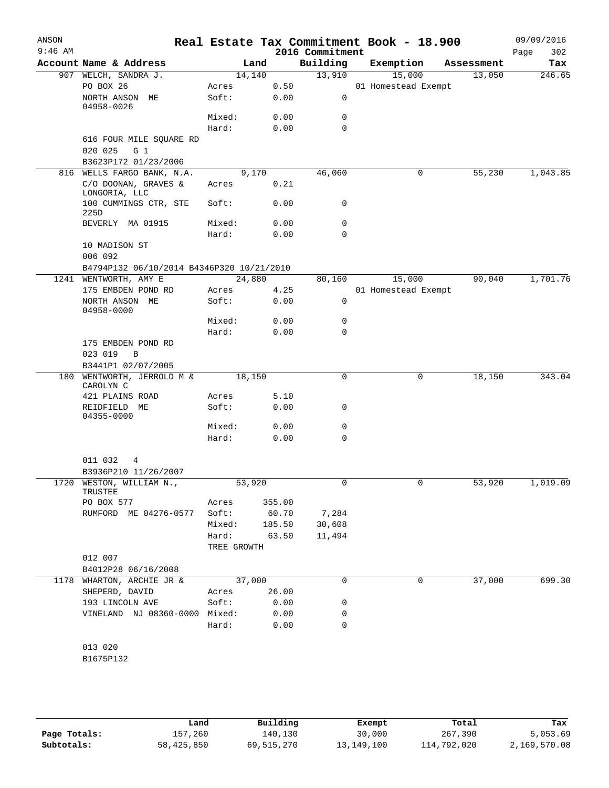| ANSON<br>$9:46$ AM |                                                      |             |        | 2016 Commitment | Real Estate Tax Commitment Book - 18.900 |            | 09/09/2016<br>302<br>Page |
|--------------------|------------------------------------------------------|-------------|--------|-----------------|------------------------------------------|------------|---------------------------|
|                    | Account Name & Address                               | Land        |        | Building        | Exemption                                | Assessment | Tax                       |
|                    | 907 WELCH, SANDRA J.                                 | 14,140      |        | 13,910          | 15,000                                   | 13,050     | 246.65                    |
|                    | PO BOX 26                                            | Acres       | 0.50   |                 | 01 Homestead Exempt                      |            |                           |
|                    | NORTH ANSON ME<br>04958-0026                         | Soft:       | 0.00   | 0               |                                          |            |                           |
|                    |                                                      | Mixed:      | 0.00   | 0               |                                          |            |                           |
|                    |                                                      | Hard:       | 0.00   | $\Omega$        |                                          |            |                           |
|                    | 616 FOUR MILE SQUARE RD<br>020 025<br>G <sub>1</sub> |             |        |                 |                                          |            |                           |
|                    | B3623P172 01/23/2006                                 |             |        |                 |                                          |            |                           |
|                    | 816 WELLS FARGO BANK, N.A.                           | 9,170       |        | 46,060          | 0                                        | 55,230     | 1,043.85                  |
|                    | C/O DOONAN, GRAVES &<br>LONGORIA, LLC                | Acres       | 0.21   |                 |                                          |            |                           |
|                    | 100 CUMMINGS CTR, STE<br>225D                        | Soft:       | 0.00   | 0               |                                          |            |                           |
|                    | BEVERLY MA 01915                                     | Mixed:      | 0.00   | 0               |                                          |            |                           |
|                    |                                                      | Hard:       | 0.00   | $\Omega$        |                                          |            |                           |
|                    | 10 MADISON ST<br>006 092                             |             |        |                 |                                          |            |                           |
|                    | B4794P132 06/10/2014 B4346P320 10/21/2010            |             |        |                 |                                          |            |                           |
|                    | 1241 WENTWORTH, AMY E                                | 24,880      |        | 80,160          | 15,000                                   | 90,040     | 1,701.76                  |
|                    | 175 EMBDEN POND RD                                   | Acres       | 4.25   |                 | 01 Homestead Exempt                      |            |                           |
|                    | NORTH ANSON ME<br>04958-0000                         | Soft:       | 0.00   | $\mathbf 0$     |                                          |            |                           |
|                    |                                                      | Mixed:      | 0.00   | 0               |                                          |            |                           |
|                    |                                                      | Hard:       | 0.00   | $\Omega$        |                                          |            |                           |
|                    | 175 EMBDEN POND RD                                   |             |        |                 |                                          |            |                           |
|                    | 023 019<br>B                                         |             |        |                 |                                          |            |                           |
|                    | B3441P1 02/07/2005                                   |             |        |                 |                                          |            |                           |
|                    | 180 WENTWORTH, JERROLD M &<br>CAROLYN C              | 18,150      |        | 0               | 0                                        | 18,150     | 343.04                    |
|                    | 421 PLAINS ROAD                                      | Acres       | 5.10   |                 |                                          |            |                           |
|                    | REIDFIELD ME<br>04355-0000                           | Soft:       | 0.00   | 0               |                                          |            |                           |
|                    |                                                      | Mixed:      | 0.00   | 0               |                                          |            |                           |
|                    |                                                      | Hard:       | 0.00   | 0               |                                          |            |                           |
|                    | 011 032<br>4<br>B3936P210 11/26/2007                 |             |        |                 |                                          |            |                           |
|                    | 1720 WESTON, WILLIAM N.,                             | 53,920      |        | 0               |                                          | 53,920     | 1,019.09                  |
|                    | TRUSTEE                                              |             |        |                 |                                          |            |                           |
|                    | PO BOX 577                                           | Acres       | 355.00 |                 |                                          |            |                           |
|                    | RUMFORD ME 04276-0577 Soft:                          |             | 60.70  | 7,284           |                                          |            |                           |
|                    |                                                      | Mixed:      | 185.50 | 30,608          |                                          |            |                           |
|                    |                                                      | Hard:       | 63.50  | 11,494          |                                          |            |                           |
|                    |                                                      | TREE GROWTH |        |                 |                                          |            |                           |
|                    | 012 007                                              |             |        |                 |                                          |            |                           |
|                    | B4012P28 06/16/2008                                  |             |        |                 |                                          |            |                           |
|                    | 1178 WHARTON, ARCHIE JR &                            | 37,000      |        | 0               | 0                                        | 37,000     | 699.30                    |
|                    | SHEPERD, DAVID                                       | Acres       | 26.00  |                 |                                          |            |                           |
|                    | 193 LINCOLN AVE                                      | Soft:       | 0.00   | 0               |                                          |            |                           |
|                    | VINELAND NJ 08360-0000 Mixed:                        |             | 0.00   | 0               |                                          |            |                           |
|                    |                                                      | Hard:       | 0.00   | 0               |                                          |            |                           |
|                    | 013 020<br>B1675P132                                 |             |        |                 |                                          |            |                           |
|                    |                                                      |             |        |                 |                                          |            |                           |

|              | Land       | Building   | Exempt       | Total       | Tax          |
|--------------|------------|------------|--------------|-------------|--------------|
| Page Totals: | 157,260    | 140.130    | 30,000       | 267,390     | 5,053.69     |
| Subtotals:   | 58,425,850 | 69,515,270 | 13, 149, 100 | 114,792,020 | 2,169,570.08 |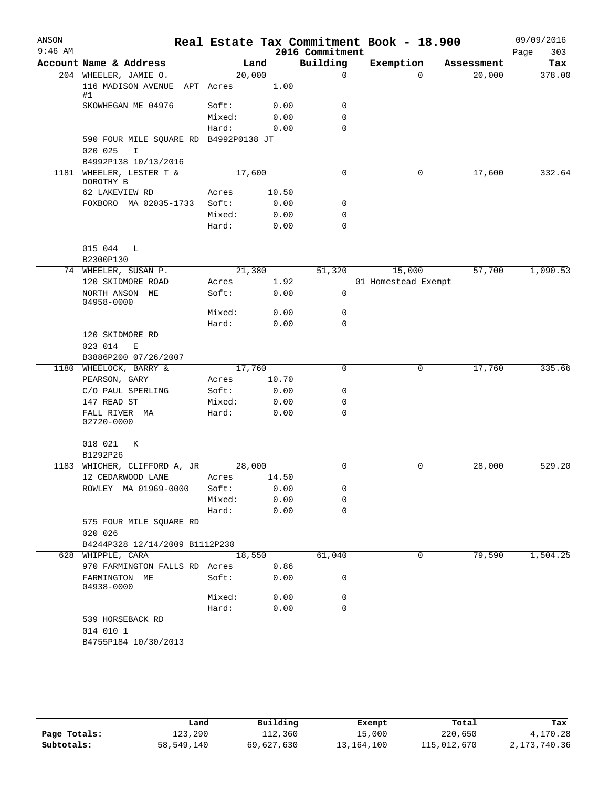| ANSON     |                                                       |                 |              |                 | Real Estate Tax Commitment Book - 18.900 |            | 09/09/2016  |
|-----------|-------------------------------------------------------|-----------------|--------------|-----------------|------------------------------------------|------------|-------------|
| $9:46$ AM |                                                       |                 |              | 2016 Commitment |                                          |            | 303<br>Page |
|           | Account Name & Address                                |                 | Land         | Building        | Exemption                                | Assessment | Tax         |
|           | 204 WHEELER, JAMIE O.<br>116 MADISON AVENUE APT Acres | 20,000          | 1.00         | $\mathbf 0$     | $\Omega$                                 | 20,000     | 378.00      |
|           | #1<br>SKOWHEGAN ME 04976                              | Soft:           | 0.00         | 0               |                                          |            |             |
|           |                                                       | Mixed:          | 0.00         | $\mathbf 0$     |                                          |            |             |
|           |                                                       | Hard:           | 0.00         | $\mathbf 0$     |                                          |            |             |
|           | 590 FOUR MILE SQUARE RD B4992P0138 JT<br>020 025<br>I |                 |              |                 |                                          |            |             |
|           | B4992P138 10/13/2016                                  |                 |              |                 |                                          |            |             |
|           | 1181 WHEELER, LESTER T &<br>DOROTHY B                 | 17,600          |              | 0               | $\mathbf 0$                              | 17,600     | 332.64      |
|           | 62 LAKEVIEW RD                                        | Acres           | 10.50        |                 |                                          |            |             |
|           | FOXBORO MA 02035-1733                                 | Soft:<br>Mixed: | 0.00<br>0.00 | 0<br>0          |                                          |            |             |
|           |                                                       | Hard:           | 0.00         | $\mathbf 0$     |                                          |            |             |
|           | 015 044 L<br>B2300P130                                |                 |              |                 |                                          |            |             |
|           | 74 WHEELER, SUSAN P.                                  | 21,380          |              | 51,320          | 15,000                                   | 57,700     | 1,090.53    |
|           | 120 SKIDMORE ROAD                                     | Acres           | 1.92         |                 | 01 Homestead Exempt                      |            |             |
|           | NORTH ANSON ME<br>04958-0000                          | Soft:           | 0.00         | 0               |                                          |            |             |
|           |                                                       | Mixed:          | 0.00         | 0               |                                          |            |             |
|           |                                                       | Hard:           | 0.00         | 0               |                                          |            |             |
|           | 120 SKIDMORE RD                                       |                 |              |                 |                                          |            |             |
|           | 023 014<br>Е                                          |                 |              |                 |                                          |            |             |
|           | B3886P200 07/26/2007                                  |                 |              |                 |                                          |            |             |
|           | 1180 WHEELOCK, BARRY &                                | 17,760          |              | 0               | 0                                        | 17,760     | 335.66      |
|           | PEARSON, GARY                                         | Acres           | 10.70        |                 |                                          |            |             |
|           | C/O PAUL SPERLING                                     | Soft:           | 0.00         | 0               |                                          |            |             |
|           | 147 READ ST                                           | Mixed:          | 0.00         | 0<br>0          |                                          |            |             |
|           | FALL RIVER MA<br>02720-0000                           | Hard:           | 0.00         |                 |                                          |            |             |
|           | 018 021<br>К                                          |                 |              |                 |                                          |            |             |
|           | B1292P26                                              |                 |              |                 |                                          |            |             |
| 1183      | WHICHER, CLIFFORD A, JR<br>12 CEDARWOOD LANE          | 28,000<br>Acres | 14.50        | 0               | 0                                        | 28,000     | 529.20      |
|           | ROWLEY MA 01969-0000                                  | Soft:           | 0.00         | 0               |                                          |            |             |
|           |                                                       | Mixed:          | 0.00         | 0               |                                          |            |             |
|           |                                                       | Hard:           | 0.00         | $\mathbf 0$     |                                          |            |             |
|           | 575 FOUR MILE SQUARE RD<br>020 026                    |                 |              |                 |                                          |            |             |
|           | B4244P328 12/14/2009 B1112P230                        |                 |              |                 |                                          |            |             |
|           | 628 WHIPPLE, CARA                                     | 18,550          |              | 61,040          | 0                                        | 79,590     | 1,504.25    |
|           | 970 FARMINGTON FALLS RD Acres                         |                 | 0.86         |                 |                                          |            |             |
|           | FARMINGTON ME<br>04938-0000                           | Soft:           | 0.00         | 0               |                                          |            |             |
|           |                                                       | Mixed:          | 0.00         | 0               |                                          |            |             |
|           |                                                       | Hard:           | 0.00         | $\mathbf 0$     |                                          |            |             |
|           | 539 HORSEBACK RD<br>014 010 1                         |                 |              |                 |                                          |            |             |
|           | B4755P184 10/30/2013                                  |                 |              |                 |                                          |            |             |

|              | Land       | Building   | Exempt       | Total       | Tax          |
|--------------|------------|------------|--------------|-------------|--------------|
| Page Totals: | 123,290    | 112,360    | 15,000       | 220,650     | 4,170.28     |
| Subtotals:   | 58,549,140 | 69,627,630 | 13, 164, 100 | 115,012,670 | 2,173,740.36 |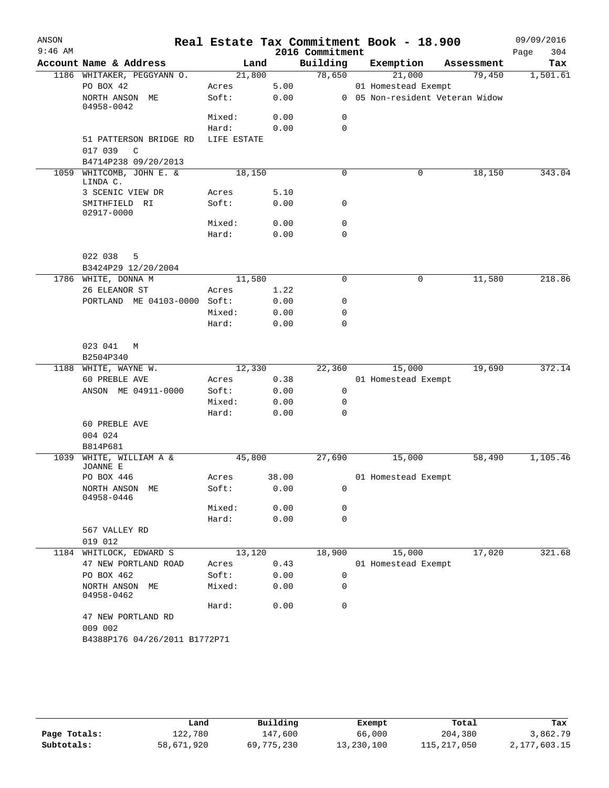| ANSON<br>$9:46$ AM |                                        |             |       | 2016 Commitment | Real Estate Tax Commitment Book - 18.900 |                                 | 09/09/2016<br>304<br>Page |
|--------------------|----------------------------------------|-------------|-------|-----------------|------------------------------------------|---------------------------------|---------------------------|
|                    | Account Name & Address                 | Land        |       | Building        | Exemption                                | Assessment                      | Tax                       |
|                    | 1186 WHITAKER, PEGGYANN O.             | 21,800      |       | 78,650          | 21,000                                   | 79,450                          | 1,501.61                  |
|                    | PO BOX 42                              | Acres       | 5.00  |                 | 01 Homestead Exempt                      |                                 |                           |
|                    | NORTH ANSON ME<br>04958-0042           | Soft:       | 0.00  |                 |                                          | 0 05 Non-resident Veteran Widow |                           |
|                    |                                        | Mixed:      | 0.00  | 0               |                                          |                                 |                           |
|                    |                                        | Hard:       | 0.00  | $\mathbf 0$     |                                          |                                 |                           |
|                    | 51 PATTERSON BRIDGE RD<br>017 039<br>C | LIFE ESTATE |       |                 |                                          |                                 |                           |
|                    | B4714P238 09/20/2013                   |             |       |                 |                                          |                                 |                           |
|                    | 1059 WHITCOMB, JOHN E. &<br>LINDA C.   | 18,150      |       | 0               | 0                                        | 18,150                          | 343.04                    |
|                    | 3 SCENIC VIEW DR                       | Acres       | 5.10  |                 |                                          |                                 |                           |
|                    | SMITHFIELD RI<br>02917-0000            | Soft:       | 0.00  | 0               |                                          |                                 |                           |
|                    |                                        | Mixed:      | 0.00  | $\mathbf 0$     |                                          |                                 |                           |
|                    |                                        | Hard:       | 0.00  | $\mathbf 0$     |                                          |                                 |                           |
|                    | 022 038<br>5<br>B3424P29 12/20/2004    |             |       |                 |                                          |                                 |                           |
|                    | 1786 WHITE, DONNA M                    | 11,580      |       | 0               | 0                                        | 11,580                          | 218.86                    |
|                    | 26 ELEANOR ST                          | Acres       | 1.22  |                 |                                          |                                 |                           |
|                    | PORTLAND ME 04103-0000 Soft:           |             | 0.00  | 0               |                                          |                                 |                           |
|                    |                                        | Mixed:      | 0.00  | $\mathbf 0$     |                                          |                                 |                           |
|                    |                                        | Hard:       | 0.00  | $\mathbf 0$     |                                          |                                 |                           |
|                    | 023 041<br>M<br>B2504P340              |             |       |                 |                                          |                                 |                           |
|                    | 1188 WHITE, WAYNE W.                   | 12,330      |       | 22,360          | 15,000                                   | 19,690                          | 372.14                    |
|                    | 60 PREBLE AVE                          | Acres       | 0.38  |                 | 01 Homestead Exempt                      |                                 |                           |
|                    | ANSON ME 04911-0000                    | Soft:       | 0.00  | 0               |                                          |                                 |                           |
|                    |                                        | Mixed:      | 0.00  | $\mathbf 0$     |                                          |                                 |                           |
|                    |                                        | Hard:       | 0.00  | $\mathbf 0$     |                                          |                                 |                           |
|                    | 60 PREBLE AVE<br>004 024               |             |       |                 |                                          |                                 |                           |
|                    | B814P681                               |             |       |                 |                                          |                                 |                           |
| 1039               | WHITE, WILLIAM A &<br>JOANNE E         | 45,800      |       | 27,690          | 15,000                                   | 58,490                          | 1,105.46                  |
|                    | PO BOX 446                             | Acres       | 38.00 |                 | 01 Homestead Exempt                      |                                 |                           |
|                    | NORTH ANSON ME<br>04958-0446           | Soft:       | 0.00  | $\mathbf 0$     |                                          |                                 |                           |
|                    |                                        | Mixed:      | 0.00  | 0               |                                          |                                 |                           |
|                    |                                        | Hard:       | 0.00  | $\mathbf 0$     |                                          |                                 |                           |
|                    | 567 VALLEY RD<br>019 012               |             |       |                 |                                          |                                 |                           |
| 1184               | WHITLOCK, EDWARD S                     | 13,120      |       | 18,900          | 15,000                                   | 17,020                          | 321.68                    |
|                    | 47 NEW PORTLAND ROAD                   | Acres       | 0.43  |                 | 01 Homestead Exempt                      |                                 |                           |
|                    | PO BOX 462                             | Soft:       | 0.00  | $\mathbf 0$     |                                          |                                 |                           |
|                    | NORTH ANSON ME<br>04958-0462           | Mixed:      | 0.00  | 0               |                                          |                                 |                           |
|                    |                                        | Hard:       | 0.00  | $\mathbf 0$     |                                          |                                 |                           |
|                    | 47 NEW PORTLAND RD<br>009 002          |             |       |                 |                                          |                                 |                           |
|                    | B4388P176 04/26/2011 B1772P71          |             |       |                 |                                          |                                 |                           |

|              | Land       | Building   | Exempt     | Total         | Tax          |
|--------------|------------|------------|------------|---------------|--------------|
| Page Totals: | 122,780    | 147,600    | 66,000     | 204,380       | 3,862.79     |
| Subtotals:   | 58,671,920 | 69,775,230 | 13,230,100 | 115, 217, 050 | 2,177,603.15 |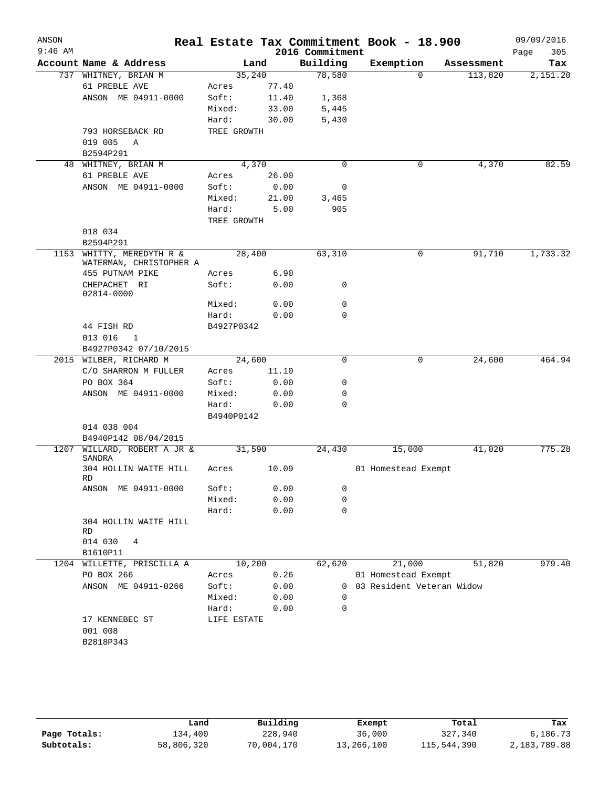| $9:46$ AM | Account Name & Address<br>737 WHITNEY, BRIAN M<br>61 PREBLE AVE  | Land        |        | 2016 Commitment<br>Building | Exemption                   |            | Page<br>305 |
|-----------|------------------------------------------------------------------|-------------|--------|-----------------------------|-----------------------------|------------|-------------|
|           |                                                                  |             |        |                             |                             | Assessment | Tax         |
|           |                                                                  |             | 35,240 | 78,580                      | $\mathbf 0$                 | 113,820    | 2,151.20    |
|           |                                                                  | Acres       | 77.40  |                             |                             |            |             |
|           | ANSON ME 04911-0000                                              | Soft:       | 11.40  | 1,368                       |                             |            |             |
|           |                                                                  | Mixed:      | 33.00  | 5,445                       |                             |            |             |
|           |                                                                  | Hard:       | 30.00  | 5,430                       |                             |            |             |
|           | 793 HORSEBACK RD                                                 | TREE GROWTH |        |                             |                             |            |             |
|           | 019 005<br>A                                                     |             |        |                             |                             |            |             |
|           | B2594P291                                                        |             |        |                             |                             |            |             |
| 48        | WHITNEY, BRIAN M                                                 |             | 4,370  | $\mathbf 0$                 | 0                           | 4,370      | 82.59       |
|           | 61 PREBLE AVE                                                    | Acres       | 26.00  |                             |                             |            |             |
|           | ANSON ME 04911-0000                                              | Soft:       | 0.00   | 0                           |                             |            |             |
|           |                                                                  | Mixed:      | 21.00  | 3,465                       |                             |            |             |
|           |                                                                  | Hard:       | 5.00   | 905                         |                             |            |             |
|           |                                                                  | TREE GROWTH |        |                             |                             |            |             |
|           | 018 034                                                          |             |        |                             |                             |            |             |
|           | B2594P291                                                        |             |        |                             |                             |            |             |
| 1153      | WHITTY, MEREDYTH R &<br>WATERMAN, CHRISTOPHER A                  | 28,400      |        | 63,310                      | 0                           | 91,710     | 1,733.32    |
|           | 455 PUTNAM PIKE                                                  | Acres       | 6.90   |                             |                             |            |             |
|           | CHEPACHET RI<br>02814-0000                                       | Soft:       | 0.00   | 0                           |                             |            |             |
|           |                                                                  | Mixed:      | 0.00   | 0                           |                             |            |             |
|           |                                                                  | Hard:       | 0.00   | 0                           |                             |            |             |
|           | 44 FISH RD                                                       | B4927P0342  |        |                             |                             |            |             |
|           | 013 016<br>1                                                     |             |        |                             |                             |            |             |
|           | B4927P0342 07/10/2015                                            |             |        |                             |                             |            |             |
|           | 2015 WILBER, RICHARD M                                           | 24,600      |        | 0                           | 0                           | 24,600     | 464.94      |
|           | C/O SHARRON M FULLER                                             | Acres       | 11.10  |                             |                             |            |             |
|           | PO BOX 364                                                       | Soft:       | 0.00   | 0                           |                             |            |             |
|           | ANSON ME 04911-0000                                              | Mixed:      | 0.00   | 0                           |                             |            |             |
|           |                                                                  | Hard:       | 0.00   | 0                           |                             |            |             |
|           |                                                                  | B4940P0142  |        |                             |                             |            |             |
|           | 014 038 004                                                      |             |        |                             |                             |            |             |
|           | B4940P142 08/04/2015                                             | 31,590      |        |                             |                             |            |             |
| 1207      | WILLARD, ROBERT A JR &<br><b>SANDRA</b><br>304 HOLLIN WAITE HILL |             |        | 24,430                      | 15,000                      | 41,020     | 775.28      |
|           | RD                                                               | Acres       | 10.09  |                             | 01 Homestead Exempt         |            |             |
|           | ANSON ME 04911-0000                                              | Soft:       | 0.00   | 0                           |                             |            |             |
|           |                                                                  | Mixed:      | 0.00   | 0                           |                             |            |             |
|           |                                                                  | Hard:       | 0.00   | $\mathbf 0$                 |                             |            |             |
|           | 304 HOLLIN WAITE HILL<br>RD                                      |             |        |                             |                             |            |             |
|           | 014 030<br>4                                                     |             |        |                             |                             |            |             |
|           | B1610P11                                                         |             |        |                             |                             |            |             |
|           | 1204 WILLETTE, PRISCILLA A                                       | 10,200      |        | 62,620                      | 21,000                      | 51,820     | 979.40      |
|           | PO BOX 266                                                       | Acres       | 0.26   |                             | 01 Homestead Exempt         |            |             |
|           | ANSON ME 04911-0266                                              | Soft:       | 0.00   |                             | 0 03 Resident Veteran Widow |            |             |
|           |                                                                  | Mixed:      | 0.00   | 0                           |                             |            |             |
|           |                                                                  | Hard:       | 0.00   | 0                           |                             |            |             |
|           | 17 KENNEBEC ST<br>001 008                                        | LIFE ESTATE |        |                             |                             |            |             |
|           | B2818P343                                                        |             |        |                             |                             |            |             |

|              | Land       | Building   | Exempt     | Total       | Tax          |
|--------------|------------|------------|------------|-------------|--------------|
| Page Totals: | 134,400    | 228,940    | 36,000     | 327,340     | 6,186.73     |
| Subtotals:   | 58,806,320 | 70,004,170 | 13,266,100 | 115,544,390 | 2,183,789.88 |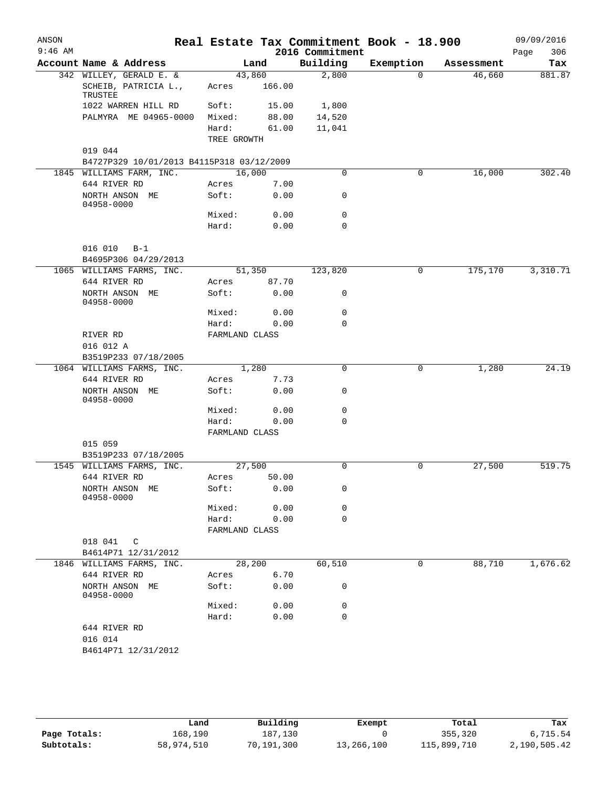| ANSON<br>$9:46$ AM |                                              |                         |              | 2016 Commitment | Real Estate Tax Commitment Book - 18.900 |            | 09/09/2016<br>306<br>Page |
|--------------------|----------------------------------------------|-------------------------|--------------|-----------------|------------------------------------------|------------|---------------------------|
|                    | Account Name & Address                       |                         | Land         | Building        | Exemption                                | Assessment | Tax                       |
|                    | 342 WILLEY, GERALD E. &                      |                         | 43,860       | 2,800           | $\mathbf{0}$                             | 46,660     | 881.87                    |
|                    | SCHEIB, PATRICIA L.,<br>TRUSTEE              | Acres                   | 166.00       |                 |                                          |            |                           |
|                    | 1022 WARREN HILL RD                          | Soft:                   | 15.00        | 1,800           |                                          |            |                           |
|                    | PALMYRA ME 04965-0000                        | Mixed:                  | 88.00        | 14,520          |                                          |            |                           |
|                    |                                              | Hard:<br>TREE GROWTH    | 61.00        | 11,041          |                                          |            |                           |
|                    | 019 044                                      |                         |              |                 |                                          |            |                           |
|                    | B4727P329 10/01/2013 B4115P318 03/12/2009    |                         |              |                 |                                          |            |                           |
|                    | 1845 WILLIAMS FARM, INC.                     | 16,000                  |              | $\mathbf 0$     | 0                                        | 16,000     | 302.40                    |
|                    | 644 RIVER RD                                 | Acres                   | 7.00         |                 |                                          |            |                           |
|                    | NORTH ANSON ME<br>04958-0000                 | Soft:                   | 0.00         | 0               |                                          |            |                           |
|                    |                                              | Mixed:                  | 0.00         | 0               |                                          |            |                           |
|                    |                                              | Hard:                   | 0.00         | 0               |                                          |            |                           |
|                    | 016 010<br>$B-1$<br>B4695P306 04/29/2013     |                         |              |                 |                                          |            |                           |
|                    | 1065 WILLIAMS FARMS, INC.                    |                         | 51,350       | 123,820         | 0                                        | 175,170    | 3,310.71                  |
|                    | 644 RIVER RD                                 | Acres                   | 87.70        |                 |                                          |            |                           |
|                    | NORTH ANSON ME<br>04958-0000                 | Soft:                   | 0.00         | 0               |                                          |            |                           |
|                    |                                              | Mixed:                  | 0.00         | 0               |                                          |            |                           |
|                    |                                              | Hard:                   | 0.00         | $\mathbf 0$     |                                          |            |                           |
|                    | RIVER RD<br>016 012 A                        | FARMLAND CLASS          |              |                 |                                          |            |                           |
|                    | B3519P233 07/18/2005                         |                         |              |                 |                                          |            |                           |
|                    | 1064 WILLIAMS FARMS, INC.                    |                         | 1,280        | $\mathbf 0$     | 0                                        | 1,280      | 24.19                     |
|                    | 644 RIVER RD                                 | Acres                   | 7.73         |                 |                                          |            |                           |
|                    | NORTH ANSON ME<br>04958-0000                 | Soft:                   | 0.00         | 0               |                                          |            |                           |
|                    |                                              | Mixed:                  | 0.00         | 0               |                                          |            |                           |
|                    |                                              | Hard:<br>FARMLAND CLASS | 0.00         | $\mathbf 0$     |                                          |            |                           |
|                    | 015 059                                      |                         |              |                 |                                          |            |                           |
|                    | B3519P233 07/18/2005                         |                         |              |                 |                                          |            |                           |
|                    | 1545 WILLIAMS FARMS, INC.                    |                         | 27,500       | 0               | 0                                        | 27,500     | 519.75                    |
|                    | 644 RIVER RD                                 | Acres                   | 50.00        |                 |                                          |            |                           |
|                    | NORTH ANSON ME<br>04958-0000                 | Soft:                   | 0.00         | 0               |                                          |            |                           |
|                    |                                              | Mixed:                  | 0.00         | 0               |                                          |            |                           |
|                    |                                              | Hard:                   | 0.00         | $\mathbf 0$     |                                          |            |                           |
|                    |                                              | FARMLAND CLASS          |              |                 |                                          |            |                           |
|                    | 018 041<br>C                                 |                         |              |                 |                                          |            |                           |
|                    | B4614P71 12/31/2012                          |                         |              |                 |                                          |            |                           |
|                    | 1846 WILLIAMS FARMS, INC.                    |                         | 28,200       | 60,510          | 0                                        | 88,710     | 1,676.62                  |
|                    | 644 RIVER RD<br>NORTH ANSON ME<br>04958-0000 | Acres<br>Soft:          | 6.70<br>0.00 | 0               |                                          |            |                           |
|                    |                                              | Mixed:                  | 0.00         | 0               |                                          |            |                           |
|                    |                                              | Hard:                   | 0.00         | 0               |                                          |            |                           |
|                    | 644 RIVER RD                                 |                         |              |                 |                                          |            |                           |
|                    | 016 014                                      |                         |              |                 |                                          |            |                           |
|                    | B4614P71 12/31/2012                          |                         |              |                 |                                          |            |                           |
|                    |                                              |                         |              |                 |                                          |            |                           |

|              | Land       | Building   | Exempt     | Total       | Tax          |
|--------------|------------|------------|------------|-------------|--------------|
| Page Totals: | 168,190    | 187.130    |            | 355,320     | 6,715.54     |
| Subtotals:   | 58,974,510 | 70,191,300 | 13,266,100 | 115,899,710 | 2,190,505.42 |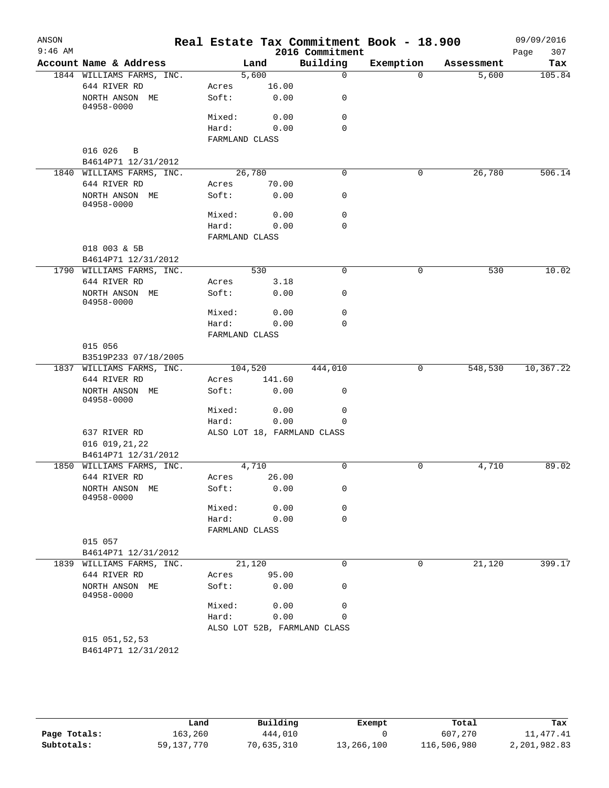| ANSON<br>$9:46$ AM |                                        |                |        | 2016 Commitment              | Real Estate Tax Commitment Book - 18.900 |            | 09/09/2016         |
|--------------------|----------------------------------------|----------------|--------|------------------------------|------------------------------------------|------------|--------------------|
|                    | Account Name & Address                 |                | Land   | Building                     | Exemption                                | Assessment | 307<br>Page<br>Tax |
|                    | 1844 WILLIAMS FARMS, INC.              |                | 5,600  | $\mathbf 0$                  | $\Omega$                                 | 5,600      | 105.84             |
|                    | 644 RIVER RD                           | Acres          | 16.00  |                              |                                          |            |                    |
|                    | NORTH ANSON ME<br>04958-0000           | Soft:          | 0.00   | 0                            |                                          |            |                    |
|                    |                                        | Mixed:         | 0.00   | $\mathbf 0$                  |                                          |            |                    |
|                    |                                        | Hard:          | 0.00   | $\Omega$                     |                                          |            |                    |
|                    |                                        | FARMLAND CLASS |        |                              |                                          |            |                    |
|                    | 016 026<br>$\overline{B}$              |                |        |                              |                                          |            |                    |
|                    | B4614P71 12/31/2012                    |                |        |                              |                                          |            |                    |
|                    | 1840 WILLIAMS FARMS, INC.              | 26,780         |        | $\mathbf 0$                  | 0                                        | 26,780     | 506.14             |
|                    | 644 RIVER RD                           | Acres          | 70.00  |                              |                                          |            |                    |
|                    | NORTH ANSON ME<br>04958-0000           | Soft:          | 0.00   | 0                            |                                          |            |                    |
|                    |                                        | Mixed:         | 0.00   | 0                            |                                          |            |                    |
|                    |                                        | Hard:          | 0.00   | $\mathbf 0$                  |                                          |            |                    |
|                    |                                        | FARMLAND CLASS |        |                              |                                          |            |                    |
|                    | 018 003 & 5B                           |                |        |                              |                                          |            |                    |
|                    | B4614P71 12/31/2012                    |                |        |                              |                                          |            |                    |
|                    | 1790 WILLIAMS FARMS, INC.              |                | 530    | $\mathbf 0$                  | 0                                        | 530        | 10.02              |
|                    | 644 RIVER RD                           | Acres          | 3.18   |                              |                                          |            |                    |
|                    | NORTH ANSON ME<br>04958-0000           | Soft:          | 0.00   | 0                            |                                          |            |                    |
|                    |                                        | Mixed:         | 0.00   | $\mathbf 0$                  |                                          |            |                    |
|                    |                                        | Hard:          | 0.00   | 0                            |                                          |            |                    |
|                    |                                        | FARMLAND CLASS |        |                              |                                          |            |                    |
|                    | 015 056                                |                |        |                              |                                          |            |                    |
|                    | B3519P233 07/18/2005                   |                |        |                              |                                          |            |                    |
|                    | 1837 WILLIAMS FARMS, INC.              | 104,520        |        | 444,010                      | 0                                        | 548,530    | 10,367.22          |
|                    | 644 RIVER RD                           | Acres          | 141.60 |                              |                                          |            |                    |
|                    | NORTH ANSON ME<br>04958-0000           | Soft:          | 0.00   | 0                            |                                          |            |                    |
|                    |                                        | Mixed:         | 0.00   | 0                            |                                          |            |                    |
|                    |                                        | Hard:          | 0.00   | 0                            |                                          |            |                    |
|                    | 637 RIVER RD                           |                |        | ALSO LOT 18, FARMLAND CLASS  |                                          |            |                    |
|                    | 016 019, 21, 22<br>B4614P71 12/31/2012 |                |        |                              |                                          |            |                    |
|                    | 1850 WILLIAMS FARMS, INC.              |                | 4,710  | $\mathbf 0$                  | 0                                        | 4,710      | 89.02              |
|                    | 644 RIVER RD                           | Acres          | 26.00  |                              |                                          |            |                    |
|                    | NORTH ANSON ME                         | Soft:          | 0.00   | 0                            |                                          |            |                    |
|                    | 04958-0000                             |                |        |                              |                                          |            |                    |
|                    |                                        | Mixed:         | 0.00   | 0                            |                                          |            |                    |
|                    |                                        | Hard:          | 0.00   | $\mathbf 0$                  |                                          |            |                    |
|                    |                                        | FARMLAND CLASS |        |                              |                                          |            |                    |
|                    | 015 057                                |                |        |                              |                                          |            |                    |
|                    | B4614P71 12/31/2012                    |                |        |                              |                                          |            |                    |
|                    | 1839 WILLIAMS FARMS, INC.              | 21,120         |        | $\mathbf 0$                  | $\mathbf 0$                              | 21,120     | 399.17             |
|                    | 644 RIVER RD                           | Acres          | 95.00  |                              |                                          |            |                    |
|                    | NORTH ANSON ME<br>04958-0000           | Soft:          | 0.00   | 0                            |                                          |            |                    |
|                    |                                        | Mixed:         | 0.00   | $\mathbf 0$                  |                                          |            |                    |
|                    |                                        | Hard:          | 0.00   | 0                            |                                          |            |                    |
|                    |                                        |                |        | ALSO LOT 52B, FARMLAND CLASS |                                          |            |                    |
|                    | 015 051,52,53                          |                |        |                              |                                          |            |                    |
|                    | B4614P71 12/31/2012                    |                |        |                              |                                          |            |                    |

|              | Land         | Building   | Exempt     | Total       | Tax          |
|--------------|--------------|------------|------------|-------------|--------------|
| Page Totals: | 163,260      | 444,010    |            | 607,270     | 11, 477. 41  |
| Subtotals:   | 59, 137, 770 | 70,635,310 | 13,266,100 | 116,506,980 | 2,201,982.83 |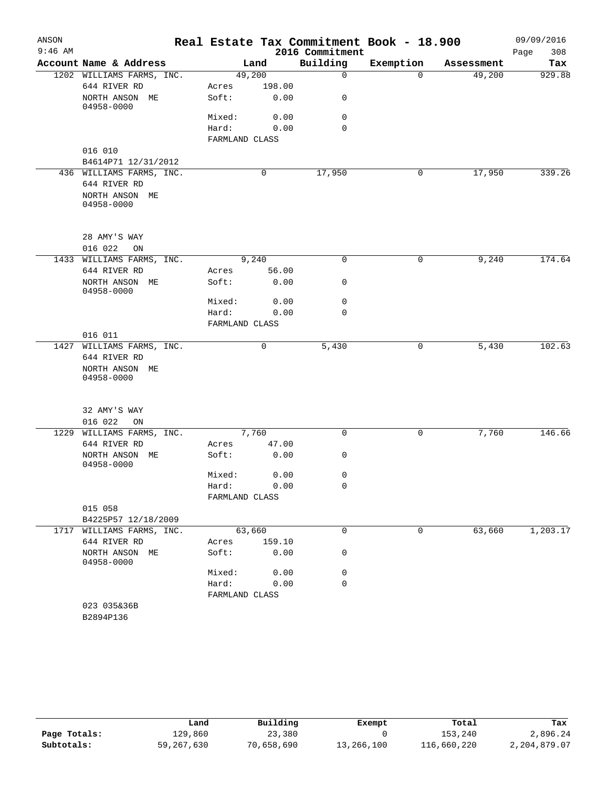| ANSON     |                              |                |        |                 | Real Estate Tax Commitment Book - 18.900 |            | 09/09/2016  |
|-----------|------------------------------|----------------|--------|-----------------|------------------------------------------|------------|-------------|
| $9:46$ AM |                              |                |        | 2016 Commitment |                                          |            | 308<br>Page |
|           | Account Name & Address       |                | Land   | Building        | Exemption                                | Assessment | Tax         |
|           | 1202 WILLIAMS FARMS, INC.    | 49,200         |        | $\mathbf 0$     | $\Omega$                                 | 49,200     | 929.88      |
|           | 644 RIVER RD                 | Acres          | 198.00 |                 |                                          |            |             |
|           | NORTH ANSON ME<br>04958-0000 | Soft:          | 0.00   | 0               |                                          |            |             |
|           |                              | Mixed:         | 0.00   | $\mathbf 0$     |                                          |            |             |
|           |                              | Hard:          | 0.00   | $\Omega$        |                                          |            |             |
|           |                              | FARMLAND CLASS |        |                 |                                          |            |             |
|           | 016 010                      |                |        |                 |                                          |            |             |
|           | B4614P71 12/31/2012          |                |        |                 |                                          |            |             |
|           | 436 WILLIAMS FARMS, INC.     |                | 0      | 17,950          | 0                                        | 17,950     | 339.26      |
|           | 644 RIVER RD                 |                |        |                 |                                          |            |             |
|           | NORTH ANSON ME<br>04958-0000 |                |        |                 |                                          |            |             |
|           |                              |                |        |                 |                                          |            |             |
|           | 28 AMY'S WAY                 |                |        |                 |                                          |            |             |
|           | 016 022<br>ON                |                |        |                 |                                          |            |             |
| 1433      | WILLIAMS FARMS, INC.         |                | 9,240  | $\mathbf 0$     | 0                                        | 9,240      | 174.64      |
|           | 644 RIVER RD                 | Acres          | 56.00  |                 |                                          |            |             |
|           | NORTH ANSON ME<br>04958-0000 | Soft:          | 0.00   | 0               |                                          |            |             |
|           |                              | Mixed:         | 0.00   | $\mathbf 0$     |                                          |            |             |
|           |                              | Hard:          | 0.00   | 0               |                                          |            |             |
|           |                              | FARMLAND CLASS |        |                 |                                          |            |             |
|           | 016 011                      |                |        |                 |                                          |            |             |
|           | 1427 WILLIAMS FARMS, INC.    |                | 0      | 5,430           | 0                                        | 5,430      | 102.63      |
|           | 644 RIVER RD                 |                |        |                 |                                          |            |             |
|           | NORTH ANSON ME<br>04958-0000 |                |        |                 |                                          |            |             |
|           | 32 AMY'S WAY                 |                |        |                 |                                          |            |             |
|           | 016 022<br>ON                |                |        |                 |                                          |            |             |
| 1229      | WILLIAMS FARMS, INC.         |                | 7,760  | $\mathbf 0$     | 0                                        | 7,760      | 146.66      |
|           | 644 RIVER RD                 | Acres          | 47.00  |                 |                                          |            |             |
|           | NORTH ANSON ME               | Soft:          | 0.00   | 0               |                                          |            |             |
|           | 04958-0000                   |                |        | 0               |                                          |            |             |
|           |                              | Mixed:         | 0.00   |                 |                                          |            |             |
|           |                              | Hard:          | 0.00   | 0               |                                          |            |             |
|           |                              | FARMLAND CLASS |        |                 |                                          |            |             |
|           | 015 058                      |                |        |                 |                                          |            |             |
|           | B4225P57 12/18/2009          |                |        |                 |                                          |            |             |
|           | 1717 WILLIAMS FARMS, INC.    | 63,660         |        | 0               | $\overline{0}$                           | 63,660     | 1,203.17    |
|           | 644 RIVER RD                 | Acres          | 159.10 |                 |                                          |            |             |
|           | NORTH ANSON ME<br>04958-0000 | Soft:          | 0.00   | 0               |                                          |            |             |
|           |                              | Mixed:         | 0.00   | 0               |                                          |            |             |
|           |                              | Hard:          | 0.00   | $\mathbf 0$     |                                          |            |             |
|           |                              | FARMLAND CLASS |        |                 |                                          |            |             |
|           | 023 035&36B                  |                |        |                 |                                          |            |             |
|           | B2894P136                    |                |        |                 |                                          |            |             |

|              | Land       | Building   | Exempt     | Total       | Tax          |
|--------------|------------|------------|------------|-------------|--------------|
| Page Totals: | 129,860    | 23,380     |            | 153,240     | 2,896.24     |
| Subtotals:   | 59,267,630 | 70,658,690 | 13,266,100 | 116,660,220 | 2,204,879.07 |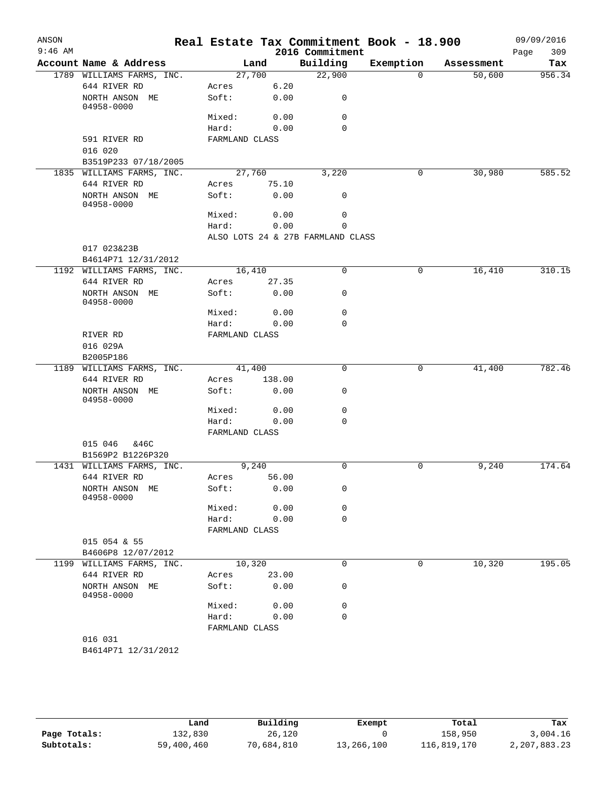| ANSON<br>$9:46$ AM |                                        |                |        | 2016 Commitment                   | Real Estate Tax Commitment Book - 18.900 |            | 09/09/2016<br>309<br>Page |
|--------------------|----------------------------------------|----------------|--------|-----------------------------------|------------------------------------------|------------|---------------------------|
|                    | Account Name & Address                 |                | Land   | Building                          | Exemption                                | Assessment | Tax                       |
|                    | 1789 WILLIAMS FARMS, INC.              |                | 27,700 | 22,900                            | $\Omega$                                 | 50,600     | 956.34                    |
|                    | 644 RIVER RD                           | Acres          | 6.20   |                                   |                                          |            |                           |
|                    | NORTH ANSON ME<br>04958-0000           | Soft:          | 0.00   | 0                                 |                                          |            |                           |
|                    |                                        | Mixed:         | 0.00   | 0                                 |                                          |            |                           |
|                    |                                        | Hard:          | 0.00   | $\Omega$                          |                                          |            |                           |
|                    | 591 RIVER RD                           | FARMLAND CLASS |        |                                   |                                          |            |                           |
|                    | 016 020                                |                |        |                                   |                                          |            |                           |
|                    | B3519P233 07/18/2005                   |                |        |                                   |                                          |            |                           |
|                    | 1835 WILLIAMS FARMS, INC.              |                | 27,760 | 3,220                             | 0                                        | 30,980     | 585.52                    |
|                    | 644 RIVER RD                           | Acres          | 75.10  |                                   |                                          |            |                           |
|                    | NORTH ANSON ME<br>04958-0000           | Soft:          | 0.00   | 0                                 |                                          |            |                           |
|                    |                                        | Mixed:         | 0.00   | 0                                 |                                          |            |                           |
|                    |                                        | Hard:          | 0.00   | 0                                 |                                          |            |                           |
|                    |                                        |                |        | ALSO LOTS 24 & 27B FARMLAND CLASS |                                          |            |                           |
|                    | 017 023&23B                            |                |        |                                   |                                          |            |                           |
|                    | B4614P71 12/31/2012                    |                |        |                                   |                                          |            |                           |
|                    | 1192 WILLIAMS FARMS, INC.              |                | 16,410 | 0                                 | 0                                        | 16,410     | 310.15                    |
|                    | 644 RIVER RD                           | Acres          | 27.35  |                                   |                                          |            |                           |
|                    | NORTH ANSON ME<br>04958-0000           | Soft:          | 0.00   | 0                                 |                                          |            |                           |
|                    |                                        | Mixed:         | 0.00   | 0                                 |                                          |            |                           |
|                    |                                        | Hard:          | 0.00   | $\mathbf 0$                       |                                          |            |                           |
|                    | RIVER RD                               | FARMLAND CLASS |        |                                   |                                          |            |                           |
|                    | 016 029A                               |                |        |                                   |                                          |            |                           |
|                    | B2005P186<br>1189 WILLIAMS FARMS, INC. |                | 41,400 | $\mathbf 0$                       | $\mathbf 0$                              | 41,400     | 782.46                    |
|                    | 644 RIVER RD                           | Acres          | 138.00 |                                   |                                          |            |                           |
|                    | NORTH ANSON ME                         | Soft:          | 0.00   | 0                                 |                                          |            |                           |
|                    | 04958-0000                             |                |        |                                   |                                          |            |                           |
|                    |                                        | Mixed:         | 0.00   | $\mathbf 0$                       |                                          |            |                           |
|                    |                                        | Hard:          | 0.00   | $\mathbf 0$                       |                                          |            |                           |
|                    |                                        | FARMLAND CLASS |        |                                   |                                          |            |                           |
|                    | 015 046<br>&46C                        |                |        |                                   |                                          |            |                           |
|                    | B1569P2 B1226P320                      |                |        |                                   |                                          |            |                           |
|                    | 1431 WILLIAMS FARMS, INC.              |                | 9,240  | 0                                 | 0                                        | 9,240      | 174.64                    |
|                    | 644 RIVER RD                           | Acres          | 56.00  |                                   |                                          |            |                           |
|                    | NORTH ANSON ME<br>04958-0000           | Soft:          | 0.00   | 0                                 |                                          |            |                           |
|                    |                                        | Mixed:         | 0.00   | 0                                 |                                          |            |                           |
|                    |                                        | Hard:          | 0.00   | $\mathbf 0$                       |                                          |            |                           |
|                    |                                        | FARMLAND CLASS |        |                                   |                                          |            |                           |
|                    | 015 054 & 55                           |                |        |                                   |                                          |            |                           |
|                    | B4606P8 12/07/2012                     |                |        |                                   |                                          |            |                           |
| 1199               | WILLIAMS FARMS, INC.                   |                | 10,320 | 0                                 | 0                                        | 10,320     | 195.05                    |
|                    | 644 RIVER RD                           | Acres          | 23.00  |                                   |                                          |            |                           |
|                    | NORTH ANSON ME<br>04958-0000           | Soft:          | 0.00   | 0                                 |                                          |            |                           |
|                    |                                        | Mixed:         | 0.00   | 0                                 |                                          |            |                           |
|                    |                                        | Hard:          | 0.00   | 0                                 |                                          |            |                           |
|                    |                                        | FARMLAND CLASS |        |                                   |                                          |            |                           |
|                    | 016 031                                |                |        |                                   |                                          |            |                           |
|                    | B4614P71 12/31/2012                    |                |        |                                   |                                          |            |                           |

|              | Land       | Building   | Exempt     | Total       | Tax          |
|--------------|------------|------------|------------|-------------|--------------|
| Page Totals: | 132,830    | 26,120     |            | 158,950     | 3,004.16     |
| Subtotals:   | 59,400,460 | 70,684,810 | 13,266,100 | 116,819,170 | 2,207,883.23 |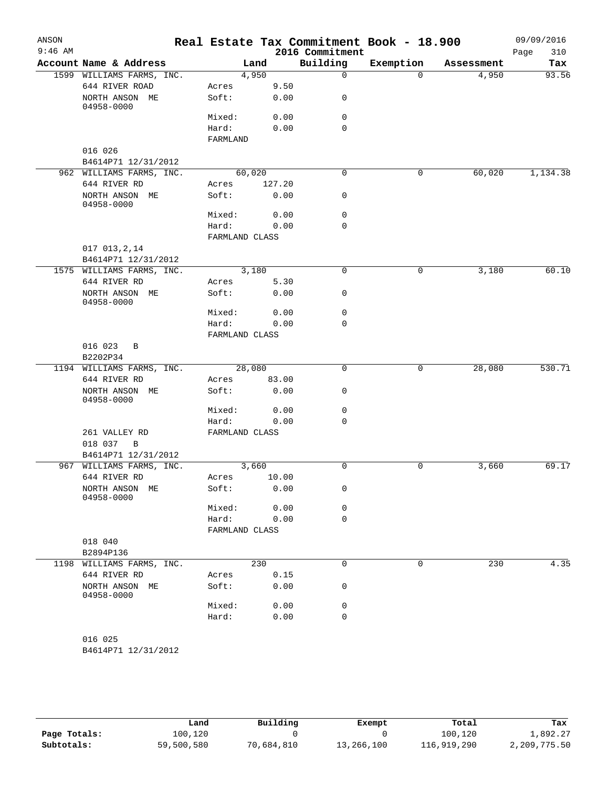| ANSON<br>$9:46$ AM |                                         |                         |        | 2016 Commitment | Real Estate Tax Commitment Book - 18.900 |            | 09/09/2016<br>310<br>Page |
|--------------------|-----------------------------------------|-------------------------|--------|-----------------|------------------------------------------|------------|---------------------------|
|                    | Account Name & Address                  |                         | Land   | Building        | Exemption                                | Assessment | Tax                       |
|                    | 1599 WILLIAMS FARMS, INC.               |                         | 4,950  | $\mathbf 0$     | $\Omega$                                 | 4,950      | 93.56                     |
|                    | 644 RIVER ROAD                          | Acres                   | 9.50   |                 |                                          |            |                           |
|                    | NORTH ANSON ME<br>04958-0000            | Soft:                   | 0.00   | 0               |                                          |            |                           |
|                    |                                         | Mixed:                  | 0.00   | $\mathbf 0$     |                                          |            |                           |
|                    |                                         | Hard:<br>FARMLAND       | 0.00   | $\Omega$        |                                          |            |                           |
|                    | 016 026                                 |                         |        |                 |                                          |            |                           |
|                    | B4614P71 12/31/2012                     |                         |        |                 |                                          |            |                           |
|                    | 962 WILLIAMS FARMS, INC.                | 60,020                  |        | $\mathbf 0$     | 0                                        | 60,020     | 1,134.38                  |
|                    | 644 RIVER RD                            | Acres                   | 127.20 |                 |                                          |            |                           |
|                    | NORTH ANSON ME<br>04958-0000            | Soft:                   | 0.00   | $\mathbf 0$     |                                          |            |                           |
|                    |                                         | Mixed:                  | 0.00   | $\mathbf 0$     |                                          |            |                           |
|                    |                                         | Hard:                   | 0.00   | $\mathbf 0$     |                                          |            |                           |
|                    |                                         | FARMLAND CLASS          |        |                 |                                          |            |                           |
|                    | 017 013, 2, 14                          |                         |        |                 |                                          |            |                           |
|                    | B4614P71 12/31/2012                     |                         |        |                 |                                          |            |                           |
|                    | 1575 WILLIAMS FARMS, INC.               |                         | 3,180  | 0               | 0                                        | 3,180      | 60.10                     |
|                    | 644 RIVER RD                            | Acres                   | 5.30   |                 |                                          |            |                           |
|                    | NORTH ANSON ME<br>04958-0000            | Soft:                   | 0.00   | 0               |                                          |            |                           |
|                    |                                         | Mixed:                  | 0.00   | $\mathbf 0$     |                                          |            |                           |
|                    |                                         | Hard:                   | 0.00   | $\mathbf 0$     |                                          |            |                           |
|                    |                                         | FARMLAND CLASS          |        |                 |                                          |            |                           |
|                    | 016 023<br>B                            |                         |        |                 |                                          |            |                           |
|                    | B2202P34                                |                         |        |                 |                                          |            |                           |
|                    | 1194 WILLIAMS FARMS, INC.               | 28,080                  |        | $\mathbf 0$     | 0                                        | 28,080     | 530.71                    |
|                    | 644 RIVER RD                            | Acres                   | 83.00  |                 |                                          |            |                           |
|                    | NORTH ANSON ME<br>04958-0000            | Soft:                   | 0.00   | $\mathbf 0$     |                                          |            |                           |
|                    |                                         | Mixed:                  | 0.00   | $\mathbf 0$     |                                          |            |                           |
|                    |                                         | Hard:                   | 0.00   | $\mathbf 0$     |                                          |            |                           |
|                    | 261 VALLEY RD<br>018 037<br>$\mathbf B$ | FARMLAND CLASS          |        |                 |                                          |            |                           |
|                    | B4614P71 12/31/2012                     |                         |        |                 |                                          |            |                           |
|                    | 967 WILLIAMS FARMS, INC.                |                         | 3,660  | 0               | 0                                        | 3,660      | 69.17                     |
|                    | 644 RIVER RD                            | Acres                   | 10.00  |                 |                                          |            |                           |
|                    | NORTH ANSON ME<br>04958-0000            | Soft:                   | 0.00   | 0               |                                          |            |                           |
|                    |                                         | Mixed:                  | 0.00   | 0               |                                          |            |                           |
|                    |                                         | Hard:<br>FARMLAND CLASS | 0.00   | $\mathbf 0$     |                                          |            |                           |
|                    | 018 040                                 |                         |        |                 |                                          |            |                           |
|                    | B2894P136                               |                         |        |                 |                                          |            |                           |
|                    | 1198 WILLIAMS FARMS, INC.               |                         | 230    | $\mathbf 0$     | 0                                        | 230        | 4.35                      |
|                    | 644 RIVER RD                            | Acres                   | 0.15   |                 |                                          |            |                           |
|                    | NORTH ANSON ME<br>04958-0000            | Soft:                   | 0.00   | 0               |                                          |            |                           |
|                    |                                         | Mixed:                  | 0.00   | $\mathbf 0$     |                                          |            |                           |
|                    |                                         | Hard:                   | 0.00   | $\mathbf 0$     |                                          |            |                           |
|                    | 016 025<br>B4614P71 12/31/2012          |                         |        |                 |                                          |            |                           |

|              | Land       | Building   | Exempt     | Total       | Tax          |
|--------------|------------|------------|------------|-------------|--------------|
| Page Totals: | 100,120    |            |            | 100,120     | 1,892.27     |
| Subtotals:   | 59,500,580 | 70,684,810 | 13,266,100 | 116,919,290 | 2,209,775.50 |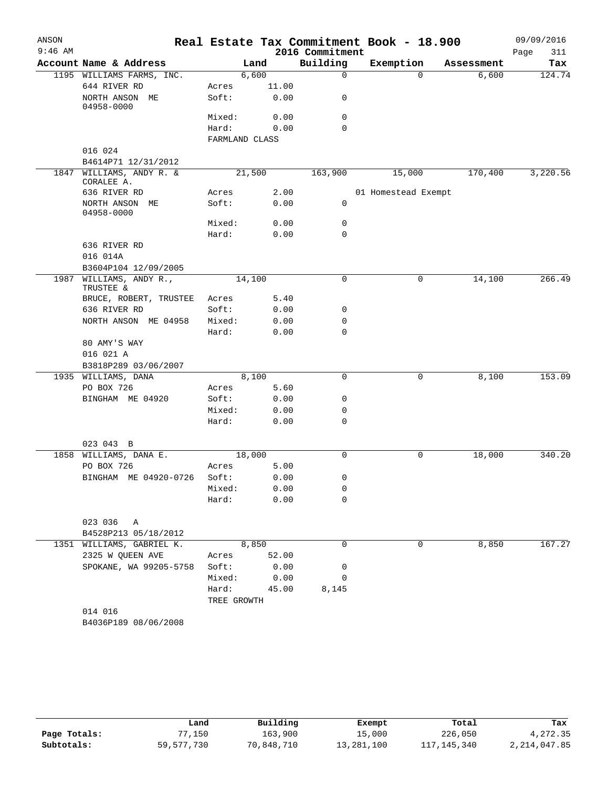| ANSON     |                                        |                 |                |                 | Real Estate Tax Commitment Book - 18.900 |            | 09/09/2016  |
|-----------|----------------------------------------|-----------------|----------------|-----------------|------------------------------------------|------------|-------------|
| $9:46$ AM |                                        |                 |                | 2016 Commitment |                                          |            | Page<br>311 |
|           | Account Name & Address                 |                 | Land           | Building        | Exemption                                | Assessment | Tax         |
|           | 1195 WILLIAMS FARMS, INC.              |                 | 6,600          | $\mathbf 0$     | $\Omega$                                 | 6,600      | 124.74      |
|           | 644 RIVER RD                           | Acres           | 11.00          |                 |                                          |            |             |
|           | NORTH ANSON ME<br>04958-0000           | Soft:           | 0.00           | 0               |                                          |            |             |
|           |                                        | Mixed:          | 0.00           | 0               |                                          |            |             |
|           |                                        | Hard:           | 0.00           | $\Omega$        |                                          |            |             |
|           |                                        |                 | FARMLAND CLASS |                 |                                          |            |             |
|           | 016 024                                |                 |                |                 |                                          |            |             |
|           | B4614P71 12/31/2012                    |                 |                |                 |                                          |            |             |
|           | 1847 WILLIAMS, ANDY R. &<br>CORALEE A. |                 | 21,500         | 163,900         | 15,000                                   | 170,400    | 3,220.56    |
|           | 636 RIVER RD                           | Acres           | 2.00           |                 | 01 Homestead Exempt                      |            |             |
|           | NORTH ANSON ME<br>04958-0000           | Soft:           | 0.00           | 0               |                                          |            |             |
|           |                                        | Mixed:          | 0.00           | 0               |                                          |            |             |
|           |                                        | Hard:           | 0.00           | 0               |                                          |            |             |
|           | 636 RIVER RD                           |                 |                |                 |                                          |            |             |
|           | 016 014A                               |                 |                |                 |                                          |            |             |
|           | B3604P104 12/09/2005                   |                 |                |                 |                                          |            |             |
| 1987      | WILLIAMS, ANDY R.,<br>TRUSTEE &        |                 | 14,100         | 0               | 0                                        | 14,100     | 266.49      |
|           | BRUCE, ROBERT, TRUSTEE                 | Acres           | 5.40           |                 |                                          |            |             |
|           | 636 RIVER RD                           | Soft:           | 0.00           | 0               |                                          |            |             |
|           | NORTH ANSON ME 04958                   | Mixed:          | 0.00           | 0               |                                          |            |             |
|           |                                        | Hard:           | 0.00           | $\mathbf 0$     |                                          |            |             |
|           | 80 AMY'S WAY                           |                 |                |                 |                                          |            |             |
|           | 016 021 A                              |                 |                |                 |                                          |            |             |
|           | B3818P289 03/06/2007                   |                 |                |                 |                                          |            |             |
|           | 1935 WILLIAMS, DANA                    |                 | 8,100          | $\mathbf 0$     | 0                                        | 8,100      | 153.09      |
|           | PO BOX 726                             | Acres           | 5.60           |                 |                                          |            |             |
|           | BINGHAM ME 04920                       | Soft:           | 0.00           | 0               |                                          |            |             |
|           |                                        | Mixed:          | 0.00           | 0               |                                          |            |             |
|           |                                        | Hard:           | 0.00           | 0               |                                          |            |             |
|           |                                        |                 |                |                 |                                          |            |             |
|           | 023 043 B                              |                 |                |                 |                                          |            |             |
| 1858      | WILLIAMS, DANA E.<br>PO BOX 726        |                 | 18,000         | 0               | 0                                        | 18,000     | 340.20      |
|           |                                        | Acres<br>Soft:  | 5.00<br>0.00   | 0               |                                          |            |             |
|           | BINGHAM ME 04920-0726                  |                 |                |                 |                                          |            |             |
|           |                                        | Mixed:<br>Hard: | 0.00<br>0.00   | 0<br>0          |                                          |            |             |
|           |                                        |                 |                |                 |                                          |            |             |
|           | 023 036<br>Α                           |                 |                |                 |                                          |            |             |
|           | B4528P213 05/18/2012                   |                 |                |                 |                                          |            |             |
|           | 1351 WILLIAMS, GABRIEL K.              |                 | 8,850          | 0               | 0                                        | 8,850      | 167.27      |
|           | 2325 W QUEEN AVE                       | Acres           | 52.00          |                 |                                          |            |             |
|           | SPOKANE, WA 99205-5758                 | Soft:           | 0.00           | 0               |                                          |            |             |
|           |                                        | Mixed:          | 0.00           | 0               |                                          |            |             |
|           |                                        | Hard:           | 45.00          | 8,145           |                                          |            |             |
|           |                                        | TREE GROWTH     |                |                 |                                          |            |             |
|           | 014 016                                |                 |                |                 |                                          |            |             |
|           | B4036P189 08/06/2008                   |                 |                |                 |                                          |            |             |
|           |                                        |                 |                |                 |                                          |            |             |

|              | Land         | Building   | Exempt     | Total         | Tax          |
|--------------|--------------|------------|------------|---------------|--------------|
| Page Totals: | 77,150       | 163,900    | 15,000     | 226,050       | 4,272.35     |
| Subtotals:   | 59, 577, 730 | 70,848,710 | 13,281,100 | 117, 145, 340 | 2,214,047.85 |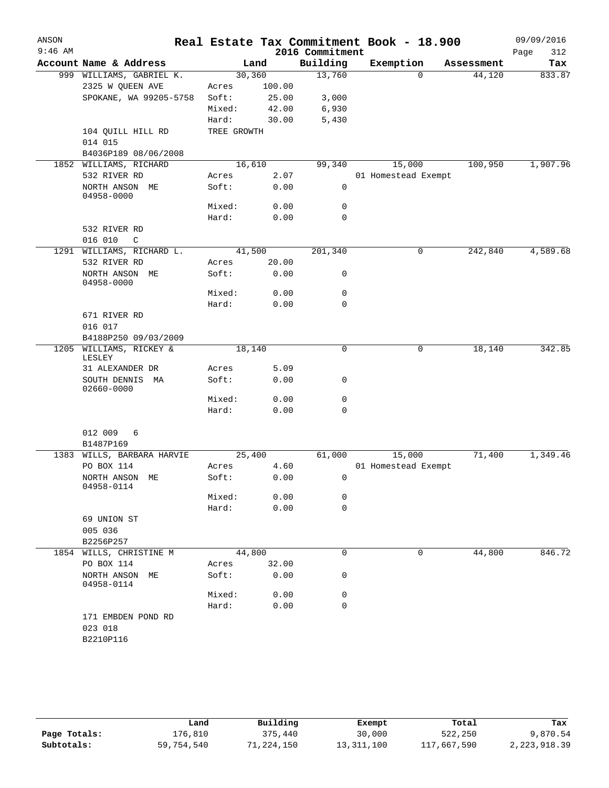| ANSON<br>$9:46$ AM |                                  |             |        | 2016 Commitment | Real Estate Tax Commitment Book - 18.900 |            | 09/09/2016<br>Page<br>312 |
|--------------------|----------------------------------|-------------|--------|-----------------|------------------------------------------|------------|---------------------------|
|                    | Account Name & Address           |             | Land   | Building        | Exemption                                | Assessment | Tax                       |
|                    | 999 WILLIAMS, GABRIEL K.         | 30,360      |        | 13,760          | 0                                        | 44,120     | 833.87                    |
|                    | 2325 W QUEEN AVE                 | Acres       | 100.00 |                 |                                          |            |                           |
|                    | SPOKANE, WA 99205-5758           | Soft:       | 25.00  | 3,000           |                                          |            |                           |
|                    |                                  | Mixed:      | 42.00  | 6,930           |                                          |            |                           |
|                    |                                  | Hard:       | 30.00  | 5,430           |                                          |            |                           |
|                    | 104 QUILL HILL RD                | TREE GROWTH |        |                 |                                          |            |                           |
|                    | 014 015                          |             |        |                 |                                          |            |                           |
|                    | B4036P189 08/06/2008             |             |        |                 |                                          |            |                           |
| 1852               | WILLIAMS, RICHARD                | 16,610      |        | 99,340          | 15,000                                   | 100,950    | 1,907.96                  |
|                    | 532 RIVER RD                     | Acres       | 2.07   |                 | 01 Homestead Exempt                      |            |                           |
|                    | NORTH ANSON ME<br>04958-0000     | Soft:       | 0.00   | 0               |                                          |            |                           |
|                    |                                  | Mixed:      | 0.00   | 0               |                                          |            |                           |
|                    |                                  | Hard:       | 0.00   | $\mathbf 0$     |                                          |            |                           |
|                    | 532 RIVER RD                     |             |        |                 |                                          |            |                           |
|                    | 016 010<br>C                     |             |        |                 |                                          |            |                           |
|                    | 1291 WILLIAMS, RICHARD L.        | 41,500      |        | 201,340         | 0                                        | 242,840    | 4,589.68                  |
|                    | 532 RIVER RD                     | Acres       | 20.00  |                 |                                          |            |                           |
|                    | NORTH ANSON ME<br>04958-0000     | Soft:       | 0.00   | 0               |                                          |            |                           |
|                    |                                  | Mixed:      | 0.00   | 0               |                                          |            |                           |
|                    |                                  | Hard:       | 0.00   | $\mathbf 0$     |                                          |            |                           |
|                    | 671 RIVER RD                     |             |        |                 |                                          |            |                           |
|                    | 016 017                          |             |        |                 |                                          |            |                           |
|                    | B4188P250 09/03/2009             |             |        |                 |                                          |            |                           |
| 1205               | WILLIAMS, RICKEY &<br>LESLEY     | 18,140      |        | $\mathbf 0$     | 0                                        | 18,140     | 342.85                    |
|                    | 31 ALEXANDER DR                  | Acres       | 5.09   |                 |                                          |            |                           |
|                    | SOUTH DENNIS<br>МA<br>02660-0000 | Soft:       | 0.00   | 0               |                                          |            |                           |
|                    |                                  | Mixed:      | 0.00   | 0               |                                          |            |                           |
|                    |                                  | Hard:       | 0.00   | $\mathbf 0$     |                                          |            |                           |
|                    | 012 009<br>6<br>B1487P169        |             |        |                 |                                          |            |                           |
| 1383               | WILLS, BARBARA HARVIE            | 25,400      |        | 61,000          | 15,000                                   | 71,400     | 1,349.46                  |
|                    | PO BOX 114                       | Acres       | 4.60   |                 | 01 Homestead Exempt                      |            |                           |
|                    | NORTH ANSON<br>ME<br>04958-0114  | Soft:       | 0.00   | $\mathbf 0$     |                                          |            |                           |
|                    |                                  | Mixed:      | 0.00   | 0               |                                          |            |                           |
|                    |                                  | Hard:       | 0.00   | $\mathbf 0$     |                                          |            |                           |
|                    | 69 UNION ST                      |             |        |                 |                                          |            |                           |
|                    | 005 036                          |             |        |                 |                                          |            |                           |
|                    | B2256P257                        |             |        |                 |                                          |            |                           |
| 1854               | WILLS, CHRISTINE M               | 44,800      |        | $\mathbf 0$     | 0                                        | 44,800     | 846.72                    |
|                    | PO BOX 114                       | Acres       | 32.00  |                 |                                          |            |                           |
|                    | NORTH ANSON ME<br>04958-0114     | Soft:       | 0.00   | 0               |                                          |            |                           |
|                    |                                  | Mixed:      | 0.00   | 0               |                                          |            |                           |
|                    |                                  | Hard:       | 0.00   | $\mathbf 0$     |                                          |            |                           |
|                    | 171 EMBDEN POND RD<br>023 018    |             |        |                 |                                          |            |                           |
|                    | B2210P116                        |             |        |                 |                                          |            |                           |
|                    |                                  |             |        |                 |                                          |            |                           |

|              | Land       | Building   | Exempt       | Total       | Tax          |
|--------------|------------|------------|--------------|-------------|--------------|
| Page Totals: | 176.810    | 375,440    | 30,000       | 522,250     | 9,870.54     |
| Subtotals:   | 59,754,540 | 71,224,150 | 13, 311, 100 | 117,667,590 | 2,223,918.39 |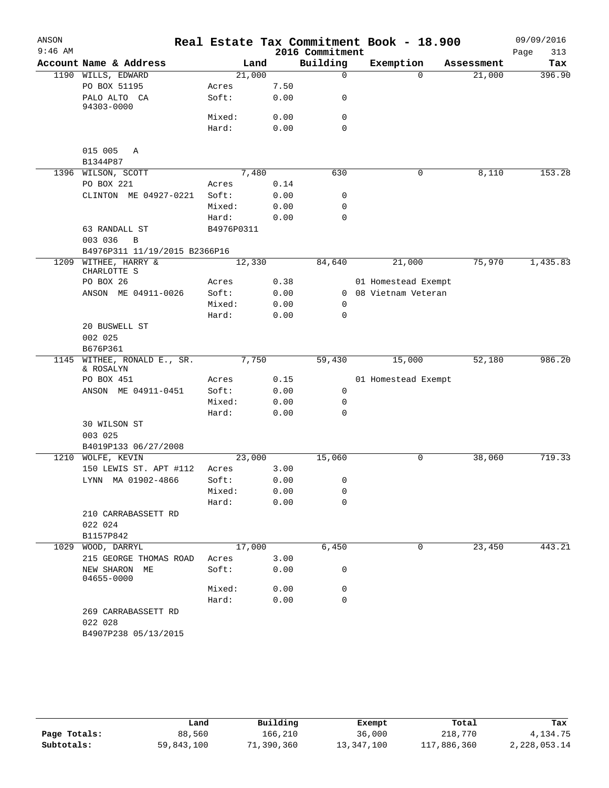| ANSON     |                                     |            |      |      |                 | Real Estate Tax Commitment Book - 18.900 |            | 09/09/2016  |
|-----------|-------------------------------------|------------|------|------|-----------------|------------------------------------------|------------|-------------|
| $9:46$ AM |                                     |            |      |      | 2016 Commitment |                                          |            | Page<br>313 |
|           | Account Name & Address              |            | Land |      | Building        | Exemption                                | Assessment | Tax         |
|           | 1190 WILLS, EDWARD                  | 21,000     |      |      | 0               | $\Omega$                                 | 21,000     | 396.90      |
|           | PO BOX 51195                        | Acres      |      | 7.50 |                 |                                          |            |             |
|           | PALO ALTO CA<br>94303-0000          | Soft:      |      | 0.00 | 0               |                                          |            |             |
|           |                                     | Mixed:     |      | 0.00 | 0               |                                          |            |             |
|           |                                     | Hard:      |      | 0.00 | $\mathbf 0$     |                                          |            |             |
|           | 015 005<br>Α<br>B1344P87            |            |      |      |                 |                                          |            |             |
|           | 1396 WILSON, SCOTT                  | 7,480      |      |      | 630             | 0                                        | 8,110      | 153.28      |
|           | PO BOX 221                          | Acres      |      | 0.14 |                 |                                          |            |             |
|           | CLINTON ME 04927-0221               | Soft:      |      | 0.00 | 0               |                                          |            |             |
|           |                                     | Mixed:     |      | 0.00 | 0               |                                          |            |             |
|           |                                     | Hard:      |      | 0.00 | 0               |                                          |            |             |
|           | 63 RANDALL ST<br>003 036<br>B       | B4976P0311 |      |      |                 |                                          |            |             |
|           | B4976P311 11/19/2015 B2366P16       |            |      |      |                 |                                          |            |             |
|           | 1209 WITHEE, HARRY &<br>CHARLOTTE S | 12,330     |      |      | 84,640          | 21,000                                   | 75,970     | 1,435.83    |
|           | PO BOX 26                           | Acres      |      | 0.38 |                 | 01 Homestead Exempt                      |            |             |
|           | ANSON ME 04911-0026                 | Soft:      |      | 0.00 | 0               | 08 Vietnam Veteran                       |            |             |
|           |                                     | Mixed:     |      | 0.00 | 0               |                                          |            |             |
|           |                                     | Hard:      |      | 0.00 | 0               |                                          |            |             |
|           | 20 BUSWELL ST                       |            |      |      |                 |                                          |            |             |
|           | 002 025                             |            |      |      |                 |                                          |            |             |
|           | B676P361                            |            |      |      |                 |                                          |            |             |
| 1145      | WITHEE, RONALD E., SR.<br>& ROSALYN | 7,750      |      |      | 59,430          | 15,000                                   | 52,180     | 986.20      |
|           | PO BOX 451                          | Acres      |      | 0.15 |                 | 01 Homestead Exempt                      |            |             |
|           | ANSON ME 04911-0451                 | Soft:      |      | 0.00 | 0               |                                          |            |             |
|           |                                     | Mixed:     |      | 0.00 | 0               |                                          |            |             |
|           |                                     | Hard:      |      | 0.00 | 0               |                                          |            |             |
|           | 30 WILSON ST<br>003 025             |            |      |      |                 |                                          |            |             |
|           | B4019P133 06/27/2008                |            |      |      |                 |                                          |            |             |
| 1210      | WOLFE, KEVIN                        | 23,000     |      |      | 15,060          | 0                                        | 38,060     | 719.33      |
|           | 150 LEWIS ST. APT #112              | Acres      |      | 3.00 |                 |                                          |            |             |
|           | LYNN MA 01902-4866                  | Soft:      |      | 0.00 | $\sigma$        |                                          |            |             |
|           |                                     | Mixed:     |      | 0.00 | 0               |                                          |            |             |
|           |                                     | Hard:      |      | 0.00 | 0               |                                          |            |             |
|           | 210 CARRABASSETT RD<br>022 024      |            |      |      |                 |                                          |            |             |
|           | B1157P842                           |            |      |      |                 |                                          |            |             |
|           | 1029 WOOD, DARRYL                   | 17,000     |      |      | 6,450           | 0                                        | 23,450     | 443.21      |
|           | 215 GEORGE THOMAS ROAD              | Acres      |      | 3.00 |                 |                                          |            |             |
|           | NEW SHARON ME<br>04655-0000         | Soft:      |      | 0.00 | 0               |                                          |            |             |
|           |                                     | Mixed:     |      | 0.00 | 0               |                                          |            |             |
|           |                                     | Hard:      |      | 0.00 | 0               |                                          |            |             |
|           | 269 CARRABASSETT RD<br>022 028      |            |      |      |                 |                                          |            |             |
|           | B4907P238 05/13/2015                |            |      |      |                 |                                          |            |             |

|              | Land       | Building   | Exempt     | Total       | Tax          |
|--------------|------------|------------|------------|-------------|--------------|
| Page Totals: | 88,560     | 166,210    | 36,000     | 218,770     | 4,134.75     |
| Subtotals:   | 59,843,100 | 71,390,360 | 13,347,100 | 117,886,360 | 2,228,053.14 |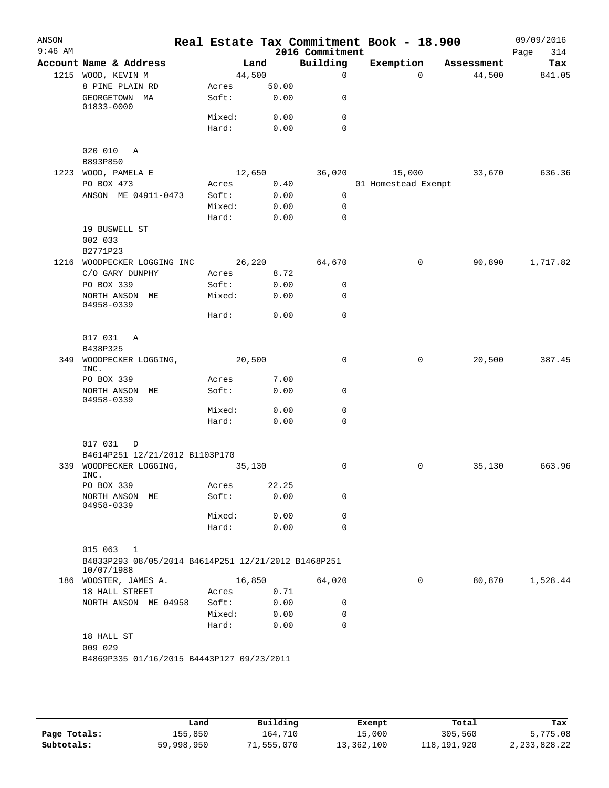| ANSON<br>$9:46$ AM |                                                                   |        |        |       | 2016 Commitment | Real Estate Tax Commitment Book - 18.900 |            | 09/09/2016<br>314<br>Page |
|--------------------|-------------------------------------------------------------------|--------|--------|-------|-----------------|------------------------------------------|------------|---------------------------|
|                    | Account Name & Address                                            |        | Land   |       | Building        | Exemption                                | Assessment | Tax                       |
|                    | 1215 WOOD, KEVIN M                                                |        | 44,500 |       | 0               | $\Omega$                                 | 44,500     | 841.05                    |
|                    | 8 PINE PLAIN RD                                                   | Acres  |        | 50.00 |                 |                                          |            |                           |
|                    | GEORGETOWN MA                                                     | Soft:  |        | 0.00  | 0               |                                          |            |                           |
|                    | 01833-0000                                                        | Mixed: |        | 0.00  | 0               |                                          |            |                           |
|                    |                                                                   | Hard:  |        | 0.00  | 0               |                                          |            |                           |
|                    |                                                                   |        |        |       |                 |                                          |            |                           |
|                    | 020 010<br>Α                                                      |        |        |       |                 |                                          |            |                           |
|                    | B893P850                                                          |        |        |       |                 |                                          |            |                           |
|                    | 1223 WOOD, PAMELA E                                               |        | 12,650 |       | 36,020          | 15,000                                   | 33,670     | 636.36                    |
|                    | PO BOX 473                                                        | Acres  |        | 0.40  |                 | 01 Homestead Exempt                      |            |                           |
|                    | ANSON ME 04911-0473                                               | Soft:  |        | 0.00  | $\mathbf 0$     |                                          |            |                           |
|                    |                                                                   | Mixed: |        | 0.00  | $\mathbf 0$     |                                          |            |                           |
|                    |                                                                   | Hard:  |        | 0.00  | 0               |                                          |            |                           |
|                    | 19 BUSWELL ST                                                     |        |        |       |                 |                                          |            |                           |
|                    | 002 033                                                           |        |        |       |                 |                                          |            |                           |
|                    | B2771P23                                                          |        |        |       |                 |                                          |            |                           |
|                    | 1216 WOODPECKER LOGGING INC                                       |        | 26,220 |       | 64,670          | 0                                        | 90,890     | 1,717.82                  |
|                    | C/O GARY DUNPHY                                                   | Acres  |        | 8.72  |                 |                                          |            |                           |
|                    | PO BOX 339                                                        | Soft:  |        | 0.00  | 0               |                                          |            |                           |
|                    | NORTH ANSON ME<br>04958-0339                                      | Mixed: |        | 0.00  | 0               |                                          |            |                           |
|                    |                                                                   | Hard:  |        | 0.00  | 0               |                                          |            |                           |
|                    |                                                                   |        |        |       |                 |                                          |            |                           |
|                    | 017 031<br>Α                                                      |        |        |       |                 |                                          |            |                           |
|                    | B438P325                                                          |        |        |       |                 |                                          |            |                           |
| 349                | WOODPECKER LOGGING,                                               |        | 20,500 |       | 0               | $\mathbf 0$                              | 20,500     | 387.45                    |
|                    | INC.                                                              |        |        |       |                 |                                          |            |                           |
|                    | PO BOX 339                                                        | Acres  |        | 7.00  |                 |                                          |            |                           |
|                    | NORTH ANSON ME                                                    | Soft:  |        | 0.00  | 0               |                                          |            |                           |
|                    | 04958-0339                                                        | Mixed: |        | 0.00  | 0               |                                          |            |                           |
|                    |                                                                   | Hard:  |        | 0.00  | 0               |                                          |            |                           |
|                    |                                                                   |        |        |       |                 |                                          |            |                           |
|                    | 017 031<br>D                                                      |        |        |       |                 |                                          |            |                           |
|                    | B4614P251 12/21/2012 B1103P170                                    |        |        |       |                 |                                          |            |                           |
|                    | 339 WOODPECKER LOGGING,                                           |        | 35,130 |       | 0               | 0                                        | 35,130     | 663.96                    |
|                    | INC.                                                              |        |        |       |                 |                                          |            |                           |
|                    | PO BOX 339                                                        | Acres  |        | 22.25 |                 |                                          |            |                           |
|                    | NORTH ANSON ME<br>04958-0339                                      | Soft:  |        | 0.00  | 0               |                                          |            |                           |
|                    |                                                                   | Mixed: |        | 0.00  | 0               |                                          |            |                           |
|                    |                                                                   | Hard:  |        | 0.00  | $\Omega$        |                                          |            |                           |
|                    |                                                                   |        |        |       |                 |                                          |            |                           |
|                    | 015 063<br>1                                                      |        |        |       |                 |                                          |            |                           |
|                    | B4833P293 08/05/2014 B4614P251 12/21/2012 B1468P251<br>10/07/1988 |        |        |       |                 |                                          |            |                           |
|                    | 186 WOOSTER, JAMES A.                                             |        | 16,850 |       | 64,020          | 0                                        | 80,870     | 1,528.44                  |
|                    | 18 HALL STREET                                                    | Acres  |        | 0.71  |                 |                                          |            |                           |
|                    | NORTH ANSON ME 04958                                              | Soft:  |        | 0.00  | 0               |                                          |            |                           |
|                    |                                                                   | Mixed: |        | 0.00  | 0               |                                          |            |                           |
|                    |                                                                   | Hard:  |        | 0.00  | 0               |                                          |            |                           |
|                    | 18 HALL ST                                                        |        |        |       |                 |                                          |            |                           |
|                    | 009 029                                                           |        |        |       |                 |                                          |            |                           |
|                    | B4869P335 01/16/2015 B4443P127 09/23/2011                         |        |        |       |                 |                                          |            |                           |
|                    |                                                                   |        |        |       |                 |                                          |            |                           |
|                    |                                                                   |        |        |       |                 |                                          |            |                           |
|                    |                                                                   |        |        |       |                 |                                          |            |                           |

|              | Land       | Building   | Exempt     | Total       | Tax             |
|--------------|------------|------------|------------|-------------|-----------------|
| Page Totals: | 155,850    | 164,710    | 15,000     | 305,560     | 5,775.08        |
| Subtotals:   | 59,998,950 | 71,555,070 | 13,362,100 | 118,191,920 | 2, 233, 828. 22 |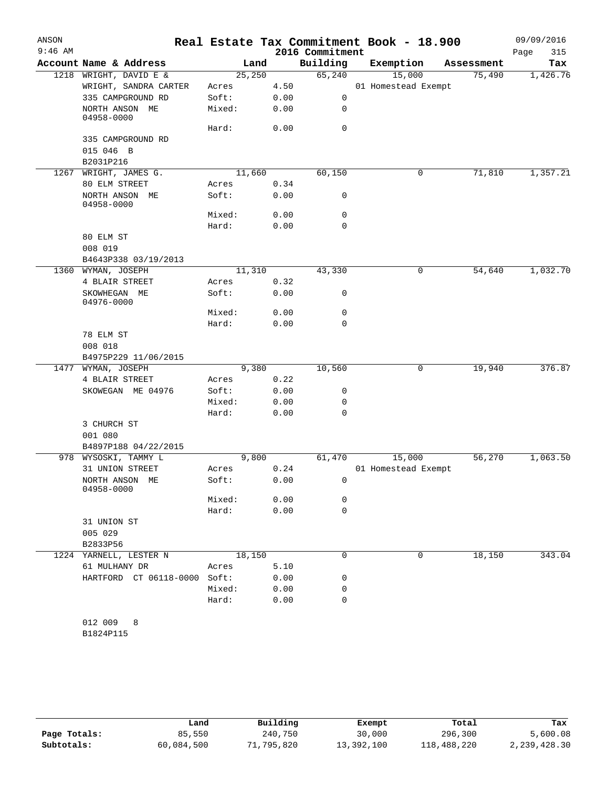| ANSON<br>$9:46$ AM |                              |        |        | 2016 Commitment | Real Estate Tax Commitment Book - 18.900 |            | 09/09/2016<br>Page<br>315 |
|--------------------|------------------------------|--------|--------|-----------------|------------------------------------------|------------|---------------------------|
|                    | Account Name & Address       |        | Land   | Building        | Exemption                                | Assessment | Tax                       |
| 1218               | WRIGHT, DAVID E &            |        | 25,250 | 65,240          | 15,000                                   | 75,490     | 1,426.76                  |
|                    | WRIGHT, SANDRA CARTER        | Acres  | 4.50   |                 | 01 Homestead Exempt                      |            |                           |
|                    | 335 CAMPGROUND RD            | Soft:  | 0.00   | 0               |                                          |            |                           |
|                    | NORTH ANSON ME<br>04958-0000 | Mixed: | 0.00   | 0               |                                          |            |                           |
|                    |                              | Hard:  | 0.00   | $\mathbf 0$     |                                          |            |                           |
|                    | 335 CAMPGROUND RD            |        |        |                 |                                          |            |                           |
|                    | 015 046 B                    |        |        |                 |                                          |            |                           |
|                    | B2031P216                    |        |        |                 |                                          |            |                           |
| 1267               | WRIGHT, JAMES G.             |        | 11,660 | 60,150          | 0                                        | 71,810     | 1,357.21                  |
|                    | 80 ELM STREET                | Acres  | 0.34   |                 |                                          |            |                           |
|                    | NORTH ANSON ME<br>04958-0000 | Soft:  | 0.00   | 0               |                                          |            |                           |
|                    |                              | Mixed: | 0.00   | 0               |                                          |            |                           |
|                    |                              | Hard:  | 0.00   | 0               |                                          |            |                           |
|                    | 80 ELM ST                    |        |        |                 |                                          |            |                           |
|                    | 008 019                      |        |        |                 |                                          |            |                           |
|                    | B4643P338 03/19/2013         |        |        |                 |                                          |            |                           |
| 1360               | WYMAN, JOSEPH                |        | 11,310 | 43,330          | 0                                        | 54,640     | 1,032.70                  |
|                    | 4 BLAIR STREET               | Acres  | 0.32   |                 |                                          |            |                           |
|                    | SKOWHEGAN ME<br>04976-0000   | Soft:  | 0.00   | 0               |                                          |            |                           |
|                    |                              | Mixed: | 0.00   | 0               |                                          |            |                           |
|                    |                              | Hard:  | 0.00   | 0               |                                          |            |                           |
|                    | 78 ELM ST                    |        |        |                 |                                          |            |                           |
|                    | 008 018                      |        |        |                 |                                          |            |                           |
|                    | B4975P229 11/06/2015         |        |        |                 |                                          |            |                           |
| 1477               | WYMAN, JOSEPH                |        | 9,380  | 10,560          | 0                                        | 19,940     | 376.87                    |
|                    | 4 BLAIR STREET               | Acres  | 0.22   |                 |                                          |            |                           |
|                    | SKOWEGAN ME 04976            | Soft:  | 0.00   | 0               |                                          |            |                           |
|                    |                              | Mixed: | 0.00   | 0               |                                          |            |                           |
|                    |                              | Hard:  | 0.00   | 0               |                                          |            |                           |
|                    | 3 CHURCH ST<br>001 080       |        |        |                 |                                          |            |                           |
|                    | B4897P188 04/22/2015         |        |        |                 |                                          |            |                           |
| 978                | WYSOSKI, TAMMY L             |        | 9,800  | 61,470          | 15,000                                   | 56,270     | 1,063.50                  |
|                    | 31 UNION STREET              | Acres  | 0.24   |                 | 01 Homestead Exempt                      |            |                           |
|                    | NORTH ANSON ME<br>04958-0000 | Soft:  | 0.00   | 0               |                                          |            |                           |
|                    |                              | Mixed: | 0.00   | 0               |                                          |            |                           |
|                    |                              | Hard:  | 0.00   | $\mathbf 0$     |                                          |            |                           |
|                    | 31 UNION ST                  |        |        |                 |                                          |            |                           |
|                    | 005 029                      |        |        |                 |                                          |            |                           |
|                    | B2833P56                     |        |        |                 |                                          |            |                           |
|                    | 1224 YARNELL, LESTER N       |        | 18,150 | 0               | 0                                        | 18,150     | 343.04                    |
|                    | 61 MULHANY DR                | Acres  | 5.10   |                 |                                          |            |                           |
|                    | HARTFORD CT 06118-0000 Soft: |        | 0.00   | 0               |                                          |            |                           |
|                    |                              | Mixed: | 0.00   | 0               |                                          |            |                           |
|                    |                              | Hard:  | 0.00   | $\mathbf 0$     |                                          |            |                           |
|                    |                              |        |        |                 |                                          |            |                           |
|                    | 012 009<br>8                 |        |        |                 |                                          |            |                           |
|                    | B1824P115                    |        |        |                 |                                          |            |                           |

|              | Land       | Building   | Exempt     | Total       | Tax          |
|--------------|------------|------------|------------|-------------|--------------|
| Page Totals: | 85,550     | 240,750    | 30,000     | 296,300     | 5,600.08     |
| Subtotals:   | 60,084,500 | 71,795,820 | 13,392,100 | 118,488,220 | 2,239,428.30 |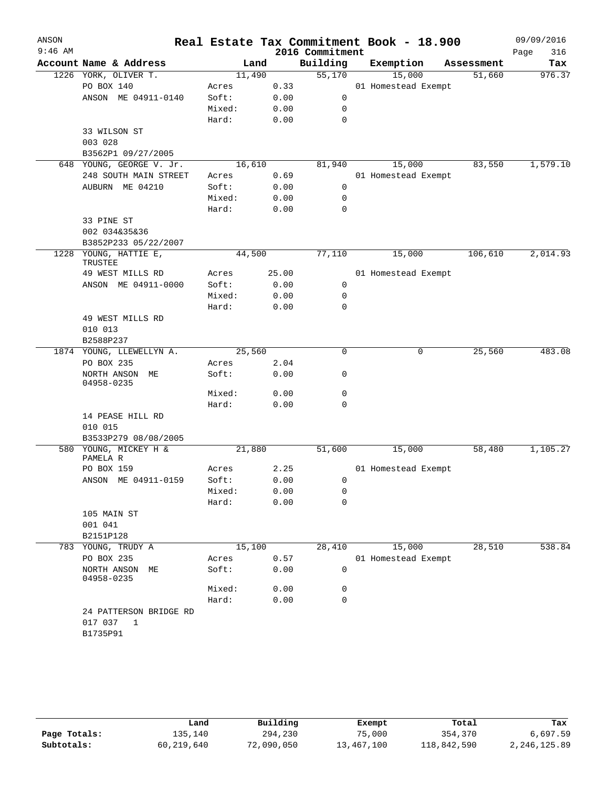| ANSON     |                              |        |        |       |                 | Real Estate Tax Commitment Book - 18.900 |            | 09/09/2016  |
|-----------|------------------------------|--------|--------|-------|-----------------|------------------------------------------|------------|-------------|
| $9:46$ AM |                              |        |        |       | 2016 Commitment |                                          |            | 316<br>Page |
|           | Account Name & Address       |        | Land   |       | Building        | Exemption                                | Assessment | Tax         |
|           | 1226 YORK, OLIVER T.         |        | 11,490 |       | 55,170          | 15,000                                   | 51,660     | 976.37      |
|           | PO BOX 140                   | Acres  |        | 0.33  |                 | 01 Homestead Exempt                      |            |             |
|           | ANSON ME 04911-0140          | Soft:  |        | 0.00  | 0               |                                          |            |             |
|           |                              | Mixed: |        | 0.00  | 0               |                                          |            |             |
|           |                              | Hard:  |        | 0.00  | $\mathbf 0$     |                                          |            |             |
|           | 33 WILSON ST                 |        |        |       |                 |                                          |            |             |
|           | 003 028                      |        |        |       |                 |                                          |            |             |
|           | B3562P1 09/27/2005           |        |        |       |                 |                                          |            |             |
|           | 648 YOUNG, GEORGE V. Jr.     |        | 16,610 |       | 81,940          | 15,000                                   | 83,550     | 1,579.10    |
|           | 248 SOUTH MAIN STREET        | Acres  |        | 0.69  |                 | 01 Homestead Exempt                      |            |             |
|           | AUBURN ME 04210              | Soft:  |        | 0.00  | 0               |                                          |            |             |
|           |                              | Mixed: |        | 0.00  | 0               |                                          |            |             |
|           |                              | Hard:  |        | 0.00  | 0               |                                          |            |             |
|           | 33 PINE ST                   |        |        |       |                 |                                          |            |             |
|           | 002 034&35&36                |        |        |       |                 |                                          |            |             |
|           | B3852P233 05/22/2007         |        |        |       |                 |                                          |            |             |
| 1228      | YOUNG, HATTIE E,<br>TRUSTEE  |        | 44,500 |       | 77,110          | 15,000                                   | 106,610    | 2,014.93    |
|           | 49 WEST MILLS RD             | Acres  |        | 25.00 |                 | 01 Homestead Exempt                      |            |             |
|           | ANSON ME 04911-0000          | Soft:  |        | 0.00  | 0               |                                          |            |             |
|           |                              | Mixed: |        | 0.00  | 0               |                                          |            |             |
|           |                              | Hard:  |        | 0.00  | 0               |                                          |            |             |
|           | 49 WEST MILLS RD             |        |        |       |                 |                                          |            |             |
|           | 010 013                      |        |        |       |                 |                                          |            |             |
|           | B2588P237                    |        |        |       |                 |                                          |            |             |
|           | 1874 YOUNG, LLEWELLYN A.     |        | 25,560 |       | $\mathbf 0$     | 0                                        | 25,560     | 483.08      |
|           | PO BOX 235                   | Acres  |        | 2.04  |                 |                                          |            |             |
|           | NORTH ANSON ME<br>04958-0235 | Soft:  |        | 0.00  | 0               |                                          |            |             |
|           |                              | Mixed: |        | 0.00  | 0               |                                          |            |             |
|           |                              | Hard:  |        | 0.00  | $\mathbf 0$     |                                          |            |             |
|           | 14 PEASE HILL RD             |        |        |       |                 |                                          |            |             |
|           | 010 015                      |        |        |       |                 |                                          |            |             |
|           | B3533P279 08/08/2005         |        |        |       |                 |                                          |            |             |
|           | 580 YOUNG, MICKEY H &        |        | 21,880 |       | 51,600          | 15,000                                   | 58,480     | 1,105.27    |
|           | PAMELA R                     |        |        |       |                 |                                          |            |             |
|           | PO BOX 159                   | Acres  |        | 2.25  |                 | 01 Homestead Exempt                      |            |             |
|           | ANSON ME 04911-0159          | Soft:  |        | 0.00  | 0               |                                          |            |             |
|           |                              | Mixed: |        | 0.00  | 0               |                                          |            |             |
|           |                              | Hard:  |        | 0.00  | 0               |                                          |            |             |
|           | 105 MAIN ST                  |        |        |       |                 |                                          |            |             |
|           | 001 041                      |        |        |       |                 |                                          |            |             |
|           | B2151P128                    |        |        |       |                 |                                          |            |             |
|           | 783 YOUNG, TRUDY A           |        | 15,100 |       | 28,410          | 15,000                                   | 28,510     | 538.84      |
|           | PO BOX 235                   | Acres  |        | 0.57  |                 | 01 Homestead Exempt                      |            |             |
|           | NORTH ANSON ME<br>04958-0235 | Soft:  |        | 0.00  | 0               |                                          |            |             |
|           |                              | Mixed: |        | 0.00  | 0               |                                          |            |             |
|           |                              | Hard:  |        | 0.00  | $\mathbf 0$     |                                          |            |             |
|           | 24 PATTERSON BRIDGE RD       |        |        |       |                 |                                          |            |             |
|           | 017 037<br>1                 |        |        |       |                 |                                          |            |             |
|           | B1735P91                     |        |        |       |                 |                                          |            |             |
|           |                              |        |        |       |                 |                                          |            |             |

|              | Land       | Building   | Exempt     | Total       | Tax          |
|--------------|------------|------------|------------|-------------|--------------|
|              |            |            |            |             |              |
| Page Totals: | 135,140    | 294,230    | 75,000     | 354,370     | 6,697.59     |
| Subtotals:   | 60,219,640 | 72,090,050 | 13,467,100 | 118,842,590 | 2,246,125.89 |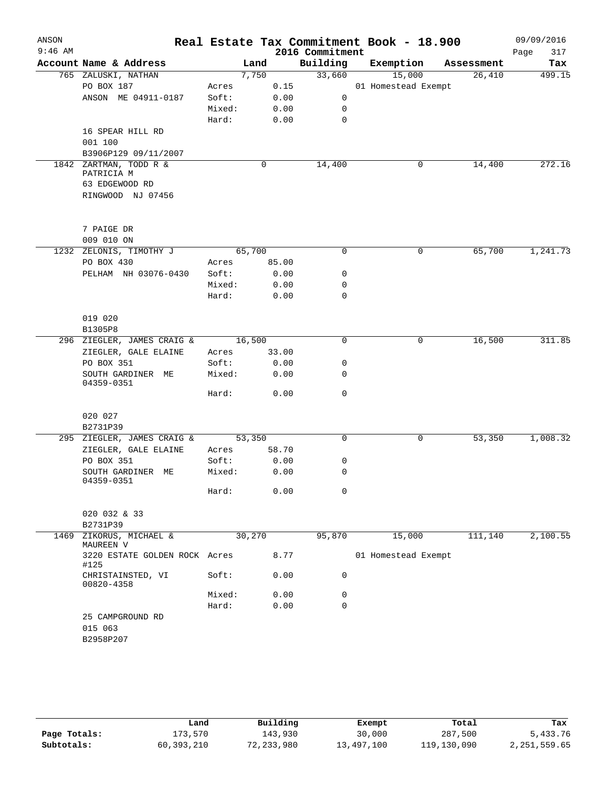| ANSON     |                                       |        |        |       |                 | Real Estate Tax Commitment Book - 18.900 |            | 09/09/2016  |
|-----------|---------------------------------------|--------|--------|-------|-----------------|------------------------------------------|------------|-------------|
| $9:46$ AM |                                       |        |        |       | 2016 Commitment |                                          |            | Page<br>317 |
|           | Account Name & Address                |        | Land   |       | Building        | Exemption                                | Assessment | Tax         |
|           | 765 ZALUSKI, NATHAN                   |        | 7,750  |       | 33,660          | 15,000                                   | 26,410     | 499.15      |
|           | PO BOX 187                            | Acres  |        | 0.15  |                 | 01 Homestead Exempt                      |            |             |
|           | ANSON ME 04911-0187                   | Soft:  |        | 0.00  | 0               |                                          |            |             |
|           |                                       | Mixed: |        | 0.00  | $\mathbf 0$     |                                          |            |             |
|           |                                       | Hard:  |        | 0.00  | $\mathbf 0$     |                                          |            |             |
|           | 16 SPEAR HILL RD                      |        |        |       |                 |                                          |            |             |
|           | 001 100                               |        |        |       |                 |                                          |            |             |
|           | B3906P129 09/11/2007                  |        |        |       |                 |                                          |            |             |
|           | 1842 ZARTMAN, TODD R &<br>PATRICIA M  |        | 0      |       | 14,400          | 0                                        | 14,400     | 272.16      |
|           | 63 EDGEWOOD RD                        |        |        |       |                 |                                          |            |             |
|           | RINGWOOD NJ 07456                     |        |        |       |                 |                                          |            |             |
|           |                                       |        |        |       |                 |                                          |            |             |
|           |                                       |        |        |       |                 |                                          |            |             |
|           | 7 PAIGE DR                            |        |        |       |                 |                                          |            |             |
|           | 009 010 ON                            |        |        |       |                 |                                          |            |             |
|           | 1232 ZELONIS, TIMOTHY J               |        | 65,700 |       | 0               | 0                                        | 65,700     | 1,241.73    |
|           | PO BOX 430                            | Acres  |        | 85.00 |                 |                                          |            |             |
|           | PELHAM NH 03076-0430                  | Soft:  |        | 0.00  | 0               |                                          |            |             |
|           |                                       | Mixed: |        | 0.00  | 0               |                                          |            |             |
|           |                                       | Hard:  |        | 0.00  | 0               |                                          |            |             |
|           |                                       |        |        |       |                 |                                          |            |             |
|           | 019 020                               |        |        |       |                 |                                          |            |             |
|           | B1305P8                               |        |        |       |                 |                                          |            |             |
|           | 296 ZIEGLER, JAMES CRAIG &            |        | 16,500 |       | 0               | 0                                        | 16,500     | 311.85      |
|           | ZIEGLER, GALE ELAINE                  | Acres  |        | 33.00 |                 |                                          |            |             |
|           | PO BOX 351                            | Soft:  |        | 0.00  | 0               |                                          |            |             |
|           | SOUTH GARDINER ME<br>04359-0351       | Mixed: |        | 0.00  | 0               |                                          |            |             |
|           |                                       | Hard:  |        | 0.00  | $\mathbf 0$     |                                          |            |             |
|           | 020 027                               |        |        |       |                 |                                          |            |             |
|           | B2731P39                              |        |        |       |                 |                                          |            |             |
|           | 295 ZIEGLER, JAMES CRAIG &            |        | 53,350 |       | 0               | 0                                        | 53,350     | 1,008.32    |
|           | ZIEGLER, GALE ELAINE                  | Acres  |        | 58.70 |                 |                                          |            |             |
|           | PO BOX 351                            | Soft:  |        | 0.00  | 0               |                                          |            |             |
|           | SOUTH GARDINER ME<br>04359-0351       | Mixed: |        | 0.00  | 0               |                                          |            |             |
|           |                                       | Hard:  |        | 0.00  | $\mathbf 0$     |                                          |            |             |
|           | 020 032 & 33                          |        |        |       |                 |                                          |            |             |
| 1469      | B2731P39<br>ZIKORUS, MICHAEL &        |        | 30,270 |       | 95,870          | 15,000                                   | 111,140    | 2,100.55    |
|           | MAUREEN V                             |        |        |       |                 |                                          |            |             |
|           | 3220 ESTATE GOLDEN ROCK Acres<br>#125 |        |        | 8.77  |                 | 01 Homestead Exempt                      |            |             |
|           | CHRISTAINSTED, VI<br>00820-4358       | Soft:  |        | 0.00  | 0               |                                          |            |             |
|           |                                       | Mixed: |        | 0.00  | 0               |                                          |            |             |
|           |                                       | Hard:  |        | 0.00  | 0               |                                          |            |             |
|           | 25 CAMPGROUND RD                      |        |        |       |                 |                                          |            |             |
|           | 015 063                               |        |        |       |                 |                                          |            |             |
|           | B2958P207                             |        |        |       |                 |                                          |            |             |
|           |                                       |        |        |       |                 |                                          |            |             |

|              | Land       | Building   | Exempt     | Total       | Tax          |
|--------------|------------|------------|------------|-------------|--------------|
| Page Totals: | 173,570    | 143,930    | 30,000     | 287,500     | 5,433.76     |
| Subtotals:   | 60,393,210 | 72,233,980 | 13,497,100 | 119,130,090 | 2,251,559.65 |